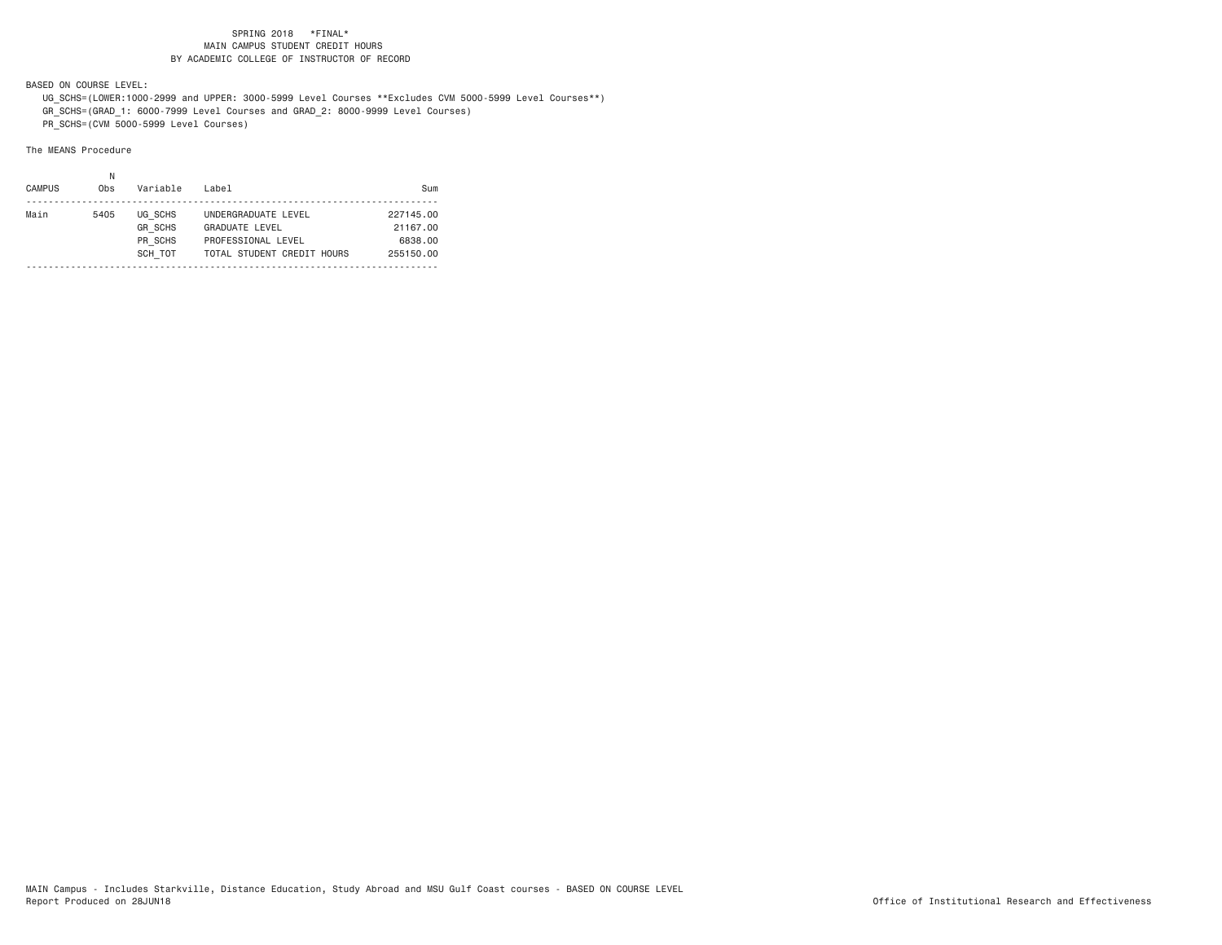BASED ON COURSE LEVEL:

 UG\_SCHS=(LOWER:1000-2999 and UPPER: 3000-5999 Level Courses \*\*Excludes CVM 5000-5999 Level Courses\*\*) GR\_SCHS=(GRAD\_1: 6000-7999 Level Courses and GRAD\_2: 8000-9999 Level Courses) PR\_SCHS=(CVM 5000-5999 Level Courses)

| <b>CAMPUS</b> | Obs  | Variable                  | Label                                            | Sum                   |
|---------------|------|---------------------------|--------------------------------------------------|-----------------------|
| Main          | 5405 | UG SCHS<br><b>GR SCHS</b> | UNDERGRADUATE LEVEL<br><b>GRADUATE LEVEL</b>     | 227145.00<br>21167.00 |
|               |      | PR SCHS<br>SCH TOT        | PROFESSIONAL LEVEL<br>TOTAL STUDENT CREDIT HOURS | 6838.00<br>255150.00  |
|               |      |                           |                                                  |                       |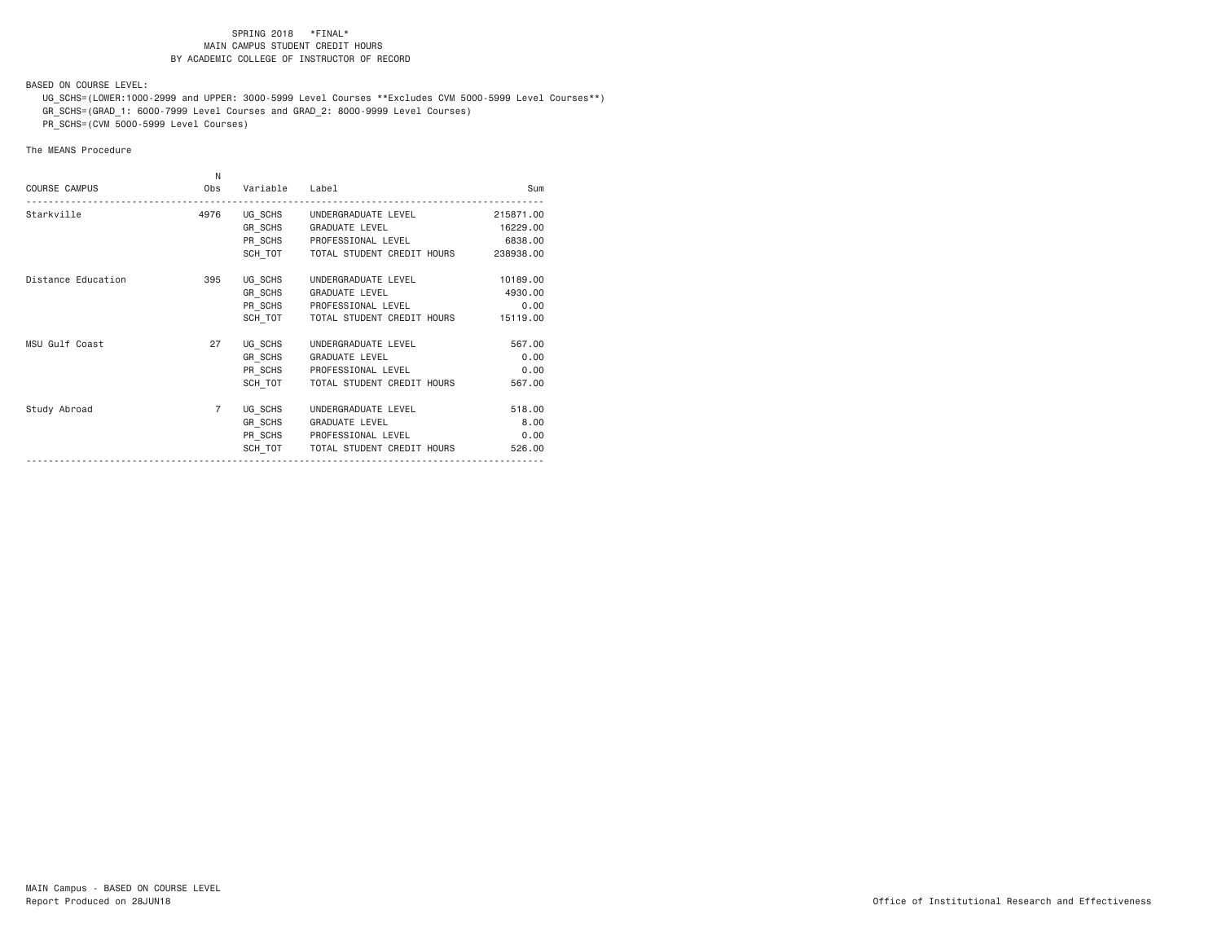BASED ON COURSE LEVEL:

 UG\_SCHS=(LOWER:1000-2999 and UPPER: 3000-5999 Level Courses \*\*Excludes CVM 5000-5999 Level Courses\*\*) GR\_SCHS=(GRAD\_1: 6000-7999 Level Courses and GRAD\_2: 8000-9999 Level Courses)

PR\_SCHS=(CVM 5000-5999 Level Courses)

| <b>COURSE CAMPUS</b> | N<br>Obs       | Variable                      | Label                                                                                                                               | Sum                                     |
|----------------------|----------------|-------------------------------|-------------------------------------------------------------------------------------------------------------------------------------|-----------------------------------------|
| Starkville           | 4976           |                               | UG SCHS UNDERGRADUATE LEVEL<br>GR SCHS GRADUATE LEVEL<br>PR SCHS PROFESSIONAL LEVEL<br>SCH TOT TOTAL STUDENT CREDIT HOURS 238938.00 | 215871.00<br>16229.00<br>6838.00        |
| Distance Education   | 395            | UG SCHS<br>GR SCHS<br>SCH TOT | UNDERGRADUATE LEVEL<br><b>GRADUATE LEVEL</b><br>PR SCHS PROFESSIONAL LEVEL<br>TOTAL STUDENT CREDIT HOURS                            | 10189.00<br>4930.00<br>0.00<br>15119.00 |
| MSU Gulf Coast       | 27             | UG SCHS<br>GR SCHS<br>SCH TOT | UNDERGRADUATE LEVEL<br>GRADUATE LEVEL<br>PR SCHS PROFESSIONAL LEVEL<br>TOTAL STUDENT CREDIT HOURS                                   | 567.00<br>0.00<br>0.00<br>567.00        |
| Study Abroad         | $\overline{7}$ | UG SCHS<br>GR SCHS            | UNDERGRADUATE LEVEL<br><b>GRADUATE LEVEL</b><br>PR SCHS PROFESSIONAL LEVEL<br>SCH TOT   TOTAL STUDENT CREDIT HOURS                  | 518.00<br>8.00<br>0.00<br>526.00        |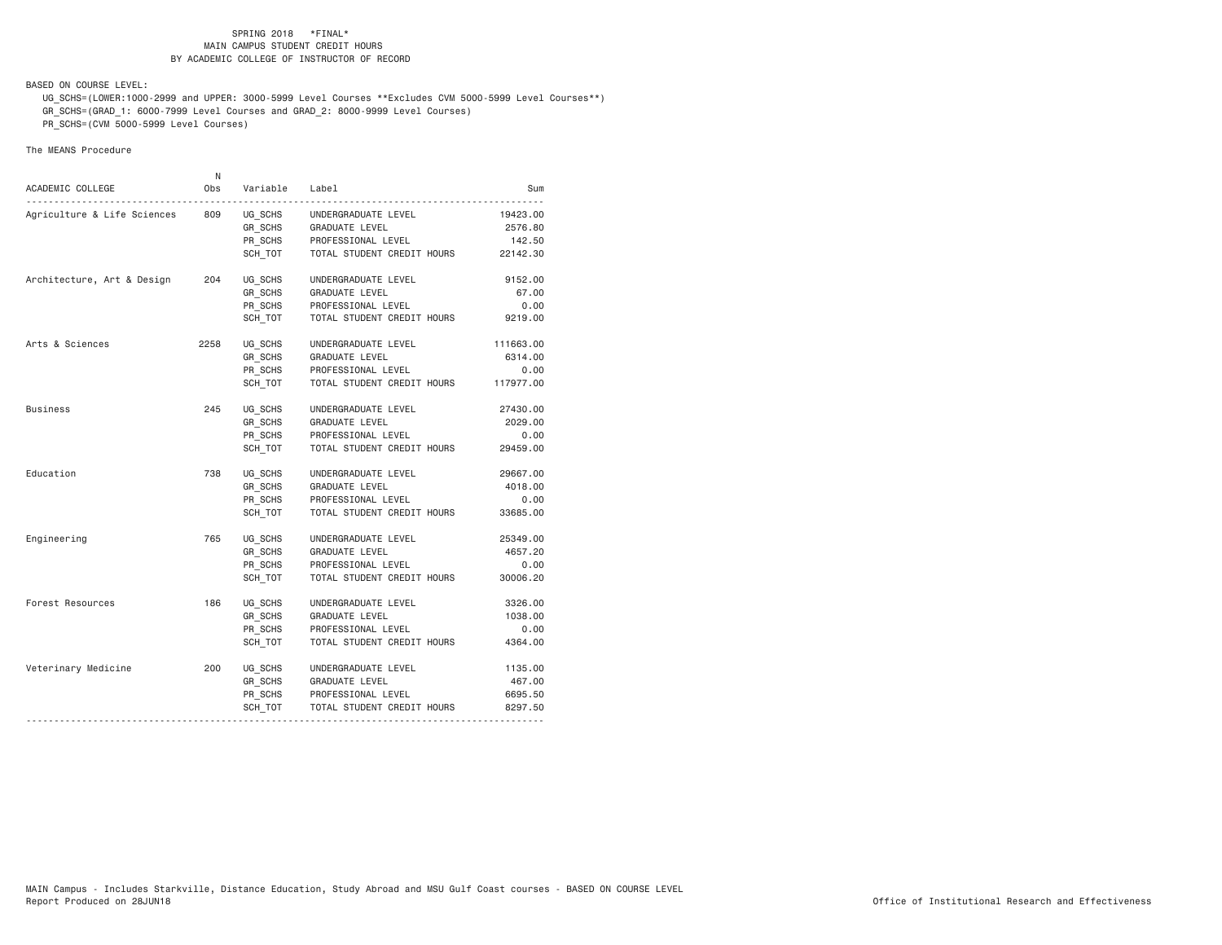BASED ON COURSE LEVEL:

 UG\_SCHS=(LOWER:1000-2999 and UPPER: 3000-5999 Level Courses \*\*Excludes CVM 5000-5999 Level Courses\*\*) GR\_SCHS=(GRAD\_1: 6000-7999 Level Courses and GRAD\_2: 8000-9999 Level Courses)

PR\_SCHS=(CVM 5000-5999 Level Courses)

| ACADEMIC COLLEGE            | N<br>Obs | Variable | Label                      | Sum       |
|-----------------------------|----------|----------|----------------------------|-----------|
| Agriculture & Life Sciences | 809      | UG SCHS  | UNDERGRADUATE LEVEL        | 19423.00  |
|                             |          | GR SCHS  | GRADUATE LEVEL             | 2576.80   |
|                             |          | PR_SCHS  | PROFESSIONAL LEVEL         | 142.50    |
|                             |          | SCH_TOT  | TOTAL STUDENT CREDIT HOURS | 22142.30  |
| Architecture, Art & Design  | 204      | UG_SCHS  | UNDERGRADUATE LEVEL        | 9152.00   |
|                             |          | GR_SCHS  | GRADUATE LEVEL             | 67.00     |
|                             |          | PR_SCHS  | PROFESSIONAL LEVEL         | 0.00      |
|                             |          | SCH TOT  | TOTAL STUDENT CREDIT HOURS | 9219.00   |
| Arts & Sciences             | 2258     | UG SCHS  | UNDERGRADUATE LEVEL        | 111663.00 |
|                             |          | GR SCHS  | GRADUATE LEVEL             | 6314.00   |
|                             |          | PR SCHS  | PROFESSIONAL LEVEL         | 0.00      |
|                             |          | SCH TOT  | TOTAL STUDENT CREDIT HOURS | 117977.00 |
| <b>Business</b>             | 245      | UG SCHS  | UNDERGRADUATE LEVEL        | 27430.00  |
|                             |          | GR SCHS  | GRADUATE LEVEL             | 2029.00   |
|                             |          | PR_SCHS  | PROFESSIONAL LEVEL         | 0.00      |
|                             |          | SCH_TOT  | TOTAL STUDENT CREDIT HOURS | 29459.00  |
| Education                   | 738      | UG_SCHS  | UNDERGRADUATE LEVEL        | 29667.00  |
|                             |          | GR_SCHS  | <b>GRADUATE LEVEL</b>      | 4018.00   |
|                             |          | PR_SCHS  | PROFESSIONAL LEVEL         | 0.00      |
|                             |          | SCH TOT  | TOTAL STUDENT CREDIT HOURS | 33685.00  |
| Engineering                 | 765      | UG SCHS  | UNDERGRADUATE LEVEL        | 25349.00  |
|                             |          | GR_SCHS  | GRADUATE LEVEL             | 4657.20   |
|                             |          | PR_SCHS  | PROFESSIONAL LEVEL         | 0.00      |
|                             |          | SCH TOT  | TOTAL STUDENT CREDIT HOURS | 30006.20  |
| Forest Resources            | 186      | UG SCHS  | UNDERGRADUATE LEVEL        | 3326.00   |
|                             |          | GR_SCHS  | GRADUATE LEVEL             | 1038.00   |
|                             |          | PR_SCHS  | PROFESSIONAL LEVEL         | 0.00      |
|                             |          | SCH TOT  | TOTAL STUDENT CREDIT HOURS | 4364.00   |
| Veterinary Medicine         | 200      | UG SCHS  | UNDERGRADUATE LEVEL        | 1135.00   |
|                             |          | GR SCHS  | GRADUATE LEVEL             | 467.00    |
|                             |          | PR_SCHS  | PROFESSIONAL LEVEL         | 6695.50   |
|                             |          | SCH TOT  | TOTAL STUDENT CREDIT HOURS | 8297.50   |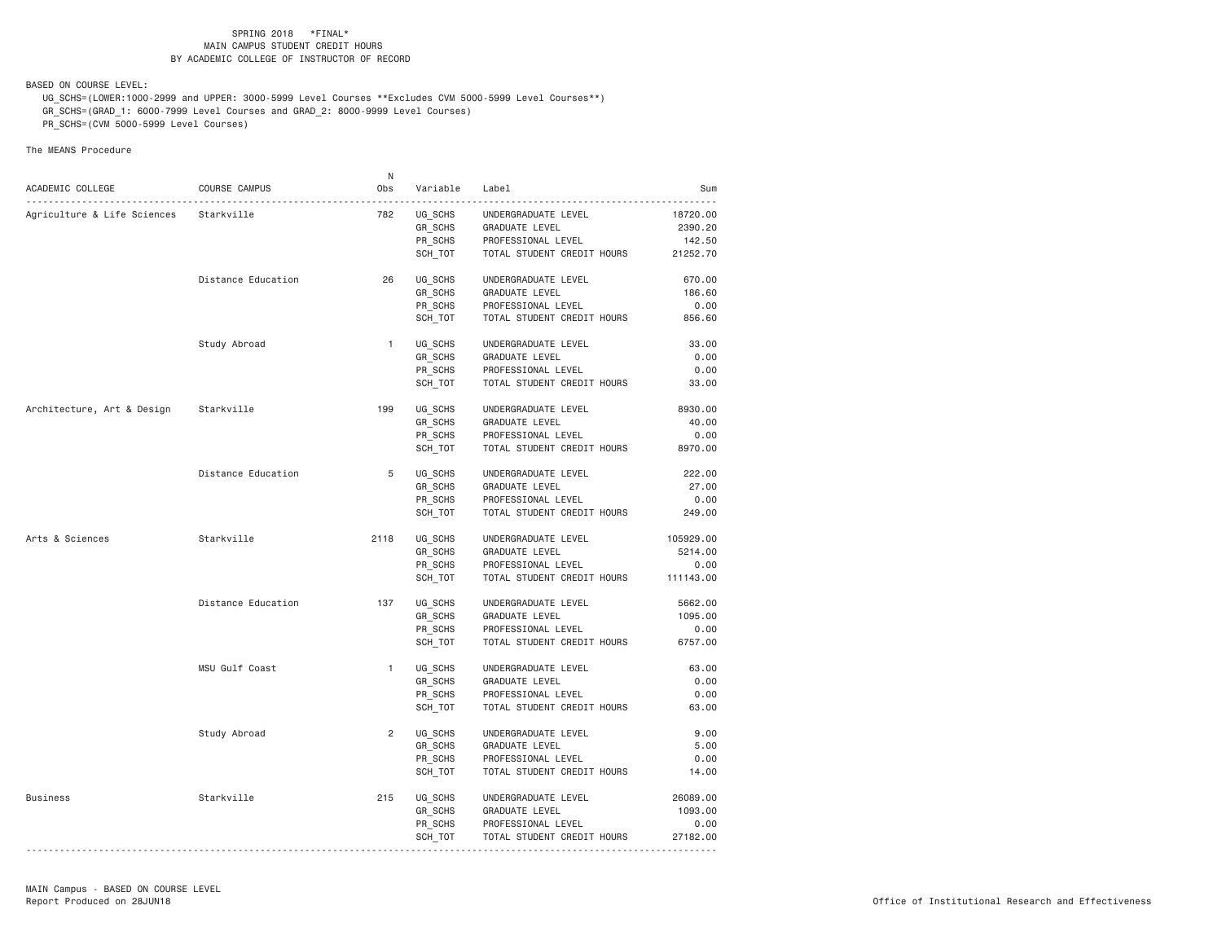BASED ON COURSE LEVEL:

 UG\_SCHS=(LOWER:1000-2999 and UPPER: 3000-5999 Level Courses \*\*Excludes CVM 5000-5999 Level Courses\*\*) GR\_SCHS=(GRAD\_1: 6000-7999 Level Courses and GRAD\_2: 8000-9999 Level Courses) PR\_SCHS=(CVM 5000-5999 Level Courses)

|                             |                    | N.             |          |                                      |           |
|-----------------------------|--------------------|----------------|----------|--------------------------------------|-----------|
| ACADEMIC COLLEGE            | COURSE CAMPUS      | Obs            | Variable | Label                                | Sum       |
| Agriculture & Life Sciences | Starkville         | 782            | UG_SCHS  | UNDERGRADUATE LEVEL                  | 18720.00  |
|                             |                    |                | GR SCHS  | GRADUATE LEVEL                       | 2390.20   |
|                             |                    |                | PR_SCHS  | PROFESSIONAL LEVEL                   | 142.50    |
|                             |                    |                | SCH_TOT  | TOTAL STUDENT CREDIT HOURS           | 21252.70  |
|                             |                    |                |          |                                      |           |
|                             | Distance Education | 26             | UG SCHS  | UNDERGRADUATE LEVEL                  | 670.00    |
|                             |                    |                | GR_SCHS  | GRADUATE LEVEL                       | 186.60    |
|                             |                    |                | PR SCHS  | PROFESSIONAL LEVEL                   | 0.00      |
|                             |                    |                | SCH_TOT  | TOTAL STUDENT CREDIT HOURS           | 856.60    |
|                             |                    | $\mathbf{1}$   |          |                                      | 33.00     |
|                             | Study Abroad       |                | UG SCHS  | UNDERGRADUATE LEVEL                  |           |
|                             |                    |                | GR SCHS  | GRADUATE LEVEL                       | 0.00      |
|                             |                    |                | PR SCHS  | PROFESSIONAL LEVEL                   | 0.00      |
|                             |                    |                | SCH_TOT  | TOTAL STUDENT CREDIT HOURS           | 33.00     |
| Architecture, Art & Design  | Starkville         | 199            | UG SCHS  | UNDERGRADUATE LEVEL                  | 8930.00   |
|                             |                    |                | GR SCHS  | GRADUATE LEVEL                       | 40.00     |
|                             |                    |                | PR_SCHS  | PROFESSIONAL LEVEL                   | 0.00      |
|                             |                    |                | SCH_TOT  | TOTAL STUDENT CREDIT HOURS           | 8970.00   |
|                             |                    |                |          |                                      |           |
|                             | Distance Education | 5              | UG SCHS  | UNDERGRADUATE LEVEL                  | 222.00    |
|                             |                    |                | GR_SCHS  | <b>GRADUATE LEVEL</b>                | 27.00     |
|                             |                    |                | PR SCHS  | PROFESSIONAL LEVEL                   | 0.00      |
|                             |                    |                | SCH_TOT  | TOTAL STUDENT CREDIT HOURS           | 249.00    |
| Arts & Sciences             | Starkville         | 2118           | UG_SCHS  | UNDERGRADUATE LEVEL                  | 105929.00 |
|                             |                    |                | GR SCHS  | GRADUATE LEVEL                       | 5214.00   |
|                             |                    |                | PR_SCHS  | PROFESSIONAL LEVEL                   | 0.00      |
|                             |                    |                | SCH_TOT  | TOTAL STUDENT CREDIT HOURS 111143.00 |           |
|                             |                    |                |          |                                      |           |
|                             | Distance Education | 137            | UG SCHS  | UNDERGRADUATE LEVEL                  | 5662.00   |
|                             |                    |                | GR_SCHS  | <b>GRADUATE LEVEL</b>                | 1095.00   |
|                             |                    |                | PR_SCHS  | PROFESSIONAL LEVEL                   | 0.00      |
|                             |                    |                | SCH_TOT  | TOTAL STUDENT CREDIT HOURS           | 6757.00   |
|                             | MSU Gulf Coast     | $\mathbf{1}$   | UG_SCHS  | UNDERGRADUATE LEVEL                  | 63.00     |
|                             |                    |                | GR SCHS  | <b>GRADUATE LEVEL</b>                | 0.00      |
|                             |                    |                | PR SCHS  | PROFESSIONAL LEVEL                   | 0.00      |
|                             |                    |                | SCH_TOT  | TOTAL STUDENT CREDIT HOURS           | 63.00     |
|                             |                    | $\overline{2}$ |          |                                      |           |
|                             | Study Abroad       |                | UG SCHS  | UNDERGRADUATE LEVEL                  | 9.00      |
|                             |                    |                | GR_SCHS  | <b>GRADUATE LEVEL</b>                | 5.00      |
|                             |                    |                | PR SCHS  | PROFESSIONAL LEVEL                   | 0.00      |
|                             |                    |                | SCH TOT  | TOTAL STUDENT CREDIT HOURS           | 14.00     |
| Business                    | Starkville         | 215            | UG SCHS  | UNDERGRADUATE LEVEL                  | 26089.00  |
|                             |                    |                | GR_SCHS  | <b>GRADUATE LEVEL</b>                | 1093.00   |
|                             |                    |                | PR_SCHS  | PROFESSIONAL LEVEL                   | 0.00      |
|                             |                    |                | SCH_TOT  | TOTAL STUDENT CREDIT HOURS           | 27182.00  |
|                             |                    |                |          |                                      |           |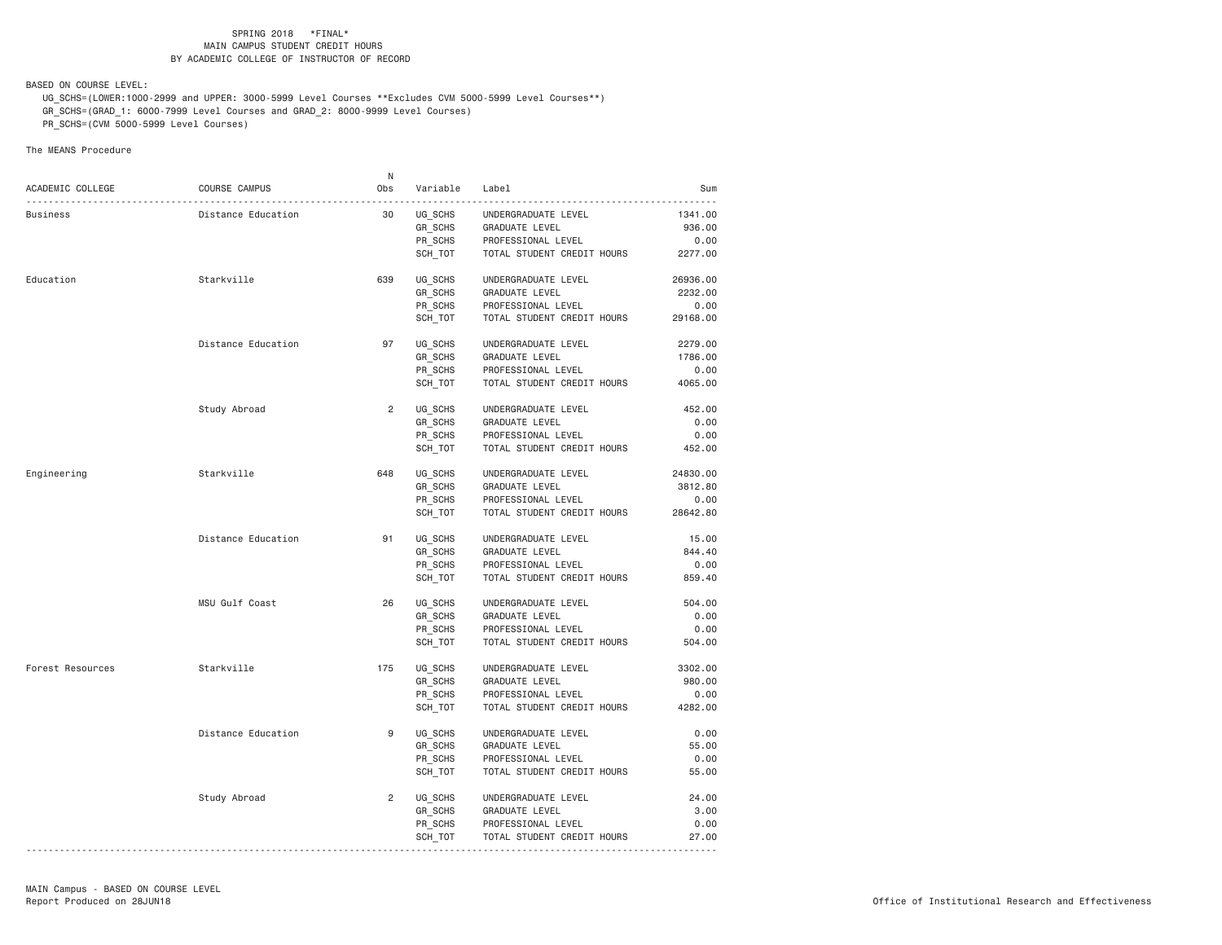BASED ON COURSE LEVEL:

 UG\_SCHS=(LOWER:1000-2999 and UPPER: 3000-5999 Level Courses \*\*Excludes CVM 5000-5999 Level Courses\*\*) GR\_SCHS=(GRAD\_1: 6000-7999 Level Courses and GRAD\_2: 8000-9999 Level Courses) PR\_SCHS=(CVM 5000-5999 Level Courses)

|                  |                    | N.             |                     |                                       |          |
|------------------|--------------------|----------------|---------------------|---------------------------------------|----------|
| ACADEMIC COLLEGE | COURSE CAMPUS      | Obs            | Variable            | Label                                 | Sum      |
| Business         | Distance Education | 30             | <u>.</u><br>UG SCHS | UNDERGRADUATE LEVEL                   | 1341.00  |
|                  |                    |                | GR SCHS             | GRADUATE LEVEL                        | 936.00   |
|                  |                    |                | PR_SCHS             | PROFESSIONAL LEVEL                    | 0.00     |
|                  |                    |                | SCH_TOT             | TOTAL STUDENT CREDIT HOURS            | 2277.00  |
|                  |                    |                |                     |                                       |          |
| Education        | Starkville         | 639            | UG SCHS             | UNDERGRADUATE LEVEL                   | 26936.00 |
|                  |                    |                | GR_SCHS             | GRADUATE LEVEL                        | 2232.00  |
|                  |                    |                | PR SCHS             | PROFESSIONAL LEVEL                    | 0.00     |
|                  |                    |                | SCH_TOT             | TOTAL STUDENT CREDIT HOURS            | 29168.00 |
|                  | Distance Education | 97             | UG_SCHS             | UNDERGRADUATE LEVEL                   | 2279.00  |
|                  |                    |                | GR SCHS             | GRADUATE LEVEL                        | 1786.00  |
|                  |                    |                | PR_SCHS             | PROFESSIONAL LEVEL                    | 0.00     |
|                  |                    |                | SCH_TOT             | TOTAL STUDENT CREDIT HOURS            | 4065.00  |
|                  |                    |                |                     |                                       |          |
|                  | Study Abroad       | $\overline{2}$ | UG SCHS             | UNDERGRADUATE LEVEL                   | 452.00   |
|                  |                    |                | GR_SCHS             | GRADUATE LEVEL                        | 0.00     |
|                  |                    |                | PR_SCHS             | PROFESSIONAL LEVEL                    | 0.00     |
|                  |                    |                | SCH_TOT             | TOTAL STUDENT CREDIT HOURS            | 452.00   |
| Engineering      | Starkville         | 648            | UG_SCHS             | UNDERGRADUATE LEVEL                   | 24830.00 |
|                  |                    |                | GR SCHS             | GRADUATE LEVEL                        | 3812.80  |
|                  |                    |                | PR SCHS             | PROFESSIONAL LEVEL                    | 0.00     |
|                  |                    |                | SCH_TOT             | TOTAL STUDENT CREDIT HOURS            | 28642.80 |
|                  |                    |                |                     |                                       |          |
|                  | Distance Education | 91             | UG SCHS             | UNDERGRADUATE LEVEL                   | 15.00    |
|                  |                    |                | GR_SCHS             | GRADUATE LEVEL                        | 844.40   |
|                  |                    |                | PR SCHS             | PROFESSIONAL LEVEL                    | 0.00     |
|                  |                    |                | SCH_TOT             | TOTAL STUDENT CREDIT HOURS            | 859.40   |
|                  | MSU Gulf Coast     | 26             | UG_SCHS             | UNDERGRADUATE LEVEL                   | 504.00   |
|                  |                    |                | GR_SCHS             | GRADUATE LEVEL                        | 0.00     |
|                  |                    |                | PR_SCHS             | PROFESSIONAL LEVEL                    | 0.00     |
|                  |                    |                | SCH TOT             | TOTAL STUDENT CREDIT HOURS            | 504.00   |
| Forest Resources | Starkville         | 175            | UG_SCHS             | UNDERGRADUATE LEVEL                   | 3302.00  |
|                  |                    |                | GR SCHS             | GRADUATE LEVEL                        | 980.00   |
|                  |                    |                | PR SCHS             | PROFESSIONAL LEVEL                    | 0.00     |
|                  |                    |                | SCH_TOT             | TOTAL STUDENT CREDIT HOURS            | 4282.00  |
|                  | Distance Education | 9              |                     |                                       | 0.00     |
|                  |                    |                | UG SCHS<br>GR SCHS  | UNDERGRADUATE LEVEL<br>GRADUATE LEVEL | 55.00    |
|                  |                    |                |                     | PROFESSIONAL LEVEL                    | 0.00     |
|                  |                    |                | PR_SCHS<br>SCH TOT  | TOTAL STUDENT CREDIT HOURS            | 55.00    |
|                  |                    |                |                     |                                       |          |
|                  | Study Abroad       | $\overline{2}$ | UG SCHS             | UNDERGRADUATE LEVEL                   | 24.00    |
|                  |                    |                |                     |                                       | 3.00     |
|                  |                    |                | GR_SCHS             | GRADUATE LEVEL                        |          |
|                  |                    |                | PR SCHS             | PROFESSIONAL LEVEL                    | 0.00     |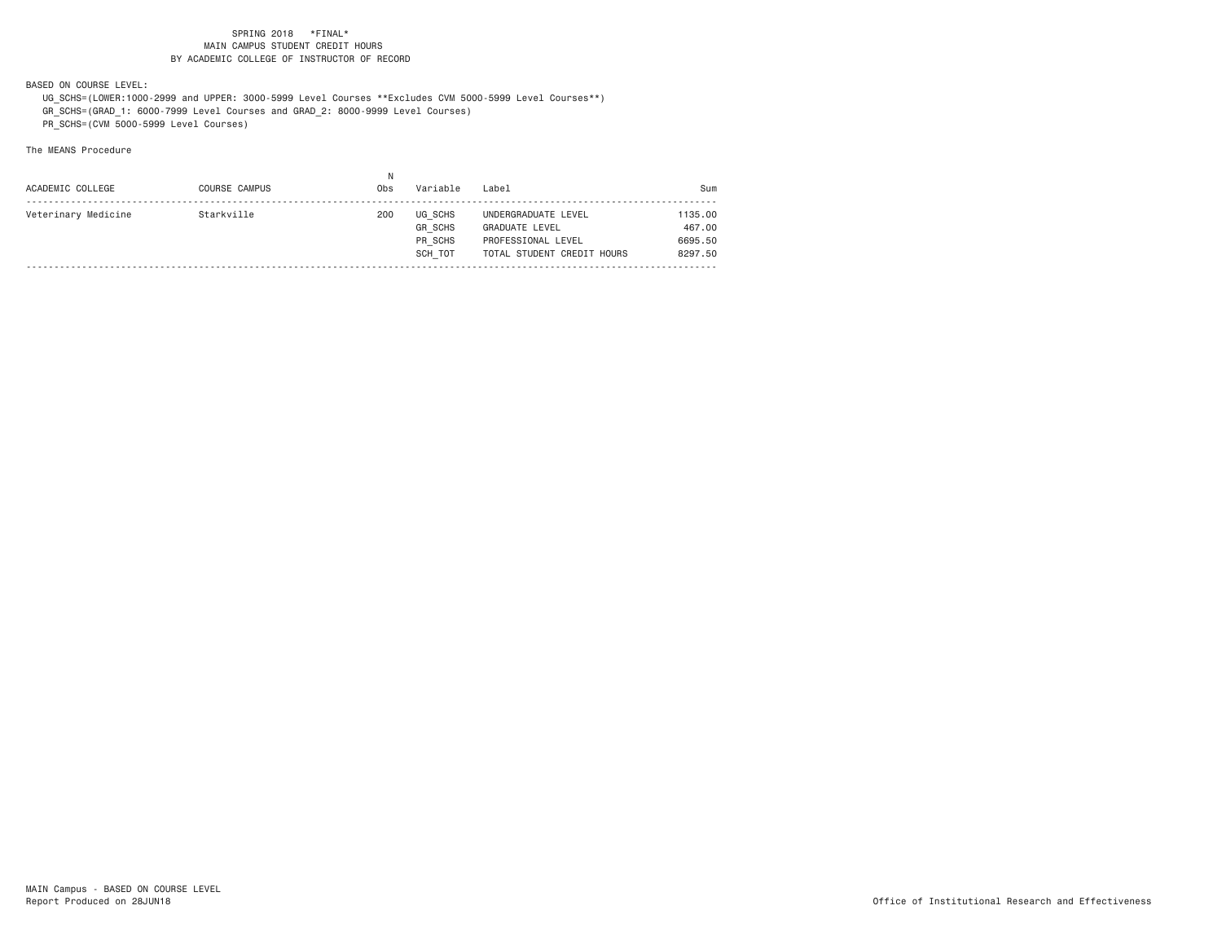BASED ON COURSE LEVEL:

 UG\_SCHS=(LOWER:1000-2999 and UPPER: 3000-5999 Level Courses \*\*Excludes CVM 5000-5999 Level Courses\*\*) GR\_SCHS=(GRAD\_1: 6000-7999 Level Courses and GRAD\_2: 8000-9999 Level Courses) PR\_SCHS=(CVM 5000-5999 Level Courses)

| Veterinary Medicine<br>Starkville<br>200<br>UG SCHS |                                                                   |
|-----------------------------------------------------|-------------------------------------------------------------------|
| <b>GR SCHS</b>                                      | 1135,00<br>UNDERGRADUATE LEVEL<br>467,00<br><b>GRADUATE LEVEL</b> |
| PR SCHS                                             | 6695.50<br>PROFESSIONAL LEVEL                                     |
| SCH TOT                                             | 8297.50<br>TOTAL STUDENT CREDIT HOURS                             |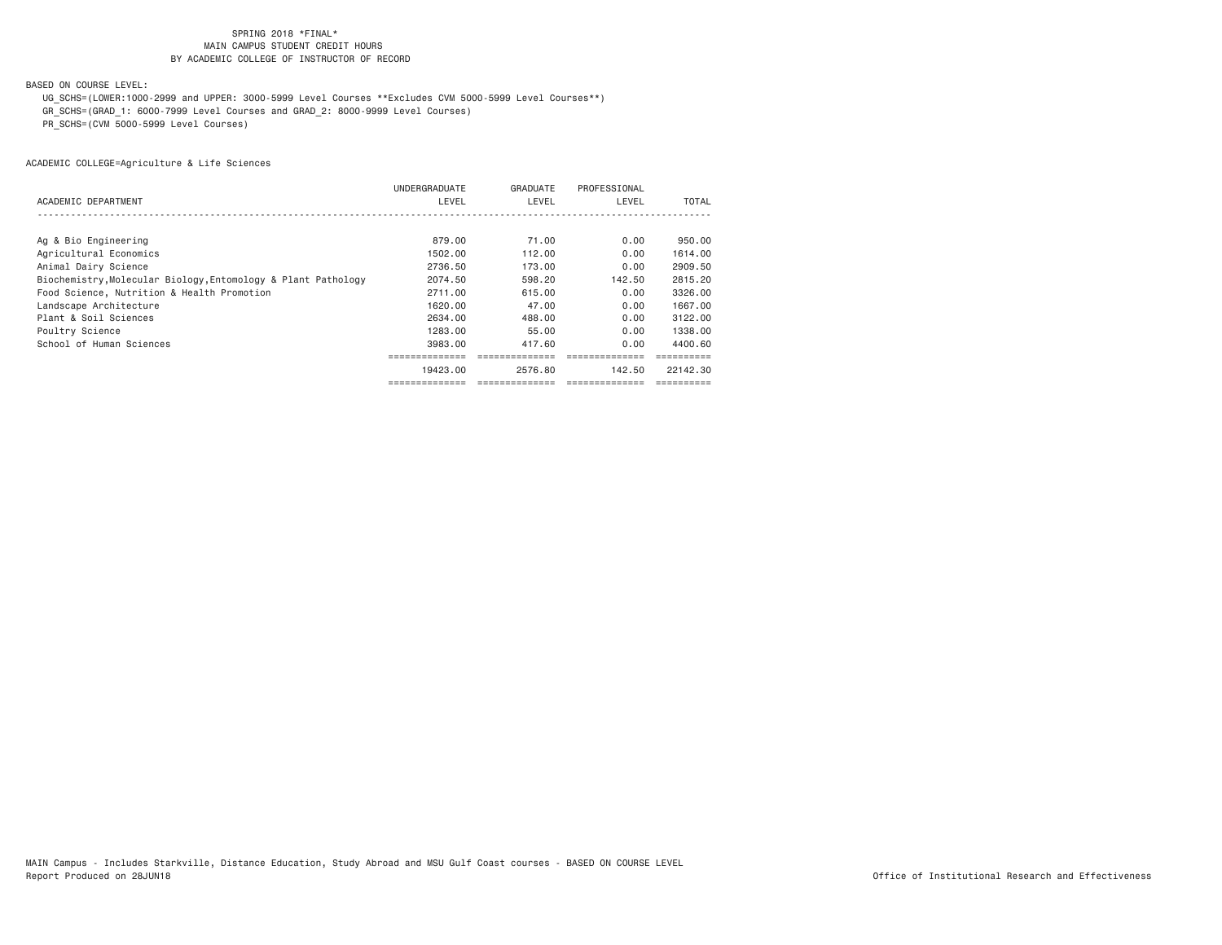# BASED ON COURSE LEVEL:

 UG\_SCHS=(LOWER:1000-2999 and UPPER: 3000-5999 Level Courses \*\*Excludes CVM 5000-5999 Level Courses\*\*) GR\_SCHS=(GRAD\_1: 6000-7999 Level Courses and GRAD\_2: 8000-9999 Level Courses) PR\_SCHS=(CVM 5000-5999 Level Courses)

| ACADEMIC DEPARTMENT                                           | UNDERGRADUATE<br>LEVEL | GRADUATE<br>LEVEL | PROFESSIONAL<br>LEVEL | TOTAL    |
|---------------------------------------------------------------|------------------------|-------------------|-----------------------|----------|
|                                                               |                        |                   |                       |          |
| Ag & Bio Engineering                                          | 879.00                 | 71.00             | 0.00                  | 950.00   |
| Agricultural Economics                                        | 1502.00                | 112.00            | 0.00                  | 1614.00  |
| Animal Dairy Science                                          | 2736.50                | 173.00            | 0.00                  | 2909.50  |
| Biochemistry, Molecular Biology, Entomology & Plant Pathology | 2074.50                | 598.20            | 142.50                | 2815.20  |
| Food Science, Nutrition & Health Promotion                    | 2711.00                | 615.00            | 0.00                  | 3326.00  |
| Landscape Architecture                                        | 1620,00                | 47.00             | 0.00                  | 1667.00  |
| Plant & Soil Sciences                                         | 2634.00                | 488.00            | 0.00                  | 3122.00  |
| Poultry Science                                               | 1283.00                | 55.00             | 0.00                  | 1338.00  |
| School of Human Sciences                                      | 3983.00                | 417.60            | 0.00                  | 4400.60  |
|                                                               |                        |                   |                       |          |
|                                                               | 19423.00               | 2576.80           | 142.50                | 22142.30 |
|                                                               |                        |                   |                       |          |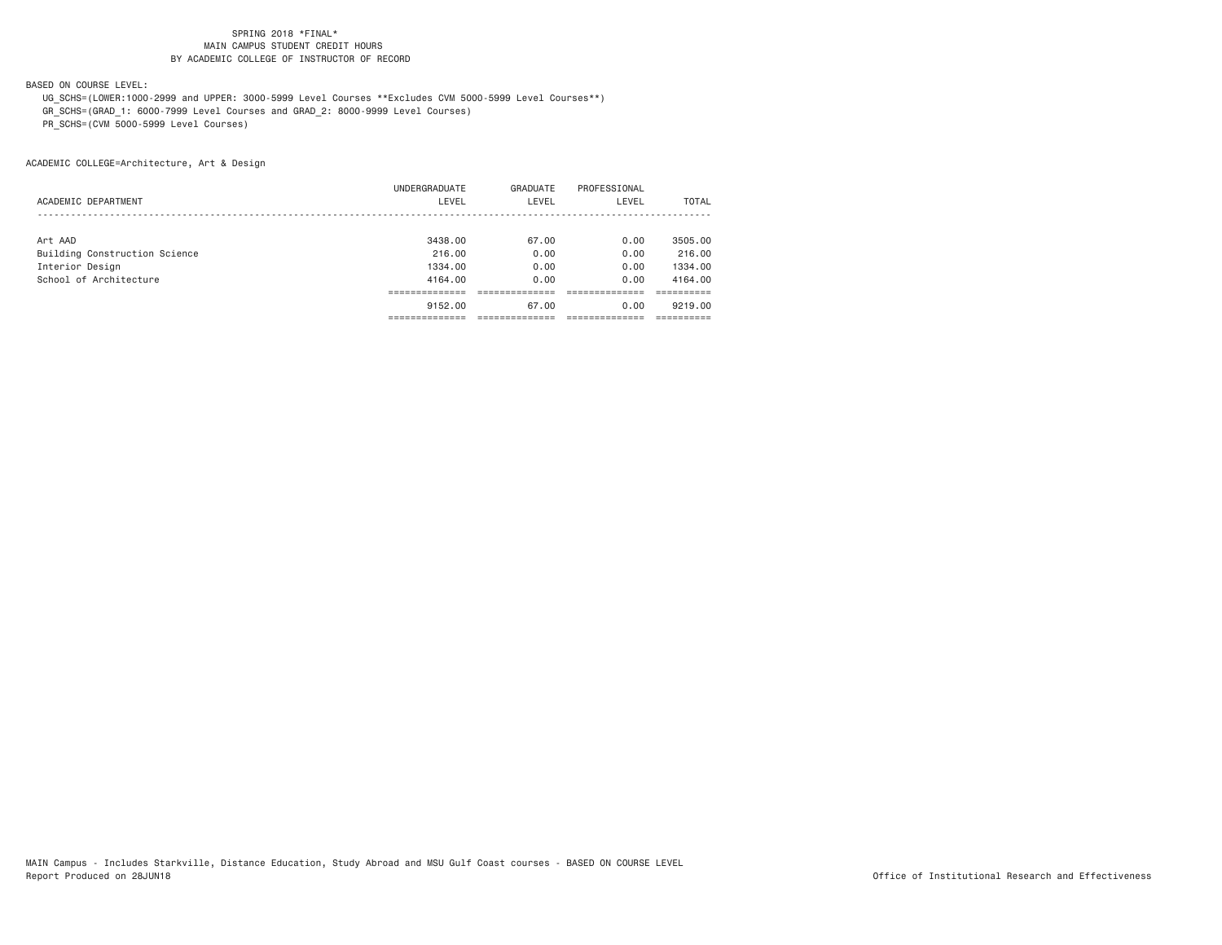# BASED ON COURSE LEVEL:

 UG\_SCHS=(LOWER:1000-2999 and UPPER: 3000-5999 Level Courses \*\*Excludes CVM 5000-5999 Level Courses\*\*) GR\_SCHS=(GRAD\_1: 6000-7999 Level Courses and GRAD\_2: 8000-9999 Level Courses) PR\_SCHS=(CVM 5000-5999 Level Courses)

ACADEMIC COLLEGE=Architecture, Art & Design

|                               | UNDERGRADUATE | GRADUATE | PROFESSIONAL |              |
|-------------------------------|---------------|----------|--------------|--------------|
| ACADEMIC DEPARTMENT           | LEVEL         | LEVEL    | LEVEL        | <b>TOTAL</b> |
|                               |               |          |              |              |
| Art AAD                       | 3438,00       | 67.00    | 0.00         | 3505,00      |
| Building Construction Science | 216,00        | 0.00     | 0.00         | 216,00       |
| Interior Design               | 1334.00       | 0.00     | 0.00         | 1334.00      |
| School of Architecture        | 4164.00       | 0.00     | 0.00         | 4164.00      |
|                               |               |          |              |              |
|                               | 9152.00       | 67.00    | 0.00         | 9219,00      |
|                               |               |          |              |              |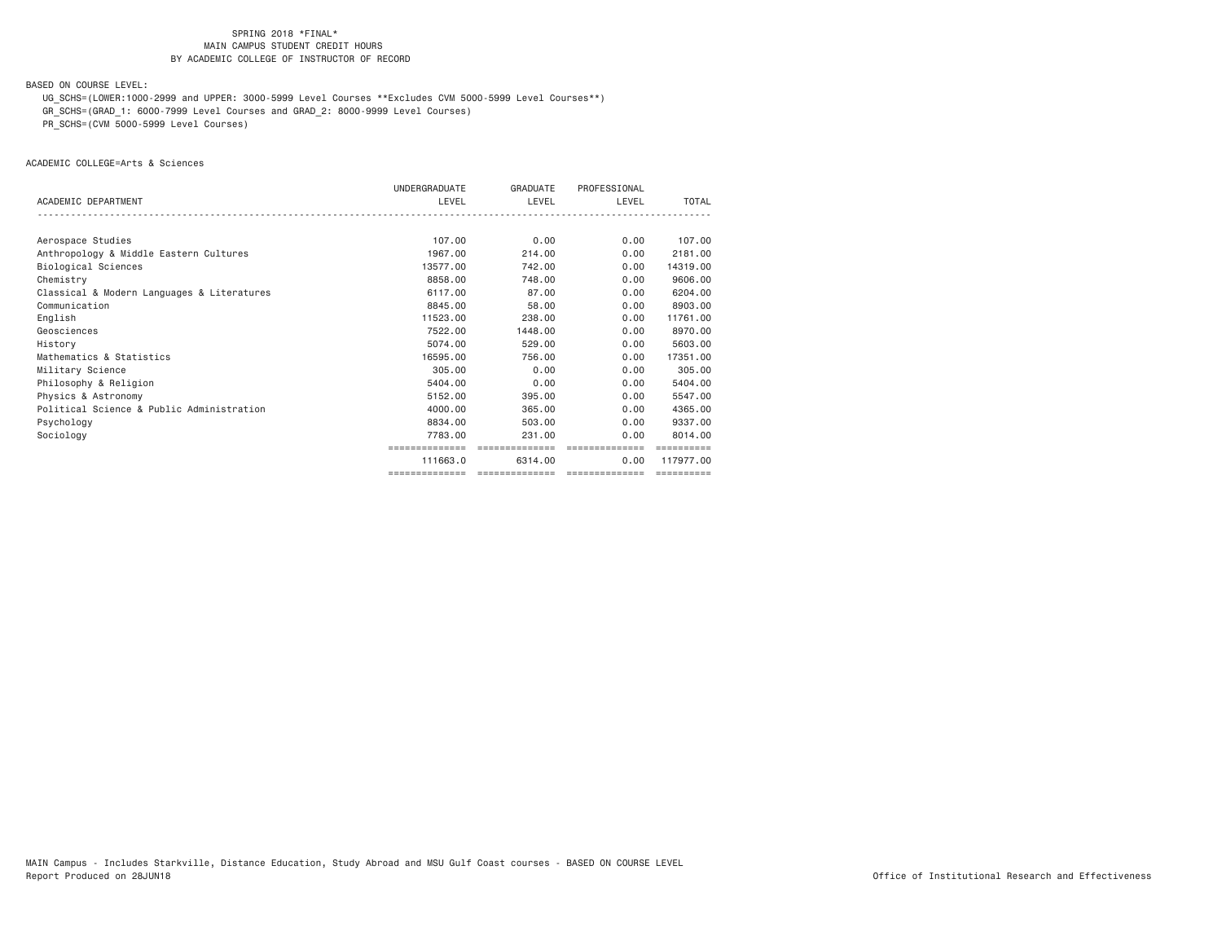BASED ON COURSE LEVEL:

 UG\_SCHS=(LOWER:1000-2999 and UPPER: 3000-5999 Level Courses \*\*Excludes CVM 5000-5999 Level Courses\*\*) GR\_SCHS=(GRAD\_1: 6000-7999 Level Courses and GRAD\_2: 8000-9999 Level Courses)

PR\_SCHS=(CVM 5000-5999 Level Courses)

ACADEMIC COLLEGE=Arts & Sciences

|                                            | UNDERGRADUATE | <b>GRADUATE</b> | PROFESSIONAL   |            |
|--------------------------------------------|---------------|-----------------|----------------|------------|
| ACADEMIC DEPARTMENT                        | LEVEL         | LEVEL           | LEVEL          | TOTAL      |
|                                            |               |                 |                |            |
| Aerospace Studies                          | 107.00        | 0.00            | 0.00           | 107.00     |
| Anthropology & Middle Eastern Cultures     | 1967.00       | 214,00          | 0.00           | 2181.00    |
| Biological Sciences                        | 13577.00      | 742.00          | 0.00           | 14319,00   |
| Chemistry                                  | 8858.00       | 748,00          | 0.00           | 9606,00    |
| Classical & Modern Languages & Literatures | 6117.00       | 87.00           | 0.00           | 6204.00    |
| Communication                              | 8845,00       | 58,00           | 0.00           | 8903.00    |
| English                                    | 11523,00      | 238,00          | 0.00           | 11761.00   |
| Geosciences                                | 7522.00       | 1448.00         | 0.00           | 8970.00    |
| History                                    | 5074.00       | 529,00          | 0.00           | 5603.00    |
| Mathematics & Statistics                   | 16595,00      | 756.00          | 0.00           | 17351.00   |
| Military Science                           | 305,00        | 0.00            | 0.00           | 305.00     |
| Philosophy & Religion                      | 5404.00       | 0.00            | 0.00           | 5404.00    |
| Physics & Astronomy                        | 5152.00       | 395,00          | 0.00           | 5547.00    |
| Political Science & Public Administration  | 4000.00       | 365,00          | 0.00           | 4365,00    |
| Psychology                                 | 8834.00       | 503,00          | 0.00           | 9337.00    |
| Sociology                                  | 7783.00       | 231.00          | 0.00           | 8014.00    |
|                                            | ===========   | ==============  | ============== |            |
|                                            | 111663.0      | 6314.00         | 0.00           | 117977.00  |
|                                            |               |                 |                | ========== |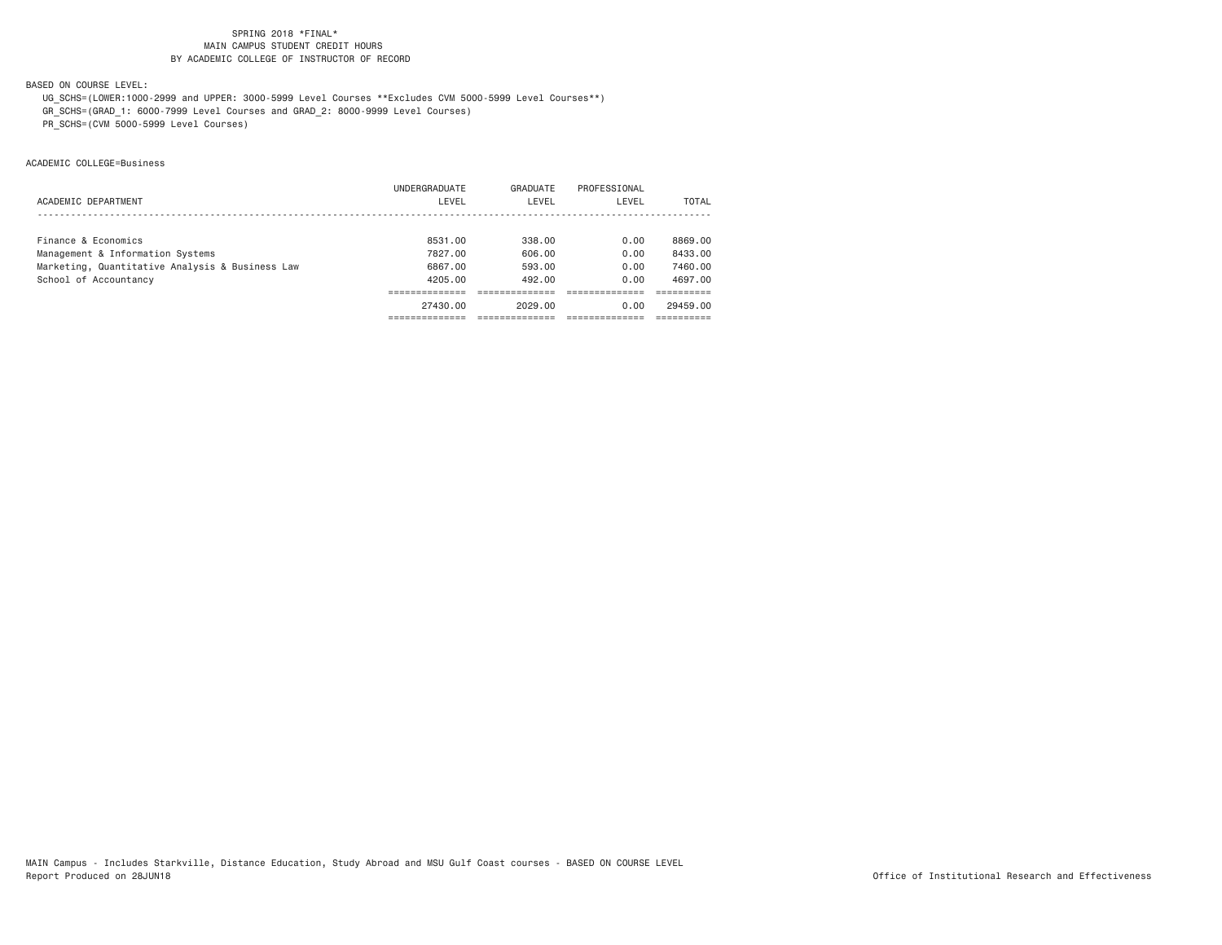# BASED ON COURSE LEVEL:

 UG\_SCHS=(LOWER:1000-2999 and UPPER: 3000-5999 Level Courses \*\*Excludes CVM 5000-5999 Level Courses\*\*) GR\_SCHS=(GRAD\_1: 6000-7999 Level Courses and GRAD\_2: 8000-9999 Level Courses) PR\_SCHS=(CVM 5000-5999 Level Courses)

ACADEMIC COLLEGE=Business

|                                                 | UNDERGRADUATE | GRADUATE | PROFESSIONAL |          |
|-------------------------------------------------|---------------|----------|--------------|----------|
| ACADEMIC DEPARTMENT                             | LEVEL         | LEVEL    | LEVEL        | TOTAL    |
|                                                 |               |          |              |          |
| Finance & Economics                             | 8531.00       | 338.00   | 0.00         | 8869.00  |
| Management & Information Systems                | 7827.00       | 606.00   | 0.00         | 8433.00  |
| Marketing, Quantitative Analysis & Business Law | 6867.00       | 593.00   | 0.00         | 7460.00  |
| School of Accountancy                           | 4205.00       | 492.00   | 0.00         | 4697.00  |
|                                                 |               |          |              |          |
|                                                 | 27430.00      | 2029.00  | 0.00         | 29459.00 |
|                                                 |               |          |              |          |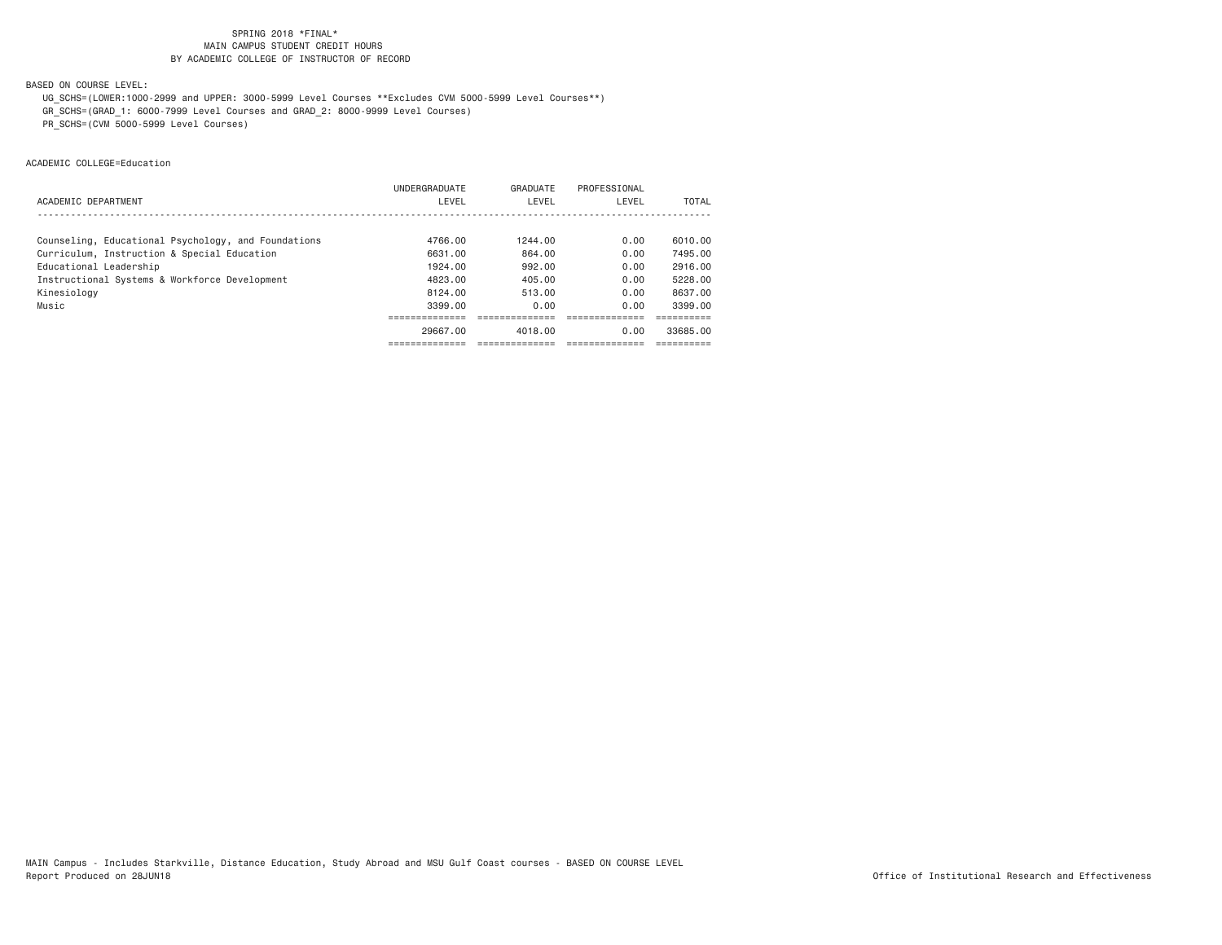BASED ON COURSE LEVEL:

 UG\_SCHS=(LOWER:1000-2999 and UPPER: 3000-5999 Level Courses \*\*Excludes CVM 5000-5999 Level Courses\*\*) GR\_SCHS=(GRAD\_1: 6000-7999 Level Courses and GRAD\_2: 8000-9999 Level Courses) PR\_SCHS=(CVM 5000-5999 Level Courses)

ACADEMIC COLLEGE=Education

|                                                     | UNDERGRADUATE | GRADUATE | PROFESSIONAL |          |
|-----------------------------------------------------|---------------|----------|--------------|----------|
| ACADEMIC DEPARTMENT                                 | LEVEL         | LEVEL    | LEVEL        | TOTAL    |
|                                                     |               |          |              |          |
| Counseling, Educational Psychology, and Foundations | 4766.00       | 1244.00  | 0.00         | 6010.00  |
| Curriculum, Instruction & Special Education         | 6631.00       | 864,00   | 0.00         | 7495.00  |
| Educational Leadership                              | 1924.00       | 992.00   | 0.00         | 2916.00  |
| Instructional Systems & Workforce Development       | 4823.00       | 405.00   | 0.00         | 5228.00  |
| Kinesiology                                         | 8124.00       | 513.00   | 0.00         | 8637.00  |
| Music                                               | 3399.00       | 0.00     | 0.00         | 3399.00  |
|                                                     |               |          |              |          |
|                                                     | 29667.00      | 4018,00  | 0.00         | 33685.00 |
|                                                     |               |          |              |          |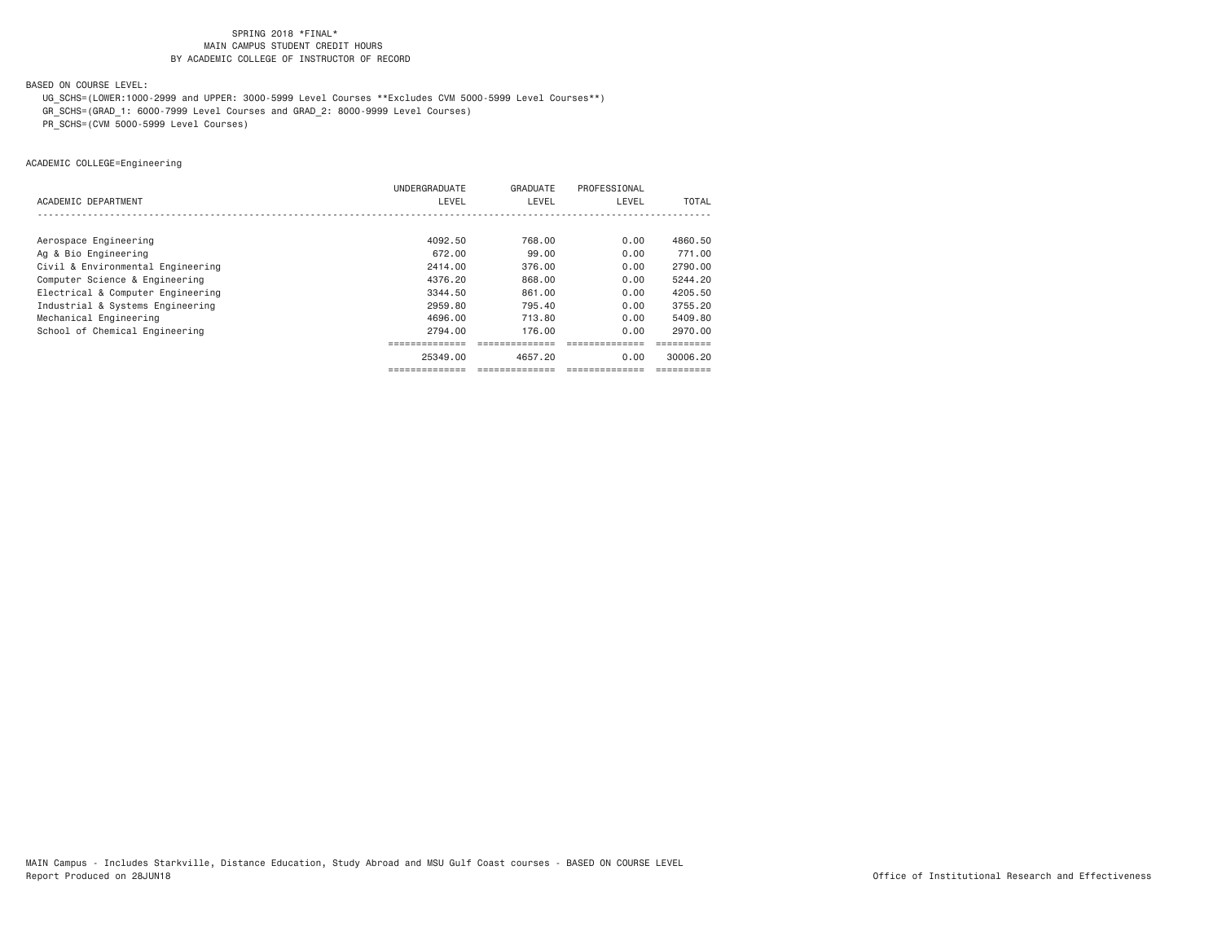BASED ON COURSE LEVEL:

 UG\_SCHS=(LOWER:1000-2999 and UPPER: 3000-5999 Level Courses \*\*Excludes CVM 5000-5999 Level Courses\*\*) GR\_SCHS=(GRAD\_1: 6000-7999 Level Courses and GRAD\_2: 8000-9999 Level Courses)

PR\_SCHS=(CVM 5000-5999 Level Courses)

ACADEMIC COLLEGE=Engineering

|                                   | UNDERGRADUATE | GRADUATE | PROFESSIONAL |              |
|-----------------------------------|---------------|----------|--------------|--------------|
| ACADEMIC DEPARTMENT               | LEVEL         | LEVEL    | LEVEL        | <b>TOTAL</b> |
|                                   |               |          |              |              |
| Aerospace Engineering             | 4092.50       | 768.00   | 0.00         | 4860.50      |
| Ag & Bio Engineering              | 672.00        | 99.00    | 0.00         | 771.00       |
| Civil & Environmental Engineering | 2414.00       | 376.00   | 0.00         | 2790.00      |
| Computer Science & Engineering    | 4376.20       | 868.00   | 0.00         | 5244.20      |
| Electrical & Computer Engineering | 3344.50       | 861.00   | 0.00         | 4205.50      |
| Industrial & Systems Engineering  | 2959.80       | 795.40   | 0.00         | 3755.20      |
| Mechanical Engineering            | 4696.00       | 713,80   | 0.00         | 5409.80      |
| School of Chemical Engineering    | 2794.00       | 176.00   | 0.00         | 2970.00      |
|                                   |               |          |              |              |
|                                   | 25349.00      | 4657.20  | 0.00         | 30006.20     |
|                                   |               |          |              |              |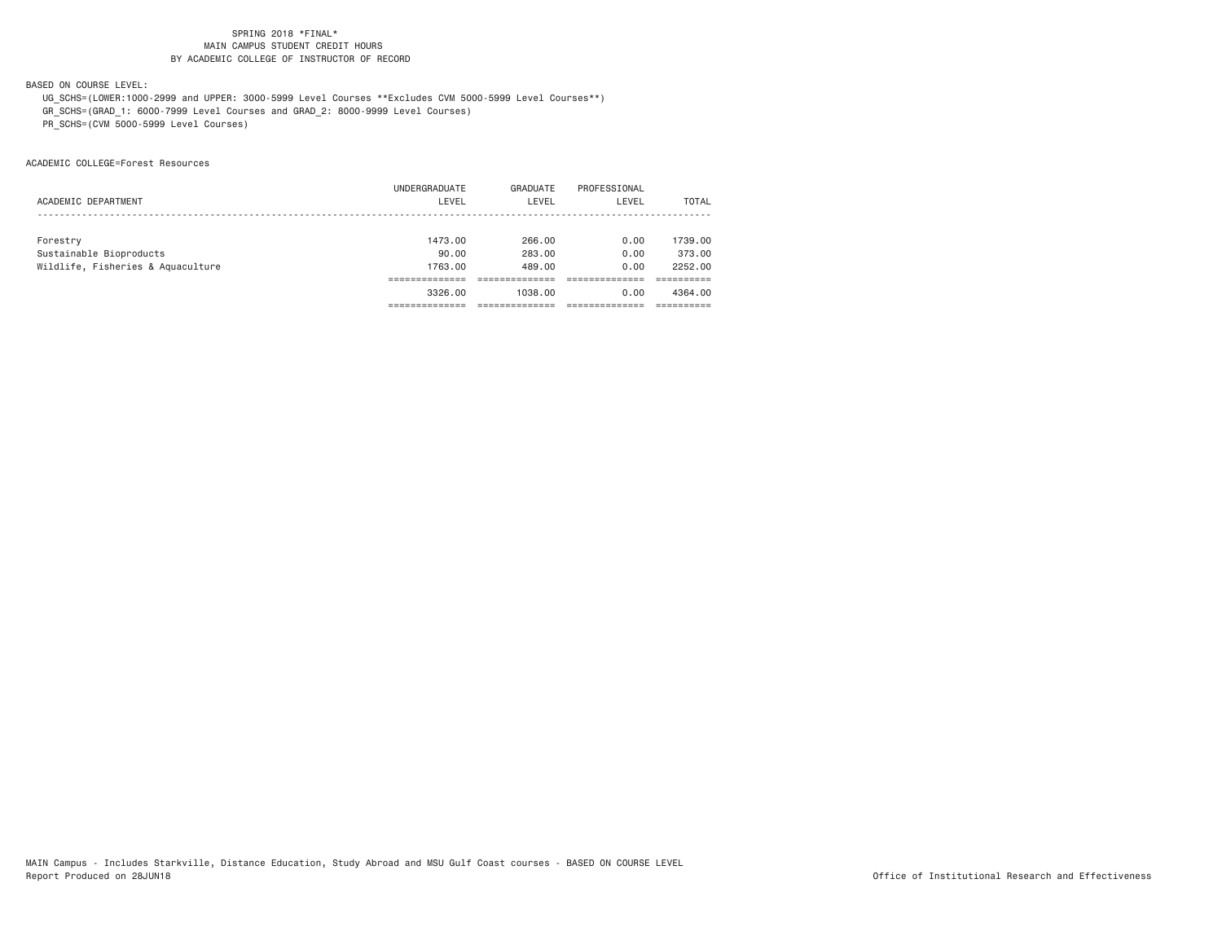BASED ON COURSE LEVEL:

 UG\_SCHS=(LOWER:1000-2999 and UPPER: 3000-5999 Level Courses \*\*Excludes CVM 5000-5999 Level Courses\*\*) GR\_SCHS=(GRAD\_1: 6000-7999 Level Courses and GRAD\_2: 8000-9999 Level Courses) PR\_SCHS=(CVM 5000-5999 Level Courses)

ACADEMIC COLLEGE=Forest Resources

|                                   | UNDERGRADUATE | GRADUATE | PROFESSIONAL |         |
|-----------------------------------|---------------|----------|--------------|---------|
| ACADEMIC DEPARTMENT               | LEVEL         | LEVEL    | LEVEL        | TOTAL   |
|                                   |               |          |              |         |
|                                   |               |          |              |         |
| Forestry                          | 1473.00       | 266.00   | 0.00         | 1739.00 |
| Sustainable Bioproducts           | 90.00         | 283,00   | 0.00         | 373,00  |
| Wildlife, Fisheries & Aquaculture | 1763.00       | 489.00   | 0.00         | 2252.00 |
|                                   |               |          |              |         |
|                                   | 3326,00       | 1038.00  | 0.00         | 4364.00 |
|                                   |               |          |              |         |
|                                   |               |          |              |         |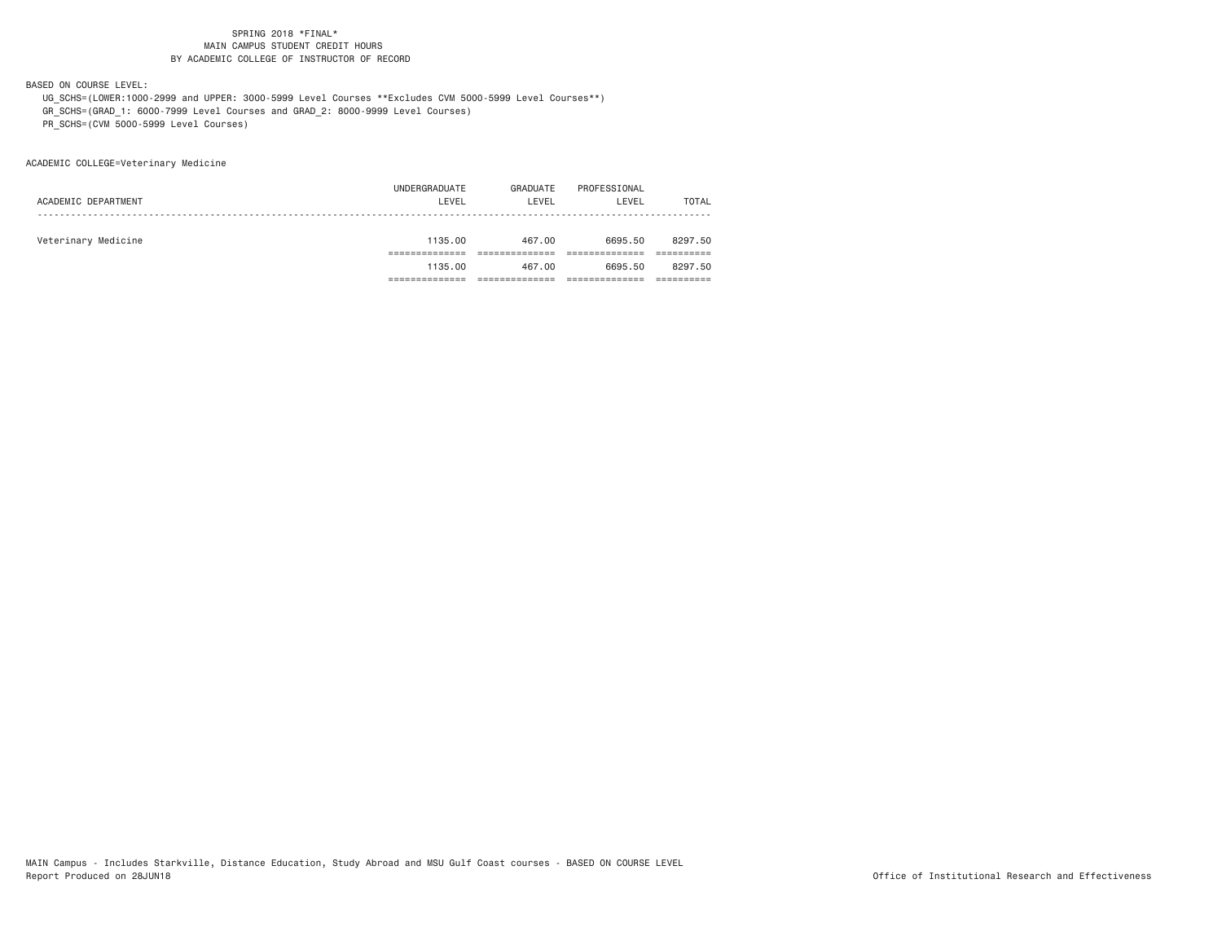BASED ON COURSE LEVEL:

 UG\_SCHS=(LOWER:1000-2999 and UPPER: 3000-5999 Level Courses \*\*Excludes CVM 5000-5999 Level Courses\*\*) GR\_SCHS=(GRAD\_1: 6000-7999 Level Courses and GRAD\_2: 8000-9999 Level Courses) PR\_SCHS=(CVM 5000-5999 Level Courses)

ACADEMIC COLLEGE=Veterinary Medicine

|                     | 1135.00       | 467.00   | 6695.50      | 8297.50 |
|---------------------|---------------|----------|--------------|---------|
|                     |               |          |              |         |
| Veterinary Medicine | 1135.00       | 467.00   | 6695.50      | 8297.50 |
|                     |               |          |              |         |
| ACADEMIC DEPARTMENT | LEVEL         | LEVEL    | LEVEL        | TOTAL   |
|                     | UNDERGRADUATE | GRADUATE | PROFESSIONAL |         |
|                     |               |          |              |         |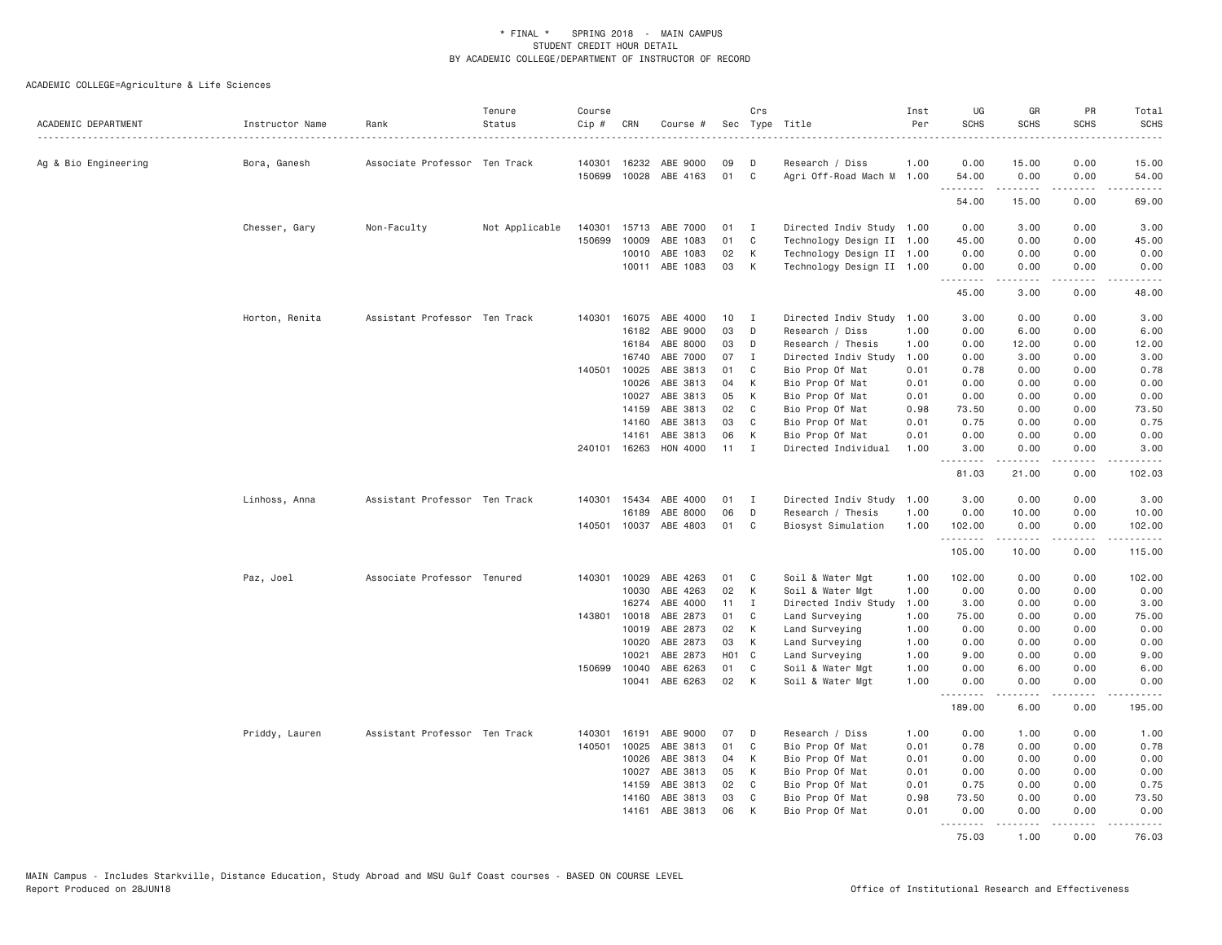| ACADEMIC DEPARTMENT  | Instructor Name | Rank                          | Tenure<br>Status | Course<br>$Cip$ # | CRN            | Course #              |          | Crs            | Sec Type Title                       | Inst<br>Per  | UG<br><b>SCHS</b> | GR<br><b>SCHS</b>                                                                                                                                            | PR<br><b>SCHS</b> | Total<br><b>SCHS</b><br>. |
|----------------------|-----------------|-------------------------------|------------------|-------------------|----------------|-----------------------|----------|----------------|--------------------------------------|--------------|-------------------|--------------------------------------------------------------------------------------------------------------------------------------------------------------|-------------------|---------------------------|
| Ag & Bio Engineering | Bora, Ganesh    | Associate Professor Ten Track |                  | 140301            | 16232          | ABE 9000              | 09       | D              | Research / Diss                      | 1.00         | 0.00              | 15.00                                                                                                                                                        | 0.00              | 15.00                     |
|                      |                 |                               |                  | 150699            |                | 10028 ABE 4163        | 01       | $\mathbf{C}$   | Agri Off-Road Mach M 1.00            |              | 54.00<br><u>.</u> | 0.00<br>.                                                                                                                                                    | 0.00<br>.         | 54.00<br>.                |
|                      |                 |                               |                  |                   |                |                       |          |                |                                      |              | 54.00             | 15.00                                                                                                                                                        | 0.00              | 69.00                     |
|                      | Chesser, Gary   | Non-Faculty                   | Not Applicable   | 140301            |                | 15713 ABE 7000        | 01       | $\mathbf{I}$   | Directed Indiv Study 1.00            |              | 0.00              | 3.00                                                                                                                                                         | 0.00              | 3.00                      |
|                      |                 |                               |                  | 150699            | 10009          | ABE 1083              | 01       | C              | Technology Design II 1.00            |              | 45.00             | 0.00                                                                                                                                                         | 0.00              | 45.00                     |
|                      |                 |                               |                  |                   | 10010          | ABE 1083              | 02       | К              | Technology Design II 1.00            |              | 0.00              | 0.00                                                                                                                                                         | 0.00              | 0.00                      |
|                      |                 |                               |                  |                   |                | 10011 ABE 1083        | 03       | K              | Technology Design II 1.00            |              | 0.00<br>.         | 0.00<br>-----                                                                                                                                                | 0.00<br>.         | 0.00<br>.                 |
|                      |                 |                               |                  |                   |                |                       |          |                |                                      |              | 45.00             | 3.00                                                                                                                                                         | 0.00              | 48.00                     |
|                      | Horton, Renita  | Assistant Professor Ten Track |                  | 140301            | 16075          | ABE 4000              | 10       | Ι.             | Directed Indiv Study                 | 1.00         | 3.00              | 0.00                                                                                                                                                         | 0.00              | 3.00                      |
|                      |                 |                               |                  |                   | 16182          | ABE 9000              | 03       | D              | Research / Diss                      | 1.00         | 0.00              | 6.00                                                                                                                                                         | 0.00              | 6.00                      |
|                      |                 |                               |                  |                   | 16184          | ABE 8000              | 03       | D              | Research / Thesis                    | 1.00         | 0.00              | 12.00                                                                                                                                                        | 0.00              | 12.00                     |
|                      |                 |                               |                  |                   | 16740          | ABE 7000              | 07       | $\mathbf{I}$   | Directed Indiv Study                 | 1.00         | 0.00              | 3.00                                                                                                                                                         | 0.00              | 3.00                      |
|                      |                 |                               |                  | 140501            | 10025          | ABE 3813              | 01       | C              | Bio Prop Of Mat                      | 0.01         | 0.78              | 0.00                                                                                                                                                         | 0.00              | 0.78                      |
|                      |                 |                               |                  |                   | 10026          | ABE 3813              | 04       | K              | Bio Prop Of Mat                      | 0.01         | 0.00              | 0.00                                                                                                                                                         | 0.00              | 0.00                      |
|                      |                 |                               |                  |                   | 10027          | ABE 3813              | 05       | К              | Bio Prop Of Mat                      | 0.01         | 0.00              | 0.00                                                                                                                                                         | 0.00              | 0.00                      |
|                      |                 |                               |                  |                   | 14159          | ABE 3813              | 02       | C              | Bio Prop Of Mat                      | 0.98         | 73.50             | 0.00                                                                                                                                                         | 0.00              | 73.50                     |
|                      |                 |                               |                  |                   | 14160          | ABE 3813              | 03       | C              | Bio Prop Of Mat                      | 0.01         | 0.75              | 0.00                                                                                                                                                         | 0.00              | 0.75                      |
|                      |                 |                               |                  |                   | 14161          | ABE 3813              | 06       | К              | Bio Prop Of Mat                      | 0.01         | 0.00              | 0.00                                                                                                                                                         | 0.00              | 0.00                      |
|                      |                 |                               |                  |                   |                | 240101 16263 HON 4000 | 11       | $\mathbf{I}$   | Directed Individual                  | 1.00         | 3.00<br>.         | 0.00<br>د د د د د                                                                                                                                            | 0.00<br>.         | 3.00<br>.                 |
|                      |                 |                               |                  |                   |                |                       |          |                |                                      |              | 81.03             | 21.00                                                                                                                                                        | 0.00              | 102.03                    |
|                      | Linhoss, Anna   | Assistant Professor Ten Track |                  |                   | 140301 15434   | ABE 4000              | 01       | $\mathbf I$    | Directed Indiv Study 1.00            |              | 3.00              | 0.00                                                                                                                                                         | 0.00              | 3.00                      |
|                      |                 |                               |                  |                   | 16189          | ABE 8000              | 06       | D              | Research / Thesis                    | 1.00         | 0.00              | 10.00                                                                                                                                                        | 0.00              | 10.00                     |
|                      |                 |                               |                  |                   |                | 140501 10037 ABE 4803 | 01       | C <sub>1</sub> | Biosyst Simulation                   | 1.00         | 102.00<br>.       | 0.00                                                                                                                                                         | 0.00<br>بالمحام   | 102.00<br>.               |
|                      |                 |                               |                  |                   |                |                       |          |                |                                      |              | 105.00            | 10.00                                                                                                                                                        | 0.00              | 115.00                    |
|                      | Paz, Joel       | Associate Professor Tenured   |                  | 140301            | 10029          | ABE 4263              | 01       | C              | Soil & Water Mgt                     | 1.00         | 102.00            | 0.00                                                                                                                                                         | 0.00              | 102.00                    |
|                      |                 |                               |                  |                   | 10030          | ABE 4263              | 02       | К              | Soil & Water Mgt                     | 1.00         | 0.00              | 0.00                                                                                                                                                         | 0.00              | 0.00                      |
|                      |                 |                               |                  |                   | 16274          | ABE 4000              | 11       | I              | Directed Indiv Study                 | 1.00         | 3.00              | 0.00                                                                                                                                                         | 0.00              | 3.00                      |
|                      |                 |                               |                  | 143801            | 10018          | ABE 2873              | 01       | C              | Land Surveying                       | 1.00         | 75.00             | 0.00                                                                                                                                                         | 0.00              | 75.00                     |
|                      |                 |                               |                  |                   | 10019          | ABE 2873              | 02       | К              | Land Surveying                       | 1.00         | 0.00              | 0.00                                                                                                                                                         | 0.00              | 0.00                      |
|                      |                 |                               |                  |                   | 10020          | ABE 2873              | 03       | K              | Land Surveying                       | 1.00         | 0.00              | 0.00                                                                                                                                                         | 0.00              | 0.00                      |
|                      |                 |                               |                  |                   | 10021          | ABE 2873              | H01 C    |                | Land Surveying                       | 1.00         | 9.00              | 0.00                                                                                                                                                         | 0.00              | 9.00                      |
|                      |                 |                               |                  | 150699            | 10040<br>10041 | ABE 6263<br>ABE 6263  | 01<br>02 | C<br>K         | Soil & Water Mgt<br>Soil & Water Mgt | 1.00<br>1.00 | 0.00<br>0.00      | 6.00<br>0.00                                                                                                                                                 | 0.00<br>0.00      | 6.00<br>0.00              |
|                      |                 |                               |                  |                   |                |                       |          |                |                                      |              | 189.00            | $\frac{1}{2} \left( \frac{1}{2} \right) \left( \frac{1}{2} \right) \left( \frac{1}{2} \right) \left( \frac{1}{2} \right) \left( \frac{1}{2} \right)$<br>6.00 | .<br>0.00         | المتمام<br>195.00         |
|                      |                 |                               |                  |                   |                |                       |          |                |                                      |              |                   |                                                                                                                                                              |                   |                           |
|                      | Priddy, Lauren  | Assistant Professor Ten Track |                  | 140301<br>140501  | 16191<br>10025 | ABE 9000<br>ABE 3813  | 07<br>01 | D<br>C         | Research / Diss<br>Bio Prop Of Mat   | 1.00<br>0.01 | 0.00<br>0.78      | 1.00<br>0.00                                                                                                                                                 | 0.00<br>0.00      | 1.00<br>0.78              |
|                      |                 |                               |                  |                   | 10026          | ABE 3813              | 04       | К              | Bio Prop Of Mat                      | 0.01         | 0.00              | 0.00                                                                                                                                                         | 0.00              | 0.00                      |
|                      |                 |                               |                  |                   | 10027          | ABE 3813              | 05       | К              | Bio Prop Of Mat                      | 0.01         | 0.00              | 0.00                                                                                                                                                         | 0.00              | 0.00                      |
|                      |                 |                               |                  |                   | 14159          | ABE 3813              | 02       | C              | Bio Prop Of Mat                      | 0.01         | 0.75              | 0.00                                                                                                                                                         | 0.00              | 0.75                      |
|                      |                 |                               |                  |                   | 14160          | ABE 3813              | 03       | C              | Bio Prop Of Mat                      | 0.98         | 73.50             | 0.00                                                                                                                                                         | 0.00              | 73.50                     |
|                      |                 |                               |                  |                   | 14161          | ABE 3813              | 06       | К              | Bio Prop Of Mat                      | 0.01         | 0.00              | 0.00                                                                                                                                                         | 0.00              | 0.00                      |
|                      |                 |                               |                  |                   |                |                       |          |                |                                      |              | .<br>75.03        | $- - - - -$<br>1.00                                                                                                                                          | .<br>0.00         | .<br>76.03                |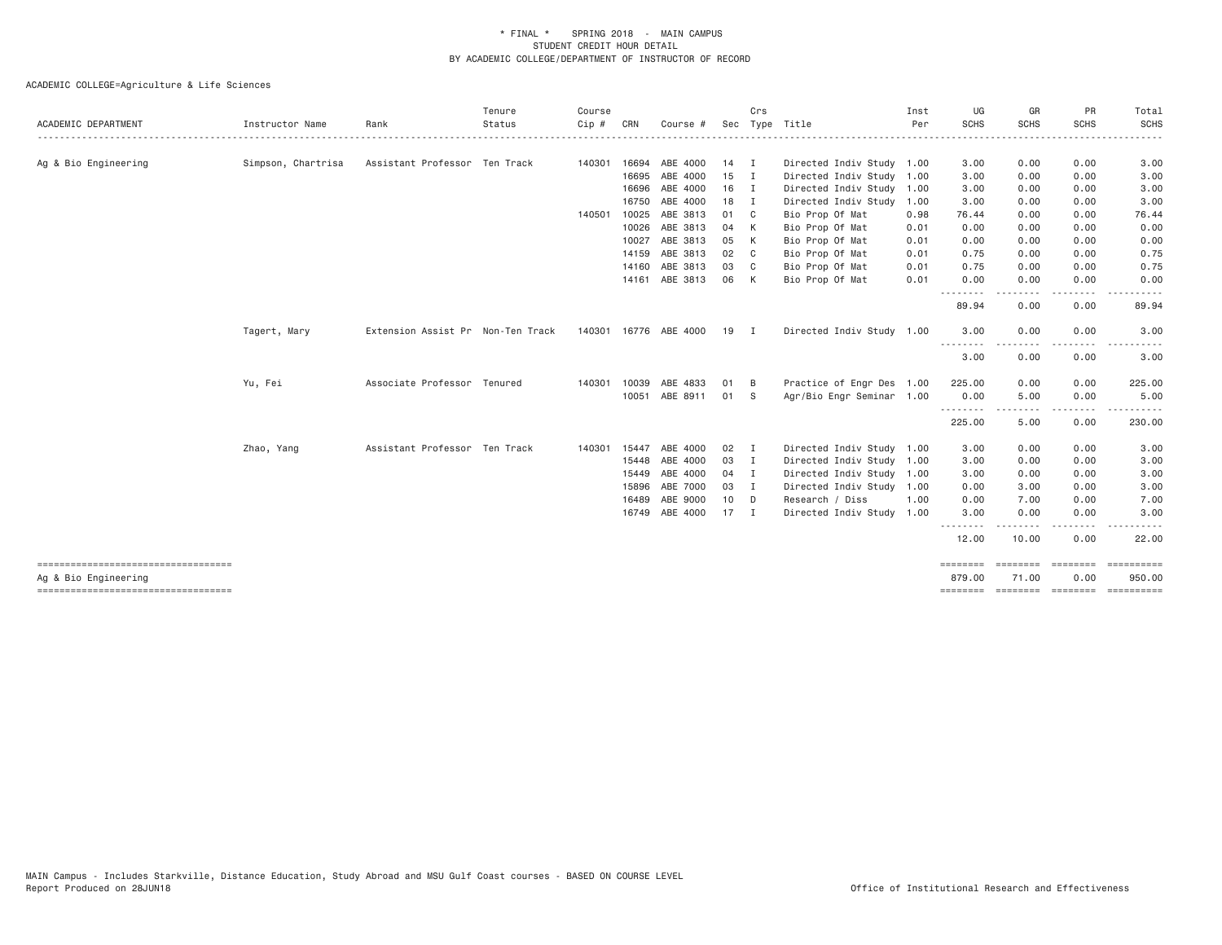| ACADEMIC DEPARTMENT                                            | Instructor Name    | Rank                              | Tenure<br>Status | Course<br>Cip # | CRN   | Course #                   |               | Crs            | Sec Type Title                                         | Inst<br>Per | UG<br><b>SCHS</b> | GR<br><b>SCHS</b> | PR<br><b>SCHS</b>  | Total<br>SCHS                                                                                                                                                                                                                                                                                                                                                                                                                                                                                    |
|----------------------------------------------------------------|--------------------|-----------------------------------|------------------|-----------------|-------|----------------------------|---------------|----------------|--------------------------------------------------------|-------------|-------------------|-------------------|--------------------|--------------------------------------------------------------------------------------------------------------------------------------------------------------------------------------------------------------------------------------------------------------------------------------------------------------------------------------------------------------------------------------------------------------------------------------------------------------------------------------------------|
|                                                                |                    | Assistant Professor Ten Track     |                  |                 |       | 16694 ABE 4000             | $14$ I        |                |                                                        |             |                   | 0.00              | 0.00               |                                                                                                                                                                                                                                                                                                                                                                                                                                                                                                  |
| Ag & Bio Engineering                                           | Simpson, Chartrisa |                                   |                  | 140301          | 16695 | ABE 4000                   | $15$ I        |                | Directed Indiv Study 1.00<br>Directed Indiv Study 1.00 |             | 3.00<br>3.00      | 0.00              | 0.00               | 3.00<br>3.00                                                                                                                                                                                                                                                                                                                                                                                                                                                                                     |
|                                                                |                    |                                   |                  |                 | 16696 | ABE 4000                   | $16$ I        |                | Directed Indiv Study 1.00                              |             | 3.00              | 0.00              | 0.00               | 3.00                                                                                                                                                                                                                                                                                                                                                                                                                                                                                             |
|                                                                |                    |                                   |                  |                 | 16750 | ABE 4000                   | 18 I          |                | Directed Indiv Study                                   | 1.00        | 3.00              | 0.00              | 0.00               | 3.00                                                                                                                                                                                                                                                                                                                                                                                                                                                                                             |
|                                                                |                    |                                   |                  | 140501          | 10025 | ABE 3813                   | 01            | C              | Bio Prop Of Mat                                        | 0.98        | 76.44             | 0.00              | 0.00               | 76.44                                                                                                                                                                                                                                                                                                                                                                                                                                                                                            |
|                                                                |                    |                                   |                  |                 | 10026 | ABE 3813                   | 04            | K              | Bio Prop Of Mat                                        | 0.01        | 0.00              | 0.00              | 0.00               | 0.00                                                                                                                                                                                                                                                                                                                                                                                                                                                                                             |
|                                                                |                    |                                   |                  |                 | 10027 | ABE 3813                   | 05            | K              | Bio Prop Of Mat                                        | 0.01        | 0.00              | 0.00              | 0.00               | 0.00                                                                                                                                                                                                                                                                                                                                                                                                                                                                                             |
|                                                                |                    |                                   |                  |                 | 14159 | ABE 3813                   | 02            | C              | Bio Prop Of Mat                                        | 0.01        | 0.75              | 0.00              | 0.00               | 0.75                                                                                                                                                                                                                                                                                                                                                                                                                                                                                             |
|                                                                |                    |                                   |                  |                 | 14160 | ABE 3813                   | 03            | C              | Bio Prop Of Mat                                        | 0.01        | 0.75              | 0.00              | 0.00               | 0.75                                                                                                                                                                                                                                                                                                                                                                                                                                                                                             |
|                                                                |                    |                                   |                  |                 |       | 14161 ABE 3813             | 06            | K              | Bio Prop Of Mat                                        | 0.01        | 0.00              | 0.00              | 0.00               | 0.00                                                                                                                                                                                                                                                                                                                                                                                                                                                                                             |
|                                                                |                    |                                   |                  |                 |       |                            |               |                |                                                        |             | .                 | .                 |                    |                                                                                                                                                                                                                                                                                                                                                                                                                                                                                                  |
|                                                                |                    |                                   |                  |                 |       |                            |               |                |                                                        |             | 89.94             | 0.00              | 0.00               | 89.94                                                                                                                                                                                                                                                                                                                                                                                                                                                                                            |
|                                                                | Tagert, Mary       | Extension Assist Pr Non-Ten Track |                  |                 |       | 140301 16776 ABE 4000 19 I |               |                | Directed Indiv Study 1.00                              |             | 3.00              | 0.00              | 0.00               | 3.00                                                                                                                                                                                                                                                                                                                                                                                                                                                                                             |
|                                                                |                    |                                   |                  |                 |       |                            |               |                |                                                        |             | .<br>3.00         | - - - - -<br>0.00 | $- - - -$<br>0.00  | 3.00                                                                                                                                                                                                                                                                                                                                                                                                                                                                                             |
|                                                                | Yu, Fei            | Associate Professor Tenured       |                  | 140301          | 10039 | ABE 4833                   | 01            | B              | Practice of Engr Des 1.00                              |             | 225.00            | 0.00              | 0.00               | 225.00                                                                                                                                                                                                                                                                                                                                                                                                                                                                                           |
|                                                                |                    |                                   |                  |                 |       | 10051 ABE 8911             | 01            | - S            | Agr/Bio Engr Seminar 1.00                              |             | 0.00              | 5.00              | 0.00               | 5.00                                                                                                                                                                                                                                                                                                                                                                                                                                                                                             |
|                                                                |                    |                                   |                  |                 |       |                            |               |                |                                                        |             | .<br>225.00       | $\cdots$<br>5.00  | $- - - -$<br>0.00  | . <u>.</u><br>230.00                                                                                                                                                                                                                                                                                                                                                                                                                                                                             |
|                                                                | Zhao, Yang         | Assistant Professor Ten Track     |                  | 140301          | 15447 | ABE 4000                   | $02 \qquad I$ |                | Directed Indiv Study 1.00                              |             | 3.00              | 0.00              | 0.00               | 3.00                                                                                                                                                                                                                                                                                                                                                                                                                                                                                             |
|                                                                |                    |                                   |                  |                 |       | 15448 ABE 4000             | 03 I          |                | Directed Indiv Study 1.00                              |             | 3.00              | 0.00              | 0.00               | 3.00                                                                                                                                                                                                                                                                                                                                                                                                                                                                                             |
|                                                                |                    |                                   |                  |                 | 15449 | ABE 4000                   | 04            | $\blacksquare$ | Directed Indiv Study 1.00                              |             | 3.00              | 0.00              | 0.00               | 3.00                                                                                                                                                                                                                                                                                                                                                                                                                                                                                             |
|                                                                |                    |                                   |                  |                 | 15896 | ABE 7000                   | 03 I          |                | Directed Indiv Study 1.00                              |             | 0.00              | 3.00              | 0.00               | 3.00                                                                                                                                                                                                                                                                                                                                                                                                                                                                                             |
|                                                                |                    |                                   |                  |                 | 16489 | ABE 9000                   | 10            | D <sub>D</sub> | Research / Diss                                        | 1.00        | 0.00              | 7.00              | 0.00               | 7.00                                                                                                                                                                                                                                                                                                                                                                                                                                                                                             |
|                                                                |                    |                                   |                  |                 |       | 16749 ABE 4000             | $17$ I        |                | Directed Indiv Study 1.00                              |             | 3.00              | 0.00              | 0.00               | 3.00                                                                                                                                                                                                                                                                                                                                                                                                                                                                                             |
|                                                                |                    |                                   |                  |                 |       |                            |               |                |                                                        |             | 12.00             | 10.00             | 0.00               | 22.00                                                                                                                                                                                                                                                                                                                                                                                                                                                                                            |
| ======================================<br>Ag & Bio Engineering |                    |                                   |                  |                 |       |                            |               |                |                                                        |             | 879.00            | 71.00             | --------<br>0.00   | $\begin{array}{cccccccccc} \multicolumn{3}{c}{} & \multicolumn{3}{c}{} & \multicolumn{3}{c}{} & \multicolumn{3}{c}{} & \multicolumn{3}{c}{} & \multicolumn{3}{c}{} & \multicolumn{3}{c}{} & \multicolumn{3}{c}{} & \multicolumn{3}{c}{} & \multicolumn{3}{c}{} & \multicolumn{3}{c}{} & \multicolumn{3}{c}{} & \multicolumn{3}{c}{} & \multicolumn{3}{c}{} & \multicolumn{3}{c}{} & \multicolumn{3}{c}{} & \multicolumn{3}{c}{} & \multicolumn{3}{c}{} & \multicolumn{3}{c}{} & \mult$<br>950.00 |
| ------------------------------------                           |                    |                                   |                  |                 |       |                            |               |                |                                                        |             | ========          |                   | ================== | ==========                                                                                                                                                                                                                                                                                                                                                                                                                                                                                       |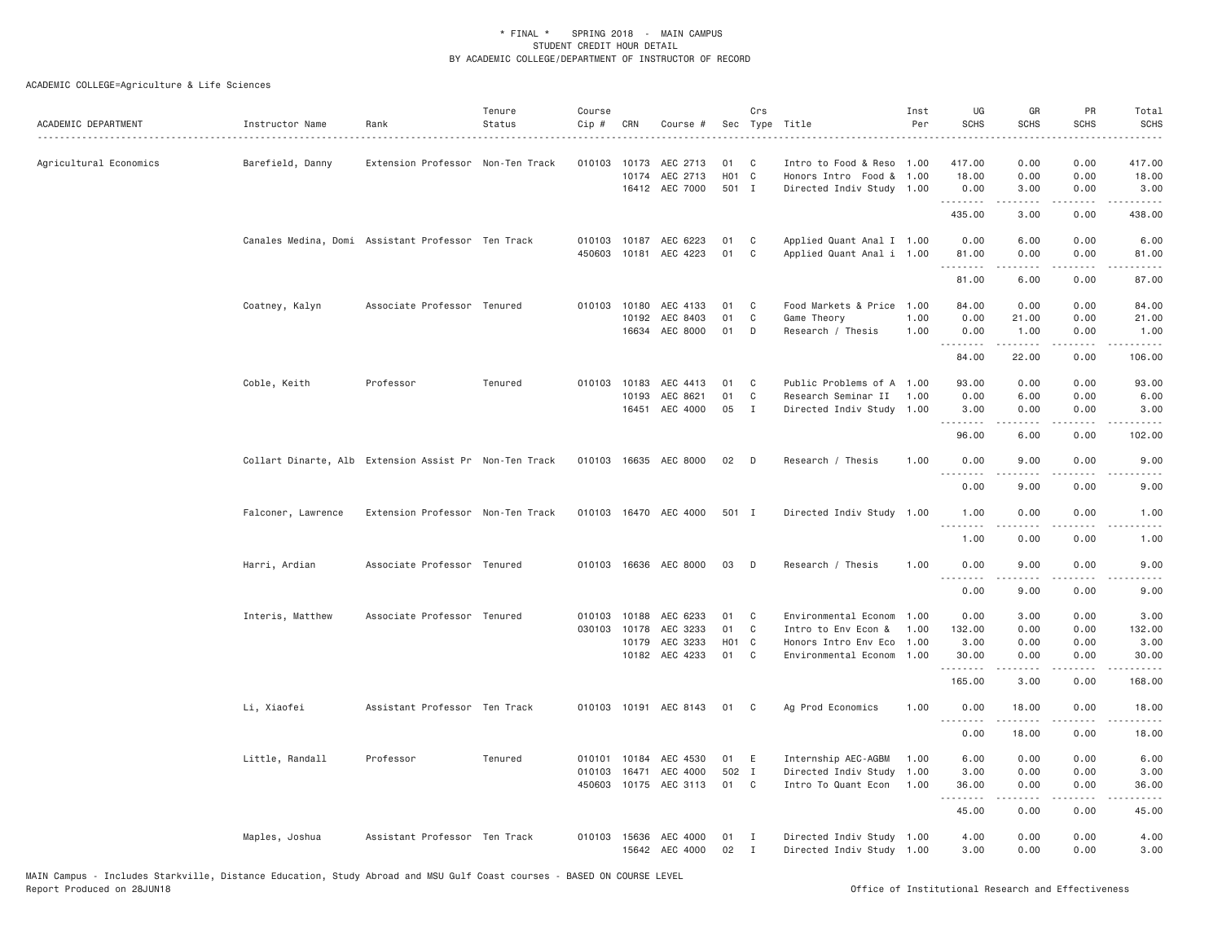| ACADEMIC DEPARTMENT    | Instructor Name    | Rank                                                   | Tenure<br>Status | Course<br>Cip # | CRN                                   | Course #                                                   |                                     | Crs                             | Sec Type Title                                                                              | Inst<br>Per                  | UG<br><b>SCHS</b>                              | GR<br><b>SCHS</b>                                                                                                                                            | PR<br><b>SCHS</b>                         | Total<br><b>SCHS</b><br>$\frac{1}{2} \left( \frac{1}{2} \right) \left( \frac{1}{2} \right) \left( \frac{1}{2} \right) \left( \frac{1}{2} \right)$ |
|------------------------|--------------------|--------------------------------------------------------|------------------|-----------------|---------------------------------------|------------------------------------------------------------|-------------------------------------|---------------------------------|---------------------------------------------------------------------------------------------|------------------------------|------------------------------------------------|--------------------------------------------------------------------------------------------------------------------------------------------------------------|-------------------------------------------|---------------------------------------------------------------------------------------------------------------------------------------------------|
| Agricultural Economics | Barefield, Danny   | Extension Professor Non-Ten Track                      |                  |                 | 010103 10173<br>10174                 | AEC 2713<br>AEC 2713<br>16412 AEC 7000                     | 01<br>H01 C<br>501 I                | C                               | Intro to Food & Reso 1.00<br>Honors Intro Food & 1.00<br>Directed Indiv Study 1.00          |                              | 417.00<br>18.00<br>0.00                        | 0.00<br>0.00<br>3.00                                                                                                                                         | 0.00<br>0.00<br>0.00                      | 417.00<br>18.00<br>3.00                                                                                                                           |
|                        |                    |                                                        |                  |                 |                                       |                                                            |                                     |                                 |                                                                                             |                              | .<br>435.00                                    | -----<br>3.00                                                                                                                                                | .<br>0.00                                 | -----<br>438.00                                                                                                                                   |
|                        |                    | Canales Medina, Domi Assistant Professor Ten Track     |                  |                 |                                       | 010103 10187 AEC 6223<br>450603 10181 AEC 4223             | 01<br>01                            | C<br>C                          | Applied Quant Anal I 1.00<br>Applied Quant Anal i 1.00                                      |                              | 0.00<br>81.00<br>.                             | 6.00<br>0.00                                                                                                                                                 | 0.00<br>0.00                              | 6.00<br>81.00                                                                                                                                     |
|                        |                    |                                                        |                  |                 |                                       |                                                            |                                     |                                 |                                                                                             |                              | 81.00                                          | -----<br>6.00                                                                                                                                                | .<br>0.00                                 | .<br>87.00                                                                                                                                        |
|                        | Coatney, Kalyn     | Associate Professor Tenured                            |                  |                 | 010103 10180<br>10192<br>16634        | AEC 4133<br>AEC 8403<br>AEC 8000                           | 01<br>01<br>01                      | C<br>C<br>D                     | Food Markets & Price<br>Game Theory<br>Research / Thesis                                    | 1.00<br>1.00<br>1.00         | 84.00<br>0.00<br>0.00                          | 0.00<br>21.00<br>1.00                                                                                                                                        | 0.00<br>0.00<br>0.00                      | 84.00<br>21.00<br>1.00                                                                                                                            |
|                        |                    |                                                        |                  |                 |                                       |                                                            |                                     |                                 |                                                                                             |                              | .<br>84.00                                     | $\omega$ is a set<br>22.00                                                                                                                                   | د د د د<br>0.00                           | .<br>106.00                                                                                                                                       |
|                        | Coble, Keith       | Professor                                              | Tenured          |                 | 010103 10183<br>10193                 | AEC 4413<br>AEC 8621<br>16451 AEC 4000                     | 01<br>01<br>05                      | C<br>$\mathbb C$<br>$\mathbf I$ | Public Problems of A 1.00<br>Research Seminar II<br>Directed Indiv Study 1.00               | 1.00                         | 93.00<br>0.00<br>3.00                          | 0.00<br>6.00<br>0.00                                                                                                                                         | 0.00<br>0.00<br>0.00                      | 93.00<br>6.00<br>3.00                                                                                                                             |
|                        |                    |                                                        |                  |                 |                                       |                                                            |                                     |                                 |                                                                                             |                              | 1.1.1.1.1.1.1<br>96.00                         | .<br>6.00                                                                                                                                                    | .<br>0.00                                 | 102.00                                                                                                                                            |
|                        |                    | Collart Dinarte, Alb Extension Assist Pr Non-Ten Track |                  |                 |                                       | 010103 16635 AEC 8000                                      | 02                                  | $\Box$                          | Research / Thesis                                                                           | 1.00                         | 0.00<br>.                                      | 9.00<br>-----                                                                                                                                                | 0.00<br>.                                 | 9.00<br>$- - - -$                                                                                                                                 |
|                        |                    |                                                        |                  |                 |                                       |                                                            |                                     |                                 |                                                                                             |                              | 0.00                                           | 9.00                                                                                                                                                         | 0.00                                      | 9.00                                                                                                                                              |
|                        | Falconer, Lawrence | Extension Professor Non-Ten Track                      |                  |                 |                                       | 010103 16470 AEC 4000                                      | 501 I                               |                                 | Directed Indiv Study 1.00                                                                   |                              | 1.00<br>.                                      | 0.00<br>$\frac{1}{2} \left( \frac{1}{2} \right) \left( \frac{1}{2} \right) \left( \frac{1}{2} \right) \left( \frac{1}{2} \right) \left( \frac{1}{2} \right)$ | 0.00<br>بالمحام                           | 1.00<br>$\sim$ $\sim$ $\sim$                                                                                                                      |
|                        |                    |                                                        |                  |                 |                                       |                                                            |                                     |                                 |                                                                                             |                              | 1.00                                           | 0.00                                                                                                                                                         | 0.00                                      | 1.00                                                                                                                                              |
|                        | Harri, Ardian      | Associate Professor Tenured                            |                  |                 |                                       | 010103 16636 AEC 8000                                      | 03                                  | D                               | Research / Thesis                                                                           | 1,00                         | 0.00<br>.                                      | 9.00<br>.                                                                                                                                                    | 0.00<br>$\frac{1}{2}$                     | 9.00<br>$\frac{1}{2}$                                                                                                                             |
|                        |                    |                                                        |                  |                 |                                       |                                                            |                                     |                                 |                                                                                             |                              | 0.00                                           | 9.00                                                                                                                                                         | 0.00                                      | 9.00                                                                                                                                              |
|                        | Interis, Matthew   | Associate Professor Tenured                            |                  |                 | 010103 10188<br>030103 10178<br>10179 | AEC 6233<br>AEC 3233<br>AEC 3233<br>10182 AEC 4233         | 01<br>01<br>H <sub>01</sub> C<br>01 | C<br>C<br>C                     | Environmental Econom<br>Intro to Env Econ &<br>Honors Intro Env Eco<br>Environmental Econom | 1.00<br>1.00<br>1.00<br>1.00 | 0.00<br>132.00<br>3.00<br>30.00<br>.<br>165.00 | 3.00<br>0.00<br>0.00<br>0.00<br>$- - - - -$<br>3.00                                                                                                          | 0.00<br>0.00<br>0.00<br>0.00<br>.<br>0.00 | 3.00<br>132.00<br>3.00<br>30.00<br>.<br>168.00                                                                                                    |
|                        | Li, Xiaofei        | Assistant Professor Ten Track                          |                  |                 | 010103 10191                          | AEC 8143                                                   | 01                                  | C                               | Ag Prod Economics                                                                           | 1.00                         | 0.00                                           | 18.00                                                                                                                                                        | 0.00                                      | 18.00                                                                                                                                             |
|                        |                    |                                                        |                  |                 |                                       |                                                            |                                     |                                 |                                                                                             |                              | .<br>0.00                                      | -----<br>18.00                                                                                                                                               | $   -$<br>0.00                            | 18.00                                                                                                                                             |
|                        | Little, Randall    | Professor                                              | Tenured          | 010103          | 16471                                 | 010101 10184 AEC 4530<br>AEC 4000<br>450603 10175 AEC 3113 | 01<br>502 I<br>01 C                 | E                               | Internship AEC-AGBM<br>Directed Indiv Study<br>Intro To Quant Econ                          | 1.00<br>1.00<br>1.00         | 6.00<br>3.00<br>36.00<br>.<br>45.00            | 0.00<br>0.00<br>0.00<br>-----<br>0.00                                                                                                                        | 0.00<br>0.00<br>0.00<br>.<br>0.00         | 6.00<br>3.00<br>36.00<br>.<br>45.00                                                                                                               |
|                        | Maples, Joshua     | Assistant Professor Ten Track                          |                  |                 | 010103 15636                          | AEC 4000<br>15642 AEC 4000                                 | 01<br>02                            | I<br>$\mathbf{I}$               | Directed Indiv Study 1.00<br>Directed Indiv Study 1.00                                      |                              | 4.00<br>3.00                                   | 0.00<br>0.00                                                                                                                                                 | 0.00<br>0.00                              | 4.00<br>3.00                                                                                                                                      |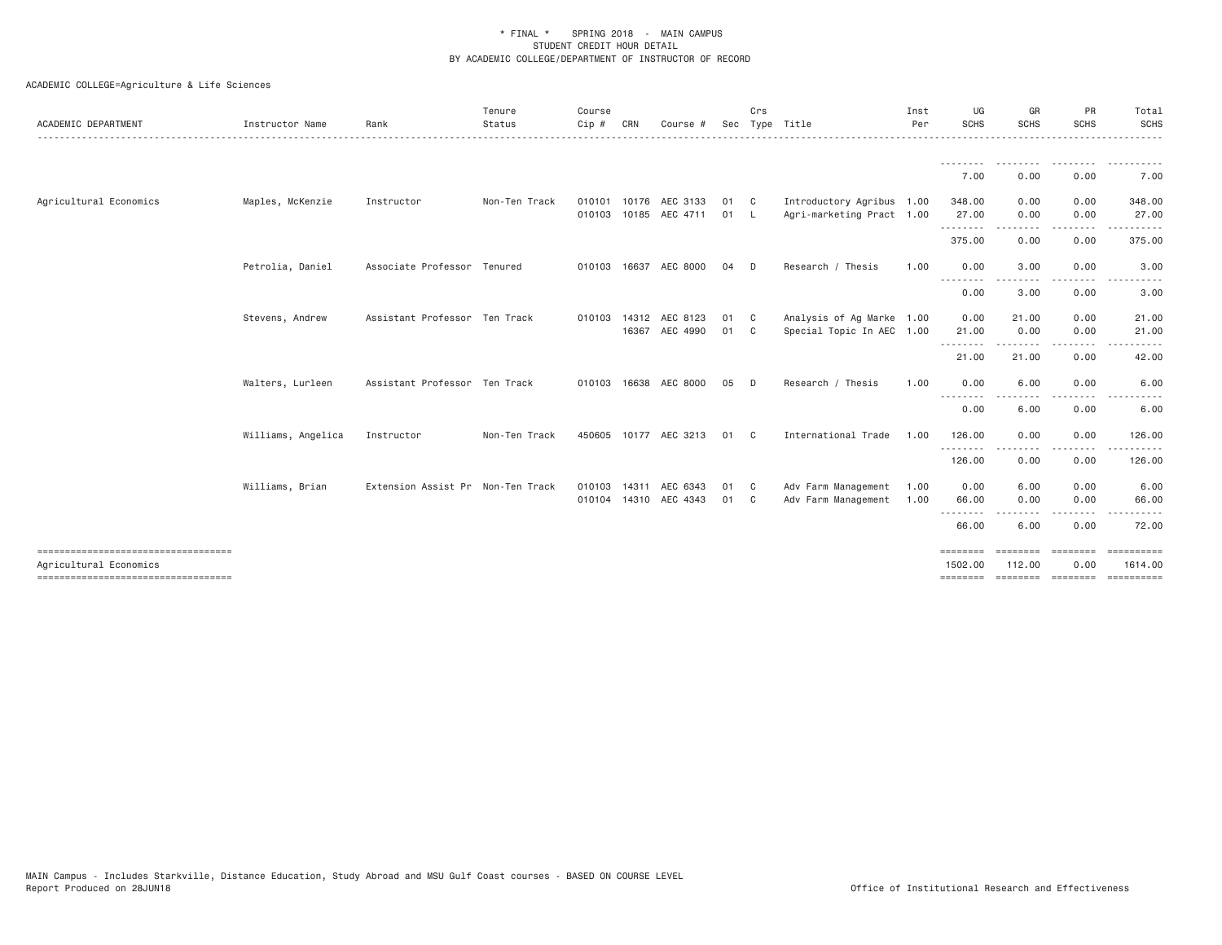| ACADEMIC DEPARTMENT                                            | Instructor Name    | Rank                              | Tenure<br>Status | Course<br>Cip #  | CRN   | Course #                          |              | Crs                        | Sec Type Title                                         | Inst<br>Per  | UG<br><b>SCHS</b>                                                                                                                                                                                                                                                                                                                                                                                    | GR<br><b>SCHS</b>  | PR<br><b>SCHS</b> | Total<br>SCHS             |
|----------------------------------------------------------------|--------------------|-----------------------------------|------------------|------------------|-------|-----------------------------------|--------------|----------------------------|--------------------------------------------------------|--------------|------------------------------------------------------------------------------------------------------------------------------------------------------------------------------------------------------------------------------------------------------------------------------------------------------------------------------------------------------------------------------------------------------|--------------------|-------------------|---------------------------|
|                                                                |                    |                                   |                  |                  |       |                                   |              |                            |                                                        |              | .                                                                                                                                                                                                                                                                                                                                                                                                    |                    |                   |                           |
|                                                                |                    |                                   |                  |                  |       |                                   |              |                            |                                                        |              | 7.00                                                                                                                                                                                                                                                                                                                                                                                                 | 0.00               | 0.00              | 7.00                      |
| Agricultural Economics                                         | Maples, McKenzie   | Instructor                        | Non-Ten Track    | 010101<br>010103 |       | 10176 AEC 3133<br>10185 AEC 4711  | 01 C<br>01 L |                            | Introductory Agribus 1.00<br>Agri-marketing Pract 1.00 |              | 348.00<br>27.00                                                                                                                                                                                                                                                                                                                                                                                      | 0.00<br>0.00       | 0.00<br>0.00      | 348.00<br>27.00           |
|                                                                |                    |                                   |                  |                  |       |                                   |              |                            |                                                        |              | .<br>375.00                                                                                                                                                                                                                                                                                                                                                                                          | 0.00               | 0.00              | 375.00                    |
|                                                                | Petrolia, Daniel   | Associate Professor Tenured       |                  |                  |       | 010103 16637 AEC 8000             | 04           | D.                         | Research / Thesis                                      | 1.00         | 0.00                                                                                                                                                                                                                                                                                                                                                                                                 | 3.00               | 0.00              | 3.00                      |
|                                                                |                    |                                   |                  |                  |       |                                   |              |                            |                                                        |              | $\frac{1}{2} \frac{1}{2} \frac{1}{2} \frac{1}{2} \frac{1}{2} \frac{1}{2} \frac{1}{2} \frac{1}{2} \frac{1}{2} \frac{1}{2} \frac{1}{2} \frac{1}{2} \frac{1}{2} \frac{1}{2} \frac{1}{2} \frac{1}{2} \frac{1}{2} \frac{1}{2} \frac{1}{2} \frac{1}{2} \frac{1}{2} \frac{1}{2} \frac{1}{2} \frac{1}{2} \frac{1}{2} \frac{1}{2} \frac{1}{2} \frac{1}{2} \frac{1}{2} \frac{1}{2} \frac{1}{2} \frac{$<br>0.00 | 3.00               | 0.00              | 3.00                      |
|                                                                | Stevens, Andrew    | Assistant Professor Ten Track     |                  | 010103 14312     |       | AEC 8123<br>16367 AEC 4990        | 01 C<br>01 C |                            | Analysis of Ag Marke 1.00<br>Special Topic In AEC 1.00 |              | 0.00<br>21.00                                                                                                                                                                                                                                                                                                                                                                                        | 21.00<br>0.00      | 0.00<br>0.00      | 21.00<br>21.00            |
|                                                                |                    |                                   |                  |                  |       |                                   |              |                            |                                                        |              | --------<br>21.00                                                                                                                                                                                                                                                                                                                                                                                    | 21.00              | 0.00              | 42.00                     |
|                                                                | Walters, Lurleen   | Assistant Professor Ten Track     |                  | 010103 16638     |       | AEC 8000                          | 05           | D                          | Research / Thesis                                      | 1.00         | 0.00                                                                                                                                                                                                                                                                                                                                                                                                 | 6.00               | 0.00              | 6.00                      |
|                                                                |                    |                                   |                  |                  |       |                                   |              |                            |                                                        |              | $\frac{1}{2} \left( \frac{1}{2} \right) \frac{1}{2} \left( \frac{1}{2} \right)$<br>0.00                                                                                                                                                                                                                                                                                                              | 6.00               | 0.00              | 6.00                      |
|                                                                | Williams, Angelica | Instructor                        | Non-Ten Track    | 450605           |       | 10177 AEC 3213                    | 01           | $\overline{\phantom{a}}$ C | International Trade                                    | 1,00         | 126.00<br>.                                                                                                                                                                                                                                                                                                                                                                                          | 0.00<br>.          | 0.00<br>.         | 126.00<br><u>.</u>        |
|                                                                |                    |                                   |                  |                  |       |                                   |              |                            |                                                        |              | 126.00                                                                                                                                                                                                                                                                                                                                                                                               | 0.00               | 0.00              | 126.00                    |
|                                                                | Williams, Brian    | Extension Assist Pr Non-Ten Track |                  | 010103           | 14311 | AEC 6343<br>010104 14310 AEC 4343 | 01<br>01 C   | $\mathbf{C}$               | Adv Farm Management<br>Adv Farm Management             | 1.00<br>1.00 | 0.00<br>66.00                                                                                                                                                                                                                                                                                                                                                                                        | 6.00<br>0.00       | 0.00<br>0.00      | 6.00<br>66.00             |
|                                                                |                    |                                   |                  |                  |       |                                   |              |                            |                                                        |              | --------<br>66.00                                                                                                                                                                                                                                                                                                                                                                                    | 6.00               | 0.00              | 72.00                     |
| ------------------------------------<br>Agricultural Economics |                    |                                   |                  |                  |       |                                   |              |                            |                                                        |              | $=$ = = = = = = =<br>1502.00                                                                                                                                                                                                                                                                                                                                                                         | ========<br>112,00 | ========<br>0.00  | $=$ ==========<br>1614.00 |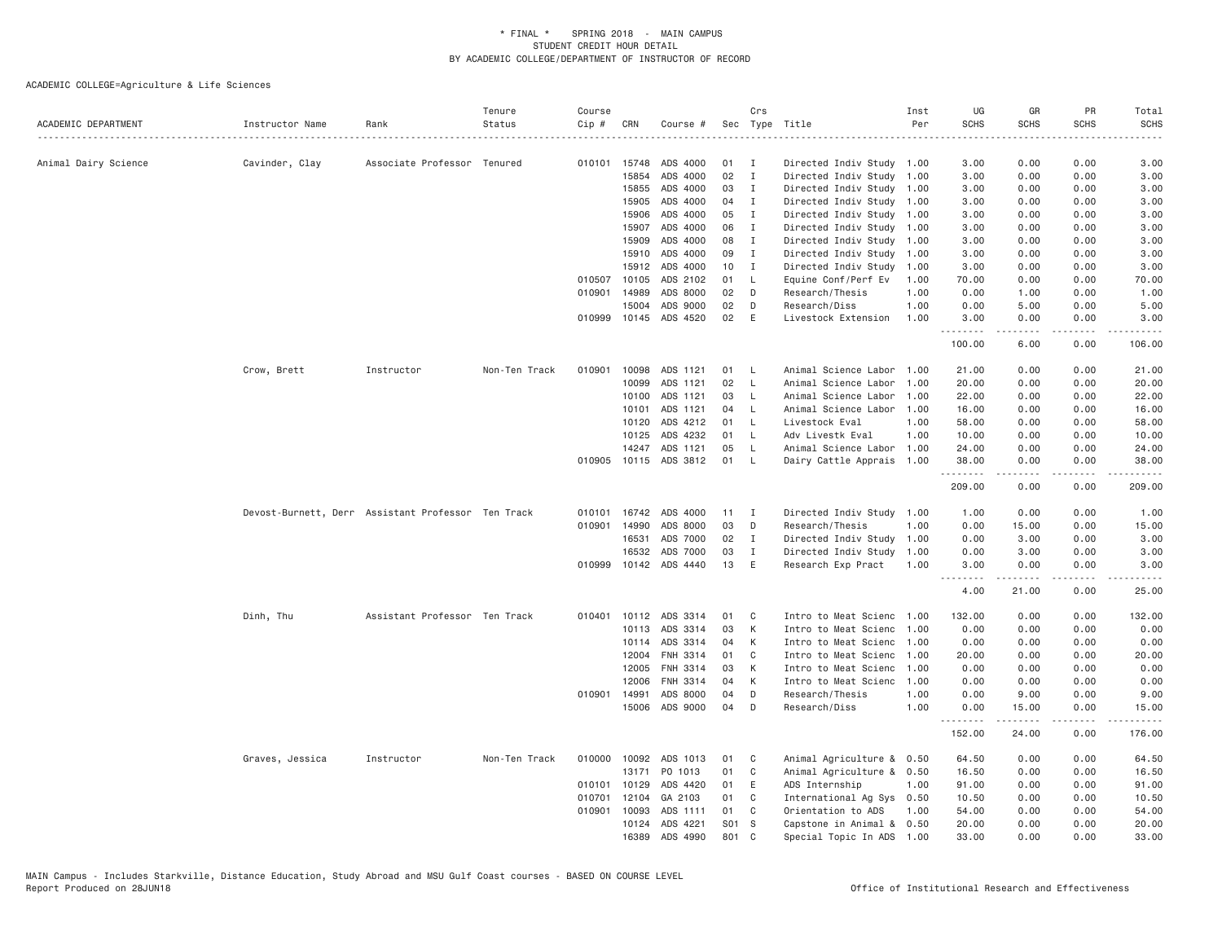| ACADEMIC DEPARTMENT  | Instructor Name                                    | Rank                          | Tenure<br>Status | Course<br>$Cip$ # | CRN            | Course #              |          | Crs          | Sec Type Title                              | Inst<br>Per  | UG<br><b>SCHS</b> | GR<br><b>SCHS</b>                    | PR<br><b>SCHS</b> | Total<br><b>SCHS</b> |
|----------------------|----------------------------------------------------|-------------------------------|------------------|-------------------|----------------|-----------------------|----------|--------------|---------------------------------------------|--------------|-------------------|--------------------------------------|-------------------|----------------------|
|                      |                                                    |                               |                  |                   |                |                       |          |              |                                             |              | .                 |                                      | <u>.</u>          | $    -$              |
| Animal Dairy Science | Cavinder, Clay                                     | Associate Professor Tenured   |                  | 010101            | 15748          | ADS 4000              | 01       | <b>I</b>     | Directed Indiv Study 1.00                   |              | 3.00              | 0.00                                 | 0.00              | 3.00                 |
|                      |                                                    |                               |                  |                   | 15854          | ADS 4000              | 02       | $\mathbf I$  | Directed Indiv Study 1.00                   |              | 3.00              | 0.00                                 | 0.00              | 3.00                 |
|                      |                                                    |                               |                  |                   | 15855          | ADS 4000              | 03       | $\mathbf{I}$ | Directed Indiv Study 1.00                   |              | 3.00              | 0.00                                 | 0.00              | 3.00                 |
|                      |                                                    |                               |                  |                   | 15905          | ADS 4000              | 04       | I            | Directed Indiv Study 1.00                   |              | 3.00              | 0.00                                 | 0.00              | 3.00                 |
|                      |                                                    |                               |                  |                   | 15906          | ADS 4000              | 05       | Ι.           | Directed Indiv Study 1.00                   |              | 3.00              | 0.00                                 | 0.00              | 3.00                 |
|                      |                                                    |                               |                  |                   | 15907          | ADS 4000              | 06       | I            | Directed Indiv Study 1.00                   |              | 3.00              | 0.00                                 | 0.00              | 3.00                 |
|                      |                                                    |                               |                  |                   | 15909<br>15910 | ADS 4000<br>ADS 4000  | 08<br>09 | I<br>Ι.      | Directed Indiv Study 1.00                   |              | 3.00              | 0.00<br>0.00                         | 0.00<br>0.00      | 3.00                 |
|                      |                                                    |                               |                  |                   |                |                       | 10       |              | Directed Indiv Study 1.00                   |              | 3.00              |                                      | 0.00              | 3.00                 |
|                      |                                                    |                               |                  | 010507            | 15912<br>10105 | ADS 4000<br>ADS 2102  | 01       | I<br>L.      | Directed Indiv Study<br>Equine Conf/Perf Ev | 1.00<br>1.00 | 3.00<br>70.00     | 0.00<br>0.00                         | 0.00              | 3.00<br>70.00        |
|                      |                                                    |                               |                  | 010901            | 14989          | ADS 8000              | 02       | D            |                                             |              |                   | 1.00                                 |                   |                      |
|                      |                                                    |                               |                  |                   |                |                       |          | D            | Research/Thesis                             | 1.00         | 0.00              |                                      | 0.00              | 1.00                 |
|                      |                                                    |                               |                  |                   | 15004          | ADS 9000              | 02       |              | Research/Diss                               | 1.00         | 0.00              | 5.00                                 | 0.00              | 5.00                 |
|                      |                                                    |                               |                  | 010999            | 10145          | ADS 4520              | 02       | E            | Livestock Extension                         | 1.00         | 3.00<br>.         | 0.00                                 | 0.00<br>.         | 3.00                 |
|                      |                                                    |                               |                  |                   |                |                       |          |              |                                             |              | 100.00            | 6.00                                 | 0.00              | 106.00               |
|                      | Crow, Brett                                        | Instructor                    | Non-Ten Track    | 010901            | 10098          | ADS 1121              | 01       | - L          | Animal Science Labor 1.00                   |              | 21.00             | 0.00                                 | 0.00              | 21.00                |
|                      |                                                    |                               |                  |                   | 10099          | ADS 1121              | 02       | L.           | Animal Science Labor                        | 1.00         | 20.00             | 0.00                                 | 0.00              | 20.00                |
|                      |                                                    |                               |                  |                   | 10100          | ADS 1121              | 03       | $\mathsf{L}$ | Animal Science Labor                        | 1.00         | 22.00             | 0.00                                 | 0.00              | 22.00                |
|                      |                                                    |                               |                  |                   | 10101          | ADS 1121              | 04       | <b>L</b>     | Animal Science Labor                        | 1.00         | 16.00             | 0.00                                 | 0.00              | 16.00                |
|                      |                                                    |                               |                  |                   | 10120          | ADS 4212              | 01       | <b>L</b>     | Livestock Eval                              | 1.00         | 58.00             | 0.00                                 | 0.00              | 58.00                |
|                      |                                                    |                               |                  |                   | 10125          | ADS 4232              | 01       | L.           | Adv Livestk Eval                            | 1.00         | 10.00             | 0.00                                 | 0.00              | 10.00                |
|                      |                                                    |                               |                  |                   | 14247          | ADS 1121              | 05       | L.           | Animal Science Labor 1.00                   |              | 24.00             | 0.00                                 | 0.00              | 24.00                |
|                      |                                                    |                               |                  | 010905            |                | 10115 ADS 3812        | 01       | <b>L</b>     | Dairy Cattle Apprais 1.00                   |              | 38.00             | 0.00                                 | 0.00              | 38.00                |
|                      |                                                    |                               |                  |                   |                |                       |          |              |                                             |              | 209.00            | $- - - - -$<br>0.00                  | .<br>0.00         | 209.00               |
|                      | Devost-Burnett, Derr Assistant Professor Ten Track |                               |                  |                   |                | 010101 16742 ADS 4000 | 11       | I            | Directed Indiv Study 1.00                   |              | 1.00              | 0.00                                 | 0.00              | 1.00                 |
|                      |                                                    |                               |                  | 010901            | 14990          | ADS 8000              | 03       | D            | Research/Thesis                             | 1.00         | 0.00              | 15.00                                | 0.00              | 15.00                |
|                      |                                                    |                               |                  |                   | 16531          | ADS 7000              | 02       | $\mathbf{I}$ | Directed Indiv Study 1.00                   |              | 0.00              | 3.00                                 | 0.00              | 3.00                 |
|                      |                                                    |                               |                  |                   | 16532          | ADS 7000              | 03       | Ι.           | Directed Indiv Study                        | 1.00         | 0.00              | 3.00                                 | 0.00              | 3.00                 |
|                      |                                                    |                               |                  | 010999            |                | 10142 ADS 4440        | 13       | E            | Research Exp Pract                          | 1,00         | 3,00              | 0.00<br>.                            | 0.00<br>.         | 3.00<br>ه د د د د    |
|                      |                                                    |                               |                  |                   |                |                       |          |              |                                             |              | 4.00              | 21.00                                | 0.00              | 25.00                |
|                      | Dinh, Thu                                          | Assistant Professor Ten Track |                  | 010401            | 10112          | ADS 3314              | 01       | C            | Intro to Meat Scienc                        | 1.00         | 132.00            | 0.00                                 | 0.00              | 132.00               |
|                      |                                                    |                               |                  |                   | 10113          | ADS 3314              | 03       | К            | Intro to Meat Scienc                        | 1.00         | 0.00              | 0.00                                 | 0.00              | 0.00                 |
|                      |                                                    |                               |                  |                   | 10114          | ADS 3314              | 04       | К            | Intro to Meat Scienc                        | 1.00         | 0.00              | 0.00                                 | 0.00              | 0.00                 |
|                      |                                                    |                               |                  |                   | 12004          | FNH 3314              | 01       | C            | Intro to Meat Scienc                        | 1.00         | 20.00             | 0.00                                 | 0.00              | 20.00                |
|                      |                                                    |                               |                  |                   | 12005          | FNH 3314              | 03       | К            | Intro to Meat Scienc                        | 1.00         | 0.00              | 0.00                                 | 0.00              | 0.00                 |
|                      |                                                    |                               |                  |                   | 12006          | FNH 3314              | 04       | К            | Intro to Meat Scienc                        | 1,00         | 0.00              | 0.00                                 | 0.00              | 0.00                 |
|                      |                                                    |                               |                  | 010901            | 14991          | ADS 8000              | 04       | D            | Research/Thesis                             | 1.00         | 0.00              | 9.00                                 | 0.00              | 9.00                 |
|                      |                                                    |                               |                  |                   |                | 15006 ADS 9000        | 04       | D            | Research/Diss                               | 1.00         | 0.00<br>.         | 15.00<br>$\sim$ $\sim$ $\sim$ $\sim$ | 0.00<br>.         | 15.00<br>د د د د د د |
|                      |                                                    |                               |                  |                   |                |                       |          |              |                                             |              | 152.00            | 24.00                                | 0.00              | 176.00               |
|                      | Graves, Jessica                                    | Instructor                    | Non-Ten Track    | 010000            | 10092          | ADS 1013              | 01       | C            | Animal Agriculture & 0.50                   |              | 64.50             | 0.00                                 | 0.00              | 64.50                |
|                      |                                                    |                               |                  |                   | 13171          | PO 1013               | 01       | C            | Animal Agriculture & 0.50                   |              | 16.50             | 0.00                                 | 0.00              | 16.50                |
|                      |                                                    |                               |                  | 010101            | 10129          | ADS 4420              | 01       | E            | ADS Internship                              | 1.00         | 91.00             | 0.00                                 | 0.00              | 91.00                |
|                      |                                                    |                               |                  | 010701            | 12104          | GA 2103               | 01       | C            | International Ag Sys 0.50                   |              | 10.50             | 0.00                                 | 0.00              | 10.50                |
|                      |                                                    |                               |                  |                   | 010901 10093   | ADS 1111              | 01       | $\mathbf{C}$ | Orientation to ADS                          | 1.00         | 54.00             | 0.00                                 | 0.00              | 54.00                |
|                      |                                                    |                               |                  |                   | 10124          | ADS 4221              | S01 S    |              | Capstone in Animal & 0.50                   |              | 20.00             | 0.00                                 | 0.00              | 20.00                |
|                      |                                                    |                               |                  |                   | 16389          | ADS 4990              | 801 C    |              | Special Topic In ADS 1.00                   |              | 33,00             | 0.00                                 | 0.00              | 33.00                |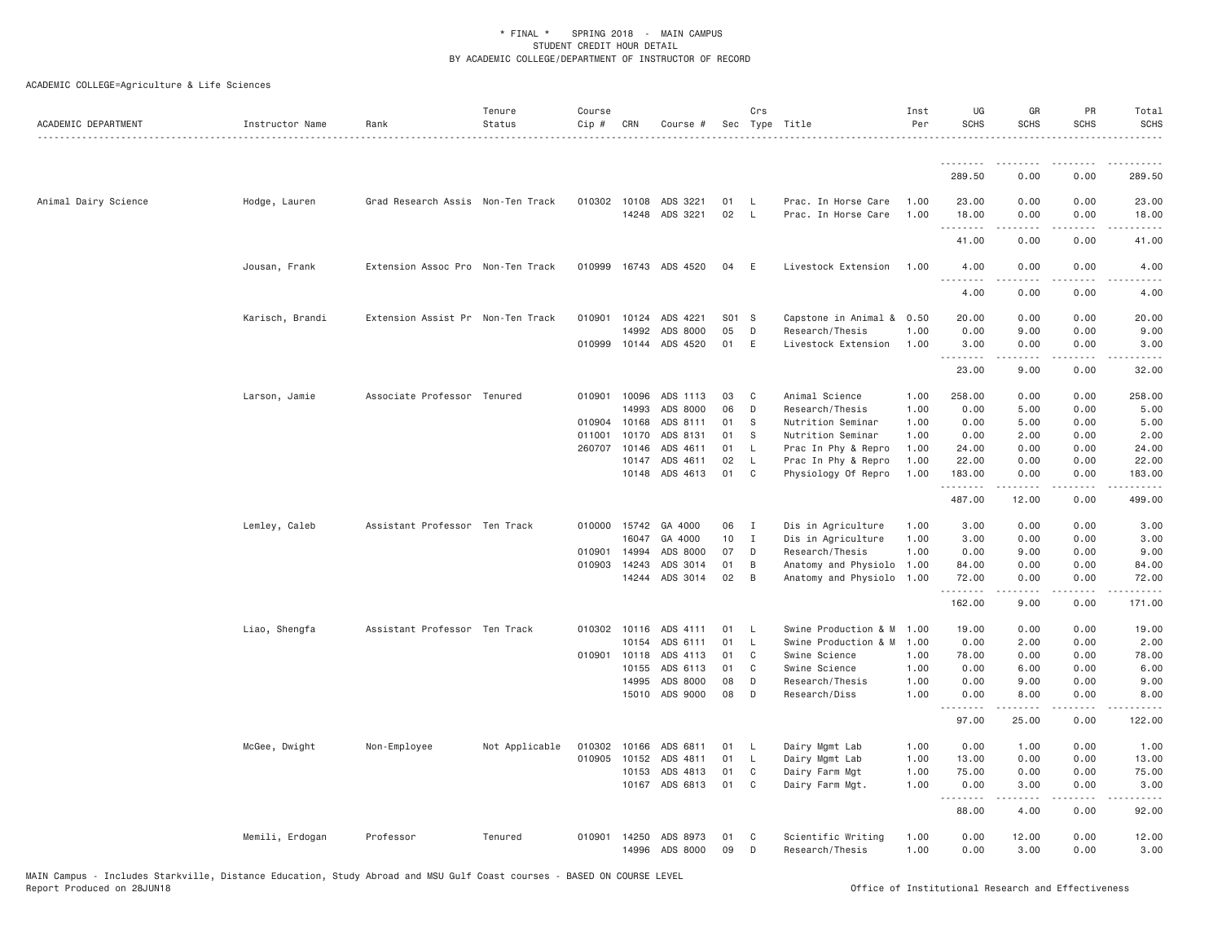| ACADEMIC DEPARTMENT  | Instructor Name | Rank                              | Tenure<br>Status | Course<br>Cip # | CRN          | Course #                   |          | Crs            | Sec Type Title                         | Inst<br>Per  | UG<br><b>SCHS</b>                             | GR<br><b>SCHS</b>                                                                                                                                            | PR<br><b>SCHS</b> | Total<br><b>SCHS</b>      |
|----------------------|-----------------|-----------------------------------|------------------|-----------------|--------------|----------------------------|----------|----------------|----------------------------------------|--------------|-----------------------------------------------|--------------------------------------------------------------------------------------------------------------------------------------------------------------|-------------------|---------------------------|
|                      |                 |                                   |                  |                 |              |                            |          |                |                                        |              | .                                             | .                                                                                                                                                            | .                 | <u>.</u>                  |
|                      |                 |                                   |                  |                 |              |                            |          |                |                                        |              | 289.50                                        | 0.00                                                                                                                                                         | 0.00              | 289.50                    |
| Animal Dairy Science | Hodge, Lauren   | Grad Research Assis Non-Ten Track |                  |                 | 010302 10108 | ADS 3221                   | 01       | - L            | Prac. In Horse Care                    | 1.00         | 23.00                                         | 0.00                                                                                                                                                         | 0.00              | 23.00                     |
|                      |                 |                                   |                  |                 |              | 14248 ADS 3221             | 02       | $\mathsf{L}$   | Prac. In Horse Care                    | 1.00         | 18.00<br>.                                    | 0.00<br>$\frac{1}{2} \left( \frac{1}{2} \right) \left( \frac{1}{2} \right) \left( \frac{1}{2} \right) \left( \frac{1}{2} \right) \left( \frac{1}{2} \right)$ | 0.00<br>د د د د   | 18.00                     |
|                      |                 |                                   |                  |                 |              |                            |          |                |                                        |              | 41.00                                         | 0.00                                                                                                                                                         | 0.00              | 41.00                     |
|                      | Jousan, Frank   | Extension Assoc Pro Non-Ten Track |                  |                 |              | 010999 16743 ADS 4520      | 04       | E              | Livestock Extension                    | 1.00         | 4.00<br>$\sim$ $\sim$ $\sim$<br>$\frac{1}{2}$ | 0.00                                                                                                                                                         | 0.00              | 4.00                      |
|                      |                 |                                   |                  |                 |              |                            |          |                |                                        |              | 4.00                                          | 0.00                                                                                                                                                         | 0.00              | 4.00                      |
|                      | Karisch, Brandi | Extension Assist Pr Non-Ten Track |                  |                 |              | 010901 10124 ADS 4221      | S01 S    |                | Capstone in Animal & 0.50              |              | 20.00                                         | 0.00                                                                                                                                                         | 0.00              | 20,00                     |
|                      |                 |                                   |                  | 010999          | 14992        | ADS 8000<br>10144 ADS 4520 | 05<br>01 | D<br>E         | Research/Thesis<br>Livestock Extension | 1.00<br>1.00 | 0.00<br>3.00                                  | 9.00<br>0.00                                                                                                                                                 | 0.00<br>0.00      | 9.00<br>3.00              |
|                      |                 |                                   |                  |                 |              |                            |          |                |                                        |              | <u>.</u>                                      |                                                                                                                                                              |                   |                           |
|                      |                 |                                   |                  |                 |              |                            |          |                |                                        |              | 23.00                                         | 9.00                                                                                                                                                         | 0.00              | 32.00                     |
|                      | Larson, Jamie   | Associate Professor Tenured       |                  | 010901          | 10096        | ADS 1113                   | 03       | C <sub>c</sub> | Animal Science                         | 1.00         | 258.00                                        | 0.00                                                                                                                                                         | 0.00              | 258.00                    |
|                      |                 |                                   |                  |                 | 14993        | ADS 8000                   | 06       | D              | Research/Thesis                        | 1.00         | 0.00                                          | 5.00                                                                                                                                                         | 0.00              | 5.00                      |
|                      |                 |                                   |                  |                 | 010904 10168 | ADS 8111                   | 01       | -S             | Nutrition Seminar                      | 1.00         | 0.00                                          | 5.00                                                                                                                                                         | 0.00              | 5.00                      |
|                      |                 |                                   |                  | 011001          | 10170        | ADS 8131                   | 01       | -S             | Nutrition Seminar                      | 1.00         | 0.00                                          | 2.00                                                                                                                                                         | 0.00              | 2.00                      |
|                      |                 |                                   |                  | 260707          | 10146        | ADS 4611                   | 01       | L.             | Prac In Phy & Repro                    | 1.00         | 24.00                                         | 0.00                                                                                                                                                         | 0.00              | 24.00                     |
|                      |                 |                                   |                  |                 | 10147        | ADS 4611                   | 02       | $\mathsf{L}$   | Prac In Phy & Repro                    | 1.00         | 22.00                                         | 0.00                                                                                                                                                         | 0.00              | 22.00                     |
|                      |                 |                                   |                  |                 | 10148        | ADS 4613                   | 01       | C              | Physiology Of Repro                    | 1.00         | 183.00<br>.                                   | 0.00<br>.                                                                                                                                                    | 0.00<br>.         | 183.00<br>$- - - - - - -$ |
|                      |                 |                                   |                  |                 |              |                            |          |                |                                        |              | 487.00                                        | 12.00                                                                                                                                                        | 0.00              | 499.00                    |
|                      | Lemley, Caleb   | Assistant Professor Ten Track     |                  |                 | 010000 15742 | GA 4000                    | 06       | $\blacksquare$ | Dis in Agriculture                     | 1,00         | 3.00                                          | 0.00                                                                                                                                                         | 0.00              | 3.00                      |
|                      |                 |                                   |                  |                 | 16047        | GA 4000                    | 10       | $\mathbf{I}$   | Dis in Agriculture                     | 1.00         | 3.00                                          | 0.00                                                                                                                                                         | 0.00              | 3.00                      |
|                      |                 |                                   |                  |                 | 010901 14994 | ADS 8000                   | 07       | D              | Research/Thesis                        | 1.00         | 0.00                                          | 9.00                                                                                                                                                         | 0.00              | 9.00                      |
|                      |                 |                                   |                  | 010903          | 14243        | ADS 3014                   | 01       | B              | Anatomy and Physiolo 1.00              |              | 84.00                                         | 0.00                                                                                                                                                         | 0.00              | 84.00                     |
|                      |                 |                                   |                  |                 | 14244        | ADS 3014                   | 02       | B              | Anatomy and Physiolo 1.00              |              | 72.00<br>.                                    | 0.00<br>$- - - - -$                                                                                                                                          | 0.00<br>.         | 72.00                     |
|                      |                 |                                   |                  |                 |              |                            |          |                |                                        |              | 162.00                                        | 9.00                                                                                                                                                         | 0.00              | 171.00                    |
|                      | Liao, Shengfa   | Assistant Professor Ten Track     |                  | 010302          | 10116        | ADS 4111                   | 01       | L,             | Swine Production & M                   | 1.00         | 19.00                                         | 0.00                                                                                                                                                         | 0.00              | 19.00                     |
|                      |                 |                                   |                  |                 |              | 10154 ADS 6111             | 01       | L.             | Swine Production & M 1.00              |              | 0.00                                          | 2.00                                                                                                                                                         | 0.00              | 2.00                      |
|                      |                 |                                   |                  |                 | 010901 10118 | ADS 4113                   | 01       | C              | Swine Science                          | 1.00         | 78.00                                         | 0.00                                                                                                                                                         | 0.00              | 78.00                     |
|                      |                 |                                   |                  |                 | 10155        | ADS 6113                   | 01       | C              | Swine Science                          | 1.00         | 0.00                                          | 6.00                                                                                                                                                         | 0.00              | 6.00                      |
|                      |                 |                                   |                  |                 | 14995        | ADS 8000                   | 08       | $\mathsf D$    | Research/Thesis                        | 1.00         | 0.00                                          | 9.00                                                                                                                                                         | 0.00              | 9.00                      |
|                      |                 |                                   |                  |                 |              | 15010 ADS 9000             | 08       | D              | Research/Diss                          | 1.00         | 0.00<br>.                                     | 8.00<br>.                                                                                                                                                    | 0.00<br>.         | 8.00                      |
|                      |                 |                                   |                  |                 |              |                            |          |                |                                        |              | 97.00                                         | 25.00                                                                                                                                                        | 0.00              | 122.00                    |
|                      | McGee, Dwight   | Non-Employee                      | Not Applicable   | 010302          | 10166        | ADS 6811                   | 01       | - L            | Dairy Mgmt Lab                         | 1.00         | 0.00                                          | 1.00                                                                                                                                                         | 0.00              | 1.00                      |
|                      |                 |                                   |                  | 010905          | 10152        | ADS 4811                   | 01       | <b>L</b>       | Dairy Mgmt Lab                         | 1.00         | 13.00                                         | 0.00                                                                                                                                                         | 0.00              | 13.00                     |
|                      |                 |                                   |                  |                 | 10153        | ADS 4813                   | 01       | C              | Dairy Farm Mgt                         | 1.00         | 75.00                                         | 0.00                                                                                                                                                         | 0.00              | 75.00                     |
|                      |                 |                                   |                  |                 |              | 10167 ADS 6813             | 01       | C <sub>1</sub> | Dairy Farm Mgt.                        | 1.00         | 0.00<br>.                                     | 3.00<br>$\begin{array}{cccccccccccccc} \bullet & \bullet & \bullet & \bullet & \bullet & \bullet & \bullet \end{array}$                                      | 0.00<br>.         | 3.00<br>.                 |
|                      |                 |                                   |                  |                 |              |                            |          |                |                                        |              | 88.00                                         | 4.00                                                                                                                                                         | 0.00              | 92.00                     |
|                      | Memili, Erdogan | Professor                         | Tenured          | 010901          | 14250        | ADS 8973                   | 01       | C              | Scientific Writing                     | 1.00         | 0.00                                          | 12.00                                                                                                                                                        | 0.00              | 12.00                     |
|                      |                 |                                   |                  |                 | 14996        | ADS 8000                   | 09       | D              | Research/Thesis                        | 1.00         | 0.00                                          | 3.00                                                                                                                                                         | 0.00              | 3.00                      |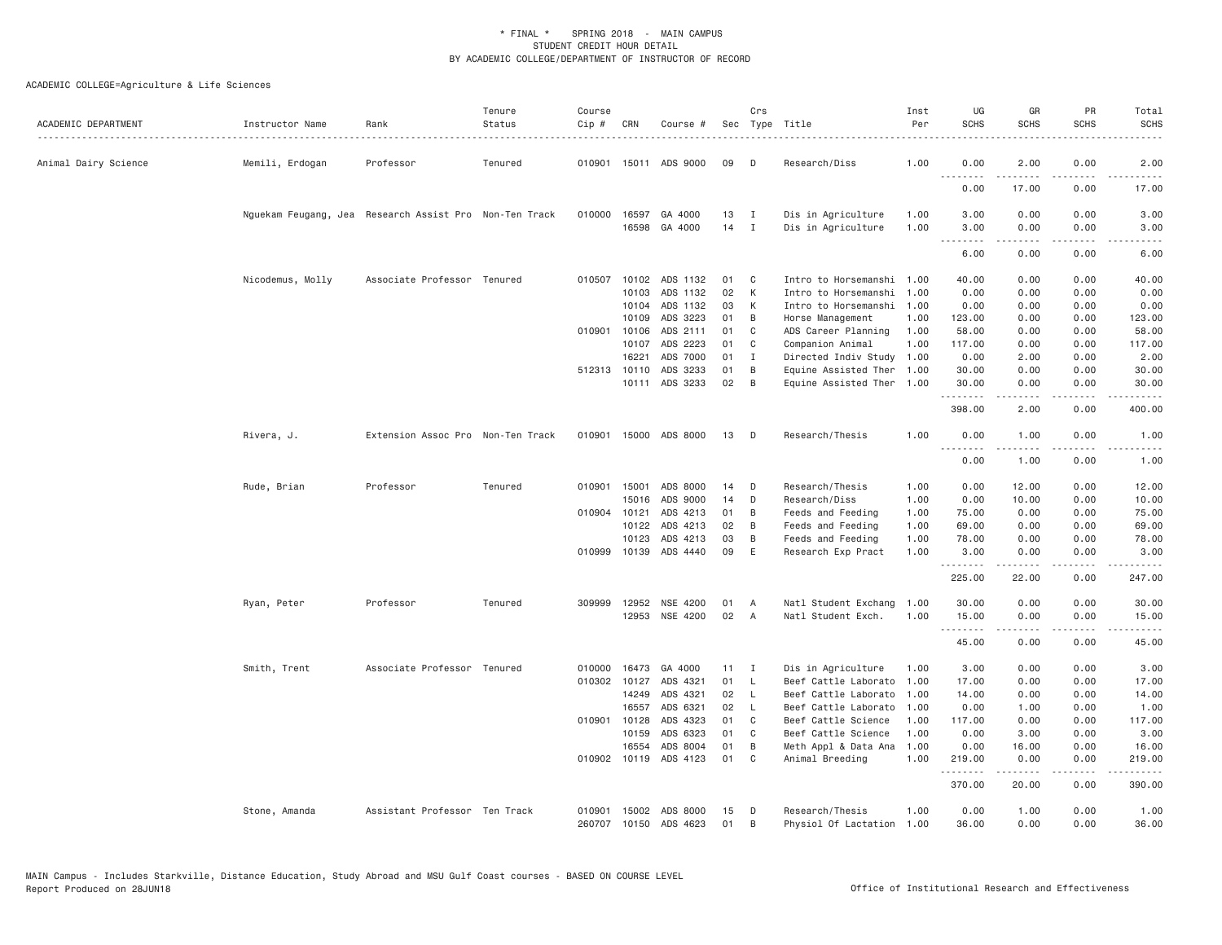| ACADEMIC DEPARTMENT  | Instructor Name<br>. | Rank                                                   | Tenure<br>Status | Course<br>Cip # | CRN          | Course #              |    | Crs          | Sec Type Title            | Inst<br>Per | UG<br><b>SCHS</b>                 | GR<br><b>SCHS</b>                                                                                                                                            | PR<br><b>SCHS</b>                   | Total<br><b>SCHS</b> |
|----------------------|----------------------|--------------------------------------------------------|------------------|-----------------|--------------|-----------------------|----|--------------|---------------------------|-------------|-----------------------------------|--------------------------------------------------------------------------------------------------------------------------------------------------------------|-------------------------------------|----------------------|
| Animal Dairy Science | Memili, Erdogan      | Professor                                              | Tenured          |                 |              | 010901 15011 ADS 9000 | 09 | D            | Research/Diss             | 1.00        | 0.00                              | 2.00                                                                                                                                                         | 0.00                                | 2.00                 |
|                      |                      |                                                        |                  |                 |              |                       |    |              |                           |             | $\sim$ $\sim$ $\sim$<br>.<br>0.00 | 17.00                                                                                                                                                        | 0.00                                | 17.00                |
|                      |                      | Nguekam Feugang, Jea Research Assist Pro Non-Ten Track |                  | 010000 16597    |              | GA 4000               | 13 | $\mathbf{I}$ | Dis in Agriculture        | 1.00        | 3.00                              | 0.00                                                                                                                                                         | 0.00                                | 3.00                 |
|                      |                      |                                                        |                  |                 |              | 16598 GA 4000         | 14 | $\mathbf{I}$ | Dis in Agriculture        | 1.00        | 3.00<br>.                         | 0.00<br>-----                                                                                                                                                | 0.00<br>.                           | 3.00                 |
|                      |                      |                                                        |                  |                 |              |                       |    |              |                           |             | 6.00                              | 0.00                                                                                                                                                         | 0.00                                | 6.00                 |
|                      | Nicodemus, Molly     | Associate Professor Tenured                            |                  | 010507          | 10102        | ADS 1132              | 01 | C            | Intro to Horsemanshi      | 1.00        | 40.00                             | 0.00                                                                                                                                                         | 0.00                                | 40.00                |
|                      |                      |                                                        |                  |                 | 10103        | ADS 1132              | 02 | K            | Intro to Horsemanshi      | 1.00        | 0.00                              | 0.00                                                                                                                                                         | 0.00                                | 0.00                 |
|                      |                      |                                                        |                  |                 | 10104        | ADS 1132              | 03 | K            | Intro to Horsemanshi      | 1.00        | 0.00                              | 0.00                                                                                                                                                         | 0.00                                | 0.00                 |
|                      |                      |                                                        |                  |                 | 10109        | ADS 3223              | 01 | B            | Horse Management          | 1.00        | 123.00                            | 0.00                                                                                                                                                         | 0.00                                | 123.00               |
|                      |                      |                                                        |                  |                 | 010901 10106 | ADS 2111              | 01 | C            | ADS Career Planning       | 1.00        | 58,00                             | 0.00                                                                                                                                                         | 0.00                                | 58,00                |
|                      |                      |                                                        |                  |                 | 10107        | ADS 2223              | 01 | C            | Companion Animal          | 1.00        | 117.00                            | 0.00                                                                                                                                                         | 0.00                                | 117.00               |
|                      |                      |                                                        |                  |                 | 16221        | ADS 7000              | 01 | I            | Directed Indiv Study      | 1.00        | 0.00                              | 2.00                                                                                                                                                         | 0.00                                | 2.00                 |
|                      |                      |                                                        |                  |                 | 512313 10110 | ADS 3233              | 01 | B            | Equine Assisted Ther 1.00 |             | 30.00                             | 0.00                                                                                                                                                         | 0.00                                | 30.00                |
|                      |                      |                                                        |                  |                 |              | 10111 ADS 3233        | 02 | B            | Equine Assisted Ther 1.00 |             | 30.00<br>.                        | 0.00<br>-----                                                                                                                                                | 0.00<br>.                           | 30.00<br>.           |
|                      |                      |                                                        |                  |                 |              |                       |    |              |                           |             | 398.00                            | 2.00                                                                                                                                                         | 0.00                                | 400.00               |
|                      | Rivera, J.           | Extension Assoc Pro Non-Ten Track                      |                  |                 |              | 010901 15000 ADS 8000 | 13 | D            | Research/Thesis           | 1.00        | 0.00<br>.                         | 1.00<br>-----                                                                                                                                                | 0.00<br>$\sim$ $\sim$ $\sim$        | 1.00                 |
|                      |                      |                                                        |                  |                 |              |                       |    |              |                           |             | 0.00                              | 1.00                                                                                                                                                         | 0.00                                | 1.00                 |
|                      | Rude, Brian          | Professor                                              | Tenured          |                 | 010901 15001 | ADS 8000              | 14 | D            | Research/Thesis           | 1.00        | 0.00                              | 12.00                                                                                                                                                        | 0.00                                | 12.00                |
|                      |                      |                                                        |                  |                 | 15016        | ADS 9000              | 14 | D            | Research/Diss             | 1.00        | 0.00                              | 10.00                                                                                                                                                        | 0.00                                | 10.00                |
|                      |                      |                                                        |                  |                 | 010904 10121 | ADS 4213              | 01 | B            | Feeds and Feeding         | 1.00        | 75.00                             | 0.00                                                                                                                                                         | 0.00                                | 75.00                |
|                      |                      |                                                        |                  |                 | 10122        | ADS 4213              | 02 | B            | Feeds and Feeding         | 1.00        | 69.00                             | 0.00                                                                                                                                                         | 0.00                                | 69.00                |
|                      |                      |                                                        |                  |                 | 10123        | ADS 4213              | 03 | B            | Feeds and Feeding         | 1.00        | 78.00                             | 0.00                                                                                                                                                         | 0.00                                | 78.00                |
|                      |                      |                                                        |                  | 010999          | 10139        | ADS 4440              | 09 | E            | Research Exp Pract        | 1.00        | 3.00<br>.                         | 0.00                                                                                                                                                         | 0.00<br>$\sim$ $\sim$ $\sim$ $\sim$ | 3.00                 |
|                      |                      |                                                        |                  |                 |              |                       |    |              |                           |             | 225.00                            | 22.00                                                                                                                                                        | 0.00                                | 247.00               |
|                      | Ryan, Peter          | Professor                                              | Tenured          | 309999          | 12952        | NSE 4200              | 01 | A            | Natl Student Exchang      | 1.00        | 30.00                             | 0.00                                                                                                                                                         | 0.00                                | 30.00                |
|                      |                      |                                                        |                  |                 | 12953        | NSE 4200              | 02 | A            | Natl Student Exch.        | 1.00        | 15.00<br>.                        | 0.00<br>$\frac{1}{2} \left( \frac{1}{2} \right) \left( \frac{1}{2} \right) \left( \frac{1}{2} \right) \left( \frac{1}{2} \right) \left( \frac{1}{2} \right)$ | 0.00<br>.                           | 15.00<br><u>.</u>    |
|                      |                      |                                                        |                  |                 |              |                       |    |              |                           |             | 45.00                             | 0.00                                                                                                                                                         | 0.00                                | 45.00                |
|                      | Smith, Trent         | Associate Professor Tenured                            |                  | 010000          | 16473        | GA 4000               | 11 | $\mathbf{I}$ | Dis in Agriculture        | 1.00        | 3.00                              | 0.00                                                                                                                                                         | 0.00                                | 3.00                 |
|                      |                      |                                                        |                  |                 | 010302 10127 | ADS 4321              | 01 | $\mathsf{L}$ | Beef Cattle Laborato      | 1.00        | 17.00                             | 0.00                                                                                                                                                         | 0.00                                | 17.00                |
|                      |                      |                                                        |                  |                 | 14249        | ADS 4321              | 02 | $\mathsf{L}$ | Beef Cattle Laborato      | 1.00        | 14.00                             | 0.00                                                                                                                                                         | 0.00                                | 14.00                |
|                      |                      |                                                        |                  |                 | 16557        | ADS 6321              | 02 | L            | Beef Cattle Laborato      | 1.00        | 0.00                              | 1.00                                                                                                                                                         | 0.00                                | 1.00                 |
|                      |                      |                                                        |                  |                 | 010901 10128 | ADS 4323              | 01 | C            | Beef Cattle Science       | 1.00        | 117.00                            | 0.00                                                                                                                                                         | 0.00                                | 117.00               |
|                      |                      |                                                        |                  |                 | 10159        | ADS 6323              | 01 | C            | Beef Cattle Science       | 1.00        | 0.00                              | 3.00                                                                                                                                                         | 0.00                                | 3.00                 |
|                      |                      |                                                        |                  |                 | 16554        | ADS 8004              | 01 | B            | Meth Appl & Data Ana      | 1.00        | 0.00                              | 16.00                                                                                                                                                        | 0.00                                | 16.00                |
|                      |                      |                                                        |                  |                 | 010902 10119 | ADS 4123              | 01 | $\mathbb C$  | Animal Breeding           | 1,00        | 219.00<br>.                       | 0.00<br>$\begin{array}{cccccccccc} \bullet & \bullet & \bullet & \bullet & \bullet & \bullet & \bullet \end{array}$                                          | 0.00<br>.                           | 219.00<br>.          |
|                      |                      |                                                        |                  |                 |              |                       |    |              |                           |             | 370.00                            | 20.00                                                                                                                                                        | 0.00                                | 390.00               |
|                      | Stone, Amanda        | Assistant Professor Ten Track                          |                  | 010901          |              | 15002 ADS 8000        | 15 | D            | Research/Thesis           | 1.00        | 0.00                              | 1.00                                                                                                                                                         | 0.00                                | 1.00                 |
|                      |                      |                                                        |                  | 260707          | 10150        | ADS 4623              | 01 | B            | Physiol Of Lactation 1.00 |             | 36.00                             | 0.00                                                                                                                                                         | 0.00                                | 36,00                |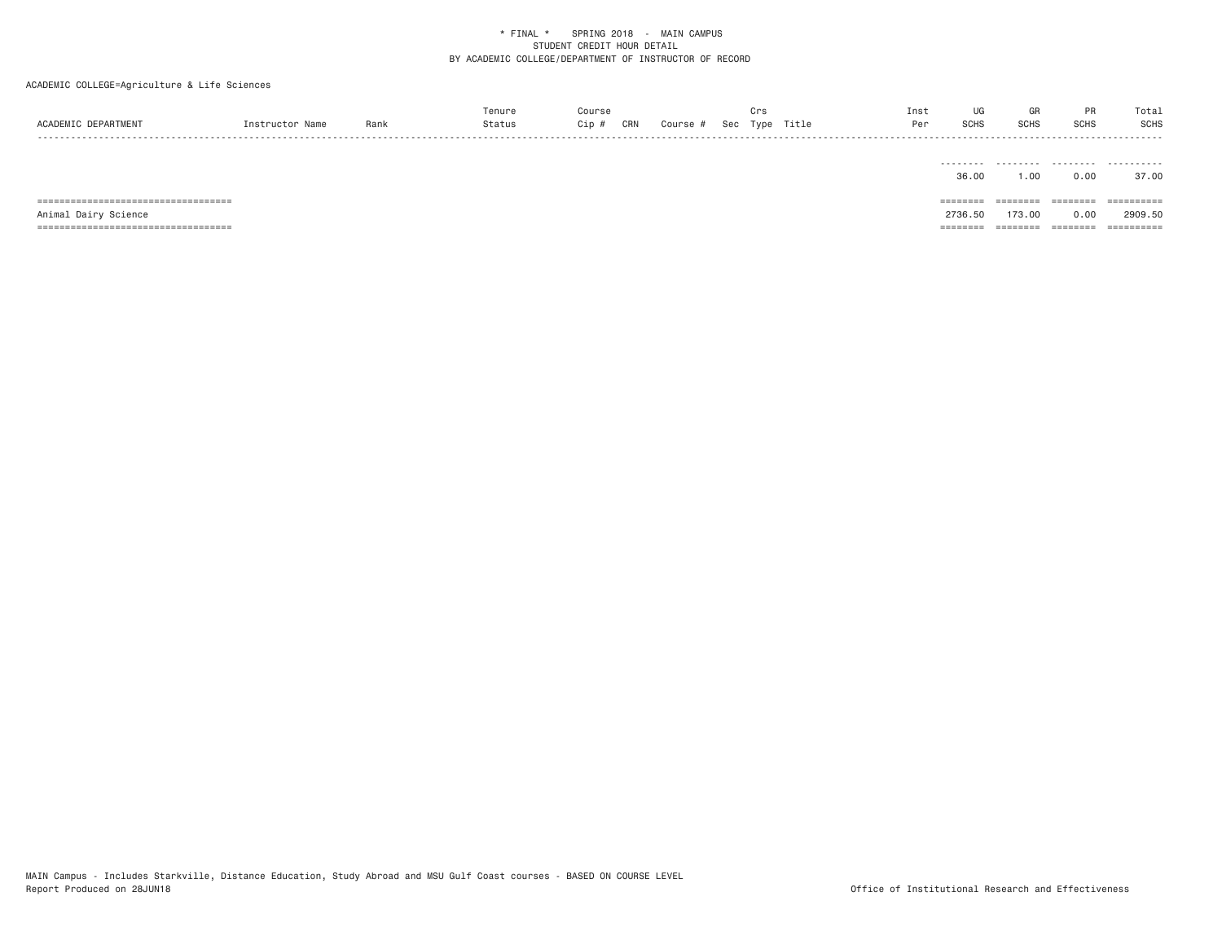ACADEMIC COLLEGE=Agriculture & Life Sciences

|                     |                |      | Tenure | ourse; |     |        |     | ाः   |       | Inst |             | GR          |             | Total |
|---------------------|----------------|------|--------|--------|-----|--------|-----|------|-------|------|-------------|-------------|-------------|-------|
| ACADEMIC DEPARTMENT | Instructor Nam | Rank | Status | Cip    | CRN | Course | Sec | Type | Title | Dor  | <b>SCHS</b> | <b>SCHS</b> | <b>SCHS</b> | SCHS  |
| - - - -             |                |      |        |        |     |        |     |      |       |      |             |             |             | ----- |

|                                        | -------- | --------- | .        | ---------- |
|----------------------------------------|----------|-----------|----------|------------|
|                                        | 36.00    | 1.00      | 0.00     | 37.00      |
|                                        |          |           |          |            |
|                                        | -------- |           | -------  | ========== |
| ====================================== | -------- | --------  | -------- |            |
| Animal Dairy Science                   | 2736.50  | 173.00    | 0.00     | 2909.50    |

MAIN Campus - Includes Starkville, Distance Education, Study Abroad and MSU Gulf Coast courses - BASED ON COURSE LEVEL<br>Report Produced on 28JUN18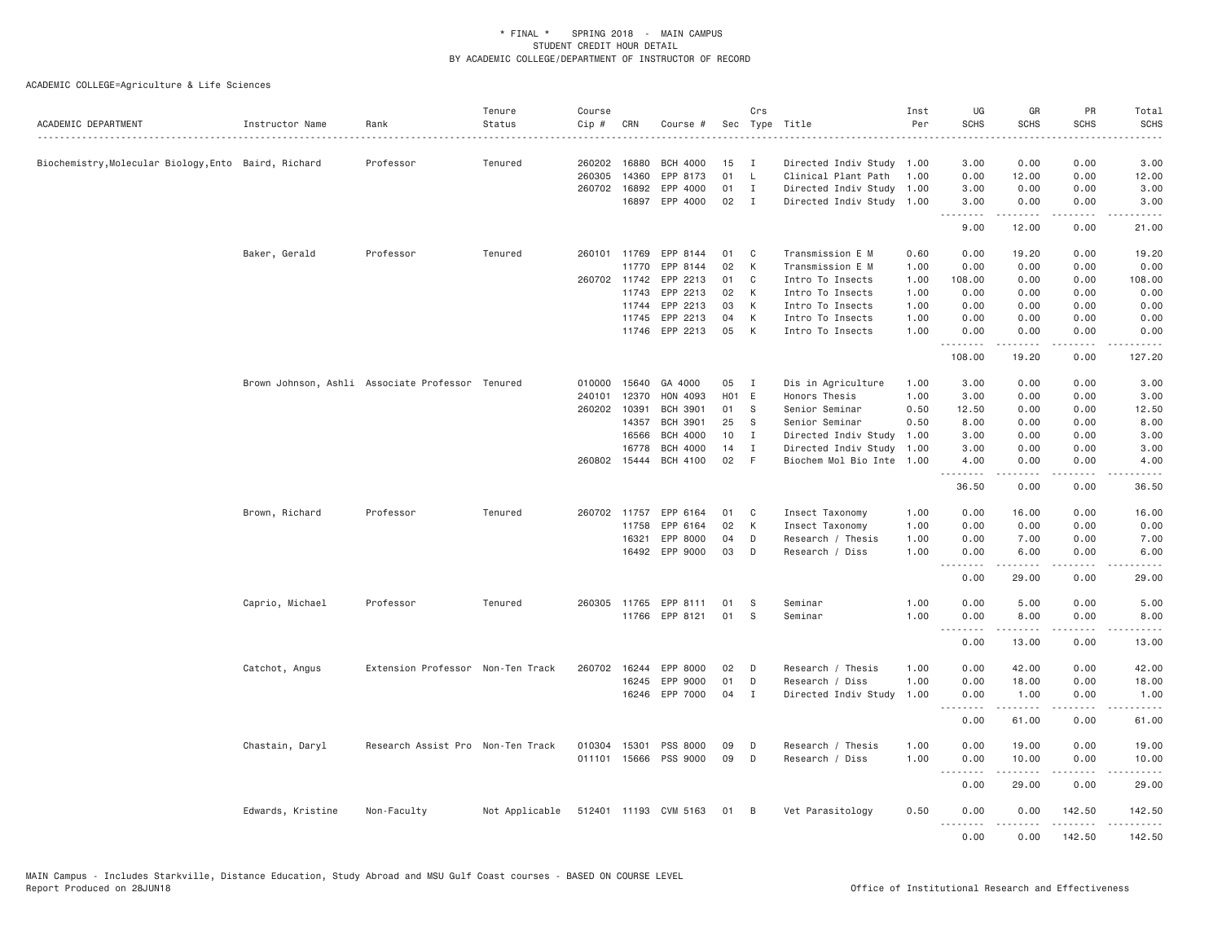| ACADEMIC DEPARTMENT                                  | Instructor Name   | Rank                                             | Tenure<br>Status | Course<br>Cip #        | CRN          | Course #              | Sec      | Crs          | Type Title                           | Inst<br>Per  | UG<br><b>SCHS</b> | GR<br><b>SCHS</b>     | PR<br><b>SCHS</b>                   | Total<br><b>SCHS</b>                       |
|------------------------------------------------------|-------------------|--------------------------------------------------|------------------|------------------------|--------------|-----------------------|----------|--------------|--------------------------------------|--------------|-------------------|-----------------------|-------------------------------------|--------------------------------------------|
| Biochemistry, Molecular Biology, Ento Baird, Richard |                   | Professor                                        | Tenured          |                        | 260202 16880 | <b>BCH 4000</b>       | 15       | — т          | Directed Indiv Study                 | 1.00         | 3.00              | 0.00                  | 0.00                                | 3.00                                       |
|                                                      |                   |                                                  |                  | 260305                 | 14360        | EPP 8173              | 01       | $\mathsf{L}$ | Clinical Plant Path                  | 1.00         | 0.00              | 12.00                 | 0.00                                | 12.00                                      |
|                                                      |                   |                                                  |                  | 260702                 | 16892        | EPP 4000              | 01       | $\mathbf{I}$ | Directed Indiv Study                 | 1.00         | 3.00              | 0.00                  | 0.00                                | 3.00                                       |
|                                                      |                   |                                                  |                  |                        | 16897        | EPP 4000              | 02       | $\mathbf{I}$ | Directed Indiv Study                 | 1.00         | 3.00<br><u>.</u>  | 0.00                  | 0.00                                | 3.00                                       |
|                                                      |                   |                                                  |                  |                        |              |                       |          |              |                                      |              | 9.00              | 12.00                 | 0.00                                | 21.00                                      |
|                                                      | Baker, Gerald     | Professor                                        | Tenured          | 260101                 | 11769        | EPP 8144              | 01       | C            | Transmission E M                     | 0.60         | 0.00              | 19.20                 | 0.00                                | 19.20                                      |
|                                                      |                   |                                                  |                  |                        | 11770        | EPP 8144              | 02       | К            | Transmission E M                     | 1.00         | 0.00              | 0.00                  | 0.00                                | 0.00                                       |
|                                                      |                   |                                                  |                  | 260702                 | 11742        | EPP 2213              | 01       | C            | Intro To Insects                     | 1.00         | 108.00            | 0.00                  | 0.00                                | 108.00                                     |
|                                                      |                   |                                                  |                  |                        | 11743        | EPP 2213              | 02       | К            | Intro To Insects                     | 1.00         | 0.00              | 0.00                  | 0.00                                | 0.00                                       |
|                                                      |                   |                                                  |                  |                        | 11744        | EPP 2213              | 03       | К            | Intro To Insects                     | 1.00         | 0.00              | 0.00                  | 0.00                                | 0.00                                       |
|                                                      |                   |                                                  |                  |                        | 11745        | EPP 2213              | 04       | К            | Intro To Insects                     | 1.00         | 0.00              | 0.00                  | 0.00                                | 0.00                                       |
|                                                      |                   |                                                  |                  |                        |              | 11746 EPP 2213        | 05       | K            | Intro To Insects                     | 1.00         | 0.00<br>.         | 0.00<br>-----         | 0.00<br>.                           | 0.00<br>.                                  |
|                                                      |                   |                                                  |                  |                        |              |                       |          |              |                                      |              | 108.00            | 19.20                 | 0.00                                | 127.20                                     |
|                                                      |                   | Brown Johnson, Ashli Associate Professor Tenured |                  | 010000                 | 15640        | GA 4000               | 05       | $\mathbf{I}$ | Dis in Agriculture                   | 1.00         | 3.00              | 0.00                  | 0.00                                | 3.00                                       |
|                                                      |                   |                                                  |                  | 240101                 | 12370        | HON 4093              | H01 E    |              | Honors Thesis                        | 1.00         | 3.00              | 0.00                  | 0.00                                | 3.00                                       |
|                                                      |                   |                                                  |                  | 260202                 | 10391        | <b>BCH 3901</b>       | 01       | S            | Senior Seminar                       | 0.50         | 12.50             | 0.00                  | 0.00                                | 12.50                                      |
|                                                      |                   |                                                  |                  |                        | 14357        | <b>BCH 3901</b>       | 25       | S            | Senior Seminar                       | 0.50         | 8.00              | 0.00                  | 0.00                                | 8.00                                       |
|                                                      |                   |                                                  |                  |                        | 16566        | <b>BCH 4000</b>       | 10       | $\mathbf{I}$ | Directed Indiv Study                 | 1.00         | 3.00              | 0.00                  | 0.00                                | 3.00                                       |
|                                                      |                   |                                                  |                  |                        | 16778        | <b>BCH 4000</b>       | 14       | $\mathbf{I}$ | Directed Indiv Study                 | 1.00         | 3.00              | 0.00                  | 0.00                                | 3.00                                       |
|                                                      |                   |                                                  |                  | 260802                 | 15444        | <b>BCH 4100</b>       | 02       | -F           | Biochem Mol Bio Inte                 | 1.00         | 4.00<br><u>.</u>  | 0.00<br>.             | 0.00<br>$\sim$ $\sim$ $\sim$ $\sim$ | 4.00<br>$\sim$ $\sim$ $\sim$ $\sim$ $\sim$ |
|                                                      |                   |                                                  |                  |                        |              |                       |          |              |                                      |              | 36.50             | 0.00                  | 0.00                                | 36.50                                      |
|                                                      | Brown, Richard    | Professor                                        | Tenured          |                        | 260702 11757 | EPP 6164              | 01       | C            | Insect Taxonomy                      | 1.00         | 0.00              | 16.00                 | 0.00                                | 16.00                                      |
|                                                      |                   |                                                  |                  |                        | 11758        | EPP 6164              | 02       | К            | Insect Taxonomy                      | 1.00         | 0.00              | 0.00                  | 0.00                                | 0.00                                       |
|                                                      |                   |                                                  |                  |                        | 16321        | EPP 8000              | 04       | D            | Research / Thesis                    | 1.00         | 0.00              | 7.00                  | 0.00                                | 7.00                                       |
|                                                      |                   |                                                  |                  |                        |              | 16492 EPP 9000        | 03       | D            | Research / Diss                      | 1.00         | 0.00              | 6.00                  | 0.00                                | 6.00                                       |
|                                                      |                   |                                                  |                  |                        |              |                       |          |              |                                      |              | .<br>0.00         | 29.00                 | .<br>0.00                           | 29.00                                      |
|                                                      | Caprio, Michael   | Professor                                        | Tenured          |                        | 260305 11765 | EPP 8111              | 01       | S            | Seminar                              | 1.00         | 0.00              | 5.00                  | 0.00                                | 5.00                                       |
|                                                      |                   |                                                  |                  |                        | 11766        | EPP 8121              | 01       | S            | Seminar                              | 1.00         | 0.00<br>.         | 8.00                  | 0.00                                | 8.00                                       |
|                                                      |                   |                                                  |                  |                        |              |                       |          |              |                                      |              | 0.00              | 13.00                 | 0.00                                | 13.00                                      |
|                                                      | Catchot, Angus    | Extension Professor Non-Ten Track                |                  | 260702                 | 16244        | EPP 8000              | 02       | D            | Research / Thesis                    | 1.00         | 0.00              | 42.00                 | 0.00                                | 42.00                                      |
|                                                      |                   |                                                  |                  |                        | 16245        | EPP 9000              | 01       | D            | Research / Diss                      | 1.00         | 0.00              | 18.00                 | 0.00                                | 18.00                                      |
|                                                      |                   |                                                  |                  |                        | 16246        | EPP 7000              | 04       | $\mathbf{I}$ | Directed Indiv Study                 | 1.00         | 0.00              | 1.00                  | 0.00                                | 1.00                                       |
|                                                      |                   |                                                  |                  |                        |              |                       |          |              |                                      |              | .<br>0.00         | .<br>61.00            | .<br>0.00                           | المتمام<br>61.00                           |
|                                                      |                   |                                                  |                  |                        |              |                       |          |              |                                      |              |                   |                       |                                     |                                            |
|                                                      | Chastain, Daryl   | Research Assist Pro Non-Ten Track                |                  | 010304<br>011101 15666 | 15301        | PSS 8000<br>PSS 9000  | 09<br>09 | D<br>D       | Research / Thesis<br>Research / Diss | 1.00<br>1.00 | 0.00<br>0.00      | 19.00<br>10.00        | 0.00<br>0.00                        | 19.00<br>10.00                             |
|                                                      |                   |                                                  |                  |                        |              |                       |          |              |                                      |              | . <b>.</b>        | <u>.</u>              | .                                   | .                                          |
|                                                      |                   |                                                  |                  |                        |              |                       |          |              |                                      |              | 0.00              | 29.00                 | 0.00                                | 29.00                                      |
|                                                      | Edwards, Kristine | Non-Faculty                                      | Not Applicable   |                        |              | 512401 11193 CVM 5163 | 01 B     |              | Vet Parasitology                     | 0.50         | 0.00<br>.         | 0.00<br>$\frac{1}{2}$ | 142.50<br><u>.</u>                  | 142.50<br>.                                |
|                                                      |                   |                                                  |                  |                        |              |                       |          |              |                                      |              | 0.00              | 0.00                  | 142.50                              | 142.50                                     |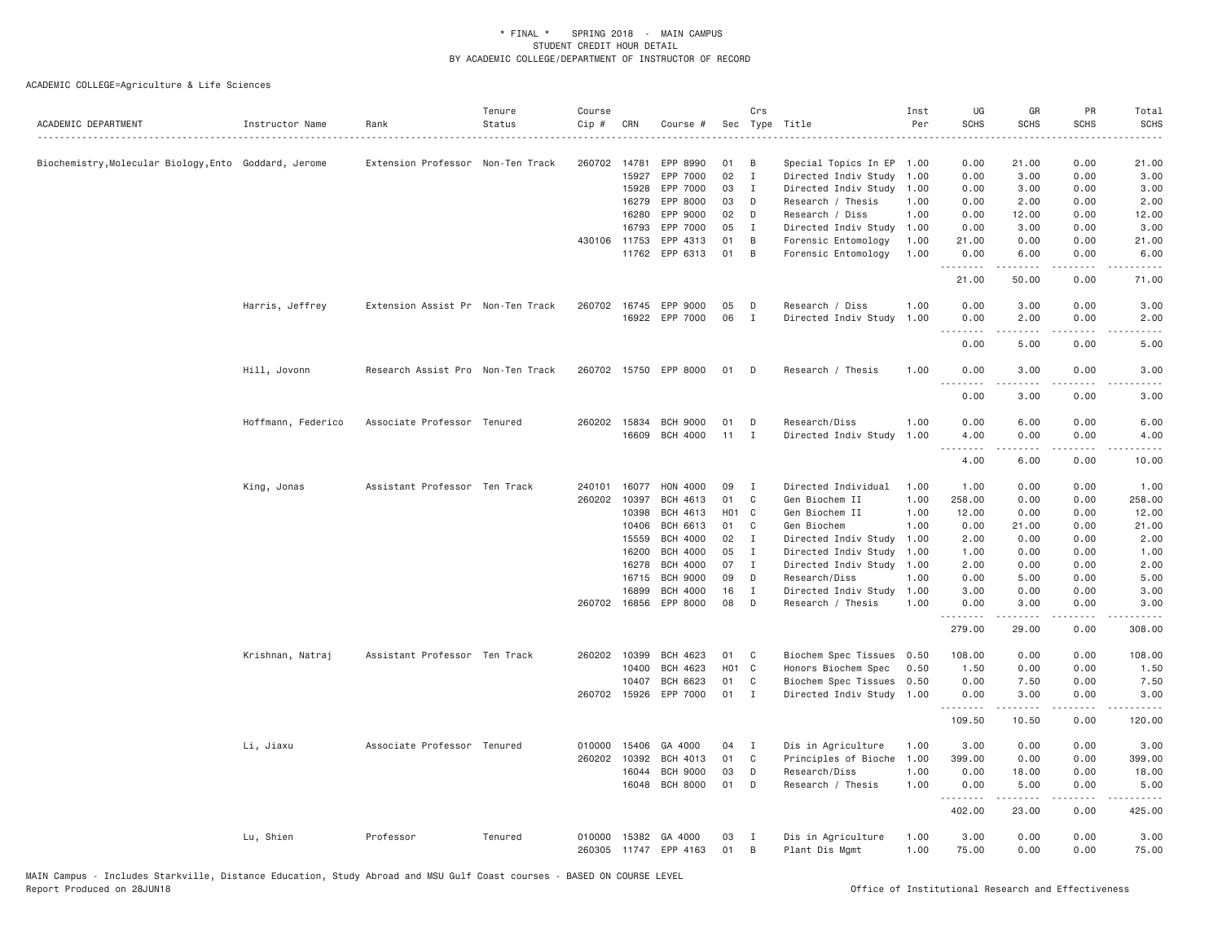| ACADEMIC DEPARTMENT                                   | Instructor Name    | Rank                              | Tenure<br>Status | Course<br>Cip#   | CRN            | Course #                           |          | Crs               | Sec Type Title                        | Inst<br>Per  | UG<br><b>SCHS</b>                | GR<br><b>SCHS</b>                                                                                                                                            | PR<br><b>SCHS</b>                   | Total<br><b>SCHS</b><br>$\omega$ is $\omega$ in . |
|-------------------------------------------------------|--------------------|-----------------------------------|------------------|------------------|----------------|------------------------------------|----------|-------------------|---------------------------------------|--------------|----------------------------------|--------------------------------------------------------------------------------------------------------------------------------------------------------------|-------------------------------------|---------------------------------------------------|
| Biochemistry, Molecular Biology, Ento Goddard, Jerome |                    | Extension Professor Non-Ten Track |                  | 260702 14781     |                | EPP 8990                           | 01       | B                 | Special Topics In EP                  | 1.00         | 0.00                             | 21.00                                                                                                                                                        | 0.00                                | 21.00                                             |
|                                                       |                    |                                   |                  |                  | 15927          | EPP 7000                           | 02       | $\mathbf{I}$      | Directed Indiv Study                  | 1.00         | 0.00                             | 3.00                                                                                                                                                         | 0.00                                | 3.00                                              |
|                                                       |                    |                                   |                  |                  | 15928          | EPP 7000                           | 03       | $\mathbf{I}$      | Directed Indiv Study                  | 1.00         | 0.00                             | 3.00                                                                                                                                                         | 0.00                                | 3.00                                              |
|                                                       |                    |                                   |                  |                  | 16279          | EPP 8000                           | 03       | D                 | Research / Thesis                     | 1.00         | 0.00                             | 2.00                                                                                                                                                         | 0.00                                | 2.00                                              |
|                                                       |                    |                                   |                  |                  | 16280          | EPP 9000                           | 02       | D                 | Research / Diss                       | 1.00         | 0.00                             | 12.00                                                                                                                                                        | 0.00                                | 12.00                                             |
|                                                       |                    |                                   |                  |                  | 16793          | EPP 7000                           | 05       | Ι.                | Directed Indiv Study                  | 1.00         | 0.00                             | 3.00                                                                                                                                                         | 0.00                                | 3.00                                              |
|                                                       |                    |                                   |                  | 430106           | 11753          | EPP 4313                           | 01       | B                 | Forensic Entomology                   | 1.00         | 21.00                            | 0.00                                                                                                                                                         | 0.00                                | 21.00                                             |
|                                                       |                    |                                   |                  |                  |                | 11762 EPP 6313                     | 01       | B                 | Forensic Entomology                   | 1.00         | 0.00<br>.                        | 6.00                                                                                                                                                         | 0.00<br>.                           | 6.00<br>.                                         |
|                                                       |                    |                                   |                  |                  |                |                                    |          |                   |                                       |              | 21.00                            | 50.00                                                                                                                                                        | 0.00                                | 71.00                                             |
|                                                       | Harris, Jeffrey    | Extension Assist Pr Non-Ten Track |                  | 260702 16745     |                | EPP 9000                           | 05       | -n                | Research / Diss                       | 1.00         | 0.00                             | 3.00                                                                                                                                                         | 0.00                                | 3.00                                              |
|                                                       |                    |                                   |                  |                  |                | 16922 EPP 7000                     | 06       | $\mathbf{I}$      | Directed Indiv Study                  | 1.00         | 0.00                             | 2.00                                                                                                                                                         | 0.00                                | 2.00                                              |
|                                                       |                    |                                   |                  |                  |                |                                    |          |                   |                                       |              | 0.00                             | 5.00                                                                                                                                                         | $\sim$ $\sim$ $\sim$ $\sim$<br>0.00 | 5.00                                              |
|                                                       | Hill, Jovonn       | Research Assist Pro Non-Ten Track |                  |                  |                | 260702 15750 EPP 8000              | 01 D     |                   | Research / Thesis                     | 1.00         | 0.00                             | 3.00                                                                                                                                                         | 0.00                                | 3.00                                              |
|                                                       |                    |                                   |                  |                  |                |                                    |          |                   |                                       |              | <b></b><br>0.00                  | <u>.</u><br>3.00                                                                                                                                             | .<br>0.00                           | ----<br>3.00                                      |
|                                                       |                    |                                   |                  | 260202 15834     |                | <b>BCH 9000</b>                    | 01       |                   |                                       |              |                                  | 6.00                                                                                                                                                         |                                     |                                                   |
|                                                       | Hoffmann, Federico | Associate Professor Tenured       |                  |                  | 16609          | <b>BCH 4000</b>                    | 11       | D<br>$\mathbf{I}$ | Research/Diss<br>Directed Indiv Study | 1.00<br>1,00 | 0.00<br>4.00                     | 0.00                                                                                                                                                         | 0.00<br>0.00                        | 6.00<br>4.00                                      |
|                                                       |                    |                                   |                  |                  |                |                                    |          |                   |                                       |              | $\sim$ $\sim$ $\sim$ $\sim$<br>. |                                                                                                                                                              | $\sim$ $\sim$ $\sim$ $\sim$         | .                                                 |
|                                                       |                    |                                   |                  |                  |                |                                    |          |                   |                                       |              | 4.00                             | 6.00                                                                                                                                                         | 0.00                                | 10.00                                             |
|                                                       | King, Jonas        | Assistant Professor Ten Track     |                  | 240101           | 16077          | HON 4000                           | 09       | I                 | Directed Individual                   | 1.00         | 1.00                             | 0.00                                                                                                                                                         | 0.00                                | 1.00                                              |
|                                                       |                    |                                   |                  | 260202 10397     |                | BCH 4613                           | 01       | C                 | Gen Biochem II                        | 1.00         | 258.00                           | 0.00                                                                                                                                                         | 0.00                                | 258.00                                            |
|                                                       |                    |                                   |                  |                  | 10398          | <b>BCH 4613</b>                    |          | H01 C             | Gen Biochem II                        | 1.00         | 12.00                            | 0.00                                                                                                                                                         | 0.00                                | 12.00                                             |
|                                                       |                    |                                   |                  |                  | 10406          | <b>BCH 6613</b>                    | 01       | C                 | Gen Biochem                           | 1.00         | 0.00                             | 21.00                                                                                                                                                        | 0.00                                | 21.00                                             |
|                                                       |                    |                                   |                  |                  | 15559          | <b>BCH 4000</b>                    | 02       | $\mathbf{I}$      | Directed Indiv Study                  | 1.00         | 2.00                             | 0.00                                                                                                                                                         | 0.00                                | 2.00                                              |
|                                                       |                    |                                   |                  |                  | 16200          | <b>BCH 4000</b>                    | 05<br>07 | $\mathbf I$       | Directed Indiv Study                  | 1.00         | 1.00                             | 0.00                                                                                                                                                         | 0.00                                | 1.00                                              |
|                                                       |                    |                                   |                  |                  | 16278<br>16715 | <b>BCH 4000</b><br><b>BCH 9000</b> | 09       | $\mathbf{I}$<br>D | Directed Indiv Study<br>Research/Diss | 1.00<br>1.00 | 2.00<br>0.00                     | 0.00<br>5.00                                                                                                                                                 | 0.00<br>0.00                        | 2.00<br>5.00                                      |
|                                                       |                    |                                   |                  |                  | 16899          | <b>BCH 4000</b>                    | 16       | Ι.                | Directed Indiv Study                  | 1.00         | 3.00                             | 0.00                                                                                                                                                         | 0.00                                | 3.00                                              |
|                                                       |                    |                                   |                  | 260702 16856     |                | EPP 8000                           | 08       | D                 | Research / Thesis                     | 1.00         | 0.00                             | 3.00                                                                                                                                                         | 0.00                                | 3.00                                              |
|                                                       |                    |                                   |                  |                  |                |                                    |          |                   |                                       |              | .                                | <u>.</u>                                                                                                                                                     | .                                   | .                                                 |
|                                                       |                    |                                   |                  |                  |                |                                    |          |                   |                                       |              | 279.00                           | 29.00                                                                                                                                                        | 0.00                                | 308.00                                            |
|                                                       | Krishnan, Natraj   | Assistant Professor Ten Track     |                  | 260202 10399     |                | BCH 4623                           | 01       | C                 | Biochem Spec Tissues                  | 0.50         | 108.00                           | 0.00                                                                                                                                                         | 0.00                                | 108.00                                            |
|                                                       |                    |                                   |                  |                  | 10400          | BCH 4623                           |          | H01 C             | Honors Biochem Spec                   | 0.50         | 1.50                             | 0.00                                                                                                                                                         | 0.00                                | 1.50                                              |
|                                                       |                    |                                   |                  |                  | 10407          | BCH 6623                           | 01       | C                 | Biochem Spec Tissues                  | 0.50         | 0.00                             | 7.50                                                                                                                                                         | 0.00                                | 7.50                                              |
|                                                       |                    |                                   |                  |                  |                | 260702 15926 EPP 7000              | 01       | $\mathbf{I}$      | Directed Indiv Study 1.00             |              | 0.00<br>.                        | 3.00<br>$- - - - -$                                                                                                                                          | 0.00<br>.                           | 3.00<br>.                                         |
|                                                       |                    |                                   |                  |                  |                |                                    |          |                   |                                       |              | 109.50                           | 10.50                                                                                                                                                        | 0.00                                | 120.00                                            |
|                                                       | Li, Jiaxu          | Associate Professor Tenured       |                  | 010000           | 15406          | GA 4000                            | 04       | $\mathbf{I}$      | Dis in Agriculture                    | 1.00         | 3.00                             | 0.00                                                                                                                                                         | 0.00                                | 3.00                                              |
|                                                       |                    |                                   |                  | 260202 10392     |                | BCH 4013                           | 01       | C                 | Principles of Bioche                  | 1.00         | 399.00                           | 0.00                                                                                                                                                         | 0.00                                | 399.00                                            |
|                                                       |                    |                                   |                  |                  | 16044          | <b>BCH 9000</b>                    | 03       | D                 | Research/Diss                         | 1.00         | 0.00                             | 18.00                                                                                                                                                        | 0.00                                | 18.00                                             |
|                                                       |                    |                                   |                  |                  | 16048          | <b>BCH 8000</b>                    | 01       | D                 | Research / Thesis                     | 1.00         | 0.00                             | 5.00<br>$\frac{1}{2} \left( \frac{1}{2} \right) \left( \frac{1}{2} \right) \left( \frac{1}{2} \right) \left( \frac{1}{2} \right) \left( \frac{1}{2} \right)$ | 0.00<br>.                           | 5.00<br>$- - - - - -$                             |
|                                                       |                    |                                   |                  |                  |                |                                    |          |                   |                                       |              | 402.00                           | 23.00                                                                                                                                                        | 0.00                                | 425.00                                            |
|                                                       | Lu, Shien          | Professor                         | Tenured          | 010000<br>260305 | 15382          | GA 4000<br>11747 EPP 4163          | 03<br>01 | I<br>B            | Dis in Agriculture<br>Plant Dis Mgmt  | 1.00<br>1.00 | 3.00<br>75.00                    | 0.00<br>0.00                                                                                                                                                 | 0.00<br>0.00                        | 3.00<br>75.00                                     |
|                                                       |                    |                                   |                  |                  |                |                                    |          |                   |                                       |              |                                  |                                                                                                                                                              |                                     |                                                   |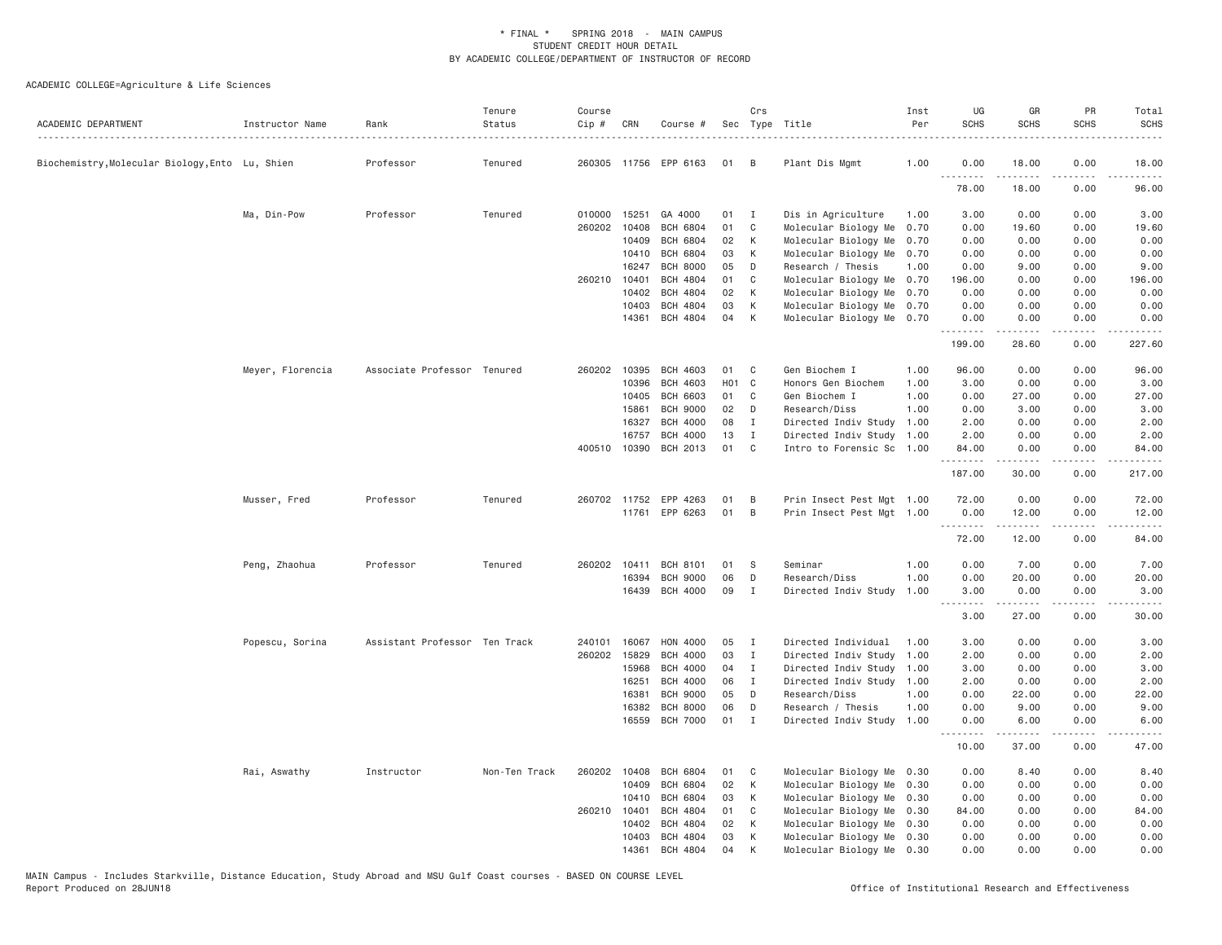| ACADEMIC DEPARTMENT                             | Instructor Name  | Rank                          | Tenure<br>Status | Course<br>$Cip$ # | CRN   | Course #              |       | Crs          | Sec Type Title            | Inst<br>Per | UG<br><b>SCHS</b>   | GR<br><b>SCHS</b>                                                                                                                                                                       | PR<br><b>SCHS</b>     | Total<br><b>SCHS</b> |
|-------------------------------------------------|------------------|-------------------------------|------------------|-------------------|-------|-----------------------|-------|--------------|---------------------------|-------------|---------------------|-----------------------------------------------------------------------------------------------------------------------------------------------------------------------------------------|-----------------------|----------------------|
| Biochemistry, Molecular Biology, Ento Lu, Shien |                  | Professor                     | Tenured          |                   |       | 260305 11756 EPP 6163 | 01    | B            | Plant Dis Mgmt            | 1.00        | 0.00                | 18.00                                                                                                                                                                                   | 0.00                  | 18.00                |
|                                                 |                  |                               |                  |                   |       |                       |       |              |                           |             | . <b>.</b><br>78.00 | 18.00                                                                                                                                                                                   | 0.00                  | 96.00                |
|                                                 | Ma, Din-Pow      | Professor                     | Tenured          | 010000            | 15251 | GA 4000               | 01    | $\mathbf{I}$ | Dis in Agriculture        | 1.00        | 3.00                | 0.00                                                                                                                                                                                    | 0.00                  | 3.00                 |
|                                                 |                  |                               |                  | 260202            | 10408 | <b>BCH 6804</b>       | 01    | C            | Molecular Biology Me      | 0.70        | 0.00                | 19.60                                                                                                                                                                                   | 0.00                  | 19.60                |
|                                                 |                  |                               |                  |                   | 10409 | <b>BCH 6804</b>       | 02    | K            | Molecular Biology Me      | 0.70        | 0.00                | 0.00                                                                                                                                                                                    | 0.00                  | 0.00                 |
|                                                 |                  |                               |                  |                   | 10410 | <b>BCH 6804</b>       | 03    | К            | Molecular Biology Me      | 0.70        | 0.00                | 0.00                                                                                                                                                                                    | 0.00                  | 0.00                 |
|                                                 |                  |                               |                  |                   | 16247 | <b>BCH 8000</b>       | 05    | D            | Research / Thesis         | 1.00        | 0.00                | 9.00                                                                                                                                                                                    | 0.00                  | 9.00                 |
|                                                 |                  |                               |                  | 260210 10401      |       | BCH 4804              | 01    | $\mathsf{C}$ | Molecular Biology Me 0.70 |             | 196.00              | 0.00                                                                                                                                                                                    | 0.00                  | 196.00               |
|                                                 |                  |                               |                  |                   | 10402 | <b>BCH 4804</b>       | 02    | К            | Molecular Biology Me 0.70 |             | 0.00                | 0.00                                                                                                                                                                                    | 0.00                  | 0.00                 |
|                                                 |                  |                               |                  |                   | 10403 | <b>BCH 4804</b>       | 03    | K            | Molecular Biology Me 0.70 |             | 0.00                | 0.00                                                                                                                                                                                    | 0.00                  | 0.00                 |
|                                                 |                  |                               |                  |                   | 14361 | BCH 4804              | 04    | K            | Molecular Biology Me 0.70 |             | 0.00<br>.           | 0.00<br>-----                                                                                                                                                                           | 0.00<br>د د د د       | 0.00                 |
|                                                 |                  |                               |                  |                   |       |                       |       |              |                           |             | 199.00              | 28.60                                                                                                                                                                                   | 0.00                  | 227.60               |
|                                                 | Meyer, Florencia | Associate Professor Tenured   |                  | 260202 10395      |       | <b>BCH 4603</b>       | 01    | C            | Gen Biochem I             | 1.00        | 96.00               | 0.00                                                                                                                                                                                    | 0.00                  | 96.00                |
|                                                 |                  |                               |                  |                   | 10396 | BCH 4603              | HO1 C |              | Honors Gen Biochem        | 1.00        | 3.00                | 0.00                                                                                                                                                                                    | 0.00                  | 3.00                 |
|                                                 |                  |                               |                  |                   | 10405 | <b>BCH 6603</b>       | 01    | C            | Gen Biochem I             | 1.00        | 0.00                | 27.00                                                                                                                                                                                   | 0.00                  | 27.00                |
|                                                 |                  |                               |                  |                   | 15861 | <b>BCH 9000</b>       | 02    | D            | Research/Diss             | 1.00        | 0.00                | 3.00                                                                                                                                                                                    | 0.00                  | 3.00                 |
|                                                 |                  |                               |                  |                   | 16327 | <b>BCH 4000</b>       | 08    | I            | Directed Indiv Study      | 1.00        | 2.00                | 0.00                                                                                                                                                                                    | 0.00                  | 2.00                 |
|                                                 |                  |                               |                  |                   | 16757 | <b>BCH 4000</b>       | 13    | I            | Directed Indiv Study      | 1.00        | 2.00                | 0.00                                                                                                                                                                                    | 0.00                  | 2.00                 |
|                                                 |                  |                               |                  | 400510 10390      |       | BCH 2013              | 01    | C            | Intro to Forensic Sc 1.00 |             | 84.00<br>.          | 0.00<br>$\frac{1}{2} \left( \frac{1}{2} \right) \left( \frac{1}{2} \right) \left( \frac{1}{2} \right) \left( \frac{1}{2} \right) \left( \frac{1}{2} \right)$                            | 0.00<br>المتمامين     | 84.00<br>.           |
|                                                 |                  |                               |                  |                   |       |                       |       |              |                           |             | 187.00              | 30.00                                                                                                                                                                                   | 0.00                  | 217.00               |
|                                                 | Musser, Fred     | Professor                     | Tenured          |                   |       | 260702 11752 EPP 4263 | 01    | B            | Prin Insect Pest Mgt 1.00 |             | 72.00               | 0.00                                                                                                                                                                                    | 0.00                  | 72.00                |
|                                                 |                  |                               |                  |                   |       | 11761 EPP 6263        | 01    | B            | Prin Insect Pest Mgt 1.00 |             | 0.00<br>.           | 12.00<br>.                                                                                                                                                                              | 0.00<br>.             | 12.00<br>.           |
|                                                 |                  |                               |                  |                   |       |                       |       |              |                           |             | 72.00               | 12.00                                                                                                                                                                                   | 0.00                  | 84.00                |
|                                                 | Peng, Zhaohua    | Professor                     | Tenured          | 260202            | 10411 | <b>BCH 8101</b>       | 01    | S            | Seminar                   | 1.00        | 0.00                | 7.00                                                                                                                                                                                    | 0.00                  | 7.00                 |
|                                                 |                  |                               |                  |                   | 16394 | <b>BCH 9000</b>       | 06    | D            | Research/Diss             | 1.00        | 0.00                | 20.00                                                                                                                                                                                   | 0.00                  | 20.00                |
|                                                 |                  |                               |                  |                   | 16439 | <b>BCH 4000</b>       | 09    | $\mathbf I$  | Directed Indiv Study      | 1.00        | 3.00<br>$ -$<br>.   | 0.00<br>$\frac{1}{2} \left( \frac{1}{2} \right) \left( \frac{1}{2} \right) \left( \frac{1}{2} \right) \left( \frac{1}{2} \right) \left( \frac{1}{2} \right) \left( \frac{1}{2} \right)$ | 0.00<br>$\frac{1}{2}$ | 3.00                 |
|                                                 |                  |                               |                  |                   |       |                       |       |              |                           |             | 3.00                | 27.00                                                                                                                                                                                   | 0.00                  | 30.00                |
|                                                 | Popescu, Sorina  | Assistant Professor Ten Track |                  | 240101 16067      |       | HON 4000              | 05    | $\mathbf{I}$ | Directed Individual       | 1.00        | 3.00                | 0.00                                                                                                                                                                                    | 0.00                  | 3.00                 |
|                                                 |                  |                               |                  | 260202            | 15829 | <b>BCH 4000</b>       | 03    | $\mathbf{I}$ | Directed Indiv Study      | 1.00        | 2.00                | 0.00                                                                                                                                                                                    | 0.00                  | 2.00                 |
|                                                 |                  |                               |                  |                   | 15968 | BCH 4000              | 04    | $\mathbf{I}$ | Directed Indiv Study 1.00 |             | 3.00                | 0.00                                                                                                                                                                                    | 0.00                  | 3.00                 |
|                                                 |                  |                               |                  |                   | 16251 | <b>BCH 4000</b>       | 06    | $\mathbf{I}$ | Directed Indiv Study 1.00 |             | 2.00                | 0.00                                                                                                                                                                                    | 0.00                  | 2.00                 |
|                                                 |                  |                               |                  |                   | 16381 | <b>BCH 9000</b>       | 05    | D            | Research/Diss             | 1.00        | 0.00                | 22.00                                                                                                                                                                                   | 0.00                  | 22.00                |
|                                                 |                  |                               |                  |                   | 16382 | <b>BCH 8000</b>       | 06    | D            | Research / Thesis         | 1.00        | 0.00                | 9.00                                                                                                                                                                                    | 0.00                  | 9.00                 |
|                                                 |                  |                               |                  |                   | 16559 | <b>BCH 7000</b>       | 01    | $\mathbf{I}$ | Directed Indiv Study 1.00 |             | 0.00<br>.           | 6.00<br>$\frac{1}{2} \left( \frac{1}{2} \right) \left( \frac{1}{2} \right) \left( \frac{1}{2} \right) \left( \frac{1}{2} \right) \left( \frac{1}{2} \right)$                            | 0.00<br>د د د د       | 6.00                 |
|                                                 |                  |                               |                  |                   |       |                       |       |              |                           |             | 10.00               | 37.00                                                                                                                                                                                   | 0.00                  | 47.00                |
|                                                 | Rai, Aswathy     | Instructor                    | Non-Ten Track    | 260202            | 10408 | <b>BCH 6804</b>       | 01    | C            | Molecular Biology Me 0.30 |             | 0.00                | 8.40                                                                                                                                                                                    | 0.00                  | 8.40                 |
|                                                 |                  |                               |                  |                   | 10409 | <b>BCH 6804</b>       | 02    | К            | Molecular Biology Me 0.30 |             | 0.00                | 0.00                                                                                                                                                                                    | 0.00                  | 0.00                 |
|                                                 |                  |                               |                  |                   | 10410 | <b>BCH 6804</b>       | 03    | К            | Molecular Biology Me 0.30 |             | 0.00                | 0.00                                                                                                                                                                                    | 0.00                  | 0.00                 |
|                                                 |                  |                               |                  | 260210            | 10401 | <b>BCH 4804</b>       | 01    | C            | Molecular Biology Me 0.30 |             | 84.00               | 0.00                                                                                                                                                                                    | 0.00                  | 84.00                |
|                                                 |                  |                               |                  |                   | 10402 | <b>BCH 4804</b>       | 02    | K            | Molecular Biology Me 0.30 |             | 0.00                | 0.00                                                                                                                                                                                    | 0.00                  | 0.00                 |
|                                                 |                  |                               |                  |                   | 10403 | <b>BCH 4804</b>       | 03    | K            | Molecular Biology Me 0.30 |             | 0.00                | 0.00                                                                                                                                                                                    | 0.00                  | 0.00                 |
|                                                 |                  |                               |                  |                   | 14361 | <b>BCH 4804</b>       | 04    | К            | Molecular Biology Me 0.30 |             | 0.00                | 0.00                                                                                                                                                                                    | 0.00                  | 0.00                 |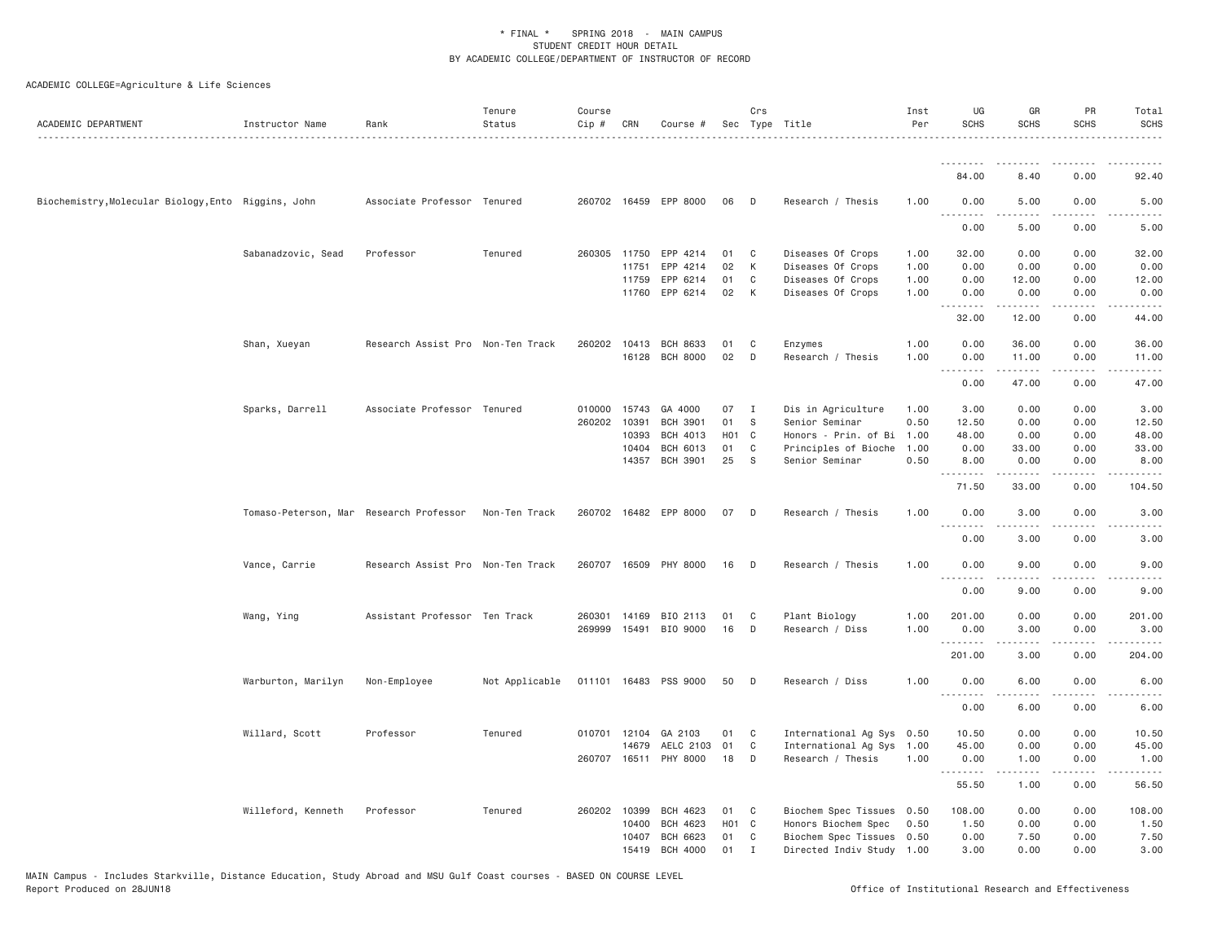| ACADEMIC DEPARTMENT                                 | Instructor Name                         | Rank                              | Tenure<br>Status | Course<br>$Cip$ # | CRN   | Course #                           |                   | Crs          | Sec Type Title                            | Inst<br>Per  | UG<br><b>SCHS</b>            | GR<br><b>SCHS</b>                                                                                                                                    | PR<br><b>SCHS</b> | Total<br><b>SCHS</b>  |
|-----------------------------------------------------|-----------------------------------------|-----------------------------------|------------------|-------------------|-------|------------------------------------|-------------------|--------------|-------------------------------------------|--------------|------------------------------|------------------------------------------------------------------------------------------------------------------------------------------------------|-------------------|-----------------------|
|                                                     |                                         |                                   |                  |                   |       |                                    |                   |              |                                           |              | <u>.</u>                     |                                                                                                                                                      |                   |                       |
|                                                     |                                         |                                   |                  |                   |       |                                    |                   |              |                                           |              | 84.00                        | 8.40                                                                                                                                                 | 0.00              | 92.40                 |
| Biochemistry, Molecular Biology, Ento Riggins, John |                                         | Associate Professor Tenured       |                  |                   |       | 260702 16459 EPP 8000              | 06                | D            | Research / Thesis                         | 1.00         | 0.00<br><u>.</u>             | 5.00                                                                                                                                                 | 0.00              | 5.00                  |
|                                                     |                                         |                                   |                  |                   |       |                                    |                   |              |                                           |              | 0.00                         | 5.00                                                                                                                                                 | 0.00              | 5.00                  |
|                                                     | Sabanadzovic, Sead                      | Professor                         | Tenured          | 260305 11750      |       | EPP 4214                           | 01                | C            | Diseases Of Crops                         | 1.00         | 32.00                        | 0.00                                                                                                                                                 | 0.00              | 32.00                 |
|                                                     |                                         |                                   |                  |                   | 11751 | EPP 4214                           | 02                | K            | Diseases Of Crops                         | 1.00         | 0.00                         | 0.00                                                                                                                                                 | 0.00              | 0.00                  |
|                                                     |                                         |                                   |                  |                   | 11759 | EPP 6214                           | 01                | C            | Diseases Of Crops                         | 1.00         | 0.00                         | 12.00                                                                                                                                                | 0.00              | 12.00                 |
|                                                     |                                         |                                   |                  |                   | 11760 | EPP 6214                           | 02                | K            | Diseases Of Crops                         | 1.00         | 0.00<br>.                    | 0.00                                                                                                                                                 | 0.00              | 0.00                  |
|                                                     |                                         |                                   |                  |                   |       |                                    |                   |              |                                           |              | 32.00                        | 12.00                                                                                                                                                | 0.00              | 44.00                 |
|                                                     | Shan, Xueyan                            | Research Assist Pro Non-Ten Track |                  | 260202            | 10413 | BCH 8633                           | 01                | C            | Enzymes                                   | 1.00         | 0.00                         | 36.00                                                                                                                                                | 0.00              | 36.00                 |
|                                                     |                                         |                                   |                  |                   |       | 16128 BCH 8000                     | 02                | D            | Research / Thesis                         | 1.00         | 0.00<br>$-$ - $-$ -          | 11.00<br>$\begin{array}{cccccccccccccc} \bullet & \bullet & \bullet & \bullet & \bullet & \bullet & \bullet \end{array}$                             | 0.00<br>.         | 11.00<br>.            |
|                                                     |                                         |                                   |                  |                   |       |                                    |                   |              |                                           |              | 0.00                         | 47.00                                                                                                                                                | 0.00              | 47.00                 |
|                                                     | Sparks, Darrell                         | Associate Professor Tenured       |                  | 010000 15743      |       | GA 4000                            | 07                | $\mathbf{I}$ | Dis in Agriculture                        | 1.00         | 3.00                         | 0.00                                                                                                                                                 | 0.00              | 3.00                  |
|                                                     |                                         |                                   |                  | 260202            | 10391 | <b>BCH 3901</b>                    | 01                | S            | Senior Seminar                            | 0.50         | 12.50                        | 0.00                                                                                                                                                 | 0.00              | 12.50                 |
|                                                     |                                         |                                   |                  |                   | 10393 | BCH 4013                           | H <sub>01</sub> C |              | Honors - Prin. of Bi                      | 1.00         | 48.00                        | 0.00                                                                                                                                                 | 0.00              | 48.00                 |
|                                                     |                                         |                                   |                  |                   | 10404 | BCH 6013                           | 01                | C            | Principles of Bioche                      | 1.00         | 0.00                         | 33.00                                                                                                                                                | 0.00              | 33.00                 |
|                                                     |                                         |                                   |                  |                   | 14357 | <b>BCH 3901</b>                    | 25                | <b>S</b>     | Senior Seminar                            | 0.50         | 8.00<br>.                    | 0.00<br>$- - - - -$                                                                                                                                  | 0.00<br>الأنابات  | 8.00<br>.             |
|                                                     |                                         |                                   |                  |                   |       |                                    |                   |              |                                           |              | 71.50                        | 33.00                                                                                                                                                | 0.00              | 104.50                |
|                                                     | Tomaso-Peterson, Mar Research Professor |                                   | Non-Ten Track    |                   |       | 260702 16482 EPP 8000              | 07                | D            | Research / Thesis                         | 1.00         | 0.00<br>.                    | 3.00<br>.                                                                                                                                            | 0.00<br>----      | 3.00<br>$- - - -$     |
|                                                     |                                         |                                   |                  |                   |       |                                    |                   |              |                                           |              | 0.00                         | 3.00                                                                                                                                                 | 0.00              | 3.00                  |
|                                                     | Vance, Carrie                           | Research Assist Pro Non-Ten Track |                  |                   |       | 260707 16509 PHY 8000              | 16                | D            | Research / Thesis                         | 1.00         | 0.00<br>$\sim$ $\sim$ $\sim$ | 9.00                                                                                                                                                 | 0.00              | 9.00                  |
|                                                     |                                         |                                   |                  |                   |       |                                    |                   |              |                                           |              | 0.00                         | 9.00                                                                                                                                                 | 0.00              | 9.00                  |
|                                                     | Wang, Ying                              | Assistant Professor Ten Track     |                  | 260301 14169      |       | BIO 2113                           | 01                | C            | Plant Biology                             | 1.00         | 201.00                       | 0.00                                                                                                                                                 | 0.00              | 201.00                |
|                                                     |                                         |                                   |                  | 269999            | 15491 | BIO 9000                           | 16                | D            | Research / Diss                           | 1.00         | 0.00                         | 3.00                                                                                                                                                 | 0.00              | 3.00                  |
|                                                     |                                         |                                   |                  |                   |       |                                    |                   |              |                                           |              | .<br>201.00                  | .<br>3.00                                                                                                                                            | $  -$<br>0.00     | $- - - - -$<br>204.00 |
|                                                     | Warburton, Marilyn                      | Non-Employee                      | Not Applicable   |                   |       | 011101 16483 PSS 9000              | 50                | D            | Research / Diss                           | 1.00         | 0.00                         | 6.00                                                                                                                                                 | 0.00              | 6.00                  |
|                                                     |                                         |                                   |                  |                   |       |                                    |                   |              |                                           |              | .<br>0.00                    | 6.00                                                                                                                                                 | 0.00              | 6.00                  |
|                                                     |                                         |                                   |                  |                   |       |                                    |                   |              |                                           |              |                              |                                                                                                                                                      |                   |                       |
|                                                     | Willard, Scott                          | Professor                         | Tenured          |                   |       | 010701 12104 GA 2103               | 01                | C            | International Ag Sys                      | 0.50         | 10.50                        | 0.00                                                                                                                                                 | 0.00              | 10.50                 |
|                                                     |                                         |                                   |                  |                   | 14679 | AELC 2103<br>260707 16511 PHY 8000 | 01<br>18          | C<br>D       | International Ag Sys<br>Research / Thesis | 1.00<br>1.00 | 45.00<br>0.00                | 0.00<br>1.00                                                                                                                                         | 0.00<br>0.00      | 45.00<br>1.00         |
|                                                     |                                         |                                   |                  |                   |       |                                    |                   |              |                                           |              | .                            | $\frac{1}{2} \left( \frac{1}{2} \right) \left( \frac{1}{2} \right) \left( \frac{1}{2} \right) \left( \frac{1}{2} \right) \left( \frac{1}{2} \right)$ | .                 | .                     |
|                                                     |                                         |                                   |                  |                   |       |                                    |                   |              |                                           |              | 55.50                        | 1.00                                                                                                                                                 | 0.00              | 56.50                 |
|                                                     | Willeford, Kenneth                      | Professor                         | Tenured          | 260202            | 10399 | <b>BCH 4623</b>                    | 01                | C            | Biochem Spec Tissues 0.50                 |              | 108.00                       | 0.00                                                                                                                                                 | 0.00              | 108.00                |
|                                                     |                                         |                                   |                  |                   | 10400 | BCH 4623                           | H01 C             |              | Honors Biochem Spec                       | 0.50         | 1.50                         | 0.00                                                                                                                                                 | 0.00              | 1.50                  |
|                                                     |                                         |                                   |                  |                   | 10407 | <b>BCH 6623</b>                    | 01                | C            | Biochem Spec Tissues 0.50                 |              | 0.00                         | 7.50                                                                                                                                                 | 0.00              | 7.50                  |
|                                                     |                                         |                                   |                  |                   | 15419 | <b>BCH 4000</b>                    | 01                | $\mathbf I$  | Directed Indiv Study 1.00                 |              | 3.00                         | 0.00                                                                                                                                                 | 0.00              | 3.00                  |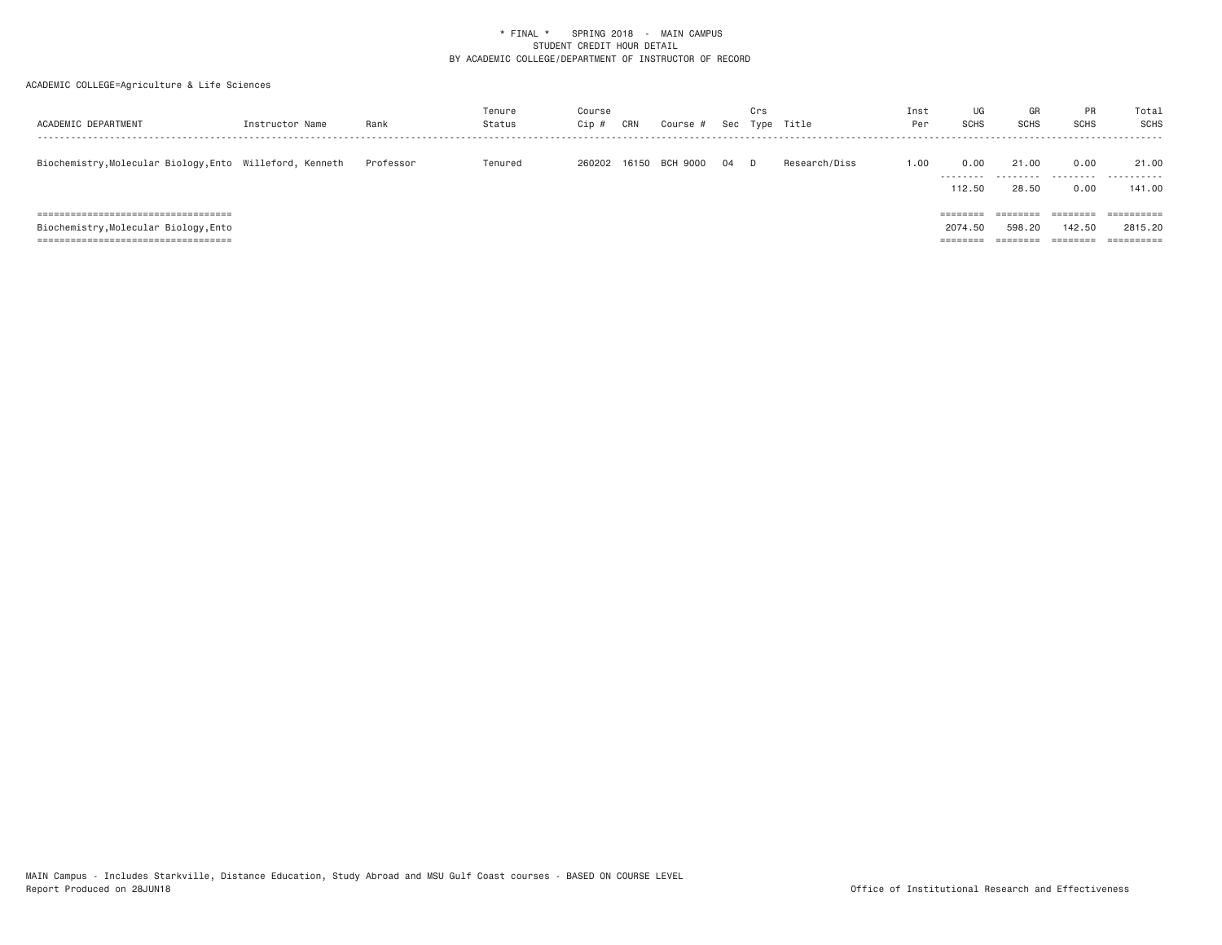| ACADEMIC DEPARTMENT                                                                                              | Instructor Name | Rank      | Tenure<br>Status | Course<br>Cip | CRN | Course #              |    | Crs | Sec Type Title | Inst<br>Per | UG<br><b>SCHS</b>               | GR<br><b>SCHS</b>           | <b>PR</b><br><b>SCHS</b>    | Total<br><b>SCHS</b>                                        |
|------------------------------------------------------------------------------------------------------------------|-----------------|-----------|------------------|---------------|-----|-----------------------|----|-----|----------------|-------------|---------------------------------|-----------------------------|-----------------------------|-------------------------------------------------------------|
| Biochemistry, Molecular Biology, Ento Willeford, Kenneth                                                         |                 | Professor | Tenured          |               |     | 260202 16150 BCH 9000 | 04 |     | Research/Diss  | 1.00        | 0.00<br>.<br>112.50             | 21.00<br>---------<br>28.50 | 0.00<br>.<br>0.00           | 21.00<br>.<br>141.00                                        |
| ;============================<br>Biochemistry, Molecular Biology, Ento<br>====================================== |                 |           |                  |               |     |                       |    |     |                |             | ========<br>2074.50<br>======== | 598.20                      | ======<br>142.50<br>======= | $=$ = = = = = = = = $=$<br>2815,20<br>$=$ = = = = = = = = = |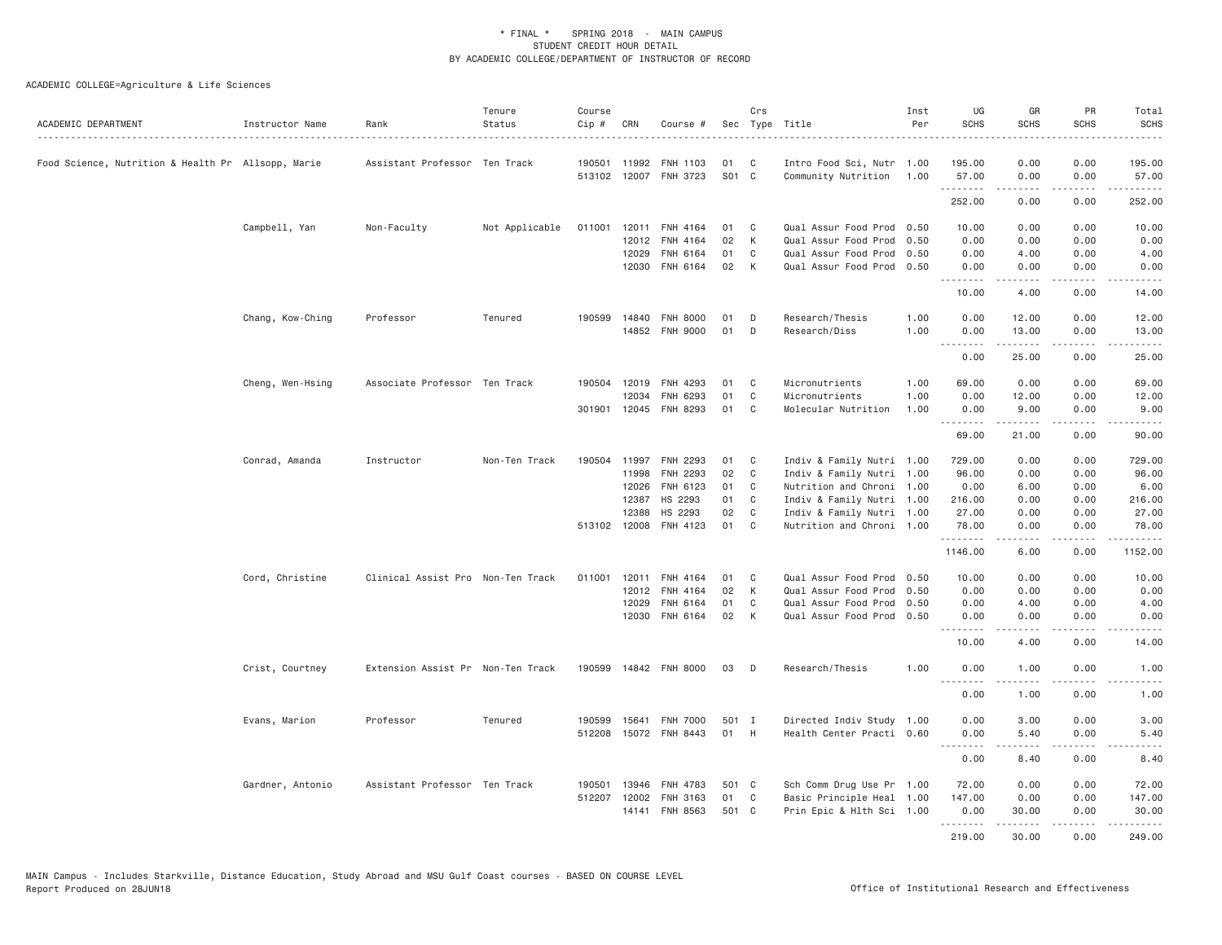| ACADEMIC DEPARTMENT                                | Instructor Name  | Rank                              | Tenure<br>Status | Course<br>Cip # | CRN          | Course #              |       | Crs            | Sec Type Title            | Inst<br>Per | UG<br><b>SCHS</b> | GR<br><b>SCHS</b>                                                                                                                                            | PR<br><b>SCHS</b> | Total<br><b>SCHS</b><br>$\sim$ $\sim$ $\sim$ $\sim$ |
|----------------------------------------------------|------------------|-----------------------------------|------------------|-----------------|--------------|-----------------------|-------|----------------|---------------------------|-------------|-------------------|--------------------------------------------------------------------------------------------------------------------------------------------------------------|-------------------|-----------------------------------------------------|
| Food Science, Nutrition & Health Pr Allsopp, Marie |                  | Assistant Professor Ten Track     |                  |                 | 190501 11992 | FNH 1103              | 01    | C              | Intro Food Sci, Nutr 1.00 |             | 195.00            | 0.00                                                                                                                                                         | 0.00              | 195.00                                              |
|                                                    |                  |                                   |                  |                 |              | 513102 12007 FNH 3723 | S01 C |                | Community Nutrition 1.00  |             | 57.00             | 0.00                                                                                                                                                         | 0.00              | 57.00<br>.                                          |
|                                                    |                  |                                   |                  |                 |              |                       |       |                |                           |             | 252.00            | 0.00                                                                                                                                                         | 0.00              | 252.00                                              |
|                                                    | Campbell, Yan    | Non-Faculty                       | Not Applicable   | 011001          | 12011        | FNH 4164              | 01    | $\mathbf{C}$   | Qual Assur Food Prod 0.50 |             | 10.00             | 0.00                                                                                                                                                         | 0.00              | 10.00                                               |
|                                                    |                  |                                   |                  |                 | 12012        | FNH 4164              | 02    | K              | Qual Assur Food Prod 0.50 |             | 0.00              | 0.00                                                                                                                                                         | 0.00              | 0.00                                                |
|                                                    |                  |                                   |                  |                 | 12029        | FNH 6164              | 01    | C              | Qual Assur Food Prod 0.50 |             | 0.00              | 4.00                                                                                                                                                         | 0.00              | 4.00                                                |
|                                                    |                  |                                   |                  |                 | 12030        | FNH 6164              | 02    | K              | Qual Assur Food Prod 0.50 |             | 0.00              | 0.00<br>$\frac{1}{2} \left( \frac{1}{2} \right) \left( \frac{1}{2} \right) \left( \frac{1}{2} \right) \left( \frac{1}{2} \right) \left( \frac{1}{2} \right)$ | 0.00<br>-----     | 0.00<br>.                                           |
|                                                    |                  |                                   |                  |                 |              |                       |       |                |                           |             | 10.00             | 4.00                                                                                                                                                         | 0.00              | 14.00                                               |
|                                                    | Chang, Kow-Ching | Professor                         | Tenured          | 190599          | 14840        | FNH 8000              | 01    | D              | Research/Thesis           | 1.00        | 0.00              | 12.00                                                                                                                                                        | 0.00              | 12.00                                               |
|                                                    |                  |                                   |                  |                 |              | 14852 FNH 9000        | 01    | D              | Research/Diss             | 1.00        | 0.00              | 13.00                                                                                                                                                        | 0.00              | 13.00                                               |
|                                                    |                  |                                   |                  |                 |              |                       |       |                |                           |             | 0.00              | .<br>25.00                                                                                                                                                   | .<br>0.00         | .<br>25.00                                          |
|                                                    | Cheng, Wen-Hsing | Associate Professor Ten Track     |                  | 190504          | 12019        | FNH 4293              | 01    | C              | Micronutrients            | 1.00        | 69.00             | 0.00                                                                                                                                                         | 0.00              | 69.00                                               |
|                                                    |                  |                                   |                  |                 | 12034        | FNH 6293              | 01    | $\mathbb C$    | Micronutrients            | 1.00        | 0.00              | 12.00                                                                                                                                                        | 0.00              | 12.00                                               |
|                                                    |                  |                                   |                  |                 |              | 301901 12045 FNH 8293 | 01    | C <sub>1</sub> | Molecular Nutrition       | 1,00        | 0.00              | 9.00                                                                                                                                                         | 0.00              | 9.00                                                |
|                                                    |                  |                                   |                  |                 |              |                       |       |                |                           |             | .<br>69.00        | $- - - - -$<br>21.00                                                                                                                                         | .<br>0.00         | .<br>90.00                                          |
|                                                    | Conrad, Amanda   | Instructor                        | Non-Ten Track    | 190504          | 11997        | FNH 2293              | 01    | C              | Indiv & Family Nutri 1.00 |             | 729.00            | 0.00                                                                                                                                                         | 0.00              | 729.00                                              |
|                                                    |                  |                                   |                  |                 | 11998        | FNH 2293              | 02    | C              | Indiv & Family Nutri 1.00 |             | 96.00             | 0.00                                                                                                                                                         | 0.00              | 96.00                                               |
|                                                    |                  |                                   |                  |                 | 12026        | FNH 6123              | 01    | C              | Nutrition and Chroni 1.00 |             | 0.00              | 6.00                                                                                                                                                         | 0.00              | 6.00                                                |
|                                                    |                  |                                   |                  |                 | 12387        | HS 2293               | 01    | C              | Indiv & Family Nutri 1.00 |             | 216.00            | 0.00                                                                                                                                                         | 0.00              | 216.00                                              |
|                                                    |                  |                                   |                  |                 | 12388        | HS 2293               | 02    | C              | Indiv & Family Nutri 1.00 |             | 27.00             | 0.00                                                                                                                                                         | 0.00              | 27.00                                               |
|                                                    |                  |                                   |                  |                 | 513102 12008 | FNH 4123              | 01    | C <sub>1</sub> | Nutrition and Chroni 1.00 |             | 78.00<br>.        | 0.00<br>.                                                                                                                                                    | 0.00<br>.         | 78.00<br>$- - - - - -$                              |
|                                                    |                  |                                   |                  |                 |              |                       |       |                |                           |             | 1146.00           | 6.00                                                                                                                                                         | 0.00              | 1152.00                                             |
|                                                    | Cord, Christine  | Clinical Assist Pro Non-Ten Track |                  | 011001          | 12011        | FNH 4164              | 01    | C <sub>1</sub> | Qual Assur Food Prod 0.50 |             | 10.00             | 0.00                                                                                                                                                         | 0.00              | 10.00                                               |
|                                                    |                  |                                   |                  |                 | 12012        | FNH 4164              | 02    | K              | Qual Assur Food Prod 0.50 |             | 0.00              | 0.00                                                                                                                                                         | 0.00              | 0.00                                                |
|                                                    |                  |                                   |                  |                 | 12029        | FNH 6164              | 01    | C              | Qual Assur Food Prod 0.50 |             | 0.00              | 4.00                                                                                                                                                         | 0.00              | 4.00                                                |
|                                                    |                  |                                   |                  |                 | 12030        | FNH 6164              | 02    | K              | Qual Assur Food Prod 0.50 |             | 0.00<br><b></b>   | 0.00<br>.                                                                                                                                                    | 0.00<br>.         | 0.00<br>.                                           |
|                                                    |                  |                                   |                  |                 |              |                       |       |                |                           |             | 10.00             | 4.00                                                                                                                                                         | 0.00              | 14.00                                               |
|                                                    | Crist, Courtney  | Extension Assist Pr Non-Ten Track |                  | 190599          |              | 14842 FNH 8000        | 03    | D              | Research/Thesis           | 1.00        | 0.00<br>.         | 1.00<br>$- - - - -$                                                                                                                                          | 0.00<br>.         | 1.00<br>.                                           |
|                                                    |                  |                                   |                  |                 |              |                       |       |                |                           |             | 0.00              | 1.00                                                                                                                                                         | 0.00              | 1.00                                                |
|                                                    | Evans, Marion    | Professor                         | Tenured          | 190599          | 15641        | <b>FNH 7000</b>       | 501 I |                | Directed Indiv Study 1.00 |             | 0.00              | 3,00                                                                                                                                                         | 0.00              | 3.00                                                |
|                                                    |                  |                                   |                  | 512208          |              | 15072 FNH 8443        | 01    | H              | Health Center Practi 0.60 |             | 0.00<br><b></b>   | 5.40<br>.                                                                                                                                                    | 0.00<br>.         | 5.40<br>$- - - - -$                                 |
|                                                    |                  |                                   |                  |                 |              |                       |       |                |                           |             | 0.00              | 8.40                                                                                                                                                         | 0.00              | 8.40                                                |
|                                                    | Gardner, Antonio | Assistant Professor Ten Track     |                  | 190501          | 13946        | FNH 4783              | 501 C |                | Sch Comm Drug Use Pr 1.00 |             | 72.00             | 0.00                                                                                                                                                         | 0.00              | 72.00                                               |
|                                                    |                  |                                   |                  | 512207          | 12002        | FNH 3163              | 01    | C              | Basic Principle Heal 1.00 |             | 147.00            | 0.00                                                                                                                                                         | 0.00              | 147.00                                              |
|                                                    |                  |                                   |                  |                 | 14141        | FNH 8563              | 501 C |                | Prin Epic & Hlth Sci 1.00 |             | 0.00              | 30.00                                                                                                                                                        | 0.00              | 30.00                                               |
|                                                    |                  |                                   |                  |                 |              |                       |       |                |                           |             | .<br>219.00       | .<br>30,00                                                                                                                                                   | .<br>0.00         | .<br>249.00                                         |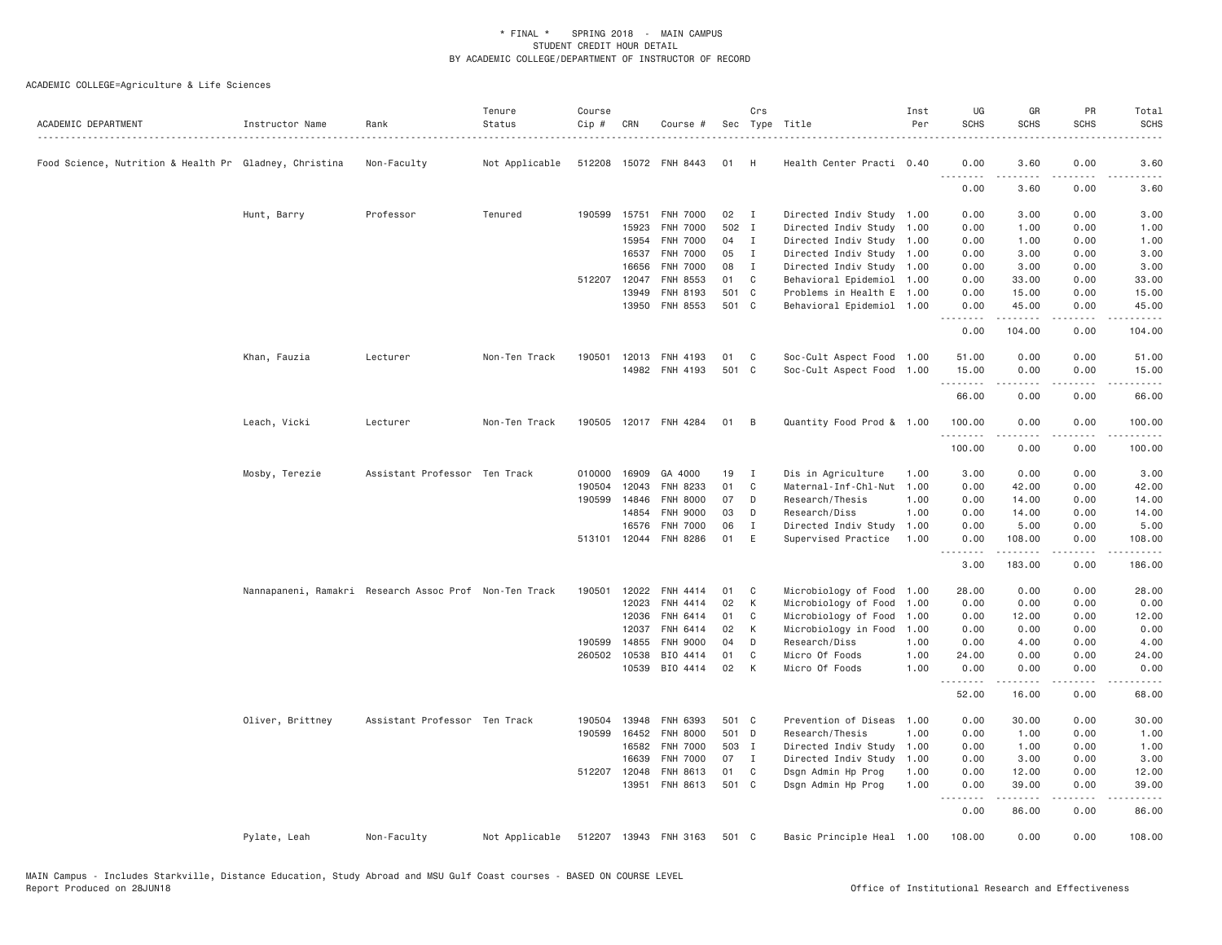| ACADEMIC DEPARTMENT                                    | Instructor Name  | Rank                                                   | Tenure<br>Status<br>. | Course<br>Cip # | CRN          | Course #              |       | Crs          | Sec Type Title            | Inst<br>Per | UG<br><b>SCHS</b>  | GR<br><b>SCHS</b>                                                                                                                                             | PR<br><b>SCHS</b>            | Total<br><b>SCHS</b><br>. <b>.</b> . |
|--------------------------------------------------------|------------------|--------------------------------------------------------|-----------------------|-----------------|--------------|-----------------------|-------|--------------|---------------------------|-------------|--------------------|---------------------------------------------------------------------------------------------------------------------------------------------------------------|------------------------------|--------------------------------------|
| Food Science, Nutrition & Health Pr Gladney, Christina |                  | Non-Faculty                                            | Not Applicable        |                 |              | 512208 15072 FNH 8443 | 01    | H            | Health Center Practi 0.40 |             | 0.00<br>.          | 3.60                                                                                                                                                          | 0.00                         | 3.60                                 |
|                                                        |                  |                                                        |                       |                 |              |                       |       |              |                           |             | 0.00               | 3.60                                                                                                                                                          | 0.00                         | 3.60                                 |
|                                                        | Hunt, Barry      | Professor                                              | Tenured               |                 | 190599 15751 | <b>FNH 7000</b>       | 02    | $\mathbf{I}$ | Directed Indiv Study 1.00 |             | 0.00               | 3.00                                                                                                                                                          | 0.00                         | 3.00                                 |
|                                                        |                  |                                                        |                       |                 | 15923        | FNH 7000              | 502 I |              | Directed Indiv Study 1.00 |             | 0.00               | 1.00                                                                                                                                                          | 0.00                         | 1.00                                 |
|                                                        |                  |                                                        |                       |                 | 15954        | <b>FNH 7000</b>       | 04    | I            | Directed Indiv Study      | 1.00        | 0.00               | 1.00                                                                                                                                                          | 0.00                         | 1.00                                 |
|                                                        |                  |                                                        |                       |                 | 16537        | <b>FNH 7000</b>       | 05    | $\mathbf{I}$ | Directed Indiv Study 1.00 |             | 0.00               | 3.00                                                                                                                                                          | 0.00                         | 3.00                                 |
|                                                        |                  |                                                        |                       |                 | 16656        | FNH 7000              | 08    | $\mathbf{I}$ | Directed Indiv Study 1.00 |             | 0.00               | 3.00                                                                                                                                                          | 0.00                         | 3.00                                 |
|                                                        |                  |                                                        |                       |                 | 512207 12047 | FNH 8553              | 01    | C            | Behavioral Epidemiol 1.00 |             | 0.00               | 33.00                                                                                                                                                         | 0.00                         | 33.00                                |
|                                                        |                  |                                                        |                       |                 | 13949        | FNH 8193              | 501 C |              | Problems in Health E 1.00 |             | 0.00               | 15.00                                                                                                                                                         | 0.00                         | 15.00                                |
|                                                        |                  |                                                        |                       |                 | 13950        | FNH 8553              | 501 C |              | Behavioral Epidemiol 1.00 |             | 0.00<br>.          | 45.00<br>$\frac{1}{2} \left( \frac{1}{2} \right) \left( \frac{1}{2} \right) \left( \frac{1}{2} \right) \left( \frac{1}{2} \right) \left( \frac{1}{2} \right)$ | 0.00<br>$\sim$ $\sim$ $\sim$ | 45.00                                |
|                                                        |                  |                                                        |                       |                 |              |                       |       |              |                           |             | 0.00               | 104.00                                                                                                                                                        | 0.00                         | 104.00                               |
|                                                        | Khan, Fauzia     | Lecturer                                               | Non-Ten Track         | 190501          |              | 12013 FNH 4193        | 01    | C            | Soc-Cult Aspect Food 1.00 |             | 51.00              | 0.00                                                                                                                                                          | 0.00                         | 51.00                                |
|                                                        |                  |                                                        |                       |                 |              | 14982 FNH 4193        | 501 C |              | Soc-Cult Aspect Food 1.00 |             | 15.00<br>.         | 0.00                                                                                                                                                          | 0.00<br>د د د د              | 15.00                                |
|                                                        |                  |                                                        |                       |                 |              |                       |       |              |                           |             | 66.00              | 0.00                                                                                                                                                          | 0.00                         | 66.00                                |
|                                                        | Leach, Vicki     | Lecturer                                               | Non-Ten Track         |                 |              | 190505 12017 FNH 4284 | 01    | B            | Quantity Food Prod & 1.00 |             | 100.00<br>.        | 0.00<br>$- - - - -$                                                                                                                                           | 0.00<br>.                    | 100.00<br>.                          |
|                                                        |                  |                                                        |                       |                 |              |                       |       |              |                           |             | 100.00             | 0.00                                                                                                                                                          | 0.00                         | 100.00                               |
|                                                        | Mosby, Terezie   | Assistant Professor Ten Track                          |                       | 010000          | 16909        | GA 4000               | 19    | $\mathbf{I}$ | Dis in Agriculture        | 1.00        | 3.00               | 0.00                                                                                                                                                          | 0.00                         | 3.00                                 |
|                                                        |                  |                                                        |                       | 190504          | 12043        | FNH 8233              | 01    | C            | Maternal-Inf-Chl-Nut      | 1.00        | 0.00               | 42.00                                                                                                                                                         | 0.00                         | 42.00                                |
|                                                        |                  |                                                        |                       | 190599          | 14846        | <b>FNH 8000</b>       | 07    | D            | Research/Thesis           | 1.00        | 0.00               | 14.00                                                                                                                                                         | 0.00                         | 14.00                                |
|                                                        |                  |                                                        |                       |                 | 14854        | FNH 9000              | 03    | D            | Research/Diss             | 1.00        | 0.00               | 14.00                                                                                                                                                         | 0.00                         | 14.00                                |
|                                                        |                  |                                                        |                       |                 | 16576        | <b>FNH 7000</b>       | 06    | Ι.           | Directed Indiv Study      | 1.00        | 0.00               | 5.00                                                                                                                                                          | 0.00                         | 5.00                                 |
|                                                        |                  |                                                        |                       |                 | 513101 12044 | FNH 8286              | 01    | E            | Supervised Practice       | 1.00        | 0.00<br>.          | 108.00<br><b>.</b>                                                                                                                                            | 0.00<br>.                    | 108.00<br><u>.</u>                   |
|                                                        |                  |                                                        |                       |                 |              |                       |       |              |                           |             | 3.00               | 183.00                                                                                                                                                        | 0.00                         | 186.00                               |
|                                                        |                  | Nannapaneni, Ramakri Research Assoc Prof Non-Ten Track |                       | 190501          | 12022        | FNH 4414              | 01    | C            | Microbiology of Food 1.00 |             | 28.00              | 0.00                                                                                                                                                          | 0.00                         | 28.00                                |
|                                                        |                  |                                                        |                       |                 | 12023        | FNH 4414              | 02    | K            | Microbiology of Food      | 1.00        | 0.00               | 0.00                                                                                                                                                          | 0.00                         | 0.00                                 |
|                                                        |                  |                                                        |                       |                 | 12036        | FNH 6414              | 01    | C            | Microbiology of Food      | 1.00        | 0.00               | 12.00                                                                                                                                                         | 0.00                         | 12.00                                |
|                                                        |                  |                                                        |                       |                 | 12037        | FNH 6414              | 02    | K            | Microbiology in Food      | 1.00        | 0.00               | 0.00                                                                                                                                                          | 0.00                         | 0.00                                 |
|                                                        |                  |                                                        |                       | 190599          | 14855        | FNH 9000              | 04    | D            | Research/Diss             | 1.00        | 0.00               | 4.00                                                                                                                                                          | 0.00                         | 4.00                                 |
|                                                        |                  |                                                        |                       |                 | 260502 10538 | BIO 4414              | 01    | C            | Micro Of Foods            | 1.00        | 24.00              | 0.00                                                                                                                                                          | 0.00                         | 24.00                                |
|                                                        |                  |                                                        |                       |                 | 10539        | BIO 4414              | 02    | K            | Micro Of Foods            | 1,00        | 0.00<br>.          | 0.00<br>.                                                                                                                                                     | 0.00<br>.                    | 0.00<br>.                            |
|                                                        |                  |                                                        |                       |                 |              |                       |       |              |                           |             | 52.00              | 16.00                                                                                                                                                         | 0.00                         | 68.00                                |
|                                                        | Oliver, Brittney | Assistant Professor Ten Track                          |                       | 190504          | 13948        | FNH 6393              | 501 C |              | Prevention of Diseas      | 1.00        | 0.00               | 30.00                                                                                                                                                         | 0.00                         | 30.00                                |
|                                                        |                  |                                                        |                       | 190599          | 16452        | <b>FNH 8000</b>       | 501 D |              | Research/Thesis           | 1.00        | 0.00               | 1.00                                                                                                                                                          | 0.00                         | 1.00                                 |
|                                                        |                  |                                                        |                       |                 | 16582        | <b>FNH 7000</b>       | 503 I |              | Directed Indiv Study      | 1.00        | 0.00               | 1.00                                                                                                                                                          | 0.00                         | 1.00                                 |
|                                                        |                  |                                                        |                       |                 | 16639        | <b>FNH 7000</b>       | 07    | $\mathbf{I}$ | Directed Indiv Study      | 1.00        | 0.00               | 3.00                                                                                                                                                          | 0.00                         | 3.00                                 |
|                                                        |                  |                                                        |                       |                 | 512207 12048 | FNH 8613              | 01    | C            | Dsgn Admin Hp Prog        | 1.00        | 0.00               | 12.00                                                                                                                                                         | 0.00                         | 12.00                                |
|                                                        |                  |                                                        |                       |                 |              | 13951 FNH 8613        | 501 C |              | Dsgn Admin Hp Prog        | 1.00        | 0.00<br>$  -$<br>. | 39.00<br>. <u>.</u>                                                                                                                                           | 0.00<br>.                    | 39.00<br>.                           |
|                                                        |                  |                                                        |                       |                 |              |                       |       |              |                           |             | 0.00               | 86.00                                                                                                                                                         | 0.00                         | 86.00                                |
|                                                        | Pylate, Leah     | Non-Faculty                                            | Not Applicable        |                 |              | 512207 13943 FNH 3163 | 501 C |              | Basic Principle Heal 1.00 |             | 108.00             | 0.00                                                                                                                                                          | 0.00                         | 108.00                               |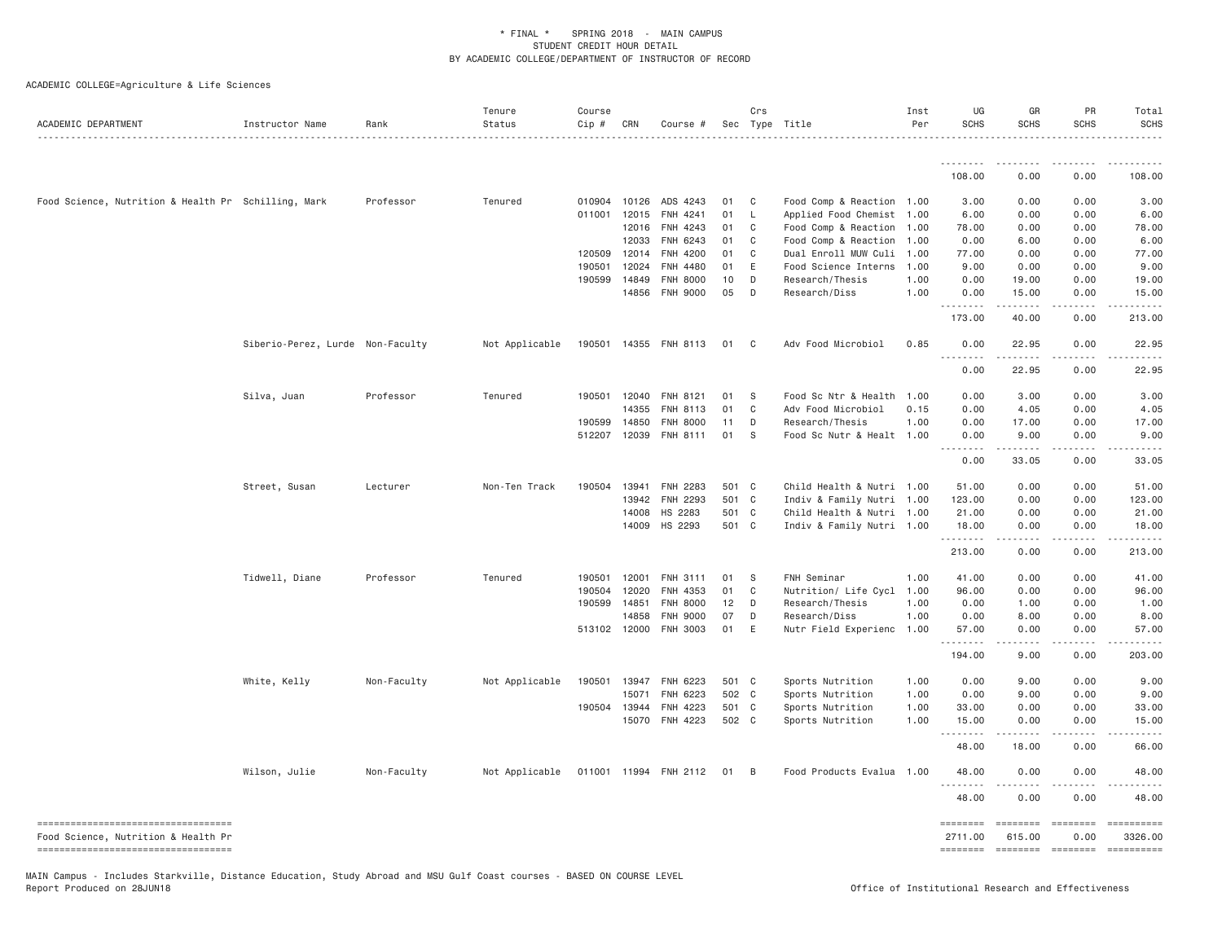ACADEMIC COLLEGE=Agriculture & Life Sciences

| ACADEMIC DEPARTMENT                                                         | Instructor Name                  | Rank        | Tenure<br>Status | Course<br>Cip # | CRN          | Course #              |       | Crs            | Sec Type Title            | Inst<br>Per | UG<br><b>SCHS</b>               | GR<br><b>SCHS</b>                                                                                                                                            | PR<br><b>SCHS</b> | Total<br><b>SCHS</b>                                                                                                                                                                                                                                                                                                                                                                                                                |
|-----------------------------------------------------------------------------|----------------------------------|-------------|------------------|-----------------|--------------|-----------------------|-------|----------------|---------------------------|-------------|---------------------------------|--------------------------------------------------------------------------------------------------------------------------------------------------------------|-------------------|-------------------------------------------------------------------------------------------------------------------------------------------------------------------------------------------------------------------------------------------------------------------------------------------------------------------------------------------------------------------------------------------------------------------------------------|
|                                                                             |                                  |             |                  |                 |              |                       |       |                |                           |             |                                 |                                                                                                                                                              |                   |                                                                                                                                                                                                                                                                                                                                                                                                                                     |
|                                                                             |                                  |             |                  |                 |              |                       |       |                |                           |             | 108.00                          | 0.00                                                                                                                                                         | 0.00              | 108.00                                                                                                                                                                                                                                                                                                                                                                                                                              |
| Food Science, Nutrition & Health Pr Schilling, Mark                         |                                  | Professor   | Tenured          |                 | 010904 10126 | ADS 4243              | 01    | $\mathbf{C}$   | Food Comp & Reaction 1.00 |             | 3.00                            | 0.00                                                                                                                                                         | 0.00              | 3.00                                                                                                                                                                                                                                                                                                                                                                                                                                |
|                                                                             |                                  |             |                  | 011001          | 12015        | FNH 4241              | 01    | L              | Applied Food Chemist 1.00 |             | 6.00                            | 0.00                                                                                                                                                         | 0.00              | 6.00                                                                                                                                                                                                                                                                                                                                                                                                                                |
|                                                                             |                                  |             |                  |                 | 12016        | FNH 4243              | 01    | $\mathsf{C}$   | Food Comp & Reaction 1.00 |             | 78.00                           | 0.00                                                                                                                                                         | 0.00              | 78.00                                                                                                                                                                                                                                                                                                                                                                                                                               |
|                                                                             |                                  |             |                  |                 | 12033        | FNH 6243              | 01    | C              | Food Comp & Reaction 1.00 |             | 0.00                            | 6.00                                                                                                                                                         | 0.00              | 6.00                                                                                                                                                                                                                                                                                                                                                                                                                                |
|                                                                             |                                  |             |                  | 120509          | 12014        | FNH 4200              | 01    | C              | Dual Enroll MUW Culi 1.00 |             | 77.00                           | 0.00                                                                                                                                                         | 0.00              | 77.00                                                                                                                                                                                                                                                                                                                                                                                                                               |
|                                                                             |                                  |             |                  | 190501          | 12024        | FNH 4480              | 01    | E              | Food Science Interns      | 1.00        | 9,00                            | 0.00                                                                                                                                                         | 0.00              | 9,00                                                                                                                                                                                                                                                                                                                                                                                                                                |
|                                                                             |                                  |             |                  | 190599          | 14849        | FNH 8000              | 10    | D              | Research/Thesis           | 1,00        | 0.00                            | 19.00                                                                                                                                                        | 0.00              | 19.00                                                                                                                                                                                                                                                                                                                                                                                                                               |
|                                                                             |                                  |             |                  |                 | 14856        | <b>FNH 9000</b>       | 05    | D              | Research/Diss             | 1,00        | 0.00<br>.                       | 15.00<br>$- - - - -$                                                                                                                                         | 0.00<br>.         | 15.00                                                                                                                                                                                                                                                                                                                                                                                                                               |
|                                                                             |                                  |             |                  |                 |              |                       |       |                |                           |             | 173.00                          | 40.00                                                                                                                                                        | 0.00              | 213.00                                                                                                                                                                                                                                                                                                                                                                                                                              |
|                                                                             | Siberio-Perez, Lurde Non-Faculty |             | Not Applicable   | 190501 14355    |              | FNH 8113              | 01    | $\mathbf{C}$   | Adv Food Microbiol        | 0.85        | 0.00<br>$ -$                    | 22.95                                                                                                                                                        | 0.00              | 22.95                                                                                                                                                                                                                                                                                                                                                                                                                               |
|                                                                             |                                  |             |                  |                 |              |                       |       |                |                           |             | 0.00                            | 22.95                                                                                                                                                        | 0.00              | 22.95                                                                                                                                                                                                                                                                                                                                                                                                                               |
|                                                                             | Silva, Juan                      | Professor   | Tenured          |                 | 190501 12040 | FNH 8121              | 01    | - S            | Food Sc Ntr & Health 1.00 |             | 0.00                            | 3.00                                                                                                                                                         | 0.00              | 3.00                                                                                                                                                                                                                                                                                                                                                                                                                                |
|                                                                             |                                  |             |                  |                 | 14355        | FNH 8113              | 01    | $\mathbf{C}$   | Adv Food Microbiol        | 0.15        | 0.00                            | 4.05                                                                                                                                                         | 0.00              | 4.05                                                                                                                                                                                                                                                                                                                                                                                                                                |
|                                                                             |                                  |             |                  | 190599          | 14850        | <b>FNH 8000</b>       | 11    | D              | Research/Thesis           | 1.00        | 0.00                            | 17.00                                                                                                                                                        | 0.00              | 17.00                                                                                                                                                                                                                                                                                                                                                                                                                               |
|                                                                             |                                  |             |                  |                 | 512207 12039 | FNH 8111              | 01    | -S             | Food Sc Nutr & Healt 1.00 |             | 0.00                            | 9.00                                                                                                                                                         | 0.00              | 9.00                                                                                                                                                                                                                                                                                                                                                                                                                                |
|                                                                             |                                  |             |                  |                 |              |                       |       |                |                           |             | <u> - - - - - - - -</u><br>0.00 | . <u>.</u><br>33.05                                                                                                                                          | .<br>0.00         | 33.05                                                                                                                                                                                                                                                                                                                                                                                                                               |
|                                                                             | Street, Susan                    | Lecturer    | Non-Ten Track    | 190504          | 13941        | <b>FNH 2283</b>       | 501 C |                | Child Health & Nutri 1.00 |             | 51.00                           | 0.00                                                                                                                                                         | 0.00              | 51.00                                                                                                                                                                                                                                                                                                                                                                                                                               |
|                                                                             |                                  |             |                  |                 | 13942        | FNH 2293              | 501 C |                | Indiv & Family Nutri 1.00 |             | 123.00                          | 0.00                                                                                                                                                         | 0.00              | 123.00                                                                                                                                                                                                                                                                                                                                                                                                                              |
|                                                                             |                                  |             |                  |                 | 14008        | HS 2283               | 501 C |                | Child Health & Nutri 1.00 |             | 21.00                           | 0.00                                                                                                                                                         | 0.00              | 21.00                                                                                                                                                                                                                                                                                                                                                                                                                               |
|                                                                             |                                  |             |                  |                 | 14009        | HS 2293               | 501 C |                | Indiv & Family Nutri 1.00 |             | 18.00<br>.                      | 0.00                                                                                                                                                         | 0.00              | 18.00                                                                                                                                                                                                                                                                                                                                                                                                                               |
|                                                                             |                                  |             |                  |                 |              |                       |       |                |                           |             | 213.00                          | 0.00                                                                                                                                                         | 0.00              | 213.00                                                                                                                                                                                                                                                                                                                                                                                                                              |
|                                                                             | Tidwell, Diane                   | Professor   | Tenured          | 190501          | 12001        | FNH 3111              | 01    | - S            | FNH Seminar               | 1.00        | 41.00                           | 0.00                                                                                                                                                         | 0.00              | 41.00                                                                                                                                                                                                                                                                                                                                                                                                                               |
|                                                                             |                                  |             |                  | 190504          | 12020        | FNH 4353              | 01    | C <sub>1</sub> | Nutrition/ Life Cycl      | 1.00        | 96.00                           | 0.00                                                                                                                                                         | 0.00              | 96.00                                                                                                                                                                                                                                                                                                                                                                                                                               |
|                                                                             |                                  |             |                  | 190599          | 14851        | <b>FNH 8000</b>       | 12    | D              | Research/Thesis           | 1.00        | 0.00                            | 1.00                                                                                                                                                         | 0.00              | 1.00                                                                                                                                                                                                                                                                                                                                                                                                                                |
|                                                                             |                                  |             |                  |                 | 14858        | <b>FNH 9000</b>       | 07    | D              | Research/Diss             | 1.00        | 0.00                            | 8.00                                                                                                                                                         | 0.00              | 8.00                                                                                                                                                                                                                                                                                                                                                                                                                                |
|                                                                             |                                  |             |                  |                 | 513102 12000 | FNH 3003              | 01    | E              | Nutr Field Experienc 1.00 |             | 57.00<br>.                      | 0.00<br>$\frac{1}{2} \left( \frac{1}{2} \right) \left( \frac{1}{2} \right) \left( \frac{1}{2} \right) \left( \frac{1}{2} \right) \left( \frac{1}{2} \right)$ | 0.00<br>د د د د   | 57.00<br>.                                                                                                                                                                                                                                                                                                                                                                                                                          |
|                                                                             |                                  |             |                  |                 |              |                       |       |                |                           |             | 194.00                          | 9.00                                                                                                                                                         | 0.00              | 203.00                                                                                                                                                                                                                                                                                                                                                                                                                              |
|                                                                             | White, Kelly                     | Non-Faculty | Not Applicable   | 190501          | 13947        | FNH 6223              | 501 C |                | Sports Nutrition          | 1.00        | 0.00                            | 9.00                                                                                                                                                         | 0.00              | 9.00                                                                                                                                                                                                                                                                                                                                                                                                                                |
|                                                                             |                                  |             |                  |                 | 15071        | FNH 6223              | 502 C |                | Sports Nutrition          | 1.00        | 0.00                            | 9.00                                                                                                                                                         | 0.00              | 9.00                                                                                                                                                                                                                                                                                                                                                                                                                                |
|                                                                             |                                  |             |                  | 190504          | 13944        | FNH 4223              | 501 C |                | Sports Nutrition          | 1.00        | 33.00                           | 0.00                                                                                                                                                         | 0.00              | 33.00                                                                                                                                                                                                                                                                                                                                                                                                                               |
|                                                                             |                                  |             |                  |                 | 15070        | FNH 4223              | 502 C |                | Sports Nutrition          | 1.00        | 15.00                           | 0.00                                                                                                                                                         | 0.00              | 15.00                                                                                                                                                                                                                                                                                                                                                                                                                               |
|                                                                             |                                  |             |                  |                 |              |                       |       |                |                           |             | .<br>48.00                      | .<br>18.00                                                                                                                                                   | 0.00              | 66.00                                                                                                                                                                                                                                                                                                                                                                                                                               |
|                                                                             | Wilson, Julie                    | Non-Faculty | Not Applicable   |                 |              | 011001 11994 FNH 2112 | 01    | $\overline{B}$ | Food Products Evalua 1.00 |             | 48.00                           | 0.00                                                                                                                                                         | 0.00              | 48.00                                                                                                                                                                                                                                                                                                                                                                                                                               |
|                                                                             |                                  |             |                  |                 |              |                       |       |                |                           |             | <u>.</u><br>48.00               | 0.00                                                                                                                                                         | 0.00              | 48.00                                                                                                                                                                                                                                                                                                                                                                                                                               |
| ------------------------------------<br>Food Science, Nutrition & Health Pr |                                  |             |                  |                 |              |                       |       |                |                           |             | ========<br>2711.00             | <b>EEEEEEE</b><br>615.00                                                                                                                                     | $=$<br>0.00       | 3326.00                                                                                                                                                                                                                                                                                                                                                                                                                             |
| ----------------------------------                                          |                                  |             |                  |                 |              |                       |       |                |                           |             | ========                        | <b>EEEEEEE</b>                                                                                                                                               |                   | $\begin{minipage}{0.9\linewidth} \hspace*{-0.2cm} \textbf{1} & \textbf{2} & \textbf{3} & \textbf{5} & \textbf{6} & \textbf{7} & \textbf{8} \\ \textbf{5} & \textbf{6} & \textbf{7} & \textbf{8} & \textbf{8} & \textbf{8} & \textbf{8} & \textbf{8} & \textbf{9} \\ \textbf{6} & \textbf{8} & \textbf{8} & \textbf{8} & \textbf{8} & \textbf{8} & \textbf{8} & \textbf{8} & \textbf{8} & \textbf{9} \\ \textbf{7} & \textbf{8} & \$ |

MAIN Campus - Includes Starkville, Distance Education, Study Abroad and MSU Gulf Coast courses - BASED ON COURSE LEVEL<br>Report Produced on 28JUN18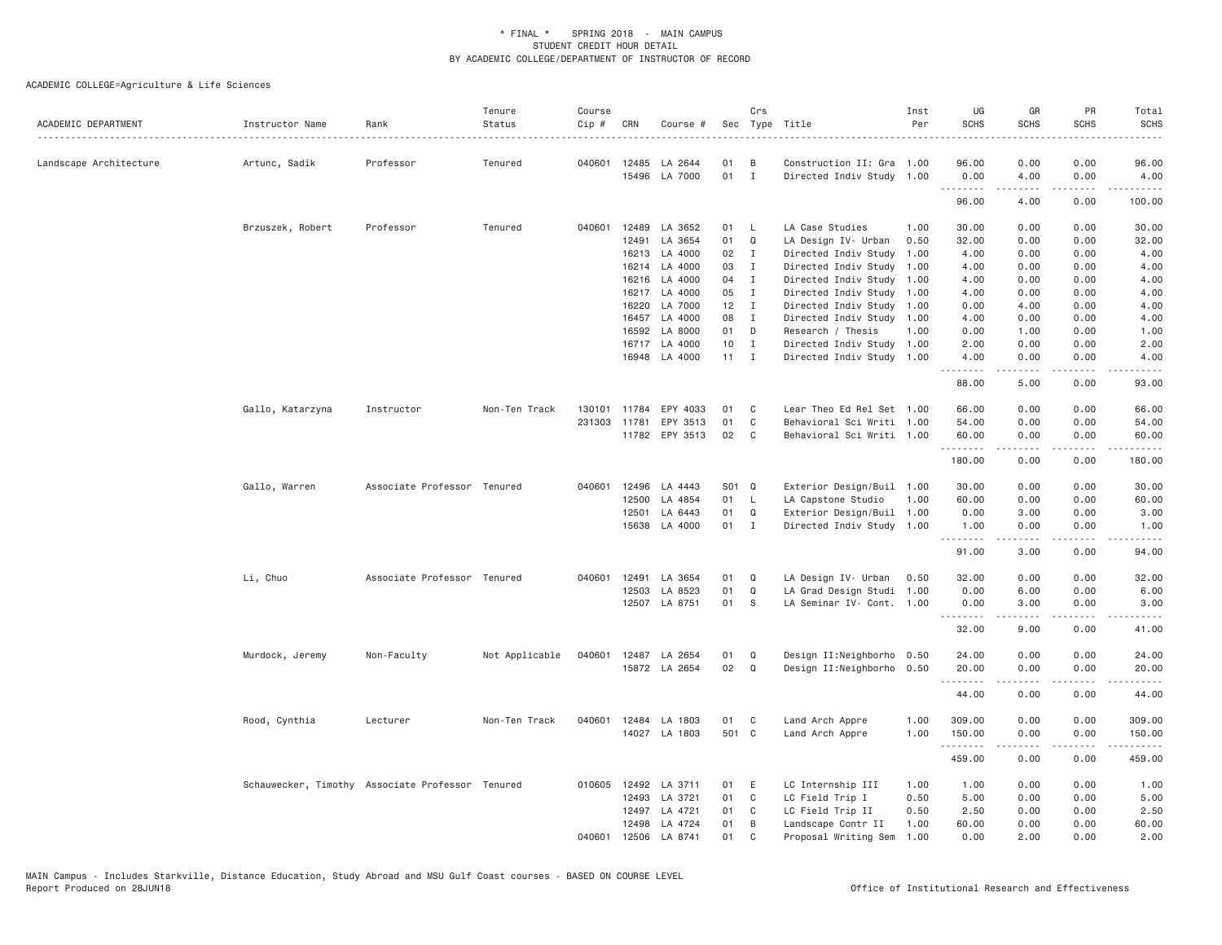| ACADEMIC DEPARTMENT    | Instructor Name                                  | Rank                        | Tenure<br>Status | Course<br>Cip # | CRN          | Course #             |                 | Crs            | Sec Type Title            | Inst<br>Per | UG<br><b>SCHS</b> | GR<br><b>SCHS</b>                                                                                                                                            | PR<br><b>SCHS</b>                   | Total<br><b>SCHS</b>                 |
|------------------------|--------------------------------------------------|-----------------------------|------------------|-----------------|--------------|----------------------|-----------------|----------------|---------------------------|-------------|-------------------|--------------------------------------------------------------------------------------------------------------------------------------------------------------|-------------------------------------|--------------------------------------|
| Landscape Architecture | Artunc, Sadik                                    | Professor                   | Tenured          |                 | 040601 12485 | LA 2644              | 01              | B              | Construction II: Gra 1.00 |             | 96.00             | 0.00                                                                                                                                                         | 0.00                                | 96.00                                |
|                        |                                                  |                             |                  |                 |              | 15496 LA 7000        | 01              | $\mathbf{I}$   | Directed Indiv Study 1.00 |             | 0.00<br>.         | 4.00                                                                                                                                                         | 0.00<br>$\sim$ $\sim$ $\sim$ $\sim$ | 4.00                                 |
|                        |                                                  |                             |                  |                 |              |                      |                 |                |                           |             | 96.00             | 4.00                                                                                                                                                         | 0.00                                | 100.00                               |
|                        | Brzuszek, Robert                                 | Professor                   | Tenured          | 040601          | 12489        | LA 3652              | 01              | $\mathsf{L}$   | LA Case Studies           | 1.00        | 30.00             | 0.00                                                                                                                                                         | 0.00                                | 30.00                                |
|                        |                                                  |                             |                  |                 | 12491        | LA 3654              | 01              | Q              | LA Design IV- Urban       | 0.50        | 32.00             | 0.00                                                                                                                                                         | 0.00                                | 32.00                                |
|                        |                                                  |                             |                  |                 |              | 16213 LA 4000        | 02              | $\mathbf{I}$   | Directed Indiv Study      | 1.00        | 4.00              | 0.00                                                                                                                                                         | 0.00                                | 4.00                                 |
|                        |                                                  |                             |                  |                 |              | 16214 LA 4000        | 03              | $\mathbf{I}$   | Directed Indiv Study      | 1.00        | 4.00              | 0.00                                                                                                                                                         | 0.00                                | 4.00                                 |
|                        |                                                  |                             |                  |                 | 16216        | LA 4000              | 04              | $\mathbf{I}$   | Directed Indiv Study      | 1.00        | 4.00              | 0.00                                                                                                                                                         | 0.00                                | 4.00                                 |
|                        |                                                  |                             |                  |                 |              | 16217 LA 4000        | 05              | $\mathbf{I}$   | Directed Indiv Study      | 1.00        | 4.00              | 0.00                                                                                                                                                         | 0.00                                | 4.00                                 |
|                        |                                                  |                             |                  |                 | 16220        | LA 7000              | $12$ I          |                | Directed Indiv Study 1.00 |             | 0.00              | 4.00                                                                                                                                                         | 0.00                                | 4.00                                 |
|                        |                                                  |                             |                  |                 | 16457        | LA 4000              | 08              | $\mathbf{I}$   | Directed Indiv Study 1.00 |             | 4.00              | 0.00                                                                                                                                                         | 0.00                                | 4.00                                 |
|                        |                                                  |                             |                  |                 | 16592        | LA 8000              | 01              | D              | Research / Thesis         | 1.00        | 0.00              | 1.00                                                                                                                                                         | 0.00                                | 1.00                                 |
|                        |                                                  |                             |                  |                 |              | 16717 LA 4000        | 10 <sub>1</sub> | $\blacksquare$ | Directed Indiv Study 1.00 |             | 2.00              | 0.00                                                                                                                                                         | 0.00                                | 2.00                                 |
|                        |                                                  |                             |                  |                 |              | 16948 LA 4000        | $11 \quad I$    |                | Directed Indiv Study 1.00 |             | 4.00<br>.         | 0.00<br>.                                                                                                                                                    | 0.00<br>الداعات                     | 4.00<br>$\cdots$                     |
|                        |                                                  |                             |                  |                 |              |                      |                 |                |                           |             | 88.00             | 5.00                                                                                                                                                         | 0.00                                | 93.00                                |
|                        | Gallo, Katarzyna                                 | Instructor                  | Non-Ten Track    | 130101          | 11784        | EPY 4033             | 01              | C              | Lear Theo Ed Rel Set 1.00 |             | 66.00             | 0.00                                                                                                                                                         | 0.00                                | 66.00                                |
|                        |                                                  |                             |                  | 231303          | 11781        | EPY 3513             | 01              | C              | Behavioral Sci Writi 1.00 |             | 54.00             | 0.00                                                                                                                                                         | 0.00                                | 54.00                                |
|                        |                                                  |                             |                  |                 |              | 11782 EPY 3513       | 02              | C              | Behavioral Sci Writi 1.00 |             | 60.00             | 0.00                                                                                                                                                         | 0.00                                | 60.00                                |
|                        |                                                  |                             |                  |                 |              |                      |                 |                |                           |             | .<br>180.00       | $\frac{1}{2} \left( \frac{1}{2} \right) \left( \frac{1}{2} \right) \left( \frac{1}{2} \right) \left( \frac{1}{2} \right) \left( \frac{1}{2} \right)$<br>0.00 | .<br>0.00                           | .<br>180.00                          |
|                        | Gallo, Warren                                    | Associate Professor Tenured |                  | 040601          | 12496        | LA 4443              | S01 Q           |                | Exterior Design/Buil 1.00 |             | 30.00             | 0.00                                                                                                                                                         | 0.00                                | 30.00                                |
|                        |                                                  |                             |                  |                 | 12500        | LA 4854              | 01              | <b>L</b>       | LA Capstone Studio        | 1,00        | 60.00             | 0.00                                                                                                                                                         | 0.00                                | 60.00                                |
|                        |                                                  |                             |                  |                 | 12501        | LA 6443              | 01              | Q              | Exterior Design/Buil 1.00 |             | 0.00              | 3.00                                                                                                                                                         | 0.00                                | 3.00                                 |
|                        |                                                  |                             |                  |                 | 15638        | LA 4000              | 01              | $\mathbf{I}$   | Directed Indiv Study 1.00 |             | 1.00              | 0.00<br>.                                                                                                                                                    | 0.00<br>.                           | 1.00<br>.                            |
|                        |                                                  |                             |                  |                 |              |                      |                 |                |                           |             | .<br>91.00        | 3.00                                                                                                                                                         | 0.00                                | 94.00                                |
|                        | Li, Chuo                                         | Associate Professor Tenured |                  | 040601          | 12491        | LA 3654              | 01              | Q              | LA Design IV- Urban       | 0.50        | 32.00             | 0.00                                                                                                                                                         | 0.00                                | 32.00                                |
|                        |                                                  |                             |                  |                 | 12503        | LA 8523              | 01              | Q              | LA Grad Design Studi      | 1.00        | 0.00              | 6.00                                                                                                                                                         | 0.00                                | 6.00                                 |
|                        |                                                  |                             |                  |                 |              | 12507 LA 8751        | 01              | -S             | LA Seminar IV- Cont.      | 1.00        | 0.00              | 3.00                                                                                                                                                         | 0.00                                | 3.00                                 |
|                        |                                                  |                             |                  |                 |              |                      |                 |                |                           |             | .<br>32.00        | .<br>9.00                                                                                                                                                    | .<br>0.00                           | $\sim$ $\sim$ $\sim$ $\sim$<br>41.00 |
|                        | Murdock, Jeremy                                  | Non-Faculty                 | Not Applicable   | 040601          |              | 12487 LA 2654        | 01              | Q              | Design II:Neighborho 0.50 |             | 24.00             | 0.00                                                                                                                                                         | 0.00                                | 24.00                                |
|                        |                                                  |                             |                  |                 |              | 15872 LA 2654        | 02              | Q              | Design II:Neighborho 0.50 |             | 20.00             | 0.00                                                                                                                                                         | 0.00                                | 20.00                                |
|                        |                                                  |                             |                  |                 |              |                      |                 |                |                           |             | .                 | $\frac{1}{2} \left( \frac{1}{2} \right) \left( \frac{1}{2} \right) \left( \frac{1}{2} \right) \left( \frac{1}{2} \right) \left( \frac{1}{2} \right)$         | .                                   | .                                    |
|                        |                                                  |                             |                  |                 |              |                      |                 |                |                           |             | 44.00             | 0.00                                                                                                                                                         | 0.00                                | 44.00                                |
|                        | Rood, Cynthia                                    | Lecturer                    | Non-Ten Track    |                 |              | 040601 12484 LA 1803 | 01              | C              | Land Arch Appre           | 1.00        | 309.00            | 0.00                                                                                                                                                         | 0.00                                | 309.00                               |
|                        |                                                  |                             |                  |                 |              | 14027 LA 1803        | 501 C           |                | Land Arch Appre           | 1.00        | 150.00<br>.       | 0.00<br>.                                                                                                                                                    | 0.00<br>.                           | 150.00<br>.                          |
|                        |                                                  |                             |                  |                 |              |                      |                 |                |                           |             | 459.00            | 0.00                                                                                                                                                         | 0.00                                | 459.00                               |
|                        | Schauwecker, Timothy Associate Professor Tenured |                             |                  |                 |              | 010605 12492 LA 3711 | 01              | E              | LC Internship III         | 1.00        | 1.00              | 0.00                                                                                                                                                         | 0.00                                | 1.00                                 |
|                        |                                                  |                             |                  |                 | 12493        | LA 3721              | 01              | C              | LC Field Trip I           | 0.50        | 5.00              | 0.00                                                                                                                                                         | 0.00                                | 5.00                                 |
|                        |                                                  |                             |                  |                 | 12497        | LA 4721              | 01              | C              | LC Field Trip II          | 0.50        | 2.50              | 0.00                                                                                                                                                         | 0.00                                | 2.50                                 |
|                        |                                                  |                             |                  |                 | 12498        | LA 4724              | 01              | B              | Landscape Contr II        | 1.00        | 60.00             | 0.00                                                                                                                                                         | 0.00                                | 60.00                                |
|                        |                                                  |                             |                  | 040601          |              | 12506 LA 8741        | 01              | $\mathbf C$    | Proposal Writing Sem      | 1.00        | 0.00              | 2.00                                                                                                                                                         | 0.00                                | 2.00                                 |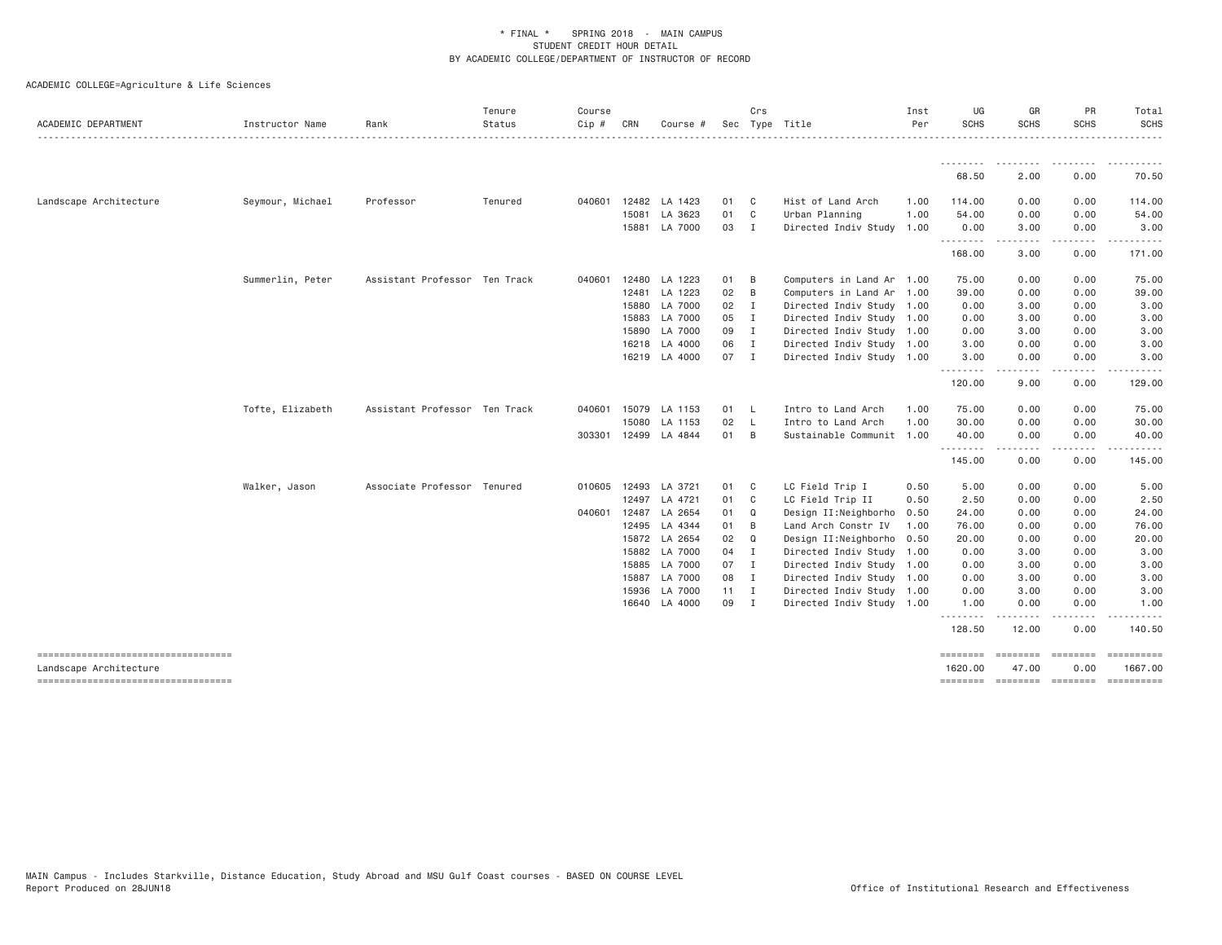| ACADEMIC DEPARTMENT                                          | Instructor Name  | Rank                          | Tenure<br>Status | Course<br>Cip # | CRN   | Course #             |              | Crs            | Sec Type Title            | Inst<br>Per | UG<br><b>SCHS</b>                    | GR<br><b>SCHS</b>                                                                                                                 | PR<br><b>SCHS</b>                                                                                                                 | Total<br><b>SCHS</b> |
|--------------------------------------------------------------|------------------|-------------------------------|------------------|-----------------|-------|----------------------|--------------|----------------|---------------------------|-------------|--------------------------------------|-----------------------------------------------------------------------------------------------------------------------------------|-----------------------------------------------------------------------------------------------------------------------------------|----------------------|
|                                                              |                  |                               |                  |                 |       |                      |              |                |                           |             |                                      |                                                                                                                                   |                                                                                                                                   |                      |
|                                                              |                  |                               |                  |                 |       |                      |              |                |                           |             | --------<br>68.50                    | ---------<br>2.00                                                                                                                 | 0.00                                                                                                                              | 70.50                |
| Landscape Architecture                                       | Seymour, Michael | Professor                     | Tenured          | 040601          | 12482 | LA 1423              | 01 C         |                | Hist of Land Arch         | 1.00        | 114.00                               | 0.00                                                                                                                              | 0.00                                                                                                                              | 114.00               |
|                                                              |                  |                               |                  |                 | 15081 | LA 3623              | 01 C         |                | Urban Planning            | 1.00        | 54.00                                | 0.00                                                                                                                              | 0.00                                                                                                                              | 54.00                |
|                                                              |                  |                               |                  |                 | 15881 | LA 7000              | 03           | $\blacksquare$ | Directed Indiv Study 1.00 |             | 0.00                                 | 3.00                                                                                                                              | 0.00                                                                                                                              | 3.00                 |
|                                                              |                  |                               |                  |                 |       |                      |              |                |                           |             | 168.00                               | $\cdots$<br>3.00                                                                                                                  | $\frac{1}{2} \left( \frac{1}{2} \right) \left( \frac{1}{2} \right) \left( \frac{1}{2} \right) \left( \frac{1}{2} \right)$<br>0.00 | 171.00               |
|                                                              | Summerlin, Peter | Assistant Professor Ten Track |                  | 040601          | 12480 | LA 1223              | 01           | $\overline{B}$ | Computers in Land Ar 1.00 |             | 75.00                                | 0.00                                                                                                                              | 0.00                                                                                                                              | 75.00                |
|                                                              |                  |                               |                  |                 |       | 12481 LA 1223        | 02           | B              | Computers in Land Ar 1.00 |             | 39.00                                | 0.00                                                                                                                              | 0.00                                                                                                                              | 39.00                |
|                                                              |                  |                               |                  |                 | 15880 | LA 7000              | 02           | $\blacksquare$ | Directed Indiv Study 1.00 |             | 0.00                                 | 3.00                                                                                                                              | 0.00                                                                                                                              | 3.00                 |
|                                                              |                  |                               |                  |                 | 15883 | LA 7000              | 05           | $\blacksquare$ | Directed Indiv Study 1.00 |             | 0.00                                 | 3.00                                                                                                                              | 0.00                                                                                                                              | 3.00                 |
|                                                              |                  |                               |                  |                 | 15890 | LA 7000              | 09           | $\blacksquare$ | Directed Indiv Study 1.00 |             | 0.00                                 | 3.00                                                                                                                              | 0.00                                                                                                                              | 3.00                 |
|                                                              |                  |                               |                  |                 | 16218 | LA 4000              | 06           | $\mathbf{I}$   | Directed Indiv Study 1.00 |             | 3.00                                 | 0.00                                                                                                                              | 0.00                                                                                                                              | 3.00                 |
|                                                              |                  |                               |                  |                 |       | 16219 LA 4000        | 07 I         |                | Directed Indiv Study 1.00 |             | 3.00                                 | 0.00                                                                                                                              | 0.00                                                                                                                              | 3.00                 |
|                                                              |                  |                               |                  |                 |       |                      |              |                |                           |             | .<br>120.00                          | $\frac{1}{2} \left( \frac{1}{2} \right) \left( \frac{1}{2} \right) \left( \frac{1}{2} \right) \left( \frac{1}{2} \right)$<br>9.00 | .<br>0.00                                                                                                                         | 129.00               |
|                                                              | Tofte, Elizabeth | Assistant Professor Ten Track |                  | 040601          | 15079 | LA 1153              | 01           | - L            | Intro to Land Arch        | 1,00        | 75.00                                | 0.00                                                                                                                              | 0.00                                                                                                                              | 75.00                |
|                                                              |                  |                               |                  |                 | 15080 | LA 1153              | 02           | - L            | Intro to Land Arch        | 1.00        | 30.00                                | 0.00                                                                                                                              | 0.00                                                                                                                              | 30.00                |
|                                                              |                  |                               |                  |                 |       | 303301 12499 LA 4844 | 01 B         |                | Sustainable Communit 1.00 |             | 40.00                                | 0.00                                                                                                                              | 0.00                                                                                                                              | 40.00                |
|                                                              |                  |                               |                  |                 |       |                      |              |                |                           |             | 145.00                               | 0.00                                                                                                                              | 0.00                                                                                                                              | 145.00               |
|                                                              | Walker, Jason    | Associate Professor Tenured   |                  | 010605          | 12493 | LA 3721              | 01 C         |                | LC Field Trip I           | 0.50        | 5.00                                 | 0.00                                                                                                                              | 0.00                                                                                                                              | 5.00                 |
|                                                              |                  |                               |                  |                 | 12497 | LA 4721              | 01           | $\mathbf{C}$   | LC Field Trip II          | 0.50        | 2.50                                 | 0.00                                                                                                                              | 0.00                                                                                                                              | 2.50                 |
|                                                              |                  |                               |                  | 040601 12487    |       | LA 2654              | 01 Q         |                | Design II:Neighborho      | 0.50        | 24.00                                | 0.00                                                                                                                              | 0.00                                                                                                                              | 24.00                |
|                                                              |                  |                               |                  |                 | 12495 | LA 4344              | 01 B         |                | Land Arch Constr IV       | 1.00        | 76.00                                | 0.00                                                                                                                              | 0.00                                                                                                                              | 76.00                |
|                                                              |                  |                               |                  |                 | 15872 | LA 2654              | 02           | Q              | Design II:Neighborho 0.50 |             | 20.00                                | 0.00                                                                                                                              | 0.00                                                                                                                              | 20.00                |
|                                                              |                  |                               |                  |                 |       | 15882 LA 7000        | 04 I         |                | Directed Indiv Study 1.00 |             | 0.00                                 | 3.00                                                                                                                              | 0.00                                                                                                                              | 3.00                 |
|                                                              |                  |                               |                  |                 | 15885 | LA 7000              | 07           | $\blacksquare$ | Directed Indiv Study 1.00 |             | 0.00                                 | 3.00                                                                                                                              | 0.00                                                                                                                              | 3.00                 |
|                                                              |                  |                               |                  |                 | 15887 | LA 7000              | 08 I         |                | Directed Indiv Study 1.00 |             | 0.00                                 | 3.00                                                                                                                              | 0.00                                                                                                                              | 3.00                 |
|                                                              |                  |                               |                  |                 | 15936 | LA 7000              | $11 \quad I$ |                | Directed Indiv Study 1.00 |             | 0.00                                 | 3.00                                                                                                                              | 0.00                                                                                                                              | 3.00                 |
|                                                              |                  |                               |                  |                 |       | 16640 LA 4000        | 09 I         |                | Directed Indiv Study 1.00 |             | 1.00<br><u>--------</u>              | 0.00                                                                                                                              | 0.00                                                                                                                              | 1.00                 |
|                                                              |                  |                               |                  |                 |       |                      |              |                |                           |             | 128.50                               | 12.00                                                                                                                             | 0.00                                                                                                                              | 140.50               |
| ----------------------------------<br>Landscape Architecture |                  |                               |                  |                 |       |                      |              |                |                           |             | -------- -------- -------<br>1620.00 | 47.00                                                                                                                             | 0.00                                                                                                                              | 1667.00              |
| -----------------------------------                          |                  |                               |                  |                 |       |                      |              |                |                           |             | ========                             |                                                                                                                                   | --------- --------                                                                                                                |                      |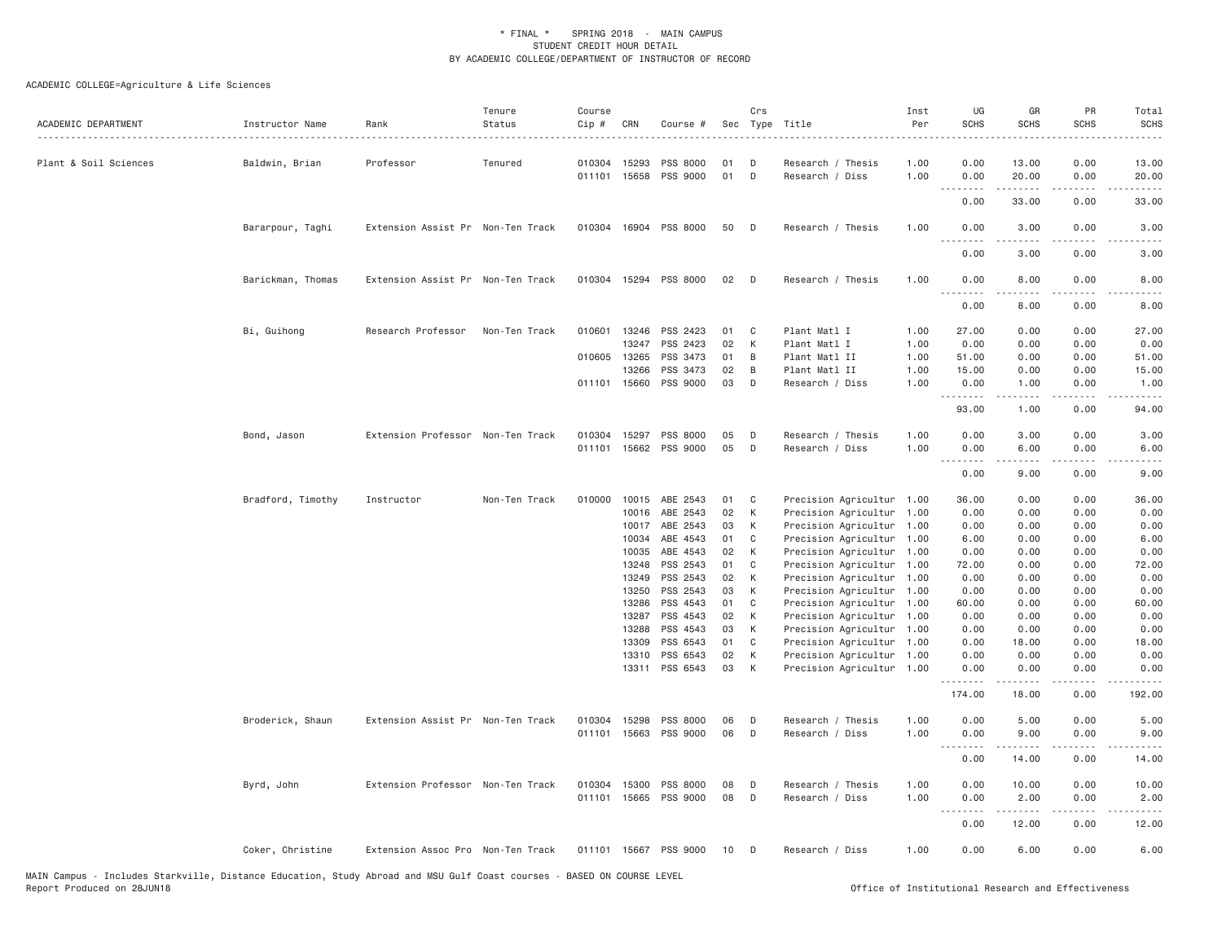| ACADEMIC DEPARTMENT   | Instructor Name   | Rank<br>.                         | Tenure<br>Status | Course<br>Cip # | CRN   | Course #              |    | Crs | Sec Type Title            | Inst<br>Per | UG<br><b>SCHS</b>                       | GR<br><b>SCHS</b>                                                                                                                                                                       | PR<br><b>SCHS</b>            | Total<br><b>SCHS</b>                |
|-----------------------|-------------------|-----------------------------------|------------------|-----------------|-------|-----------------------|----|-----|---------------------------|-------------|-----------------------------------------|-----------------------------------------------------------------------------------------------------------------------------------------------------------------------------------------|------------------------------|-------------------------------------|
| Plant & Soil Sciences | Baldwin, Brian    | Professor                         | Tenured          | 010304          | 15293 | PSS 8000              | 01 | D   | Research / Thesis         | 1.00        | 0.00                                    | 13.00                                                                                                                                                                                   | 0.00                         | 13.00                               |
|                       |                   |                                   |                  | 011101 15658    |       | PSS 9000              | 01 | D   | Research / Diss           | 1.00        | 0.00<br>د د د د<br>$\sim$ $\sim$ $\sim$ | 20.00<br>$\frac{1}{2} \left( \frac{1}{2} \right) \left( \frac{1}{2} \right) \left( \frac{1}{2} \right) \left( \frac{1}{2} \right) \left( \frac{1}{2} \right)$                           | 0.00<br>$\sim$ $\sim$ $\sim$ | 20.00                               |
|                       |                   |                                   |                  |                 |       |                       |    |     |                           |             | 0.00                                    | 33.00                                                                                                                                                                                   | 0.00                         | 33.00                               |
|                       | Bararpour, Taghi  | Extension Assist Pr Non-Ten Track |                  |                 |       | 010304 16904 PSS 8000 | 50 | D   | Research / Thesis         | 1.00        | 0.00<br>$- - -$                         | 3.00                                                                                                                                                                                    | 0.00                         | 3.00                                |
|                       |                   |                                   |                  |                 |       |                       |    |     |                           |             | د د د د<br>0.00                         | -----<br>3.00                                                                                                                                                                           | .<br>0.00                    | 3.00                                |
|                       | Barickman, Thomas | Extension Assist Pr Non-Ten Track |                  |                 |       | 010304 15294 PSS 8000 | 02 | D   | Research / Thesis         | 1.00        | 0.00                                    | 8.00<br>-----                                                                                                                                                                           | 0.00<br>.                    | 8.00<br>$\frac{1}{2}$               |
|                       |                   |                                   |                  |                 |       |                       |    |     |                           |             | د د د د<br>0.00                         | 8.00                                                                                                                                                                                    | 0.00                         | 8.00                                |
|                       | Bi, Guihong       | Research Professor                | Non-Ten Track    | 010601          | 13246 | PSS 2423              | 01 | C   | Plant Matl I              | 1.00        | 27.00                                   | 0.00                                                                                                                                                                                    | 0.00                         | 27.00                               |
|                       |                   |                                   |                  |                 | 13247 | PSS 2423              | 02 | K   | Plant Matl I              | 1.00        | 0.00                                    | 0.00                                                                                                                                                                                    | 0.00                         | 0.00                                |
|                       |                   |                                   |                  | 010605 13265    |       | PSS 3473              | 01 | B   | Plant Matl II             | 1.00        | 51.00                                   | 0.00                                                                                                                                                                                    | 0.00                         | 51.00                               |
|                       |                   |                                   |                  |                 | 13266 | PSS 3473              | 02 | B   | Plant Matl II             | 1.00        | 15.00                                   | 0.00                                                                                                                                                                                    | 0.00                         | 15.00                               |
|                       |                   |                                   |                  | 011101 15660    |       | PSS 9000              | 03 | D   | Research / Diss           | 1.00        | 0.00<br>.                               | 1.00<br>.                                                                                                                                                                               | 0.00<br>الأنابات             | 1.00<br>$\sim$ $\sim$ $\sim$ $\sim$ |
|                       |                   |                                   |                  |                 |       |                       |    |     |                           |             | 93.00                                   | 1.00                                                                                                                                                                                    | 0.00                         | 94.00                               |
|                       | Bond, Jason       | Extension Professor Non-Ten Track |                  | 010304          | 15297 | PSS 8000              | 05 | D   | Research / Thesis         | 1.00        | 0.00                                    | 3.00                                                                                                                                                                                    | 0.00                         | 3.00                                |
|                       |                   |                                   |                  | 011101          | 15662 | PSS 9000              | 05 | D   | Research / Diss           | 1.00        | 0.00                                    | 6.00                                                                                                                                                                                    | 0.00                         | 6.00                                |
|                       |                   |                                   |                  |                 |       |                       |    |     |                           |             | <u> - - - - - - - -</u><br>0.00         | 9.00                                                                                                                                                                                    | 0.00                         | 9.00                                |
|                       | Bradford, Timothy | Instructor                        | Non-Ten Track    | 010000          | 10015 | ABE 2543              | 01 | C   | Precision Agricultur 1.00 |             | 36.00                                   | 0.00                                                                                                                                                                                    | 0.00                         | 36.00                               |
|                       |                   |                                   |                  |                 | 10016 | ABE 2543              | 02 | К   | Precision Agricultur 1.00 |             | 0.00                                    | 0.00                                                                                                                                                                                    | 0.00                         | 0.00                                |
|                       |                   |                                   |                  |                 | 10017 | ABE 2543              | 03 | K   | Precision Agricultur 1.00 |             | 0.00                                    | 0.00                                                                                                                                                                                    | 0.00                         | 0.00                                |
|                       |                   |                                   |                  |                 | 10034 | ABE 4543              | 01 | C   | Precision Agricultur 1.00 |             | 6.00                                    | 0.00                                                                                                                                                                                    | 0.00                         | 6.00                                |
|                       |                   |                                   |                  |                 | 10035 | ABE 4543              | 02 | К   | Precision Agricultur 1.00 |             | 0.00                                    | 0.00                                                                                                                                                                                    | 0.00                         | 0.00                                |
|                       |                   |                                   |                  |                 | 13248 | PSS 2543              | 01 | C   | Precision Agricultur 1.00 |             | 72.00                                   | 0.00                                                                                                                                                                                    | 0.00                         | 72.00                               |
|                       |                   |                                   |                  |                 | 13249 | PSS 2543              | 02 | K   | Precision Agricultur 1.00 |             | 0.00                                    | 0.00                                                                                                                                                                                    | 0.00                         | 0.00                                |
|                       |                   |                                   |                  |                 | 13250 | PSS 2543              | 03 | К   | Precision Agricultur 1.00 |             | 0.00                                    | 0.00                                                                                                                                                                                    | 0.00                         | 0.00                                |
|                       |                   |                                   |                  |                 | 13286 | PSS 4543              | 01 | C   | Precision Agricultur 1.00 |             | 60.00                                   | 0.00                                                                                                                                                                                    | 0.00                         | 60.00                               |
|                       |                   |                                   |                  |                 | 13287 | PSS 4543              | 02 | K   | Precision Agricultur 1.00 |             | 0.00                                    | 0.00                                                                                                                                                                                    | 0.00                         | 0.00                                |
|                       |                   |                                   |                  |                 | 13288 | PSS 4543              | 03 | К   | Precision Agricultur 1.00 |             | 0.00                                    | 0.00                                                                                                                                                                                    | 0.00                         | 0.00                                |
|                       |                   |                                   |                  |                 | 13309 | PSS 6543              | 01 | C   | Precision Agricultur 1.00 |             | 0.00                                    | 18.00                                                                                                                                                                                   | 0.00                         | 18.00                               |
|                       |                   |                                   |                  |                 | 13310 | PSS 6543              | 02 | К   | Precision Agricultur 1.00 |             | 0.00                                    | 0.00                                                                                                                                                                                    | 0.00                         | 0.00                                |
|                       |                   |                                   |                  |                 |       | 13311 PSS 6543        | 03 | К   | Precision Agricultur 1.00 |             | 0.00<br>.                               | 0.00<br>$\frac{1}{2} \left( \frac{1}{2} \right) \left( \frac{1}{2} \right) \left( \frac{1}{2} \right) \left( \frac{1}{2} \right) \left( \frac{1}{2} \right) \left( \frac{1}{2} \right)$ | 0.00<br>.                    | 0.00<br>.                           |
|                       |                   |                                   |                  |                 |       |                       |    |     |                           |             | 174.00                                  | 18.00                                                                                                                                                                                   | 0.00                         | 192.00                              |
|                       | Broderick, Shaun  | Extension Assist Pr Non-Ten Track |                  | 010304          | 15298 | PSS 8000              | 06 | D   | Research / Thesis         | 1.00        | 0.00                                    | 5.00                                                                                                                                                                                    | 0.00                         | 5.00                                |
|                       |                   |                                   |                  | 011101          | 15663 | PSS 9000              | 06 | D   | Research / Diss           | 1.00        | 0.00                                    | 9.00                                                                                                                                                                                    | 0.00                         | 9.00                                |
|                       |                   |                                   |                  |                 |       |                       |    |     |                           |             | 0.00                                    | 14.00                                                                                                                                                                                   | 0.00                         | 14.00                               |
|                       | Byrd, John        | Extension Professor Non-Ten Track |                  | 010304 15300    |       | PSS 8000              | 08 | D   | Research / Thesis         | 1.00        | 0.00                                    | 10.00                                                                                                                                                                                   | 0.00                         | 10.00                               |
|                       |                   |                                   |                  | 011101 15665    |       | PSS 9000              | 08 | D   | Research / Diss           | 1.00        | 0.00                                    | 2.00                                                                                                                                                                                    | 0.00                         | 2.00                                |
|                       |                   |                                   |                  |                 |       |                       |    |     |                           |             | .<br>0.00                               | $\frac{1}{2} \left( \frac{1}{2} \right) \left( \frac{1}{2} \right) \left( \frac{1}{2} \right) \left( \frac{1}{2} \right) \left( \frac{1}{2} \right)$<br>12.00                           | .<br>0.00                    | $\cdots$<br>12.00                   |
|                       | Coker, Christine  | Extension Assoc Pro Non-Ten Track |                  |                 |       | 011101 15667 PSS 9000 | 10 | D   | Research / Diss           | 1.00        | 0.00                                    | 6.00                                                                                                                                                                                    | 0.00                         | 6.00                                |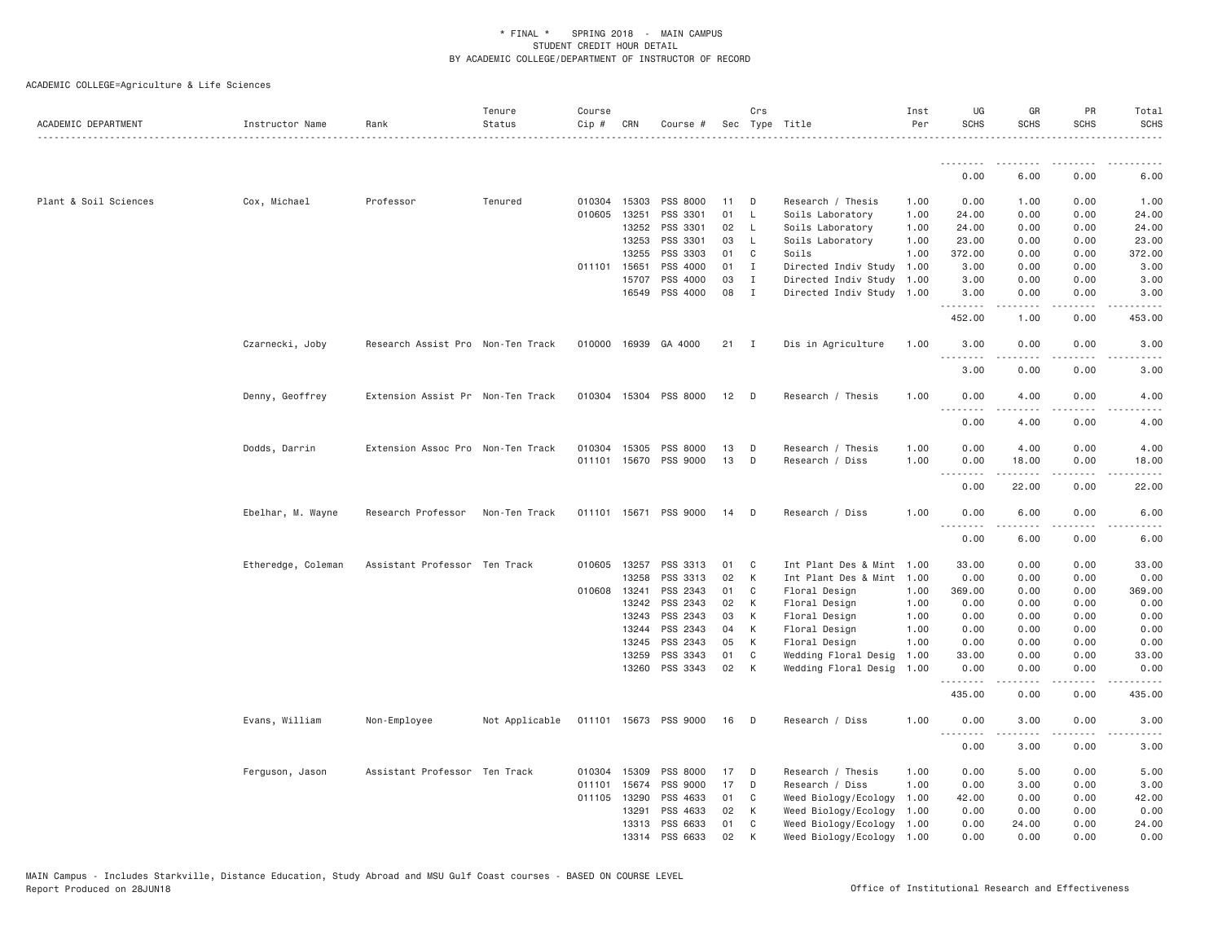| ACADEMIC DEPARTMENT   | Instructor Name    | Rank                              | Tenure<br>Status | Course<br>Cip # | CRN          | Course #              |    | Crs            | Sec Type Title            | Inst<br>Per | UG<br><b>SCHS</b>                 | GR<br><b>SCHS</b>                   | PR<br><b>SCHS</b>                   | Total<br><b>SCHS</b> |
|-----------------------|--------------------|-----------------------------------|------------------|-----------------|--------------|-----------------------|----|----------------|---------------------------|-------------|-----------------------------------|-------------------------------------|-------------------------------------|----------------------|
|                       |                    |                                   |                  |                 |              |                       |    |                |                           |             | .                                 |                                     |                                     |                      |
|                       |                    |                                   |                  |                 |              |                       |    |                |                           |             | 0.00                              | 6.00                                | 0.00                                | 6.00                 |
| Plant & Soil Sciences | Cox, Michael       | Professor                         | Tenured          |                 | 010304 15303 | PSS 8000              | 11 | D              | Research / Thesis         | 1.00        | 0.00                              | 1.00                                | 0.00                                | 1.00                 |
|                       |                    |                                   |                  |                 | 010605 13251 | PSS 3301              | 01 | $\mathsf{L}$   | Soils Laboratory          | 1.00        | 24.00                             | 0.00                                | 0.00                                | 24.00                |
|                       |                    |                                   |                  |                 | 13252        | PSS 3301              | 02 | $\mathsf{L}$   | Soils Laboratory          | 1.00        | 24.00                             | 0.00                                | 0.00                                | 24.00                |
|                       |                    |                                   |                  |                 | 13253        | PSS 3301              | 03 | $\mathsf{L}$   | Soils Laboratory          | 1.00        | 23.00                             | 0.00                                | 0.00                                | 23.00                |
|                       |                    |                                   |                  |                 | 13255        | PSS 3303              | 01 | C              | Soils                     | 1.00        | 372.00                            | 0.00                                | 0.00                                | 372.00               |
|                       |                    |                                   |                  |                 | 011101 15651 | PSS 4000              | 01 | $\mathbf{I}$   | Directed Indiv Study      | 1.00        | 3.00                              | 0.00                                | 0.00                                | 3.00                 |
|                       |                    |                                   |                  |                 | 15707        | PSS 4000              | 03 | $\mathbf{I}$   | Directed Indiv Study      | 1.00        | 3.00                              | 0.00                                | 0.00                                | 3.00                 |
|                       |                    |                                   |                  |                 | 16549        | PSS 4000              | 08 | $\mathbf{I}$   | Directed Indiv Study 1.00 |             | 3.00                              | 0.00<br>$\sim$ $\sim$ $\sim$ $\sim$ | 0.00<br>----                        | 3.00                 |
|                       |                    |                                   |                  |                 |              |                       |    |                |                           |             | 452.00                            | 1.00                                | 0.00                                | 453.00               |
|                       | Czarnecki, Joby    | Research Assist Pro Non-Ten Track |                  |                 |              | 010000 16939 GA 4000  | 21 | $\blacksquare$ | Dis in Agriculture        | 1.00        | 3.00<br><u>.</u>                  | 0.00<br>.                           | 0.00<br>.                           | 3.00                 |
|                       |                    |                                   |                  |                 |              |                       |    |                |                           |             | 3.00                              | 0.00                                | 0.00                                | 3.00                 |
|                       | Denny, Geoffrey    | Extension Assist Pr Non-Ten Track |                  |                 |              | 010304 15304 PSS 8000 | 12 | $\mathsf{D}$   | Research / Thesis         | 1.00        | 0.00<br>$- - - -$                 | 4.00<br>.                           | 0.00<br>$- - - -$                   | 4.00                 |
|                       |                    |                                   |                  |                 |              |                       |    |                |                           |             | 0.00                              | 4.00                                | 0.00                                | 4.00                 |
|                       | Dodds, Darrin      | Extension Assoc Pro Non-Ten Track |                  |                 | 010304 15305 | PSS 8000              | 13 | D              | Research / Thesis         | 1.00        | 0.00                              | 4.00                                | 0.00                                | 4.00                 |
|                       |                    |                                   |                  |                 |              | 011101 15670 PSS 9000 | 13 | D              | Research / Diss           | 1.00        | 0.00<br>$\sim$ $\sim$ $\sim$<br>. | 18.00<br>.                          | 0.00                                | 18.00                |
|                       |                    |                                   |                  |                 |              |                       |    |                |                           |             | 0.00                              | 22.00                               | 0.00                                | 22.00                |
|                       | Ebelhar, M. Wayne  | Research Professor                | Non-Ten Track    |                 |              | 011101 15671 PSS 9000 | 14 | D              | Research / Diss           | 1.00        | 0.00<br>$- - - -$                 | 6.00<br>.                           | 0.00<br>$\sim$ $\sim$ $\sim$ $\sim$ | 6.00                 |
|                       |                    |                                   |                  |                 |              |                       |    |                |                           |             | 0.00                              | 6.00                                | 0.00                                | 6.00                 |
|                       | Etheredge, Coleman | Assistant Professor Ten Track     |                  | 010605          | 13257        | PSS 3313              | 01 | C              | Int Plant Des & Mint 1.00 |             | 33.00                             | 0.00                                | 0.00                                | 33.00                |
|                       |                    |                                   |                  |                 | 13258        | PSS 3313              | 02 | K              | Int Plant Des & Mint 1.00 |             | 0.00                              | 0.00                                | 0.00                                | 0.00                 |
|                       |                    |                                   |                  |                 | 010608 13241 | PSS 2343              | 01 | C              | Floral Design             | 1.00        | 369.00                            | 0.00                                | 0.00                                | 369.00               |
|                       |                    |                                   |                  |                 | 13242        | PSS 2343              | 02 | K              | Floral Design             | 1.00        | 0.00                              | 0.00                                | 0.00                                | 0.00                 |
|                       |                    |                                   |                  |                 | 13243        | PSS 2343              | 03 | К              | Floral Design             | 1.00        | 0.00                              | 0.00                                | 0.00                                | 0.00                 |
|                       |                    |                                   |                  |                 | 13244        | PSS 2343              | 04 | K              | Floral Design             | 1.00        | 0.00                              | 0.00                                | 0.00                                | 0.00                 |
|                       |                    |                                   |                  |                 | 13245        | PSS 2343              | 05 | К              | Floral Design             | 1.00        | 0.00                              | 0.00                                | 0.00                                | 0.00                 |
|                       |                    |                                   |                  |                 | 13259        | PSS 3343              | 01 | C              | Wedding Floral Desig      | 1.00        | 33.00                             | 0.00                                | 0.00                                | 33.00                |
|                       |                    |                                   |                  |                 | 13260        | PSS 3343              | 02 | K              | Wedding Floral Desig      | 1.00        | 0.00<br>.                         | 0.00<br>.                           | 0.00                                | 0.00                 |
|                       |                    |                                   |                  |                 |              |                       |    |                |                           |             | 435.00                            | 0.00                                | 0.00                                | 435.00               |
|                       | Evans, William     | Non-Employee                      | Not Applicable   |                 |              | 011101 15673 PSS 9000 | 16 | $\Box$         | Research / Diss           | 1.00        | 0.00<br>.                         | 3.00                                | 0.00                                | 3.00                 |
|                       |                    |                                   |                  |                 |              |                       |    |                |                           |             | 0.00                              | 3.00                                | 0.00                                | 3.00                 |
|                       | Ferguson, Jason    | Assistant Professor Ten Track     |                  | 010304          | 15309        | PSS 8000              | 17 | D              | Research / Thesis         | 1.00        | 0.00                              | 5.00                                | 0.00                                | 5.00                 |
|                       |                    |                                   |                  | 011101          | 15674        | PSS 9000              | 17 | D              | Research / Diss           | 1,00        | 0.00                              | 3.00                                | 0.00                                | 3.00                 |
|                       |                    |                                   |                  |                 | 011105 13290 | PSS 4633              | 01 | C              | Weed Biology/Ecology      | 1.00        | 42.00                             | 0.00                                | 0.00                                | 42.00                |
|                       |                    |                                   |                  |                 | 13291        | PSS 4633              | 02 | K              | Weed Biology/Ecology      | 1.00        | 0.00                              | 0.00                                | 0.00                                | 0.00                 |
|                       |                    |                                   |                  |                 | 13313        | PSS 6633              | 01 | C              | Weed Biology/Ecology      | 1.00        | 0.00                              | 24.00                               | 0.00                                | 24.00                |
|                       |                    |                                   |                  |                 |              | 13314 PSS 6633        | 02 | K              | Weed Biology/Ecology 1.00 |             | 0.00                              | 0.00                                | 0.00                                | 0.00                 |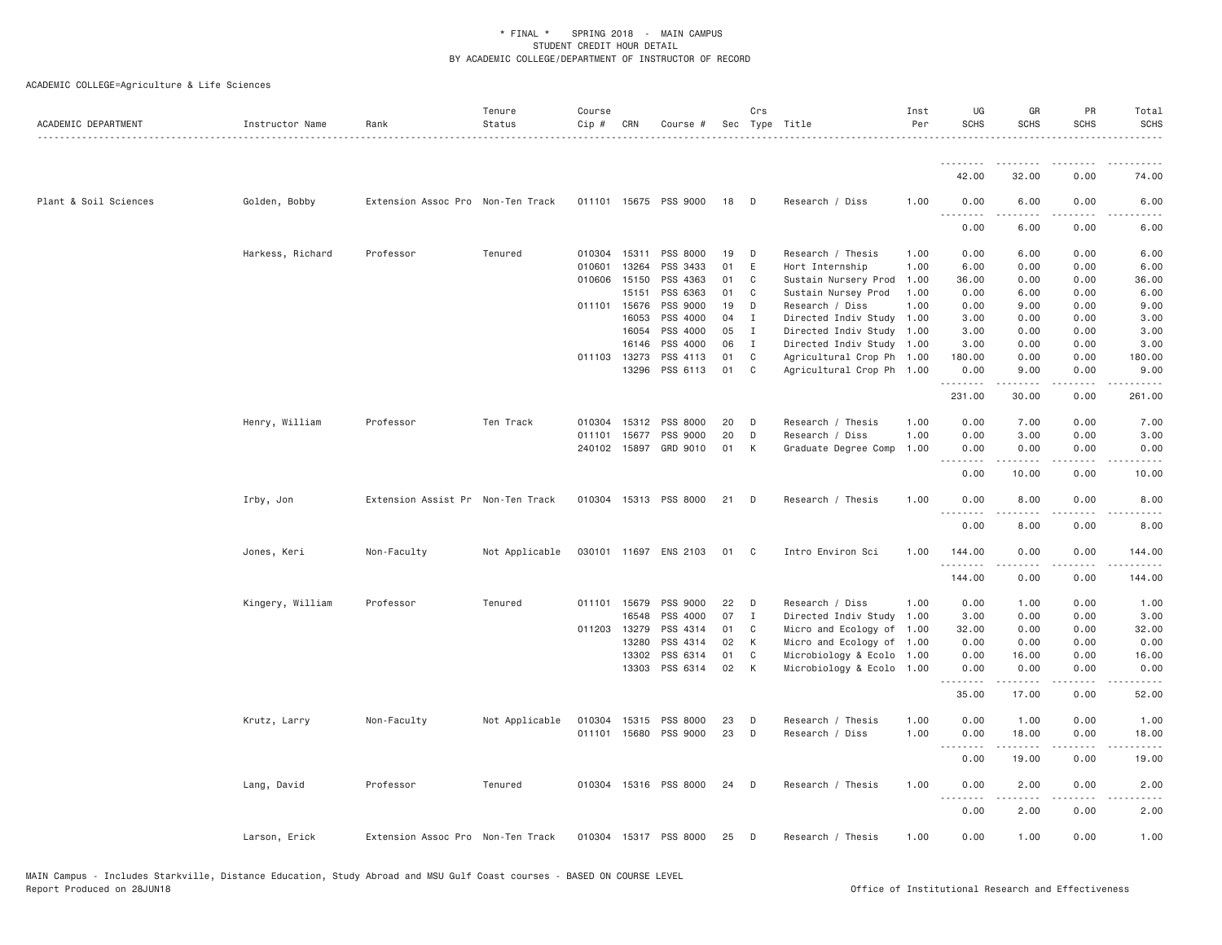| ACADEMIC DEPARTMENT   | Instructor Name  | Rank                              | Tenure<br>Status | Course<br>Cip # | CRN   | Course #              |    | Crs          | Sec Type Title            | Inst<br>Per | UG<br><b>SCHS</b>  | GR<br><b>SCHS</b>                                                                                                                                             | PR<br><b>SCHS</b>     | Total<br><b>SCHS</b>      |
|-----------------------|------------------|-----------------------------------|------------------|-----------------|-------|-----------------------|----|--------------|---------------------------|-------------|--------------------|---------------------------------------------------------------------------------------------------------------------------------------------------------------|-----------------------|---------------------------|
|                       |                  |                                   |                  |                 |       |                       |    |              |                           |             | .                  |                                                                                                                                                               |                       |                           |
|                       |                  |                                   |                  |                 |       |                       |    |              |                           |             | 42.00              | 32.00                                                                                                                                                         | 0.00                  | 74.00                     |
| Plant & Soil Sciences | Golden, Bobby    | Extension Assoc Pro Non-Ten Track |                  |                 |       | 011101 15675 PSS 9000 | 18 | D            | Research / Diss           | 1.00        | 0.00               | 6.00                                                                                                                                                          | 0.00                  | 6.00                      |
|                       |                  |                                   |                  |                 |       |                       |    |              |                           |             | 0.00               | 6.00                                                                                                                                                          | 0.00                  | 6.00                      |
|                       | Harkess, Richard | Professor                         | Tenured          | 010304 15311    |       | PSS 8000              | 19 | D            | Research / Thesis         | 1.00        | 0.00               | 6.00                                                                                                                                                          | 0.00                  | 6.00                      |
|                       |                  |                                   |                  | 010601          | 13264 | PSS 3433              | 01 | E            | Hort Internship           | 1.00        | 6.00               | 0.00                                                                                                                                                          | 0.00                  | 6.00                      |
|                       |                  |                                   |                  | 010606          | 15150 | PSS 4363              | 01 | C            | Sustain Nursery Prod      | 1.00        | 36.00              | 0.00                                                                                                                                                          | 0.00                  | 36.00                     |
|                       |                  |                                   |                  |                 | 15151 | PSS 6363              | 01 | C            | Sustain Nursey Prod       | 1.00        | 0.00               | 6.00                                                                                                                                                          | 0.00                  | 6.00                      |
|                       |                  |                                   |                  | 011101 15676    |       | PSS 9000              | 19 | D            | Research / Diss           | 1.00        | 0.00               | 9.00                                                                                                                                                          | 0.00                  | 9.00                      |
|                       |                  |                                   |                  |                 | 16053 | PSS 4000              | 04 | $\mathbf{I}$ | Directed Indiv Study      | 1.00        | 3.00               | 0.00                                                                                                                                                          | 0.00                  | 3.00                      |
|                       |                  |                                   |                  |                 | 16054 | PSS 4000              | 05 | Ι.           | Directed Indiv Study 1.00 |             | 3.00               | 0.00                                                                                                                                                          | 0.00                  | 3.00                      |
|                       |                  |                                   |                  |                 | 16146 | PSS 4000              | 06 | I            | Directed Indiv Study 1.00 |             | 3.00               | 0.00                                                                                                                                                          | 0.00                  | 3.00                      |
|                       |                  |                                   |                  | 011103 13273    |       | PSS 4113              | 01 | C            | Agricultural Crop Ph 1.00 |             | 180.00             | 0.00                                                                                                                                                          | 0.00                  | 180.00                    |
|                       |                  |                                   |                  |                 | 13296 | PSS 6113              | 01 | C            | Agricultural Crop Ph 1.00 |             | 0.00<br>. <b>.</b> | 9.00<br>-----                                                                                                                                                 | 0.00<br>.             | 9.00<br>.                 |
|                       |                  |                                   |                  |                 |       |                       |    |              |                           |             | 231.00             | 30.00                                                                                                                                                         | 0.00                  | 261.00                    |
|                       | Henry, William   | Professor                         | Ten Track        | 010304          | 15312 | PSS 8000              | 20 | D            | Research / Thesis         | 1,00        | 0.00               | 7.00                                                                                                                                                          | 0.00                  | 7.00                      |
|                       |                  |                                   |                  | 011101 15677    |       | PSS 9000              | 20 | D            | Research / Diss           | 1.00        | 0.00               | 3.00                                                                                                                                                          | 0.00                  | 3.00                      |
|                       |                  |                                   |                  |                 |       |                       |    |              |                           |             |                    |                                                                                                                                                               |                       |                           |
|                       |                  |                                   |                  | 240102 15897    |       | GRD 9010              | 01 | K            | Graduate Degree Comp      | 1.00        | 0.00<br>.          | 0.00<br>$\frac{1}{2}$                                                                                                                                         | 0.00<br>.             | 0.00<br>$\frac{1}{2}$     |
|                       |                  |                                   |                  |                 |       |                       |    |              |                           |             | 0.00               | 10.00                                                                                                                                                         | 0.00                  | 10.00                     |
|                       | Irby, Jon        | Extension Assist Pr Non-Ten Track |                  |                 |       | 010304 15313 PSS 8000 | 21 | D            | Research / Thesis         | 1.00        | 0.00<br>.          | 8.00                                                                                                                                                          | 0.00                  | 8.00                      |
|                       |                  |                                   |                  |                 |       |                       |    |              |                           |             | 0.00               | 8.00                                                                                                                                                          | 0.00                  | 8.00                      |
|                       | Jones, Keri      | Non-Faculty                       | Not Applicable   |                 |       | 030101 11697 ENS 2103 | 01 | C            | Intro Environ Sci         | 1.00        | 144.00             | 0.00                                                                                                                                                          | 0.00<br>.             | 144.00                    |
|                       |                  |                                   |                  |                 |       |                       |    |              |                           |             | .<br>144.00        | -----<br>0.00                                                                                                                                                 | 0.00                  | $- - - - - - -$<br>144.00 |
|                       | Kingery, William | Professor                         | Tenured          | 011101 15679    |       | PSS 9000              | 22 | D            | Research / Diss           | 1.00        | 0.00               | 1.00                                                                                                                                                          | 0.00                  | 1.00                      |
|                       |                  |                                   |                  |                 | 16548 | PSS 4000              | 07 | $\mathbf{I}$ | Directed Indiv Study 1.00 |             | 3.00               | 0.00                                                                                                                                                          | 0.00                  | 3.00                      |
|                       |                  |                                   |                  | 011203 13279    |       | PSS 4314              | 01 | C            | Micro and Ecology of 1.00 |             | 32.00              | 0.00                                                                                                                                                          | 0.00                  | 32.00                     |
|                       |                  |                                   |                  |                 | 13280 | PSS 4314              | 02 | K            | Micro and Ecology of 1.00 |             | 0.00               | 0.00                                                                                                                                                          | 0.00                  | 0.00                      |
|                       |                  |                                   |                  |                 | 13302 | PSS 6314              | 01 | C            | Microbiology & Ecolo 1.00 |             | 0.00               | 16.00                                                                                                                                                         | 0.00                  | 16.00                     |
|                       |                  |                                   |                  |                 | 13303 | PSS 6314              | 02 | K            | Microbiology & Ecolo 1.00 |             | 0.00               | 0.00                                                                                                                                                          | 0.00                  | 0.00                      |
|                       |                  |                                   |                  |                 |       |                       |    |              |                           |             | .<br>35.00         | $\frac{1}{2} \left( \frac{1}{2} \right) \left( \frac{1}{2} \right) \left( \frac{1}{2} \right) \left( \frac{1}{2} \right) \left( \frac{1}{2} \right)$<br>17.00 | $\frac{1}{2}$<br>0.00 | 52.00                     |
|                       | Krutz, Larry     | Non-Faculty                       | Not Applicable   | 010304          | 15315 | PSS 8000              | 23 | D            | Research / Thesis         | 1.00        | 0.00               | 1.00                                                                                                                                                          | 0.00                  | 1.00                      |
|                       |                  |                                   |                  |                 |       | 011101 15680 PSS 9000 | 23 | D            | Research / Diss           | 1.00        | 0.00               | 18.00                                                                                                                                                         | 0.00                  | 18.00                     |
|                       |                  |                                   |                  |                 |       |                       |    |              |                           |             | .                  |                                                                                                                                                               | $- - - -$             |                           |
|                       |                  |                                   |                  |                 |       |                       |    |              |                           |             | 0.00               | 19.00                                                                                                                                                         | 0.00                  | 19.00                     |
|                       | Lang, David      | Professor                         | Tenured          |                 |       | 010304 15316 PSS 8000 | 24 | D            | Research / Thesis         | 1.00        | 0.00<br>$  -$      | 2.00<br>$- - - - -$                                                                                                                                           | 0.00<br>.             | 2.00                      |
|                       |                  |                                   |                  |                 |       |                       |    |              |                           |             | 0.00               | 2.00                                                                                                                                                          | 0.00                  | 2.00                      |
|                       | Larson, Erick    | Extension Assoc Pro Non-Ten Track |                  |                 |       | 010304 15317 PSS 8000 | 25 | D            | Research / Thesis         | 1.00        | 0.00               | 1.00                                                                                                                                                          | 0.00                  | 1.00                      |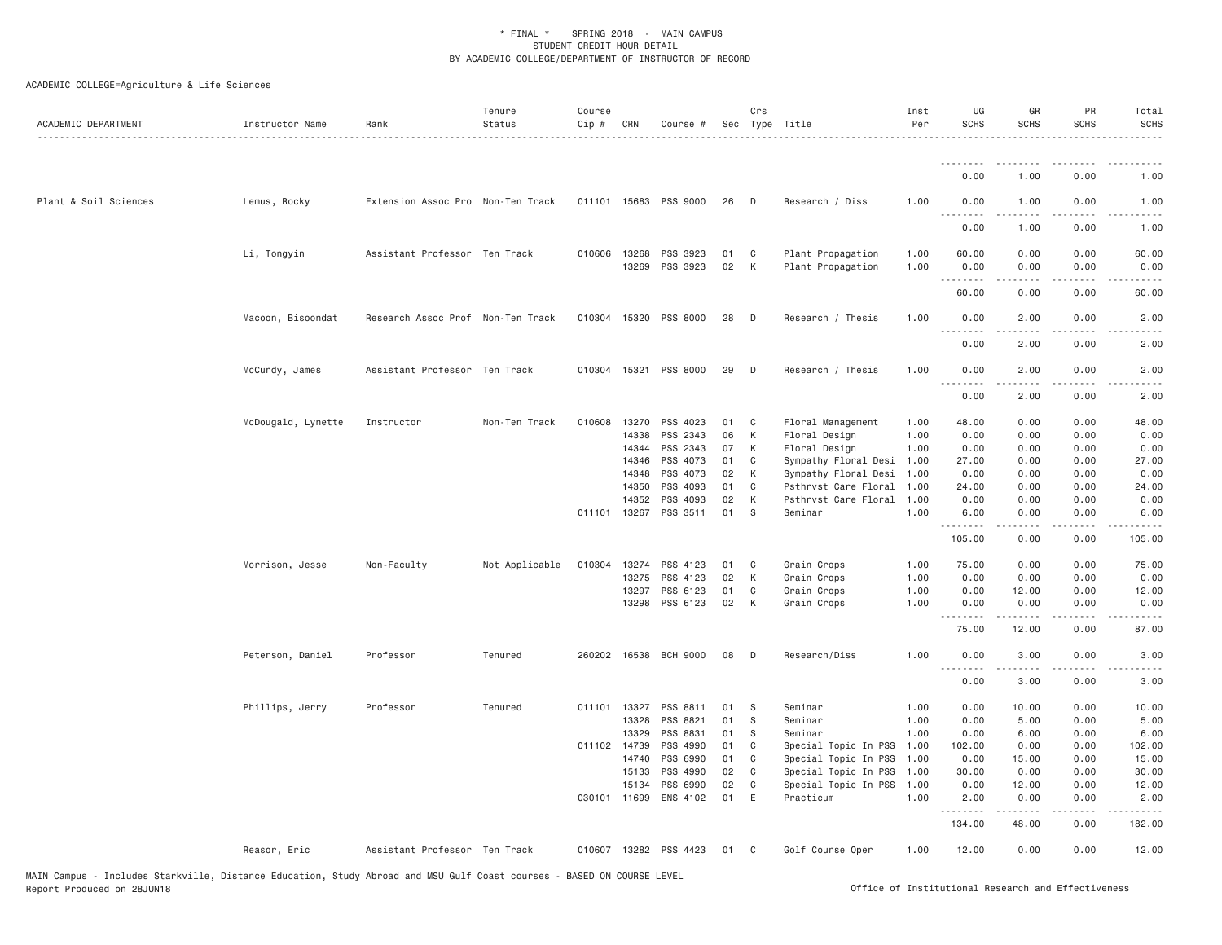| ACADEMIC DEPARTMENT   | Instructor Name    | Rank                              | Tenure<br>Status | Course<br>Cip # | CRN            | Course #              |          | Crs    | Sec Type Title                         | Inst<br>Per  | UG<br><b>SCHS</b> | GR<br><b>SCHS</b>                                                                                                                                                                       | PR<br><b>SCHS</b>     | Total<br><b>SCHS</b><br>. |
|-----------------------|--------------------|-----------------------------------|------------------|-----------------|----------------|-----------------------|----------|--------|----------------------------------------|--------------|-------------------|-----------------------------------------------------------------------------------------------------------------------------------------------------------------------------------------|-----------------------|---------------------------|
|                       |                    |                                   |                  |                 |                |                       |          |        |                                        |              | .                 | $- - - - -$                                                                                                                                                                             |                       |                           |
|                       |                    |                                   |                  |                 |                |                       |          |        |                                        |              | 0.00              | 1.00                                                                                                                                                                                    | 0.00                  | 1.00                      |
| Plant & Soil Sciences | Lemus, Rocky       | Extension Assoc Pro Non-Ten Track |                  | 011101 15683    |                | PSS 9000              | 26       | D      | Research / Diss                        | 1.00         | 0.00<br>.         | 1.00<br>.                                                                                                                                                                               | 0.00<br>$\frac{1}{2}$ | 1.00<br>$\frac{1}{2}$     |
|                       |                    |                                   |                  |                 |                |                       |          |        |                                        |              | 0.00              | 1.00                                                                                                                                                                                    | 0.00                  | 1.00                      |
|                       | Li, Tongyin        | Assistant Professor Ten Track     |                  | 010606          | 13268<br>13269 | PSS 3923<br>PSS 3923  | 01<br>02 | C<br>K | Plant Propagation<br>Plant Propagation | 1.00<br>1.00 | 60.00<br>0.00     | 0.00<br>0.00                                                                                                                                                                            | 0.00<br>0.00          | 60.00<br>0.00             |
|                       |                    |                                   |                  |                 |                |                       |          |        |                                        |              | .<br>60.00        | 0.00                                                                                                                                                                                    | 0.00                  | 60.00                     |
|                       | Macoon, Bisoondat  | Research Assoc Prof Non-Ten Track |                  |                 | 010304 15320   | PSS 8000              | 28       | D      | Research / Thesis                      | 1.00         | 0.00              | 2.00                                                                                                                                                                                    | 0.00                  | 2.00                      |
|                       |                    |                                   |                  |                 |                |                       |          |        |                                        |              | .<br>0.00         | .<br>2.00                                                                                                                                                                               | $- - - -$<br>0.00     | 2.00                      |
|                       | McCurdy, James     | Assistant Professor Ten Track     |                  |                 |                | 010304 15321 PSS 8000 | 29       | D      | Research / Thesis                      | 1.00         | 0.00              | 2.00                                                                                                                                                                                    | 0.00                  | 2.00                      |
|                       |                    |                                   |                  |                 |                |                       |          |        |                                        |              | <u>.</u><br>0.00  | $\frac{1}{2} \left( \frac{1}{2} \right) \left( \frac{1}{2} \right) \left( \frac{1}{2} \right) \left( \frac{1}{2} \right) \left( \frac{1}{2} \right) \left( \frac{1}{2} \right)$<br>2.00 | $- - - -$<br>0.00     | $\frac{1}{2}$<br>2.00     |
|                       | McDougald, Lynette | Instructor                        | Non-Ten Track    | 010608 13270    |                | PSS 4023              | 01       | C      | Floral Management                      | 1.00         | 48.00             | 0.00                                                                                                                                                                                    | 0.00                  | 48.00                     |
|                       |                    |                                   |                  |                 | 14338          | PSS 2343              | 06       | К      | Floral Design                          | 1.00         | 0.00              | 0.00                                                                                                                                                                                    | 0.00                  | 0.00                      |
|                       |                    |                                   |                  |                 | 14344          | PSS 2343              | 07       | К      | Floral Design                          | 1.00         | 0.00              | 0.00                                                                                                                                                                                    | 0.00                  | 0.00                      |
|                       |                    |                                   |                  |                 | 14346          | PSS 4073              | 01       | C      | Sympathy Floral Desi                   | 1.00         | 27.00             | 0.00                                                                                                                                                                                    | 0.00                  | 27.00                     |
|                       |                    |                                   |                  |                 | 14348          | PSS 4073              | 02       | К      | Sympathy Floral Desi                   | 1.00         | 0.00              | 0.00                                                                                                                                                                                    | 0.00                  | 0.00                      |
|                       |                    |                                   |                  |                 | 14350          | PSS 4093              | 01       | C      | Psthrvst Care Floral                   | 1.00         | 24.00             | 0.00                                                                                                                                                                                    | 0.00                  | 24.00                     |
|                       |                    |                                   |                  |                 | 14352          | PSS 4093              | 02       | K      | Psthrvst Care Floral                   | 1,00         | 0.00              | 0.00                                                                                                                                                                                    | 0.00                  | 0.00                      |
|                       |                    |                                   |                  |                 | 011101 13267   | PSS 3511              | 01       | S      | Seminar                                | 1.00         | 6.00<br>.         | 0.00<br>.                                                                                                                                                                               | 0.00                  | 6.00<br>.                 |
|                       |                    |                                   |                  |                 |                |                       |          |        |                                        |              | 105.00            | 0.00                                                                                                                                                                                    | 0.00                  | 105.00                    |
|                       | Morrison, Jesse    | Non-Faculty                       | Not Applicable   | 010304 13274    |                | PSS 4123              | 01       | C      | Grain Crops                            | 1.00         | 75.00             | 0.00                                                                                                                                                                                    | 0.00                  | 75.00                     |
|                       |                    |                                   |                  |                 | 13275          | PSS 4123              | 02       | К      | Grain Crops                            | 1.00         | 0.00              | 0.00                                                                                                                                                                                    | 0.00                  | 0.00                      |
|                       |                    |                                   |                  |                 | 13297          | PSS 6123              | 01       | C      | Grain Crops                            | 1.00         | 0.00              | 12.00                                                                                                                                                                                   | 0.00                  | 12.00                     |
|                       |                    |                                   |                  |                 | 13298          | PSS 6123              | 02       | K      | Grain Crops                            | 1.00         | 0.00<br>.         | 0.00                                                                                                                                                                                    | 0.00                  | 0.00                      |
|                       |                    |                                   |                  |                 |                |                       |          |        |                                        |              | 75.00             | 12.00                                                                                                                                                                                   | 0.00                  | 87.00                     |
|                       | Peterson, Daniel   | Professor                         | Tenured          |                 | 260202 16538   | <b>BCH 9000</b>       | 08       | D      | Research/Diss                          | 1.00         | 0.00<br>.         | 3.00                                                                                                                                                                                    | 0.00                  | 3.00                      |
|                       |                    |                                   |                  |                 |                |                       |          |        |                                        |              | 0.00              | 3.00                                                                                                                                                                                    | 0.00                  | 3.00                      |
|                       | Phillips, Jerry    | Professor                         | Tenured          |                 | 011101 13327   | PSS 8811              | 01       | S      | Seminar                                | 1.00         | 0.00              | 10.00                                                                                                                                                                                   | 0.00                  | 10.00                     |
|                       |                    |                                   |                  |                 | 13328          | PSS 8821              | 01       | S      | Seminar                                | 1.00         | 0.00              | 5.00                                                                                                                                                                                    | 0.00                  | 5.00                      |
|                       |                    |                                   |                  |                 | 13329          | PSS 8831              | 01       | S      | Seminar                                | 1.00         | 0.00              | 6.00                                                                                                                                                                                    | 0.00                  | 6.00                      |
|                       |                    |                                   |                  | 011102 14739    |                | PSS 4990              | 01       | C      | Special Topic In PSS                   | 1.00         | 102.00            | 0.00                                                                                                                                                                                    | 0.00                  | 102.00                    |
|                       |                    |                                   |                  |                 | 14740          | PSS 6990              | 01       | C      | Special Topic In PSS                   | 1.00         | 0.00              | 15.00                                                                                                                                                                                   | 0.00                  | 15.00                     |
|                       |                    |                                   |                  |                 | 15133          | PSS 4990              | 02       | C      | Special Topic In PSS                   | 1.00         | 30.00             | 0.00                                                                                                                                                                                    | 0.00                  | 30.00                     |
|                       |                    |                                   |                  |                 | 15134          | PSS 6990              | 02       | C      | Special Topic In PSS                   | 1.00         | 0.00              | 12.00                                                                                                                                                                                   | 0.00                  | 12.00                     |
|                       |                    |                                   |                  |                 | 030101 11699   | ENS 4102              | 01       | E      | Practicum                              | 1.00         | 2.00              | 0.00                                                                                                                                                                                    | 0.00                  | 2.00                      |
|                       |                    |                                   |                  |                 |                |                       |          |        |                                        |              | .<br>134.00       | $- - - - -$<br>48.00                                                                                                                                                                    | 0.00                  | .<br>182.00               |
|                       | Reasor, Eric       | Assistant Professor Ten Track     |                  |                 |                | 010607 13282 PSS 4423 | 01       | C.     | Golf Course Oper                       | 1.00         | 12.00             | 0.00                                                                                                                                                                                    | 0.00                  | 12.00                     |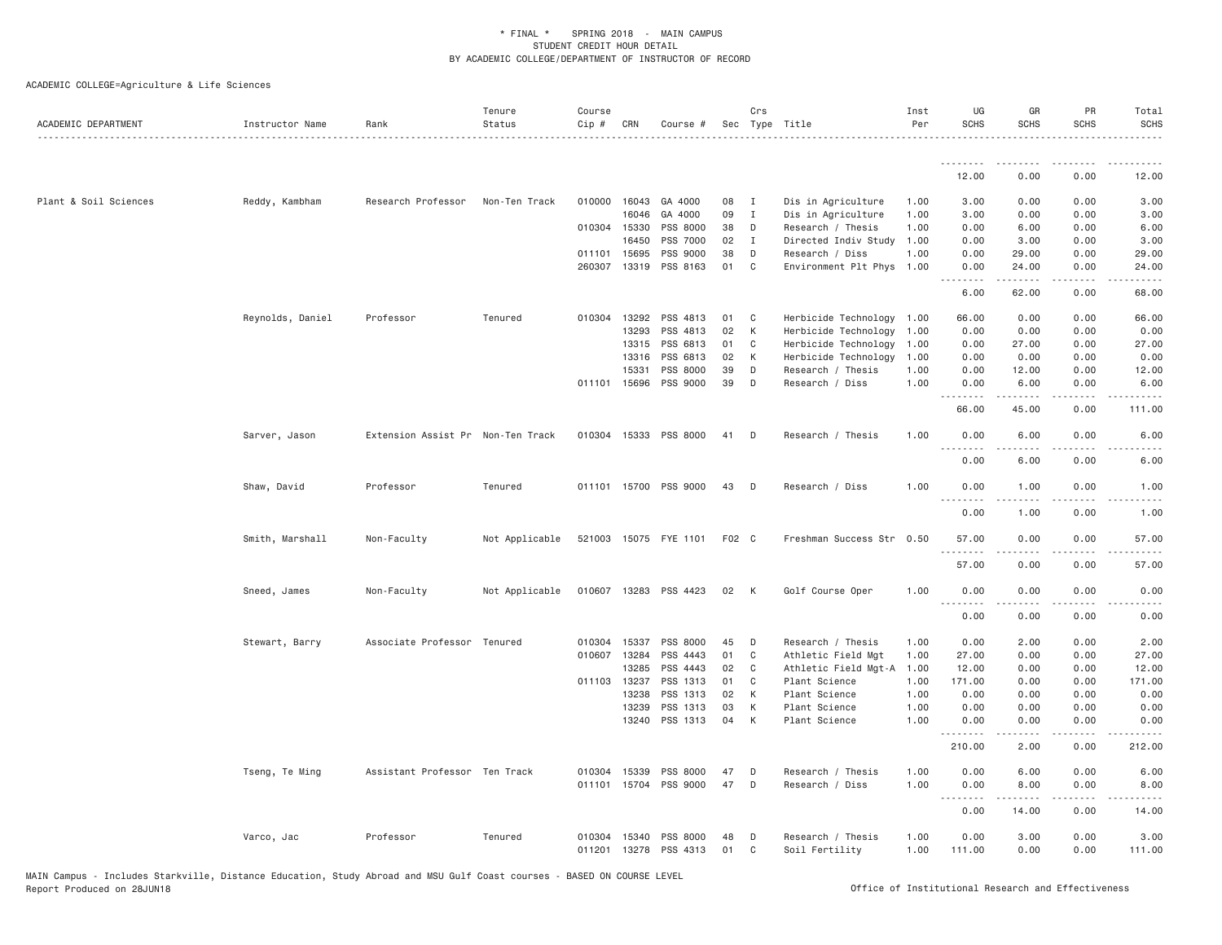| ACADEMIC DEPARTMENT   | Instructor Name  | Rank                              | Tenure<br>Status | Course<br>Cip #  | CRN            | Course #              |          | Crs            | Sec Type Title                      | Inst<br>Per  | UG<br><b>SCHS</b>      | GR<br><b>SCHS</b>    | PR<br><b>SCHS</b>     | Total<br><b>SCHS</b>  |
|-----------------------|------------------|-----------------------------------|------------------|------------------|----------------|-----------------------|----------|----------------|-------------------------------------|--------------|------------------------|----------------------|-----------------------|-----------------------|
|                       |                  |                                   |                  |                  |                |                       |          |                |                                     |              | .                      |                      |                       |                       |
|                       |                  |                                   |                  |                  |                |                       |          |                |                                     |              | 12.00                  | 0.00                 | 0.00                  | 12.00                 |
| Plant & Soil Sciences | Reddy, Kambham   | Research Professor                | Non-Ten Track    |                  | 010000 16043   | GA 4000               | 08       | $\blacksquare$ | Dis in Agriculture                  | 1.00         | 3.00                   | 0.00                 | 0.00                  | 3.00                  |
|                       |                  |                                   |                  |                  | 16046          | GA 4000               | 09       | $\mathbf{I}$   | Dis in Agriculture                  | 1.00         | 3.00                   | 0.00                 | 0.00                  | 3.00                  |
|                       |                  |                                   |                  |                  | 010304 15330   | PSS 8000              | 38       | D              | Research / Thesis                   | 1.00         | 0.00                   | 6.00                 | 0.00                  | 6.00                  |
|                       |                  |                                   |                  |                  | 16450          | PSS 7000              | 02       | $\mathbf{I}$   | Directed Indiv Study                | 1.00         | 0.00                   | 3.00                 | 0.00                  | 3.00                  |
|                       |                  |                                   |                  |                  | 011101 15695   | PSS 9000              | 38       | D              | Research / Diss                     | 1.00         | 0.00                   | 29.00                | 0.00                  | 29.00                 |
|                       |                  |                                   |                  |                  | 260307 13319   | PSS 8163              | 01       | $\mathbf{C}$   | Environment Plt Phys 1.00           |              | 0.00<br>.<br>$- - -$   | 24.00<br>$- - - - -$ | 0.00<br>.             | 24.00<br>. <u>.</u> . |
|                       |                  |                                   |                  |                  |                |                       |          |                |                                     |              | 6.00                   | 62.00                | 0.00                  | 68.00                 |
|                       | Reynolds, Daniel | Professor                         | Tenured          |                  | 010304 13292   | PSS 4813              | 01       | $\mathbf{C}$   | Herbicide Technology 1.00           |              | 66.00                  | 0.00                 | 0.00                  | 66.00                 |
|                       |                  |                                   |                  |                  | 13293          | PSS 4813              | 02       | К              | Herbicide Technology                | 1.00         | 0.00                   | 0.00                 | 0.00                  | 0.00                  |
|                       |                  |                                   |                  |                  | 13315          | PSS 6813              | 01       | C              | Herbicide Technology 1.00           |              | 0.00                   | 27.00                | 0.00                  | 27.00                 |
|                       |                  |                                   |                  |                  | 13316          | PSS 6813              | 02       | К              | Herbicide Technology                | 1.00         | 0.00                   | 0.00                 | 0.00                  | 0.00                  |
|                       |                  |                                   |                  |                  | 15331          | PSS 8000              | 39       | D              | Research / Thesis                   | 1.00         | 0.00                   | 12.00                | 0.00                  | 12.00                 |
|                       |                  |                                   |                  |                  | 011101 15696   | PSS 9000              | 39       | D              | Research / Diss                     | 1,00         | 0.00<br>.              | 6.00                 | 0.00                  | 6.00                  |
|                       |                  |                                   |                  |                  |                |                       |          |                |                                     |              | 66.00                  | 45.00                | 0.00                  | 111.00                |
|                       | Sarver, Jason    | Extension Assist Pr Non-Ten Track |                  | 010304           | 15333          | PSS 8000              | 41       | D              | Research / Thesis                   | 1.00         | 0.00                   | 6.00                 | 0.00                  | 6.00                  |
|                       |                  |                                   |                  |                  |                |                       |          |                |                                     |              | 0.00                   | 6.00                 | 0.00                  | 6.00                  |
|                       | Shaw, David      | Professor                         | Tenured          |                  |                | 011101 15700 PSS 9000 | 43       | $\Box$         | Research / Diss                     | 1.00         | 0.00                   | 1.00                 | 0.00                  | 1.00                  |
|                       |                  |                                   |                  |                  |                |                       |          |                |                                     |              | 0.00                   | 1.00                 | 0.00                  | 1.00                  |
|                       | Smith, Marshall  | Non-Faculty                       | Not Applicable   |                  |                | 521003 15075 FYE 1101 | F02 C    |                | Freshman Success Str 0.50           |              | 57.00                  | 0.00                 | 0.00                  | 57.00                 |
|                       |                  |                                   |                  |                  |                |                       |          |                |                                     |              | .<br>57.00             | .<br>0.00            | $\frac{1}{2}$<br>0.00 | 57.00                 |
|                       | Sneed, James     | Non-Faculty                       | Not Applicable   |                  |                | 010607 13283 PSS 4423 | 02       | K              | Golf Course Oper                    | 1.00         | 0.00                   | 0.00                 | 0.00                  | 0.00                  |
|                       |                  |                                   |                  |                  |                |                       |          |                |                                     |              | .<br>0.00              | 0.00                 | 0.00                  | 0.00                  |
|                       | Stewart, Barry   | Associate Professor Tenured       |                  |                  | 010304 15337   | PSS 8000              | 45       | D              | Research / Thesis                   | 1.00         | 0.00                   | 2.00                 | 0.00                  | 2.00                  |
|                       |                  |                                   |                  | 010607           | 13284          | PSS 4443              | 01       | C              | Athletic Field Mgt                  | 1.00         | 27.00                  | 0.00                 | 0.00                  | 27.00                 |
|                       |                  |                                   |                  |                  | 13285          | PSS 4443              | 02       | C              | Athletic Field Mgt-A                | 1.00         | 12.00                  | 0.00                 | 0.00                  | 12.00                 |
|                       |                  |                                   |                  |                  | 011103 13237   | PSS 1313              | 01       | C              | Plant Science                       | 1.00         | 171.00                 | 0.00                 | 0.00                  | 171.00                |
|                       |                  |                                   |                  |                  | 13238          | PSS 1313              | 02       | K              | Plant Science                       | 1.00         | 0.00                   | 0.00                 | 0.00                  | 0.00                  |
|                       |                  |                                   |                  |                  | 13239          | PSS 1313              | 03       | К              | Plant Science                       | 1.00         | 0.00                   | 0.00                 | 0.00                  | 0.00                  |
|                       |                  |                                   |                  |                  | 13240          | PSS 1313              | 04       | K              | Plant Science                       | 1.00         | 0.00                   | 0.00                 | 0.00                  | 0.00                  |
|                       |                  |                                   |                  |                  |                |                       |          |                |                                     |              | .<br>210.00            | -----<br>2.00        | 0.00                  | 212.00                |
|                       | Tseng, Te Ming   | Assistant Professor Ten Track     |                  | 010304           | 15339          | PSS 8000              | 47       | D              | Research / Thesis                   | 1.00         | 0.00                   | 6.00                 | 0.00                  | 6.00                  |
|                       |                  |                                   |                  | 011101           | 15704          | PSS 9000              | 47       | D              | Research / Diss                     | 1.00         | 0.00<br>$  -$<br>----- | 8.00<br>$- - - - -$  | 0.00<br>.             | 8.00                  |
|                       |                  |                                   |                  |                  |                |                       |          |                |                                     |              | 0.00                   | 14.00                | 0.00                  | 14.00                 |
|                       | Varco, Jac       | Professor                         | Tenured          | 010304<br>011201 | 15340<br>13278 | PSS 8000<br>PSS 4313  | 48<br>01 | D<br>C         | Research / Thesis<br>Soil Fertility | 1.00<br>1.00 | 0.00<br>111.00         | 3.00<br>0.00         | 0.00<br>0.00          | 3.00<br>111.00        |
|                       |                  |                                   |                  |                  |                |                       |          |                |                                     |              |                        |                      |                       |                       |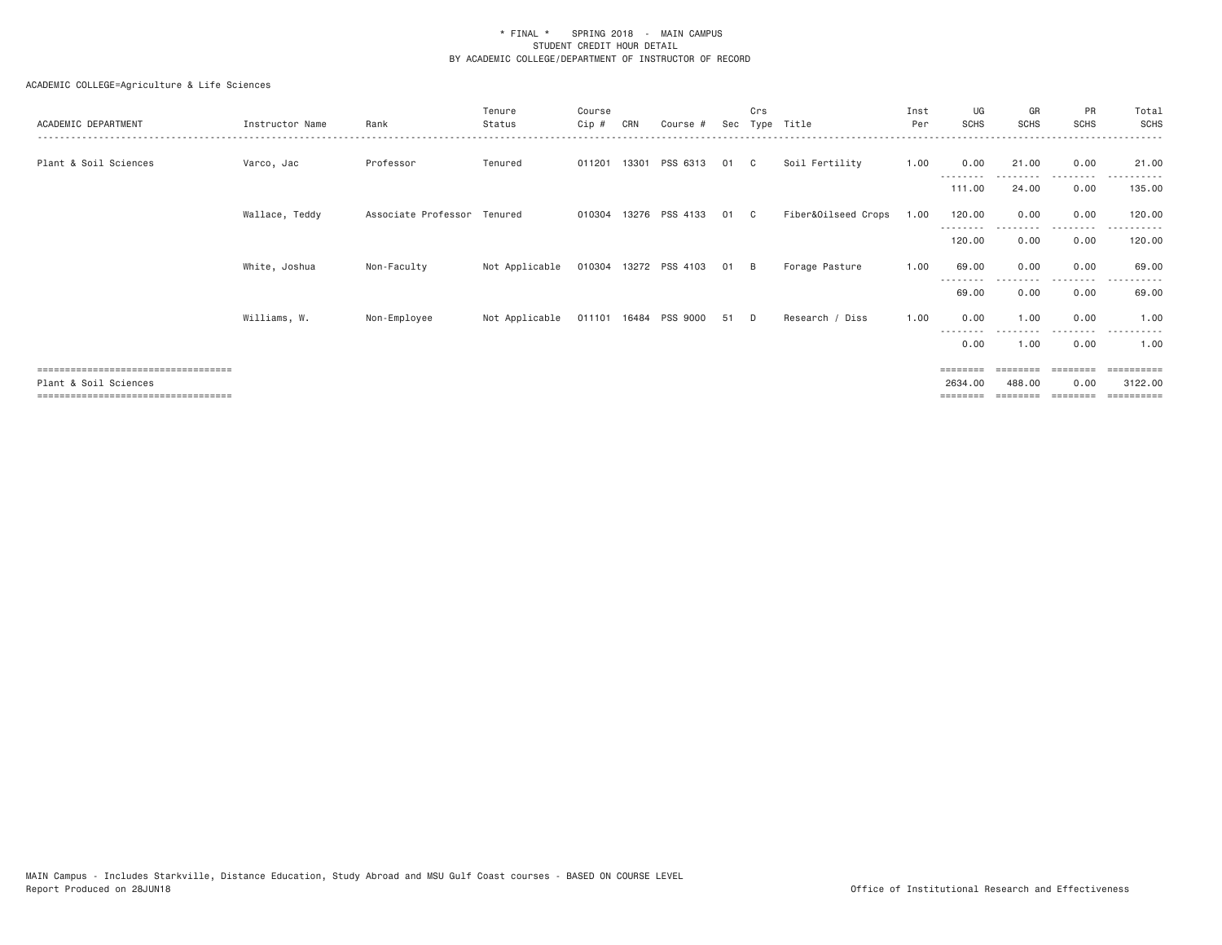| ACADEMIC DEPARTMENT                                          | Instructor Name | Rank                        | Tenure<br>Status | Course<br>Cip # | CRN   | Course #              | Sec | Crs | Type Title          | Inst<br>Per | UG<br><b>SCHS</b>  | GR<br><b>SCHS</b> | PR<br><b>SCHS</b> | Total<br>SCHS                      |
|--------------------------------------------------------------|-----------------|-----------------------------|------------------|-----------------|-------|-----------------------|-----|-----|---------------------|-------------|--------------------|-------------------|-------------------|------------------------------------|
| Plant & Soil Sciences                                        | Varco, Jac      | Professor                   | Tenured          | 011201          | 13301 | PSS 6313              | 01  | C.  | Soil Fertility      | 1.00        | 0.00               | 21.00             | 0.00              | 21.00                              |
|                                                              |                 |                             |                  |                 |       |                       |     |     |                     |             | --------<br>111.00 | --------<br>24.00 | .<br>0.00         | .<br>135.00                        |
|                                                              | Wallace, Teddy  | Associate Professor Tenured |                  | 010304          |       | 13276 PSS 4133        | 01  | C.  | Fiber&Oilseed Crops | 1.00        | 120.00             | 0.00              | 0.00              | 120.00                             |
|                                                              |                 |                             |                  |                 |       |                       |     |     |                     |             | --------<br>120.00 | 0.00              | 0.00              | 120.00                             |
|                                                              | White, Joshua   | Non-Faculty                 | Not Applicable   |                 |       | 010304 13272 PSS 4103 | 01  | - B | Forage Pasture      | 1.00        | 69.00              | 0.00              | 0.00              | 69.00                              |
|                                                              |                 |                             |                  |                 |       |                       |     |     |                     |             | --------<br>69.00  | 0.00              | <u>.</u><br>0.00  | 69.00                              |
|                                                              | Williams, W.    | Non-Employee                | Not Applicable   |                 |       | 011101 16484 PSS 9000 | 51  | D.  | Research / Diss     | 1.00        | 0.00               | 1.00              | 0.00              | 1,00                               |
|                                                              |                 |                             |                  |                 |       |                       |     |     |                     |             | --------<br>0.00   | 1.00              | 0.00              | 1,00                               |
| ;====================================                        |                 |                             |                  |                 |       |                       |     |     |                     |             | ========           | ========          | $= 22222222$      | $=$ = = = = = = = = =              |
| Plant & Soil Sciences<br>=================================== |                 |                             |                  |                 |       |                       |     |     |                     |             | 2634.00            | 488,00            | 0.00              | 3122.00<br>$=$ = = = = = = = = $=$ |
|                                                              |                 |                             |                  |                 |       |                       |     |     |                     |             |                    |                   |                   |                                    |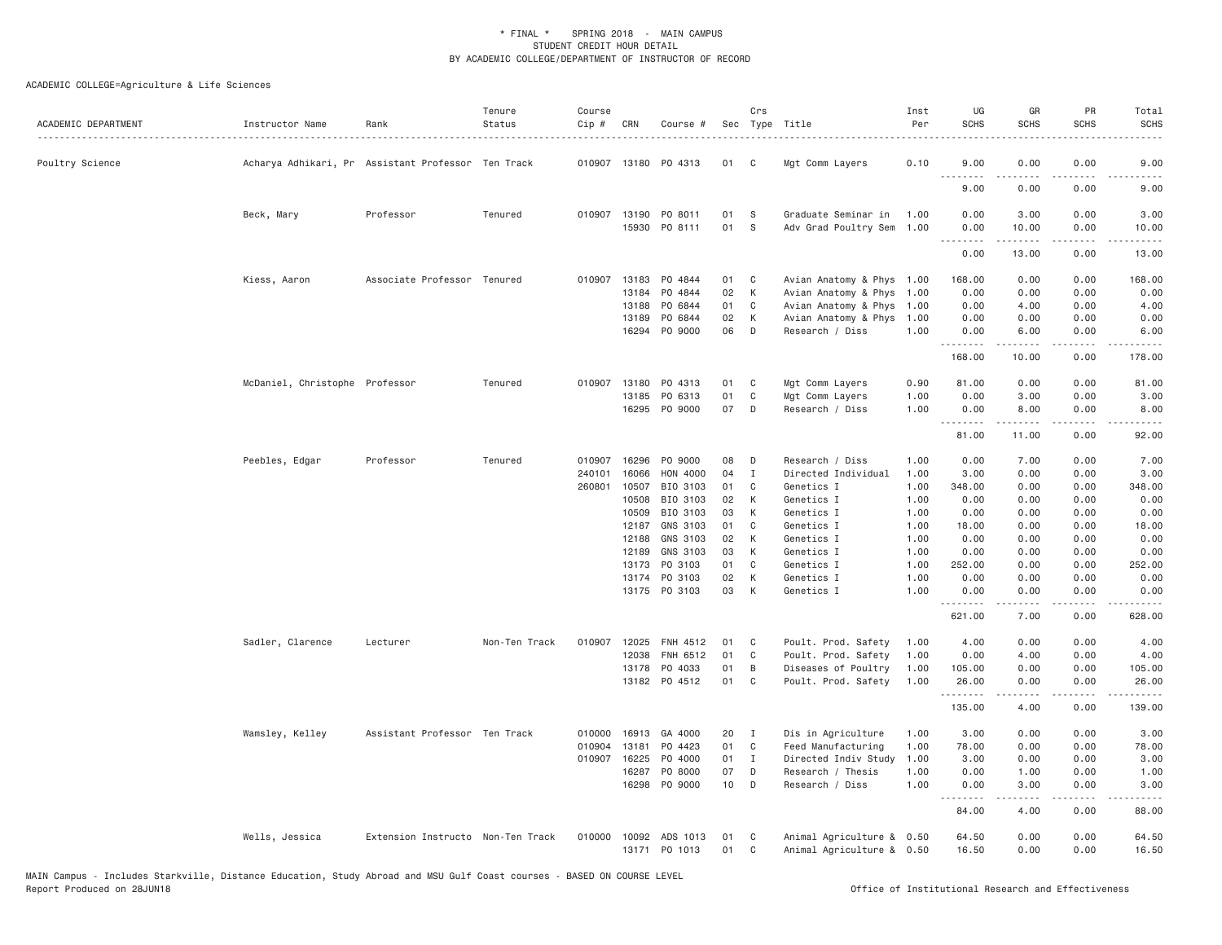| 010907 13180 P0 4313<br>Poultry Science<br>Acharya Adhikari, Pr Assistant Professor Ten Track<br>01<br>C                            | 0.10<br>9.00<br>0.00<br>0.00<br>Mgt Comm Layers<br>.<br>9.00<br>0.00<br>0.00<br>Graduate Seminar in<br>1.00<br>0.00<br>3.00<br>0.00<br>Adv Grad Poultry Sem 1.00<br>0.00<br>10.00<br>0.00<br>.<br>.<br>.<br>0.00<br>13.00<br>0.00 | 9.00<br>9.00          |
|-------------------------------------------------------------------------------------------------------------------------------------|-----------------------------------------------------------------------------------------------------------------------------------------------------------------------------------------------------------------------------------|-----------------------|
|                                                                                                                                     |                                                                                                                                                                                                                                   |                       |
|                                                                                                                                     |                                                                                                                                                                                                                                   |                       |
| Beck, Mary<br>Professor<br>Tenured<br>010907 13190 PO 8011<br>01<br>-S                                                              |                                                                                                                                                                                                                                   | 3.00                  |
| 15930 PO 8111<br>01<br>S                                                                                                            |                                                                                                                                                                                                                                   | 10.00<br>.            |
|                                                                                                                                     |                                                                                                                                                                                                                                   | 13.00                 |
| Associate Professor Tenured<br>010907 13183<br>PO 4844<br>Kiess, Aaron<br>01<br>C                                                   | Avian Anatomy & Phys 1.00<br>0.00<br>0.00<br>168.00                                                                                                                                                                               | 168.00                |
| 13184<br>P0 4844<br>02<br>K                                                                                                         | Avian Anatomy & Phys<br>1.00<br>0.00<br>0.00<br>0.00                                                                                                                                                                              | 0.00                  |
| 01<br>C<br>13188<br>PO 6844                                                                                                         | Avian Anatomy & Phys<br>1.00<br>0.00<br>4.00<br>0.00                                                                                                                                                                              | 4.00                  |
| 13189<br>PO 6844<br>02<br>K                                                                                                         | Avian Anatomy & Phys<br>1.00<br>0.00<br>0.00<br>0.00                                                                                                                                                                              | 0.00                  |
| P0 9000<br>06<br>D<br>16294                                                                                                         | Research / Diss<br>1.00<br>6.00<br>0.00<br>0.00<br>.<br>.<br>.                                                                                                                                                                    | 6.00<br>$- - - - - -$ |
|                                                                                                                                     | 168.00<br>10.00<br>0.00                                                                                                                                                                                                           | 178.00                |
| McDaniel, Christophe Professor<br>010907<br>13180<br>PO 4313<br>Tenured<br>01<br>C                                                  | Mgt Comm Layers<br>0.90<br>0.00<br>0.00<br>81.00                                                                                                                                                                                  | 81.00                 |
| 01<br>13185<br>PO 6313<br>C                                                                                                         | Mgt Comm Layers<br>1.00<br>0.00<br>0.00<br>3.00                                                                                                                                                                                   | 3.00                  |
| 16295 PO 9000<br>07<br>D                                                                                                            | Research / Diss<br>1.00<br>0.00<br>8.00<br>0.00<br>.<br>.<br>$\sim$ $\sim$ $\sim$                                                                                                                                                 | 8.00                  |
|                                                                                                                                     | 81.00<br>11.00<br>0.00                                                                                                                                                                                                            | 92.00                 |
| Professor<br>Tenured<br>16296<br>PO 9000<br>08<br>Peebles, Edgar<br>010907<br>D                                                     | Research / Diss<br>1.00<br>0.00<br>7.00<br>0.00                                                                                                                                                                                   | 7.00                  |
| 16066<br>HON 4000<br>04<br>$\mathbf{I}$<br>240101                                                                                   | Directed Individual<br>3.00<br>0.00<br>1.00<br>0.00                                                                                                                                                                               | 3.00                  |
| BIO 3103<br>01<br>260801<br>10507<br>C                                                                                              | 1.00<br>Genetics I<br>348.00<br>0.00<br>0.00                                                                                                                                                                                      | 348.00                |
| 02<br>10508<br>BIO 3103<br>К                                                                                                        | Genetics I<br>1.00<br>0.00<br>0.00<br>0.00                                                                                                                                                                                        | 0.00                  |
| 10509<br>BIO 3103<br>03<br>K                                                                                                        | 1.00<br>0.00<br>0.00<br>0.00<br>Genetics I                                                                                                                                                                                        | 0.00                  |
| 12187<br>GNS 3103<br>01<br>C                                                                                                        | Genetics I<br>1,00<br>18.00<br>0.00<br>0.00                                                                                                                                                                                       | 18.00                 |
| GNS 3103<br>02<br>K<br>12188                                                                                                        | Genetics I<br>1.00<br>0.00<br>0.00<br>0.00                                                                                                                                                                                        | 0.00                  |
| GNS 3103<br>03<br>К<br>12189                                                                                                        | 1.00<br>0.00<br>0.00<br>Genetics I<br>0.00                                                                                                                                                                                        | 0.00                  |
| 13173<br>PO 3103<br>01<br>C<br>K                                                                                                    | Genetics I<br>1.00<br>252.00<br>0.00<br>0.00                                                                                                                                                                                      | 252.00                |
| PO 3103<br>02<br>13174<br>13175 PO 3103<br>03<br>K                                                                                  | 1.00<br>0.00<br>0.00<br>0.00<br>Genetics I<br>1.00<br>0.00<br>Genetics I<br>0.00<br>0.00                                                                                                                                          | 0.00<br>0.00          |
|                                                                                                                                     | .<br>.<br>$\frac{1}{2}$<br>621.00<br>7.00<br>0.00                                                                                                                                                                                 | .<br>628.00           |
| Sadler, Clarence<br>Lecturer<br>Non-Ten Track<br>010907<br>12025 FNH 4512<br>01<br>C                                                | Poult. Prod. Safety<br>4.00<br>0.00<br>0.00<br>1.00                                                                                                                                                                               | 4.00                  |
| 12038<br>FNH 6512<br>01<br>C                                                                                                        | Poult. Prod. Safety<br>1.00<br>0.00<br>4.00<br>0.00                                                                                                                                                                               | 4.00                  |
| 13178<br>PO 4033<br>01<br>B                                                                                                         | Diseases of Poultry<br>1.00<br>105.00<br>0.00<br>0.00                                                                                                                                                                             | 105.00                |
| 13182 PO 4512<br>01<br>C                                                                                                            | Poult. Prod. Safety<br>0.00<br>1.00<br>26.00<br>0.00                                                                                                                                                                              | 26.00                 |
|                                                                                                                                     | .<br>$\frac{1}{2} \left( \frac{1}{2} \right) \left( \frac{1}{2} \right) \left( \frac{1}{2} \right) \left( \frac{1}{2} \right) \left( \frac{1}{2} \right)$<br>.<br>135.00<br>0.00<br>4.00                                          | .<br>139.00           |
| Wamsley, Kelley<br>Assistant Professor Ten Track<br>010000<br>16913<br>GA 4000<br>20<br>$\mathbf{I}$                                | Dis in Agriculture<br>1.00<br>3.00<br>0.00<br>0.00                                                                                                                                                                                | 3.00                  |
| 010904<br>13181<br>P0 4423<br>01<br>C                                                                                               | Feed Manufacturing<br>1,00<br>78.00<br>0.00<br>0.00                                                                                                                                                                               | 78.00                 |
| 010907<br>16225<br>P0 4000<br>01<br>$\mathbf{I}$                                                                                    | Directed Indiv Study<br>1.00<br>3.00<br>0.00<br>0.00                                                                                                                                                                              | 3.00                  |
| 16287<br>P0 8000<br>07<br>D                                                                                                         | Research / Thesis<br>1.00<br>0.00<br>1.00<br>0.00                                                                                                                                                                                 | 1.00                  |
| 16298 PO 9000<br>10<br>D                                                                                                            | Research / Diss<br>1.00<br>3.00<br>0.00<br>0.00                                                                                                                                                                                   | 3.00                  |
|                                                                                                                                     | .<br>$\frac{1}{2} \left( \frac{1}{2} \right) \left( \frac{1}{2} \right) \left( \frac{1}{2} \right) \left( \frac{1}{2} \right) \left( \frac{1}{2} \right)$<br>.<br>4.00<br>0.00<br>84.00                                           | $\cdots$<br>88.00     |
| Wells, Jessica<br>Extension Instructo Non-Ten Track<br>010000<br>10092<br>ADS 1013<br>01<br>C<br>13171 PO 1013<br>01<br>$\mathbb C$ | Animal Agriculture & 0.50<br>64.50<br>0.00<br>0.00<br>Animal Agriculture & 0.50<br>16.50<br>0.00<br>0.00                                                                                                                          | 64.50<br>16.50        |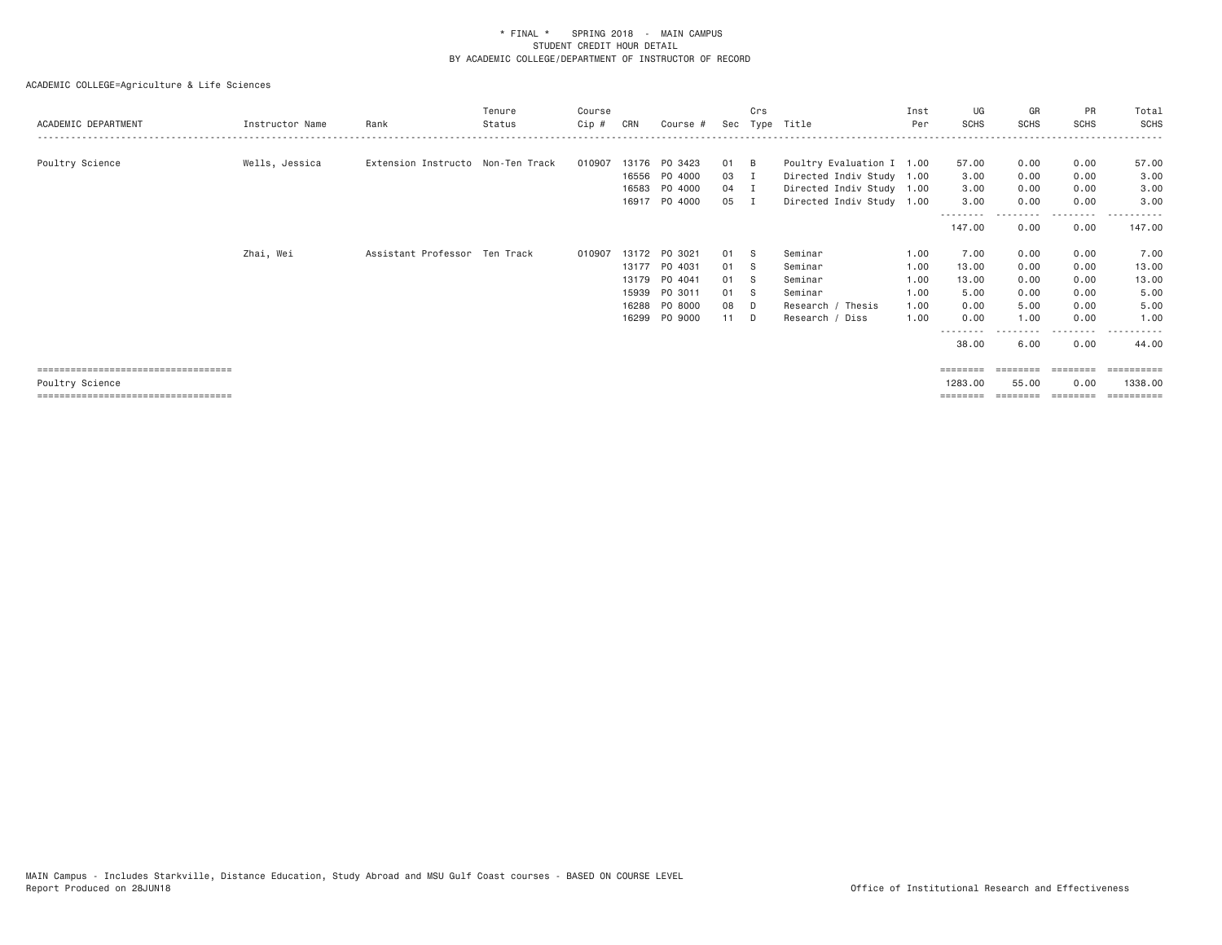| ACADEMIC DEPARTMENT                    | Instructor Name | Rank                              | Tenure<br>Status | Course<br>Cip # | CRN   | Course #      |      | Crs | Sec Type Title            | Inst<br>Per | UG<br><b>SCHS</b> | GR<br><b>SCHS</b> | <b>PR</b><br><b>SCHS</b> | Total<br>SCHS |
|----------------------------------------|-----------------|-----------------------------------|------------------|-----------------|-------|---------------|------|-----|---------------------------|-------------|-------------------|-------------------|--------------------------|---------------|
|                                        |                 |                                   |                  |                 |       | 13176 PO 3423 | 01 B |     |                           |             |                   |                   |                          |               |
| Poultry Science                        | Wells, Jessica  | Extension Instructo Non-Ten Track |                  | 010907          |       |               |      |     | Poultry Evaluation I 1.00 |             | 57.00             | 0.00              | 0.00                     | 57.00         |
|                                        |                 |                                   |                  |                 |       | 16556 PO 4000 | 03   | л   | Directed Indiv Study 1.00 |             | 3.00              | 0.00              | 0.00                     | 3.00          |
|                                        |                 |                                   |                  |                 |       | 16583 PO 4000 | 04 I |     | Directed Indiv Study 1.00 |             | 3.00              | 0.00              | 0.00                     | 3.00          |
|                                        |                 |                                   |                  |                 |       | 16917 PO 4000 | 05 I |     | Directed Indiv Study 1.00 |             | 3.00              | 0.00              | 0.00<br>. <b>.</b>       | 3.00          |
|                                        |                 |                                   |                  |                 |       |               |      |     |                           |             | 147.00            | 0.00              | 0.00                     | 147.00        |
|                                        | Zhai, Wei       | Assistant Professor Ten Track     |                  | 010907          |       | 13172 PO 3021 | 01 S |     | Seminar                   | 1.00        | 7.00              | 0.00              | 0.00                     | 7.00          |
|                                        |                 |                                   |                  |                 |       | 13177 PO 4031 | 01 S |     | Seminar                   | 1.00        | 13.00             | 0.00              | 0.00                     | 13.00         |
|                                        |                 |                                   |                  |                 |       | 13179 PO 4041 | 01 S |     | Seminar                   | 1.00        | 13.00             | 0.00              | 0.00                     | 13.00         |
|                                        |                 |                                   |                  |                 | 15939 | PO 3011       | 01 S |     | Seminar                   | 1.00        | 5.00              | 0.00              | 0.00                     | 5.00          |
|                                        |                 |                                   |                  |                 |       | 16288 PO 8000 | 08 D |     | Research / Thesis         | 1.00        | 0.00              | 5.00              | 0.00                     | 5.00          |
|                                        |                 |                                   |                  |                 |       | 16299 PO 9000 | 11 D |     | Research / Diss           | 1.00        | 0.00              | 1.00              | 0.00                     | 1.00          |
|                                        |                 |                                   |                  |                 |       |               |      |     |                           |             |                   |                   |                          |               |
|                                        |                 |                                   |                  |                 |       |               |      |     |                           |             | 38.00             | 6.00              | 0.00                     | 44.00         |
| ===================================    |                 |                                   |                  |                 |       |               |      |     |                           |             | ========          |                   | ========                 | ==========    |
| Poultry Science                        |                 |                                   |                  |                 |       |               |      |     |                           |             | 1283.00           | 55.00             | 0.00                     | 1338.00       |
| ====================================== |                 |                                   |                  |                 |       |               |      |     |                           |             | ========          | ========          | ---------                | ==========    |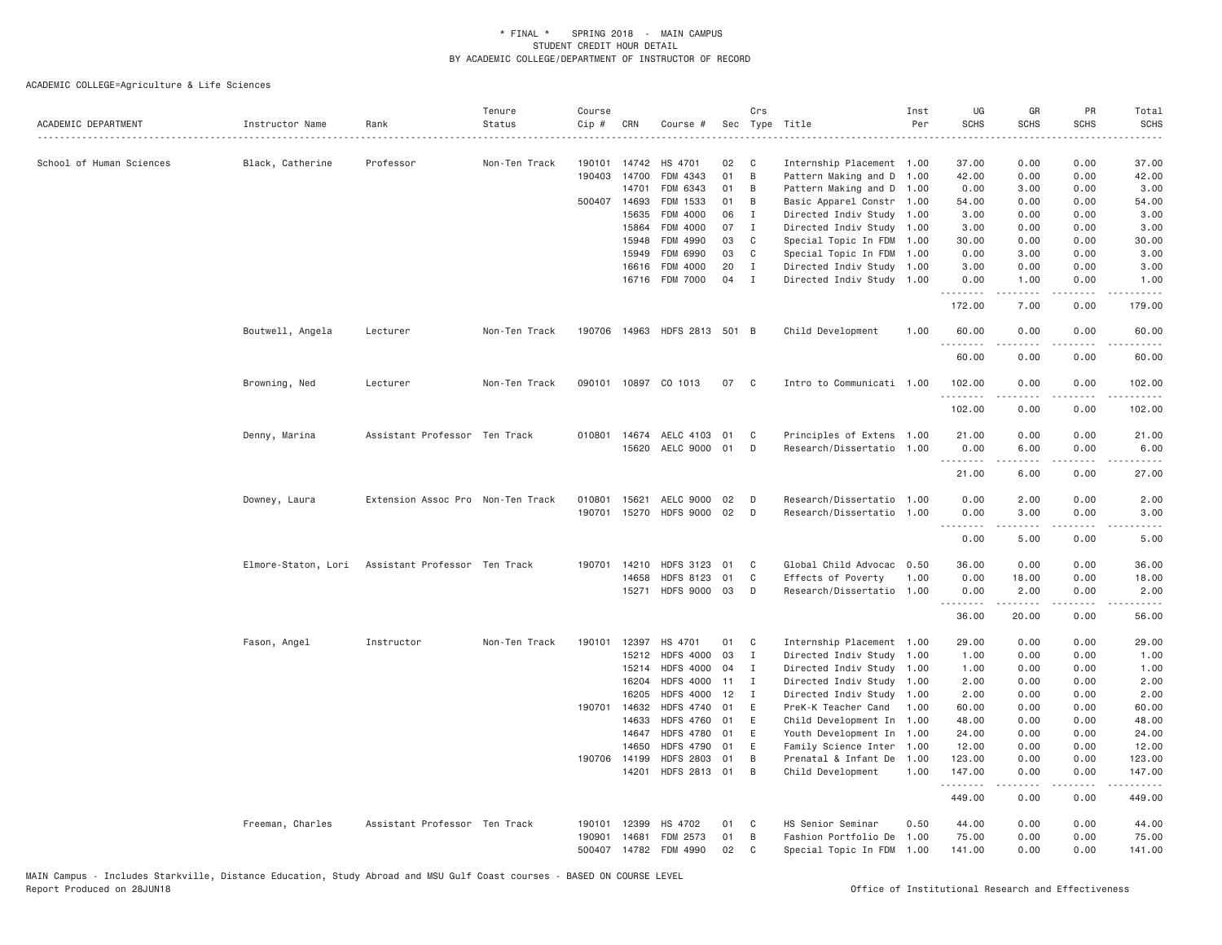| ACADEMIC DEPARTMENT      | Instructor Name     | Rank                              | Tenure<br>Status | Course<br>Cip # | CRN                   | Course #                         |          | Crs          | Sec Type Title                            | Inst<br>Per  | UG<br><b>SCHS</b> | GR<br><b>SCHS</b> | PR<br><b>SCHS</b>            | Total<br><b>SCHS</b>              |
|--------------------------|---------------------|-----------------------------------|------------------|-----------------|-----------------------|----------------------------------|----------|--------------|-------------------------------------------|--------------|-------------------|-------------------|------------------------------|-----------------------------------|
| School of Human Sciences | Black, Catherine    | Professor                         | Non-Ten Track    | 190101          | 14742                 | HS 4701                          | 02       | C            | Internship Placement 1.00                 |              | 37.00             | 0.00              | 0.00                         | .<br>37.00                        |
|                          |                     |                                   |                  | 190403          | 14700                 | FDM 4343                         | 01       | B            | Pattern Making and D                      | 1.00         | 42.00             | 0.00              | 0.00                         | 42.00                             |
|                          |                     |                                   |                  |                 | 14701                 | FDM 6343                         | 01       | B            | Pattern Making and D 1.00                 |              | 0.00              | 3.00              | 0.00                         | 3.00                              |
|                          |                     |                                   |                  |                 | 500407 14693          | FDM 1533                         | 01       | B            | Basic Apparel Constr 1.00                 |              | 54.00             | 0.00              | 0.00                         | 54.00                             |
|                          |                     |                                   |                  |                 | 15635                 | FDM 4000                         | 06       | I            | Directed Indiv Study 1.00                 |              | 3.00              | 0.00              | 0.00                         | 3.00                              |
|                          |                     |                                   |                  |                 | 15864                 | FDM 4000                         | 07       | $\mathbf{I}$ | Directed Indiv Study 1.00                 |              | 3.00              | 0.00              | 0.00                         | 3.00                              |
|                          |                     |                                   |                  |                 | 15948                 | FDM 4990                         | 03       | $\mathbf{C}$ | Special Topic In FDM                      | 1.00         | 30.00             | 0.00              | 0.00                         | 30.00                             |
|                          |                     |                                   |                  |                 | 15949                 | FDM 6990                         | 03       | C            | Special Topic In FDM                      | 1.00         | 0.00              | 3.00              | 0.00                         | 3.00                              |
|                          |                     |                                   |                  |                 | 16616                 | FDM 4000                         | 20       | $\mathbf{I}$ | Directed Indiv Study 1.00                 |              | 3.00              | 0.00              | 0.00                         | 3.00                              |
|                          |                     |                                   |                  |                 |                       | 16716 FDM 7000                   | 04       | Ι.           | Directed Indiv Study 1.00                 |              | 0.00<br>.         | 1.00<br>-----     | 0.00<br>.                    | 1.00<br>.                         |
|                          |                     |                                   |                  |                 |                       |                                  |          |              |                                           |              | 172.00            | 7.00              | 0.00                         | 179.00                            |
|                          | Boutwell, Angela    | Lecturer                          | Non-Ten Track    |                 |                       | 190706 14963 HDFS 2813 501 B     |          |              | Child Development                         | 1.00         | 60.00<br>.        | 0.00<br>-----     | 0.00<br>.                    | 60.00<br>.                        |
|                          |                     |                                   |                  |                 |                       |                                  |          |              |                                           |              | 60.00             | 0.00              | 0.00                         | 60.00                             |
|                          | Browning, Ned       | Lecturer                          | Non-Ten Track    |                 |                       | 090101 10897 CO 1013             | 07       | C            | Intro to Communicati 1.00                 |              | 102.00<br>.       | 0.00<br>.         | 0.00<br>$\frac{1}{2}$        | 102.00<br>$- - - - -$             |
|                          |                     |                                   |                  |                 |                       |                                  |          |              |                                           |              | 102.00            | 0.00              | 0.00                         | 102.00                            |
|                          | Denny, Marina       | Assistant Professor Ten Track     |                  |                 | 010801 14674          | AELC 4103 01                     |          | C            | Principles of Extens 1.00                 |              | 21.00             | 0.00              | 0.00                         | 21.00                             |
|                          |                     |                                   |                  |                 |                       | 15620 AELC 9000 01               |          | D            | Research/Dissertatio 1.00                 |              | 0.00              | 6.00              | 0.00                         | 6.00                              |
|                          |                     |                                   |                  |                 |                       |                                  |          |              |                                           |              | .<br>21.00        | <b>.</b><br>6.00  | .<br>0.00                    | .<br>27.00                        |
|                          | Downey, Laura       | Extension Assoc Pro Non-Ten Track |                  | 010801          | 15621                 | AELC 9000                        | 02       | D            | Research/Dissertatio 1.00                 |              | 0.00              | 2.00              | 0.00                         | 2.00                              |
|                          |                     |                                   |                  | 190701          |                       | 15270 HDFS 9000                  | 02       | D            | Research/Dissertatio 1.00                 |              | 0.00              | 3.00<br>2.2.2.2.2 | 0.00<br>.                    | 3.00<br>$\omega$ is $\omega$ in . |
|                          |                     |                                   |                  |                 |                       |                                  |          |              |                                           |              | 0.00              | 5.00              | 0.00                         | 5.00                              |
|                          | Elmore-Staton, Lori | Assistant Professor Ten Track     |                  | 190701          | 14210                 | <b>HDFS 3123</b>                 | 01       | C            | Global Child Advocac 0.50                 |              | 36.00             | 0.00              | 0.00                         | 36.00                             |
|                          |                     |                                   |                  |                 | 14658                 | <b>HDFS 8123</b>                 | 01       | $\mathbb C$  | Effects of Poverty                        | 1.00         | 0.00              | 18.00             | 0.00                         | 18.00                             |
|                          |                     |                                   |                  |                 | 15271                 | HDFS 9000 03                     |          | D            | Research/Dissertatio 1.00                 |              | 0.00<br>.         | 2.00              | 0.00                         | 2.00                              |
|                          |                     |                                   |                  |                 |                       |                                  |          |              |                                           |              | 36.00             | 20.00             | 0.00                         | 56.00                             |
|                          | Fason, Angel        | Instructor                        | Non-Ten Track    |                 |                       | 190101 12397 HS 4701             | 01       | C            | Internship Placement 1.00                 |              | 29.00             | 0.00              | 0.00                         | 29.00                             |
|                          |                     |                                   |                  |                 | 15212                 | <b>HDFS 4000</b>                 | 03       | I            | Directed Indiv Study 1.00                 |              | 1.00              | 0.00              | 0.00                         | 1.00                              |
|                          |                     |                                   |                  |                 | 15214                 | <b>HDFS 4000</b>                 | 04       | Ι.           | Directed Indiv Study 1.00                 |              | 1.00              | 0.00              | 0.00                         | 1.00                              |
|                          |                     |                                   |                  |                 | 16204                 | <b>HDFS 4000</b>                 | 11       | $\mathbf{I}$ | Directed Indiv Study 1.00                 |              | 2.00              | 0.00              | 0.00                         | 2.00                              |
|                          |                     |                                   |                  |                 | 16205                 | <b>HDFS 4000</b>                 | 12       | $\mathbf{I}$ | Directed Indiv Study 1.00                 |              | 2.00              | 0.00              | 0.00                         | 2.00                              |
|                          |                     |                                   |                  | 190701          | 14632                 | <b>HDFS 4740</b>                 | 01       | E            | PreK-K Teacher Cand                       | 1.00         | 60.00             | 0.00              | 0.00                         | 60.00                             |
|                          |                     |                                   |                  |                 | 14633                 | <b>HDFS 4760</b>                 | 01       | E            | Child Development In 1.00                 |              | 48.00             | 0.00              | 0.00                         | 48.00                             |
|                          |                     |                                   |                  |                 | 14647<br>14650        | <b>HDFS 4780</b>                 | 01<br>01 | E            | Youth Development In 1.00                 |              | 24.00             | 0.00              | 0.00                         | 24.00                             |
|                          |                     |                                   |                  |                 |                       | <b>HDFS 4790</b>                 |          | E            | Family Science Inter 1.00                 |              | 12.00             | 0.00              | 0.00                         | 12.00                             |
|                          |                     |                                   |                  |                 | 190706 14199<br>14201 | <b>HDFS 2803</b><br>HDFS 2813 01 | 01       | B<br>B       | Prenatal & Infant De<br>Child Development | 1.00<br>1.00 | 123.00<br>147.00  | 0.00<br>0.00      | 0.00<br>0.00                 | 123.00<br>147.00                  |
|                          |                     |                                   |                  |                 |                       |                                  |          |              |                                           |              | .<br>449.00       | 0.00              | $\sim$ $\sim$ $\sim$<br>0.00 | 449.00                            |
|                          | Freeman, Charles    | Assistant Professor Ten Track     |                  | 190101          | 12399                 | HS 4702                          | 01       | C            | HS Senior Seminar                         | 0.50         | 44.00             | 0.00              | 0.00                         | 44.00                             |
|                          |                     |                                   |                  | 190901          | 14681                 | FDM 2573                         | 01       | B            | Fashion Portfolio De                      | 1.00         | 75.00             | 0.00              | 0.00                         | 75.00                             |
|                          |                     |                                   |                  | 500407          | 14782                 | FDM 4990                         | 02       | C            | Special Topic In FDM                      | 1.00         | 141.00            | 0.00              | 0.00                         | 141.00                            |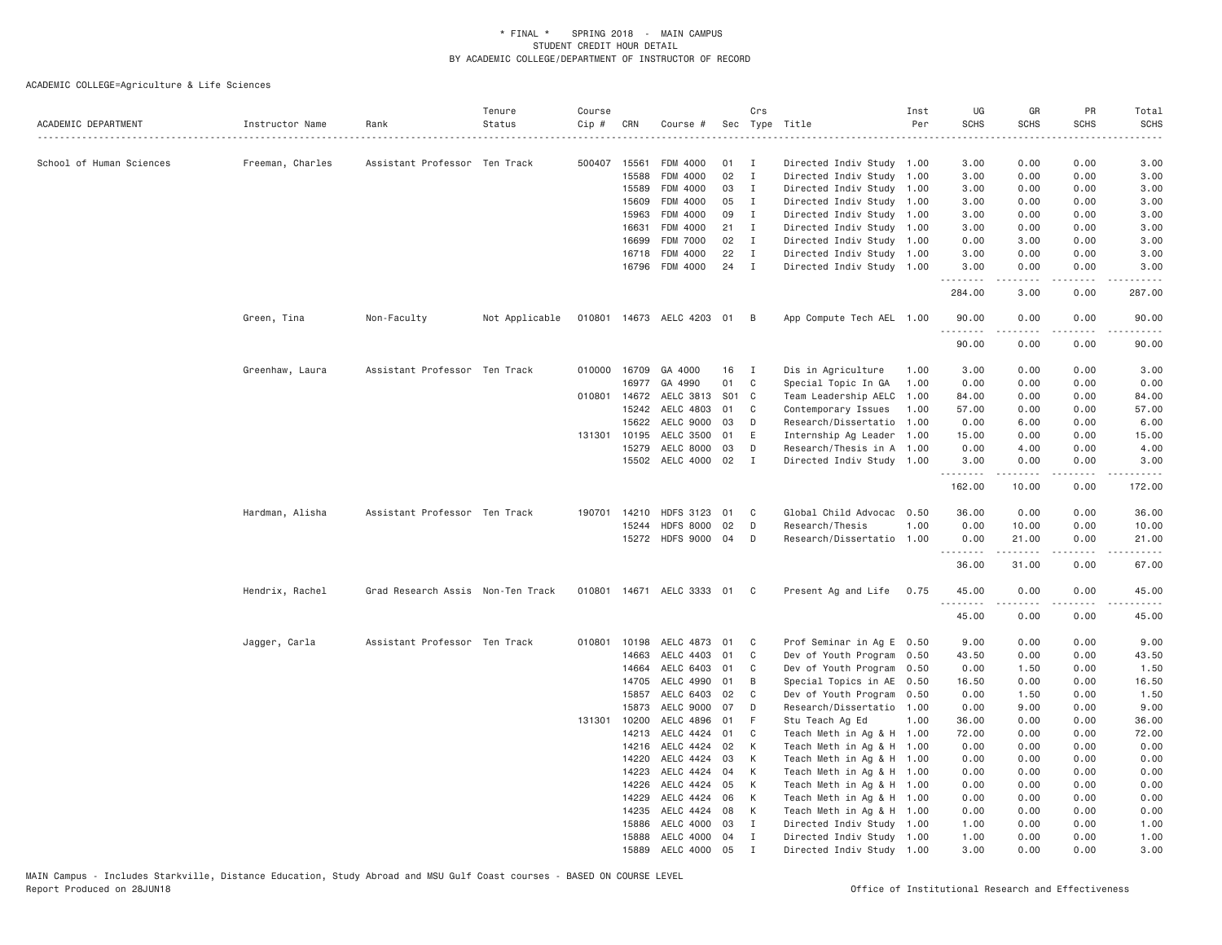| ACADEMIC DEPARTMENT      | Instructor Name  | Rank                              | Tenure<br>Status | Course<br>Cip # | CRN          | Course #                  |     | Crs               | Sec Type Title                                         | Inst<br>Per | UG<br><b>SCHS</b>    | GR<br><b>SCHS</b>                                                                                                                                            | PR<br><b>SCHS</b>                   | Total<br><b>SCHS</b>                                                                                                                                         |
|--------------------------|------------------|-----------------------------------|------------------|-----------------|--------------|---------------------------|-----|-------------------|--------------------------------------------------------|-------------|----------------------|--------------------------------------------------------------------------------------------------------------------------------------------------------------|-------------------------------------|--------------------------------------------------------------------------------------------------------------------------------------------------------------|
| School of Human Sciences |                  | Assistant Professor Ten Track     |                  |                 | 500407 15561 | FDM 4000                  | 01  |                   |                                                        |             |                      | 0.00                                                                                                                                                         | 0.00                                | 3.00                                                                                                                                                         |
|                          | Freeman, Charles |                                   |                  |                 | 15588        |                           | 02  | I<br>$\mathbf{I}$ | Directed Indiv Study 1.00                              |             | 3.00                 |                                                                                                                                                              |                                     |                                                                                                                                                              |
|                          |                  |                                   |                  |                 | 15589        | FDM 4000<br>FDM 4000      | 03  | $\mathbf{I}$      | Directed Indiv Study 1.00<br>Directed Indiv Study 1.00 |             | 3.00<br>3.00         | 0.00<br>0.00                                                                                                                                                 | 0.00<br>0.00                        | 3.00<br>3.00                                                                                                                                                 |
|                          |                  |                                   |                  |                 | 15609        | FDM 4000                  | 05  | $\mathbf{I}$      | Directed Indiv Study 1.00                              |             | 3.00                 | 0.00                                                                                                                                                         | 0.00                                | 3.00                                                                                                                                                         |
|                          |                  |                                   |                  |                 | 15963        | FDM 4000                  | 09  | I                 | Directed Indiv Study 1.00                              |             | 3.00                 | 0.00                                                                                                                                                         | 0.00                                | 3.00                                                                                                                                                         |
|                          |                  |                                   |                  |                 | 16631        | FDM 4000                  | 21  | $\mathbf I$       | Directed Indiv Study 1.00                              |             | 3.00                 | 0.00                                                                                                                                                         | 0.00                                | 3.00                                                                                                                                                         |
|                          |                  |                                   |                  |                 | 16699        | <b>FDM 7000</b>           | 02  | $\mathbf{I}$      |                                                        |             | 0.00                 | 3.00                                                                                                                                                         | 0.00                                |                                                                                                                                                              |
|                          |                  |                                   |                  |                 | 16718        | FDM 4000                  | 22  | $\mathbf{I}$      | Directed Indiv Study 1.00<br>Directed Indiv Study 1.00 |             | 3.00                 | 0.00                                                                                                                                                         | 0.00                                | 3.00<br>3.00                                                                                                                                                 |
|                          |                  |                                   |                  |                 |              |                           | 24  | $\mathbf{I}$      |                                                        |             | 3.00                 | 0.00                                                                                                                                                         | 0.00                                | 3.00                                                                                                                                                         |
|                          |                  |                                   |                  |                 |              | 16796 FDM 4000            |     |                   | Directed Indiv Study 1.00                              |             | <u>.</u>             | -----                                                                                                                                                        | .                                   | .                                                                                                                                                            |
|                          |                  |                                   |                  |                 |              |                           |     |                   |                                                        |             | 284.00               | 3.00                                                                                                                                                         | 0.00                                | 287.00                                                                                                                                                       |
|                          | Green, Tina      | Non-Faculty                       | Not Applicable   |                 |              | 010801 14673 AELC 4203 01 |     | B                 | App Compute Tech AEL 1.00                              |             | 90.00<br>2.2.2.2.2.2 | 0.00<br>.                                                                                                                                                    | 0.00<br>$\sim$ $\sim$ $\sim$ $\sim$ | 90.00                                                                                                                                                        |
|                          |                  |                                   |                  |                 |              |                           |     |                   |                                                        |             | 90.00                | 0.00                                                                                                                                                         | 0.00                                | 90.00                                                                                                                                                        |
|                          | Greenhaw, Laura  | Assistant Professor Ten Track     |                  | 010000          | 16709        | GA 4000                   | 16  | $\mathbf{I}$      | Dis in Agriculture                                     | 1.00        | 3.00                 | 0.00                                                                                                                                                         | 0.00                                | 3.00                                                                                                                                                         |
|                          |                  |                                   |                  |                 | 16977        | GA 4990                   | 01  | C                 | Special Topic In GA                                    | 1.00        | 0.00                 | 0.00                                                                                                                                                         | 0.00                                | 0.00                                                                                                                                                         |
|                          |                  |                                   |                  |                 | 010801 14672 | AELC 3813                 | S01 | C.                | Team Leadership AELC                                   | 1.00        | 84.00                | 0.00                                                                                                                                                         | 0.00                                | 84.00                                                                                                                                                        |
|                          |                  |                                   |                  |                 | 15242        | AELC 4803                 | 01  | C                 | Contemporary Issues                                    | 1.00        | 57.00                | 0.00                                                                                                                                                         | 0.00                                | 57.00                                                                                                                                                        |
|                          |                  |                                   |                  |                 | 15622        | AELC 9000                 | 03  | D                 | Research/Dissertatio                                   | 1.00        | 0.00                 | 6.00                                                                                                                                                         | 0.00                                | 6.00                                                                                                                                                         |
|                          |                  |                                   |                  |                 | 131301 10195 | AELC 3500                 | 01  | E                 | Internship Ag Leader                                   | 1.00        | 15.00                | 0.00                                                                                                                                                         | 0.00                                | 15.00                                                                                                                                                        |
|                          |                  |                                   |                  |                 | 15279        | AELC 8000                 | 03  | D                 | Research/Thesis in A 1.00                              |             | 0.00                 | 4.00                                                                                                                                                         | 0.00                                | 4.00                                                                                                                                                         |
|                          |                  |                                   |                  |                 | 15502        | AELC 4000                 | 02  | I                 | Directed Indiv Study 1.00                              |             | 3.00<br>.            | 0.00<br>$\frac{1}{2} \left( \frac{1}{2} \right) \left( \frac{1}{2} \right) \left( \frac{1}{2} \right) \left( \frac{1}{2} \right) \left( \frac{1}{2} \right)$ | 0.00<br>لأعامل                      | 3.00<br>$\frac{1}{2} \left( \frac{1}{2} \right) \left( \frac{1}{2} \right) \left( \frac{1}{2} \right) \left( \frac{1}{2} \right) \left( \frac{1}{2} \right)$ |
|                          |                  |                                   |                  |                 |              |                           |     |                   |                                                        |             | 162.00               | 10.00                                                                                                                                                        | 0.00                                | 172.00                                                                                                                                                       |
|                          | Hardman, Alisha  | Assistant Professor Ten Track     |                  | 190701          | 14210        | <b>HDFS 3123</b>          | 01  | C                 | Global Child Advocac 0.50                              |             | 36.00                | 0.00                                                                                                                                                         | 0.00                                | 36.00                                                                                                                                                        |
|                          |                  |                                   |                  |                 | 15244        | <b>HDFS 8000</b>          | 02  | D                 | Research/Thesis                                        | 1.00        | 0.00                 | 10.00                                                                                                                                                        | 0.00                                | 10.00                                                                                                                                                        |
|                          |                  |                                   |                  |                 |              | 15272 HDFS 9000 04        |     | D                 | Research/Dissertatio 1.00                              |             | 0.00<br>.            | 21.00<br>.                                                                                                                                                   | 0.00<br>.                           | 21.00<br>.                                                                                                                                                   |
|                          |                  |                                   |                  |                 |              |                           |     |                   |                                                        |             | 36.00                | 31.00                                                                                                                                                        | 0.00                                | 67.00                                                                                                                                                        |
|                          | Hendrix, Rachel  | Grad Research Assis Non-Ten Track |                  | 010801          |              | 14671 AELC 3333 01        |     | C.                | Present Ag and Life                                    | 0.75        | 45.00                | 0.00                                                                                                                                                         | 0.00                                | 45.00                                                                                                                                                        |
|                          |                  |                                   |                  |                 |              |                           |     |                   |                                                        |             | .<br>45.00           | $\frac{1}{2} \left( \frac{1}{2} \right) \left( \frac{1}{2} \right) \left( \frac{1}{2} \right) \left( \frac{1}{2} \right) \left( \frac{1}{2} \right)$<br>0.00 | لأعامل<br>0.00                      | .<br>45.00                                                                                                                                                   |
|                          | Jagger, Carla    | Assistant Professor Ten Track     |                  | 010801          | 10198        | AELC 4873 01              |     | C                 | Prof Seminar in Ag E 0.50                              |             | 9.00                 | 0.00                                                                                                                                                         | 0.00                                | 9.00                                                                                                                                                         |
|                          |                  |                                   |                  |                 | 14663        | AELC 4403                 | 01  | C                 | Dev of Youth Program 0.50                              |             | 43.50                | 0.00                                                                                                                                                         | 0.00                                | 43.50                                                                                                                                                        |
|                          |                  |                                   |                  |                 | 14664        | AELC 6403                 | 01  | C                 | Dev of Youth Program 0.50                              |             | 0.00                 | 1.50                                                                                                                                                         | 0.00                                | 1.50                                                                                                                                                         |
|                          |                  |                                   |                  |                 | 14705        | AELC 4990                 | 01  | B                 | Special Topics in AE                                   | 0.50        | 16.50                | 0.00                                                                                                                                                         | 0.00                                | 16.50                                                                                                                                                        |
|                          |                  |                                   |                  |                 | 15857        | AELC 6403                 | 02  | C                 | Dev of Youth Program                                   | 0.50        | 0.00                 | 1.50                                                                                                                                                         | 0.00                                | 1.50                                                                                                                                                         |
|                          |                  |                                   |                  |                 | 15873        | AELC 9000                 | 07  | D                 | Research/Dissertatio 1.00                              |             | 0.00                 | 9.00                                                                                                                                                         | 0.00                                | 9.00                                                                                                                                                         |
|                          |                  |                                   |                  |                 | 131301 10200 | AELC 4896                 | 01  | F                 | Stu Teach Ag Ed                                        | 1.00        | 36.00                | 0.00                                                                                                                                                         | 0.00                                | 36.00                                                                                                                                                        |
|                          |                  |                                   |                  |                 | 14213        | AELC 4424                 | 01  | C                 | Teach Meth in Ag & H 1.00                              |             | 72.00                | 0.00                                                                                                                                                         | 0.00                                | 72.00                                                                                                                                                        |
|                          |                  |                                   |                  |                 | 14216        | AELC 4424                 | 02  | К                 | Teach Meth in Ag & H 1.00                              |             | 0.00                 | 0.00                                                                                                                                                         | 0.00                                | 0.00                                                                                                                                                         |
|                          |                  |                                   |                  |                 | 14220        | AELC 4424                 | 03  | К                 | Teach Meth in Ag & H 1.00                              |             | 0.00                 | 0.00                                                                                                                                                         | 0.00                                | 0.00                                                                                                                                                         |
|                          |                  |                                   |                  |                 | 14223        | AELC 4424                 | 04  | К                 | Teach Meth in Ag & H 1.00                              |             | 0.00                 | 0.00                                                                                                                                                         | 0.00                                | 0.00                                                                                                                                                         |
|                          |                  |                                   |                  |                 | 14226        | AELC 4424                 | 05  | К                 | Teach Meth in Ag & H 1.00                              |             | 0.00                 | 0.00                                                                                                                                                         | 0.00                                | 0.00                                                                                                                                                         |
|                          |                  |                                   |                  |                 | 14229        | AELC 4424                 | 06  | К                 | Teach Meth in Ag & H 1.00                              |             | 0.00                 | 0.00                                                                                                                                                         | 0.00                                | 0.00                                                                                                                                                         |
|                          |                  |                                   |                  |                 | 14235        | AELC 4424 08              |     | К                 | Teach Meth in Ag & H 1.00                              |             | 0.00                 | 0.00                                                                                                                                                         | 0.00                                | 0.00                                                                                                                                                         |
|                          |                  |                                   |                  |                 | 15886        | AELC 4000                 | 03  | Ι.                | Directed Indiv Study 1.00                              |             | 1.00                 | 0.00                                                                                                                                                         | 0.00                                | 1.00                                                                                                                                                         |
|                          |                  |                                   |                  |                 | 15888        | AELC 4000 04              |     | Ι.                | Directed Indiv Study 1.00                              |             | 1.00                 | 0.00                                                                                                                                                         | 0.00                                | 1.00                                                                                                                                                         |
|                          |                  |                                   |                  |                 | 15889        | AELC 4000 05              |     | $\mathsf{T}$      | Directed Indiv Study 1.00                              |             | 3.00                 | 0.00                                                                                                                                                         | 0.00                                | 3,00                                                                                                                                                         |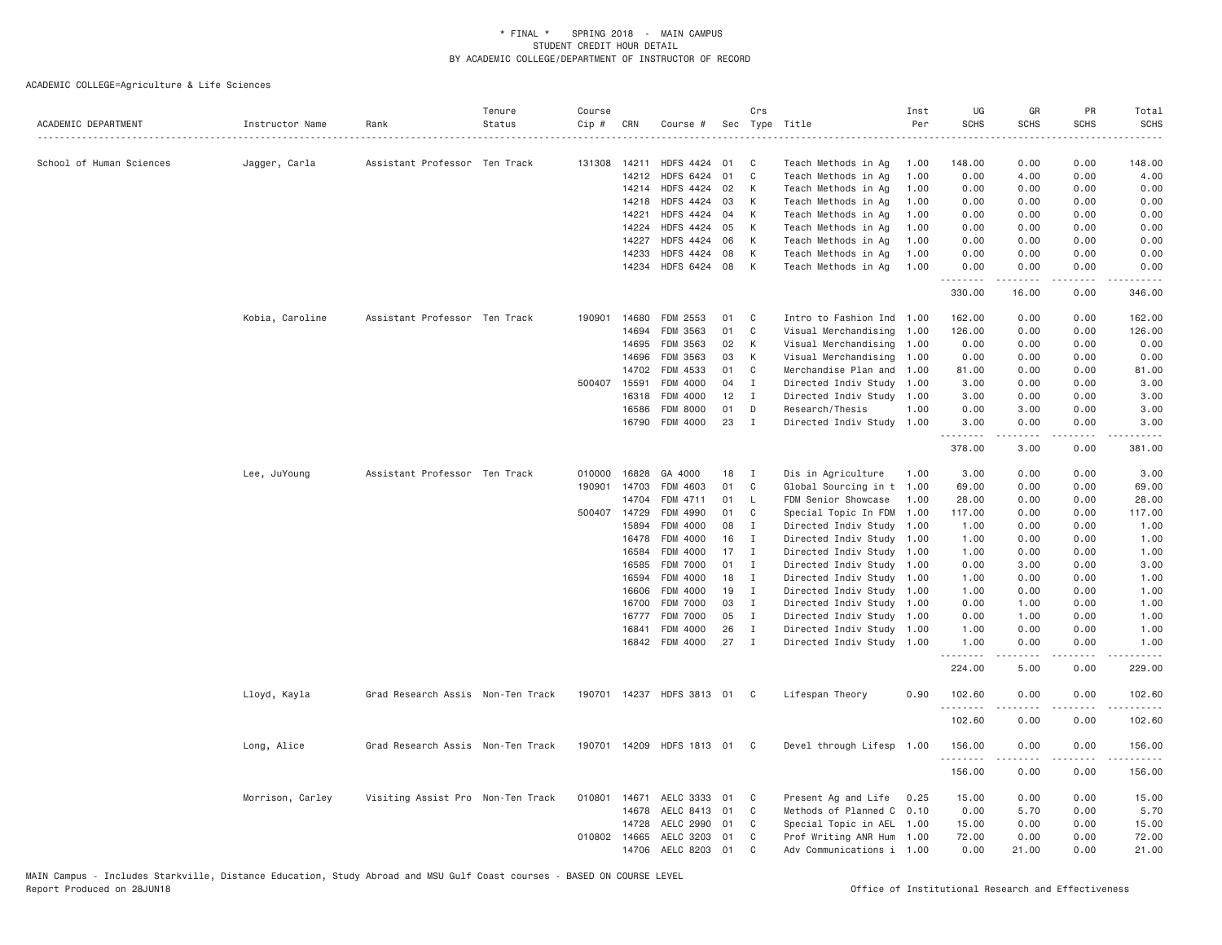| ACADEMIC DEPARTMENT      | Instructor Name  | Rank                              | Tenure<br>Status | Course<br>Cip # | CRN          | Course #                  |    | Crs            | Sec Type Title            | Inst<br>Per | UG<br><b>SCHS</b> | GR<br><b>SCHS</b> | PR<br><b>SCHS</b>     | Total<br><b>SCHS</b><br>. |
|--------------------------|------------------|-----------------------------------|------------------|-----------------|--------------|---------------------------|----|----------------|---------------------------|-------------|-------------------|-------------------|-----------------------|---------------------------|
| School of Human Sciences | Jagger, Carla    | Assistant Professor Ten Track     |                  | 131308          | 14211        | HDFS 4424 01              |    | C              | Teach Methods in Ag       | 1.00        | 148.00            | 0.00              | 0.00                  | 148.00                    |
|                          |                  |                                   |                  |                 | 14212        | <b>HDFS 6424</b>          | 01 | $\mathsf{C}$   | Teach Methods in Ag       | 1.00        | 0.00              | 4.00              | 0.00                  | 4.00                      |
|                          |                  |                                   |                  |                 | 14214        | HDFS 4424 02              |    | К              | Teach Methods in Ag       | 1.00        | 0.00              | 0.00              | 0.00                  | 0.00                      |
|                          |                  |                                   |                  |                 | 14218        | <b>HDFS 4424</b>          | 03 | К              | Teach Methods in Ag       | 1.00        | 0.00              | 0.00              | 0.00                  | 0.00                      |
|                          |                  |                                   |                  |                 | 14221        | <b>HDFS 4424</b>          | 04 | К              | Teach Methods in Ag       | 1.00        | 0.00              | 0.00              | 0.00                  | 0.00                      |
|                          |                  |                                   |                  |                 | 14224        | HDFS 4424 05              |    | К              | Teach Methods in Ag       | 1.00        | 0.00              | 0.00              | 0.00                  | 0.00                      |
|                          |                  |                                   |                  |                 | 14227        | <b>HDFS 4424</b>          | 06 | К              | Teach Methods in Ag       | 1.00        | 0.00              | 0.00              | 0.00                  | 0.00                      |
|                          |                  |                                   |                  |                 | 14233        | <b>HDFS 4424</b>          | 08 | К              | Teach Methods in Ag       | 1.00        | 0.00              | 0.00              | 0.00                  | 0.00                      |
|                          |                  |                                   |                  |                 | 14234        | HDFS 6424 08              |    | К              | Teach Methods in Ag       | 1.00        | 0.00<br>.         | 0.00<br>.         | 0.00<br>$\frac{1}{2}$ | 0.00<br>.                 |
|                          |                  |                                   |                  |                 |              |                           |    |                |                           |             | 330.00            | 16.00             | 0.00                  | 346.00                    |
|                          | Kobia, Caroline  | Assistant Professor Ten Track     |                  | 190901          | 14680        | FDM 2553                  | 01 | C              | Intro to Fashion Ind 1.00 |             | 162.00            | 0.00              | 0.00                  | 162.00                    |
|                          |                  |                                   |                  |                 | 14694        | FDM 3563                  | 01 | C              | Visual Merchandising      | 1.00        | 126.00            | 0.00              | 0.00                  | 126.00                    |
|                          |                  |                                   |                  |                 | 14695        | FDM 3563                  | 02 | К              | Visual Merchandising      | 1.00        | 0.00              | 0.00              | 0.00                  | 0.00                      |
|                          |                  |                                   |                  |                 | 14696        | FDM 3563                  | 03 | К              | Visual Merchandising 1.00 |             | 0.00              | 0.00              | 0.00                  | 0.00                      |
|                          |                  |                                   |                  |                 | 14702        | FDM 4533                  | 01 | C              | Merchandise Plan and      | 1.00        | 81.00             | 0.00              | 0.00                  | 81.00                     |
|                          |                  |                                   |                  | 500407          | 15591        | FDM 4000                  | 04 | <b>I</b>       | Directed Indiv Study      | 1.00        | 3.00              | 0.00              | 0.00                  | 3.00                      |
|                          |                  |                                   |                  |                 | 16318        | FDM 4000                  | 12 | $\mathbf I$    | Directed Indiv Study 1.00 |             | 3.00              | 0.00              | 0.00                  | 3.00                      |
|                          |                  |                                   |                  |                 | 16586        | FDM 8000                  | 01 | D              | Research/Thesis           | 1.00        | 0.00              | 3.00              | 0.00                  | 3.00                      |
|                          |                  |                                   |                  |                 | 16790        | FDM 4000                  | 23 | I              | Directed Indiv Study 1.00 |             | 3.00<br>.         | 0.00<br>.         | 0.00<br>د د د د       | 3.00<br>.                 |
|                          |                  |                                   |                  |                 |              |                           |    |                |                           |             | 378.00            | 3.00              | 0.00                  | 381.00                    |
|                          | Lee, JuYoung     | Assistant Professor Ten Track     |                  | 010000          | 16828        | GA 4000                   | 18 | Ι.             | Dis in Agriculture        | 1.00        | 3.00              | 0.00              | 0.00                  | 3.00                      |
|                          |                  |                                   |                  | 190901          | 14703        | FDM 4603                  | 01 | C              | Global Sourcing in t      | 1.00        | 69.00             | 0.00              | 0.00                  | 69.00                     |
|                          |                  |                                   |                  |                 | 14704        | FDM 4711                  | 01 | <b>L</b>       | FDM Senior Showcase       | 1.00        | 28.00             | 0.00              | 0.00                  | 28.00                     |
|                          |                  |                                   |                  |                 | 500407 14729 | FDM 4990                  | 01 | C              | Special Topic In FDM      | 1.00        | 117.00            | 0.00              | 0.00                  | 117.00                    |
|                          |                  |                                   |                  |                 | 15894        | FDM 4000                  | 08 | I              | Directed Indiv Study      | 1.00        | 1.00              | 0.00              | 0.00                  | 1.00                      |
|                          |                  |                                   |                  |                 | 16478        | FDM 4000                  | 16 | Ι.             | Directed Indiv Study      | 1.00        | 1.00              | 0.00              | 0.00                  | 1.00                      |
|                          |                  |                                   |                  |                 | 16584        | FDM 4000                  | 17 | I              | Directed Indiv Study 1.00 |             | 1.00              | 0.00              | 0.00                  | 1.00                      |
|                          |                  |                                   |                  |                 | 16585        | FDM 7000                  | 01 | Ι.             | Directed Indiv Study      | 1.00        | 0.00              | 3.00              | 0.00                  | 3.00                      |
|                          |                  |                                   |                  |                 | 16594        | FDM 4000                  | 18 | Ι.             | Directed Indiv Study 1.00 |             | 1.00              | 0.00              | 0.00                  | 1.00                      |
|                          |                  |                                   |                  |                 | 16606        | FDM 4000                  | 19 | Ι.             | Directed Indiv Study 1.00 |             | 1.00              | 0.00              | 0.00                  | 1.00                      |
|                          |                  |                                   |                  |                 | 16700        | FDM 7000                  | 03 | $\mathbf{I}$   | Directed Indiv Study 1.00 |             | 0.00              | 1.00              | 0.00                  | 1.00                      |
|                          |                  |                                   |                  |                 | 16777        | <b>FDM 7000</b>           | 05 | Ι.             | Directed Indiv Study 1.00 |             | 0.00              | 1.00              | 0.00                  | 1.00                      |
|                          |                  |                                   |                  |                 | 16841        | FDM 4000                  | 26 | Ι.             | Directed Indiv Study 1.00 |             | 1.00              | 0.00              | 0.00                  | 1.00                      |
|                          |                  |                                   |                  |                 |              | 16842 FDM 4000            | 27 | $\mathbf I$    | Directed Indiv Study 1.00 |             | 1.00<br>.         | 0.00<br>.         | 0.00<br>المتمالين     | 1.00<br>-----             |
|                          |                  |                                   |                  |                 |              |                           |    |                |                           |             | 224.00            | 5.00              | 0.00                  | 229.00                    |
|                          | Lloyd, Kayla     | Grad Research Assis Non-Ten Track |                  |                 |              | 190701 14237 HDFS 3813 01 |    | C <sub>1</sub> | Lifespan Theory           | 0.90        | 102.60<br>.       | 0.00<br>.         | 0.00<br>.             | 102.60<br>.               |
|                          |                  |                                   |                  |                 |              |                           |    |                |                           |             | 102.60            | 0.00              | 0.00                  | 102.60                    |
|                          | Long, Alice      | Grad Research Assis Non-Ten Track |                  | 190701          |              | 14209 HDFS 1813 01        |    | C <sub>1</sub> | Devel through Lifesp 1.00 |             | 156.00            | 0.00              | 0.00                  | 156.00                    |
|                          |                  |                                   |                  |                 |              |                           |    |                |                           |             | 156.00            | 0.00              | 0.00                  | 156.00                    |
|                          | Morrison, Carley | Visiting Assist Pro Non-Ten Track |                  |                 | 010801 14671 | AELC 3333 01              |    | C              | Present Ag and Life       | 0.25        | 15.00             | 0.00              | 0.00                  | 15.00                     |
|                          |                  |                                   |                  |                 | 14678        | AELC 8413                 | 01 | C              | Methods of Planned C 0.10 |             | 0.00              | 5.70              | 0.00                  | 5.70                      |
|                          |                  |                                   |                  |                 | 14728        | AELC 2990                 | 01 | C              | Special Topic in AEL      | 1.00        | 15.00             | 0.00              | 0.00                  | 15.00                     |
|                          |                  |                                   |                  | 010802          | 14665        | AELC 3203                 | 01 | C              | Prof Writing ANR Hum      | 1.00        | 72.00             | 0.00              | 0.00                  | 72.00                     |
|                          |                  |                                   |                  |                 |              | 14706 AELC 8203 01        |    | C              | Adv Communications i 1.00 |             | 0.00              | 21.00             | 0.00                  | 21.00                     |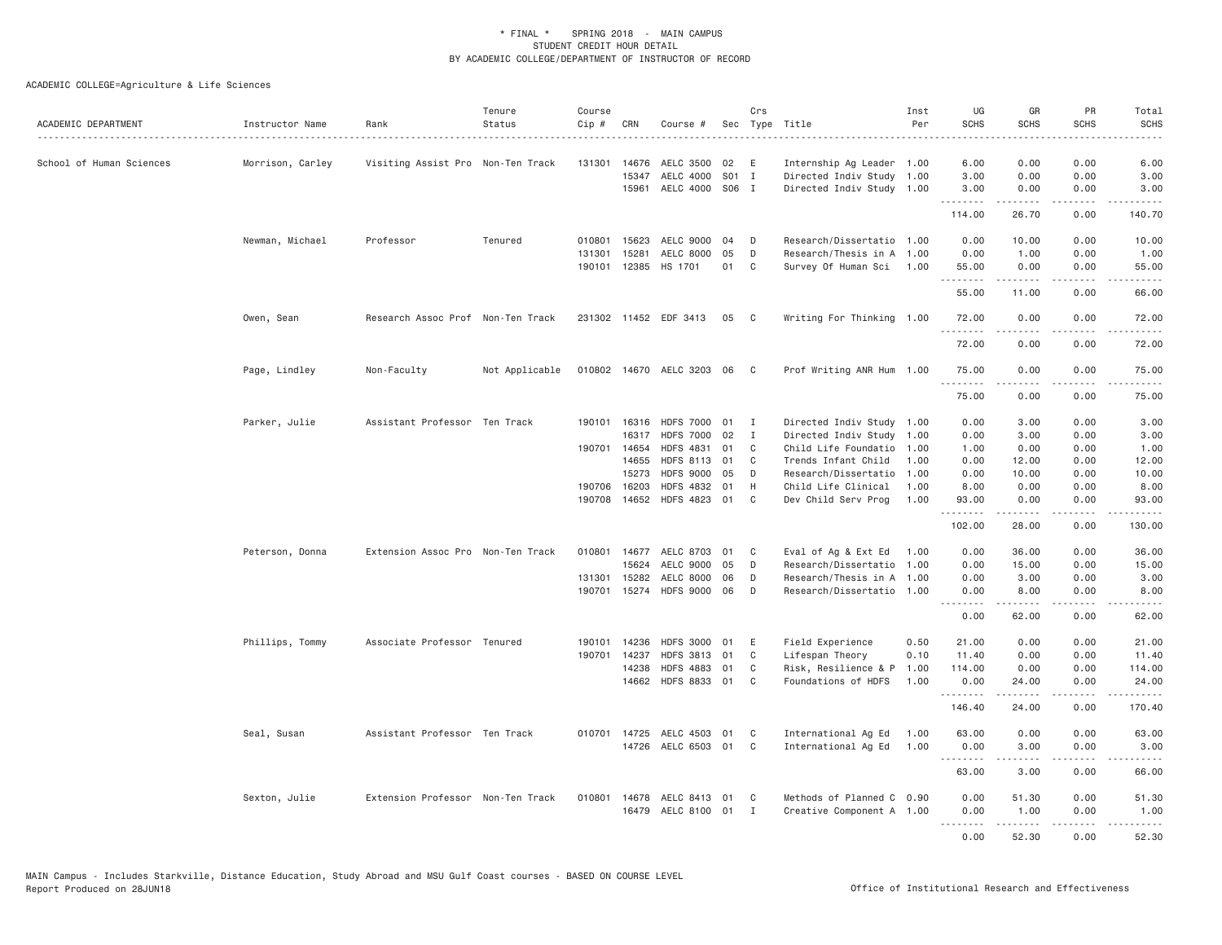| ACADEMIC DEPARTMENT      | Instructor Name  | Rank                              | Tenure<br>Status | Course<br>Cip # | CRN          | Course #                  | Sec   | Crs          | Type Title                | Inst<br>Per | UG<br><b>SCHS</b> | GR<br><b>SCHS</b>                                                                                                                                            | PR<br><b>SCHS</b>            | Total<br><b>SCHS</b>                |
|--------------------------|------------------|-----------------------------------|------------------|-----------------|--------------|---------------------------|-------|--------------|---------------------------|-------------|-------------------|--------------------------------------------------------------------------------------------------------------------------------------------------------------|------------------------------|-------------------------------------|
| School of Human Sciences | Morrison, Carley | Visiting Assist Pro Non-Ten Track |                  | 131301          | 14676        | AELC 3500                 | 02    | E            | Internship Ag Leader 1.00 |             | 6.00              | 0.00                                                                                                                                                         | 0.00                         | 6.00                                |
|                          |                  |                                   |                  |                 | 15347        | AELC 4000                 | S01 I |              | Directed Indiv Study 1.00 |             | 3.00              | 0.00                                                                                                                                                         | 0.00                         | 3.00                                |
|                          |                  |                                   |                  |                 | 15961        | AELC 4000 S06 I           |       |              | Directed Indiv Study 1.00 |             | 3.00              | 0.00                                                                                                                                                         | 0.00                         | 3.00                                |
|                          |                  |                                   |                  |                 |              |                           |       |              |                           |             | 114.00            | .<br>26.70                                                                                                                                                   | .<br>0.00                    | 2.2.2.2.2.<br>140.70                |
|                          | Newman, Michael  | Professor                         | Tenured          | 010801          | 15623        | AELC 9000                 | 04    | D            | Research/Dissertatio 1.00 |             | 0.00              | 10.00                                                                                                                                                        | 0.00                         | 10.00                               |
|                          |                  |                                   |                  | 131301          | 15281        | AELC 8000                 | 05    | D            | Research/Thesis in A 1.00 |             | 0.00              | 1.00                                                                                                                                                         | 0.00                         | 1.00                                |
|                          |                  |                                   |                  |                 |              | 190101 12385 HS 1701      | 01    | C            | Survey Of Human Sci 1.00  |             | 55.00<br>.        | 0.00<br>.                                                                                                                                                    | 0.00<br>.                    | 55.00<br>.                          |
|                          |                  |                                   |                  |                 |              |                           |       |              |                           |             | 55.00             | 11.00                                                                                                                                                        | 0.00                         | 66.00                               |
|                          | Owen, Sean       | Research Assoc Prof Non-Ten Track |                  |                 |              | 231302 11452 EDF 3413     | 05    | - C          | Writing For Thinking 1.00 |             | 72.00<br>.        | 0.00<br>$\frac{1}{2} \left( \frac{1}{2} \right) \left( \frac{1}{2} \right) \left( \frac{1}{2} \right) \left( \frac{1}{2} \right) \left( \frac{1}{2} \right)$ | 0.00<br>د د د د              | 72.00<br>.                          |
|                          |                  |                                   |                  |                 |              |                           |       |              |                           |             | 72.00             | 0.00                                                                                                                                                         | 0.00                         | 72.00                               |
|                          | Page, Lindley    | Non-Faculty                       | Not Applicable   |                 |              | 010802 14670 AELC 3203 06 |       | $\mathbf{C}$ | Prof Writing ANR Hum 1.00 |             | 75.00<br>.        | 0.00                                                                                                                                                         | 0.00                         | 75.00                               |
|                          |                  |                                   |                  |                 |              |                           |       |              |                           |             | 75.00             | 0.00                                                                                                                                                         | 0.00                         | 75.00                               |
|                          | Parker, Julie    | Assistant Professor Ten Track     |                  |                 | 190101 16316 | <b>HDFS 7000</b>          | 01    | I            | Directed Indiv Study 1.00 |             | 0.00              | 3.00                                                                                                                                                         | 0.00                         | 3.00                                |
|                          |                  |                                   |                  |                 | 16317        | <b>HDFS 7000</b>          | 02    | $\mathbf{I}$ | Directed Indiv Study 1.00 |             | 0.00              | 3.00                                                                                                                                                         | 0.00                         | 3.00                                |
|                          |                  |                                   |                  |                 | 190701 14654 | <b>HDFS 4831</b>          | 01    | C            | Child Life Foundatio      | 1.00        | 1.00              | 0.00                                                                                                                                                         | 0.00                         | 1.00                                |
|                          |                  |                                   |                  |                 | 14655        | HDFS 8113 01              |       | C            | Trends Infant Child       | 1.00        | 0.00              | 12.00                                                                                                                                                        | 0.00                         | 12.00                               |
|                          |                  |                                   |                  |                 | 15273        | <b>HDFS 9000</b>          | 05    | D            | Research/Dissertatio      | 1.00        | 0.00              | 10.00                                                                                                                                                        | 0.00                         | 10.00                               |
|                          |                  |                                   |                  |                 | 190706 16203 | <b>HDFS 4832</b>          | 01    | H            | Child Life Clinical       | 1,00        | 8.00              | 0.00                                                                                                                                                         | 0.00                         | 8.00                                |
|                          |                  |                                   |                  |                 |              | 190708 14652 HDFS 4823 01 |       | C            | Dev Child Serv Prog       | 1.00        | 93.00<br><u>.</u> | 0.00                                                                                                                                                         | 0.00<br>.                    | 93.00<br>.                          |
|                          |                  |                                   |                  |                 |              |                           |       |              |                           |             | 102.00            | 28.00                                                                                                                                                        | 0.00                         | 130.00                              |
|                          | Peterson, Donna  | Extension Assoc Pro Non-Ten Track |                  |                 |              | 010801 14677 AELC 8703    | 01    | C            | Eval of Ag & Ext Ed 1.00  |             | 0.00              | 36.00                                                                                                                                                        | 0.00                         | 36.00                               |
|                          |                  |                                   |                  |                 | 15624        | AELC 9000                 | 05    | D            | Research/Dissertatio      | 1.00        | 0.00              | 15.00                                                                                                                                                        | 0.00                         | 15.00                               |
|                          |                  |                                   |                  | 131301          | 15282        | AELC 8000                 | 06    | D            | Research/Thesis in A 1.00 |             | 0.00              | 3.00                                                                                                                                                         | 0.00                         | 3.00                                |
|                          |                  |                                   |                  |                 |              | 190701 15274 HDFS 9000 06 |       | D            | Research/Dissertatio 1.00 |             | 0.00<br>.         | 8.00<br>.                                                                                                                                                    | 0.00<br>.                    | 8.00<br>.                           |
|                          |                  |                                   |                  |                 |              |                           |       |              |                           |             | 0.00              | 62.00                                                                                                                                                        | 0.00                         | 62.00                               |
|                          | Phillips, Tommy  | Associate Professor Tenured       |                  | 190101          | 14236        | <b>HDFS 3000</b>          | 01    | E            | Field Experience          | 0.50        | 21.00             | 0.00                                                                                                                                                         | 0.00                         | 21.00                               |
|                          |                  |                                   |                  | 190701          | 14237        | <b>HDFS 3813</b>          | 01    | C            | Lifespan Theory           | 0.10        | 11.40             | 0.00                                                                                                                                                         | 0.00                         | 11.40                               |
|                          |                  |                                   |                  |                 | 14238        | <b>HDFS 4883</b>          | 01    | C            | Risk, Resilience & P      | 1.00        | 114.00            | 0.00                                                                                                                                                         | 0.00                         | 114.00                              |
|                          |                  |                                   |                  |                 |              | 14662 HDFS 8833 01        |       | C            | Foundations of HDFS       | 1.00        | 0.00<br>.         | 24.00<br>-----                                                                                                                                               | 0.00<br>$\sim$ $\sim$ $\sim$ | 24.00                               |
|                          |                  |                                   |                  |                 |              |                           |       |              |                           |             | 146.40            | 24.00                                                                                                                                                        | 0.00                         | 170.40                              |
|                          | Seal, Susan      | Assistant Professor Ten Track     |                  |                 |              | 010701 14725 AELC 4503 01 |       | C            | International Ag Ed       | 1.00        | 63.00             | 0.00                                                                                                                                                         | 0.00                         | 63.00                               |
|                          |                  |                                   |                  |                 | 14726        | AELC 6503                 | 01    | C            | International Ag Ed       | 1.00        | 0.00<br>.         | 3.00<br>-----                                                                                                                                                | 0.00<br>لأعامل               | 3.00<br>$\sim$ $\sim$ $\sim$ $\sim$ |
|                          |                  |                                   |                  |                 |              |                           |       |              |                           |             | 63.00             | 3.00                                                                                                                                                         | 0.00                         | 66.00                               |
|                          | Sexton, Julie    | Extension Professor Non-Ten Track |                  | 010801 14678    |              | AELC 8413                 | 01    | C            | Methods of Planned C 0.90 |             | 0.00              | 51.30                                                                                                                                                        | 0.00                         | 51.30                               |
|                          |                  |                                   |                  |                 |              | 16479 AELC 8100 01        |       | $\mathbf{I}$ | Creative Component A 1.00 |             | 0.00              | 1.00                                                                                                                                                         | 0.00                         | 1.00                                |
|                          |                  |                                   |                  |                 |              |                           |       |              |                           |             | 0.00              | .<br>52.30                                                                                                                                                   | .<br>0.00                    | .<br>52.30                          |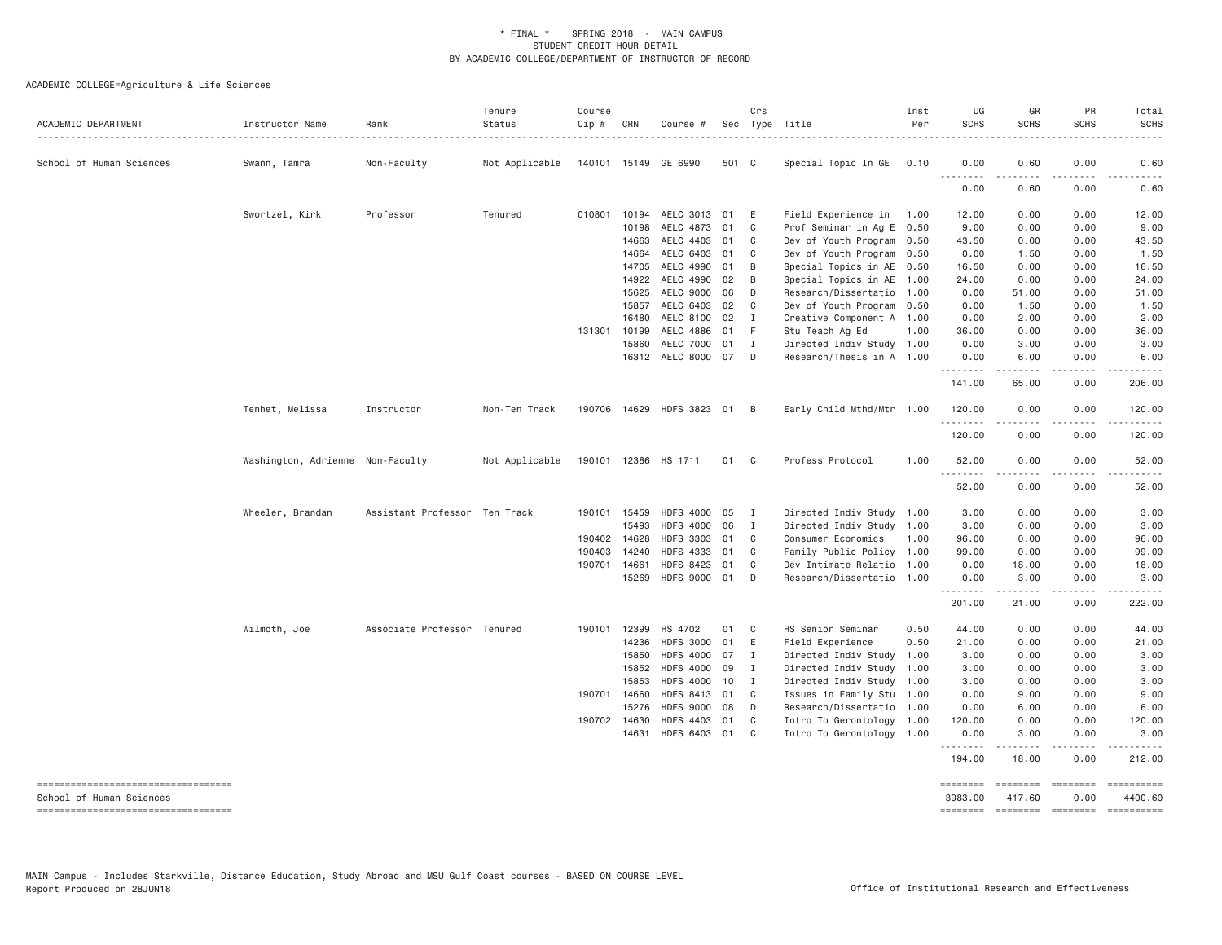| ACADEMIC DEPARTMENT                                             | Instructor Name                  | Rank                          | Tenure<br>Status | Course<br>Cip # | CRN          | Course #                    |       | Crs            | Sec Type Title            | Inst<br>Per | UG<br><b>SCHS</b>                | GR<br><b>SCHS</b>                                                                                                   | PR<br><b>SCHS</b>  | Total<br><b>SCHS</b>  |
|-----------------------------------------------------------------|----------------------------------|-------------------------------|------------------|-----------------|--------------|-----------------------------|-------|----------------|---------------------------|-------------|----------------------------------|---------------------------------------------------------------------------------------------------------------------|--------------------|-----------------------|
| School of Human Sciences                                        | Swann, Tamra                     | Non-Faculty                   | Not Applicable   |                 |              | 140101 15149 GE 6990        | 501 C |                | Special Topic In GE 0.10  |             | 0.00<br>$\sim$ $\sim$ $\sim$     | 0.60                                                                                                                | 0.00               | 0.60                  |
|                                                                 |                                  |                               |                  |                 |              |                             |       |                |                           |             | 0.00                             | 0.60                                                                                                                | 0.00               | 0.60                  |
|                                                                 | Swortzel, Kirk                   | Professor                     | Tenured          |                 |              | 010801 10194 AELC 3013      | 01    | E              | Field Experience in 1.00  |             | 12.00                            | 0.00                                                                                                                | 0.00               | 12.00                 |
|                                                                 |                                  |                               |                  |                 | 10198        | AELC 4873                   | 01    | C              | Prof Seminar in Ag E 0.50 |             | 9.00                             | 0.00                                                                                                                | 0.00               | 9.00                  |
|                                                                 |                                  |                               |                  |                 | 14663        | AELC 4403                   | 01    | C <sub>1</sub> | Dev of Youth Program 0.50 |             | 43.50                            | 0.00                                                                                                                | 0.00               | 43.50                 |
|                                                                 |                                  |                               |                  |                 | 14664        | AELC 6403                   | 01    | C              | Dev of Youth Program 0.50 |             | 0.00                             | 1.50                                                                                                                | 0.00               | 1.50                  |
|                                                                 |                                  |                               |                  |                 | 14705        | AELC 4990                   | 01    | B              | Special Topics in AE 0.50 |             | 16.50                            | 0.00                                                                                                                | 0.00               | 16.50                 |
|                                                                 |                                  |                               |                  |                 | 14922        | AELC 4990                   | 02    | $\overline{B}$ | Special Topics in AE 1.00 |             | 24.00                            | 0.00                                                                                                                | 0.00               | 24.00                 |
|                                                                 |                                  |                               |                  |                 | 15625        | AELC 9000                   | 06    | D              | Research/Dissertatio 1.00 |             | 0.00                             | 51.00                                                                                                               | 0.00               | 51.00                 |
|                                                                 |                                  |                               |                  |                 | 15857        | AELC 6403                   | 02    | C <sub>c</sub> | Dev of Youth Program 0.50 |             | 0.00                             | 1.50                                                                                                                | 0.00               | 1.50                  |
|                                                                 |                                  |                               |                  |                 | 16480        | AELC 8100                   | 02    | $\mathbf I$    | Creative Component A 1.00 |             | 0.00                             | 2.00                                                                                                                | 0.00               | 2.00                  |
|                                                                 |                                  |                               |                  |                 | 131301 10199 | AELC 4886                   | 01    | - F            | Stu Teach Ag Ed           | 1.00        | 36.00                            | 0.00                                                                                                                | 0.00               | 36.00                 |
|                                                                 |                                  |                               |                  |                 | 15860        | <b>AELC 7000</b>            | 01    | $\blacksquare$ | Directed Indiv Study 1.00 |             | 0.00                             | 3.00                                                                                                                | 0.00               | 3.00                  |
|                                                                 |                                  |                               |                  |                 |              | 16312 AELC 8000 07          |       | D              | Research/Thesis in A 1.00 |             | 0.00<br>.                        | 6.00<br>.                                                                                                           | 0.00<br>.          | 6.00<br>.             |
|                                                                 |                                  |                               |                  |                 |              |                             |       |                |                           |             | 141.00                           | 65.00                                                                                                               | 0.00               | 206.00                |
|                                                                 | Tenhet, Melissa                  | Instructor                    | Non-Ten Track    |                 |              | 190706 14629 HDFS 3823 01 B |       |                | Early Child Mthd/Mtr 1.00 |             | 120.00<br>.                      | 0.00                                                                                                                | 0.00               | 120.00                |
|                                                                 |                                  |                               |                  |                 |              |                             |       |                |                           |             | 120.00                           | 0.00                                                                                                                | 0.00               | 120.00                |
|                                                                 | Washington, Adrienne Non-Faculty |                               | Not Applicable   |                 |              | 190101 12386 HS 1711        | 01 C  |                | Profess Protocol          | 1.00        | 52.00<br><u> - - - - - - - -</u> | 0.00<br>.                                                                                                           | 0.00<br>.          | 52.00<br>.            |
|                                                                 |                                  |                               |                  |                 |              |                             |       |                |                           |             | 52.00                            | 0.00                                                                                                                | 0.00               | 52.00                 |
|                                                                 | Wheeler, Brandan                 | Assistant Professor Ten Track |                  |                 | 190101 15459 | <b>HDFS 4000</b>            | 05    | $\mathbf{I}$   | Directed Indiv Study 1.00 |             | 3.00                             | 0.00                                                                                                                | 0.00               | 3.00                  |
|                                                                 |                                  |                               |                  |                 | 15493        | <b>HDFS 4000</b>            | 06    | $\mathbf{I}$   | Directed Indiv Study 1.00 |             | 3.00                             | 0.00                                                                                                                | 0.00               | 3.00                  |
|                                                                 |                                  |                               |                  |                 | 190402 14628 | <b>HDFS 3303</b>            | 01    | $\mathbf{C}$   | Consumer Economics        | 1.00        | 96.00                            | 0.00                                                                                                                | 0.00               | 96.00                 |
|                                                                 |                                  |                               |                  | 190403          | 14240        | <b>HDFS 4333</b>            | 01    | C.             | Family Public Policy 1.00 |             | 99.00                            | 0.00                                                                                                                | 0.00               | 99.00                 |
|                                                                 |                                  |                               |                  | 190701 14661    |              | <b>HDFS 8423</b>            | 01    | $\mathbf{C}$   | Dev Intimate Relatio 1.00 |             | 0.00                             | 18.00                                                                                                               | 0.00               | 18.00                 |
|                                                                 |                                  |                               |                  |                 | 15269        | HDFS 9000 01                |       | $\Box$         | Research/Dissertatio 1.00 |             | 0.00                             | 3.00<br>$\begin{array}{cccccccccc} \bullet & \bullet & \bullet & \bullet & \bullet & \bullet & \bullet \end{array}$ | 0.00<br>.          | 3.00                  |
|                                                                 |                                  |                               |                  |                 |              |                             |       |                |                           |             | 201.00                           | 21.00                                                                                                               | 0.00               | 222.00                |
|                                                                 | Wilmoth, Joe                     | Associate Professor Tenured   |                  |                 | 190101 12399 | HS 4702                     | 01    | C <sub>1</sub> | HS Senior Seminar         | 0.50        | 44.00                            | 0.00                                                                                                                | 0.00               | 44.00                 |
|                                                                 |                                  |                               |                  |                 | 14236        | <b>HDFS 3000</b>            | 01    | E              | Field Experience          | 0.50        | 21.00                            | 0.00                                                                                                                | 0.00               | 21.00                 |
|                                                                 |                                  |                               |                  |                 | 15850        | <b>HDFS 4000</b>            | 07    | I              | Directed Indiv Study      | 1.00        | 3.00                             | 0.00                                                                                                                | 0.00               | 3.00                  |
|                                                                 |                                  |                               |                  |                 | 15852        | <b>HDFS 4000</b>            | 09    | I              | Directed Indiv Study 1.00 |             | 3.00                             | 0.00                                                                                                                | 0.00               | 3.00                  |
|                                                                 |                                  |                               |                  |                 | 15853        | <b>HDFS 4000</b>            | 10    | $\mathbf{I}$   | Directed Indiv Study 1.00 |             | 3.00                             | 0.00                                                                                                                | 0.00               | 3.00                  |
|                                                                 |                                  |                               |                  |                 | 190701 14660 | <b>HDFS 8413</b>            | 01    | C              | Issues in Family Stu 1.00 |             | 0.00                             | 9.00                                                                                                                | 0.00               | 9.00                  |
|                                                                 |                                  |                               |                  |                 | 15276        | <b>HDFS 9000</b>            | 08    | D              | Research/Dissertatio 1.00 |             | 0.00                             | 6.00                                                                                                                | 0.00               | 6.00                  |
|                                                                 |                                  |                               |                  |                 | 190702 14630 | <b>HDFS 4403</b>            | 01    | $\mathbf{C}$   | Intro To Gerontology 1.00 |             | 120.00                           | 0.00                                                                                                                | 0.00               | 120.00                |
|                                                                 |                                  |                               |                  |                 | 14631        | <b>HDFS 6403</b>            | 01    | $\mathbf{C}$   | Intro To Gerontology 1.00 |             | 0.00<br>.                        | 3.00                                                                                                                | 0.00               | 3.00                  |
|                                                                 |                                  |                               |                  |                 |              |                             |       |                |                           |             | 194.00                           | 18.00                                                                                                               | 0.00               | 212.00                |
| -----------------------------------<br>School of Human Sciences |                                  |                               |                  |                 |              |                             |       |                |                           |             | 3983.00                          | ========<br>417.60                                                                                                  | ========<br>0.00   | ==========<br>4400.60 |
| -----------------------------------                             |                                  |                               |                  |                 |              |                             |       |                |                           |             | ========                         |                                                                                                                     | ================== | ==========            |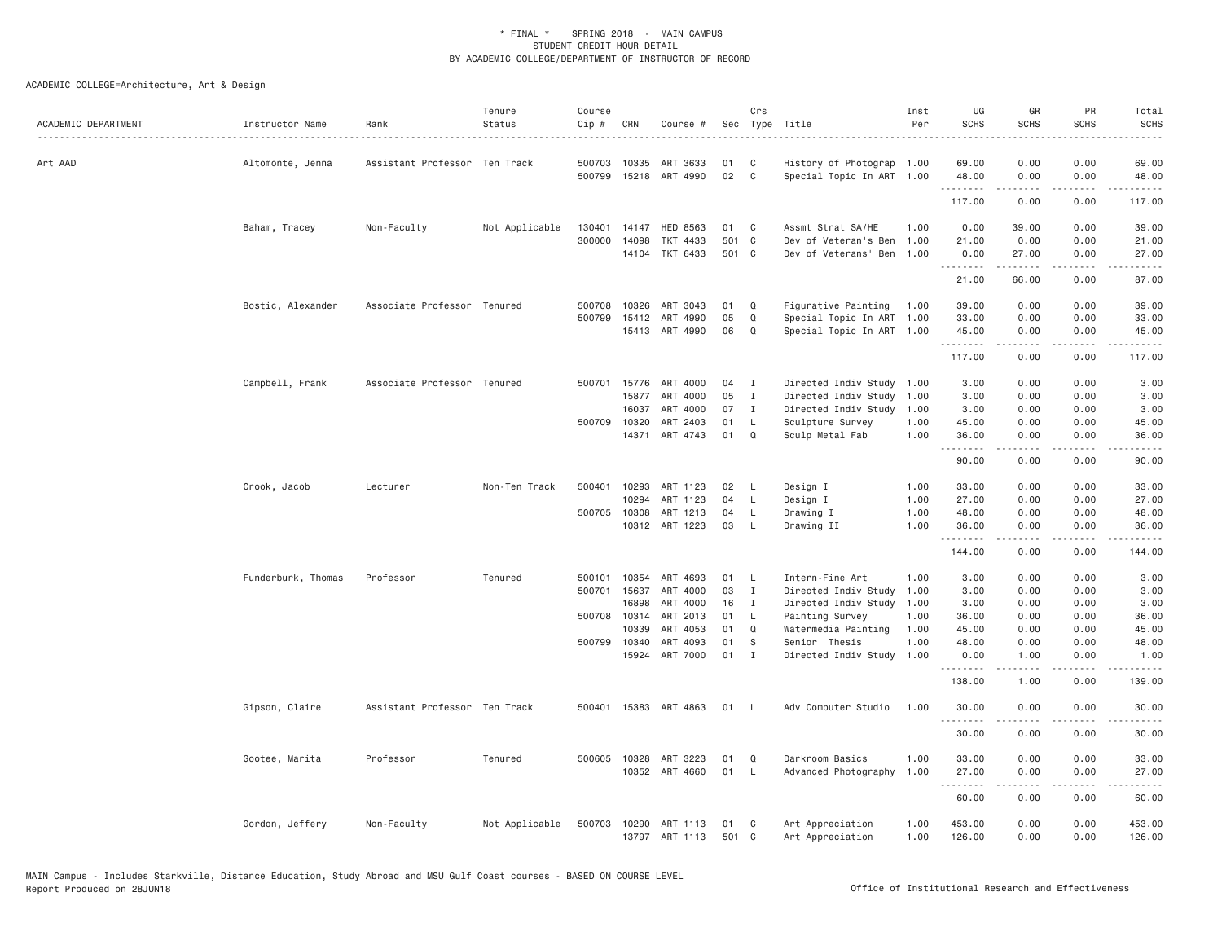| ACADEMIC DEPARTMENT | Instructor Name    | Rank                          | Tenure<br>Status | Course<br>Cip # | CRN            | Course #                   | Sec         | Crs              | Type Title                            | Inst<br>Per  | UG<br><b>SCHS</b> | GR<br><b>SCHS</b>                                                                                                                                                                       | PR<br><b>SCHS</b> | Total<br><b>SCHS</b> |
|---------------------|--------------------|-------------------------------|------------------|-----------------|----------------|----------------------------|-------------|------------------|---------------------------------------|--------------|-------------------|-----------------------------------------------------------------------------------------------------------------------------------------------------------------------------------------|-------------------|----------------------|
| Art AAD             | Altomonte, Jenna   | Assistant Professor Ten Track |                  | 500703          | 10335          | ART 3633                   | 01          | C                | History of Photograp 1.00             |              | 69.00             | 0.00                                                                                                                                                                                    | 0.00              | 69.00                |
|                     |                    |                               |                  | 500799          |                | 15218 ART 4990             | 02          | $\mathsf{C}$     | Special Topic In ART 1.00             |              | 48.00<br>.        | 0.00<br>$\frac{1}{2} \left( \frac{1}{2} \right) \left( \frac{1}{2} \right) \left( \frac{1}{2} \right) \left( \frac{1}{2} \right) \left( \frac{1}{2} \right) \left( \frac{1}{2} \right)$ | 0.00<br>المتمامين | 48.00<br>-----       |
|                     |                    |                               |                  |                 |                |                            |             |                  |                                       |              | 117.00            | 0.00                                                                                                                                                                                    | 0.00              | 117.00               |
|                     | Baham, Tracey      | Non-Faculty                   | Not Applicable   | 130401          | 14147          | HED 8563                   | 01          | C                | Assmt Strat SA/HE                     | 1,00         | 0.00              | 39.00                                                                                                                                                                                   | 0.00              | 39.00                |
|                     |                    |                               |                  | 300000          | 14098          | TKT 4433                   | 501         | C                | Dev of Veteran's Ben                  | 1.00         | 21.00             | 0.00                                                                                                                                                                                    | 0.00              | 21.00                |
|                     |                    |                               |                  |                 | 14104          | TKT 6433                   | 501 C       |                  | Dev of Veterans' Ben 1.00             |              | 0.00<br>.         | 27.00<br>$\frac{1}{2} \left( \frac{1}{2} \right) \left( \frac{1}{2} \right) \left( \frac{1}{2} \right) \left( \frac{1}{2} \right) \left( \frac{1}{2} \right)$                           | 0.00<br>.         | 27.00<br>.           |
|                     |                    |                               |                  |                 |                |                            |             |                  |                                       |              | 21.00             | 66.00                                                                                                                                                                                   | 0.00              | 87.00                |
|                     | Bostic, Alexander  | Associate Professor Tenured   |                  | 500708          | 10326          | ART 3043                   | 01          | Q                | Figurative Painting                   | 1.00         | 39.00             | 0.00                                                                                                                                                                                    | 0.00              | 39.00                |
|                     |                    |                               |                  | 500799          | 15412          | ART 4990                   | 05          | Q                | Special Topic In ART                  | 1.00         | 33.00             | 0.00                                                                                                                                                                                    | 0.00              | 33.00                |
|                     |                    |                               |                  |                 |                | 15413 ART 4990             | 06          | Q                | Special Topic In ART 1.00             |              | 45.00<br>.        | 0.00<br>-----                                                                                                                                                                           | 0.00<br>.         | 45.00                |
|                     |                    |                               |                  |                 |                |                            |             |                  |                                       |              | 117.00            | 0.00                                                                                                                                                                                    | 0.00              | 117.00               |
|                     | Campbell, Frank    | Associate Professor Tenured   |                  | 500701          | 15776          | ART 4000                   | 04          | $\mathbf{I}$     | Directed Indiv Study 1.00             |              | 3.00              | 0.00                                                                                                                                                                                    | 0.00              | 3.00                 |
|                     |                    |                               |                  |                 | 15877          | ART 4000                   | 05          | $\mathbf{I}$     | Directed Indiv Study                  | 1.00         | 3.00              | 0.00                                                                                                                                                                                    | 0.00              | 3.00                 |
|                     |                    |                               |                  |                 | 16037          | ART 4000                   | 07          | $\mathbf{I}$     | Directed Indiv Study                  | 1.00         | 3.00              | 0.00                                                                                                                                                                                    | 0.00              | 3.00                 |
|                     |                    |                               |                  | 500709          | 10320          | ART 2403                   | 01          | L                | Sculpture Survey                      | 1.00         | 45.00             | 0.00                                                                                                                                                                                    | 0.00              | 45.00                |
|                     |                    |                               |                  |                 |                | 14371 ART 4743             | 01          | $\Omega$         | Sculp Metal Fab                       | 1.00         | 36.00<br>.        | 0.00<br>.                                                                                                                                                                               | 0.00<br>.         | 36.00<br>.           |
|                     |                    |                               |                  |                 |                |                            |             |                  |                                       |              | 90.00             | 0.00                                                                                                                                                                                    | 0.00              | 90.00                |
|                     | Crook, Jacob       | Lecturer                      | Non-Ten Track    | 500401          | 10293          | ART 1123                   | 02          | - L              | Design I                              | 1.00         | 33.00             | 0.00                                                                                                                                                                                    | 0.00              | 33.00                |
|                     |                    |                               |                  |                 | 10294          | ART 1123                   | 04          | L                | Design I                              | 1.00         | 27.00             | 0.00                                                                                                                                                                                    | 0.00              | 27.00                |
|                     |                    |                               |                  | 500705 10308    |                | ART 1213                   | 04          | L.               | Drawing I                             | 1.00         | 48.00             | 0.00                                                                                                                                                                                    | 0.00              | 48.00                |
|                     |                    |                               |                  |                 |                | 10312 ART 1223             | 03          | L                | Drawing II                            | 1.00         | 36.00<br>.        | 0.00<br><u>.</u>                                                                                                                                                                        | 0.00<br>.         | 36.00<br>.           |
|                     |                    |                               |                  |                 |                |                            |             |                  |                                       |              | 144.00            | 0.00                                                                                                                                                                                    | 0.00              | 144.00               |
|                     | Funderburk, Thomas | Professor                     | Tenured          | 500101          | 10354          | ART 4693                   | 01          | L.               | Intern-Fine Art                       | 1.00         | 3.00              | 0.00                                                                                                                                                                                    | 0.00              | 3.00                 |
|                     |                    |                               |                  | 500701          | 15637          | ART 4000                   | 03          | $\mathbf{I}$     | Directed Indiv Study                  | 1.00         | 3.00              | 0.00                                                                                                                                                                                    | 0.00              | 3.00                 |
|                     |                    |                               |                  |                 | 16898          | ART 4000                   | 16          | I                | Directed Indiv Study                  | 1.00         | 3.00              | 0.00                                                                                                                                                                                    | 0.00              | 3.00                 |
|                     |                    |                               |                  | 500708 10314    |                | ART 2013                   | 01          | $\mathsf{L}$     | Painting Survey                       | 1.00         | 36.00             | 0.00                                                                                                                                                                                    | 0.00              | 36.00                |
|                     |                    |                               |                  |                 | 10339          | ART 4053                   | 01          | Q                | Watermedia Painting                   | 1.00         | 45.00             | 0.00                                                                                                                                                                                    | 0.00              | 45.00                |
|                     |                    |                               |                  | 500799          | 10340<br>15924 | ART 4093<br>ART 7000       | 01<br>01    | S<br>$\mathbf I$ | Senior Thesis<br>Directed Indiv Study | 1.00<br>1.00 | 48.00<br>0.00     | 0.00<br>1.00                                                                                                                                                                            | 0.00<br>0.00      | 48.00<br>1.00        |
|                     |                    |                               |                  |                 |                |                            |             |                  |                                       |              | .<br>138.00       | $\frac{1}{2} \left( \frac{1}{2} \right) \left( \frac{1}{2} \right) \left( \frac{1}{2} \right) \left( \frac{1}{2} \right) \left( \frac{1}{2} \right)$<br>1.00                            | .<br>0.00         | .<br>139.00          |
|                     | Gipson, Claire     | Assistant Professor Ten Track |                  | 500401          | 15383          | ART 4863                   | 01          | L.               | Adv Computer Studio                   | 1.00         | 30.00             | 0.00                                                                                                                                                                                    | 0.00              | 30.00                |
|                     |                    |                               |                  |                 |                |                            |             |                  |                                       |              | 30.00             | 0.00                                                                                                                                                                                    | 0.00              | 30.00                |
|                     |                    |                               |                  |                 |                |                            |             |                  |                                       |              |                   |                                                                                                                                                                                         |                   |                      |
|                     | Gootee, Marita     | Professor                     | Tenured          | 500605          | 10328          | ART 3223                   | 01          | Q                | Darkroom Basics                       | 1.00         | 33.00             | 0.00                                                                                                                                                                                    | 0.00              | 33.00                |
|                     |                    |                               |                  |                 |                | 10352 ART 4660             | 01          | $\mathsf{L}$     | Advanced Photography                  | 1.00         | 27.00<br>.        | 0.00<br>.                                                                                                                                                                               | 0.00<br>.         | 27.00                |
|                     |                    |                               |                  |                 |                |                            |             |                  |                                       |              | 60.00             | 0.00                                                                                                                                                                                    | 0.00              | 60.00                |
|                     | Gordon, Jeffery    | Non-Faculty                   | Not Applicable   | 500703          | 10290          | ART 1113<br>13797 ART 1113 | 01<br>501 C | C                | Art Appreciation<br>Art Appreciation  | 1.00<br>1.00 | 453.00<br>126.00  | 0.00<br>0.00                                                                                                                                                                            | 0.00<br>0.00      | 453.00<br>126.00     |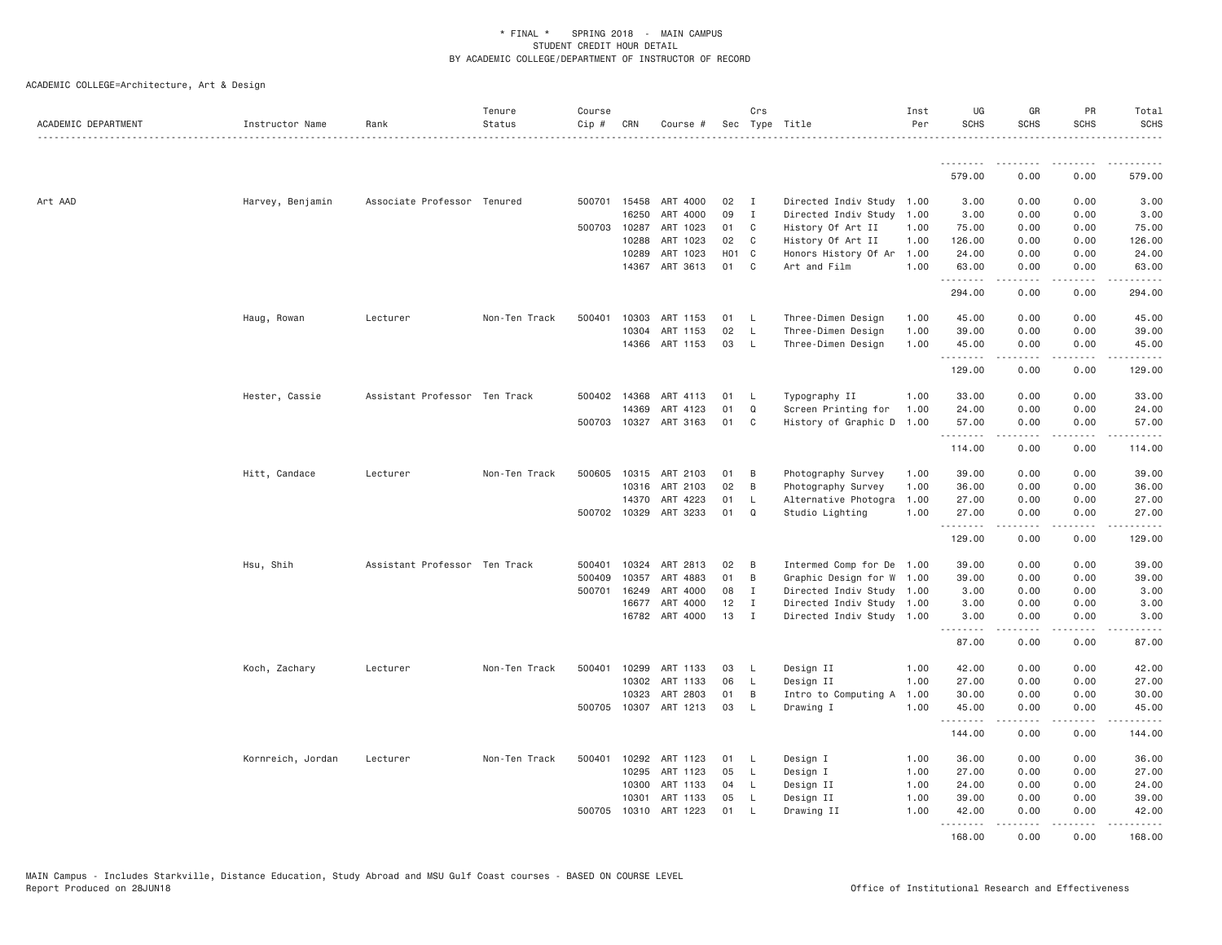| ACADEMIC DEPARTMENT | Instructor Name   | Rank                          | Tenure<br>Status | Course<br>Cip # | CRN          | Course #                   |          | Crs               | Sec Type Title                                         | Inst<br>Per | UG<br><b>SCHS</b> | GR<br><b>SCHS</b>   | <b>PR</b><br><b>SCHS</b>            | Total<br><b>SCHS</b>                                                                                                               |
|---------------------|-------------------|-------------------------------|------------------|-----------------|--------------|----------------------------|----------|-------------------|--------------------------------------------------------|-------------|-------------------|---------------------|-------------------------------------|------------------------------------------------------------------------------------------------------------------------------------|
|                     |                   |                               |                  |                 |              |                            |          |                   |                                                        |             | .                 | .                   | .                                   | .                                                                                                                                  |
|                     |                   |                               |                  |                 |              |                            |          |                   |                                                        |             | 579.00            | 0.00                | 0.00                                | 579.00                                                                                                                             |
| Art AAD             | Harvey, Benjamin  | Associate Professor Tenured   |                  |                 | 500701 15458 | ART 4000                   | 02       | $\mathbf{I}$      | Directed Indiv Study                                   | 1.00        | 3.00              | 0.00                | 0.00                                | 3.00                                                                                                                               |
|                     |                   |                               |                  |                 | 16250        | ART 4000                   | 09       | $\mathbf I$       | Directed Indiv Study                                   | 1.00        | 3.00              | 0.00                | 0.00                                | 3.00                                                                                                                               |
|                     |                   |                               |                  | 500703          | 10287        | ART 1023                   | 01       | C                 | History Of Art II                                      | 1.00        | 75.00             | 0.00                | 0.00                                | 75.00                                                                                                                              |
|                     |                   |                               |                  |                 | 10288        | ART 1023                   | 02       | C                 | History Of Art II                                      | 1.00        | 126.00            | 0.00                | 0.00                                | 126.00                                                                                                                             |
|                     |                   |                               |                  |                 | 10289        | ART 1023                   | H01 C    |                   | Honors History Of Ar                                   | 1.00        | 24.00             | 0.00                | 0.00                                | 24.00                                                                                                                              |
|                     |                   |                               |                  |                 | 14367        | ART 3613                   | 01       | C                 | Art and Film                                           | 1.00        | 63.00<br>.        | 0.00                | 0.00<br>$\sim$ $\sim$ $\sim$        | 63.00<br>.                                                                                                                         |
|                     |                   |                               |                  |                 |              |                            |          |                   |                                                        |             | 294.00            | 0.00                | 0.00                                | 294.00                                                                                                                             |
|                     | Haug, Rowan       | Lecturer                      | Non-Ten Track    | 500401          | 10303        | ART 1153                   | 01       | - L               | Three-Dimen Design                                     | 1.00        | 45.00             | 0.00                | 0.00                                | 45.00                                                                                                                              |
|                     |                   |                               |                  |                 | 10304        | ART 1153                   | 02       | L                 | Three-Dimen Design                                     | 1.00        | 39.00             | 0.00                | 0.00                                | 39.00                                                                                                                              |
|                     |                   |                               |                  |                 | 14366        | ART 1153                   | 03       | $\mathsf{L}$      | Three-Dimen Design                                     | 1.00        | 45.00<br>.        | 0.00<br>.           | 0.00<br>.                           | 45.00<br>.                                                                                                                         |
|                     |                   |                               |                  |                 |              |                            |          |                   |                                                        |             | 129.00            | 0.00                | 0.00                                | 129.00                                                                                                                             |
|                     | Hester, Cassie    | Assistant Professor Ten Track |                  | 500402          | 14368        | ART 4113                   | 01       | L                 | Typography II                                          | 1.00        | 33.00             | 0.00                | 0.00                                | 33.00                                                                                                                              |
|                     |                   |                               |                  |                 | 14369        | ART 4123                   | 01       | $\mathsf Q$       | Screen Printing for                                    | 1.00        | 24.00             | 0.00                | 0.00                                | 24.00                                                                                                                              |
|                     |                   |                               |                  |                 |              | 500703 10327 ART 3163      | 01       | C                 | History of Graphic D                                   | 1.00        | 57.00<br>.        | 0.00<br>$- - - - -$ | 0.00<br>.                           | 57.00<br><u>.</u>                                                                                                                  |
|                     |                   |                               |                  |                 |              |                            |          |                   |                                                        |             | 114.00            | 0.00                | 0.00                                | 114.00                                                                                                                             |
|                     | Hitt, Candace     | Lecturer                      | Non-Ten Track    | 500605          |              | 10315 ART 2103             | 01       | B                 | Photography Survey                                     | 1.00        | 39.00             | 0.00                | 0.00                                | 39.00                                                                                                                              |
|                     |                   |                               |                  |                 | 10316        | ART 2103                   | 02       | B                 | Photography Survey                                     | 1.00        | 36.00             | 0.00                | 0.00                                | 36.00                                                                                                                              |
|                     |                   |                               |                  |                 | 14370        | ART 4223                   | 01       | L                 | Alternative Photogra                                   | 1.00        | 27.00             | 0.00                | 0.00                                | 27.00                                                                                                                              |
|                     |                   |                               |                  |                 | 500702 10329 | ART 3233                   | 01       | $\Omega$          | Studio Lighting                                        | 1.00        | 27.00<br>.        | 0.00<br>-----       | 0.00<br>.                           | 27.00<br>$\begin{array}{cccccccccccccc} \bullet & \bullet & \bullet & \bullet & \bullet & \bullet & \bullet & \bullet \end{array}$ |
|                     |                   |                               |                  |                 |              |                            |          |                   |                                                        |             | 129.00            | 0.00                | 0.00                                | 129.00                                                                                                                             |
|                     | Hsu, Shih         | Assistant Professor Ten Track |                  | 500401          | 10324        | ART 2813                   | 02       | B                 | Intermed Comp for De                                   | 1.00        | 39.00             | 0.00                | 0.00                                | 39.00                                                                                                                              |
|                     |                   |                               |                  | 500409          | 10357        | ART 4883                   | 01       | B                 | Graphic Design for W                                   | 1.00        | 39.00             | 0.00                | 0.00                                | 39.00                                                                                                                              |
|                     |                   |                               |                  | 500701          | 16249        | ART 4000                   | 08       | $\mathbf I$       | Directed Indiv Study 1.00                              |             | 3.00              | 0.00                | 0.00                                | 3.00                                                                                                                               |
|                     |                   |                               |                  |                 | 16677        | ART 4000<br>16782 ART 4000 | 12<br>13 | I<br>$\mathbf{I}$ | Directed Indiv Study 1.00<br>Directed Indiv Study 1.00 |             | 3.00<br>3.00      | 0.00<br>0.00        | 0.00<br>0.00                        | 3.00<br>3.00                                                                                                                       |
|                     |                   |                               |                  |                 |              |                            |          |                   |                                                        |             | .<br>87.00        | .<br>0.00           | $- - - -$<br>0.00                   | .<br>87.00                                                                                                                         |
|                     | Koch, Zachary     | Lecturer                      | Non-Ten Track    | 500401          | 10299        | ART 1133                   | 03       | L                 | Design II                                              | 1.00        | 42.00             | 0.00                | 0.00                                | 42.00                                                                                                                              |
|                     |                   |                               |                  |                 | 10302        | ART 1133                   | 06       | L                 | Design II                                              | 1.00        | 27.00             | 0.00                | 0.00                                | 27.00                                                                                                                              |
|                     |                   |                               |                  |                 | 10323        | ART 2803                   | 01       | B                 | Intro to Computing A                                   | 1.00        | 30.00             | 0.00                | 0.00                                | 30.00                                                                                                                              |
|                     |                   |                               |                  |                 |              | 500705 10307 ART 1213      | 03       | <b>L</b>          | Drawing I                                              | 1.00        | 45.00             | 0.00                | 0.00                                | 45.00                                                                                                                              |
|                     |                   |                               |                  |                 |              |                            |          |                   |                                                        |             | .<br>144.00       | .<br>0.00           | $\sim$ $\sim$ $\sim$ $\sim$<br>0.00 | 144.00                                                                                                                             |
|                     | Kornreich, Jordan | Lecturer                      | Non-Ten Track    | 500401          | 10292        | ART 1123                   | 01       | - L               | Design I                                               | 1.00        | 36.00             | 0.00                | 0.00                                | 36.00                                                                                                                              |
|                     |                   |                               |                  |                 | 10295        | ART 1123                   | 05       | L.                | Design I                                               | 1.00        | 27.00             | 0.00                | 0.00                                | 27.00                                                                                                                              |
|                     |                   |                               |                  |                 | 10300        | ART 1133                   | 04       | L                 | Design II                                              | 1.00        | 24.00             | 0.00                | 0.00                                | 24.00                                                                                                                              |
|                     |                   |                               |                  |                 | 10301        | ART 1133                   | 05       | L                 | Design II                                              | 1.00        | 39.00             | 0.00                | 0.00                                | 39.00                                                                                                                              |
|                     |                   |                               |                  | 500705          | 10310        | ART 1223                   | 01       | $\mathsf{L}$      | Drawing II                                             | 1.00        | 42.00             | 0.00                | 0.00                                | 42.00                                                                                                                              |
|                     |                   |                               |                  |                 |              |                            |          |                   |                                                        |             | .<br>168,00       | .<br>0.00           | .<br>0.00                           | .<br>168.00                                                                                                                        |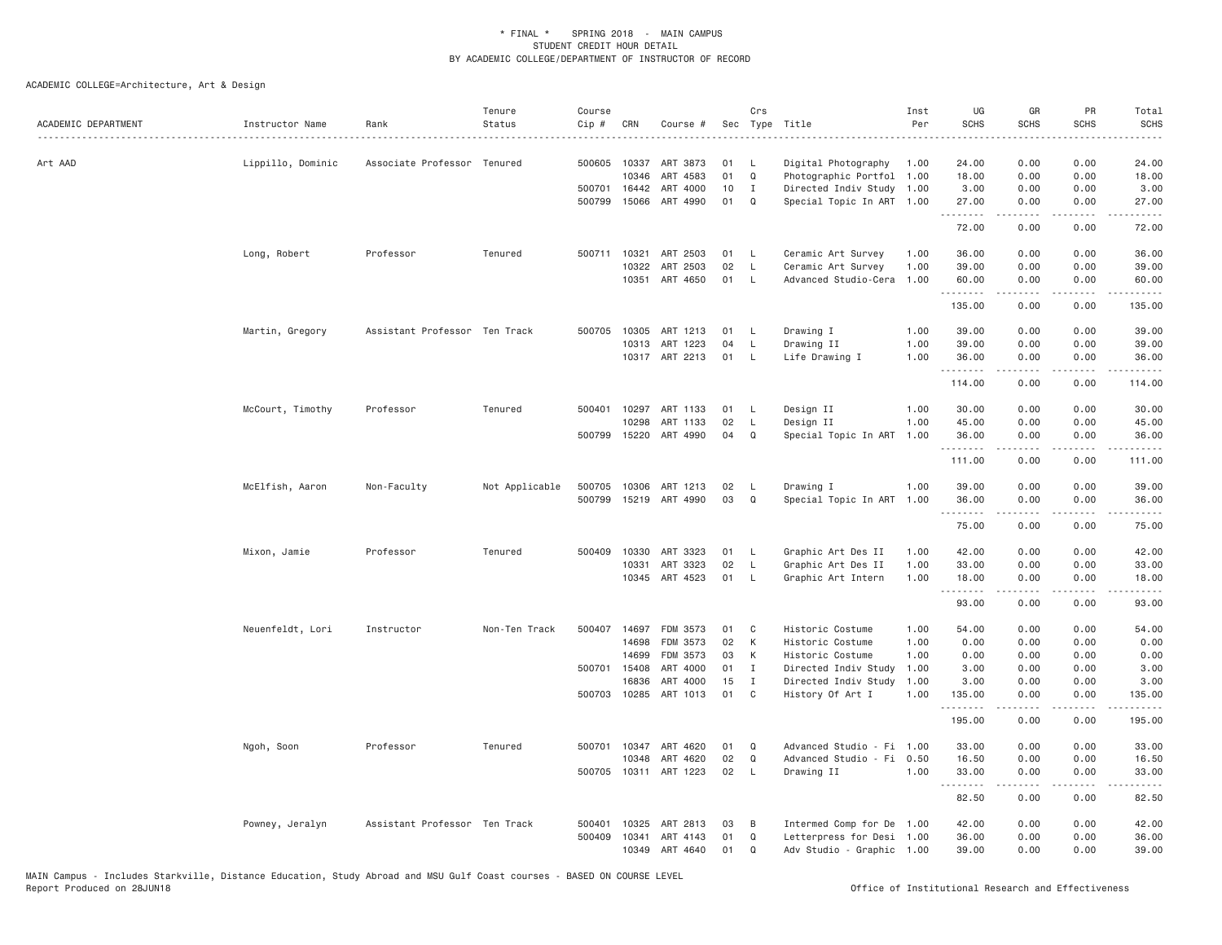| ACADEMIC DEPARTMENT | Instructor Name   | Rank                          | Tenure<br>Status | Course<br>Cip # | CRN          | Course #              |    | Crs          | Sec Type Title            | Inst<br>Per | UG<br><b>SCHS</b> | GR<br><b>SCHS</b>                                                                                                                                            | PR<br><b>SCHS</b>     | Total<br><b>SCHS</b><br>$\sim$ $\sim$ $\sim$ $\sim$ $\sim$                                                                                                     |
|---------------------|-------------------|-------------------------------|------------------|-----------------|--------------|-----------------------|----|--------------|---------------------------|-------------|-------------------|--------------------------------------------------------------------------------------------------------------------------------------------------------------|-----------------------|----------------------------------------------------------------------------------------------------------------------------------------------------------------|
| Art AAD             | Lippillo, Dominic | Associate Professor Tenured   |                  | 500605          | 10337        | ART 3873              | 01 | L.           | Digital Photography       | 1.00        | 24.00             | 0.00                                                                                                                                                         | 0.00                  | 24.00                                                                                                                                                          |
|                     |                   |                               |                  |                 | 10346        | ART 4583              | 01 | Q            | Photographic Portfol      | 1.00        | 18.00             | 0.00                                                                                                                                                         | 0.00                  | 18.00                                                                                                                                                          |
|                     |                   |                               |                  |                 | 500701 16442 | ART 4000              | 10 | $\mathbf I$  | Directed Indiv Study 1.00 |             | 3.00              | 0.00                                                                                                                                                         | 0.00                  | 3.00                                                                                                                                                           |
|                     |                   |                               |                  | 500799          | 15066        | ART 4990              | 01 | $\Omega$     | Special Topic In ART 1.00 |             | 27.00<br>.        | 0.00                                                                                                                                                         | 0.00                  | 27.00                                                                                                                                                          |
|                     |                   |                               |                  |                 |              |                       |    |              |                           |             | 72.00             | 0.00                                                                                                                                                         | 0.00                  | 72.00                                                                                                                                                          |
|                     | Long, Robert      | Professor                     | Tenured          | 500711          | 10321        | ART 2503              | 01 | L.           | Ceramic Art Survey        | 1.00        | 36.00             | 0.00                                                                                                                                                         | 0.00                  | 36.00                                                                                                                                                          |
|                     |                   |                               |                  |                 | 10322        | ART 2503              | 02 | $\mathsf{L}$ | Ceramic Art Survey        | 1.00        | 39.00             | 0.00                                                                                                                                                         | 0.00                  | 39.00                                                                                                                                                          |
|                     |                   |                               |                  |                 | 10351        | ART 4650              | 01 | $\mathsf L$  | Advanced Studio-Cera      | 1.00        | 60.00<br>.        | 0.00<br>$- - - - -$                                                                                                                                          | 0.00<br>.             | 60.00<br>.                                                                                                                                                     |
|                     |                   |                               |                  |                 |              |                       |    |              |                           |             | 135.00            | 0.00                                                                                                                                                         | 0.00                  | 135.00                                                                                                                                                         |
|                     | Martin, Gregory   | Assistant Professor Ten Track |                  | 500705          | 10305        | ART 1213              | 01 | L            | Drawing I                 | 1.00        | 39.00             | 0.00                                                                                                                                                         | 0.00                  | 39.00                                                                                                                                                          |
|                     |                   |                               |                  |                 | 10313        | ART 1223              | 04 | L            | Drawing II                | 1.00        | 39.00             | 0.00                                                                                                                                                         | 0.00                  | 39.00                                                                                                                                                          |
|                     |                   |                               |                  |                 |              | 10317 ART 2213        | 01 | L.           | Life Drawing I            | 1.00        | 36.00<br>.        | 0.00<br>$- - - - -$                                                                                                                                          | 0.00<br>.             | 36.00<br>$- - - - - - -$                                                                                                                                       |
|                     |                   |                               |                  |                 |              |                       |    |              |                           |             | 114.00            | 0.00                                                                                                                                                         | 0.00                  | 114.00                                                                                                                                                         |
|                     | McCourt, Timothy  | Professor                     | Tenured          | 500401          | 10297        | ART 1133              | 01 | L            | Design II                 | 1.00        | 30.00             | 0.00                                                                                                                                                         | 0.00                  | 30.00                                                                                                                                                          |
|                     |                   |                               |                  |                 | 10298        | ART 1133              | 02 | L            | Design II                 | 1.00        | 45.00             | 0.00                                                                                                                                                         | 0.00                  | 45.00                                                                                                                                                          |
|                     |                   |                               |                  |                 | 500799 15220 | ART 4990              | 04 | Q            | Special Topic In ART      | 1.00        | 36.00<br>.        | 0.00                                                                                                                                                         | 0.00<br>$   -$        | 36.00<br>-----                                                                                                                                                 |
|                     |                   |                               |                  |                 |              |                       |    |              |                           |             | 111.00            | 0.00                                                                                                                                                         | 0.00                  | 111.00                                                                                                                                                         |
|                     | McElfish, Aaron   | Non-Faculty                   | Not Applicable   | 500705          | 10306        | ART 1213              | 02 | L,           | Drawing I                 | 1.00        | 39.00             | 0.00                                                                                                                                                         | 0.00                  | 39.00                                                                                                                                                          |
|                     |                   |                               |                  | 500799          |              | 15219 ART 4990        | 03 | $\Omega$     | Special Topic In ART      | 1.00        | 36.00<br>.        | 0.00                                                                                                                                                         | 0.00<br>.             | 36.00                                                                                                                                                          |
|                     |                   |                               |                  |                 |              |                       |    |              |                           |             | 75.00             | 0.00                                                                                                                                                         | 0.00                  | 75.00                                                                                                                                                          |
|                     | Mixon, Jamie      | Professor                     | Tenured          | 500409          | 10330        | ART 3323              | 01 | L.           | Graphic Art Des II        | 1.00        | 42.00             | 0.00                                                                                                                                                         | 0.00                  | 42.00                                                                                                                                                          |
|                     |                   |                               |                  |                 | 10331        | ART 3323              | 02 | L            | Graphic Art Des II        | 1.00        | 33.00             | 0.00                                                                                                                                                         | 0.00                  | 33.00                                                                                                                                                          |
|                     |                   |                               |                  |                 | 10345        | ART 4523              | 01 | $\mathsf{L}$ | Graphic Art Intern        | 1.00        | 18.00<br>.        | 0.00                                                                                                                                                         | 0.00                  | 18.00                                                                                                                                                          |
|                     |                   |                               |                  |                 |              |                       |    |              |                           |             | 93.00             | 0.00                                                                                                                                                         | 0.00                  | 93.00                                                                                                                                                          |
|                     | Neuenfeldt, Lori  | Instructor                    | Non-Ten Track    | 500407          | 14697        | FDM 3573              | 01 | C            | Historic Costume          | 1.00        | 54.00             | 0.00                                                                                                                                                         | 0.00                  | 54.00                                                                                                                                                          |
|                     |                   |                               |                  |                 | 14698        | FDM 3573              | 02 | К            | Historic Costume          | 1.00        | 0.00              | 0.00                                                                                                                                                         | 0.00                  | 0.00                                                                                                                                                           |
|                     |                   |                               |                  |                 | 14699        | FDM 3573              | 03 | К            | Historic Costume          | 1.00        | 0.00              | 0.00                                                                                                                                                         | 0.00                  | 0.00                                                                                                                                                           |
|                     |                   |                               |                  | 500701          | 15408        | ART 4000              | 01 | $\mathbf{I}$ | Directed Indiv Study      | 1.00        | 3.00              | 0.00                                                                                                                                                         | 0.00                  | 3.00                                                                                                                                                           |
|                     |                   |                               |                  |                 | 16836        | ART 4000              | 15 | $\mathbf I$  | Directed Indiv Study      | 1.00        | 3.00              | 0.00                                                                                                                                                         | 0.00                  | 3.00                                                                                                                                                           |
|                     |                   |                               |                  |                 | 500703 10285 | ART 1013              | 01 | C            | History Of Art I          | 1.00        | 135.00<br>.       | 0.00<br>$\frac{1}{2} \left( \frac{1}{2} \right) \left( \frac{1}{2} \right) \left( \frac{1}{2} \right) \left( \frac{1}{2} \right) \left( \frac{1}{2} \right)$ | 0.00<br>.             | 135.00<br>$\frac{1}{2} \left( \frac{1}{2} \right) \left( \frac{1}{2} \right) \left( \frac{1}{2} \right) \left( \frac{1}{2} \right) \left( \frac{1}{2} \right)$ |
|                     |                   |                               |                  |                 |              |                       |    |              |                           |             | 195.00            | 0.00                                                                                                                                                         | 0.00                  | 195.00                                                                                                                                                         |
|                     | Ngoh, Soon        | Professor                     | Tenured          | 500701          | 10347        | ART 4620              | 01 | Q            | Advanced Studio - Fi 1.00 |             | 33.00             | 0.00                                                                                                                                                         | 0.00                  | 33.00                                                                                                                                                          |
|                     |                   |                               |                  |                 | 10348        | ART 4620              | 02 | Q            | Advanced Studio - Fi 0.50 |             | 16.50             | 0.00                                                                                                                                                         | 0.00                  | 16.50                                                                                                                                                          |
|                     |                   |                               |                  |                 |              | 500705 10311 ART 1223 | 02 | L.           | Drawing II                | 1.00        | 33.00<br>.        | 0.00<br>.                                                                                                                                                    | 0.00<br>$\frac{1}{2}$ | 33.00<br>$- - - -$                                                                                                                                             |
|                     |                   |                               |                  |                 |              |                       |    |              |                           |             | 82.50             | 0.00                                                                                                                                                         | 0.00                  | 82.50                                                                                                                                                          |
|                     | Powney, Jeralyn   | Assistant Professor Ten Track |                  | 500401          | 10325        | ART 2813              | 03 | B            | Intermed Comp for De      | 1.00        | 42.00             | 0.00                                                                                                                                                         | 0.00                  | 42.00                                                                                                                                                          |
|                     |                   |                               |                  | 500409          | 10341        | ART 4143              | 01 | Q            | Letterpress for Desi 1.00 |             | 36.00             | 0.00                                                                                                                                                         | 0.00                  | 36.00                                                                                                                                                          |
|                     |                   |                               |                  |                 | 10349        | ART 4640              | 01 | Q            | Adv Studio - Graphic 1.00 |             | 39.00             | 0.00                                                                                                                                                         | 0.00                  | 39.00                                                                                                                                                          |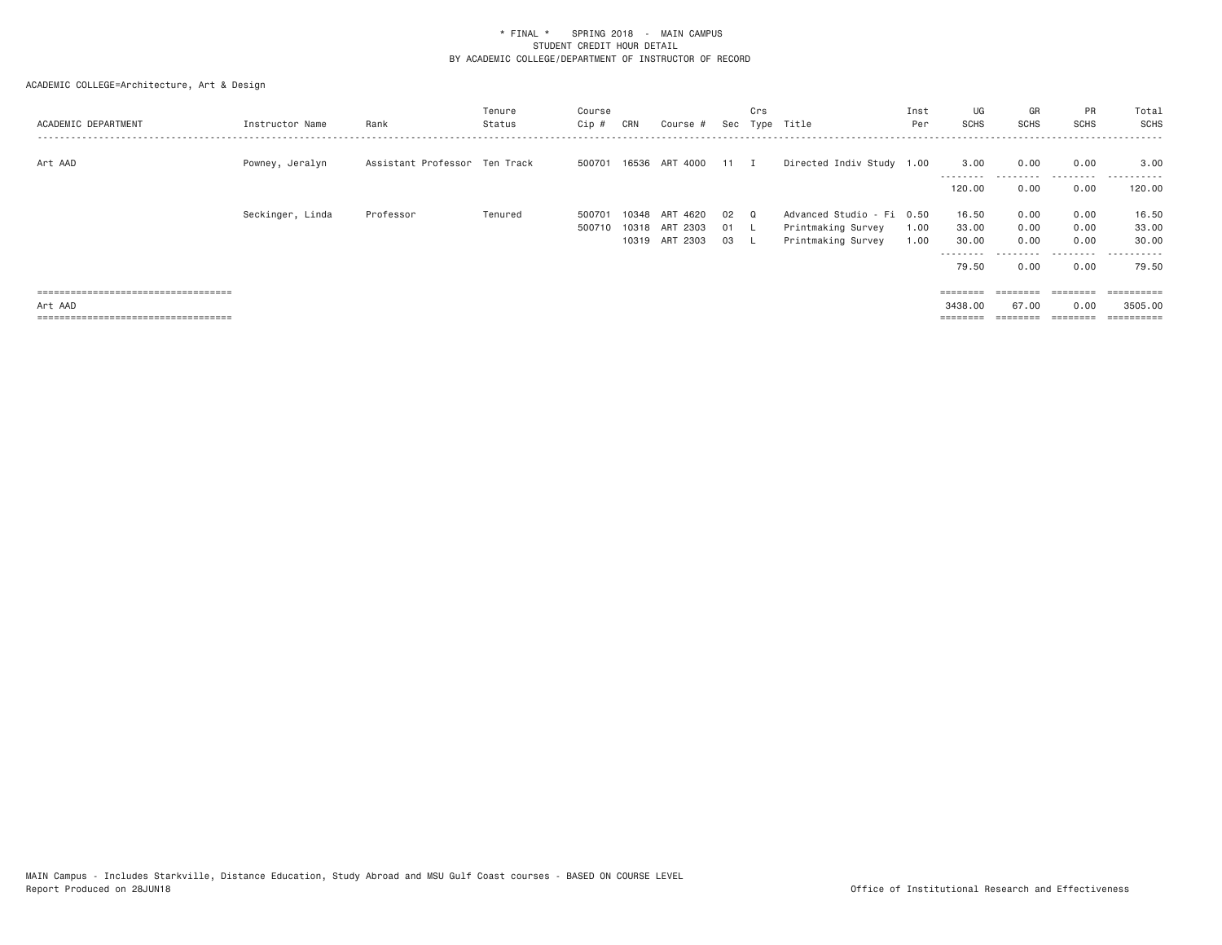| ACADEMIC DEPARTMENT                   | Instructor Name  | Rank                          | Tenure<br>Status | Course<br>Cip # | CRN   | Course #              |      | Crs | Sec Type Title            | Inst<br>Per | UG<br><b>SCHS</b>  | GR<br><b>SCHS</b> | PR<br><b>SCHS</b> | Total<br><b>SCHS</b>  |
|---------------------------------------|------------------|-------------------------------|------------------|-----------------|-------|-----------------------|------|-----|---------------------------|-------------|--------------------|-------------------|-------------------|-----------------------|
| Art AAD                               | Powney, Jeralyn  | Assistant Professor Ten Track |                  |                 |       | 500701 16536 ART 4000 | 11 I |     | Directed Indiv Study 1.00 |             | 3.00               | 0.00              | 0.00              | 3.00                  |
|                                       |                  |                               |                  |                 |       |                       |      |     |                           |             | --------<br>120,00 | .<br>0.00         | .<br>0.00         | -------<br>120,00     |
|                                       | Seckinger, Linda | Professor                     | Tenured          | 50070           | 10348 | 4620<br>ART           | 02   |     | Advanced Studio - Fi 0.50 |             | 16.50              | 0.00              | 0.00              | 16.50                 |
|                                       |                  |                               |                  | 500710          | 10318 | ART 2303              | 01   |     | Printmaking Survey        | 1.00        | 33.00              | 0.00              | 0.00              | 33.00                 |
|                                       |                  |                               |                  |                 | 10319 | ART 2303              | 03   | . L | Printmaking Survey        | 1.00        | 30.00              | 0.00              | 0.00              | 30.00                 |
|                                       |                  |                               |                  |                 |       |                       |      |     |                           |             | ---------          |                   |                   | -------               |
|                                       |                  |                               |                  |                 |       |                       |      |     |                           |             | 79.50              | 0.00              | 0.00              | 79.50                 |
|                                       |                  |                               |                  |                 |       |                       |      |     |                           |             |                    |                   |                   |                       |
| ===================================== |                  |                               |                  |                 |       |                       |      |     |                           |             | ========           | $=$ = = = = = = = | $=$               | $=$ = = = = = = = = = |
| Art AAD                               |                  |                               |                  |                 |       |                       |      |     |                           |             | 3438,00            | 67.00             | 0.00              | 3505,00               |
| ===================================== |                  |                               |                  |                 |       |                       |      |     |                           |             |                    | $=$ = = = = = = = | $=$ = = = = = = = |                       |
|                                       |                  |                               |                  |                 |       |                       |      |     |                           |             |                    |                   |                   |                       |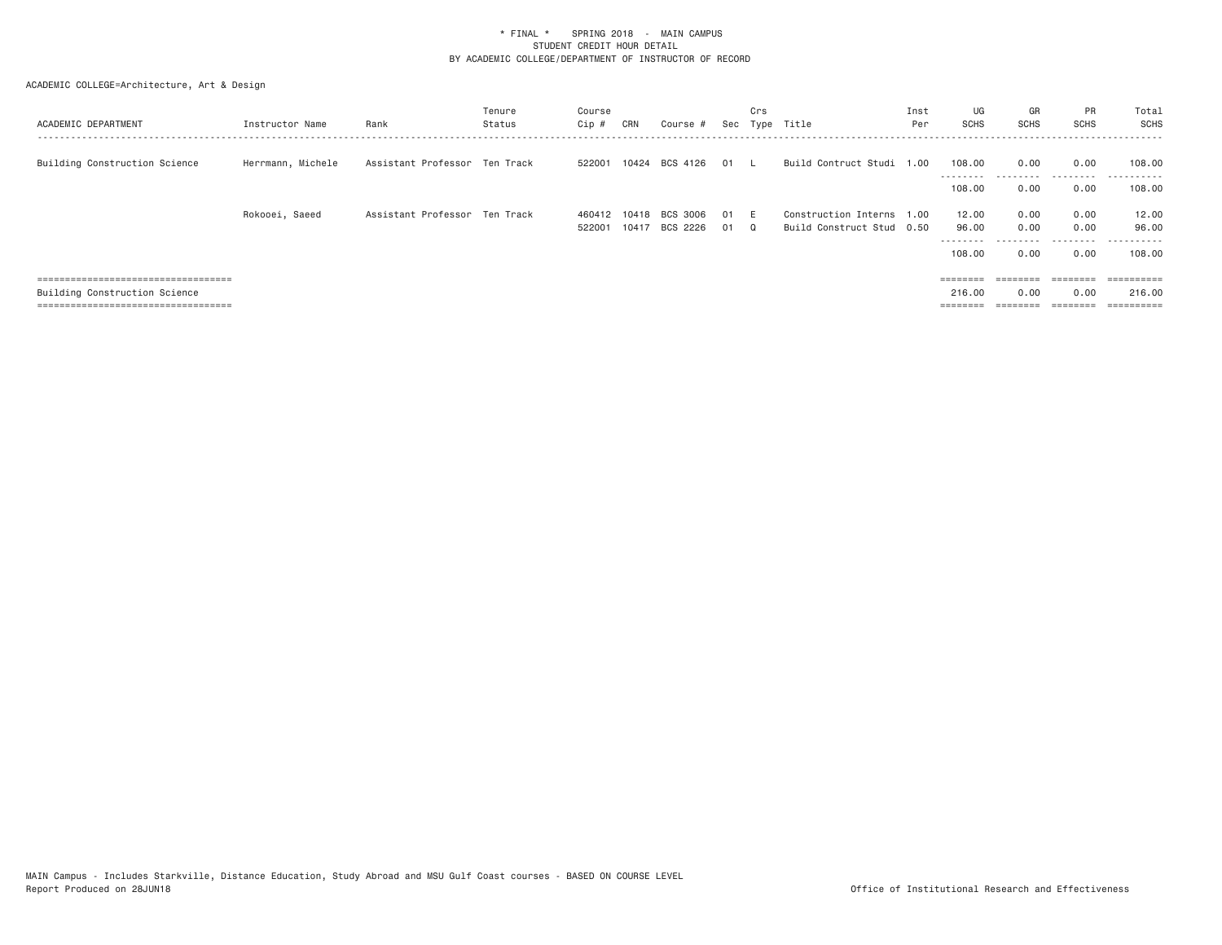| ACADEMIC DEPARTMENT                                                                                                                               | Instructor Name   | Rank                          | Tenure<br>Status | Course<br>$Cip \#$ | CRN            | Course #                 |            | Crs | Sec Type Title                                         | Inst<br>Per | UG<br>SCHS                            | GR<br>SCHS                    | PR<br><b>SCHS</b>         | Total<br>SCHS                                |
|---------------------------------------------------------------------------------------------------------------------------------------------------|-------------------|-------------------------------|------------------|--------------------|----------------|--------------------------|------------|-----|--------------------------------------------------------|-------------|---------------------------------------|-------------------------------|---------------------------|----------------------------------------------|
| Building Construction Science                                                                                                                     | Herrmann, Michele | Assistant Professor Ten Track |                  |                    |                | 522001 10424 BCS 4126 01 |            |     | Build Contruct Studi 1.00                              |             | 108,00<br>---------<br>108,00         | 0.00<br>---------<br>0.00     | 0.00<br>.<br>0.00         | 108,00<br>.<br>108,00                        |
|                                                                                                                                                   | Rokooei, Saeed    | Assistant Professor Ten Track |                  | 460412<br>522001   | 10418<br>10417 | BCS 3006<br>BCS 2226     | - 01<br>01 | റ   | Construction Interns 1.00<br>Build Construct Stud 0.50 |             | 12.00<br>96.00<br>---------<br>108,00 | 0.00<br>0.00<br>.<br>0.00     | 0.00<br>0.00<br>.<br>0.00 | 12.00<br>96.00<br>.<br>108,00                |
| -------------------------------------<br>-------------------------------------<br>Building Construction Science<br>;============================= |                   |                               |                  |                    |                |                          |            |     |                                                        |             | $=$ = = = = = = =<br>216,00           | ---------<br>--------<br>0.00 | ========<br>0.00          | $=$ = = = = = = = = =<br>216,00<br>========= |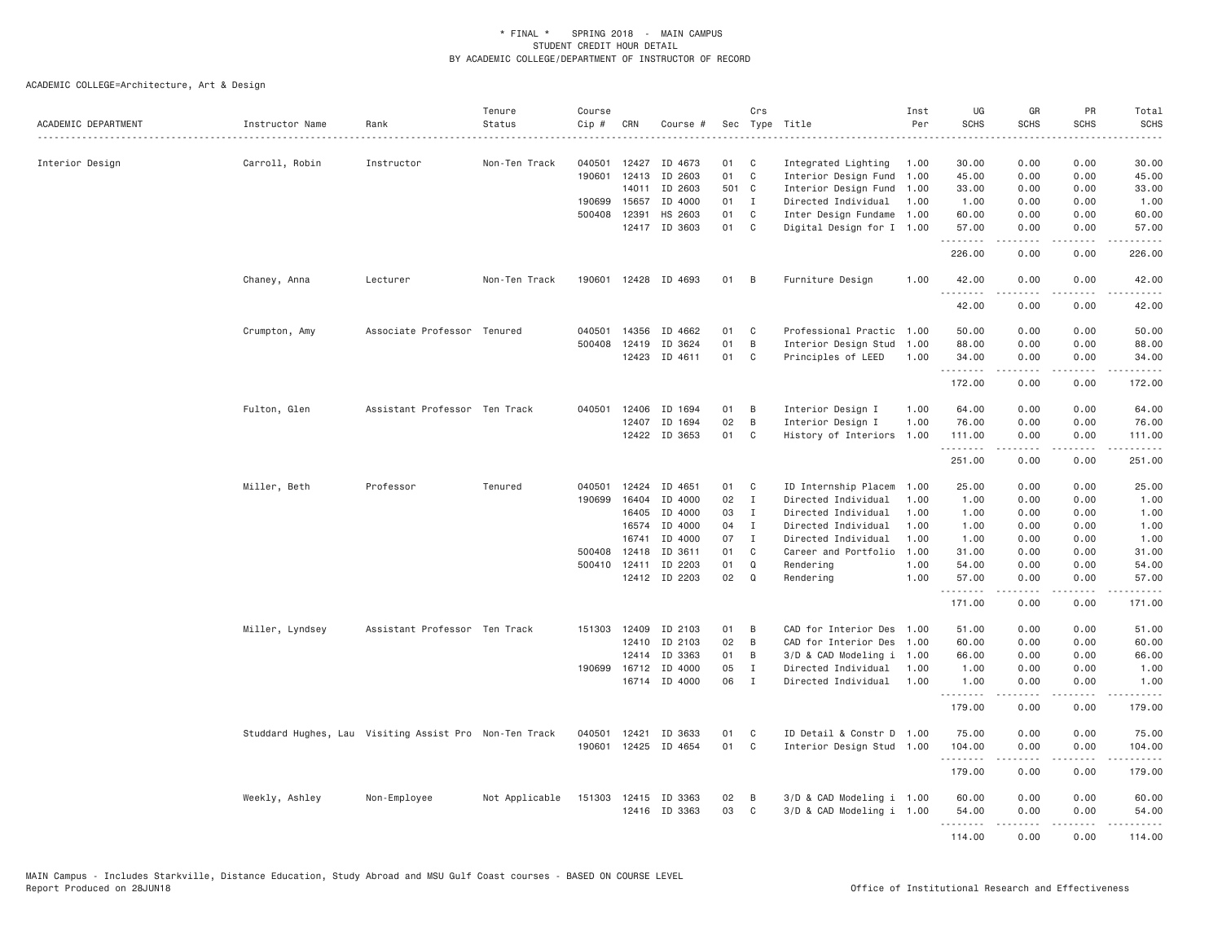| ACADEMIC DEPARTMENT | Instructor Name | Rank                                                   | Tenure<br>Status | Course<br>Cip # | CRN          | Course #             |       | Crs          | Sec Type Title            | Inst<br>Per | UG<br><b>SCHS</b> | GR<br><b>SCHS</b>                                                                                                                    | <b>PR</b><br><b>SCHS</b>                                                                                                          | Total<br><b>SCHS</b><br>$\frac{1}{2}$ |
|---------------------|-----------------|--------------------------------------------------------|------------------|-----------------|--------------|----------------------|-------|--------------|---------------------------|-------------|-------------------|--------------------------------------------------------------------------------------------------------------------------------------|-----------------------------------------------------------------------------------------------------------------------------------|---------------------------------------|
| Interior Design     | Carroll, Robin  | Instructor                                             | Non-Ten Track    | 040501          | 12427        | ID 4673              | 01    | C            | Integrated Lighting       | 1.00        | 30.00             | 0.00                                                                                                                                 | 0.00                                                                                                                              | 30.00                                 |
|                     |                 |                                                        |                  |                 | 190601 12413 | ID 2603              | 01    | C            | Interior Design Fund      | 1.00        | 45.00             | 0.00                                                                                                                                 | 0.00                                                                                                                              | 45.00                                 |
|                     |                 |                                                        |                  |                 | 14011        | ID 2603              | 501 C |              | Interior Design Fund      | 1.00        | 33.00             | 0.00                                                                                                                                 | 0.00                                                                                                                              | 33.00                                 |
|                     |                 |                                                        |                  | 190699          | 15657        | ID 4000              | 01    | $\mathbf{I}$ | Directed Individual       | 1.00        | 1.00              | 0.00                                                                                                                                 | 0.00                                                                                                                              | 1.00                                  |
|                     |                 |                                                        |                  | 500408 12391    |              | HS 2603              | 01    | C            | Inter Design Fundame      | 1.00        | 60.00             | 0.00                                                                                                                                 | 0.00                                                                                                                              | 60.00                                 |
|                     |                 |                                                        |                  |                 |              | 12417 ID 3603        | 01    | C            | Digital Design for I 1.00 |             | 57.00<br>.        | 0.00<br><b>.</b> .                                                                                                                   | 0.00<br>.                                                                                                                         | 57.00<br>.                            |
|                     |                 |                                                        |                  |                 |              |                      |       |              |                           |             | 226.00            | 0.00                                                                                                                                 | 0.00                                                                                                                              | 226.00                                |
|                     | Chaney, Anna    | Lecturer                                               | Non-Ten Track    | 190601          |              | 12428 ID 4693        | 01    | B            | Furniture Design          | 1.00        | 42.00<br>.        | 0.00                                                                                                                                 | 0.00                                                                                                                              | 42.00                                 |
|                     |                 |                                                        |                  |                 |              |                      |       |              |                           |             | 42.00             | 0.00                                                                                                                                 | 0.00                                                                                                                              | 42.00                                 |
|                     | Crumpton, Amy   | Associate Professor Tenured                            |                  | 040501          | 14356        | ID 4662              | 01    | C            | Professional Practic      | 1.00        | 50.00             | 0.00                                                                                                                                 | 0.00                                                                                                                              | 50.00                                 |
|                     |                 |                                                        |                  |                 | 500408 12419 | ID 3624              | 01    | B            | Interior Design Stud      | 1.00        | 88.00             | 0.00                                                                                                                                 | 0.00                                                                                                                              | 88.00                                 |
|                     |                 |                                                        |                  |                 | 12423        | ID 4611              | 01    | C            | Principles of LEED        | 1.00        | 34.00             | 0.00                                                                                                                                 | 0.00                                                                                                                              | 34.00                                 |
|                     |                 |                                                        |                  |                 |              |                      |       |              |                           |             | .                 | $\mathcal{L}^{\mathcal{A}}\left( \mathcal{A}^{\mathcal{A}}\right) =\mathcal{L}^{\mathcal{A}}\left( \mathcal{A}^{\mathcal{A}}\right)$ | .                                                                                                                                 | .                                     |
|                     |                 |                                                        |                  |                 |              |                      |       |              |                           |             | 172.00            | 0.00                                                                                                                                 | 0.00                                                                                                                              | 172.00                                |
|                     | Fulton, Glen    | Assistant Professor Ten Track                          |                  | 040501          | 12406        | ID 1694              | 01    | B            | Interior Design I         | 1.00        | 64,00             | 0.00                                                                                                                                 | 0.00                                                                                                                              | 64,00                                 |
|                     |                 |                                                        |                  |                 | 12407        | ID 1694              | 02    | B            | Interior Design I         | 1.00        | 76.00             | 0.00                                                                                                                                 | 0.00                                                                                                                              | 76.00                                 |
|                     |                 |                                                        |                  |                 |              | 12422 ID 3653        | 01    | $\mathsf{C}$ | History of Interiors 1.00 |             | 111.00<br>.       | 0.00<br>$- - - - -$                                                                                                                  | 0.00<br>.                                                                                                                         | 111.00<br>.                           |
|                     |                 |                                                        |                  |                 |              |                      |       |              |                           |             | 251.00            | 0.00                                                                                                                                 | 0.00                                                                                                                              | 251.00                                |
|                     | Miller, Beth    | Professor                                              | Tenured          | 040501          | 12424        | ID 4651              | 01    | C            | ID Internship Placem      | 1.00        | 25.00             | 0.00                                                                                                                                 | 0.00                                                                                                                              | 25.00                                 |
|                     |                 |                                                        |                  | 190699          | 16404        | ID 4000              | 02    | $\mathbf{I}$ | Directed Individual       | 1.00        | 1.00              | 0.00                                                                                                                                 | 0.00                                                                                                                              | 1.00                                  |
|                     |                 |                                                        |                  |                 | 16405        | ID 4000              | 03    | Ι.           | Directed Individual       | 1.00        | 1.00              | 0.00                                                                                                                                 | 0.00                                                                                                                              | 1.00                                  |
|                     |                 |                                                        |                  |                 | 16574        | ID 4000              | 04    | $\mathbf{I}$ | Directed Individual       | 1.00        | 1.00              | 0.00                                                                                                                                 | 0.00                                                                                                                              | 1.00                                  |
|                     |                 |                                                        |                  |                 | 16741        | ID 4000              | 07    | I            | Directed Individual       | 1.00        | 1.00              | 0.00                                                                                                                                 | 0.00                                                                                                                              | 1.00                                  |
|                     |                 |                                                        |                  |                 | 500408 12418 | ID 3611              | 01    | C            | Career and Portfolio      | 1.00        | 31.00             | 0.00                                                                                                                                 | 0.00                                                                                                                              | 31.00                                 |
|                     |                 |                                                        |                  | 500410 12411    |              | ID 2203              | 01    | Q            | Rendering                 | 1.00        | 54.00             | 0.00                                                                                                                                 | 0.00                                                                                                                              | 54.00                                 |
|                     |                 |                                                        |                  |                 |              | 12412 ID 2203        | 02    | Q            | Rendering                 | 1.00        | 57.00<br>.        | 0.00<br>.                                                                                                                            | 0.00<br>لأعامل                                                                                                                    | 57.00<br>.                            |
|                     |                 |                                                        |                  |                 |              |                      |       |              |                           |             | 171.00            | 0.00                                                                                                                                 | 0.00                                                                                                                              | 171.00                                |
|                     | Miller, Lyndsey | Assistant Professor Ten Track                          |                  |                 | 151303 12409 | ID 2103              | 01    | B            | CAD for Interior Des 1.00 |             | 51.00             | 0.00                                                                                                                                 | 0.00                                                                                                                              | 51.00                                 |
|                     |                 |                                                        |                  |                 | 12410        | ID 2103              | 02    | B            | CAD for Interior Des      | 1.00        | 60.00             | 0.00                                                                                                                                 | 0.00                                                                                                                              | 60.00                                 |
|                     |                 |                                                        |                  |                 | 12414        | ID 3363              | 01    | B            | 3/D & CAD Modeling i 1.00 |             | 66.00             | 0.00                                                                                                                                 | 0.00                                                                                                                              | 66.00                                 |
|                     |                 |                                                        |                  |                 | 190699 16712 | ID 4000              | 05    | $\mathbf{I}$ | Directed Individual       | 1.00        | 1.00              | 0.00                                                                                                                                 | 0.00                                                                                                                              | 1.00                                  |
|                     |                 |                                                        |                  |                 |              | 16714 ID 4000        | 06    | $\mathbf{I}$ | Directed Individual       | 1.00        | 1.00<br>.         | 0.00                                                                                                                                 | 0.00                                                                                                                              | 1.00                                  |
|                     |                 |                                                        |                  |                 |              |                      |       |              |                           |             | 179.00            | .<br>0.00                                                                                                                            | $\sim$ $\sim$ $\sim$<br>0.00                                                                                                      | 179.00                                |
|                     |                 | Studdard Hughes, Lau Visiting Assist Pro Non-Ten Track |                  | 040501          | 12421        | ID 3633              | 01    | C            | ID Detail & Constr D 1.00 |             | 75.00             | 0.00                                                                                                                                 | 0.00                                                                                                                              | 75.00                                 |
|                     |                 |                                                        |                  | 190601          | 12425        | ID 4654              | 01    | C            | Interior Design Stud 1.00 |             | 104.00<br>.       | 0.00                                                                                                                                 | 0.00<br>بالمحام                                                                                                                   | 104.00<br>-----                       |
|                     |                 |                                                        |                  |                 |              |                      |       |              |                           |             | 179.00            | 0.00                                                                                                                                 | 0.00                                                                                                                              | 179.00                                |
|                     | Weekly, Ashley  | Non-Employee                                           | Not Applicable   |                 |              | 151303 12415 ID 3363 | 02    | B            | 3/D & CAD Modeling i 1.00 |             | 60.00             | 0.00                                                                                                                                 | 0.00                                                                                                                              | 60.00                                 |
|                     |                 |                                                        |                  |                 |              | 12416 ID 3363        | 03    | C            | 3/D & CAD Modeling i 1.00 |             | 54.00             | 0.00                                                                                                                                 | 0.00                                                                                                                              | 54.00                                 |
|                     |                 |                                                        |                  |                 |              |                      |       |              |                           |             | .<br>114,00       | 0.00                                                                                                                                 | $\frac{1}{2} \left( \frac{1}{2} \right) \left( \frac{1}{2} \right) \left( \frac{1}{2} \right) \left( \frac{1}{2} \right)$<br>0.00 | 114.00                                |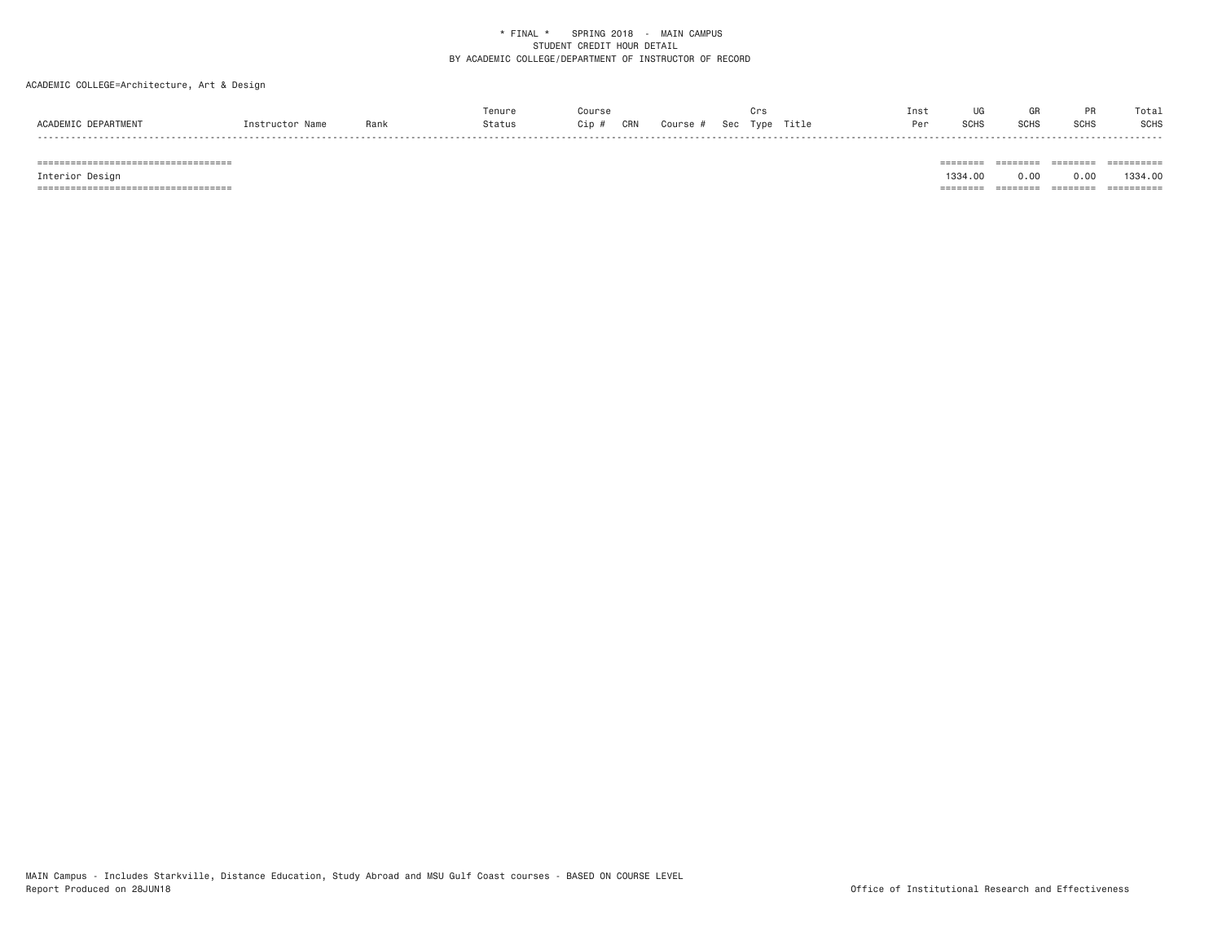# ACADEMIC COLLEGE=Architecture, Art & Design

|                     |                 |      | Tenure | Course                                           | ur: | Inst | UG   | GR          |             | Total       |
|---------------------|-----------------|------|--------|--------------------------------------------------|-----|------|------|-------------|-------------|-------------|
| ACADEMIC DEPARTMENT | Instructor Name | Rank | Status | <b>CRN</b><br>Course # Sec Type Title<br>$Cip$ # |     | Per  | SCHS | <b>SCHS</b> | <b>SCHS</b> | <b>SCHS</b> |

 =================================== ======== ======== ======== ========== Interior Design 1334.00 0.00 0.00 1334.00 =================================== ======== ======== ======== ==========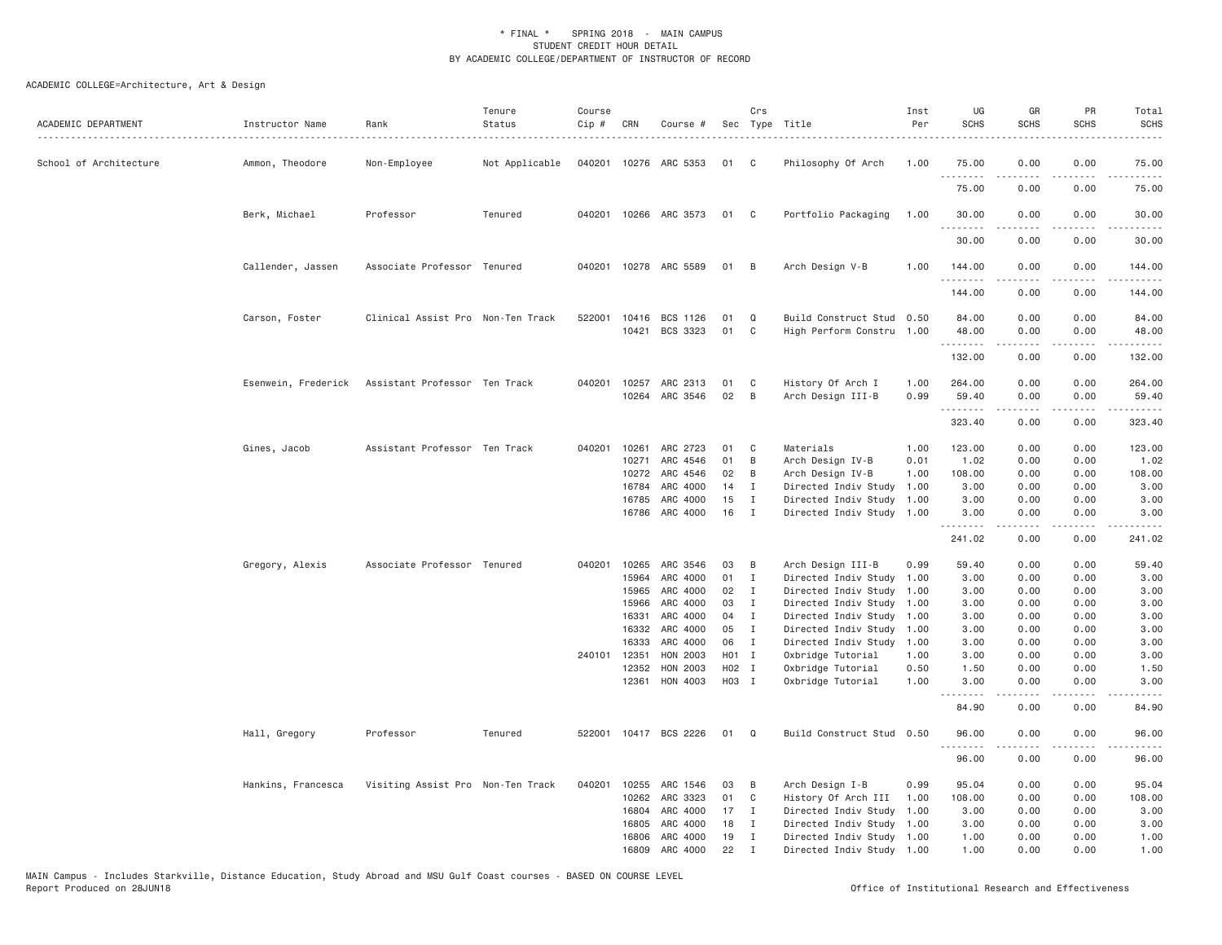| ACADEMIC DEPARTMENT    | Instructor Name     | Rank                              | Tenure<br>Status | Course<br>Cip # | CRN            | Course #              |             | Crs                         | Sec Type Title                                         | Inst<br>Per  | UG<br><b>SCHS</b> | GR<br><b>SCHS</b>                     | PR<br><b>SCHS</b>            | Total<br><b>SCHS</b><br>.                                                                                                                                                                 |
|------------------------|---------------------|-----------------------------------|------------------|-----------------|----------------|-----------------------|-------------|-----------------------------|--------------------------------------------------------|--------------|-------------------|---------------------------------------|------------------------------|-------------------------------------------------------------------------------------------------------------------------------------------------------------------------------------------|
| School of Architecture | Ammon, Theodore     | Non-Employee                      | Not Applicable   |                 |                | 040201 10276 ARC 5353 | 01          | $\mathbf{C}$                | Philosophy Of Arch                                     | 1.00         | 75.00<br>.        | 0.00<br>.                             | 0.00<br>.                    | 75.00<br>.                                                                                                                                                                                |
|                        |                     |                                   |                  |                 |                |                       |             |                             |                                                        |              | 75.00             | 0.00                                  | 0.00                         | 75.00                                                                                                                                                                                     |
|                        | Berk, Michael       | Professor                         | Tenured          |                 |                | 040201 10266 ARC 3573 | 01          | $\mathbf{C}$                | Portfolio Packaging                                    | 1.00         | 30.00<br>.        | 0.00<br>.                             | 0.00<br>.                    | 30.00<br>.                                                                                                                                                                                |
|                        |                     |                                   |                  |                 |                |                       |             |                             |                                                        |              | 30.00             | 0.00                                  | 0.00                         | 30.00                                                                                                                                                                                     |
|                        | Callender, Jassen   | Associate Professor Tenured       |                  |                 |                | 040201 10278 ARC 5589 | 01 B        |                             | Arch Design V-B                                        | 1.00         | 144.00<br>.       | 0.00                                  | 0.00<br>.                    | 144.00<br>.                                                                                                                                                                               |
|                        |                     |                                   |                  |                 |                |                       |             |                             |                                                        |              | 144.00            | 0.00                                  | 0.00                         | 144.00                                                                                                                                                                                    |
|                        | Carson, Foster      | Clinical Assist Pro Non-Ten Track |                  |                 |                | 522001 10416 BCS 1126 | 01          | Q                           | Build Construct Stud 0.50                              |              | 84.00             | 0.00                                  | 0.00                         | 84.00                                                                                                                                                                                     |
|                        |                     |                                   |                  |                 |                | 10421 BCS 3323        | 01          | C                           | High Perform Constru 1.00                              |              | 48.00             | 0.00                                  | 0.00                         | 48.00                                                                                                                                                                                     |
|                        |                     |                                   |                  |                 |                |                       |             |                             |                                                        |              | .<br>132.00       | -----<br>0.00                         | .<br>0.00                    | .<br>132.00                                                                                                                                                                               |
|                        | Esenwein, Frederick | Assistant Professor Ten Track     |                  | 040201          | 10257          | ARC 2313              | 01          | C                           | History Of Arch I                                      | 1.00         | 264.00            | 0.00                                  | 0.00                         | 264.00                                                                                                                                                                                    |
|                        |                     |                                   |                  |                 |                | 10264 ARC 3546        | 02          | B                           | Arch Design III-B                                      | 0.99         | 59.40             | 0.00                                  | 0.00                         | 59.40                                                                                                                                                                                     |
|                        |                     |                                   |                  |                 |                |                       |             |                             |                                                        |              | .<br>323.40       | .<br>0.00                             | .<br>0.00                    | .<br>323.40                                                                                                                                                                               |
|                        | Gines, Jacob        | Assistant Professor Ten Track     |                  | 040201          | 10261          | ARC 2723              | 01          | C                           | Materials                                              | 1.00         | 123.00            | 0.00                                  | 0.00                         | 123.00                                                                                                                                                                                    |
|                        |                     |                                   |                  |                 | 10271          | ARC 4546              | 01          | B                           | Arch Design IV-B                                       | 0.01         | 1.02              | 0.00                                  | 0.00                         | 1.02                                                                                                                                                                                      |
|                        |                     |                                   |                  |                 | 10272          | ARC 4546              | 02          | B                           | Arch Design IV-B                                       | 1.00         | 108.00            | 0.00                                  | 0.00                         | 108.00                                                                                                                                                                                    |
|                        |                     |                                   |                  |                 | 16784          | ARC 4000              | 14          | Ι.                          | Directed Indiv Study                                   | 1.00         | 3.00              | 0.00                                  | 0.00                         | 3.00                                                                                                                                                                                      |
|                        |                     |                                   |                  |                 | 16785<br>16786 | ARC 4000<br>ARC 4000  | 15<br>16    | Ι.<br>I                     | Directed Indiv Study<br>Directed Indiv Study           | 1.00<br>1.00 | 3.00<br>3.00      | 0.00<br>0.00                          | 0.00<br>0.00                 | 3.00<br>3.00                                                                                                                                                                              |
|                        |                     |                                   |                  |                 |                |                       |             |                             |                                                        |              | .<br>241.02       | <b><i><u><u>.</u></u></i></b><br>0.00 | .<br>0.00                    | $\frac{1}{2} \left( \frac{1}{2} \right) \left( \frac{1}{2} \right) \left( \frac{1}{2} \right) \left( \frac{1}{2} \right) \left( \frac{1}{2} \right) \left( \frac{1}{2} \right)$<br>241.02 |
|                        | Gregory, Alexis     | Associate Professor Tenured       |                  | 040201          | 10265          | ARC 3546              | 03          | B                           | Arch Design III-B                                      | 0.99         | 59.40             | 0.00                                  | 0.00                         | 59.40                                                                                                                                                                                     |
|                        |                     |                                   |                  |                 | 15964          | ARC 4000              | 01          | Ι.                          | Directed Indiv Study                                   | 1.00         | 3.00              | 0.00                                  | 0.00                         | 3.00                                                                                                                                                                                      |
|                        |                     |                                   |                  |                 | 15965          | ARC 4000              | 02          | $\mathbf I$                 | Directed Indiv Study                                   | 1.00         | 3.00              | 0.00                                  | 0.00                         | 3.00                                                                                                                                                                                      |
|                        |                     |                                   |                  |                 | 15966          | ARC 4000              | 03          | $\mathbf I$                 | Directed Indiv Study                                   | 1.00         | 3.00              | 0.00                                  | 0.00                         | 3.00                                                                                                                                                                                      |
|                        |                     |                                   |                  |                 | 16331          | ARC 4000              | 04          | I                           | Directed Indiv Study                                   | 1.00         | 3.00              | 0.00                                  | 0.00                         | 3.00                                                                                                                                                                                      |
|                        |                     |                                   |                  |                 | 16332          | ARC 4000              | 05          | I                           | Directed Indiv Study 1.00                              |              | 3.00              | 0.00                                  | 0.00                         | 3.00                                                                                                                                                                                      |
|                        |                     |                                   |                  | 240101          | 16333          | ARC 4000              | 06<br>H01 I | $\mathbf{I}$                | Directed Indiv Study                                   | 1.00         | 3.00              | 0.00<br>0.00                          | 0.00                         | 3.00                                                                                                                                                                                      |
|                        |                     |                                   |                  |                 | 12351<br>12352 | HON 2003<br>HON 2003  | H02 I       |                             | Oxbridge Tutorial<br>Oxbridge Tutorial                 | 1.00<br>0.50 | 3.00<br>1.50      | 0.00                                  | 0.00<br>0.00                 | 3.00<br>1.50                                                                                                                                                                              |
|                        |                     |                                   |                  |                 | 12361          | HON 4003              | H03 I       |                             | Oxbridge Tutorial                                      | 1.00         | 3.00              | 0.00                                  | 0.00                         | 3.00                                                                                                                                                                                      |
|                        |                     |                                   |                  |                 |                |                       |             |                             |                                                        |              | .<br>84.90        | .<br>0.00                             | $\sim$ $\sim$ $\sim$<br>0.00 | 84.90                                                                                                                                                                                     |
|                        | Hall, Gregory       | Professor                         | Tenured          |                 |                | 522001 10417 BCS 2226 | 01 Q        |                             | Build Construct Stud 0.50                              |              | 96.00<br><u>.</u> | 0.00<br>-----                         | 0.00<br>.                    | 96.00<br>.                                                                                                                                                                                |
|                        |                     |                                   |                  |                 |                |                       |             |                             |                                                        |              | 96.00             | 0.00                                  | 0.00                         | 96.00                                                                                                                                                                                     |
|                        | Hankins, Francesca  | Visiting Assist Pro Non-Ten Track |                  | 040201          |                | 10255 ARC 1546        | 03          | B                           | Arch Design I-B                                        | 0.99         | 95.04             | 0.00                                  | 0.00                         | 95.04                                                                                                                                                                                     |
|                        |                     |                                   |                  |                 | 10262          | ARC 3323              | 01          | C                           | History Of Arch III                                    | 1.00         | 108.00            | 0.00                                  | 0.00                         | 108.00                                                                                                                                                                                    |
|                        |                     |                                   |                  |                 | 16804          | ARC 4000              | 17          | Ι.                          | Directed Indiv Study                                   | 1.00         | 3.00              | 0.00                                  | 0.00                         | 3.00                                                                                                                                                                                      |
|                        |                     |                                   |                  |                 | 16805          | ARC 4000              | 18          | Ι.                          | Directed Indiv Study 1.00                              |              | 3.00              | 0.00                                  | 0.00                         | 3.00                                                                                                                                                                                      |
|                        |                     |                                   |                  |                 | 16806<br>16809 | ARC 4000<br>ARC 4000  | 19<br>22    | $\mathbf{I}$<br>$\mathbf I$ | Directed Indiv Study 1.00<br>Directed Indiv Study 1.00 |              | 1.00<br>1.00      | 0.00<br>0.00                          | 0.00<br>0.00                 | 1.00<br>1.00                                                                                                                                                                              |
|                        |                     |                                   |                  |                 |                |                       |             |                             |                                                        |              |                   |                                       |                              |                                                                                                                                                                                           |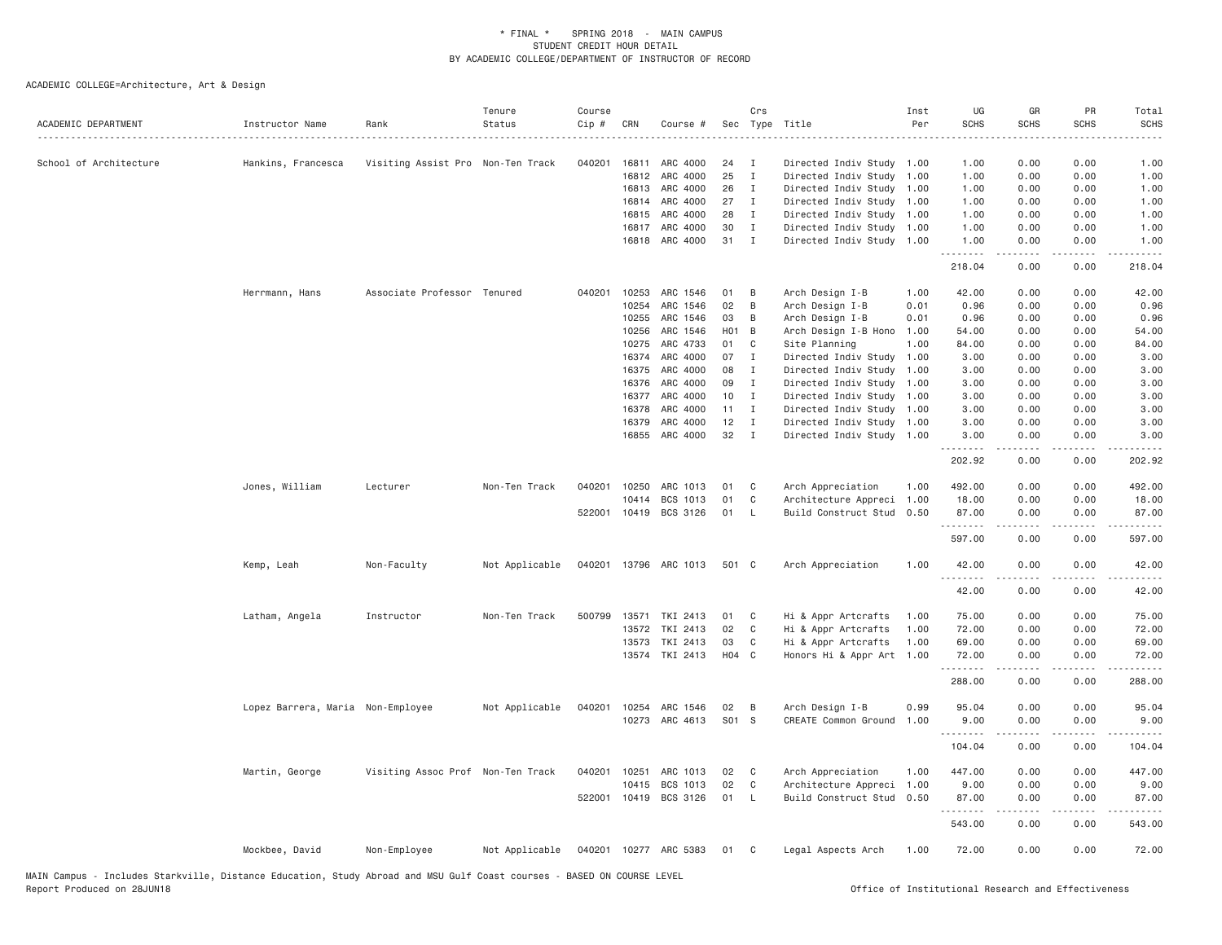| ACADEMIC DEPARTMENT    | Instructor Name                   | Rank                              | Tenure<br>Status | Course<br>Cip # | CRN   | Course #       |         | Crs          | Sec Type Title            | Inst<br>Per | UG<br><b>SCHS</b>   | GR<br><b>SCHS</b> | PR<br><b>SCHS</b> | Total<br><b>SCHS</b>   |
|------------------------|-----------------------------------|-----------------------------------|------------------|-----------------|-------|----------------|---------|--------------|---------------------------|-------------|---------------------|-------------------|-------------------|------------------------|
| School of Architecture | Hankins, Francesca                | Visiting Assist Pro Non-Ten Track |                  | 040201          | 16811 | ARC 4000       | 24      | $\mathbf{I}$ | Directed Indiv Study 1.00 |             | 1.00                | 0.00              | 0.00              | 1.00                   |
|                        |                                   |                                   |                  |                 | 16812 | ARC 4000       | 25      | Ι.           | Directed Indiv Study      | 1.00        | 1.00                | 0.00              | 0.00              | 1.00                   |
|                        |                                   |                                   |                  |                 | 16813 | ARC 4000       | 26      | $\mathbf{I}$ | Directed Indiv Study      | 1.00        | 1.00                | 0.00              | 0.00              | 1.00                   |
|                        |                                   |                                   |                  |                 | 16814 | ARC 4000       | 27      | I            | Directed Indiv Study      | 1.00        | 1.00                | 0.00              | 0.00              | 1.00                   |
|                        |                                   |                                   |                  |                 | 16815 | ARC 4000       | 28      | $\mathbf{I}$ | Directed Indiv Study 1.00 |             | 1.00                | 0.00              | 0.00              | 1.00                   |
|                        |                                   |                                   |                  |                 | 16817 | ARC 4000       | 30      | $\mathbf{I}$ | Directed Indiv Study      | 1.00        | 1.00                | 0.00              | 0.00              | 1.00                   |
|                        |                                   |                                   |                  |                 | 16818 | ARC 4000       | 31      | $\mathbf{I}$ | Directed Indiv Study 1.00 |             | 1.00<br>.           | 0.00<br>.         | 0.00<br>.         | 1.00<br>.              |
|                        |                                   |                                   |                  |                 |       |                |         |              |                           |             | 218.04              | 0.00              | 0.00              | 218.04                 |
|                        | Herrmann, Hans                    | Associate Professor Tenured       |                  | 040201          | 10253 | ARC 1546       | 01      | B            | Arch Design I-B           | 1.00        | 42.00               | 0.00              | 0.00              | 42.00                  |
|                        |                                   |                                   |                  |                 | 10254 | ARC 1546       | 02      | B            | Arch Design I-B           | 0.01        | 0.96                | 0.00              | 0.00              | 0.96                   |
|                        |                                   |                                   |                  |                 | 10255 | ARC 1546       | 03      | B            | Arch Design I-B           | 0.01        | 0.96                | 0.00              | 0.00              | 0.96                   |
|                        |                                   |                                   |                  |                 | 10256 | ARC 1546       | H01     | B            | Arch Design I-B Hono      | 1.00        | 54.00               | 0.00              | 0.00              | 54.00                  |
|                        |                                   |                                   |                  |                 | 10275 | ARC 4733       | 01      | C            | Site Planning             | 1.00        | 84.00               | 0.00              | 0.00              | 84.00                  |
|                        |                                   |                                   |                  |                 | 16374 | ARC 4000       | 07      | $\mathbf{I}$ | Directed Indiv Study      | 1.00        | 3.00                | 0.00              | 0.00              | 3.00                   |
|                        |                                   |                                   |                  |                 | 16375 | ARC 4000       | 08      | $\mathbf{I}$ | Directed Indiv Study      | 1.00        | 3.00                | 0.00              | 0.00              | 3.00                   |
|                        |                                   |                                   |                  |                 | 16376 | ARC 4000       | 09      | $\mathbf{I}$ | Directed Indiv Study      | 1.00        | 3.00                | 0.00              | 0.00              | 3.00                   |
|                        |                                   |                                   |                  |                 | 16377 | ARC 4000       | 10      | $\mathbf{I}$ | Directed Indiv Study      | 1.00        | 3.00                | 0.00              | 0.00              | 3.00                   |
|                        |                                   |                                   |                  |                 | 16378 | ARC 4000       | 11      | $\mathbf{I}$ | Directed Indiv Study 1.00 |             | 3.00                | 0.00              | 0.00              | 3.00                   |
|                        |                                   |                                   |                  |                 | 16379 | ARC 4000       | 12      | Ι.           | Directed Indiv Study      | 1.00        | 3.00                | 0.00              | 0.00              | 3.00                   |
|                        |                                   |                                   |                  |                 | 16855 | ARC 4000       | 32      | $\mathbf{I}$ | Directed Indiv Study 1.00 |             | 3,00<br>.           | 0.00<br>.         | 0.00<br>.         | 3.00<br>.              |
|                        |                                   |                                   |                  |                 |       |                |         |              |                           |             | 202.92              | 0.00              | 0.00              | 202.92                 |
|                        | Jones, William                    | Lecturer                          | Non-Ten Track    | 040201          | 10250 | ARC 1013       | 01      | C            | Arch Appreciation         | 1.00        | 492.00              | 0.00              | 0.00              | 492.00                 |
|                        |                                   |                                   |                  |                 | 10414 | BCS 1013       | 01      | C            | Architecture Appreci      | 1.00        | 18.00               | 0.00              | 0.00              | 18.00                  |
|                        |                                   |                                   |                  | 522001          |       | 10419 BCS 3126 | 01      | <b>L</b>     | Build Construct Stud      | 0.50        | 87.00<br><u>.</u>   | 0.00<br>.         | 0.00<br>.         | 87.00<br>$- - - - - -$ |
|                        |                                   |                                   |                  |                 |       |                |         |              |                           |             | 597.00              | 0.00              | 0.00              | 597.00                 |
|                        | Kemp, Leah                        | Non-Faculty                       | Not Applicable   | 040201          |       | 13796 ARC 1013 | 501 C   |              | Arch Appreciation         | 1.00        | 42.00<br>.          | 0.00<br>.         | 0.00<br>$- - - -$ | 42.00<br>.             |
|                        |                                   |                                   |                  |                 |       |                |         |              |                           |             | 42.00               | 0.00              | 0.00              | 42.00                  |
|                        | Latham, Angela                    | Instructor                        | Non-Ten Track    | 500799          | 13571 | TKI 2413       | 01      | C            | Hi & Appr Artcrafts       | 1.00        | 75.00               | 0.00              | 0.00              | 75.00                  |
|                        |                                   |                                   |                  |                 | 13572 | TKI 2413       | 02      | C            | Hi & Appr Artcrafts       | 1.00        | 72.00               | 0.00              | 0.00              | 72.00                  |
|                        |                                   |                                   |                  |                 | 13573 | TKI 2413       | 03      | C            | Hi & Appr Artcrafts       | 1.00        | 69.00               | 0.00              | 0.00              | 69.00                  |
|                        |                                   |                                   |                  |                 |       | 13574 TKI 2413 | $H04$ C |              | Honors Hi & Appr Art 1.00 |             | 72.00<br>.          | 0.00              | 0.00<br>.         | 72.00<br>.             |
|                        |                                   |                                   |                  |                 |       |                |         |              |                           |             | 288.00              | 0.00              | 0.00              | 288.00                 |
|                        | Lopez Barrera, Maria Non-Employee |                                   | Not Applicable   | 040201          |       | 10254 ARC 1546 | 02      | B            | Arch Design I-B           | 0.99        | 95.04               | 0.00              | 0.00              | 95.04                  |
|                        |                                   |                                   |                  |                 |       | 10273 ARC 4613 | S01 S   |              | CREATE Common Ground      | 1,00        | 9.00                | 0.00              | 0.00              | 9.00                   |
|                        |                                   |                                   |                  |                 |       |                |         |              |                           |             | .<br>104.04         | .<br>0.00         | .<br>0.00         | <u>.</u><br>104.04     |
|                        |                                   |                                   |                  |                 |       |                |         |              |                           |             |                     |                   |                   |                        |
|                        | Martin, George                    | Visiting Assoc Prof Non-Ten Track |                  | 040201          | 10251 | ARC 1013       | 02      | C            | Arch Appreciation         | 1.00        | 447.00              | 0.00              | 0.00              | 447.00                 |
|                        |                                   |                                   |                  |                 | 10415 | BCS 1013       | 02      | C            | Architecture Appreci 1.00 |             | 9.00                | 0.00              | 0.00              | 9.00                   |
|                        |                                   |                                   |                  | 522001          | 10419 | BCS 3126       | 01      | $\mathsf{L}$ | Build Construct Stud      | 0.50        | 87.00<br>. <b>.</b> | 0.00              | 0.00<br>د د د د   | 87.00<br>.             |
|                        |                                   |                                   |                  |                 |       |                |         |              |                           |             | 543.00              | 0.00              | 0.00              | 543.00                 |
|                        | Mockbee, David                    | Non-Employee                      | Not Applicable   | 040201          |       | 10277 ARC 5383 | 01      | C            | Legal Aspects Arch        | 1.00        | 72.00               | 0.00              | 0.00              | 72.00                  |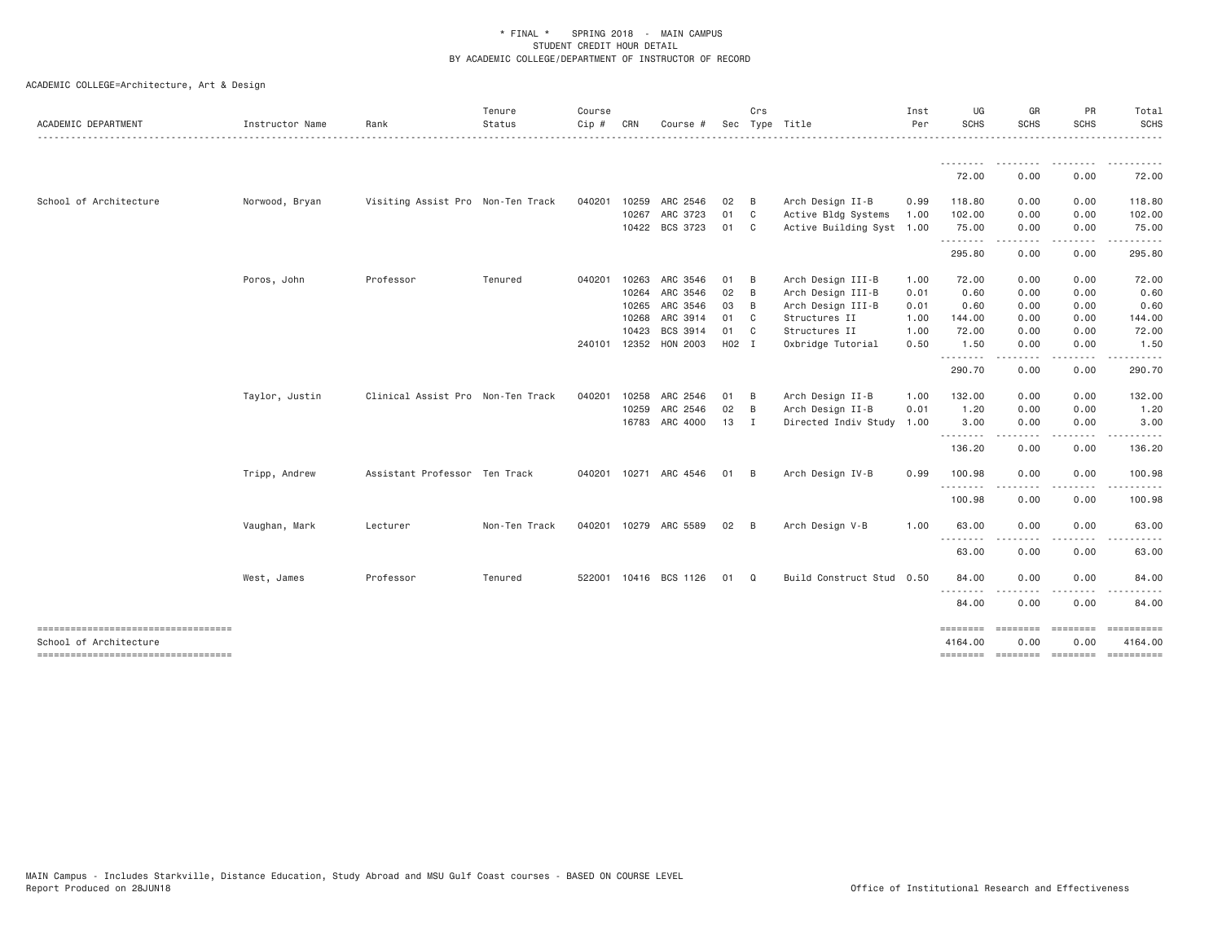| ACADEMIC DEPARTMENT    | Instructor Name | Rank                              | Tenure<br>Status | Course<br>Cip # | CRN   | Course #              |       | Crs            | Sec Type Title            | Inst<br>Per | UG<br>SCHS                                                                                                                         | GR<br><b>SCHS</b>                                                                                                                 | PR<br><b>SCHS</b>       | Total<br><b>SCHS</b><br>. |
|------------------------|-----------------|-----------------------------------|------------------|-----------------|-------|-----------------------|-------|----------------|---------------------------|-------------|------------------------------------------------------------------------------------------------------------------------------------|-----------------------------------------------------------------------------------------------------------------------------------|-------------------------|---------------------------|
|                        |                 |                                   |                  |                 |       |                       |       |                |                           |             | --------<br>72.00                                                                                                                  | --------<br>0.00                                                                                                                  | - - - - - - - -<br>0.00 | ----------<br>72.00       |
|                        |                 |                                   |                  |                 |       |                       |       |                |                           |             |                                                                                                                                    |                                                                                                                                   |                         |                           |
| School of Architecture | Norwood, Bryan  | Visiting Assist Pro Non-Ten Track |                  | 040201          | 10259 | ARC 2546              | 02    | $\overline{B}$ | Arch Design II-B          | 0.99        | 118.80                                                                                                                             | 0.00                                                                                                                              | 0.00                    | 118.80                    |
|                        |                 |                                   |                  |                 | 10267 | ARC 3723              | 01    | $\mathbf{C}$   | Active Bldg Systems       | 1.00        | 102.00                                                                                                                             | 0.00                                                                                                                              | 0.00                    | 102.00                    |
|                        |                 |                                   |                  |                 |       | 10422 BCS 3723        | 01 C  |                | Active Building Syst 1.00 |             | 75.00<br><u>.</u>                                                                                                                  | 0.00                                                                                                                              | 0.00                    | 75.00                     |
|                        |                 |                                   |                  |                 |       |                       |       |                |                           |             | 295.80                                                                                                                             | .<br>0.00                                                                                                                         | .<br>0.00               | 295.80                    |
|                        | Poros, John     | Professor                         | Tenured          | 040201 10263    |       | ARC 3546              | 01 B  |                | Arch Design III-B         | 1.00        | 72.00                                                                                                                              | 0.00                                                                                                                              | 0.00                    | 72.00                     |
|                        |                 |                                   |                  |                 | 10264 | ARC 3546              | 02    | B              | Arch Design III-B         | 0.01        | 0.60                                                                                                                               | 0.00                                                                                                                              | 0.00                    | 0.60                      |
|                        |                 |                                   |                  |                 | 10265 | ARC 3546              | 03    | B              | Arch Design III-B         | 0.01        | 0.60                                                                                                                               | 0.00                                                                                                                              | 0.00                    | 0.60                      |
|                        |                 |                                   |                  |                 | 10268 | ARC 3914              | 01    | $\mathbb{C}$   | Structures II             | 1.00        | 144.00                                                                                                                             | 0.00                                                                                                                              | 0.00                    | 144.00                    |
|                        |                 |                                   |                  |                 | 10423 | BCS 3914              | 01 C  |                | Structures II             | 1.00        | 72.00                                                                                                                              | 0.00                                                                                                                              | 0.00                    | 72.00                     |
|                        |                 |                                   |                  |                 |       | 240101 12352 HON 2003 | H02 I |                | Oxbridge Tutorial         | 0.50        | 1.50                                                                                                                               | 0.00                                                                                                                              | 0.00                    | 1.50                      |
|                        |                 |                                   |                  |                 |       |                       |       |                |                           |             | 290.70                                                                                                                             | ----<br>0.00                                                                                                                      | $\cdots$<br>0.00        | 290.70                    |
|                        | Taylor, Justin  | Clinical Assist Pro Non-Ten Track |                  | 040201          | 10258 | ARC 2546              | 01    | $\overline{B}$ | Arch Design II-B          | 1.00        | 132.00                                                                                                                             | 0.00                                                                                                                              | 0.00                    | 132.00                    |
|                        |                 |                                   |                  |                 | 10259 | ARC 2546              | 02    | $\overline{B}$ | Arch Design II-B          | 0.01        | 1.20                                                                                                                               | 0.00                                                                                                                              | 0.00                    | 1.20                      |
|                        |                 |                                   |                  |                 | 16783 | ARC 4000              | 13    | $\mathbf{I}$   | Directed Indiv Study 1.00 |             | 3.00                                                                                                                               | 0.00                                                                                                                              | 0.00                    | 3.00                      |
|                        |                 |                                   |                  |                 |       |                       |       |                |                           |             | .<br>136.20                                                                                                                        | $\frac{1}{2} \left( \frac{1}{2} \right) \left( \frac{1}{2} \right) \left( \frac{1}{2} \right) \left( \frac{1}{2} \right)$<br>0.00 | .<br>0.00               | 136.20                    |
|                        | Tripp, Andrew   | Assistant Professor Ten Track     |                  |                 |       | 040201 10271 ARC 4546 | 01 B  |                | Arch Design IV-B          | 0.99        | 100.98                                                                                                                             | 0.00                                                                                                                              | 0.00                    | 100.98                    |
|                        |                 |                                   |                  |                 |       |                       |       |                |                           |             | 100.98                                                                                                                             | 0.00                                                                                                                              | 0.00                    | 100.98                    |
|                        | Vaughan, Mark   | Lecturer                          | Non-Ten Track    |                 |       | 040201 10279 ARC 5589 | 02    | — В            | Arch Design V-B           | 1.00        | 63.00                                                                                                                              | 0.00                                                                                                                              | 0.00                    | 63.00                     |
|                        |                 |                                   |                  |                 |       |                       |       |                |                           |             | $\frac{1}{2} \left( \frac{1}{2} \right) \left( \frac{1}{2} \right) \left( \frac{1}{2} \right) \left( \frac{1}{2} \right)$<br>63.00 | 0.00                                                                                                                              | 0.00                    | 63.00                     |
|                        |                 |                                   |                  |                 |       |                       |       |                |                           |             |                                                                                                                                    |                                                                                                                                   |                         |                           |
|                        | West, James     | Professor                         | Tenured          |                 |       | 522001 10416 BCS 1126 | 01 Q  |                | Build Construct Stud 0.50 |             | 84.00<br>--------                                                                                                                  | 0.00                                                                                                                              | 0.00                    | 84.00                     |
|                        |                 |                                   |                  |                 |       |                       |       |                |                           |             | 84.00                                                                                                                              | 0.00                                                                                                                              | 0.00                    | 84.00                     |
| School of Architecture |                 |                                   |                  |                 |       |                       |       |                |                           |             | ========<br>4164.00                                                                                                                | ========<br>0.00                                                                                                                  | ========<br>0.00        | 4164.00                   |
|                        |                 |                                   |                  |                 |       |                       |       |                |                           |             | ========                                                                                                                           |                                                                                                                                   | --------- --------      | $=$ ==========            |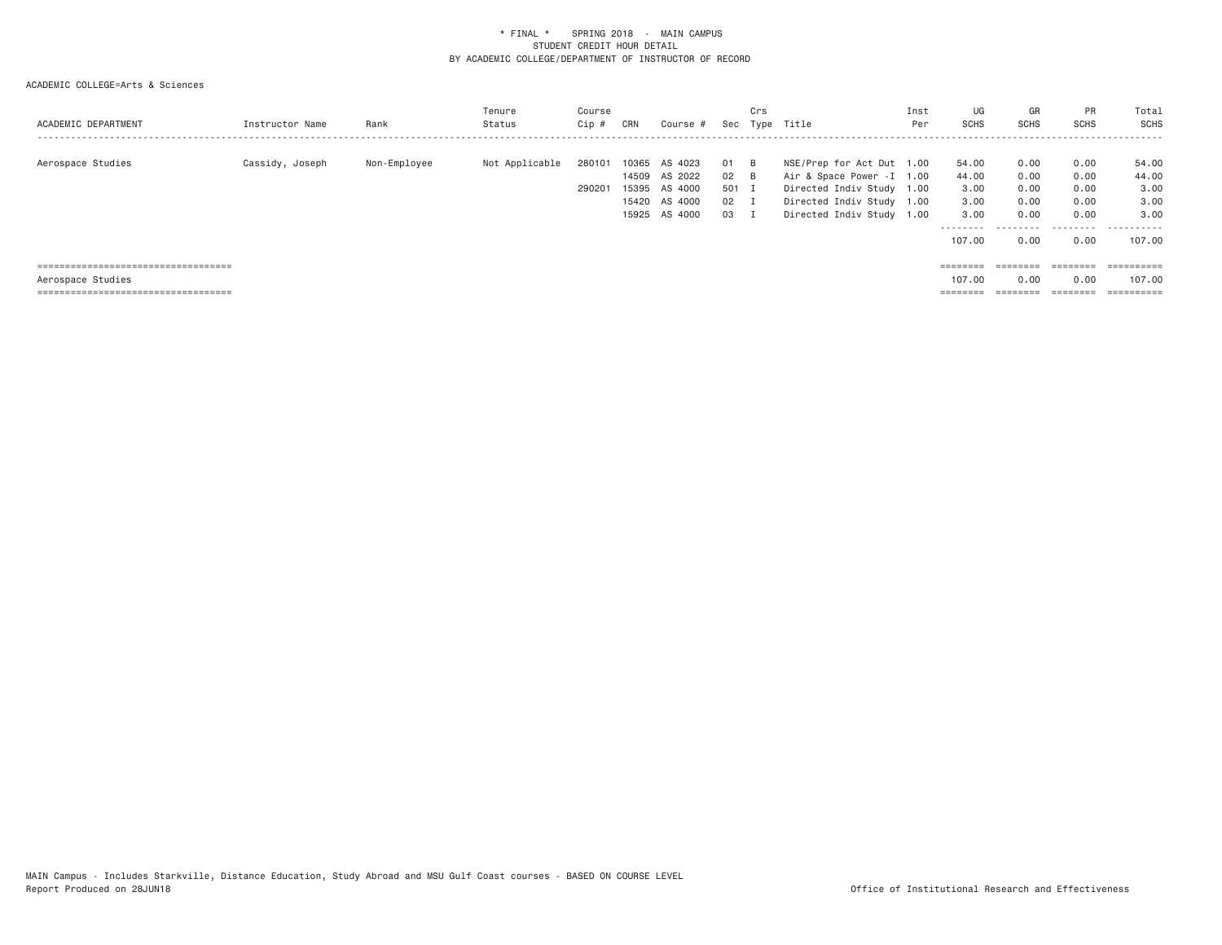| ACADEMIC DEPARTMENT                                                           | Instructor Name | Rank         | Tenure<br>Status | Course<br>Cip #  | CRN            | Course #                                                              | Sec                           | Crs<br>Type            | Title                                                                                                                                          | Inst<br>Per | UG<br><b>SCHS</b>                                   | GR<br><b>SCHS</b>                         | PR<br><b>SCHS</b>                         | Total<br>SCHS                               |
|-------------------------------------------------------------------------------|-----------------|--------------|------------------|------------------|----------------|-----------------------------------------------------------------------|-------------------------------|------------------------|------------------------------------------------------------------------------------------------------------------------------------------------|-------------|-----------------------------------------------------|-------------------------------------------|-------------------------------------------|---------------------------------------------|
| Aerospace Studies                                                             | Cassidy, Joseph | Non-Employee | Not Applicable   | 280101<br>290201 | 10365<br>15395 | AS 4023<br>14509 AS 2022<br>AS 4000<br>15420 AS 4000<br>15925 AS 4000 | 01<br>02<br>501 I<br>02<br>03 | <b>B</b><br>- B<br>- 1 | NSE/Prep for Act Dut 1.00<br>Air & Space Power - I 1.00<br>Directed Indiv Study 1.00<br>Directed Indiv Study 1.00<br>Directed Indiv Study 1.00 |             | 54.00<br>44.00<br>3.00<br>3,00<br>3,00<br>--------- | 0.00<br>0.00<br>0.00<br>0.00<br>0.00<br>. | 0.00<br>0.00<br>0.00<br>0.00<br>0.00<br>. | 54.00<br>44.00<br>3.00<br>3.00<br>3.00<br>. |
|                                                                               |                 |              |                  |                  |                |                                                                       |                               |                        |                                                                                                                                                |             | 107.00                                              | 0.00                                      | 0.00                                      | 107.00                                      |
| =====================================                                         |                 |              |                  |                  |                |                                                                       |                               |                        |                                                                                                                                                |             |                                                     |                                           |                                           | $=$ = = = = = = = = =                       |
| Aerospace Studies                                                             |                 |              |                  |                  |                |                                                                       |                               |                        |                                                                                                                                                |             | 107,00                                              | 0.00                                      | 0.00                                      | 107,00                                      |
| -------------------------------------<br>------------------------------------ |                 |              |                  |                  |                |                                                                       |                               |                        |                                                                                                                                                |             | --------<br>--------                                | ________                                  | ________                                  | ----------<br>--------                      |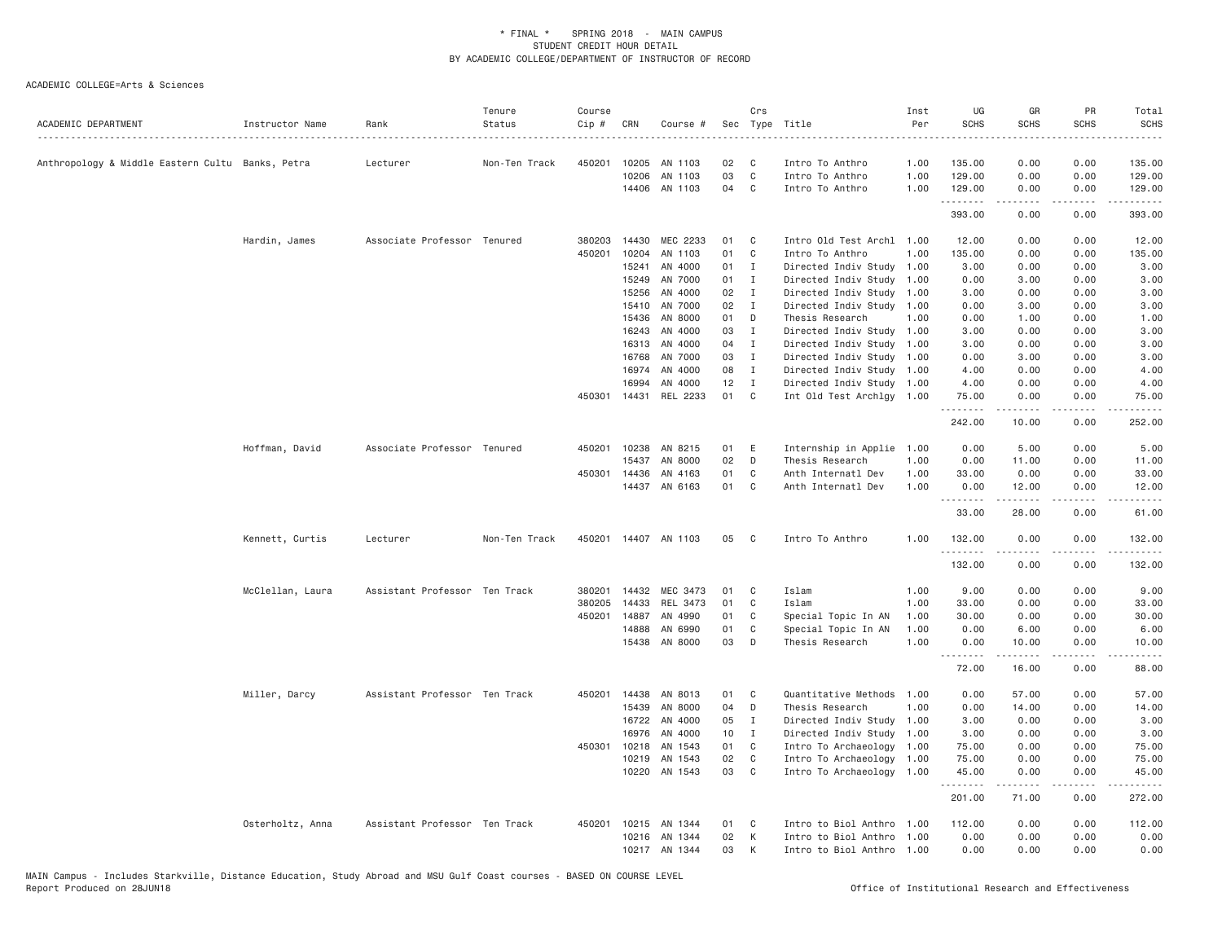| 0.00<br>450201<br>10205<br>02<br>1.00<br>135.00<br>0.00<br>135.00<br>Anthropology & Middle Eastern Cultu Banks, Petra<br>Lecturer<br>Non-Ten Track<br>AN 1103<br>C.<br>Intro To Anthro<br>03<br>$\mathbb C$<br>0.00<br>10206<br>AN 1103<br>Intro To Anthro<br>1.00<br>129.00<br>0.00<br>129.00<br>04<br>C<br>14406<br>AN 1103<br>Intro To Anthro<br>1.00<br>129.00<br>0.00<br>0.00<br>129.00<br>.<br>2.2.2.2.2<br>.<br>.<br>393.00<br>0.00<br>0.00<br>393.00<br>MEC 2233<br>Hardin, James<br>Associate Professor Tenured<br>380203<br>14430<br>01<br>C<br>Intro Old Test Archl 1.00<br>12.00<br>0.00<br>0.00<br>12.00<br>450201<br>10204<br>01<br>C<br>Intro To Anthro<br>1,00<br>135.00<br>0.00<br>0.00<br>135.00<br>AN 1103<br>15241<br>AN 4000<br>01<br>3.00<br>Ι.<br>Directed Indiv Study<br>1.00<br>3.00<br>0.00<br>0.00<br>AN 7000<br>15249<br>01<br>$\mathbf{I}$<br>Directed Indiv Study<br>1.00<br>0.00<br>3.00<br>0.00<br>3.00<br>15256<br>AN 4000<br>02<br>$\mathbf I$<br>Directed Indiv Study<br>1.00<br>3.00<br>0.00<br>0.00<br>3.00<br>AN 7000<br>15410<br>02<br>I<br>Directed Indiv Study 1.00<br>0.00<br>3.00<br>0.00<br>3.00<br>15436<br>AN 8000<br>01<br>D<br>Thesis Research<br>1.00<br>0.00<br>1.00<br>0.00<br>1.00<br>AN 4000<br>03<br>$\mathbf{I}$<br>Directed Indiv Study 1.00<br>3.00<br>0.00<br>0.00<br>3.00<br>16243<br>AN 4000<br>04<br>Directed Indiv Study 1.00<br>3.00<br>0.00<br>3.00<br>16313<br>$\mathbf{I}$<br>0.00<br>16768<br>AN 7000<br>03<br>I<br>Directed Indiv Study 1.00<br>0.00<br>3.00<br>0.00<br>3.00<br>16974<br>AN 4000<br>08<br>$\mathbf I$<br>Directed Indiv Study 1.00<br>4.00<br>0.00<br>0.00<br>4.00<br>16994<br>AN 4000<br>12<br>$\mathbf I$<br>Directed Indiv Study 1.00<br>4.00<br>0.00<br>0.00<br>4.00<br>01<br>450301<br>14431<br>REL 2233<br>C<br>Int Old Test Archlgy 1.00<br>75.00<br>0.00<br>0.00<br>75.00<br>.<br>.<br>$- - - - - -$<br>$- - - - -$<br>242.00<br>0.00<br>252.00<br>10.00<br>0.00<br>Hoffman, David<br>Associate Professor Tenured<br>450201<br>10238<br>AN 8215<br>01<br>E<br>Internship in Applie 1.00<br>5.00<br>0.00<br>5.00<br>15437<br>AN 8000<br>02<br>D<br>Thesis Research<br>1.00<br>0.00<br>11.00<br>0.00<br>11.00<br>450301<br>14436<br>AN 4163<br>01<br>C<br>Anth Internatl Dev<br>1.00<br>33.00<br>0.00<br>33.00<br>0.00<br>14437 AN 6163<br>01<br>C<br>Anth Internatl Dev<br>1.00<br>0.00<br>12.00<br>0.00<br>12.00<br>1.1.1.1.1.1.1<br>$- - - - -$<br>.<br>.<br>33.00<br>28.00<br>0.00<br>61.00<br>Kennett, Curtis<br>05<br>132.00<br>Lecturer<br>Non-Ten Track<br>450201 14407 AN 1103<br>C.<br>Intro To Anthro<br>1.00<br>0.00<br>0.00<br>132.00<br>.<br>132.00<br>0.00<br>132.00<br>0.00<br>MEC 3473<br>Islam<br>1.00<br>9.00<br>9.00<br>McClellan, Laura<br>Assistant Professor Ten Track<br>380201<br>14432<br>01<br>C<br>0.00<br>0.00<br>380205<br>14433<br>REL 3473<br>01<br>C<br>Islam<br>1.00<br>33.00<br>0.00<br>0.00<br>33.00<br>450201<br>14887<br>AN 4990<br>01<br>1.00<br>30.00<br>0.00<br>30.00<br>C<br>Special Topic In AN<br>0.00<br>14888<br>AN 6990<br>01<br>C<br>1.00<br>0.00<br>Special Topic In AN<br>6.00<br>0.00<br>6.00<br>AN 8000<br>03<br>D<br>15438<br>Thesis Research<br>1.00<br>0.00<br>10.00<br>0.00<br>10.00<br>.<br>$\omega$ is a set<br>د د د د<br>.<br>72.00<br>16.00<br>0.00<br>88.00<br>Quantitative Methods<br>0.00<br>Miller, Darcy<br>Assistant Professor Ten Track<br>450201<br>14438<br>AN 8013<br>01<br>C<br>1.00<br>57.00<br>0.00<br>57.00<br>04<br>D<br>1.00<br>0.00<br>0.00<br>15439<br>AN 8000<br>Thesis Research<br>14.00<br>14.00<br>05<br>16722<br>AN 4000<br>Ι.<br>Directed Indiv Study 1.00<br>3.00<br>0.00<br>0.00<br>3.00<br>16976<br>AN 4000<br>10<br>$\mathbf{I}$<br>Directed Indiv Study 1.00<br>3.00<br>0.00<br>0.00<br>3.00<br>450301<br>10218<br>AN 1543<br>01<br>C<br>Intro To Archaeology 1.00<br>75.00<br>0.00<br>75.00<br>0.00<br>10219<br>AN 1543<br>02<br>C<br>Intro To Archaeology 1.00<br>75.00<br>0.00<br>75.00<br>0.00<br>10220 AN 1543<br>03<br>C<br>Intro To Archaeology 1.00<br>45.00<br>0.00<br>0.00<br>45.00<br>.<br>.<br>.<br>.<br>201.00<br>71.00<br>0.00<br>272.00<br>Osterholtz, Anna<br>Assistant Professor Ten Track<br>10215<br>AN 1344<br>01<br>Intro to Biol Anthro<br>112.00<br>0.00<br>0.00<br>112.00<br>450201<br>C<br>1.00<br>AN 1344<br>02<br>Intro to Biol Anthro<br>0.00<br>0.00<br>0.00<br>0.00<br>10216<br>К<br>1.00<br>10217 AN 1344<br>03<br>K<br>Intro to Biol Anthro 1.00<br>0.00<br>0.00<br>0.00 | ACADEMIC DEPARTMENT | Instructor Name | Rank | Tenure<br>Status | Course<br>Cip # | CRN | Course # | Crs | Sec Type Title | Inst<br>Per | UG<br><b>SCHS</b> | GR<br><b>SCHS</b> | <b>PR</b><br><b>SCHS</b> | Total<br><b>SCHS</b><br>$\cdots$ |
|----------------------------------------------------------------------------------------------------------------------------------------------------------------------------------------------------------------------------------------------------------------------------------------------------------------------------------------------------------------------------------------------------------------------------------------------------------------------------------------------------------------------------------------------------------------------------------------------------------------------------------------------------------------------------------------------------------------------------------------------------------------------------------------------------------------------------------------------------------------------------------------------------------------------------------------------------------------------------------------------------------------------------------------------------------------------------------------------------------------------------------------------------------------------------------------------------------------------------------------------------------------------------------------------------------------------------------------------------------------------------------------------------------------------------------------------------------------------------------------------------------------------------------------------------------------------------------------------------------------------------------------------------------------------------------------------------------------------------------------------------------------------------------------------------------------------------------------------------------------------------------------------------------------------------------------------------------------------------------------------------------------------------------------------------------------------------------------------------------------------------------------------------------------------------------------------------------------------------------------------------------------------------------------------------------------------------------------------------------------------------------------------------------------------------------------------------------------------------------------------------------------------------------------------------------------------------------------------------------------------------------------------------------------------------------------------------------------------------------------------------------------------------------------------------------------------------------------------------------------------------------------------------------------------------------------------------------------------------------------------------------------------------------------------------------------------------------------------------------------------------------------------------------------------------------------------------------------------------------------------------------------------------------------------------------------------------------------------------------------------------------------------------------------------------------------------------------------------------------------------------------------------------------------------------------------------------------------------------------------------------------------------------------------------------------------------------------------------------------------------------------------------------------------------------------------------------------------------------------------------------------------------------------------------------------------------------------------------------------------------------------------------------------------------------------------------------------------------------------------------------------------------------------------------------------------------------------------------------------------------------------------------------------------------------------------------------------------------------------------------------------------------------------------------------------------------------------------------------------------------|---------------------|-----------------|------|------------------|-----------------|-----|----------|-----|----------------|-------------|-------------------|-------------------|--------------------------|----------------------------------|
|                                                                                                                                                                                                                                                                                                                                                                                                                                                                                                                                                                                                                                                                                                                                                                                                                                                                                                                                                                                                                                                                                                                                                                                                                                                                                                                                                                                                                                                                                                                                                                                                                                                                                                                                                                                                                                                                                                                                                                                                                                                                                                                                                                                                                                                                                                                                                                                                                                                                                                                                                                                                                                                                                                                                                                                                                                                                                                                                                                                                                                                                                                                                                                                                                                                                                                                                                                                                                                                                                                                                                                                                                                                                                                                                                                                                                                                                                                                                                                                                                                                                                                                                                                                                                                                                                                                                                                                                                                                                                              |                     |                 |      |                  |                 |     |          |     |                |             |                   |                   |                          |                                  |
|                                                                                                                                                                                                                                                                                                                                                                                                                                                                                                                                                                                                                                                                                                                                                                                                                                                                                                                                                                                                                                                                                                                                                                                                                                                                                                                                                                                                                                                                                                                                                                                                                                                                                                                                                                                                                                                                                                                                                                                                                                                                                                                                                                                                                                                                                                                                                                                                                                                                                                                                                                                                                                                                                                                                                                                                                                                                                                                                                                                                                                                                                                                                                                                                                                                                                                                                                                                                                                                                                                                                                                                                                                                                                                                                                                                                                                                                                                                                                                                                                                                                                                                                                                                                                                                                                                                                                                                                                                                                                              |                     |                 |      |                  |                 |     |          |     |                |             |                   |                   |                          |                                  |
|                                                                                                                                                                                                                                                                                                                                                                                                                                                                                                                                                                                                                                                                                                                                                                                                                                                                                                                                                                                                                                                                                                                                                                                                                                                                                                                                                                                                                                                                                                                                                                                                                                                                                                                                                                                                                                                                                                                                                                                                                                                                                                                                                                                                                                                                                                                                                                                                                                                                                                                                                                                                                                                                                                                                                                                                                                                                                                                                                                                                                                                                                                                                                                                                                                                                                                                                                                                                                                                                                                                                                                                                                                                                                                                                                                                                                                                                                                                                                                                                                                                                                                                                                                                                                                                                                                                                                                                                                                                                                              |                     |                 |      |                  |                 |     |          |     |                |             |                   |                   |                          |                                  |
|                                                                                                                                                                                                                                                                                                                                                                                                                                                                                                                                                                                                                                                                                                                                                                                                                                                                                                                                                                                                                                                                                                                                                                                                                                                                                                                                                                                                                                                                                                                                                                                                                                                                                                                                                                                                                                                                                                                                                                                                                                                                                                                                                                                                                                                                                                                                                                                                                                                                                                                                                                                                                                                                                                                                                                                                                                                                                                                                                                                                                                                                                                                                                                                                                                                                                                                                                                                                                                                                                                                                                                                                                                                                                                                                                                                                                                                                                                                                                                                                                                                                                                                                                                                                                                                                                                                                                                                                                                                                                              |                     |                 |      |                  |                 |     |          |     |                |             |                   |                   |                          |                                  |
|                                                                                                                                                                                                                                                                                                                                                                                                                                                                                                                                                                                                                                                                                                                                                                                                                                                                                                                                                                                                                                                                                                                                                                                                                                                                                                                                                                                                                                                                                                                                                                                                                                                                                                                                                                                                                                                                                                                                                                                                                                                                                                                                                                                                                                                                                                                                                                                                                                                                                                                                                                                                                                                                                                                                                                                                                                                                                                                                                                                                                                                                                                                                                                                                                                                                                                                                                                                                                                                                                                                                                                                                                                                                                                                                                                                                                                                                                                                                                                                                                                                                                                                                                                                                                                                                                                                                                                                                                                                                                              |                     |                 |      |                  |                 |     |          |     |                |             |                   |                   |                          |                                  |
|                                                                                                                                                                                                                                                                                                                                                                                                                                                                                                                                                                                                                                                                                                                                                                                                                                                                                                                                                                                                                                                                                                                                                                                                                                                                                                                                                                                                                                                                                                                                                                                                                                                                                                                                                                                                                                                                                                                                                                                                                                                                                                                                                                                                                                                                                                                                                                                                                                                                                                                                                                                                                                                                                                                                                                                                                                                                                                                                                                                                                                                                                                                                                                                                                                                                                                                                                                                                                                                                                                                                                                                                                                                                                                                                                                                                                                                                                                                                                                                                                                                                                                                                                                                                                                                                                                                                                                                                                                                                                              |                     |                 |      |                  |                 |     |          |     |                |             |                   |                   |                          |                                  |
|                                                                                                                                                                                                                                                                                                                                                                                                                                                                                                                                                                                                                                                                                                                                                                                                                                                                                                                                                                                                                                                                                                                                                                                                                                                                                                                                                                                                                                                                                                                                                                                                                                                                                                                                                                                                                                                                                                                                                                                                                                                                                                                                                                                                                                                                                                                                                                                                                                                                                                                                                                                                                                                                                                                                                                                                                                                                                                                                                                                                                                                                                                                                                                                                                                                                                                                                                                                                                                                                                                                                                                                                                                                                                                                                                                                                                                                                                                                                                                                                                                                                                                                                                                                                                                                                                                                                                                                                                                                                                              |                     |                 |      |                  |                 |     |          |     |                |             |                   |                   |                          |                                  |
|                                                                                                                                                                                                                                                                                                                                                                                                                                                                                                                                                                                                                                                                                                                                                                                                                                                                                                                                                                                                                                                                                                                                                                                                                                                                                                                                                                                                                                                                                                                                                                                                                                                                                                                                                                                                                                                                                                                                                                                                                                                                                                                                                                                                                                                                                                                                                                                                                                                                                                                                                                                                                                                                                                                                                                                                                                                                                                                                                                                                                                                                                                                                                                                                                                                                                                                                                                                                                                                                                                                                                                                                                                                                                                                                                                                                                                                                                                                                                                                                                                                                                                                                                                                                                                                                                                                                                                                                                                                                                              |                     |                 |      |                  |                 |     |          |     |                |             |                   |                   |                          |                                  |
|                                                                                                                                                                                                                                                                                                                                                                                                                                                                                                                                                                                                                                                                                                                                                                                                                                                                                                                                                                                                                                                                                                                                                                                                                                                                                                                                                                                                                                                                                                                                                                                                                                                                                                                                                                                                                                                                                                                                                                                                                                                                                                                                                                                                                                                                                                                                                                                                                                                                                                                                                                                                                                                                                                                                                                                                                                                                                                                                                                                                                                                                                                                                                                                                                                                                                                                                                                                                                                                                                                                                                                                                                                                                                                                                                                                                                                                                                                                                                                                                                                                                                                                                                                                                                                                                                                                                                                                                                                                                                              |                     |                 |      |                  |                 |     |          |     |                |             |                   |                   |                          |                                  |
|                                                                                                                                                                                                                                                                                                                                                                                                                                                                                                                                                                                                                                                                                                                                                                                                                                                                                                                                                                                                                                                                                                                                                                                                                                                                                                                                                                                                                                                                                                                                                                                                                                                                                                                                                                                                                                                                                                                                                                                                                                                                                                                                                                                                                                                                                                                                                                                                                                                                                                                                                                                                                                                                                                                                                                                                                                                                                                                                                                                                                                                                                                                                                                                                                                                                                                                                                                                                                                                                                                                                                                                                                                                                                                                                                                                                                                                                                                                                                                                                                                                                                                                                                                                                                                                                                                                                                                                                                                                                                              |                     |                 |      |                  |                 |     |          |     |                |             |                   |                   |                          |                                  |
|                                                                                                                                                                                                                                                                                                                                                                                                                                                                                                                                                                                                                                                                                                                                                                                                                                                                                                                                                                                                                                                                                                                                                                                                                                                                                                                                                                                                                                                                                                                                                                                                                                                                                                                                                                                                                                                                                                                                                                                                                                                                                                                                                                                                                                                                                                                                                                                                                                                                                                                                                                                                                                                                                                                                                                                                                                                                                                                                                                                                                                                                                                                                                                                                                                                                                                                                                                                                                                                                                                                                                                                                                                                                                                                                                                                                                                                                                                                                                                                                                                                                                                                                                                                                                                                                                                                                                                                                                                                                                              |                     |                 |      |                  |                 |     |          |     |                |             |                   |                   |                          |                                  |
|                                                                                                                                                                                                                                                                                                                                                                                                                                                                                                                                                                                                                                                                                                                                                                                                                                                                                                                                                                                                                                                                                                                                                                                                                                                                                                                                                                                                                                                                                                                                                                                                                                                                                                                                                                                                                                                                                                                                                                                                                                                                                                                                                                                                                                                                                                                                                                                                                                                                                                                                                                                                                                                                                                                                                                                                                                                                                                                                                                                                                                                                                                                                                                                                                                                                                                                                                                                                                                                                                                                                                                                                                                                                                                                                                                                                                                                                                                                                                                                                                                                                                                                                                                                                                                                                                                                                                                                                                                                                                              |                     |                 |      |                  |                 |     |          |     |                |             |                   |                   |                          |                                  |
|                                                                                                                                                                                                                                                                                                                                                                                                                                                                                                                                                                                                                                                                                                                                                                                                                                                                                                                                                                                                                                                                                                                                                                                                                                                                                                                                                                                                                                                                                                                                                                                                                                                                                                                                                                                                                                                                                                                                                                                                                                                                                                                                                                                                                                                                                                                                                                                                                                                                                                                                                                                                                                                                                                                                                                                                                                                                                                                                                                                                                                                                                                                                                                                                                                                                                                                                                                                                                                                                                                                                                                                                                                                                                                                                                                                                                                                                                                                                                                                                                                                                                                                                                                                                                                                                                                                                                                                                                                                                                              |                     |                 |      |                  |                 |     |          |     |                |             |                   |                   |                          |                                  |
|                                                                                                                                                                                                                                                                                                                                                                                                                                                                                                                                                                                                                                                                                                                                                                                                                                                                                                                                                                                                                                                                                                                                                                                                                                                                                                                                                                                                                                                                                                                                                                                                                                                                                                                                                                                                                                                                                                                                                                                                                                                                                                                                                                                                                                                                                                                                                                                                                                                                                                                                                                                                                                                                                                                                                                                                                                                                                                                                                                                                                                                                                                                                                                                                                                                                                                                                                                                                                                                                                                                                                                                                                                                                                                                                                                                                                                                                                                                                                                                                                                                                                                                                                                                                                                                                                                                                                                                                                                                                                              |                     |                 |      |                  |                 |     |          |     |                |             |                   |                   |                          |                                  |
|                                                                                                                                                                                                                                                                                                                                                                                                                                                                                                                                                                                                                                                                                                                                                                                                                                                                                                                                                                                                                                                                                                                                                                                                                                                                                                                                                                                                                                                                                                                                                                                                                                                                                                                                                                                                                                                                                                                                                                                                                                                                                                                                                                                                                                                                                                                                                                                                                                                                                                                                                                                                                                                                                                                                                                                                                                                                                                                                                                                                                                                                                                                                                                                                                                                                                                                                                                                                                                                                                                                                                                                                                                                                                                                                                                                                                                                                                                                                                                                                                                                                                                                                                                                                                                                                                                                                                                                                                                                                                              |                     |                 |      |                  |                 |     |          |     |                |             |                   |                   |                          |                                  |
|                                                                                                                                                                                                                                                                                                                                                                                                                                                                                                                                                                                                                                                                                                                                                                                                                                                                                                                                                                                                                                                                                                                                                                                                                                                                                                                                                                                                                                                                                                                                                                                                                                                                                                                                                                                                                                                                                                                                                                                                                                                                                                                                                                                                                                                                                                                                                                                                                                                                                                                                                                                                                                                                                                                                                                                                                                                                                                                                                                                                                                                                                                                                                                                                                                                                                                                                                                                                                                                                                                                                                                                                                                                                                                                                                                                                                                                                                                                                                                                                                                                                                                                                                                                                                                                                                                                                                                                                                                                                                              |                     |                 |      |                  |                 |     |          |     |                |             |                   |                   |                          |                                  |
|                                                                                                                                                                                                                                                                                                                                                                                                                                                                                                                                                                                                                                                                                                                                                                                                                                                                                                                                                                                                                                                                                                                                                                                                                                                                                                                                                                                                                                                                                                                                                                                                                                                                                                                                                                                                                                                                                                                                                                                                                                                                                                                                                                                                                                                                                                                                                                                                                                                                                                                                                                                                                                                                                                                                                                                                                                                                                                                                                                                                                                                                                                                                                                                                                                                                                                                                                                                                                                                                                                                                                                                                                                                                                                                                                                                                                                                                                                                                                                                                                                                                                                                                                                                                                                                                                                                                                                                                                                                                                              |                     |                 |      |                  |                 |     |          |     |                |             |                   |                   |                          |                                  |
|                                                                                                                                                                                                                                                                                                                                                                                                                                                                                                                                                                                                                                                                                                                                                                                                                                                                                                                                                                                                                                                                                                                                                                                                                                                                                                                                                                                                                                                                                                                                                                                                                                                                                                                                                                                                                                                                                                                                                                                                                                                                                                                                                                                                                                                                                                                                                                                                                                                                                                                                                                                                                                                                                                                                                                                                                                                                                                                                                                                                                                                                                                                                                                                                                                                                                                                                                                                                                                                                                                                                                                                                                                                                                                                                                                                                                                                                                                                                                                                                                                                                                                                                                                                                                                                                                                                                                                                                                                                                                              |                     |                 |      |                  |                 |     |          |     |                |             |                   |                   |                          |                                  |
|                                                                                                                                                                                                                                                                                                                                                                                                                                                                                                                                                                                                                                                                                                                                                                                                                                                                                                                                                                                                                                                                                                                                                                                                                                                                                                                                                                                                                                                                                                                                                                                                                                                                                                                                                                                                                                                                                                                                                                                                                                                                                                                                                                                                                                                                                                                                                                                                                                                                                                                                                                                                                                                                                                                                                                                                                                                                                                                                                                                                                                                                                                                                                                                                                                                                                                                                                                                                                                                                                                                                                                                                                                                                                                                                                                                                                                                                                                                                                                                                                                                                                                                                                                                                                                                                                                                                                                                                                                                                                              |                     |                 |      |                  |                 |     |          |     |                |             |                   |                   |                          |                                  |
|                                                                                                                                                                                                                                                                                                                                                                                                                                                                                                                                                                                                                                                                                                                                                                                                                                                                                                                                                                                                                                                                                                                                                                                                                                                                                                                                                                                                                                                                                                                                                                                                                                                                                                                                                                                                                                                                                                                                                                                                                                                                                                                                                                                                                                                                                                                                                                                                                                                                                                                                                                                                                                                                                                                                                                                                                                                                                                                                                                                                                                                                                                                                                                                                                                                                                                                                                                                                                                                                                                                                                                                                                                                                                                                                                                                                                                                                                                                                                                                                                                                                                                                                                                                                                                                                                                                                                                                                                                                                                              |                     |                 |      |                  |                 |     |          |     |                |             |                   |                   |                          |                                  |
|                                                                                                                                                                                                                                                                                                                                                                                                                                                                                                                                                                                                                                                                                                                                                                                                                                                                                                                                                                                                                                                                                                                                                                                                                                                                                                                                                                                                                                                                                                                                                                                                                                                                                                                                                                                                                                                                                                                                                                                                                                                                                                                                                                                                                                                                                                                                                                                                                                                                                                                                                                                                                                                                                                                                                                                                                                                                                                                                                                                                                                                                                                                                                                                                                                                                                                                                                                                                                                                                                                                                                                                                                                                                                                                                                                                                                                                                                                                                                                                                                                                                                                                                                                                                                                                                                                                                                                                                                                                                                              |                     |                 |      |                  |                 |     |          |     |                |             |                   |                   |                          |                                  |
|                                                                                                                                                                                                                                                                                                                                                                                                                                                                                                                                                                                                                                                                                                                                                                                                                                                                                                                                                                                                                                                                                                                                                                                                                                                                                                                                                                                                                                                                                                                                                                                                                                                                                                                                                                                                                                                                                                                                                                                                                                                                                                                                                                                                                                                                                                                                                                                                                                                                                                                                                                                                                                                                                                                                                                                                                                                                                                                                                                                                                                                                                                                                                                                                                                                                                                                                                                                                                                                                                                                                                                                                                                                                                                                                                                                                                                                                                                                                                                                                                                                                                                                                                                                                                                                                                                                                                                                                                                                                                              |                     |                 |      |                  |                 |     |          |     |                |             |                   |                   |                          |                                  |
|                                                                                                                                                                                                                                                                                                                                                                                                                                                                                                                                                                                                                                                                                                                                                                                                                                                                                                                                                                                                                                                                                                                                                                                                                                                                                                                                                                                                                                                                                                                                                                                                                                                                                                                                                                                                                                                                                                                                                                                                                                                                                                                                                                                                                                                                                                                                                                                                                                                                                                                                                                                                                                                                                                                                                                                                                                                                                                                                                                                                                                                                                                                                                                                                                                                                                                                                                                                                                                                                                                                                                                                                                                                                                                                                                                                                                                                                                                                                                                                                                                                                                                                                                                                                                                                                                                                                                                                                                                                                                              |                     |                 |      |                  |                 |     |          |     |                |             |                   |                   |                          |                                  |
|                                                                                                                                                                                                                                                                                                                                                                                                                                                                                                                                                                                                                                                                                                                                                                                                                                                                                                                                                                                                                                                                                                                                                                                                                                                                                                                                                                                                                                                                                                                                                                                                                                                                                                                                                                                                                                                                                                                                                                                                                                                                                                                                                                                                                                                                                                                                                                                                                                                                                                                                                                                                                                                                                                                                                                                                                                                                                                                                                                                                                                                                                                                                                                                                                                                                                                                                                                                                                                                                                                                                                                                                                                                                                                                                                                                                                                                                                                                                                                                                                                                                                                                                                                                                                                                                                                                                                                                                                                                                                              |                     |                 |      |                  |                 |     |          |     |                |             |                   |                   |                          |                                  |
|                                                                                                                                                                                                                                                                                                                                                                                                                                                                                                                                                                                                                                                                                                                                                                                                                                                                                                                                                                                                                                                                                                                                                                                                                                                                                                                                                                                                                                                                                                                                                                                                                                                                                                                                                                                                                                                                                                                                                                                                                                                                                                                                                                                                                                                                                                                                                                                                                                                                                                                                                                                                                                                                                                                                                                                                                                                                                                                                                                                                                                                                                                                                                                                                                                                                                                                                                                                                                                                                                                                                                                                                                                                                                                                                                                                                                                                                                                                                                                                                                                                                                                                                                                                                                                                                                                                                                                                                                                                                                              |                     |                 |      |                  |                 |     |          |     |                |             |                   |                   |                          |                                  |
|                                                                                                                                                                                                                                                                                                                                                                                                                                                                                                                                                                                                                                                                                                                                                                                                                                                                                                                                                                                                                                                                                                                                                                                                                                                                                                                                                                                                                                                                                                                                                                                                                                                                                                                                                                                                                                                                                                                                                                                                                                                                                                                                                                                                                                                                                                                                                                                                                                                                                                                                                                                                                                                                                                                                                                                                                                                                                                                                                                                                                                                                                                                                                                                                                                                                                                                                                                                                                                                                                                                                                                                                                                                                                                                                                                                                                                                                                                                                                                                                                                                                                                                                                                                                                                                                                                                                                                                                                                                                                              |                     |                 |      |                  |                 |     |          |     |                |             |                   |                   |                          |                                  |
|                                                                                                                                                                                                                                                                                                                                                                                                                                                                                                                                                                                                                                                                                                                                                                                                                                                                                                                                                                                                                                                                                                                                                                                                                                                                                                                                                                                                                                                                                                                                                                                                                                                                                                                                                                                                                                                                                                                                                                                                                                                                                                                                                                                                                                                                                                                                                                                                                                                                                                                                                                                                                                                                                                                                                                                                                                                                                                                                                                                                                                                                                                                                                                                                                                                                                                                                                                                                                                                                                                                                                                                                                                                                                                                                                                                                                                                                                                                                                                                                                                                                                                                                                                                                                                                                                                                                                                                                                                                                                              |                     |                 |      |                  |                 |     |          |     |                |             |                   |                   |                          |                                  |
|                                                                                                                                                                                                                                                                                                                                                                                                                                                                                                                                                                                                                                                                                                                                                                                                                                                                                                                                                                                                                                                                                                                                                                                                                                                                                                                                                                                                                                                                                                                                                                                                                                                                                                                                                                                                                                                                                                                                                                                                                                                                                                                                                                                                                                                                                                                                                                                                                                                                                                                                                                                                                                                                                                                                                                                                                                                                                                                                                                                                                                                                                                                                                                                                                                                                                                                                                                                                                                                                                                                                                                                                                                                                                                                                                                                                                                                                                                                                                                                                                                                                                                                                                                                                                                                                                                                                                                                                                                                                                              |                     |                 |      |                  |                 |     |          |     |                |             |                   |                   |                          |                                  |
|                                                                                                                                                                                                                                                                                                                                                                                                                                                                                                                                                                                                                                                                                                                                                                                                                                                                                                                                                                                                                                                                                                                                                                                                                                                                                                                                                                                                                                                                                                                                                                                                                                                                                                                                                                                                                                                                                                                                                                                                                                                                                                                                                                                                                                                                                                                                                                                                                                                                                                                                                                                                                                                                                                                                                                                                                                                                                                                                                                                                                                                                                                                                                                                                                                                                                                                                                                                                                                                                                                                                                                                                                                                                                                                                                                                                                                                                                                                                                                                                                                                                                                                                                                                                                                                                                                                                                                                                                                                                                              |                     |                 |      |                  |                 |     |          |     |                |             |                   |                   |                          |                                  |
|                                                                                                                                                                                                                                                                                                                                                                                                                                                                                                                                                                                                                                                                                                                                                                                                                                                                                                                                                                                                                                                                                                                                                                                                                                                                                                                                                                                                                                                                                                                                                                                                                                                                                                                                                                                                                                                                                                                                                                                                                                                                                                                                                                                                                                                                                                                                                                                                                                                                                                                                                                                                                                                                                                                                                                                                                                                                                                                                                                                                                                                                                                                                                                                                                                                                                                                                                                                                                                                                                                                                                                                                                                                                                                                                                                                                                                                                                                                                                                                                                                                                                                                                                                                                                                                                                                                                                                                                                                                                                              |                     |                 |      |                  |                 |     |          |     |                |             |                   |                   |                          |                                  |
|                                                                                                                                                                                                                                                                                                                                                                                                                                                                                                                                                                                                                                                                                                                                                                                                                                                                                                                                                                                                                                                                                                                                                                                                                                                                                                                                                                                                                                                                                                                                                                                                                                                                                                                                                                                                                                                                                                                                                                                                                                                                                                                                                                                                                                                                                                                                                                                                                                                                                                                                                                                                                                                                                                                                                                                                                                                                                                                                                                                                                                                                                                                                                                                                                                                                                                                                                                                                                                                                                                                                                                                                                                                                                                                                                                                                                                                                                                                                                                                                                                                                                                                                                                                                                                                                                                                                                                                                                                                                                              |                     |                 |      |                  |                 |     |          |     |                |             |                   |                   |                          |                                  |
|                                                                                                                                                                                                                                                                                                                                                                                                                                                                                                                                                                                                                                                                                                                                                                                                                                                                                                                                                                                                                                                                                                                                                                                                                                                                                                                                                                                                                                                                                                                                                                                                                                                                                                                                                                                                                                                                                                                                                                                                                                                                                                                                                                                                                                                                                                                                                                                                                                                                                                                                                                                                                                                                                                                                                                                                                                                                                                                                                                                                                                                                                                                                                                                                                                                                                                                                                                                                                                                                                                                                                                                                                                                                                                                                                                                                                                                                                                                                                                                                                                                                                                                                                                                                                                                                                                                                                                                                                                                                                              |                     |                 |      |                  |                 |     |          |     |                |             |                   |                   |                          |                                  |
|                                                                                                                                                                                                                                                                                                                                                                                                                                                                                                                                                                                                                                                                                                                                                                                                                                                                                                                                                                                                                                                                                                                                                                                                                                                                                                                                                                                                                                                                                                                                                                                                                                                                                                                                                                                                                                                                                                                                                                                                                                                                                                                                                                                                                                                                                                                                                                                                                                                                                                                                                                                                                                                                                                                                                                                                                                                                                                                                                                                                                                                                                                                                                                                                                                                                                                                                                                                                                                                                                                                                                                                                                                                                                                                                                                                                                                                                                                                                                                                                                                                                                                                                                                                                                                                                                                                                                                                                                                                                                              |                     |                 |      |                  |                 |     |          |     |                |             |                   |                   |                          |                                  |
|                                                                                                                                                                                                                                                                                                                                                                                                                                                                                                                                                                                                                                                                                                                                                                                                                                                                                                                                                                                                                                                                                                                                                                                                                                                                                                                                                                                                                                                                                                                                                                                                                                                                                                                                                                                                                                                                                                                                                                                                                                                                                                                                                                                                                                                                                                                                                                                                                                                                                                                                                                                                                                                                                                                                                                                                                                                                                                                                                                                                                                                                                                                                                                                                                                                                                                                                                                                                                                                                                                                                                                                                                                                                                                                                                                                                                                                                                                                                                                                                                                                                                                                                                                                                                                                                                                                                                                                                                                                                                              |                     |                 |      |                  |                 |     |          |     |                |             |                   |                   |                          |                                  |
|                                                                                                                                                                                                                                                                                                                                                                                                                                                                                                                                                                                                                                                                                                                                                                                                                                                                                                                                                                                                                                                                                                                                                                                                                                                                                                                                                                                                                                                                                                                                                                                                                                                                                                                                                                                                                                                                                                                                                                                                                                                                                                                                                                                                                                                                                                                                                                                                                                                                                                                                                                                                                                                                                                                                                                                                                                                                                                                                                                                                                                                                                                                                                                                                                                                                                                                                                                                                                                                                                                                                                                                                                                                                                                                                                                                                                                                                                                                                                                                                                                                                                                                                                                                                                                                                                                                                                                                                                                                                                              |                     |                 |      |                  |                 |     |          |     |                |             |                   |                   |                          |                                  |
|                                                                                                                                                                                                                                                                                                                                                                                                                                                                                                                                                                                                                                                                                                                                                                                                                                                                                                                                                                                                                                                                                                                                                                                                                                                                                                                                                                                                                                                                                                                                                                                                                                                                                                                                                                                                                                                                                                                                                                                                                                                                                                                                                                                                                                                                                                                                                                                                                                                                                                                                                                                                                                                                                                                                                                                                                                                                                                                                                                                                                                                                                                                                                                                                                                                                                                                                                                                                                                                                                                                                                                                                                                                                                                                                                                                                                                                                                                                                                                                                                                                                                                                                                                                                                                                                                                                                                                                                                                                                                              |                     |                 |      |                  |                 |     |          |     |                |             |                   |                   |                          |                                  |
|                                                                                                                                                                                                                                                                                                                                                                                                                                                                                                                                                                                                                                                                                                                                                                                                                                                                                                                                                                                                                                                                                                                                                                                                                                                                                                                                                                                                                                                                                                                                                                                                                                                                                                                                                                                                                                                                                                                                                                                                                                                                                                                                                                                                                                                                                                                                                                                                                                                                                                                                                                                                                                                                                                                                                                                                                                                                                                                                                                                                                                                                                                                                                                                                                                                                                                                                                                                                                                                                                                                                                                                                                                                                                                                                                                                                                                                                                                                                                                                                                                                                                                                                                                                                                                                                                                                                                                                                                                                                                              |                     |                 |      |                  |                 |     |          |     |                |             |                   |                   |                          |                                  |
|                                                                                                                                                                                                                                                                                                                                                                                                                                                                                                                                                                                                                                                                                                                                                                                                                                                                                                                                                                                                                                                                                                                                                                                                                                                                                                                                                                                                                                                                                                                                                                                                                                                                                                                                                                                                                                                                                                                                                                                                                                                                                                                                                                                                                                                                                                                                                                                                                                                                                                                                                                                                                                                                                                                                                                                                                                                                                                                                                                                                                                                                                                                                                                                                                                                                                                                                                                                                                                                                                                                                                                                                                                                                                                                                                                                                                                                                                                                                                                                                                                                                                                                                                                                                                                                                                                                                                                                                                                                                                              |                     |                 |      |                  |                 |     |          |     |                |             |                   |                   |                          |                                  |
|                                                                                                                                                                                                                                                                                                                                                                                                                                                                                                                                                                                                                                                                                                                                                                                                                                                                                                                                                                                                                                                                                                                                                                                                                                                                                                                                                                                                                                                                                                                                                                                                                                                                                                                                                                                                                                                                                                                                                                                                                                                                                                                                                                                                                                                                                                                                                                                                                                                                                                                                                                                                                                                                                                                                                                                                                                                                                                                                                                                                                                                                                                                                                                                                                                                                                                                                                                                                                                                                                                                                                                                                                                                                                                                                                                                                                                                                                                                                                                                                                                                                                                                                                                                                                                                                                                                                                                                                                                                                                              |                     |                 |      |                  |                 |     |          |     |                |             |                   |                   |                          |                                  |
|                                                                                                                                                                                                                                                                                                                                                                                                                                                                                                                                                                                                                                                                                                                                                                                                                                                                                                                                                                                                                                                                                                                                                                                                                                                                                                                                                                                                                                                                                                                                                                                                                                                                                                                                                                                                                                                                                                                                                                                                                                                                                                                                                                                                                                                                                                                                                                                                                                                                                                                                                                                                                                                                                                                                                                                                                                                                                                                                                                                                                                                                                                                                                                                                                                                                                                                                                                                                                                                                                                                                                                                                                                                                                                                                                                                                                                                                                                                                                                                                                                                                                                                                                                                                                                                                                                                                                                                                                                                                                              |                     |                 |      |                  |                 |     |          |     |                |             |                   |                   |                          |                                  |
|                                                                                                                                                                                                                                                                                                                                                                                                                                                                                                                                                                                                                                                                                                                                                                                                                                                                                                                                                                                                                                                                                                                                                                                                                                                                                                                                                                                                                                                                                                                                                                                                                                                                                                                                                                                                                                                                                                                                                                                                                                                                                                                                                                                                                                                                                                                                                                                                                                                                                                                                                                                                                                                                                                                                                                                                                                                                                                                                                                                                                                                                                                                                                                                                                                                                                                                                                                                                                                                                                                                                                                                                                                                                                                                                                                                                                                                                                                                                                                                                                                                                                                                                                                                                                                                                                                                                                                                                                                                                                              |                     |                 |      |                  |                 |     |          |     |                |             |                   |                   |                          | 0.00                             |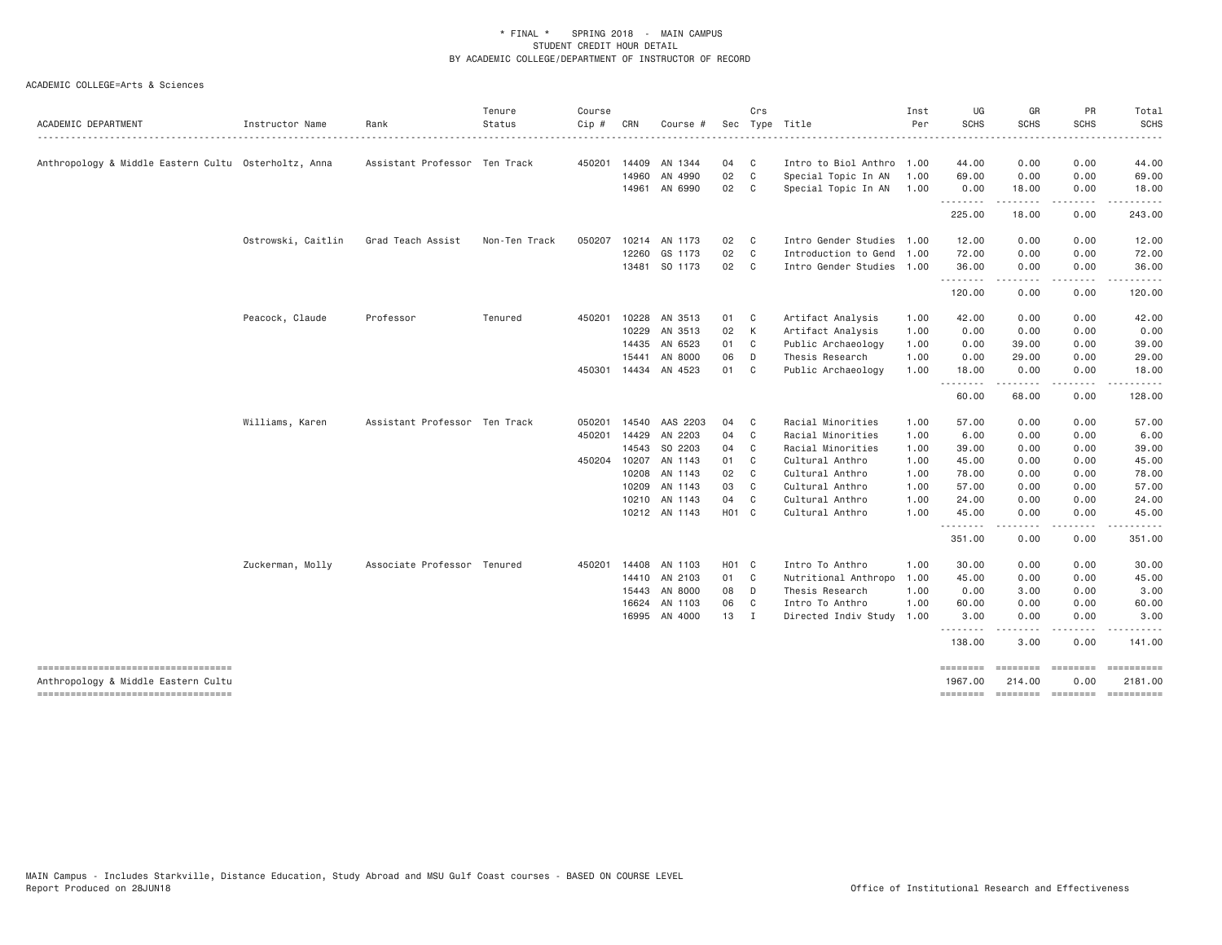| ACADEMIC DEPARTMENT                                  | Instructor Name    | Rank                          | Tenure<br>Status | Course<br>$Cip \#$ | CRN   | Course #       |       | Crs            | Sec Type Title            | Inst<br>Per | UG<br><b>SCHS</b>   | GR<br><b>SCHS</b>                                                                                                                                            | PR<br><b>SCHS</b>                                                                                                                 | Total<br><b>SCHS</b> |
|------------------------------------------------------|--------------------|-------------------------------|------------------|--------------------|-------|----------------|-------|----------------|---------------------------|-------------|---------------------|--------------------------------------------------------------------------------------------------------------------------------------------------------------|-----------------------------------------------------------------------------------------------------------------------------------|----------------------|
|                                                      |                    |                               |                  |                    |       |                |       |                |                           |             |                     | . <u>.</u>                                                                                                                                                   | .                                                                                                                                 | .                    |
| Anthropology & Middle Eastern Cultu Osterholtz, Anna |                    | Assistant Professor Ten Track |                  | 450201             |       | 14409 AN 1344  | 04    | C              | Intro to Biol Anthro 1.00 |             | 44.00               | 0.00                                                                                                                                                         | 0.00                                                                                                                              | 44.00                |
|                                                      |                    |                               |                  |                    | 14960 | AN 4990        | 02    | C              | Special Topic In AN       | 1.00        | 69.00               | 0.00                                                                                                                                                         | 0.00                                                                                                                              | 69,00                |
|                                                      |                    |                               |                  |                    | 14961 | AN 6990        | 02    | C              | Special Topic In AN       | 1.00        | 0.00                | 18.00                                                                                                                                                        | 0.00                                                                                                                              | 18.00                |
|                                                      |                    |                               |                  |                    |       |                |       |                |                           |             | .<br>225.00         | .<br>18.00                                                                                                                                                   | .<br>0.00                                                                                                                         | .<br>243.00          |
|                                                      | Ostrowski, Caitlin | Grad Teach Assist             | Non-Ten Track    | 050207             |       | 10214 AN 1173  | 02    | C              | Intro Gender Studies 1.00 |             | 12.00               | 0.00                                                                                                                                                         | 0.00                                                                                                                              | 12.00                |
|                                                      |                    |                               |                  |                    | 12260 | GS 1173        | 02    | C <sub>1</sub> | Introduction to Gend 1.00 |             | 72.00               | 0.00                                                                                                                                                         | 0.00                                                                                                                              | 72.00                |
|                                                      |                    |                               |                  |                    |       | 13481 SO 1173  | 02    | $\mathbf{C}$   | Intro Gender Studies 1.00 |             | 36.00               | 0.00                                                                                                                                                         | 0.00                                                                                                                              | 36.00                |
|                                                      |                    |                               |                  |                    |       |                |       |                |                           |             | .<br>120.00         | $\frac{1}{2} \left( \frac{1}{2} \right) \left( \frac{1}{2} \right) \left( \frac{1}{2} \right) \left( \frac{1}{2} \right) \left( \frac{1}{2} \right)$<br>0.00 | .<br>0.00                                                                                                                         | .<br>120.00          |
|                                                      | Peacock, Claude    | Professor                     | Tenured          | 450201             | 10228 | AN 3513        | 01    | C              | Artifact Analysis         | 1.00        | 42.00               | 0.00                                                                                                                                                         | 0.00                                                                                                                              | 42.00                |
|                                                      |                    |                               |                  |                    |       | 10229 AN 3513  | 02    | K              | Artifact Analysis         | 1.00        | 0.00                | 0.00                                                                                                                                                         | 0.00                                                                                                                              | 0.00                 |
|                                                      |                    |                               |                  |                    | 14435 | AN 6523        | 01    | C.             | Public Archaeology        | 1.00        | 0.00                | 39,00                                                                                                                                                        | 0.00                                                                                                                              | 39.00                |
|                                                      |                    |                               |                  |                    | 15441 | AN 8000        | 06    | D              | Thesis Research           | 1.00        | 0.00                | 29.00                                                                                                                                                        | 0.00                                                                                                                              | 29.00                |
|                                                      |                    |                               |                  | 450301             |       | 14434 AN 4523  | 01    | C.             | Public Archaeology        | 1.00        | 18.00               | 0.00                                                                                                                                                         | 0.00                                                                                                                              | 18.00                |
|                                                      |                    |                               |                  |                    |       |                |       |                |                           |             | .<br>60.00          | .<br>68.00                                                                                                                                                   | $- - - -$<br>0.00                                                                                                                 | .<br>128.00          |
|                                                      | Williams, Karen    | Assistant Professor Ten Track |                  | 050201             |       | 14540 AAS 2203 | 04    | C <sub>c</sub> | Racial Minorities         | 1.00        | 57.00               | 0.00                                                                                                                                                         | 0.00                                                                                                                              | 57.00                |
|                                                      |                    |                               |                  | 450201             |       | 14429 AN 2203  | 04    | C              | Racial Minorities         | 1.00        | 6.00                | 0.00                                                                                                                                                         | 0.00                                                                                                                              | 6.00                 |
|                                                      |                    |                               |                  |                    | 14543 | SO 2203        | 04    | C              | Racial Minorities         | 1.00        | 39.00               | 0.00                                                                                                                                                         | 0.00                                                                                                                              | 39.00                |
|                                                      |                    |                               |                  | 450204             | 10207 | AN 1143        | 01    | C.             | Cultural Anthro           | 1.00        | 45.00               | 0.00                                                                                                                                                         | 0.00                                                                                                                              | 45.00                |
|                                                      |                    |                               |                  |                    | 10208 | AN 1143        | 02    | C <sub>1</sub> | Cultural Anthro           | 1.00        | 78.00               | 0.00                                                                                                                                                         | 0.00                                                                                                                              | 78.00                |
|                                                      |                    |                               |                  |                    | 10209 | AN 1143        | 03    | C.             | Cultural Anthro           | 1.00        | 57.00               | 0.00                                                                                                                                                         | 0.00                                                                                                                              | 57.00                |
|                                                      |                    |                               |                  |                    |       | 10210 AN 1143  | 04    | C.             | Cultural Anthro           | 1.00        | 24.00               | 0.00                                                                                                                                                         | 0.00                                                                                                                              | 24.00                |
|                                                      |                    |                               |                  |                    |       | 10212 AN 1143  | H01 C |                | Cultural Anthro           | 1.00        | 45.00               | 0.00                                                                                                                                                         | 0.00                                                                                                                              | 45.00                |
|                                                      |                    |                               |                  |                    |       |                |       |                |                           |             | --------<br>351.00  | --------<br>0.00                                                                                                                                             | .<br>0.00                                                                                                                         | ------<br>351.00     |
|                                                      | Zuckerman, Molly   | Associate Professor Tenured   |                  | 450201             |       | 14408 AN 1103  | H01 C |                | Intro To Anthro           | 1.00        | 30.00               | 0.00                                                                                                                                                         | 0.00                                                                                                                              | 30.00                |
|                                                      |                    |                               |                  |                    |       | 14410 AN 2103  | 01    | C              | Nutritional Anthropo      | 1.00        | 45.00               | 0.00                                                                                                                                                         | 0.00                                                                                                                              | 45.00                |
|                                                      |                    |                               |                  |                    |       | 15443 AN 8000  | 08    | D              | Thesis Research           | 1.00        | 0.00                | 3.00                                                                                                                                                         | 0.00                                                                                                                              | 3.00                 |
|                                                      |                    |                               |                  |                    | 16624 | AN 1103        | 06    | $\mathbf{C}$   | Intro To Anthro           | 1.00        | 60.00               | 0.00                                                                                                                                                         | 0.00                                                                                                                              | 60.00                |
|                                                      |                    |                               |                  |                    |       | 16995 AN 4000  | 13    | $\mathbf I$    | Directed Indiv Study      | 1.00        | 3.00                | 0.00                                                                                                                                                         | 0.00                                                                                                                              | 3,00                 |
|                                                      |                    |                               |                  |                    |       |                |       |                |                           |             | ---------<br>138.00 | .<br>3.00                                                                                                                                                    | $\frac{1}{2} \left( \frac{1}{2} \right) \left( \frac{1}{2} \right) \left( \frac{1}{2} \right) \left( \frac{1}{2} \right)$<br>0.00 | .<br>141.00          |
| Anthropology & Middle Eastern Cultu                  |                    |                               |                  |                    |       |                |       |                |                           |             | ========<br>1967.00 | ---------<br>214.00                                                                                                                                          | essesses<br>0.00                                                                                                                  | 2181.00              |
| -----------------------------------                  |                    |                               |                  |                    |       |                |       |                |                           |             | ========            | -------- -------                                                                                                                                             |                                                                                                                                   |                      |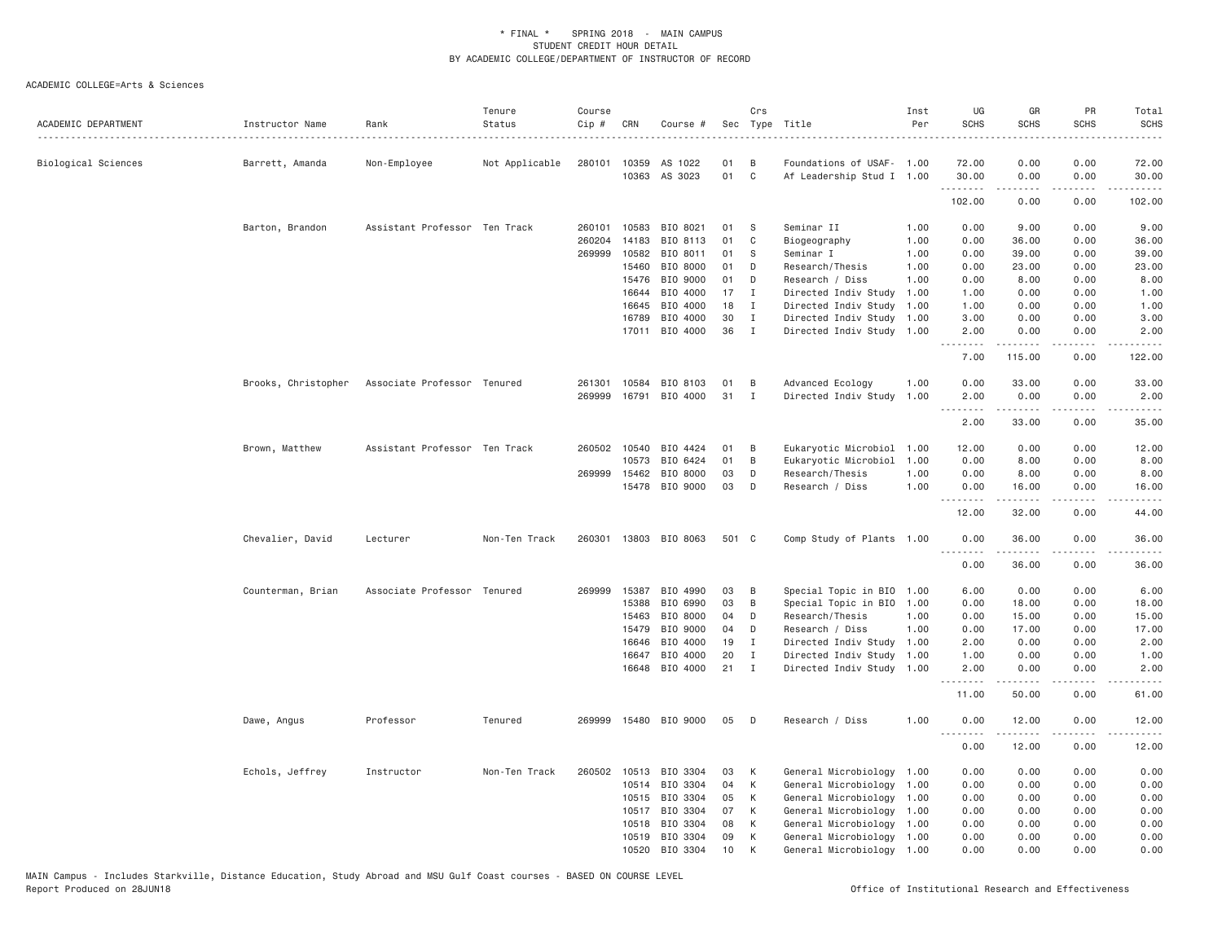| ACADEMIC DEPARTMENT | Instructor Name     | Rank                          | Tenure<br>Status | Course<br>Cip # | CRN            | Course #              |          | Crs                        | Sec Type Title                                         | Inst<br>Per | UG<br><b>SCHS</b> | GR<br><b>SCHS</b>                                                                                                                                                                        | <b>PR</b><br><b>SCHS</b>     | Total<br><b>SCHS</b><br>$\frac{1}{2}$ |
|---------------------|---------------------|-------------------------------|------------------|-----------------|----------------|-----------------------|----------|----------------------------|--------------------------------------------------------|-------------|-------------------|------------------------------------------------------------------------------------------------------------------------------------------------------------------------------------------|------------------------------|---------------------------------------|
| Biological Sciences | Barrett, Amanda     | Non-Employee                  | Not Applicable   |                 | 280101 10359   | AS 1022               | 01       | - B                        | Foundations of USAF- 1.00                              |             | 72.00             | 0.00                                                                                                                                                                                     | 0.00                         | 72.00                                 |
|                     |                     |                               |                  |                 | 10363          | AS 3023               | 01       | C                          | Af Leadership Stud I 1.00                              |             | 30.00<br>.        | 0.00<br>$- - - - -$                                                                                                                                                                      | 0.00<br>لأعامل               | 30.00<br>.                            |
|                     |                     |                               |                  |                 |                |                       |          |                            |                                                        |             | 102.00            | 0.00                                                                                                                                                                                     | 0.00                         | 102.00                                |
|                     | Barton, Brandon     | Assistant Professor Ten Track |                  | 260101          | 10583          | BIO 8021              | 01       | S                          | Seminar II                                             | 1.00        | 0.00              | 9.00                                                                                                                                                                                     | 0.00                         | 9.00                                  |
|                     |                     |                               |                  | 260204          | 14183          | BIO 8113              | 01       | C                          | Biogeography                                           | 1.00        | 0.00              | 36.00                                                                                                                                                                                    | 0.00                         | 36.00                                 |
|                     |                     |                               |                  | 269999          | 10582          | BIO 8011              | 01       | S                          | Seminar I                                              | 1.00        | 0.00              | 39.00                                                                                                                                                                                    | 0.00                         | 39.00                                 |
|                     |                     |                               |                  |                 | 15460          | BIO 8000              | 01       | D                          | Research/Thesis                                        | 1.00        | 0.00              | 23.00                                                                                                                                                                                    | 0.00                         | 23.00                                 |
|                     |                     |                               |                  |                 | 15476          | BIO 9000              | 01       | D                          | Research / Diss                                        | 1.00        | 0.00              | 8.00                                                                                                                                                                                     | 0.00                         | 8.00                                  |
|                     |                     |                               |                  |                 | 16644          | BIO 4000              | 17       | Ι.                         | Directed Indiv Study                                   | 1.00        | 1.00              | 0.00                                                                                                                                                                                     | 0.00                         | 1.00                                  |
|                     |                     |                               |                  |                 | 16645          | BIO 4000              | 18<br>30 | $\mathbf I$<br>$\mathbf I$ | Directed Indiv Study                                   | 1.00        | 1.00              | 0.00                                                                                                                                                                                     | 0.00                         | 1.00                                  |
|                     |                     |                               |                  |                 | 16789<br>17011 | BIO 4000<br>BIO 4000  | 36       | $\mathbf{I}$               | Directed Indiv Study 1.00<br>Directed Indiv Study 1.00 |             | 3.00<br>2.00      | 0.00<br>0.00                                                                                                                                                                             | 0.00<br>0.00                 | 3.00<br>2.00                          |
|                     |                     |                               |                  |                 |                |                       |          |                            |                                                        |             | .                 | .                                                                                                                                                                                        | د د د د                      | .                                     |
|                     |                     |                               |                  |                 |                |                       |          |                            |                                                        |             | 7.00              | 115.00                                                                                                                                                                                   | 0.00                         | 122.00                                |
|                     | Brooks, Christopher | Associate Professor Tenured   |                  | 261301          | 10584          | BIO 8103              | 01       | B                          | Advanced Ecology                                       | 1.00        | 0.00              | 33.00                                                                                                                                                                                    | 0.00                         | 33.00                                 |
|                     |                     |                               |                  | 269999          | 16791          | BIO 4000              | 31       | $\mathbf{I}$               | Directed Indiv Study                                   | 1.00        | 2.00<br>.         | 0.00<br>.                                                                                                                                                                                | 0.00<br>.                    | 2.00<br>.                             |
|                     |                     |                               |                  |                 |                |                       |          |                            |                                                        |             | 2.00              | 33.00                                                                                                                                                                                    | 0.00                         | 35.00                                 |
|                     | Brown, Matthew      | Assistant Professor Ten Track |                  |                 | 260502 10540   | BIO 4424              | 01       | B                          | Eukaryotic Microbiol                                   | 1.00        | 12.00             | 0.00                                                                                                                                                                                     | 0.00                         | 12.00                                 |
|                     |                     |                               |                  |                 | 10573          | BIO 6424              | 01       | B                          | Eukaryotic Microbiol                                   | 1.00        | 0.00              | 8.00                                                                                                                                                                                     | 0.00                         | 8.00                                  |
|                     |                     |                               |                  | 269999          | 15462          | BIO 8000              | 03       | D                          | Research/Thesis                                        | 1.00        | 0.00              | 8.00                                                                                                                                                                                     | 0.00                         | 8.00                                  |
|                     |                     |                               |                  |                 | 15478          | BIO 9000              | 03       | D                          | Research / Diss                                        | 1.00        | 0.00              | 16.00                                                                                                                                                                                    | 0.00                         | 16.00                                 |
|                     |                     |                               |                  |                 |                |                       |          |                            |                                                        |             | 12.00             | 32.00                                                                                                                                                                                    | 0.00                         | 44.00                                 |
|                     | Chevalier, David    | Lecturer                      | Non-Ten Track    | 260301          |                | 13803 BIO 8063        | 501 C    |                            | Comp Study of Plants 1.00                              |             | 0.00<br>.         | 36.00<br>.                                                                                                                                                                               | 0.00<br>لأعامل               | 36.00<br>.                            |
|                     |                     |                               |                  |                 |                |                       |          |                            |                                                        |             | 0.00              | 36.00                                                                                                                                                                                    | 0.00                         | 36.00                                 |
|                     | Counterman, Brian   | Associate Professor Tenured   |                  | 269999          | 15387          | BIO 4990              | 03       | B                          | Special Topic in BIO                                   | 1.00        | 6.00              | 0.00                                                                                                                                                                                     | 0.00                         | 6.00                                  |
|                     |                     |                               |                  |                 | 15388          | BIO 6990              | 03       | B                          | Special Topic in BIO                                   | 1,00        | 0.00              | 18.00                                                                                                                                                                                    | 0.00                         | 18.00                                 |
|                     |                     |                               |                  |                 | 15463          | BIO 8000              | 04       | D                          | Research/Thesis                                        | 1.00        | 0.00              | 15.00                                                                                                                                                                                    | 0.00                         | 15.00                                 |
|                     |                     |                               |                  |                 | 15479          | BIO 9000              | 04       | D                          | Research / Diss                                        | 1.00        | 0.00              | 17.00                                                                                                                                                                                    | 0.00                         | 17.00                                 |
|                     |                     |                               |                  |                 | 16646          | BIO 4000              | 19       | I                          | Directed Indiv Study 1.00                              |             | 2.00              | 0.00                                                                                                                                                                                     | 0.00                         | 2.00                                  |
|                     |                     |                               |                  |                 | 16647          | BIO 4000              | 20       | I                          | Directed Indiv Study                                   | 1.00        | 1.00              | 0.00                                                                                                                                                                                     | 0.00                         | 1.00                                  |
|                     |                     |                               |                  |                 | 16648          | BIO 4000              | 21       | Ι                          | Directed Indiv Study 1.00                              |             | 2.00<br>.         | 0.00<br>$- - - - -$                                                                                                                                                                      | 0.00<br>. <u>.</u> .         | 2.00<br>.                             |
|                     |                     |                               |                  |                 |                |                       |          |                            |                                                        |             | 11.00             | 50.00                                                                                                                                                                                    | 0.00                         | 61.00                                 |
|                     | Dawe, Angus         | Professor                     | Tenured          |                 |                | 269999 15480 BIO 9000 | 05       | D                          | Research / Diss                                        | 1.00        | 0.00<br>.         | 12.00<br>$\frac{1}{2} \left( \frac{1}{2} \right) \left( \frac{1}{2} \right) \left( \frac{1}{2} \right) \left( \frac{1}{2} \right) \left( \frac{1}{2} \right) \left( \frac{1}{2} \right)$ | 0.00<br>$\sim$ $\sim$ $\sim$ | 12.00<br>.                            |
|                     |                     |                               |                  |                 |                |                       |          |                            |                                                        |             | 0.00              | 12.00                                                                                                                                                                                    | 0.00                         | 12.00                                 |
|                     | Echols, Jeffrey     | Instructor                    | Non-Ten Track    | 260502          | 10513          | BIO 3304              | 03       | К                          | General Microbiology 1.00                              |             | 0.00              | 0.00                                                                                                                                                                                     | 0.00                         | 0.00                                  |
|                     |                     |                               |                  |                 | 10514          | BIO 3304              | 04       | К                          | General Microbiology                                   | 1.00        | 0.00              | 0.00                                                                                                                                                                                     | 0.00                         | 0.00                                  |
|                     |                     |                               |                  |                 | 10515          | BIO 3304              | 05       | К                          | General Microbiology                                   | 1.00        | 0.00              | 0.00                                                                                                                                                                                     | 0.00                         | 0.00                                  |
|                     |                     |                               |                  |                 | 10517          | BIO 3304              | 07       | К                          | General Microbiology 1.00                              |             | 0.00              | 0.00                                                                                                                                                                                     | 0.00                         | 0.00                                  |
|                     |                     |                               |                  |                 | 10518          | BIO 3304              | 08       | К                          | General Microbiology 1.00                              |             | 0.00              | 0.00                                                                                                                                                                                     | 0.00                         | 0.00                                  |
|                     |                     |                               |                  |                 | 10519          | BIO 3304              | 09       | К                          | General Microbiology 1.00                              |             | 0.00              | 0.00                                                                                                                                                                                     | 0.00                         | 0.00                                  |
|                     |                     |                               |                  |                 | 10520          | BIO 3304              | 10       | К                          | General Microbiology 1.00                              |             | 0.00              | 0.00                                                                                                                                                                                     | 0.00                         | 0.00                                  |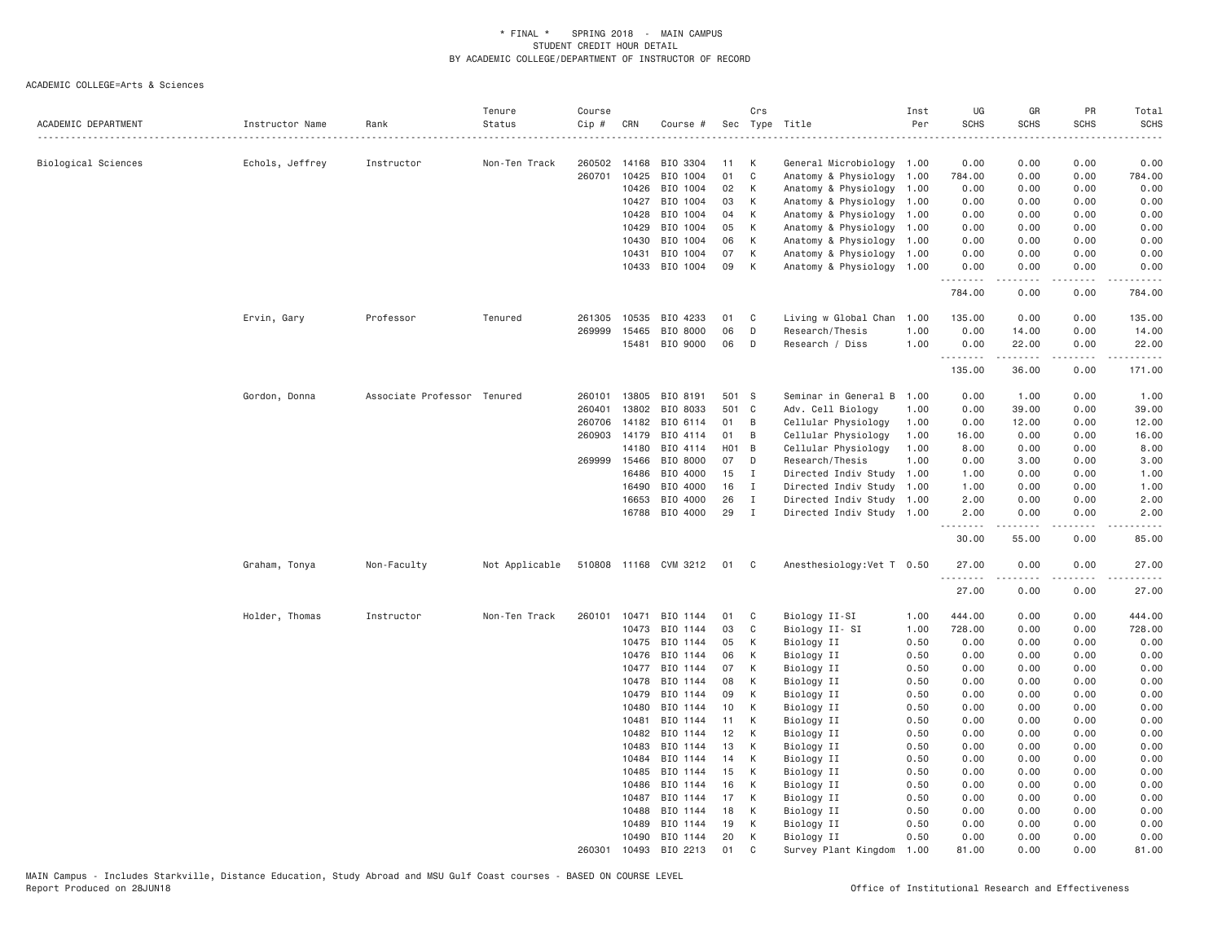| ACADEMIC DEPARTMENT | Instructor Name | Rank                        | Tenure<br>Status | Course<br>$Cip$ # | CRN            | Course #                 |          | Crs          | Sec Type Title             | Inst<br>Per  | UG<br><b>SCHS</b> | GR<br><b>SCHS</b> | PR<br><b>SCHS</b>                   | Total<br><b>SCHS</b><br>$- - - -$ |
|---------------------|-----------------|-----------------------------|------------------|-------------------|----------------|--------------------------|----------|--------------|----------------------------|--------------|-------------------|-------------------|-------------------------------------|-----------------------------------|
| Biological Sciences | Echols, Jeffrey | Instructor                  | Non-Ten Track    | 260502            | 14168          | BIO 3304                 | 11       | К            | General Microbiology 1.00  |              | 0.00              | 0.00              | 0.00                                | 0.00                              |
|                     |                 |                             |                  | 260701            | 10425          | BIO 1004                 | 01       | $\mathbb C$  | Anatomy & Physiology       | 1.00         | 784.00            | 0.00              | 0.00                                | 784.00                            |
|                     |                 |                             |                  |                   | 10426          | BIO 1004                 | 02       | K            | Anatomy & Physiology       | 1.00         | 0.00              | 0.00              | 0.00                                | 0.00                              |
|                     |                 |                             |                  |                   | 10427          | BIO 1004                 | 03       | К            | Anatomy & Physiology       | 1.00         | 0.00              | 0.00              | 0.00                                | 0.00                              |
|                     |                 |                             |                  |                   | 10428          | BIO 1004                 | 04       | К            | Anatomy & Physiology       | 1.00         | 0.00              | 0.00              | 0.00                                | 0.00                              |
|                     |                 |                             |                  |                   | 10429          | BIO 1004                 | 05       | К            | Anatomy & Physiology       | 1.00         | 0.00              | 0.00              | 0.00                                | 0.00                              |
|                     |                 |                             |                  |                   | 10430          | BIO 1004                 | 06       | K            | Anatomy & Physiology       | 1.00         | 0.00              | 0.00              | 0.00                                | 0.00                              |
|                     |                 |                             |                  |                   | 10431          | BIO 1004                 | 07       | K            | Anatomy & Physiology       | 1.00         | 0.00              | 0.00              | 0.00                                | 0.00                              |
|                     |                 |                             |                  |                   | 10433          | BIO 1004                 | 09       | K            | Anatomy & Physiology 1.00  |              | 0.00<br>.         | 0.00              | 0.00                                | 0.00                              |
|                     |                 |                             |                  |                   |                |                          |          |              |                            |              | 784.00            | 0.00              | 0.00                                | 784.00                            |
|                     | Ervin, Gary     | Professor                   | Tenured          |                   | 261305 10535   | BIO 4233                 | 01       | C            | Living w Global Chan 1.00  |              | 135.00            | 0.00              | 0.00                                | 135.00                            |
|                     |                 |                             |                  | 269999            | 15465          | BIO 8000                 | 06       | D            | Research/Thesis            | 1.00         | 0.00              | 14.00             | 0.00                                | 14.00                             |
|                     |                 |                             |                  |                   | 15481          | BIO 9000                 | 06       | D            | Research / Diss            | 1.00         | 0.00<br>.         | 22.00             | 0.00                                | 22.00                             |
|                     |                 |                             |                  |                   |                |                          |          |              |                            |              | 135.00            | 36.00             | 0.00                                | 171.00                            |
|                     | Gordon, Donna   | Associate Professor Tenured |                  | 260101            | 13805          | BIO 8191                 | 501 S    |              | Seminar in General B 1.00  |              | 0.00              | 1.00              | 0.00                                | 1.00                              |
|                     |                 |                             |                  | 260401            | 13802          | BIO 8033                 | 501 C    |              | Adv. Cell Biology          | 1.00         | 0.00              | 39.00             | 0.00                                | 39.00                             |
|                     |                 |                             |                  | 260706            | 14182          | BIO 6114                 | 01       | B            | Cellular Physiology        | 1.00         | 0.00              | 12.00             | 0.00                                | 12.00                             |
|                     |                 |                             |                  |                   | 260903 14179   | BIO 4114                 | 01       | B            | Cellular Physiology        | 1.00         | 16.00             | 0.00              | 0.00                                | 16.00                             |
|                     |                 |                             |                  |                   | 14180          | BIO 4114                 | H01      | B            | Cellular Physiology        | 1.00         | 8.00              | 0.00              | 0.00                                | 8.00                              |
|                     |                 |                             |                  | 269999 15466      |                | BIO 8000                 | 07       | D            | Research/Thesis            | 1.00         | 0.00              | 3.00              | 0.00                                | 3.00                              |
|                     |                 |                             |                  |                   | 16486          | BIO 4000                 | 15       | $\mathbf{I}$ | Directed Indiv Study       | 1.00         | 1.00              | 0.00              | 0.00                                | 1.00                              |
|                     |                 |                             |                  |                   | 16490          | BIO 4000                 | 16       | $\mathbf{I}$ | Directed Indiv Study       | 1.00         | 1.00              | 0.00              | 0.00                                | 1.00                              |
|                     |                 |                             |                  |                   | 16653          | BIO 4000                 | 26       | $\mathbf{I}$ | Directed Indiv Study 1.00  |              | 2.00              | 0.00              | 0.00                                | 2.00                              |
|                     |                 |                             |                  |                   | 16788          | BIO 4000                 | 29       | $\mathbf{I}$ | Directed Indiv Study 1.00  |              | 2.00<br>.         | 0.00<br><u>.</u>  | 0.00<br>$\sim$ $\sim$ $\sim$ $\sim$ | 2.00                              |
|                     |                 |                             |                  |                   |                |                          |          |              |                            |              | 30.00             | 55.00             | 0.00                                | 85.00                             |
|                     | Graham, Tonya   | Non-Faculty                 | Not Applicable   |                   |                | 510808 11168 CVM 3212 01 |          | $\mathbf{C}$ | Anesthesiology: Vet T 0.50 |              | 27.00             | 0.00              | 0.00                                | 27.00                             |
|                     |                 |                             |                  |                   |                |                          |          |              |                            |              | 27.00             | 0.00              | 0.00                                | 27.00                             |
|                     | Holder, Thomas  | Instructor                  | Non-Ten Track    | 260101            | 10471          | BIO 1144                 | 01       | C            | Biology II-SI              | 1.00         | 444.00            | 0.00              | 0.00                                | 444.00                            |
|                     |                 |                             |                  |                   | 10473          | BIO 1144                 | 03       | $\mathbb C$  | Biology II- SI             | 1.00         | 728.00            | 0.00              | 0.00                                | 728.00                            |
|                     |                 |                             |                  |                   | 10475          | BIO 1144                 | 05       | К            | Biology II                 | 0.50         | 0.00              | 0.00              | 0.00                                | 0.00                              |
|                     |                 |                             |                  |                   | 10476          | BIO 1144                 | 06       | K            | Biology II                 | 0.50         | 0.00              | 0.00              | 0.00                                | 0.00                              |
|                     |                 |                             |                  |                   | 10477          | BIO 1144                 | 07       | К            | Biology II                 | 0.50         | 0.00              | 0.00              | 0.00                                | 0.00                              |
|                     |                 |                             |                  |                   | 10478          | BIO 1144                 | 08       | K            | Biology II                 | 0.50         | 0.00              | 0.00              | 0.00                                | 0.00                              |
|                     |                 |                             |                  |                   | 10479          | BIO 1144                 | 09       | K            | Biology II                 | 0.50         | 0.00              | 0.00              | 0.00                                | 0.00                              |
|                     |                 |                             |                  |                   | 10480          | BIO 1144                 | 10       | K            | Biology II                 | 0.50         | 0.00              | 0.00              | 0.00                                | 0.00                              |
|                     |                 |                             |                  |                   | 10481          | BIO 1144                 | 11       | К            | Biology II                 | 0.50         | 0.00              | 0.00              | 0.00                                | 0.00                              |
|                     |                 |                             |                  |                   | 10482          | BIO 1144                 | 12       | К            | Biology II                 | 0.50         | 0.00              | 0.00              | 0.00                                | 0.00                              |
|                     |                 |                             |                  |                   | 10483          | BIO 1144                 | 13       | К            | Biology II                 | 0.50         | 0.00              | 0.00              | 0.00                                | 0.00                              |
|                     |                 |                             |                  |                   | 10484<br>10485 | BIO 1144<br>BIO 1144     | 14<br>15 | К<br>K       | Biology II                 | 0.50         | 0.00<br>0.00      | 0.00<br>0.00      | 0.00<br>0.00                        | 0.00                              |
|                     |                 |                             |                  |                   | 10486          | BIO 1144                 | 16       | K            | Biology II                 | 0.50<br>0.50 | 0.00              | 0.00              | 0.00                                | 0.00                              |
|                     |                 |                             |                  |                   | 10487          | BIO 1144                 | 17       | K            | Biology II<br>Biology II   | 0.50         | 0.00              | 0.00              | 0.00                                | 0.00<br>0.00                      |
|                     |                 |                             |                  |                   | 10488          | BIO 1144                 | 18       | К            | Biology II                 | 0.50         | 0.00              | 0.00              | 0.00                                | 0.00                              |
|                     |                 |                             |                  |                   | 10489          | BIO 1144                 | 19       | К            | Biology II                 | 0.50         | 0.00              | 0.00              | 0.00                                | 0.00                              |
|                     |                 |                             |                  |                   | 10490          | BIO 1144                 | 20       | К            | Biology II                 | 0.50         | 0.00              | 0.00              | 0.00                                | 0.00                              |
|                     |                 |                             |                  | 260301            | 10493          | BIO 2213                 | 01       | $\mathsf{C}$ | Survey Plant Kingdom       | 1.00         | 81,00             | 0.00              | 0.00                                | 81.00                             |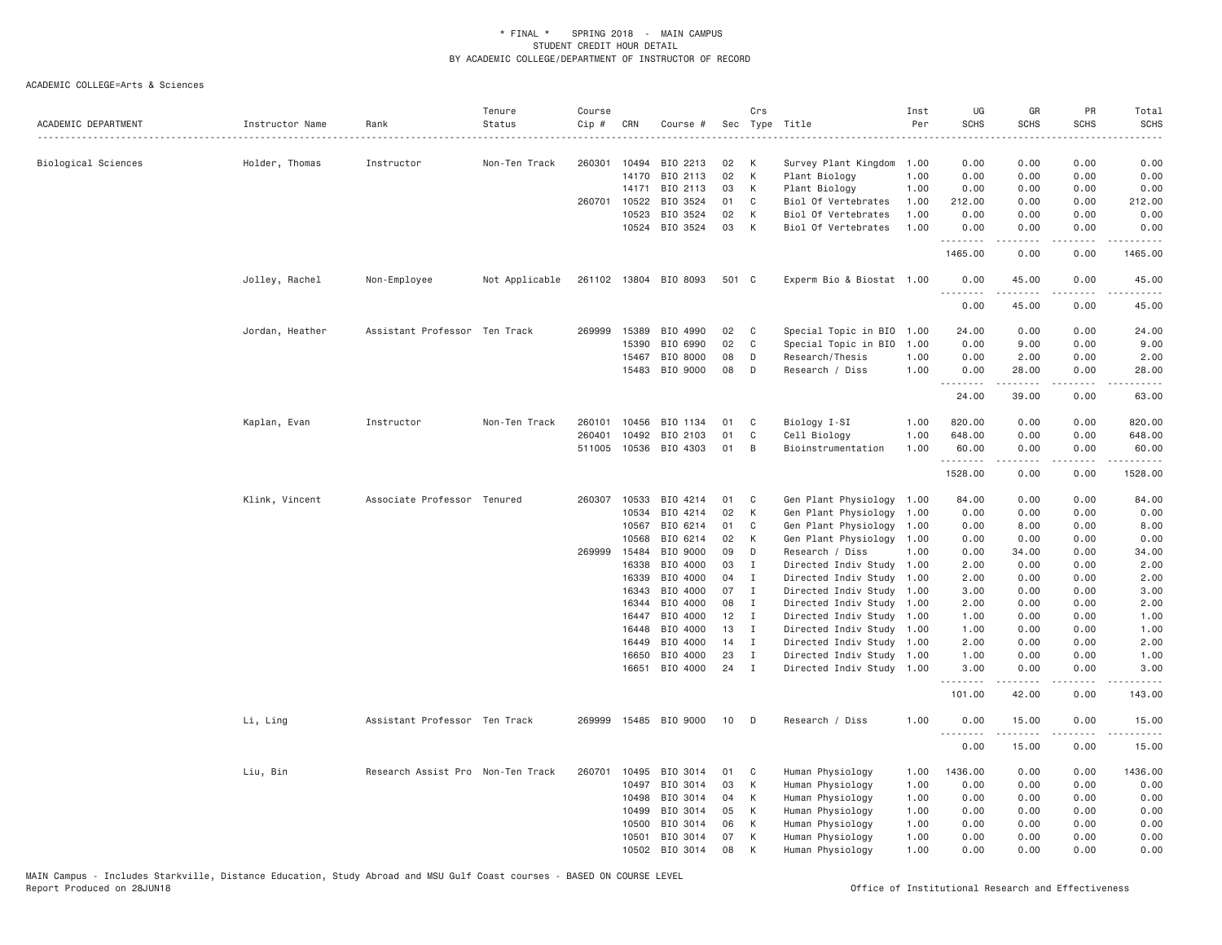| ACADEMIC DEPARTMENT | Instructor Name | Rank                              | Tenure<br>Status | Course<br>Cip # | CRN            | Course #              |          | Crs                         | Sec Type Title                                         | Inst<br>Per | UG<br><b>SCHS</b> | GR<br><b>SCHS</b>                                                                                                                                             | PR<br><b>SCHS</b>     | Total<br><b>SCHS</b><br>. |
|---------------------|-----------------|-----------------------------------|------------------|-----------------|----------------|-----------------------|----------|-----------------------------|--------------------------------------------------------|-------------|-------------------|---------------------------------------------------------------------------------------------------------------------------------------------------------------|-----------------------|---------------------------|
| Biological Sciences | Holder, Thomas  | Instructor                        | Non-Ten Track    | 260301          | 10494          | BIO 2213              | 02       | К                           | Survey Plant Kingdom                                   | 1.00        | 0.00              | 0.00                                                                                                                                                          | 0.00                  | 0.00                      |
|                     |                 |                                   |                  |                 | 14170          | BIO 2113              | 02       | К                           | Plant Biology                                          | 1.00        | 0.00              | 0.00                                                                                                                                                          | 0.00                  | 0.00                      |
|                     |                 |                                   |                  |                 | 14171          | BIO 2113              | 03       | К                           | Plant Biology                                          | 1.00        | 0.00              | 0.00                                                                                                                                                          | 0.00                  | 0.00                      |
|                     |                 |                                   |                  | 260701          | 10522          | BIO 3524              | 01       | C                           | Biol Of Vertebrates                                    | 1.00        | 212.00            | 0.00                                                                                                                                                          | 0.00                  | 212.00                    |
|                     |                 |                                   |                  |                 | 10523          | BIO 3524              | 02       | К                           | Biol Of Vertebrates                                    | 1.00        | 0.00              | 0.00                                                                                                                                                          | 0.00                  | 0.00                      |
|                     |                 |                                   |                  |                 |                | 10524 BIO 3524        | 03       | K                           | Biol Of Vertebrates                                    | 1.00        | 0.00<br>.         | 0.00<br>-----                                                                                                                                                 | 0.00<br>.             | 0.00<br>. <u>.</u> .      |
|                     |                 |                                   |                  |                 |                |                       |          |                             |                                                        |             | 1465.00           | 0.00                                                                                                                                                          | 0.00                  | 1465.00                   |
|                     | Jolley, Rachel  | Non-Employee                      | Not Applicable   |                 |                | 261102 13804 BIO 8093 | 501 C    |                             | Experm Bio & Biostat 1.00                              |             | 0.00<br>.         | 45.00<br>.                                                                                                                                                    | 0.00<br>.             | 45.00<br>.                |
|                     |                 |                                   |                  |                 |                |                       |          |                             |                                                        |             | 0.00              | 45.00                                                                                                                                                         | 0.00                  | 45.00                     |
|                     | Jordan, Heather | Assistant Professor Ten Track     |                  | 269999          | 15389          | BIO 4990              | 02       | C                           | Special Topic in BIO                                   | 1.00        | 24.00             | 0.00                                                                                                                                                          | 0.00                  | 24.00                     |
|                     |                 |                                   |                  |                 | 15390          | BIO 6990              | 02       | C                           | Special Topic in BIO                                   | 1.00        | 0.00              | 9.00                                                                                                                                                          | 0.00                  | 9.00                      |
|                     |                 |                                   |                  |                 | 15467          | BIO 8000              | 08       | D                           | Research/Thesis                                        | 1.00        | 0.00              | 2.00                                                                                                                                                          | 0.00                  | 2.00                      |
|                     |                 |                                   |                  |                 | 15483          | BIO 9000              | 08       | D                           | Research / Diss                                        | 1.00        | 0.00<br>.         | 28.00<br>.                                                                                                                                                    | 0.00<br>.             | 28.00<br>.                |
|                     |                 |                                   |                  |                 |                |                       |          |                             |                                                        |             | 24.00             | 39.00                                                                                                                                                         | 0.00                  | 63.00                     |
|                     | Kaplan, Evan    | Instructor                        | Non-Ten Track    | 260101          | 10456          | BIO 1134              | 01       | C                           | Biology I-SI                                           | 1.00        | 820.00            | 0.00                                                                                                                                                          | 0.00                  | 820.00                    |
|                     |                 |                                   |                  | 260401          | 10492          | BIO 2103              | 01       | C                           | Cell Biology                                           | 1.00        | 648.00            | 0.00                                                                                                                                                          | 0.00                  | 648.00                    |
|                     |                 |                                   |                  |                 |                | 511005 10536 BIO 4303 | 01       | B                           | Bioinstrumentation                                     | 1.00        | 60.00             | 0.00                                                                                                                                                          | 0.00                  | 60.00                     |
|                     |                 |                                   |                  |                 |                |                       |          |                             |                                                        |             | .<br>1528.00      | .<br>0.00                                                                                                                                                     | $\frac{1}{2}$<br>0.00 | .<br>1528.00              |
|                     | Klink, Vincent  | Associate Professor Tenured       |                  |                 | 260307 10533   | BIO 4214              | 01       | C                           | Gen Plant Physiology                                   | 1.00        | 84.00             | 0.00                                                                                                                                                          | 0.00                  | 84.00                     |
|                     |                 |                                   |                  |                 | 10534          | BIO 4214              | 02       | К                           | Gen Plant Physiology                                   | 1.00        | 0.00              | 0.00                                                                                                                                                          | 0.00                  | 0.00                      |
|                     |                 |                                   |                  |                 | 10567          | BIO 6214              | 01       | C                           | Gen Plant Physiology                                   | 1.00        | 0.00              | 8.00                                                                                                                                                          | 0.00                  | 8.00                      |
|                     |                 |                                   |                  |                 | 10568          | BIO 6214              | 02       | К                           | Gen Plant Physiology                                   | 1.00        | 0.00              | 0.00                                                                                                                                                          | 0.00                  | 0.00                      |
|                     |                 |                                   |                  |                 | 269999 15484   | BIO 9000              | 09       | D                           | Research / Diss                                        | 1.00        | 0.00              | 34.00                                                                                                                                                         | 0.00                  | 34.00                     |
|                     |                 |                                   |                  |                 | 16338          | BIO 4000              | 03       | Ι                           | Directed Indiv Study                                   | 1.00        | 2.00              | 0.00                                                                                                                                                          | 0.00                  | 2.00                      |
|                     |                 |                                   |                  |                 | 16339          | BIO 4000              | 04       | I                           | Directed Indiv Study                                   | 1.00        | 2.00              | 0.00                                                                                                                                                          | 0.00                  | 2.00                      |
|                     |                 |                                   |                  |                 | 16343          | BIO 4000              | 07       | I                           | Directed Indiv Study                                   | 1.00        | 3.00              | 0.00                                                                                                                                                          | 0.00                  | 3.00                      |
|                     |                 |                                   |                  |                 | 16344          | BIO 4000              | 08       | I                           | Directed Indiv Study                                   | 1.00        | 2.00              | 0.00                                                                                                                                                          | 0.00                  | 2.00                      |
|                     |                 |                                   |                  |                 | 16447          | BIO 4000              | 12       | $\mathbf{I}$                | Directed Indiv Study                                   | 1.00        | 1.00              | 0.00                                                                                                                                                          | 0.00                  | 1.00                      |
|                     |                 |                                   |                  |                 | 16448          | BIO 4000              | 13       | $\mathbf{I}$                | Directed Indiv Study 1.00                              |             | 1.00              | 0.00                                                                                                                                                          | 0.00                  | 1.00                      |
|                     |                 |                                   |                  |                 | 16449          | BIO 4000              | 14       | $\mathbf{I}$                | Directed Indiv Study 1.00                              |             | 2.00              | 0.00                                                                                                                                                          | 0.00                  | 2.00                      |
|                     |                 |                                   |                  |                 | 16650<br>16651 | BIO 4000<br>BIO 4000  | 23<br>24 | $\mathbf I$<br>$\mathbf{I}$ | Directed Indiv Study 1.00<br>Directed Indiv Study 1.00 |             | 1.00<br>3.00      | 0.00<br>0.00                                                                                                                                                  | 0.00<br>0.00          | 1.00<br>3.00              |
|                     |                 |                                   |                  |                 |                |                       |          |                             |                                                        |             | 101.00            | 42.00                                                                                                                                                         | 0.00                  | 143.00                    |
|                     | Li, Ling        | Assistant Professor Ten Track     |                  | 269999          |                | 15485 BIO 9000        | 10       | D                           | Research / Diss                                        | 1.00        | 0.00              | 15.00                                                                                                                                                         | 0.00                  | 15.00                     |
|                     |                 |                                   |                  |                 |                |                       |          |                             |                                                        |             | .<br>0.00         | $\frac{1}{2} \left( \frac{1}{2} \right) \left( \frac{1}{2} \right) \left( \frac{1}{2} \right) \left( \frac{1}{2} \right) \left( \frac{1}{2} \right)$<br>15.00 | 0.00                  | .<br>15.00                |
|                     | Liu, Bin        | Research Assist Pro Non-Ten Track |                  | 260701          | 10495          | BIO 3014              | 01       | C                           | Human Physiology                                       | 1.00        | 1436.00           | 0.00                                                                                                                                                          | 0.00                  | 1436.00                   |
|                     |                 |                                   |                  |                 | 10497          | BIO 3014              | 03       | К                           | Human Physiology                                       | 1.00        | 0.00              | 0.00                                                                                                                                                          | 0.00                  | 0.00                      |
|                     |                 |                                   |                  |                 | 10498          | BIO 3014              | 04       | К                           | Human Physiology                                       | 1.00        | 0.00              | 0.00                                                                                                                                                          | 0.00                  | 0.00                      |
|                     |                 |                                   |                  |                 | 10499          | BIO 3014              | 05       | К                           | Human Physiology                                       | 1.00        | 0.00              | 0.00                                                                                                                                                          | 0.00                  | 0.00                      |
|                     |                 |                                   |                  |                 | 10500          | BIO 3014              | 06       | К                           | Human Physiology                                       | 1.00        | 0.00              | 0.00                                                                                                                                                          | 0.00                  | 0.00                      |
|                     |                 |                                   |                  |                 | 10501          | BIO 3014              | 07       | К                           | Human Physiology                                       | 1.00        | 0.00              | 0.00                                                                                                                                                          | 0.00                  | 0.00                      |
|                     |                 |                                   |                  |                 | 10502          | BIO 3014              | 08       | K                           | Human Physiology                                       | 1.00        | 0.00              | 0.00                                                                                                                                                          | 0.00                  | 0.00                      |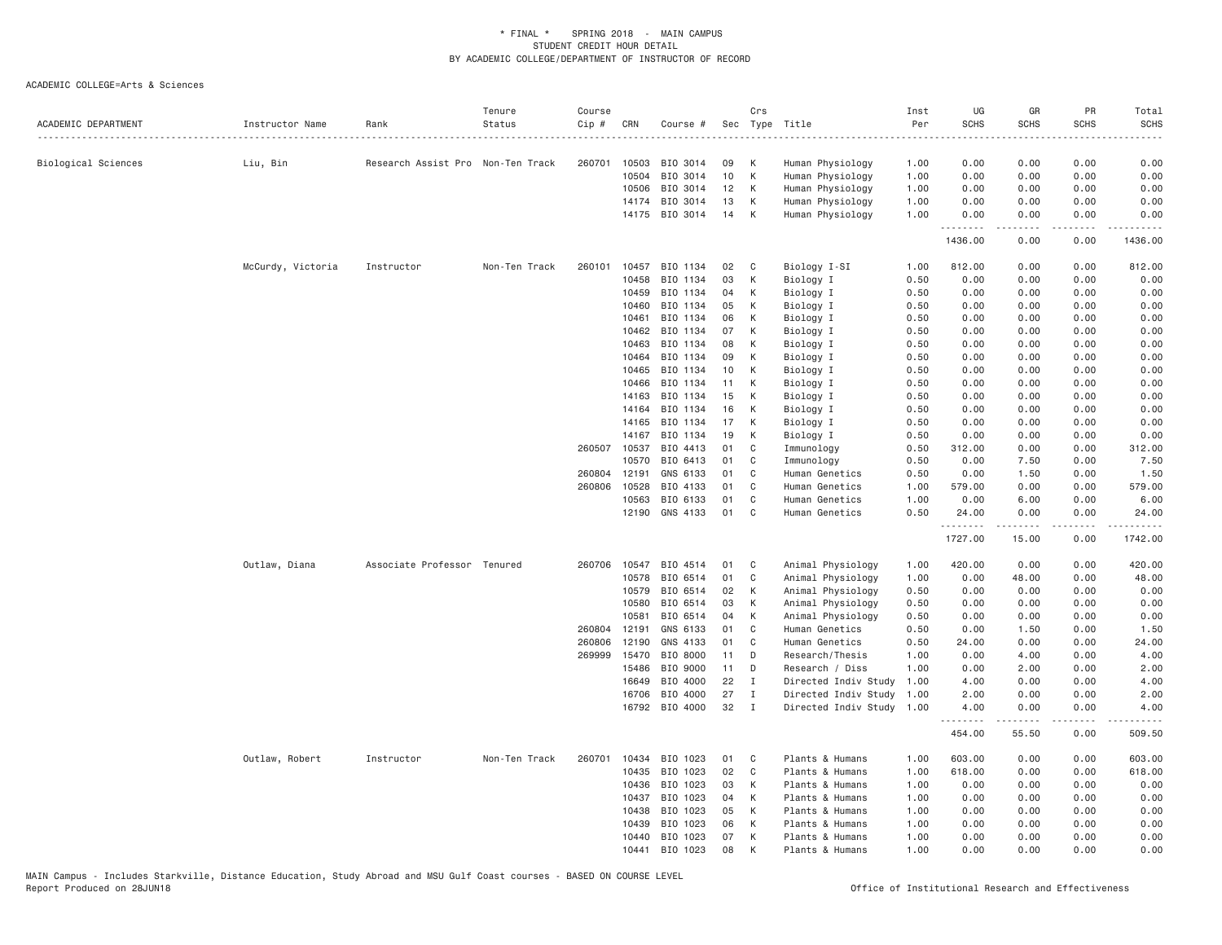| ACADEMIC DEPARTMENT | Instructor Name   | Rank                              | Tenure<br>Status | Course<br>Cip # | CRN            | Course #             |          | Crs          | Sec Type Title                       | Inst<br>Per  | UG<br><b>SCHS</b> | GR<br><b>SCHS</b> | PR<br><b>SCHS</b>                   | Total<br><b>SCHS</b> |
|---------------------|-------------------|-----------------------------------|------------------|-----------------|----------------|----------------------|----------|--------------|--------------------------------------|--------------|-------------------|-------------------|-------------------------------------|----------------------|
|                     |                   |                                   |                  |                 |                |                      |          |              |                                      | . <b>.</b>   | ----              |                   |                                     |                      |
| Biological Sciences | Liu, Bin          | Research Assist Pro Non-Ten Track |                  | 260701          | 10503          | BIO 3014             | 09<br>10 | К<br>K       | Human Physiology                     | 1.00         | 0.00              | 0.00              | 0.00                                | 0.00                 |
|                     |                   |                                   |                  |                 | 10504<br>10506 | BIO 3014<br>BIO 3014 | 12       | K            | Human Physiology<br>Human Physiology | 1.00<br>1.00 | 0.00<br>0.00      | 0.00<br>0.00      | 0.00<br>0.00                        | 0.00<br>0.00         |
|                     |                   |                                   |                  |                 | 14174          | BIO 3014             | 13       | К            | Human Physiology                     | 1.00         | 0.00              | 0.00              | 0.00                                | 0.00                 |
|                     |                   |                                   |                  |                 |                | 14175 BIO 3014       | 14       | K            | Human Physiology                     | 1.00         | 0.00              | 0.00              | 0.00                                | 0.00                 |
|                     |                   |                                   |                  |                 |                |                      |          |              |                                      |              | .<br>1436.00      | .<br>0.00         | $\sim$ $\sim$ $\sim$ $\sim$<br>0.00 | 1436.00              |
|                     | McCurdy, Victoria | Instructor                        | Non-Ten Track    | 260101          | 10457          | BIO 1134             | 02       | C            | Biology I-SI                         | 1.00         | 812.00            | 0.00              | 0.00                                | 812.00               |
|                     |                   |                                   |                  |                 | 10458          | BIO 1134             | 03       | К            | Biology I                            | 0.50         | 0.00              | 0.00              | 0.00                                | 0.00                 |
|                     |                   |                                   |                  |                 | 10459          | BIO 1134             | 04       | К            | Biology I                            | 0.50         | 0.00              | 0.00              | 0.00                                | 0.00                 |
|                     |                   |                                   |                  |                 | 10460          | BIO 1134             | 05       | К            | Biology I                            | 0.50         | 0.00              | 0.00              | 0.00                                | 0.00                 |
|                     |                   |                                   |                  |                 | 10461          | BIO 1134             | 06       | К            | Biology I                            | 0.50         | 0.00              | 0.00              | 0.00                                | 0.00                 |
|                     |                   |                                   |                  |                 | 10462          | BIO 1134             | 07       | K            | Biology I                            | 0.50         | 0.00              | 0.00              | 0.00                                | 0.00                 |
|                     |                   |                                   |                  |                 | 10463          | BIO 1134             | 08       | K            | Biology I                            | 0.50         | 0.00              | 0.00              | 0.00                                | 0.00                 |
|                     |                   |                                   |                  |                 | 10464          | BIO 1134             | 09       | К            | Biology I                            | 0.50         | 0.00              | 0.00              | 0.00                                | 0.00                 |
|                     |                   |                                   |                  |                 | 10465          | BIO 1134             | 10       | К            | Biology I                            | 0.50         | 0.00              | 0.00              | 0.00                                | 0.00                 |
|                     |                   |                                   |                  |                 | 10466          | BIO 1134             | 11       | К            | Biology I                            | 0.50         | 0.00              | 0.00              | 0.00                                | 0.00                 |
|                     |                   |                                   |                  |                 | 14163          | BIO 1134             | 15       | К            | Biology I                            | 0.50         | 0.00              | 0.00              | 0.00                                | 0.00                 |
|                     |                   |                                   |                  |                 | 14164          | BIO 1134             | 16       | K            | Biology I                            | 0.50         | 0.00              | 0.00              | 0.00                                | 0.00                 |
|                     |                   |                                   |                  |                 | 14165          | BIO 1134             | 17       | К            | Biology I                            | 0.50         | 0.00              | 0.00              | 0.00                                | 0.00                 |
|                     |                   |                                   |                  |                 | 14167          | BIO 1134             | 19       | К            | Biology I                            | 0.50         | 0.00              | 0.00              | 0.00                                | 0.00                 |
|                     |                   |                                   |                  | 260507          | 10537          | BIO 4413             | 01       | C            | Immunology                           | 0.50         | 312.00            | 0.00              | 0.00                                | 312.00               |
|                     |                   |                                   |                  |                 | 10570          | BIO 6413             | 01       | C            | Immunology                           | 0.50         | 0.00              | 7.50              | 0.00                                | 7.50                 |
|                     |                   |                                   |                  | 260804 12191    |                | GNS 6133             | 01       | C            | Human Genetics                       | 0.50         | 0.00              | 1.50              | 0.00                                | 1.50                 |
|                     |                   |                                   |                  | 260806          | 10528          | BIO 4133             | 01       | C            | Human Genetics                       | 1.00         | 579.00            | 0.00              | 0.00                                | 579.00               |
|                     |                   |                                   |                  |                 | 10563          | BIO 6133             | 01       | $\mathbb C$  | Human Genetics                       | 1.00         | 0.00              | 6.00              | 0.00                                | 6.00                 |
|                     |                   |                                   |                  |                 | 12190          | GNS 4133             | 01       | C            | Human Genetics                       | 0.50         | 24.00<br>.        | 0.00              | 0.00<br>$\sim$ $\sim$ $\sim$ $\sim$ | 24.00                |
|                     |                   |                                   |                  |                 |                |                      |          |              |                                      |              | 1727.00           | 15.00             | 0.00                                | 1742.00              |
|                     | Outlaw, Diana     | Associate Professor Tenured       |                  | 260706          | 10547          | BIO 4514             | 01       | C            | Animal Physiology                    | 1.00         | 420.00            | 0.00              | 0.00                                | 420.00               |
|                     |                   |                                   |                  |                 | 10578          | BIO 6514             | 01       | C            | Animal Physiology                    | 1.00         | 0.00              | 48.00             | 0.00                                | 48.00                |
|                     |                   |                                   |                  |                 | 10579          | BIO 6514             | 02       | К            | Animal Physiology                    | 0.50         | 0.00              | 0.00              | 0.00                                | 0.00                 |
|                     |                   |                                   |                  |                 | 10580          | BIO 6514             | 03       | К            | Animal Physiology                    | 0.50         | 0.00              | 0.00              | 0.00                                | 0.00                 |
|                     |                   |                                   |                  |                 | 10581          | BIO 6514             | 04       | К            | Animal Physiology                    | 0.50         | 0.00              | 0.00              | 0.00                                | 0.00                 |
|                     |                   |                                   |                  | 260804          | 12191          | GNS 6133             | 01       | $\mathsf{C}$ | Human Genetics                       | 0.50         | 0.00              | 1.50              | 0.00                                | 1.50                 |
|                     |                   |                                   |                  | 260806          | 12190          | GNS 4133             | 01       | C            | Human Genetics                       | 0.50         | 24.00             | 0.00              | 0.00                                | 24.00                |
|                     |                   |                                   |                  | 269999          | 15470          | BIO 8000             | 11       | D            | Research/Thesis                      | 1.00         | 0.00              | 4.00              | 0.00                                | 4.00                 |
|                     |                   |                                   |                  |                 | 15486          | BIO 9000             | 11       | D            | Research / Diss                      | 1.00         | 0.00              | 2.00              | 0.00                                | 2.00                 |
|                     |                   |                                   |                  |                 | 16649          | BIO 4000             | 22       | $\mathbf I$  | Directed Indiv Study                 | 1.00         | 4.00              | 0.00              | 0.00                                | 4.00                 |
|                     |                   |                                   |                  |                 | 16706          | BIO 4000             | 27       | $\mathbf I$  | Directed Indiv Study                 | 1.00         | 2.00              | 0.00              | 0.00                                | 2.00                 |
|                     |                   |                                   |                  |                 | 16792          | BIO 4000             | 32       | $\mathbf{I}$ | Directed Indiv Study                 | 1.00         | 4.00<br>.         | 0.00              | 0.00<br>$\sim$ $\sim$ $\sim$ $\sim$ | 4.00                 |
|                     |                   |                                   |                  |                 |                |                      |          |              |                                      |              | 454.00            | 55.50             | 0.00                                | 509.50               |
|                     | Outlaw, Robert    | Instructor                        | Non-Ten Track    | 260701          | 10434          | BIO 1023             | 01       | C            | Plants & Humans                      | 1.00         | 603.00            | 0.00              | 0.00                                | 603.00               |
|                     |                   |                                   |                  |                 | 10435          | BIO 1023             | 02       | C            | Plants & Humans                      | 1.00         | 618.00            | 0.00              | 0.00                                | 618.00               |
|                     |                   |                                   |                  |                 | 10436          | BIO 1023             | 03       | K            | Plants & Humans                      | 1.00         | 0.00              | 0.00              | 0.00                                | 0.00                 |
|                     |                   |                                   |                  |                 | 10437          | BIO 1023             | 04       | K            | Plants & Humans                      | 1.00         | 0.00              | 0.00              | 0.00                                | 0.00                 |
|                     |                   |                                   |                  |                 | 10438          | BIO 1023             | 05       | K            | Plants & Humans                      | 1.00         | 0.00              | 0.00              | 0.00                                | 0.00                 |
|                     |                   |                                   |                  |                 | 10439          | BIO 1023             | 06       | К            | Plants & Humans                      | 1.00         | 0.00              | 0.00              | 0.00                                | 0.00                 |
|                     |                   |                                   |                  |                 | 10440          | BIO 1023             | 07       | К            | Plants & Humans                      | 1.00         | 0.00              | 0.00              | 0.00                                | 0.00                 |
|                     |                   |                                   |                  |                 | 10441          | BIO 1023             | 08       | K            | Plants & Humans                      | 1.00         | 0.00              | 0.00              | 0.00                                | 0.00                 |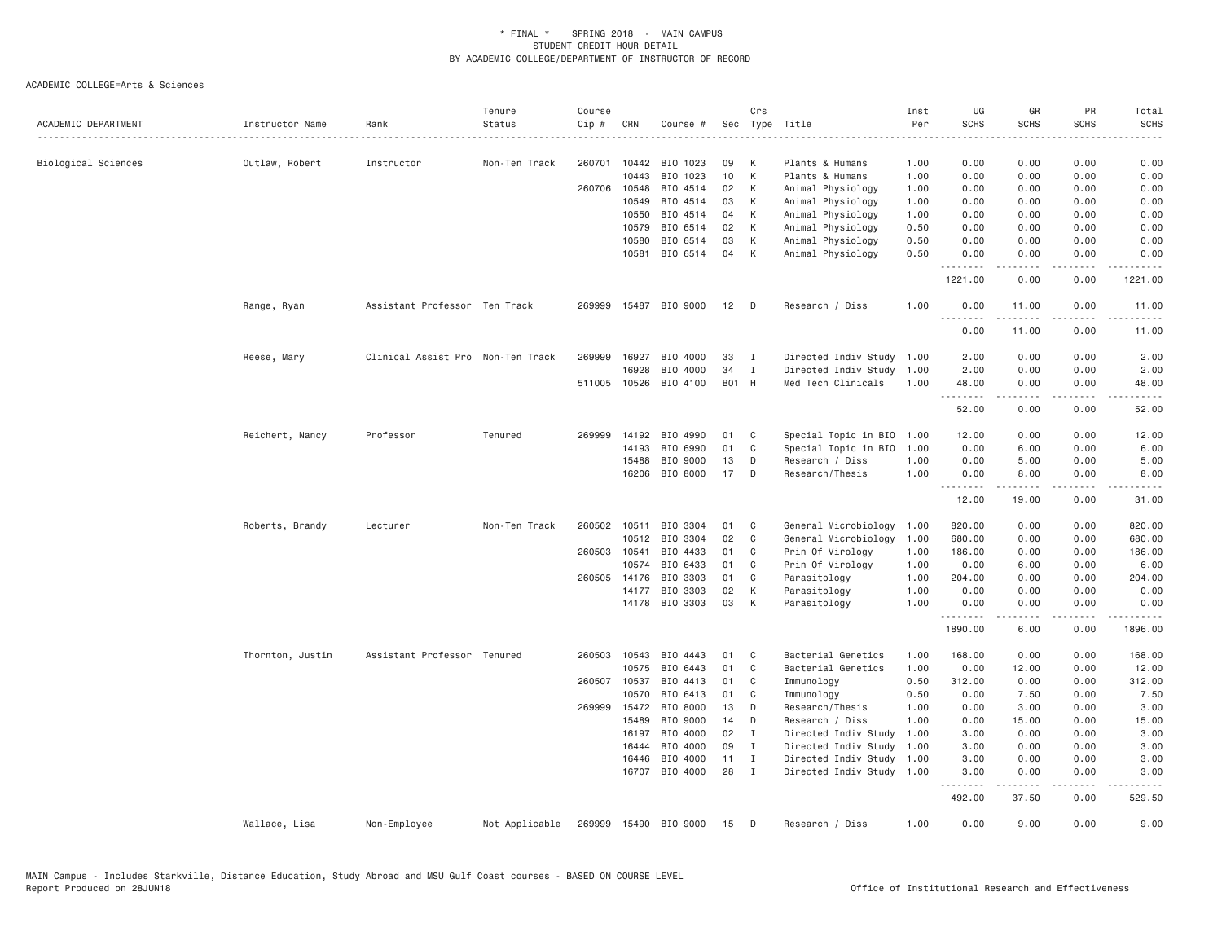| ACADEMIC DEPARTMENT | Instructor Name  | Rank                              | Tenure<br>Status | Course<br>$Cip$ # | CRN          | Course #       |       | Crs          | Sec Type Title            | Inst<br>Per | UG<br><b>SCHS</b>   | GR<br><b>SCHS</b>                                                                                                                                                                        | PR<br><b>SCHS</b>     | Total<br><b>SCHS</b>                                                                                                               |
|---------------------|------------------|-----------------------------------|------------------|-------------------|--------------|----------------|-------|--------------|---------------------------|-------------|---------------------|------------------------------------------------------------------------------------------------------------------------------------------------------------------------------------------|-----------------------|------------------------------------------------------------------------------------------------------------------------------------|
|                     |                  |                                   |                  |                   |              |                |       |              |                           |             | $- - - -$           |                                                                                                                                                                                          |                       |                                                                                                                                    |
| Biological Sciences | Outlaw, Robert   | Instructor                        | Non-Ten Track    | 260701            | 10442        | BIO 1023       | 09    | K            | Plants & Humans           | 1.00        | 0.00                | 0.00                                                                                                                                                                                     | 0.00                  | 0.00                                                                                                                               |
|                     |                  |                                   |                  |                   | 10443        | BIO 1023       | 10    | K            | Plants & Humans           | 1.00        | 0.00                | 0.00                                                                                                                                                                                     | 0.00                  | 0.00                                                                                                                               |
|                     |                  |                                   |                  | 260706            | 10548        | BIO 4514       | 02    | К            | Animal Physiology         | 1.00        | 0.00                | 0.00                                                                                                                                                                                     | 0.00                  | 0.00                                                                                                                               |
|                     |                  |                                   |                  |                   | 10549        | BIO 4514       | 03    | К            | Animal Physiology         | 1.00        | 0.00                | 0.00                                                                                                                                                                                     | 0.00                  | 0.00                                                                                                                               |
|                     |                  |                                   |                  |                   | 10550        | BIO 4514       | 04    | К            | Animal Physiology         | 1.00        | 0.00                | 0.00                                                                                                                                                                                     | 0.00                  | 0.00                                                                                                                               |
|                     |                  |                                   |                  |                   | 10579        | BIO 6514       | 02    | К            | Animal Physiology         | 0.50        | 0.00                | 0.00                                                                                                                                                                                     | 0.00                  | 0.00                                                                                                                               |
|                     |                  |                                   |                  |                   | 10580        | BIO 6514       | 03    | К            | Animal Physiology         | 0.50        | 0.00                | 0.00                                                                                                                                                                                     | 0.00                  | 0.00                                                                                                                               |
|                     |                  |                                   |                  |                   | 10581        | BIO 6514       | 04    | K            | Animal Physiology         | 0.50        | 0.00                | 0.00                                                                                                                                                                                     | 0.00                  | 0.00                                                                                                                               |
|                     |                  |                                   |                  |                   |              |                |       |              |                           |             | <u>.</u><br>1221.00 | -----<br>0.00                                                                                                                                                                            | .<br>0.00             | .<br>1221.00                                                                                                                       |
|                     | Range, Ryan      | Assistant Professor Ten Track     |                  | 269999            | 15487        | BIO 9000       | 12    | D            | Research / Diss           | 1.00        | 0.00                | 11.00                                                                                                                                                                                    | 0.00                  | 11.00                                                                                                                              |
|                     |                  |                                   |                  |                   |              |                |       |              |                           |             | .<br>0.00           | $- - - - -$<br>11.00                                                                                                                                                                     | $\frac{1}{2}$<br>0.00 | .<br>11.00                                                                                                                         |
|                     | Reese, Mary      | Clinical Assist Pro Non-Ten Track |                  | 269999            | 16927        | BIO 4000       | 33    | I            | Directed Indiv Study      | 1.00        | 2.00                | 0.00                                                                                                                                                                                     | 0.00                  | 2.00                                                                                                                               |
|                     |                  |                                   |                  |                   | 16928        | BIO 4000       | 34    | I            | Directed Indiv Study      | 1.00        | 2.00                | 0.00                                                                                                                                                                                     | 0.00                  | 2.00                                                                                                                               |
|                     |                  |                                   |                  |                   | 511005 10526 | BIO 4100       | B01 H |              | Med Tech Clinicals        | 1.00        | 48.00               | 0.00                                                                                                                                                                                     | 0.00                  | 48.00                                                                                                                              |
|                     |                  |                                   |                  |                   |              |                |       |              |                           |             | .<br>52.00          | .<br>0.00                                                                                                                                                                                | .<br>0.00             | $\frac{1}{2} \left( \frac{1}{2} \right) \left( \frac{1}{2} \right) \left( \frac{1}{2} \right) \left( \frac{1}{2} \right)$<br>52.00 |
|                     | Reichert, Nancy  | Professor                         | Tenured          | 269999            | 14192        | BIO 4990       | 01    | C            | Special Topic in BIO      | 1.00        | 12.00               | 0.00                                                                                                                                                                                     | 0.00                  | 12.00                                                                                                                              |
|                     |                  |                                   |                  |                   | 14193        | BIO 6990       | 01    | C            | Special Topic in BIO      | 1.00        | 0.00                | 6.00                                                                                                                                                                                     | 0.00                  | 6.00                                                                                                                               |
|                     |                  |                                   |                  |                   | 15488        | BIO 9000       | 13    | D            | Research / Diss           | 1.00        | 0.00                | 5.00                                                                                                                                                                                     | 0.00                  | 5.00                                                                                                                               |
|                     |                  |                                   |                  |                   | 16206        | BIO 8000       | 17    | D            | Research/Thesis           | 1.00        | 0.00                | 8.00                                                                                                                                                                                     | 0.00                  | 8.00                                                                                                                               |
|                     |                  |                                   |                  |                   |              |                |       |              |                           |             | . <b>.</b><br>12.00 | 19.00                                                                                                                                                                                    | 0.00                  | 31.00                                                                                                                              |
|                     | Roberts, Brandy  | Lecturer                          | Non-Ten Track    |                   | 260502 10511 | BIO 3304       | 01    | C            | General Microbiology      | 1.00        | 820.00              | 0.00                                                                                                                                                                                     | 0.00                  | 820.00                                                                                                                             |
|                     |                  |                                   |                  |                   | 10512        | BIO 3304       | 02    | C            | General Microbiology      | 1.00        | 680.00              | 0.00                                                                                                                                                                                     | 0.00                  | 680.00                                                                                                                             |
|                     |                  |                                   |                  | 260503            | 10541        | BIO 4433       | 01    | C            | Prin Of Virology          | 1.00        | 186.00              | 0.00                                                                                                                                                                                     | 0.00                  | 186.00                                                                                                                             |
|                     |                  |                                   |                  |                   | 10574        | BIO 6433       | 01    | C            | Prin Of Virology          | 1.00        | 0.00                | 6.00                                                                                                                                                                                     | 0.00                  | 6.00                                                                                                                               |
|                     |                  |                                   |                  |                   | 260505 14176 | BIO 3303       | 01    | C            | Parasitology              | 1.00        | 204.00              | 0.00                                                                                                                                                                                     | 0.00                  | 204.00                                                                                                                             |
|                     |                  |                                   |                  |                   | 14177        | BIO 3303       | 02    | K            | Parasitology              | 1.00        | 0.00                | 0.00                                                                                                                                                                                     | 0.00                  | 0.00                                                                                                                               |
|                     |                  |                                   |                  |                   |              | 14178 BIO 3303 | 03    | K            | Parasitology              | 1.00        | 0.00                | 0.00                                                                                                                                                                                     | 0.00                  | 0.00                                                                                                                               |
|                     |                  |                                   |                  |                   |              |                |       |              |                           |             | .<br>1890.00        | .<br>6.00                                                                                                                                                                                | $\frac{1}{2}$<br>0.00 | 1896.00                                                                                                                            |
|                     | Thornton, Justin | Assistant Professor Tenured       |                  | 260503            | 10543        | BIO 4443       | 01    | C            | Bacterial Genetics        | 1.00        | 168.00              | 0.00                                                                                                                                                                                     | 0.00                  | 168.00                                                                                                                             |
|                     |                  |                                   |                  |                   | 10575        | BIO 6443       | 01    | C            | Bacterial Genetics        | 1.00        | 0.00                | 12.00                                                                                                                                                                                    | 0.00                  | 12.00                                                                                                                              |
|                     |                  |                                   |                  |                   | 260507 10537 | BIO 4413       | 01    | C            | Immunology                | 0.50        | 312.00              | 0.00                                                                                                                                                                                     | 0.00                  | 312.00                                                                                                                             |
|                     |                  |                                   |                  |                   | 10570        | BIO 6413       | 01    | C            | Immunology                | 0.50        | 0.00                | 7.50                                                                                                                                                                                     | 0.00                  | 7.50                                                                                                                               |
|                     |                  |                                   |                  | 269999            | 15472        | BIO 8000       | 13    | D            | Research/Thesis           | 1.00        | 0.00                | 3.00                                                                                                                                                                                     | 0.00                  | 3.00                                                                                                                               |
|                     |                  |                                   |                  |                   | 15489        | BIO 9000       | 14    | D            | Research / Diss           | 1.00        | 0.00                | 15.00                                                                                                                                                                                    | 0.00                  | 15.00                                                                                                                              |
|                     |                  |                                   |                  |                   | 16197        | BIO 4000       | 02    | $\mathbf{I}$ | Directed Indiv Study      | 1.00        | 3.00                | 0.00                                                                                                                                                                                     | 0.00                  | 3.00                                                                                                                               |
|                     |                  |                                   |                  |                   | 16444        | BIO 4000       | 09    | $\mathbf I$  | Directed Indiv Study      | 1.00        | 3.00                | 0.00                                                                                                                                                                                     | 0.00                  | 3.00                                                                                                                               |
|                     |                  |                                   |                  |                   | 16446        | BIO 4000       | 11    | I            | Directed Indiv Study      | 1.00        | 3.00                | 0.00                                                                                                                                                                                     | 0.00                  | 3.00                                                                                                                               |
|                     |                  |                                   |                  |                   | 16707        | BIO 4000       | 28    | $\mathbf I$  | Directed Indiv Study 1.00 |             | 3.00                | 0.00                                                                                                                                                                                     | 0.00                  | 3.00                                                                                                                               |
|                     |                  |                                   |                  |                   |              |                |       |              |                           |             | .<br>492.00         | $\frac{1}{2} \left( \frac{1}{2} \right) \left( \frac{1}{2} \right) \left( \frac{1}{2} \right) \left( \frac{1}{2} \right) \left( \frac{1}{2} \right) \left( \frac{1}{2} \right)$<br>37.50 | .<br>0.00             | .<br>529.50                                                                                                                        |
|                     |                  |                                   |                  |                   |              |                |       |              |                           |             |                     |                                                                                                                                                                                          |                       |                                                                                                                                    |
|                     | Wallace, Lisa    | Non-Employee                      | Not Applicable   | 269999            | 15490        | BIO 9000       | 15    | D            | Research / Diss           | 1.00        | 0.00                | 9.00                                                                                                                                                                                     | 0.00                  | 9.00                                                                                                                               |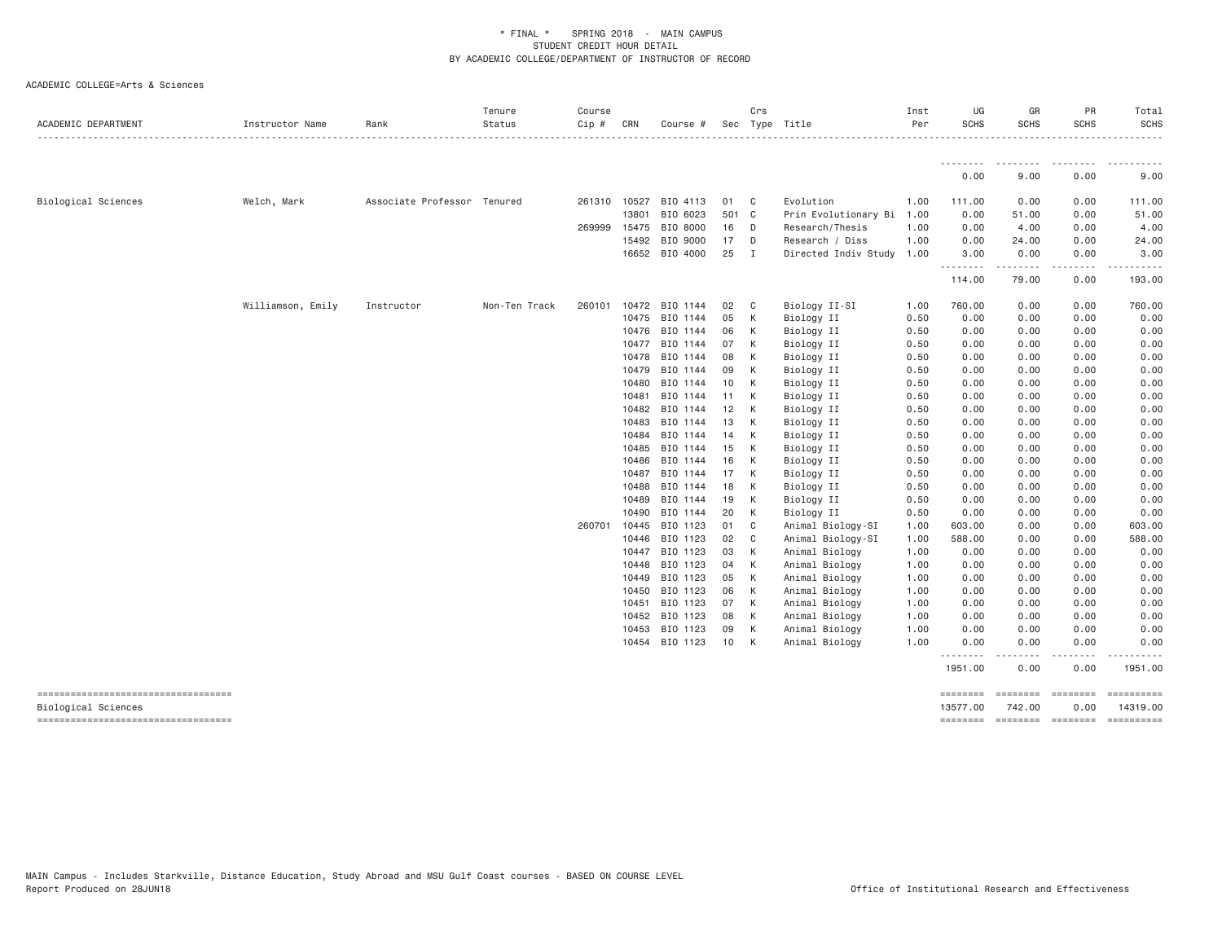| ACADEMIC DEPARTMENT                                        | Instructor Name   | Rank                        | Tenure<br>Status | Course<br>Cip # | CRN            | Course #                   |          | Crs<br>Sec Type Title |                                  | Inst<br>Per  | UG<br><b>SCHS</b>    | GR<br><b>SCHS</b>                                             | PR<br><b>SCHS</b>    | Total<br><b>SCHS</b>                                                                                                                                                                                               |
|------------------------------------------------------------|-------------------|-----------------------------|------------------|-----------------|----------------|----------------------------|----------|-----------------------|----------------------------------|--------------|----------------------|---------------------------------------------------------------|----------------------|--------------------------------------------------------------------------------------------------------------------------------------------------------------------------------------------------------------------|
|                                                            |                   |                             |                  |                 |                |                            |          |                       |                                  |              | --------             | ---------                                                     | ---------            | . <b>.</b>                                                                                                                                                                                                         |
|                                                            |                   |                             |                  |                 |                |                            |          |                       |                                  |              | 0.00                 | 9.00                                                          | 0.00                 | 9.00                                                                                                                                                                                                               |
| Biological Sciences                                        | Welch, Mark       | Associate Professor Tenured |                  |                 |                | 261310 10527 BIO 4113      | 01       | $\mathbf{C}$          | Evolution                        | 1.00         | 111.00               | 0.00                                                          | 0.00                 | 111.00                                                                                                                                                                                                             |
|                                                            |                   |                             |                  |                 | 13801          | BIO 6023                   | 501 C    |                       | Prin Evolutionary Bi             | 1.00         | 0.00                 | 51.00                                                         | 0.00                 | 51.00                                                                                                                                                                                                              |
|                                                            |                   |                             |                  |                 |                | 269999 15475 BIO 8000      | 16 D     |                       | Research/Thesis                  | 1.00         | 0.00                 | 4.00                                                          | 0.00                 | 4.00                                                                                                                                                                                                               |
|                                                            |                   |                             |                  |                 | 15492          | BIO 9000                   | 17 D     |                       | Research / Diss                  | 1.00         | 0.00                 | 24.00                                                         | 0.00                 | 24.00                                                                                                                                                                                                              |
|                                                            |                   |                             |                  |                 |                | 16652 BIO 4000             | 25       | $\blacksquare$        | Directed Indiv Study             | 1.00         | 3.00<br><u>.</u>     | 0.00<br>.                                                     | 0.00<br>.            | 3.00<br>$\frac{1}{2} \left( \frac{1}{2} \right) \left( \frac{1}{2} \right) \left( \frac{1}{2} \right) \left( \frac{1}{2} \right) \left( \frac{1}{2} \right) \left( \frac{1}{2} \right) \left( \frac{1}{2} \right)$ |
|                                                            |                   |                             |                  |                 |                |                            |          |                       |                                  |              | 114.00               | 79.00                                                         | 0.00                 | 193.00                                                                                                                                                                                                             |
|                                                            | Williamson, Emily | Instructor                  | Non-Ten Track    | 260101          |                | 10472 BIO 1144             | 02       | $\mathbf{C}$          | Biology II-SI                    | 1.00         | 760.00               | 0.00                                                          | 0.00                 | 760.00                                                                                                                                                                                                             |
|                                                            |                   |                             |                  |                 |                | 10475 BIO 1144             | 05       | K                     | Biology II                       | 0.50         | 0.00                 | 0.00                                                          | 0.00                 | 0.00                                                                                                                                                                                                               |
|                                                            |                   |                             |                  |                 |                | 10476 BIO 1144             | 06       | K                     | Biology II                       | 0.50         | 0.00                 | 0.00                                                          | 0.00                 | 0.00                                                                                                                                                                                                               |
|                                                            |                   |                             |                  |                 |                | 10477 BIO 1144             | 07       | K                     | Biology II                       | 0.50         | 0.00                 | 0.00                                                          | 0.00                 | 0.00                                                                                                                                                                                                               |
|                                                            |                   |                             |                  |                 |                | 10478 BIO 1144             | 08       | K                     | Biology II                       | 0.50         | 0.00                 | 0.00                                                          | 0.00                 | 0.00                                                                                                                                                                                                               |
|                                                            |                   |                             |                  |                 |                | 10479 BIO 1144             | 09       | K                     | Biology II                       | 0.50         | 0.00                 | 0.00                                                          | 0.00                 | 0.00                                                                                                                                                                                                               |
|                                                            |                   |                             |                  |                 | 10480          | BIO 1144                   | 10       | K                     | Biology II                       | 0.50         | 0.00                 | 0.00                                                          | 0.00                 | 0.00                                                                                                                                                                                                               |
|                                                            |                   |                             |                  |                 | 10481          | BIO 1144<br>10482 BIO 1144 | 11<br>12 | K<br>K                | Biology II<br>Biology II         | 0.50<br>0.50 | 0.00<br>0.00         | 0.00<br>0.00                                                  | 0.00<br>0.00         | 0.00<br>0.00                                                                                                                                                                                                       |
|                                                            |                   |                             |                  |                 | 10483          | BIO 1144                   | 13       | K                     | Biology II                       | 0.50         | 0.00                 | 0.00                                                          | 0.00                 | 0.00                                                                                                                                                                                                               |
|                                                            |                   |                             |                  |                 | 10484          | BIO 1144                   | 14       | K                     | Biology II                       | 0.50         | 0.00                 | 0.00                                                          | 0.00                 | 0.00                                                                                                                                                                                                               |
|                                                            |                   |                             |                  |                 | 10485          | BIO 1144                   | 15       | K                     | Biology II                       | 0.50         | 0.00                 | 0.00                                                          | 0.00                 | 0.00                                                                                                                                                                                                               |
|                                                            |                   |                             |                  |                 | 10486          | BIO 1144                   | 16       | K                     | Biology II                       | 0.50         | 0.00                 | 0.00                                                          | 0.00                 | 0.00                                                                                                                                                                                                               |
|                                                            |                   |                             |                  |                 | 10487          | BIO 1144                   | 17       | $\mathsf{K}$          | Biology II                       | 0.50         | 0.00                 | 0.00                                                          | 0.00                 | 0.00                                                                                                                                                                                                               |
|                                                            |                   |                             |                  |                 | 10488          | BIO 1144                   | 18       | K                     | Biology II                       | 0.50         | 0.00                 | 0.00                                                          | 0.00                 | 0.00                                                                                                                                                                                                               |
|                                                            |                   |                             |                  |                 | 10489          | BIO 1144                   | 19       | K                     | Biology II                       | 0.50         | 0.00                 | 0.00                                                          | 0.00                 | 0.00                                                                                                                                                                                                               |
|                                                            |                   |                             |                  |                 | 10490          | BIO 1144                   | 20       | K                     | Biology II                       | 0.50         | 0.00                 | 0.00                                                          | 0.00                 | 0.00                                                                                                                                                                                                               |
|                                                            |                   |                             |                  | 260701          | 10445          | BIO 1123                   | 01       | C <sub>c</sub>        | Animal Biology-SI                | 1.00         | 603.00               | 0.00                                                          | 0.00                 | 603.00                                                                                                                                                                                                             |
|                                                            |                   |                             |                  |                 | 10446          | BIO 1123                   | 02       | $\mathbb C$           | Animal Biology-SI                | 1.00         | 588.00               | 0.00                                                          | 0.00                 | 588.00                                                                                                                                                                                                             |
|                                                            |                   |                             |                  |                 |                | 10447 BIO 1123             | 03       | K                     | Animal Biology                   | 1.00         | 0.00                 | 0.00                                                          | 0.00                 | 0.00                                                                                                                                                                                                               |
|                                                            |                   |                             |                  |                 | 10448<br>10449 | BIO 1123<br>BIO 1123       | 04<br>05 | K<br><b>K</b>         | Animal Biology<br>Animal Biology | 1.00<br>1.00 | 0.00<br>0.00         | 0.00<br>0.00                                                  | 0.00<br>0.00         | 0.00<br>0.00                                                                                                                                                                                                       |
|                                                            |                   |                             |                  |                 | 10450          | BIO 1123                   | 06       | K                     | Animal Biology                   | 1.00         | 0.00                 | 0.00                                                          | 0.00                 | 0.00                                                                                                                                                                                                               |
|                                                            |                   |                             |                  |                 | 10451          | BIO 1123                   | 07       | K                     | Animal Biology                   | 1.00         | 0.00                 | 0.00                                                          | 0.00                 | 0.00                                                                                                                                                                                                               |
|                                                            |                   |                             |                  |                 |                | 10452 BIO 1123             | 08       | K                     | Animal Biology                   | 1.00         | 0.00                 | 0.00                                                          | 0.00                 | 0.00                                                                                                                                                                                                               |
|                                                            |                   |                             |                  |                 | 10453          | BIO 1123                   | 09       | K                     | Animal Biology                   | 1.00         | 0.00                 | 0.00                                                          | 0.00                 | 0.00                                                                                                                                                                                                               |
|                                                            |                   |                             |                  |                 |                | 10454 BIO 1123             | 10       | <b>K</b>              | Animal Biology                   | 1.00         | 0.00                 | 0.00                                                          | 0.00                 | 0.00                                                                                                                                                                                                               |
|                                                            |                   |                             |                  |                 |                |                            |          |                       |                                  |              | .<br>1951.00         | -----<br>0.00                                                 | .<br>0.00            | .<br>1951.00                                                                                                                                                                                                       |
| -----------------------------------<br>Biological Sciences |                   |                             |                  |                 |                |                            |          |                       |                                  |              | ========<br>13577.00 | $=$ ========<br>742.00<br>-------- ------- -------- --------- | $=$ ========<br>0.00 | ==========<br>14319.00                                                                                                                                                                                             |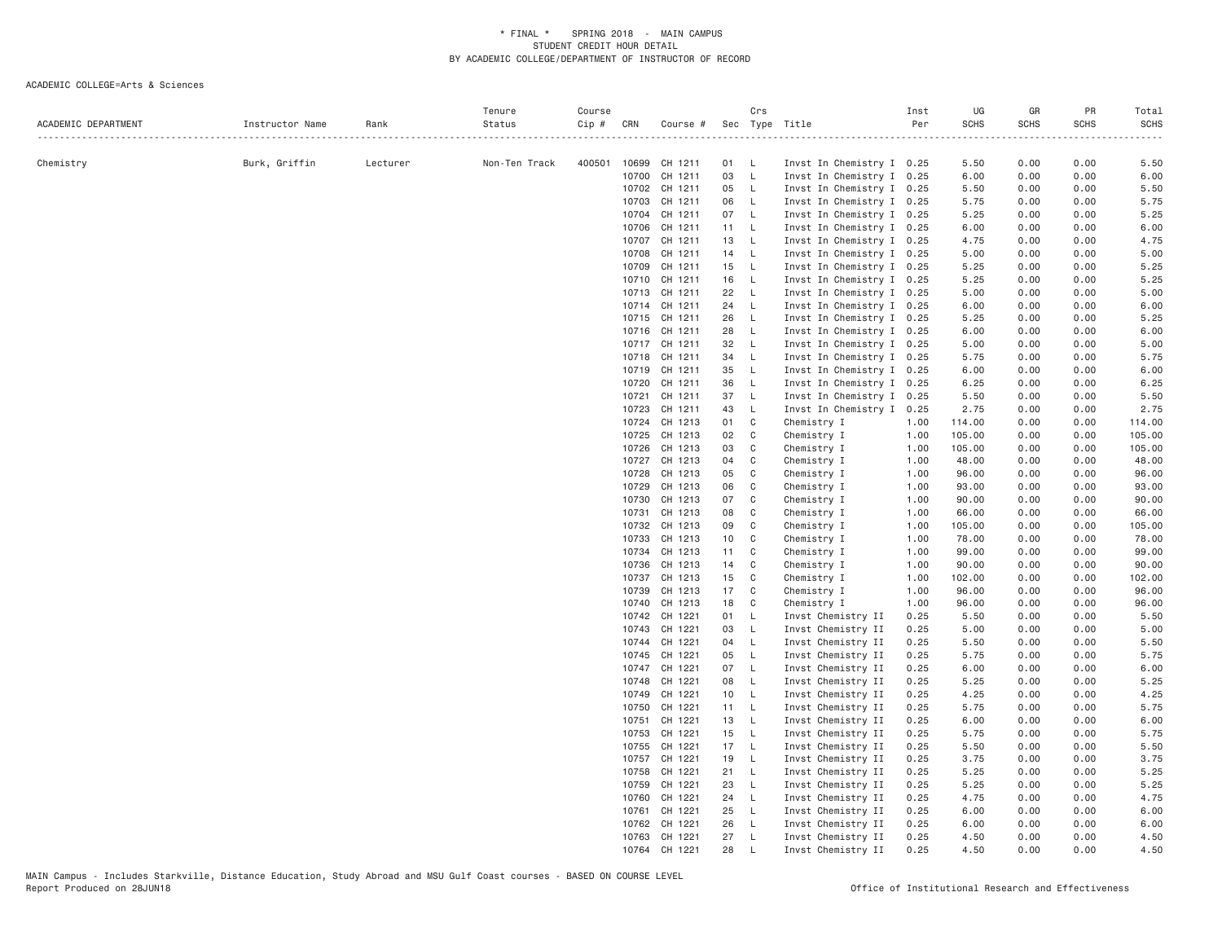| ACADEMIC DEPARTMENT | Instructor Name | Rank     | Tenure<br>Status | Course<br>Cip # | CRN            | Course #                 |                 | Crs                          | Sec Type Title                           | Inst<br>Per  | UG<br><b>SCHS</b><br><u>.</u> | GR<br><b>SCHS</b> | PR<br><b>SCHS</b> | Total<br><b>SCHS</b><br>. |
|---------------------|-----------------|----------|------------------|-----------------|----------------|--------------------------|-----------------|------------------------------|------------------------------------------|--------------|-------------------------------|-------------------|-------------------|---------------------------|
| Chemistry           | Burk, Griffin   | Lecturer | Non-Ten Track    |                 |                | 400501 10699 CH 1211     | 01 L            |                              | Invst In Chemistry I 0.25                |              | 5.50                          | 0.00              | 0.00              | 5.50                      |
|                     |                 |          |                  |                 | 10700          | CH 1211                  | 03              | $-L$                         | Invst In Chemistry I 0.25                |              | 6.00                          | 0.00              | 0.00              | 6.00                      |
|                     |                 |          |                  |                 |                | 10702 CH 1211            | 05 L            |                              | Invst In Chemistry I 0.25                |              | 5.50                          | 0.00              | 0.00              | 5.50                      |
|                     |                 |          |                  |                 | 10703          | CH 1211                  | 06              | $\mathsf{L}$                 | Invst In Chemistry I 0.25                |              | 5.75                          | 0.00              | 0.00              | 5.75                      |
|                     |                 |          |                  |                 |                | 10704 CH 1211            | 07 L            |                              | Invst In Chemistry I 0.25                |              | 5.25                          | 0.00              | 0.00              | 5.25                      |
|                     |                 |          |                  |                 |                | 10706 CH 1211            | 11 L            |                              | Invst In Chemistry I 0.25                |              | 6.00                          | 0.00              | 0.00              | 6.00                      |
|                     |                 |          |                  |                 | 10707          | CH 1211                  | 13              | $\mathsf{L}$                 | Invst In Chemistry I 0.25                |              | 4.75                          | 0.00              | 0.00              | 4.75                      |
|                     |                 |          |                  |                 | 10708          | CH 1211                  | 14              | $\mathsf{L}$                 | Invst In Chemistry I 0.25                |              | 5.00                          | 0.00              | 0.00              | 5.00                      |
|                     |                 |          |                  |                 | 10709          | CH 1211                  | 15 L            |                              | Invst In Chemistry I 0.25                |              | 5.25                          | 0.00              | 0.00              | 5.25                      |
|                     |                 |          |                  |                 | 10710          | CH 1211                  | 16              | $\mathsf{L}$                 | Invst In Chemistry I 0.25                |              | 5.25                          | 0.00              | 0.00              | 5.25                      |
|                     |                 |          |                  |                 |                | 10713 CH 1211            | 22              | $\mathsf{L}$                 | Invst In Chemistry I 0.25                |              | 5.00                          | 0.00              | 0.00              | 5.00                      |
|                     |                 |          |                  |                 |                | 10714 CH 1211            | 24              | $\mathsf{L}$                 | Invst In Chemistry I 0.25                |              | 6.00                          | 0.00              | 0.00              | 6.00                      |
|                     |                 |          |                  |                 |                | 10715 CH 1211            | 26 L            |                              | Invst In Chemistry I 0.25                |              | 5.25                          | 0.00              | 0.00              | 5.25                      |
|                     |                 |          |                  |                 |                | 10716 CH 1211            | 28              | $\mathsf{L}$                 | Invst In Chemistry I 0.25                |              | 6.00                          | 0.00              | 0.00              | 6.00                      |
|                     |                 |          |                  |                 |                | 10717 CH 1211            | 32              | $\mathsf{L}$                 | Invst In Chemistry I 0.25                |              | 5.00                          | 0.00              | 0.00              | 5.00                      |
|                     |                 |          |                  |                 |                | 10718 CH 1211            | 34              | $\mathsf{L}$                 | Invst In Chemistry I 0.25                |              | 5.75                          | 0.00              | 0.00              | 5.75                      |
|                     |                 |          |                  |                 |                | 10719 CH 1211            | 35              | $\mathsf{L}$                 | Invst In Chemistry I 0.25                |              | 6.00                          | 0.00              | 0.00              | 6.00                      |
|                     |                 |          |                  |                 |                | 10720 CH 1211            | 36              | $\mathsf{L}$                 | Invst In Chemistry I 0.25                |              | 6.25                          | 0.00              | 0.00              | 6.25                      |
|                     |                 |          |                  |                 | 10721          | CH 1211                  | 37              | $\mathsf{L}$                 | Invst In Chemistry I 0.25                |              | 5.50                          | 0.00              | 0.00              | 5.50                      |
|                     |                 |          |                  |                 | 10723          | CH 1211                  | 43              | $\mathsf{L}$                 | Invst In Chemistry I 0.25                |              | 2.75                          | 0.00              | 0.00              | 2.75                      |
|                     |                 |          |                  |                 | 10724          | CH 1213                  | 01              | C                            | Chemistry I                              | 1.00         | 114.00                        | 0.00              | 0.00              | 114.00                    |
|                     |                 |          |                  |                 | 10725          | CH 1213                  | 02              | C                            | Chemistry I                              | 1.00         | 105.00                        | 0.00              | 0.00              | 105.00                    |
|                     |                 |          |                  |                 | 10726          | CH 1213                  | 03              | C                            | Chemistry I                              | 1.00         | 105.00                        | 0.00              | 0.00              | 105.00                    |
|                     |                 |          |                  |                 |                | 10727 CH 1213            | 04              | C                            | Chemistry I                              | 1.00         | 48.00                         | 0.00              | 0.00              | 48.00                     |
|                     |                 |          |                  |                 | 10728          | CH 1213                  | 05              | C                            | Chemistry I                              | 1.00         | 96.00                         | 0.00              | 0.00              | 96.00                     |
|                     |                 |          |                  |                 | 10729          | CH 1213                  | 06              | C                            | Chemistry I                              | 1.00         | 93.00                         | 0.00              | 0.00              | 93.00                     |
|                     |                 |          |                  |                 | 10730          | CH 1213                  | 07              | C                            | Chemistry I                              | 1.00         | 90.00                         | 0.00              | 0.00              | 90.00                     |
|                     |                 |          |                  |                 | 10731          | CH 1213                  | 08              | C                            | Chemistry I                              | 1.00         | 66.00                         | 0.00              | 0.00              | 66.00                     |
|                     |                 |          |                  |                 | 10732          | CH 1213                  | 09              | C                            | Chemistry I                              | 1.00         | 105.00                        | 0.00              | 0.00              | 105.00                    |
|                     |                 |          |                  |                 | 10733          | CH 1213                  | 10 <sup>1</sup> | C                            | Chemistry I                              | 1.00         | 78.00                         | 0.00              | 0.00              | 78.00                     |
|                     |                 |          |                  |                 | 10734          | CH 1213                  | 11 C            |                              | Chemistry I                              | 1.00         | 99.00                         | 0.00              | 0.00              | 99.00                     |
|                     |                 |          |                  |                 | 10736          | CH 1213                  | 14              | C                            | Chemistry I                              | 1.00         | 90.00                         | 0.00              | 0.00              | 90.00                     |
|                     |                 |          |                  |                 | 10737          | CH 1213                  | 15              | C                            | Chemistry I                              | 1.00         | 102.00                        | 0.00              | 0.00              | 102.00                    |
|                     |                 |          |                  |                 | 10739          | CH 1213                  | 17              | C                            | Chemistry I                              | 1.00         | 96.00                         | 0.00              | 0.00              | 96.00                     |
|                     |                 |          |                  |                 | 10740          | CH 1213                  | 18              | C                            | Chemistry I                              | 1.00         | 96.00                         | 0.00              | 0.00              | 96.00                     |
|                     |                 |          |                  |                 |                | 10742 CH 1221            | 01              | - L<br>$\mathsf{L}$          | Invst Chemistry II                       | 0.25         | 5.50                          | 0.00              | 0.00              | 5.50                      |
|                     |                 |          |                  |                 | 10743          | CH 1221                  | 03              |                              | Invst Chemistry II                       | 0.25         | 5.00                          | 0.00              | 0.00              | 5.00                      |
|                     |                 |          |                  |                 |                | 10744 CH 1221<br>CH 1221 | 04              | $\mathsf{L}$<br>$\mathsf{L}$ | Invst Chemistry II                       | 0.25<br>0.25 | 5.50                          | 0.00              | 0.00<br>0.00      | 5.50                      |
|                     |                 |          |                  |                 | 10745<br>10747 | CH 1221                  | 05<br>07        | $\mathsf{L}$                 | Invst Chemistry II<br>Invst Chemistry II | 0.25         | 5.75<br>6.00                  | 0.00<br>0.00      | 0.00              | 5.75<br>6.00              |
|                     |                 |          |                  |                 | 10748          | CH 1221                  | 08              | $\mathsf{L}$                 | Invst Chemistry II                       | 0.25         | 5.25                          | 0.00              | 0.00              | 5.25                      |
|                     |                 |          |                  |                 | 10749          | CH 1221                  | 10 L            |                              | Invst Chemistry II                       | 0.25         | 4.25                          | 0.00              | 0.00              | 4.25                      |
|                     |                 |          |                  |                 | 10750          | CH 1221                  | 11 L            |                              | Invst Chemistry II                       | 0.25         | 5.75                          | 0.00              | 0.00              | 5.75                      |
|                     |                 |          |                  |                 | 10751          | CH 1221                  | 13 L            |                              | Invst Chemistry II                       | 0.25         | 6.00                          | 0.00              | 0.00              | 6.00                      |
|                     |                 |          |                  |                 | 10753          | CH 1221                  | 15 L            |                              | Invst Chemistry II                       | 0.25         | 5.75                          | 0.00              | 0.00              | 5.75                      |
|                     |                 |          |                  |                 | 10755          | CH 1221                  | 17 L            |                              | Invst Chemistry II                       | 0.25         | 5.50                          | 0.00              | 0.00              | 5.50                      |
|                     |                 |          |                  |                 | 10757          | CH 1221                  | 19              | $\mathsf{L}$                 | Invst Chemistry II                       | 0.25         | 3.75                          | 0.00              | 0.00              | 3.75                      |
|                     |                 |          |                  |                 | 10758          | CH 1221                  | $21 \quad L$    |                              | Invst Chemistry II                       | 0.25         | 5.25                          | 0.00              | 0.00              | 5.25                      |
|                     |                 |          |                  |                 | 10759          | CH 1221                  | 23              | $\mathsf{L}$                 | Invst Chemistry II                       | 0.25         | 5.25                          | 0.00              | 0.00              | 5.25                      |
|                     |                 |          |                  |                 | 10760          | CH 1221                  | 24 L            |                              | Invst Chemistry II                       | 0.25         | 4.75                          | 0.00              | 0.00              | 4.75                      |
|                     |                 |          |                  |                 |                | 10761 CH 1221            | 25 L            |                              | Invst Chemistry II                       | 0.25         | 6.00                          | 0.00              | 0.00              | 6.00                      |
|                     |                 |          |                  |                 | 10762          | CH 1221                  | 26              | - L                          | Invst Chemistry II                       | 0.25         | 6.00                          | 0.00              | 0.00              | 6.00                      |
|                     |                 |          |                  |                 |                | 10763 CH 1221            | 27              | $\mathsf{L}$                 | Invst Chemistry II                       | 0.25         | 4.50                          | 0.00              | 0.00              | 4.50                      |
|                     |                 |          |                  |                 |                | 10764 CH 1221            | 28              | L                            | Invst Chemistry II                       | 0.25         | 4.50                          | 0.00              | 0.00              | 4.50                      |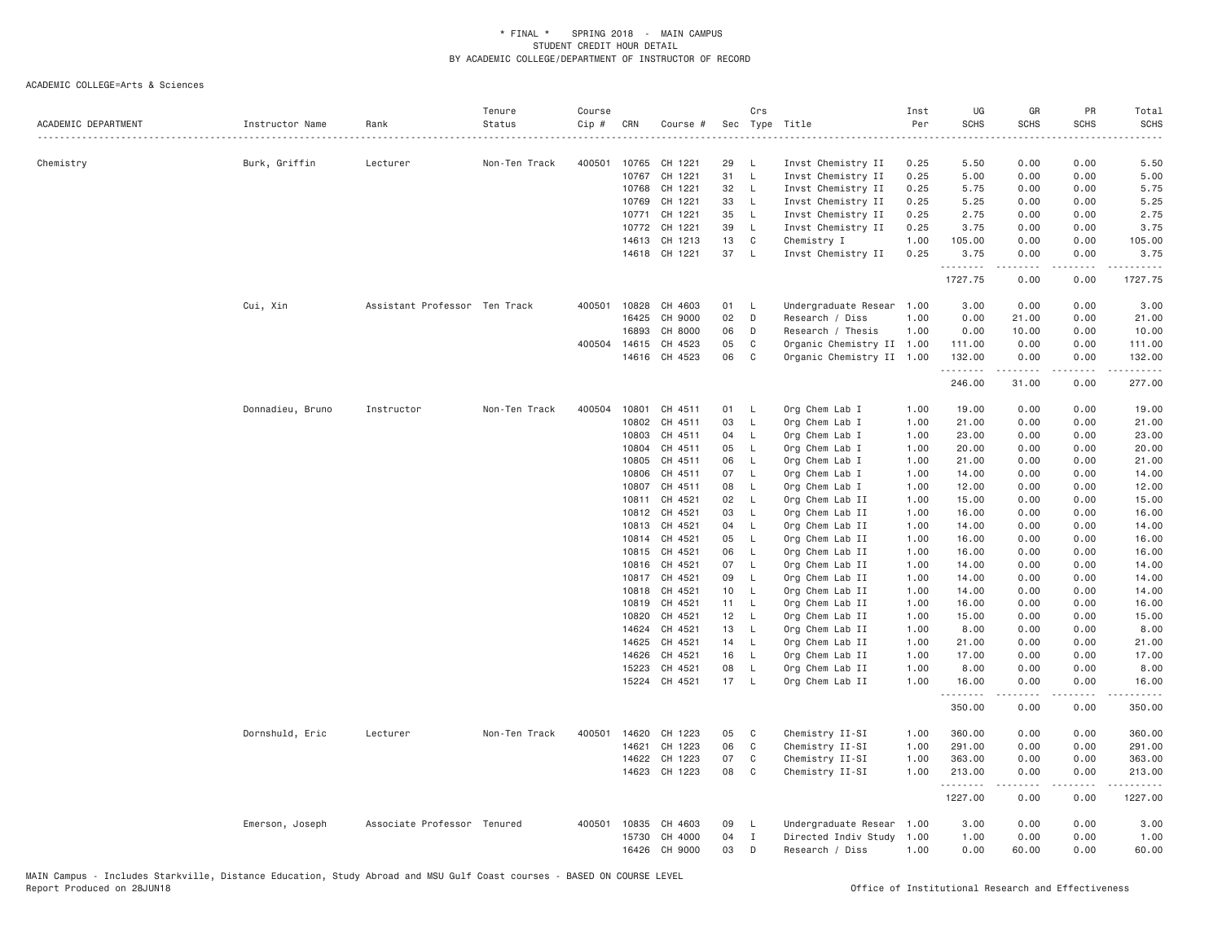| ACADEMIC DEPARTMENT | Instructor Name  | Rank                          | Tenure<br>Status | Course<br>Cip # | CRN            | Course #           |                 | Crs                | Sec Type Title                     | Inst<br>Per<br>. | UG<br><b>SCHS</b> | GR<br><b>SCHS</b>                                                                                                                                            | PR<br><b>SCHS</b>                   | Total<br><b>SCHS</b><br>$- - - -$                                                                                                                              |
|---------------------|------------------|-------------------------------|------------------|-----------------|----------------|--------------------|-----------------|--------------------|------------------------------------|------------------|-------------------|--------------------------------------------------------------------------------------------------------------------------------------------------------------|-------------------------------------|----------------------------------------------------------------------------------------------------------------------------------------------------------------|
| Chemistry           | Burk, Griffin    | Lecturer                      | Non-Ten Track    | 400501          | 10765          | CH 1221            | 29              | - L                | Invst Chemistry II                 | 0.25             | 5.50              | 0.00                                                                                                                                                         | 0.00                                | 5.50                                                                                                                                                           |
|                     |                  |                               |                  |                 | 10767          | CH 1221            | 31              | $\mathsf{L}$       | Invst Chemistry II                 | 0.25             | 5.00              | 0.00                                                                                                                                                         | 0.00                                | 5.00                                                                                                                                                           |
|                     |                  |                               |                  |                 | 10768          | CH 1221            | 32              | $\mathsf{L}$       | Invst Chemistry II                 | 0.25             | 5.75              | 0.00                                                                                                                                                         | 0.00                                | 5.75                                                                                                                                                           |
|                     |                  |                               |                  |                 | 10769          | CH 1221            | 33              | - L                | Invst Chemistry II                 | 0.25             | 5.25              | 0.00                                                                                                                                                         | 0.00                                | 5.25                                                                                                                                                           |
|                     |                  |                               |                  |                 | 10771          | CH 1221            | 35              | $\mathsf{L}$       | Invst Chemistry II                 | 0.25             | 2.75              | 0.00                                                                                                                                                         | 0.00                                | 2.75                                                                                                                                                           |
|                     |                  |                               |                  |                 | 10772          | CH 1221            | 39              | $\mathsf{L}$       | Invst Chemistry II                 | 0.25             | 3.75              | 0.00                                                                                                                                                         | 0.00                                | 3.75                                                                                                                                                           |
|                     |                  |                               |                  |                 | 14613          | CH 1213            | 13              | C                  | Chemistry I                        | 1.00             | 105.00            | 0.00                                                                                                                                                         | 0.00                                | 105.00                                                                                                                                                         |
|                     |                  |                               |                  |                 |                | 14618 CH 1221      | 37              | $\mathsf{L}$       | Invst Chemistry II                 | 0.25             | 3.75<br>.         | 0.00<br>$\frac{1}{2} \left( \frac{1}{2} \right) \left( \frac{1}{2} \right) \left( \frac{1}{2} \right) \left( \frac{1}{2} \right) \left( \frac{1}{2} \right)$ | 0.00<br>.                           | 3.75<br>.                                                                                                                                                      |
|                     |                  |                               |                  |                 |                |                    |                 |                    |                                    |                  | 1727.75           | 0.00                                                                                                                                                         | 0.00                                | 1727.75                                                                                                                                                        |
|                     | Cui, Xin         | Assistant Professor Ten Track |                  | 400501          | 10828          | CH 4603            | 01              | - L                | Undergraduate Resear 1.00          |                  | 3.00              | 0.00                                                                                                                                                         | 0.00                                | 3.00                                                                                                                                                           |
|                     |                  |                               |                  |                 | 16425          | CH 9000            | 02              | D                  | Research / Diss                    | 1.00             | 0.00              | 21.00                                                                                                                                                        | 0.00                                | 21.00                                                                                                                                                          |
|                     |                  |                               |                  |                 | 16893          | CH 8000            | 06              | D                  | Research / Thesis                  | 1.00             | 0.00              | 10.00                                                                                                                                                        | 0.00                                | 10.00                                                                                                                                                          |
|                     |                  |                               |                  | 400504          | 14615          | CH 4523            | 05              | C                  | Organic Chemistry II 1.00          |                  | 111.00            | 0.00                                                                                                                                                         | 0.00                                | 111.00                                                                                                                                                         |
|                     |                  |                               |                  |                 |                | 14616 CH 4523      | 06              | C                  | Organic Chemistry II 1.00          |                  | 132.00<br>.       | 0.00<br>$\frac{1}{2} \left( \frac{1}{2} \right) \left( \frac{1}{2} \right) \left( \frac{1}{2} \right) \left( \frac{1}{2} \right) \left( \frac{1}{2} \right)$ | 0.00<br>.                           | 132.00<br>2.2.2.2.2                                                                                                                                            |
|                     |                  |                               |                  |                 |                |                    |                 |                    |                                    |                  | 246.00            | 31.00                                                                                                                                                        | 0.00                                | 277.00                                                                                                                                                         |
|                     | Donnadieu, Bruno | Instructor                    | Non-Ten Track    | 400504          | 10801          | CH 4511            | 01              | - L                | Org Chem Lab I                     | 1.00             | 19.00             | 0.00                                                                                                                                                         | 0.00                                | 19.00                                                                                                                                                          |
|                     |                  |                               |                  |                 | 10802          | CH 4511            | 03              | L.                 | Org Chem Lab I                     | 1.00             | 21.00             | 0.00                                                                                                                                                         | 0.00                                | 21.00                                                                                                                                                          |
|                     |                  |                               |                  |                 | 10803          | CH 4511            | 04              | - L                | Org Chem Lab I                     | 1.00             | 23.00             | 0.00                                                                                                                                                         | 0.00                                | 23.00                                                                                                                                                          |
|                     |                  |                               |                  |                 | 10804          | CH 4511            | 05              | L                  | Org Chem Lab I                     | 1.00             | 20.00             | 0.00                                                                                                                                                         | 0.00                                | 20.00                                                                                                                                                          |
|                     |                  |                               |                  |                 | 10805          | CH 4511            | 06              | L                  | Org Chem Lab I                     | 1.00             | 21.00             | 0.00                                                                                                                                                         | 0.00                                | 21.00                                                                                                                                                          |
|                     |                  |                               |                  |                 | 10806          | CH 4511            | 07              | - L                | Org Chem Lab I                     | 1.00             | 14.00             | 0.00                                                                                                                                                         | 0.00                                | 14.00                                                                                                                                                          |
|                     |                  |                               |                  |                 | 10807          | CH 4511            | 08              | L                  | Org Chem Lab I                     | 1.00             | 12.00             | 0.00                                                                                                                                                         | 0.00                                | 12.00                                                                                                                                                          |
|                     |                  |                               |                  |                 | 10811          | CH 4521            | 02              | - L                | Org Chem Lab II                    | 1.00             | 15.00             | 0.00                                                                                                                                                         | 0.00                                | 15.00                                                                                                                                                          |
|                     |                  |                               |                  |                 | 10812          | CH 4521            | 03              | $\mathsf{L}$       | Org Chem Lab II                    | 1.00             | 16.00             | 0.00                                                                                                                                                         | 0.00                                | 16.00                                                                                                                                                          |
|                     |                  |                               |                  |                 | 10813          | CH 4521            | 04              | - L                | Org Chem Lab II                    | 1.00             | 14.00             | 0.00                                                                                                                                                         | 0.00                                | 14.00                                                                                                                                                          |
|                     |                  |                               |                  |                 | 10814<br>10815 | CH 4521<br>CH 4521 | 05<br>06        | L.<br>$\mathsf{L}$ | Org Chem Lab II                    | 1.00<br>1.00     | 16.00<br>16.00    | 0.00<br>0.00                                                                                                                                                 | 0.00<br>0.00                        | 16.00<br>16.00                                                                                                                                                 |
|                     |                  |                               |                  |                 | 10816          | CH 4521            | 07              | <b>L</b>           | Org Chem Lab II<br>Org Chem Lab II | 1.00             | 14.00             | 0.00                                                                                                                                                         | 0.00                                | 14.00                                                                                                                                                          |
|                     |                  |                               |                  |                 | 10817          | CH 4521            | 09              | - L                | Org Chem Lab II                    | 1.00             | 14.00             | 0.00                                                                                                                                                         | 0.00                                | 14.00                                                                                                                                                          |
|                     |                  |                               |                  |                 | 10818          | CH 4521            | 10 <sub>1</sub> | $\mathsf{L}$       | Org Chem Lab II                    | 1.00             | 14.00             | 0.00                                                                                                                                                         | 0.00                                | 14.00                                                                                                                                                          |
|                     |                  |                               |                  |                 | 10819          | CH 4521            | 11              | $\mathsf{L}$       | Org Chem Lab II                    | 1.00             | 16.00             | 0.00                                                                                                                                                         | 0.00                                | 16.00                                                                                                                                                          |
|                     |                  |                               |                  |                 | 10820          | CH 4521            | 12              | $\mathsf{L}$       | Org Chem Lab II                    | 1.00             | 15.00             | 0.00                                                                                                                                                         | 0.00                                | 15.00                                                                                                                                                          |
|                     |                  |                               |                  |                 | 14624          | CH 4521            | 13              | - L                | Org Chem Lab II                    | 1.00             | 8.00              | 0.00                                                                                                                                                         | 0.00                                | 8.00                                                                                                                                                           |
|                     |                  |                               |                  |                 | 14625          | CH 4521            | 14              | - L                | Org Chem Lab II                    | 1.00             | 21.00             | 0.00                                                                                                                                                         | 0.00                                | 21.00                                                                                                                                                          |
|                     |                  |                               |                  |                 | 14626          | CH 4521            | 16              | - L                | Org Chem Lab II                    | 1.00             | 17.00             | 0.00                                                                                                                                                         | 0.00                                | 17.00                                                                                                                                                          |
|                     |                  |                               |                  |                 | 15223          | CH 4521            | 08              | L                  | Org Chem Lab II                    | 1.00             | 8.00              | 0.00                                                                                                                                                         | 0.00                                | 8.00                                                                                                                                                           |
|                     |                  |                               |                  |                 |                | 15224 CH 4521      | 17              | - L                | Org Chem Lab II                    | 1.00             | 16.00<br>.        | 0.00<br>.                                                                                                                                                    | 0.00<br>.                           | 16.00<br>.                                                                                                                                                     |
|                     |                  |                               |                  |                 |                |                    |                 |                    |                                    |                  | 350.00            | 0.00                                                                                                                                                         | 0.00                                | 350.00                                                                                                                                                         |
|                     | Dornshuld, Eric  | Lecturer                      | Non-Ten Track    | 400501          | 14620          | CH 1223            | 05              | C                  | Chemistry II-SI                    | 1.00             | 360.00            | 0.00                                                                                                                                                         | 0.00                                | 360.00                                                                                                                                                         |
|                     |                  |                               |                  |                 | 14621          | CH 1223            | 06              | C                  | Chemistry II-SI                    | 1.00             | 291.00            | 0.00                                                                                                                                                         | 0.00                                | 291.00                                                                                                                                                         |
|                     |                  |                               |                  |                 | 14622          | CH 1223            | 07              | C                  | Chemistry II-SI                    | 1.00             | 363.00            | 0.00                                                                                                                                                         | 0.00                                | 363.00                                                                                                                                                         |
|                     |                  |                               |                  |                 |                | 14623 CH 1223      | 08              | C                  | Chemistry II-SI                    | 1.00             | 213.00<br>.       | 0.00                                                                                                                                                         | 0.00<br>$\sim$ $\sim$ $\sim$ $\sim$ | 213.00<br>$\frac{1}{2} \left( \frac{1}{2} \right) \left( \frac{1}{2} \right) \left( \frac{1}{2} \right) \left( \frac{1}{2} \right) \left( \frac{1}{2} \right)$ |
|                     |                  |                               |                  |                 |                |                    |                 |                    |                                    |                  | 1227.00           | 0.00                                                                                                                                                         | 0.00                                | 1227.00                                                                                                                                                        |
|                     | Emerson, Joseph  | Associate Professor Tenured   |                  | 400501          | 10835          | CH 4603            | 09              | - L                | Undergraduate Resear               | 1.00             | 3.00              | 0.00                                                                                                                                                         | 0.00                                | 3.00                                                                                                                                                           |
|                     |                  |                               |                  |                 | 15730          | CH 4000            | 04              | $\mathbf I$        | Directed Indiv Study               | 1.00             | 1.00              | 0.00                                                                                                                                                         | 0.00                                | 1.00                                                                                                                                                           |
|                     |                  |                               |                  |                 | 16426          | CH 9000            | 03              | D                  | Research / Diss                    | 1.00             | 0.00              | 60.00                                                                                                                                                        | 0.00                                | 60.00                                                                                                                                                          |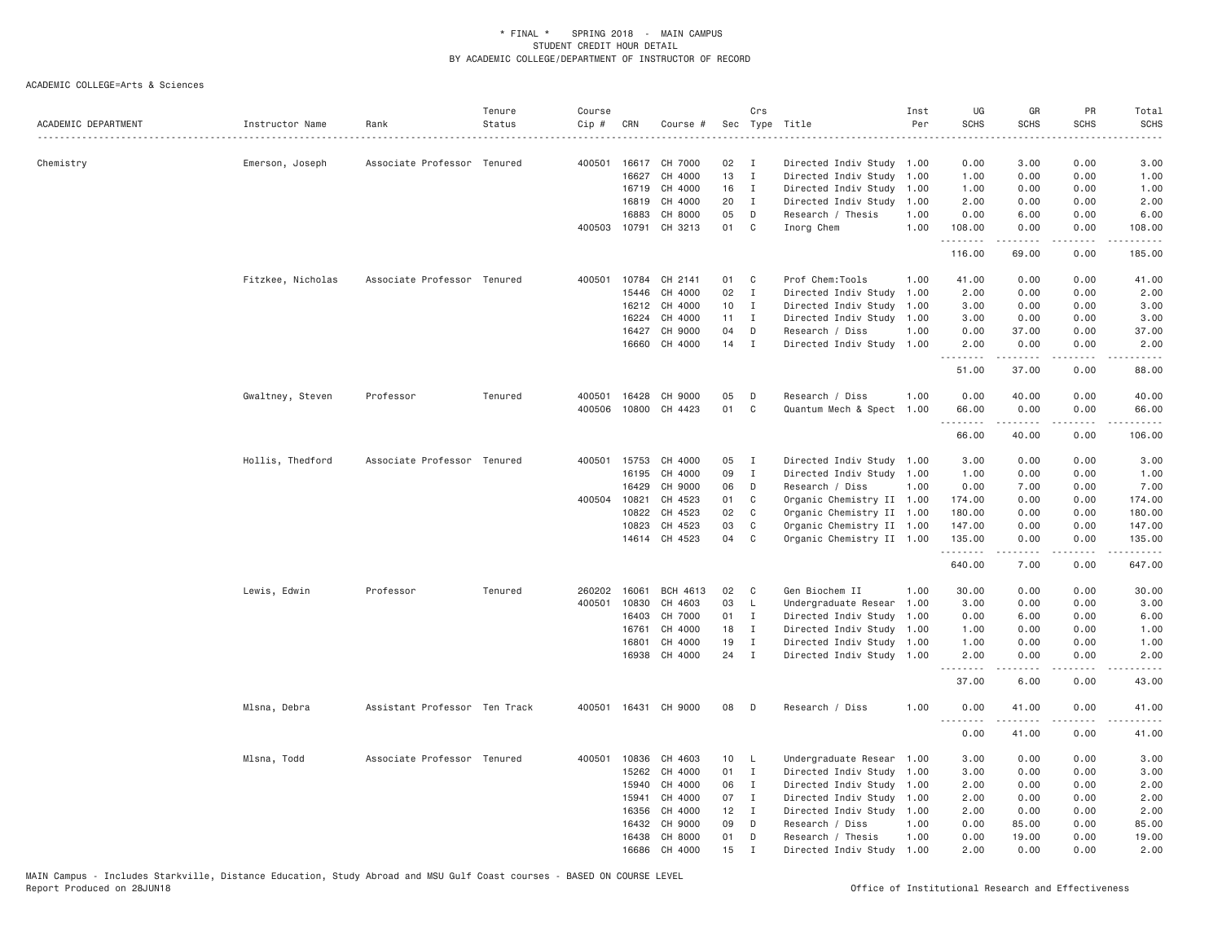| ACADEMIC DEPARTMENT | Instructor Name   | Rank                          | Tenure<br>Status | Course<br>Cip # | CRN            | Course #           |          | Crs               | Sec Type Title                          | Inst<br>Per  | UG<br><b>SCHS</b> | GR<br><b>SCHS</b>                                                                                                                                                                       | PR<br><b>SCHS</b> | Total<br><b>SCHS</b><br>-----                                                                                                                                                             |
|---------------------|-------------------|-------------------------------|------------------|-----------------|----------------|--------------------|----------|-------------------|-----------------------------------------|--------------|-------------------|-----------------------------------------------------------------------------------------------------------------------------------------------------------------------------------------|-------------------|-------------------------------------------------------------------------------------------------------------------------------------------------------------------------------------------|
| Chemistry           | Emerson, Joseph   | Associate Professor Tenured   |                  | 400501          |                | 16617 CH 7000      | 02       | Ι.                | Directed Indiv Study 1.00               |              | 0.00              | 3.00                                                                                                                                                                                    | 0.00              | 3.00                                                                                                                                                                                      |
|                     |                   |                               |                  |                 | 16627          | CH 4000            | 13       | $\mathbf I$       | Directed Indiv Study                    | 1.00         | 1.00              | 0.00                                                                                                                                                                                    | 0.00              | 1.00                                                                                                                                                                                      |
|                     |                   |                               |                  |                 | 16719          | CH 4000            | 16       | $\mathbf{I}$      | Directed Indiv Study                    | 1.00         | 1.00              | 0.00                                                                                                                                                                                    | 0.00              | 1.00                                                                                                                                                                                      |
|                     |                   |                               |                  |                 | 16819          | CH 4000            | 20       | $\mathbf I$       | Directed Indiv Study                    | 1.00         | 2.00              | 0.00                                                                                                                                                                                    | 0.00              | 2.00                                                                                                                                                                                      |
|                     |                   |                               |                  |                 | 16883          | CH 8000            | 05       | D                 | Research / Thesis                       | 1.00         | 0.00              | 6.00                                                                                                                                                                                    | 0.00              | 6.00                                                                                                                                                                                      |
|                     |                   |                               |                  | 400503          |                | 10791 CH 3213      | 01 C     |                   | Inorg Chem                              | 1.00         | 108.00<br>.       | 0.00<br>$\frac{1}{2} \left( \frac{1}{2} \right) \left( \frac{1}{2} \right) \left( \frac{1}{2} \right) \left( \frac{1}{2} \right) \left( \frac{1}{2} \right) \left( \frac{1}{2} \right)$ | 0.00<br>.         | 108.00<br>$\frac{1}{2} \left( \frac{1}{2} \right) \left( \frac{1}{2} \right) \left( \frac{1}{2} \right) \left( \frac{1}{2} \right) \left( \frac{1}{2} \right) \left( \frac{1}{2} \right)$ |
|                     |                   |                               |                  |                 |                |                    |          |                   |                                         |              | 116.00            | 69.00                                                                                                                                                                                   | 0.00              | 185.00                                                                                                                                                                                    |
|                     | Fitzkee, Nicholas | Associate Professor Tenured   |                  | 400501          | 10784          | CH 2141            | 01       | C                 | Prof Chem: Tools                        | 1.00         | 41.00             | 0.00                                                                                                                                                                                    | 0.00              | 41.00                                                                                                                                                                                     |
|                     |                   |                               |                  |                 | 15446          | CH 4000            | 02       | $\mathbf{I}$      | Directed Indiv Study                    | 1.00         | 2.00              | 0.00                                                                                                                                                                                    | 0.00              | 2.00                                                                                                                                                                                      |
|                     |                   |                               |                  |                 | 16212          | CH 4000            | 10       | I                 | Directed Indiv Study                    | 1.00         | 3.00              | 0.00                                                                                                                                                                                    | 0.00              | 3.00                                                                                                                                                                                      |
|                     |                   |                               |                  |                 | 16224          | CH 4000            | 11       | $\mathbf{I}$      | Directed Indiv Study                    | 1.00         | 3.00              | 0.00                                                                                                                                                                                    | 0.00              | 3.00                                                                                                                                                                                      |
|                     |                   |                               |                  |                 | 16427<br>16660 | CH 9000<br>CH 4000 | 04<br>14 | D<br>$\mathbf{I}$ | Research / Diss<br>Directed Indiv Study | 1.00<br>1.00 | 0.00<br>2.00      | 37.00<br>0.00                                                                                                                                                                           | 0.00<br>0.00      | 37.00<br>2.00                                                                                                                                                                             |
|                     |                   |                               |                  |                 |                |                    |          |                   |                                         |              | 51.00             | $\frac{1}{2} \left( \frac{1}{2} \right) \left( \frac{1}{2} \right) \left( \frac{1}{2} \right) \left( \frac{1}{2} \right) \left( \frac{1}{2} \right)$<br>37.00                           | .<br>0.00         | .<br>88.00                                                                                                                                                                                |
|                     | Gwaltney, Steven  | Professor                     | Tenured          | 400501          | 16428          | CH 9000            | 05       | D                 | Research / Diss                         | 1.00         | 0.00              | 40.00                                                                                                                                                                                   | 0.00              | 40.00                                                                                                                                                                                     |
|                     |                   |                               |                  | 400506          |                | 10800 CH 4423      | 01       | C                 | Quantum Mech & Spect 1.00               |              | 66.00             | 0.00                                                                                                                                                                                    | 0.00              | 66.00                                                                                                                                                                                     |
|                     |                   |                               |                  |                 |                |                    |          |                   |                                         |              | --------<br>66.00 | .<br>40.00                                                                                                                                                                              | .<br>0.00         | .<br>106.00                                                                                                                                                                               |
|                     | Hollis, Thedford  | Associate Professor Tenured   |                  |                 | 400501 15753   | CH 4000            | 05       | $\mathbf{I}$      | Directed Indiv Study 1.00               |              | 3.00              | 0.00                                                                                                                                                                                    | 0.00              | 3.00                                                                                                                                                                                      |
|                     |                   |                               |                  |                 | 16195          | CH 4000            | 09       | Ι.                | Directed Indiv Study                    | 1.00         | 1.00              | 0.00                                                                                                                                                                                    | 0.00              | 1.00                                                                                                                                                                                      |
|                     |                   |                               |                  |                 | 16429          | CH 9000            | 06       | D                 | Research / Diss                         | 1.00         | 0.00              | 7.00                                                                                                                                                                                    | 0.00              | 7.00                                                                                                                                                                                      |
|                     |                   |                               |                  | 400504 10821    |                | CH 4523            | 01       | C                 | Organic Chemistry II 1.00               |              | 174.00            | 0.00                                                                                                                                                                                    | 0.00              | 174.00                                                                                                                                                                                    |
|                     |                   |                               |                  |                 | 10822          | CH 4523            | 02       | $\mathbf{C}$      | Organic Chemistry II 1.00               |              | 180.00            | 0.00                                                                                                                                                                                    | 0.00              | 180.00                                                                                                                                                                                    |
|                     |                   |                               |                  |                 | 10823          | CH 4523            | 03       | C                 | Organic Chemistry II 1.00               |              | 147.00            | 0.00                                                                                                                                                                                    | 0.00              | 147.00                                                                                                                                                                                    |
|                     |                   |                               |                  |                 |                | 14614 CH 4523      | 04       | C                 | Organic Chemistry II 1.00               |              | 135.00<br>.       | 0.00<br><b>.</b> .                                                                                                                                                                      | 0.00<br>.         | 135.00<br>. <u>.</u>                                                                                                                                                                      |
|                     |                   |                               |                  |                 |                |                    |          |                   |                                         |              | 640.00            | 7.00                                                                                                                                                                                    | 0.00              | 647.00                                                                                                                                                                                    |
|                     | Lewis, Edwin      | Professor                     | Tenured          | 260202          | 16061          | BCH 4613           | 02       | C                 | Gen Biochem II                          | 1.00         | 30.00             | 0.00                                                                                                                                                                                    | 0.00              | 30.00                                                                                                                                                                                     |
|                     |                   |                               |                  | 400501          | 10830          | CH 4603            | 03       | $\mathsf{L}$      | Undergraduate Resear                    | 1,00         | 3.00              | 0.00                                                                                                                                                                                    | 0.00              | 3.00                                                                                                                                                                                      |
|                     |                   |                               |                  |                 | 16403          | CH 7000            | 01       | $\mathbf{I}$      | Directed Indiv Study                    | 1.00         | 0.00              | 6.00                                                                                                                                                                                    | 0.00              | 6.00                                                                                                                                                                                      |
|                     |                   |                               |                  |                 | 16761          | CH 4000            | 18       | $\mathbf{I}$      | Directed Indiv Study 1.00               |              | 1.00              | 0.00                                                                                                                                                                                    | 0.00              | 1.00                                                                                                                                                                                      |
|                     |                   |                               |                  |                 | 16801          | CH 4000            | 19       | $\mathbf{I}$      | Directed Indiv Study 1.00               |              | 1.00              | 0.00                                                                                                                                                                                    | 0.00              | 1.00                                                                                                                                                                                      |
|                     |                   |                               |                  |                 | 16938          | CH 4000            | 24       | $\mathbf{I}$      | Directed Indiv Study 1.00               |              | 2.00<br>.         | 0.00<br>.                                                                                                                                                                               | 0.00<br>.         | 2.00<br>$    -$                                                                                                                                                                           |
|                     |                   |                               |                  |                 |                |                    |          |                   |                                         |              | 37.00             | 6.00                                                                                                                                                                                    | 0.00              | 43.00                                                                                                                                                                                     |
|                     | Mlsna, Debra      | Assistant Professor Ten Track |                  | 400501          |                | 16431 CH 9000      | 08       | D                 | Research / Diss                         | 1.00         | 0.00<br><u>.</u>  | 41.00                                                                                                                                                                                   | 0.00              | 41.00<br>.                                                                                                                                                                                |
|                     |                   |                               |                  |                 |                |                    |          |                   |                                         |              | 0.00              | 41.00                                                                                                                                                                                   | 0.00              | 41.00                                                                                                                                                                                     |
|                     | Mlsna, Todd       | Associate Professor Tenured   |                  | 400501          | 10836          | CH 4603            | 10       | L.                | Undergraduate Resear 1.00               |              | 3.00              | 0.00                                                                                                                                                                                    | 0.00              | 3.00                                                                                                                                                                                      |
|                     |                   |                               |                  |                 | 15262          | CH 4000            | 01       | I                 | Directed Indiv Study                    | 1.00         | 3.00              | 0.00                                                                                                                                                                                    | 0.00              | 3.00                                                                                                                                                                                      |
|                     |                   |                               |                  |                 | 15940          | CH 4000            | 06       | $\mathbf I$       | Directed Indiv Study                    | 1.00         | 2.00              | 0.00                                                                                                                                                                                    | 0.00              | 2.00                                                                                                                                                                                      |
|                     |                   |                               |                  |                 | 15941          | CH 4000            | 07       | $\mathbf{I}$      | Directed Indiv Study                    | 1.00         | 2.00              | 0.00                                                                                                                                                                                    | 0.00              | 2.00                                                                                                                                                                                      |
|                     |                   |                               |                  |                 | 16356          | CH 4000            | 12       | $\mathbf I$       | Directed Indiv Study 1.00               |              | 2.00              | 0.00                                                                                                                                                                                    | 0.00              | 2.00                                                                                                                                                                                      |
|                     |                   |                               |                  |                 | 16432          | CH 9000            | 09       | D                 | Research / Diss                         | 1.00         | 0.00              | 85.00                                                                                                                                                                                   | 0.00              | 85.00                                                                                                                                                                                     |
|                     |                   |                               |                  |                 | 16438<br>16686 | CH 8000<br>CH 4000 | 01<br>15 | D                 | Research / Thesis                       | 1.00         | 0.00<br>2.00      | 19.00<br>0.00                                                                                                                                                                           | 0.00<br>0.00      | 19.00<br>2.00                                                                                                                                                                             |
|                     |                   |                               |                  |                 |                |                    |          | I                 | Directed Indiv Study 1.00               |              |                   |                                                                                                                                                                                         |                   |                                                                                                                                                                                           |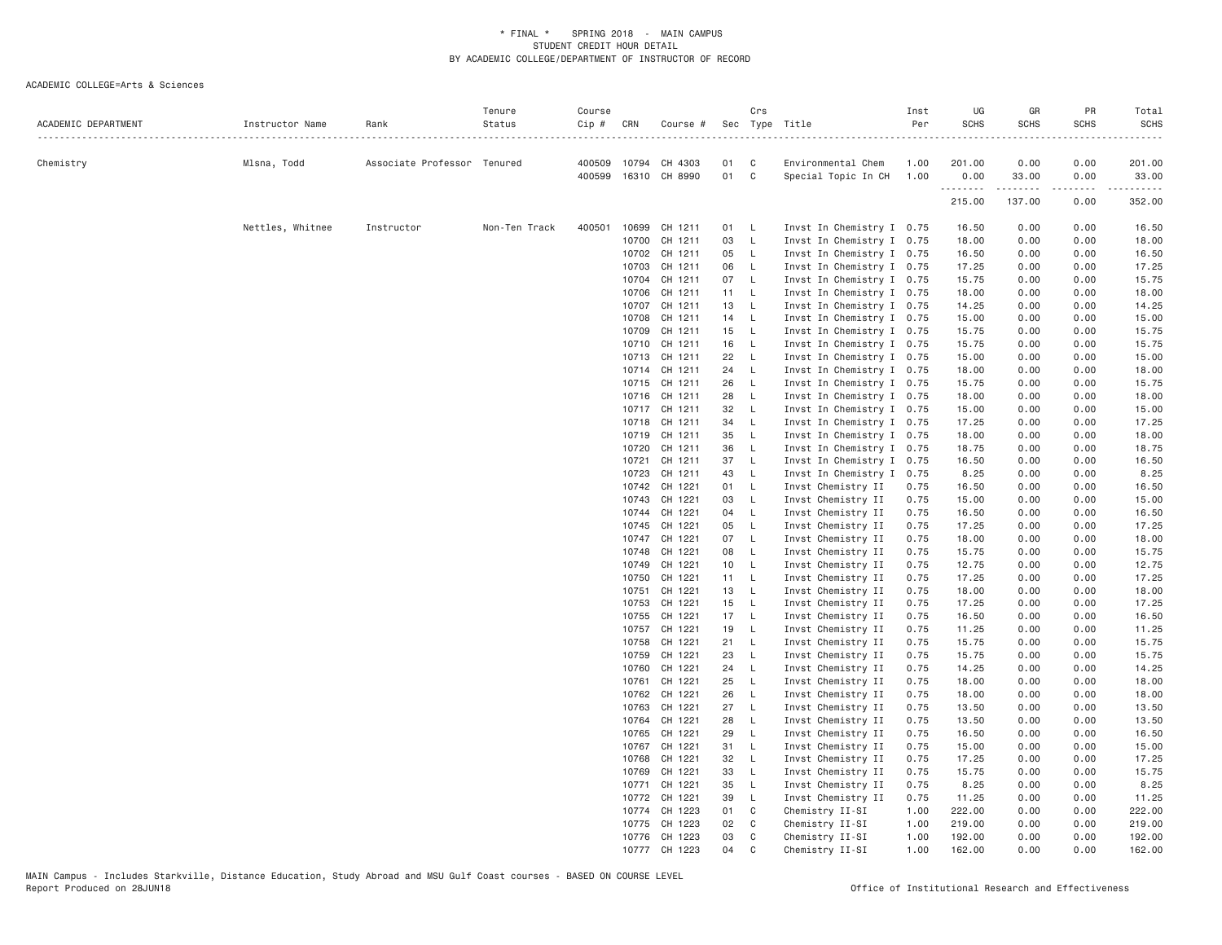| ACADEMIC DEPARTMENT | Instructor Name  | Rank                        | Tenure<br>Status | Course<br>Cip # | CRN            | Course #             |          | Crs                          | Sec Type Title                                         | Inst<br>Per  | UG<br><b>SCHS</b> | GR<br><b>SCHS</b> | PR<br><b>SCHS</b> | Total<br><b>SCHS</b><br>. |
|---------------------|------------------|-----------------------------|------------------|-----------------|----------------|----------------------|----------|------------------------------|--------------------------------------------------------|--------------|-------------------|-------------------|-------------------|---------------------------|
| Chemistry           | Mlsna, Todd      | Associate Professor Tenured |                  |                 |                | 400509 10794 CH 4303 | 01 C     |                              | Environmental Chem                                     | 1.00         | 201.00            | 0.00              | 0.00              | 201.00                    |
|                     |                  |                             |                  |                 |                | 400599 16310 CH 8990 | 01 C     |                              | Special Topic In CH                                    | 1.00         | 0.00              | 33.00             | 0.00              | 33.00                     |
|                     |                  |                             |                  |                 |                |                      |          |                              |                                                        |              | .<br>215.00       | .<br>137.00       | .<br>0.00         | .<br>352.00               |
|                     | Nettles, Whitnee | Instructor                  | Non-Ten Track    | 400501          | 10699          | CH 1211              | 01 L     |                              | Invst In Chemistry I 0.75                              |              | 16.50             | 0.00              | 0.00              | 16.50                     |
|                     |                  |                             |                  |                 | 10700          | CH 1211              | 03       | $\mathsf{L}$                 | Invst In Chemistry I 0.75                              |              | 18.00             | 0.00              | 0.00              | 18.00                     |
|                     |                  |                             |                  |                 |                | 10702 CH 1211        | 05       | $\mathsf{L}$                 | Invst In Chemistry I 0.75                              |              | 16.50             | 0.00              | 0.00              | 16.50                     |
|                     |                  |                             |                  |                 | 10703          | CH 1211              | 06       | $\mathsf{L}$                 | Invst In Chemistry I 0.75                              |              | 17.25             | 0.00              | 0.00              | 17.25                     |
|                     |                  |                             |                  |                 | 10704          | CH 1211              | 07 L     |                              | Invst In Chemistry I 0.75                              |              | 15.75             | 0.00              | 0.00              | 15.75                     |
|                     |                  |                             |                  |                 | 10706          | CH 1211              | 11 L     |                              | Invst In Chemistry I 0.75                              |              | 18.00             | 0.00              | 0.00              | 18.00                     |
|                     |                  |                             |                  |                 | 10707          | CH 1211              | 13       | $\mathsf{L}$                 | Invst In Chemistry I 0.75                              |              | 14.25             | 0.00              | 0.00              | 14.25                     |
|                     |                  |                             |                  |                 | 10708          | CH 1211              | 14 L     |                              | Invst In Chemistry I 0.75                              |              | 15.00             | 0.00              | 0.00              | 15.00                     |
|                     |                  |                             |                  |                 | 10709          | CH 1211              | 15       | $\mathsf{L}$                 | Invst In Chemistry I 0.75                              |              | 15.75             | 0.00              | 0.00              | 15.75                     |
|                     |                  |                             |                  |                 | 10710          | CH 1211              | 16       | $\mathsf{L}$                 | Invst In Chemistry I 0.75                              |              | 15.75             | 0.00              | 0.00              | 15.75                     |
|                     |                  |                             |                  |                 |                | 10713 CH 1211        | 22       | $\mathsf{L}$                 | Invst In Chemistry I 0.75                              |              | 15.00             | 0.00              | 0.00              | 15.00                     |
|                     |                  |                             |                  |                 |                | 10714 CH 1211        | 24 L     |                              | Invst In Chemistry I 0.75                              |              | 18.00             | 0.00              | 0.00              | 18.00                     |
|                     |                  |                             |                  |                 |                | 10715 CH 1211        | 26       | $-L$                         | Invst In Chemistry I 0.75                              |              | 15.75             | 0.00              | 0.00              | 15.75                     |
|                     |                  |                             |                  |                 |                | 10716 CH 1211        | 28       | $\mathsf{L}$                 | Invst In Chemistry I 0.75                              |              | 18.00             | 0.00              | 0.00              | 18.00                     |
|                     |                  |                             |                  |                 |                | 10717 CH 1211        | 32       | $\mathsf{L}$                 | Invst In Chemistry I 0.75                              |              | 15.00             | 0.00              | 0.00              | 15.00                     |
|                     |                  |                             |                  |                 |                | 10718 CH 1211        | 34       | $-L$                         | Invst In Chemistry I 0.75                              |              | 17.25             | 0.00              | 0.00              | 17.25                     |
|                     |                  |                             |                  |                 | 10719          | CH 1211              | 35       | $\mathsf{L}$<br>$\mathsf{L}$ | Invst In Chemistry I 0.75                              |              | 18.00             | 0.00<br>0.00      | 0.00<br>0.00      | 18.00                     |
|                     |                  |                             |                  |                 | 10720<br>10721 | CH 1211<br>CH 1211   | 36<br>37 | $\mathsf{L}$                 | Invst In Chemistry I 0.75<br>Invst In Chemistry I 0.75 |              | 18.75<br>16.50    | 0.00              | 0.00              | 18.75<br>16.50            |
|                     |                  |                             |                  |                 | 10723          | CH 1211              | 43       | $\mathsf{L}$                 | Invst In Chemistry I 0.75                              |              | 8.25              | 0.00              | 0.00              | 8.25                      |
|                     |                  |                             |                  |                 | 10742          | CH 1221              | 01 L     |                              | Invst Chemistry II                                     | 0.75         | 16.50             | 0.00              | 0.00              | 16.50                     |
|                     |                  |                             |                  |                 | 10743          | CH 1221              | 03 L     |                              | Invst Chemistry II                                     | 0.75         | 15.00             | 0.00              | 0.00              | 15.00                     |
|                     |                  |                             |                  |                 |                | 10744 CH 1221        | 04 L     |                              | Invst Chemistry II                                     | 0.75         | 16.50             | 0.00              | 0.00              | 16.50                     |
|                     |                  |                             |                  |                 | 10745          | CH 1221              | 05       | $\overline{L}$               | Invst Chemistry II                                     | 0.75         | 17.25             | 0.00              | 0.00              | 17.25                     |
|                     |                  |                             |                  |                 | 10747          | CH 1221              | 07 L     |                              | Invst Chemistry II                                     | 0.75         | 18.00             | 0.00              | 0.00              | 18.00                     |
|                     |                  |                             |                  |                 | 10748          | CH 1221              | 08 L     |                              | Invst Chemistry II                                     | 0.75         | 15.75             | 0.00              | 0.00              | 15.75                     |
|                     |                  |                             |                  |                 | 10749          | CH 1221              | 10 L     |                              | Invst Chemistry II                                     | 0.75         | 12.75             | 0.00              | 0.00              | 12.75                     |
|                     |                  |                             |                  |                 | 10750          | CH 1221              | 11 L     |                              | Invst Chemistry II                                     | 0.75         | 17.25             | 0.00              | 0.00              | 17.25                     |
|                     |                  |                             |                  |                 | 10751          | CH 1221              | 13 L     |                              | Invst Chemistry II                                     | 0.75         | 18.00             | 0.00              | 0.00              | 18.00                     |
|                     |                  |                             |                  |                 | 10753          | CH 1221              | 15       | $\mathsf{L}$                 | Invst Chemistry II                                     | 0.75         | 17.25             | 0.00              | 0.00              | 17.25                     |
|                     |                  |                             |                  |                 | 10755          | CH 1221              | 17 L     |                              | Invst Chemistry II                                     | 0.75         | 16.50             | 0.00              | 0.00              | 16.50                     |
|                     |                  |                             |                  |                 | 10757          | CH 1221              | 19 L     |                              | Invst Chemistry II                                     | 0.75         | 11.25             | 0.00              | 0.00              | 11.25                     |
|                     |                  |                             |                  |                 | 10758          | CH 1221              | 21 L     |                              | Invst Chemistry II                                     | 0.75         | 15.75             | 0.00              | 0.00              | 15.75                     |
|                     |                  |                             |                  |                 | 10759          | CH 1221              | 23       | $\mathsf{L}$                 | Invst Chemistry II                                     | 0.75         | 15.75             | 0.00              | 0.00              | 15.75                     |
|                     |                  |                             |                  |                 | 10760          | CH 1221<br>CH 1221   | 24<br>25 | $\mathsf{L}$<br>$\mathsf{L}$ | Invst Chemistry II                                     | 0.75<br>0.75 | 14.25<br>18.00    | 0.00<br>0.00      | 0.00<br>0.00      | 14.25<br>18.00            |
|                     |                  |                             |                  |                 | 10761<br>10762 | CH 1221              | 26       | $-L$                         | Invst Chemistry II<br>Invst Chemistry II               | 0.75         | 18.00             | 0.00              | 0.00              | 18.00                     |
|                     |                  |                             |                  |                 | 10763          | CH 1221              | 27       | $\mathsf{L}$                 | Invst Chemistry II                                     | 0.75         | 13.50             | 0.00              | 0.00              | 13.50                     |
|                     |                  |                             |                  |                 | 10764          | CH 1221              | 28       | $\mathsf{L}$                 | Invst Chemistry II                                     | 0.75         | 13.50             | 0.00              | 0.00              | 13.50                     |
|                     |                  |                             |                  |                 | 10765          | CH 1221              | 29       | $\mathsf{L}$                 | Invst Chemistry II                                     | 0.75         | 16.50             | 0.00              | 0.00              | 16.50                     |
|                     |                  |                             |                  |                 | 10767          | CH 1221              | 31       | $\mathsf{L}$                 | Invst Chemistry II                                     | 0.75         | 15.00             | 0.00              | 0.00              | 15.00                     |
|                     |                  |                             |                  |                 | 10768          | CH 1221              | 32       | $\mathsf{L}$                 | Invst Chemistry II                                     | 0.75         | 17.25             | 0.00              | 0.00              | 17.25                     |
|                     |                  |                             |                  |                 | 10769          | CH 1221              | 33       | $\mathsf{L}$                 | Invst Chemistry II                                     | 0.75         | 15.75             | 0.00              | 0.00              | 15.75                     |
|                     |                  |                             |                  |                 | 10771          | CH 1221              | 35       | $\mathsf{L}$                 | Invst Chemistry II                                     | 0.75         | 8.25              | 0.00              | 0.00              | 8.25                      |
|                     |                  |                             |                  |                 | 10772          | CH 1221              | 39       | $\mathsf{L}$                 | Invst Chemistry II                                     | 0.75         | 11.25             | 0.00              | 0.00              | 11.25                     |
|                     |                  |                             |                  |                 |                | 10774 CH 1223        | 01 C     |                              | Chemistry II-SI                                        | 1.00         | 222.00            | 0.00              | 0.00              | 222.00                    |
|                     |                  |                             |                  |                 | 10775          | CH 1223              | 02       | $\overline{C}$               | Chemistry II-SI                                        | 1.00         | 219.00            | 0.00              | 0.00              | 219.00                    |
|                     |                  |                             |                  |                 |                | 10776 CH 1223        | 03       | C                            | Chemistry II-SI                                        | 1.00         | 192.00            | 0.00              | 0.00              | 192.00                    |
|                     |                  |                             |                  |                 |                | 10777 CH 1223        | 04       | $\mathbf C$                  | Chemistry II-SI                                        | 1.00         | 162.00            | 0.00              | 0.00              | 162.00                    |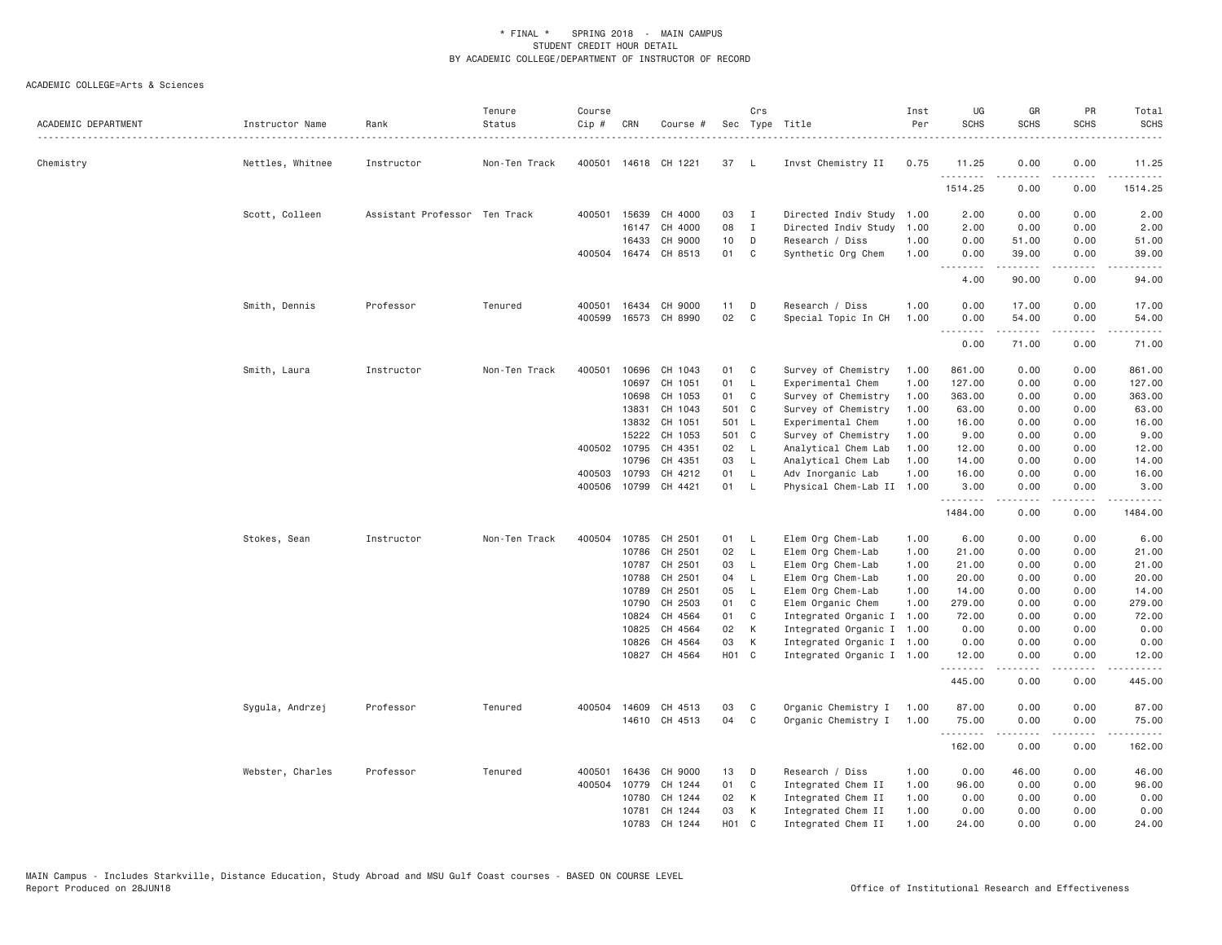| ACADEMIC DEPARTMENT | Instructor Name  | Rank<br>.                     | Tenure<br>Status | Course<br>Cip # | CRN          | Course #             |            | Crs            | Sec Type Title            | Inst<br>Per | UG<br><b>SCHS</b>  | GR<br><b>SCHS</b>                                                                                                                                             | PR<br><b>SCHS</b> | Total<br><b>SCHS</b>                 |
|---------------------|------------------|-------------------------------|------------------|-----------------|--------------|----------------------|------------|----------------|---------------------------|-------------|--------------------|---------------------------------------------------------------------------------------------------------------------------------------------------------------|-------------------|--------------------------------------|
| Chemistry           | Nettles, Whitnee | Instructor                    | Non-Ten Track    |                 |              | 400501 14618 CH 1221 | 37         | - L            | Invst Chemistry II        | 0.75        | 11.25<br>.         | 0.00<br>.                                                                                                                                                     | 0.00              | 11.25<br>.                           |
|                     |                  |                               |                  |                 |              |                      |            |                |                           |             | 1514.25            | 0.00                                                                                                                                                          | ----<br>0.00      | 1514.25                              |
|                     | Scott, Colleen   | Assistant Professor Ten Track |                  |                 | 400501 15639 | CH 4000              | 03 I       |                | Directed Indiv Study      | 1.00        | 2.00               | 0.00                                                                                                                                                          | 0.00              | 2.00                                 |
|                     |                  |                               |                  |                 | 16147        | CH 4000              | 08         | I              | Directed Indiv Study      | 1.00        | 2.00               | 0.00                                                                                                                                                          | 0.00              | 2.00                                 |
|                     |                  |                               |                  |                 | 16433        | CH 9000              | 10         | D              | Research / Diss           | 1.00        | 0.00               | 51.00                                                                                                                                                         | 0.00              | 51.00                                |
|                     |                  |                               |                  |                 |              | 400504 16474 CH 8513 | 01         | C              | Synthetic Org Chem        | 1.00        | 0.00<br>.          | 39.00<br>المتمامين                                                                                                                                            | 0.00<br>الأعامات  | 39.00<br>$\sim$ $\sim$ $\sim$ $\sim$ |
|                     |                  |                               |                  |                 |              |                      |            |                |                           |             | 4.00               | 90.00                                                                                                                                                         | 0.00              | 94.00                                |
|                     | Smith, Dennis    | Professor                     | Tenured          | 400501          | 16434        | CH 9000              | 11         | D              | Research / Diss           | 1.00        | 0.00               | 17.00                                                                                                                                                         | 0.00              | 17.00                                |
|                     |                  |                               |                  | 400599          |              | 16573 CH 8990        | 02         | C              | Special Topic In CH       | 1.00        | 0.00<br>. <b>.</b> | 54.00<br>$\frac{1}{2} \left( \frac{1}{2} \right) \left( \frac{1}{2} \right) \left( \frac{1}{2} \right) \left( \frac{1}{2} \right) \left( \frac{1}{2} \right)$ | 0.00<br>$- - - -$ | 54.00<br>$- - - - -$                 |
|                     |                  |                               |                  |                 |              |                      |            |                |                           |             | 0.00               | 71.00                                                                                                                                                         | 0.00              | 71.00                                |
|                     | Smith, Laura     | Instructor                    | Non-Ten Track    | 400501          | 10696        | CH 1043              | 01         | C <sub>1</sub> | Survey of Chemistry       | 1.00        | 861.00             | 0.00                                                                                                                                                          | 0.00              | 861.00                               |
|                     |                  |                               |                  |                 | 10697        | CH 1051              | 01         | <b>L</b>       | Experimental Chem         | 1.00        | 127.00             | 0.00                                                                                                                                                          | 0.00              | 127.00                               |
|                     |                  |                               |                  |                 | 10698        | CH 1053              | 01         | C              | Survey of Chemistry       | 1.00        | 363.00             | 0.00                                                                                                                                                          | 0.00              | 363.00                               |
|                     |                  |                               |                  |                 | 13831        | CH 1043              | 501 C      |                | Survey of Chemistry       | 1.00        | 63.00              | 0.00                                                                                                                                                          | 0.00              | 63.00                                |
|                     |                  |                               |                  |                 | 13832        | CH 1051              | 501 L      |                | Experimental Chem         | 1.00        | 16.00              | 0.00                                                                                                                                                          | 0.00              | 16.00                                |
|                     |                  |                               |                  |                 | 15222        | CH 1053              | 501 C      |                | Survey of Chemistry       | 1.00        | 9.00               | 0.00                                                                                                                                                          | 0.00              | 9.00                                 |
|                     |                  |                               |                  |                 | 400502 10795 | CH 4351              | 02         | - L            | Analytical Chem Lab       | 1.00        | 12.00              | 0.00                                                                                                                                                          | 0.00              | 12.00                                |
|                     |                  |                               |                  |                 | 10796        | CH 4351              | 03         | <b>L</b>       | Analytical Chem Lab       | 1.00        | 14.00              | 0.00                                                                                                                                                          | 0.00              | 14.00                                |
|                     |                  |                               |                  | 400503          | 10793        | CH 4212              | 01         | L.             | Adv Inorganic Lab         | 1.00        | 16.00              | 0.00                                                                                                                                                          | 0.00              | 16.00                                |
|                     |                  |                               |                  | 400506          |              | 10799 CH 4421        | 01         | $\mathsf{L}$   | Physical Chem-Lab II 1.00 |             | 3.00               | 0.00<br>.                                                                                                                                                     | 0.00<br>الأعامات  | 3.00<br>.                            |
|                     |                  |                               |                  |                 |              |                      |            |                |                           |             | 1484.00            | 0.00                                                                                                                                                          | 0.00              | 1484.00                              |
|                     | Stokes, Sean     | Instructor                    | Non-Ten Track    | 400504          | 10785        | CH 2501              | 01         | <b>L</b>       | Elem Org Chem-Lab         | 1.00        | 6.00               | 0.00                                                                                                                                                          | 0.00              | 6.00                                 |
|                     |                  |                               |                  |                 | 10786        | CH 2501              | 02         | L.             | Elem Org Chem-Lab         | 1.00        | 21.00              | 0.00                                                                                                                                                          | 0.00              | 21.00                                |
|                     |                  |                               |                  |                 | 10787        | CH 2501              | 03         | <b>L</b>       | Elem Org Chem-Lab         | 1.00        | 21,00              | 0.00                                                                                                                                                          | 0.00              | 21.00                                |
|                     |                  |                               |                  |                 | 10788        | CH 2501              | 04         | <b>L</b>       | Elem Org Chem-Lab         | 1.00        | 20.00              | 0.00                                                                                                                                                          | 0.00              | 20.00                                |
|                     |                  |                               |                  |                 | 10789        | CH 2501              | 05         | $\mathsf{L}$   | Elem Org Chem-Lab         | 1.00        | 14.00              | 0.00                                                                                                                                                          | 0.00              | 14.00                                |
|                     |                  |                               |                  |                 | 10790        | CH 2503              | 01         | C              | Elem Organic Chem         | 1.00        | 279,00             | 0.00                                                                                                                                                          | 0.00              | 279.00                               |
|                     |                  |                               |                  |                 | 10824        | CH 4564              | 01         | C <sub>1</sub> | Integrated Organic I 1.00 |             | 72.00              | 0.00                                                                                                                                                          | 0.00              | 72.00                                |
|                     |                  |                               |                  |                 | 10825        | CH 4564              | 02         | K              | Integrated Organic I 1.00 |             | 0.00               | 0.00                                                                                                                                                          | 0.00              | 0.00                                 |
|                     |                  |                               |                  |                 | 10826        | CH 4564              | 03         | K              | Integrated Organic I 1.00 |             | 0.00               | 0.00                                                                                                                                                          | 0.00              | 0.00                                 |
|                     |                  |                               |                  |                 |              | 10827 CH 4564        | H01 C      |                | Integrated Organic I 1.00 |             | 12.00              | 0.00                                                                                                                                                          | 0.00              | 12.00                                |
|                     |                  |                               |                  |                 |              |                      |            |                |                           |             | .<br>445.00        | .<br>0.00                                                                                                                                                     | .<br>0.00         | .<br>445.00                          |
|                     | Sygula, Andrzej  | Professor                     | Tenured          | 400504          | 14609        | CH 4513              | 03         | C              | Organic Chemistry I 1.00  |             | 87.00              | 0.00                                                                                                                                                          | 0.00              | 87.00                                |
|                     |                  |                               |                  |                 |              | 14610 CH 4513        | 04         | C              | Organic Chemistry I       | 1.00        | 75.00<br>.         | 0.00<br>.                                                                                                                                                     | 0.00<br>.         | 75.00<br>.                           |
|                     |                  |                               |                  |                 |              |                      |            |                |                           |             | 162.00             | 0.00                                                                                                                                                          | 0.00              | 162.00                               |
|                     | Webster, Charles | Professor                     | Tenured          | 400501          | 16436        | CH 9000              | 13         | D              | Research / Diss           | 1.00        | 0.00               | 46.00                                                                                                                                                         | 0.00              | 46.00                                |
|                     |                  |                               |                  | 400504          | 10779        | CH 1244              | 01         | C              | Integrated Chem II        | 1.00        | 96.00              | 0.00                                                                                                                                                          | 0.00              | 96.00                                |
|                     |                  |                               |                  |                 | 10780        | CH 1244              | 02         | K              | Integrated Chem II        | 1.00        | 0.00               | 0.00                                                                                                                                                          | 0.00              | 0.00                                 |
|                     |                  |                               |                  |                 | 10781        | CH 1244              | 03         | К              | Integrated Chem II        | 1.00        | 0.00               | 0.00                                                                                                                                                          | 0.00              | 0.00                                 |
|                     |                  |                               |                  |                 | 10783        | CH 1244              | <b>HO1</b> | C              | Integrated Chem II        | 1,00        | 24,00              | 0.00                                                                                                                                                          | 0.00              | 24,00                                |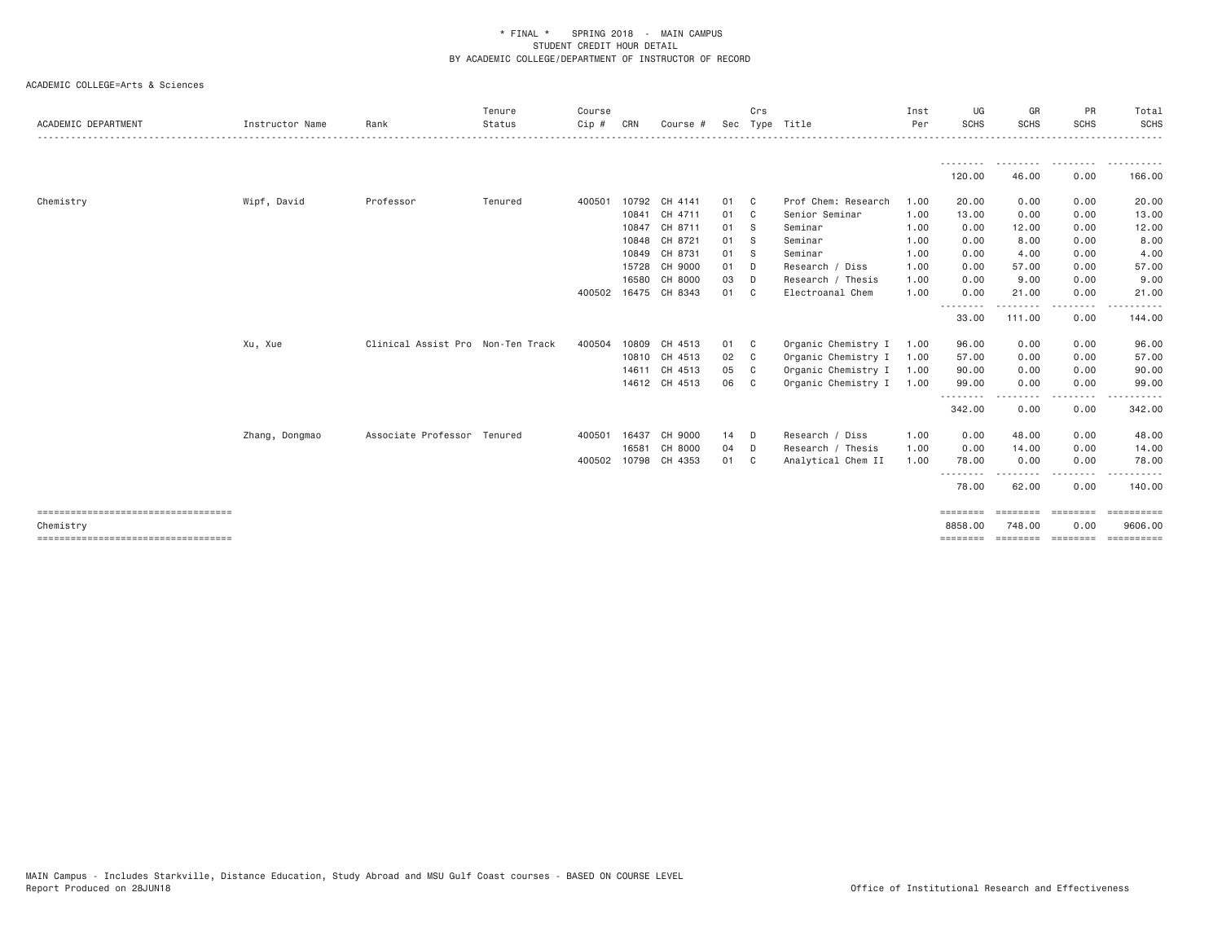| ACADEMIC DEPARTMENT                   | Instructor Name | Rank                              | Tenure<br>Status | Course<br>Cip # | CRN   | Course #             |      | Crs            | Sec Type Title      | Inst<br>Per | UG<br><b>SCHS</b>                | GR<br><b>SCHS</b>  | PR<br><b>SCHS</b>    | Total<br><b>SCHS</b><br>. |
|---------------------------------------|-----------------|-----------------------------------|------------------|-----------------|-------|----------------------|------|----------------|---------------------|-------------|----------------------------------|--------------------|----------------------|---------------------------|
|                                       |                 |                                   |                  |                 |       |                      |      |                |                     |             | ---------                        | .                  | .                    | ----------                |
|                                       |                 |                                   |                  |                 |       |                      |      |                |                     |             | 120.00                           | 46.00              | 0.00                 | 166.00                    |
| Chemistry                             | Wipf, David     | Professor                         | Tenured          | 400501          |       | 10792 CH 4141        | 01 C |                | Prof Chem: Research | 1.00        | 20.00                            | 0.00               | 0.00                 | 20.00                     |
|                                       |                 |                                   |                  |                 |       | 10841 CH 4711        | 01 C |                | Senior Seminar      | 1.00        | 13.00                            | 0.00               | 0.00                 | 13.00                     |
|                                       |                 |                                   |                  |                 | 10847 | CH 8711              | 01 S |                | Seminar             | 1.00        | 0.00                             | 12.00              | 0.00                 | 12.00                     |
|                                       |                 |                                   |                  |                 | 10848 | CH 8721              | 01 S |                | Seminar             | 1.00        | 0.00                             | 8.00               | 0.00                 | 8.00                      |
|                                       |                 |                                   |                  |                 | 10849 | CH 8731              | 01 S |                | Seminar             | 1.00        | 0.00                             | 4.00               | 0.00                 | 4.00                      |
|                                       |                 |                                   |                  |                 | 15728 | CH 9000              | 01 D |                | Research / Diss     | 1.00        | 0.00                             | 57.00              | 0.00                 | 57.00                     |
|                                       |                 |                                   |                  |                 | 16580 | CH 8000              | 03   | D              | Research / Thesis   | 1.00        | 0.00                             | 9.00               | 0.00                 | 9.00                      |
|                                       |                 |                                   |                  |                 |       | 400502 16475 CH 8343 | 01   | C <sub>c</sub> | Electroanal Chem    | 1.00        | 0.00                             | 21.00              | 0.00                 | 21.00                     |
|                                       |                 |                                   |                  |                 |       |                      |      |                |                     |             | <u> - - - - - - - -</u><br>33.00 | 111.00             | . <b>.</b> .<br>0.00 | 144.00                    |
|                                       | Xu, Xue         | Clinical Assist Pro Non-Ten Track |                  | 400504          |       | 10809 CH 4513        | 01 C |                | Organic Chemistry I | 1.00        | 96.00                            | 0.00               | 0.00                 | 96.00                     |
|                                       |                 |                                   |                  |                 |       | 10810 CH 4513        | 02 C |                | Organic Chemistry I | 1.00        | 57.00                            | 0.00               | 0.00                 | 57.00                     |
|                                       |                 |                                   |                  |                 |       | 14611 CH 4513        | 05 C |                | Organic Chemistry I | 1.00        | 90.00                            | 0.00               | 0.00                 | 90.00                     |
|                                       |                 |                                   |                  |                 |       | 14612 CH 4513        | 06   | $\mathbf{C}$   | Organic Chemistry I | 1.00        | 99.00                            | 0.00               | 0.00                 | 99.00                     |
|                                       |                 |                                   |                  |                 |       |                      |      |                |                     |             | --------<br>342.00               | .<br>0.00          | -----<br>0.00        | 342.00                    |
|                                       | Zhang, Dongmao  | Associate Professor Tenured       |                  | 400501          | 16437 | CH 9000              | 14 D |                | Research / Diss     | 1.00        | 0.00                             | 48.00              | 0.00                 | 48.00                     |
|                                       |                 |                                   |                  |                 | 16581 | CH 8000              | 04 D |                | Research / Thesis   | 1,00        | 0.00                             | 14.00              | 0.00                 | 14.00                     |
|                                       |                 |                                   |                  |                 |       | 400502 10798 CH 4353 | 01 C |                | Analytical Chem II  | 1.00        | 78.00                            | 0.00               | 0.00                 | 78.00                     |
|                                       |                 |                                   |                  |                 |       |                      |      |                |                     |             | --------<br>78.00                | 62.00              | 0.00                 | 140.00                    |
| ===================================== |                 |                                   |                  |                 |       |                      |      |                |                     |             | ========                         | =======            | ========             | $=$ = = = = = = = = =     |
| Chemistry                             |                 |                                   |                  |                 |       |                      |      |                |                     |             | 8858.00                          | 748,00             | 0.00                 | 9606,00                   |
| ===================================== |                 |                                   |                  |                 |       |                      |      |                |                     |             | ========                         | ========= ======== |                      |                           |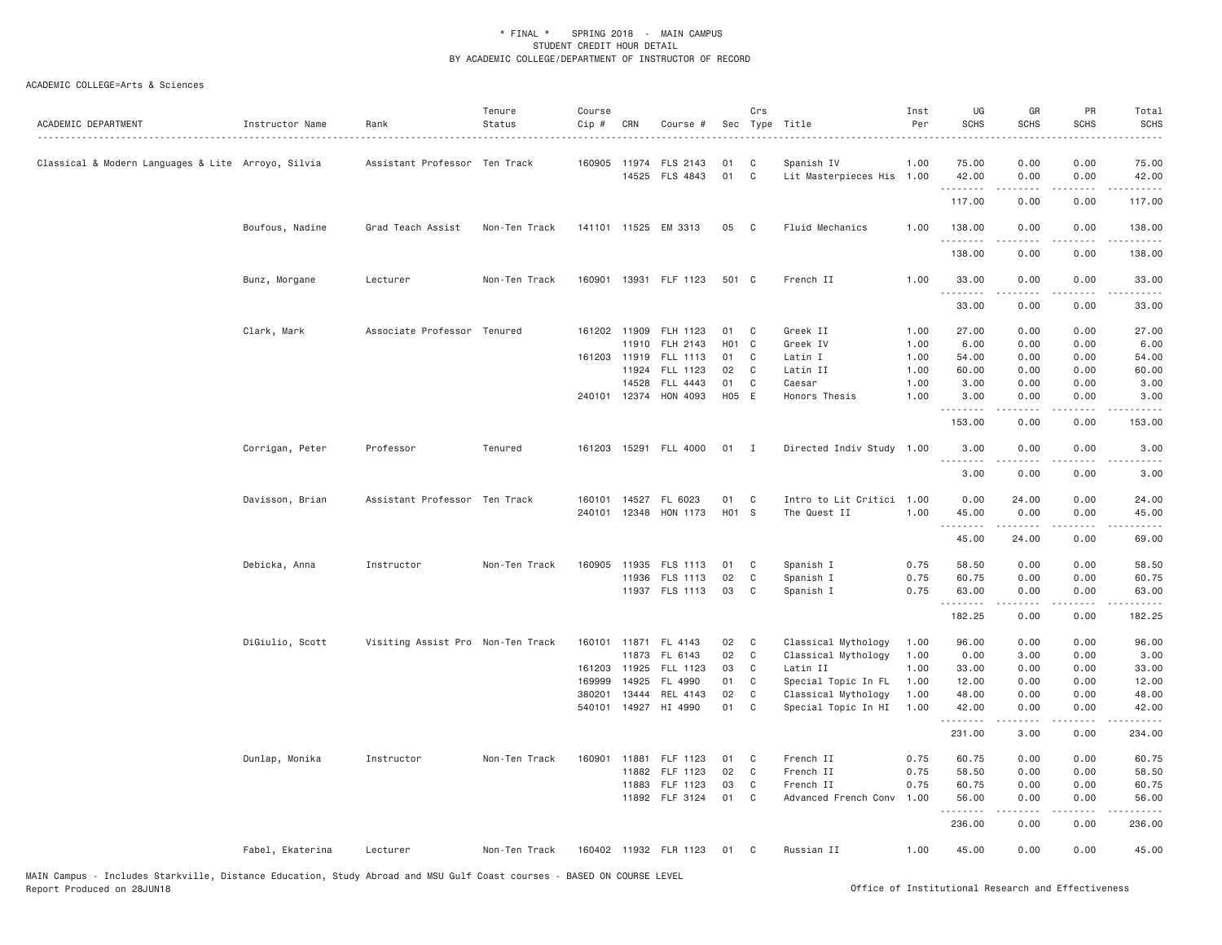| ACADEMIC DEPARTMENT                                | Instructor Name  | Rank                              | Tenure<br>Status | Course<br>Cip # | CRN   | Course #                                |                  | Crs            | Sec Type Title                          | Inst<br>Per | UG<br><b>SCHS</b> | GR<br><b>SCHS</b>  | PR<br><b>SCHS</b> | Total<br><b>SCHS</b><br>$    -$      |
|----------------------------------------------------|------------------|-----------------------------------|------------------|-----------------|-------|-----------------------------------------|------------------|----------------|-----------------------------------------|-------------|-------------------|--------------------|-------------------|--------------------------------------|
| Classical & Modern Languages & Lite Arroyo, Silvia |                  | Assistant Professor Ten Track     |                  |                 |       | 160905 11974 FLS 2143<br>14525 FLS 4843 | 01<br>01         | C<br>C         | Spanish IV<br>Lit Masterpieces His 1.00 | 1.00        | 75.00<br>42.00    | 0.00<br>0.00       | 0.00<br>0.00      | 75.00<br>42.00                       |
|                                                    |                  |                                   |                  |                 |       |                                         |                  |                |                                         |             | .<br>117.00       | -----<br>0.00      | .<br>0.00         | .<br>117.00                          |
|                                                    | Boufous, Nadine  | Grad Teach Assist                 | Non-Ten Track    |                 |       | 141101 11525 EM 3313                    | 05               | $\mathbf{C}$   | Fluid Mechanics                         | 1.00        | 138.00            | 0.00               | 0.00              | 138.00                               |
|                                                    |                  |                                   |                  |                 |       |                                         |                  |                |                                         |             | .<br>138.00       | 0.00               | 0.00              | .<br>138.00                          |
|                                                    | Bunz, Morgane    | Lecturer                          | Non-Ten Track    |                 |       | 160901 13931 FLF 1123                   | 501 C            |                | French II                               | 1.00        | 33.00<br>.        | 0.00<br>.          | 0.00<br>لأعامل    | 33.00<br>المالم عامات                |
|                                                    |                  |                                   |                  |                 |       |                                         |                  |                |                                         |             | 33.00             | 0.00               | 0.00              | 33.00                                |
|                                                    | Clark, Mark      | Associate Professor Tenured       |                  | 161202 11909    |       | FLH 1123                                | 01               | C              | Greek II                                | 1.00        | 27.00             | 0.00               | 0.00              | 27.00                                |
|                                                    |                  |                                   |                  |                 | 11910 | FLH 2143                                | H <sub>0</sub> 1 | $\mathbf{C}$   | Greek IV                                | 1.00        | 6.00              | 0.00               | 0.00              | 6.00                                 |
|                                                    |                  |                                   |                  | 161203          | 11919 | <b>FLL 1113</b>                         | 01               | C              | Latin I                                 | 1.00        | 54.00             | 0.00               | 0.00              | 54.00                                |
|                                                    |                  |                                   |                  |                 | 11924 | FLL 1123                                | 02               | C              | Latin II                                | 1.00        | 60.00             | 0.00               | 0.00              | 60.00                                |
|                                                    |                  |                                   |                  |                 | 14528 | FLL 4443                                | 01               | C              | Caesar                                  | 1.00        | 3.00              | 0.00               | 0.00              | 3.00                                 |
|                                                    |                  |                                   |                  |                 |       | 240101 12374 HON 4093                   | H05 E            |                | Honors Thesis                           | 1,00        | 3.00<br>.         | 0.00               | 0.00              | 3.00                                 |
|                                                    |                  |                                   |                  |                 |       |                                         |                  |                |                                         |             | 153.00            | 0.00               | 0.00              | 153.00                               |
|                                                    | Corrigan, Peter  | Professor                         | Tenured          |                 |       | 161203 15291 FLL 4000                   | $01$ I           |                | Directed Indiv Study 1.00               |             | 3.00<br>.         | 0.00               | 0.00              | 3.00<br>$- - - - -$                  |
|                                                    |                  |                                   |                  |                 |       |                                         |                  |                |                                         |             | 3.00              | 0.00               | 0.00              | 3.00                                 |
|                                                    | Davisson, Brian  | Assistant Professor Ten Track     |                  |                 |       | 160101 14527 FL 6023                    | 01               | C              | Intro to Lit Critici 1.00               |             | 0.00              | 24.00              | 0.00              | 24.00                                |
|                                                    |                  |                                   |                  |                 |       | 240101 12348 HON 1173                   | H01 S            |                | The Quest II                            | 1.00        | 45.00             | 0.00               | 0.00              | 45.00                                |
|                                                    |                  |                                   |                  |                 |       |                                         |                  |                |                                         |             | .<br>45.00        | د د د د د<br>24.00 | لأعامل<br>0.00    | $\sim$ $\sim$ $\sim$ $\sim$<br>69.00 |
|                                                    | Debicka, Anna    | Instructor                        | Non-Ten Track    |                 |       | 160905 11935 FLS 1113                   | 01               | $\mathbf{C}$   | Spanish I                               | 0.75        | 58.50             | 0.00               | 0.00              | 58.50                                |
|                                                    |                  |                                   |                  |                 | 11936 | <b>FLS 1113</b>                         | 02               | C              | Spanish I                               | 0.75        | 60.75             | 0.00               | 0.00              | 60.75                                |
|                                                    |                  |                                   |                  |                 |       | 11937 FLS 1113                          | 03               | C              | Spanish I                               | 0.75        | 63.00<br>.        | 0.00               | 0.00              | 63.00<br>.                           |
|                                                    |                  |                                   |                  |                 |       |                                         |                  |                |                                         |             | 182.25            | 0.00               | 0.00              | 182.25                               |
|                                                    | DiGiulio, Scott  | Visiting Assist Pro Non-Ten Track |                  |                 |       | 160101 11871 FL 4143                    | 02               | C <sub>1</sub> | Classical Mythology                     | 1.00        | 96.00             | 0.00               | 0.00              | 96.00                                |
|                                                    |                  |                                   |                  |                 |       | 11873 FL 6143                           | 02               | C              | Classical Mythology                     | 1.00        | 0.00              | 3.00               | 0.00              | 3.00                                 |
|                                                    |                  |                                   |                  | 161203          | 11925 | FLL 1123                                | 03               | C              | Latin II                                | 1.00        | 33.00             | 0.00               | 0.00              | 33.00                                |
|                                                    |                  |                                   |                  | 169999          | 14925 | FL 4990                                 | 01               | C              | Special Topic In FL                     | 1.00        | 12.00             | 0.00               | 0.00              | 12.00                                |
|                                                    |                  |                                   |                  | 380201          | 13444 | REL 4143                                | 02               | C              | Classical Mythology                     | 1.00        | 48.00             | 0.00               | 0.00              | 48.00                                |
|                                                    |                  |                                   |                  |                 |       | 540101 14927 HI 4990                    | 01               | $\mathsf{C}$   | Special Topic In HI                     | 1.00        | 42.00<br><u>.</u> | 0.00<br>.          | 0.00<br>.         | 42.00<br>.                           |
|                                                    |                  |                                   |                  |                 |       |                                         |                  |                |                                         |             | 231.00            | 3.00               | 0.00              | 234.00                               |
|                                                    | Dunlap, Monika   | Instructor                        | Non-Ten Track    | 160901          |       | 11881 FLF 1123                          | 01               | C              | French II                               | 0.75        | 60.75             | 0.00               | 0.00              | 60.75                                |
|                                                    |                  |                                   |                  |                 | 11882 | FLF 1123                                | 02               | C              | French II                               | 0.75        | 58.50             | 0.00               | 0.00              | 58.50                                |
|                                                    |                  |                                   |                  |                 | 11883 | FLF 1123                                | 03               | C              | French II                               | 0.75        | 60.75             | 0.00               | 0.00              | 60.75                                |
|                                                    |                  |                                   |                  |                 |       | 11892 FLF 3124                          | 01               | $\mathbf{C}$   | Advanced French Conv                    | 1.00        | 56.00             | 0.00               | 0.00              | 56.00                                |
|                                                    |                  |                                   |                  |                 |       |                                         |                  |                |                                         |             | 236.00            | 0.00               | 0.00              | 236.00                               |
|                                                    | Fabel, Ekaterina | Lecturer                          | Non-Ten Track    |                 |       | 160402 11932 FLR 1123                   | 01               | $\mathbf{C}$   | Russian II                              | 1.00        | 45.00             | 0.00               | 0.00              | 45.00                                |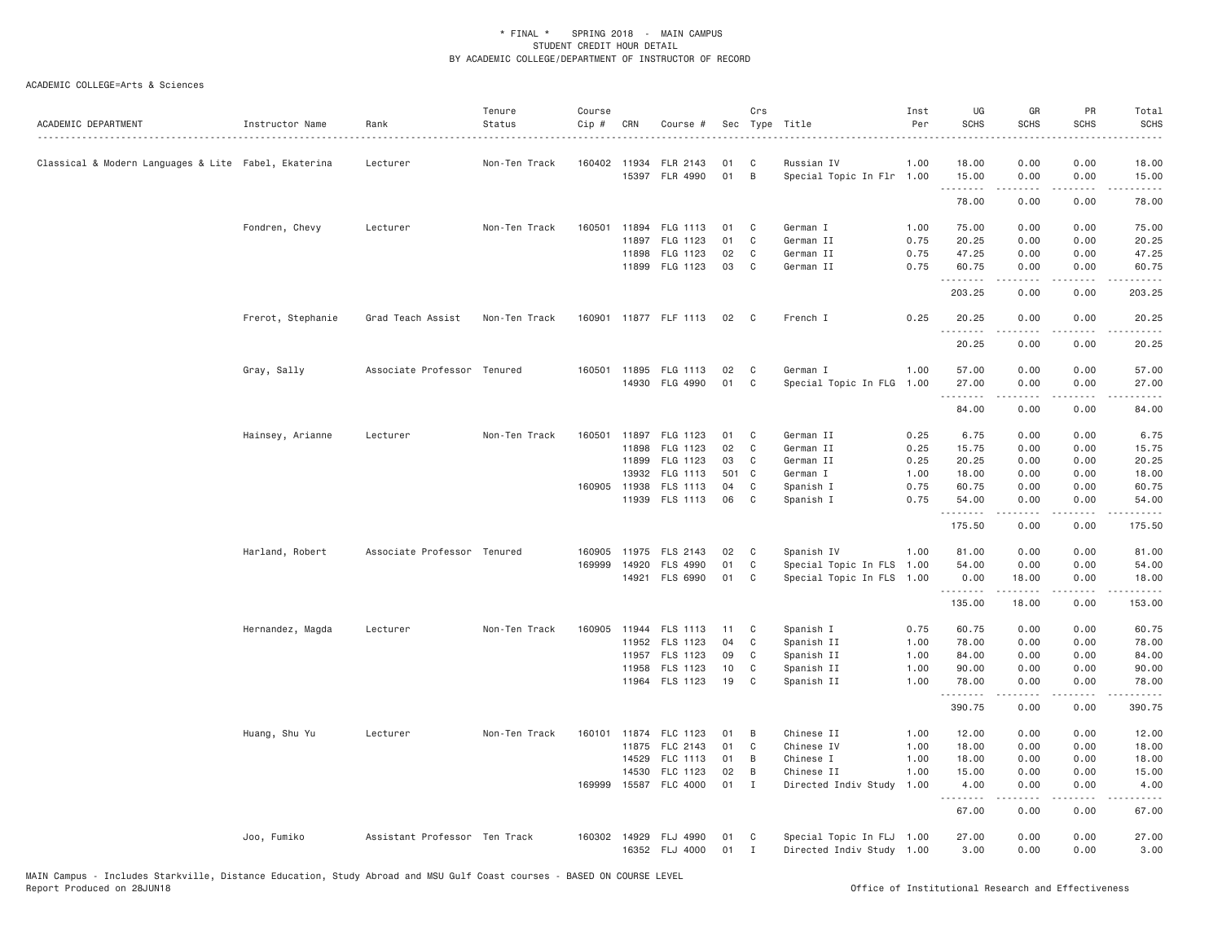| ACADEMIC DEPARTMENT                                  | Instructor Name   | Rank                          | Tenure<br>Status | Course<br>$Cip$ # | CRN          | Course #              | Sec | Crs            | Type Title                | Inst<br>Per | UG<br><b>SCHS</b> | GR<br><b>SCHS</b>                                                                                                                            | PR<br><b>SCHS</b>                                                                                                                 | Total<br><b>SCHS</b>                                                                                                                                                                     |
|------------------------------------------------------|-------------------|-------------------------------|------------------|-------------------|--------------|-----------------------|-----|----------------|---------------------------|-------------|-------------------|----------------------------------------------------------------------------------------------------------------------------------------------|-----------------------------------------------------------------------------------------------------------------------------------|------------------------------------------------------------------------------------------------------------------------------------------------------------------------------------------|
| Classical & Modern Languages & Lite Fabel, Ekaterina |                   | Lecturer                      | Non-Ten Track    | 160402            | 11934        | FLR 2143              | 01  | C              | Russian IV                | 1.00        | 18.00             | 0.00                                                                                                                                         | 0.00                                                                                                                              | 18.00                                                                                                                                                                                    |
|                                                      |                   |                               |                  |                   |              | 15397 FLR 4990        | 01  | B              | Special Topic In Flr 1.00 |             | 15.00<br>.        | 0.00<br>$\mathcal{L}^{\mathcal{A}}\left( \mathcal{A}^{\mathcal{A}}\right) =\mathcal{L}^{\mathcal{A}}\left( \mathcal{A}^{\mathcal{A}}\right)$ | 0.00<br>.                                                                                                                         | 15.00<br>.                                                                                                                                                                               |
|                                                      |                   |                               |                  |                   |              |                       |     |                |                           |             | 78.00             | 0.00                                                                                                                                         | 0.00                                                                                                                              | 78.00                                                                                                                                                                                    |
|                                                      | Fondren, Chevy    | Lecturer                      | Non-Ten Track    | 160501            | 11894        | FLG 1113              | 01  | C              | German I                  | 1.00        | 75.00             | 0.00                                                                                                                                         | 0.00                                                                                                                              | 75.00                                                                                                                                                                                    |
|                                                      |                   |                               |                  |                   | 11897        | FLG 1123              | 01  | C              | German II                 | 0.75        | 20.25             | 0.00                                                                                                                                         | 0.00                                                                                                                              | 20.25                                                                                                                                                                                    |
|                                                      |                   |                               |                  |                   | 11898        | FLG 1123              | 02  | C              | German II                 | 0.75        | 47.25             | 0.00                                                                                                                                         | 0.00                                                                                                                              | 47.25                                                                                                                                                                                    |
|                                                      |                   |                               |                  |                   |              | 11899 FLG 1123        | 03  | C              | German II                 | 0.75        | 60.75<br>.        | 0.00<br>.                                                                                                                                    | 0.00<br>.                                                                                                                         | 60.75<br><u>.</u>                                                                                                                                                                        |
|                                                      |                   |                               |                  |                   |              |                       |     |                |                           |             | 203.25            | 0.00                                                                                                                                         | 0.00                                                                                                                              | 203.25                                                                                                                                                                                   |
|                                                      | Frerot, Stephanie | Grad Teach Assist             | Non-Ten Track    |                   |              | 160901 11877 FLF 1113 | 02  | $\mathbf{C}$   | French I                  | 0.25        | 20.25<br>.        | 0.00<br>.                                                                                                                                    | 0.00<br>$\frac{1}{2} \left( \frac{1}{2} \right) \left( \frac{1}{2} \right) \left( \frac{1}{2} \right) \left( \frac{1}{2} \right)$ | 20.25                                                                                                                                                                                    |
|                                                      |                   |                               |                  |                   |              |                       |     |                |                           |             | 20.25             | 0.00                                                                                                                                         | 0.00                                                                                                                              | 20.25                                                                                                                                                                                    |
|                                                      | Gray, Sally       | Associate Professor Tenured   |                  |                   | 160501 11895 | FLG 1113              | 02  | C              | German I                  | 1.00        | 57.00             | 0.00                                                                                                                                         | 0.00                                                                                                                              | 57.00                                                                                                                                                                                    |
|                                                      |                   |                               |                  |                   | 14930        | FLG 4990              | 01  | C              | Special Topic In FLG      | 1.00        | 27.00             | 0.00                                                                                                                                         | 0.00                                                                                                                              | 27.00                                                                                                                                                                                    |
|                                                      |                   |                               |                  |                   |              |                       |     |                |                           |             | .<br>84.00        | 0.00                                                                                                                                         | 0.00                                                                                                                              | 84.00                                                                                                                                                                                    |
|                                                      | Hainsey, Arianne  | Lecturer                      | Non-Ten Track    | 160501            |              | 11897 FLG 1123        | 01  | C <sub>1</sub> | German II                 | 0.25        | 6.75              | 0.00                                                                                                                                         | 0.00                                                                                                                              | 6.75                                                                                                                                                                                     |
|                                                      |                   |                               |                  |                   | 11898        | FLG 1123              | 02  | C              | German II                 | 0.25        | 15.75             | 0.00                                                                                                                                         | 0.00                                                                                                                              | 15.75                                                                                                                                                                                    |
|                                                      |                   |                               |                  |                   | 11899        | FLG 1123              | 03  | C              | German II                 | 0.25        | 20.25             | 0.00                                                                                                                                         | 0.00                                                                                                                              | 20.25                                                                                                                                                                                    |
|                                                      |                   |                               |                  |                   | 13932        | FLG 1113              | 501 | C              | German I                  | 1.00        | 18.00             | 0.00                                                                                                                                         | 0.00                                                                                                                              | 18.00                                                                                                                                                                                    |
|                                                      |                   |                               |                  | 160905            | 11938        | FLS 1113              | 04  | C              | Spanish I                 | 0.75        | 60.75             | 0.00                                                                                                                                         | 0.00                                                                                                                              | 60.75                                                                                                                                                                                    |
|                                                      |                   |                               |                  |                   |              | 11939 FLS 1113        | 06  | C              | Spanish I                 | 0.75        | 54.00             | 0.00                                                                                                                                         | 0.00                                                                                                                              | 54.00                                                                                                                                                                                    |
|                                                      |                   |                               |                  |                   |              |                       |     |                |                           |             | .<br>175.50       | .<br>0.00                                                                                                                                    | لأعامل<br>0.00                                                                                                                    | المالم عامات<br>175.50                                                                                                                                                                   |
|                                                      | Harland, Robert   | Associate Professor Tenured   |                  | 160905            |              | 11975 FLS 2143        | 02  | C              | Spanish IV                | 1.00        | 81.00             | 0.00                                                                                                                                         | 0.00                                                                                                                              | 81.00                                                                                                                                                                                    |
|                                                      |                   |                               |                  | 169999            | 14920        | FLS 4990              | 01  | C              | Special Topic In FLS 1.00 |             | 54.00             | 0.00                                                                                                                                         | 0.00                                                                                                                              | 54.00                                                                                                                                                                                    |
|                                                      |                   |                               |                  |                   |              | 14921 FLS 6990        | 01  | C              | Special Topic In FLS 1.00 |             | 0.00              | 18.00<br>$\sim$ $\sim$ $\sim$ $\sim$                                                                                                         | 0.00<br>.                                                                                                                         | 18.00<br>$\frac{1}{2} \left( \frac{1}{2} \right) \left( \frac{1}{2} \right) \left( \frac{1}{2} \right) \left( \frac{1}{2} \right) \left( \frac{1}{2} \right) \left( \frac{1}{2} \right)$ |
|                                                      |                   |                               |                  |                   |              |                       |     |                |                           |             | 135.00            | 18.00                                                                                                                                        | 0.00                                                                                                                              | 153.00                                                                                                                                                                                   |
|                                                      | Hernandez, Magda  | Lecturer                      | Non-Ten Track    | 160905            |              | 11944 FLS 1113        | 11  | C              | Spanish I                 | 0.75        | 60.75             | 0.00                                                                                                                                         | 0.00                                                                                                                              | 60.75                                                                                                                                                                                    |
|                                                      |                   |                               |                  |                   |              | 11952 FLS 1123        | 04  | C              | Spanish II                | 1.00        | 78.00             | 0.00                                                                                                                                         | 0.00                                                                                                                              | 78.00                                                                                                                                                                                    |
|                                                      |                   |                               |                  |                   | 11957        | FLS 1123              | 09  | C              | Spanish II                | 1.00        | 84.00             | 0.00                                                                                                                                         | 0.00                                                                                                                              | 84.00                                                                                                                                                                                    |
|                                                      |                   |                               |                  |                   | 11958        | FLS 1123              | 10  | C              | Spanish II                | 1.00        | 90.00             | 0.00                                                                                                                                         | 0.00                                                                                                                              | 90.00                                                                                                                                                                                    |
|                                                      |                   |                               |                  |                   |              | 11964 FLS 1123        | 19  | C              | Spanish II                | 1.00        | 78.00<br>.        | 0.00<br>.                                                                                                                                    | 0.00<br>د د د د                                                                                                                   | 78.00<br>.                                                                                                                                                                               |
|                                                      |                   |                               |                  |                   |              |                       |     |                |                           |             | 390.75            | 0.00                                                                                                                                         | 0.00                                                                                                                              | 390.75                                                                                                                                                                                   |
|                                                      | Huang, Shu Yu     | Lecturer                      | Non-Ten Track    | 160101            |              | 11874 FLC 1123        | 01  | B              | Chinese II                | 1.00        | 12.00             | 0.00                                                                                                                                         | 0.00                                                                                                                              | 12.00                                                                                                                                                                                    |
|                                                      |                   |                               |                  |                   | 11875        | FLC 2143              | 01  | C              | Chinese IV                | 1.00        | 18.00             | 0.00                                                                                                                                         | 0.00                                                                                                                              | 18.00                                                                                                                                                                                    |
|                                                      |                   |                               |                  |                   | 14529        | FLC 1113              | 01  | B              | Chinese I                 | 1.00        | 18.00             | 0.00                                                                                                                                         | 0.00                                                                                                                              | 18.00                                                                                                                                                                                    |
|                                                      |                   |                               |                  |                   | 14530        | FLC 1123              | 02  | B              | Chinese II                | 1.00        | 15.00             | 0.00                                                                                                                                         | 0.00                                                                                                                              | 15.00                                                                                                                                                                                    |
|                                                      |                   |                               |                  | 169999            | 15587        | FLC 4000              | 01  | Ι.             | Directed Indiv Study      | 1.00        | 4.00<br>.         | 0.00<br>.                                                                                                                                    | 0.00<br>الأنابات                                                                                                                  | 4.00<br>.                                                                                                                                                                                |
|                                                      |                   |                               |                  |                   |              |                       |     |                |                           |             | 67.00             | 0.00                                                                                                                                         | 0.00                                                                                                                              | 67.00                                                                                                                                                                                    |
|                                                      | Joo, Fumiko       | Assistant Professor Ten Track |                  | 160302            |              | 14929 FLJ 4990        | 01  | C              | Special Topic In FLJ 1.00 |             | 27.00             | 0.00                                                                                                                                         | 0.00                                                                                                                              | 27.00                                                                                                                                                                                    |
|                                                      |                   |                               |                  |                   |              | 16352 FLJ 4000        | 01  | $\mathbf I$    | Directed Indiv Study 1.00 |             | 3,00              | 0.00                                                                                                                                         | 0.00                                                                                                                              | 3.00                                                                                                                                                                                     |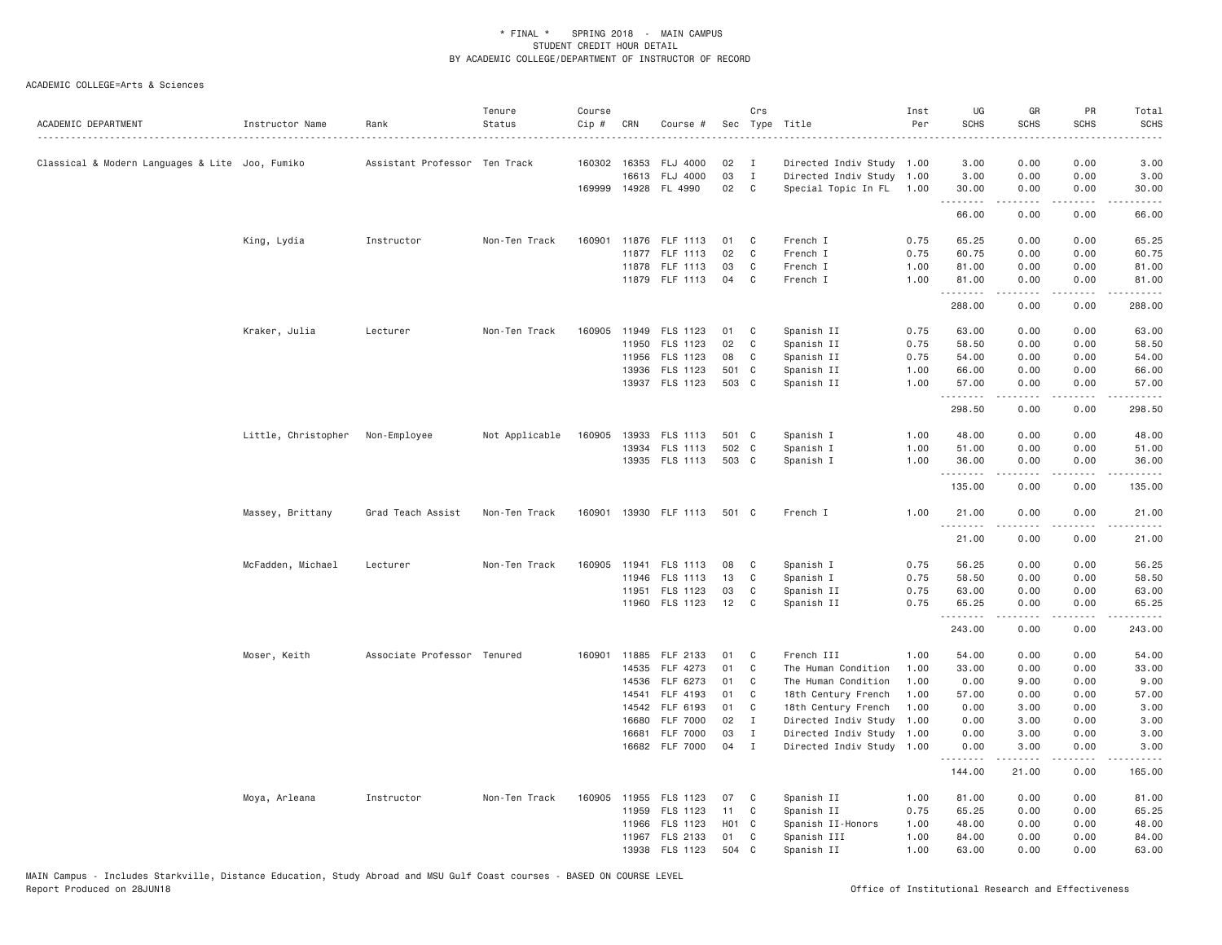| ACADEMIC DEPARTMENT                             | Instructor Name     | Rank                          | Tenure<br>Status | Course<br>Cip # | CRN   | Course #             |       | Crs          | Sec Type Title            | Inst<br>Per | UG<br><b>SCHS</b><br>. | GR<br><b>SCHS</b>                                                                                                                                            | PR<br><b>SCHS</b>                   | Total<br><b>SCHS</b><br>$\sim$ $\sim$ $\sim$ $\sim$                                                                                |
|-------------------------------------------------|---------------------|-------------------------------|------------------|-----------------|-------|----------------------|-------|--------------|---------------------------|-------------|------------------------|--------------------------------------------------------------------------------------------------------------------------------------------------------------|-------------------------------------|------------------------------------------------------------------------------------------------------------------------------------|
| Classical & Modern Languages & Lite Joo, Fumiko |                     | Assistant Professor Ten Track |                  | 160302 16353    |       | FLJ 4000             | 02    | $\mathbf{I}$ | Directed Indiv Study 1.00 |             | 3.00                   | 0.00                                                                                                                                                         | 0.00                                | 3.00                                                                                                                               |
|                                                 |                     |                               |                  |                 | 16613 | <b>FLJ 4000</b>      | 03    | $\mathbf{I}$ | Directed Indiv Study 1.00 |             | 3.00                   | 0.00                                                                                                                                                         | 0.00                                | 3.00                                                                                                                               |
|                                                 |                     |                               |                  |                 |       | 169999 14928 FL 4990 | 02    | $\mathsf{C}$ | Special Topic In FL       | 1.00        | 30.00<br>.             | 0.00<br>$- - - - -$                                                                                                                                          | 0.00<br>.                           | 30.00<br>$\sim$ $\sim$ $\sim$ $\sim$                                                                                               |
|                                                 |                     |                               |                  |                 |       |                      |       |              |                           |             | 66.00                  | 0.00                                                                                                                                                         | 0.00                                | 66.00                                                                                                                              |
|                                                 | King, Lydia         | Instructor                    | Non-Ten Track    | 160901          |       | 11876 FLF 1113       | 01    | C            | French I                  | 0.75        | 65.25                  | 0.00                                                                                                                                                         | 0.00                                | 65.25                                                                                                                              |
|                                                 |                     |                               |                  |                 |       | 11877 FLF 1113       | 02    | C            | French I                  | 0.75        | 60.75                  | 0.00                                                                                                                                                         | 0.00                                | 60.75                                                                                                                              |
|                                                 |                     |                               |                  |                 |       | 11878 FLF 1113       | 03    | $\mathbf C$  | French I                  | 1.00        | 81.00                  | 0.00                                                                                                                                                         | 0.00                                | 81.00                                                                                                                              |
|                                                 |                     |                               |                  |                 |       | 11879 FLF 1113       | 04    | $\mathsf{C}$ | French I                  | 1.00        | 81.00<br>.             | 0.00<br>.                                                                                                                                                    | 0.00<br>.                           | 81.00<br>.                                                                                                                         |
|                                                 |                     |                               |                  |                 |       |                      |       |              |                           |             | 288.00                 | 0.00                                                                                                                                                         | 0.00                                | 288.00                                                                                                                             |
|                                                 | Kraker, Julia       | Lecturer                      | Non-Ten Track    | 160905          | 11949 | FLS 1123             | 01    | C            | Spanish II                | 0.75        | 63.00                  | 0.00                                                                                                                                                         | 0.00                                | 63.00                                                                                                                              |
|                                                 |                     |                               |                  |                 | 11950 | FLS 1123             | 02    | C            | Spanish II                | 0.75        | 58.50                  | 0.00                                                                                                                                                         | 0.00                                | 58.50                                                                                                                              |
|                                                 |                     |                               |                  |                 | 11956 | FLS 1123             | 08    | C            | Spanish II                | 0.75        | 54.00                  | 0.00                                                                                                                                                         | 0.00                                | 54.00                                                                                                                              |
|                                                 |                     |                               |                  |                 | 13936 | FLS 1123             | 501 C |              | Spanish II                | 1.00        | 66.00                  | 0.00                                                                                                                                                         | 0.00                                | 66.00                                                                                                                              |
|                                                 |                     |                               |                  |                 | 13937 | FLS 1123             | 503   | $\mathbf{C}$ | Spanish II                | 1.00        | 57.00<br>.             | 0.00<br>.                                                                                                                                                    | 0.00<br>$\omega$ is a $\omega$      | 57.00<br>$\frac{1}{2} \left( \frac{1}{2} \right) \left( \frac{1}{2} \right) \left( \frac{1}{2} \right) \left( \frac{1}{2} \right)$ |
|                                                 |                     |                               |                  |                 |       |                      |       |              |                           |             | 298.50                 | 0.00                                                                                                                                                         | 0.00                                | 298.50                                                                                                                             |
|                                                 | Little, Christopher | Non-Employee                  | Not Applicable   | 160905          | 13933 | FLS 1113             | 501 C |              | Spanish I                 | 1.00        | 48.00                  | 0.00                                                                                                                                                         | 0.00                                | 48.00                                                                                                                              |
|                                                 |                     |                               |                  |                 |       | 13934 FLS 1113       | 502 C |              | Spanish I                 | 1.00        | 51.00                  | 0.00                                                                                                                                                         | 0.00                                | 51.00                                                                                                                              |
|                                                 |                     |                               |                  |                 |       | 13935 FLS 1113       | 503 C |              | Spanish I                 | 1.00        | 36.00                  | 0.00                                                                                                                                                         | 0.00                                | 36.00                                                                                                                              |
|                                                 |                     |                               |                  |                 |       |                      |       |              |                           |             | .<br>135.00            | $\frac{1}{2} \left( \frac{1}{2} \right) \left( \frac{1}{2} \right) \left( \frac{1}{2} \right) \left( \frac{1}{2} \right) \left( \frac{1}{2} \right)$<br>0.00 | .<br>0.00                           | .<br>135.00                                                                                                                        |
|                                                 | Massey, Brittany    | Grad Teach Assist             | Non-Ten Track    | 160901          |       | 13930 FLF 1113       | 501 C |              | French I                  | 1.00        | 21.00                  | 0.00                                                                                                                                                         | 0.00                                | 21.00                                                                                                                              |
|                                                 |                     |                               |                  |                 |       |                      |       |              |                           |             | .<br>21.00             | <b>.</b><br>0.00                                                                                                                                             | .<br>0.00                           | .<br>21.00                                                                                                                         |
|                                                 | McFadden, Michael   | Lecturer                      | Non-Ten Track    | 160905          |       | 11941 FLS 1113       | 08    | C            | Spanish I                 | 0.75        | 56.25                  | 0.00                                                                                                                                                         | 0.00                                | 56.25                                                                                                                              |
|                                                 |                     |                               |                  |                 | 11946 | FLS 1113             | 13    | C            | Spanish I                 | 0.75        | 58.50                  | 0.00                                                                                                                                                         | 0.00                                | 58.50                                                                                                                              |
|                                                 |                     |                               |                  |                 | 11951 | FLS 1123             | 03    | C            | Spanish II                | 0.75        | 63.00                  | 0.00                                                                                                                                                         | 0.00                                | 63.00                                                                                                                              |
|                                                 |                     |                               |                  |                 |       | 11960 FLS 1123       | 12    | C            | Spanish II                | 0.75        | 65.25                  | 0.00                                                                                                                                                         | 0.00                                | 65.25                                                                                                                              |
|                                                 |                     |                               |                  |                 |       |                      |       |              |                           |             | .<br>243.00            | .<br>0.00                                                                                                                                                    | .<br>0.00                           | .<br>243.00                                                                                                                        |
|                                                 | Moser, Keith        | Associate Professor Tenured   |                  | 160901          | 11885 | FLF 2133             | 01    | C            | French III                | 1.00        | 54.00                  | 0.00                                                                                                                                                         | 0.00                                | 54.00                                                                                                                              |
|                                                 |                     |                               |                  |                 | 14535 | FLF 4273             | 01    | C            | The Human Condition       | 1.00        | 33.00                  | 0.00                                                                                                                                                         | 0.00                                | 33.00                                                                                                                              |
|                                                 |                     |                               |                  |                 | 14536 | FLF 6273             | 01    | C            | The Human Condition       | 1.00        | 0.00                   | 9.00                                                                                                                                                         | 0.00                                | 9.00                                                                                                                               |
|                                                 |                     |                               |                  |                 | 14541 | FLF 4193             | 01    | C            | 18th Century French       | 1.00        | 57.00                  | 0.00                                                                                                                                                         | 0.00                                | 57.00                                                                                                                              |
|                                                 |                     |                               |                  |                 | 14542 | FLF 6193             | 01    | C            | 18th Century French       | 1.00        | 0.00                   | 3.00                                                                                                                                                         | 0.00                                | 3.00                                                                                                                               |
|                                                 |                     |                               |                  |                 | 16680 | <b>FLF 7000</b>      | 02    | $\mathbf{I}$ | Directed Indiv Study      | 1.00        | 0.00                   | 3.00                                                                                                                                                         | 0.00                                | 3.00                                                                                                                               |
|                                                 |                     |                               |                  |                 | 16681 | <b>FLF 7000</b>      | 03    | $\mathbf I$  | Directed Indiv Study 1.00 |             | 0.00                   | 3.00                                                                                                                                                         | 0.00                                | 3.00                                                                                                                               |
|                                                 |                     |                               |                  |                 | 16682 | <b>FLF 7000</b>      | 04    | $\mathbf{I}$ | Directed Indiv Study 1.00 |             | 0.00<br>.              | 3.00<br>$\frac{1}{2} \left( \frac{1}{2} \right) \left( \frac{1}{2} \right) \left( \frac{1}{2} \right) \left( \frac{1}{2} \right) \left( \frac{1}{2} \right)$ | 0.00<br>$\sim$ $\sim$ $\sim$ $\sim$ | 3.00<br>.                                                                                                                          |
|                                                 |                     |                               |                  |                 |       |                      |       |              |                           |             | 144.00                 | 21.00                                                                                                                                                        | 0.00                                | 165.00                                                                                                                             |
|                                                 | Moya, Arleana       | Instructor                    | Non-Ten Track    | 160905          |       | 11955 FLS 1123       | 07    | C            | Spanish II                | 1.00        | 81.00                  | 0.00                                                                                                                                                         | 0.00                                | 81.00                                                                                                                              |
|                                                 |                     |                               |                  |                 | 11959 | FLS 1123             | 11    | C            | Spanish II                | 0.75        | 65.25                  | 0.00                                                                                                                                                         | 0.00                                | 65.25                                                                                                                              |
|                                                 |                     |                               |                  |                 | 11966 | FLS 1123             | H01 C |              | Spanish II-Honors         | 1.00        | 48.00                  | 0.00                                                                                                                                                         | 0.00                                | 48.00                                                                                                                              |
|                                                 |                     |                               |                  |                 |       | 11967 FLS 2133       | 01    | C            | Spanish III               | 1.00        | 84.00                  | 0.00                                                                                                                                                         | 0.00                                | 84.00                                                                                                                              |
|                                                 |                     |                               |                  |                 |       | 13938 FLS 1123       | 504 C |              | Spanish II                | 1.00        | 63.00                  | 0.00                                                                                                                                                         | 0.00                                | 63.00                                                                                                                              |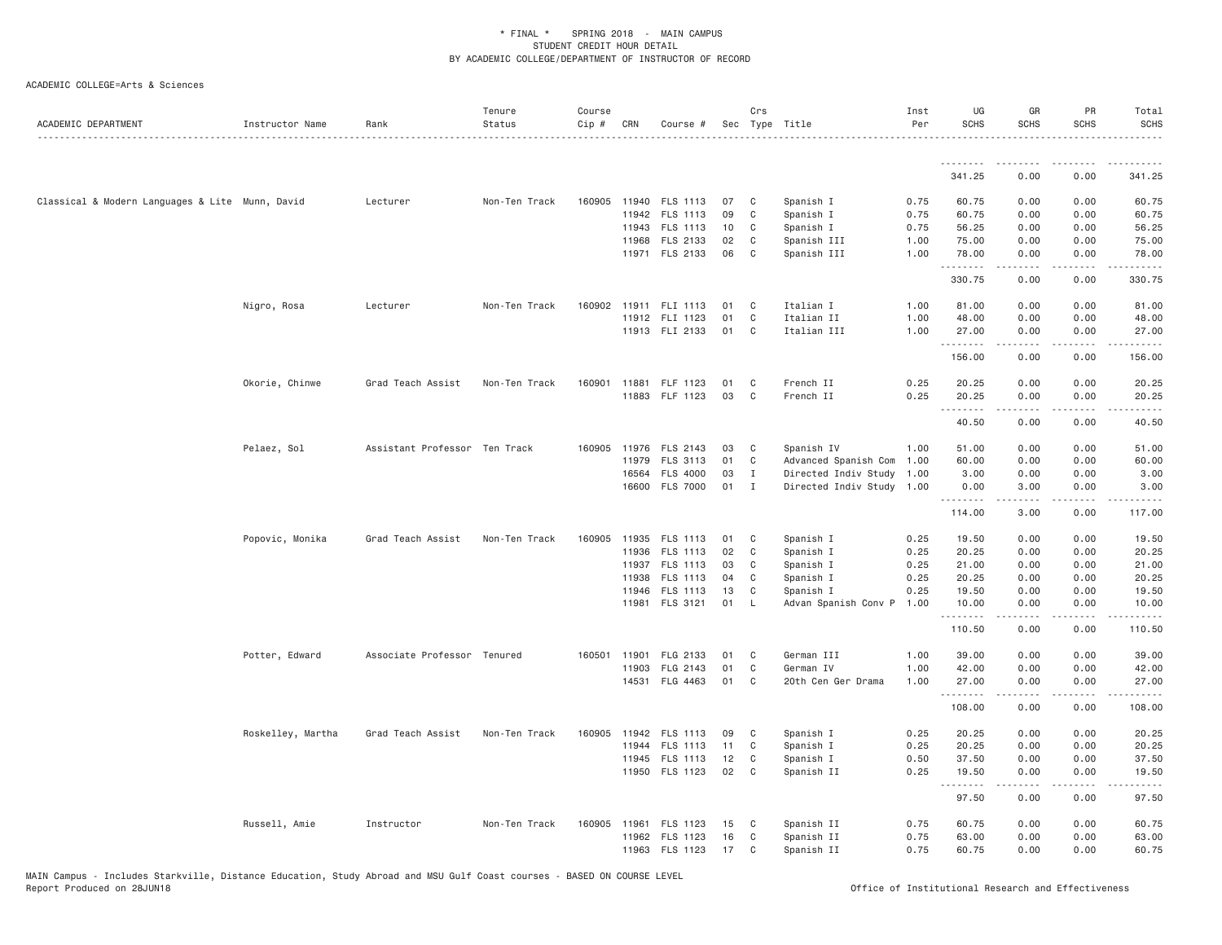| ACADEMIC DEPARTMENT                             | Instructor Name   | Rank                          | Tenure<br>Status | Course<br>Cip # | CRN   | Course #              |    | Crs<br>Sec Type Title |                           | Inst<br>Per | UG<br><b>SCHS</b> | GR<br><b>SCHS</b> | PR<br><b>SCHS</b> | Total<br><b>SCHS</b><br>. |
|-------------------------------------------------|-------------------|-------------------------------|------------------|-----------------|-------|-----------------------|----|-----------------------|---------------------------|-------------|-------------------|-------------------|-------------------|---------------------------|
|                                                 |                   |                               |                  |                 |       |                       |    |                       |                           |             | .                 | .                 | $\frac{1}{2}$     | .                         |
|                                                 |                   |                               |                  |                 |       |                       |    |                       |                           |             | 341.25            | 0.00              | 0.00              | 341.25                    |
| Classical & Modern Languages & Lite Munn, David |                   | Lecturer                      | Non-Ten Track    |                 |       | 160905 11940 FLS 1113 | 07 | C                     | Spanish I                 | 0.75        | 60.75             | 0.00              | 0.00              | 60.75                     |
|                                                 |                   |                               |                  |                 |       | 11942 FLS 1113        | 09 | C                     | Spanish I                 | 0.75        | 60.75             | 0.00              | 0.00              | 60.75                     |
|                                                 |                   |                               |                  |                 |       | 11943 FLS 1113        | 10 | C                     | Spanish I                 | 0.75        | 56.25             | 0.00              | 0.00              | 56.25                     |
|                                                 |                   |                               |                  |                 | 11968 | FLS 2133              | 02 | C                     | Spanish III               | 1.00        | 75.00             | 0.00              | 0.00              | 75.00                     |
|                                                 |                   |                               |                  |                 |       | 11971 FLS 2133        | 06 | C                     | Spanish III               | 1.00        | 78.00<br>.        | 0.00              | 0.00<br>.         | 78.00<br>.                |
|                                                 |                   |                               |                  |                 |       |                       |    |                       |                           |             | 330.75            | 0.00              | 0.00              | 330.75                    |
|                                                 | Nigro, Rosa       | Lecturer                      | Non-Ten Track    |                 |       | 160902 11911 FLI 1113 | 01 | C                     | Italian I                 | 1.00        | 81.00             | 0.00              | 0.00              | 81.00                     |
|                                                 |                   |                               |                  |                 |       | 11912 FLI 1123        | 01 | C                     | Italian II                | 1.00        | 48.00             | 0.00              | 0.00              | 48.00                     |
|                                                 |                   |                               |                  |                 |       | 11913 FLI 2133        | 01 | C                     | Italian III               | 1.00        | 27.00<br>.        | 0.00<br>.         | 0.00<br>د د د د   | 27.00<br>.                |
|                                                 |                   |                               |                  |                 |       |                       |    |                       |                           |             | 156.00            | 0.00              | 0.00              | 156.00                    |
|                                                 | Okorie, Chinwe    | Grad Teach Assist             | Non-Ten Track    | 160901          |       | 11881 FLF 1123        | 01 | C                     | French II                 | 0.25        | 20.25             | 0.00              | 0.00              | 20.25                     |
|                                                 |                   |                               |                  |                 |       | 11883 FLF 1123        | 03 | C                     | French II                 | 0.25        | 20.25             | 0.00              | 0.00              | 20.25                     |
|                                                 |                   |                               |                  |                 |       |                       |    |                       |                           |             | <b></b><br>40.50  | .<br>0.00         | .<br>0.00         | .<br>40.50                |
|                                                 | Pelaez, Sol       | Assistant Professor Ten Track |                  | 160905          |       | 11976 FLS 2143        | 03 | C                     | Spanish IV                | 1.00        | 51.00             | 0.00              | 0.00              | 51.00                     |
|                                                 |                   |                               |                  |                 | 11979 | FLS 3113              | 01 | C                     | Advanced Spanish Com 1.00 |             | 60.00             | 0.00              | 0.00              | 60.00                     |
|                                                 |                   |                               |                  |                 | 16564 | FLS 4000              | 03 | $\mathbf{I}$          | Directed Indiv Study 1.00 |             | 3.00              | 0.00              | 0.00              | 3.00                      |
|                                                 |                   |                               |                  |                 |       | 16600 FLS 7000        | 01 | $\mathbf{I}$          | Directed Indiv Study 1.00 |             | 0.00<br><b></b>   | 3.00<br><u>.</u>  | 0.00<br>.         | 3.00<br><u>.</u>          |
|                                                 |                   |                               |                  |                 |       |                       |    |                       |                           |             | 114.00            | 3.00              | 0.00              | 117.00                    |
|                                                 | Popovic, Monika   | Grad Teach Assist             | Non-Ten Track    | 160905          |       | 11935 FLS 1113        | 01 | C                     | Spanish I                 | 0.25        | 19.50             | 0.00              | 0.00              | 19.50                     |
|                                                 |                   |                               |                  |                 |       | 11936 FLS 1113        | 02 | C                     | Spanish I                 | 0.25        | 20.25             | 0.00              | 0.00              | 20.25                     |
|                                                 |                   |                               |                  |                 |       | 11937 FLS 1113        | 03 | C                     | Spanish I                 | 0.25        | 21.00             | 0.00              | 0.00              | 21.00                     |
|                                                 |                   |                               |                  |                 |       | 11938 FLS 1113        | 04 | C                     | Spanish I                 | 0.25        | 20.25             | 0.00              | 0.00              | 20.25                     |
|                                                 |                   |                               |                  |                 |       | 11946 FLS 1113        | 13 | C                     | Spanish I                 | 0.25        | 19.50             | 0.00              | 0.00              | 19.50                     |
|                                                 |                   |                               |                  |                 | 11981 | FLS 3121              | 01 | L                     | Advan Spanish Conv P      | 1.00        | 10.00<br>.        | 0.00<br>.         | 0.00<br>$   -$    | 10.00<br>.                |
|                                                 |                   |                               |                  |                 |       |                       |    |                       |                           |             | 110.50            | 0.00              | 0.00              | 110.50                    |
|                                                 | Potter, Edward    | Associate Professor Tenured   |                  | 160501          | 11901 | FLG 2133              | 01 | C                     | German III                | 1.00        | 39.00             | 0.00              | 0.00              | 39.00                     |
|                                                 |                   |                               |                  |                 | 11903 | FLG 2143              | 01 | C                     | German IV                 | 1.00        | 42.00             | 0.00              | 0.00              | 42.00                     |
|                                                 |                   |                               |                  |                 |       | 14531 FLG 4463        | 01 | C                     | 20th Cen Ger Drama        | 1.00        | 27.00<br>.        | 0.00<br>.         | 0.00<br>.         | 27.00<br>.                |
|                                                 |                   |                               |                  |                 |       |                       |    |                       |                           |             | 108.00            | 0.00              | 0.00              | 108.00                    |
|                                                 | Roskelley, Martha | Grad Teach Assist             | Non-Ten Track    | 160905          |       | 11942 FLS 1113        | 09 | C                     | Spanish I                 | 0.25        | 20.25             | 0.00              | 0.00              | 20.25                     |
|                                                 |                   |                               |                  |                 | 11944 | <b>FLS 1113</b>       | 11 | C                     | Spanish I                 | 0.25        | 20.25             | 0.00              | 0.00              | 20.25                     |
|                                                 |                   |                               |                  |                 |       | 11945 FLS 1113        | 12 | C                     | Spanish I                 | 0.50        | 37.50             | 0.00              | 0.00              | 37.50                     |
|                                                 |                   |                               |                  |                 |       | 11950 FLS 1123        | 02 | C                     | Spanish II                | 0.25        | 19.50<br>.        | 0.00<br><b>.</b>  | 0.00<br>.         | 19.50<br>.                |
|                                                 |                   |                               |                  |                 |       |                       |    |                       |                           |             | 97.50             | 0.00              | 0.00              | 97.50                     |
|                                                 | Russell, Amie     | Instructor                    | Non-Ten Track    | 160905          | 11961 | FLS 1123              | 15 | C                     | Spanish II                | 0.75        | 60.75             | 0.00              | 0.00              | 60.75                     |
|                                                 |                   |                               |                  |                 |       | 11962 FLS 1123        | 16 | C                     | Spanish II                | 0.75        | 63.00             | 0.00              | 0.00              | 63.00                     |
|                                                 |                   |                               |                  |                 |       | 11963 FLS 1123        | 17 | C                     | Spanish II                | 0.75        | 60.75             | 0.00              | 0.00              | 60.75                     |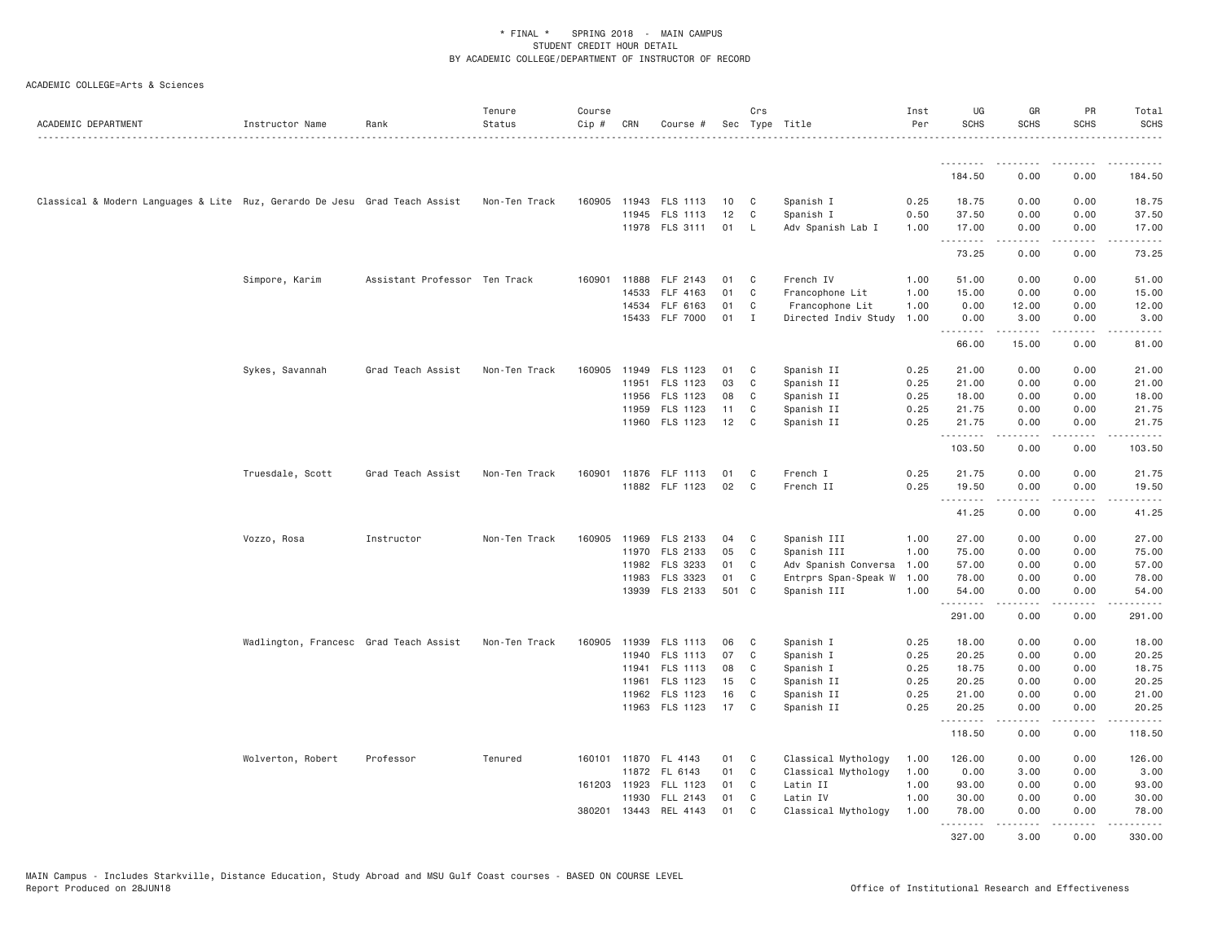| ACADEMIC DEPARTMENT                                                        | Instructor Name                        | Rank                          | Tenure<br>Status | Course<br>Cip # | CRN          | Course #              |       | Crs          | Sec Type Title       | Inst<br>Per | UG<br><b>SCHS</b> | GR<br><b>SCHS</b>                                                                                                                                            | PR<br><b>SCHS</b>                   | Total<br><b>SCHS</b> |
|----------------------------------------------------------------------------|----------------------------------------|-------------------------------|------------------|-----------------|--------------|-----------------------|-------|--------------|----------------------|-------------|-------------------|--------------------------------------------------------------------------------------------------------------------------------------------------------------|-------------------------------------|----------------------|
|                                                                            |                                        |                               |                  |                 |              |                       |       |              |                      |             | .                 | . <u>.</u>                                                                                                                                                   |                                     |                      |
|                                                                            |                                        |                               |                  |                 |              |                       |       |              |                      |             | 184.50            | 0.00                                                                                                                                                         | 0.00                                | 184.50               |
| Classical & Modern Languages & Lite Ruz, Gerardo De Jesu Grad Teach Assist |                                        |                               | Non-Ten Track    |                 |              | 160905 11943 FLS 1113 | 10    | C            | Spanish I            | 0.25        | 18.75             | 0.00                                                                                                                                                         | 0.00                                | 18.75                |
|                                                                            |                                        |                               |                  |                 |              | 11945 FLS 1113        | 12    | $\mathsf{C}$ | Spanish I            | 0.50        | 37.50             | 0.00                                                                                                                                                         | 0.00                                | 37.50                |
|                                                                            |                                        |                               |                  |                 |              | 11978 FLS 3111        | 01    | L            | Adv Spanish Lab I    | 1.00        | 17.00<br>.        | 0.00<br>.                                                                                                                                                    | 0.00<br>.                           | 17.00<br>.           |
|                                                                            |                                        |                               |                  |                 |              |                       |       |              |                      |             | 73.25             | 0.00                                                                                                                                                         | 0.00                                | 73.25                |
|                                                                            | Simpore, Karim                         | Assistant Professor Ten Track |                  |                 | 160901 11888 | FLF 2143              | 01    | C            | French IV            | 1.00        | 51.00             | 0.00                                                                                                                                                         | 0.00                                | 51.00                |
|                                                                            |                                        |                               |                  |                 | 14533        | FLF 4163              | 01    | $\mathsf{C}$ | Francophone Lit      | 1.00        | 15.00             | 0.00                                                                                                                                                         | 0.00                                | 15.00                |
|                                                                            |                                        |                               |                  |                 | 14534        | FLF 6163              | 01    | C            | Francophone Lit      | 1.00        | 0.00              | 12.00                                                                                                                                                        | 0.00                                | 12.00                |
|                                                                            |                                        |                               |                  |                 |              | 15433 FLF 7000        | 01    | I            | Directed Indiv Study | 1.00        | 0.00<br>.         | 3.00                                                                                                                                                         | 0.00                                | 3.00                 |
|                                                                            |                                        |                               |                  |                 |              |                       |       |              |                      |             | 66.00             | 15.00                                                                                                                                                        | 0.00                                | 81.00                |
|                                                                            | Sykes, Savannah                        | Grad Teach Assist             | Non-Ten Track    | 160905          | 11949        | FLS 1123              | 01    | C            | Spanish II           | 0.25        | 21.00             | 0.00                                                                                                                                                         | 0.00                                | 21.00                |
|                                                                            |                                        |                               |                  |                 | 11951        | FLS 1123              | 03    | C            | Spanish II           | 0.25        | 21.00             | 0.00                                                                                                                                                         | 0.00                                | 21.00                |
|                                                                            |                                        |                               |                  |                 | 11956        | FLS 1123              | 08    | C            | Spanish II           | 0.25        | 18.00             | 0.00                                                                                                                                                         | 0.00                                | 18.00                |
|                                                                            |                                        |                               |                  |                 | 11959        | FLS 1123              | 11    | C            | Spanish II           | 0.25        | 21.75             | 0.00                                                                                                                                                         | 0.00                                | 21.75                |
|                                                                            |                                        |                               |                  |                 |              | 11960 FLS 1123        | 12    | C            | Spanish II           | 0.25        | 21.75<br>.        | 0.00<br>.                                                                                                                                                    | 0.00<br>$\omega$ is a $\omega$      | 21.75<br>.           |
|                                                                            |                                        |                               |                  |                 |              |                       |       |              |                      |             | 103.50            | 0.00                                                                                                                                                         | 0.00                                | 103.50               |
|                                                                            | Truesdale, Scott                       | Grad Teach Assist             | Non-Ten Track    |                 |              | 160901 11876 FLF 1113 | 01    | C            | French I             | 0.25        | 21.75             | 0.00                                                                                                                                                         | 0.00                                | 21.75                |
|                                                                            |                                        |                               |                  |                 |              | 11882 FLF 1123        | 02    | C            | French II            | 0.25        | 19.50             | 0.00                                                                                                                                                         | 0.00                                | 19.50                |
|                                                                            |                                        |                               |                  |                 |              |                       |       |              |                      |             | .<br>41.25        | $- - - - -$<br>0.00                                                                                                                                          | .<br>0.00                           | .<br>41.25           |
|                                                                            | Vozzo, Rosa                            | Instructor                    | Non-Ten Track    | 160905          | 11969        | FLS 2133              | 04    | C            | Spanish III          | 1.00        | 27.00             | 0.00                                                                                                                                                         | 0.00                                | 27.00                |
|                                                                            |                                        |                               |                  |                 | 11970        | FLS 2133              | 05    | C            | Spanish III          | 1.00        | 75.00             | 0.00                                                                                                                                                         | 0.00                                | 75.00                |
|                                                                            |                                        |                               |                  |                 | 11982        | FLS 3233              | 01    | C            | Adv Spanish Conversa | 1.00        | 57.00             | 0.00                                                                                                                                                         | 0.00                                | 57.00                |
|                                                                            |                                        |                               |                  |                 | 11983        | FLS 3323              | 01    | C            | Entrprs Span-Speak W | 1.00        | 78.00             | 0.00                                                                                                                                                         | 0.00                                | 78.00                |
|                                                                            |                                        |                               |                  |                 |              | 13939 FLS 2133        | 501 C |              | Spanish III          | 1.00        | 54.00             | 0.00                                                                                                                                                         | 0.00                                | 54.00                |
|                                                                            |                                        |                               |                  |                 |              |                       |       |              |                      |             | .<br>291.00       | .<br>0.00                                                                                                                                                    | $\sim$ $\sim$ $\sim$ $\sim$<br>0.00 | 291.00               |
|                                                                            | Wadlington, Francesc Grad Teach Assist |                               | Non-Ten Track    | 160905          | 11939        | FLS 1113              | 06    | C            | Spanish I            | 0.25        | 18.00             | 0.00                                                                                                                                                         | 0.00                                | 18.00                |
|                                                                            |                                        |                               |                  |                 | 11940        | FLS 1113              | 07    | C            | Spanish I            | 0.25        | 20.25             | 0.00                                                                                                                                                         | 0.00                                | 20.25                |
|                                                                            |                                        |                               |                  |                 | 11941        | FLS 1113              | 08    | C            | Spanish I            | 0.25        | 18.75             | 0.00                                                                                                                                                         | 0.00                                | 18.75                |
|                                                                            |                                        |                               |                  |                 | 11961        | FLS 1123              | 15    | C            | Spanish II           | 0.25        | 20.25             | 0.00                                                                                                                                                         | 0.00                                | 20.25                |
|                                                                            |                                        |                               |                  |                 | 11962        | FLS 1123              | 16    | C            | Spanish II           | 0.25        | 21.00             | 0.00                                                                                                                                                         | 0.00                                | 21.00                |
|                                                                            |                                        |                               |                  |                 |              | 11963 FLS 1123        | 17    | C            | Spanish II           | 0.25        | 20.25<br>.        | 0.00<br>$\frac{1}{2} \left( \frac{1}{2} \right) \left( \frac{1}{2} \right) \left( \frac{1}{2} \right) \left( \frac{1}{2} \right) \left( \frac{1}{2} \right)$ | 0.00<br>.                           | 20.25                |
|                                                                            |                                        |                               |                  |                 |              |                       |       |              |                      |             | 118.50            | 0.00                                                                                                                                                         | 0.00                                | 118.50               |
|                                                                            | Wolverton, Robert                      | Professor                     | Tenured          |                 | 160101 11870 | FL 4143               | 01    | C            | Classical Mythology  | 1.00        | 126.00            | 0.00                                                                                                                                                         | 0.00                                | 126.00               |
|                                                                            |                                        |                               |                  |                 | 11872        | FL 6143               | 01    | C            | Classical Mythology  | 1.00        | 0.00              | 3.00                                                                                                                                                         | 0.00                                | 3.00                 |
|                                                                            |                                        |                               |                  |                 | 161203 11923 | FLL 1123              | 01    | C            | Latin II             | 1.00        | 93.00             | 0.00                                                                                                                                                         | 0.00                                | 93.00                |
|                                                                            |                                        |                               |                  |                 | 11930        | FLL 2143              | 01    | C            | Latin IV             | 1.00        | 30.00             | 0.00                                                                                                                                                         | 0.00                                | 30.00                |
|                                                                            |                                        |                               |                  |                 |              | 380201 13443 REL 4143 | 01    | C            | Classical Mythology  | 1.00        | 78.00<br>.        | 0.00<br>.                                                                                                                                                    | 0.00<br>.                           | 78.00<br>.           |
|                                                                            |                                        |                               |                  |                 |              |                       |       |              |                      |             | 327.00            | 3,00                                                                                                                                                         | 0.00                                | 330.00               |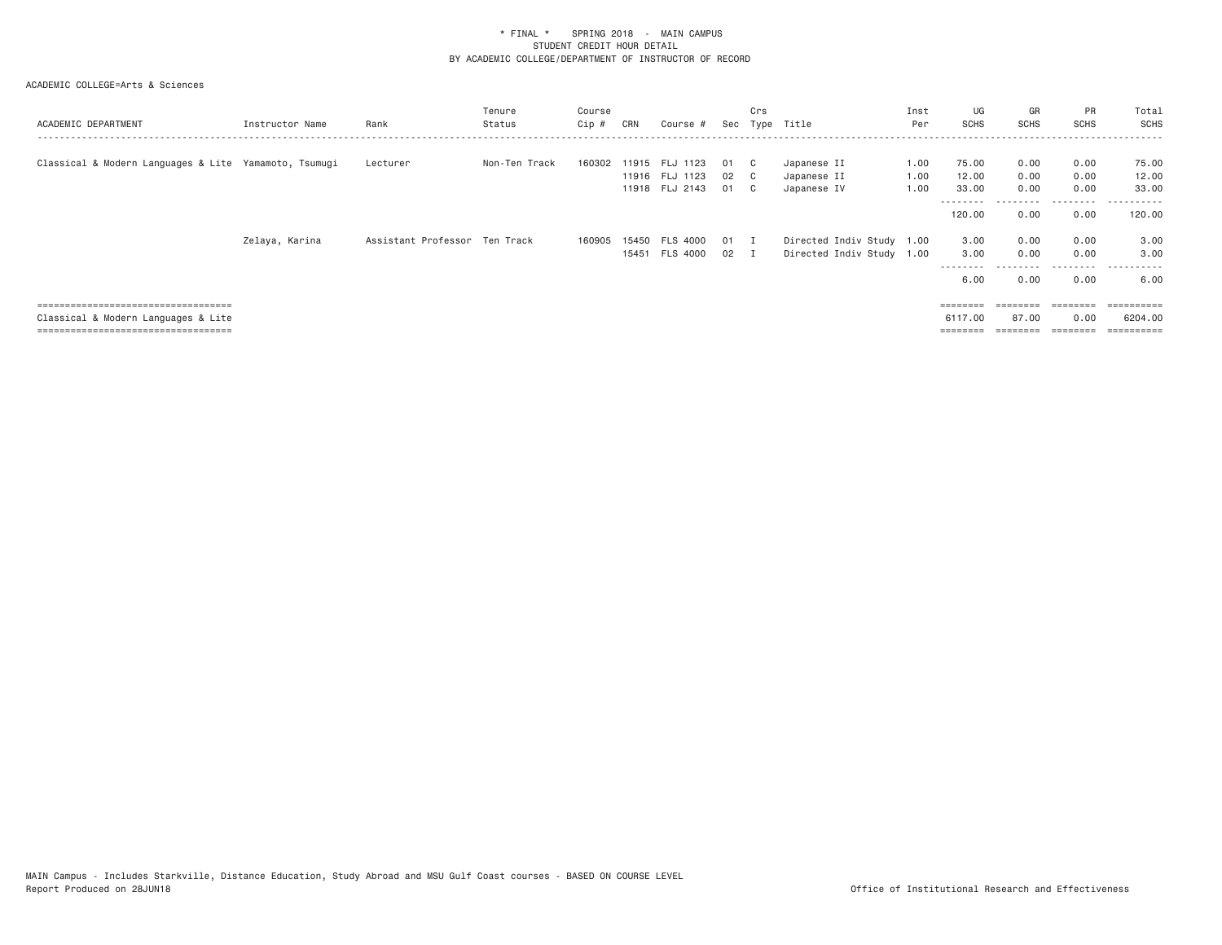| ACADEMIC DEPARTMENT                                                                                                  | Instructor Name | Rank                          | Tenure<br>Status | Course<br>Cip # | CRN       | Course #                                 | Sec                | Crs                         | Type Title                                             | Inst<br>Per          | UG<br><b>SCHS</b>                        | GR<br><b>SCHS</b>    | PR<br><b>SCHS</b>                 | Total<br>SCHS                      |
|----------------------------------------------------------------------------------------------------------------------|-----------------|-------------------------------|------------------|-----------------|-----------|------------------------------------------|--------------------|-----------------------------|--------------------------------------------------------|----------------------|------------------------------------------|----------------------|-----------------------------------|------------------------------------|
| Classical & Modern Languages & Lite Yamamoto, Tsumugi                                                                |                 | Lecturer                      | Non-Ten Track    | 160302          | 11915 FLJ | 1123<br>11916 FLJ 1123<br>11918 FLJ 2143 | 01<br>02<br>01     | - C<br>$\overline{c}$<br>C. | Japanese II<br>Japanese II<br>Japanese IV              | 1.00<br>1.00<br>1.00 | 75.00<br>12.00<br>33.00<br>--------      | 0.00<br>0.00<br>0.00 | 0.00<br>0.00<br>0.00<br>--------- | 75.00<br>12.00<br>33.00<br>.       |
|                                                                                                                      |                 |                               |                  |                 |           |                                          |                    |                             |                                                        |                      | 120.00                                   | 0.00                 | 0.00                              | 120.00                             |
|                                                                                                                      | Zelaya, Karina  | Assistant Professor Ten Track |                  | 160905          |           | 15450 FLS 4000<br>15451 FLS 4000         | 01<br>$02 \quad I$ | - 1                         | Directed Indiv Study 1.00<br>Directed Indiv Study 1.00 |                      | 3.00<br>3.00<br>---------<br>6.00        | 0.00<br>0.00<br>0.00 | 0.00<br>0.00<br>0.00              | 3.00<br>3,00<br>6.00               |
| :===================================<br>Classical & Modern Languages & Lite<br>===================================== |                 |                               |                  |                 |           |                                          |                    |                             |                                                        |                      | $=$ = = = = = = =<br>6117,00<br>======== | 87.00                | ========<br>0.00<br>========      | =========<br>6204.00<br>========== |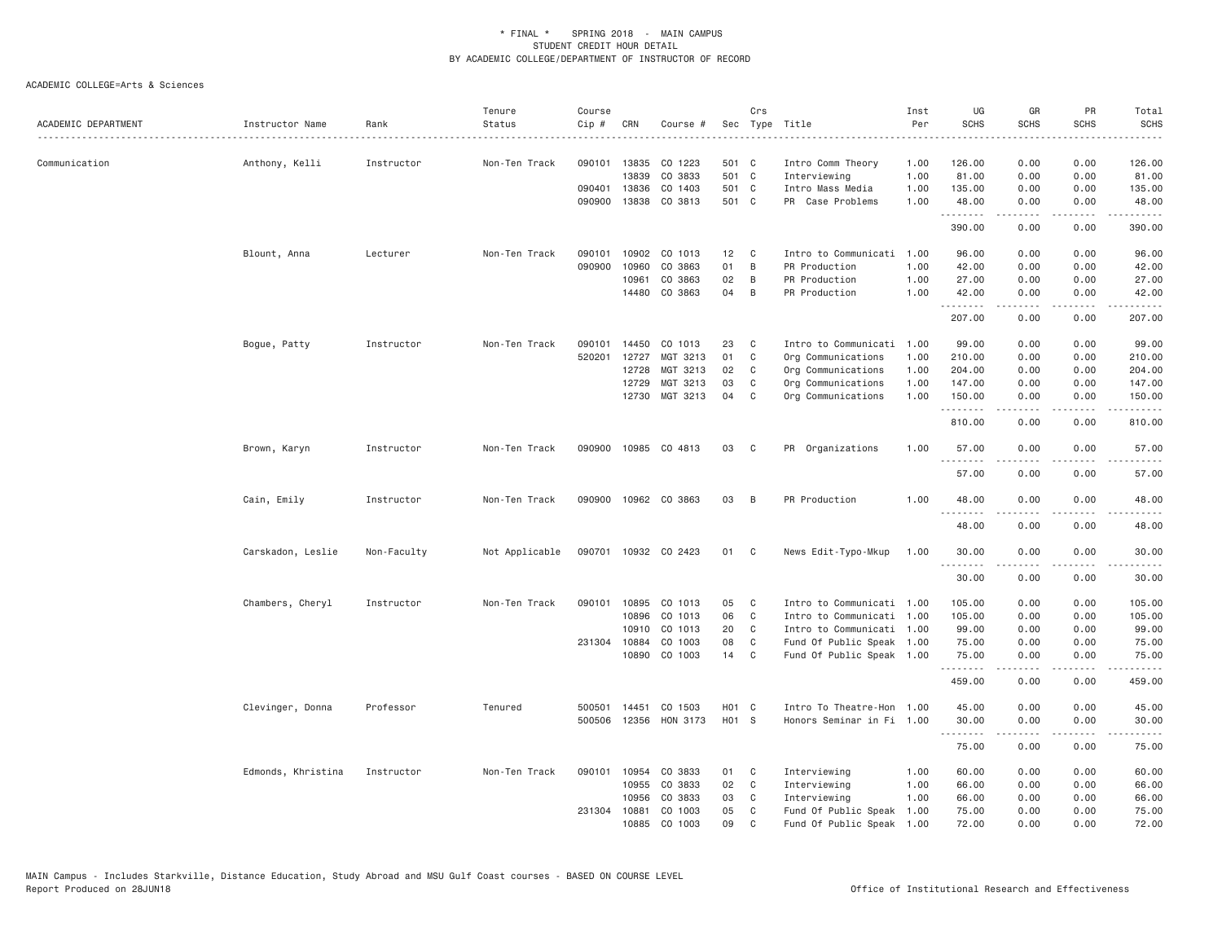| ACADEMIC DEPARTMENT | Instructor Name    | Rank        | Tenure<br>Status | Course<br>Cip # | CRN          | Course #             |                 | Crs          | Sec Type Title            | Inst<br>Per | UG<br><b>SCHS</b> | GR<br><b>SCHS</b>     | PR<br><b>SCHS</b>            | Total<br><b>SCHS</b>                                                                                                                                                                                                                                                                                                                                                                                                                                                                |
|---------------------|--------------------|-------------|------------------|-----------------|--------------|----------------------|-----------------|--------------|---------------------------|-------------|-------------------|-----------------------|------------------------------|-------------------------------------------------------------------------------------------------------------------------------------------------------------------------------------------------------------------------------------------------------------------------------------------------------------------------------------------------------------------------------------------------------------------------------------------------------------------------------------|
| Communication       | Anthony, Kelli     | Instructor  | Non-Ten Track    | 090101          | 13835        | CO 1223              | 501 C           |              | Intro Comm Theory         | 1.00        | 126.00            | 0.00                  | 0.00                         | 126.00                                                                                                                                                                                                                                                                                                                                                                                                                                                                              |
|                     |                    |             |                  |                 | 13839        | CO 3833              | 501 C           |              | Interviewing              | 1.00        | 81.00             | 0.00                  | 0.00                         | 81.00                                                                                                                                                                                                                                                                                                                                                                                                                                                                               |
|                     |                    |             |                  | 090401          | 13836        | CO 1403              | 501 C           |              | Intro Mass Media          | 1.00        | 135.00            | 0.00                  | 0.00                         | 135.00                                                                                                                                                                                                                                                                                                                                                                                                                                                                              |
|                     |                    |             |                  | 090900          | 13838        | CO 3813              | 501 C           |              | PR Case Problems          | 1.00        | 48.00<br>.        | 0.00                  | 0.00<br>$\sim$ $\sim$ $\sim$ | 48.00<br>.                                                                                                                                                                                                                                                                                                                                                                                                                                                                          |
|                     |                    |             |                  |                 |              |                      |                 |              |                           |             | 390.00            | 0.00                  | 0.00                         | 390.00                                                                                                                                                                                                                                                                                                                                                                                                                                                                              |
|                     | Blount, Anna       | Lecturer    | Non-Ten Track    | 090101          | 10902        | CO 1013              | 12 <sub>2</sub> | C            | Intro to Communicati      | 1.00        | 96.00             | 0.00                  | 0.00                         | 96.00                                                                                                                                                                                                                                                                                                                                                                                                                                                                               |
|                     |                    |             |                  | 090900          | 10960        | CO 3863              | 01              | B            | PR Production             | 1.00        | 42.00             | 0.00                  | 0.00                         | 42.00                                                                                                                                                                                                                                                                                                                                                                                                                                                                               |
|                     |                    |             |                  |                 | 10961        | CO 3863              | 02              | B            | PR Production             | 1.00        | 27.00             | 0.00                  | 0.00                         | 27.00                                                                                                                                                                                                                                                                                                                                                                                                                                                                               |
|                     |                    |             |                  |                 | 14480        | CO 3863              | 04              | B            | PR Production             | 1.00        | 42.00<br>.        | 0.00<br>.             | 0.00<br>الأنابات             | 42.00<br>.                                                                                                                                                                                                                                                                                                                                                                                                                                                                          |
|                     |                    |             |                  |                 |              |                      |                 |              |                           |             | 207.00            | 0.00                  | 0.00                         | 207.00                                                                                                                                                                                                                                                                                                                                                                                                                                                                              |
|                     | Bogue, Patty       | Instructor  | Non-Ten Track    | 090101          | 14450        | CO 1013              | 23              | C            | Intro to Communicati      | 1.00        | 99.00             | 0.00                  | 0.00                         | 99.00                                                                                                                                                                                                                                                                                                                                                                                                                                                                               |
|                     |                    |             |                  | 520201          | 12727        | MGT 3213             | 01              | C            | Org Communications        | 1.00        | 210.00            | 0.00                  | 0.00                         | 210.00                                                                                                                                                                                                                                                                                                                                                                                                                                                                              |
|                     |                    |             |                  |                 | 12728        | MGT 3213             | 02              | C            | Org Communications        | 1.00        | 204.00            | 0.00                  | 0.00                         | 204.00                                                                                                                                                                                                                                                                                                                                                                                                                                                                              |
|                     |                    |             |                  |                 | 12729        | MGT 3213             | 03              | C            | Org Communications        | 1.00        | 147.00            | 0.00                  | 0.00                         | 147.00                                                                                                                                                                                                                                                                                                                                                                                                                                                                              |
|                     |                    |             |                  |                 | 12730        | MGT 3213             | 04              | C            | Org Communications        | 1.00        | 150.00<br>.       | 0.00<br>$\frac{1}{2}$ | 0.00<br>$\frac{1}{2}$        | 150.00<br>.                                                                                                                                                                                                                                                                                                                                                                                                                                                                         |
|                     |                    |             |                  |                 |              |                      |                 |              |                           |             | 810.00            | 0.00                  | 0.00                         | 810.00                                                                                                                                                                                                                                                                                                                                                                                                                                                                              |
|                     | Brown, Karyn       | Instructor  | Non-Ten Track    |                 |              | 090900 10985 CO 4813 | 03              | C            | PR Organizations          | 1.00        | 57.00             | 0.00                  | 0.00                         | 57.00                                                                                                                                                                                                                                                                                                                                                                                                                                                                               |
|                     |                    |             |                  |                 |              |                      |                 |              |                           |             | 57.00             | 0.00                  | 0.00                         | 57.00                                                                                                                                                                                                                                                                                                                                                                                                                                                                               |
|                     | Cain, Emily        | Instructor  | Non-Ten Track    | 090900          |              | 10962 CO 3863        | 03              | B            | PR Production             | 1.00        | 48.00             | 0.00                  | 0.00                         | 48.00                                                                                                                                                                                                                                                                                                                                                                                                                                                                               |
|                     |                    |             |                  |                 |              |                      |                 |              |                           |             | .<br>48.00        | 0.00                  | 0.00                         | 48.00                                                                                                                                                                                                                                                                                                                                                                                                                                                                               |
|                     | Carskadon, Leslie  | Non-Faculty | Not Applicable   |                 |              | 090701 10932 CO 2423 | 01              | C            | News Edit-Typo-Mkup       | 1.00        | 30.00             | 0.00                  | 0.00                         | 30.00                                                                                                                                                                                                                                                                                                                                                                                                                                                                               |
|                     |                    |             |                  |                 |              |                      |                 |              |                           |             | .<br>30.00        | 0.00                  | 0.00                         | $\frac{1}{2} \left( \frac{1}{2} \right) \left( \frac{1}{2} \right) \left( \frac{1}{2} \right) \left( \frac{1}{2} \right) \left( \frac{1}{2} \right) \left( \frac{1}{2} \right) \left( \frac{1}{2} \right) \left( \frac{1}{2} \right) \left( \frac{1}{2} \right) \left( \frac{1}{2} \right) \left( \frac{1}{2} \right) \left( \frac{1}{2} \right) \left( \frac{1}{2} \right) \left( \frac{1}{2} \right) \left( \frac{1}{2} \right) \left( \frac{1}{2} \right) \left( \frac$<br>30.00 |
|                     | Chambers, Cheryl   | Instructor  | Non-Ten Track    |                 |              | 090101 10895 CO 1013 | 05              | $\mathbf{C}$ | Intro to Communicati 1.00 |             | 105.00            | 0.00                  | 0.00                         | 105.00                                                                                                                                                                                                                                                                                                                                                                                                                                                                              |
|                     |                    |             |                  |                 | 10896        | CO 1013              | 06              | C            | Intro to Communicati 1.00 |             | 105.00            | 0.00                  | 0.00                         | 105.00                                                                                                                                                                                                                                                                                                                                                                                                                                                                              |
|                     |                    |             |                  |                 | 10910        | CO 1013              | 20              | C            | Intro to Communicati 1.00 |             | 99.00             | 0.00                  | 0.00                         | 99.00                                                                                                                                                                                                                                                                                                                                                                                                                                                                               |
|                     |                    |             |                  |                 | 231304 10884 | CO 1003              | 08              | C            | Fund Of Public Speak 1.00 |             | 75.00             | 0.00                  | 0.00                         | 75.00                                                                                                                                                                                                                                                                                                                                                                                                                                                                               |
|                     |                    |             |                  |                 | 10890        | CO 1003              | 14              | C            | Fund Of Public Speak 1.00 |             | 75.00             | 0.00                  | 0.00                         | 75.00                                                                                                                                                                                                                                                                                                                                                                                                                                                                               |
|                     |                    |             |                  |                 |              |                      |                 |              |                           |             | 459.00            | 0.00                  | 0.00                         | 459.00                                                                                                                                                                                                                                                                                                                                                                                                                                                                              |
|                     | Clevinger, Donna   | Professor   | Tenured          | 500501          | 14451        | CO 1503              | H01 C           |              | Intro To Theatre-Hon 1.00 |             | 45.00             | 0.00                  | 0.00                         | 45.00                                                                                                                                                                                                                                                                                                                                                                                                                                                                               |
|                     |                    |             |                  | 500506          |              | 12356 HON 3173       | H01 S           |              | Honors Seminar in Fi 1.00 |             | 30.00             | 0.00                  | 0.00                         | 30.00                                                                                                                                                                                                                                                                                                                                                                                                                                                                               |
|                     |                    |             |                  |                 |              |                      |                 |              |                           |             | .<br>75.00        | .<br>0.00             | .<br>0.00                    | .<br>75.00                                                                                                                                                                                                                                                                                                                                                                                                                                                                          |
|                     | Edmonds, Khristina | Instructor  | Non-Ten Track    | 090101          | 10954        | CO 3833              | 01              | C            | Interviewing              | 1.00        | 60.00             | 0.00                  | 0.00                         | 60.00                                                                                                                                                                                                                                                                                                                                                                                                                                                                               |
|                     |                    |             |                  |                 | 10955        | CO 3833              | 02              | C            | Interviewing              | 1.00        | 66.00             | 0.00                  | 0.00                         | 66.00                                                                                                                                                                                                                                                                                                                                                                                                                                                                               |
|                     |                    |             |                  |                 | 10956        | CO 3833              | 03              | C            | Interviewing              | 1.00        | 66.00             | 0.00                  | 0.00                         | 66.00                                                                                                                                                                                                                                                                                                                                                                                                                                                                               |
|                     |                    |             |                  | 231304 10881    |              | CO 1003              | 05              | C            | Fund Of Public Speak      | 1.00        | 75.00             | 0.00                  | 0.00                         | 75.00                                                                                                                                                                                                                                                                                                                                                                                                                                                                               |
|                     |                    |             |                  |                 | 10885        | CO 1003              | 09              | $\mathsf{C}$ | Fund Of Public Speak 1.00 |             | 72.00             | 0.00                  | 0.00                         | 72.00                                                                                                                                                                                                                                                                                                                                                                                                                                                                               |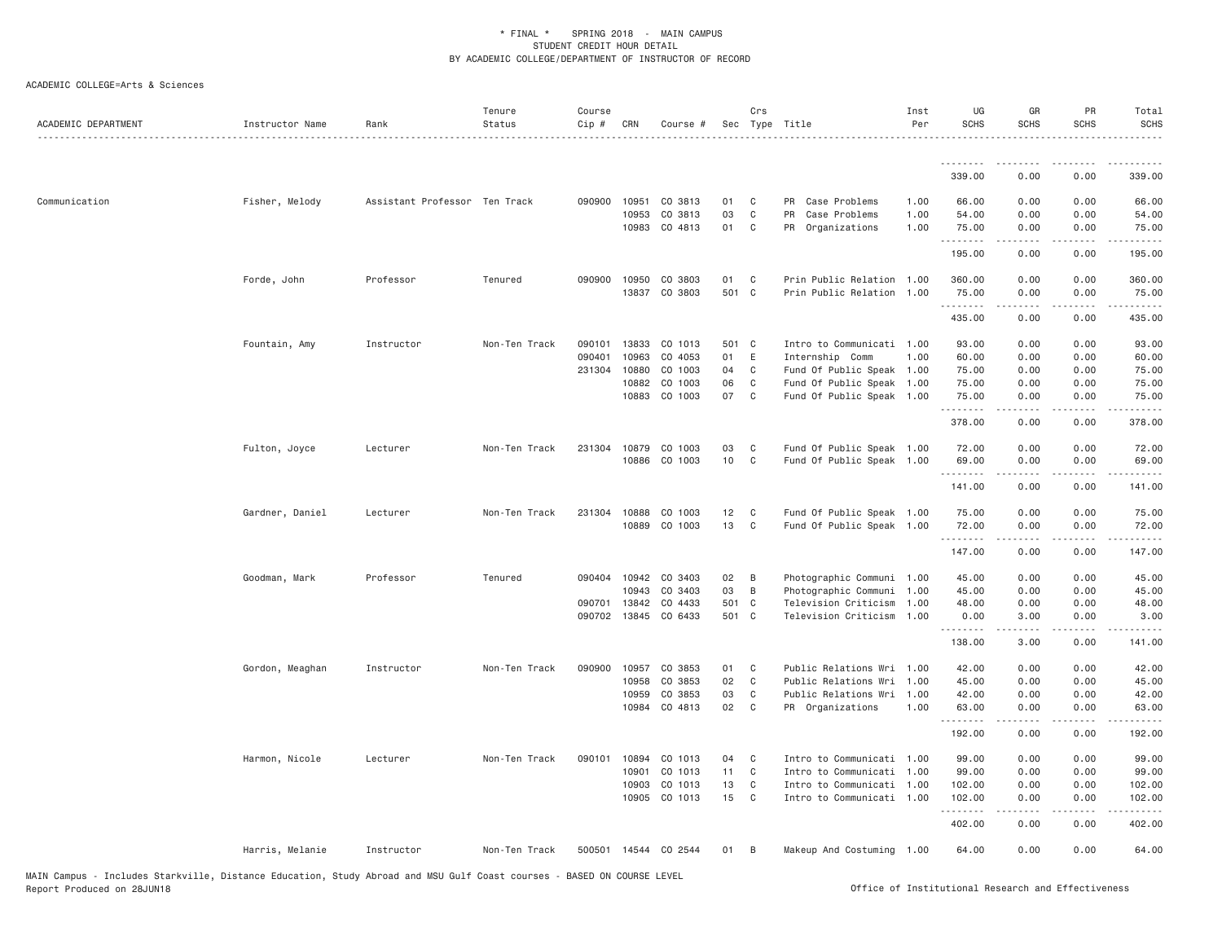| ACADEMIC DEPARTMENT | Instructor Name | Rank                          | Tenure<br>Status | Course<br>Cip # | CRN          | Course #             |       | Crs          | Sec Type Title            | Inst<br>Per | UG<br><b>SCHS</b> | GR<br><b>SCHS</b>                                                                                                                                            | PR<br><b>SCHS</b>            | Total<br><b>SCHS</b> |
|---------------------|-----------------|-------------------------------|------------------|-----------------|--------------|----------------------|-------|--------------|---------------------------|-------------|-------------------|--------------------------------------------------------------------------------------------------------------------------------------------------------------|------------------------------|----------------------|
|                     |                 |                               |                  |                 |              |                      |       |              |                           |             | .                 |                                                                                                                                                              |                              |                      |
|                     |                 |                               |                  |                 |              |                      |       |              |                           |             | 339.00            | 0.00                                                                                                                                                         | 0.00                         | 339.00               |
| Communication       | Fisher, Melody  | Assistant Professor Ten Track |                  | 090900          | 10951        | CO 3813              | 01    | C            | PR Case Problems          | 1.00        | 66.00             | 0.00                                                                                                                                                         | 0.00                         | 66.00                |
|                     |                 |                               |                  |                 | 10953        | CO 3813              | 03    | $\mathbb C$  | PR<br>Case Problems       | 1.00        | 54.00             | 0.00                                                                                                                                                         | 0.00                         | 54.00                |
|                     |                 |                               |                  |                 |              | 10983 CO 4813        | 01    | C            | PR Organizations          | 1.00        | 75.00<br>.        | 0.00<br>$\frac{1}{2} \left( \frac{1}{2} \right) \left( \frac{1}{2} \right) \left( \frac{1}{2} \right) \left( \frac{1}{2} \right) \left( \frac{1}{2} \right)$ | 0.00<br>.                    | 75.00<br>.           |
|                     |                 |                               |                  |                 |              |                      |       |              |                           |             | 195.00            | 0.00                                                                                                                                                         | 0.00                         | 195.00               |
|                     | Forde, John     | Professor                     | Tenured          |                 | 090900 10950 | CO 3803              | 01    | C            | Prin Public Relation 1.00 |             | 360.00            | 0.00                                                                                                                                                         | 0.00                         | 360.00               |
|                     |                 |                               |                  |                 | 13837        | CO 3803              | 501 C |              | Prin Public Relation 1.00 |             | 75.00<br>.        | 0.00<br><b>.</b>                                                                                                                                             | 0.00<br>.                    | 75.00<br><u>.</u>    |
|                     |                 |                               |                  |                 |              |                      |       |              |                           |             | 435.00            | 0.00                                                                                                                                                         | 0.00                         | 435.00               |
|                     | Fountain, Amy   | Instructor                    | Non-Ten Track    | 090101          | 13833        | CO 1013              | 501 C |              | Intro to Communicati 1.00 |             | 93.00             | 0.00                                                                                                                                                         | 0.00                         | 93.00                |
|                     |                 |                               |                  | 090401          | 10963        | CO 4053              | 01    | E            | Internship Comm           | 1.00        | 60.00             | 0.00                                                                                                                                                         | 0.00                         | 60.00                |
|                     |                 |                               |                  | 231304          | 10880        | CO 1003              | 04    | C            | Fund Of Public Speak 1.00 |             | 75.00             | 0.00                                                                                                                                                         | 0.00                         | 75.00                |
|                     |                 |                               |                  |                 | 10882        | CO 1003              | 06    | C            | Fund Of Public Speak      | 1.00        | 75.00             | 0.00                                                                                                                                                         | 0.00                         | 75.00                |
|                     |                 |                               |                  |                 | 10883        | CO 1003              | 07    | $\mathbf{C}$ | Fund Of Public Speak 1.00 |             | 75.00             | 0.00                                                                                                                                                         | 0.00<br>$\sim$ $\sim$ $\sim$ | 75.00<br>.           |
|                     |                 |                               |                  |                 |              |                      |       |              |                           |             | 378.00            | 0.00                                                                                                                                                         | 0.00                         | 378.00               |
|                     | Fulton, Joyce   | Lecturer                      | Non-Ten Track    | 231304          | 10879        | CO 1003              | 03    | C            | Fund Of Public Speak 1.00 |             | 72.00             | 0.00                                                                                                                                                         | 0.00                         | 72.00                |
|                     |                 |                               |                  |                 | 10886        | CO 1003              | 10    | $\mathbb C$  | Fund Of Public Speak 1.00 |             | 69.00             | 0.00                                                                                                                                                         | 0.00                         | 69.00                |
|                     |                 |                               |                  |                 |              |                      |       |              |                           |             | .<br>141.00       | .<br>0.00                                                                                                                                                    | 0.00                         | .<br>141.00          |
|                     | Gardner, Daniel | Lecturer                      | Non-Ten Track    | 231304          | 10888        | CO 1003              | 12    | C            | Fund Of Public Speak 1.00 |             | 75.00             | 0.00                                                                                                                                                         | 0.00                         | 75.00                |
|                     |                 |                               |                  |                 |              | 10889 CO 1003        | 13    | $\mathbb C$  | Fund Of Public Speak 1.00 |             | 72.00             | 0.00                                                                                                                                                         | 0.00                         | 72.00                |
|                     |                 |                               |                  |                 |              |                      |       |              |                           |             | .<br>147.00       | -----<br>0.00                                                                                                                                                | .<br>0.00                    | .<br>147.00          |
|                     | Goodman, Mark   | Professor                     | Tenured          |                 |              | 090404 10942 CO 3403 | 02    | B            | Photographic Communi 1.00 |             | 45.00             | 0.00                                                                                                                                                         | 0.00                         | 45.00                |
|                     |                 |                               |                  |                 | 10943        | CO 3403              | 03    | B            | Photographic Communi      | 1.00        | 45.00             | 0.00                                                                                                                                                         | 0.00                         | 45.00                |
|                     |                 |                               |                  | 090701          | 13842        | CO 4433              | 501 C |              | Television Criticism      | 1.00        | 48.00             | 0.00                                                                                                                                                         | 0.00                         | 48.00                |
|                     |                 |                               |                  |                 | 090702 13845 | CO 6433              | 501 C |              | Television Criticism      | 1.00        | 0.00<br>.         | 3.00<br>.                                                                                                                                                    | 0.00<br>.                    | 3.00<br>.            |
|                     |                 |                               |                  |                 |              |                      |       |              |                           |             | 138.00            | 3.00                                                                                                                                                         | 0.00                         | 141.00               |
|                     | Gordon, Meaghan | Instructor                    | Non-Ten Track    | 090900          | 10957        | CO 3853              | 01    | C            | Public Relations Wri 1.00 |             | 42.00             | 0.00                                                                                                                                                         | 0.00                         | 42.00                |
|                     |                 |                               |                  |                 | 10958        | CO 3853              | 02    | C            | Public Relations Wri      | 1.00        | 45.00             | 0.00                                                                                                                                                         | 0.00                         | 45.00                |
|                     |                 |                               |                  |                 | 10959        | CO 3853              | 03    | C            | Public Relations Wri      | 1.00        | 42.00             | 0.00                                                                                                                                                         | 0.00                         | 42.00                |
|                     |                 |                               |                  |                 | 10984        | CO 4813              | 02    | C            | PR Organizations          | 1.00        | 63.00<br>.        | 0.00                                                                                                                                                         | 0.00<br>.                    | 63.00                |
|                     |                 |                               |                  |                 |              |                      |       |              |                           |             | 192.00            | .<br>0.00                                                                                                                                                    | 0.00                         | .<br>192.00          |
|                     | Harmon, Nicole  | Lecturer                      | Non-Ten Track    | 090101          | 10894        | CO 1013              | 04    | C            | Intro to Communicati 1.00 |             | 99.00             | 0.00                                                                                                                                                         | 0.00                         | 99.00                |
|                     |                 |                               |                  |                 | 10901        | CO 1013              | 11    | $\mathbb C$  | Intro to Communicati 1.00 |             | 99.00             | 0.00                                                                                                                                                         | 0.00                         | 99.00                |
|                     |                 |                               |                  |                 | 10903        | CO 1013              | 13    | C            | Intro to Communicati 1.00 |             | 102.00            | 0.00                                                                                                                                                         | 0.00                         | 102.00               |
|                     |                 |                               |                  |                 | 10905        | CO 1013              | 15    | C            | Intro to Communicati 1.00 |             | 102.00<br>.       | 0.00                                                                                                                                                         | 0.00                         | 102.00               |
|                     |                 |                               |                  |                 |              |                      |       |              |                           |             | 402.00            | 0.00                                                                                                                                                         | 0.00                         | 402.00               |
|                     | Harris, Melanie | Instructor                    | Non-Ten Track    | 500501          |              | 14544 CO 2544        | 01    | B            | Makeup And Costuming 1.00 |             | 64.00             | 0.00                                                                                                                                                         | 0.00                         | 64.00                |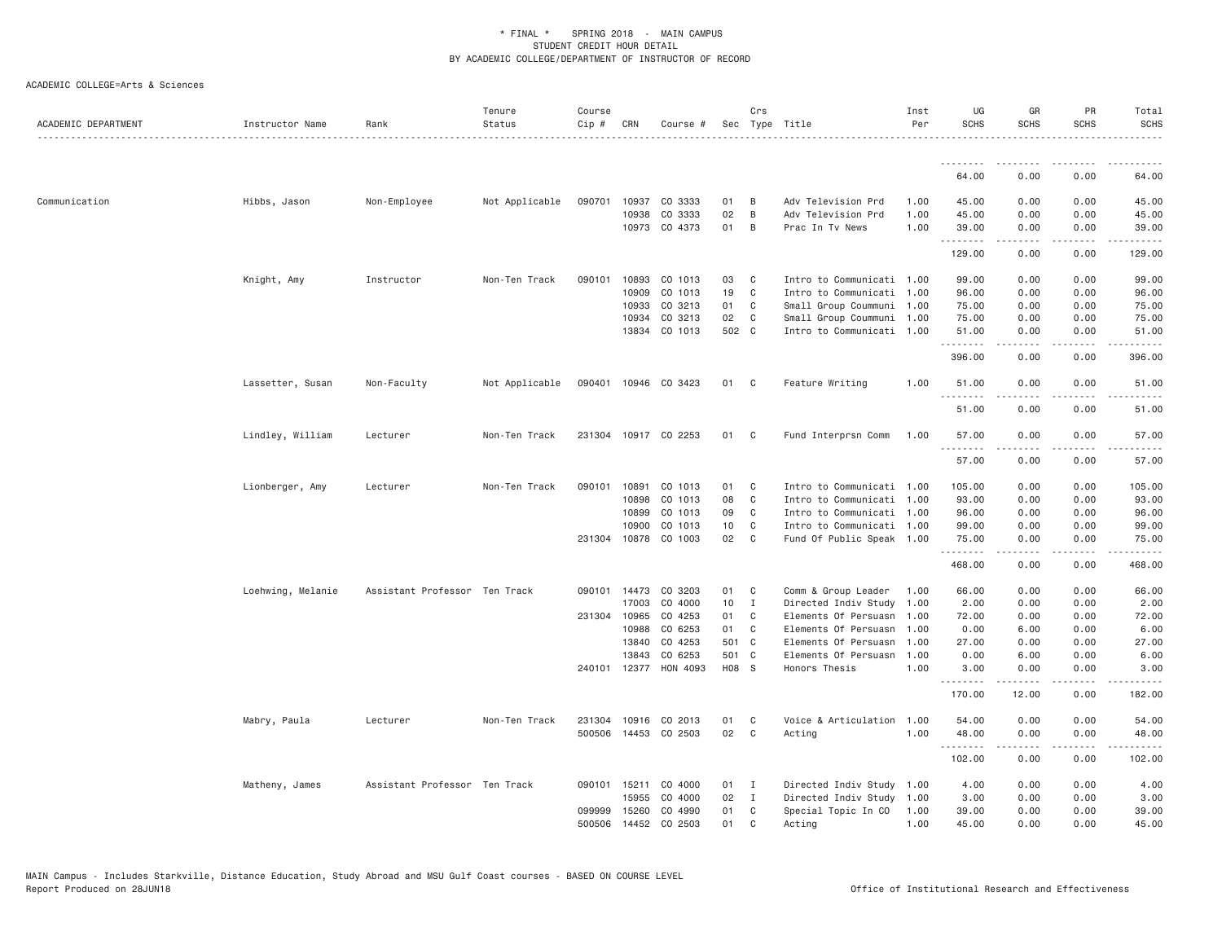| ACADEMIC DEPARTMENT | Instructor Name   | Rank                          | Tenure<br>Status | Course<br>Cip # | CRN            | Course #              |                | Crs            | Sec Type Title                        | Inst<br>Per  | UG<br><b>SCHS</b> | GR<br><b>SCHS</b>                                                                                                                                            | PR<br><b>SCHS</b> | Total<br><b>SCHS</b>                                                                                                                                          |
|---------------------|-------------------|-------------------------------|------------------|-----------------|----------------|-----------------------|----------------|----------------|---------------------------------------|--------------|-------------------|--------------------------------------------------------------------------------------------------------------------------------------------------------------|-------------------|---------------------------------------------------------------------------------------------------------------------------------------------------------------|
|                     |                   |                               |                  |                 |                |                       |                |                |                                       |              |                   |                                                                                                                                                              |                   |                                                                                                                                                               |
|                     |                   |                               |                  |                 |                |                       |                |                |                                       |              | 64.00             | 0.00                                                                                                                                                         | 0.00              | 64.00                                                                                                                                                         |
| Communication       | Hibbs, Jason      | Non-Employee                  | Not Applicable   | 090701          | 10937          | CO 3333               | 01             | B              | Adv Television Prd                    | 1.00         | 45.00             | 0.00                                                                                                                                                         | 0.00              | 45.00                                                                                                                                                         |
|                     |                   |                               |                  |                 | 10938          | CO 3333               | 02             | B              | Adv Television Prd                    | 1.00         | 45.00             | 0.00                                                                                                                                                         | 0.00              | 45.00                                                                                                                                                         |
|                     |                   |                               |                  |                 |                | 10973 CO 4373         | 01             | B              | Prac In Tv News                       | 1.00         | 39.00<br>.        | 0.00<br>$\frac{1}{2} \left( \frac{1}{2} \right) \left( \frac{1}{2} \right) \left( \frac{1}{2} \right) \left( \frac{1}{2} \right) \left( \frac{1}{2} \right)$ | 0.00<br>.         | 39.00<br>$\frac{1}{2} \left( \frac{1}{2} \right) \left( \frac{1}{2} \right) \left( \frac{1}{2} \right) \left( \frac{1}{2} \right) \left( \frac{1}{2} \right)$ |
|                     |                   |                               |                  |                 |                |                       |                |                |                                       |              | 129.00            | 0.00                                                                                                                                                         | 0.00              | 129.00                                                                                                                                                        |
|                     | Knight, Amy       | Instructor                    | Non-Ten Track    | 090101          | 10893          | CO 1013               | 03             | C              | Intro to Communicati 1.00             |              | 99.00             | 0.00                                                                                                                                                         | 0.00              | 99.00                                                                                                                                                         |
|                     |                   |                               |                  |                 | 10909          | CO 1013               | 19             | C              | Intro to Communicati                  | 1.00         | 96.00             | 0.00                                                                                                                                                         | 0.00              | 96.00                                                                                                                                                         |
|                     |                   |                               |                  |                 | 10933          | CO 3213               | 01             | C              | Small Group Coummuni 1.00             |              | 75.00             | 0.00                                                                                                                                                         | 0.00              | 75.00                                                                                                                                                         |
|                     |                   |                               |                  |                 | 10934          | CO 3213               | 02             | C              | Small Group Coummuni 1.00             |              | 75.00             | 0.00                                                                                                                                                         | 0.00              | 75.00                                                                                                                                                         |
|                     |                   |                               |                  |                 | 13834          | CO 1013               | 502 C          |                | Intro to Communicati 1.00             |              | 51.00<br>.        | 0.00<br>.                                                                                                                                                    | 0.00<br>د د د د   | 51.00<br>.                                                                                                                                                    |
|                     |                   |                               |                  |                 |                |                       |                |                |                                       |              | 396.00            | 0.00                                                                                                                                                         | 0.00              | 396.00                                                                                                                                                        |
|                     | Lassetter, Susan  | Non-Faculty                   | Not Applicable   |                 |                | 090401 10946 CO 3423  | 01             | C <sub>1</sub> | Feature Writing                       | 1.00         | 51.00<br>.        | 0.00                                                                                                                                                         | 0.00              | 51.00                                                                                                                                                         |
|                     |                   |                               |                  |                 |                |                       |                |                |                                       |              | 51.00             | 0.00                                                                                                                                                         | 0.00              | 51.00                                                                                                                                                         |
|                     | Lindley, William  | Lecturer                      | Non-Ten Track    |                 |                | 231304 10917 CO 2253  | 01             | $\mathbf{C}$   | Fund Interprsn Comm                   | 1.00         | 57.00<br>.        | 0.00                                                                                                                                                         | 0.00<br>.         | 57.00<br>.                                                                                                                                                    |
|                     |                   |                               |                  |                 |                |                       |                |                |                                       |              | 57.00             | -----<br>0.00                                                                                                                                                | 0.00              | 57.00                                                                                                                                                         |
|                     | Lionberger, Amy   | Lecturer                      | Non-Ten Track    | 090101          | 10891          | CO 1013               | 01             | C              | Intro to Communicati 1.00             |              | 105.00            | 0.00                                                                                                                                                         | 0.00              | 105.00                                                                                                                                                        |
|                     |                   |                               |                  |                 | 10898          | CO 1013               | 08             | C              | Intro to Communicati 1.00             |              | 93.00             | 0.00                                                                                                                                                         | 0.00              | 93.00                                                                                                                                                         |
|                     |                   |                               |                  |                 | 10899          | CO 1013               | 09             | C              | Intro to Communicati 1.00             |              | 96.00             | 0.00                                                                                                                                                         | 0.00              | 96.00                                                                                                                                                         |
|                     |                   |                               |                  |                 | 10900          | CO 1013               | 10             | C              | Intro to Communicati 1.00             |              | 99.00             | 0.00                                                                                                                                                         | 0.00              | 99.00                                                                                                                                                         |
|                     |                   |                               |                  |                 |                | 231304 10878 CO 1003  | 02             | C <sub>1</sub> | Fund Of Public Speak 1.00             |              | 75.00<br>.        | 0.00<br>$\frac{1}{2} \left( \frac{1}{2} \right) \left( \frac{1}{2} \right) \left( \frac{1}{2} \right) \left( \frac{1}{2} \right) \left( \frac{1}{2} \right)$ | 0.00<br>.         | 75.00<br>.                                                                                                                                                    |
|                     |                   |                               |                  |                 |                |                       |                |                |                                       |              | 468.00            | 0.00                                                                                                                                                         | 0.00              | 468.00                                                                                                                                                        |
|                     | Loehwing, Melanie | Assistant Professor Ten Track |                  | 090101          | 14473          | CO 3203               | 01             | C              | Comm & Group Leader                   | 1.00         | 66.00             | 0.00                                                                                                                                                         | 0.00              | 66.00                                                                                                                                                         |
|                     |                   |                               |                  |                 | 17003          | CO 4000               | 10             | $\mathbf{I}$   | Directed Indiv Study                  | 1.00         | 2.00              | 0.00                                                                                                                                                         | 0.00              | 2.00                                                                                                                                                          |
|                     |                   |                               |                  | 231304          | 10965          | CO 4253               | 01             | C              | Elements Of Persuasn                  | 1.00         | 72.00             | 0.00                                                                                                                                                         | 0.00              | 72.00                                                                                                                                                         |
|                     |                   |                               |                  |                 | 10988          | CO 6253               | 01             | C              | Elements Of Persuasn                  | 1,00         | 0.00              | 6.00                                                                                                                                                         | 0.00              | 6.00                                                                                                                                                          |
|                     |                   |                               |                  |                 | 13840<br>13843 | CO 4253<br>CO 6253    | 501 C          |                | Elements Of Persuasn                  | 1,00<br>1.00 | 27.00             | 0.00                                                                                                                                                         | 0.00              | 27.00                                                                                                                                                         |
|                     |                   |                               |                  |                 |                | 240101 12377 HON 4093 | 501 C<br>H08 S |                | Elements Of Persuasn<br>Honors Thesis | 1.00         | 0.00<br>3.00      | 6.00<br>0.00                                                                                                                                                 | 0.00<br>0.00      | 6.00<br>3.00                                                                                                                                                  |
|                     |                   |                               |                  |                 |                |                       |                |                |                                       |              | .<br>170.00       | -----<br>12.00                                                                                                                                               | لأعامل<br>0.00    | .<br>182.00                                                                                                                                                   |
|                     | Mabry, Paula      | Lecturer                      | Non-Ten Track    | 231304          | 10916          | CO 2013               | 01             | C              | Voice & Articulation 1.00             |              | 54.00             | 0.00                                                                                                                                                         | 0.00              | 54.00                                                                                                                                                         |
|                     |                   |                               |                  |                 |                | 500506 14453 CO 2503  | 02             | $\mathbb C$    | Acting                                | 1.00         | 48.00<br>.        | 0.00<br>$\frac{1}{2} \left( \frac{1}{2} \right) \left( \frac{1}{2} \right) \left( \frac{1}{2} \right) \left( \frac{1}{2} \right) \left( \frac{1}{2} \right)$ | 0.00<br>.         | 48.00<br>$\frac{1}{2} \left( \frac{1}{2} \right) \left( \frac{1}{2} \right) \left( \frac{1}{2} \right) \left( \frac{1}{2} \right) \left( \frac{1}{2} \right)$ |
|                     |                   |                               |                  |                 |                |                       |                |                |                                       |              | 102.00            | 0.00                                                                                                                                                         | 0.00              | 102.00                                                                                                                                                        |
|                     | Matheny, James    | Assistant Professor Ten Track |                  |                 | 090101 15211   | CO 4000               | $01$ I         |                | Directed Indiv Study 1.00             |              | 4.00              | 0.00                                                                                                                                                         | 0.00              | 4.00                                                                                                                                                          |
|                     |                   |                               |                  |                 | 15955          | CO 4000               | 02             | $\mathbf{I}$   | Directed Indiv Study 1.00             |              | 3.00              | 0.00                                                                                                                                                         | 0.00              | 3.00                                                                                                                                                          |
|                     |                   |                               |                  |                 | 099999 15260   | CO 4990               | 01             | C              | Special Topic In CO                   | 1.00         | 39.00             | 0.00                                                                                                                                                         | 0.00              | 39.00                                                                                                                                                         |
|                     |                   |                               |                  | 500506          | 14452          | CO 2503               | 01             | C              | Acting                                | 1,00         | 45.00             | 0.00                                                                                                                                                         | 0.00              | 45.00                                                                                                                                                         |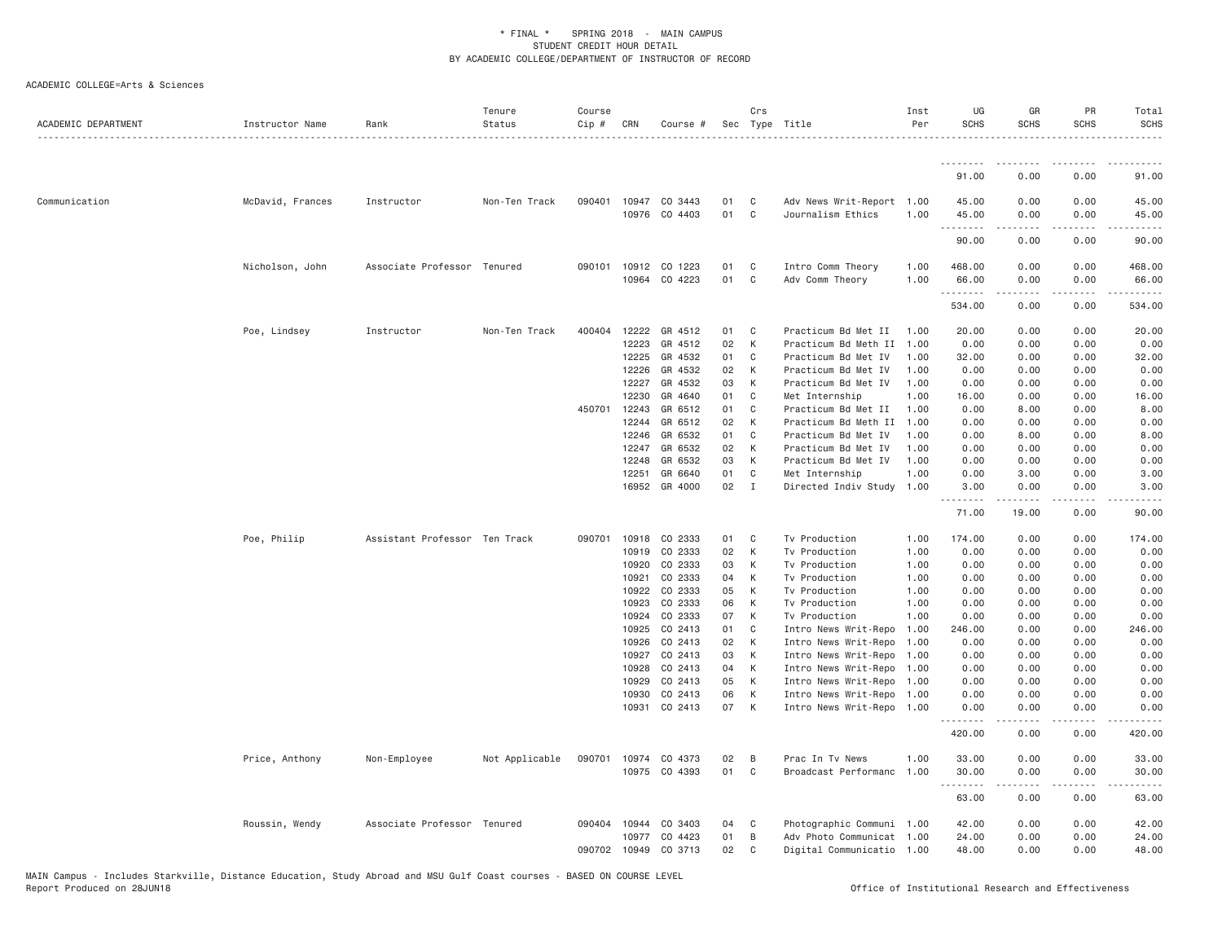| ACADEMIC DEPARTMENT | Instructor Name  | Rank                          | Tenure<br>Status | Course<br>Cip #  | CRN                            | Course #                              |                | Crs                   | Sec Type Title                                                                 | Inst<br>Per          | UG<br><b>SCHS</b>          | GR<br><b>SCHS</b>           | PR<br><b>SCHS</b>             | Total<br><b>SCHS</b>    |
|---------------------|------------------|-------------------------------|------------------|------------------|--------------------------------|---------------------------------------|----------------|-----------------------|--------------------------------------------------------------------------------|----------------------|----------------------------|-----------------------------|-------------------------------|-------------------------|
|                     |                  |                               |                  |                  |                                |                                       |                |                       |                                                                                |                      | .                          |                             |                               |                         |
|                     |                  |                               |                  |                  |                                |                                       |                |                       |                                                                                |                      | 91.00                      | 0.00                        | 0.00                          | 91.00                   |
| Communication       | McDavid, Frances | Instructor                    | Non-Ten Track    | 090401           |                                | 10947 CO 3443<br>10976 CO 4403        | 01<br>01       | C<br>$\mathsf{C}$     | Adv News Writ-Report 1.00<br>Journalism Ethics                                 | 1.00                 | 45.00<br>45.00             | 0.00<br>0.00                | 0.00<br>0.00                  | 45.00<br>45.00          |
|                     |                  |                               |                  |                  |                                |                                       |                |                       |                                                                                |                      | .<br>90.00                 | $- - - - -$<br>0.00         | .<br>0.00                     | .<br>90.00              |
|                     | Nicholson, John  | Associate Professor Tenured   |                  | 090101           | 10912<br>10964                 | CO 1223<br>CO 4223                    | 01<br>01       | C<br>C                | Intro Comm Theory<br>Adv Comm Theory                                           | 1.00<br>1.00         | 468.00<br>66.00            | 0.00<br>0.00                | 0.00<br>0.00                  | 468.00<br>66.00         |
|                     |                  |                               |                  |                  |                                |                                       |                |                       |                                                                                |                      | .<br>534.00                | .<br>0.00                   | .<br>0.00                     | .<br>534.00             |
|                     | Poe, Lindsey     | Instructor                    | Non-Ten Track    | 400404           | 12222<br>12223<br>12225        | GR 4512<br>GR 4512<br>GR 4532         | 01<br>02<br>01 | C<br>К<br>C           | Practicum Bd Met II<br>Practicum Bd Meth II<br>Practicum Bd Met IV             | 1.00<br>1.00<br>1.00 | 20.00<br>0.00<br>32.00     | 0.00<br>0.00<br>0.00        | 0.00<br>0.00<br>0.00          | 20.00<br>0.00<br>32.00  |
|                     |                  |                               |                  |                  | 12226<br>12227<br>12230        | GR 4532<br>GR 4532<br>GR 4640         | 02<br>03<br>01 | K<br>К<br>C           | Practicum Bd Met IV<br>Practicum Bd Met IV<br>Met Internship                   | 1.00<br>1.00<br>1.00 | 0.00<br>0.00<br>16.00      | 0.00<br>0.00<br>0.00        | 0.00<br>0.00<br>0.00          | 0.00<br>0.00<br>16.00   |
|                     |                  |                               |                  |                  | 450701 12243<br>12244<br>12246 | GR 6512<br>GR 6512<br>GR 6532         | 01<br>02<br>01 | $\mathbb C$<br>K<br>C | Practicum Bd Met II<br>Practicum Bd Meth II<br>Practicum Bd Met IV             | 1.00<br>1.00<br>1,00 | 0.00<br>0.00<br>0.00       | 8.00<br>0.00<br>8.00        | 0.00<br>0.00<br>0.00          | 8.00<br>0.00<br>8.00    |
|                     |                  |                               |                  |                  | 12247<br>12248                 | GR 6532<br>GR 6532                    | 02<br>03       | К<br>K                | Practicum Bd Met IV<br>Practicum Bd Met IV                                     | 1.00<br>1.00         | 0.00<br>0.00               | 0.00<br>0.00                | 0.00<br>0.00                  | 0.00<br>0.00            |
|                     |                  |                               |                  |                  | 12251<br>16952                 | GR 6640<br>GR 4000                    | 01<br>02       | C<br>$\mathbf{I}$     | Met Internship<br>Directed Indiv Study                                         | 1.00<br>1.00         | 0.00<br>3.00<br>.          | 3.00<br>0.00<br>$- - - - -$ | 0.00<br>0.00<br>$\frac{1}{2}$ | 3.00<br>3.00<br>$   -$  |
|                     |                  |                               |                  |                  |                                |                                       |                |                       |                                                                                |                      | 71.00                      | 19.00                       | 0.00                          | 90.00                   |
|                     | Poe, Philip      | Assistant Professor Ten Track |                  | 090701           | 10918<br>10919                 | CO 2333<br>CO 2333                    | 01<br>02       | C<br>K                | Tv Production<br>Tv Production                                                 | 1.00<br>1.00         | 174.00<br>0.00             | 0.00<br>0.00                | 0.00<br>0.00                  | 174.00<br>0.00          |
|                     |                  |                               |                  |                  | 10920<br>10921<br>10922        | CO 2333<br>CO 2333<br>CO 2333         | 03<br>04<br>05 | К<br>К<br>К           | Tv Production<br>Tv Production<br>Tv Production                                | 1.00<br>1.00<br>1.00 | 0.00<br>0.00<br>0.00       | 0.00<br>0.00<br>0.00        | 0.00<br>0.00<br>0.00          | 0.00<br>0.00<br>0.00    |
|                     |                  |                               |                  |                  | 10923<br>10924                 | CO 2333<br>CO 2333                    | 06<br>07       | К<br>K                | Tv Production<br>Tv Production                                                 | 1.00<br>1.00         | 0.00<br>0.00               | 0.00<br>0.00                | 0.00<br>0.00                  | 0.00<br>0.00            |
|                     |                  |                               |                  |                  | 10925<br>10926<br>10927        | CO 2413<br>CO 2413<br>CO 2413         | 01<br>02<br>03 | C<br>K<br>K           | Intro News Writ-Repo<br>Intro News Writ-Repo<br>Intro News Writ-Repo           | 1.00<br>1.00<br>1.00 | 246.00<br>0.00<br>0.00     | 0.00<br>0.00<br>0.00        | 0.00<br>0.00<br>0.00          | 246.00<br>0.00<br>0.00  |
|                     |                  |                               |                  |                  | 10928<br>10929<br>10930        | CO 2413<br>CO 2413<br>CO 2413         | 04<br>05<br>06 | K<br>K<br>K           | Intro News Writ-Repo<br>Intro News Writ-Repo 1.00<br>Intro News Writ-Repo 1.00 | 1.00                 | 0.00<br>0.00<br>0.00       | 0.00<br>0.00<br>0.00        | 0.00<br>0.00<br>0.00          | 0.00<br>0.00<br>0.00    |
|                     |                  |                               |                  |                  | 10931                          | CO 2413                               | 07             | К                     | Intro News Writ-Repo 1.00                                                      |                      | 0.00                       | 0.00                        | 0.00                          | 0.00                    |
|                     |                  |                               |                  |                  |                                |                                       |                |                       |                                                                                |                      | 420.00                     | 0.00                        | 0.00                          | 420.00                  |
|                     | Price, Anthony   | Non-Employee                  | Not Applicable   |                  |                                | 090701 10974 CO 4373<br>10975 CO 4393 | 02<br>01       | B<br>C                | Prac In Tv News<br>Broadcast Performanc                                        | 1.00<br>1.00         | 33.00<br>30.00<br><u>.</u> | 0.00<br>0.00<br>$- - - - -$ | 0.00<br>0.00<br><u>.</u>      | 33.00<br>30.00<br>.     |
|                     |                  |                               |                  |                  |                                |                                       |                |                       |                                                                                |                      | 63.00                      | 0.00                        | 0.00                          | 63.00                   |
|                     | Roussin, Wendy   | Associate Professor Tenured   |                  | 090404<br>090702 | 10944<br>10977<br>10949        | CO 3403<br>CO 4423<br>CO 3713         | 04<br>01<br>02 | C<br>B<br>C           | Photographic Communi<br>Adv Photo Communicat 1.00<br>Digital Communicatio 1.00 | 1.00                 | 42.00<br>24.00<br>48.00    | 0.00<br>0.00<br>0.00        | 0.00<br>0.00<br>0.00          | 42.00<br>24.00<br>48.00 |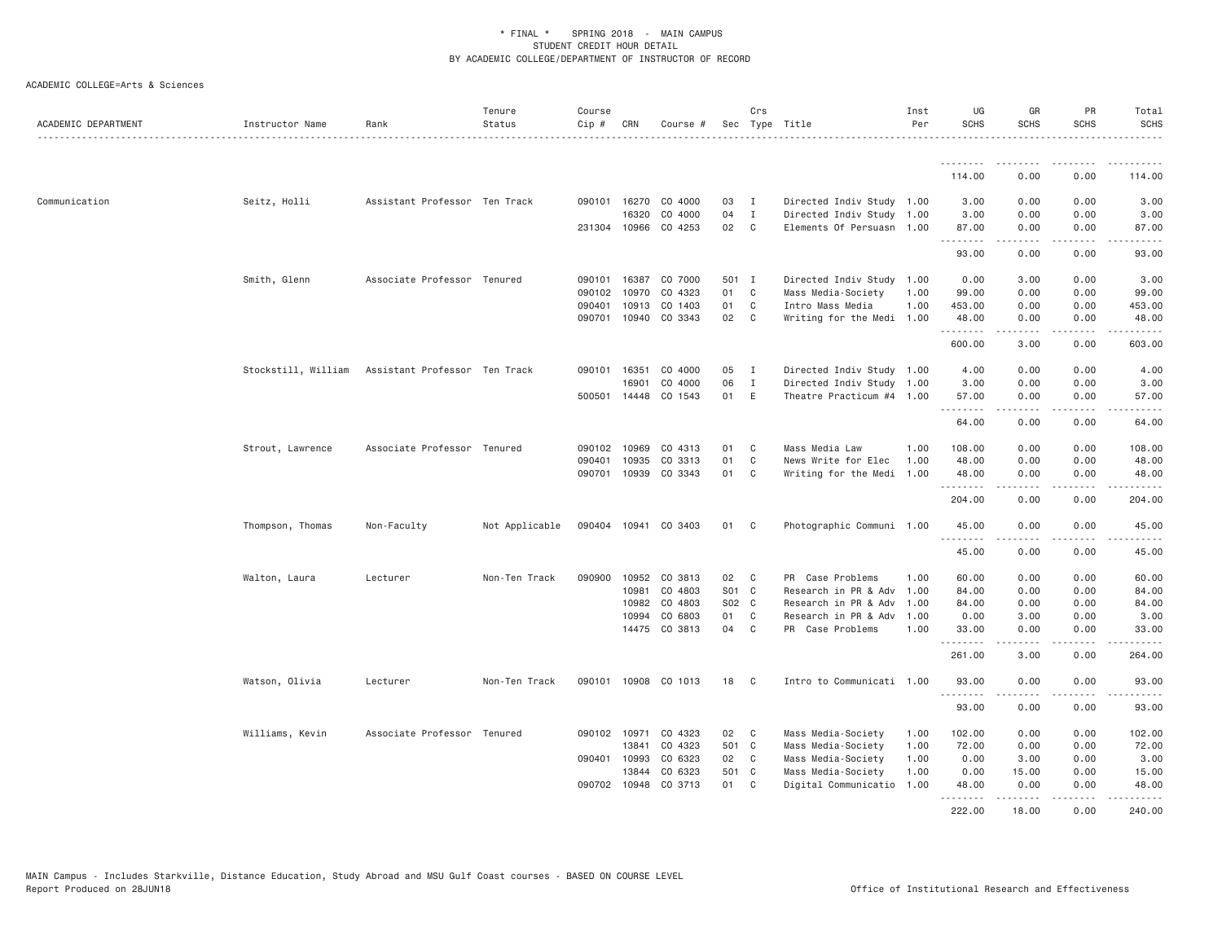| ACADEMIC DEPARTMENT | Instructor Name     | Rank                          | Tenure<br>Status | Course<br>Cip # | CRN          | Course #                        |          | Crs                          | Sec Type Title                                         | Inst<br>Per | UG<br><b>SCHS</b>        | GR<br><b>SCHS</b> | <b>PR</b><br><b>SCHS</b>                                                                                                          | Total<br><b>SCHS</b> |
|---------------------|---------------------|-------------------------------|------------------|-----------------|--------------|---------------------------------|----------|------------------------------|--------------------------------------------------------|-------------|--------------------------|-------------------|-----------------------------------------------------------------------------------------------------------------------------------|----------------------|
|                     |                     |                               |                  |                 |              |                                 |          |                              |                                                        |             | .<br>114.00              | .<br>0.00         | $\frac{1}{2} \left( \frac{1}{2} \right) \left( \frac{1}{2} \right) \left( \frac{1}{2} \right) \left( \frac{1}{2} \right)$<br>0.00 | 114.00               |
|                     |                     |                               |                  |                 |              |                                 |          |                              |                                                        |             |                          |                   |                                                                                                                                   |                      |
| Communication       | Seitz, Holli        | Assistant Professor Ten Track |                  | 090101          | 16270        | CO 4000                         | 03       | $\mathbf I$                  | Directed Indiv Study 1.00                              |             | 3.00                     | 0.00              | 0.00                                                                                                                              | 3.00                 |
|                     |                     |                               |                  |                 | 16320        | CO 4000<br>231304 10966 CO 4253 | 04<br>02 | $\mathbf{I}$<br>$\mathbf{C}$ | Directed Indiv Study 1.00<br>Elements Of Persuasn 1.00 |             | 3.00<br>87.00            | 0.00<br>0.00      | 0.00<br>0.00                                                                                                                      | 3.00<br>87.00        |
|                     |                     |                               |                  |                 |              |                                 |          |                              |                                                        |             | .                        |                   | $\sim$ $\sim$ $\sim$ $\sim$                                                                                                       |                      |
|                     |                     |                               |                  |                 |              |                                 |          |                              |                                                        |             | 93.00                    | 0.00              | 0.00                                                                                                                              | 93.00                |
|                     | Smith, Glenn        | Associate Professor Tenured   |                  | 090101          | 16387        | CO 7000                         | 501 I    |                              | Directed Indiv Study                                   | 1.00        | 0.00                     | 3.00              | 0.00                                                                                                                              | 3.00                 |
|                     |                     |                               |                  | 090102          | 10970        | CO 4323                         | 01       | C                            | Mass Media-Society                                     | 1.00        | 99.00                    | 0.00              | 0.00                                                                                                                              | 99.00                |
|                     |                     |                               |                  | 090401          | 10913        | CO 1403                         | 01       | C                            | Intro Mass Media                                       | 1.00        | 453.00                   | 0.00              | 0.00                                                                                                                              | 453.00               |
|                     |                     |                               |                  | 090701          | 10940        | CO 3343                         | 02       | $\mathbf{C}$                 | Writing for the Medi                                   | 1.00        | 48.00<br>.               | 0.00<br><u>.</u>  | 0.00<br>.                                                                                                                         | 48.00<br>.           |
|                     |                     |                               |                  |                 |              |                                 |          |                              |                                                        |             | 600.00                   | 3.00              | 0.00                                                                                                                              | 603.00               |
|                     | Stockstill, William | Assistant Professor Ten Track |                  | 090101          | 16351        | CO 4000                         | 05       | I                            | Directed Indiv Study 1.00                              |             | 4.00                     | 0.00              | 0.00                                                                                                                              | 4.00                 |
|                     |                     |                               |                  |                 | 16901        | CO 4000                         | 06       | $\mathbf{I}$                 | Directed Indiv Study 1.00                              |             | 3.00                     | 0.00              | 0.00                                                                                                                              | 3.00                 |
|                     |                     |                               |                  |                 | 500501 14448 | CO 1543                         | 01       | E                            | Theatre Practicum #4 1.00                              |             | 57.00<br>$- - - - - - -$ | 0.00              | 0.00                                                                                                                              | 57.00                |
|                     |                     |                               |                  |                 |              |                                 |          |                              |                                                        |             | 64.00                    | 0.00              | 0.00                                                                                                                              | 64.00                |
|                     | Strout, Lawrence    | Associate Professor Tenured   |                  | 090102          | 10969        | CO 4313                         | 01       | C                            | Mass Media Law                                         | 1.00        | 108.00                   | 0.00              | 0.00                                                                                                                              | 108.00               |
|                     |                     |                               |                  | 090401          | 10935        | CO 3313                         | 01       | $\mathbb C$                  | News Write for Elec                                    | 1.00        | 48.00                    | 0.00              | 0.00                                                                                                                              | 48.00                |
|                     |                     |                               |                  |                 | 090701 10939 | CO 3343                         | 01       | C                            | Writing for the Medi                                   | 1.00        | 48.00                    | 0.00              | 0.00                                                                                                                              | 48.00                |
|                     |                     |                               |                  |                 |              |                                 |          |                              |                                                        |             | .<br>204.00              | -----<br>0.00     | .<br>0.00                                                                                                                         | .<br>204.00          |
|                     | Thompson, Thomas    | Non-Faculty                   | Not Applicable   |                 |              | 090404 10941 CO 3403            | 01       | - C                          | Photographic Communi 1.00                              |             | 45.00                    | 0.00              | 0.00                                                                                                                              | 45.00                |
|                     |                     |                               |                  |                 |              |                                 |          |                              |                                                        |             | .<br>45.00               | 0.00              | 0.00                                                                                                                              | 45.00                |
|                     | Walton, Laura       | Lecturer                      | Non-Ten Track    | 090900          | 10952        | CO 3813                         | 02       | $\mathbf{C}$                 | PR Case Problems                                       | 1.00        | 60.00                    | 0.00              | 0.00                                                                                                                              | 60.00                |
|                     |                     |                               |                  |                 | 10981        | CO 4803                         | S01 C    |                              | Research in PR & Adv                                   | 1.00        | 84.00                    | 0.00              | 0.00                                                                                                                              | 84.00                |
|                     |                     |                               |                  |                 | 10982        | CO 4803                         | S02 C    |                              | Research in PR & Adv                                   | 1.00        | 84.00                    | 0.00              | 0.00                                                                                                                              | 84.00                |
|                     |                     |                               |                  |                 | 10994        | CO 6803                         | 01       | C                            | Research in PR & Adv                                   | 1.00        | 0.00                     | 3.00              | 0.00                                                                                                                              | 3.00                 |
|                     |                     |                               |                  |                 |              | 14475 CO 3813                   | 04       | C                            | PR Case Problems                                       | 1.00        | 33.00                    | 0.00              | 0.00                                                                                                                              | 33.00                |
|                     |                     |                               |                  |                 |              |                                 |          |                              |                                                        |             | .<br>261.00              | .<br>3.00         | لأعامل<br>0.00                                                                                                                    | .<br>264.00          |
|                     | Watson, Olivia      | Lecturer                      | Non-Ten Track    |                 |              | 090101 10908 CO 1013            | 18       | $\mathbf{C}$                 | Intro to Communicati 1.00                              |             | 93.00                    | 0.00              | 0.00                                                                                                                              | 93.00                |
|                     |                     |                               |                  |                 |              |                                 |          |                              |                                                        |             | .<br>93.00               | -----<br>0.00     | .<br>0.00                                                                                                                         | .<br>93.00           |
|                     | Williams, Kevin     | Associate Professor Tenured   |                  | 090102 10971    |              | CO 4323                         | 02       | C.                           | Mass Media-Society                                     | 1.00        | 102.00                   | 0.00              | 0.00                                                                                                                              | 102.00               |
|                     |                     |                               |                  |                 | 13841        | CO 4323                         | 501 C    |                              | Mass Media-Society                                     | 1.00        | 72.00                    | 0.00              | 0.00                                                                                                                              | 72.00                |
|                     |                     |                               |                  | 090401 10993    |              | CO 6323                         | 02       | $\mathbb{C}$                 | Mass Media-Society                                     | 1.00        | 0.00                     | 3.00              | 0.00                                                                                                                              | 3.00                 |
|                     |                     |                               |                  |                 | 13844        | CO 6323                         | 501 C    |                              | Mass Media-Society                                     | 1.00        | 0.00                     | 15.00             | 0.00                                                                                                                              | 15.00                |
|                     |                     |                               |                  |                 |              | 090702 10948 CO 3713            | 01 C     |                              | Digital Communicatio                                   | 1.00        | 48.00                    | 0.00              | 0.00                                                                                                                              | 48.00                |
|                     |                     |                               |                  |                 |              |                                 |          |                              |                                                        |             | . <u>.</u><br>222.00     | 18.00             | $\frac{1}{2}$<br>0.00                                                                                                             | 240.00               |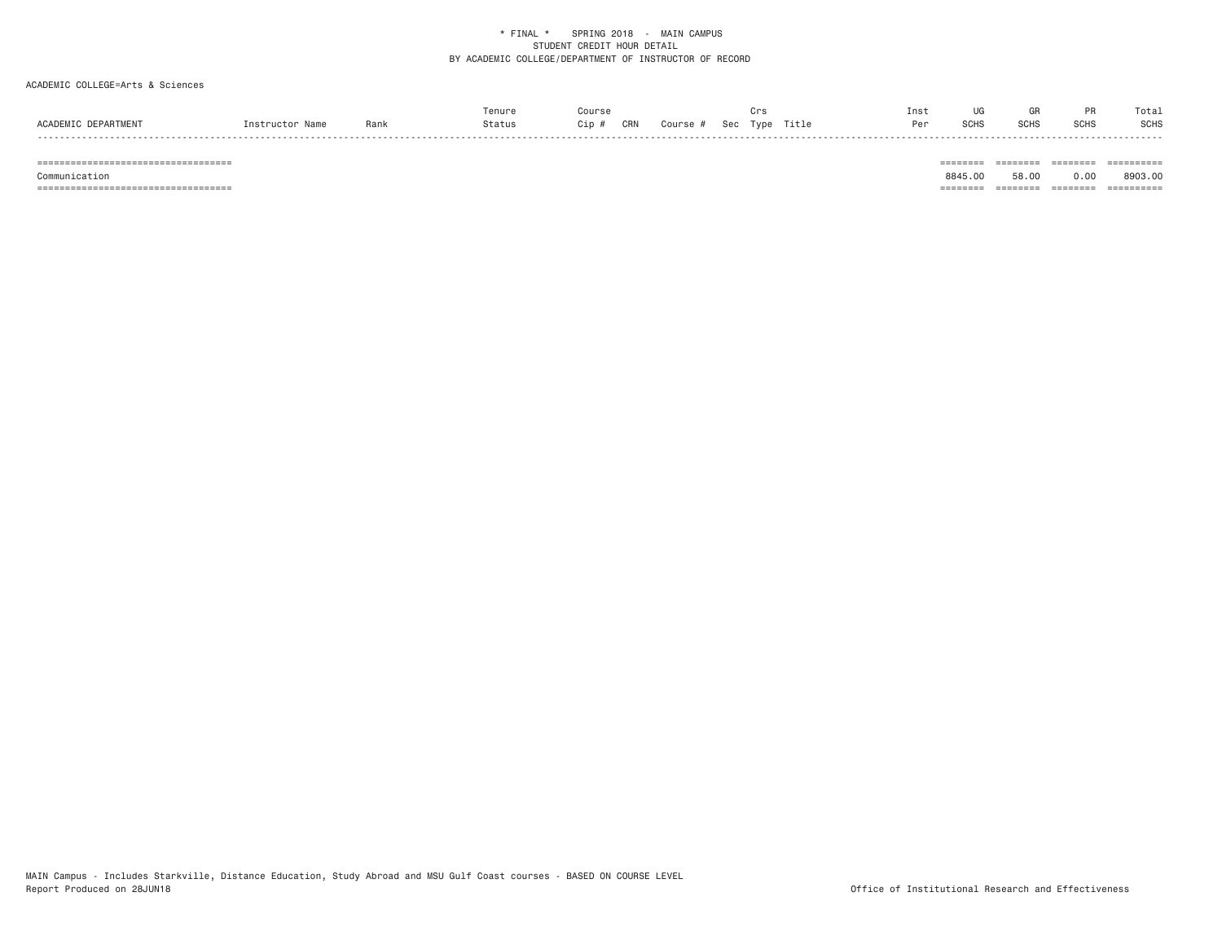#### ACADEMIC COLLEGE=Arts & Sciences

|                                                               | Tenure |                    |                      | ınsτ |      |              |              | Tota.       |
|---------------------------------------------------------------|--------|--------------------|----------------------|------|------|--------------|--------------|-------------|
| <b>DEPARTMENT</b><br>ACADEMIC.<br>Rank<br>nstruc <sup>-</sup> | Status | CRN<br>∴ourse<br>, | Title<br>Sec<br>Type | י ה  | ว∪⊓ง | COLL<br>ווטט | י ימ<br>ווטט | <b>SCHS</b> |

 =================================== ======== ======== ======== ========== Communication 8845.00 58.00 0.00 8903.00 =================================== ======== ======== ======== ==========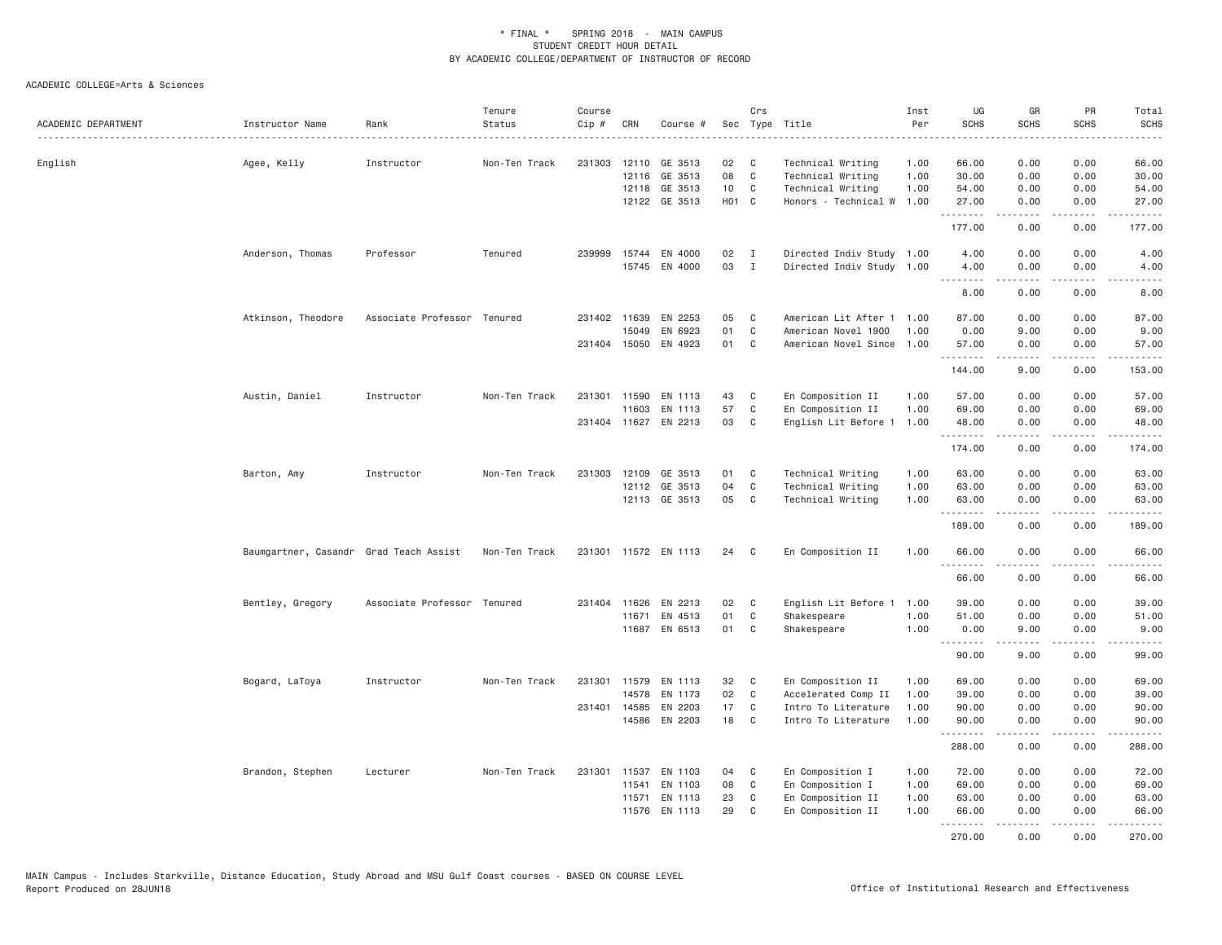| ACADEMIC DEPARTMENT | Instructor Name                        | Rank                        | Tenure<br>Status | Course<br>$Cip \#$ | CRN          | Course #             |       | Crs          | Sec Type Title            | Inst<br>Per | UG<br><b>SCHS</b> | GR<br><b>SCHS</b>                                                                                                                                            | PR<br><b>SCHS</b> | Total<br><b>SCHS</b>                                                                                                                                                                                                                                                                                                                                                                                  |
|---------------------|----------------------------------------|-----------------------------|------------------|--------------------|--------------|----------------------|-------|--------------|---------------------------|-------------|-------------------|--------------------------------------------------------------------------------------------------------------------------------------------------------------|-------------------|-------------------------------------------------------------------------------------------------------------------------------------------------------------------------------------------------------------------------------------------------------------------------------------------------------------------------------------------------------------------------------------------------------|
| English             | Agee, Kelly                            | Instructor                  | Non-Ten Track    |                    |              | 231303 12110 GE 3513 | 02    | $\mathbf{C}$ | Technical Writing         | 1.00        | 66.00             | 0.00                                                                                                                                                         | 0.00              | 66.00                                                                                                                                                                                                                                                                                                                                                                                                 |
|                     |                                        |                             |                  |                    | 12116        | GE 3513              | 08    | $\mathbb C$  | Technical Writing         | 1.00        | 30.00             | 0.00                                                                                                                                                         | 0.00              | 30.00                                                                                                                                                                                                                                                                                                                                                                                                 |
|                     |                                        |                             |                  |                    |              | 12118 GE 3513        | 10    | C            | Technical Writing         | 1.00        | 54.00             | 0.00                                                                                                                                                         | 0.00              | 54.00                                                                                                                                                                                                                                                                                                                                                                                                 |
|                     |                                        |                             |                  |                    |              | 12122 GE 3513        | H01 C |              | Honors - Technical W      | 1.00        | 27.00<br>.        | 0.00<br>.                                                                                                                                                    | 0.00<br>.         | 27.00<br>.                                                                                                                                                                                                                                                                                                                                                                                            |
|                     |                                        |                             |                  |                    |              |                      |       |              |                           |             | 177.00            | 0.00                                                                                                                                                         | 0.00              | 177.00                                                                                                                                                                                                                                                                                                                                                                                                |
|                     | Anderson, Thomas                       | Professor                   | Tenured          |                    |              | 239999 15744 EN 4000 | 02    | $\mathbf{I}$ | Directed Indiv Study 1.00 |             | 4.00              | 0.00                                                                                                                                                         | 0.00              | 4.00                                                                                                                                                                                                                                                                                                                                                                                                  |
|                     |                                        |                             |                  |                    |              | 15745 EN 4000        | 03    | $\mathbf{I}$ | Directed Indiv Study 1.00 |             | 4.00              | 0.00<br>$\frac{1}{2} \left( \frac{1}{2} \right) \left( \frac{1}{2} \right) \left( \frac{1}{2} \right) \left( \frac{1}{2} \right) \left( \frac{1}{2} \right)$ | 0.00<br>.         | 4.00<br>$\frac{1}{2} \left( \frac{1}{2} \right) \left( \frac{1}{2} \right) \left( \frac{1}{2} \right) \left( \frac{1}{2} \right)$                                                                                                                                                                                                                                                                     |
|                     |                                        |                             |                  |                    |              |                      |       |              |                           |             | 8.00              | 0.00                                                                                                                                                         | 0.00              | 8.00                                                                                                                                                                                                                                                                                                                                                                                                  |
|                     | Atkinson, Theodore                     | Associate Professor Tenured |                  |                    | 231402 11639 | EN 2253              | 05    | C            | American Lit After 1 1.00 |             | 87.00             | 0.00                                                                                                                                                         | 0.00              | 87.00                                                                                                                                                                                                                                                                                                                                                                                                 |
|                     |                                        |                             |                  |                    | 15049        | EN 6923              | 01    | C            | American Novel 1900       | 1.00        | 0.00              | 9.00                                                                                                                                                         | 0.00              | 9.00                                                                                                                                                                                                                                                                                                                                                                                                  |
|                     |                                        |                             |                  |                    |              | 231404 15050 EN 4923 | 01    | C            | American Novel Since 1.00 |             | 57.00             | 0.00<br>.                                                                                                                                                    | 0.00<br>لأعامل    | 57.00<br>$\frac{1}{2} \frac{1}{2} \frac{1}{2} \frac{1}{2} \frac{1}{2} \frac{1}{2} \frac{1}{2} \frac{1}{2} \frac{1}{2} \frac{1}{2} \frac{1}{2} \frac{1}{2} \frac{1}{2} \frac{1}{2} \frac{1}{2} \frac{1}{2} \frac{1}{2} \frac{1}{2} \frac{1}{2} \frac{1}{2} \frac{1}{2} \frac{1}{2} \frac{1}{2} \frac{1}{2} \frac{1}{2} \frac{1}{2} \frac{1}{2} \frac{1}{2} \frac{1}{2} \frac{1}{2} \frac{1}{2} \frac{$ |
|                     |                                        |                             |                  |                    |              |                      |       |              |                           |             | 144.00            | 9.00                                                                                                                                                         | 0.00              | 153.00                                                                                                                                                                                                                                                                                                                                                                                                |
|                     | Austin, Daniel                         | Instructor                  | Non-Ten Track    |                    |              | 231301 11590 EN 1113 | 43    | C            | En Composition II         | 1.00        | 57.00             | 0.00                                                                                                                                                         | 0.00              | 57.00                                                                                                                                                                                                                                                                                                                                                                                                 |
|                     |                                        |                             |                  |                    | 11603        | EN 1113              | 57    | C            | En Composition II         | 1.00        | 69.00             | 0.00                                                                                                                                                         | 0.00              | 69.00                                                                                                                                                                                                                                                                                                                                                                                                 |
|                     |                                        |                             |                  |                    |              | 231404 11627 EN 2213 | 03    | C            | English Lit Before 1      | 1.00        | 48.00             | 0.00<br><b>.</b>                                                                                                                                             | 0.00<br>.         | 48.00<br>$- - - - - -$                                                                                                                                                                                                                                                                                                                                                                                |
|                     |                                        |                             |                  |                    |              |                      |       |              |                           |             | 174.00            | 0.00                                                                                                                                                         | 0.00              | 174.00                                                                                                                                                                                                                                                                                                                                                                                                |
|                     | Barton, Amy                            | Instructor                  | Non-Ten Track    |                    |              | 231303 12109 GE 3513 | 01    | C.           | Technical Writing         | 1.00        | 63.00             | 0.00                                                                                                                                                         | 0.00              | 63.00                                                                                                                                                                                                                                                                                                                                                                                                 |
|                     |                                        |                             |                  |                    |              | 12112 GE 3513        | 04    | C            | Technical Writing         | 1.00        | 63.00             | 0.00                                                                                                                                                         | 0.00              | 63.00                                                                                                                                                                                                                                                                                                                                                                                                 |
|                     |                                        |                             |                  |                    |              | 12113 GE 3513        | 05    | C            | Technical Writing         | 1.00        | 63.00<br>.        | 0.00<br>-----                                                                                                                                                | 0.00              | 63.00<br>.                                                                                                                                                                                                                                                                                                                                                                                            |
|                     |                                        |                             |                  |                    |              |                      |       |              |                           |             | 189.00            | 0.00                                                                                                                                                         | 0.00              | 189.00                                                                                                                                                                                                                                                                                                                                                                                                |
|                     | Baumgartner, Casandr Grad Teach Assist |                             | Non-Ten Track    |                    |              | 231301 11572 EN 1113 | 24    | C            | En Composition II         | 1.00        | 66.00             | 0.00                                                                                                                                                         | 0.00              | 66.00                                                                                                                                                                                                                                                                                                                                                                                                 |
|                     |                                        |                             |                  |                    |              |                      |       |              |                           |             | 66.00             | 0.00                                                                                                                                                         | 0.00              | 66.00                                                                                                                                                                                                                                                                                                                                                                                                 |
|                     | Bentley, Gregory                       | Associate Professor Tenured |                  |                    | 231404 11626 | EN 2213              | 02    | $\mathbf{C}$ | English Lit Before 1      | 1.00        | 39.00             | 0.00                                                                                                                                                         | 0.00              | 39.00                                                                                                                                                                                                                                                                                                                                                                                                 |
|                     |                                        |                             |                  |                    | 11671        | EN 4513              | 01    | C            | Shakespeare               | 1.00        | 51.00             | 0.00                                                                                                                                                         | 0.00              | 51.00                                                                                                                                                                                                                                                                                                                                                                                                 |
|                     |                                        |                             |                  |                    |              | 11687 EN 6513        | 01    | C            | Shakespeare               | 1.00        | 0.00              | 9.00<br>$\frac{1}{2} \left( \frac{1}{2} \right) \left( \frac{1}{2} \right) \left( \frac{1}{2} \right) \left( \frac{1}{2} \right) \left( \frac{1}{2} \right)$ | 0.00<br>.         | 9.00<br>.                                                                                                                                                                                                                                                                                                                                                                                             |
|                     |                                        |                             |                  |                    |              |                      |       |              |                           |             | 90.00             | 9.00                                                                                                                                                         | 0.00              | 99.00                                                                                                                                                                                                                                                                                                                                                                                                 |
|                     | Bogard, LaToya                         | Instructor                  | Non-Ten Track    |                    |              | 231301 11579 EN 1113 | 32    | C            | En Composition II         | 1.00        | 69.00             | 0.00                                                                                                                                                         | 0.00              | 69.00                                                                                                                                                                                                                                                                                                                                                                                                 |
|                     |                                        |                             |                  |                    | 14578        | EN 1173              | 02    | $\mathbb C$  | Accelerated Comp II       | 1.00        | 39.00             | 0.00                                                                                                                                                         | 0.00              | 39.00                                                                                                                                                                                                                                                                                                                                                                                                 |
|                     |                                        |                             |                  |                    | 231401 14585 | EN 2203              | 17    | C            | Intro To Literature       | 1.00        | 90.00             | 0.00                                                                                                                                                         | 0.00              | 90.00                                                                                                                                                                                                                                                                                                                                                                                                 |
|                     |                                        |                             |                  |                    |              | 14586 EN 2203        | 18    | C            | Intro To Literature       | 1.00        | 90.00<br>.        | 0.00                                                                                                                                                         | 0.00              | 90.00                                                                                                                                                                                                                                                                                                                                                                                                 |
|                     |                                        |                             |                  |                    |              |                      |       |              |                           |             | 288.00            | 0.00                                                                                                                                                         | 0.00              | 288.00                                                                                                                                                                                                                                                                                                                                                                                                |
|                     | Brandon, Stephen                       | Lecturer                    | Non-Ten Track    |                    |              | 231301 11537 EN 1103 | 04    | C            | En Composition I          | 1.00        | 72.00             | 0.00                                                                                                                                                         | 0.00              | 72.00                                                                                                                                                                                                                                                                                                                                                                                                 |
|                     |                                        |                             |                  |                    | 11541        | EN 1103              | 08    | C            | En Composition I          | 1.00        | 69.00             | 0.00                                                                                                                                                         | 0.00              | 69.00                                                                                                                                                                                                                                                                                                                                                                                                 |
|                     |                                        |                             |                  |                    | 11571        | EN 1113              | 23    | C            | En Composition II         | 1.00        | 63.00             | 0.00                                                                                                                                                         | 0.00              | 63.00                                                                                                                                                                                                                                                                                                                                                                                                 |
|                     |                                        |                             |                  |                    |              | 11576 EN 1113        | 29    | C            | En Composition II         | 1.00        | 66.00<br>.        | 0.00<br>.                                                                                                                                                    | 0.00<br>-----     | 66.00<br>$- - - - - -$                                                                                                                                                                                                                                                                                                                                                                                |
|                     |                                        |                             |                  |                    |              |                      |       |              |                           |             | 270.00            | 0.00                                                                                                                                                         | 0.00              | 270.00                                                                                                                                                                                                                                                                                                                                                                                                |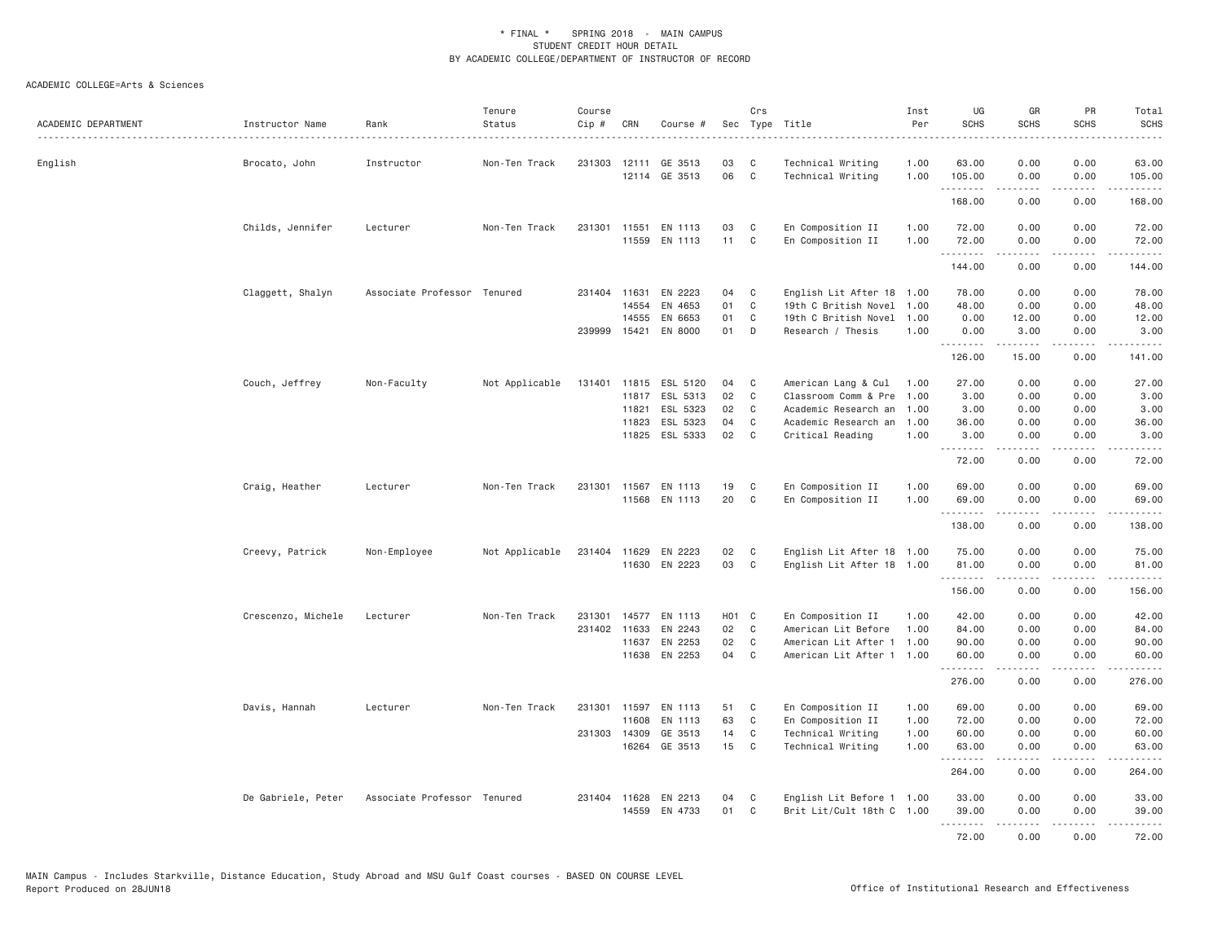| ACADEMIC DEPARTMENT | Instructor Name    | Rank<br>.                   | Tenure<br>Status | Course<br>$Cip$ # | CRN          | Course #             |       | Crs            | Sec Type Title<br>.       | Inst<br>Per<br>$- - - - -$ | UG<br><b>SCHS</b>   | GR<br><b>SCHS</b>                                                                                                                                            | PR<br><b>SCHS</b><br>. | Total<br><b>SCHS</b><br>. |
|---------------------|--------------------|-----------------------------|------------------|-------------------|--------------|----------------------|-------|----------------|---------------------------|----------------------------|---------------------|--------------------------------------------------------------------------------------------------------------------------------------------------------------|------------------------|---------------------------|
| English             | Brocato, John      | Instructor                  | Non-Ten Track    | 231303            | 12111        | GE 3513              | 03    | C              | Technical Writing         | 1.00                       | 63.00               | 0.00                                                                                                                                                         | 0.00                   | 63.00                     |
|                     |                    |                             |                  |                   |              | 12114 GE 3513        | 06    | $\mathbf{C}$   | Technical Writing         | 1.00                       | 105.00<br>.         | 0.00<br>.                                                                                                                                                    | 0.00<br>.              | 105.00<br><u>.</u>        |
|                     |                    |                             |                  |                   |              |                      |       |                |                           |                            | 168.00              | 0.00                                                                                                                                                         | 0.00                   | 168.00                    |
|                     | Childs, Jennifer   | Lecturer                    | Non-Ten Track    | 231301            | 11551        | EN 1113              | 03    | C              | En Composition II         | 1.00                       | 72.00               | 0.00                                                                                                                                                         | 0.00                   | 72.00                     |
|                     |                    |                             |                  |                   |              | 11559 EN 1113        | 11    | $\mathbf{C}$   | En Composition II         | 1.00                       | 72.00<br>.          | 0.00                                                                                                                                                         | 0.00<br>.              | 72.00<br><u>.</u>         |
|                     |                    |                             |                  |                   |              |                      |       |                |                           |                            | 144.00              | 0.00                                                                                                                                                         | 0.00                   | 144.00                    |
|                     | Claggett, Shalyn   | Associate Professor Tenured |                  |                   | 231404 11631 | EN 2223              | 04    | C              | English Lit After 18 1.00 |                            | 78.00               | 0.00                                                                                                                                                         | 0.00                   | 78.00                     |
|                     |                    |                             |                  |                   | 14554        | EN 4653              | 01    | $\mathbf c$    | 19th C British Novel      | 1,00                       | 48.00               | 0.00                                                                                                                                                         | 0.00                   | 48.00                     |
|                     |                    |                             |                  |                   | 14555        | EN 6653              | 01    | C              | 19th C British Novel      | 1.00                       | 0.00                | 12.00                                                                                                                                                        | 0.00                   | 12.00                     |
|                     |                    |                             |                  | 239999            | 15421        | EN 8000              | 01    | D              | Research / Thesis         | 1,00                       | 0.00<br>.           | 3.00<br>.                                                                                                                                                    | 0.00<br>.              | 3.00<br>. <u>.</u> .      |
|                     |                    |                             |                  |                   |              |                      |       |                |                           |                            | 126.00              | 15.00                                                                                                                                                        | 0.00                   | 141.00                    |
|                     | Couch, Jeffrey     | Non-Faculty                 | Not Applicable   | 131401            |              | 11815 ESL 5120       | 04    | C              | American Lang & Cul       | 1.00                       | 27.00               | 0.00                                                                                                                                                         | 0.00                   | 27.00                     |
|                     |                    |                             |                  |                   | 11817        | ESL 5313             | 02    | $\mathbf c$    | Classroom Comm & Pre      | 1.00                       | 3.00                | 0.00                                                                                                                                                         | 0.00                   | 3.00                      |
|                     |                    |                             |                  |                   | 11821        | ESL 5323             | 02    | C              | Academic Research an 1.00 |                            | 3.00                | 0.00                                                                                                                                                         | 0.00                   | 3.00                      |
|                     |                    |                             |                  |                   | 11823        | ESL 5323             | 04    | C              | Academic Research an 1.00 |                            | 36.00               | 0.00                                                                                                                                                         | 0.00                   | 36.00                     |
|                     |                    |                             |                  |                   | 11825        | ESL 5333             | 02    | $\mathsf{C}$   | Critical Reading          | 1.00                       | 3.00<br>.           | 0.00<br>.                                                                                                                                                    | 0.00<br>د د د د        | 3.00<br>.                 |
|                     |                    |                             |                  |                   |              |                      |       |                |                           |                            | 72.00               | 0.00                                                                                                                                                         | 0.00                   | 72.00                     |
|                     | Craig, Heather     | Lecturer                    | Non-Ten Track    | 231301            | 11567        | EN 1113              | 19    | C              | En Composition II         | 1.00                       | 69.00               | 0.00                                                                                                                                                         | 0.00                   | 69.00                     |
|                     |                    |                             |                  |                   |              | 11568 EN 1113        | 20    | C              | En Composition II         | 1.00                       | 69.00               | 0.00<br>.                                                                                                                                                    | 0.00<br>.              | 69.00<br>.                |
|                     |                    |                             |                  |                   |              |                      |       |                |                           |                            | 138.00              | 0.00                                                                                                                                                         | 0.00                   | 138.00                    |
|                     | Creevy, Patrick    | Non-Employee                | Not Applicable   |                   | 231404 11629 | EN 2223              | 02    | C              | English Lit After 18 1.00 |                            | 75.00               | 0.00                                                                                                                                                         | 0.00                   | 75.00                     |
|                     |                    |                             |                  |                   | 11630        | EN 2223              | 03    | C              | English Lit After 18 1.00 |                            | 81.00               | 0.00                                                                                                                                                         | 0.00                   | 81.00                     |
|                     |                    |                             |                  |                   |              |                      |       |                |                           |                            | .<br>156.00         | <b>.</b><br>0.00                                                                                                                                             | .<br>0.00              | .<br>156.00               |
|                     | Crescenzo, Michele | Lecturer                    | Non-Ten Track    | 231301            | 14577        | EN 1113              | H01 C |                | En Composition II         | 1.00                       | 42.00               | 0.00                                                                                                                                                         | 0.00                   | 42.00                     |
|                     |                    |                             |                  |                   | 231402 11633 | EN 2243              | 02    | C              | American Lit Before       | 1.00                       | 84.00               | 0.00                                                                                                                                                         | 0.00                   | 84.00                     |
|                     |                    |                             |                  |                   | 11637        | EN 2253              | 02    | C              | American Lit After 1 1.00 |                            | 90.00               | 0.00                                                                                                                                                         | 0.00                   | 90.00                     |
|                     |                    |                             |                  |                   |              | 11638 EN 2253        | 04    | C <sub>1</sub> | American Lit After 1 1.00 |                            | 60.00<br>. <b>.</b> | 0.00                                                                                                                                                         | 0.00                   | 60.00                     |
|                     |                    |                             |                  |                   |              |                      |       |                |                           |                            | 276.00              | 0.00                                                                                                                                                         | 0.00                   | .<br>276.00               |
|                     | Davis, Hannah      | Lecturer                    | Non-Ten Track    |                   |              | 231301 11597 EN 1113 | 51    | C              | En Composition II         | 1.00                       | 69.00               | 0.00                                                                                                                                                         | 0.00                   | 69.00                     |
|                     |                    |                             |                  |                   | 11608        | EN 1113              | 63    | C              | En Composition II         | 1.00                       | 72.00               | 0.00                                                                                                                                                         | 0.00                   | 72.00                     |
|                     |                    |                             |                  | 231303            | 14309        | GE 3513              | 14    | C              | Technical Writing         | 1.00                       | 60.00               | 0.00                                                                                                                                                         | 0.00                   | 60.00                     |
|                     |                    |                             |                  |                   |              | 16264 GE 3513        | 15    | C              | Technical Writing         | 1.00                       | 63.00<br>.          | 0.00<br>.                                                                                                                                                    | 0.00<br>.              | 63.00                     |
|                     |                    |                             |                  |                   |              |                      |       |                |                           |                            | 264.00              | 0.00                                                                                                                                                         | 0.00                   | 264.00                    |
|                     | De Gabriele, Peter | Associate Professor Tenured |                  |                   | 231404 11628 | EN 2213              | 04    | C              | English Lit Before 1 1.00 |                            | 33.00               | 0.00                                                                                                                                                         | 0.00                   | 33.00                     |
|                     |                    |                             |                  |                   | 14559        | EN 4733              | 01    | C              | Brit Lit/Cult 18th C 1.00 |                            | 39,00               | 0.00                                                                                                                                                         | 0.00                   | 39,00                     |
|                     |                    |                             |                  |                   |              |                      |       |                |                           |                            | 72.00               | $\frac{1}{2} \left( \frac{1}{2} \right) \left( \frac{1}{2} \right) \left( \frac{1}{2} \right) \left( \frac{1}{2} \right) \left( \frac{1}{2} \right)$<br>0.00 | .<br>0.00              | .<br>72.00                |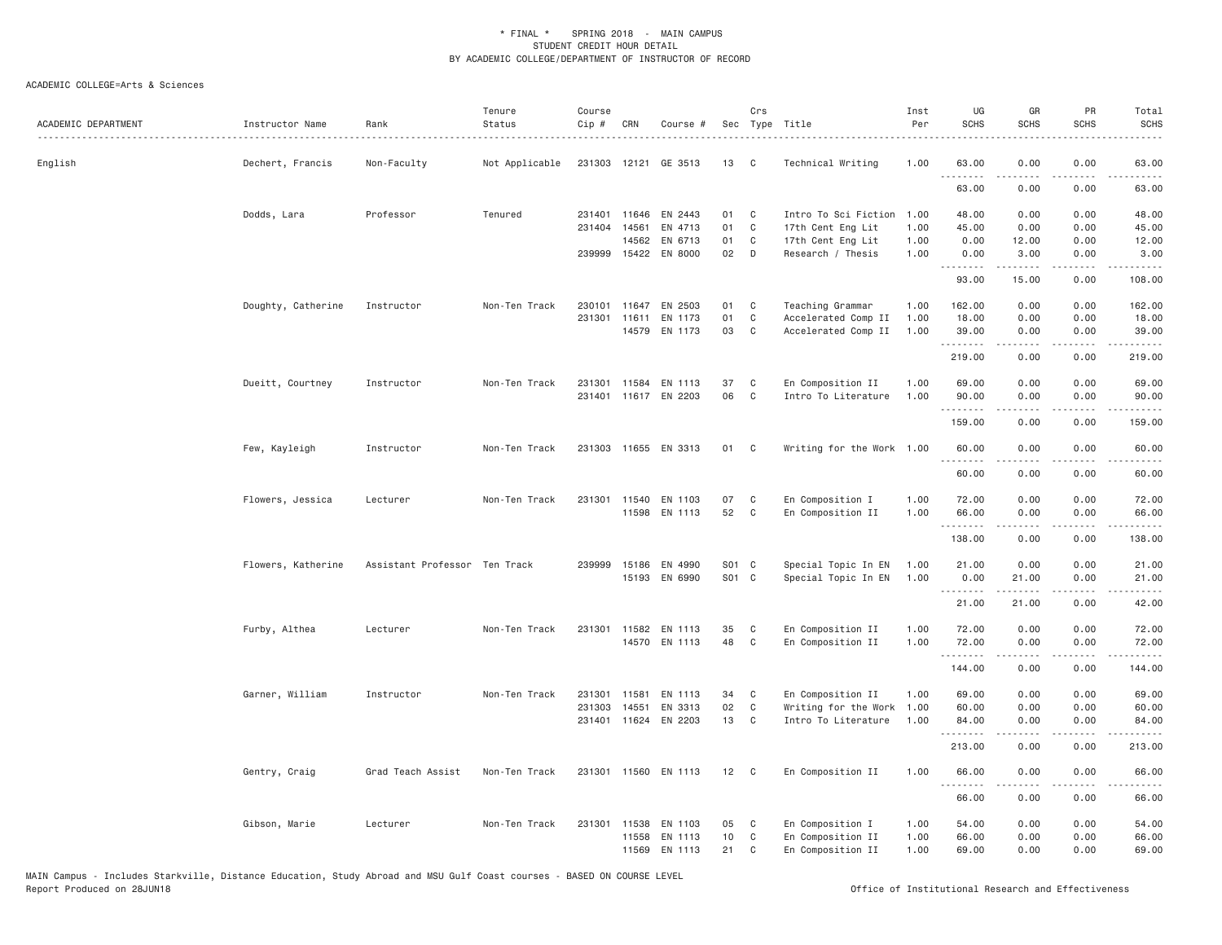| ACADEMIC DEPARTMENT | Instructor Name    | Rank                          | Tenure<br>Status | Course<br>Cip # | CRN          | Course #             |       | Crs          | Sec Type Title            | Inst<br>Per | UG<br><b>SCHS</b> | GR<br><b>SCHS</b>                                                                                                                                                                                                                                                                                                                            | PR<br><b>SCHS</b>                   | Total<br><b>SCHS</b>                                                                                                               |
|---------------------|--------------------|-------------------------------|------------------|-----------------|--------------|----------------------|-------|--------------|---------------------------|-------------|-------------------|----------------------------------------------------------------------------------------------------------------------------------------------------------------------------------------------------------------------------------------------------------------------------------------------------------------------------------------------|-------------------------------------|------------------------------------------------------------------------------------------------------------------------------------|
| English             | Dechert, Francis   | Non-Faculty                   | Not Applicable   |                 |              | 231303 12121 GE 3513 | 13    | C.           | Technical Writing         | 1.00        | 63,00<br>.        | 0.00                                                                                                                                                                                                                                                                                                                                         | 0.00                                | 63.00                                                                                                                              |
|                     |                    |                               |                  |                 |              |                      |       |              |                           |             | 63.00             | 0.00                                                                                                                                                                                                                                                                                                                                         | 0.00                                | 63.00                                                                                                                              |
|                     | Dodds, Lara        | Professor                     | Tenured          |                 | 231401 11646 | EN 2443              | 01    | C            | Intro To Sci Fiction      | 1.00        | 48.00             | 0.00                                                                                                                                                                                                                                                                                                                                         | 0.00                                | 48.00                                                                                                                              |
|                     |                    |                               |                  | 231404          | 14561        | EN 4713              | 01    | C            | 17th Cent Eng Lit         | 1.00        | 45.00             | 0.00                                                                                                                                                                                                                                                                                                                                         | 0.00                                | 45.00                                                                                                                              |
|                     |                    |                               |                  |                 | 14562        | EN 6713              | 01    | C            | 17th Cent Eng Lit         | 1.00        | 0.00              | 12.00                                                                                                                                                                                                                                                                                                                                        | 0.00                                | 12.00                                                                                                                              |
|                     |                    |                               |                  |                 |              | 239999 15422 EN 8000 | 02    | $\Box$       | Research / Thesis         | 1.00        | 0.00<br>.         | 3.00<br>$\frac{1}{2} \left( \frac{1}{2} \right) \left( \frac{1}{2} \right) \left( \frac{1}{2} \right) \left( \frac{1}{2} \right) \left( \frac{1}{2} \right)$                                                                                                                                                                                 | 0.00<br>.                           | 3.00<br>.                                                                                                                          |
|                     |                    |                               |                  |                 |              |                      |       |              |                           |             | 93.00             | 15.00                                                                                                                                                                                                                                                                                                                                        | 0.00                                | 108.00                                                                                                                             |
|                     | Doughty, Catherine | Instructor                    | Non-Ten Track    | 230101          | 11647        | EN 2503              | 01    | C            | Teaching Grammar          | 1.00        | 162.00            | 0.00                                                                                                                                                                                                                                                                                                                                         | 0.00                                | 162.00                                                                                                                             |
|                     |                    |                               |                  |                 | 231301 11611 | EN 1173              | 01    | C            | Accelerated Comp II       | 1.00        | 18.00             | 0.00                                                                                                                                                                                                                                                                                                                                         | 0.00                                | 18.00                                                                                                                              |
|                     |                    |                               |                  |                 |              | 14579 EN 1173        | 03    | C            | Accelerated Comp II       | 1.00        | 39.00<br>.        | 0.00<br>. <b>.</b>                                                                                                                                                                                                                                                                                                                           | 0.00<br>.                           | 39.00<br>.                                                                                                                         |
|                     |                    |                               |                  |                 |              |                      |       |              |                           |             | 219.00            | 0.00                                                                                                                                                                                                                                                                                                                                         | 0.00                                | 219.00                                                                                                                             |
|                     | Dueitt, Courtney   | Instructor                    | Non-Ten Track    |                 | 231301 11584 | EN 1113              | 37    | C            | En Composition II         | 1.00        | 69.00             | 0.00                                                                                                                                                                                                                                                                                                                                         | 0.00                                | 69.00                                                                                                                              |
|                     |                    |                               |                  |                 |              | 231401 11617 EN 2203 | 06    | C            | Intro To Literature       | 1.00        | 90.00<br>.        | 0.00<br>$\frac{1}{2} \left( \begin{array}{ccc} 1 & 0 & 0 & 0 \\ 0 & 0 & 0 & 0 \\ 0 & 0 & 0 & 0 \\ 0 & 0 & 0 & 0 \\ 0 & 0 & 0 & 0 \\ 0 & 0 & 0 & 0 \\ 0 & 0 & 0 & 0 \\ 0 & 0 & 0 & 0 \\ 0 & 0 & 0 & 0 \\ 0 & 0 & 0 & 0 \\ 0 & 0 & 0 & 0 & 0 \\ 0 & 0 & 0 & 0 & 0 \\ 0 & 0 & 0 & 0 & 0 \\ 0 & 0 & 0 & 0 & 0 \\ 0 & 0 & 0 & 0 & 0 \\ 0 & 0 & 0$ | 0.00<br>$\sim$ $\sim$ $\sim$ $\sim$ | 90.00<br>.                                                                                                                         |
|                     |                    |                               |                  |                 |              |                      |       |              |                           |             | 159.00            | 0.00                                                                                                                                                                                                                                                                                                                                         | 0.00                                | 159.00                                                                                                                             |
|                     | Few, Kayleigh      | Instructor                    | Non-Ten Track    |                 |              | 231303 11655 EN 3313 | 01    | $\mathbf{C}$ | Writing for the Work 1.00 |             | 60.00             | 0.00                                                                                                                                                                                                                                                                                                                                         | 0.00                                | 60.00                                                                                                                              |
|                     |                    |                               |                  |                 |              |                      |       |              |                           |             | .<br>60.00        | .<br>0.00                                                                                                                                                                                                                                                                                                                                    | $- - - -$<br>0.00                   | $\frac{1}{2} \left( \frac{1}{2} \right) \left( \frac{1}{2} \right) \left( \frac{1}{2} \right) \left( \frac{1}{2} \right)$<br>60.00 |
|                     | Flowers, Jessica   | Lecturer                      | Non-Ten Track    |                 |              | 231301 11540 EN 1103 | 07    | C            | En Composition I          | 1.00        | 72.00             | 0.00                                                                                                                                                                                                                                                                                                                                         | 0.00                                | 72.00                                                                                                                              |
|                     |                    |                               |                  |                 | 11598        | EN 1113              | 52    | C            | En Composition II         | 1.00        | 66.00<br>.        | 0.00<br>$\frac{1}{2} \left( \frac{1}{2} \right) \left( \frac{1}{2} \right) \left( \frac{1}{2} \right) \left( \frac{1}{2} \right) \left( \frac{1}{2} \right) \left( \frac{1}{2} \right)$                                                                                                                                                      | 0.00<br>.                           | 66.00<br>.                                                                                                                         |
|                     |                    |                               |                  |                 |              |                      |       |              |                           |             | 138.00            | 0.00                                                                                                                                                                                                                                                                                                                                         | 0.00                                | 138.00                                                                                                                             |
|                     | Flowers, Katherine | Assistant Professor Ten Track |                  | 239999          | 15186        | EN 4990              | S01 C |              | Special Topic In EN       | 1.00        | 21.00             | 0.00                                                                                                                                                                                                                                                                                                                                         | 0.00                                | 21.00                                                                                                                              |
|                     |                    |                               |                  |                 |              | 15193 EN 6990        | S01 C |              | Special Topic In EN       | 1.00        | 0.00              | 21.00                                                                                                                                                                                                                                                                                                                                        | 0.00                                | 21.00                                                                                                                              |
|                     |                    |                               |                  |                 |              |                      |       |              |                           |             | .<br>21.00        | المتمامين<br>21.00                                                                                                                                                                                                                                                                                                                           | .<br>0.00                           | .<br>42.00                                                                                                                         |
|                     | Furby, Althea      | Lecturer                      | Non-Ten Track    |                 | 231301 11582 | EN 1113              | 35    | C            | En Composition II         | 1.00        | 72.00             | 0.00                                                                                                                                                                                                                                                                                                                                         | 0.00                                | 72.00                                                                                                                              |
|                     |                    |                               |                  |                 |              | 14570 EN 1113        | 48    | $\mathsf{C}$ | En Composition II         | 1.00        | 72.00             | 0.00                                                                                                                                                                                                                                                                                                                                         | 0.00                                | 72.00                                                                                                                              |
|                     |                    |                               |                  |                 |              |                      |       |              |                           |             | .<br>144.00       | $\sim$ $\sim$ $\sim$ $\sim$ $\sim$<br>0.00                                                                                                                                                                                                                                                                                                   | .<br>0.00                           | .<br>144.00                                                                                                                        |
|                     | Garner, William    | Instructor                    | Non-Ten Track    | 231301          | 11581        | EN 1113              | 34    | C            | En Composition II         | 1.00        | 69.00             | 0.00                                                                                                                                                                                                                                                                                                                                         | 0.00                                | 69.00                                                                                                                              |
|                     |                    |                               |                  | 231303          | 14551        | EN 3313              | 02    | C            | Writing for the Work      | 1.00        | 60.00             | 0.00                                                                                                                                                                                                                                                                                                                                         | 0.00                                | 60.00                                                                                                                              |
|                     |                    |                               |                  |                 |              | 231401 11624 EN 2203 | 13    | C            | Intro To Literature       | 1.00        | 84.00<br>.        | 0.00<br>-----                                                                                                                                                                                                                                                                                                                                | 0.00<br>$\sim$ $\sim$ $\sim$        | 84.00<br>.                                                                                                                         |
|                     |                    |                               |                  |                 |              |                      |       |              |                           |             | 213.00            | 0.00                                                                                                                                                                                                                                                                                                                                         | 0.00                                | 213.00                                                                                                                             |
|                     | Gentry, Craig      | Grad Teach Assist             | Non-Ten Track    |                 |              | 231301 11560 EN 1113 | 12    | $\mathbf{C}$ | En Composition II         | 1.00        | 66,00             | 0.00                                                                                                                                                                                                                                                                                                                                         | 0.00                                | 66.00                                                                                                                              |
|                     |                    |                               |                  |                 |              |                      |       |              |                           |             | .<br>66.00        | $\frac{1}{2} \left( \frac{1}{2} \right) \left( \frac{1}{2} \right) \left( \frac{1}{2} \right) \left( \frac{1}{2} \right) \left( \frac{1}{2} \right) \left( \frac{1}{2} \right)$<br>0.00                                                                                                                                                      | .<br>0.00                           | .<br>66.00                                                                                                                         |
|                     | Gibson, Marie      | Lecturer                      | Non-Ten Track    |                 | 231301 11538 | EN 1103              | 05    | C            | En Composition I          | 1.00        | 54.00             | 0.00                                                                                                                                                                                                                                                                                                                                         | 0.00                                | 54.00                                                                                                                              |
|                     |                    |                               |                  |                 | 11558        | EN 1113              | 10    | C            | En Composition II         | 1.00        | 66.00             | 0.00                                                                                                                                                                                                                                                                                                                                         | 0.00                                | 66.00                                                                                                                              |
|                     |                    |                               |                  |                 | 11569        | EN 1113              | 21    | C            | En Composition II         | 1.00        | 69.00             | 0.00                                                                                                                                                                                                                                                                                                                                         | 0.00                                | 69.00                                                                                                                              |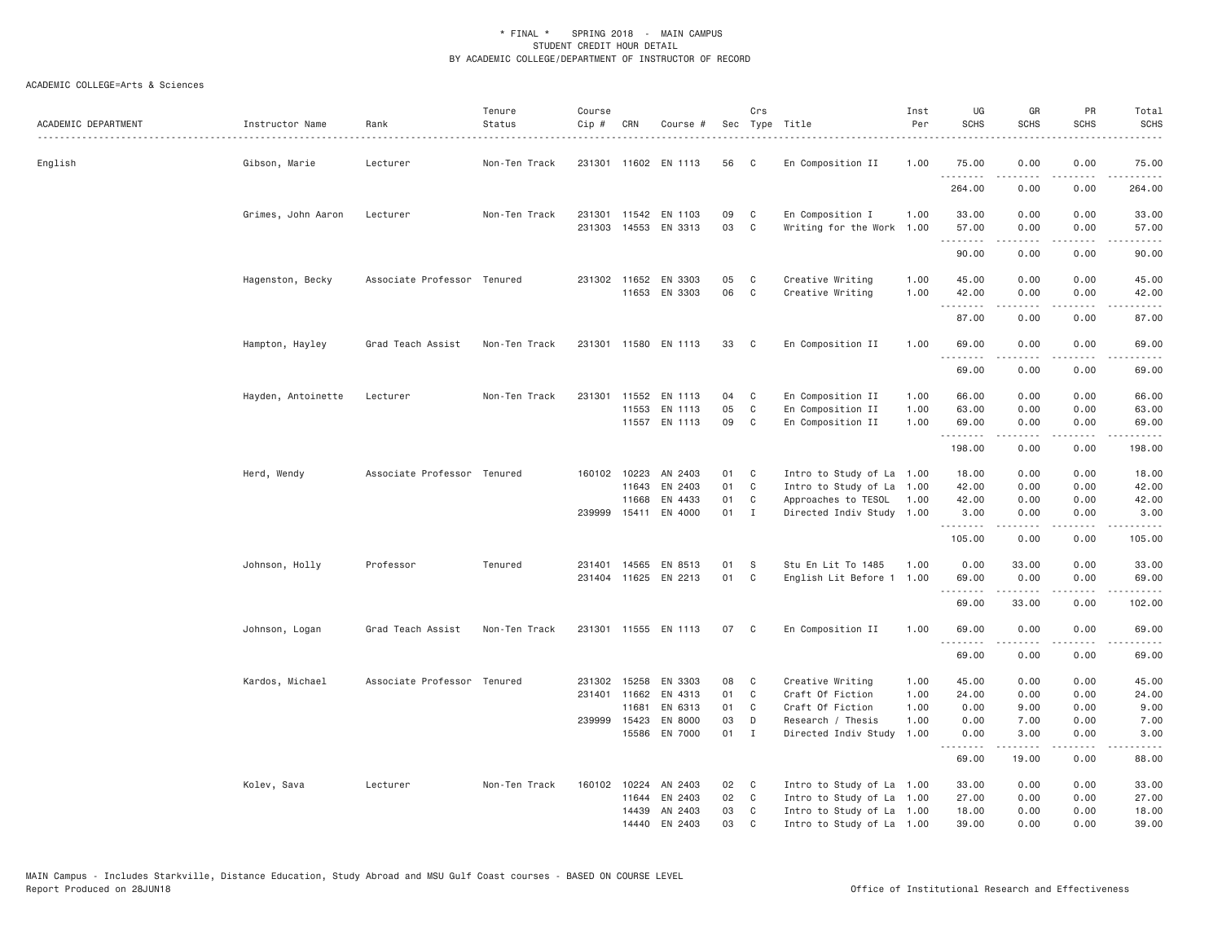| ACADEMIC DEPARTMENT | Instructor Name    | Rank<br>.                   | Tenure<br>Status | Course<br>Cip # | CRN          | Course #                                     |          | Crs            | Sec Type Title<br>.                      | Inst<br>Per  | UG<br><b>SCHS</b> | GR<br><b>SCHS</b>                                                                                                                                            | PR<br><b>SCHS</b>            | Total<br><b>SCHS</b> |
|---------------------|--------------------|-----------------------------|------------------|-----------------|--------------|----------------------------------------------|----------|----------------|------------------------------------------|--------------|-------------------|--------------------------------------------------------------------------------------------------------------------------------------------------------------|------------------------------|----------------------|
| English             | Gibson, Marie      | Lecturer                    | Non-Ten Track    |                 |              | 231301 11602 EN 1113                         | 56       | C              | En Composition II                        | 1.00         | 75.00             | 0.00                                                                                                                                                         | 0.00                         | 75.00                |
|                     |                    |                             |                  |                 |              |                                              |          |                |                                          |              | .<br>264.00       | $\frac{1}{2} \left( \frac{1}{2} \right) \left( \frac{1}{2} \right) \left( \frac{1}{2} \right) \left( \frac{1}{2} \right) \left( \frac{1}{2} \right)$<br>0.00 | $\sim$ $\sim$ $\sim$<br>0.00 | .<br>264.00          |
|                     | Grimes, John Aaron | Lecturer                    | Non-Ten Track    |                 |              | 231301 11542 EN 1103<br>231303 14553 EN 3313 | 09<br>03 | C<br>C         | En Composition I<br>Writing for the Work | 1.00<br>1.00 | 33.00<br>57.00    | 0.00<br>0.00                                                                                                                                                 | 0.00<br>0.00                 | 33.00<br>57.00       |
|                     |                    |                             |                  |                 |              |                                              |          |                |                                          |              | .<br>90.00        | $\frac{1}{2} \left( \frac{1}{2} \right) \left( \frac{1}{2} \right) \left( \frac{1}{2} \right) \left( \frac{1}{2} \right) \left( \frac{1}{2} \right)$<br>0.00 | .<br>0.00                    | .<br>90.00           |
|                     | Hagenston, Becky   | Associate Professor Tenured |                  |                 |              | 231302 11652 EN 3303                         | 05       | C              | Creative Writing                         | 1.00         | 45.00             | 0.00                                                                                                                                                         | 0.00                         | 45.00                |
|                     |                    |                             |                  |                 |              | 11653 EN 3303                                | 06       | $\mathbb C$    | Creative Writing                         | 1.00         | 42.00<br>.        | 0.00<br>$- - - - -$                                                                                                                                          | 0.00<br>د د د د              | 42.00<br>.           |
|                     |                    |                             |                  |                 |              |                                              |          |                |                                          |              | 87.00             | 0.00                                                                                                                                                         | 0.00                         | 87.00                |
|                     | Hampton, Hayley    | Grad Teach Assist           | Non-Ten Track    |                 |              | 231301 11580 EN 1113                         | 33       | $\mathbf{C}$   | En Composition II                        | 1.00         | 69,00<br>.        | 0.00                                                                                                                                                         | 0.00                         | 69.00                |
|                     |                    |                             |                  |                 |              |                                              |          |                |                                          |              | 69.00             | 0.00                                                                                                                                                         | 0.00                         | 69.00                |
|                     | Hayden, Antoinette | Lecturer                    | Non-Ten Track    |                 | 231301 11552 | EN 1113                                      | 04       | C              | En Composition II                        | 1.00         | 66.00             | 0.00                                                                                                                                                         | 0.00                         | 66.00                |
|                     |                    |                             |                  |                 | 11553        | EN 1113                                      | 05       | C              | En Composition II                        | 1.00         | 63.00             | 0.00                                                                                                                                                         | 0.00                         | 63.00                |
|                     |                    |                             |                  |                 |              | 11557 EN 1113                                | 09       | C              | En Composition II                        | 1,00         | 69.00<br><u>.</u> | 0.00<br>-----                                                                                                                                                | 0.00<br>.                    | 69.00<br>.           |
|                     |                    |                             |                  |                 |              |                                              |          |                |                                          |              | 198.00            | 0.00                                                                                                                                                         | 0.00                         | 198.00               |
|                     | Herd, Wendy        | Associate Professor Tenured |                  |                 | 160102 10223 | AN 2403                                      | 01       | C              | Intro to Study of La 1.00                |              | 18.00             | 0.00                                                                                                                                                         | 0.00                         | 18.00                |
|                     |                    |                             |                  |                 | 11643        | EN 2403                                      | 01       | C              | Intro to Study of La 1.00                |              | 42.00             | 0.00                                                                                                                                                         | 0.00                         | 42.00                |
|                     |                    |                             |                  |                 | 11668        | EN 4433                                      | 01       | $\mathbf{C}$   | Approaches to TESOL 1.00                 |              | 42.00             | 0.00                                                                                                                                                         | 0.00                         | 42.00                |
|                     |                    |                             |                  |                 |              | 239999 15411 EN 4000                         | 01 I     |                | Directed Indiv Study 1.00                |              | 3.00<br>.         | 0.00                                                                                                                                                         | 0.00<br>$  -$                | 3.00                 |
|                     |                    |                             |                  |                 |              |                                              |          |                |                                          |              | 105.00            | 0.00                                                                                                                                                         | 0.00                         | 105.00               |
|                     | Johnson, Holly     | Professor                   | Tenured          |                 |              | 231401 14565 EN 8513                         | 01       | S              | Stu En Lit To 1485                       | 1.00         | 0.00              | 33.00                                                                                                                                                        | 0.00                         | 33.00                |
|                     |                    |                             |                  |                 |              | 231404 11625 EN 2213                         | 01       | $\mathbf{C}$   | English Lit Before 1 1.00                |              | 69.00<br>.        | 0.00<br>$   -$                                                                                                                                               | 0.00<br>.                    | 69.00<br>.           |
|                     |                    |                             |                  |                 |              |                                              |          |                |                                          |              | 69.00             | 33.00                                                                                                                                                        | 0.00                         | 102.00               |
|                     | Johnson, Logan     | Grad Teach Assist           | Non-Ten Track    |                 |              | 231301 11555 EN 1113                         | 07       | C <sub>c</sub> | En Composition II                        | 1.00         | 69.00             | 0.00                                                                                                                                                         | 0.00                         | 69.00                |
|                     |                    |                             |                  |                 |              |                                              |          |                |                                          |              | 69.00             | 0.00                                                                                                                                                         | 0.00                         | 69.00                |
|                     | Kardos, Michael    | Associate Professor Tenured |                  |                 | 231302 15258 | EN 3303                                      | 08       | C              | Creative Writing                         | 1.00         | 45.00             | 0.00                                                                                                                                                         | 0.00                         | 45.00                |
|                     |                    |                             |                  |                 | 231401 11662 | EN 4313                                      | 01       | C              | Craft Of Fiction                         | 1.00         | 24.00             | 0.00                                                                                                                                                         | 0.00                         | 24.00                |
|                     |                    |                             |                  |                 | 11681        | EN 6313                                      | 01       | C              | Craft Of Fiction                         | 1.00         | 0.00              | 9.00                                                                                                                                                         | 0.00                         | 9.00                 |
|                     |                    |                             |                  |                 | 239999 15423 | EN 8000                                      | 03       | D              | Research / Thesis                        | 1.00         | 0.00              | 7.00                                                                                                                                                         | 0.00                         | 7.00                 |
|                     |                    |                             |                  |                 |              | 15586 EN 7000                                | 01 I     |                | Directed Indiv Study                     | 1.00         | 0.00<br><u>.</u>  | 3.00<br>$- - - - -$                                                                                                                                          | 0.00<br>.                    | 3.00<br>.            |
|                     |                    |                             |                  |                 |              |                                              |          |                |                                          |              | 69.00             | 19.00                                                                                                                                                        | 0.00                         | 88.00                |
|                     | Kolev, Sava        | Lecturer                    | Non-Ten Track    |                 | 160102 10224 | AN 2403                                      | 02       | C              | Intro to Study of La 1.00                |              | 33.00             | 0.00                                                                                                                                                         | 0.00                         | 33.00                |
|                     |                    |                             |                  |                 | 11644        | EN 2403                                      | 02       | $\mathbf{C}$   | Intro to Study of La 1.00                |              | 27.00             | 0.00                                                                                                                                                         | 0.00                         | 27.00                |
|                     |                    |                             |                  |                 | 14439        | AN 2403                                      | 03       | C              | Intro to Study of La 1.00                |              | 18.00             | 0.00                                                                                                                                                         | 0.00                         | 18.00                |
|                     |                    |                             |                  |                 |              | 14440 EN 2403                                | 03       | C              | Intro to Study of La 1.00                |              | 39,00             | 0.00                                                                                                                                                         | 0.00                         | 39.00                |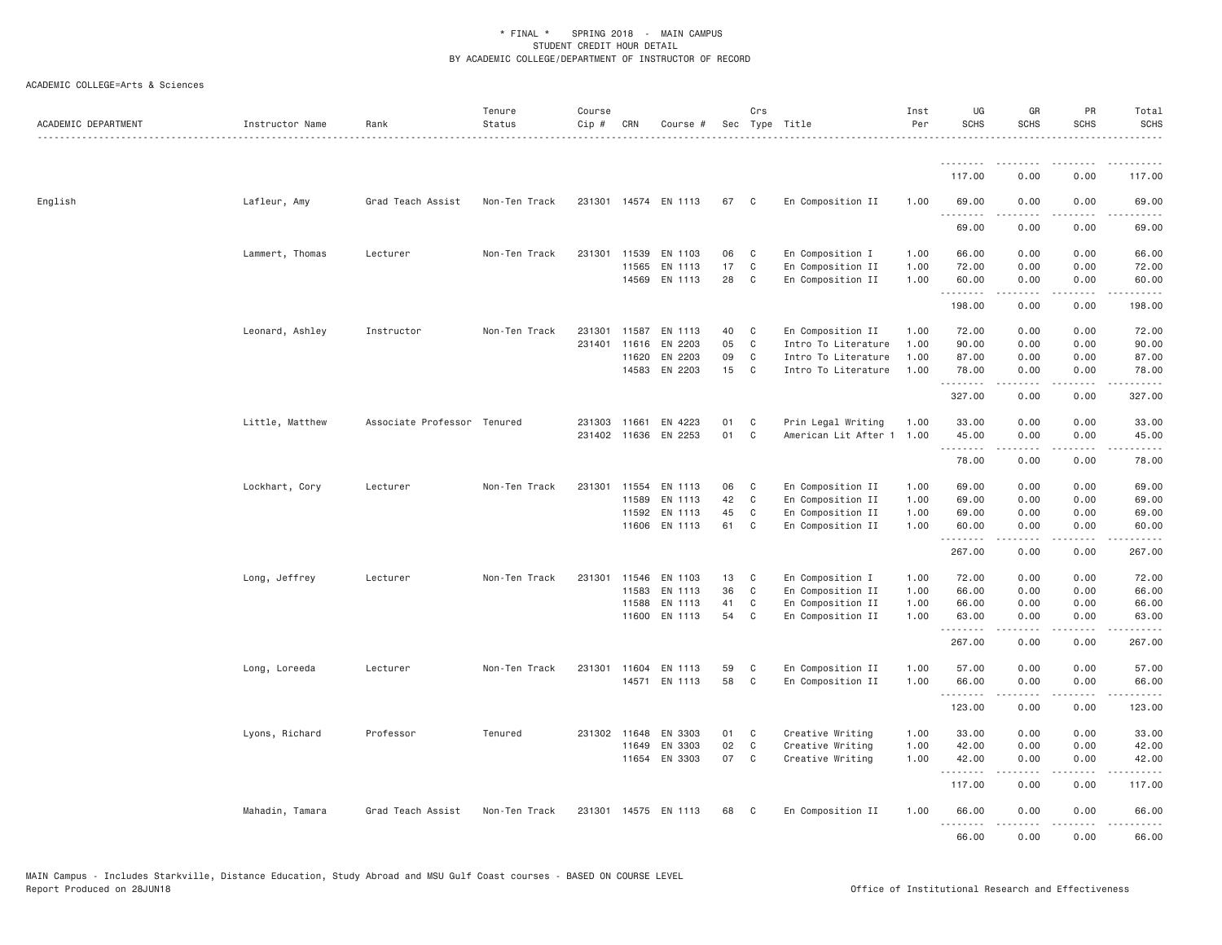| ACADEMIC DEPARTMENT | Instructor Name | Rank                        | Tenure<br>Status | Course<br>Cip # | CRN          | Course #             |    | Crs            | Sec Type Title            | Inst<br>Per | UG<br><b>SCHS</b>       | GR<br><b>SCHS</b>     | PR<br><b>SCHS</b> | Total<br><b>SCHS</b>   |
|---------------------|-----------------|-----------------------------|------------------|-----------------|--------------|----------------------|----|----------------|---------------------------|-------------|-------------------------|-----------------------|-------------------|------------------------|
|                     |                 |                             |                  |                 |              |                      |    |                |                           |             | <u> - - - - - - - -</u> |                       |                   |                        |
|                     |                 |                             |                  |                 |              |                      |    |                |                           |             | 117.00                  | 0.00                  | 0.00              | 117.00                 |
| English             | Lafleur, Amy    | Grad Teach Assist           | Non-Ten Track    |                 |              | 231301 14574 EN 1113 | 67 | $\mathbf{C}$   | En Composition II         | 1.00        | 69.00<br>. <b>.</b>     | 0.00<br>.             | 0.00<br>.         | 69.00<br>$\frac{1}{2}$ |
|                     |                 |                             |                  |                 |              |                      |    |                |                           |             | 69.00                   | 0.00                  | 0.00              | 69.00                  |
|                     | Lammert, Thomas | Lecturer                    | Non-Ten Track    |                 | 231301 11539 | EN 1103              | 06 | C <sub>1</sub> | En Composition I          | 1.00        | 66.00                   | 0.00                  | 0.00              | 66.00                  |
|                     |                 |                             |                  |                 | 11565        | EN 1113              | 17 | $\mathbf{C}$   | En Composition II         | 1.00        | 72.00                   | 0.00                  | 0.00              | 72.00                  |
|                     |                 |                             |                  |                 | 14569        | EN 1113              | 28 | $\mathbf{C}$   | En Composition II         | 1.00        | 60.00<br>.              | 0.00                  | 0.00              | 60.00                  |
|                     |                 |                             |                  |                 |              |                      |    |                |                           |             | 198.00                  | 0.00                  | 0.00              | 198.00                 |
|                     | Leonard, Ashley | Instructor                  | Non-Ten Track    |                 | 231301 11587 | EN 1113              | 40 | $\mathbf{C}$   | En Composition II         | 1.00        | 72.00                   | 0.00                  | 0.00              | 72.00                  |
|                     |                 |                             |                  |                 | 231401 11616 | EN 2203              | 05 | $\mathbf{C}$   | Intro To Literature       | 1.00        | 90.00                   | 0.00                  | 0.00              | 90.00                  |
|                     |                 |                             |                  |                 | 11620        | EN 2203              | 09 | $\mathbf C$    | Intro To Literature       | 1.00        | 87.00                   | 0.00                  | 0.00              | 87.00                  |
|                     |                 |                             |                  |                 |              | 14583 EN 2203        | 15 | $\mathbf{C}$   | Intro To Literature       | 1.00        | 78.00<br>.              | 0.00<br>.             | 0.00<br>.         | 78.00                  |
|                     |                 |                             |                  |                 |              |                      |    |                |                           |             | 327.00                  | 0.00                  | 0.00              | 327.00                 |
|                     | Little, Matthew | Associate Professor Tenured |                  | 231303 11661    |              | EN 4223              | 01 | C              | Prin Legal Writing        | 1.00        | 33.00                   | 0.00                  | 0.00              | 33.00                  |
|                     |                 |                             |                  |                 | 231402 11636 | EN 2253              | 01 | $\mathbf C$    | American Lit After 1 1.00 |             | 45.00<br>.              | 0.00<br>-----         | 0.00<br>.         | 45.00<br>.             |
|                     |                 |                             |                  |                 |              |                      |    |                |                           |             | 78.00                   | 0.00                  | 0.00              | 78.00                  |
|                     | Lockhart, Cory  | Lecturer                    | Non-Ten Track    | 231301          | 11554        | EN 1113              | 06 | $\mathbf{C}$   | En Composition II         | 1.00        | 69.00                   | 0.00                  | 0.00              | 69.00                  |
|                     |                 |                             |                  |                 | 11589        | EN 1113              | 42 | $\mathbf{C}$   | En Composition II         | 1.00        | 69.00                   | 0.00                  | 0.00              | 69.00                  |
|                     |                 |                             |                  |                 | 11592        | EN 1113              | 45 | C              | En Composition II         | 1.00        | 69.00                   | 0.00                  | 0.00              | 69.00                  |
|                     |                 |                             |                  |                 |              | 11606 EN 1113        | 61 | $\mathbf{C}$   | En Composition II         | 1.00        | 60.00<br>.              | 0.00<br>2.2.2.2.2     | 0.00<br>.         | 60.00<br>.             |
|                     |                 |                             |                  |                 |              |                      |    |                |                           |             | 267.00                  | 0.00                  | 0.00              | 267.00                 |
|                     | Long, Jeffrey   | Lecturer                    | Non-Ten Track    | 231301          | 11546        | EN 1103              | 13 | C              | En Composition I          | 1.00        | 72.00                   | 0.00                  | 0.00              | 72.00                  |
|                     |                 |                             |                  |                 | 11583        | EN 1113              | 36 | C              | En Composition II         | 1.00        | 66.00                   | 0.00                  | 0.00              | 66.00                  |
|                     |                 |                             |                  |                 | 11588        | EN 1113              | 41 | $\mathbf{C}$   | En Composition II         | 1.00        | 66.00                   | 0.00                  | 0.00              | 66.00                  |
|                     |                 |                             |                  |                 | 11600        | EN 1113              | 54 | $\mathbf{C}$   | En Composition II         | 1.00        | 63.00<br>.              | 0.00<br>----          | 0.00<br>.         | 63.00<br>.             |
|                     |                 |                             |                  |                 |              |                      |    |                |                           |             | 267.00                  | 0.00                  | 0.00              | 267.00                 |
|                     | Long, Loreeda   | Lecturer                    | Non-Ten Track    |                 |              | 231301 11604 EN 1113 | 59 | C              | En Composition II         | 1.00        | 57.00                   | 0.00                  | 0.00              | 57.00                  |
|                     |                 |                             |                  |                 |              | 14571 EN 1113        | 58 | $\mathbf{C}$   | En Composition II         | 1.00        | 66.00                   | 0.00                  | 0.00              | 66.00                  |
|                     |                 |                             |                  |                 |              |                      |    |                |                           |             | .<br>123.00             | $  -$<br>0.00         | .<br>0.00         | 123.00                 |
|                     | Lyons, Richard  | Professor                   | Tenured          |                 | 231302 11648 | EN 3303              | 01 | $\mathbf{C}$   | Creative Writing          | 1.00        | 33.00                   | 0.00                  | 0.00              | 33.00                  |
|                     |                 |                             |                  |                 | 11649        | EN 3303              | 02 | $\mathbf{C}$   | Creative Writing          | 1.00        | 42.00                   | 0.00                  | 0.00              | 42.00                  |
|                     |                 |                             |                  |                 | 11654        | EN 3303              | 07 | $\mathbf{C}$   | Creative Writing          | 1.00        | 42.00<br>--------       | 0.00                  | 0.00              | 42.00                  |
|                     |                 |                             |                  |                 |              |                      |    |                |                           |             | 117.00                  | 0.00                  | 0.00              | 117.00                 |
|                     | Mahadin, Tamara | Grad Teach Assist           | Non-Ten Track    |                 |              | 231301 14575 EN 1113 | 68 | $\mathbf{C}$   | En Composition II         | 1.00        | 66.00<br>.              | 0.00<br>$\frac{1}{2}$ | 0.00<br>.         | 66.00                  |
|                     |                 |                             |                  |                 |              |                      |    |                |                           |             | 66.00                   | 0.00                  | 0.00              | 66.00                  |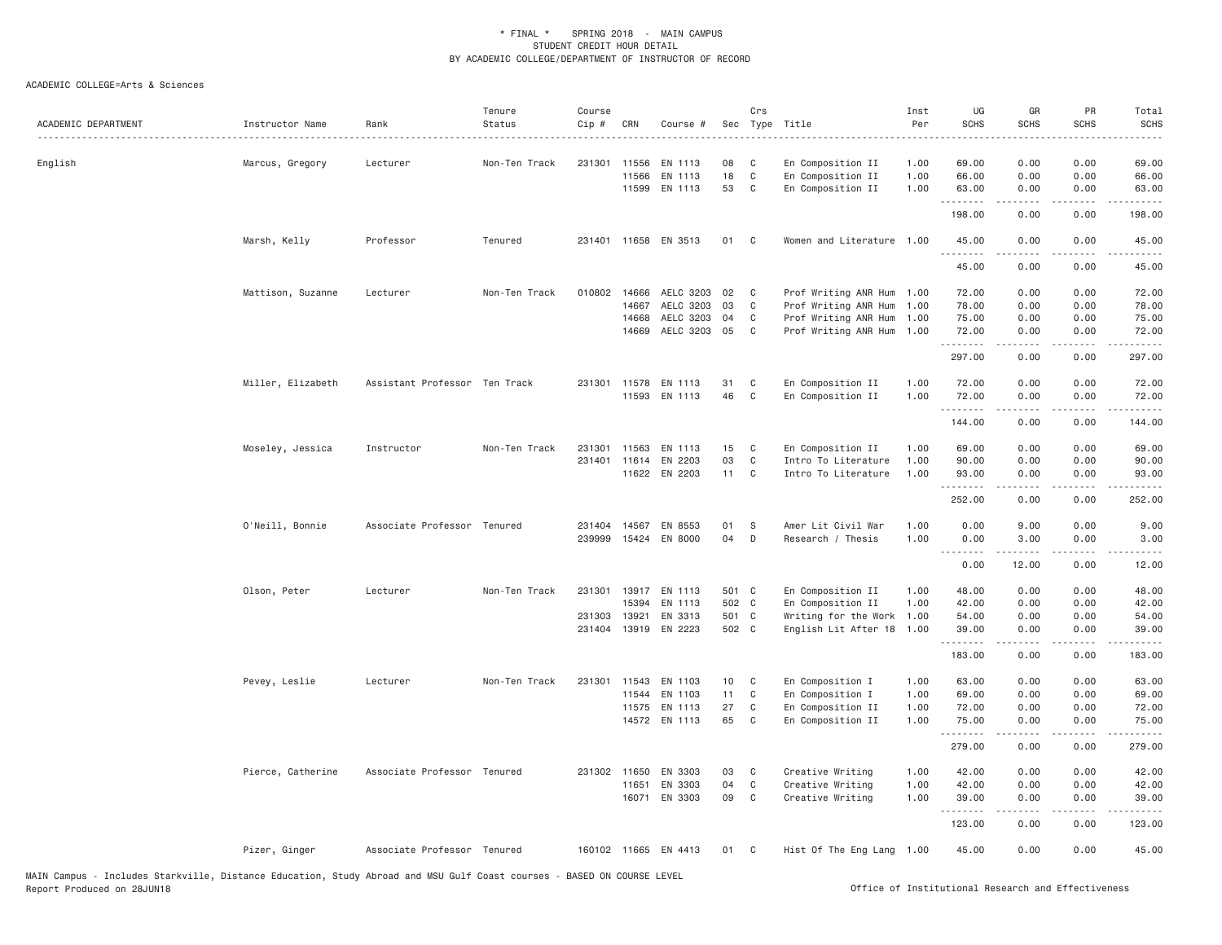| ACADEMIC DEPARTMENT | Instructor Name   | Rank                          | Tenure<br>Status | Course<br>Cip #  | CRN                            | Course #                            | Sec             | Crs               | Type Title                                                           | Inst<br>Per<br>.     | UG<br><b>SCHS</b>       | GR<br><b>SCHS</b>                                                                                                                                            | PR<br><b>SCHS</b>    | Total<br><b>SCHS</b>    |
|---------------------|-------------------|-------------------------------|------------------|------------------|--------------------------------|-------------------------------------|-----------------|-------------------|----------------------------------------------------------------------|----------------------|-------------------------|--------------------------------------------------------------------------------------------------------------------------------------------------------------|----------------------|-------------------------|
| English             | Marcus, Gregory   | Lecturer                      | Non-Ten Track    | 231301           | 11556<br>11566                 | EN 1113<br>EN 1113<br>11599 EN 1113 | 08<br>18<br>53  | C<br>C<br>C       | En Composition II<br>En Composition II<br>En Composition II          | 1.00<br>1.00<br>1.00 | 69.00<br>66.00<br>63.00 | 0.00<br>0.00<br>0.00                                                                                                                                         | 0.00<br>0.00<br>0.00 | 69.00<br>66.00<br>63.00 |
|                     |                   |                               |                  |                  |                                |                                     |                 |                   |                                                                      |                      | .<br>198.00             | $\frac{1}{2} \left( \frac{1}{2} \right) \left( \frac{1}{2} \right) \left( \frac{1}{2} \right) \left( \frac{1}{2} \right) \left( \frac{1}{2} \right)$<br>0.00 | .<br>0.00            | .<br>198.00             |
|                     | Marsh, Kelly      | Professor                     | Tenured          |                  |                                | 231401 11658 EN 3513                | 01              | C                 | Women and Literature 1.00                                            |                      | 45.00<br>.              | 0.00<br>.                                                                                                                                                    | 0.00<br>.            | 45.00<br>.              |
|                     |                   |                               |                  |                  |                                |                                     |                 |                   |                                                                      |                      | 45.00                   | 0.00                                                                                                                                                         | 0.00                 | 45.00                   |
|                     | Mattison, Suzanne | Lecturer                      | Non-Ten Track    |                  | 010802 14666<br>14667<br>14668 | AELC 3203<br>AELC 3203<br>AELC 3203 | 02<br>03<br>04  | C.<br>C<br>C      | Prof Writing ANR Hum<br>Prof Writing ANR Hum<br>Prof Writing ANR Hum | 1.00<br>1.00<br>1.00 | 72.00<br>78.00<br>75.00 | 0.00<br>0.00<br>0.00                                                                                                                                         | 0.00<br>0.00<br>0.00 | 72.00<br>78.00<br>75.00 |
|                     |                   |                               |                  |                  | 14669                          | AELC 3203 05                        |                 | C                 | Prof Writing ANR Hum 1.00                                            |                      | 72.00<br>.              | 0.00<br>.                                                                                                                                                    | 0.00<br>.            | 72.00<br>.              |
|                     | Miller, Elizabeth | Assistant Professor Ten Track |                  |                  |                                | 231301 11578 EN 1113                | 31              | C                 | En Composition II                                                    | 1.00                 | 297.00<br>72.00         | 0.00<br>0.00                                                                                                                                                 | 0.00<br>0.00         | 297.00<br>72.00         |
|                     |                   |                               |                  |                  | 11593                          | EN 1113                             | 46              | C                 | En Composition II                                                    | 1.00                 | 72.00<br>.              | 0.00<br>$- - - - - -$                                                                                                                                        | 0.00<br>.            | 72.00<br>.              |
|                     |                   |                               |                  |                  |                                |                                     |                 |                   |                                                                      |                      | 144.00                  | 0.00                                                                                                                                                         | 0.00                 | 144.00                  |
|                     | Moseley, Jessica  | Instructor                    | Non-Ten Track    | 231301<br>231401 | 11563                          | EN 1113<br>11614 EN 2203            | 15<br>03        | C<br>C            | En Composition II<br>Intro To Literature                             | 1.00<br>1.00         | 69.00<br>90.00          | 0.00<br>0.00                                                                                                                                                 | 0.00<br>0.00         | 69.00<br>90.00          |
|                     |                   |                               |                  |                  |                                | 11622 EN 2203                       | 11 C            |                   | Intro To Literature                                                  | 1.00                 | 93.00<br>.              | 0.00                                                                                                                                                         | 0.00                 | 93.00                   |
|                     |                   |                               |                  |                  |                                |                                     |                 |                   |                                                                      |                      | 252.00                  | 0.00                                                                                                                                                         | 0.00                 | 252.00                  |
|                     | O'Neill, Bonnie   | Associate Professor Tenured   |                  | 239999           | 15424                          | 231404 14567 EN 8553<br>EN 8000     | 01<br>04        | <sub>S</sub><br>D | Amer Lit Civil War<br>Research / Thesis                              | 1.00<br>1.00         | 0.00<br>0.00<br>.       | 9.00<br>3.00<br>.                                                                                                                                            | 0.00<br>0.00<br>.    | 9.00<br>3.00<br>.       |
|                     |                   |                               |                  |                  |                                |                                     |                 |                   |                                                                      |                      | 0.00                    | 12.00                                                                                                                                                        | 0.00                 | 12.00                   |
|                     | Olson, Peter      | Lecturer                      | Non-Ten Track    | 231301           | 13917                          | EN 1113                             | 501 C           |                   | En Composition II                                                    | 1.00                 | 48.00                   | 0.00                                                                                                                                                         | 0.00                 | 48.00                   |
|                     |                   |                               |                  | 231303           | 15394<br>13921                 | EN 1113<br>EN 3313                  | 502 C<br>501 C  |                   | En Composition II<br>Writing for the Work                            | 1.00<br>1.00         | 42.00<br>54.00          | 0.00<br>0.00                                                                                                                                                 | 0.00<br>0.00         | 42.00<br>54.00          |
|                     |                   |                               |                  | 231404           |                                | 13919 EN 2223                       | 502 C           |                   | English Lit After 18                                                 | 1.00                 | 39.00<br>.              | 0.00<br>$\frac{1}{2} \left( \frac{1}{2} \right) \left( \frac{1}{2} \right) \left( \frac{1}{2} \right) \left( \frac{1}{2} \right) \left( \frac{1}{2} \right)$ | 0.00<br>.            | 39.00<br>.              |
|                     |                   |                               |                  |                  |                                |                                     |                 |                   |                                                                      |                      | 183.00                  | 0.00                                                                                                                                                         | 0.00                 | 183.00                  |
|                     | Pevey, Leslie     | Lecturer                      | Non-Ten Track    | 231301           |                                | 11543 EN 1103                       | 10 <sub>1</sub> | C                 | En Composition I                                                     | 1.00                 | 63.00                   | 0.00                                                                                                                                                         | 0.00                 | 63.00                   |
|                     |                   |                               |                  |                  | 11544                          | EN 1103                             | 11              | C                 | En Composition I                                                     | 1.00                 | 69.00                   | 0.00                                                                                                                                                         | 0.00                 | 69.00                   |
|                     |                   |                               |                  |                  |                                | 11575 EN 1113                       | 27              | C                 | En Composition II                                                    | 1.00                 | 72.00                   | 0.00                                                                                                                                                         | 0.00                 | 72.00                   |
|                     |                   |                               |                  |                  |                                | 14572 EN 1113                       | 65              | $\mathbb C$       | En Composition II                                                    | 1.00                 | 75.00<br>.              | 0.00<br>$- - - - -$                                                                                                                                          | 0.00<br>.            | 75.00<br>.              |
|                     |                   |                               |                  |                  |                                |                                     |                 |                   |                                                                      |                      | 279.00                  | 0.00                                                                                                                                                         | 0.00                 | 279.00                  |
|                     | Pierce, Catherine | Associate Professor Tenured   |                  |                  | 231302 11650                   | EN 3303                             | 03              | C                 | Creative Writing                                                     | 1.00                 | 42.00                   | 0.00                                                                                                                                                         | 0.00                 | 42.00                   |
|                     |                   |                               |                  |                  | 11651                          | EN 3303<br>16071 EN 3303            | 04<br>09        | C<br>C            | Creative Writing<br>Creative Writing                                 | 1.00<br>1.00         | 42.00<br>39.00<br>.     | 0.00<br>0.00                                                                                                                                                 | 0.00<br>0.00         | 42.00<br>39.00          |
|                     |                   |                               |                  |                  |                                |                                     |                 |                   |                                                                      |                      | 123.00                  | 0.00                                                                                                                                                         | 0.00                 | 123.00                  |
|                     | Pizer, Ginger     | Associate Professor Tenured   |                  |                  |                                | 160102 11665 EN 4413                | 01              | $\mathbf{C}$      | Hist Of The Eng Lang 1.00                                            |                      | 45.00                   | 0.00                                                                                                                                                         | 0.00                 | 45.00                   |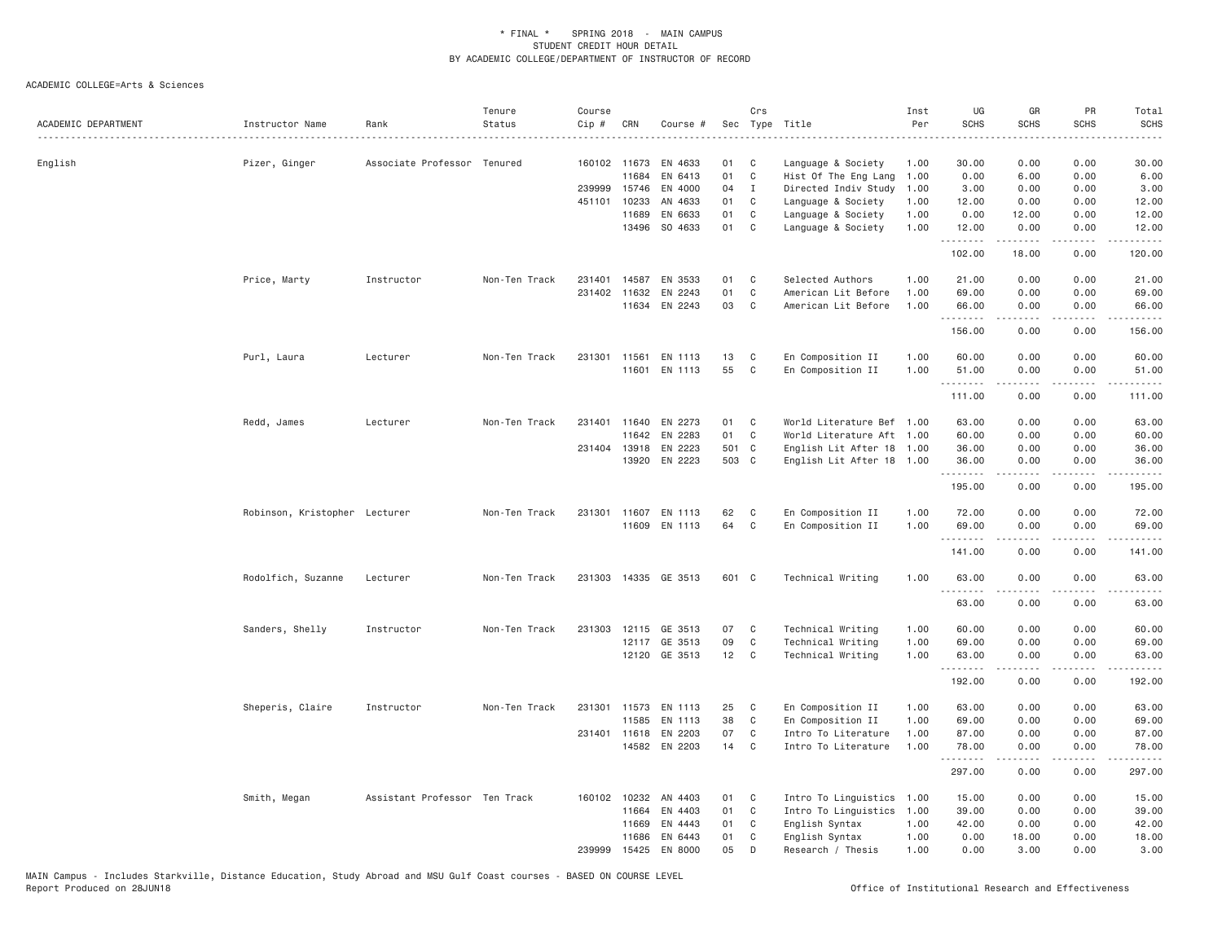| ACADEMIC DEPARTMENT | Instructor Name               | Rank                          | Tenure<br>Status | Course<br>Cip # | CRN          | Course #             |       | Crs          | Sec Type Title            | Inst<br>Per | UG<br><b>SCHS</b> | GR<br><b>SCHS</b>                                                                                                                                            | PR<br><b>SCHS</b>            | Total<br><b>SCHS</b><br>$- - - -$ |
|---------------------|-------------------------------|-------------------------------|------------------|-----------------|--------------|----------------------|-------|--------------|---------------------------|-------------|-------------------|--------------------------------------------------------------------------------------------------------------------------------------------------------------|------------------------------|-----------------------------------|
| English             | Pizer, Ginger                 | Associate Professor Tenured   |                  |                 | 160102 11673 | EN 4633              | 01    | C            | Language & Society        | 1.00        | 30.00             | 0.00                                                                                                                                                         | 0.00                         | 30.00                             |
|                     |                               |                               |                  |                 | 11684        | EN 6413              | 01    | C            | Hist Of The Eng Lang      | 1.00        | 0.00              | 6.00                                                                                                                                                         | 0.00                         | 6.00                              |
|                     |                               |                               |                  |                 | 239999 15746 | EN 4000              | 04    | $\mathbf{I}$ | Directed Indiv Study      | 1.00        | 3.00              | 0.00                                                                                                                                                         | 0.00                         | 3.00                              |
|                     |                               |                               |                  | 451101          | 10233        | AN 4633              | 01    | C            | Language & Society        | 1.00        | 12.00             | 0.00                                                                                                                                                         | 0.00                         | 12.00                             |
|                     |                               |                               |                  |                 | 11689        | EN 6633              | 01    | C            | Language & Society        | 1.00        | 0.00              | 12.00                                                                                                                                                        | 0.00                         | 12.00                             |
|                     |                               |                               |                  |                 |              | 13496 SO 4633        | 01    | C            | Language & Society        | 1.00        | 12.00<br>.        | 0.00<br>.                                                                                                                                                    | 0.00<br>.                    | 12.00<br>.                        |
|                     |                               |                               |                  |                 |              |                      |       |              |                           |             | 102.00            | 18.00                                                                                                                                                        | 0.00                         | 120.00                            |
|                     | Price, Marty                  | Instructor                    | Non-Ten Track    | 231401          |              | 14587 EN 3533        | 01    | C            | Selected Authors          | 1.00        | 21.00             | 0.00                                                                                                                                                         | 0.00                         | 21.00                             |
|                     |                               |                               |                  | 231402          | 11632        | EN 2243              | 01    | C            | American Lit Before       | 1.00        | 69.00             | 0.00                                                                                                                                                         | 0.00                         | 69.00                             |
|                     |                               |                               |                  |                 |              | 11634 EN 2243        | 03    | C            | American Lit Before       | 1.00        | 66.00<br>.        | 0.00<br>.                                                                                                                                                    | 0.00                         | 66.00<br>.                        |
|                     |                               |                               |                  |                 |              |                      |       |              |                           |             | 156.00            | 0.00                                                                                                                                                         | 0.00                         | 156.00                            |
|                     | Purl, Laura                   | Lecturer                      | Non-Ten Track    | 231301 11561    |              | EN 1113              | 13    | C            | En Composition II         | 1.00        | 60.00             | 0.00                                                                                                                                                         | 0.00                         | 60.00                             |
|                     |                               |                               |                  |                 | 11601        | EN 1113              | 55    | C            | En Composition II         | 1.00        | 51.00<br>.        | 0.00<br>$- - - - -$                                                                                                                                          | 0.00<br>.                    | 51.00<br>.                        |
|                     |                               |                               |                  |                 |              |                      |       |              |                           |             | 111.00            | 0.00                                                                                                                                                         | 0.00                         | 111.00                            |
|                     | Redd, James                   | Lecturer                      | Non-Ten Track    | 231401          |              | 11640 EN 2273        | 01    | C            | World Literature Bef 1.00 |             | 63.00             | 0.00                                                                                                                                                         | 0.00                         | 63.00                             |
|                     |                               |                               |                  |                 | 11642        | EN 2283              | 01    | C            | World Literature Aft 1.00 |             | 60.00             | 0.00                                                                                                                                                         | 0.00                         | 60.00                             |
|                     |                               |                               |                  |                 | 231404 13918 | EN 2223              | 501 C |              | English Lit After 18 1.00 |             | 36.00             | 0.00                                                                                                                                                         | 0.00                         | 36.00                             |
|                     |                               |                               |                  |                 | 13920        | EN 2223              | 503 C |              | English Lit After 18 1.00 |             | 36.00<br>.        | 0.00<br>$\frac{1}{2} \left( \frac{1}{2} \right) \left( \frac{1}{2} \right) \left( \frac{1}{2} \right) \left( \frac{1}{2} \right) \left( \frac{1}{2} \right)$ | 0.00<br>.                    | 36.00<br>.                        |
|                     |                               |                               |                  |                 |              |                      |       |              |                           |             | 195.00            | 0.00                                                                                                                                                         | 0.00                         | 195.00                            |
|                     | Robinson, Kristopher Lecturer |                               | Non-Ten Track    | 231301          | 11607        | EN 1113              | 62    | C            | En Composition II         | 1.00        | 72.00             | 0.00                                                                                                                                                         | 0.00                         | 72.00                             |
|                     |                               |                               |                  |                 |              | 11609 EN 1113        | 64    | C            | En Composition II         | 1.00        | 69.00             | 0.00                                                                                                                                                         | 0.00                         | 69.00                             |
|                     |                               |                               |                  |                 |              |                      |       |              |                           |             | .<br>141.00       | 0.00                                                                                                                                                         | 0.00                         | .<br>141.00                       |
|                     | Rodolfich, Suzanne            | Lecturer                      | Non-Ten Track    |                 |              | 231303 14335 GE 3513 | 601 C |              | Technical Writing         | 1.00        | 63.00             | 0.00                                                                                                                                                         | 0.00                         | 63.00                             |
|                     |                               |                               |                  |                 |              |                      |       |              |                           |             | .                 | .                                                                                                                                                            |                              | $\sim$ $\sim$ $\sim$ $\sim$       |
|                     |                               |                               |                  |                 |              |                      |       |              |                           |             | 63.00             | 0.00                                                                                                                                                         | 0.00                         | 63.00                             |
|                     | Sanders, Shelly               | Instructor                    | Non-Ten Track    |                 | 231303 12115 | GE 3513              | 07    | C            | Technical Writing         | 1.00        | 60.00             | 0.00                                                                                                                                                         | 0.00                         | 60.00                             |
|                     |                               |                               |                  |                 |              | 12117 GE 3513        | 09    | $\mathbb C$  | Technical Writing         | 1.00        | 69.00             | 0.00                                                                                                                                                         | 0.00                         | 69.00                             |
|                     |                               |                               |                  |                 |              | 12120 GE 3513        | 12    | C            | Technical Writing         | 1.00        | 63.00<br>.        | 0.00                                                                                                                                                         | 0.00<br>$\sim$ $\sim$ $\sim$ | 63.00<br>والمناصبات               |
|                     |                               |                               |                  |                 |              |                      |       |              |                           |             | 192.00            | 0.00                                                                                                                                                         | 0.00                         | 192.00                            |
|                     | Sheperis, Claire              | Instructor                    | Non-Ten Track    | 231301          | 11573        | EN 1113              | 25    | C            | En Composition II         | 1.00        | 63.00             | 0.00                                                                                                                                                         | 0.00                         | 63.00                             |
|                     |                               |                               |                  |                 | 11585        | EN 1113              | 38    | $\mathbb C$  | En Composition II         | 1.00        | 69.00             | 0.00                                                                                                                                                         | 0.00                         | 69.00                             |
|                     |                               |                               |                  |                 | 231401 11618 | EN 2203              | 07    | C            | Intro To Literature       | 1.00        | 87.00             | 0.00                                                                                                                                                         | 0.00                         | 87.00                             |
|                     |                               |                               |                  |                 |              | 14582 EN 2203        | 14    | C            | Intro To Literature       | 1.00        | 78.00<br>.        | 0.00                                                                                                                                                         | 0.00                         | 78.00                             |
|                     |                               |                               |                  |                 |              |                      |       |              |                           |             | 297.00            | 0.00                                                                                                                                                         | 0.00                         | 297.00                            |
|                     | Smith, Megan                  | Assistant Professor Ten Track |                  |                 | 160102 10232 | AN 4403              | 01    | C            | Intro To Linguistics 1.00 |             | 15.00             | 0.00                                                                                                                                                         | 0.00                         | 15.00                             |
|                     |                               |                               |                  |                 | 11664        | EN 4403              | 01    | C            | Intro To Linguistics 1.00 |             | 39.00             | 0.00                                                                                                                                                         | 0.00                         | 39.00                             |
|                     |                               |                               |                  |                 | 11669        | EN 4443              | 01    | C            | English Syntax            | 1.00        | 42.00             | 0.00                                                                                                                                                         | 0.00                         | 42.00                             |
|                     |                               |                               |                  |                 | 11686        | EN 6443              | 01    | C            | English Syntax            | 1.00        | 0.00              | 18.00                                                                                                                                                        | 0.00                         | 18.00                             |
|                     |                               |                               |                  | 239999          | 15425        | EN 8000              | 05    | D            | Research / Thesis         | 1.00        | 0.00              | 3,00                                                                                                                                                         | 0.00                         | 3.00                              |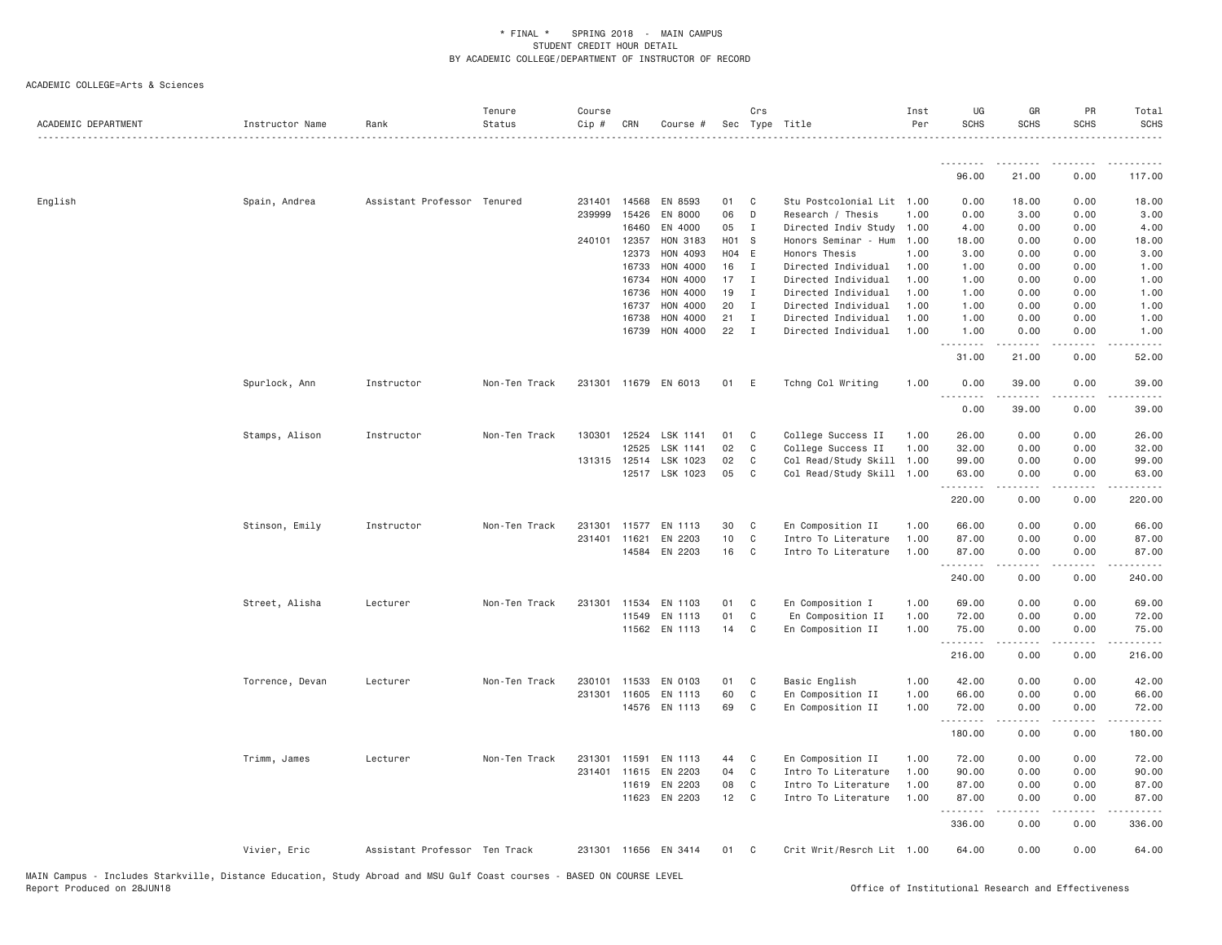| ACADEMIC DEPARTMENT | Instructor Name | Rank                          | Tenure<br>Status | Course<br>$Cip$ # | CRN                   | Course #             |                | Crs          | Sec Type Title                        | Inst<br>Per  | UG<br><b>SCHS</b> | GR<br><b>SCHS</b>                                                                                                                                            | PR<br><b>SCHS</b>                   | Total<br><b>SCHS</b> |
|---------------------|-----------------|-------------------------------|------------------|-------------------|-----------------------|----------------------|----------------|--------------|---------------------------------------|--------------|-------------------|--------------------------------------------------------------------------------------------------------------------------------------------------------------|-------------------------------------|----------------------|
|                     |                 |                               |                  |                   |                       |                      |                |              |                                       |              | .<br>96.00        | 21.00                                                                                                                                                        | 0.00                                | 117.00               |
|                     |                 |                               |                  |                   |                       |                      |                |              |                                       |              |                   |                                                                                                                                                              |                                     |                      |
| English             | Spain, Andrea   | Assistant Professor Tenured   |                  | 231401            | 14568                 | EN 8593              | 01             | C            | Stu Postcolonial Lit 1.00             |              | 0.00              | 18.00                                                                                                                                                        | 0.00                                | 18.00                |
|                     |                 |                               |                  | 239999            | 15426                 | EN 8000              | 06             | D            | Research / Thesis                     | 1.00         | 0.00              | 3.00                                                                                                                                                         | 0.00                                | 3.00                 |
|                     |                 |                               |                  |                   | 16460                 | EN 4000              | 05             | I            | Directed Indiv Study                  | 1.00         | 4.00              | 0.00                                                                                                                                                         | 0.00                                | 4.00                 |
|                     |                 |                               |                  |                   | 240101 12357<br>12373 | HON 3183<br>HON 4093 | H01 S<br>H04 E |              | Honors Seminar - Hum<br>Honors Thesis | 1.00<br>1.00 | 18.00<br>3.00     | 0.00<br>0.00                                                                                                                                                 | 0.00<br>0.00                        | 18.00<br>3.00        |
|                     |                 |                               |                  |                   | 16733                 | HON 4000             | 16             | I            | Directed Individual                   | 1.00         | 1.00              | 0.00                                                                                                                                                         | 0.00                                | 1.00                 |
|                     |                 |                               |                  |                   | 16734                 | HON 4000             | 17             | $\mathbf I$  | Directed Individual                   | 1.00         | 1.00              | 0.00                                                                                                                                                         | 0.00                                | 1.00                 |
|                     |                 |                               |                  |                   | 16736                 | HON 4000             | 19             | I            | Directed Individual                   | 1.00         | 1.00              | 0.00                                                                                                                                                         | 0.00                                | 1.00                 |
|                     |                 |                               |                  |                   | 16737                 | HON 4000             | 20             | I            | Directed Individual                   | 1.00         | 1.00              | 0.00                                                                                                                                                         | 0.00                                | 1.00                 |
|                     |                 |                               |                  |                   | 16738                 | HON 4000             | 21             | I            | Directed Individual                   | 1.00         | 1.00              | 0.00                                                                                                                                                         | 0.00                                | 1.00                 |
|                     |                 |                               |                  |                   | 16739                 | HON 4000             | 22             | $\mathbf I$  | Directed Individual                   | 1,00         | 1.00              | 0.00                                                                                                                                                         | 0.00                                | 1.00                 |
|                     |                 |                               |                  |                   |                       |                      |                |              |                                       |              | .                 | $- - - - -$                                                                                                                                                  | د د د د                             | $- - -$              |
|                     |                 |                               |                  |                   |                       |                      |                |              |                                       |              | 31.00             | 21.00                                                                                                                                                        | 0.00                                | 52.00                |
|                     | Spurlock, Ann   | Instructor                    | Non-Ten Track    | 231301            |                       | 11679 EN 6013        | 01             | E            | Tchng Col Writing                     | 1.00         | 0.00              | 39.00                                                                                                                                                        | 0.00                                | 39.00                |
|                     |                 |                               |                  |                   |                       |                      |                |              |                                       |              | .<br>0.00         | $\omega$ is a set of<br>39.00                                                                                                                                | 0.00                                | 39.00                |
|                     |                 |                               |                  |                   |                       |                      |                |              |                                       |              |                   |                                                                                                                                                              |                                     |                      |
|                     | Stamps, Alison  | Instructor                    | Non-Ten Track    | 130301            | 12524                 | LSK 1141             | 01             | C            | College Success II                    | 1.00         | 26.00             | 0.00                                                                                                                                                         | 0.00                                | 26.00                |
|                     |                 |                               |                  |                   | 12525                 | LSK 1141             | 02             | C            | College Success II                    | 1.00         | 32.00             | 0.00                                                                                                                                                         | 0.00                                | 32.00                |
|                     |                 |                               |                  |                   | 131315 12514          | LSK 1023             | 02             | C            | Col Read/Study Skill                  | 1.00         | 99.00             | 0.00                                                                                                                                                         | 0.00                                | 99.00                |
|                     |                 |                               |                  |                   |                       | 12517 LSK 1023       | 05             | C            | Col Read/Study Skill 1.00             |              | 63.00<br>.        | 0.00<br><u>.</u>                                                                                                                                             | 0.00<br>.                           | 63.00<br>.           |
|                     |                 |                               |                  |                   |                       |                      |                |              |                                       |              | 220.00            | 0.00                                                                                                                                                         | 0.00                                | 220.00               |
|                     | Stinson, Emily  | Instructor                    | Non-Ten Track    | 231301            |                       | 11577 EN 1113        | 30             | C            | En Composition II                     | 1.00         | 66.00             | 0.00                                                                                                                                                         | 0.00                                | 66.00                |
|                     |                 |                               |                  | 231401            | 11621                 | EN 2203              | 10             | $\mathbb C$  | Intro To Literature                   | 1.00         | 87.00             | 0.00                                                                                                                                                         | 0.00                                | 87.00                |
|                     |                 |                               |                  |                   | 14584                 | EN 2203              | 16             | $\mathbf{C}$ | Intro To Literature                   | 1.00         | 87.00             | 0.00                                                                                                                                                         | 0.00                                | 87.00                |
|                     |                 |                               |                  |                   |                       |                      |                |              |                                       |              | .                 |                                                                                                                                                              |                                     |                      |
|                     |                 |                               |                  |                   |                       |                      |                |              |                                       |              | 240.00            | 0.00                                                                                                                                                         | 0.00                                | 240.00               |
|                     | Street, Alisha  | Lecturer                      | Non-Ten Track    | 231301            | 11534                 | EN 1103              | 01             | C            | En Composition I                      | 1.00         | 69.00             | 0.00                                                                                                                                                         | 0.00                                | 69.00                |
|                     |                 |                               |                  |                   | 11549                 | EN 1113              | 01             | C            | En Composition II                     | 1.00         | 72.00             | 0.00                                                                                                                                                         | 0.00                                | 72.00                |
|                     |                 |                               |                  |                   |                       | 11562 EN 1113        | 14             | C            | En Composition II                     | 1.00         | 75.00             | 0.00                                                                                                                                                         | 0.00                                | 75.00                |
|                     |                 |                               |                  |                   |                       |                      |                |              |                                       |              | .<br>216.00       | $\frac{1}{2} \left( \frac{1}{2} \right) \left( \frac{1}{2} \right) \left( \frac{1}{2} \right) \left( \frac{1}{2} \right) \left( \frac{1}{2} \right)$<br>0.00 | .<br>0.00                           | .<br>216.00          |
|                     |                 |                               |                  |                   |                       |                      |                |              |                                       |              |                   |                                                                                                                                                              |                                     |                      |
|                     | Torrence, Devan | Lecturer                      | Non-Ten Track    | 230101            | 11533                 | EN 0103              | 01             | C            | Basic English                         | 1.00         | 42.00             | 0.00                                                                                                                                                         | 0.00                                | 42.00                |
|                     |                 |                               |                  | 231301            | 11605                 | EN 1113              | 60             | C            | En Composition II                     | 1.00         | 66.00             | 0.00                                                                                                                                                         | 0.00                                | 66.00                |
|                     |                 |                               |                  |                   |                       | 14576 EN 1113        | 69             | C            | En Composition II                     | 1.00         | 72.00<br>.        | 0.00<br>$\frac{1}{2} \left( \frac{1}{2} \right) \left( \frac{1}{2} \right) \left( \frac{1}{2} \right) \left( \frac{1}{2} \right) \left( \frac{1}{2} \right)$ | 0.00<br>$\sim$ $\sim$ $\sim$ $\sim$ | 72.00<br>.           |
|                     |                 |                               |                  |                   |                       |                      |                |              |                                       |              | 180.00            | 0.00                                                                                                                                                         | 0.00                                | 180.00               |
|                     | Trimm, James    | Lecturer                      | Non-Ten Track    | 231301            | 11591                 | EN 1113              | 44             | C            | En Composition II                     | 1.00         | 72.00             | 0.00                                                                                                                                                         | 0.00                                | 72.00                |
|                     |                 |                               |                  | 231401            |                       | 11615 EN 2203        | 04             | $\mathbf C$  | Intro To Literature                   | 1.00         | 90.00             | 0.00                                                                                                                                                         | 0.00                                | 90.00                |
|                     |                 |                               |                  |                   | 11619                 | EN 2203              | 08             | C            | Intro To Literature                   | 1.00         | 87.00             | 0.00                                                                                                                                                         | 0.00                                | 87.00                |
|                     |                 |                               |                  |                   | 11623                 | EN 2203              | 12             | $\mathbf{C}$ | Intro To Literature                   | 1.00         | 87.00<br>.        | 0.00                                                                                                                                                         | 0.00                                | 87.00<br>.           |
|                     |                 |                               |                  |                   |                       |                      |                |              |                                       |              | 336.00            | 0.00                                                                                                                                                         | 0.00                                | 336.00               |
|                     | Vivier, Eric    | Assistant Professor Ten Track |                  |                   |                       | 231301 11656 EN 3414 | 01             | C            | Crit Writ/Resrch Lit 1.00             |              | 64.00             | 0.00                                                                                                                                                         | 0.00                                | 64.00                |
|                     |                 |                               |                  |                   |                       |                      |                |              |                                       |              |                   |                                                                                                                                                              |                                     |                      |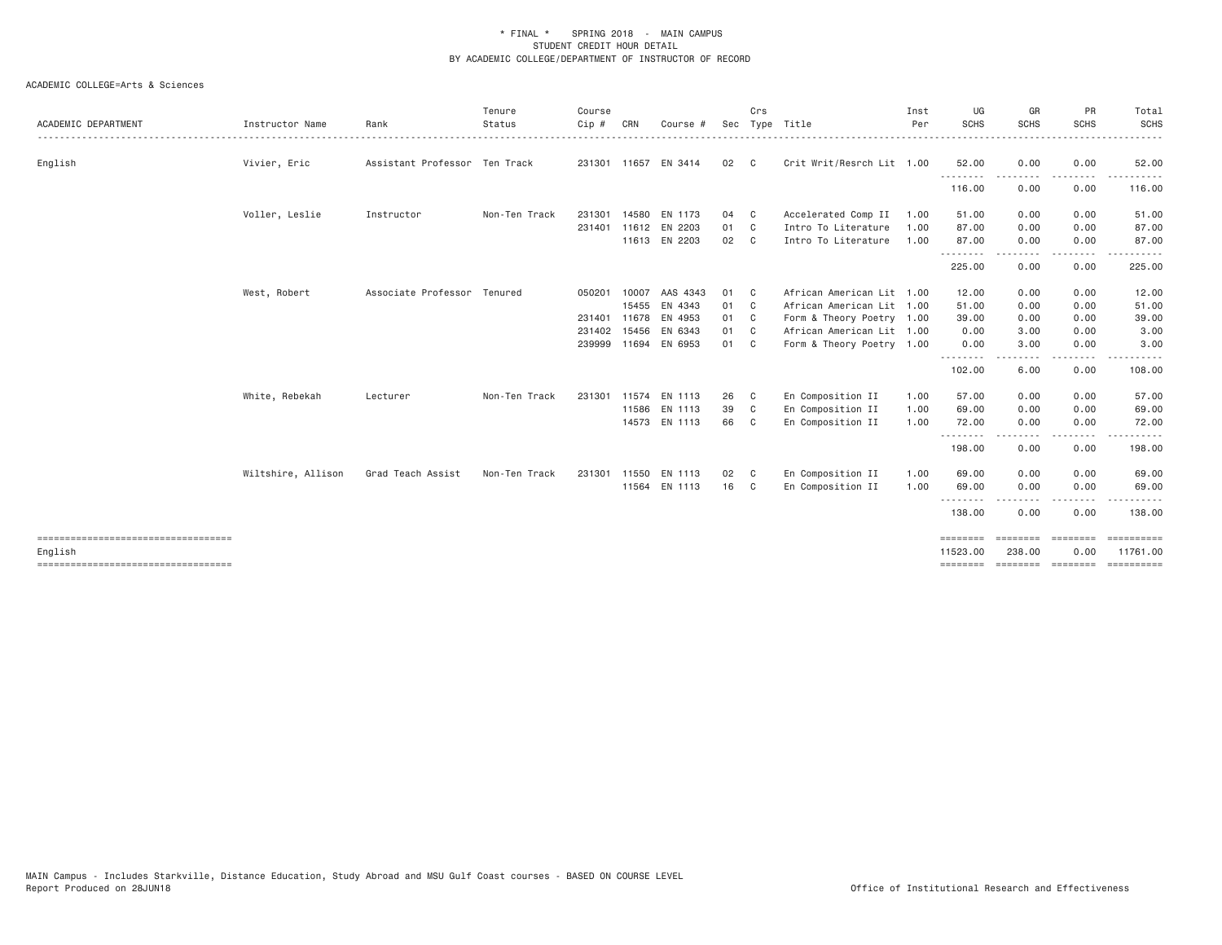| ACADEMIC DEPARTMENT                             | Instructor Name    | Rank                          | Tenure<br>Status | Course<br>Cip# | CRN   | Course #             | Sec  | Crs            | Type Title                | Inst<br>Per | UG<br>SCHS           | GR<br><b>SCHS</b>           | PR<br><b>SCHS</b>     | Total<br><b>SCHS</b>    |
|-------------------------------------------------|--------------------|-------------------------------|------------------|----------------|-------|----------------------|------|----------------|---------------------------|-------------|----------------------|-----------------------------|-----------------------|-------------------------|
| English                                         | Vivier, Eric       | Assistant Professor Ten Track |                  |                |       | 231301 11657 EN 3414 | 02   | C <sub>c</sub> | Crit Writ/Resrch Lit 1.00 |             | 52.00                | 0.00                        | 0.00                  | 52.00                   |
|                                                 |                    |                               |                  |                |       |                      |      |                |                           |             | .<br>116.00          | 0.00                        | 0.00                  | 116.00                  |
|                                                 | Voller, Leslie     | Instructor                    | Non-Ten Track    | 231301         |       | 14580 EN 1173        | 04   | C <sub>1</sub> | Accelerated Comp II       | 1.00        | 51.00                | 0.00                        | 0.00                  | 51.00                   |
|                                                 |                    |                               |                  | 231401         |       | 11612 EN 2203        | 01   | C.             | Intro To Literature       | 1.00        | 87.00                | 0.00                        | 0.00                  | 87.00                   |
|                                                 |                    |                               |                  |                |       | 11613 EN 2203        | 02   | C.             | Intro To Literature       | 1.00        | 87.00                | 0.00<br>.                   | 0.00<br>$\frac{1}{2}$ | 87.00<br>.              |
|                                                 |                    |                               |                  |                |       |                      |      |                |                           |             | 225.00               | 0.00                        | 0.00                  | 225.00                  |
|                                                 | West, Robert       | Associate Professor Tenured   |                  | 050201         | 10007 | AAS 4343             | 01   | $\mathbf{C}$   | African American Lit 1.00 |             | 12.00                | 0.00                        | 0.00                  | 12.00                   |
|                                                 |                    |                               |                  |                | 15455 | EN 4343              | 01   | - C            | African American Lit 1.00 |             | 51.00                | 0.00                        | 0.00                  | 51.00                   |
|                                                 |                    |                               |                  | 231401         | 11678 | EN 4953              | 01   | C <sub>1</sub> | Form & Theory Poetry 1.00 |             | 39.00                | 0.00                        | 0.00                  | 39.00                   |
|                                                 |                    |                               |                  | 231402         | 15456 | EN 6343              | 01   | C <sub>c</sub> | African American Lit 1.00 |             | 0.00                 | 3.00                        | 0.00                  | 3.00                    |
|                                                 |                    |                               |                  |                |       | 239999 11694 EN 6953 | 01 C |                | Form & Theory Poetry 1.00 |             | 0.00<br><u>.</u>     | 3.00                        | 0.00<br>$\frac{1}{2}$ | 3.00                    |
|                                                 |                    |                               |                  |                |       |                      |      |                |                           |             | 102.00               | 6.00                        | 0.00                  | 108.00                  |
|                                                 | White, Rebekah     | Lecturer                      | Non-Ten Track    | 231301         |       | 11574 EN 1113        | 26   | C              | En Composition II         | 1.00        | 57.00                | 0.00                        | 0.00                  | 57.00                   |
|                                                 |                    |                               |                  |                |       | 11586 EN 1113        | 39   | - C            | En Composition II         | 1.00        | 69.00                | 0.00                        | 0.00                  | 69.00                   |
|                                                 |                    |                               |                  |                |       | 14573 EN 1113        | 66   | C.             | En Composition II         | 1.00        | 72.00<br>.           | 0.00                        | 0.00                  | 72.00                   |
|                                                 |                    |                               |                  |                |       |                      |      |                |                           |             | 198.00               | 0.00                        | 0.00                  | 198.00                  |
|                                                 | Wiltshire, Allison | Grad Teach Assist             | Non-Ten Track    | 231301         | 11550 | EN 1113              | 02   | $\mathbf{C}$   | En Composition II         | 1.00        | 69.00                | 0.00                        | 0.00                  | 69.00                   |
|                                                 |                    |                               |                  |                |       | 11564 EN 1113        | 16   | C <sub>c</sub> | En Composition II         | 1.00        | 69.00                | 0.00                        | 0.00                  | 69.00                   |
|                                                 |                    |                               |                  |                |       |                      |      |                |                           |             | --------<br>138.00   | 0.00                        | $- - - -$<br>0.00     | 138.00                  |
| ====================================            |                    |                               |                  |                |       |                      |      |                |                           |             | ========             | ========                    | <b>ESSESSE</b>        | $=$ = = = = = = = = = = |
| English<br>==================================== |                    |                               |                  |                |       |                      |      |                |                           |             | 11523.00<br>======== | 238.00<br>steeders concerne | 0.00                  | 11761.00                |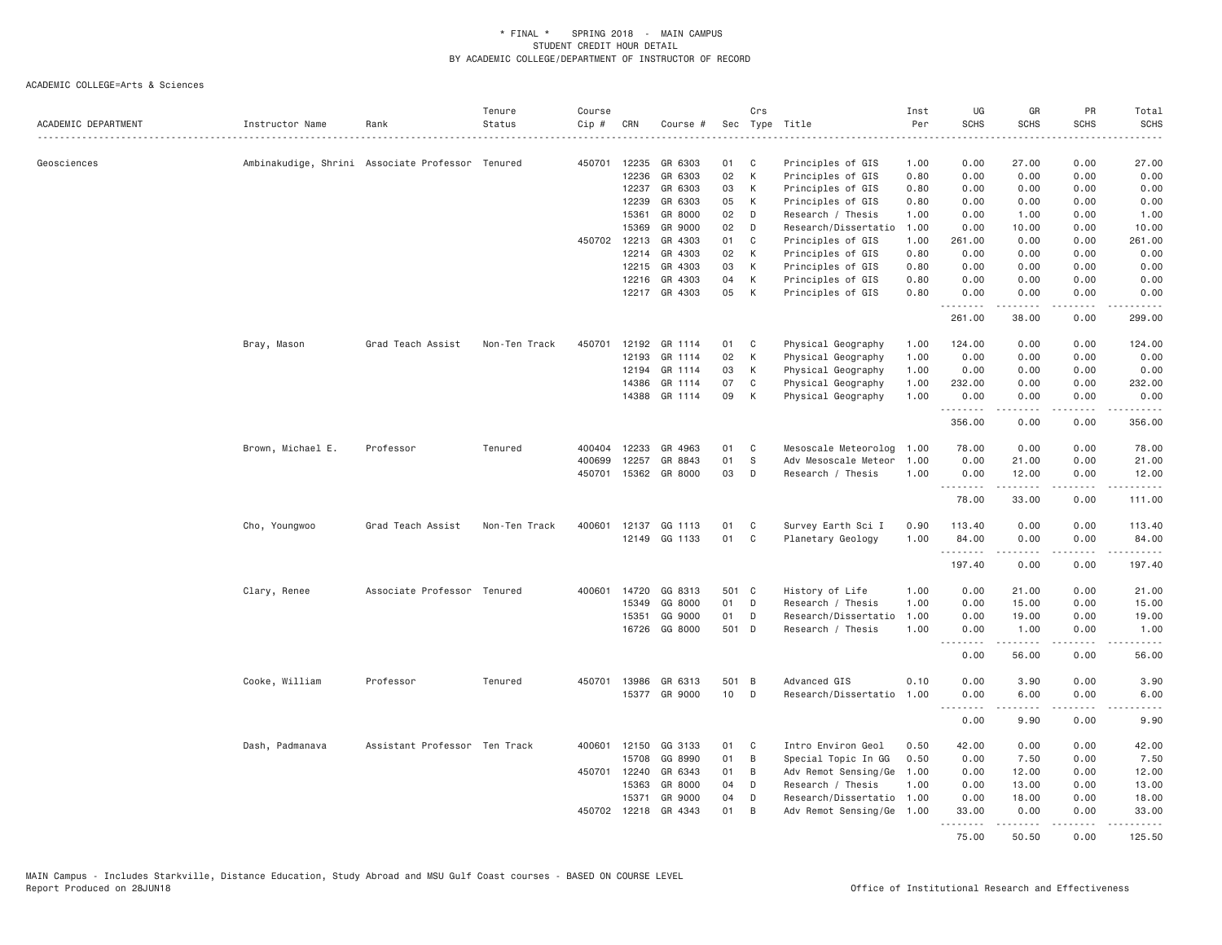| ACADEMIC DEPARTMENT | Instructor Name                                  | Rank                          | Tenure<br>Status | Course<br>Cip # | CRN            | Course #             |                 | Crs          | Sec Type Title                         | Inst<br>Per  | UG<br><b>SCHS</b>            | GR<br><b>SCHS</b>                                                                                                                                            | PR<br><b>SCHS</b>            | Total<br><b>SCHS</b>   |
|---------------------|--------------------------------------------------|-------------------------------|------------------|-----------------|----------------|----------------------|-----------------|--------------|----------------------------------------|--------------|------------------------------|--------------------------------------------------------------------------------------------------------------------------------------------------------------|------------------------------|------------------------|
| Geosciences         |                                                  |                               |                  | 450701          | 12235          | GR 6303              | 01              | C            | Principles of GIS                      | 1.00         | 0.00                         | 27.00                                                                                                                                                        | 0.00                         | 27.00                  |
|                     | Ambinakudige, Shrini Associate Professor Tenured |                               |                  |                 |                |                      |                 |              |                                        |              |                              |                                                                                                                                                              |                              |                        |
|                     |                                                  |                               |                  |                 | 12236<br>12237 | GR 6303<br>GR 6303   | 02<br>03        | K<br>К       | Principles of GIS<br>Principles of GIS | 0.80<br>0.80 | 0.00<br>0.00                 | 0.00<br>0.00                                                                                                                                                 | 0.00<br>0.00                 | 0.00<br>0.00           |
|                     |                                                  |                               |                  |                 | 12239          | GR 6303              | 05              | К            |                                        | 0.80         | 0.00                         | 0.00                                                                                                                                                         | 0.00                         | 0.00                   |
|                     |                                                  |                               |                  |                 | 15361          | GR 8000              | 02              | D            | Principles of GIS<br>Research / Thesis | 1.00         | 0.00                         | 1.00                                                                                                                                                         | 0.00                         | 1.00                   |
|                     |                                                  |                               |                  |                 | 15369          | GR 9000              | 02              | D            | Research/Dissertatio                   | 1.00         | 0.00                         | 10.00                                                                                                                                                        | 0.00                         | 10.00                  |
|                     |                                                  |                               |                  | 450702          | 12213          | GR 4303              | 01              | C            | Principles of GIS                      | 1.00         | 261.00                       | 0.00                                                                                                                                                         | 0.00                         | 261.00                 |
|                     |                                                  |                               |                  |                 | 12214          | GR 4303              | 02              | К            | Principles of GIS                      | 0.80         | 0.00                         | 0.00                                                                                                                                                         | 0.00                         | 0.00                   |
|                     |                                                  |                               |                  |                 | 12215          | GR 4303              | 03              | K            | Principles of GIS                      | 0.80         | 0.00                         | 0.00                                                                                                                                                         | 0.00                         | 0.00                   |
|                     |                                                  |                               |                  |                 | 12216          | GR 4303              | 04              | K            | Principles of GIS                      | 0.80         | 0.00                         | 0.00                                                                                                                                                         | 0.00                         | 0.00                   |
|                     |                                                  |                               |                  |                 |                | 12217 GR 4303        | 05              | K            |                                        | 0.80         | 0.00                         | 0.00                                                                                                                                                         | 0.00                         |                        |
|                     |                                                  |                               |                  |                 |                |                      |                 |              | Principles of GIS                      |              | .                            | .                                                                                                                                                            | $- - - -$                    | 0.00                   |
|                     |                                                  |                               |                  |                 |                |                      |                 |              |                                        |              | 261.00                       | 38.00                                                                                                                                                        | 0.00                         | 299.00                 |
|                     | Bray, Mason                                      | Grad Teach Assist             | Non-Ten Track    | 450701          |                | 12192 GR 1114        | 01              | $\mathbf{C}$ | Physical Geography                     | 1.00         | 124.00                       | 0.00                                                                                                                                                         | 0.00                         | 124.00                 |
|                     |                                                  |                               |                  |                 | 12193          | GR 1114              | 02              | K            | Physical Geography                     | 1.00         | 0.00                         | 0.00                                                                                                                                                         | 0.00                         | 0.00                   |
|                     |                                                  |                               |                  |                 | 12194          | GR 1114              | 03              | К            | Physical Geography                     | 1.00         | 0.00                         | 0.00                                                                                                                                                         | 0.00                         | 0.00                   |
|                     |                                                  |                               |                  |                 | 14386          | GR 1114              | 07              | C            | Physical Geography                     | 1.00         | 232.00                       | 0.00                                                                                                                                                         | 0.00                         | 232.00                 |
|                     |                                                  |                               |                  |                 | 14388          | GR 1114              | 09              | K            | Physical Geography                     | 1.00         | 0.00<br>.                    | 0.00<br>.                                                                                                                                                    | 0.00<br>د د د د              | 0.00<br>.              |
|                     |                                                  |                               |                  |                 |                |                      |                 |              |                                        |              | 356.00                       | 0.00                                                                                                                                                         | 0.00                         | 356.00                 |
|                     | Brown, Michael E.                                | Professor                     | Tenured          | 400404          | 12233          | GR 4963              | 01              | C            | Mesoscale Meteorolog                   | 1.00         | 78.00                        | 0.00                                                                                                                                                         | 0.00                         | 78.00                  |
|                     |                                                  |                               |                  | 400699          | 12257          | GR 8843              | 01              | S            | Adv Mesoscale Meteor                   | 1.00         | 0.00                         | 21.00                                                                                                                                                        | 0.00                         | 21.00                  |
|                     |                                                  |                               |                  | 450701          |                | 15362 GR 8000        | 03              | D            | Research / Thesis                      | 1.00         | 0.00                         | 12.00<br>.                                                                                                                                                   | 0.00<br>$\sim$ - - -         | 12.00<br>.             |
|                     |                                                  |                               |                  |                 |                |                      |                 |              |                                        |              | 78.00                        | 33.00                                                                                                                                                        | 0.00                         | 111.00                 |
|                     | Cho, Youngwoo                                    | Grad Teach Assist             | Non-Ten Track    | 400601          | 12137          | GG 1113              | 01              | C            | Survey Earth Sci I                     | 0.90         | 113.40                       | 0.00                                                                                                                                                         | 0.00                         | 113.40                 |
|                     |                                                  |                               |                  |                 |                | 12149 GG 1133        | 01              | C            | Planetary Geology                      | 1,00         | 84.00                        | 0.00                                                                                                                                                         | 0.00                         | 84,00                  |
|                     |                                                  |                               |                  |                 |                |                      |                 |              |                                        |              | 197.40                       | .<br>0.00                                                                                                                                                    | $\sim$ $\sim$ $\sim$<br>0.00 | .<br>197.40            |
|                     | Clary, Renee                                     | Associate Professor Tenured   |                  | 400601          | 14720          | GG 8313              | 501 C           |              | History of Life                        | 1.00         | 0.00                         | 21.00                                                                                                                                                        | 0.00                         | 21,00                  |
|                     |                                                  |                               |                  |                 | 15349          | GG 8000              | 01              | D            | Research / Thesis                      | 1.00         | 0.00                         | 15.00                                                                                                                                                        | 0.00                         | 15.00                  |
|                     |                                                  |                               |                  |                 | 15351          | GG 9000              | 01              | D            | Research/Dissertatio                   | 1.00         | 0.00                         | 19.00                                                                                                                                                        | 0.00                         | 19.00                  |
|                     |                                                  |                               |                  |                 |                | 16726 GG 8000        | 501 D           |              | Research / Thesis                      | 1.00         | 0.00                         | 1.00                                                                                                                                                         | 0.00                         | 1.00                   |
|                     |                                                  |                               |                  |                 |                |                      |                 |              |                                        |              | $\sim$ $\sim$ $\sim$<br>0.00 | -----<br>56.00                                                                                                                                               | .<br>0.00                    | $\frac{1}{2}$<br>56.00 |
|                     | Cooke, William                                   | Professor                     | Tenured          | 450701          | 13986          | GR 6313              | 501 B           |              | Advanced GIS                           | 0.10         | 0.00                         | 3.90                                                                                                                                                         | 0.00                         | 3.90                   |
|                     |                                                  |                               |                  |                 |                | 15377 GR 9000        | 10 <sub>1</sub> | D            | Research/Dissertatio                   | 1.00         | 0.00                         | 6.00                                                                                                                                                         | 0.00                         | 6.00                   |
|                     |                                                  |                               |                  |                 |                |                      |                 |              |                                        |              |                              |                                                                                                                                                              |                              |                        |
|                     |                                                  |                               |                  |                 |                |                      |                 |              |                                        |              | 0.00                         | 9.90                                                                                                                                                         | 0.00                         | 9.90                   |
|                     | Dash, Padmanava                                  | Assistant Professor Ten Track |                  | 400601          | 12150          | GG 3133              | 01              | C            | Intro Environ Geol                     | 0.50         | 42.00                        | 0.00                                                                                                                                                         | 0.00                         | 42.00                  |
|                     |                                                  |                               |                  |                 | 15708          | GG 8990              | 01              | B            | Special Topic In GG                    | 0.50         | 0.00                         | 7.50                                                                                                                                                         | 0.00                         | 7.50                   |
|                     |                                                  |                               |                  | 450701          | 12240          | GR 6343              | 01              | B            | Adv Remot Sensing/Ge                   | 1.00         | 0.00                         | 12.00                                                                                                                                                        | 0.00                         | 12.00                  |
|                     |                                                  |                               |                  |                 | 15363          | GR 8000              | 04              | D            | Research / Thesis                      | 1.00         | 0.00                         | 13.00                                                                                                                                                        | 0.00                         | 13.00                  |
|                     |                                                  |                               |                  |                 | 15371          | GR 9000              | 04              | D            | Research/Dissertatio 1.00              |              | 0.00                         | 18.00                                                                                                                                                        | 0.00                         | 18.00                  |
|                     |                                                  |                               |                  |                 |                | 450702 12218 GR 4343 | 01              | B            | Adv Remot Sensing/Ge 1.00              |              | 33.00<br>.                   | 0.00<br>$\frac{1}{2} \left( \frac{1}{2} \right) \left( \frac{1}{2} \right) \left( \frac{1}{2} \right) \left( \frac{1}{2} \right) \left( \frac{1}{2} \right)$ | 0.00<br>د د د د              | 33.00<br>.             |
|                     |                                                  |                               |                  |                 |                |                      |                 |              |                                        |              | 75.00                        | 50.50                                                                                                                                                        | 0.00                         | 125.50                 |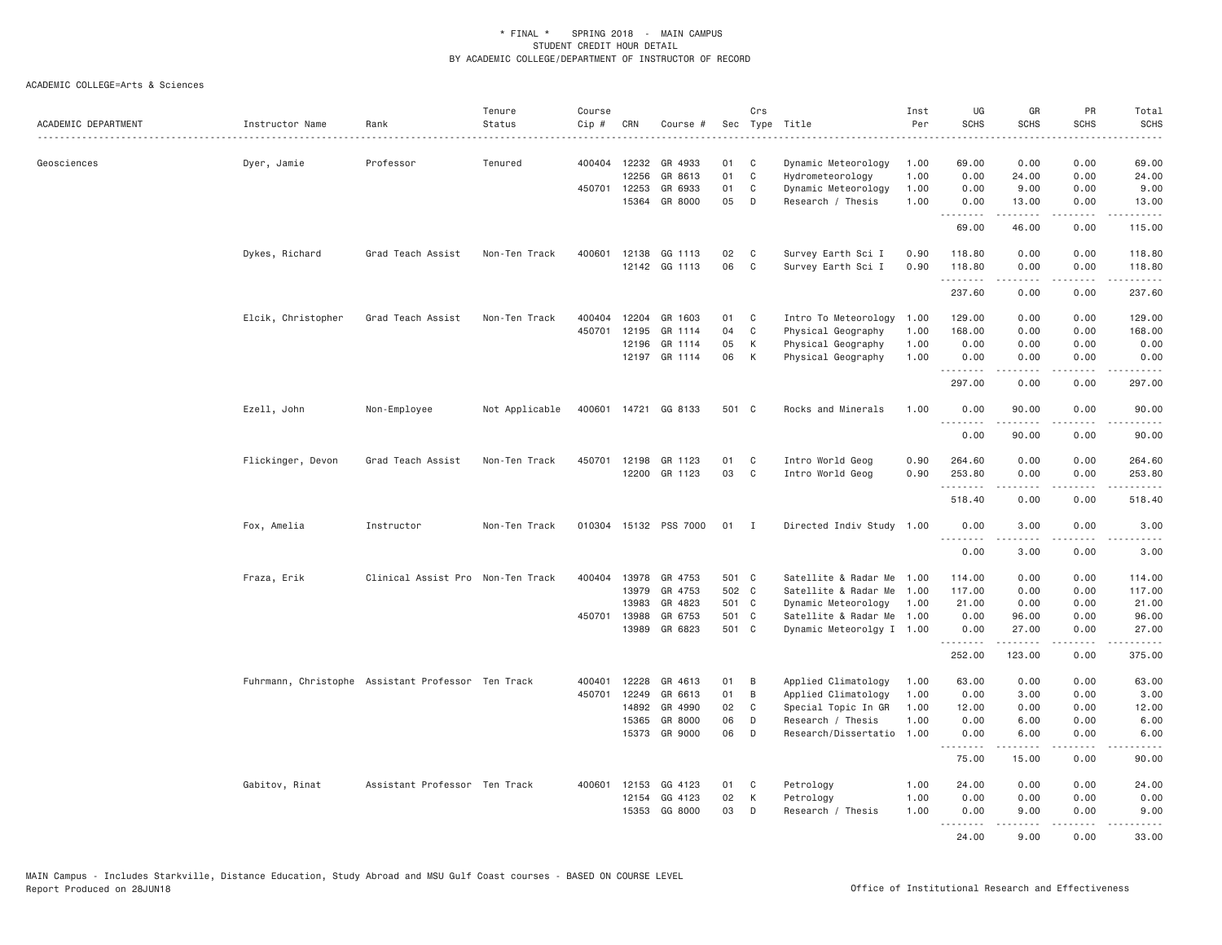| ACADEMIC DEPARTMENT | Instructor Name                                    | Rank                              | Tenure<br>Status | Course<br>Cip # | CRN          | Course #             | Sec   | Crs          | Type Title                | Inst<br>Per | UG<br><b>SCHS</b>    | GR<br><b>SCHS</b>     | PR<br><b>SCHS</b>                   | Total<br><b>SCHS</b>                                                                                                                                                                    |
|---------------------|----------------------------------------------------|-----------------------------------|------------------|-----------------|--------------|----------------------|-------|--------------|---------------------------|-------------|----------------------|-----------------------|-------------------------------------|-----------------------------------------------------------------------------------------------------------------------------------------------------------------------------------------|
|                     |                                                    | .                                 |                  |                 |              |                      |       |              | .                         |             |                      |                       |                                     |                                                                                                                                                                                         |
| Geosciences         | Dyer, Jamie                                        | Professor                         | Tenured          |                 | 400404 12232 | GR 4933              | 01    | C            | Dynamic Meteorology       | 1.00        | 69.00                | 0.00                  | 0.00                                | 69,00                                                                                                                                                                                   |
|                     |                                                    |                                   |                  |                 | 12256        | GR 8613              | 01    | $\mathsf{C}$ | Hydrometeorology          | 1.00        | 0.00                 | 24.00                 | 0.00                                | 24.00                                                                                                                                                                                   |
|                     |                                                    |                                   |                  |                 | 450701 12253 | GR 6933              | 01    | C            | Dynamic Meteorology       | 1.00        | 0.00                 | 9.00                  | 0.00                                | 9.00                                                                                                                                                                                    |
|                     |                                                    |                                   |                  |                 | 15364        | GR 8000              | 05    | D            | Research / Thesis         | 1.00        | 0.00<br>.            | 13.00                 | 0.00                                | 13.00                                                                                                                                                                                   |
|                     |                                                    |                                   |                  |                 |              |                      |       |              |                           |             | 69.00                | 46.00                 | 0.00                                | 115.00                                                                                                                                                                                  |
|                     | Dykes, Richard                                     | Grad Teach Assist                 | Non-Ten Track    | 400601          | 12138        | GG 1113              | 02    | C            | Survey Earth Sci I        | 0.90        | 118.80               | 0.00                  | 0.00                                | 118.80                                                                                                                                                                                  |
|                     |                                                    |                                   |                  |                 |              | 12142 GG 1113        | 06    | C            | Survey Earth Sci I        | 0.90        | 118.80<br>.          | 0.00<br>$- - - - -$   | 0.00<br>.                           | 118.80<br>.                                                                                                                                                                             |
|                     |                                                    |                                   |                  |                 |              |                      |       |              |                           |             | 237.60               | 0.00                  | 0.00                                | 237.60                                                                                                                                                                                  |
|                     | Elcik, Christopher                                 | Grad Teach Assist                 | Non-Ten Track    | 400404          | 12204        | GR 1603              | 01    | C            | Intro To Meteorology      | 1.00        | 129.00               | 0.00                  | 0.00                                | 129.00                                                                                                                                                                                  |
|                     |                                                    |                                   |                  | 450701          | 12195        | GR 1114              | 04    | C            | Physical Geography        | 1.00        | 168.00               | 0.00                  | 0.00                                | 168.00                                                                                                                                                                                  |
|                     |                                                    |                                   |                  |                 | 12196        | GR 1114              | 05    | К            | Physical Geography        | 1.00        | 0.00                 | 0.00                  | 0.00                                | 0.00                                                                                                                                                                                    |
|                     |                                                    |                                   |                  |                 |              | 12197 GR 1114        | 06    | К            | Physical Geography        | 1.00        | 0.00<br>.            | 0.00<br>-----         | 0.00<br>$\sim$ $\sim$ $\sim$ $\sim$ | 0.00<br>$\frac{1}{2} \left( \frac{1}{2} \right) \left( \frac{1}{2} \right) \left( \frac{1}{2} \right) \left( \frac{1}{2} \right) \left( \frac{1}{2} \right) \left( \frac{1}{2} \right)$ |
|                     |                                                    |                                   |                  |                 |              |                      |       |              |                           |             | 297.00               | 0.00                  | 0.00                                | 297.00                                                                                                                                                                                  |
|                     | Ezell, John                                        | Non-Employee                      | Not Applicable   |                 |              | 400601 14721 GG 8133 | 501 C |              | Rocks and Minerals        | 1.00        | 0.00<br><u>.</u>     | 90.00                 | 0.00                                | 90.00                                                                                                                                                                                   |
|                     |                                                    |                                   |                  |                 |              |                      |       |              |                           |             | 0.00                 | 90.00                 | 0.00                                | 90.00                                                                                                                                                                                   |
|                     | Flickinger, Devon                                  | Grad Teach Assist                 | Non-Ten Track    | 450701          | 12198        | GR 1123              | 01    | C            | Intro World Geog          | 0.90        | 264.60               | 0.00                  | 0.00                                | 264.60                                                                                                                                                                                  |
|                     |                                                    |                                   |                  |                 |              | 12200 GR 1123        | 03    | C            | Intro World Geog          | 0.90        | 253.80<br>. <b>.</b> | 0.00<br><u>.</u>      | 0.00<br>.                           | 253.80<br>$\frac{1}{2}$                                                                                                                                                                 |
|                     |                                                    |                                   |                  |                 |              |                      |       |              |                           |             | 518.40               | 0.00                  | 0.00                                | 518.40                                                                                                                                                                                  |
|                     | Fox, Amelia                                        | Instructor                        | Non-Ten Track    | 010304          |              | 15132 PSS 7000       | 01    | $\mathbf{I}$ | Directed Indiv Study 1.00 |             | 0.00<br>.            | 3.00<br>.             | 0.00<br>$- - - -$                   | 3.00<br>$- - - -$                                                                                                                                                                       |
|                     |                                                    |                                   |                  |                 |              |                      |       |              |                           |             | 0.00                 | 3.00                  | 0.00                                | 3.00                                                                                                                                                                                    |
|                     | Fraza, Erik                                        | Clinical Assist Pro Non-Ten Track |                  | 400404          | 13978        | GR 4753              | 501 C |              | Satellite & Radar Me      | 1.00        | 114.00               | 0.00                  | 0.00                                | 114.00                                                                                                                                                                                  |
|                     |                                                    |                                   |                  |                 | 13979        | GR 4753              | 502 C |              | Satellite & Radar Me      | 1.00        | 117.00               | 0.00                  | 0.00                                | 117.00                                                                                                                                                                                  |
|                     |                                                    |                                   |                  |                 | 13983        | GR 4823              | 501 C |              | Dynamic Meteorology       | 1.00        | 21.00                | 0.00                  | 0.00                                | 21.00                                                                                                                                                                                   |
|                     |                                                    |                                   |                  | 450701          | 13988        | GR 6753              | 501 C |              | Satellite & Radar Me      | 1.00        | 0.00                 | 96.00                 | 0.00                                | 96.00                                                                                                                                                                                   |
|                     |                                                    |                                   |                  |                 | 13989        | GR 6823              | 501 C |              | Dynamic Meteorolgy I 1.00 |             | 0.00<br>.            | 27.00<br>.            | 0.00<br>$\cdots$                    | 27.00<br>.                                                                                                                                                                              |
|                     |                                                    |                                   |                  |                 |              |                      |       |              |                           |             | 252.00               | 123.00                | 0.00                                | 375.00                                                                                                                                                                                  |
|                     | Fuhrmann, Christophe Assistant Professor Ten Track |                                   |                  | 400401          | 12228        | GR 4613              | 01    | B            | Applied Climatology       | 1.00        | 63.00                | 0.00                  | 0.00                                | 63.00                                                                                                                                                                                   |
|                     |                                                    |                                   |                  | 450701          | 12249        | GR 6613              | 01    | B            | Applied Climatology       | 1.00        | 0.00                 | 3.00                  | 0.00                                | 3.00                                                                                                                                                                                    |
|                     |                                                    |                                   |                  |                 | 14892        | GR 4990              | 02    | C            | Special Topic In GR       | 1.00        | 12.00                | 0.00                  | 0.00                                | 12.00                                                                                                                                                                                   |
|                     |                                                    |                                   |                  |                 | 15365        | GR 8000              | 06    | D            | Research / Thesis         | 1.00        | 0.00                 | 6.00                  | 0.00                                | 6.00                                                                                                                                                                                    |
|                     |                                                    |                                   |                  |                 | 15373        | GR 9000              | 06    | D            | Research/Dissertatio      | 1.00        | 0.00<br>.            | 6.00<br>$- - - - - -$ | 0.00<br>$\cdots$                    | 6.00<br>.                                                                                                                                                                               |
|                     |                                                    |                                   |                  |                 |              |                      |       |              |                           |             | 75.00                | 15.00                 | 0.00                                | 90.00                                                                                                                                                                                   |
|                     | Gabitov, Rinat                                     | Assistant Professor Ten Track     |                  |                 | 400601 12153 | GG 4123              | 01    | C            | Petrology                 | 1.00        | 24.00                | 0.00                  | 0.00                                | 24.00                                                                                                                                                                                   |
|                     |                                                    |                                   |                  |                 | 12154        | GG 4123              | 02    | К            | Petrology                 | 1.00        | 0.00                 | 0.00                  | 0.00                                | 0.00                                                                                                                                                                                    |
|                     |                                                    |                                   |                  |                 | 15353        | GG 8000              | 03    | D            | Research / Thesis         | 1.00        | 0.00<br>.            | 9.00<br>-----         | 0.00<br>$\omega$ is a $\omega$      | 9.00<br>$\sim$ $\sim$ $\sim$ $\sim$                                                                                                                                                     |
|                     |                                                    |                                   |                  |                 |              |                      |       |              |                           |             | 24.00                | 9.00                  | 0.00                                | 33.00                                                                                                                                                                                   |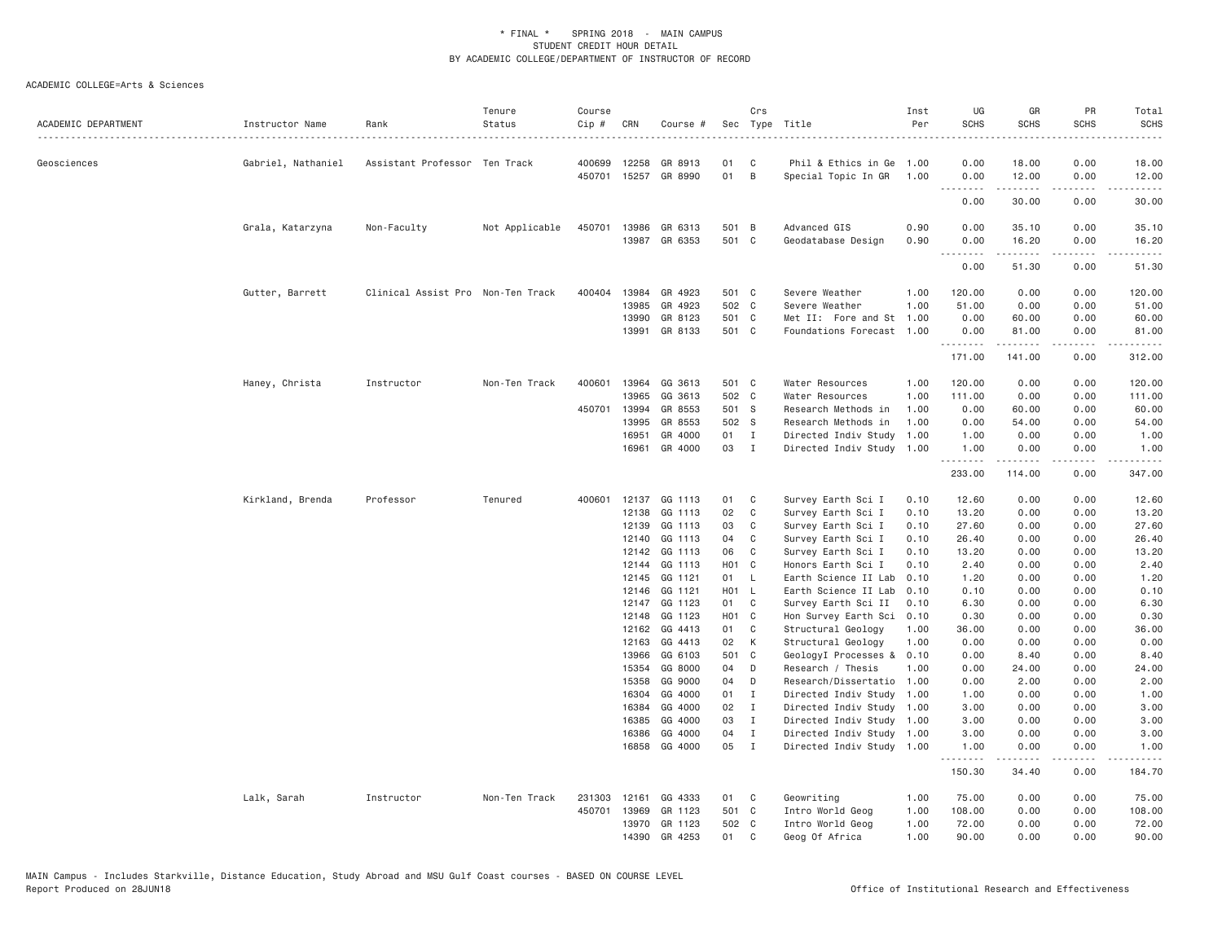| ACADEMIC DEPARTMENT | Instructor Name    | Rank                              | Tenure<br>Status | Course<br>Cip # | CRN            | Course #             |                         | Crs                         | Sec Type Title                                    | Inst<br>Per  | UG<br><b>SCHS</b><br>.          | GR<br><b>SCHS</b>                                                                                                                                                                        | PR<br><b>SCHS</b> | Total<br><b>SCHS</b><br>. |
|---------------------|--------------------|-----------------------------------|------------------|-----------------|----------------|----------------------|-------------------------|-----------------------------|---------------------------------------------------|--------------|---------------------------------|------------------------------------------------------------------------------------------------------------------------------------------------------------------------------------------|-------------------|---------------------------|
| Geosciences         | Gabriel, Nathaniel | Assistant Professor Ten Track     |                  | 400699          | 12258          | GR 8913              | 01                      | C                           | Phil & Ethics in Ge                               | 1.00         | 0.00                            | 18.00                                                                                                                                                                                    | 0.00              | 18.00                     |
|                     |                    |                                   |                  |                 |                | 450701 15257 GR 8990 | 01                      | B                           | Special Topic In GR                               | 1.00         | 0.00                            | 12.00                                                                                                                                                                                    | 0.00              | 12.00                     |
|                     |                    |                                   |                  |                 |                |                      |                         |                             |                                                   |              | د د د د<br>0.00                 | .<br>30.00                                                                                                                                                                               | .<br>0.00         | .<br>30.00                |
|                     | Grala, Katarzyna   | Non-Faculty                       | Not Applicable   | 450701          | 13986          | GR 6313              | 501 B                   |                             | Advanced GIS                                      | 0.90         | 0.00                            | 35.10                                                                                                                                                                                    | 0.00              | 35.10                     |
|                     |                    |                                   |                  |                 |                | 13987 GR 6353        | 501 C                   |                             | Geodatabase Design                                | 0.90         | 0.00<br><u> - - - - - - - -</u> | 16.20                                                                                                                                                                                    | 0.00              | 16.20                     |
|                     |                    |                                   |                  |                 |                |                      |                         |                             |                                                   |              | 0.00                            | 51.30                                                                                                                                                                                    | 0.00              | 51.30                     |
|                     | Gutter, Barrett    | Clinical Assist Pro Non-Ten Track |                  | 400404          | 13984          | GR 4923              | 501 C                   |                             | Severe Weather                                    | 1.00         | 120.00                          | 0.00                                                                                                                                                                                     | 0.00              | 120.00                    |
|                     |                    |                                   |                  |                 | 13985          | GR 4923              | 502 C                   |                             | Severe Weather                                    | 1.00         | 51.00                           | 0.00                                                                                                                                                                                     | 0.00              | 51.00                     |
|                     |                    |                                   |                  |                 | 13990          | GR 8123              | 501 C                   |                             | Met II: Fore and St                               | 1.00         | 0.00                            | 60.00                                                                                                                                                                                    | 0.00              | 60.00                     |
|                     |                    |                                   |                  |                 | 13991          | GR 8133              | 501 C                   |                             | Foundations Forecast 1.00                         |              | 0.00<br>.                       | 81.00<br>.                                                                                                                                                                               | 0.00<br>.         | 81.00<br>.                |
|                     |                    |                                   |                  |                 |                |                      |                         |                             |                                                   |              | 171.00                          | 141.00                                                                                                                                                                                   | 0.00              | 312.00                    |
|                     | Haney, Christa     | Instructor                        | Non-Ten Track    | 400601          | 13964          | GG 3613              | 501 C                   |                             | Water Resources                                   | 1.00         | 120.00                          | 0.00                                                                                                                                                                                     | 0.00              | 120.00                    |
|                     |                    |                                   |                  |                 | 13965          | GG 3613              | 502 C                   |                             | Water Resources                                   | 1.00         | 111.00                          | 0.00                                                                                                                                                                                     | 0.00              | 111.00                    |
|                     |                    |                                   |                  | 450701          | 13994          | GR 8553              | 501 S                   |                             | Research Methods in                               | 1.00         | 0.00                            | 60.00                                                                                                                                                                                    | 0.00              | 60.00                     |
|                     |                    |                                   |                  |                 | 13995          | GR 8553              | 502 S                   |                             | Research Methods in                               | 1.00         | 0.00                            | 54.00                                                                                                                                                                                    | 0.00              | 54.00                     |
|                     |                    |                                   |                  |                 | 16951          | GR 4000              | 01                      | $\mathbf{I}$                | Directed Indiv Study                              | 1.00         | 1.00                            | 0.00                                                                                                                                                                                     | 0.00              | 1.00                      |
|                     |                    |                                   |                  |                 | 16961          | GR 4000              | 03                      | $\blacksquare$              | Directed Indiv Study                              | 1.00         | 1.00<br>.                       | 0.00<br>.                                                                                                                                                                                | 0.00<br>.         | 1.00<br>$- - - - - - -$   |
|                     |                    |                                   |                  |                 |                |                      |                         |                             |                                                   |              | 233.00                          | 114.00                                                                                                                                                                                   | 0.00              | 347.00                    |
|                     | Kirkland, Brenda   | Professor                         | Tenured          | 400601          | 12137          | GG 1113              | 01                      | C                           | Survey Earth Sci I                                | 0.10         | 12.60                           | 0.00                                                                                                                                                                                     | 0.00              | 12.60                     |
|                     |                    |                                   |                  |                 | 12138          | GG 1113              | 02                      | C                           | Survey Earth Sci I                                | 0.10         | 13.20                           | 0.00                                                                                                                                                                                     | 0.00              | 13.20                     |
|                     |                    |                                   |                  |                 | 12139          | GG 1113              | 03                      | C                           | Survey Earth Sci I                                | 0.10         | 27.60                           | 0.00                                                                                                                                                                                     | 0.00              | 27.60                     |
|                     |                    |                                   |                  |                 | 12140          | GG 1113              | 04                      | C                           | Survey Earth Sci I                                | 0.10         | 26.40                           | 0.00                                                                                                                                                                                     | 0.00              | 26.40                     |
|                     |                    |                                   |                  |                 | 12142          | GG 1113              | 06                      | C                           | Survey Earth Sci I                                | 0.10<br>0.10 | 13.20                           | 0.00                                                                                                                                                                                     | 0.00              | 13.20                     |
|                     |                    |                                   |                  |                 | 12144<br>12145 | GG 1113<br>GG 1121   | H <sub>01</sub> C<br>01 | $\mathsf{L}$                | Honors Earth Sci I<br>Earth Science II Lab        | 0.10         | 2.40<br>1.20                    | 0.00<br>0.00                                                                                                                                                                             | 0.00<br>0.00      | 2.40<br>1.20              |
|                     |                    |                                   |                  |                 | 12146          | GG 1121              | H01 L                   |                             | Earth Science II Lab                              | 0.10         | 0.10                            | 0.00                                                                                                                                                                                     | 0.00              | 0.10                      |
|                     |                    |                                   |                  |                 | 12147          | GG 1123              | 01                      | C                           | Survey Earth Sci II                               | 0.10         | 6.30                            | 0.00                                                                                                                                                                                     | 0.00              | 6.30                      |
|                     |                    |                                   |                  |                 | 12148          | GG 1123              | H01 C                   |                             | Hon Survey Earth Sci                              | 0.10         | 0.30                            | 0.00                                                                                                                                                                                     | 0.00              | 0.30                      |
|                     |                    |                                   |                  |                 | 12162          | GG 4413              | 01                      | C                           | Structural Geology                                | 1.00         | 36.00                           | 0.00                                                                                                                                                                                     | 0.00              | 36.00                     |
|                     |                    |                                   |                  |                 | 12163          | GG 4413              | 02                      | K                           | Structural Geology                                | 1.00         | 0.00                            | 0.00                                                                                                                                                                                     | 0.00              | 0.00                      |
|                     |                    |                                   |                  |                 | 13966          | GG 6103              | 501 C                   |                             | GeologyI Processes &                              | 0.10         | 0.00                            | 8.40                                                                                                                                                                                     | 0.00              | 8.40                      |
|                     |                    |                                   |                  |                 | 15354          | GG 8000              | 04                      | D                           | Research / Thesis                                 | 1.00         | 0.00                            | 24.00                                                                                                                                                                                    | 0.00              | 24.00                     |
|                     |                    |                                   |                  |                 | 15358          | GG 9000              | 04                      | D                           | Research/Dissertatio 1.00                         |              | 0.00                            | 2.00                                                                                                                                                                                     | 0.00              | 2.00                      |
|                     |                    |                                   |                  |                 | 16304          | GG 4000              | 01                      | $\mathbf{I}$                | Directed Indiv Study                              | 1.00         | 1.00                            | 0.00                                                                                                                                                                                     | 0.00              | 1.00                      |
|                     |                    |                                   |                  |                 | 16384<br>16385 | GG 4000<br>GG 4000   | 02<br>03                | $\mathbf{I}$<br>$\mathbf I$ | Directed Indiv Study 1.00                         |              | 3.00<br>3.00                    | 0.00<br>0.00                                                                                                                                                                             | 0.00<br>0.00      | 3.00<br>3.00              |
|                     |                    |                                   |                  |                 | 16386          | GG 4000              | 04                      | $\mathbf{I}$                | Directed Indiv Study 1.00<br>Directed Indiv Study | 1.00         | 3.00                            | 0.00                                                                                                                                                                                     | 0.00              | 3.00                      |
|                     |                    |                                   |                  |                 | 16858          | GG 4000              | 05                      | $\mathbf{I}$                | Directed Indiv Study 1.00                         |              | 1.00                            | 0.00                                                                                                                                                                                     | 0.00              | 1.00                      |
|                     |                    |                                   |                  |                 |                |                      |                         |                             |                                                   |              | .<br>150.30                     | $\frac{1}{2} \left( \frac{1}{2} \right) \left( \frac{1}{2} \right) \left( \frac{1}{2} \right) \left( \frac{1}{2} \right) \left( \frac{1}{2} \right) \left( \frac{1}{2} \right)$<br>34.40 | .<br>0.00         | .<br>184.70               |
|                     | Lalk, Sarah        | Instructor                        | Non-Ten Track    | 231303          | 12161          | GG 4333              | 01                      | C                           | Geowriting                                        | 1.00         | 75.00                           | 0.00                                                                                                                                                                                     | 0.00              | 75.00                     |
|                     |                    |                                   |                  | 450701          | 13969          | GR 1123              | 501 C                   |                             | Intro World Geog                                  | 1.00         | 108.00                          | 0.00                                                                                                                                                                                     | 0.00              | 108.00                    |
|                     |                    |                                   |                  |                 | 13970          | GR 1123              | 502 C                   |                             | Intro World Geog                                  | 1.00         | 72.00                           | 0.00                                                                                                                                                                                     | 0.00              | 72.00                     |
|                     |                    |                                   |                  |                 | 14390          | GR 4253              | 01                      | $\mathsf{C}$                | Geog Of Africa                                    | 1.00         | 90.00                           | 0.00                                                                                                                                                                                     | 0.00              | 90.00                     |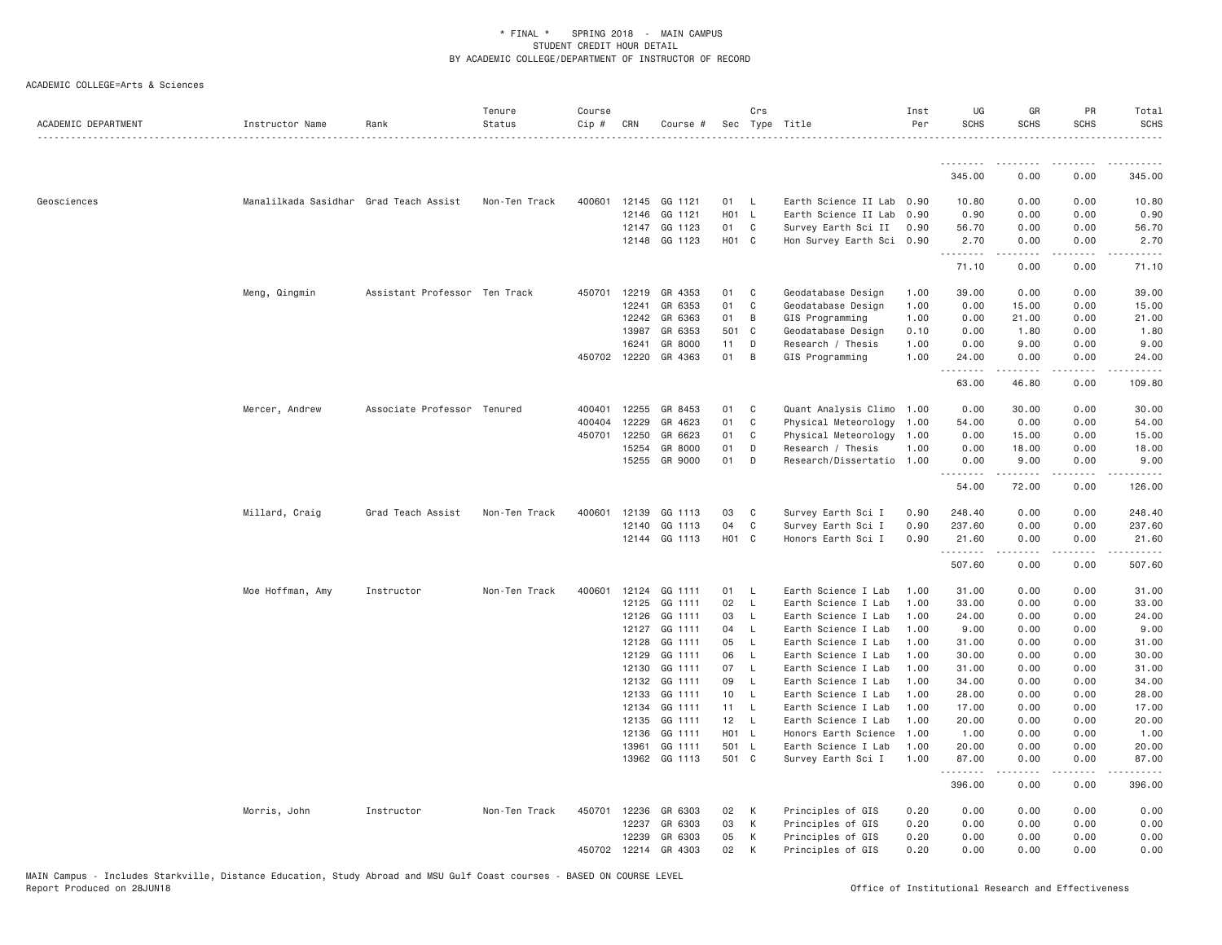| ACADEMIC DEPARTMENT | Instructor Name                        | Rank                          | Tenure<br>Status | Course<br>Cip # | CRN            | Course #           |                   | Crs                 | Sec Type Title                             | Inst<br>Per  | UG<br><b>SCHS</b>                                                                                                                                                                                                                                              | GR<br><b>SCHS</b> | PR<br><b>SCHS</b> | Total<br><b>SCHS</b> |
|---------------------|----------------------------------------|-------------------------------|------------------|-----------------|----------------|--------------------|-------------------|---------------------|--------------------------------------------|--------------|----------------------------------------------------------------------------------------------------------------------------------------------------------------------------------------------------------------------------------------------------------------|-------------------|-------------------|----------------------|
|                     |                                        |                               |                  |                 |                |                    |                   |                     |                                            |              |                                                                                                                                                                                                                                                                |                   |                   |                      |
|                     |                                        |                               |                  |                 |                |                    |                   |                     |                                            |              | 345.00                                                                                                                                                                                                                                                         | 0.00              | 0.00              | 345.00               |
| Geosciences         | Manalilkada Sasidhar Grad Teach Assist |                               | Non-Ten Track    |                 | 400601 12145   | GG 1121            | 01                | - L                 | Earth Science II Lab 0.90                  |              | 10.80                                                                                                                                                                                                                                                          | 0.00              | 0.00              | 10.80                |
|                     |                                        |                               |                  |                 | 12146          | GG 1121            | H01 L             |                     | Earth Science II Lab                       | 0.90         | 0.90                                                                                                                                                                                                                                                           | 0.00              | 0.00              | 0.90                 |
|                     |                                        |                               |                  |                 | 12147          | GG 1123            | 01                | C                   | Survey Earth Sci II                        | 0.90         | 56.70                                                                                                                                                                                                                                                          | 0.00              | 0.00              | 56.70                |
|                     |                                        |                               |                  |                 | 12148          | GG 1123            | H01 C             |                     | Hon Survey Earth Sci 0.90                  |              | 2.70<br>.                                                                                                                                                                                                                                                      | 0.00              | 0.00              | 2.70                 |
|                     |                                        |                               |                  |                 |                |                    |                   |                     |                                            |              | 71.10                                                                                                                                                                                                                                                          | 0.00              | 0.00              | 71.10                |
|                     | Meng, Qingmin                          | Assistant Professor Ten Track |                  | 450701          | 12219          | GR 4353            | 01                | C                   | Geodatabase Design                         | 1.00         | 39.00                                                                                                                                                                                                                                                          | 0.00              | 0.00              | 39.00                |
|                     |                                        |                               |                  |                 | 12241          | GR 6353            | 01                | C                   | Geodatabase Design                         | 1.00         | 0.00                                                                                                                                                                                                                                                           | 15.00             | 0.00              | 15.00                |
|                     |                                        |                               |                  |                 | 12242          | GR 6363            | 01                | В                   | GIS Programming                            | 1.00         | 0.00                                                                                                                                                                                                                                                           | 21.00             | 0.00              | 21.00                |
|                     |                                        |                               |                  |                 | 13987          | GR 6353            | 501 C             |                     | Geodatabase Design                         | 0.10         | 0.00                                                                                                                                                                                                                                                           | 1.80              | 0.00              | 1.80                 |
|                     |                                        |                               |                  |                 | 16241          | GR 8000            | 11                | D                   | Research / Thesis                          | 1.00         | 0.00                                                                                                                                                                                                                                                           | 9.00              | 0.00              | 9.00                 |
|                     |                                        |                               |                  |                 | 450702 12220   | GR 4363            | 01                | B                   | GIS Programming                            | 1.00         | 24.00<br>$- - - - -$                                                                                                                                                                                                                                           | 0.00<br>.         | 0.00<br>.         | 24.00                |
|                     |                                        |                               |                  |                 |                |                    |                   |                     |                                            |              | 63.00                                                                                                                                                                                                                                                          | 46.80             | 0.00              | 109.80               |
|                     | Mercer, Andrew                         | Associate Professor Tenured   |                  | 400401          | 12255          | GR 8453            | 01                | C                   | Quant Analysis Climo 1.00                  |              | 0.00                                                                                                                                                                                                                                                           | 30.00             | 0.00              | 30.00                |
|                     |                                        |                               |                  | 400404          | 12229          | GR 4623            | 01                | C                   | Physical Meteorology 1.00                  |              | 54.00                                                                                                                                                                                                                                                          | 0.00              | 0.00              | 54.00                |
|                     |                                        |                               |                  | 450701          | 12250          | GR 6623            | 01                | C                   | Physical Meteorology 1.00                  |              | 0.00                                                                                                                                                                                                                                                           | 15.00             | 0.00              | 15.00                |
|                     |                                        |                               |                  |                 | 15254          | GR 8000            | 01                | D                   | Research / Thesis                          | 1.00         | 0.00                                                                                                                                                                                                                                                           | 18.00             | 0.00              | 18.00                |
|                     |                                        |                               |                  |                 | 15255          | GR 9000            | 01                | D                   | Research/Dissertatio 1.00                  |              | 0.00<br>$\frac{1}{2} \left( \frac{1}{2} \right) \left( \frac{1}{2} \right) \left( \frac{1}{2} \right) \left( \frac{1}{2} \right) \left( \frac{1}{2} \right)$<br>$\frac{1}{2} \left( \frac{1}{2} \right) \left( \frac{1}{2} \right) \left( \frac{1}{2} \right)$ | 9.00<br>.         | 0.00<br>.         | 9.00<br>.            |
|                     |                                        |                               |                  |                 |                |                    |                   |                     |                                            |              | 54.00                                                                                                                                                                                                                                                          | 72.00             | 0.00              | 126.00               |
|                     | Millard, Craig                         | Grad Teach Assist             | Non-Ten Track    | 400601          | 12139          | GG 1113            | 03                | C                   | Survey Earth Sci I                         | 0.90         | 248.40                                                                                                                                                                                                                                                         | 0.00              | 0.00              | 248.40               |
|                     |                                        |                               |                  |                 | 12140          | GG 1113            | 04                | $\mathbf{C}$        | Survey Earth Sci I                         | 0.90         | 237.60                                                                                                                                                                                                                                                         | 0.00              | 0.00              | 237.60               |
|                     |                                        |                               |                  |                 |                | 12144 GG 1113      | H <sub>01</sub> C |                     | Honors Earth Sci I                         | 0.90         | 21.60<br>.                                                                                                                                                                                                                                                     | 0.00<br>.         | 0.00<br>.         | 21.60<br>.           |
|                     |                                        |                               |                  |                 |                |                    |                   |                     |                                            |              | 507.60                                                                                                                                                                                                                                                         | 0.00              | 0.00              | 507.60               |
|                     | Moe Hoffman, Amy                       | Instructor                    | Non-Ten Track    | 400601          | 12124          | GG 1111            | 01                | $\mathsf{L}$        | Earth Science I Lab                        | 1.00         | 31.00                                                                                                                                                                                                                                                          | 0.00              | 0.00              | 31.00                |
|                     |                                        |                               |                  |                 | 12125          | GG 1111            | 02                | - L                 | Earth Science I Lab                        | 1.00         | 33.00                                                                                                                                                                                                                                                          | 0.00              | 0.00              | 33.00                |
|                     |                                        |                               |                  |                 | 12126          | GG 1111            | 03                | <b>L</b>            | Earth Science I Lab                        | 1.00         | 24.00                                                                                                                                                                                                                                                          | 0.00              | 0.00              | 24.00                |
|                     |                                        |                               |                  |                 | 12127          | GG 1111            | 04                | L.                  | Earth Science I Lab                        | 1.00         | 9.00                                                                                                                                                                                                                                                           | 0.00              | 0.00              | 9.00                 |
|                     |                                        |                               |                  |                 | 12128          | GG 1111            | 05                | $\mathsf{L}$        | Earth Science I Lab                        | 1.00         | 31.00                                                                                                                                                                                                                                                          | 0.00              | 0.00              | 31.00                |
|                     |                                        |                               |                  |                 | 12129          | GG 1111            | 06                | L.                  | Earth Science I Lab                        | 1.00         | 30.00                                                                                                                                                                                                                                                          | 0.00              | 0.00              | 30.00                |
|                     |                                        |                               |                  |                 | 12130          | GG 1111            | 07                | - L<br>$\mathsf{L}$ | Earth Science I Lab                        | 1.00         | 31.00                                                                                                                                                                                                                                                          | 0.00              | 0.00              | 31.00                |
|                     |                                        |                               |                  |                 | 12132<br>12133 | GG 1111<br>GG 1111 | 09<br>10          | $\mathsf{L}$        | Earth Science I Lab<br>Earth Science I Lab | 1.00<br>1.00 | 34.00<br>28.00                                                                                                                                                                                                                                                 | 0.00<br>0.00      | 0.00<br>0.00      | 34.00<br>28.00       |
|                     |                                        |                               |                  |                 | 12134          | GG 1111            | 11                | $\mathsf{L}$        | Earth Science I Lab                        | 1,00         | 17.00                                                                                                                                                                                                                                                          | 0.00              | 0.00              | 17.00                |
|                     |                                        |                               |                  |                 | 12135          | GG 1111            | 12                | $\mathsf{L}$        | Earth Science I Lab                        | 1,00         | 20.00                                                                                                                                                                                                                                                          | 0.00              | 0.00              | 20.00                |
|                     |                                        |                               |                  |                 | 12136          | GG 1111            | H01 L             |                     | Honors Earth Science                       | 1.00         | 1.00                                                                                                                                                                                                                                                           | 0.00              | 0.00              | 1.00                 |
|                     |                                        |                               |                  |                 | 13961          | GG 1111            | 501 L             |                     | Earth Science I Lab                        | 1.00         | 20.00                                                                                                                                                                                                                                                          | 0.00              | 0.00              | 20.00                |
|                     |                                        |                               |                  |                 |                | 13962 GG 1113      | 501 C             |                     | Survey Earth Sci I                         | 1.00         | 87.00<br>.                                                                                                                                                                                                                                                     | 0.00              | 0.00              | 87.00                |
|                     |                                        |                               |                  |                 |                |                    |                   |                     |                                            |              | 396.00                                                                                                                                                                                                                                                         | 0.00              | 0.00              | 396.00               |
|                     | Morris, John                           | Instructor                    | Non-Ten Track    | 450701          | 12236          | GR 6303            | 02                | К                   | Principles of GIS                          | 0.20         | 0.00                                                                                                                                                                                                                                                           | 0.00              | 0.00              | 0.00                 |
|                     |                                        |                               |                  |                 | 12237          | GR 6303            | 03                | К                   | Principles of GIS                          | 0.20         | 0.00                                                                                                                                                                                                                                                           | 0.00              | 0.00              | 0.00                 |
|                     |                                        |                               |                  |                 | 12239          | GR 6303            | 05                | К                   | Principles of GIS                          | 0.20         | 0.00                                                                                                                                                                                                                                                           | 0.00              | 0.00              | 0.00                 |
|                     |                                        |                               |                  | 450702          | 12214          | GR 4303            | 02                | К                   | Principles of GIS                          | 0.20         | 0.00                                                                                                                                                                                                                                                           | 0.00              | 0.00              | 0.00                 |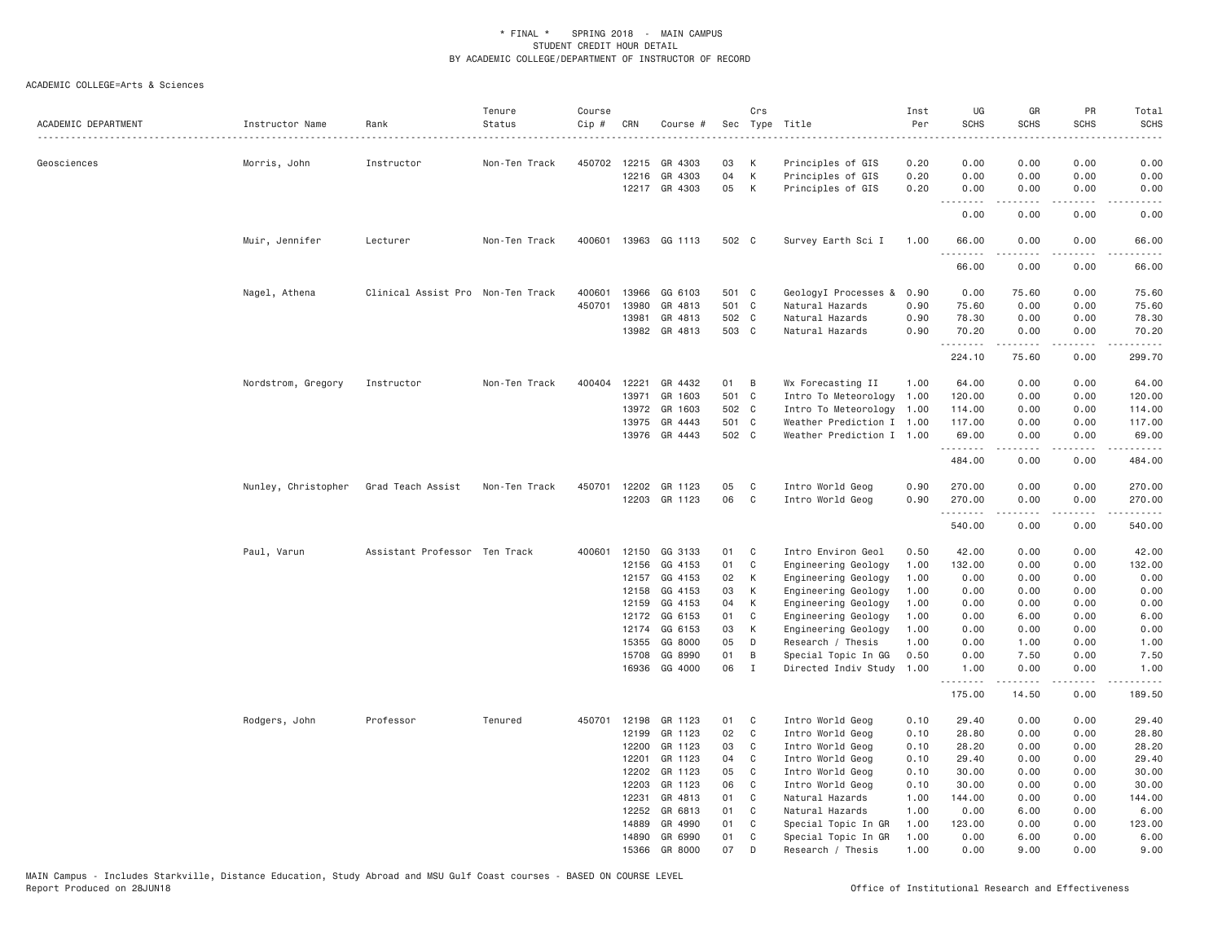| ACADEMIC DEPARTMENT | Instructor Name     | Rank                              | Tenure<br>Status | Course<br>Cip # | CRN   | Course #                 |          | Crs          | Sec Type Title<br>. <u>.</u> .              | Inst<br>Per<br>$- - - - - -$ | UG<br><b>SCHS</b>    | GR<br><b>SCHS</b>                                                                                                                                                                       | PR<br><b>SCHS</b>     | Total<br><b>SCHS</b> |
|---------------------|---------------------|-----------------------------------|------------------|-----------------|-------|--------------------------|----------|--------------|---------------------------------------------|------------------------------|----------------------|-----------------------------------------------------------------------------------------------------------------------------------------------------------------------------------------|-----------------------|----------------------|
| Geosciences         | Morris, John        | Instructor                        | Non-Ten Track    |                 |       | 450702 12215 GR 4303     | 03       | K            | Principles of GIS                           | 0.20                         | 0.00                 | 0.00                                                                                                                                                                                    | 0.00                  | 0.00                 |
|                     |                     |                                   |                  |                 | 12216 | GR 4303                  | 04       | K            | Principles of GIS                           | 0.20                         | 0.00                 | 0.00                                                                                                                                                                                    | 0.00                  | 0.00                 |
|                     |                     |                                   |                  |                 |       | 12217 GR 4303            | 05       | K            | Principles of GIS                           | 0.20                         | 0.00<br>.            | 0.00<br>2.2.2.2.2                                                                                                                                                                       | 0.00<br>.             | 0.00<br>.            |
|                     |                     |                                   |                  |                 |       |                          |          |              |                                             |                              | 0.00                 | 0.00                                                                                                                                                                                    | 0.00                  | 0.00                 |
|                     | Muir, Jennifer      | Lecturer                          | Non-Ten Track    | 400601          |       | 13963 GG 1113            | 502 C    |              | Survey Earth Sci I                          | 1.00                         | 66.00<br>-----       | 0.00<br>.                                                                                                                                                                               | 0.00                  | 66.00                |
|                     |                     |                                   |                  |                 |       |                          |          |              |                                             |                              | 66.00                | 0.00                                                                                                                                                                                    | 0.00                  | 66.00                |
|                     | Nagel, Athena       | Clinical Assist Pro Non-Ten Track |                  | 400601          | 13966 | GG 6103                  | 501 C    |              | GeologyI Processes &                        | 0.90                         | 0.00                 | 75.60                                                                                                                                                                                   | 0.00                  | 75.60                |
|                     |                     |                                   |                  | 450701          | 13980 | GR 4813                  | 501 C    |              | Natural Hazards                             | 0.90                         | 75.60                | 0.00                                                                                                                                                                                    | 0.00                  | 75.60                |
|                     |                     |                                   |                  |                 | 13981 | GR 4813                  | 502 C    |              | Natural Hazards                             | 0.90                         | 78.30                | 0.00                                                                                                                                                                                    | 0.00                  | 78.30                |
|                     |                     |                                   |                  |                 | 13982 | GR 4813                  | 503 C    |              | Natural Hazards                             | 0.90                         | 70.20<br>.           | 0.00<br>.                                                                                                                                                                               | 0.00<br>.             | 70.20<br>.           |
|                     |                     |                                   |                  |                 |       |                          |          |              |                                             |                              | 224.10               | 75.60                                                                                                                                                                                   | 0.00                  | 299.70               |
|                     | Nordstrom, Gregory  | Instructor                        | Non-Ten Track    | 400404          | 12221 | GR 4432                  | 01       | B            | Wx Forecasting II                           | 1.00                         | 64.00                | 0.00                                                                                                                                                                                    | 0.00                  | 64.00                |
|                     |                     |                                   |                  |                 | 13971 | GR 1603                  | 501 C    |              | Intro To Meteorology                        | 1.00                         | 120.00               | 0.00                                                                                                                                                                                    | 0.00                  | 120.00               |
|                     |                     |                                   |                  |                 | 13972 | GR 1603                  | 502 C    |              | Intro To Meteorology 1.00                   |                              | 114.00               | 0.00                                                                                                                                                                                    | 0.00                  | 114.00               |
|                     |                     |                                   |                  |                 | 13975 | GR 4443                  | 501 C    |              | Weather Prediction I 1.00                   |                              | 117.00               | 0.00                                                                                                                                                                                    | 0.00                  | 117.00               |
|                     |                     |                                   |                  |                 |       | 13976 GR 4443            | 502 C    |              | Weather Prediction I 1.00                   |                              | 69.00<br>.           | 0.00<br>$\frac{1}{2} \left( \frac{1}{2} \right) \left( \frac{1}{2} \right) \left( \frac{1}{2} \right) \left( \frac{1}{2} \right) \left( \frac{1}{2} \right) \left( \frac{1}{2} \right)$ | 0.00<br>.             | 69.00<br>.           |
|                     |                     |                                   |                  |                 |       |                          |          |              |                                             |                              | 484.00               | 0.00                                                                                                                                                                                    | 0.00                  | 484.00               |
|                     | Nunley, Christopher | Grad Teach Assist                 | Non-Ten Track    | 450701          | 12202 | GR 1123                  | 05       | C            | Intro World Geog                            | 0.90                         | 270.00               | 0.00                                                                                                                                                                                    | 0.00                  | 270.00               |
|                     |                     |                                   |                  |                 |       | 12203 GR 1123            | 06       | C            | Intro World Geog                            | 0.90                         | 270.00<br>. <u>.</u> | 0.00<br>-----                                                                                                                                                                           | 0.00<br>.             | 270.00               |
|                     |                     |                                   |                  |                 |       |                          |          |              |                                             |                              | 540.00               | 0.00                                                                                                                                                                                    | 0.00                  | 540.00               |
|                     | Paul, Varun         | Assistant Professor Ten Track     |                  | 400601          | 12150 | GG 3133                  | 01 C     |              | Intro Environ Geol                          | 0.50                         | 42.00                | 0.00                                                                                                                                                                                    | 0.00                  | 42.00                |
|                     |                     |                                   |                  |                 | 12156 | GG 4153                  | 01       | C            | Engineering Geology                         | 1.00                         | 132.00               | 0.00                                                                                                                                                                                    | 0.00                  | 132.00               |
|                     |                     |                                   |                  |                 | 12157 | GG 4153                  | 02       | K            | Engineering Geology                         | 1.00                         | 0.00                 | 0.00                                                                                                                                                                                    | 0.00                  | 0.00                 |
|                     |                     |                                   |                  |                 | 12158 | GG 4153                  | 03       | K            | Engineering Geology                         | 1.00                         | 0.00                 | 0.00                                                                                                                                                                                    | 0.00                  | 0.00                 |
|                     |                     |                                   |                  |                 | 12159 | GG 4153                  | 04       | K            | Engineering Geology                         | 1.00                         | 0.00                 | 0.00                                                                                                                                                                                    | 0.00                  | 0.00                 |
|                     |                     |                                   |                  |                 | 12172 | GG 6153                  | 01       | C            | Engineering Geology                         | 1.00                         | 0.00                 | 6.00                                                                                                                                                                                    | 0.00                  | 6.00                 |
|                     |                     |                                   |                  |                 | 12174 | GG 6153                  | 03       | K            | Engineering Geology                         | 1.00                         | 0.00                 | 0.00                                                                                                                                                                                    | 0.00                  | 0.00                 |
|                     |                     |                                   |                  |                 | 15355 | GG 8000                  | 05       | D            | Research / Thesis                           | 1.00                         | 0.00                 | 1.00                                                                                                                                                                                    | 0.00                  | 1.00                 |
|                     |                     |                                   |                  |                 | 15708 | GG 8990<br>16936 GG 4000 | 01<br>06 | B<br>I       | Special Topic In GG<br>Directed Indiv Study | 0.50<br>1.00                 | 0.00<br>1.00         | 7.50<br>0.00                                                                                                                                                                            | 0.00<br>0.00          | 7.50<br>1.00         |
|                     |                     |                                   |                  |                 |       |                          |          |              |                                             |                              | .<br>175.00          | $- - - - -$<br>14.50                                                                                                                                                                    | $\frac{1}{2}$<br>0.00 | .<br>189.50          |
|                     | Rodgers, John       | Professor                         | Tenured          | 450701          | 12198 | GR 1123                  | 01       | $\mathbf{C}$ | Intro World Geog                            | 0.10                         | 29.40                | 0.00                                                                                                                                                                                    | 0.00                  | 29.40                |
|                     |                     |                                   |                  |                 | 12199 | GR 1123                  | 02       | $\mathbf{C}$ | Intro World Geog                            | 0.10                         | 28.80                | 0.00                                                                                                                                                                                    | 0.00                  | 28.80                |
|                     |                     |                                   |                  |                 | 12200 | GR 1123                  | 03       | C            | Intro World Geog                            | 0.10                         | 28.20                | 0.00                                                                                                                                                                                    | 0.00                  | 28.20                |
|                     |                     |                                   |                  |                 | 12201 | GR 1123                  | 04       | C            | Intro World Geog                            | 0.10                         | 29.40                | 0.00                                                                                                                                                                                    | 0.00                  | 29.40                |
|                     |                     |                                   |                  |                 | 12202 | GR 1123                  | 05       | $\mathbb{C}$ | Intro World Geog                            | 0.10                         | 30.00                | 0.00                                                                                                                                                                                    | 0.00                  | 30.00                |
|                     |                     |                                   |                  |                 | 12203 | GR 1123                  | 06       | $\mathbf{C}$ | Intro World Geog                            | 0.10                         | 30.00                | 0.00                                                                                                                                                                                    | 0.00                  | 30.00                |
|                     |                     |                                   |                  |                 | 12231 | GR 4813                  | 01       | C            | Natural Hazards                             | 1.00                         | 144.00               | 0.00                                                                                                                                                                                    | 0.00                  | 144.00               |
|                     |                     |                                   |                  |                 | 12252 | GR 6813                  | 01       | C            | Natural Hazards                             | 1.00                         | 0.00                 | 6.00                                                                                                                                                                                    | 0.00                  | 6.00                 |
|                     |                     |                                   |                  |                 | 14889 | GR 4990                  | 01       | C            | Special Topic In GR                         | 1,00                         | 123.00               | 0.00                                                                                                                                                                                    | 0.00                  | 123.00               |
|                     |                     |                                   |                  |                 | 14890 | GR 6990                  | 01       | C            | Special Topic In GR                         | 1.00                         | 0.00                 | 6.00                                                                                                                                                                                    | 0.00                  | 6.00                 |
|                     |                     |                                   |                  |                 | 15366 | GR 8000                  | 07       | D            | Research / Thesis                           | 1.00                         | 0.00                 | 9,00                                                                                                                                                                                    | 0.00                  | 9.00                 |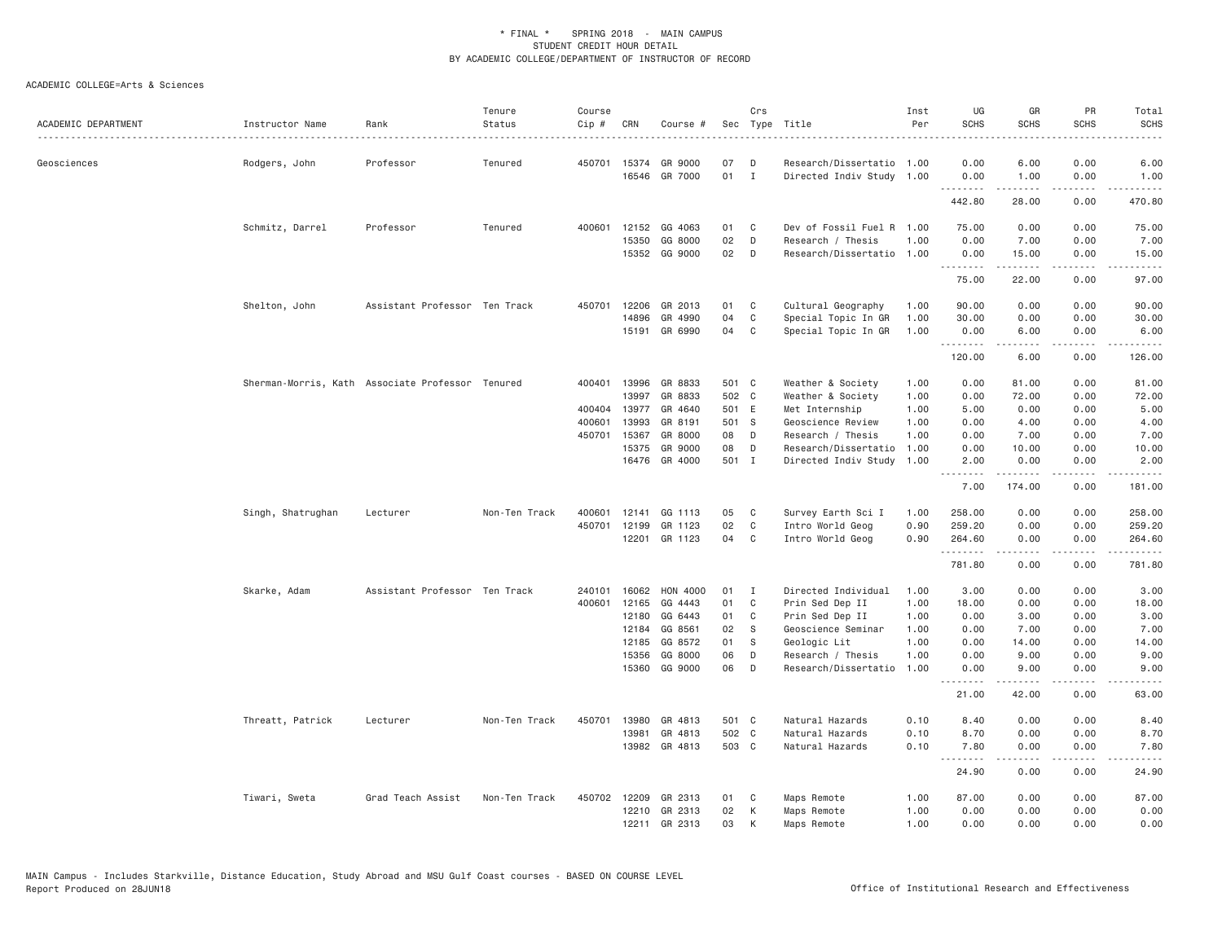| ACADEMIC DEPARTMENT | Instructor Name                                  | Rank                          | Tenure<br>Status | Course<br>Cip # | CRN            | Course #                 | Sec          | Crs    | Type Title                                             | Inst<br>Per  | UG<br><b>SCHS</b>  | GR<br><b>SCHS</b>                                                                                                                            | PR<br><b>SCHS</b> | Total<br><b>SCHS</b>   |
|---------------------|--------------------------------------------------|-------------------------------|------------------|-----------------|----------------|--------------------------|--------------|--------|--------------------------------------------------------|--------------|--------------------|----------------------------------------------------------------------------------------------------------------------------------------------|-------------------|------------------------|
|                     |                                                  |                               |                  |                 |                |                          |              |        |                                                        |              |                    |                                                                                                                                              |                   | -----                  |
| Geosciences         | Rodgers, John                                    | Professor                     | Tenured          | 450701 15374    |                | GR 9000<br>16546 GR 7000 | 07<br>$01$ I | D      | Research/Dissertatio 1.00<br>Directed Indiv Study 1.00 |              | 0.00<br>0.00       | 6.00<br>1.00                                                                                                                                 | 0.00<br>0.00      | 6.00<br>1.00           |
|                     |                                                  |                               |                  |                 |                |                          |              |        |                                                        |              | --------<br>442.80 | .<br>28.00                                                                                                                                   | .<br>0.00         | . <u>.</u> .<br>470.80 |
|                     | Schmitz, Darrel                                  | Professor                     | Tenured          | 400601          | 12152          | GG 4063                  | 01           | C      | Dev of Fossil Fuel R 1.00                              |              | 75.00              | 0.00                                                                                                                                         | 0.00              | 75.00                  |
|                     |                                                  |                               |                  |                 | 15350          | GG 8000                  | 02           | D      | Research / Thesis                                      | 1.00         | 0.00               | 7.00                                                                                                                                         | 0.00              | 7.00                   |
|                     |                                                  |                               |                  |                 |                | 15352 GG 9000            | 02           | D      | Research/Dissertatio 1.00                              |              | 0.00               | 15.00                                                                                                                                        | 0.00              | 15.00                  |
|                     |                                                  |                               |                  |                 |                |                          |              |        |                                                        |              | .<br>75.00         | .<br>22.00                                                                                                                                   | .<br>0.00         | .<br>97.00             |
|                     | Shelton, John                                    | Assistant Professor Ten Track |                  | 450701          | 12206          | GR 2013                  | 01           | C      | Cultural Geography                                     | 1.00         | 90.00              | 0.00                                                                                                                                         | 0.00              | 90.00                  |
|                     |                                                  |                               |                  |                 | 14896          | GR 4990                  | 04           | C      | Special Topic In GR                                    | 1.00         | 30.00              | 0.00                                                                                                                                         | 0.00              | 30.00                  |
|                     |                                                  |                               |                  |                 |                | 15191 GR 6990            | 04           | C      | Special Topic In GR                                    | 1.00         | 0.00<br><u>.</u>   | 6.00<br>.                                                                                                                                    | 0.00<br>.         | 6.00<br>.              |
|                     |                                                  |                               |                  |                 |                |                          |              |        |                                                        |              | 120.00             | 6.00                                                                                                                                         | 0.00              | 126.00                 |
|                     | Sherman-Morris, Kath Associate Professor Tenured |                               |                  | 400401          | 13996          | GR 8833                  | 501 C        |        | Weather & Society                                      | 1.00         | 0.00               | 81.00                                                                                                                                        | 0.00              | 81.00                  |
|                     |                                                  |                               |                  |                 | 13997          | GR 8833                  | 502 C        |        | Weather & Society                                      | 1.00         | 0.00               | 72.00                                                                                                                                        | 0.00              | 72.00                  |
|                     |                                                  |                               |                  | 400404          | 13977          | GR 4640                  | 501 E        |        | Met Internship                                         | 1.00         | 5.00               | 0.00                                                                                                                                         | 0.00              | 5.00                   |
|                     |                                                  |                               |                  | 400601          | 13993          | GR 8191                  | 501 S        |        | Geoscience Review                                      | 1.00         | 0.00               | 4.00                                                                                                                                         | 0.00              | 4.00                   |
|                     |                                                  |                               |                  | 450701          | 15367          | GR 8000                  | 08           | D      | Research / Thesis                                      | 1.00         | 0.00               | 7.00                                                                                                                                         | 0.00              | 7.00                   |
|                     |                                                  |                               |                  |                 | 15375          | GR 9000                  | 08           | D      | Research/Dissertatio                                   | 1.00         | 0.00               | 10.00                                                                                                                                        | 0.00              | 10.00                  |
|                     |                                                  |                               |                  |                 |                | 16476 GR 4000            | 501 I        |        | Directed Indiv Study                                   | 1.00         | 2.00<br><u>.</u>   | 0.00<br>. <u>.</u>                                                                                                                           | 0.00<br>.         | 2.00<br>.              |
|                     |                                                  |                               |                  |                 |                |                          |              |        |                                                        |              | 7.00               | 174.00                                                                                                                                       | 0.00              | 181.00                 |
|                     | Singh, Shatrughan                                | Lecturer                      | Non-Ten Track    | 400601          | 12141          | GG 1113                  | 05           | C      | Survey Earth Sci I                                     | 1.00         | 258.00             | 0.00                                                                                                                                         | 0.00              | 258.00                 |
|                     |                                                  |                               |                  | 450701          | 12199          | GR 1123                  | 02           | C      | Intro World Geog                                       | 0.90         | 259.20             | 0.00                                                                                                                                         | 0.00              | 259.20                 |
|                     |                                                  |                               |                  |                 | 12201          | GR 1123                  | 04           | C      | Intro World Geog                                       | 0.90         | 264.60<br>.        | 0.00<br>$\mathcal{L}^{\mathcal{A}}\left( \mathcal{A}^{\mathcal{A}}\right) =\mathcal{L}^{\mathcal{A}}\left( \mathcal{A}^{\mathcal{A}}\right)$ | 0.00<br>.         | 264.60<br>.            |
|                     |                                                  |                               |                  |                 |                |                          |              |        |                                                        |              | 781.80             | 0.00                                                                                                                                         | 0.00              | 781.80                 |
|                     | Skarke, Adam                                     | Assistant Professor Ten Track |                  | 240101          | 16062          | HON 4000                 | 01           | I      | Directed Individual                                    | 1.00         | 3.00               | 0.00                                                                                                                                         | 0.00              | 3.00                   |
|                     |                                                  |                               |                  | 400601          | 12165          | GG 4443                  | 01           | C      | Prin Sed Dep II                                        | 1.00         | 18.00              | 0.00                                                                                                                                         | 0.00              | 18.00                  |
|                     |                                                  |                               |                  |                 | 12180          | GG 6443                  | 01           | C      | Prin Sed Dep II                                        | 1.00         | 0.00               | 3.00                                                                                                                                         | 0.00              | 3.00                   |
|                     |                                                  |                               |                  |                 | 12184          | GG 8561                  | 02           | - S    | Geoscience Seminar                                     | 1.00         | 0.00               | 7.00                                                                                                                                         | 0.00              | 7.00                   |
|                     |                                                  |                               |                  |                 | 12185          | GG 8572                  | 01           | S      | Geologic Lit                                           | 1.00         | 0.00               | 14.00                                                                                                                                        | 0.00              | 14.00                  |
|                     |                                                  |                               |                  |                 | 15356<br>15360 | GG 8000<br>GG 9000       | 06<br>06     | D<br>D | Research / Thesis<br>Research/Dissertatio              | 1.00<br>1.00 | 0.00<br>0.00       | 9.00<br>9.00                                                                                                                                 | 0.00<br>0.00      | 9.00<br>9.00           |
|                     |                                                  |                               |                  |                 |                |                          |              |        |                                                        |              | 21.00              | .<br>42.00                                                                                                                                   | 0.00              | $    -$<br>63.00       |
|                     |                                                  |                               |                  |                 |                |                          |              |        |                                                        |              |                    |                                                                                                                                              |                   |                        |
|                     | Threatt, Patrick                                 | Lecturer                      | Non-Ten Track    | 450701          | 13980          | GR 4813                  | 501 C        |        | Natural Hazards                                        | 0.10         | 8.40               | 0.00                                                                                                                                         | 0.00              | 8.40                   |
|                     |                                                  |                               |                  |                 | 13981          | GR 4813                  | 502 C        |        | Natural Hazards                                        | 0.10         | 8.70               | 0.00                                                                                                                                         | 0.00              | 8.70                   |
|                     |                                                  |                               |                  |                 |                | 13982 GR 4813            | 503 C        |        | Natural Hazards                                        | 0.10         | 7.80               | 0.00<br>.                                                                                                                                    | 0.00<br>.         | 7.80<br>.              |
|                     |                                                  |                               |                  |                 |                |                          |              |        |                                                        |              | 24.90              | 0.00                                                                                                                                         | 0.00              | 24.90                  |
|                     | Tiwari, Sweta                                    | Grad Teach Assist             | Non-Ten Track    | 450702          | 12209          | GR 2313                  | 01           | C      | Maps Remote                                            | 1.00         | 87.00              | 0.00                                                                                                                                         | 0.00              | 87.00                  |
|                     |                                                  |                               |                  |                 | 12210          | GR 2313                  | 02           | К      | Maps Remote                                            | 1.00         | 0.00               | 0.00                                                                                                                                         | 0.00              | 0.00                   |
|                     |                                                  |                               |                  |                 |                | 12211 GR 2313            | 03           | К      | Maps Remote                                            | 1.00         | 0.00               | 0.00                                                                                                                                         | 0.00              | 0.00                   |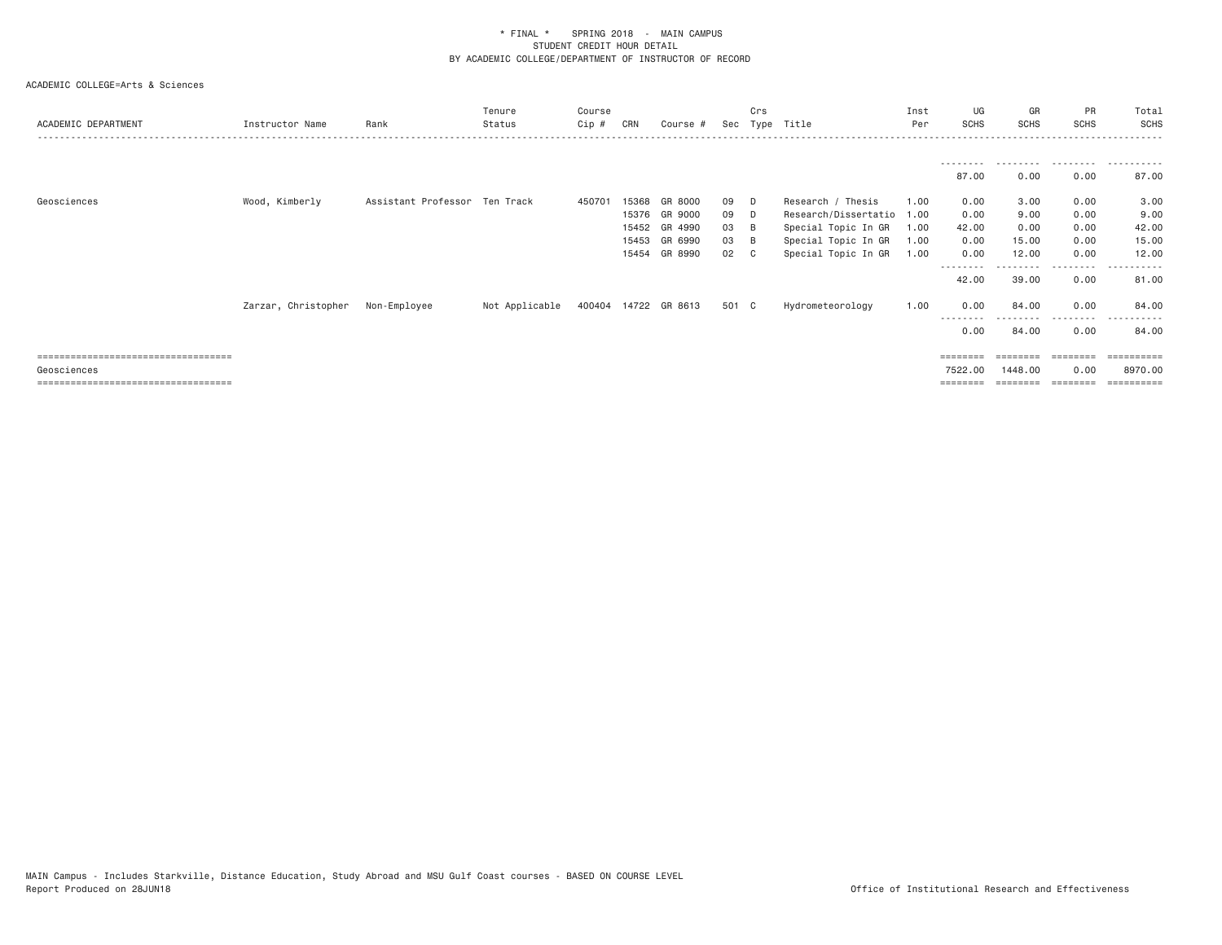| ACADEMIC DEPARTMENT                                  | Instructor Name | Rank                             | Tenure<br>Status                    | Course<br>Cip # | CRN                     | Course #                                                        |                            | Crs                                    | Sec Type Title                                                                                                 | Inst<br>Per                          | UG<br><b>SCHS</b>                     | GR<br><b>SCHS</b>                      | <b>PR</b><br><b>SCHS</b>                      | Total<br>SCHS                                |
|------------------------------------------------------|-----------------|----------------------------------|-------------------------------------|-----------------|-------------------------|-----------------------------------------------------------------|----------------------------|----------------------------------------|----------------------------------------------------------------------------------------------------------------|--------------------------------------|---------------------------------------|----------------------------------------|-----------------------------------------------|----------------------------------------------|
|                                                      |                 |                                  |                                     |                 |                         |                                                                 |                            |                                        |                                                                                                                |                                      | 87.00                                 | 0.00                                   | 0.00                                          | 87.00                                        |
| Geosciences                                          | Wood, Kimberly  | Assistant Professor Ten Track    |                                     | 450701          | 15368<br>15453<br>15454 | GR 8000<br>15376 GR 9000<br>15452 GR 4990<br>GR 6990<br>GR 8990 | 09<br>09<br>03<br>03<br>02 | D.<br>D.<br>- B<br>- B<br>$\mathbf{C}$ | Research / Thesis<br>Research/Dissertatio<br>Special Topic In GR<br>Special Topic In GR<br>Special Topic In GR | 1.00<br>1.00<br>1.00<br>1.00<br>1.00 | 0.00<br>0.00<br>42.00<br>0.00<br>0.00 | 3.00<br>9.00<br>0.00<br>15.00<br>12.00 | 0.00<br>0.00<br>0.00<br>0.00<br>0.00          | 3.00<br>9.00<br>42.00<br>15.00<br>12.00      |
|                                                      |                 | Zarzar, Christopher Non-Employee | Not Applicable 400404 14722 GR 8613 |                 |                         |                                                                 | 501 C                      |                                        | Hydrometeorology                                                                                               | 1.00                                 | 42.00<br>0.00<br>----<br>0.00         | 39.00<br>84.00<br>84.00                | -----<br>0.00<br>0.00<br>. <u>.</u> .<br>0.00 | - - - - - -<br>81.00<br>84.00<br>84.00       |
| =====================================<br>Geosciences |                 |                                  |                                     |                 |                         |                                                                 |                            |                                        |                                                                                                                |                                      | ========<br>7522.00                   | 1448,00                                | ========<br>0.00                              | $=$ = = = = = = = = =<br>8970.00<br>======== |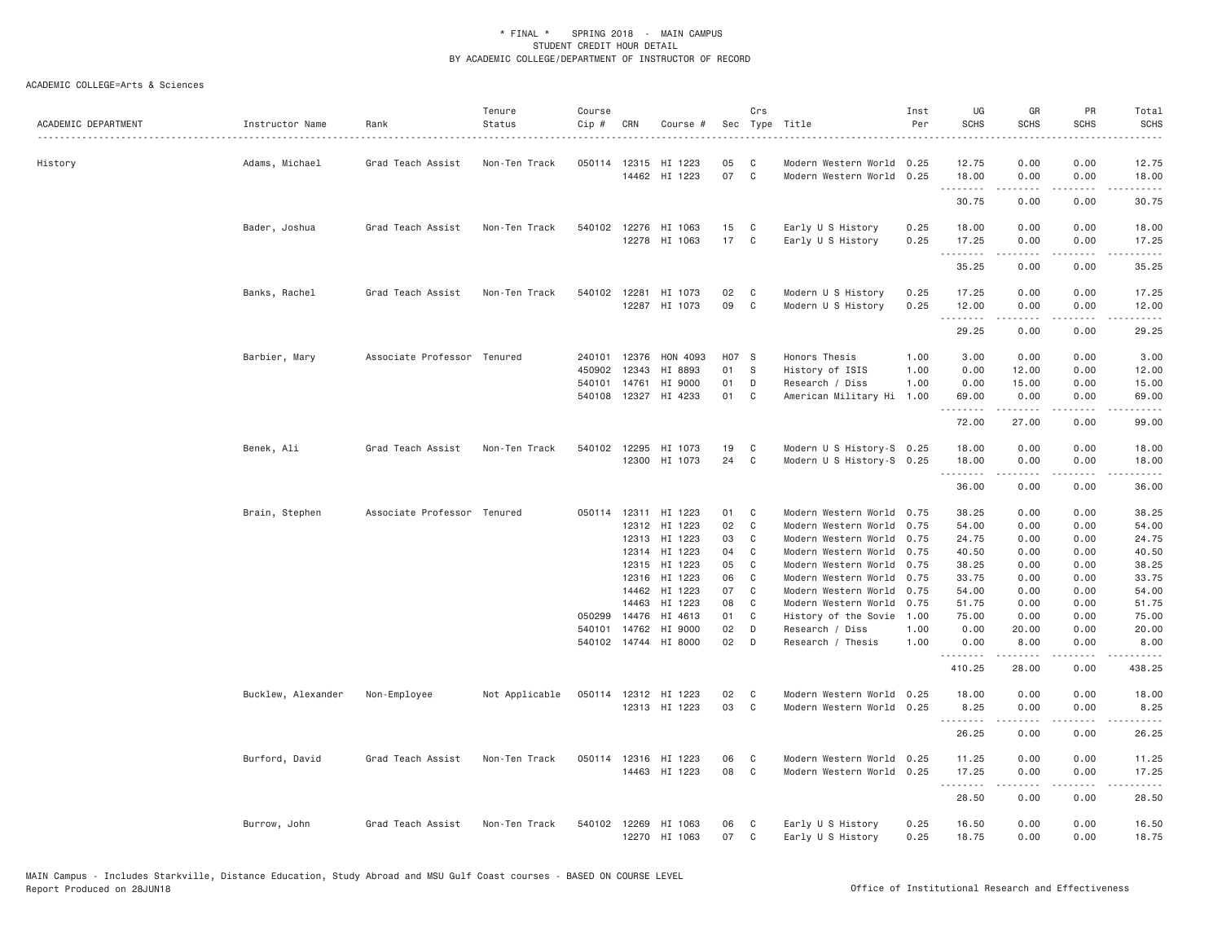| ACADEMIC DEPARTMENT | Instructor Name    | Rank                        | Tenure<br>Status | Course<br>$Cip$ # | CRN   | Course #                        |          | Crs<br>Sec Type Title        |                                                        | Inst<br>Per  | UG<br><b>SCHS</b> | GR<br><b>SCHS</b>                                                                                                                                            | PR<br><b>SCHS</b> | Total<br><b>SCHS</b> |
|---------------------|--------------------|-----------------------------|------------------|-------------------|-------|---------------------------------|----------|------------------------------|--------------------------------------------------------|--------------|-------------------|--------------------------------------------------------------------------------------------------------------------------------------------------------------|-------------------|----------------------|
| History             | Adams, Michael     | Grad Teach Assist           | Non-Ten Track    | 050114 12315      |       | HI 1223<br>14462 HI 1223        | 05<br>07 | C<br>$\mathbf{C}$            | Modern Western World 0.25<br>Modern Western World 0.25 |              | 12.75<br>18.00    | 0.00<br>0.00                                                                                                                                                 | 0.00<br>0.00      | 12.75<br>18.00       |
|                     |                    |                             |                  |                   |       |                                 |          |                              |                                                        |              | .<br>30.75        | $\frac{1}{2} \left( \frac{1}{2} \right) \left( \frac{1}{2} \right) \left( \frac{1}{2} \right) \left( \frac{1}{2} \right) \left( \frac{1}{2} \right)$<br>0.00 | .<br>0.00         | .<br>30.75           |
|                     |                    |                             |                  |                   |       |                                 |          |                              |                                                        |              |                   |                                                                                                                                                              |                   |                      |
|                     | Bader, Joshua      | Grad Teach Assist           | Non-Ten Track    | 540102            |       | 12276 HI 1063                   | 15       | C                            | Early U S History                                      | 0.25         | 18.00             | 0.00                                                                                                                                                         | 0.00              | 18.00                |
|                     |                    |                             |                  |                   |       | 12278 HI 1063                   | 17 C     |                              | Early U S History                                      | 0.25         | 17.25<br>-------- | 0.00<br>.                                                                                                                                                    | 0.00<br>.         | 17.25<br>.           |
|                     |                    |                             |                  |                   |       |                                 |          |                              |                                                        |              | 35.25             | 0.00                                                                                                                                                         | 0.00              | 35.25                |
|                     | Banks, Rachel      | Grad Teach Assist           | Non-Ten Track    |                   |       | 540102 12281 HI 1073            | 02       | C                            | Modern U S History                                     | 0.25         | 17.25             | 0.00                                                                                                                                                         | 0.00              | 17.25                |
|                     |                    |                             |                  |                   |       | 12287 HI 1073                   | 09       | C                            | Modern U S History                                     | 0.25         | 12.00             | 0.00<br>$- - - - -$                                                                                                                                          | 0.00<br>.         | 12.00<br>.           |
|                     |                    |                             |                  |                   |       |                                 |          |                              |                                                        |              | 29.25             | 0.00                                                                                                                                                         | 0.00              | 29.25                |
|                     | Barbier, Mary      | Associate Professor Tenured |                  | 240101 12376      |       | HON 4093                        | H07 S    |                              | Honors Thesis                                          | 1.00         | 3.00              | 0.00                                                                                                                                                         | 0.00              | 3.00                 |
|                     |                    |                             |                  | 450902            | 12343 | HI 8893                         | 01       | - S                          | History of ISIS                                        | 1.00         | 0.00              | 12.00                                                                                                                                                        | 0.00              | 12.00                |
|                     |                    |                             |                  | 540101            | 14761 | HI 9000                         | 01       | D                            | Research / Diss                                        | 1.00         | 0.00              | 15.00                                                                                                                                                        | 0.00              | 15.00                |
|                     |                    |                             |                  | 540108            | 12327 | HI 4233                         | 01       | C                            | American Military Hi 1.00                              |              | 69.00<br>.        | 0.00<br>$- - - - -$                                                                                                                                          | 0.00<br>.         | 69.00<br>د د د د د   |
|                     |                    |                             |                  |                   |       |                                 |          |                              |                                                        |              | 72.00             | 27.00                                                                                                                                                        | 0.00              | 99.00                |
|                     | Benek, Ali         | Grad Teach Assist           | Non-Ten Track    | 540102            | 12295 | HI 1073                         | 19       | C                            | Modern U S History-S 0.25                              |              | 18.00             | 0.00                                                                                                                                                         | 0.00              | 18.00                |
|                     |                    |                             |                  |                   |       | 12300 HI 1073                   | 24       | C                            | Modern U S History-S 0.25                              |              | 18.00             | 0.00<br>.                                                                                                                                                    | 0.00<br>.         | 18.00                |
|                     |                    |                             |                  |                   |       |                                 |          |                              |                                                        |              | .<br>36.00        | 0.00                                                                                                                                                         | 0.00              | .<br>36.00           |
|                     | Brain, Stephen     | Associate Professor Tenured |                  |                   |       | 050114 12311 HI 1223            | 01       | $\mathbf{C}$                 | Modern Western World 0.75                              |              | 38.25             | 0.00                                                                                                                                                         | 0.00              | 38.25                |
|                     |                    |                             |                  |                   |       | 12312 HI 1223                   | 02       | C                            | Modern Western World 0.75                              |              | 54.00             | 0.00                                                                                                                                                         | 0.00              | 54.00                |
|                     |                    |                             |                  |                   |       | 12313 HI 1223                   | 03       | C                            | Modern Western World 0.75                              |              | 24.75             | 0.00                                                                                                                                                         | 0.00              | 24.75                |
|                     |                    |                             |                  |                   | 12314 | HI 1223                         | 04       | C                            | Modern Western World 0.75                              |              | 40.50             | 0.00                                                                                                                                                         | 0.00              | 40.50                |
|                     |                    |                             |                  |                   | 12315 | HI 1223                         | 05       | C                            | Modern Western World 0.75                              |              | 38.25             | 0.00                                                                                                                                                         | 0.00              | 38.25                |
|                     |                    |                             |                  |                   | 12316 | HI 1223                         | 06       | C                            | Modern Western World                                   | 0.75         | 33.75             | 0.00                                                                                                                                                         | 0.00              | 33.75                |
|                     |                    |                             |                  |                   | 14462 | HI 1223                         | 07       | C                            | Modern Western World 0.75                              |              | 54.00             | 0.00                                                                                                                                                         | 0.00              | 54.00                |
|                     |                    |                             |                  |                   | 14463 | HI 1223                         | 08       | $\mathbb C$                  | Modern Western World 0.75                              |              | 51.75             | 0.00                                                                                                                                                         | 0.00              | 51.75                |
|                     |                    |                             |                  | 050299            | 14476 | HI 4613                         | 01       | C                            | History of the Sovie                                   | 1.00         | 75.00             | 0.00                                                                                                                                                         | 0.00              | 75.00                |
|                     |                    |                             |                  | 540101            | 14762 | HI 9000<br>540102 14744 HI 8000 | 02<br>02 | D<br>D                       | Research / Diss<br>Research / Thesis                   | 1.00<br>1,00 | 0.00<br>0.00      | 20.00<br>8,00                                                                                                                                                | 0.00<br>0.00      | 20.00<br>8.00        |
|                     |                    |                             |                  |                   |       |                                 |          |                              |                                                        |              | .<br>410.25       | $- - - - -$<br>28.00                                                                                                                                         | .<br>0.00         | .<br>438.25          |
|                     |                    |                             |                  |                   |       |                                 |          |                              |                                                        |              |                   |                                                                                                                                                              |                   |                      |
|                     | Bucklew, Alexander | Non-Employee                | Not Applicable   |                   |       | 050114 12312 HI 1223            | 02<br>03 | $\mathbf{C}$<br>$\mathbf{C}$ | Modern Western World 0.25                              |              | 18.00<br>8.25     | 0.00<br>0.00                                                                                                                                                 | 0.00<br>0.00      | 18.00                |
|                     |                    |                             |                  |                   |       | 12313 HI 1223                   |          |                              | Modern Western World 0.25                              |              | .                 | -----                                                                                                                                                        | .                 | 8.25<br>.            |
|                     |                    |                             |                  |                   |       |                                 |          |                              |                                                        |              | 26.25             | 0.00                                                                                                                                                         | 0.00              | 26.25                |
|                     | Burford, David     | Grad Teach Assist           | Non-Ten Track    |                   |       | 050114 12316 HI 1223            | 06       | C                            | Modern Western World 0.25                              |              | 11.25             | 0.00                                                                                                                                                         | 0.00              | 11.25                |
|                     |                    |                             |                  |                   |       | 14463 HI 1223                   | 08       | C                            | Modern Western World 0.25                              |              | 17.25<br>.        | 0.00<br>.                                                                                                                                                    | 0.00<br>.         | 17.25<br>.           |
|                     |                    |                             |                  |                   |       |                                 |          |                              |                                                        |              | 28.50             | 0.00                                                                                                                                                         | 0.00              | 28.50                |
|                     | Burrow, John       | Grad Teach Assist           | Non-Ten Track    | 540102            |       | 12269 HI 1063<br>12270 HI 1063  | 06<br>07 | C<br>C                       | Early U S History<br>Early U S History                 | 0.25<br>0.25 | 16.50<br>18.75    | 0.00<br>0.00                                                                                                                                                 | 0.00<br>0.00      | 16.50<br>18.75       |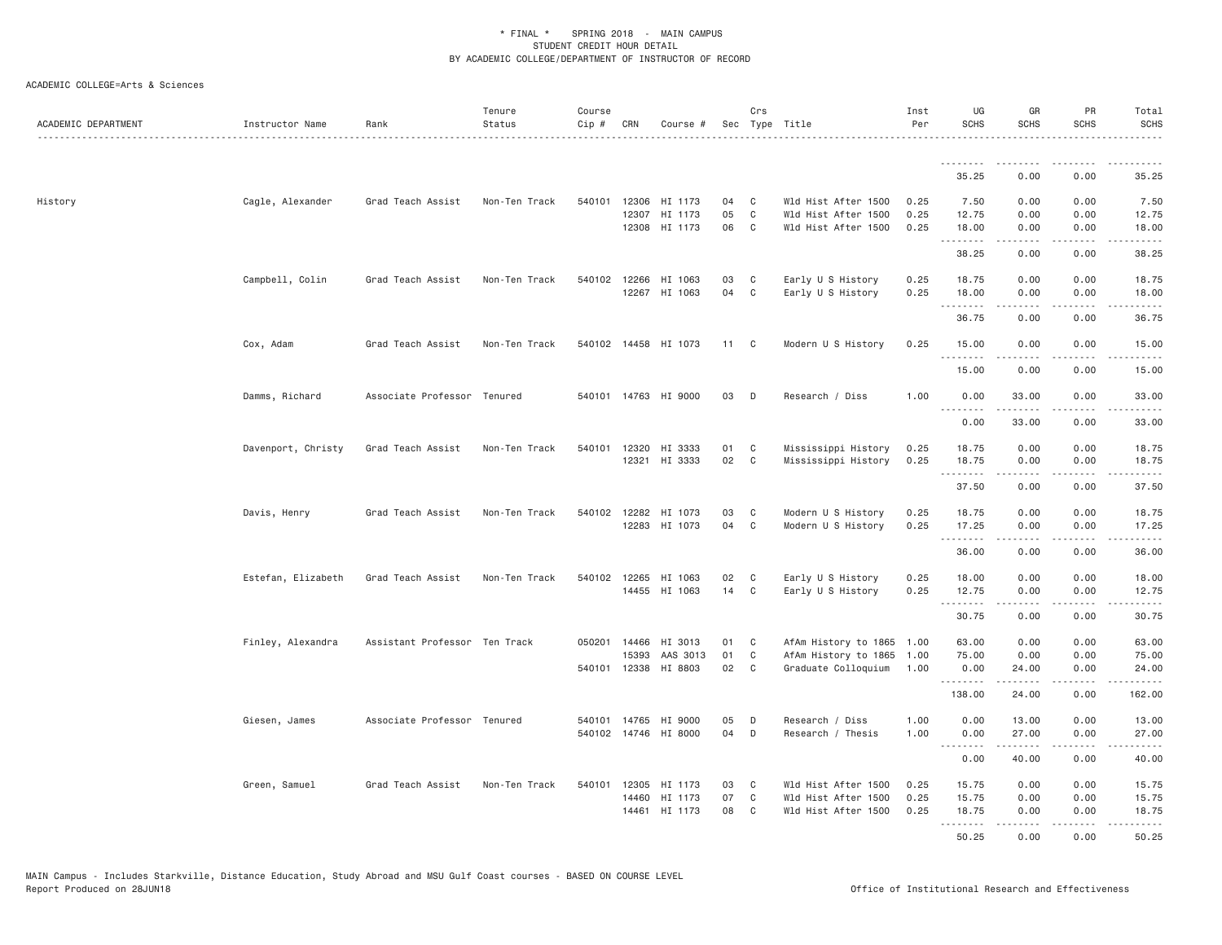| ACADEMIC DEPARTMENT | Instructor Name    | Rank                          | Tenure<br>Status | Course<br>Cip # | CRN            | Course #             |          | Crs               | Sec Type Title                                    | Inst<br>Per  | UG<br><b>SCHS</b> | GR<br><b>SCHS</b>                                                                                                                                                                        | PR<br><b>SCHS</b>            | Total<br><b>SCHS</b>                                                                                                               |
|---------------------|--------------------|-------------------------------|------------------|-----------------|----------------|----------------------|----------|-------------------|---------------------------------------------------|--------------|-------------------|------------------------------------------------------------------------------------------------------------------------------------------------------------------------------------------|------------------------------|------------------------------------------------------------------------------------------------------------------------------------|
|                     |                    |                               |                  |                 |                |                      |          |                   |                                                   |              | <u>.</u>          |                                                                                                                                                                                          |                              |                                                                                                                                    |
|                     |                    |                               |                  |                 |                |                      |          |                   |                                                   |              | 35.25             | 0.00                                                                                                                                                                                     | 0.00                         | 35.25                                                                                                                              |
| History             | Cagle, Alexander   | Grad Teach Assist             | Non-Ten Track    | 540101          | 12306          | HI 1173              | 04       | C                 | Wld Hist After 1500                               | 0.25         | 7.50              | 0.00                                                                                                                                                                                     | 0.00                         | 7.50                                                                                                                               |
|                     |                    |                               |                  |                 | 12307<br>12308 | HI 1173<br>HI 1173   | 05<br>06 | $\mathbb C$<br>C  | Wld Hist After 1500<br>Wld Hist After 1500        | 0.25<br>0.25 | 12.75<br>18.00    | 0.00<br>0.00                                                                                                                                                                             | 0.00<br>0.00                 | 12.75<br>18.00                                                                                                                     |
|                     |                    |                               |                  |                 |                |                      |          |                   |                                                   |              | .                 | .                                                                                                                                                                                        | $\sim$ $\sim$ $\sim$         | $    -$                                                                                                                            |
|                     |                    |                               |                  |                 |                |                      |          |                   |                                                   |              | 38.25             | 0.00                                                                                                                                                                                     | 0.00                         | 38.25                                                                                                                              |
|                     | Campbell, Colin    | Grad Teach Assist             | Non-Ten Track    | 540102 12266    |                | HI 1063              | 03       | C                 | Early U S History                                 | 0.25         | 18.75             | 0.00                                                                                                                                                                                     | 0.00                         | 18.75                                                                                                                              |
|                     |                    |                               |                  |                 |                | 12267 HI 1063        | 04       | $\mathbf{C}$      | Early U S History                                 | 0.25         | 18.00<br>-------- | 0.00<br>.                                                                                                                                                                                | 0.00<br>.                    | 18.00<br>.                                                                                                                         |
|                     |                    |                               |                  |                 |                |                      |          |                   |                                                   |              | 36.75             | 0.00                                                                                                                                                                                     | 0.00                         | 36.75                                                                                                                              |
|                     | Cox, Adam          | Grad Teach Assist             | Non-Ten Track    | 540102          |                | 14458 HI 1073        | 11       | $\mathbf{C}$      | Modern U S History                                | 0.25         | 15.00             | 0.00                                                                                                                                                                                     | 0.00                         | 15.00                                                                                                                              |
|                     |                    |                               |                  |                 |                |                      |          |                   |                                                   |              | .<br>15.00        | .<br>0.00                                                                                                                                                                                | $\sim$ $\sim$ $\sim$<br>0.00 | $\sim$ $\sim$ $\sim$ $\sim$<br>15.00                                                                                               |
|                     | Damms, Richard     | Associate Professor Tenured   |                  |                 |                | 540101 14763 HI 9000 | 03       | D                 | Research / Diss                                   | 1.00         | 0.00              | 33.00                                                                                                                                                                                    | 0.00                         | 33.00                                                                                                                              |
|                     |                    |                               |                  |                 |                |                      |          |                   |                                                   |              | .                 |                                                                                                                                                                                          | $\sim$ $\sim$ $\sim$ $\sim$  | المالم عامات                                                                                                                       |
|                     |                    |                               |                  |                 |                |                      |          |                   |                                                   |              | 0.00              | 33.00                                                                                                                                                                                    | 0.00                         | 33.00                                                                                                                              |
|                     | Davenport, Christy | Grad Teach Assist             | Non-Ten Track    |                 |                | 540101 12320 HI 3333 | 01       | C                 | Mississippi History                               | 0.25         | 18.75             | 0.00                                                                                                                                                                                     | 0.00                         | 18.75                                                                                                                              |
|                     |                    |                               |                  |                 |                | 12321 HI 3333        | 02       | $\mathbf{C}$      | Mississippi History                               | 0.25         | 18.75             | 0.00<br>.                                                                                                                                                                                | 0.00<br>لأعامل               | 18.75<br>المتمام                                                                                                                   |
|                     |                    |                               |                  |                 |                |                      |          |                   |                                                   |              | 37.50             | 0.00                                                                                                                                                                                     | 0.00                         | 37.50                                                                                                                              |
|                     | Davis, Henry       | Grad Teach Assist             | Non-Ten Track    |                 |                | 540102 12282 HI 1073 | 03       | C                 | Modern U S History                                | 0.25         | 18.75             | 0.00                                                                                                                                                                                     | 0.00                         | 18.75                                                                                                                              |
|                     |                    |                               |                  |                 |                | 12283 HI 1073        | 04       | $\mathbf{C}$      | Modern U S History                                | 0.25         | 17.25             | 0.00                                                                                                                                                                                     | 0.00                         | 17.25                                                                                                                              |
|                     |                    |                               |                  |                 |                |                      |          |                   |                                                   |              | .<br>36.00        | -----<br>0.00                                                                                                                                                                            | .<br>0.00                    | .<br>36.00                                                                                                                         |
|                     | Estefan, Elizabeth | Grad Teach Assist             | Non-Ten Track    | 540102          | 12265          | HI 1063              | 02       | C                 | Early U S History                                 | 0.25         | 18.00             | 0.00                                                                                                                                                                                     | 0.00                         | 18.00                                                                                                                              |
|                     |                    |                               |                  |                 |                | 14455 HI 1063        | 14       | $\mathbf{C}$      | Early U S History                                 | 0.25         | 12.75             | 0.00                                                                                                                                                                                     | 0.00                         | 12.75                                                                                                                              |
|                     |                    |                               |                  |                 |                |                      |          |                   |                                                   |              | <u>.</u><br>30.75 | .<br>0.00                                                                                                                                                                                | .<br>0.00                    | .<br>30.75                                                                                                                         |
|                     |                    |                               |                  |                 |                |                      |          |                   |                                                   |              |                   |                                                                                                                                                                                          |                              |                                                                                                                                    |
|                     | Finley, Alexandra  | Assistant Professor Ten Track |                  | 050201          | 14466<br>15393 | HI 3013<br>AAS 3013  | 01<br>01 | $\mathbf{C}$<br>C | AfAm History to 1865 1.00<br>AfAm History to 1865 | 1.00         | 63.00<br>75.00    | 0.00<br>0.00                                                                                                                                                                             | 0.00<br>0.00                 | 63.00<br>75.00                                                                                                                     |
|                     |                    |                               |                  |                 |                | 540101 12338 HI 8803 | 02       | C                 | Graduate Colloquium                               | 1.00         | 0.00              | 24.00                                                                                                                                                                                    | 0.00                         | 24.00                                                                                                                              |
|                     |                    |                               |                  |                 |                |                      |          |                   |                                                   |              | 138.00            | $\frac{1}{2} \left( \frac{1}{2} \right) \left( \frac{1}{2} \right) \left( \frac{1}{2} \right) \left( \frac{1}{2} \right) \left( \frac{1}{2} \right) \left( \frac{1}{2} \right)$<br>24.00 | .<br>0.00                    | .<br>162.00                                                                                                                        |
|                     | Giesen, James      | Associate Professor Tenured   |                  | 540101          | 14765          | HI 9000              | 05       | D                 | Research / Diss                                   | 1.00         | 0.00              | 13.00                                                                                                                                                                                    | 0.00                         | 13.00                                                                                                                              |
|                     |                    |                               |                  | 540102          |                | 14746 HI 8000        | 04       | D                 | Research / Thesis                                 | 1.00         | 0.00              | 27.00                                                                                                                                                                                    | 0.00                         | 27.00                                                                                                                              |
|                     |                    |                               |                  |                 |                |                      |          |                   |                                                   |              | .<br>0.00         | .<br>40.00                                                                                                                                                                               | ----<br>0.00                 | $\frac{1}{2} \left( \frac{1}{2} \right) \left( \frac{1}{2} \right) \left( \frac{1}{2} \right) \left( \frac{1}{2} \right)$<br>40.00 |
|                     |                    |                               |                  |                 |                |                      |          |                   |                                                   |              |                   |                                                                                                                                                                                          |                              |                                                                                                                                    |
|                     | Green, Samuel      | Grad Teach Assist             | Non-Ten Track    | 540101          | 12305          | HI 1173              | 03       | C                 | Wld Hist After 1500                               | 0.25         | 15.75             | 0.00                                                                                                                                                                                     | 0.00                         | 15.75                                                                                                                              |
|                     |                    |                               |                  |                 |                |                      |          |                   |                                                   |              |                   |                                                                                                                                                                                          |                              |                                                                                                                                    |
|                     |                    |                               |                  |                 | 14460<br>14461 | HI 1173<br>HI 1173   | 07<br>08 | C<br>C            | Wld Hist After 1500<br>Wld Hist After 1500        | 0.25<br>0.25 | 15.75<br>18.75    | 0.00<br>0.00                                                                                                                                                                             | 0.00<br>0.00                 | 15.75<br>18.75                                                                                                                     |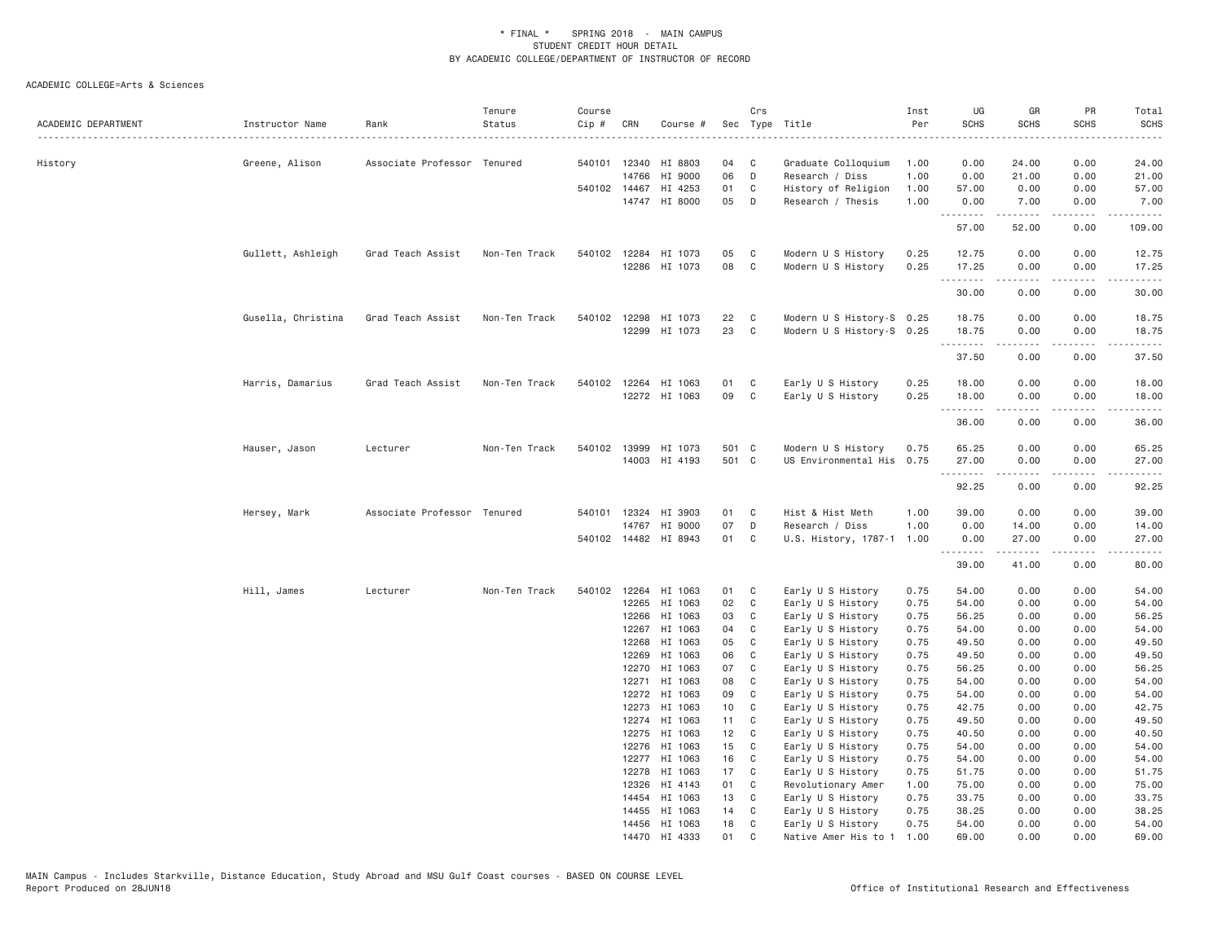| ACADEMIC DEPARTMENT | Instructor Name    | Rank                        | Tenure<br>Status | Course<br>Cip # | CRN            | Course #                       |                 | Crs                        | Sec Type Title                            | Inst<br>Per  | UG<br><b>SCHS</b> | GR<br><b>SCHS</b>                                                                                                                                            | PR<br><b>SCHS</b> | Total<br><b>SCHS</b><br>. |
|---------------------|--------------------|-----------------------------|------------------|-----------------|----------------|--------------------------------|-----------------|----------------------------|-------------------------------------------|--------------|-------------------|--------------------------------------------------------------------------------------------------------------------------------------------------------------|-------------------|---------------------------|
| History             | Greene, Alison     | Associate Professor Tenured |                  |                 | 540101 12340   | HI 8803                        | 04 C            |                            | Graduate Colloquium                       | 1.00         | 0.00              | 24.00                                                                                                                                                        | 0.00              | 24.00                     |
|                     |                    |                             |                  |                 | 14766          | HI 9000                        | 06              | D                          | Research / Diss                           | 1.00         | 0.00              | 21.00                                                                                                                                                        | 0.00              | 21.00                     |
|                     |                    |                             |                  |                 | 540102 14467   | HI 4253                        | 01              | C                          | History of Religion                       | 1.00         | 57.00             | 0.00                                                                                                                                                         | 0.00              | 57.00                     |
|                     |                    |                             |                  |                 |                | 14747 HI 8000                  | 05              | $\Box$                     | Research / Thesis                         | 1.00         | 0.00<br>.         | 7.00<br>-----                                                                                                                                                | 0.00<br>.         | 7.00<br>.                 |
|                     |                    |                             |                  |                 |                |                                |                 |                            |                                           |              | 57.00             | 52.00                                                                                                                                                        | 0.00              | 109.00                    |
|                     | Gullett, Ashleigh  | Grad Teach Assist           | Non-Ten Track    |                 |                | 540102 12284 HI 1073           | 05              | $\mathbf{C}$               | Modern U S History                        | 0.25         | 12.75             | 0.00                                                                                                                                                         | 0.00              | 12.75                     |
|                     |                    |                             |                  |                 |                | 12286 HI 1073                  | 08              | $\mathbf{C}$               | Modern U S History                        | 0.25         | 17.25             | 0.00                                                                                                                                                         | 0.00              | 17.25                     |
|                     |                    |                             |                  |                 |                |                                |                 |                            |                                           |              | .<br>30.00        | $\frac{1}{2} \left( \frac{1}{2} \right) \left( \frac{1}{2} \right) \left( \frac{1}{2} \right) \left( \frac{1}{2} \right) \left( \frac{1}{2} \right)$<br>0.00 | .<br>0.00         | .<br>30.00                |
|                     | Gusella, Christina | Grad Teach Assist           | Non-Ten Track    |                 | 540102 12298   | HI 1073                        | 22              | C                          | Modern U S History-S 0.25                 |              | 18.75             | 0.00                                                                                                                                                         | 0.00              | 18.75                     |
|                     |                    |                             |                  |                 | 12299          | HI 1073                        | 23              | C <sub>1</sub>             | Modern U S History-S 0.25                 |              | 18.75             | 0.00                                                                                                                                                         | 0.00              | 18.75                     |
|                     |                    |                             |                  |                 |                |                                |                 |                            |                                           |              | .                 | <b>.</b>                                                                                                                                                     | .                 | .                         |
|                     |                    |                             |                  |                 |                |                                |                 |                            |                                           |              | 37.50             | 0.00                                                                                                                                                         | 0.00              | 37.50                     |
|                     | Harris, Damarius   | Grad Teach Assist           | Non-Ten Track    |                 | 540102 12264   | HI 1063                        | 01              | C                          | Early U S History                         | 0.25         | 18.00             | 0.00                                                                                                                                                         | 0.00              | 18.00                     |
|                     |                    |                             |                  |                 |                | 12272 HI 1063                  | 09              | $\mathbf{C}$               | Early U S History                         | 0.25         | 18.00             | 0.00<br>.                                                                                                                                                    | 0.00<br>.         | 18.00<br>.                |
|                     |                    |                             |                  |                 |                |                                |                 |                            |                                           |              | .<br>36.00        | 0.00                                                                                                                                                         | 0.00              | 36.00                     |
|                     | Hauser, Jason      | Lecturer                    | Non-Ten Track    |                 | 540102 13999   | HI 1073                        | 501 C           |                            | Modern U S History                        | 0.75         | 65.25             | 0.00                                                                                                                                                         | 0.00              | 65.25                     |
|                     |                    |                             |                  |                 |                | 14003 HI 4193                  | 501 C           |                            | US Environmental His                      | 0.75         | 27.00             | 0.00                                                                                                                                                         | 0.00              | 27.00                     |
|                     |                    |                             |                  |                 |                |                                |                 |                            |                                           |              | .<br>92.25        | 0.00                                                                                                                                                         | 0.00              | 92.25                     |
|                     | Hersey, Mark       | Associate Professor Tenured |                  |                 |                | 540101 12324 HI 3903           | 01 C            |                            | Hist & Hist Meth                          | 1.00         | 39.00             | 0.00                                                                                                                                                         | 0.00              | 39.00                     |
|                     |                    |                             |                  |                 | 14767          | HI 9000                        | 07              | D                          | Research / Diss                           | 1.00         | 0.00              | 14.00                                                                                                                                                        | 0.00              | 14.00                     |
|                     |                    |                             |                  |                 |                | 540102 14482 HI 8943           | 01              | C                          | U.S. History, 1787-1                      | 1.00         | 0.00<br>.         | 27.00<br>.                                                                                                                                                   | 0.00<br>-----     | 27.00<br>.                |
|                     |                    |                             |                  |                 |                |                                |                 |                            |                                           |              | 39.00             | 41.00                                                                                                                                                        | 0.00              | 80.00                     |
|                     | Hill, James        | Lecturer                    | Non-Ten Track    |                 |                | 540102 12264 HI 1063           | 01 C            |                            | Early U S History                         | 0.75         | 54.00             | 0.00                                                                                                                                                         | 0.00              | 54.00                     |
|                     |                    |                             |                  |                 | 12265          | HI 1063                        | 02              | $\mathbf{C}$               | Early U S History                         | 0.75         | 54.00             | 0.00                                                                                                                                                         | 0.00              | 54.00                     |
|                     |                    |                             |                  |                 | 12266          | HI 1063                        | 03              | C                          | Early U S History                         | 0.75         | 56.25             | 0.00                                                                                                                                                         | 0.00              | 56.25                     |
|                     |                    |                             |                  |                 | 12267          | HI 1063                        | 04              | C                          | Early U S History                         | 0.75         | 54.00             | 0.00                                                                                                                                                         | 0.00              | 54.00                     |
|                     |                    |                             |                  |                 | 12268          | HI 1063                        | 05              | $\mathbf{C}$               | Early U S History                         | 0.75         | 49.50             | 0.00                                                                                                                                                         | 0.00              | 49.50                     |
|                     |                    |                             |                  |                 | 12269          | HI 1063<br>HI 1063             | 06<br>07        | C<br>C                     | Early U S History                         | 0.75         | 49.50             | 0.00                                                                                                                                                         | 0.00              | 49.50<br>56.25            |
|                     |                    |                             |                  |                 | 12270<br>12271 | HI 1063                        | 08              | $\overline{\phantom{a}}$ C | Early U S History<br>Early U S History    | 0.75<br>0.75 | 56.25<br>54.00    | 0.00<br>0.00                                                                                                                                                 | 0.00<br>0.00      | 54.00                     |
|                     |                    |                             |                  |                 | 12272          | HI 1063                        | 09              | C.                         | Early U S History                         | 0.75         | 54.00             | 0.00                                                                                                                                                         | 0.00              | 54.00                     |
|                     |                    |                             |                  |                 | 12273          | HI 1063                        | 10 <sub>1</sub> | C                          | Early U S History                         | 0.75         | 42.75             | 0.00                                                                                                                                                         | 0.00              | 42.75                     |
|                     |                    |                             |                  |                 | 12274          | HI 1063                        | 11 C            |                            | Early U S History                         | 0.75         | 49.50             | 0.00                                                                                                                                                         | 0.00              | 49.50                     |
|                     |                    |                             |                  |                 | 12275          | HI 1063                        | 12              | $\mathbf{C}$               | Early U S History                         | 0.75         | 40.50             | 0.00                                                                                                                                                         | 0.00              | 40.50                     |
|                     |                    |                             |                  |                 | 12276          | HI 1063                        | 15              | $\mathbf{C}$               | Early U S History                         | 0.75         | 54.00             | 0.00                                                                                                                                                         | 0.00              | 54.00                     |
|                     |                    |                             |                  |                 | 12277          | HI 1063                        | 16 C            |                            | Early U S History                         | 0.75         | 54.00             | 0.00                                                                                                                                                         | 0.00              | 54.00                     |
|                     |                    |                             |                  |                 | 12278          | HI 1063                        | 17              | $\mathbf{C}$               | Early U S History                         | 0.75         | 51.75             | 0.00                                                                                                                                                         | 0.00              | 51.75                     |
|                     |                    |                             |                  |                 | 12326          | HI 4143                        | 01              | C <sub>c</sub>             | Revolutionary Amer                        | 1.00         | 75.00             | 0.00                                                                                                                                                         | 0.00              | 75.00                     |
|                     |                    |                             |                  |                 | 14454          | HI 1063                        | 13 C            |                            | Early U S History                         | 0.75         | 33.75             | 0.00                                                                                                                                                         | 0.00              | 33.75                     |
|                     |                    |                             |                  |                 | 14455          | HI 1063                        | 14              | $\mathbf{C}$               | Early U S History                         | 0.75         | 38.25             | 0.00                                                                                                                                                         | 0.00              | 38.25                     |
|                     |                    |                             |                  |                 |                | 14456 HI 1063<br>14470 HI 4333 | 18<br>01        | C<br>C                     | Early U S History<br>Native Amer His to 1 | 0.75<br>1.00 | 54.00<br>69,00    | 0.00<br>0.00                                                                                                                                                 | 0.00<br>0.00      | 54.00<br>69,00            |
|                     |                    |                             |                  |                 |                |                                |                 |                            |                                           |              |                   |                                                                                                                                                              |                   |                           |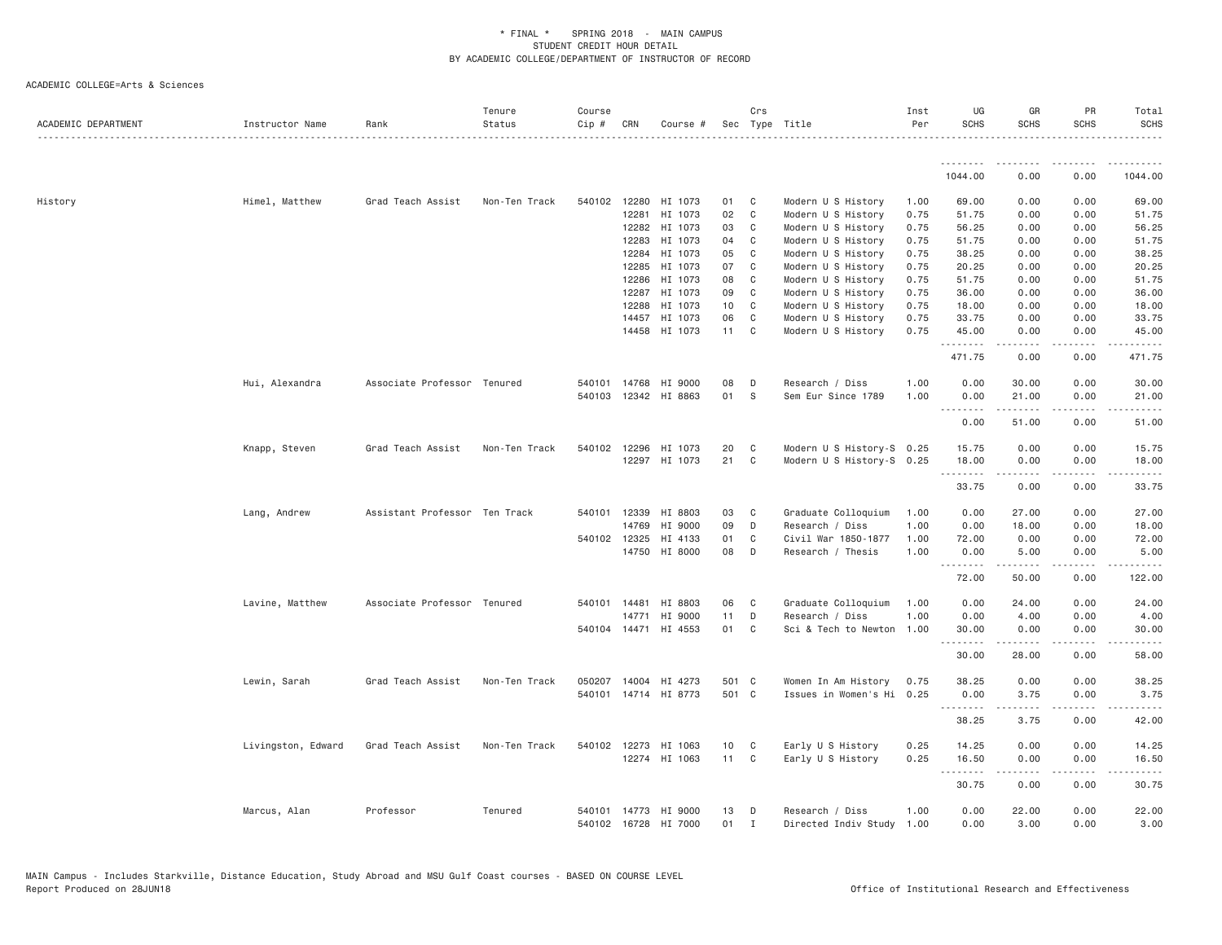| ACADEMIC DEPARTMENT | Instructor Name    | Rank                          | Tenure<br>Status | Course<br>Cip # | CRN            | Course #                 |                 | Crs            | Sec Type Title                           | Inst<br>Per  | UG<br><b>SCHS</b> | GR<br><b>SCHS</b>                                                                                                                                            | PR<br><b>SCHS</b>     | Total<br><b>SCHS</b>                                                                                                               |
|---------------------|--------------------|-------------------------------|------------------|-----------------|----------------|--------------------------|-----------------|----------------|------------------------------------------|--------------|-------------------|--------------------------------------------------------------------------------------------------------------------------------------------------------------|-----------------------|------------------------------------------------------------------------------------------------------------------------------------|
|                     |                    |                               |                  |                 |                |                          |                 |                |                                          |              | .                 | -----                                                                                                                                                        |                       |                                                                                                                                    |
|                     |                    |                               |                  |                 |                |                          |                 |                |                                          |              | 1044.00           | 0.00                                                                                                                                                         | 0.00                  | 1044.00                                                                                                                            |
| History             | Himel, Matthew     | Grad Teach Assist             | Non-Ten Track    | 540102 12280    |                | HI 1073                  | 01              | C              | Modern U S History                       | 1.00         | 69.00             | 0.00                                                                                                                                                         | 0.00                  | 69.00                                                                                                                              |
|                     |                    |                               |                  |                 | 12281          | HI 1073                  | 02              | C              | Modern U S History                       | 0.75         | 51.75             | 0.00                                                                                                                                                         | 0.00                  | 51.75                                                                                                                              |
|                     |                    |                               |                  |                 | 12282          | HI 1073                  | 03              | C              | Modern U S History                       | 0.75         | 56.25             | 0.00                                                                                                                                                         | 0.00                  | 56.25                                                                                                                              |
|                     |                    |                               |                  |                 | 12283          | HI 1073                  | 04              | C              | Modern U S History                       | 0.75         | 51.75             | 0.00                                                                                                                                                         | 0.00                  | 51.75                                                                                                                              |
|                     |                    |                               |                  |                 | 12284          | HI 1073                  | 05              | C              | Modern U S History                       | 0.75         | 38.25             | 0.00                                                                                                                                                         | 0.00                  | 38.25                                                                                                                              |
|                     |                    |                               |                  |                 | 12285          | HI 1073                  | 07              | C              | Modern U S History                       | 0.75         | 20.25             | 0.00                                                                                                                                                         | 0.00                  | 20.25                                                                                                                              |
|                     |                    |                               |                  |                 | 12286          | HI 1073                  | 08<br>09        | C              | Modern U S History                       | 0.75         | 51.75             | 0.00                                                                                                                                                         | 0.00                  | 51.75                                                                                                                              |
|                     |                    |                               |                  |                 | 12287<br>12288 | HI 1073<br>HI 1073       | 10 <sub>1</sub> | C<br>C         | Modern U S History<br>Modern U S History | 0.75<br>0.75 | 36.00<br>18.00    | 0.00<br>0.00                                                                                                                                                 | 0.00<br>0.00          | 36.00<br>18.00                                                                                                                     |
|                     |                    |                               |                  |                 | 14457          | HI 1073                  | 06              | C              | Modern U S History                       | 0.75         | 33.75             | 0.00                                                                                                                                                         | 0.00                  | 33.75                                                                                                                              |
|                     |                    |                               |                  |                 | 14458          | HI 1073                  | 11              | C              | Modern U S History                       | 0.75         | 45.00             | 0.00                                                                                                                                                         | 0.00                  | 45.00                                                                                                                              |
|                     |                    |                               |                  |                 |                |                          |                 |                |                                          |              | .<br>471.75       | $\frac{1}{2} \left( \frac{1}{2} \right) \left( \frac{1}{2} \right) \left( \frac{1}{2} \right) \left( \frac{1}{2} \right) \left( \frac{1}{2} \right)$<br>0.00 | .<br>0.00             | .<br>471.75                                                                                                                        |
|                     |                    |                               |                  | 540101          |                |                          |                 | D              |                                          |              |                   |                                                                                                                                                              | 0.00                  |                                                                                                                                    |
|                     | Hui, Alexandra     | Associate Professor Tenured   |                  | 540103          | 14768          | HI 9000<br>12342 HI 8863 | 08<br>01        | S              | Research / Diss<br>Sem Eur Since 1789    | 1.00<br>1.00 | 0.00<br>0.00      | 30.00<br>21.00                                                                                                                                               | 0.00                  | 30.00<br>21.00                                                                                                                     |
|                     |                    |                               |                  |                 |                |                          |                 |                |                                          |              | <b></b><br>0.00   | $- - - - -$<br>51.00                                                                                                                                         | $\frac{1}{2}$<br>0.00 | $\frac{1}{2} \left( \frac{1}{2} \right) \left( \frac{1}{2} \right) \left( \frac{1}{2} \right) \left( \frac{1}{2} \right)$<br>51.00 |
|                     |                    |                               |                  |                 |                |                          |                 |                |                                          |              |                   |                                                                                                                                                              |                       |                                                                                                                                    |
|                     | Knapp, Steven      | Grad Teach Assist             | Non-Ten Track    |                 | 540102 12296   | HI 1073                  | 20              | C              | Modern U S History-S 0.25                |              | 15.75             | 0.00                                                                                                                                                         | 0.00                  | 15.75                                                                                                                              |
|                     |                    |                               |                  |                 | 12297          | HI 1073                  | 21              | C              | Modern U S History-S 0.25                |              | 18.00             | 0.00                                                                                                                                                         | 0.00                  | 18.00                                                                                                                              |
|                     |                    |                               |                  |                 |                |                          |                 |                |                                          |              | .<br>33.75        | 0.00                                                                                                                                                         | 0.00                  | 33.75                                                                                                                              |
|                     | Lang, Andrew       | Assistant Professor Ten Track |                  | 540101          | 12339          | HI 8803                  | 03              | C              | Graduate Colloquium                      | 1.00         | 0.00              | 27.00                                                                                                                                                        | 0.00                  | 27.00                                                                                                                              |
|                     |                    |                               |                  |                 | 14769          | HI 9000                  | 09              | D              | Research / Diss                          | 1.00         | 0.00              | 18.00                                                                                                                                                        | 0.00                  | 18.00                                                                                                                              |
|                     |                    |                               |                  |                 | 540102 12325   | HI 4133                  | 01              | C              | Civil War 1850-1877                      | 1.00         | 72.00             | 0.00                                                                                                                                                         | 0.00                  | 72.00                                                                                                                              |
|                     |                    |                               |                  |                 |                | 14750 HI 8000            | 08              | D              | Research / Thesis                        | 1.00         | 0.00              | 5.00                                                                                                                                                         | 0.00                  | 5.00                                                                                                                               |
|                     |                    |                               |                  |                 |                |                          |                 |                |                                          |              | .<br>72.00        | -----<br>50.00                                                                                                                                               | 0.00                  | .<br>122.00                                                                                                                        |
|                     | Lavine, Matthew    | Associate Professor Tenured   |                  | 540101 14481    |                | HI 8803                  | 06              | C              | Graduate Colloquium                      | 1.00         | 0.00              | 24.00                                                                                                                                                        | 0.00                  | 24.00                                                                                                                              |
|                     |                    |                               |                  |                 | 14771          | HI 9000                  | 11              | D              | Research / Diss                          | 1.00         | 0.00              | 4.00                                                                                                                                                         | 0.00                  | 4.00                                                                                                                               |
|                     |                    |                               |                  |                 |                | 540104 14471 HI 4553     | 01              | C              | Sci & Tech to Newton                     | 1.00         | 30.00             | 0.00                                                                                                                                                         | 0.00                  | 30.00                                                                                                                              |
|                     |                    |                               |                  |                 |                |                          |                 |                |                                          |              | .<br>30.00        | 28.00                                                                                                                                                        | 0.00                  | 58.00                                                                                                                              |
|                     | Lewin, Sarah       | Grad Teach Assist             | Non-Ten Track    |                 |                | 050207 14004 HI 4273     | 501 C           |                | Women In Am History                      | 0.75         | 38.25             | 0.00                                                                                                                                                         | 0.00                  | 38.25                                                                                                                              |
|                     |                    |                               |                  |                 |                | 540101 14714 HI 8773     | 501 C           |                | Issues in Women's Hi 0.25                |              | 0.00              | 3.75                                                                                                                                                         | 0.00                  | 3.75                                                                                                                               |
|                     |                    |                               |                  |                 |                |                          |                 |                |                                          |              | .                 | $\frac{1}{2} \left( \frac{1}{2} \right) \left( \frac{1}{2} \right) \left( \frac{1}{2} \right) \left( \frac{1}{2} \right) \left( \frac{1}{2} \right)$         | .                     | .                                                                                                                                  |
|                     |                    |                               |                  |                 |                |                          |                 |                |                                          |              | 38.25             | 3.75                                                                                                                                                         | 0.00                  | 42.00                                                                                                                              |
|                     | Livingston, Edward | Grad Teach Assist             | Non-Ten Track    | 540102          | 12273          | HI 1063                  | 10              | C              | Early U S History                        | 0.25         | 14.25             | 0.00                                                                                                                                                         | 0.00                  | 14.25                                                                                                                              |
|                     |                    |                               |                  |                 |                | 12274 HI 1063            | 11              | C <sub>1</sub> | Early U S History                        | 0.25         | 16.50<br>.        | 0.00<br>المتمالين                                                                                                                                            | 0.00<br>.             | 16.50<br>.                                                                                                                         |
|                     |                    |                               |                  |                 |                |                          |                 |                |                                          |              | 30.75             | 0.00                                                                                                                                                         | 0.00                  | 30.75                                                                                                                              |
|                     | Marcus, Alan       | Professor                     | Tenured          | 540101          |                | 14773 HI 9000            | 13              | D              | Research / Diss                          | 1.00         | 0.00              | 22.00                                                                                                                                                        | 0.00                  | 22.00                                                                                                                              |
|                     |                    |                               |                  | 540102          | 16728          | HI 7000                  | 01              | $\mathbf{I}$   | Directed Indiv Study 1.00                |              | 0.00              | 3.00                                                                                                                                                         | 0.00                  | 3.00                                                                                                                               |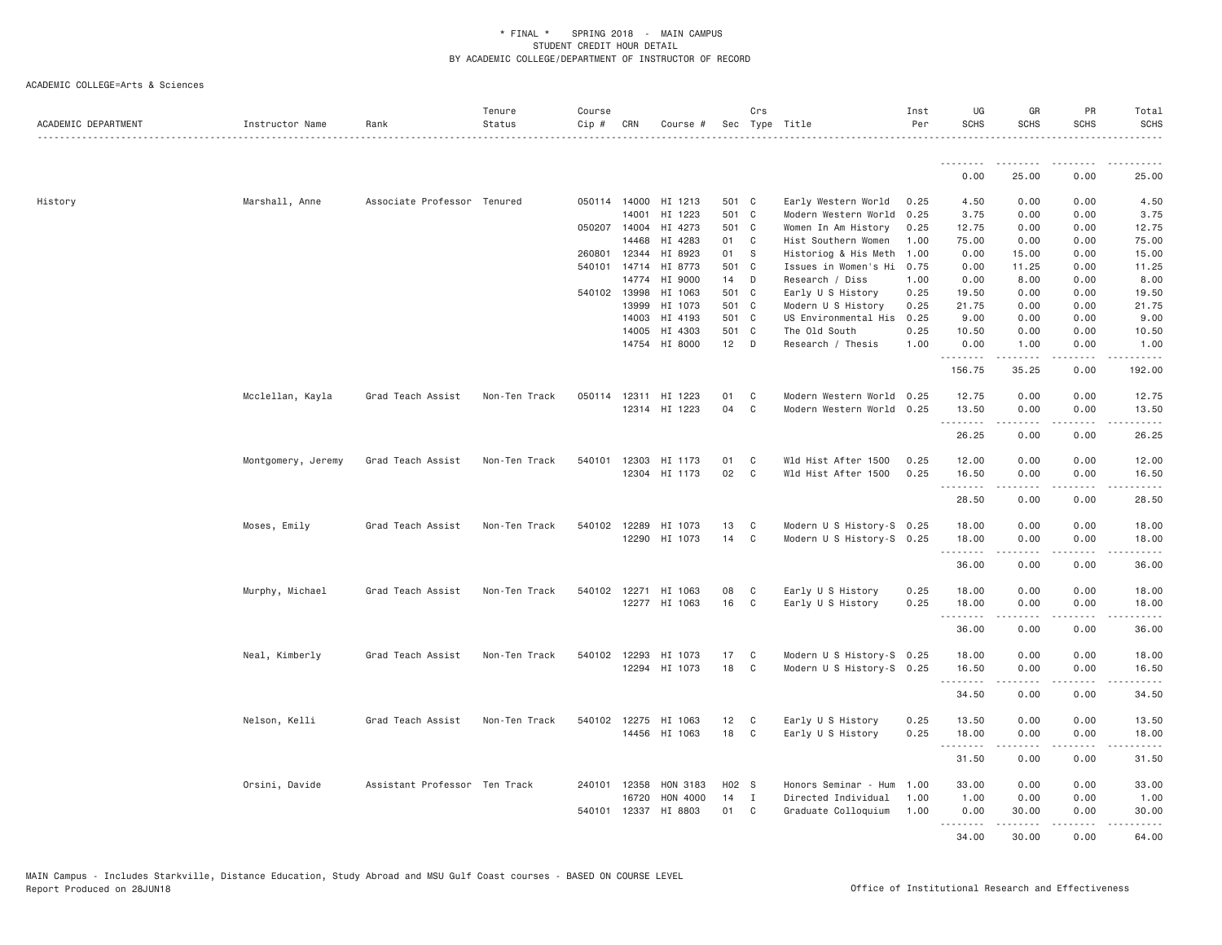| ACADEMIC DEPARTMENT | Instructor Name    | Rank                          | Tenure<br>Status | Course<br>Cip # | CRN            | Course #             |             | Crs          | Sec Type Title                          | Inst<br>Per  | UG<br><b>SCHS</b> | GR<br><b>SCHS</b>                                                                                                                                                               | <b>PR</b><br><b>SCHS</b> | Total<br><b>SCHS</b> |
|---------------------|--------------------|-------------------------------|------------------|-----------------|----------------|----------------------|-------------|--------------|-----------------------------------------|--------------|-------------------|---------------------------------------------------------------------------------------------------------------------------------------------------------------------------------|--------------------------|----------------------|
|                     |                    |                               |                  |                 |                |                      |             |              |                                         |              | .                 |                                                                                                                                                                                 |                          |                      |
|                     |                    |                               |                  |                 |                |                      |             |              |                                         |              | 0.00              | 25.00                                                                                                                                                                           | 0.00                     | 25.00                |
| History             | Marshall, Anne     | Associate Professor Tenured   |                  |                 | 050114 14000   | HI 1213              | 501 C       |              | Early Western World                     | 0.25         | 4.50              | 0.00                                                                                                                                                                            | 0.00                     | 4.50                 |
|                     |                    |                               |                  |                 | 14001          | HI 1223              | 501 C       |              | Modern Western World                    | 0.25         | 3.75              | 0.00                                                                                                                                                                            | 0.00                     | 3.75                 |
|                     |                    |                               |                  |                 | 050207 14004   | HI 4273              | 501 C       |              | Women In Am History                     | 0.25         | 12.75             | 0.00                                                                                                                                                                            | 0.00                     | 12.75                |
|                     |                    |                               |                  |                 | 14468          | HI 4283              | 01          | C            | Hist Southern Women                     | 1.00         | 75.00             | 0.00                                                                                                                                                                            | 0.00                     | 75.00                |
|                     |                    |                               |                  | 260801          | 12344          | HI 8923              | 01          | - S          | Historiog & His Meth                    | 1.00         | 0.00              | 15.00                                                                                                                                                                           | 0.00                     | 15.00                |
|                     |                    |                               |                  | 540101          | 14714<br>14774 | HI 8773<br>HI 9000   | 501 C<br>14 | D            | Issues in Women's Hi<br>Research / Diss | 0.75<br>1.00 | 0.00<br>0.00      | 11.25<br>8.00                                                                                                                                                                   | 0.00<br>0.00             | 11.25<br>8.00        |
|                     |                    |                               |                  |                 | 540102 13998   | HI 1063              | 501 C       |              | Early U S History                       | 0.25         | 19.50             | 0.00                                                                                                                                                                            | 0.00                     | 19.50                |
|                     |                    |                               |                  |                 | 13999          | HI 1073              | 501 C       |              | Modern U S History                      | 0.25         | 21.75             | 0.00                                                                                                                                                                            | 0.00                     | 21.75                |
|                     |                    |                               |                  |                 | 14003          | HI 4193              | 501 C       |              | US Environmental His                    | 0.25         | 9.00              | 0.00                                                                                                                                                                            | 0.00                     | 9.00                 |
|                     |                    |                               |                  |                 | 14005          | HI 4303              | 501 C       |              | The Old South                           | 0.25         | 10.50             | 0.00                                                                                                                                                                            | 0.00                     | 10.50                |
|                     |                    |                               |                  |                 | 14754          | HI 8000              | $12$ D      |              | Research / Thesis                       | 1.00         | 0.00              | 1.00                                                                                                                                                                            | 0.00                     | 1.00                 |
|                     |                    |                               |                  |                 |                |                      |             |              |                                         |              | .                 | .                                                                                                                                                                               | .                        | .                    |
|                     |                    |                               |                  |                 |                |                      |             |              |                                         |              | 156.75            | 35.25                                                                                                                                                                           | 0.00                     | 192.00               |
|                     | Mcclellan, Kayla   | Grad Teach Assist             | Non-Ten Track    | 050114          |                | 12311 HI 1223        | 01          | C            | Modern Western World 0.25               |              | 12.75             | 0.00                                                                                                                                                                            | 0.00                     | 12.75                |
|                     |                    |                               |                  |                 |                | 12314 HI 1223        | 04          | C            | Modern Western World 0.25               |              | 13.50             | 0.00                                                                                                                                                                            | 0.00                     | 13.50                |
|                     |                    |                               |                  |                 |                |                      |             |              |                                         |              | .                 | $\frac{1}{2} \left( \frac{1}{2} \right) \left( \frac{1}{2} \right) \left( \frac{1}{2} \right) \left( \frac{1}{2} \right) \left( \frac{1}{2} \right) \left( \frac{1}{2} \right)$ | .                        | .                    |
|                     |                    |                               |                  |                 |                |                      |             |              |                                         |              | 26.25             | 0.00                                                                                                                                                                            | 0.00                     | 26.25                |
|                     | Montgomery, Jeremy | Grad Teach Assist             | Non-Ten Track    | 540101          | 12303          | HI 1173              | 01          | C            | Wld Hist After 1500                     | 0.25         | 12.00             | 0.00                                                                                                                                                                            | 0.00                     | 12.00                |
|                     |                    |                               |                  |                 |                | 12304 HI 1173        | 02          | $\mathsf{C}$ | Wld Hist After 1500                     | 0.25         | 16.50             | 0.00                                                                                                                                                                            | 0.00                     | 16.50                |
|                     |                    |                               |                  |                 |                |                      |             |              |                                         |              | .                 | $\frac{1}{2} \left( \frac{1}{2} \right) \left( \frac{1}{2} \right) \left( \frac{1}{2} \right) \left( \frac{1}{2} \right) \left( \frac{1}{2} \right)$                            | .                        | .                    |
|                     |                    |                               |                  |                 |                |                      |             |              |                                         |              | 28.50             | 0.00                                                                                                                                                                            | 0.00                     | 28.50                |
|                     | Moses, Emily       | Grad Teach Assist             | Non-Ten Track    | 540102          | 12289          | HI 1073              | 13          | C            | Modern U S History-S 0.25               |              | 18.00             | 0.00                                                                                                                                                                            | 0.00                     | 18.00                |
|                     |                    |                               |                  |                 |                | 12290 HI 1073        | 14          | C            | Modern U S History-S 0.25               |              | 18.00             | 0.00                                                                                                                                                                            | 0.00                     | 18.00                |
|                     |                    |                               |                  |                 |                |                      |             |              |                                         |              | .                 | $\frac{1}{2} \left( \frac{1}{2} \right) \left( \frac{1}{2} \right) \left( \frac{1}{2} \right) \left( \frac{1}{2} \right) \left( \frac{1}{2} \right)$                            | .                        | .                    |
|                     |                    |                               |                  |                 |                |                      |             |              |                                         |              | 36.00             | 0.00                                                                                                                                                                            | 0.00                     | 36.00                |
|                     |                    |                               |                  |                 |                |                      |             |              |                                         |              |                   |                                                                                                                                                                                 |                          |                      |
|                     | Murphy, Michael    | Grad Teach Assist             | Non-Ten Track    |                 |                | 540102 12271 HI 1063 | 08          | C            | Early U S History                       | 0.25         | 18.00             | 0.00                                                                                                                                                                            | 0.00                     | 18.00                |
|                     |                    |                               |                  |                 |                | 12277 HI 1063        | 16          | C            | Early U S History                       | 0.25         | 18.00<br>.        | 0.00<br>$- - - - -$                                                                                                                                                             | 0.00<br>.                | 18.00<br>.           |
|                     |                    |                               |                  |                 |                |                      |             |              |                                         |              | 36.00             | 0.00                                                                                                                                                                            | 0.00                     | 36.00                |
|                     |                    |                               |                  |                 |                |                      |             |              |                                         |              |                   |                                                                                                                                                                                 |                          |                      |
|                     | Neal, Kimberly     | Grad Teach Assist             | Non-Ten Track    | 540102          | 12293          | HI 1073              | 17          | C            | Modern U S History-S 0.25               |              | 18.00             | 0.00                                                                                                                                                                            | 0.00                     | 18.00                |
|                     |                    |                               |                  |                 |                | 12294 HI 1073        | 18          | C            | Modern U S History-S 0.25               |              | 16.50             | 0.00                                                                                                                                                                            | 0.00                     | 16.50                |
|                     |                    |                               |                  |                 |                |                      |             |              |                                         |              | .                 | .                                                                                                                                                                               | .                        | .                    |
|                     |                    |                               |                  |                 |                |                      |             |              |                                         |              | 34.50             | 0.00                                                                                                                                                                            | 0.00                     | 34.50                |
|                     | Nelson, Kelli      | Grad Teach Assist             | Non-Ten Track    |                 | 540102 12275   | HI 1063              | 12          | C            | Early U S History                       | 0.25         | 13.50             | 0.00                                                                                                                                                                            | 0.00                     | 13.50                |
|                     |                    |                               |                  |                 | 14456          | HI 1063              | 18          | C            | Early U S History                       | 0.25         | 18.00             | 0.00                                                                                                                                                                            | 0.00                     | 18.00                |
|                     |                    |                               |                  |                 |                |                      |             |              |                                         |              | .                 | $- - - - -$                                                                                                                                                                     | .                        | .                    |
|                     |                    |                               |                  |                 |                |                      |             |              |                                         |              | 31.50             | 0.00                                                                                                                                                                            | 0.00                     | 31.50                |
|                     | Orsini, Davide     | Assistant Professor Ten Track |                  | 240101          | 12358          | HON 3183             | H02 S       |              | Honors Seminar - Hum                    | 1.00         | 33.00             | 0.00                                                                                                                                                                            | 0.00                     | 33.00                |
|                     |                    |                               |                  |                 | 16720          | HON 4000             | 14          | I            | Directed Individual                     | 1.00         | 1.00              | 0.00                                                                                                                                                                            | 0.00                     | 1.00                 |
|                     |                    |                               |                  |                 |                | 540101 12337 HI 8803 | 01          | C            | Graduate Colloquium                     | 1.00         | 0.00              | 30.00                                                                                                                                                                           | 0.00                     | 30.00                |
|                     |                    |                               |                  |                 |                |                      |             |              |                                         |              | .                 | .                                                                                                                                                                               | .                        | .                    |
|                     |                    |                               |                  |                 |                |                      |             |              |                                         |              | 34.00             | 30.00                                                                                                                                                                           | 0.00                     | 64.00                |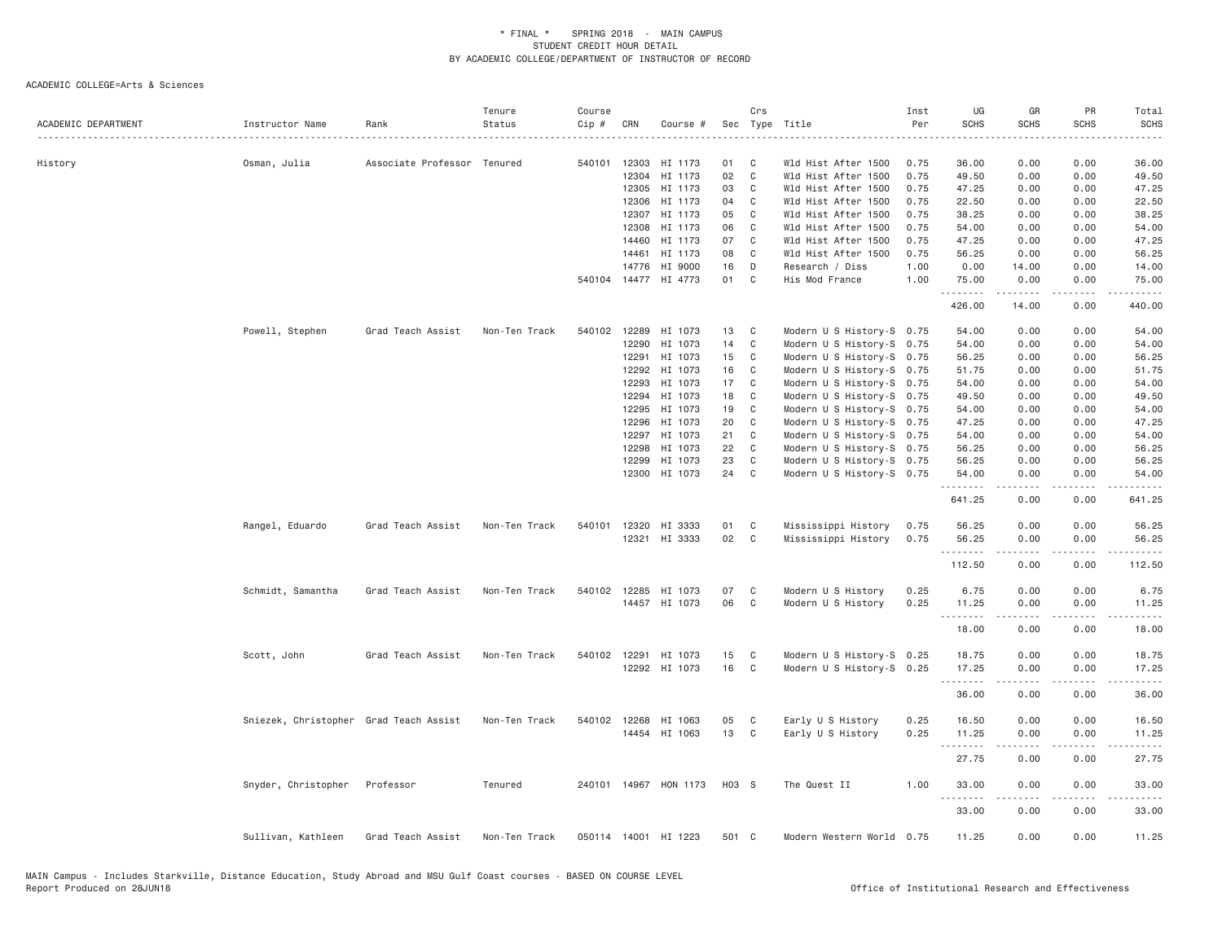| ACADEMIC DEPARTMENT | Instructor Name                        | Rank                        | Tenure<br>Status | Course<br>Cip # | CRN   | Course #              |       | Crs            | Sec Type Title            | Inst<br>Per | UG<br><b>SCHS</b> | GR<br><b>SCHS</b>                                                                                                                                            | PR<br><b>SCHS</b>                                                                                                                 | Total<br><b>SCHS</b><br>$\frac{1}{2} \left( \frac{1}{2} \right) \left( \frac{1}{2} \right) \left( \frac{1}{2} \right) \left( \frac{1}{2} \right) \left( \frac{1}{2} \right) \left( \frac{1}{2} \right) \left( \frac{1}{2} \right) \left( \frac{1}{2} \right) \left( \frac{1}{2} \right) \left( \frac{1}{2} \right) \left( \frac{1}{2} \right) \left( \frac{1}{2} \right) \left( \frac{1}{2} \right) \left( \frac{1}{2} \right) \left( \frac{1}{2} \right) \left( \frac{1}{2} \right) \left( \frac$ |
|---------------------|----------------------------------------|-----------------------------|------------------|-----------------|-------|-----------------------|-------|----------------|---------------------------|-------------|-------------------|--------------------------------------------------------------------------------------------------------------------------------------------------------------|-----------------------------------------------------------------------------------------------------------------------------------|----------------------------------------------------------------------------------------------------------------------------------------------------------------------------------------------------------------------------------------------------------------------------------------------------------------------------------------------------------------------------------------------------------------------------------------------------------------------------------------------------|
| History             | Osman, Julia                           | Associate Professor Tenured |                  | 540101          | 12303 | HI 1173               | 01    | C              | Wld Hist After 1500       | 0.75        | 36.00             | 0.00                                                                                                                                                         | 0.00                                                                                                                              | 36.00                                                                                                                                                                                                                                                                                                                                                                                                                                                                                              |
|                     |                                        |                             |                  |                 | 12304 | HI 1173               | 02    | $\mathsf{C}$   | Wld Hist After 1500       | 0.75        | 49.50             | 0.00                                                                                                                                                         | 0.00                                                                                                                              | 49.50                                                                                                                                                                                                                                                                                                                                                                                                                                                                                              |
|                     |                                        |                             |                  |                 | 12305 | HI 1173               | 03    | C              | Wld Hist After 1500       | 0.75        | 47.25             | 0.00                                                                                                                                                         | 0.00                                                                                                                              | 47.25                                                                                                                                                                                                                                                                                                                                                                                                                                                                                              |
|                     |                                        |                             |                  |                 | 12306 | HI 1173               | 04    | C              | Wld Hist After 1500       | 0.75        | 22.50             | 0.00                                                                                                                                                         | 0.00                                                                                                                              | 22.50                                                                                                                                                                                                                                                                                                                                                                                                                                                                                              |
|                     |                                        |                             |                  |                 | 12307 | HI 1173               | 05    | C              | Wld Hist After 1500       | 0.75        | 38.25             | 0.00                                                                                                                                                         | 0.00                                                                                                                              | 38.25                                                                                                                                                                                                                                                                                                                                                                                                                                                                                              |
|                     |                                        |                             |                  |                 | 12308 | HI 1173               | 06    | C              | Wld Hist After 1500       | 0.75        | 54.00             | 0.00                                                                                                                                                         | 0.00                                                                                                                              | 54.00                                                                                                                                                                                                                                                                                                                                                                                                                                                                                              |
|                     |                                        |                             |                  |                 | 14460 | HI 1173               | 07    | C              | Wld Hist After 1500       | 0.75        | 47.25             | 0.00                                                                                                                                                         | 0.00                                                                                                                              | 47.25                                                                                                                                                                                                                                                                                                                                                                                                                                                                                              |
|                     |                                        |                             |                  |                 | 14461 | HI 1173               | 08    | C              | Wld Hist After 1500       | 0.75        | 56.25             | 0.00                                                                                                                                                         | 0.00                                                                                                                              | 56.25                                                                                                                                                                                                                                                                                                                                                                                                                                                                                              |
|                     |                                        |                             |                  |                 | 14776 | HI 9000               | 16    | D              | Research / Diss           | 1.00        | 0.00              | 14.00                                                                                                                                                        | 0.00                                                                                                                              | 14.00                                                                                                                                                                                                                                                                                                                                                                                                                                                                                              |
|                     |                                        |                             |                  |                 |       | 540104 14477 HI 4773  | 01    | C              | His Mod France            | 1.00        | 75.00<br>.        | 0.00<br>$\frac{1}{2} \left( \frac{1}{2} \right) \left( \frac{1}{2} \right) \left( \frac{1}{2} \right) \left( \frac{1}{2} \right) \left( \frac{1}{2} \right)$ | 0.00<br>$\omega$ is a $\omega$                                                                                                    | 75.00<br>.                                                                                                                                                                                                                                                                                                                                                                                                                                                                                         |
|                     |                                        |                             |                  |                 |       |                       |       |                |                           |             | 426.00            | 14.00                                                                                                                                                        | 0.00                                                                                                                              | 440.00                                                                                                                                                                                                                                                                                                                                                                                                                                                                                             |
|                     | Powell, Stephen                        | Grad Teach Assist           | Non-Ten Track    | 540102 12289    |       | HI 1073               | 13    | C              | Modern U S History-S 0.75 |             | 54.00             | 0.00                                                                                                                                                         | 0.00                                                                                                                              | 54.00                                                                                                                                                                                                                                                                                                                                                                                                                                                                                              |
|                     |                                        |                             |                  |                 | 12290 | HI 1073               | 14    | C              | Modern U S History-S 0.75 |             | 54.00             | 0.00                                                                                                                                                         | 0.00                                                                                                                              | 54.00                                                                                                                                                                                                                                                                                                                                                                                                                                                                                              |
|                     |                                        |                             |                  |                 | 12291 | HI 1073               | 15    | C              | Modern U S History-S 0.75 |             | 56.25             | 0.00                                                                                                                                                         | 0.00                                                                                                                              | 56.25                                                                                                                                                                                                                                                                                                                                                                                                                                                                                              |
|                     |                                        |                             |                  |                 | 12292 | HI 1073               | 16    | C              | Modern U S History-S 0.75 |             | 51.75             | 0.00                                                                                                                                                         | 0.00                                                                                                                              | 51.75                                                                                                                                                                                                                                                                                                                                                                                                                                                                                              |
|                     |                                        |                             |                  |                 | 12293 | HI 1073               | 17    | C              | Modern U S History-S 0.75 |             | 54.00             | 0.00                                                                                                                                                         | 0.00                                                                                                                              | 54.00                                                                                                                                                                                                                                                                                                                                                                                                                                                                                              |
|                     |                                        |                             |                  |                 | 12294 | HI 1073               | 18    | C              | Modern U S History-S 0.75 |             | 49.50             | 0.00                                                                                                                                                         | 0.00                                                                                                                              | 49.50                                                                                                                                                                                                                                                                                                                                                                                                                                                                                              |
|                     |                                        |                             |                  |                 | 12295 | HI 1073               | 19    | C              | Modern U S History-S 0.75 |             | 54.00             | 0.00                                                                                                                                                         | 0.00                                                                                                                              | 54.00                                                                                                                                                                                                                                                                                                                                                                                                                                                                                              |
|                     |                                        |                             |                  |                 | 12296 | HI 1073               | 20    | C              | Modern U S History-S 0.75 |             | 47.25             | 0.00                                                                                                                                                         | 0.00                                                                                                                              | 47.25                                                                                                                                                                                                                                                                                                                                                                                                                                                                                              |
|                     |                                        |                             |                  |                 | 12297 | HI 1073               | 21    | C              | Modern U S History-S 0.75 |             | 54.00             | 0.00                                                                                                                                                         | 0.00                                                                                                                              | 54.00                                                                                                                                                                                                                                                                                                                                                                                                                                                                                              |
|                     |                                        |                             |                  |                 | 12298 | HI 1073               | 22    | C              | Modern U S History-S 0.75 |             | 56.25             | 0.00                                                                                                                                                         | 0.00                                                                                                                              | 56.25                                                                                                                                                                                                                                                                                                                                                                                                                                                                                              |
|                     |                                        |                             |                  |                 | 12299 | HI 1073               | 23    | C              | Modern U S History-S 0.75 |             | 56.25             | 0.00                                                                                                                                                         | 0.00                                                                                                                              | 56.25                                                                                                                                                                                                                                                                                                                                                                                                                                                                                              |
|                     |                                        |                             |                  |                 | 12300 | HI 1073               | 24    | C              | Modern U S History-S 0.75 |             | 54.00<br>.        | 0.00<br>.                                                                                                                                                    | 0.00<br>$\frac{1}{2} \left( \frac{1}{2} \right) \left( \frac{1}{2} \right) \left( \frac{1}{2} \right) \left( \frac{1}{2} \right)$ | 54.00                                                                                                                                                                                                                                                                                                                                                                                                                                                                                              |
|                     |                                        |                             |                  |                 |       |                       |       |                |                           |             | 641.25            | 0.00                                                                                                                                                         | 0.00                                                                                                                              | 641.25                                                                                                                                                                                                                                                                                                                                                                                                                                                                                             |
|                     | Rangel, Eduardo                        | Grad Teach Assist           | Non-Ten Track    | 540101          | 12320 | HI 3333               | 01    | C              | Mississippi History       | 0.75        | 56.25             | 0.00                                                                                                                                                         | 0.00                                                                                                                              | 56.25                                                                                                                                                                                                                                                                                                                                                                                                                                                                                              |
|                     |                                        |                             |                  |                 | 12321 | HI 3333               | 02    | C              | Mississippi History       | 0.75        | 56.25             | 0.00                                                                                                                                                         | 0.00                                                                                                                              | 56.25                                                                                                                                                                                                                                                                                                                                                                                                                                                                                              |
|                     |                                        |                             |                  |                 |       |                       |       |                |                           |             | .                 | .                                                                                                                                                            | .                                                                                                                                 |                                                                                                                                                                                                                                                                                                                                                                                                                                                                                                    |
|                     |                                        |                             |                  |                 |       |                       |       |                |                           |             | 112.50            | 0.00                                                                                                                                                         | 0.00                                                                                                                              | 112.50                                                                                                                                                                                                                                                                                                                                                                                                                                                                                             |
|                     | Schmidt, Samantha                      | Grad Teach Assist           | Non-Ten Track    | 540102 12285    |       | HI 1073               | 07    | C              | Modern U S History        | 0.25        | 6.75              | 0.00                                                                                                                                                         | 0.00                                                                                                                              | 6.75                                                                                                                                                                                                                                                                                                                                                                                                                                                                                               |
|                     |                                        |                             |                  |                 |       | 14457 HI 1073         | 06    | C              | Modern U S History        | 0.25        | 11.25             | 0.00                                                                                                                                                         | 0.00                                                                                                                              | 11.25                                                                                                                                                                                                                                                                                                                                                                                                                                                                                              |
|                     |                                        |                             |                  |                 |       |                       |       |                |                           |             | .<br>18.00        | .<br>0.00                                                                                                                                                    | .<br>0.00                                                                                                                         | $\sim$ $\sim$ $\sim$ $\sim$<br>18.00                                                                                                                                                                                                                                                                                                                                                                                                                                                               |
|                     |                                        |                             |                  |                 |       |                       |       |                |                           |             |                   |                                                                                                                                                              |                                                                                                                                   |                                                                                                                                                                                                                                                                                                                                                                                                                                                                                                    |
|                     | Scott, John                            | Grad Teach Assist           | Non-Ten Track    | 540102 12291    |       | HI 1073               | 15    | C              | Modern U S History-S 0.25 |             | 18.75             | 0.00                                                                                                                                                         | 0.00                                                                                                                              | 18.75                                                                                                                                                                                                                                                                                                                                                                                                                                                                                              |
|                     |                                        |                             |                  |                 |       | 12292 HI 1073         | 16    | $\mathbf{C}$   | Modern U S History-S 0.25 |             | 17.25<br>.        | 0.00                                                                                                                                                         | 0.00<br>.                                                                                                                         | 17.25                                                                                                                                                                                                                                                                                                                                                                                                                                                                                              |
|                     |                                        |                             |                  |                 |       |                       |       |                |                           |             | 36.00             | 0.00                                                                                                                                                         | 0.00                                                                                                                              | 36.00                                                                                                                                                                                                                                                                                                                                                                                                                                                                                              |
|                     | Sniezek, Christopher Grad Teach Assist |                             | Non-Ten Track    | 540102 12268    |       | HI 1063               | 05    | C              | Early U S History         | 0.25        | 16.50             | 0.00                                                                                                                                                         | 0.00                                                                                                                              | 16.50                                                                                                                                                                                                                                                                                                                                                                                                                                                                                              |
|                     |                                        |                             |                  |                 |       | 14454 HI 1063         | 13    | C <sub>1</sub> | Early U S History         | 0.25        | 11.25             | 0.00                                                                                                                                                         | 0.00                                                                                                                              | 11.25                                                                                                                                                                                                                                                                                                                                                                                                                                                                                              |
|                     |                                        |                             |                  |                 |       |                       |       |                |                           |             | .                 | .                                                                                                                                                            | .                                                                                                                                 | .                                                                                                                                                                                                                                                                                                                                                                                                                                                                                                  |
|                     |                                        |                             |                  |                 |       |                       |       |                |                           |             | 27.75             | 0.00                                                                                                                                                         | 0.00                                                                                                                              | 27.75                                                                                                                                                                                                                                                                                                                                                                                                                                                                                              |
|                     | Snyder, Christopher                    | Professor                   | Tenured          |                 |       | 240101 14967 HON 1173 | H03 S |                | The Quest II              | 1.00        | 33,00             | 0.00                                                                                                                                                         | 0.00                                                                                                                              | 33.00                                                                                                                                                                                                                                                                                                                                                                                                                                                                                              |
|                     |                                        |                             |                  |                 |       |                       |       |                |                           |             | .                 | .                                                                                                                                                            | .                                                                                                                                 | .                                                                                                                                                                                                                                                                                                                                                                                                                                                                                                  |
|                     |                                        |                             |                  |                 |       |                       |       |                |                           |             | 33.00             | 0.00                                                                                                                                                         | 0.00                                                                                                                              | 33.00                                                                                                                                                                                                                                                                                                                                                                                                                                                                                              |
|                     | Sullivan, Kathleen                     | Grad Teach Assist           | Non-Ten Track    |                 |       | 050114 14001 HI 1223  | 501 C |                | Modern Western World 0.75 |             | 11.25             | 0.00                                                                                                                                                         | 0.00                                                                                                                              | 11.25                                                                                                                                                                                                                                                                                                                                                                                                                                                                                              |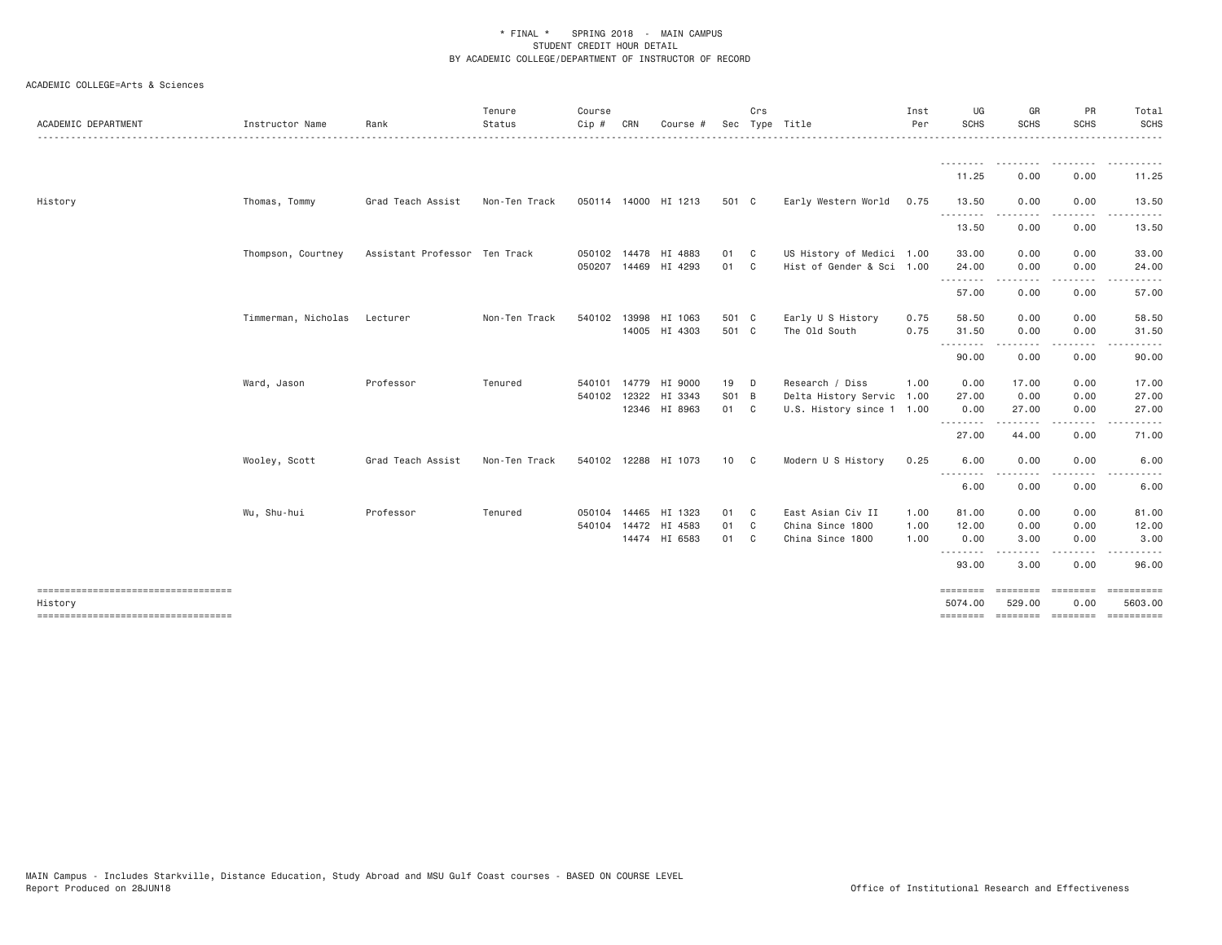| ACADEMIC DEPARTMENT                  | Instructor Name     | Rank                          | Tenure<br>Status | Course<br>Cip # | CRN | Course #             |       | Crs          | Sec Type Title            | Inst<br>Per | UG<br><b>SCHS</b>   | GR<br><b>SCHS</b>  | PR<br><b>SCHS</b> | Total<br>SCHS<br>$\frac{1}{2}$           |
|--------------------------------------|---------------------|-------------------------------|------------------|-----------------|-----|----------------------|-------|--------------|---------------------------|-------------|---------------------|--------------------|-------------------|------------------------------------------|
|                                      |                     |                               |                  |                 |     |                      |       |              |                           |             | 11.25               | . <b>.</b><br>0.00 | 0.00              | 11.25                                    |
| History                              | Thomas, Tommy       | Grad Teach Assist             | Non-Ten Track    |                 |     | 050114 14000 HI 1213 | 501 C |              | Early Western World 0.75  |             | 13.50<br>.          | 0.00               | 0.00<br>$- - - -$ | 13.50<br>.                               |
|                                      |                     |                               |                  |                 |     |                      |       |              |                           |             | 13.50               | 0.00               | 0.00              | 13.50                                    |
|                                      | Thompson, Courtney  | Assistant Professor Ten Track |                  |                 |     | 050102 14478 HI 4883 | 01    | $\mathbf{C}$ | US History of Medici 1.00 |             | 33.00               | 0.00               | 0.00              | 33.00                                    |
|                                      |                     |                               |                  |                 |     | 050207 14469 HI 4293 | 01    | C            | Hist of Gender & Sci 1.00 |             | 24.00<br>.          | 0.00               | 0.00              | 24.00                                    |
|                                      |                     |                               |                  |                 |     |                      |       |              |                           |             | 57.00               | 0.00               | 0.00              | 57.00                                    |
|                                      | Timmerman, Nicholas | Lecturer                      | Non-Ten Track    | 540102 13998    |     | HI 1063              | 501 C |              | Early U S History         | 0.75        | 58.50               | 0.00               | 0.00              | 58.50                                    |
|                                      |                     |                               |                  |                 |     | 14005 HI 4303        | 501 C |              | The Old South             | 0.75        | 31.50               | 0.00               | 0.00              | 31.50<br>$\cdots$                        |
|                                      |                     |                               |                  |                 |     |                      |       |              |                           |             | .<br>90.00          | -----<br>0.00      | .<br>0.00         | 90.00                                    |
|                                      | Ward, Jason         | Professor                     | Tenured          |                 |     | 540101 14779 HI 9000 | 19    | D            | Research / Diss           | 1.00        | 0.00                | 17.00              | 0.00              | 17.00                                    |
|                                      |                     |                               |                  | 540102 12322    |     | HI 3343              | S01 B |              | Delta History Servic 1.00 |             | 27.00               | 0.00               | 0.00              | 27.00                                    |
|                                      |                     |                               |                  |                 |     | 12346 HI 8963        | 01 C  |              | U.S. History since 1 1.00 |             | 0.00<br>.           | 27.00<br>.         | 0.00              | 27.00                                    |
|                                      |                     |                               |                  |                 |     |                      |       |              |                           |             | 27.00               | 44.00              | 0.00              | 71.00                                    |
|                                      | Wooley, Scott       | Grad Teach Assist             | Non-Ten Track    |                 |     | 540102 12288 HI 1073 | 10 C  |              | Modern U S History        | 0.25        | 6.00                | 0.00               | 0.00              | 6.00                                     |
|                                      |                     |                               |                  |                 |     |                      |       |              |                           |             | <u>.</u><br>6.00    | $\cdots$<br>0.00   | 0.00              | 6.00                                     |
|                                      | Wu, Shu-hui         | Professor                     | Tenured          |                 |     | 050104 14465 HI 1323 | 01    | $\mathbf{C}$ | East Asian Civ II         | 1.00        | 81.00               | 0.00               | 0.00              | 81.00                                    |
|                                      |                     |                               |                  |                 |     | 540104 14472 HI 4583 | 01    | $\mathbf{C}$ | China Since 1800          | 1.00        | 12.00               | 0.00               | 0.00              | 12.00                                    |
|                                      |                     |                               |                  |                 |     | 14474 HI 6583        | 01 C  |              | China Since 1800          | 1.00        | 0.00                | 3.00               | 0.00              | 3.00                                     |
|                                      |                     |                               |                  |                 |     |                      |       |              |                           |             | <u>.</u><br>93.00   | -----<br>3.00      | .<br>0.00         | .<br>96.00                               |
| ==================================== |                     |                               |                  |                 |     |                      |       |              |                           |             | ========            | ---------          | ---------         |                                          |
| History                              |                     |                               |                  |                 |     |                      |       |              |                           |             | 5074.00<br>======== | 529.00             | 0.00              | 5603.00<br>--------- -------- ---------- |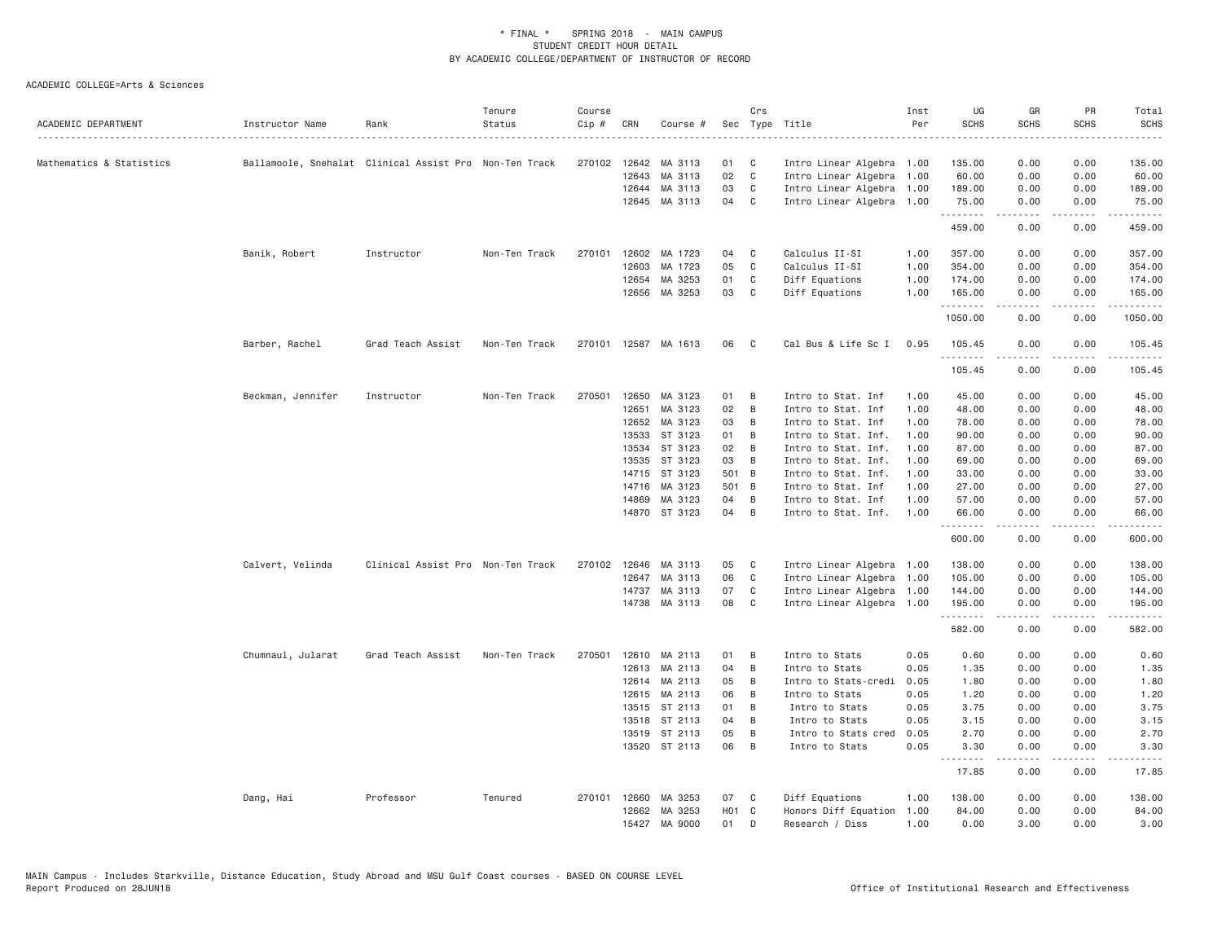| ACADEMIC DEPARTMENT      | Instructor Name   | Rank                                                   | Tenure<br>Status | Course<br>Cip # | CRN          | Course #      |       | Crs | Sec Type Title            | Inst<br>Per | UG<br><b>SCHS</b> | GR<br><b>SCHS</b>                                                                                                                                            | PR<br><b>SCHS</b>                   | Total<br><b>SCHS</b>                                                                                                                                           |
|--------------------------|-------------------|--------------------------------------------------------|------------------|-----------------|--------------|---------------|-------|-----|---------------------------|-------------|-------------------|--------------------------------------------------------------------------------------------------------------------------------------------------------------|-------------------------------------|----------------------------------------------------------------------------------------------------------------------------------------------------------------|
| Mathematics & Statistics |                   | Ballamoole, Snehalat Clinical Assist Pro Non-Ten Track |                  |                 | 270102 12642 | MA 3113       | 01    | C   | Intro Linear Algebra 1.00 |             | 135.00            | 0.00                                                                                                                                                         | 0.00                                | 135.00                                                                                                                                                         |
|                          |                   |                                                        |                  |                 | 12643        | MA 3113       | 02    | C   | Intro Linear Algebra      | 1.00        | 60.00             | 0.00                                                                                                                                                         | 0.00                                | 60.00                                                                                                                                                          |
|                          |                   |                                                        |                  |                 | 12644        | MA 3113       | 03    | C   | Intro Linear Algebra      | 1.00        | 189.00            | 0.00                                                                                                                                                         | 0.00                                | 189.00                                                                                                                                                         |
|                          |                   |                                                        |                  |                 | 12645        | MA 3113       | 04    | C   | Intro Linear Algebra 1.00 |             | 75.00             | 0.00                                                                                                                                                         | 0.00                                | 75.00                                                                                                                                                          |
|                          |                   |                                                        |                  |                 |              |               |       |     |                           |             | .<br>459.00       | .<br>0.00                                                                                                                                                    | $\sim$ $\sim$ $\sim$ $\sim$<br>0.00 | 459.00                                                                                                                                                         |
|                          | Banik, Robert     | Instructor                                             | Non-Ten Track    | 270101          | 12602        | MA 1723       | 04    | C   | Calculus II-SI            | 1.00        | 357.00            | 0.00                                                                                                                                                         | 0.00                                | 357.00                                                                                                                                                         |
|                          |                   |                                                        |                  |                 | 12603        | MA 1723       | 05    | C   | Calculus II-SI            | 1.00        | 354.00            | 0.00                                                                                                                                                         | 0.00                                | 354.00                                                                                                                                                         |
|                          |                   |                                                        |                  |                 | 12654        | MA 3253       | 01    | C   | Diff Equations            | 1.00        | 174.00            | 0.00                                                                                                                                                         | 0.00                                | 174.00                                                                                                                                                         |
|                          |                   |                                                        |                  |                 | 12656        | MA 3253       | 03    | C   | Diff Equations            | 1.00        | 165.00            | 0.00                                                                                                                                                         | 0.00                                | 165.00                                                                                                                                                         |
|                          |                   |                                                        |                  |                 |              |               |       |     |                           |             | .<br>1050.00      | .<br>0.00                                                                                                                                                    | .<br>0.00                           | .<br>1050.00                                                                                                                                                   |
|                          | Barber, Rachel    | Grad Teach Assist                                      | Non-Ten Track    | 270101          |              | 12587 MA 1613 | 06    | C   | Cal Bus & Life Sc I       | 0.95        | 105.45<br>.       | 0.00                                                                                                                                                         | 0.00                                | 105.45                                                                                                                                                         |
|                          |                   |                                                        |                  |                 |              |               |       |     |                           |             | 105.45            | 0.00                                                                                                                                                         | 0.00                                | 105.45                                                                                                                                                         |
|                          | Beckman, Jennifer | Instructor                                             | Non-Ten Track    | 270501          | 12650        | MA 3123       | 01    | B   | Intro to Stat. Inf        | 1.00        | 45.00             | 0.00                                                                                                                                                         | 0.00                                | 45.00                                                                                                                                                          |
|                          |                   |                                                        |                  |                 | 12651        | MA 3123       | 02    | B   | Intro to Stat. Inf        | 1.00        | 48.00             | 0.00                                                                                                                                                         | 0.00                                | 48.00                                                                                                                                                          |
|                          |                   |                                                        |                  |                 | 12652        | MA 3123       | 03    | B   | Intro to Stat. Inf        | 1.00        | 78.00             | 0.00                                                                                                                                                         | 0.00                                | 78.00                                                                                                                                                          |
|                          |                   |                                                        |                  |                 | 13533        | ST 3123       | 01    | B   | Intro to Stat. Inf.       | 1.00        | 90.00             | 0.00                                                                                                                                                         | 0.00                                | 90.00                                                                                                                                                          |
|                          |                   |                                                        |                  |                 | 13534        | ST 3123       | 02    | B   | Intro to Stat. Inf.       | 1.00        | 87.00             | 0.00                                                                                                                                                         | 0.00                                | 87.00                                                                                                                                                          |
|                          |                   |                                                        |                  |                 | 13535        | ST 3123       | 03    | B   | Intro to Stat. Inf.       | 1,00        | 69.00             | 0.00                                                                                                                                                         | 0.00                                | 69.00                                                                                                                                                          |
|                          |                   |                                                        |                  |                 | 14715        | ST 3123       | 501 B |     | Intro to Stat. Inf.       | 1.00        | 33.00             | 0.00                                                                                                                                                         | 0.00                                | 33.00                                                                                                                                                          |
|                          |                   |                                                        |                  |                 | 14716        | MA 3123       | 501 B |     | Intro to Stat. Inf        | 1.00        | 27.00             | 0.00                                                                                                                                                         | 0.00                                | 27.00                                                                                                                                                          |
|                          |                   |                                                        |                  |                 | 14869        | MA 3123       | 04    | B   | Intro to Stat. Inf        | 1.00        | 57.00             | 0.00                                                                                                                                                         | 0.00                                | 57.00                                                                                                                                                          |
|                          |                   |                                                        |                  |                 |              | 14870 ST 3123 | 04    | B   | Intro to Stat. Inf.       | 1.00        | 66.00<br>.        | 0.00<br>.                                                                                                                                                    | 0.00<br>$\frac{1}{2}$               | 66.00<br>.                                                                                                                                                     |
|                          |                   |                                                        |                  |                 |              |               |       |     |                           |             | 600.00            | 0.00                                                                                                                                                         | 0.00                                | 600.00                                                                                                                                                         |
|                          | Calvert, Velinda  | Clinical Assist Pro Non-Ten Track                      |                  | 270102 12646    |              | MA 3113       | 05    | C   | Intro Linear Algebra 1.00 |             | 138.00            | 0.00                                                                                                                                                         | 0.00                                | 138.00                                                                                                                                                         |
|                          |                   |                                                        |                  |                 | 12647        | MA 3113       | 06    | C   | Intro Linear Algebra      | 1.00        | 105.00            | 0.00                                                                                                                                                         | 0.00                                | 105.00                                                                                                                                                         |
|                          |                   |                                                        |                  |                 | 14737        | MA 3113       | 07    | C   | Intro Linear Algebra 1.00 |             | 144.00            | 0.00                                                                                                                                                         | 0.00                                | 144.00                                                                                                                                                         |
|                          |                   |                                                        |                  |                 |              | 14738 MA 3113 | 08    | C   | Intro Linear Algebra 1.00 |             | 195.00<br>.       | 0.00<br>$\frac{1}{2} \left( \frac{1}{2} \right) \left( \frac{1}{2} \right) \left( \frac{1}{2} \right) \left( \frac{1}{2} \right) \left( \frac{1}{2} \right)$ | 0.00<br>.                           | 195.00<br>$\frac{1}{2} \left( \frac{1}{2} \right) \left( \frac{1}{2} \right) \left( \frac{1}{2} \right) \left( \frac{1}{2} \right) \left( \frac{1}{2} \right)$ |
|                          |                   |                                                        |                  |                 |              |               |       |     |                           |             | 582.00            | 0.00                                                                                                                                                         | 0.00                                | 582.00                                                                                                                                                         |
|                          | Chumnaul, Jularat | Grad Teach Assist                                      | Non-Ten Track    | 270501          | 12610        | MA 2113       | 01    | В   | Intro to Stats            | 0.05        | 0.60              | 0.00                                                                                                                                                         | 0.00                                | 0.60                                                                                                                                                           |
|                          |                   |                                                        |                  |                 | 12613        | MA 2113       | 04    | B   | Intro to Stats            | 0.05        | 1.35              | 0.00                                                                                                                                                         | 0.00                                | 1.35                                                                                                                                                           |
|                          |                   |                                                        |                  |                 |              | 12614 MA 2113 | 05    | B   | Intro to Stats-credi      | 0.05        | 1.80              | 0.00                                                                                                                                                         | 0.00                                | 1.80                                                                                                                                                           |
|                          |                   |                                                        |                  |                 | 12615        | MA 2113       | 06    | B   | Intro to Stats            | 0.05        | 1.20              | 0.00                                                                                                                                                         | 0.00                                | 1.20                                                                                                                                                           |
|                          |                   |                                                        |                  |                 | 13515        | ST 2113       | 01    | B   | Intro to Stats            | 0.05        | 3.75              | 0.00                                                                                                                                                         | 0.00                                | 3.75                                                                                                                                                           |
|                          |                   |                                                        |                  |                 |              | 13518 ST 2113 | 04    | B   | Intro to Stats            | 0.05        | 3.15              | 0.00                                                                                                                                                         | 0.00                                | 3.15                                                                                                                                                           |
|                          |                   |                                                        |                  |                 | 13519        | ST 2113       | 05    | B   | Intro to Stats cred       | 0.05        | 2.70              | 0.00                                                                                                                                                         | 0.00                                | 2.70                                                                                                                                                           |
|                          |                   |                                                        |                  |                 |              | 13520 ST 2113 | 06    | B   | Intro to Stats            | 0.05        | 3.30<br>.         | 0.00<br>.                                                                                                                                                    | 0.00<br>.                           | 3.30<br>$\frac{1}{2} \left( \frac{1}{2} \right) \left( \frac{1}{2} \right) \left( \frac{1}{2} \right) \left( \frac{1}{2} \right)$                              |
|                          |                   |                                                        |                  |                 |              |               |       |     |                           |             | 17.85             | 0.00                                                                                                                                                         | 0.00                                | 17.85                                                                                                                                                          |
|                          | Dang, Hai         | Professor                                              | Tenured          |                 | 270101 12660 | MA 3253       | 07    | C   | Diff Equations            | 1.00        | 138.00            | 0.00                                                                                                                                                         | 0.00                                | 138.00                                                                                                                                                         |
|                          |                   |                                                        |                  |                 | 12662        | MA 3253       | HO1 C |     | Honors Diff Equation      | 1.00        | 84.00             | 0.00                                                                                                                                                         | 0.00                                | 84.00                                                                                                                                                          |
|                          |                   |                                                        |                  |                 |              | 15427 MA 9000 | 01    | D   | Research / Diss           | 1.00        | 0.00              | 3,00                                                                                                                                                         | 0.00                                | 3.00                                                                                                                                                           |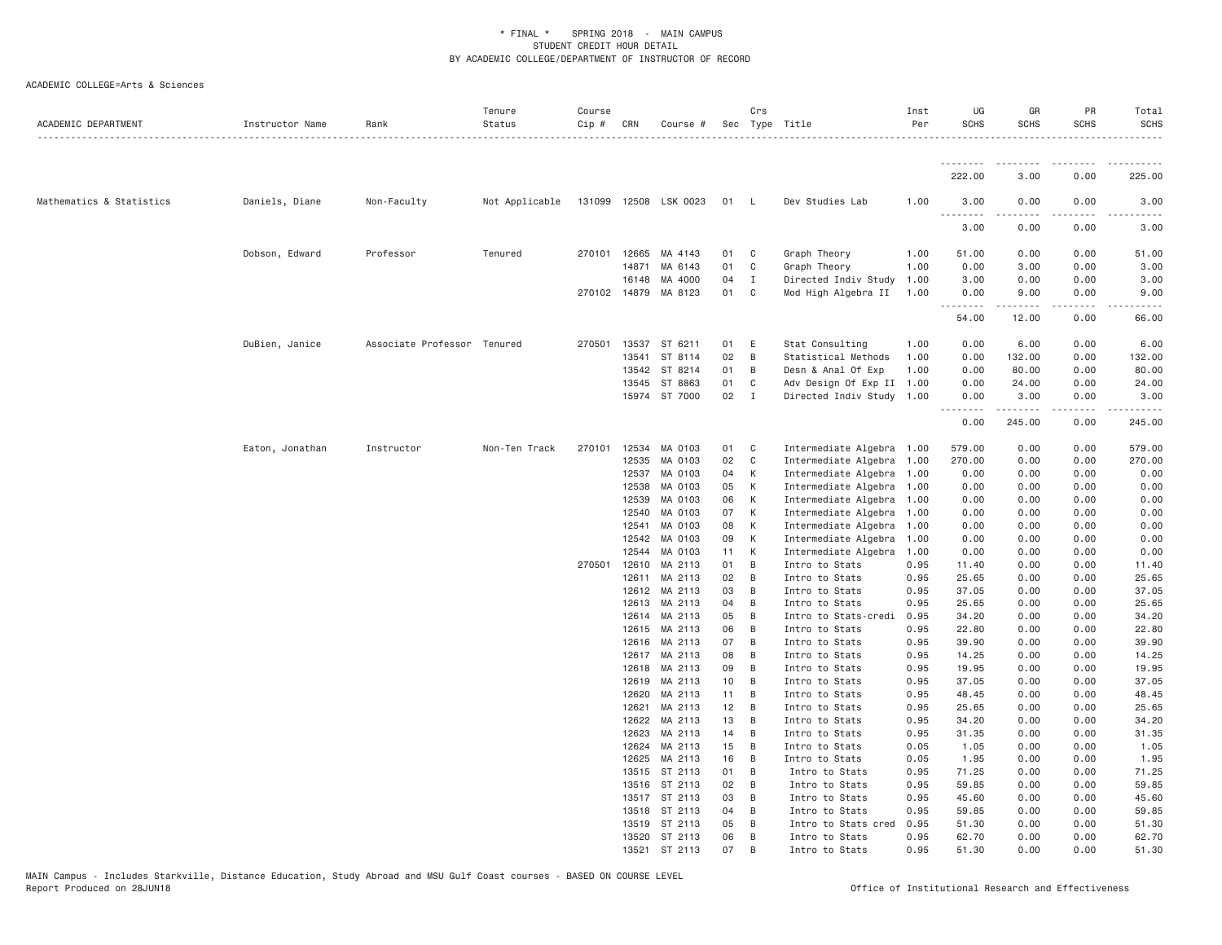| ACADEMIC DEPARTMENT      | Instructor Name | Rank                        | Tenure<br>Status | Course<br>$Cip$ # | CRN            | Course #              |          | Crs            | Sec Type Title                   | Inst<br>Per  | UG<br><b>SCHS</b> | GR<br><b>SCHS</b>   | PR<br><b>SCHS</b> | Total<br><b>SCHS</b><br>. |
|--------------------------|-----------------|-----------------------------|------------------|-------------------|----------------|-----------------------|----------|----------------|----------------------------------|--------------|-------------------|---------------------|-------------------|---------------------------|
|                          |                 |                             |                  |                   |                |                       |          |                |                                  |              | .                 |                     |                   |                           |
|                          |                 |                             |                  |                   |                |                       |          |                |                                  |              | 222.00            | 3.00                | 0.00              | 225.00                    |
| Mathematics & Statistics | Daniels, Diane  | Non-Faculty                 | Not Applicable   |                   |                | 131099 12508 LSK 0023 | 01 L     |                | Dev Studies Lab                  | 1.00         | 3.00<br>.         | 0.00<br>$- - - - -$ | 0.00<br>.         | 3.00<br>$- - - - -$       |
|                          |                 |                             |                  |                   |                |                       |          |                |                                  |              | 3.00              | 0.00                | 0.00              | 3.00                      |
|                          | Dobson, Edward  | Professor                   | Tenured          |                   | 270101 12665   | MA 4143               | 01       | C              | Graph Theory                     | 1.00         | 51.00             | 0.00                | 0.00              | 51.00                     |
|                          |                 |                             |                  |                   | 14871          | MA 6143               | 01       | C              | Graph Theory                     | 1.00         | 0.00              | 3.00                | 0.00              | 3.00                      |
|                          |                 |                             |                  |                   | 16148          | MA 4000               | 04       | I              | Directed Indiv Study             | 1.00         | 3.00              | 0.00                | 0.00              | 3.00                      |
|                          |                 |                             |                  |                   | 270102 14879   | MA 8123               | 01       | C              | Mod High Algebra II              | 1.00         | 0.00<br>.         | 9.00                | 0.00<br>.         | 9.00<br>.                 |
|                          |                 |                             |                  |                   |                |                       |          |                |                                  |              | 54.00             | 12.00               | 0.00              | 66.00                     |
|                          | DuBien, Janice  | Associate Professor Tenured |                  |                   | 270501 13537   | ST 6211               | 01       | E              | Stat Consulting                  | 1.00         | 0.00              | 6.00                | 0.00              | 6.00                      |
|                          |                 |                             |                  |                   | 13541          | ST 8114               | 02       | $\overline{B}$ | Statistical Methods              | 1.00         | 0.00              | 132.00              | 0.00              | 132.00                    |
|                          |                 |                             |                  |                   | 13542          | ST 8214               | 01       | B              | Desn & Anal Of Exp               | 1.00         | 0.00              | 80.00               | 0.00              | 80.00                     |
|                          |                 |                             |                  |                   | 13545          | ST 8863               | 01       | C              | Adv Design Of Exp II 1.00        |              | 0.00              | 24.00               | 0.00              | 24.00                     |
|                          |                 |                             |                  |                   |                | 15974 ST 7000         | 02       | $\mathbf{I}$   | Directed Indiv Study 1.00        |              | 0.00<br>.         | 3.00<br>.           | 0.00<br>-----     | 3.00<br>.                 |
|                          |                 |                             |                  |                   |                |                       |          |                |                                  |              | 0.00              | 245.00              | 0.00              | 245.00                    |
|                          | Eaton, Jonathan | Instructor                  | Non-Ten Track    | 270101            | 12534          | MA 0103               | 01       | $\mathbf{C}$   | Intermediate Algebra 1.00        |              | 579.00            | 0.00                | 0.00              | 579.00                    |
|                          |                 |                             |                  |                   | 12535          | MA 0103               | 02       | $\mathbf{C}$   | Intermediate Algebra 1.00        |              | 270.00            | 0.00                | 0.00              | 270.00                    |
|                          |                 |                             |                  |                   | 12537          | MA 0103               | 04       | К              | Intermediate Algebra 1.00        |              | 0.00              | 0.00                | 0.00              | 0.00                      |
|                          |                 |                             |                  |                   | 12538          | MA 0103               | 05       | К              | Intermediate Algebra 1.00        |              | 0.00              | 0.00                | 0.00              | 0.00                      |
|                          |                 |                             |                  |                   | 12539          | MA 0103               | 06       | K              | Intermediate Algebra 1.00        |              | 0.00              | 0.00                | 0.00              | 0.00                      |
|                          |                 |                             |                  |                   | 12540          | MA 0103               | 07       | К              | Intermediate Algebra 1.00        |              | 0.00              | 0.00                | 0.00              | 0.00                      |
|                          |                 |                             |                  |                   | 12541          | MA 0103               | 08       | К              | Intermediate Algebra 1.00        |              | 0.00              | 0.00                | 0.00              | 0.00                      |
|                          |                 |                             |                  |                   | 12542          | MA 0103               | 09       | $\mathsf{K}$   | Intermediate Algebra             | 1.00         | 0.00              | 0.00                | 0.00              | 0.00                      |
|                          |                 |                             |                  | 270501            | 12544<br>12610 | MA 0103               | 11<br>01 | K<br>B         | Intermediate Algebra             | 1.00         | 0.00              | 0.00                | 0.00              | 0.00                      |
|                          |                 |                             |                  |                   | 12611          | MA 2113<br>MA 2113    | 02       | $\overline{B}$ | Intro to Stats<br>Intro to Stats | 0.95<br>0.95 | 11.40<br>25.65    | 0.00<br>0.00        | 0.00<br>0.00      | 11.40<br>25.65            |
|                          |                 |                             |                  |                   | 12612          | MA 2113               | 03       | B              | Intro to Stats                   | 0.95         | 37.05             | 0.00                | 0.00              | 37.05                     |
|                          |                 |                             |                  |                   | 12613          | MA 2113               | 04       | B              | Intro to Stats                   | 0.95         | 25.65             | 0.00                | 0.00              | 25.65                     |
|                          |                 |                             |                  |                   | 12614          | MA 2113               | 05       | B              | Intro to Stats-credi             | 0.95         | 34.20             | 0.00                | 0.00              | 34.20                     |
|                          |                 |                             |                  |                   | 12615          | MA 2113               | 06       | $\overline{B}$ | Intro to Stats                   | 0.95         | 22.80             | 0.00                | 0.00              | 22.80                     |
|                          |                 |                             |                  |                   | 12616          | MA 2113               | 07       | B              | Intro to Stats                   | 0.95         | 39.90             | 0.00                | 0.00              | 39.90                     |
|                          |                 |                             |                  |                   | 12617          | MA 2113               | 08       | B              | Intro to Stats                   | 0.95         | 14.25             | 0.00                | 0.00              | 14.25                     |
|                          |                 |                             |                  |                   | 12618          | MA 2113               | 09       | B              | Intro to Stats                   | 0.95         | 19.95             | 0.00                | 0.00              | 19.95                     |
|                          |                 |                             |                  |                   | 12619          | MA 2113               | 10       | $\overline{B}$ | Intro to Stats                   | 0.95         | 37.05             | 0.00                | 0.00              | 37.05                     |
|                          |                 |                             |                  |                   | 12620          | MA 2113               | 11       | B              | Intro to Stats                   | 0.95         | 48.45             | 0.00                | 0.00              | 48.45                     |
|                          |                 |                             |                  |                   | 12621          | MA 2113               | 12       | B              | Intro to Stats                   | 0.95         | 25.65             | 0.00                | 0.00              | 25.65                     |
|                          |                 |                             |                  |                   | 12622          | MA 2113               | 13       | $\overline{B}$ | Intro to Stats                   | 0.95         | 34.20             | 0.00                | 0.00              | 34.20                     |
|                          |                 |                             |                  |                   | 12623          | MA 2113               | 14       | B              | Intro to Stats                   | 0.95         | 31.35             | 0.00                | 0.00              | 31.35                     |
|                          |                 |                             |                  |                   | 12624          | MA 2113               | 15       | B              | Intro to Stats                   | 0.05         | 1.05              | 0.00                | 0.00              | 1.05                      |
|                          |                 |                             |                  |                   | 12625          | MA 2113               | 16       | B              | Intro to Stats                   | 0.05         | 1.95              | 0.00                | 0.00              | 1.95                      |
|                          |                 |                             |                  |                   | 13515          | ST 2113               | 01       | B              | Intro to Stats                   | 0.95         | 71.25             | 0.00                | 0.00              | 71.25                     |
|                          |                 |                             |                  |                   | 13516          | ST 2113               | 02       | B              | Intro to Stats                   | 0.95         | 59.85             | 0.00                | 0.00              | 59.85                     |
|                          |                 |                             |                  |                   | 13517          | ST 2113               | 03       | B              | Intro to Stats                   | 0.95         | 45.60             | 0.00                | 0.00              | 45.60                     |
|                          |                 |                             |                  |                   | 13518          | ST 2113               | 04       | B              | Intro to Stats                   | 0.95         | 59.85             | 0.00                | 0.00              | 59.85                     |
|                          |                 |                             |                  |                   | 13519          | ST 2113               | 05       | B              | Intro to Stats cred              | 0.95         | 51.30             | 0.00                | 0.00              | 51.30                     |
|                          |                 |                             |                  |                   |                | 13520 ST 2113         | 06       | B              | Intro to Stats                   | 0.95         | 62.70             | 0.00                | 0.00              | 62.70                     |
|                          |                 |                             |                  |                   |                | 13521 ST 2113         | 07       | B              | Intro to Stats                   | 0.95         | 51.30             | 0.00                | 0.00              | 51.30                     |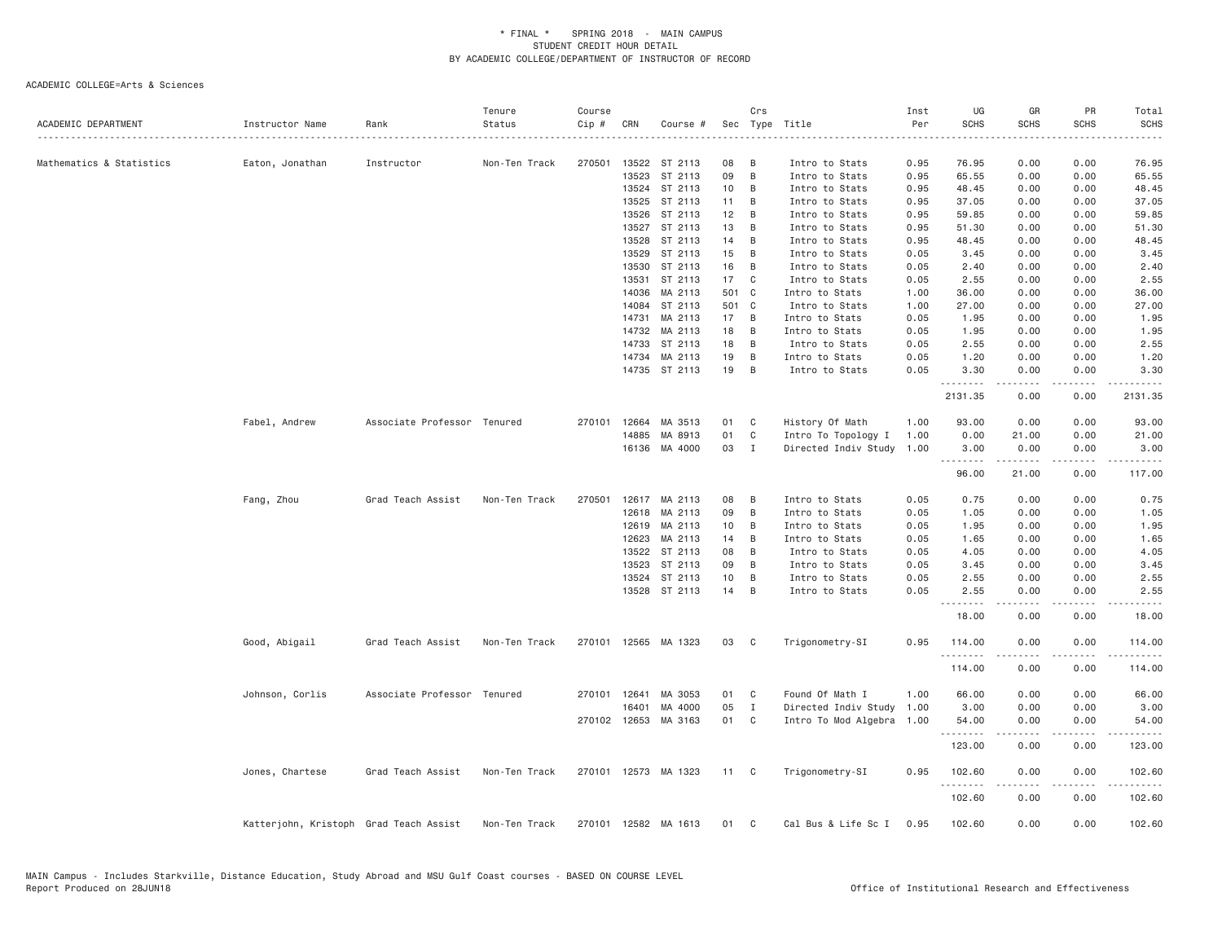| ACADEMIC DEPARTMENT      | Instructor Name                        | Rank                        | Tenure<br>Status | Course<br>Cip # | CRN          | Course #             |       | Crs            | Sec Type Title            | Inst<br>Per | UG<br><b>SCHS</b>      | GR<br><b>SCHS</b> | PR<br><b>SCHS</b> | Total<br><b>SCHS</b> |
|--------------------------|----------------------------------------|-----------------------------|------------------|-----------------|--------------|----------------------|-------|----------------|---------------------------|-------------|------------------------|-------------------|-------------------|----------------------|
|                          |                                        |                             |                  |                 |              |                      |       |                |                           |             |                        |                   |                   |                      |
| Mathematics & Statistics | Eaton, Jonathan                        | Instructor                  | Non-Ten Track    | 270501          | 13522        | ST 2113              | 08    | B              | Intro to Stats            | 0.95        | 76.95                  | 0.00              | 0.00              | 76.95                |
|                          |                                        |                             |                  |                 | 13523        | ST 2113              | 09    | B              | Intro to Stats            | 0.95        | 65.55                  | 0.00              | 0.00              | 65.55                |
|                          |                                        |                             |                  |                 | 13524        | ST 2113              | 10    | B              | Intro to Stats            | 0.95        | 48.45                  | 0.00              | 0.00              | 48.45                |
|                          |                                        |                             |                  |                 | 13525        | ST 2113              | 11    | B              | Intro to Stats            | 0.95        | 37.05                  | 0.00              | 0.00              | 37.05                |
|                          |                                        |                             |                  |                 | 13526        | ST 2113              | 12    | B              | Intro to Stats            | 0.95        | 59.85                  | 0.00              | 0.00              | 59.85                |
|                          |                                        |                             |                  |                 | 13527        | ST 2113              | 13    | B              | Intro to Stats            | 0.95        | 51.30                  | 0.00              | 0.00              | 51.30                |
|                          |                                        |                             |                  |                 | 13528        | ST 2113              | 14    | B              | Intro to Stats            | 0.95        | 48.45                  | 0.00              | 0.00              | 48.45                |
|                          |                                        |                             |                  |                 | 13529        | ST 2113              | 15    | B              | Intro to Stats            | 0.05        | 3.45                   | 0.00              | 0.00              | 3.45                 |
|                          |                                        |                             |                  |                 | 13530        | ST 2113              | 16    | B              | Intro to Stats            | 0.05        | 2.40                   | 0.00              | 0.00              | 2.40                 |
|                          |                                        |                             |                  |                 | 13531        | ST 2113              | 17    | C              | Intro to Stats            | 0.05        | 2.55                   | 0.00              | 0.00              | 2.55                 |
|                          |                                        |                             |                  |                 | 14036        | MA 2113              | 501 C |                | Intro to Stats            | 1.00        | 36.00                  | 0.00              | 0.00              | 36.00                |
|                          |                                        |                             |                  |                 | 14084        | ST 2113              | 501 C |                | Intro to Stats            | 1.00        | 27.00                  | 0.00              | 0.00              | 27.00                |
|                          |                                        |                             |                  |                 | 14731        | MA 2113              | 17    | B              | Intro to Stats            | 0.05        | 1.95                   | 0.00              | 0.00              | 1.95                 |
|                          |                                        |                             |                  |                 | 14732        | MA 2113              | 18    | B              | Intro to Stats            | 0.05        | 1.95                   | 0.00              | 0.00              | 1.95                 |
|                          |                                        |                             |                  |                 | 14733        | ST 2113              | 18    | B              | Intro to Stats            | 0.05        | 2.55                   | 0.00              | 0.00              | 2.55                 |
|                          |                                        |                             |                  |                 | 14734        | MA 2113              | 19    | B              | Intro to Stats            | 0.05        | 1.20                   | 0.00              | 0.00              | 1.20                 |
|                          |                                        |                             |                  |                 |              | 14735 ST 2113        | 19    | B              | Intro to Stats            | 0.05        | 3.30<br>.              | 0.00<br>.         | 0.00<br>.         | 3.30<br>.            |
|                          |                                        |                             |                  |                 |              |                      |       |                |                           |             | 2131.35                | 0.00              | 0.00              | 2131.35              |
|                          | Fabel, Andrew                          | Associate Professor Tenured |                  | 270101          | 12664        | MA 3513              | 01    | C              | History Of Math           | 1.00        | 93.00                  | 0.00              | 0.00              | 93.00                |
|                          |                                        |                             |                  |                 | 14885        | MA 8913              | 01    | C              | Intro To Topology I       | 1.00        | 0.00                   | 21.00             | 0.00              | 21.00                |
|                          |                                        |                             |                  |                 |              | 16136 MA 4000        | 03    | I              | Directed Indiv Study      | 1.00        | 3.00                   | 0.00              | 0.00              | 3.00                 |
|                          |                                        |                             |                  |                 |              |                      |       |                |                           |             | --------<br>96.00      | .<br>21.00        | .<br>0.00         | -----<br>117.00      |
|                          | Fang, Zhou                             | Grad Teach Assist           | Non-Ten Track    | 270501          |              | 12617 MA 2113        | 08    | B              | Intro to Stats            | 0.05        | 0.75                   | 0.00              | 0.00              | 0.75                 |
|                          |                                        |                             |                  |                 | 12618        | MA 2113              | 09    | B              | Intro to Stats            | 0.05        | 1.05                   | 0.00              | 0.00              | 1.05                 |
|                          |                                        |                             |                  |                 | 12619        | MA 2113              | 10    | B              | Intro to Stats            | 0.05        | 1.95                   | 0.00              | 0.00              | 1.95                 |
|                          |                                        |                             |                  |                 | 12623        | MA 2113              | 14    | B              | Intro to Stats            | 0.05        | 1.65                   | 0.00              | 0.00              | 1.65                 |
|                          |                                        |                             |                  |                 | 13522        | ST 2113              | 08    | B              | Intro to Stats            | 0.05        | 4.05                   | 0.00              | 0.00              | 4.05                 |
|                          |                                        |                             |                  |                 | 13523        | ST 2113              | 09    | B              | Intro to Stats            | 0.05        | 3.45                   | 0.00              | 0.00              | 3.45                 |
|                          |                                        |                             |                  |                 | 13524        | ST 2113              | 10    | B              | Intro to Stats            | 0.05        | 2.55                   | 0.00              | 0.00              | 2.55                 |
|                          |                                        |                             |                  |                 |              | 13528 ST 2113        | 14    | B              | Intro to Stats            | 0.05        | 2.55                   | 0.00              | 0.00              | 2.55                 |
|                          |                                        |                             |                  |                 |              |                      |       |                |                           |             | 18.00                  | 0.00              | 0.00              | 18.00                |
|                          | Good, Abigail                          | Grad Teach Assist           | Non-Ten Track    |                 |              | 270101 12565 MA 1323 | 03    | $\mathbf{C}$   | Trigonometry-SI           | 0.95        | 114.00                 | 0.00              | 0.00              | 114.00               |
|                          |                                        |                             |                  |                 |              |                      |       |                |                           |             | . <b>.</b> .<br>114.00 | 0.00              | - - - -<br>0.00   | .<br>114.00          |
|                          | Johnson, Corlis                        | Associate Professor Tenured |                  |                 | 270101 12641 | MA 3053              | 01    | C              | Found Of Math I           | 1.00        | 66.00                  | 0.00              | 0.00              | 66.00                |
|                          |                                        |                             |                  |                 | 16401        | MA 4000              | 05    | $\mathbf I$    | Directed Indiv Study      | 1.00        | 3.00                   | 0.00              | 0.00              | 3.00                 |
|                          |                                        |                             |                  |                 |              | 270102 12653 MA 3163 | 01    | C <sub>c</sub> | Intro To Mod Algebra 1.00 |             | 54.00                  | 0.00              | 0.00              | 54.00                |
|                          |                                        |                             |                  |                 |              |                      |       |                |                           |             | .<br>123.00            | .<br>0.00         | .<br>0.00         | .<br>123.00          |
|                          | Jones, Chartese                        | Grad Teach Assist           | Non-Ten Track    |                 |              | 270101 12573 MA 1323 | 11 C  |                | Trigonometry-SI           | 0.95        | 102.60                 | 0.00              | 0.00              | 102.60               |
|                          |                                        |                             |                  |                 |              |                      |       |                |                           |             | .<br>102.60            | .<br>0.00         | .<br>0.00         | .<br>102.60          |
|                          | Katterjohn, Kristoph Grad Teach Assist |                             | Non-Ten Track    |                 |              | 270101 12582 MA 1613 | 01    | C              | Cal Bus & Life Sc I       | 0.95        | 102.60                 | 0.00              | 0.00              | 102.60               |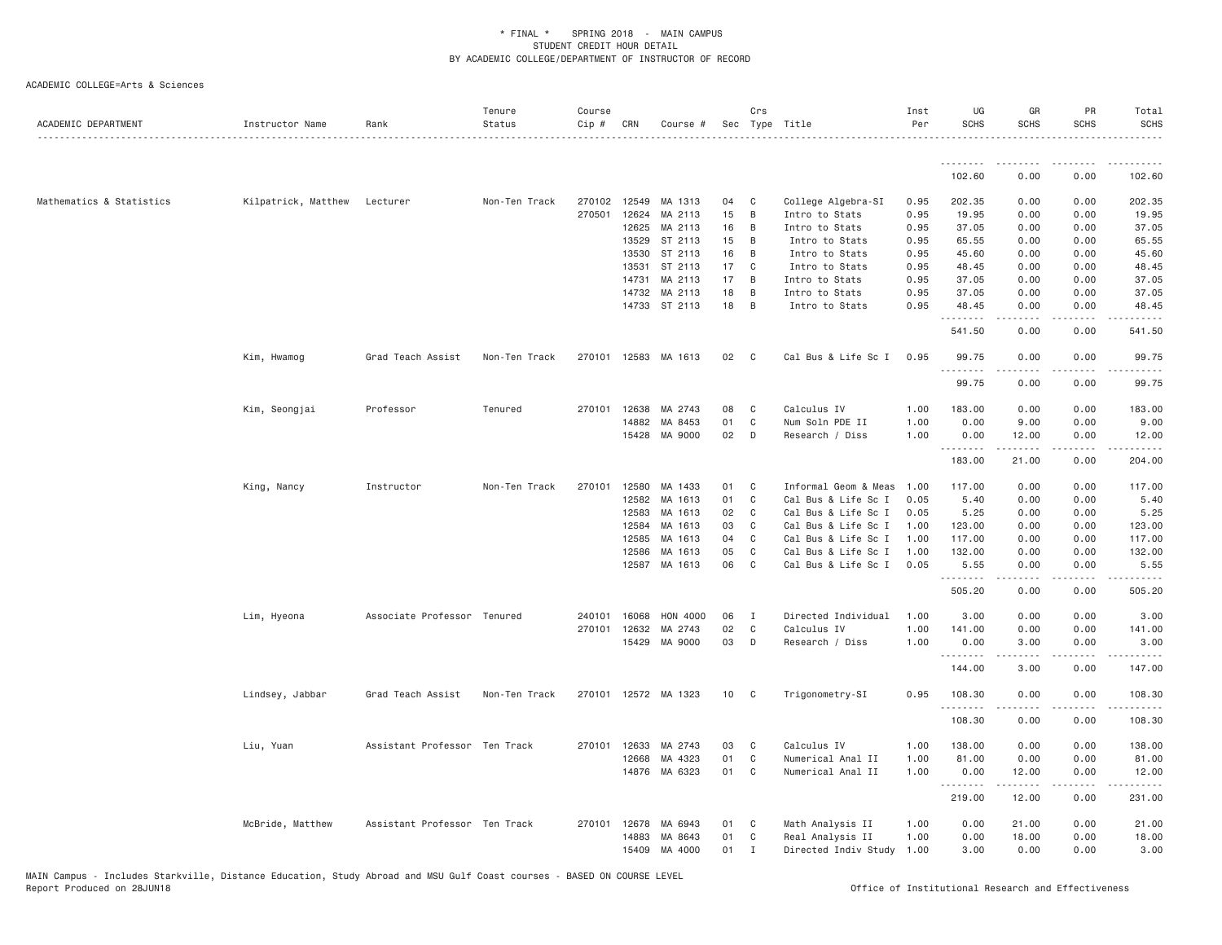| ACADEMIC DEPARTMENT      | Instructor Name     | Rank                          | Tenure<br>Status | Course<br>Cip # | CRN   | Course #             |    | Crs<br>Sec Type Title |                           | Inst<br>Per | UG<br><b>SCHS</b> | GR<br><b>SCHS</b> | PR<br><b>SCHS</b> | Total<br><b>SCHS</b> |
|--------------------------|---------------------|-------------------------------|------------------|-----------------|-------|----------------------|----|-----------------------|---------------------------|-------------|-------------------|-------------------|-------------------|----------------------|
|                          |                     |                               |                  |                 |       |                      |    |                       |                           |             | --------          |                   |                   |                      |
|                          |                     |                               |                  |                 |       |                      |    |                       |                           |             | 102.60            | 0.00              | 0.00              | 102.60               |
| Mathematics & Statistics | Kilpatrick, Matthew | Lecturer                      | Non-Ten Track    | 270102          | 12549 | MA 1313              | 04 | C                     | College Algebra-SI        | 0.95        | 202.35            | 0.00              | 0.00              | 202.35               |
|                          |                     |                               |                  | 270501          | 12624 | MA 2113              | 15 | B                     | Intro to Stats            | 0.95        | 19.95             | 0.00              | 0.00              | 19.95                |
|                          |                     |                               |                  |                 | 12625 | MA 2113              | 16 | $\overline{B}$        | Intro to Stats            | 0.95        | 37.05             | 0.00              | 0.00              | 37.05                |
|                          |                     |                               |                  |                 | 13529 | ST 2113              | 15 | $\overline{B}$        | Intro to Stats            | 0.95        | 65.55             | 0.00              | 0.00              | 65.55                |
|                          |                     |                               |                  |                 | 13530 | ST 2113              | 16 | $\overline{B}$        | Intro to Stats            | 0.95        | 45.60             | 0.00              | 0.00              | 45.60                |
|                          |                     |                               |                  |                 | 13531 | ST 2113              | 17 | $\mathbf{C}$          | Intro to Stats            | 0.95        | 48.45             | 0.00              | 0.00              | 48.45                |
|                          |                     |                               |                  |                 | 14731 | MA 2113              | 17 | B                     | Intro to Stats            | 0.95        | 37.05             | 0.00              | 0.00              | 37.05                |
|                          |                     |                               |                  |                 | 14732 | MA 2113              | 18 | B                     | Intro to Stats            | 0.95        | 37.05             | 0.00              | 0.00              | 37.05                |
|                          |                     |                               |                  |                 |       | 14733 ST 2113        | 18 | $\overline{B}$        | Intro to Stats            | 0.95        | 48.45<br>.        | 0.00              | 0.00<br>.         | 48.45<br>.           |
|                          |                     |                               |                  |                 |       |                      |    |                       |                           |             | 541.50            | 0.00              | 0.00              | 541.50               |
|                          | Kim, Hwamog         | Grad Teach Assist             | Non-Ten Track    |                 |       | 270101 12583 MA 1613 | 02 | $\mathbf{C}$          | Cal Bus & Life Sc I       | 0.95        | 99.75<br>.        | 0.00<br>-----     | 0.00<br>.         | 99.75<br>.           |
|                          |                     |                               |                  |                 |       |                      |    |                       |                           |             | 99.75             | 0.00              | 0.00              | 99.75                |
|                          | Kim, Seongjai       | Professor                     | Tenured          | 270101          | 12638 | MA 2743              | 08 | C                     | Calculus IV               | 1.00        | 183.00            | 0.00              | 0.00              | 183.00               |
|                          |                     |                               |                  |                 | 14882 | MA 8453              | 01 | C                     | Num Soln PDE II           | 1.00        | 0.00              | 9.00              | 0.00              | 9.00                 |
|                          |                     |                               |                  |                 | 15428 | MA 9000              | 02 | D                     | Research / Diss           | 1.00        | 0.00              | 12.00             | 0.00              | 12.00                |
|                          |                     |                               |                  |                 |       |                      |    |                       |                           |             | .<br>183.00       | 21.00             | 0.00              | .<br>204.00          |
|                          | King, Nancy         | Instructor                    | Non-Ten Track    | 270101          | 12580 | MA 1433              | 01 | C                     | Informal Geom & Meas      | 1.00        | 117.00            | 0.00              | 0.00              | 117.00               |
|                          |                     |                               |                  |                 | 12582 | MA 1613              | 01 | $\mathbf{C}$          | Cal Bus & Life Sc I       | 0.05        | 5.40              | 0.00              | 0.00              | 5.40                 |
|                          |                     |                               |                  |                 | 12583 | MA 1613              | 02 | C                     | Cal Bus & Life Sc I       | 0.05        | 5.25              | 0.00              | 0.00              | 5.25                 |
|                          |                     |                               |                  |                 | 12584 | MA 1613              | 03 | C                     | Cal Bus & Life Sc I       | 1.00        | 123.00            | 0.00              | 0.00              | 123.00               |
|                          |                     |                               |                  |                 | 12585 | MA 1613              | 04 | C                     | Cal Bus & Life Sc I       | 1.00        | 117.00            | 0.00              | 0.00              | 117.00               |
|                          |                     |                               |                  |                 | 12586 | MA 1613              | 05 | C                     | Cal Bus & Life Sc I       | 1.00        | 132.00            | 0.00              | 0.00              | 132.00               |
|                          |                     |                               |                  |                 | 12587 | MA 1613              | 06 | $\mathbf{C}$          | Cal Bus & Life Sc I       | 0.05        | 5.55<br>.         | 0.00              | 0.00              | 5.55                 |
|                          |                     |                               |                  |                 |       |                      |    |                       |                           |             | 505.20            | 0.00              | 0.00              | 505.20               |
|                          | Lim, Hyeona         | Associate Professor Tenured   |                  | 240101          | 16068 | HON 4000             | 06 | $\mathbf{I}$          | Directed Individual       | 1.00        | 3.00              | 0.00              | 0.00              | 3.00                 |
|                          |                     |                               |                  | 270101          | 12632 | MA 2743              | 02 | $\mathbf{C}$          | Calculus IV               | 1.00        | 141.00            | 0.00              | 0.00              | 141.00               |
|                          |                     |                               |                  |                 | 15429 | MA 9000              | 03 | D                     | Research / Diss           | 1.00        | 0.00<br>.         | 3.00<br>.         | 0.00<br>.         | 3.00<br>.            |
|                          |                     |                               |                  |                 |       |                      |    |                       |                           |             | 144.00            | 3.00              | 0.00              | 147.00               |
|                          | Lindsey, Jabbar     | Grad Teach Assist             | Non-Ten Track    |                 |       | 270101 12572 MA 1323 | 10 | $\mathbf{C}$          | Trigonometry-SI           | 0.95        | 108.30<br>.       | 0.00<br>.         | 0.00<br>.         | 108.30<br>.          |
|                          |                     |                               |                  |                 |       |                      |    |                       |                           |             | 108.30            | 0.00              | 0.00              | 108.30               |
|                          | Liu, Yuan           | Assistant Professor Ten Track |                  | 270101          | 12633 | MA 2743              | 03 | C <sub>1</sub>        | Calculus IV               | 1.00        | 138.00            | 0.00              | 0.00              | 138.00               |
|                          |                     |                               |                  |                 | 12668 | MA 4323              | 01 | $\mathbf{C}$          | Numerical Anal II         | 1.00        | 81.00             | 0.00              | 0.00              | 81.00                |
|                          |                     |                               |                  |                 |       | 14876 MA 6323        | 01 | C                     | Numerical Anal II         | 1.00        | 0.00              | 12.00             | 0.00              | 12.00                |
|                          |                     |                               |                  |                 |       |                      |    |                       |                           |             | 219.00            | 12.00             | 0.00              | 231.00               |
|                          | McBride, Matthew    | Assistant Professor Ten Track |                  | 270101 12678    |       | MA 6943              | 01 | $\mathbf{C}$          | Math Analysis II          | 1.00        | 0.00              | 21.00             | 0.00              | 21.00                |
|                          |                     |                               |                  |                 | 14883 | MA 8643              | 01 | C                     | Real Analysis II          | 1.00        | 0.00              | 18.00             | 0.00              | 18.00                |
|                          |                     |                               |                  |                 | 15409 | MA 4000              | 01 | $\mathbf{I}$          | Directed Indiv Study 1.00 |             | 3.00              | 0.00              | 0.00              | 3.00                 |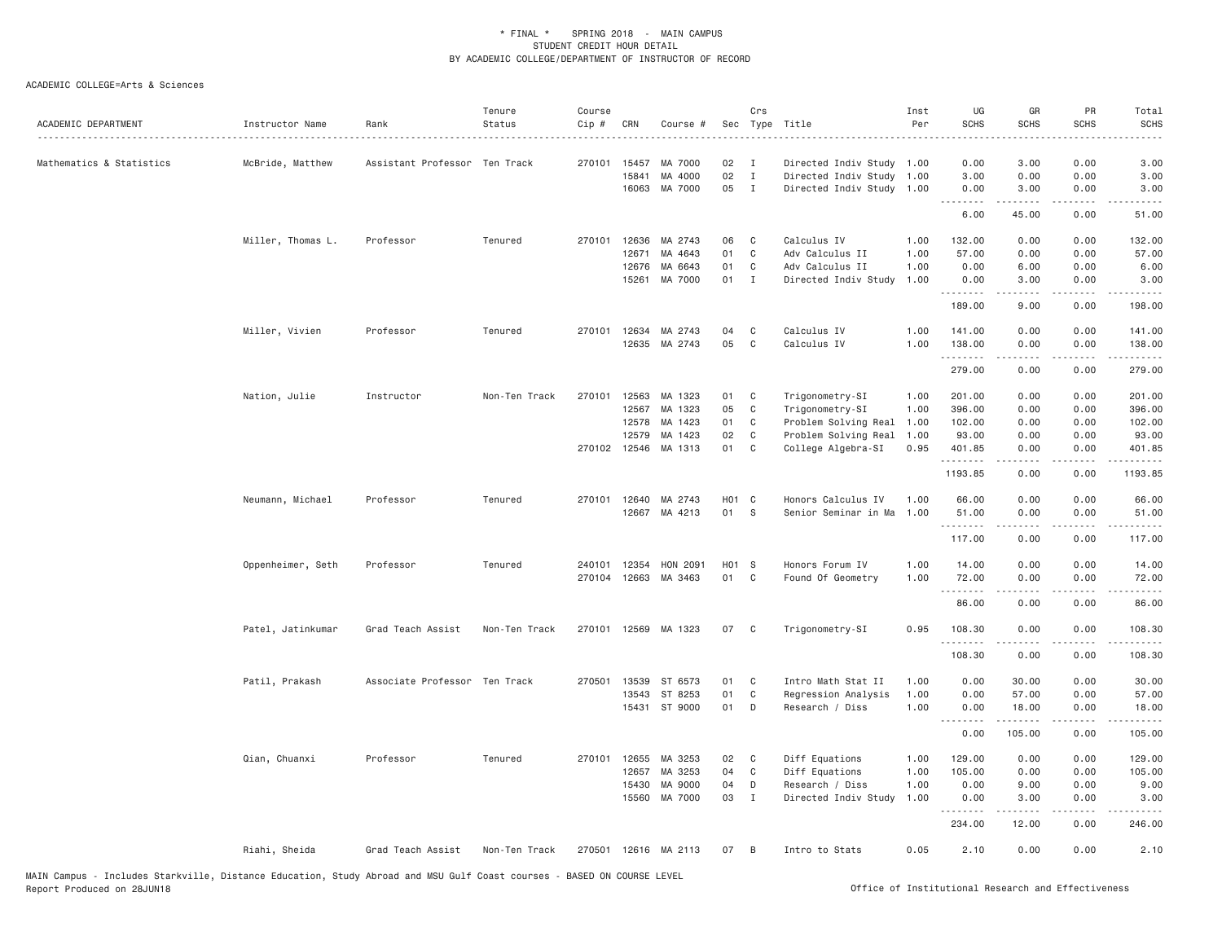| ACADEMIC DEPARTMENT      | Instructor Name   | Rank                          | Tenure<br>Status | Course<br>Cip # | CRN            | Course #             |          | Crs                          | Sec Type Title                                         | Inst<br>Per  | UG<br><b>SCHS</b>  | GR<br><b>SCHS</b>                                                                                                                                            | PR<br><b>SCHS</b> | Total<br><b>SCHS</b>                                                                                                                                           |
|--------------------------|-------------------|-------------------------------|------------------|-----------------|----------------|----------------------|----------|------------------------------|--------------------------------------------------------|--------------|--------------------|--------------------------------------------------------------------------------------------------------------------------------------------------------------|-------------------|----------------------------------------------------------------------------------------------------------------------------------------------------------------|
| Mathematics & Statistics | McBride, Matthew  | Assistant Professor Ten Track |                  | 270101          | 15457          | MA 7000              | 02<br>02 | $\mathbf I$                  | Directed Indiv Study 1.00                              |              | 0.00               | 3.00                                                                                                                                                         | 0.00              | 3.00                                                                                                                                                           |
|                          |                   |                               |                  |                 | 15841<br>16063 | MA 4000<br>MA 7000   | 05       | $\mathbf{I}$<br>$\mathbf{I}$ | Directed Indiv Study 1.00<br>Directed Indiv Study 1.00 |              | 3.00<br>0.00       | 0.00<br>3.00                                                                                                                                                 | 0.00<br>0.00      | 3.00<br>3.00                                                                                                                                                   |
|                          |                   |                               |                  |                 |                |                      |          |                              |                                                        |              | . <b>.</b><br>6.00 | -----<br>45.00                                                                                                                                               | $  -$<br>0.00     | 51.00                                                                                                                                                          |
|                          | Miller, Thomas L. | Professor                     | Tenured          |                 | 270101 12636   | MA 2743              | 06       | C                            | Calculus IV                                            | 1.00         | 132.00             | 0.00                                                                                                                                                         | 0.00              | 132.00                                                                                                                                                         |
|                          |                   |                               |                  |                 | 12671          | MA 4643              | 01       | C                            | Adv Calculus II                                        | 1.00         | 57.00              | 0.00                                                                                                                                                         | 0.00              | 57.00                                                                                                                                                          |
|                          |                   |                               |                  |                 | 12676          | MA 6643              | 01       | C                            | Adv Calculus II                                        | 1.00         | 0.00               | 6.00                                                                                                                                                         | 0.00              | 6.00                                                                                                                                                           |
|                          |                   |                               |                  |                 | 15261          | MA 7000              | 01       | $\mathbf{I}$                 | Directed Indiv Study                                   | 1.00         | 0.00<br>.          | 3.00<br>$\frac{1}{2} \left( \frac{1}{2} \right) \left( \frac{1}{2} \right) \left( \frac{1}{2} \right) \left( \frac{1}{2} \right) \left( \frac{1}{2} \right)$ | 0.00<br>.         | 3.00<br>.                                                                                                                                                      |
|                          |                   |                               |                  |                 |                |                      |          |                              |                                                        |              | 189.00             | 9.00                                                                                                                                                         | 0.00              | 198.00                                                                                                                                                         |
|                          | Miller, Vivien    | Professor                     | Tenured          | 270101          | 12634          | MA 2743              | 04       | C                            | Calculus IV                                            | 1.00         | 141.00             | 0.00                                                                                                                                                         | 0.00              | 141.00                                                                                                                                                         |
|                          |                   |                               |                  |                 | 12635          | MA 2743              | 05       | $\mathsf{C}$                 | Calculus IV                                            | 1.00         | 138.00             | 0.00<br>-----                                                                                                                                                | 0.00<br>.         | 138.00<br>$\frac{1}{2} \left( \frac{1}{2} \right) \left( \frac{1}{2} \right) \left( \frac{1}{2} \right) \left( \frac{1}{2} \right) \left( \frac{1}{2} \right)$ |
|                          |                   |                               |                  |                 |                |                      |          |                              |                                                        |              | 279.00             | 0.00                                                                                                                                                         | 0.00              | 279.00                                                                                                                                                         |
|                          | Nation, Julie     | Instructor                    | Non-Ten Track    | 270101          | 12563          | MA 1323              | 01       | C                            | Trigonometry-SI                                        | 1.00         | 201.00             | 0.00                                                                                                                                                         | 0.00              | 201.00                                                                                                                                                         |
|                          |                   |                               |                  |                 | 12567          | MA 1323              | 05       | C                            | Trigonometry-SI                                        | 1.00         | 396.00             | 0.00                                                                                                                                                         | 0.00              | 396.00                                                                                                                                                         |
|                          |                   |                               |                  |                 | 12578          | MA 1423              | 01       | C                            | Problem Solving Real                                   | 1.00         | 102.00             | 0.00                                                                                                                                                         | 0.00              | 102.00                                                                                                                                                         |
|                          |                   |                               |                  |                 | 12579          | MA 1423              | 02       | $\mathsf{C}$                 | Problem Solving Real                                   | 1.00         | 93.00              | 0.00                                                                                                                                                         | 0.00              | 93.00                                                                                                                                                          |
|                          |                   |                               |                  |                 | 270102 12546   | MA 1313              | 01       | $\mathsf{C}$                 | College Algebra-SI                                     | 0.95         | 401.85<br>.        | 0.00<br>.                                                                                                                                                    | 0.00<br>$  -$     | 401.85<br>$\frac{1}{2} \left( \frac{1}{2} \right) \left( \frac{1}{2} \right) \left( \frac{1}{2} \right) \left( \frac{1}{2} \right) \left( \frac{1}{2} \right)$ |
|                          |                   |                               |                  |                 |                |                      |          |                              |                                                        |              | 1193.85            | 0.00                                                                                                                                                         | 0.00              | 1193.85                                                                                                                                                        |
|                          | Neumann, Michael  | Professor                     | Tenured          | 270101          | 12640          | MA 2743              | H01 C    |                              | Honors Calculus IV                                     | 1.00         | 66.00              | 0.00                                                                                                                                                         | 0.00              | 66.00                                                                                                                                                          |
|                          |                   |                               |                  |                 |                | 12667 MA 4213        | 01       | S                            | Senior Seminar in Ma                                   | 1.00         | 51.00<br>.         | 0.00<br>.                                                                                                                                                    | 0.00              | 51.00<br>$\mathbf{1} \cdot \mathbf{1} \cdot \mathbf{1} \cdot \mathbf{1} \cdot \mathbf{1}$                                                                      |
|                          |                   |                               |                  |                 |                |                      |          |                              |                                                        |              | 117.00             | 0.00                                                                                                                                                         | 0.00              | 117.00                                                                                                                                                         |
|                          | Oppenheimer, Seth | Professor                     | Tenured          |                 | 240101 12354   | HON 2091             | H01 S    |                              | Honors Forum IV                                        | 1.00         | 14.00              | 0.00                                                                                                                                                         | 0.00              | 14.00                                                                                                                                                          |
|                          |                   |                               |                  |                 |                | 270104 12663 MA 3463 | 01       | $\mathbf{C}$                 | Found Of Geometry                                      | 1.00         | 72.00              | 0.00                                                                                                                                                         | 0.00              | 72.00                                                                                                                                                          |
|                          |                   |                               |                  |                 |                |                      |          |                              |                                                        |              | .<br>86.00         | $- - - - -$<br>0.00                                                                                                                                          | .<br>0.00         | .<br>86.00                                                                                                                                                     |
|                          | Patel, Jatinkumar | Grad Teach Assist             | Non-Ten Track    |                 |                | 270101 12569 MA 1323 | 07       | C                            | Trigonometry-SI                                        | 0.95         | 108.30             | 0.00                                                                                                                                                         | 0.00              | 108.30                                                                                                                                                         |
|                          |                   |                               |                  |                 |                |                      |          |                              |                                                        |              | .<br>108.30        | $\frac{1}{2} \left( \frac{1}{2} \right) \left( \frac{1}{2} \right) \left( \frac{1}{2} \right) \left( \frac{1}{2} \right) \left( \frac{1}{2} \right)$<br>0.00 | .<br>0.00         | $\frac{1}{2}$<br>108.30                                                                                                                                        |
|                          |                   |                               |                  |                 |                |                      |          |                              |                                                        |              |                    |                                                                                                                                                              |                   |                                                                                                                                                                |
|                          | Patil, Prakash    | Associate Professor Ten Track |                  | 270501          | 13539          | ST 6573              | 01       | C                            | Intro Math Stat II                                     | 1.00         | 0.00               | 30.00                                                                                                                                                        | 0.00              | 30.00                                                                                                                                                          |
|                          |                   |                               |                  |                 | 13543          | ST 8253              | 01<br>01 | C                            | Regression Analysis                                    | 1.00<br>1.00 | 0.00               | 57.00                                                                                                                                                        | 0.00<br>0.00      | 57.00                                                                                                                                                          |
|                          |                   |                               |                  |                 |                | 15431 ST 9000        |          | D                            | Research / Diss                                        |              | 0.00<br>.          | 18.00<br>.                                                                                                                                                   | .                 | 18.00                                                                                                                                                          |
|                          |                   |                               |                  |                 |                |                      |          |                              |                                                        |              | 0.00               | 105.00                                                                                                                                                       | 0.00              | 105.00                                                                                                                                                         |
|                          | Qian, Chuanxi     | Professor                     | Tenured          | 270101          | 12655          | MA 3253              | 02       | C                            | Diff Equations                                         | 1.00         | 129.00             | 0.00                                                                                                                                                         | 0.00              | 129.00                                                                                                                                                         |
|                          |                   |                               |                  |                 | 12657          | MA 3253              | 04       | C                            | Diff Equations                                         | 1.00         | 105.00             | 0.00                                                                                                                                                         | 0.00              | 105.00                                                                                                                                                         |
|                          |                   |                               |                  |                 | 15430<br>15560 | MA 9000<br>MA 7000   | 04<br>03 | D<br>$\mathbf{I}$            | Research / Diss<br>Directed Indiv Study                | 1.00<br>1.00 | 0.00<br>0.00       | 9.00<br>3.00                                                                                                                                                 | 0.00<br>0.00      | 9.00<br>3.00                                                                                                                                                   |
|                          |                   |                               |                  |                 |                |                      |          |                              |                                                        |              | .                  |                                                                                                                                                              |                   |                                                                                                                                                                |
|                          |                   |                               |                  |                 |                |                      |          |                              |                                                        |              | 234.00             | 12.00                                                                                                                                                        | 0.00              | 246.00                                                                                                                                                         |
|                          | Riahi, Sheida     | Grad Teach Assist             | Non-Ten Track    |                 |                | 270501 12616 MA 2113 | 07       | B                            | Intro to Stats                                         | 0.05         | 2.10               | 0.00                                                                                                                                                         | 0.00              | 2.10                                                                                                                                                           |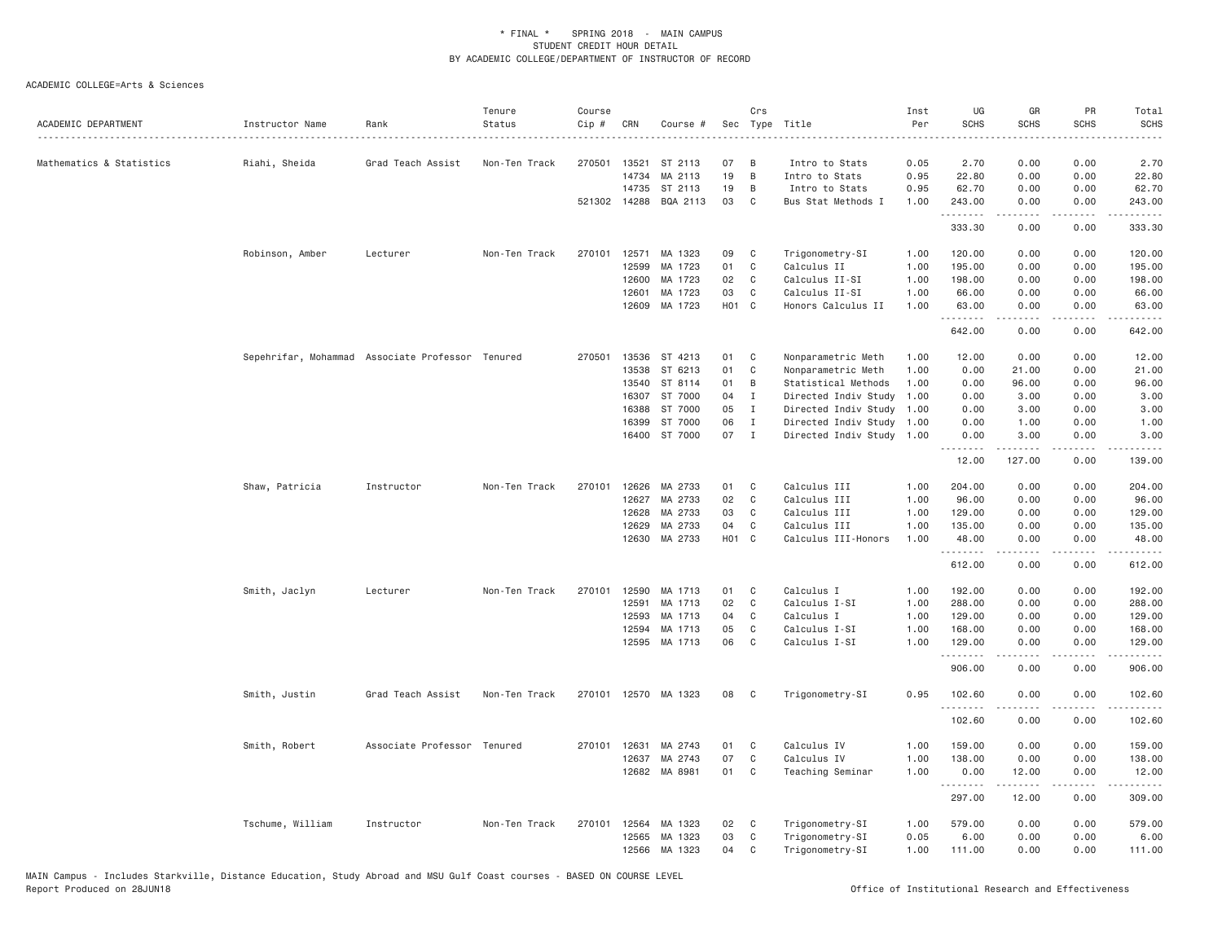| 270501<br>07<br>0.05<br>2.70<br>0.00<br>0.00<br>2.70<br>Mathematics & Statistics<br>Riahi, Sheida<br>Grad Teach Assist<br>Non-Ten Track<br>13521<br>ST 2113<br>B<br>Intro to Stats<br>19<br>14734<br>MA 2113<br>B<br>0.95<br>22.80<br>0.00<br>0.00<br>22.80<br>Intro to Stats<br>19<br>14735<br>ST 2113<br>B<br>0.95<br>62.70<br>0.00<br>0.00<br>62.70<br>Intro to Stats<br>521302 14288<br>BQA 2113<br>03<br>C<br>Bus Stat Methods I<br>1.00<br>243.00<br>0.00<br>0.00<br>243.00<br>.<br>333.30<br>0.00<br>0.00<br>333.30<br>Non-Ten Track<br>270101<br>12571<br>MA 1323<br>09<br>Trigonometry-SI<br>1.00<br>120.00<br>0.00<br>120.00<br>Robinson, Amber<br>Lecturer<br>C<br>0.00<br>01<br>C<br>Calculus II<br>195.00<br>12599<br>MA 1723<br>1.00<br>195.00<br>0.00<br>0.00<br>02<br>C<br>Calculus II-SI<br>0.00<br>0.00<br>12600<br>MA 1723<br>1.00<br>198.00<br>198.00<br>12601<br>MA 1723<br>03<br>C<br>Calculus II-SI<br>1.00<br>66.00<br>0.00<br>0.00<br>66.00<br>H01 C<br>12609<br>MA 1723<br>Honors Calculus II<br>1.00<br>63.00<br>0.00<br>0.00<br>63.00<br>.<br>.<br>$\sim$ $\sim$ $\sim$ $\sim$<br>642.00<br>0.00<br>0.00<br>642.00<br>Sepehrifar, Mohammad Associate Professor Tenured<br>270501<br>13536<br>ST 4213<br>01<br>C<br>Nonparametric Meth<br>1.00<br>12.00<br>0.00<br>0.00<br>12.00<br>13538<br>ST 6213<br>01<br>C<br>1.00<br>0.00<br>0.00<br>Nonparametric Meth<br>21.00<br>21.00<br>ST 8114<br>13540<br>01<br>B<br>Statistical Methods<br>1.00<br>0.00<br>96.00<br>0.00<br>96.00<br>16307<br>ST 7000<br>04<br>I<br>Directed Indiv Study<br>1.00<br>0.00<br>3.00<br>0.00<br>3.00<br>16388<br>ST 7000<br>05<br>Ι.<br>Directed Indiv Study 1.00<br>0.00<br>3.00<br>0.00<br>3.00<br>ST 7000<br>06<br>$\mathbf I$<br>Directed Indiv Study 1.00<br>0.00<br>1.00<br>0.00<br>1.00<br>16399<br>ST 7000<br>07<br>16400<br>$\mathbf{I}$<br>Directed Indiv Study 1.00<br>0.00<br>3.00<br>0.00<br>3.00<br>.<br>12.00<br>127.00<br>139.00<br>0.00<br>12626<br>Calculus III<br>204.00<br>0.00<br>Shaw, Patricia<br>Instructor<br>Non-Ten Track<br>270101<br>MA 2733<br>01<br>C<br>1.00<br>0.00<br>204.00<br>MA 2733<br>02<br>C<br>Calculus III<br>12627<br>1.00<br>96.00<br>0.00<br>0.00<br>96.00<br>12628<br>MA 2733<br>03<br>C<br>Calculus III<br>1.00<br>129.00<br>0.00<br>0.00<br>129.00<br>MA 2733<br>04<br>1.00<br>135.00<br>12629<br>C<br>Calculus III<br>135.00<br>0.00<br>0.00<br>H01 C<br>12630<br>MA 2733<br>Calculus III-Honors<br>1.00<br>48.00<br>0.00<br>0.00<br>48.00<br>.<br><u>.</u><br>.<br>المتمامين<br>612.00<br>0.00<br>0.00<br>612.00<br>C<br>Calculus I<br>192.00<br>Smith, Jaclyn<br>Lecturer<br>Non-Ten Track<br>270101<br>12590<br>MA 1713<br>01<br>1.00<br>0.00<br>0.00<br>192.00<br>02<br>C<br>Calculus I-SI<br>12591<br>MA 1713<br>1.00<br>288.00<br>0.00<br>0.00<br>288.00<br>12593<br>MA 1713<br>04<br>C<br>Calculus I<br>1.00<br>129.00<br>0.00<br>0.00<br>129.00<br>MA 1713<br>05<br>C<br>Calculus I-SI<br>168.00<br>12594<br>1.00<br>168.00<br>0.00<br>0.00<br>MA 1713<br>06<br>$\mathbb C$<br>12595<br>Calculus I-SI<br>1.00<br>129.00<br>0.00<br>0.00<br>129.00<br>. <b>.</b> .<br>-----<br>.<br>.<br>906.00<br>0.00<br>0.00<br>906.00<br>0.95<br>Smith, Justin<br>Grad Teach Assist<br>Non-Ten Track<br>270101<br>12570 MA 1323<br>08<br>C<br>Trigonometry-SI<br>102.60<br>0.00<br>0.00<br>102.60<br>.<br>$\frac{1}{2} \left( \frac{1}{2} \right) \left( \frac{1}{2} \right) \left( \frac{1}{2} \right) \left( \frac{1}{2} \right) \left( \frac{1}{2} \right)$<br>.<br>$\frac{1}{2} \left( \begin{array}{ccc} 1 & 0 & 0 & 0 \\ 0 & 0 & 0 & 0 \\ 0 & 0 & 0 & 0 \\ 0 & 0 & 0 & 0 \\ 0 & 0 & 0 & 0 \\ 0 & 0 & 0 & 0 \\ 0 & 0 & 0 & 0 \\ 0 & 0 & 0 & 0 \\ 0 & 0 & 0 & 0 \\ 0 & 0 & 0 & 0 \\ 0 & 0 & 0 & 0 & 0 \\ 0 & 0 & 0 & 0 & 0 \\ 0 & 0 & 0 & 0 & 0 \\ 0 & 0 & 0 & 0 & 0 \\ 0 & 0 & 0 & 0 & 0 \\ 0 & 0 & 0$<br>102.60<br>0.00<br>0.00<br>102.60<br>Calculus IV<br>Smith, Robert<br>Associate Professor Tenured<br>270101<br>12631<br>MA 2743<br>01<br>C<br>1.00<br>159.00<br>0.00<br>0.00<br>159.00<br>07<br>$\mathbb C$<br>Calculus IV<br>1.00<br>0.00<br>138.00<br>12637<br>MA 2743<br>138.00<br>0.00<br>12682<br>MA 8981<br>01<br>C<br>1.00<br>0.00<br>12.00<br>0.00<br>12.00<br>Teaching Seminar<br>.<br>$\frac{1}{2}$<br>$\frac{1}{2}$<br>.<br>297.00<br>12.00<br>0.00<br>309.00<br>Tschume, William<br>02<br>Trigonometry-SI<br>579.00<br>Instructor<br>Non-Ten Track<br>270101<br>12564<br>MA 1323<br>C.<br>1.00<br>0.00<br>0.00<br>579.00<br>MA 1323<br>03<br>6.00<br>12565<br>C<br>Trigonometry-SI<br>0.05<br>0.00<br>0.00<br>6.00<br>12566<br>MA 1323<br>04<br>C<br>1.00<br>111.00<br>0.00<br>0.00<br>111.00<br>Trigonometry-SI | ACADEMIC DEPARTMENT | Instructor Name | Rank | Tenure<br>Status | Course<br>Cip # | CRN | Course # | Sec | Crs | Type Title | Inst<br>Per | UG<br><b>SCHS</b> | GR<br><b>SCHS</b> | PR<br><b>SCHS</b> | Total<br><b>SCHS</b><br>$- - - -$ |
|--------------------------------------------------------------------------------------------------------------------------------------------------------------------------------------------------------------------------------------------------------------------------------------------------------------------------------------------------------------------------------------------------------------------------------------------------------------------------------------------------------------------------------------------------------------------------------------------------------------------------------------------------------------------------------------------------------------------------------------------------------------------------------------------------------------------------------------------------------------------------------------------------------------------------------------------------------------------------------------------------------------------------------------------------------------------------------------------------------------------------------------------------------------------------------------------------------------------------------------------------------------------------------------------------------------------------------------------------------------------------------------------------------------------------------------------------------------------------------------------------------------------------------------------------------------------------------------------------------------------------------------------------------------------------------------------------------------------------------------------------------------------------------------------------------------------------------------------------------------------------------------------------------------------------------------------------------------------------------------------------------------------------------------------------------------------------------------------------------------------------------------------------------------------------------------------------------------------------------------------------------------------------------------------------------------------------------------------------------------------------------------------------------------------------------------------------------------------------------------------------------------------------------------------------------------------------------------------------------------------------------------------------------------------------------------------------------------------------------------------------------------------------------------------------------------------------------------------------------------------------------------------------------------------------------------------------------------------------------------------------------------------------------------------------------------------------------------------------------------------------------------------------------------------------------------------------------------------------------------------------------------------------------------------------------------------------------------------------------------------------------------------------------------------------------------------------------------------------------------------------------------------------------------------------------------------------------------------------------------------------------------------------------------------------------------------------------------------------------------------------------------------------------------------------------------------------------------------------------------------------------------------------------------------------------------------------------------------------------------------------------------------------------------------------------------------------------------------------------------------------------------------------------------------------------------------------------------------------------------------------------------------------------------------------------------------------------------------------------------------------------------------------------------------------------------------------------------------------------------------------------------------------------------------------------------------------------------------------------------------------------------------------------------------------------------------|---------------------|-----------------|------|------------------|-----------------|-----|----------|-----|-----|------------|-------------|-------------------|-------------------|-------------------|-----------------------------------|
|                                                                                                                                                                                                                                                                                                                                                                                                                                                                                                                                                                                                                                                                                                                                                                                                                                                                                                                                                                                                                                                                                                                                                                                                                                                                                                                                                                                                                                                                                                                                                                                                                                                                                                                                                                                                                                                                                                                                                                                                                                                                                                                                                                                                                                                                                                                                                                                                                                                                                                                                                                                                                                                                                                                                                                                                                                                                                                                                                                                                                                                                                                                                                                                                                                                                                                                                                                                                                                                                                                                                                                                                                                                                                                                                                                                                                                                                                                                                                                                                                                                                                                                                                                                                                                                                                                                                                                                                                                                                                                                                                                                                                                                                                            |                     |                 |      |                  |                 |     |          |     |     |            |             |                   |                   |                   |                                   |
|                                                                                                                                                                                                                                                                                                                                                                                                                                                                                                                                                                                                                                                                                                                                                                                                                                                                                                                                                                                                                                                                                                                                                                                                                                                                                                                                                                                                                                                                                                                                                                                                                                                                                                                                                                                                                                                                                                                                                                                                                                                                                                                                                                                                                                                                                                                                                                                                                                                                                                                                                                                                                                                                                                                                                                                                                                                                                                                                                                                                                                                                                                                                                                                                                                                                                                                                                                                                                                                                                                                                                                                                                                                                                                                                                                                                                                                                                                                                                                                                                                                                                                                                                                                                                                                                                                                                                                                                                                                                                                                                                                                                                                                                                            |                     |                 |      |                  |                 |     |          |     |     |            |             |                   |                   |                   |                                   |
|                                                                                                                                                                                                                                                                                                                                                                                                                                                                                                                                                                                                                                                                                                                                                                                                                                                                                                                                                                                                                                                                                                                                                                                                                                                                                                                                                                                                                                                                                                                                                                                                                                                                                                                                                                                                                                                                                                                                                                                                                                                                                                                                                                                                                                                                                                                                                                                                                                                                                                                                                                                                                                                                                                                                                                                                                                                                                                                                                                                                                                                                                                                                                                                                                                                                                                                                                                                                                                                                                                                                                                                                                                                                                                                                                                                                                                                                                                                                                                                                                                                                                                                                                                                                                                                                                                                                                                                                                                                                                                                                                                                                                                                                                            |                     |                 |      |                  |                 |     |          |     |     |            |             |                   |                   |                   |                                   |
|                                                                                                                                                                                                                                                                                                                                                                                                                                                                                                                                                                                                                                                                                                                                                                                                                                                                                                                                                                                                                                                                                                                                                                                                                                                                                                                                                                                                                                                                                                                                                                                                                                                                                                                                                                                                                                                                                                                                                                                                                                                                                                                                                                                                                                                                                                                                                                                                                                                                                                                                                                                                                                                                                                                                                                                                                                                                                                                                                                                                                                                                                                                                                                                                                                                                                                                                                                                                                                                                                                                                                                                                                                                                                                                                                                                                                                                                                                                                                                                                                                                                                                                                                                                                                                                                                                                                                                                                                                                                                                                                                                                                                                                                                            |                     |                 |      |                  |                 |     |          |     |     |            |             |                   |                   |                   |                                   |
|                                                                                                                                                                                                                                                                                                                                                                                                                                                                                                                                                                                                                                                                                                                                                                                                                                                                                                                                                                                                                                                                                                                                                                                                                                                                                                                                                                                                                                                                                                                                                                                                                                                                                                                                                                                                                                                                                                                                                                                                                                                                                                                                                                                                                                                                                                                                                                                                                                                                                                                                                                                                                                                                                                                                                                                                                                                                                                                                                                                                                                                                                                                                                                                                                                                                                                                                                                                                                                                                                                                                                                                                                                                                                                                                                                                                                                                                                                                                                                                                                                                                                                                                                                                                                                                                                                                                                                                                                                                                                                                                                                                                                                                                                            |                     |                 |      |                  |                 |     |          |     |     |            |             |                   |                   |                   |                                   |
|                                                                                                                                                                                                                                                                                                                                                                                                                                                                                                                                                                                                                                                                                                                                                                                                                                                                                                                                                                                                                                                                                                                                                                                                                                                                                                                                                                                                                                                                                                                                                                                                                                                                                                                                                                                                                                                                                                                                                                                                                                                                                                                                                                                                                                                                                                                                                                                                                                                                                                                                                                                                                                                                                                                                                                                                                                                                                                                                                                                                                                                                                                                                                                                                                                                                                                                                                                                                                                                                                                                                                                                                                                                                                                                                                                                                                                                                                                                                                                                                                                                                                                                                                                                                                                                                                                                                                                                                                                                                                                                                                                                                                                                                                            |                     |                 |      |                  |                 |     |          |     |     |            |             |                   |                   |                   |                                   |
|                                                                                                                                                                                                                                                                                                                                                                                                                                                                                                                                                                                                                                                                                                                                                                                                                                                                                                                                                                                                                                                                                                                                                                                                                                                                                                                                                                                                                                                                                                                                                                                                                                                                                                                                                                                                                                                                                                                                                                                                                                                                                                                                                                                                                                                                                                                                                                                                                                                                                                                                                                                                                                                                                                                                                                                                                                                                                                                                                                                                                                                                                                                                                                                                                                                                                                                                                                                                                                                                                                                                                                                                                                                                                                                                                                                                                                                                                                                                                                                                                                                                                                                                                                                                                                                                                                                                                                                                                                                                                                                                                                                                                                                                                            |                     |                 |      |                  |                 |     |          |     |     |            |             |                   |                   |                   |                                   |
|                                                                                                                                                                                                                                                                                                                                                                                                                                                                                                                                                                                                                                                                                                                                                                                                                                                                                                                                                                                                                                                                                                                                                                                                                                                                                                                                                                                                                                                                                                                                                                                                                                                                                                                                                                                                                                                                                                                                                                                                                                                                                                                                                                                                                                                                                                                                                                                                                                                                                                                                                                                                                                                                                                                                                                                                                                                                                                                                                                                                                                                                                                                                                                                                                                                                                                                                                                                                                                                                                                                                                                                                                                                                                                                                                                                                                                                                                                                                                                                                                                                                                                                                                                                                                                                                                                                                                                                                                                                                                                                                                                                                                                                                                            |                     |                 |      |                  |                 |     |          |     |     |            |             |                   |                   |                   |                                   |
|                                                                                                                                                                                                                                                                                                                                                                                                                                                                                                                                                                                                                                                                                                                                                                                                                                                                                                                                                                                                                                                                                                                                                                                                                                                                                                                                                                                                                                                                                                                                                                                                                                                                                                                                                                                                                                                                                                                                                                                                                                                                                                                                                                                                                                                                                                                                                                                                                                                                                                                                                                                                                                                                                                                                                                                                                                                                                                                                                                                                                                                                                                                                                                                                                                                                                                                                                                                                                                                                                                                                                                                                                                                                                                                                                                                                                                                                                                                                                                                                                                                                                                                                                                                                                                                                                                                                                                                                                                                                                                                                                                                                                                                                                            |                     |                 |      |                  |                 |     |          |     |     |            |             |                   |                   |                   |                                   |
|                                                                                                                                                                                                                                                                                                                                                                                                                                                                                                                                                                                                                                                                                                                                                                                                                                                                                                                                                                                                                                                                                                                                                                                                                                                                                                                                                                                                                                                                                                                                                                                                                                                                                                                                                                                                                                                                                                                                                                                                                                                                                                                                                                                                                                                                                                                                                                                                                                                                                                                                                                                                                                                                                                                                                                                                                                                                                                                                                                                                                                                                                                                                                                                                                                                                                                                                                                                                                                                                                                                                                                                                                                                                                                                                                                                                                                                                                                                                                                                                                                                                                                                                                                                                                                                                                                                                                                                                                                                                                                                                                                                                                                                                                            |                     |                 |      |                  |                 |     |          |     |     |            |             |                   |                   |                   |                                   |
|                                                                                                                                                                                                                                                                                                                                                                                                                                                                                                                                                                                                                                                                                                                                                                                                                                                                                                                                                                                                                                                                                                                                                                                                                                                                                                                                                                                                                                                                                                                                                                                                                                                                                                                                                                                                                                                                                                                                                                                                                                                                                                                                                                                                                                                                                                                                                                                                                                                                                                                                                                                                                                                                                                                                                                                                                                                                                                                                                                                                                                                                                                                                                                                                                                                                                                                                                                                                                                                                                                                                                                                                                                                                                                                                                                                                                                                                                                                                                                                                                                                                                                                                                                                                                                                                                                                                                                                                                                                                                                                                                                                                                                                                                            |                     |                 |      |                  |                 |     |          |     |     |            |             |                   |                   |                   |                                   |
|                                                                                                                                                                                                                                                                                                                                                                                                                                                                                                                                                                                                                                                                                                                                                                                                                                                                                                                                                                                                                                                                                                                                                                                                                                                                                                                                                                                                                                                                                                                                                                                                                                                                                                                                                                                                                                                                                                                                                                                                                                                                                                                                                                                                                                                                                                                                                                                                                                                                                                                                                                                                                                                                                                                                                                                                                                                                                                                                                                                                                                                                                                                                                                                                                                                                                                                                                                                                                                                                                                                                                                                                                                                                                                                                                                                                                                                                                                                                                                                                                                                                                                                                                                                                                                                                                                                                                                                                                                                                                                                                                                                                                                                                                            |                     |                 |      |                  |                 |     |          |     |     |            |             |                   |                   |                   |                                   |
|                                                                                                                                                                                                                                                                                                                                                                                                                                                                                                                                                                                                                                                                                                                                                                                                                                                                                                                                                                                                                                                                                                                                                                                                                                                                                                                                                                                                                                                                                                                                                                                                                                                                                                                                                                                                                                                                                                                                                                                                                                                                                                                                                                                                                                                                                                                                                                                                                                                                                                                                                                                                                                                                                                                                                                                                                                                                                                                                                                                                                                                                                                                                                                                                                                                                                                                                                                                                                                                                                                                                                                                                                                                                                                                                                                                                                                                                                                                                                                                                                                                                                                                                                                                                                                                                                                                                                                                                                                                                                                                                                                                                                                                                                            |                     |                 |      |                  |                 |     |          |     |     |            |             |                   |                   |                   |                                   |
|                                                                                                                                                                                                                                                                                                                                                                                                                                                                                                                                                                                                                                                                                                                                                                                                                                                                                                                                                                                                                                                                                                                                                                                                                                                                                                                                                                                                                                                                                                                                                                                                                                                                                                                                                                                                                                                                                                                                                                                                                                                                                                                                                                                                                                                                                                                                                                                                                                                                                                                                                                                                                                                                                                                                                                                                                                                                                                                                                                                                                                                                                                                                                                                                                                                                                                                                                                                                                                                                                                                                                                                                                                                                                                                                                                                                                                                                                                                                                                                                                                                                                                                                                                                                                                                                                                                                                                                                                                                                                                                                                                                                                                                                                            |                     |                 |      |                  |                 |     |          |     |     |            |             |                   |                   |                   |                                   |
|                                                                                                                                                                                                                                                                                                                                                                                                                                                                                                                                                                                                                                                                                                                                                                                                                                                                                                                                                                                                                                                                                                                                                                                                                                                                                                                                                                                                                                                                                                                                                                                                                                                                                                                                                                                                                                                                                                                                                                                                                                                                                                                                                                                                                                                                                                                                                                                                                                                                                                                                                                                                                                                                                                                                                                                                                                                                                                                                                                                                                                                                                                                                                                                                                                                                                                                                                                                                                                                                                                                                                                                                                                                                                                                                                                                                                                                                                                                                                                                                                                                                                                                                                                                                                                                                                                                                                                                                                                                                                                                                                                                                                                                                                            |                     |                 |      |                  |                 |     |          |     |     |            |             |                   |                   |                   |                                   |
|                                                                                                                                                                                                                                                                                                                                                                                                                                                                                                                                                                                                                                                                                                                                                                                                                                                                                                                                                                                                                                                                                                                                                                                                                                                                                                                                                                                                                                                                                                                                                                                                                                                                                                                                                                                                                                                                                                                                                                                                                                                                                                                                                                                                                                                                                                                                                                                                                                                                                                                                                                                                                                                                                                                                                                                                                                                                                                                                                                                                                                                                                                                                                                                                                                                                                                                                                                                                                                                                                                                                                                                                                                                                                                                                                                                                                                                                                                                                                                                                                                                                                                                                                                                                                                                                                                                                                                                                                                                                                                                                                                                                                                                                                            |                     |                 |      |                  |                 |     |          |     |     |            |             |                   |                   |                   |                                   |
|                                                                                                                                                                                                                                                                                                                                                                                                                                                                                                                                                                                                                                                                                                                                                                                                                                                                                                                                                                                                                                                                                                                                                                                                                                                                                                                                                                                                                                                                                                                                                                                                                                                                                                                                                                                                                                                                                                                                                                                                                                                                                                                                                                                                                                                                                                                                                                                                                                                                                                                                                                                                                                                                                                                                                                                                                                                                                                                                                                                                                                                                                                                                                                                                                                                                                                                                                                                                                                                                                                                                                                                                                                                                                                                                                                                                                                                                                                                                                                                                                                                                                                                                                                                                                                                                                                                                                                                                                                                                                                                                                                                                                                                                                            |                     |                 |      |                  |                 |     |          |     |     |            |             |                   |                   |                   |                                   |
|                                                                                                                                                                                                                                                                                                                                                                                                                                                                                                                                                                                                                                                                                                                                                                                                                                                                                                                                                                                                                                                                                                                                                                                                                                                                                                                                                                                                                                                                                                                                                                                                                                                                                                                                                                                                                                                                                                                                                                                                                                                                                                                                                                                                                                                                                                                                                                                                                                                                                                                                                                                                                                                                                                                                                                                                                                                                                                                                                                                                                                                                                                                                                                                                                                                                                                                                                                                                                                                                                                                                                                                                                                                                                                                                                                                                                                                                                                                                                                                                                                                                                                                                                                                                                                                                                                                                                                                                                                                                                                                                                                                                                                                                                            |                     |                 |      |                  |                 |     |          |     |     |            |             |                   |                   |                   |                                   |
|                                                                                                                                                                                                                                                                                                                                                                                                                                                                                                                                                                                                                                                                                                                                                                                                                                                                                                                                                                                                                                                                                                                                                                                                                                                                                                                                                                                                                                                                                                                                                                                                                                                                                                                                                                                                                                                                                                                                                                                                                                                                                                                                                                                                                                                                                                                                                                                                                                                                                                                                                                                                                                                                                                                                                                                                                                                                                                                                                                                                                                                                                                                                                                                                                                                                                                                                                                                                                                                                                                                                                                                                                                                                                                                                                                                                                                                                                                                                                                                                                                                                                                                                                                                                                                                                                                                                                                                                                                                                                                                                                                                                                                                                                            |                     |                 |      |                  |                 |     |          |     |     |            |             |                   |                   |                   |                                   |
|                                                                                                                                                                                                                                                                                                                                                                                                                                                                                                                                                                                                                                                                                                                                                                                                                                                                                                                                                                                                                                                                                                                                                                                                                                                                                                                                                                                                                                                                                                                                                                                                                                                                                                                                                                                                                                                                                                                                                                                                                                                                                                                                                                                                                                                                                                                                                                                                                                                                                                                                                                                                                                                                                                                                                                                                                                                                                                                                                                                                                                                                                                                                                                                                                                                                                                                                                                                                                                                                                                                                                                                                                                                                                                                                                                                                                                                                                                                                                                                                                                                                                                                                                                                                                                                                                                                                                                                                                                                                                                                                                                                                                                                                                            |                     |                 |      |                  |                 |     |          |     |     |            |             |                   |                   |                   |                                   |
|                                                                                                                                                                                                                                                                                                                                                                                                                                                                                                                                                                                                                                                                                                                                                                                                                                                                                                                                                                                                                                                                                                                                                                                                                                                                                                                                                                                                                                                                                                                                                                                                                                                                                                                                                                                                                                                                                                                                                                                                                                                                                                                                                                                                                                                                                                                                                                                                                                                                                                                                                                                                                                                                                                                                                                                                                                                                                                                                                                                                                                                                                                                                                                                                                                                                                                                                                                                                                                                                                                                                                                                                                                                                                                                                                                                                                                                                                                                                                                                                                                                                                                                                                                                                                                                                                                                                                                                                                                                                                                                                                                                                                                                                                            |                     |                 |      |                  |                 |     |          |     |     |            |             |                   |                   |                   |                                   |
|                                                                                                                                                                                                                                                                                                                                                                                                                                                                                                                                                                                                                                                                                                                                                                                                                                                                                                                                                                                                                                                                                                                                                                                                                                                                                                                                                                                                                                                                                                                                                                                                                                                                                                                                                                                                                                                                                                                                                                                                                                                                                                                                                                                                                                                                                                                                                                                                                                                                                                                                                                                                                                                                                                                                                                                                                                                                                                                                                                                                                                                                                                                                                                                                                                                                                                                                                                                                                                                                                                                                                                                                                                                                                                                                                                                                                                                                                                                                                                                                                                                                                                                                                                                                                                                                                                                                                                                                                                                                                                                                                                                                                                                                                            |                     |                 |      |                  |                 |     |          |     |     |            |             |                   |                   |                   |                                   |
|                                                                                                                                                                                                                                                                                                                                                                                                                                                                                                                                                                                                                                                                                                                                                                                                                                                                                                                                                                                                                                                                                                                                                                                                                                                                                                                                                                                                                                                                                                                                                                                                                                                                                                                                                                                                                                                                                                                                                                                                                                                                                                                                                                                                                                                                                                                                                                                                                                                                                                                                                                                                                                                                                                                                                                                                                                                                                                                                                                                                                                                                                                                                                                                                                                                                                                                                                                                                                                                                                                                                                                                                                                                                                                                                                                                                                                                                                                                                                                                                                                                                                                                                                                                                                                                                                                                                                                                                                                                                                                                                                                                                                                                                                            |                     |                 |      |                  |                 |     |          |     |     |            |             |                   |                   |                   |                                   |
|                                                                                                                                                                                                                                                                                                                                                                                                                                                                                                                                                                                                                                                                                                                                                                                                                                                                                                                                                                                                                                                                                                                                                                                                                                                                                                                                                                                                                                                                                                                                                                                                                                                                                                                                                                                                                                                                                                                                                                                                                                                                                                                                                                                                                                                                                                                                                                                                                                                                                                                                                                                                                                                                                                                                                                                                                                                                                                                                                                                                                                                                                                                                                                                                                                                                                                                                                                                                                                                                                                                                                                                                                                                                                                                                                                                                                                                                                                                                                                                                                                                                                                                                                                                                                                                                                                                                                                                                                                                                                                                                                                                                                                                                                            |                     |                 |      |                  |                 |     |          |     |     |            |             |                   |                   |                   |                                   |
|                                                                                                                                                                                                                                                                                                                                                                                                                                                                                                                                                                                                                                                                                                                                                                                                                                                                                                                                                                                                                                                                                                                                                                                                                                                                                                                                                                                                                                                                                                                                                                                                                                                                                                                                                                                                                                                                                                                                                                                                                                                                                                                                                                                                                                                                                                                                                                                                                                                                                                                                                                                                                                                                                                                                                                                                                                                                                                                                                                                                                                                                                                                                                                                                                                                                                                                                                                                                                                                                                                                                                                                                                                                                                                                                                                                                                                                                                                                                                                                                                                                                                                                                                                                                                                                                                                                                                                                                                                                                                                                                                                                                                                                                                            |                     |                 |      |                  |                 |     |          |     |     |            |             |                   |                   |                   |                                   |
|                                                                                                                                                                                                                                                                                                                                                                                                                                                                                                                                                                                                                                                                                                                                                                                                                                                                                                                                                                                                                                                                                                                                                                                                                                                                                                                                                                                                                                                                                                                                                                                                                                                                                                                                                                                                                                                                                                                                                                                                                                                                                                                                                                                                                                                                                                                                                                                                                                                                                                                                                                                                                                                                                                                                                                                                                                                                                                                                                                                                                                                                                                                                                                                                                                                                                                                                                                                                                                                                                                                                                                                                                                                                                                                                                                                                                                                                                                                                                                                                                                                                                                                                                                                                                                                                                                                                                                                                                                                                                                                                                                                                                                                                                            |                     |                 |      |                  |                 |     |          |     |     |            |             |                   |                   |                   |                                   |
|                                                                                                                                                                                                                                                                                                                                                                                                                                                                                                                                                                                                                                                                                                                                                                                                                                                                                                                                                                                                                                                                                                                                                                                                                                                                                                                                                                                                                                                                                                                                                                                                                                                                                                                                                                                                                                                                                                                                                                                                                                                                                                                                                                                                                                                                                                                                                                                                                                                                                                                                                                                                                                                                                                                                                                                                                                                                                                                                                                                                                                                                                                                                                                                                                                                                                                                                                                                                                                                                                                                                                                                                                                                                                                                                                                                                                                                                                                                                                                                                                                                                                                                                                                                                                                                                                                                                                                                                                                                                                                                                                                                                                                                                                            |                     |                 |      |                  |                 |     |          |     |     |            |             |                   |                   |                   |                                   |
|                                                                                                                                                                                                                                                                                                                                                                                                                                                                                                                                                                                                                                                                                                                                                                                                                                                                                                                                                                                                                                                                                                                                                                                                                                                                                                                                                                                                                                                                                                                                                                                                                                                                                                                                                                                                                                                                                                                                                                                                                                                                                                                                                                                                                                                                                                                                                                                                                                                                                                                                                                                                                                                                                                                                                                                                                                                                                                                                                                                                                                                                                                                                                                                                                                                                                                                                                                                                                                                                                                                                                                                                                                                                                                                                                                                                                                                                                                                                                                                                                                                                                                                                                                                                                                                                                                                                                                                                                                                                                                                                                                                                                                                                                            |                     |                 |      |                  |                 |     |          |     |     |            |             |                   |                   |                   |                                   |
|                                                                                                                                                                                                                                                                                                                                                                                                                                                                                                                                                                                                                                                                                                                                                                                                                                                                                                                                                                                                                                                                                                                                                                                                                                                                                                                                                                                                                                                                                                                                                                                                                                                                                                                                                                                                                                                                                                                                                                                                                                                                                                                                                                                                                                                                                                                                                                                                                                                                                                                                                                                                                                                                                                                                                                                                                                                                                                                                                                                                                                                                                                                                                                                                                                                                                                                                                                                                                                                                                                                                                                                                                                                                                                                                                                                                                                                                                                                                                                                                                                                                                                                                                                                                                                                                                                                                                                                                                                                                                                                                                                                                                                                                                            |                     |                 |      |                  |                 |     |          |     |     |            |             |                   |                   |                   |                                   |
|                                                                                                                                                                                                                                                                                                                                                                                                                                                                                                                                                                                                                                                                                                                                                                                                                                                                                                                                                                                                                                                                                                                                                                                                                                                                                                                                                                                                                                                                                                                                                                                                                                                                                                                                                                                                                                                                                                                                                                                                                                                                                                                                                                                                                                                                                                                                                                                                                                                                                                                                                                                                                                                                                                                                                                                                                                                                                                                                                                                                                                                                                                                                                                                                                                                                                                                                                                                                                                                                                                                                                                                                                                                                                                                                                                                                                                                                                                                                                                                                                                                                                                                                                                                                                                                                                                                                                                                                                                                                                                                                                                                                                                                                                            |                     |                 |      |                  |                 |     |          |     |     |            |             |                   |                   |                   |                                   |
|                                                                                                                                                                                                                                                                                                                                                                                                                                                                                                                                                                                                                                                                                                                                                                                                                                                                                                                                                                                                                                                                                                                                                                                                                                                                                                                                                                                                                                                                                                                                                                                                                                                                                                                                                                                                                                                                                                                                                                                                                                                                                                                                                                                                                                                                                                                                                                                                                                                                                                                                                                                                                                                                                                                                                                                                                                                                                                                                                                                                                                                                                                                                                                                                                                                                                                                                                                                                                                                                                                                                                                                                                                                                                                                                                                                                                                                                                                                                                                                                                                                                                                                                                                                                                                                                                                                                                                                                                                                                                                                                                                                                                                                                                            |                     |                 |      |                  |                 |     |          |     |     |            |             |                   |                   |                   |                                   |
|                                                                                                                                                                                                                                                                                                                                                                                                                                                                                                                                                                                                                                                                                                                                                                                                                                                                                                                                                                                                                                                                                                                                                                                                                                                                                                                                                                                                                                                                                                                                                                                                                                                                                                                                                                                                                                                                                                                                                                                                                                                                                                                                                                                                                                                                                                                                                                                                                                                                                                                                                                                                                                                                                                                                                                                                                                                                                                                                                                                                                                                                                                                                                                                                                                                                                                                                                                                                                                                                                                                                                                                                                                                                                                                                                                                                                                                                                                                                                                                                                                                                                                                                                                                                                                                                                                                                                                                                                                                                                                                                                                                                                                                                                            |                     |                 |      |                  |                 |     |          |     |     |            |             |                   |                   |                   |                                   |
|                                                                                                                                                                                                                                                                                                                                                                                                                                                                                                                                                                                                                                                                                                                                                                                                                                                                                                                                                                                                                                                                                                                                                                                                                                                                                                                                                                                                                                                                                                                                                                                                                                                                                                                                                                                                                                                                                                                                                                                                                                                                                                                                                                                                                                                                                                                                                                                                                                                                                                                                                                                                                                                                                                                                                                                                                                                                                                                                                                                                                                                                                                                                                                                                                                                                                                                                                                                                                                                                                                                                                                                                                                                                                                                                                                                                                                                                                                                                                                                                                                                                                                                                                                                                                                                                                                                                                                                                                                                                                                                                                                                                                                                                                            |                     |                 |      |                  |                 |     |          |     |     |            |             |                   |                   |                   |                                   |
|                                                                                                                                                                                                                                                                                                                                                                                                                                                                                                                                                                                                                                                                                                                                                                                                                                                                                                                                                                                                                                                                                                                                                                                                                                                                                                                                                                                                                                                                                                                                                                                                                                                                                                                                                                                                                                                                                                                                                                                                                                                                                                                                                                                                                                                                                                                                                                                                                                                                                                                                                                                                                                                                                                                                                                                                                                                                                                                                                                                                                                                                                                                                                                                                                                                                                                                                                                                                                                                                                                                                                                                                                                                                                                                                                                                                                                                                                                                                                                                                                                                                                                                                                                                                                                                                                                                                                                                                                                                                                                                                                                                                                                                                                            |                     |                 |      |                  |                 |     |          |     |     |            |             |                   |                   |                   |                                   |
|                                                                                                                                                                                                                                                                                                                                                                                                                                                                                                                                                                                                                                                                                                                                                                                                                                                                                                                                                                                                                                                                                                                                                                                                                                                                                                                                                                                                                                                                                                                                                                                                                                                                                                                                                                                                                                                                                                                                                                                                                                                                                                                                                                                                                                                                                                                                                                                                                                                                                                                                                                                                                                                                                                                                                                                                                                                                                                                                                                                                                                                                                                                                                                                                                                                                                                                                                                                                                                                                                                                                                                                                                                                                                                                                                                                                                                                                                                                                                                                                                                                                                                                                                                                                                                                                                                                                                                                                                                                                                                                                                                                                                                                                                            |                     |                 |      |                  |                 |     |          |     |     |            |             |                   |                   |                   |                                   |
|                                                                                                                                                                                                                                                                                                                                                                                                                                                                                                                                                                                                                                                                                                                                                                                                                                                                                                                                                                                                                                                                                                                                                                                                                                                                                                                                                                                                                                                                                                                                                                                                                                                                                                                                                                                                                                                                                                                                                                                                                                                                                                                                                                                                                                                                                                                                                                                                                                                                                                                                                                                                                                                                                                                                                                                                                                                                                                                                                                                                                                                                                                                                                                                                                                                                                                                                                                                                                                                                                                                                                                                                                                                                                                                                                                                                                                                                                                                                                                                                                                                                                                                                                                                                                                                                                                                                                                                                                                                                                                                                                                                                                                                                                            |                     |                 |      |                  |                 |     |          |     |     |            |             |                   |                   |                   |                                   |
|                                                                                                                                                                                                                                                                                                                                                                                                                                                                                                                                                                                                                                                                                                                                                                                                                                                                                                                                                                                                                                                                                                                                                                                                                                                                                                                                                                                                                                                                                                                                                                                                                                                                                                                                                                                                                                                                                                                                                                                                                                                                                                                                                                                                                                                                                                                                                                                                                                                                                                                                                                                                                                                                                                                                                                                                                                                                                                                                                                                                                                                                                                                                                                                                                                                                                                                                                                                                                                                                                                                                                                                                                                                                                                                                                                                                                                                                                                                                                                                                                                                                                                                                                                                                                                                                                                                                                                                                                                                                                                                                                                                                                                                                                            |                     |                 |      |                  |                 |     |          |     |     |            |             |                   |                   |                   |                                   |
|                                                                                                                                                                                                                                                                                                                                                                                                                                                                                                                                                                                                                                                                                                                                                                                                                                                                                                                                                                                                                                                                                                                                                                                                                                                                                                                                                                                                                                                                                                                                                                                                                                                                                                                                                                                                                                                                                                                                                                                                                                                                                                                                                                                                                                                                                                                                                                                                                                                                                                                                                                                                                                                                                                                                                                                                                                                                                                                                                                                                                                                                                                                                                                                                                                                                                                                                                                                                                                                                                                                                                                                                                                                                                                                                                                                                                                                                                                                                                                                                                                                                                                                                                                                                                                                                                                                                                                                                                                                                                                                                                                                                                                                                                            |                     |                 |      |                  |                 |     |          |     |     |            |             |                   |                   |                   |                                   |
|                                                                                                                                                                                                                                                                                                                                                                                                                                                                                                                                                                                                                                                                                                                                                                                                                                                                                                                                                                                                                                                                                                                                                                                                                                                                                                                                                                                                                                                                                                                                                                                                                                                                                                                                                                                                                                                                                                                                                                                                                                                                                                                                                                                                                                                                                                                                                                                                                                                                                                                                                                                                                                                                                                                                                                                                                                                                                                                                                                                                                                                                                                                                                                                                                                                                                                                                                                                                                                                                                                                                                                                                                                                                                                                                                                                                                                                                                                                                                                                                                                                                                                                                                                                                                                                                                                                                                                                                                                                                                                                                                                                                                                                                                            |                     |                 |      |                  |                 |     |          |     |     |            |             |                   |                   |                   |                                   |
|                                                                                                                                                                                                                                                                                                                                                                                                                                                                                                                                                                                                                                                                                                                                                                                                                                                                                                                                                                                                                                                                                                                                                                                                                                                                                                                                                                                                                                                                                                                                                                                                                                                                                                                                                                                                                                                                                                                                                                                                                                                                                                                                                                                                                                                                                                                                                                                                                                                                                                                                                                                                                                                                                                                                                                                                                                                                                                                                                                                                                                                                                                                                                                                                                                                                                                                                                                                                                                                                                                                                                                                                                                                                                                                                                                                                                                                                                                                                                                                                                                                                                                                                                                                                                                                                                                                                                                                                                                                                                                                                                                                                                                                                                            |                     |                 |      |                  |                 |     |          |     |     |            |             |                   |                   |                   |                                   |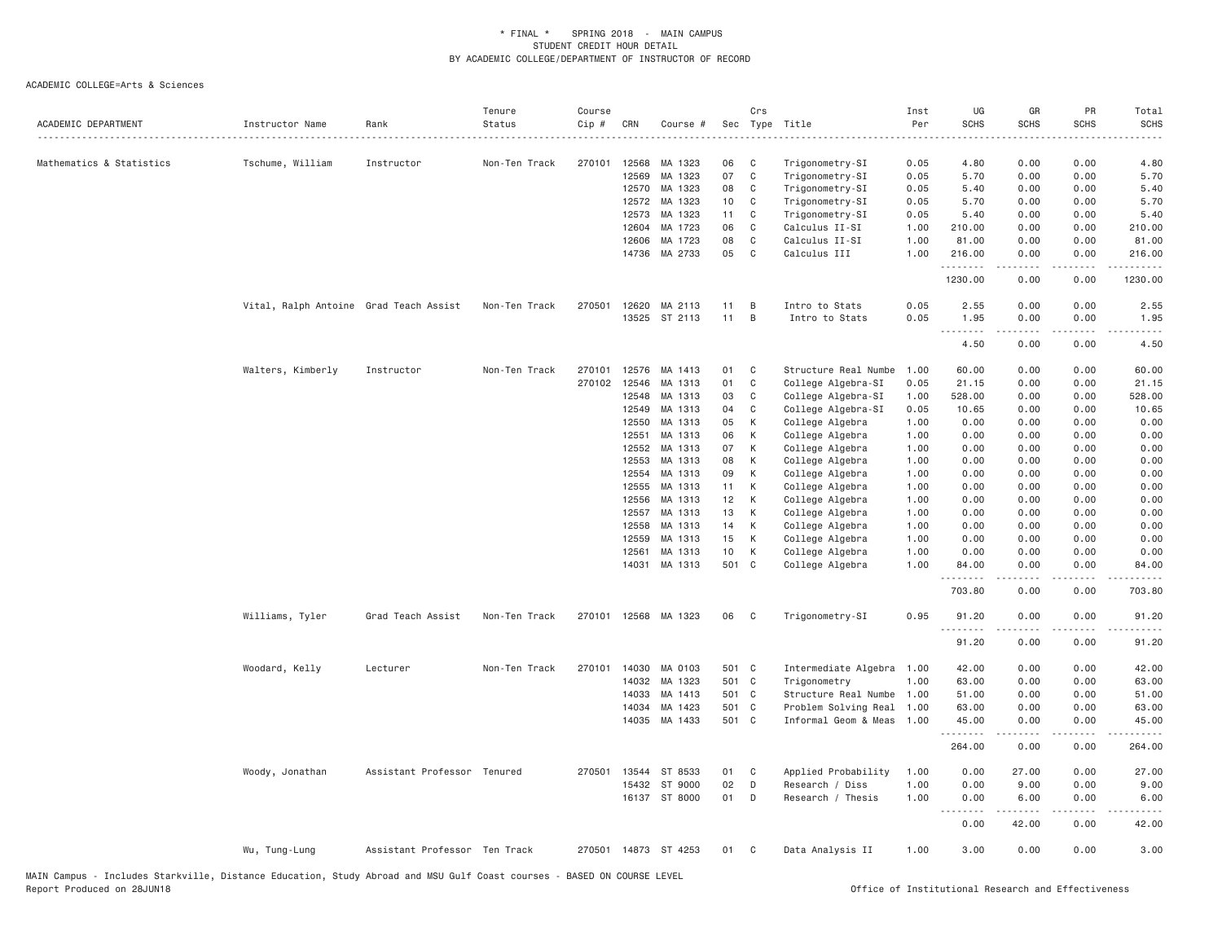| ACADEMIC DEPARTMENT      | Instructor Name                        | Rank                          | Tenure<br>Status<br>. | Course<br>$Cip$ # | CRN   | Course #             |       | Crs            | Sec Type Title            | Inst<br>Per | UG<br><b>SCHS</b>     | GR<br><b>SCHS</b> | PR<br><b>SCHS</b>                   | Total<br><b>SCHS</b><br>$- - - - -$  |
|--------------------------|----------------------------------------|-------------------------------|-----------------------|-------------------|-------|----------------------|-------|----------------|---------------------------|-------------|-----------------------|-------------------|-------------------------------------|--------------------------------------|
| Mathematics & Statistics | Tschume, William                       | Instructor                    | Non-Ten Track         | 270101            | 12568 | MA 1323              | 06    | C              | Trigonometry-SI           | 0.05        | 4.80                  | 0.00              | 0.00                                | 4.80                                 |
|                          |                                        |                               |                       |                   | 12569 | MA 1323              | 07    | $\mathbb C$    | Trigonometry-SI           | 0.05        | 5.70                  | 0.00              | 0.00                                | 5.70                                 |
|                          |                                        |                               |                       |                   | 12570 | MA 1323              | 08    | C              | Trigonometry-SI           | 0.05        | 5.40                  | 0.00              | 0.00                                | 5.40                                 |
|                          |                                        |                               |                       |                   | 12572 | MA 1323              | 10    | C              | Trigonometry-SI           | 0.05        | 5.70                  | 0.00              | 0.00                                | 5.70                                 |
|                          |                                        |                               |                       |                   | 12573 | MA 1323              | 11    | C              | Trigonometry-SI           | 0.05        | 5.40                  | 0.00              | 0.00                                | 5.40                                 |
|                          |                                        |                               |                       |                   | 12604 | MA 1723              | 06    | C              | Calculus II-SI            | 1.00        | 210.00                | 0.00              | 0.00                                | 210.00                               |
|                          |                                        |                               |                       |                   | 12606 | MA 1723              | 08    | C              | Calculus II-SI            | 1.00        | 81.00                 | 0.00              | 0.00                                | 81.00                                |
|                          |                                        |                               |                       |                   | 14736 | MA 2733              | 05    | C              | Calculus III              | 1.00        | 216.00<br>.           | 0.00              | 0.00                                | 216.00                               |
|                          |                                        |                               |                       |                   |       |                      |       |                |                           |             | 1230.00               | 0.00              | 0.00                                | 1230.00                              |
|                          | Vital, Ralph Antoine Grad Teach Assist |                               | Non-Ten Track         | 270501            |       | 12620 MA 2113        | 11    | B              | Intro to Stats            | 0.05        | 2.55                  | 0.00              | 0.00                                | 2.55                                 |
|                          |                                        |                               |                       |                   |       | 13525 ST 2113        | 11    | B              | Intro to Stats            | 0.05        | 1.95                  | 0.00              | 0.00                                | 1.95                                 |
|                          |                                        |                               |                       |                   |       |                      |       |                |                           |             | .                     | .                 | .                                   | $\frac{1}{2}$                        |
|                          |                                        |                               |                       |                   |       |                      |       |                |                           |             | 4.50                  | 0.00              | 0.00                                | 4.50                                 |
|                          | Walters, Kimberly                      | Instructor                    | Non-Ten Track         | 270101            | 12576 | MA 1413              | 01    | C              | Structure Real Numbe      | 1.00        | 60.00                 | 0.00              | 0.00                                | 60.00                                |
|                          |                                        |                               |                       | 270102            | 12546 | MA 1313              | 01    | C              | College Algebra-SI        | 0.05        | 21.15                 | 0.00              | 0.00                                | 21.15                                |
|                          |                                        |                               |                       |                   | 12548 | MA 1313              | 03    | C              | College Algebra-SI        | 1.00        | 528.00                | 0.00              | 0.00                                | 528.00                               |
|                          |                                        |                               |                       |                   | 12549 | MA 1313              | 04    | C              | College Algebra-SI        | 0.05        | 10.65                 | 0.00              | 0.00                                | 10.65                                |
|                          |                                        |                               |                       |                   | 12550 | MA 1313              | 05    | К              | College Algebra           | 1.00        | 0.00                  | 0.00              | 0.00                                | 0.00                                 |
|                          |                                        |                               |                       |                   | 12551 | MA 1313              | 06    | К              | College Algebra           | 1.00        | 0.00                  | 0.00              | 0.00                                | 0.00                                 |
|                          |                                        |                               |                       |                   | 12552 | MA 1313              | 07    | К              | College Algebra           | 1.00        | 0.00                  | 0.00              | 0.00                                | 0.00                                 |
|                          |                                        |                               |                       |                   | 12553 | MA 1313              | 08    | К              | College Algebra           | 1.00        | 0.00                  | 0.00              | 0.00                                | 0.00                                 |
|                          |                                        |                               |                       |                   | 12554 | MA 1313              | 09    | К              | College Algebra           | 1.00        | 0.00                  | 0.00              | 0.00                                | 0.00                                 |
|                          |                                        |                               |                       |                   | 12555 | MA 1313              | 11    | К              | College Algebra           | 1.00        | 0.00                  | 0.00              | 0.00                                | 0.00                                 |
|                          |                                        |                               |                       |                   | 12556 | MA 1313              | 12    | К              | College Algebra           | 1.00        | 0.00                  | 0.00              | 0.00                                | 0.00                                 |
|                          |                                        |                               |                       |                   | 12557 | MA 1313              | 13    | К              | College Algebra           | 1.00        | 0.00                  | 0.00              | 0.00                                | 0.00                                 |
|                          |                                        |                               |                       |                   | 12558 | MA 1313              | 14    | К              | College Algebra           | 1.00        | 0.00                  | 0.00              | 0.00                                | 0.00                                 |
|                          |                                        |                               |                       |                   | 12559 | MA 1313              | 15    | К              | College Algebra           | 1.00        | 0.00                  | 0.00              | 0.00                                | 0.00                                 |
|                          |                                        |                               |                       |                   | 12561 | MA 1313              | 10    | К              | College Algebra           | 1.00        | 0.00                  | 0.00              | 0.00                                | 0.00                                 |
|                          |                                        |                               |                       |                   |       | 14031 MA 1313        | 501 C |                | College Algebra           | 1.00        | 84.00<br>.            | 0.00              | 0.00<br>$- - -$                     | 84.00<br>$\sim$ $\sim$ $\sim$ $\sim$ |
|                          |                                        |                               |                       |                   |       |                      |       |                |                           |             | 703.80                | 0.00              | 0.00                                | 703.80                               |
|                          | Williams, Tyler                        | Grad Teach Assist             | Non-Ten Track         |                   |       | 270101 12568 MA 1323 | 06    | $\mathbf{C}$   | Trigonometry-SI           | 0.95        | 91.20<br><u>.</u>     | 0.00<br>.         | 0.00<br>.                           | 91.20<br>.                           |
|                          |                                        |                               |                       |                   |       |                      |       |                |                           |             | 91.20                 | 0.00              | 0.00                                | 91.20                                |
|                          | Woodard, Kelly                         | Lecturer                      | Non-Ten Track         |                   |       | 270101 14030 MA 0103 | 501 C |                | Intermediate Algebra 1.00 |             | 42.00                 | 0.00              | 0.00                                | 42.00                                |
|                          |                                        |                               |                       |                   | 14032 | MA 1323              | 501 C |                | Trigonometry              | 1.00        | 63.00                 | 0.00              | 0.00                                | 63.00                                |
|                          |                                        |                               |                       |                   | 14033 | MA 1413              | 501 C |                | Structure Real Numbe      | 1.00        | 51.00                 | 0.00              | 0.00                                | 51.00                                |
|                          |                                        |                               |                       |                   | 14034 | MA 1423              | 501 C |                | Problem Solving Real      | 1.00        | 63.00                 | 0.00              | 0.00                                | 63.00                                |
|                          |                                        |                               |                       |                   |       | 14035 MA 1433        | 501 C |                | Informal Geom & Meas      | 1.00        | 45.00<br>.            | 0.00<br>-----     | 0.00<br>.                           | 45.00<br>.                           |
|                          |                                        |                               |                       |                   |       |                      |       |                |                           |             | 264.00                | 0.00              | 0.00                                | 264.00                               |
|                          | Woody, Jonathan                        | Assistant Professor Tenured   |                       | 270501            | 13544 | ST 8533              | 01    | C              | Applied Probability       | 1.00        | 0.00                  | 27.00             | 0.00                                | 27.00                                |
|                          |                                        |                               |                       |                   | 15432 | ST 9000              | 02    | D              | Research / Diss           | 1.00        | 0.00                  | 9.00              | 0.00                                | 9.00                                 |
|                          |                                        |                               |                       |                   |       | 16137 ST 8000        | 01    | D              | Research / Thesis         | 1.00        | 0.00<br>1.1.1.1.1.1.1 | 6.00<br>.         | 0.00<br>$\sim$ $\sim$ $\sim$ $\sim$ | 6.00<br>والمناصبات                   |
|                          |                                        |                               |                       |                   |       |                      |       |                |                           |             | 0.00                  | 42.00             | 0.00                                | 42.00                                |
|                          | Wu, Tung-Lung                          | Assistant Professor Ten Track |                       |                   |       | 270501 14873 ST 4253 | 01    | C <sub>1</sub> | Data Analysis II          | 1.00        | 3.00                  | 0.00              | 0.00                                | 3.00                                 |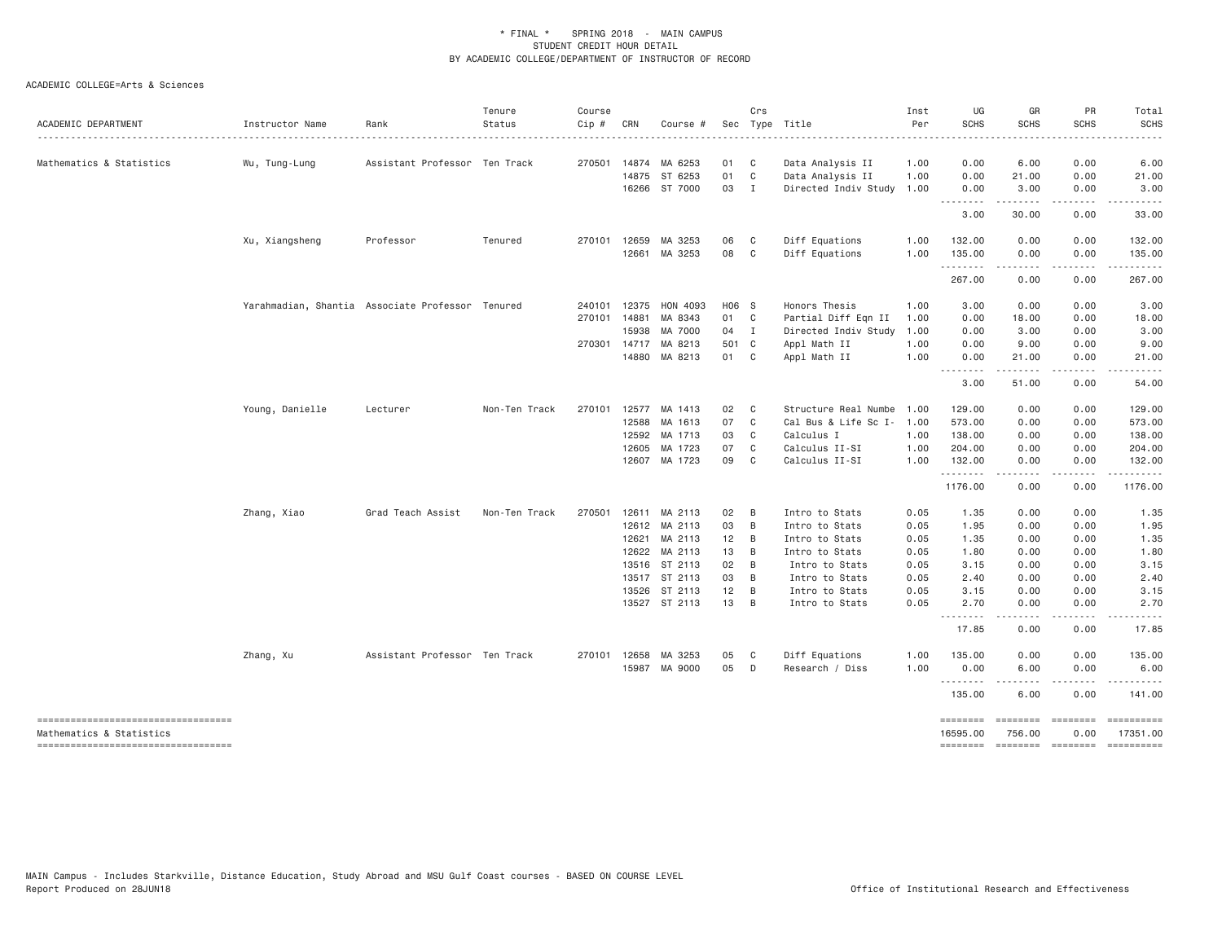| ACADEMIC DEPARTMENT                                            | Instructor Name                                  | Rank                          | Tenure<br>Status | Course<br>Cip # | CRN          | Course #             |                 | Crs            | Sec Type Title            | Inst<br>Per | UG<br><b>SCHS</b>               | GR<br><b>SCHS</b>                                                                                                                                                                       | PR<br><b>SCHS</b> | Total<br><b>SCHS</b> |
|----------------------------------------------------------------|--------------------------------------------------|-------------------------------|------------------|-----------------|--------------|----------------------|-----------------|----------------|---------------------------|-------------|---------------------------------|-----------------------------------------------------------------------------------------------------------------------------------------------------------------------------------------|-------------------|----------------------|
| Mathematics & Statistics                                       | Wu, Tung-Lung                                    | Assistant Professor Ten Track |                  |                 |              | 270501 14874 MA 6253 | 01              | $\mathbf{C}$   | Data Analysis II          | 1.00        | 0.00                            | 6.00                                                                                                                                                                                    | 0.00              | 6.00                 |
|                                                                |                                                  |                               |                  |                 |              | 14875 ST 6253        | 01              | C              | Data Analysis II          | 1.00        | 0.00                            | 21.00                                                                                                                                                                                   | 0.00              | 21.00                |
|                                                                |                                                  |                               |                  |                 |              | 16266 ST 7000        | 03 I            |                | Directed Indiv Study 1.00 |             | 0.00                            | 3.00                                                                                                                                                                                    | 0.00              | 3.00                 |
|                                                                |                                                  |                               |                  |                 |              |                      |                 |                |                           |             | 3.00                            | . <b>.</b><br>30.00                                                                                                                                                                     | .<br>0.00         | $- - - - -$<br>33.00 |
|                                                                | Xu, Xiangsheng                                   | Professor                     | Tenured          |                 | 270101 12659 | MA 3253              | 06              | $\mathbf{C}$   | Diff Equations            | 1.00        | 132.00                          | 0.00                                                                                                                                                                                    | 0.00              | 132.00               |
|                                                                |                                                  |                               |                  |                 |              | 12661 MA 3253        | 08              | $\mathbf{C}$   | Diff Equations            | 1.00        | 135.00                          | 0.00                                                                                                                                                                                    | 0.00              | 135.00               |
|                                                                |                                                  |                               |                  |                 |              |                      |                 |                |                           |             | .<br>267.00                     | $\frac{1}{2} \left( \frac{1}{2} \right) \left( \frac{1}{2} \right) \left( \frac{1}{2} \right) \left( \frac{1}{2} \right) \left( \frac{1}{2} \right) \left( \frac{1}{2} \right)$<br>0.00 | .<br>0.00         | 267.00               |
|                                                                | Yarahmadian, Shantia Associate Professor Tenured |                               |                  |                 | 240101 12375 | HON 4093             | H06 S           |                | Honors Thesis             | 1.00        | 3.00                            | 0.00                                                                                                                                                                                    | 0.00              | 3.00                 |
|                                                                |                                                  |                               |                  |                 | 270101 14881 | MA 8343              | 01 C            |                | Partial Diff Eqn II       | 1.00        | 0.00                            | 18.00                                                                                                                                                                                   | 0.00              | 18.00                |
|                                                                |                                                  |                               |                  |                 | 15938        | MA 7000              | 04 I            |                | Directed Indiv Study      | 1.00        | 0.00                            | 3.00                                                                                                                                                                                    | 0.00              | 3.00                 |
|                                                                |                                                  |                               |                  |                 | 270301 14717 | MA 8213              | 501 C           |                | Appl Math II              | 1.00        | 0.00                            | 9.00                                                                                                                                                                                    | 0.00              | 9.00                 |
|                                                                |                                                  |                               |                  |                 |              | 14880 MA 8213        | 01              | C <sub>c</sub> | Appl Math II              | 1.00        | 0.00                            | 21.00                                                                                                                                                                                   | 0.00              | 21.00                |
|                                                                |                                                  |                               |                  |                 |              |                      |                 |                |                           |             | .<br>3.00                       | $\sim$ $\sim$ $\sim$ $\sim$ $\sim$<br>51.00                                                                                                                                             | .<br>0.00         | .<br>54.00           |
|                                                                | Young, Danielle                                  | Lecturer                      | Non-Ten Track    |                 |              | 270101 12577 MA 1413 | 02              | $\mathbf{C}$   | Structure Real Numbe 1.00 |             | 129.00                          | 0.00                                                                                                                                                                                    | 0.00              | 129.00               |
|                                                                |                                                  |                               |                  |                 | 12588        | MA 1613              | 07              | $\mathbf{C}$   | Cal Bus & Life Sc I- 1.00 |             | 573.00                          | 0.00                                                                                                                                                                                    | 0.00              | 573.00               |
|                                                                |                                                  |                               |                  |                 | 12592        | MA 1713              | 03              | C              | Calculus I                | 1.00        | 138.00                          | 0.00                                                                                                                                                                                    | 0.00              | 138.00               |
|                                                                |                                                  |                               |                  |                 | 12605        | MA 1723              | 07              | $\mathbf{C}$   | Calculus II-SI            | 1.00        | 204.00                          | 0.00                                                                                                                                                                                    | 0.00              | 204.00               |
|                                                                |                                                  |                               |                  |                 |              | 12607 MA 1723        | 09              | C              | Calculus II-SI            | 1.00        | 132.00                          | 0.00                                                                                                                                                                                    | 0.00              | 132.00<br>.          |
|                                                                |                                                  |                               |                  |                 |              |                      |                 |                |                           |             | .<br>1176.00                    | .<br>0.00                                                                                                                                                                               | .<br>0.00         | 1176.00              |
|                                                                | Zhang, Xiao                                      | Grad Teach Assist             | Non-Ten Track    |                 |              | 270501 12611 MA 2113 | 02              | B              | Intro to Stats            | 0.05        | 1.35                            | 0.00                                                                                                                                                                                    | 0.00              | 1.35                 |
|                                                                |                                                  |                               |                  |                 |              | 12612 MA 2113        | 03              | B              | Intro to Stats            | 0.05        | 1.95                            | 0.00                                                                                                                                                                                    | 0.00              | 1.95                 |
|                                                                |                                                  |                               |                  |                 | 12621        | MA 2113              | 12 <sup>2</sup> | B              | Intro to Stats            | 0.05        | 1.35                            | 0.00                                                                                                                                                                                    | 0.00              | 1.35                 |
|                                                                |                                                  |                               |                  |                 | 12622        | MA 2113              | 13              | B              | Intro to Stats            | 0.05        | 1.80                            | 0.00                                                                                                                                                                                    | 0.00              | 1.80                 |
|                                                                |                                                  |                               |                  |                 |              | 13516 ST 2113        | 02              | B              | Intro to Stats            | 0.05        | 3.15                            | 0.00                                                                                                                                                                                    | 0.00              | 3.15                 |
|                                                                |                                                  |                               |                  |                 |              | 13517 ST 2113        | 03              | B              | Intro to Stats            | 0.05        | 2.40                            | 0.00                                                                                                                                                                                    | 0.00              | 2.40                 |
|                                                                |                                                  |                               |                  |                 | 13526        | ST 2113              | 12              | B              | Intro to Stats            | 0.05        | 3.15                            | 0.00                                                                                                                                                                                    | 0.00              | 3.15                 |
|                                                                |                                                  |                               |                  |                 |              | 13527 ST 2113        | 13              | $\overline{B}$ | Intro to Stats            | 0.05        | 2.70                            | 0.00<br>----                                                                                                                                                                            | 0.00              | 2.70                 |
|                                                                |                                                  |                               |                  |                 |              |                      |                 |                |                           |             | 17.85                           | 0.00                                                                                                                                                                                    | 0.00              | 17.85                |
|                                                                | Zhang, Xu                                        | Assistant Professor Ten Track |                  |                 | 270101 12658 | MA 3253              | 05              | C              | Diff Equations            | 1.00        | 135.00                          | 0.00                                                                                                                                                                                    | 0.00              | 135.00               |
|                                                                |                                                  |                               |                  |                 |              | 15987 MA 9000        | 05              | D              | Research / Diss           | 1.00        | 0.00<br><u>.</u>                | 6.00<br>.                                                                                                                                                                               | 0.00<br>.         | 6.00                 |
|                                                                |                                                  |                               |                  |                 |              |                      |                 |                |                           |             | 135.00                          | 6.00                                                                                                                                                                                    | 0.00              | 141.00               |
| ----------------------------------                             |                                                  |                               |                  |                 |              |                      |                 |                |                           |             | <b>EBBEDEE</b>                  | <b>EEEEEEE</b>                                                                                                                                                                          | $=$ =======       | ==========           |
| Mathematics & Statistics<br>---------------------------------- |                                                  |                               |                  |                 |              |                      |                 |                |                           |             | 16595.00<br>$= = = = = = = = =$ | 756.00                                                                                                                                                                                  | 0.00              | 17351.00             |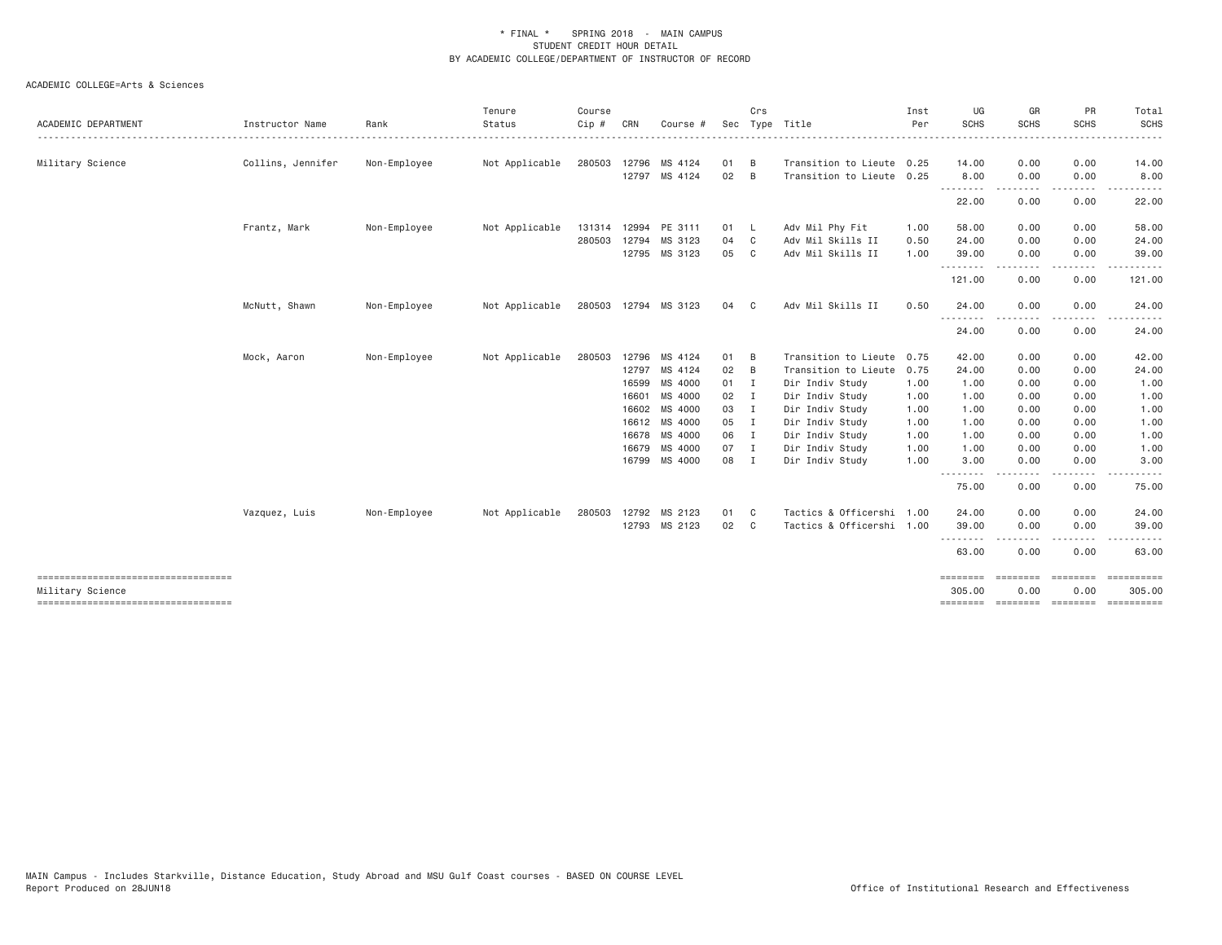| ACADEMIC DEPARTMENT                                      | Instructor Name   | Rank         | Tenure<br>Status | Course<br>Cip # | CRN   | Course #             | Sec    | Crs            | Type Title                | Inst<br>Per | UG<br><b>SCHS</b>  | GR<br><b>SCHS</b>  | PR<br><b>SCHS</b>                                                                                                                 | Total<br>SCHS                                                                                                                                                |
|----------------------------------------------------------|-------------------|--------------|------------------|-----------------|-------|----------------------|--------|----------------|---------------------------|-------------|--------------------|--------------------|-----------------------------------------------------------------------------------------------------------------------------------|--------------------------------------------------------------------------------------------------------------------------------------------------------------|
| Military Science                                         | Collins, Jennifer | Non-Employee | Not Applicable   | 280503          |       | 12796 MS 4124        | 01     | B              | Transition to Lieute 0.25 |             | 14.00              | 0.00               | 0.00                                                                                                                              | 14.00                                                                                                                                                        |
|                                                          |                   |              |                  |                 |       | 12797 MS 4124        | 02     | B              | Transition to Lieute 0.25 |             | 8.00               | 0.00               | 0.00                                                                                                                              | 8.00                                                                                                                                                         |
|                                                          |                   |              |                  |                 |       |                      |        |                |                           |             | --------<br>22.00  | . <u>.</u><br>0.00 | $\frac{1}{2} \left( \frac{1}{2} \right) \left( \frac{1}{2} \right) \left( \frac{1}{2} \right) \left( \frac{1}{2} \right)$<br>0.00 | $\cdots$<br>22.00                                                                                                                                            |
|                                                          |                   |              |                  |                 |       |                      |        |                |                           |             |                    |                    |                                                                                                                                   |                                                                                                                                                              |
|                                                          | Frantz, Mark      | Non-Employee | Not Applicable   |                 |       | 131314 12994 PE 3111 | 01     | <b>L</b>       | Adv Mil Phy Fit           | 1.00        | 58.00              | 0.00               | 0.00                                                                                                                              | 58.00                                                                                                                                                        |
|                                                          |                   |              |                  | 280503          | 12794 | MS 3123              | 04     | C              | Adv Mil Skills II         | 0.50        | 24.00              | 0.00               | 0.00                                                                                                                              | 24.00                                                                                                                                                        |
|                                                          |                   |              |                  |                 |       | 12795 MS 3123        | 05     | C              | Adv Mil Skills II         | 1.00        | 39.00<br>.         | 0.00               | 0.00<br>.                                                                                                                         | 39.00                                                                                                                                                        |
|                                                          |                   |              |                  |                 |       |                      |        |                |                           |             | 121.00             | 0.00               | 0.00                                                                                                                              | 121.00                                                                                                                                                       |
|                                                          | McNutt, Shawn     | Non-Employee | Not Applicable   |                 |       | 280503 12794 MS 3123 | 04     | C.             | Adv Mil Skills II         | 0.50        | 24.00              | 0.00               | 0.00                                                                                                                              | 24.00                                                                                                                                                        |
|                                                          |                   |              |                  |                 |       |                      |        |                |                           |             | --------<br>24.00  | 0.00               | $- - - -$<br>0.00                                                                                                                 | 24.00                                                                                                                                                        |
|                                                          | Mock, Aaron       | Non-Employee | Not Applicable   | 280503          |       | 12796 MS 4124        | 01     | B              | Transition to Lieute 0.75 |             | 42.00              | 0.00               | 0.00                                                                                                                              | 42.00                                                                                                                                                        |
|                                                          |                   |              |                  |                 |       | 12797 MS 4124        | 02     | B              | Transition to Lieute      | 0.75        | 24.00              | 0.00               | 0.00                                                                                                                              | 24.00                                                                                                                                                        |
|                                                          |                   |              |                  |                 | 16599 | MS 4000              | 01 I   |                | Dir Indiv Study           | 1.00        | 1.00               | 0.00               | 0.00                                                                                                                              | 1.00                                                                                                                                                         |
|                                                          |                   |              |                  |                 | 16601 | MS 4000              | $02$ I |                | Dir Indiv Study           | 1.00        | 1.00               | 0.00               | 0.00                                                                                                                              | 1.00                                                                                                                                                         |
|                                                          |                   |              |                  |                 |       | 16602 MS 4000        | 03 I   |                | Dir Indiv Study           | 1.00        | 1.00               | 0.00               | 0.00                                                                                                                              | 1.00                                                                                                                                                         |
|                                                          |                   |              |                  |                 |       | 16612 MS 4000        | 05 I   |                | Dir Indiv Study           | 1.00        | 1.00               | 0.00               | 0.00                                                                                                                              | 1.00                                                                                                                                                         |
|                                                          |                   |              |                  |                 |       | 16678 MS 4000        | 06 I   |                | Dir Indiv Study           | 1.00        | 1.00               | 0.00               | 0.00                                                                                                                              | 1.00                                                                                                                                                         |
|                                                          |                   |              |                  |                 |       | 16679 MS 4000        | 07     | $\blacksquare$ | Dir Indiv Study           | 1.00        | 1.00               | 0.00               | 0.00                                                                                                                              | 1.00                                                                                                                                                         |
|                                                          |                   |              |                  |                 |       | 16799 MS 4000        | 08     | I              | Dir Indiv Study           | 1.00        | 3.00<br>.          | 0.00<br>-----      | 0.00<br>.                                                                                                                         | 3.00<br>$\frac{1}{2} \left( \frac{1}{2} \right) \left( \frac{1}{2} \right) \left( \frac{1}{2} \right) \left( \frac{1}{2} \right) \left( \frac{1}{2} \right)$ |
|                                                          |                   |              |                  |                 |       |                      |        |                |                           |             | 75.00              | 0.00               | 0.00                                                                                                                              | 75.00                                                                                                                                                        |
|                                                          | Vazquez, Luis     | Non-Employee | Not Applicable   | 280503          |       | 12792 MS 2123        | 01     | C              | Tactics & Officershi 1.00 |             | 24.00              | 0.00               | 0.00                                                                                                                              | 24.00                                                                                                                                                        |
|                                                          |                   |              |                  |                 |       | 12793 MS 2123        | 02     | C              | Tactics & Officershi 1.00 |             | 39.00              | 0.00               | 0.00                                                                                                                              | 39.00                                                                                                                                                        |
|                                                          |                   |              |                  |                 |       |                      |        |                |                           |             | --------<br>63.00  | 0.00               | 0.00                                                                                                                              | 63.00                                                                                                                                                        |
| ====================================                     |                   |              |                  |                 |       |                      |        |                |                           |             | $=$ =======        | eeeeeee            | <b>EBBERED</b>                                                                                                                    |                                                                                                                                                              |
| Military Science<br>------------------------------------ |                   |              |                  |                 |       |                      |        |                |                           |             | 305.00<br>======== | 0.00<br>========   | 0.00<br>========                                                                                                                  | 305.00<br><b>ESSESSESS</b>                                                                                                                                   |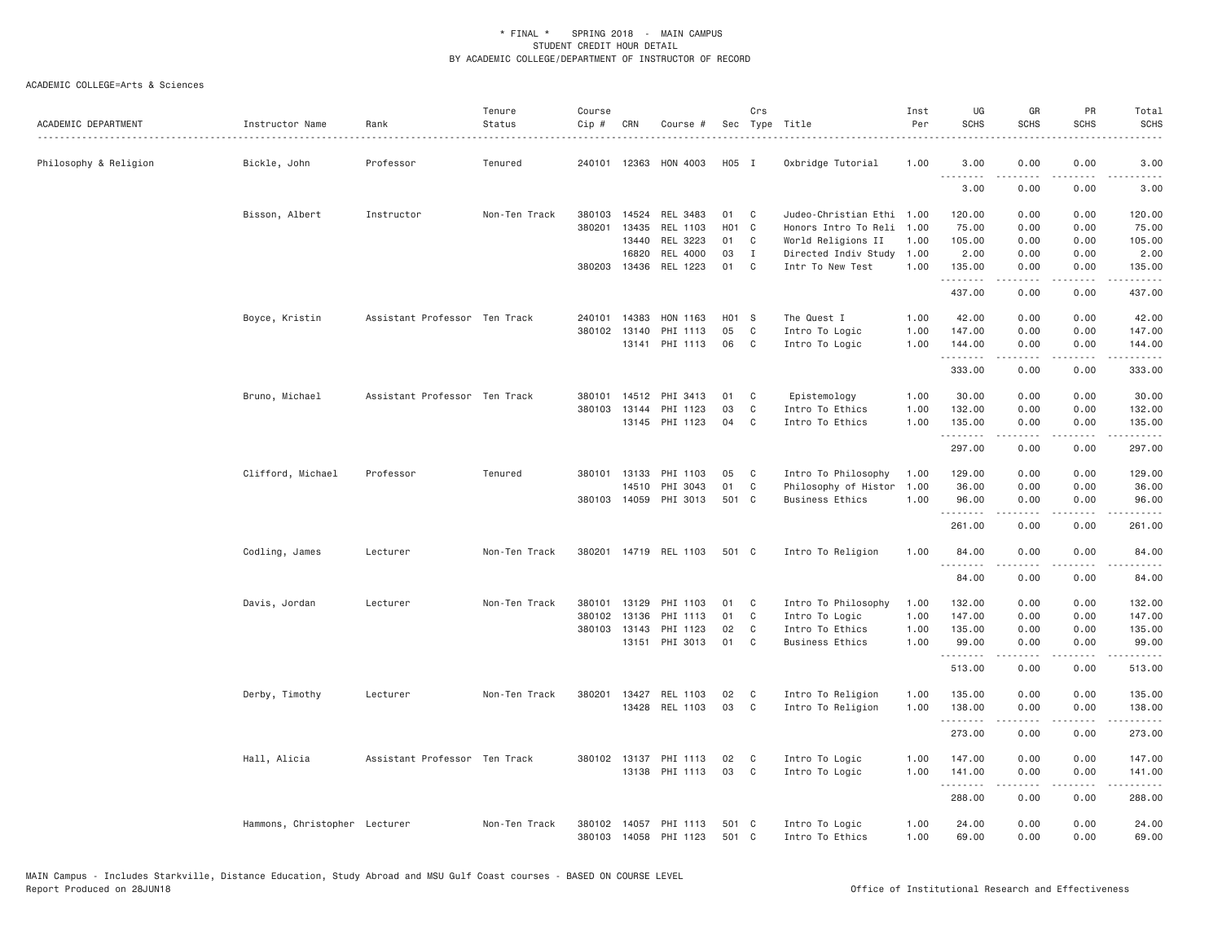| ACADEMIC DEPARTMENT   | Instructor Name               | Rank                          | Tenure<br>Status | Course<br>Cip # | CRN            | Course #              |          | Crs               | Sec Type Title                           | Inst<br>Per  | UG<br><b>SCHS</b>     | GR<br><b>SCHS</b>                                                                                                                                                                       | PR<br><b>SCHS</b> | Total<br><b>SCHS</b>                                                                                                                                           |
|-----------------------|-------------------------------|-------------------------------|------------------|-----------------|----------------|-----------------------|----------|-------------------|------------------------------------------|--------------|-----------------------|-----------------------------------------------------------------------------------------------------------------------------------------------------------------------------------------|-------------------|----------------------------------------------------------------------------------------------------------------------------------------------------------------|
| Philosophy & Religion | Bickle, John                  | Professor                     | Tenured          |                 |                | 240101 12363 HON 4003 | H05 I    |                   | Oxbridge Tutorial                        | 1.00         | 3.00<br>1.1.1.1.1.1.1 | 0.00                                                                                                                                                                                    | 0.00              | 3.00                                                                                                                                                           |
|                       |                               |                               |                  |                 |                |                       |          |                   |                                          |              | 3.00                  | 0.00                                                                                                                                                                                    | 0.00              | 3.00                                                                                                                                                           |
|                       | Bisson, Albert                | Instructor                    | Non-Ten Track    | 380103          | 14524          | REL 3483              | 01       | C                 | Judeo-Christian Ethi 1.00                |              | 120.00                | 0.00                                                                                                                                                                                    | 0.00              | 120.00                                                                                                                                                         |
|                       |                               |                               |                  | 380201          | 13435          | REL 1103              | H01 C    |                   | Honors Intro To Reli                     | 1.00         | 75.00                 | 0.00                                                                                                                                                                                    | 0.00              | 75.00                                                                                                                                                          |
|                       |                               |                               |                  |                 | 13440<br>16820 | REL 3223              | 01       | C<br>$\mathbf{I}$ | World Religions II                       | 1,00         | 105.00                | 0.00                                                                                                                                                                                    | 0.00              | 105.00                                                                                                                                                         |
|                       |                               |                               |                  |                 | 380203 13436   | REL 4000<br>REL 1223  | 03<br>01 | $\mathbf{C}$      | Directed Indiv Study<br>Intr To New Test | 1.00<br>1.00 | 2.00<br>135.00        | 0.00<br>0.00                                                                                                                                                                            | 0.00<br>0.00      | 2.00<br>135.00                                                                                                                                                 |
|                       |                               |                               |                  |                 |                |                       |          |                   |                                          |              | .<br>437.00           | $\frac{1}{2} \left( \frac{1}{2} \right) \left( \frac{1}{2} \right) \left( \frac{1}{2} \right) \left( \frac{1}{2} \right) \left( \frac{1}{2} \right)$<br>0.00                            | .<br>0.00         | $\mathcal{L}^{\mathcal{A}}\left( \mathcal{A}^{\mathcal{A}}\right) =\mathcal{L}^{\mathcal{A}}\left( \mathcal{A}^{\mathcal{A}}\right)$<br>437.00                 |
|                       | Boyce, Kristin                | Assistant Professor Ten Track |                  | 240101          | 14383          | HON 1163              | H01 S    |                   | The Quest I                              | 1.00         | 42.00                 | 0.00                                                                                                                                                                                    | 0.00              | 42.00                                                                                                                                                          |
|                       |                               |                               |                  |                 | 380102 13140   | PHI 1113              | 05       | C                 | Intro To Logic                           | 1.00         | 147.00                | 0.00                                                                                                                                                                                    | 0.00              | 147.00                                                                                                                                                         |
|                       |                               |                               |                  |                 |                | 13141 PHI 1113        | 06       | C                 | Intro To Logic                           | 1.00         | 144.00<br>.           | 0.00                                                                                                                                                                                    | 0.00<br>بالمحام   | 144.00<br>$\frac{1}{2} \left( \frac{1}{2} \right) \left( \frac{1}{2} \right) \left( \frac{1}{2} \right) \left( \frac{1}{2} \right) \left( \frac{1}{2} \right)$ |
|                       |                               |                               |                  |                 |                |                       |          |                   |                                          |              | 333.00                | .<br>0.00                                                                                                                                                                               | 0.00              | 333.00                                                                                                                                                         |
|                       | Bruno, Michael                | Assistant Professor Ten Track |                  | 380101          |                | 14512 PHI 3413        | 01       | C                 | Epistemology                             | 1.00         | 30.00                 | 0.00                                                                                                                                                                                    | 0.00              | 30.00                                                                                                                                                          |
|                       |                               |                               |                  | 380103          | 13144          | PHI 1123              | 03       | C                 | Intro To Ethics                          | 1.00         | 132.00                | 0.00                                                                                                                                                                                    | 0.00              | 132.00                                                                                                                                                         |
|                       |                               |                               |                  |                 |                | 13145 PHI 1123        | 04       | C                 | Intro To Ethics                          | 1.00         | 135.00<br>.           | 0.00<br><b>.</b>                                                                                                                                                                        | 0.00<br>.         | 135.00<br>.                                                                                                                                                    |
|                       |                               |                               |                  |                 |                |                       |          |                   |                                          |              | 297.00                | 0.00                                                                                                                                                                                    | 0.00              | 297.00                                                                                                                                                         |
|                       | Clifford, Michael             | Professor                     | Tenured          |                 |                | 380101 13133 PHI 1103 | 05       | C                 | Intro To Philosophy                      | 1.00         | 129.00                | 0.00                                                                                                                                                                                    | 0.00              | 129.00                                                                                                                                                         |
|                       |                               |                               |                  |                 | 14510          | PHI 3043              | 01       | C                 | Philosophy of Histor                     | 1.00         | 36.00                 | 0.00                                                                                                                                                                                    | 0.00              | 36.00                                                                                                                                                          |
|                       |                               |                               |                  |                 | 380103 14059   | PHI 3013              | 501 C    |                   | <b>Business Ethics</b>                   | 1.00         | 96.00<br>.            | 0.00<br>.                                                                                                                                                                               | 0.00              | 96.00                                                                                                                                                          |
|                       |                               |                               |                  |                 |                |                       |          |                   |                                          |              | 261.00                | 0.00                                                                                                                                                                                    | 0.00              | 261.00                                                                                                                                                         |
|                       | Codling, James                | Lecturer                      | Non-Ten Track    |                 |                | 380201 14719 REL 1103 | 501 C    |                   | Intro To Religion                        | 1.00         | 84.00                 | 0.00                                                                                                                                                                                    | 0.00              | 84.00                                                                                                                                                          |
|                       |                               |                               |                  |                 |                |                       |          |                   |                                          |              | 84.00                 | 0.00                                                                                                                                                                                    | 0.00              | 84.00                                                                                                                                                          |
|                       | Davis, Jordan                 | Lecturer                      | Non-Ten Track    | 380101          | 13129          | PHI 1103              | 01       | C                 | Intro To Philosophy                      | 1.00         | 132.00                | 0.00                                                                                                                                                                                    | 0.00              | 132.00                                                                                                                                                         |
|                       |                               |                               |                  | 380102          | 13136          | PHI 1113              | 01       | C                 | Intro To Logic                           | 1.00         | 147.00                | 0.00                                                                                                                                                                                    | 0.00              | 147.00                                                                                                                                                         |
|                       |                               |                               |                  |                 | 380103 13143   | PHI 1123              | 02       | C                 | Intro To Ethics                          | 1.00         | 135.00                | 0.00                                                                                                                                                                                    | 0.00              | 135.00                                                                                                                                                         |
|                       |                               |                               |                  |                 |                | 13151 PHI 3013        | 01       | C                 | <b>Business Ethics</b>                   | 1.00         | 99.00<br>.            | 0.00<br>$\frac{1}{2} \left( \frac{1}{2} \right) \left( \frac{1}{2} \right) \left( \frac{1}{2} \right) \left( \frac{1}{2} \right) \left( \frac{1}{2} \right) \left( \frac{1}{2} \right)$ | 0.00<br>.         | 99.00<br>$\mathcal{L}^{\mathcal{A}}\left( \mathcal{A}^{\mathcal{A}}\right) =\mathcal{L}^{\mathcal{A}}\left( \mathcal{A}^{\mathcal{A}}\right)$                  |
|                       |                               |                               |                  |                 |                |                       |          |                   |                                          |              | 513.00                | 0.00                                                                                                                                                                                    | 0.00              | 513.00                                                                                                                                                         |
|                       | Derby, Timothy                | Lecturer                      | Non-Ten Track    | 380201          | 13427          | REL 1103              | 02       | C                 | Intro To Religion                        | 1.00         | 135.00                | 0.00                                                                                                                                                                                    | 0.00              | 135.00                                                                                                                                                         |
|                       |                               |                               |                  |                 |                | 13428 REL 1103        | 03       | C                 | Intro To Religion                        | 1.00         | 138.00<br>.           | 0.00<br>$\omega$ is a set of                                                                                                                                                            | 0.00<br>.         | 138.00<br>د د د د د د                                                                                                                                          |
|                       |                               |                               |                  |                 |                |                       |          |                   |                                          |              | 273.00                | 0.00                                                                                                                                                                                    | 0.00              | 273.00                                                                                                                                                         |
|                       | Hall, Alicia                  | Assistant Professor Ten Track |                  |                 | 380102 13137   | PHI 1113              | 02       | C                 | Intro To Logic                           | 1.00         | 147.00                | 0.00                                                                                                                                                                                    | 0.00              | 147.00                                                                                                                                                         |
|                       |                               |                               |                  |                 |                | 13138 PHI 1113        | 03       | C                 | Intro To Logic                           | 1.00         | 141.00<br>.           | 0.00<br>$\frac{1}{2} \left( \frac{1}{2} \right) \left( \frac{1}{2} \right) \left( \frac{1}{2} \right) \left( \frac{1}{2} \right) \left( \frac{1}{2} \right)$                            | 0.00<br>.         | 141.00<br>المتمامين                                                                                                                                            |
|                       |                               |                               |                  |                 |                |                       |          |                   |                                          |              | 288.00                | 0.00                                                                                                                                                                                    | 0.00              | 288.00                                                                                                                                                         |
|                       | Hammons, Christopher Lecturer |                               | Non-Ten Track    | 380102          | 14057          | PHI 1113              | 501      | - C               | Intro To Logic                           | 1.00         | 24.00                 | 0.00                                                                                                                                                                                    | 0.00              | 24.00                                                                                                                                                          |
|                       |                               |                               |                  |                 |                | 380103 14058 PHI 1123 | 501 C    |                   | Intro To Ethics                          | 1.00         | 69.00                 | 0.00                                                                                                                                                                                    | 0.00              | 69.00                                                                                                                                                          |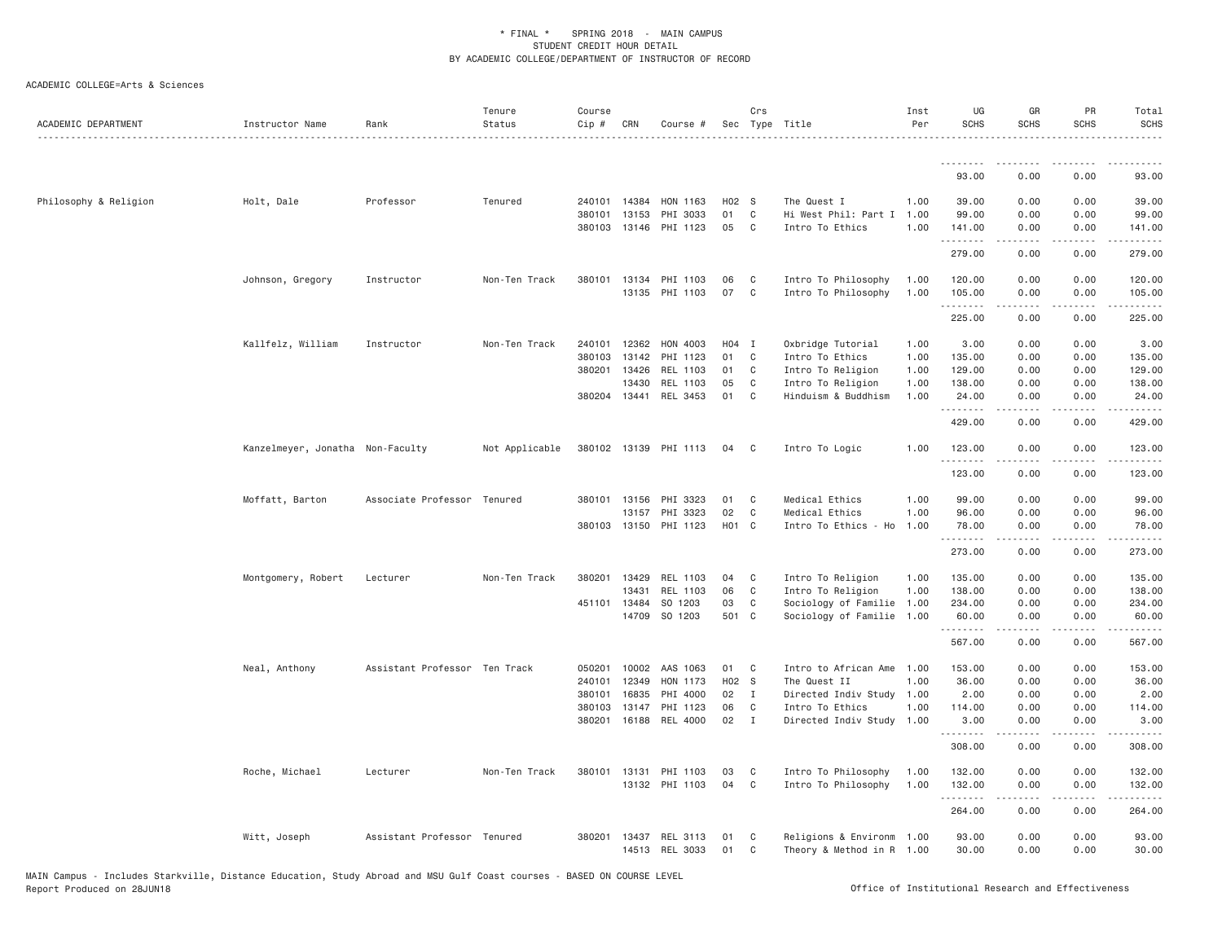| ACADEMIC DEPARTMENT   | Instructor Name                  | Rank                          | Tenure<br>Status | Course<br>Cip # | CRN          | Course #                          |            | Crs            | Sec Type Title                           | Inst<br>Per  | UG<br><b>SCHS</b>    | GR<br><b>SCHS</b>                        | PR<br><b>SCHS</b> | Total<br><b>SCHS</b>      |
|-----------------------|----------------------------------|-------------------------------|------------------|-----------------|--------------|-----------------------------------|------------|----------------|------------------------------------------|--------------|----------------------|------------------------------------------|-------------------|---------------------------|
|                       |                                  |                               |                  |                 |              |                                   |            |                |                                          |              | .                    | --------                                 |                   |                           |
|                       |                                  |                               |                  |                 |              |                                   |            |                |                                          |              | 93.00                | 0.00                                     | 0.00              | 93.00                     |
| Philosophy & Religion | Holt, Dale                       | Professor                     | Tenured          |                 | 240101 14384 | HON 1163                          | H02 S      |                | The Quest I                              | 1.00         | 39.00                | 0.00                                     | 0.00              | 39.00                     |
|                       |                                  |                               |                  | 380101          | 13153        | PHI 3033                          | 01         | C              | Hi West Phil: Part I 1.00                |              | 99.00                | 0.00                                     | 0.00              | 99.00                     |
|                       |                                  |                               |                  |                 |              | 380103 13146 PHI 1123             | 05         | $\overline{C}$ | Intro To Ethics                          | 1.00         | 141.00<br>.          | 0.00<br>$\omega$ is $\omega$ in $\omega$ | 0.00<br>.         | 141.00<br>.               |
|                       |                                  |                               |                  |                 |              |                                   |            |                |                                          |              | 279.00               | 0.00                                     | 0.00              | 279.00                    |
|                       | Johnson, Gregory                 | Instructor                    | Non-Ten Track    |                 |              | 380101 13134 PHI 1103             | 06         | $\mathbf{C}$   | Intro To Philosophy                      | 1.00         | 120.00               | 0.00                                     | 0.00              | 120.00                    |
|                       |                                  |                               |                  |                 |              | 13135 PHI 1103                    | 07         | $\mathbf{C}$   | Intro To Philosophy                      | 1.00         | 105.00<br>.          | 0.00<br>$- - - - -$                      | 0.00<br>.         | 105.00<br><b></b>         |
|                       |                                  |                               |                  |                 |              |                                   |            |                |                                          |              | 225.00               | 0.00                                     | 0.00              | 225.00                    |
|                       | Kallfelz, William                | Instructor                    | Non-Ten Track    | 240101          | 12362        | HON 4003                          | $H04$ I    |                | Oxbridge Tutorial                        | 1.00         | 3.00                 | 0.00                                     | 0.00              | 3.00                      |
|                       |                                  |                               |                  | 380103          | 13142        | PHI 1123                          | 01         | $\mathbf{C}$   | Intro To Ethics                          | 1.00         | 135.00               | 0.00                                     | 0.00              | 135.00                    |
|                       |                                  |                               |                  | 380201          | 13426        | REL 1103                          | 01         | $\mathbf{C}$   | Intro To Religion                        | 1.00         | 129.00               | 0.00                                     | 0.00              | 129.00                    |
|                       |                                  |                               |                  |                 | 13430        | REL 1103<br>380204 13441 REL 3453 | 05<br>01 C | C              | Intro To Religion<br>Hinduism & Buddhism | 1.00<br>1.00 | 138.00<br>24.00      | 0.00<br>0.00                             | 0.00<br>0.00      | 138.00<br>24.00           |
|                       |                                  |                               |                  |                 |              |                                   |            |                |                                          |              | .                    | $- - - - -$                              | .                 | .                         |
|                       |                                  |                               |                  |                 |              |                                   |            |                |                                          |              | 429.00               | 0.00                                     | 0.00              | 429.00                    |
|                       | Kanzelmeyer, Jonatha Non-Faculty |                               | Not Applicable   |                 |              | 380102 13139 PHI 1113             | 04         | $\mathbf{C}$   | Intro To Logic                           | 1.00         | 123.00<br>. <b>.</b> | 0.00                                     | 0.00              | 123.00                    |
|                       |                                  |                               |                  |                 |              |                                   |            |                |                                          |              | 123.00               | 0.00                                     | 0.00              | 123.00                    |
|                       | Moffatt, Barton                  | Associate Professor Tenured   |                  |                 | 380101 13156 | PHI 3323                          | 01         | $\mathbf{C}$   | Medical Ethics                           | 1.00         | 99.00                | 0.00                                     | 0.00              | 99.00                     |
|                       |                                  |                               |                  |                 | 13157        | PHI 3323                          | 02         | $\mathbf{C}$   | Medical Ethics                           | 1.00         | 96.00                | 0.00                                     | 0.00              | 96.00                     |
|                       |                                  |                               |                  |                 | 380103 13150 | PHI 1123                          | H01 C      |                | Intro To Ethics - Ho                     | 1.00         | 78.00<br>.           | 0.00                                     | 0.00              | 78.00<br>.                |
|                       |                                  |                               |                  |                 |              |                                   |            |                |                                          |              | 273.00               | 0.00                                     | 0.00              | 273.00                    |
|                       | Montgomery, Robert               | Lecturer                      | Non-Ten Track    | 380201          | 13429        | REL 1103                          | 04         | $\mathbf{C}$   | Intro To Religion                        | 1.00         | 135.00               | 0.00                                     | 0.00              | 135.00                    |
|                       |                                  |                               |                  |                 | 13431        | REL 1103                          | 06         | C              | Intro To Religion                        | 1.00         | 138.00               | 0.00                                     | 0.00              | 138.00                    |
|                       |                                  |                               |                  |                 | 451101 13484 | SO 1203                           | 03         | C              | Sociology of Familie 1.00                |              | 234.00               | 0.00                                     | 0.00              | 234.00                    |
|                       |                                  |                               |                  |                 | 14709        | SO 1203                           | 501 C      |                | Sociology of Familie 1.00                |              | 60.00<br>.           | 0.00<br>-----                            | 0.00<br>.         | 60.00<br>.                |
|                       |                                  |                               |                  |                 |              |                                   |            |                |                                          |              | 567.00               | 0.00                                     | 0.00              | 567.00                    |
|                       | Neal, Anthony                    | Assistant Professor Ten Track |                  |                 | 050201 10002 | AAS 1063                          | 01         | $\mathbf{C}$   | Intro to African Ame 1.00                |              | 153.00               | 0.00                                     | 0.00              | 153.00                    |
|                       |                                  |                               |                  | 240101          | 12349        | HON 1173                          | H02 S      |                | The Quest II                             | 1.00         | 36.00                | 0.00                                     | 0.00              | 36.00                     |
|                       |                                  |                               |                  | 380101          | 16835        | PHI 4000                          | $02$ I     |                | Directed Indiv Study 1.00                |              | 2.00                 | 0.00                                     | 0.00              | 2.00                      |
|                       |                                  |                               |                  | 380103          | 13147        | PHI 1123                          | 06         | C              | Intro To Ethics                          | 1.00         | 114.00               | 0.00                                     | 0.00              | 114.00                    |
|                       |                                  |                               |                  |                 |              | 380201 16188 REL 4000             | 02         | $\blacksquare$ | Directed Indiv Study 1.00                |              | 3.00<br>.            | 0.00<br>$\omega$ is $\omega$ in $\omega$ | 0.00<br>.         | 3.00<br>.                 |
|                       |                                  |                               |                  |                 |              |                                   |            |                |                                          |              | 308.00               | 0.00                                     | 0.00              | 308.00                    |
|                       | Roche, Michael                   | Lecturer                      | Non-Ten Track    | 380101          | 13131        | PHI 1103                          | 03         | C              | Intro To Philosophy                      | 1.00         | 132.00               | 0.00                                     | 0.00              | 132.00                    |
|                       |                                  |                               |                  |                 |              | 13132 PHI 1103                    | 04         | $\mathbf{C}$   | Intro To Philosophy                      | 1.00         | 132.00<br>.          | 0.00<br>$- - - - -$                      | 0.00<br>.         | 132.00<br>$- - - - - - -$ |
|                       |                                  |                               |                  |                 |              |                                   |            |                |                                          |              | 264.00               | 0.00                                     | 0.00              | 264.00                    |
|                       | Witt, Joseph                     | Assistant Professor Tenured   |                  | 380201          |              | 13437 REL 3113                    | 01         | C              | Religions & Environm 1.00                |              | 93.00                | 0.00                                     | 0.00              | 93.00                     |
|                       |                                  |                               |                  |                 |              | 14513 REL 3033                    | 01         | C              | Theory & Method in R 1.00                |              | 30.00                | 0.00                                     | 0.00              | 30.00                     |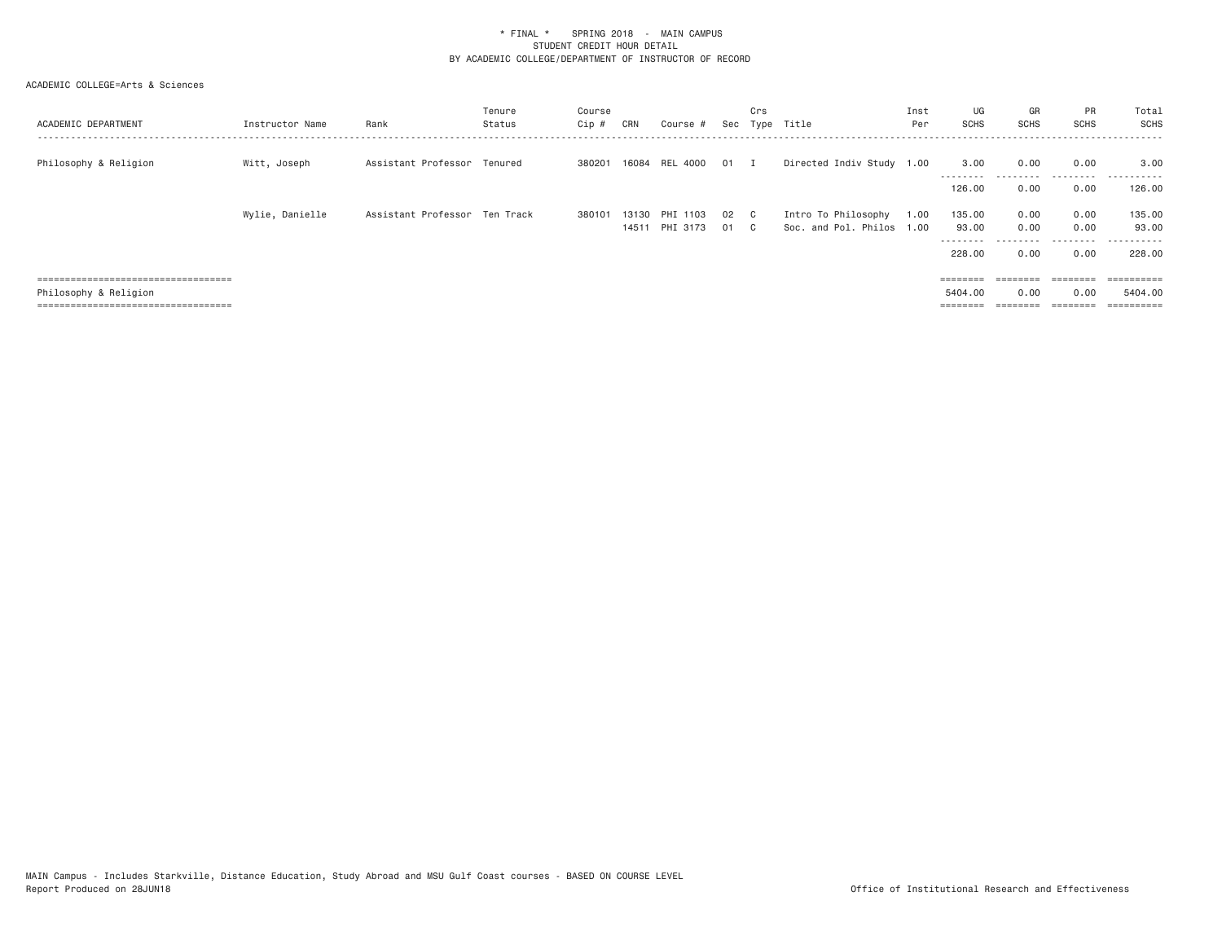| ACADEMIC DEPARTMENT                   | Instructor Name | Rank                          | Tenure<br>Status | Course<br>Cip # | CRN   | Course #                   |              | Crs | Sec Type Title                                   | Inst<br>Per | UG<br><b>SCHS</b>   | GR<br><b>SCHS</b> | <b>PR</b><br><b>SCHS</b> | Total<br>SCHS   |
|---------------------------------------|-----------------|-------------------------------|------------------|-----------------|-------|----------------------------|--------------|-----|--------------------------------------------------|-------------|---------------------|-------------------|--------------------------|-----------------|
| Philosophy & Religion                 | Witt, Joseph    | Assistant Professor Tenured   |                  | 380201          | 16084 | REL 4000 01 I              |              |     | Directed Indiv Study 1.00                        |             | 3.00                | 0.00              | 0.00<br>---------        | 3.00<br>------  |
|                                       |                 |                               |                  |                 |       |                            |              |     |                                                  |             | 126,00              | 0.00              | 0.00                     | 126.00          |
|                                       | Wylie, Danielle | Assistant Professor Ten Track |                  | 380101          | 14511 | 13130 PHI 1103<br>PHI 3173 | 02 C<br>01 C |     | Intro To Philosophy<br>Soc. and Pol. Philos 1.00 | 1.00        | 135.00<br>93.00     | 0.00<br>0.00      | 0.00<br>0.00             | 135.00<br>93.00 |
|                                       |                 |                               |                  |                 |       |                            |              |     |                                                  |             | ---------<br>228,00 | ---------<br>0.00 | .<br>0.00                | .<br>228.00     |
| ------------------------------------  |                 |                               |                  |                 |       |                            |              |     |                                                  |             | $=$ = = = = = = =   | ========          | $=$ = = = = = = =        |                 |
| Philosophy & Religion                 |                 |                               |                  |                 |       |                            |              |     |                                                  |             | 5404.00             | 0.00              | 0.00                     | 5404.00         |
| ===================================== |                 |                               |                  |                 |       |                            |              |     |                                                  |             |                     |                   |                          |                 |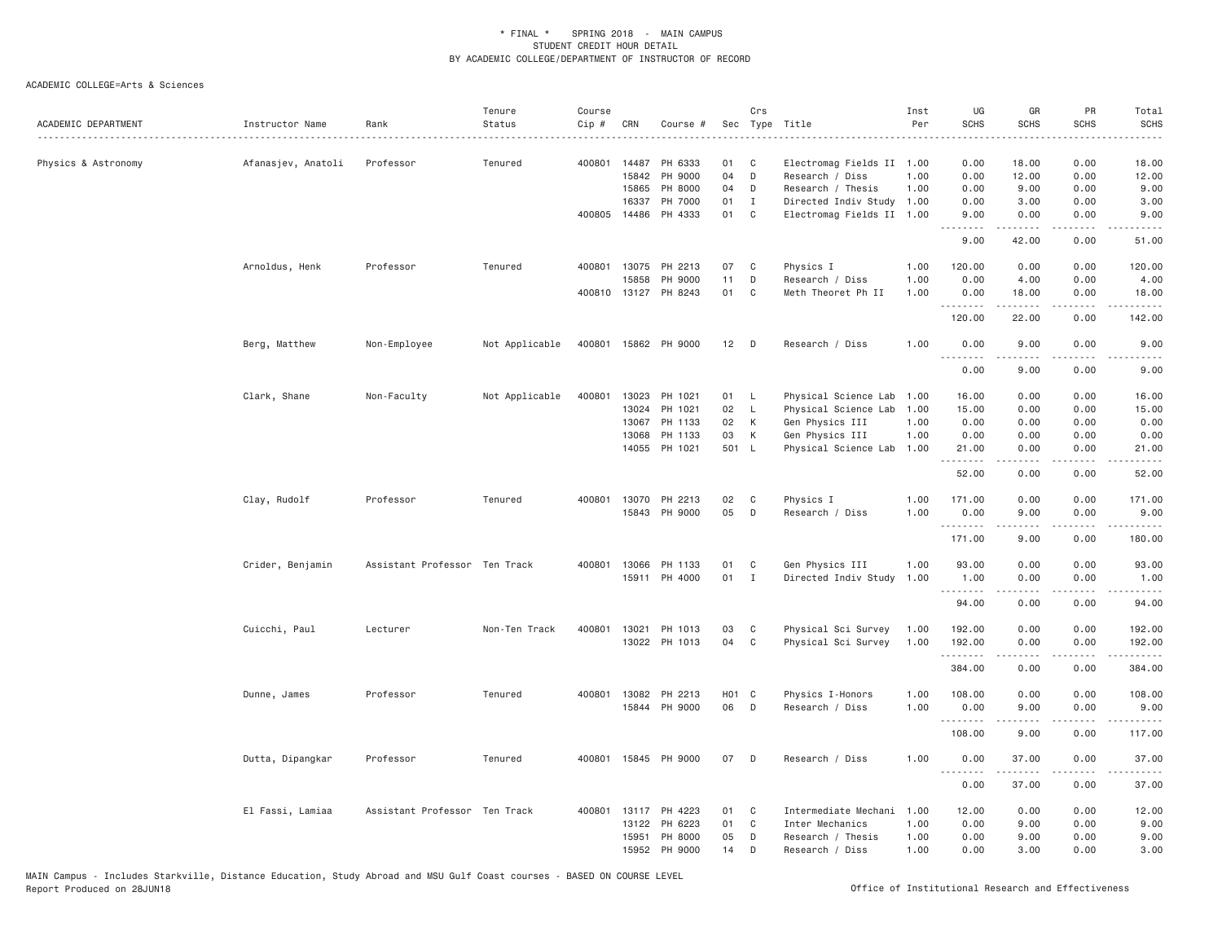| ACADEMIC DEPARTMENT | Instructor Name    | Rank                          | Tenure<br>Status | Course<br>$Cip$ # | CRN                     | Course #                        |                 | Crs              | Sec Type Title                                                    | Inst<br>Per  | UG<br><b>SCHS</b>    | GR<br><b>SCHS</b>                                                                                                                                            | PR<br><b>SCHS</b>                   | Total<br><b>SCHS</b><br>$\omega$ is a set |
|---------------------|--------------------|-------------------------------|------------------|-------------------|-------------------------|---------------------------------|-----------------|------------------|-------------------------------------------------------------------|--------------|----------------------|--------------------------------------------------------------------------------------------------------------------------------------------------------------|-------------------------------------|-------------------------------------------|
| Physics & Astronomy | Afanasjev, Anatoli | Professor                     | Tenured          | 400801            | 14487<br>15842<br>15865 | PH 6333<br>PH 9000<br>PH 8000   | 01<br>04<br>04  | C<br>D<br>D      | Electromag Fields II 1.00<br>Research / Diss<br>Research / Thesis | 1.00<br>1.00 | 0.00<br>0.00<br>0.00 | 18.00<br>12.00<br>9.00                                                                                                                                       | 0.00<br>0.00<br>0.00                | 18.00<br>12.00<br>9.00                    |
|                     |                    |                               |                  |                   | 16337                   | PH 7000<br>400805 14486 PH 4333 | 01<br>01        | $\mathbf I$<br>C | Directed Indiv Study 1.00<br>Electromag Fields II 1.00            |              | 0.00<br>9.00<br>.    | 3.00<br>0.00<br>د د د د د                                                                                                                                    | 0.00<br>0.00                        | 3.00<br>9.00<br>والمناصبات                |
|                     |                    |                               |                  |                   |                         |                                 |                 |                  |                                                                   |              | 9.00                 | 42.00                                                                                                                                                        | 0.00                                | 51.00                                     |
|                     | Arnoldus, Henk     | Professor                     | Tenured          | 400801            | 13075                   | PH 2213                         | 07              | C                | Physics I                                                         | 1.00         | 120.00               | 0.00                                                                                                                                                         | 0.00                                | 120.00                                    |
|                     |                    |                               |                  |                   | 15858                   | PH 9000                         | 11              | D                | Research / Diss                                                   | 1.00         | 0.00                 | 4.00                                                                                                                                                         | 0.00                                | 4.00                                      |
|                     |                    |                               |                  |                   |                         | 400810 13127 PH 8243            | 01              | C                | Meth Theoret Ph II                                                | 1.00         | 0.00<br>.            | 18.00<br>.                                                                                                                                                   | 0.00<br>$\sim$ $\sim$ $\sim$ $\sim$ | 18.00<br>$\sim$ $\sim$ $\sim$ $\sim$      |
|                     |                    |                               |                  |                   |                         |                                 |                 |                  |                                                                   |              | 120.00               | 22.00                                                                                                                                                        | 0.00                                | 142.00                                    |
|                     | Berg, Matthew      | Non-Employee                  | Not Applicable   |                   |                         | 400801 15862 PH 9000            | 12 <sup>2</sup> | $\mathsf{D}$     | Research / Diss                                                   | 1.00         | 0.00<br>.            | 9.00                                                                                                                                                         | 0.00                                | 9.00                                      |
|                     |                    |                               |                  |                   |                         |                                 |                 |                  |                                                                   |              | 0.00                 | 9.00                                                                                                                                                         | 0.00                                | 9.00                                      |
|                     | Clark, Shane       | Non-Faculty                   | Not Applicable   | 400801            | 13023                   | PH 1021                         | 01              | - L              | Physical Science Lab 1.00                                         |              | 16.00                | 0.00                                                                                                                                                         | 0.00                                | 16.00                                     |
|                     |                    |                               |                  |                   | 13024                   | PH 1021                         | 02              | $\mathsf{L}$     | Physical Science Lab                                              | 1.00         | 15.00                | 0.00                                                                                                                                                         | 0.00                                | 15.00                                     |
|                     |                    |                               |                  |                   | 13067                   | PH 1133                         | 02              | K                | Gen Physics III                                                   | 1.00         | 0.00                 | 0.00                                                                                                                                                         | 0.00                                | 0.00                                      |
|                     |                    |                               |                  |                   | 13068                   | PH 1133                         | 03              | К                | Gen Physics III                                                   | 1.00         | 0.00                 | 0.00                                                                                                                                                         | 0.00                                | 0.00                                      |
|                     |                    |                               |                  |                   |                         | 14055 PH 1021                   | 501 L           |                  | Physical Science Lab                                              | 1.00         | 21.00                | 0.00                                                                                                                                                         | 0.00                                | 21.00                                     |
|                     |                    |                               |                  |                   |                         |                                 |                 |                  |                                                                   |              | .<br>52.00           | .<br>0.00                                                                                                                                                    | د د د د<br>0.00                     | والمناصبات<br>52.00                       |
|                     | Clay, Rudolf       | Professor                     | Tenured          |                   | 400801 13070            | PH 2213                         | 02              | C                | Physics I                                                         | 1.00         | 171.00               | 0.00                                                                                                                                                         | 0.00                                | 171.00                                    |
|                     |                    |                               |                  |                   |                         | 15843 PH 9000                   | 05              | D                | Research / Diss                                                   | 1.00         | 0.00<br>.            | 9.00<br>$- - - - -$                                                                                                                                          | 0.00<br>د د د د                     | 9.00<br>2.2.2.2.2                         |
|                     |                    |                               |                  |                   |                         |                                 |                 |                  |                                                                   |              | 171.00               | 9.00                                                                                                                                                         | 0.00                                | 180.00                                    |
|                     | Crider, Benjamin   | Assistant Professor Ten Track |                  | 400801            | 13066                   | PH 1133                         | 01              | C                | Gen Physics III                                                   | 1.00         | 93.00                | 0.00                                                                                                                                                         | 0.00                                | 93.00                                     |
|                     |                    |                               |                  |                   |                         | 15911 PH 4000                   | 01              | $\mathbf{I}$     | Directed Indiv Study                                              | 1.00         | 1.00                 | 0.00                                                                                                                                                         | 0.00<br>.                           | 1.00                                      |
|                     |                    |                               |                  |                   |                         |                                 |                 |                  |                                                                   |              | .<br>94.00           | $\omega$ is a set of<br>0.00                                                                                                                                 | 0.00                                | .<br>94.00                                |
|                     | Cuicchi, Paul      | Lecturer                      | Non-Ten Track    | 400801            | 13021                   | PH 1013                         | 03              | C                | Physical Sci Survey                                               | 1.00         | 192.00               | 0.00                                                                                                                                                         | 0.00                                | 192.00                                    |
|                     |                    |                               |                  |                   |                         | 13022 PH 1013                   | 04              | C                | Physical Sci Survey                                               | 1.00         | 192.00<br>.          | 0.00<br>$\frac{1}{2} \left( \frac{1}{2} \right) \left( \frac{1}{2} \right) \left( \frac{1}{2} \right) \left( \frac{1}{2} \right) \left( \frac{1}{2} \right)$ | 0.00<br>.                           | 192.00<br>.                               |
|                     |                    |                               |                  |                   |                         |                                 |                 |                  |                                                                   |              | 384.00               | 0.00                                                                                                                                                         | 0.00                                | 384.00                                    |
|                     | Dunne, James       | Professor                     | Tenured          | 400801            | 13082                   | PH 2213                         | H01 C           |                  | Physics I-Honors                                                  | 1.00         | 108.00               | 0.00                                                                                                                                                         | 0.00                                | 108.00                                    |
|                     |                    |                               |                  |                   | 15844                   | PH 9000                         | 06              | D                | Research / Diss                                                   | 1.00         | 0.00<br>.            | 9.00                                                                                                                                                         | 0.00                                | 9.00                                      |
|                     |                    |                               |                  |                   |                         |                                 |                 |                  |                                                                   |              | 108.00               | 9.00                                                                                                                                                         | 0.00                                | 117.00                                    |
|                     | Dutta, Dipangkar   | Professor                     | Tenured          |                   |                         | 400801 15845 PH 9000            | 07              | D                | Research / Diss                                                   | 1,00         | 0.00<br><u>.</u>     | 37.00                                                                                                                                                        | 0.00                                | 37.00                                     |
|                     |                    |                               |                  |                   |                         |                                 |                 |                  |                                                                   |              | 0.00                 | 37.00                                                                                                                                                        | 0.00                                | 37.00                                     |
|                     | El Fassi, Lamiaa   | Assistant Professor Ten Track |                  | 400801            |                         | 13117 PH 4223                   | 01              | C                | Intermediate Mechani                                              | 1.00         | 12.00                | 0.00                                                                                                                                                         | 0.00                                | 12.00                                     |
|                     |                    |                               |                  |                   | 13122                   | PH 6223                         | 01              | C                | Inter Mechanics                                                   | 1.00         | 0.00                 | 9.00                                                                                                                                                         | 0.00                                | 9.00                                      |
|                     |                    |                               |                  |                   | 15951                   | PH 8000                         | 05              | D                | Research / Thesis                                                 | 1.00         | 0.00                 | 9.00                                                                                                                                                         | 0.00                                | 9.00                                      |
|                     |                    |                               |                  |                   |                         | 15952 PH 9000                   | 14              | D                | Research / Diss                                                   | 1.00         | 0.00                 | 3.00                                                                                                                                                         | 0.00                                | 3.00                                      |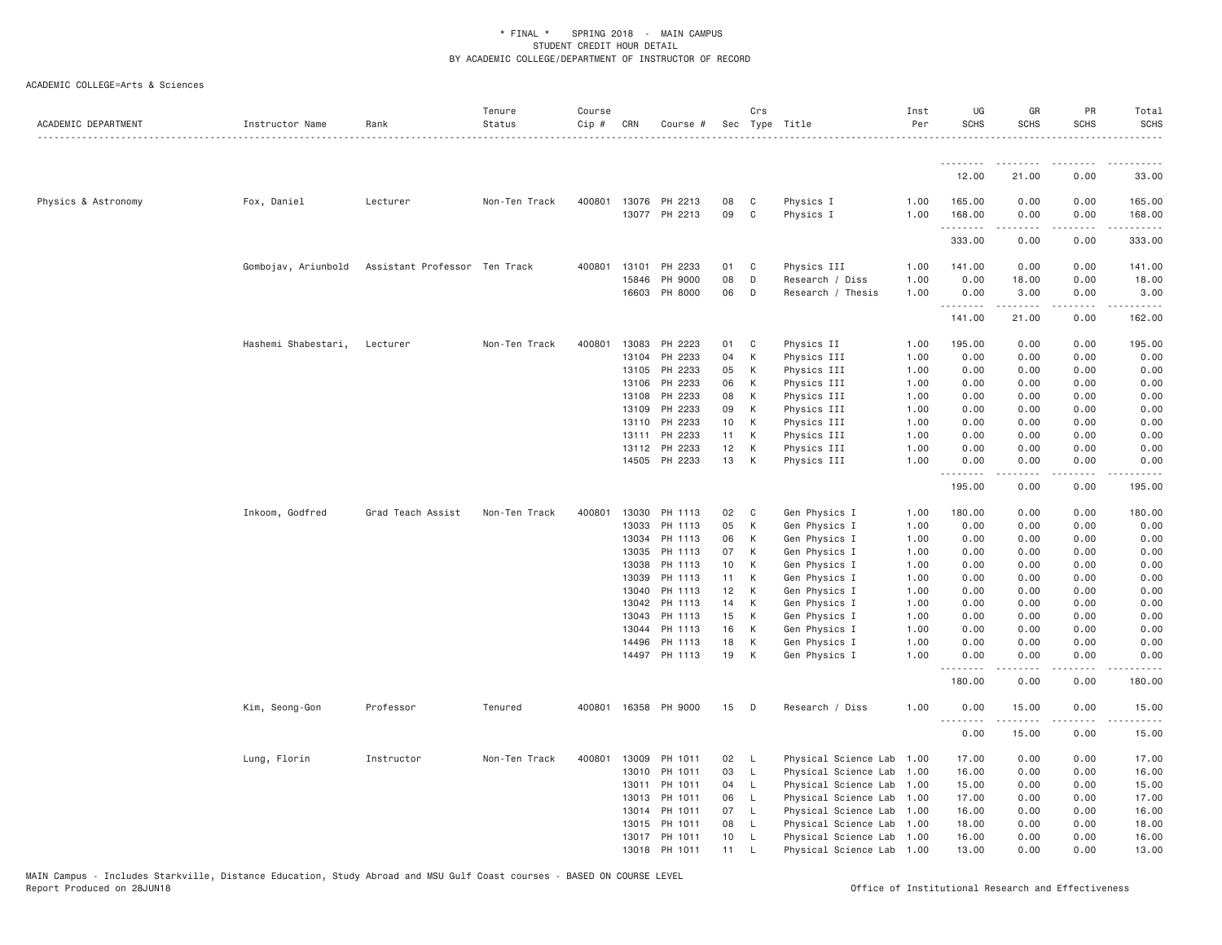| ACADEMIC DEPARTMENT | Instructor Name     | Rank                          | Tenure<br>Status | Course<br>$Cip$ # | CRN            | Course #                              |                       | Crs          | Sec Type Title                 | Inst<br>Per  | UG<br><b>SCHS</b>     | GR<br><b>SCHS</b>                                                                                                                                                                       | PR<br><b>SCHS</b> | Total<br><b>SCHS</b>                                                                                                                                                                                                                                                                                                                                                                                                                                                                           |
|---------------------|---------------------|-------------------------------|------------------|-------------------|----------------|---------------------------------------|-----------------------|--------------|--------------------------------|--------------|-----------------------|-----------------------------------------------------------------------------------------------------------------------------------------------------------------------------------------|-------------------|------------------------------------------------------------------------------------------------------------------------------------------------------------------------------------------------------------------------------------------------------------------------------------------------------------------------------------------------------------------------------------------------------------------------------------------------------------------------------------------------|
|                     |                     |                               |                  |                   |                |                                       |                       |              |                                |              | .<br>12.00            | 21.00                                                                                                                                                                                   | 0.00              | 33.00                                                                                                                                                                                                                                                                                                                                                                                                                                                                                          |
|                     |                     |                               |                  |                   |                |                                       |                       |              |                                |              |                       |                                                                                                                                                                                         |                   |                                                                                                                                                                                                                                                                                                                                                                                                                                                                                                |
| Physics & Astronomy | Fox, Daniel         | Lecturer                      | Non-Ten Track    |                   |                | 400801 13076 PH 2213<br>13077 PH 2213 | 08<br>09              | C<br>C       | Physics I<br>Physics I         | 1.00<br>1.00 | 165.00<br>168.00<br>. | 0.00<br>0.00<br>.                                                                                                                                                                       | 0.00<br>0.00<br>. | 165.00<br>168.00<br><b>.</b>                                                                                                                                                                                                                                                                                                                                                                                                                                                                   |
|                     |                     |                               |                  |                   |                |                                       |                       |              |                                |              | 333.00                | 0.00                                                                                                                                                                                    | 0.00              | 333.00                                                                                                                                                                                                                                                                                                                                                                                                                                                                                         |
|                     | Gombojav, Ariunbold | Assistant Professor Ten Track |                  | 400801            | 13101          | PH 2233                               | 01                    | C            | Physics III                    | 1.00         | 141.00                | 0.00                                                                                                                                                                                    | 0.00              | 141.00                                                                                                                                                                                                                                                                                                                                                                                                                                                                                         |
|                     |                     |                               |                  |                   | 15846          | PH 9000                               | 08                    | D            | Research / Diss                | 1.00         | 0.00                  | 18.00                                                                                                                                                                                   | 0.00              | 18.00                                                                                                                                                                                                                                                                                                                                                                                                                                                                                          |
|                     |                     |                               |                  |                   |                | 16603 PH 8000                         | 06                    | D            | Research / Thesis              | 1.00         | 0.00<br>.             | 3.00<br>$\frac{1}{2} \left( \frac{1}{2} \right) \left( \frac{1}{2} \right) \left( \frac{1}{2} \right) \left( \frac{1}{2} \right) \left( \frac{1}{2} \right) \left( \frac{1}{2} \right)$ | 0.00<br>.         | 3.00<br>$\begin{array}{cccccccccccccc} \multicolumn{2}{c}{} & \multicolumn{2}{c}{} & \multicolumn{2}{c}{} & \multicolumn{2}{c}{} & \multicolumn{2}{c}{} & \multicolumn{2}{c}{} & \multicolumn{2}{c}{} & \multicolumn{2}{c}{} & \multicolumn{2}{c}{} & \multicolumn{2}{c}{} & \multicolumn{2}{c}{} & \multicolumn{2}{c}{} & \multicolumn{2}{c}{} & \multicolumn{2}{c}{} & \multicolumn{2}{c}{} & \multicolumn{2}{c}{} & \multicolumn{2}{c}{} & \multicolumn{2}{c}{} & \multicolumn{2}{c}{} & \$ |
|                     |                     |                               |                  |                   |                |                                       |                       |              |                                |              | 141.00                | 21.00                                                                                                                                                                                   | 0.00              | 162.00                                                                                                                                                                                                                                                                                                                                                                                                                                                                                         |
|                     | Hashemi Shabestari, | Lecturer                      | Non-Ten Track    | 400801            | 13083          | PH 2223                               | 01                    | C            | Physics II                     | 1.00         | 195.00                | 0.00                                                                                                                                                                                    | 0.00              | 195.00                                                                                                                                                                                                                                                                                                                                                                                                                                                                                         |
|                     |                     |                               |                  |                   | 13104          | PH 2233                               | 04                    | К            | Physics III                    | 1.00         | 0.00                  | 0.00                                                                                                                                                                                    | 0.00              | 0.00                                                                                                                                                                                                                                                                                                                                                                                                                                                                                           |
|                     |                     |                               |                  |                   | 13105          | PH 2233                               | 05                    | К            | Physics III                    | 1.00         | 0.00                  | 0.00                                                                                                                                                                                    | 0.00              | 0.00                                                                                                                                                                                                                                                                                                                                                                                                                                                                                           |
|                     |                     |                               |                  |                   | 13106          | PH 2233                               | 06                    | K            | Physics III                    | 1.00         | 0.00                  | 0.00                                                                                                                                                                                    | 0.00              | 0.00                                                                                                                                                                                                                                                                                                                                                                                                                                                                                           |
|                     |                     |                               |                  |                   | 13108          | PH 2233                               | 08                    | К            | Physics III                    | 1.00         | 0.00                  | 0.00                                                                                                                                                                                    | 0.00              | 0.00                                                                                                                                                                                                                                                                                                                                                                                                                                                                                           |
|                     |                     |                               |                  |                   | 13109          | PH 2233                               | 09                    | К            | Physics III                    | 1.00         | 0.00                  | 0.00                                                                                                                                                                                    | 0.00<br>0.00      | 0.00                                                                                                                                                                                                                                                                                                                                                                                                                                                                                           |
|                     |                     |                               |                  |                   | 13110<br>13111 | PH 2233<br>PH 2233                    | 10 <sub>1</sub><br>11 | K<br>К       | Physics III<br>Physics III     | 1.00<br>1.00 | 0.00<br>0.00          | 0.00<br>0.00                                                                                                                                                                            | 0.00              | 0.00<br>0.00                                                                                                                                                                                                                                                                                                                                                                                                                                                                                   |
|                     |                     |                               |                  |                   |                | 13112 PH 2233                         | 12                    | К            | Physics III                    | 1.00         | 0.00                  | 0.00                                                                                                                                                                                    | 0.00              | 0.00                                                                                                                                                                                                                                                                                                                                                                                                                                                                                           |
|                     |                     |                               |                  |                   |                | 14505 PH 2233                         | 13                    | K            | Physics III                    | 1.00         | 0.00                  | 0.00                                                                                                                                                                                    | 0.00              | 0.00                                                                                                                                                                                                                                                                                                                                                                                                                                                                                           |
|                     |                     |                               |                  |                   |                |                                       |                       |              |                                |              | .<br>195.00           | .<br>0.00                                                                                                                                                                               | .<br>0.00         | .<br>195.00                                                                                                                                                                                                                                                                                                                                                                                                                                                                                    |
|                     | Inkoom, Godfred     | Grad Teach Assist             | Non-Ten Track    | 400801            | 13030          | PH 1113                               | 02                    | C            | Gen Physics I                  | 1.00         | 180.00                | 0.00                                                                                                                                                                                    | 0.00              | 180.00                                                                                                                                                                                                                                                                                                                                                                                                                                                                                         |
|                     |                     |                               |                  |                   | 13033          | PH 1113                               | 05                    | К            | Gen Physics I                  | 1.00         | 0.00                  | 0.00                                                                                                                                                                                    | 0.00              | 0.00                                                                                                                                                                                                                                                                                                                                                                                                                                                                                           |
|                     |                     |                               |                  |                   | 13034          | PH 1113                               | 06                    | К            | Gen Physics I                  | 1.00         | 0.00                  | 0.00                                                                                                                                                                                    | 0.00              | 0.00                                                                                                                                                                                                                                                                                                                                                                                                                                                                                           |
|                     |                     |                               |                  |                   | 13035          | PH 1113                               | 07                    | K            | Gen Physics I                  | 1.00         | 0.00                  | 0.00                                                                                                                                                                                    | 0.00              | 0.00                                                                                                                                                                                                                                                                                                                                                                                                                                                                                           |
|                     |                     |                               |                  |                   | 13038          | PH 1113                               | 10                    | К            | Gen Physics I                  | 1.00         | 0.00                  | 0.00                                                                                                                                                                                    | 0.00              | 0.00                                                                                                                                                                                                                                                                                                                                                                                                                                                                                           |
|                     |                     |                               |                  |                   | 13039          | PH 1113                               | 11                    | К            | Gen Physics I                  | 1.00         | 0.00                  | 0.00                                                                                                                                                                                    | 0.00              | 0.00                                                                                                                                                                                                                                                                                                                                                                                                                                                                                           |
|                     |                     |                               |                  |                   | 13040          | PH 1113                               | 12                    | K            | Gen Physics I                  | 1.00         | 0.00                  | 0.00                                                                                                                                                                                    | 0.00              | 0.00                                                                                                                                                                                                                                                                                                                                                                                                                                                                                           |
|                     |                     |                               |                  |                   | 13042          | PH 1113                               | 14                    | K            | Gen Physics I                  | 1.00         | 0.00                  | 0.00                                                                                                                                                                                    | 0.00              | 0.00                                                                                                                                                                                                                                                                                                                                                                                                                                                                                           |
|                     |                     |                               |                  |                   | 13043          | PH 1113                               | 15                    | K            | Gen Physics I                  | 1.00         | 0.00                  | 0.00                                                                                                                                                                                    | 0.00              | 0.00                                                                                                                                                                                                                                                                                                                                                                                                                                                                                           |
|                     |                     |                               |                  |                   | 13044          | PH 1113                               | 16                    | K            | Gen Physics I                  | 1.00         | 0.00                  | 0.00                                                                                                                                                                                    | 0.00              | 0.00                                                                                                                                                                                                                                                                                                                                                                                                                                                                                           |
|                     |                     |                               |                  |                   | 14496          | PH 1113<br>14497 PH 1113              | 18<br>19              | K<br>K       | Gen Physics I<br>Gen Physics I | 1.00<br>1.00 | 0.00<br>0.00          | 0.00<br>0.00                                                                                                                                                                            | 0.00<br>0.00      | 0.00<br>0.00                                                                                                                                                                                                                                                                                                                                                                                                                                                                                   |
|                     |                     |                               |                  |                   |                |                                       |                       |              |                                |              | <u>.</u><br>180.00    | .<br>0.00                                                                                                                                                                               | .<br>0.00         | 180.00                                                                                                                                                                                                                                                                                                                                                                                                                                                                                         |
|                     |                     |                               |                  |                   |                |                                       |                       |              |                                |              |                       |                                                                                                                                                                                         |                   |                                                                                                                                                                                                                                                                                                                                                                                                                                                                                                |
|                     | Kim, Seong-Gon      | Professor                     | Tenured          | 400801            |                | 16358 PH 9000                         | 15                    | D            | Research / Diss                | 1.00         | 0.00<br>.             | 15.00                                                                                                                                                                                   | 0.00              | 15.00                                                                                                                                                                                                                                                                                                                                                                                                                                                                                          |
|                     |                     |                               |                  |                   |                |                                       |                       |              |                                |              | 0.00                  | 15.00                                                                                                                                                                                   | 0.00              | 15.00                                                                                                                                                                                                                                                                                                                                                                                                                                                                                          |
|                     | Lung, Florin        | Instructor                    | Non-Ten Track    | 400801            | 13009          | PH 1011                               | 02                    | - L          | Physical Science Lab 1.00      |              | 17.00                 | 0.00                                                                                                                                                                                    | 0.00              | 17.00                                                                                                                                                                                                                                                                                                                                                                                                                                                                                          |
|                     |                     |                               |                  |                   |                | 13010 PH 1011                         | 03                    | L.           | Physical Science Lab 1.00      |              | 16.00                 | 0.00                                                                                                                                                                                    | 0.00              | 16.00                                                                                                                                                                                                                                                                                                                                                                                                                                                                                          |
|                     |                     |                               |                  |                   | 13011          | PH 1011                               | 04                    | L.           | Physical Science Lab 1.00      |              | 15.00                 | 0.00                                                                                                                                                                                    | 0.00              | 15.00                                                                                                                                                                                                                                                                                                                                                                                                                                                                                          |
|                     |                     |                               |                  |                   | 13013          | PH 1011                               | 06                    | $\mathsf{L}$ | Physical Science Lab 1.00      |              | 17.00                 | 0.00                                                                                                                                                                                    | 0.00              | 17.00                                                                                                                                                                                                                                                                                                                                                                                                                                                                                          |
|                     |                     |                               |                  |                   | 13014          | PH 1011                               | 07                    | L            | Physical Science Lab 1.00      |              | 16.00                 | 0.00                                                                                                                                                                                    | 0.00              | 16.00                                                                                                                                                                                                                                                                                                                                                                                                                                                                                          |
|                     |                     |                               |                  |                   | 13015          | PH 1011                               | 08                    | L            | Physical Science Lab 1.00      |              | 18.00                 | 0.00                                                                                                                                                                                    | 0.00              | 18.00                                                                                                                                                                                                                                                                                                                                                                                                                                                                                          |
|                     |                     |                               |                  |                   |                | 13017 PH 1011                         | 10                    | L.           | Physical Science Lab 1.00      |              | 16.00                 | 0.00                                                                                                                                                                                    | 0.00              | 16.00                                                                                                                                                                                                                                                                                                                                                                                                                                                                                          |
|                     |                     |                               |                  |                   |                | 13018 PH 1011                         | 11                    | L            | Physical Science Lab 1.00      |              | 13,00                 | 0.00                                                                                                                                                                                    | 0.00              | 13.00                                                                                                                                                                                                                                                                                                                                                                                                                                                                                          |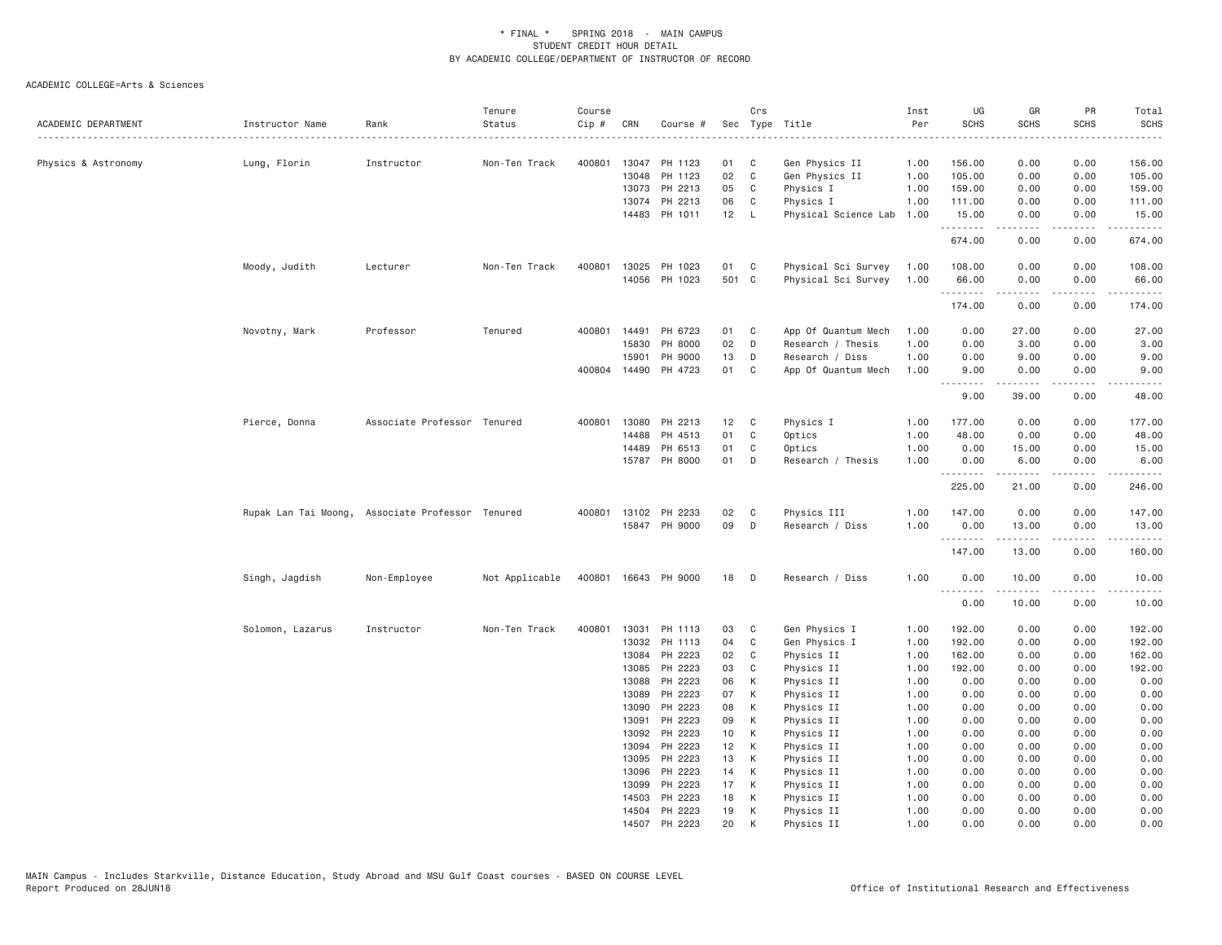| ACADEMIC DEPARTMENT | Instructor Name  | Rank                                             | Tenure<br>Status | Course<br>Cip # | CRN            | Course #             |          | Crs               | Sec Type Title                   | Inst<br>Per  | UG<br><b>SCHS</b> | GR<br><b>SCHS</b>                                                                                                                                             | PR<br><b>SCHS</b>                   | Total<br><b>SCHS</b>                 |
|---------------------|------------------|--------------------------------------------------|------------------|-----------------|----------------|----------------------|----------|-------------------|----------------------------------|--------------|-------------------|---------------------------------------------------------------------------------------------------------------------------------------------------------------|-------------------------------------|--------------------------------------|
|                     |                  |                                                  |                  |                 |                |                      |          |                   |                                  |              |                   |                                                                                                                                                               |                                     |                                      |
| Physics & Astronomy | Lung, Florin     | Instructor                                       | Non-Ten Track    | 400801          | 13047<br>13048 | PH 1123<br>PH 1123   | 01<br>02 | C<br>$\mathbf{C}$ | Gen Physics II<br>Gen Physics II | 1.00<br>1.00 | 156.00<br>105.00  | 0.00<br>0.00                                                                                                                                                  | 0.00<br>0.00                        | 156.00<br>105.00                     |
|                     |                  |                                                  |                  |                 |                | 13073 PH 2213        | 05       | C                 | Physics I                        | 1.00         | 159.00            | 0.00                                                                                                                                                          | 0.00                                | 159.00                               |
|                     |                  |                                                  |                  |                 | 13074          | PH 2213              | 06       | C                 | Physics I                        | 1.00         | 111.00            | 0.00                                                                                                                                                          | 0.00                                | 111.00                               |
|                     |                  |                                                  |                  |                 | 14483          | PH 1011              | 12       | $\mathsf{L}$      | Physical Science Lab             | 1.00         | 15.00             | 0.00                                                                                                                                                          | 0.00                                | 15.00                                |
|                     |                  |                                                  |                  |                 |                |                      |          |                   |                                  |              | .<br>674.00       | -----<br>0.00                                                                                                                                                 | .<br>0.00                           | .<br>674.00                          |
|                     | Moody, Judith    | Lecturer                                         | Non-Ten Track    | 400801          | 13025          | PH 1023              | 01       | $\mathbf{C}$      | Physical Sci Survey              | 1.00         | 108.00            | 0.00                                                                                                                                                          | 0.00                                | 108.00                               |
|                     |                  |                                                  |                  |                 |                | 14056 PH 1023        | 501 C    |                   | Physical Sci Survey              | 1.00         | 66.00             | 0.00                                                                                                                                                          | 0.00                                | 66.00                                |
|                     |                  |                                                  |                  |                 |                |                      |          |                   |                                  |              | .<br>174.00       | 0.00                                                                                                                                                          | $\sim$ $\sim$ $\sim$ $\sim$<br>0.00 | 174.00                               |
|                     | Novotny, Mark    | Professor                                        | Tenured          | 400801          | 14491          | PH 6723              | 01       | C                 | App Of Quantum Mech              | 1.00         | 0.00              | 27.00                                                                                                                                                         | 0.00                                | 27.00                                |
|                     |                  |                                                  |                  |                 | 15830          | PH 8000              | 02       | D                 | Research / Thesis                | 1.00         | 0.00              | 3.00                                                                                                                                                          | 0.00                                | 3.00                                 |
|                     |                  |                                                  |                  |                 | 15901          | PH 9000              | 13       | D                 | Research / Diss                  | 1.00         | 0.00              | 9.00                                                                                                                                                          | 0.00                                | 9.00                                 |
|                     |                  |                                                  |                  |                 | 400804 14490   | PH 4723              | 01       | C                 | App Of Quantum Mech              | 1.00         | 9.00              | 0.00                                                                                                                                                          | 0.00                                | 9.00                                 |
|                     |                  |                                                  |                  |                 |                |                      |          |                   |                                  |              | .<br>9.00         | $\frac{1}{2} \left( \frac{1}{2} \right) \left( \frac{1}{2} \right) \left( \frac{1}{2} \right) \left( \frac{1}{2} \right) \left( \frac{1}{2} \right)$<br>39.00 | د د د د<br>0.00                     | $\sim$ $\sim$ $\sim$ $\sim$<br>48.00 |
|                     | Pierce, Donna    | Associate Professor Tenured                      |                  | 400801          | 13080          | PH 2213              | 12       | $\mathbf{C}$      | Physics I                        | 1.00         | 177.00            | 0.00                                                                                                                                                          | 0.00                                | 177.00                               |
|                     |                  |                                                  |                  |                 | 14488          | PH 4513              | 01       | C                 | Optics                           | 1.00         | 48.00             | 0.00                                                                                                                                                          | 0.00                                | 48.00                                |
|                     |                  |                                                  |                  |                 | 14489          | PH 6513              | 01       | C                 | Optics                           | 1.00         | 0.00              | 15.00                                                                                                                                                         | 0.00                                | 15.00                                |
|                     |                  |                                                  |                  |                 |                | 15787 PH 8000        | 01       | D                 | Research / Thesis                | 1.00         | 0.00              | 6.00                                                                                                                                                          | 0.00                                | 6.00                                 |
|                     |                  |                                                  |                  |                 |                |                      |          |                   |                                  |              | .<br>225.00       | $\frac{1}{2} \left( \frac{1}{2} \right) \left( \frac{1}{2} \right) \left( \frac{1}{2} \right) \left( \frac{1}{2} \right) \left( \frac{1}{2} \right)$<br>21.00 | 0.00                                | 246.00                               |
|                     |                  | Rupak Lan Tai Moong, Associate Professor Tenured |                  | 400801          | 13102          | PH 2233              | 02       | C                 | Physics III                      | 1.00         | 147.00            | 0.00                                                                                                                                                          | 0.00                                | 147.00                               |
|                     |                  |                                                  |                  |                 |                | 15847 PH 9000        | 09       | D                 | Research / Diss                  | 1.00         | 0.00              | 13.00                                                                                                                                                         | 0.00                                | 13.00                                |
|                     |                  |                                                  |                  |                 |                |                      |          |                   |                                  |              | .<br>147.00       | $- - - - -$<br>13.00                                                                                                                                          | .<br>0.00                           | $- - - - - -$<br>160.00              |
|                     | Singh, Jagdish   | Non-Employee                                     | Not Applicable   |                 |                | 400801 16643 PH 9000 | 18       | D                 | Research / Diss                  | 1.00         | 0.00              | 10.00                                                                                                                                                         | 0.00                                | 10.00                                |
|                     |                  |                                                  |                  |                 |                |                      |          |                   |                                  |              | .<br>0.00         | .<br>10.00                                                                                                                                                    | 0.00                                | .<br>10.00                           |
|                     | Solomon, Lazarus | Instructor                                       | Non-Ten Track    | 400801          | 13031          | PH 1113              | 03       | C                 | Gen Physics I                    | 1.00         | 192.00            | 0.00                                                                                                                                                          | 0.00                                | 192.00                               |
|                     |                  |                                                  |                  |                 | 13032          | PH 1113              | 04       | C                 | Gen Physics I                    | 1.00         | 192.00            | 0.00                                                                                                                                                          | 0.00                                | 192.00                               |
|                     |                  |                                                  |                  |                 | 13084          | PH 2223              | 02       | C                 | Physics II                       | 1.00         | 162.00            | 0.00                                                                                                                                                          | 0.00                                | 162.00                               |
|                     |                  |                                                  |                  |                 | 13085          | PH 2223              | 03       | C                 | Physics II                       | 1.00         | 192.00            | 0.00                                                                                                                                                          | 0.00                                | 192.00                               |
|                     |                  |                                                  |                  |                 | 13088          | PH 2223              | 06       | К                 | Physics II                       | 1.00         | 0.00              | 0.00                                                                                                                                                          | 0.00                                | 0.00                                 |
|                     |                  |                                                  |                  |                 | 13089          | PH 2223              | 07       | К                 | Physics II                       | 1.00         | 0.00              | 0.00                                                                                                                                                          | 0.00                                | 0.00                                 |
|                     |                  |                                                  |                  |                 | 13090          | PH 2223              | 08       | К                 | Physics II                       | 1.00         | 0.00              | 0.00                                                                                                                                                          | 0.00                                | 0.00                                 |
|                     |                  |                                                  |                  |                 | 13091          | PH 2223              | 09       | К                 | Physics II                       | 1.00         | 0.00              | 0.00                                                                                                                                                          | 0.00                                | 0.00                                 |
|                     |                  |                                                  |                  |                 | 13092          | PH 2223              | 10       | К                 | Physics II                       | 1.00         | 0.00              | 0.00                                                                                                                                                          | 0.00                                | 0.00                                 |
|                     |                  |                                                  |                  |                 | 13094          | PH 2223              | 12       | К                 | Physics II                       | 1.00         | 0.00              | 0.00                                                                                                                                                          | 0.00                                | 0.00                                 |
|                     |                  |                                                  |                  |                 | 13095          | PH 2223<br>PH 2223   | 13<br>14 | K                 | Physics II                       | 1.00         | 0.00              | 0.00                                                                                                                                                          | 0.00                                | 0.00                                 |
|                     |                  |                                                  |                  |                 | 13096<br>13099 | PH 2223              | 17       | К<br>К            | Physics II<br>Physics II         | 1.00<br>1.00 | 0.00<br>0.00      | 0.00<br>0.00                                                                                                                                                  | 0.00<br>0.00                        | 0.00<br>0.00                         |
|                     |                  |                                                  |                  |                 | 14503          | PH 2223              | 18       | К                 | Physics II                       | 1.00         | 0.00              | 0.00                                                                                                                                                          | 0.00                                | 0.00                                 |
|                     |                  |                                                  |                  |                 |                | 14504 PH 2223        | 19       | К                 | Physics II                       | 1.00         | 0.00              | 0.00                                                                                                                                                          | 0.00                                | 0.00                                 |
|                     |                  |                                                  |                  |                 |                | 14507 PH 2223        | 20       | K                 | Physics II                       | 1.00         | 0.00              | 0.00                                                                                                                                                          | 0.00                                | 0.00                                 |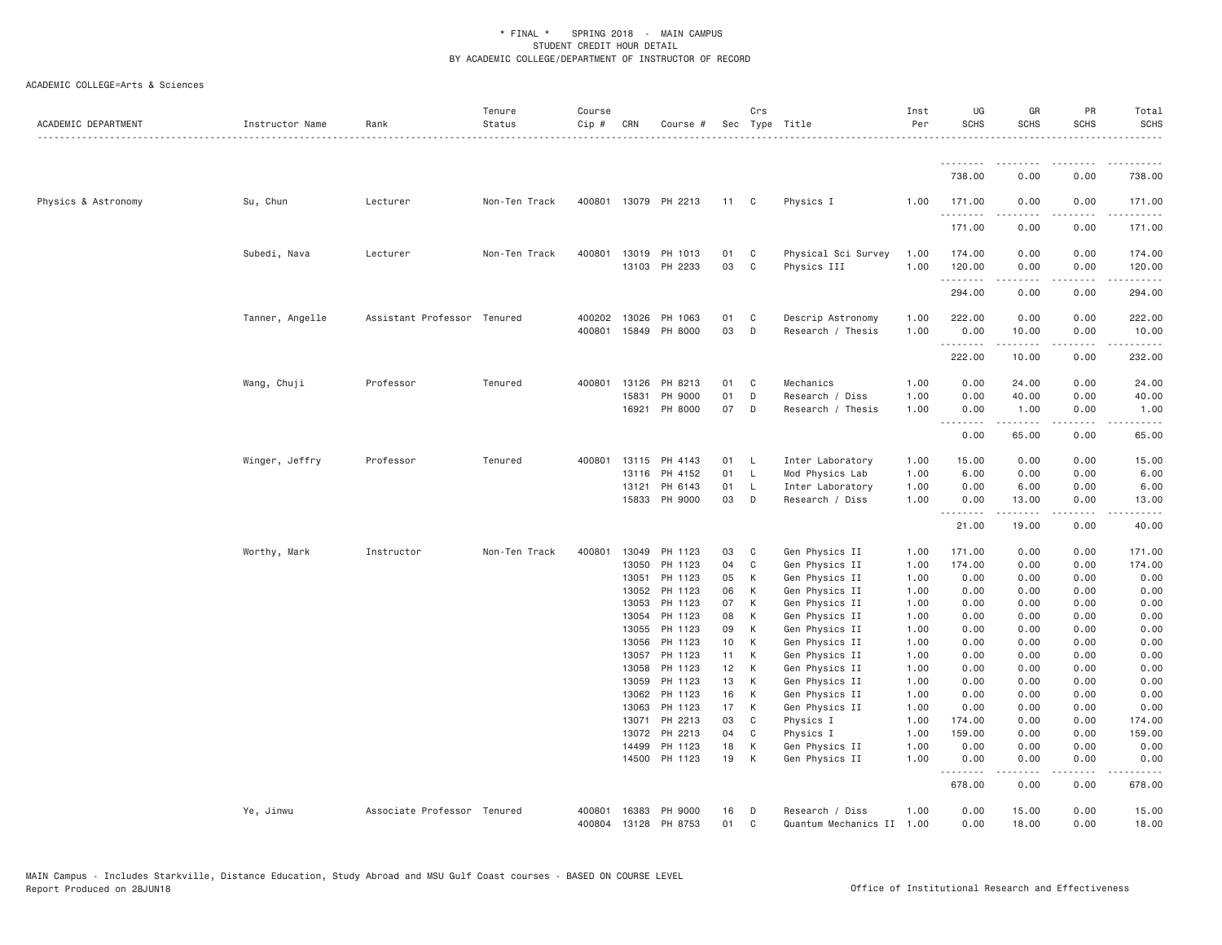| ACADEMIC DEPARTMENT | Instructor Name | Rank                        | Tenure<br>Status | Course<br>Cip # | CRN            | Course #             |                       | Crs          | Sec Type Title                   | Inst<br>Per  | UG<br><b>SCHS</b> | GR<br><b>SCHS</b>                                                                                                                                                                        | PR<br><b>SCHS</b> | Total<br><b>SCHS</b><br>.                                                                                                                                      |
|---------------------|-----------------|-----------------------------|------------------|-----------------|----------------|----------------------|-----------------------|--------------|----------------------------------|--------------|-------------------|------------------------------------------------------------------------------------------------------------------------------------------------------------------------------------------|-------------------|----------------------------------------------------------------------------------------------------------------------------------------------------------------|
|                     |                 |                             |                  |                 |                |                      |                       |              |                                  |              | <u>.</u>          | .                                                                                                                                                                                        |                   |                                                                                                                                                                |
|                     |                 |                             |                  |                 |                |                      |                       |              |                                  |              | 738.00            | 0.00                                                                                                                                                                                     | 0.00              | 738.00                                                                                                                                                         |
| Physics & Astronomy | Su, Chun        | Lecturer                    | Non-Ten Track    |                 |                | 400801 13079 PH 2213 | 11 C                  |              | Physics I                        | 1.00         | 171.00<br>.       | 0.00<br>$- - - - -$                                                                                                                                                                      | 0.00<br>$\cdots$  | 171.00<br>. <u>.</u>                                                                                                                                           |
|                     |                 |                             |                  |                 |                |                      |                       |              |                                  |              | 171.00            | 0.00                                                                                                                                                                                     | 0.00              | 171.00                                                                                                                                                         |
|                     | Subedi, Nava    | Lecturer                    | Non-Ten Track    |                 |                | 400801 13019 PH 1013 | 01                    | C            | Physical Sci Survey              | 1.00         | 174.00            | 0.00                                                                                                                                                                                     | 0.00              | 174.00                                                                                                                                                         |
|                     |                 |                             |                  |                 |                | 13103 PH 2233        | 03                    | C            | Physics III                      | 1.00         | 120.00<br>.       | 0.00<br>$\cdots \cdots \cdots$                                                                                                                                                           | 0.00<br>.         | 120.00<br>.                                                                                                                                                    |
|                     |                 |                             |                  |                 |                |                      |                       |              |                                  |              | 294.00            | 0.00                                                                                                                                                                                     | 0.00              | 294.00                                                                                                                                                         |
|                     | Tanner, Angelle | Assistant Professor Tenured |                  | 400202          | 13026          | PH 1063              | 01                    | C            | Descrip Astronomy                | 1.00         | 222.00            | 0.00                                                                                                                                                                                     | 0.00              | 222.00                                                                                                                                                         |
|                     |                 |                             |                  | 400801          | 15849          | PH 8000              | 03                    | D            | Research / Thesis                | 1.00         | 0.00<br>.         | 10.00<br>.                                                                                                                                                                               | 0.00<br>.         | 10.00<br>.                                                                                                                                                     |
|                     |                 |                             |                  |                 |                |                      |                       |              |                                  |              | 222.00            | 10.00                                                                                                                                                                                    | 0.00              | 232.00                                                                                                                                                         |
|                     | Wang, Chuji     | Professor                   | Tenured          | 400801          | 13126          | PH 8213              | 01                    | C            | Mechanics                        | 1.00         | 0.00              | 24.00                                                                                                                                                                                    | 0.00              | 24.00                                                                                                                                                          |
|                     |                 |                             |                  |                 | 15831          | PH 9000              | 01                    | D            | Research / Diss                  | 1.00         | 0.00              | 40.00                                                                                                                                                                                    | 0.00              | 40.00                                                                                                                                                          |
|                     |                 |                             |                  |                 | 16921          | PH 8000              | 07                    | D            | Research / Thesis                | 1.00         | 0.00<br>.         | 1.00<br>.                                                                                                                                                                                | 0.00<br>.         | 1.00<br>.                                                                                                                                                      |
|                     |                 |                             |                  |                 |                |                      |                       |              |                                  |              | 0.00              | 65.00                                                                                                                                                                                    | 0.00              | 65.00                                                                                                                                                          |
|                     | Winger, Jeffry  | Professor                   | Tenured          | 400801          | 13115          | PH 4143              | 01                    | - L          | Inter Laboratory                 | 1.00         | 15.00             | 0.00                                                                                                                                                                                     | 0.00              | 15.00                                                                                                                                                          |
|                     |                 |                             |                  |                 | 13116          | PH 4152              | 01                    | $\mathsf{L}$ | Mod Physics Lab                  | 1.00         | 6.00              | 0.00                                                                                                                                                                                     | 0.00              | 6.00                                                                                                                                                           |
|                     |                 |                             |                  |                 | 13121          | PH 6143              | 01                    | $\mathsf{L}$ | Inter Laboratory                 | 1.00         | 0.00              | 6.00                                                                                                                                                                                     | 0.00              | 6.00                                                                                                                                                           |
|                     |                 |                             |                  |                 | 15833          | PH 9000              | 03                    | D            | Research / Diss                  | 1.00         | 0.00<br>.         | 13.00<br>$\frac{1}{2} \left( \frac{1}{2} \right) \left( \frac{1}{2} \right) \left( \frac{1}{2} \right) \left( \frac{1}{2} \right) \left( \frac{1}{2} \right) \left( \frac{1}{2} \right)$ | 0.00<br>$   -$    | 13.00                                                                                                                                                          |
|                     |                 |                             |                  |                 |                |                      |                       |              |                                  |              | 21.00             | 19.00                                                                                                                                                                                    | 0.00              | 40.00                                                                                                                                                          |
|                     | Worthy, Mark    | Instructor                  | Non-Ten Track    | 400801          | 13049          | PH 1123              | 03                    | C            | Gen Physics II                   | 1.00         | 171.00            | 0.00                                                                                                                                                                                     | 0.00              | 171.00                                                                                                                                                         |
|                     |                 |                             |                  |                 | 13050          | PH 1123              | 04                    | C            | Gen Physics II                   | 1.00         | 174.00            | 0.00                                                                                                                                                                                     | 0.00              | 174.00                                                                                                                                                         |
|                     |                 |                             |                  |                 | 13051          | PH 1123              | 05                    | К            | Gen Physics II                   | 1.00         | 0.00              | 0.00                                                                                                                                                                                     | 0.00              | 0.00                                                                                                                                                           |
|                     |                 |                             |                  |                 | 13052          | PH 1123              | 06                    | К            | Gen Physics II                   | 1.00         | 0.00              | 0.00                                                                                                                                                                                     | 0.00              | 0.00                                                                                                                                                           |
|                     |                 |                             |                  |                 | 13053          | PH 1123              | 07                    | К            | Gen Physics II                   | 1.00         | 0.00              | 0.00                                                                                                                                                                                     | 0.00              | 0.00                                                                                                                                                           |
|                     |                 |                             |                  |                 | 13054          | PH 1123              | 08                    | К            | Gen Physics II                   | 1.00         | 0.00              | 0.00                                                                                                                                                                                     | 0.00              | 0.00                                                                                                                                                           |
|                     |                 |                             |                  |                 | 13055<br>13056 | PH 1123<br>PH 1123   | 09<br>10 <sub>1</sub> | К<br>К       | Gen Physics II<br>Gen Physics II | 1.00<br>1.00 | 0.00<br>0.00      | 0.00<br>0.00                                                                                                                                                                             | 0.00<br>0.00      | 0.00<br>0.00                                                                                                                                                   |
|                     |                 |                             |                  |                 | 13057          | PH 1123              | 11                    | К            | Gen Physics II                   | 1.00         | 0.00              | 0.00                                                                                                                                                                                     | 0.00              | 0.00                                                                                                                                                           |
|                     |                 |                             |                  |                 | 13058          | PH 1123              | 12                    | К            | Gen Physics II                   | 1.00         | 0.00              | 0.00                                                                                                                                                                                     | 0.00              | 0.00                                                                                                                                                           |
|                     |                 |                             |                  |                 | 13059          | PH 1123              | 13                    | К            | Gen Physics II                   | 1.00         | 0.00              | 0.00                                                                                                                                                                                     | 0.00              | 0.00                                                                                                                                                           |
|                     |                 |                             |                  |                 | 13062          | PH 1123              | 16                    | К            | Gen Physics II                   | 1.00         | 0.00              | 0.00                                                                                                                                                                                     | 0.00              | 0.00                                                                                                                                                           |
|                     |                 |                             |                  |                 | 13063          | PH 1123              | 17                    | К            | Gen Physics II                   | 1.00         | 0.00              | 0.00                                                                                                                                                                                     | 0.00              | 0.00                                                                                                                                                           |
|                     |                 |                             |                  |                 | 13071          | PH 2213              | 03                    | C            | Physics I                        | 1.00         | 174.00            | 0.00                                                                                                                                                                                     | 0.00              | 174.00                                                                                                                                                         |
|                     |                 |                             |                  |                 | 13072          | PH 2213              | 04                    | C            | Physics I                        | 1.00         | 159.00            | 0.00                                                                                                                                                                                     | 0.00              | 159.00                                                                                                                                                         |
|                     |                 |                             |                  |                 | 14499          | PH 1123              | 18                    | К            | Gen Physics II                   | 1.00         | 0.00              | 0.00                                                                                                                                                                                     | 0.00              | 0.00                                                                                                                                                           |
|                     |                 |                             |                  |                 |                | 14500 PH 1123        | 19                    | К            | Gen Physics II                   | 1.00         | 0.00              | 0.00                                                                                                                                                                                     | 0.00              | 0.00                                                                                                                                                           |
|                     |                 |                             |                  |                 |                |                      |                       |              |                                  |              | .<br>678.00       | $\frac{1}{2} \left( \frac{1}{2} \right) \left( \frac{1}{2} \right) \left( \frac{1}{2} \right) \left( \frac{1}{2} \right) \left( \frac{1}{2} \right)$<br>0.00                             | .<br>0.00         | $\frac{1}{2} \left( \frac{1}{2} \right) \left( \frac{1}{2} \right) \left( \frac{1}{2} \right) \left( \frac{1}{2} \right) \left( \frac{1}{2} \right)$<br>678.00 |
|                     | Ye, Jinwu       | Associate Professor Tenured |                  | 400801          | 16383          | PH 9000              | 16                    | D            | Research / Diss                  | 1.00         | 0.00              | 15.00                                                                                                                                                                                    | 0.00              | 15.00                                                                                                                                                          |
|                     |                 |                             |                  | 400804          |                | 13128 PH 8753        | 01                    | C            | Quantum Mechanics II 1.00        |              | 0.00              | 18,00                                                                                                                                                                                    | 0.00              | 18.00                                                                                                                                                          |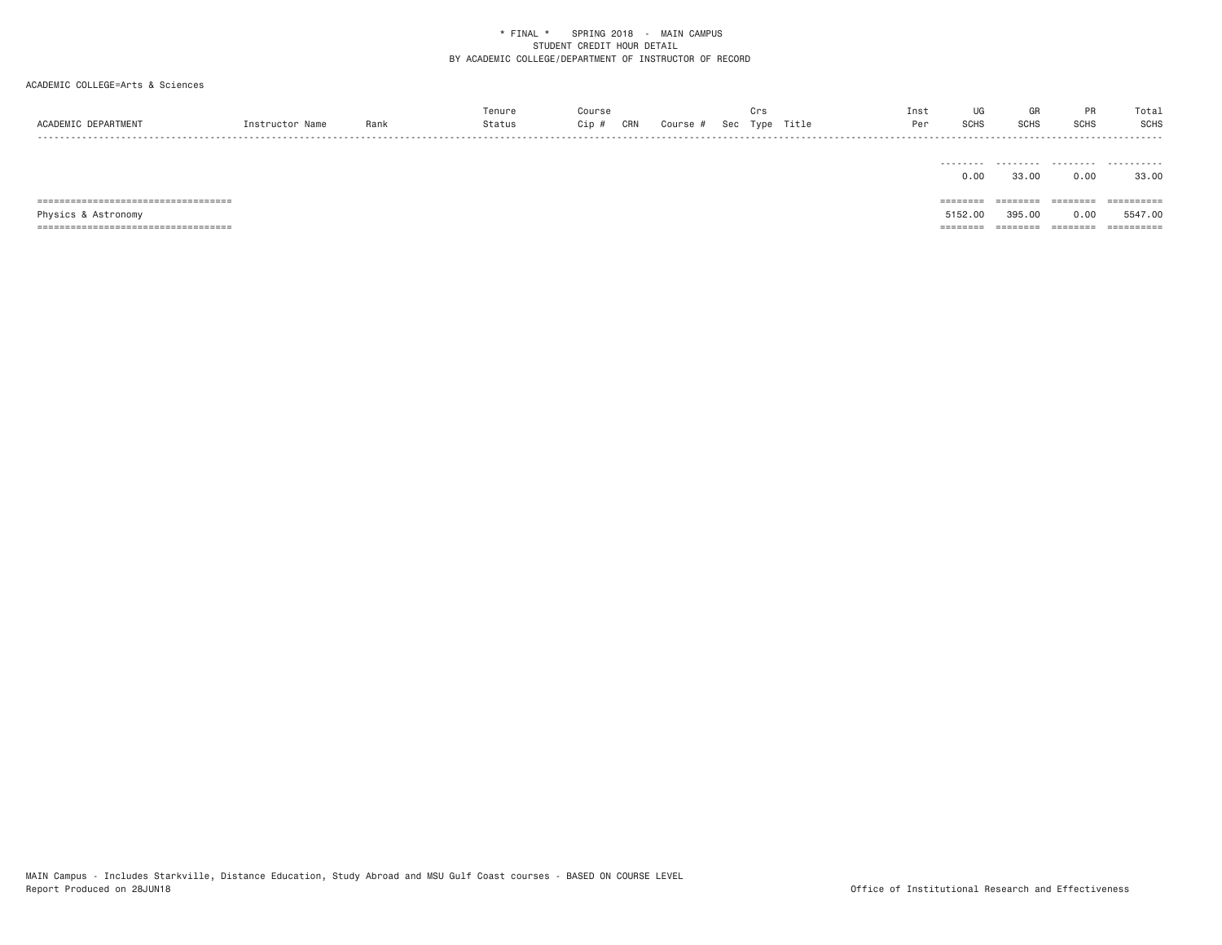# ACADEMIC COLLEGE=Arts & Sciences

|                 |      |     |     |        |     |      |       | Inst  | u          |             |       | Total       |
|-----------------|------|-----|-----|--------|-----|------|-------|-------|------------|-------------|-------|-------------|
| <b>SCADEMTC</b> | Ran. | )ip | CRN | Course | Sec | Tvne | Title | ີ - - | <b>OUH</b> | <b>SCHS</b> | יווטנ | <b>SCHS</b> |
| .               |      |     |     |        |     |      |       |       |            |             |       | -----       |

|                                        | 0.00     | 33,00  | 0.00    | 33.00      |
|----------------------------------------|----------|--------|---------|------------|
|                                        |          |        |         |            |
| ====================================== | ======== | ====== | ======= | ========== |
| Physics & Astronomy                    | 5152.00  | 395.00 | 0.00    | 5547.00    |
|                                        |          |        |         |            |

MAIN Campus - Includes Starkville, Distance Education, Study Abroad and MSU Gulf Coast courses - BASED ON COURSE LEVEL<br>Report Produced on 28JUN18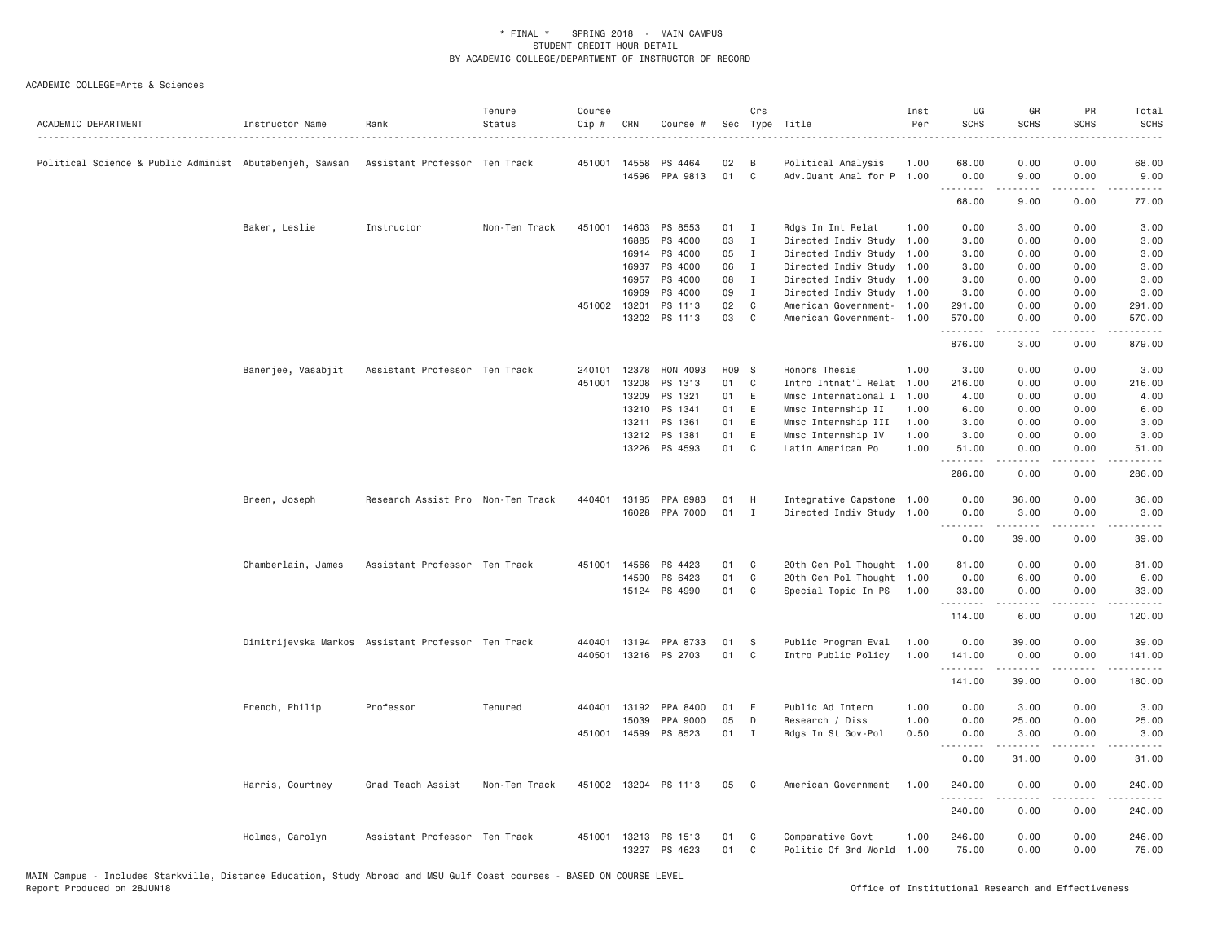| ACADEMIC DEPARTMENT                                     | Instructor Name                                    | Rank                              | Tenure<br>Status | Course<br>Cip # | CRN   | Course #              | Sec   | Crs          | Type Title                | Inst<br>Per | UG<br><b>SCHS</b>                                                                                                                   | GR<br><b>SCHS</b>                                                                                                                                            | PR<br><b>SCHS</b>            | Total<br><b>SCHS</b> |
|---------------------------------------------------------|----------------------------------------------------|-----------------------------------|------------------|-----------------|-------|-----------------------|-------|--------------|---------------------------|-------------|-------------------------------------------------------------------------------------------------------------------------------------|--------------------------------------------------------------------------------------------------------------------------------------------------------------|------------------------------|----------------------|
| Political Science & Public Administ Abutabenjeh, Sawsan |                                                    | Assistant Professor Ten Track     |                  | 451001 14558    |       | PS 4464               | 02    | B            | Political Analysis        | 1.00        | 68.00                                                                                                                               | 0.00                                                                                                                                                         | 0.00                         | 68.00                |
|                                                         |                                                    |                                   |                  |                 | 14596 | PPA 9813              | 01    | $\mathsf{C}$ | Adv.Quant Anal for P 1.00 |             | 0.00<br>.                                                                                                                           | 9.00<br>$\frac{1}{2} \left( \frac{1}{2} \right) \left( \frac{1}{2} \right) \left( \frac{1}{2} \right) \left( \frac{1}{2} \right) \left( \frac{1}{2} \right)$ | 0.00<br>.                    | 9.00<br>.            |
|                                                         |                                                    |                                   |                  |                 |       |                       |       |              |                           |             | 68.00                                                                                                                               | 9.00                                                                                                                                                         | 0.00                         | 77.00                |
|                                                         | Baker, Leslie                                      | Instructor                        | Non-Ten Track    | 451001          | 14603 | PS 8553               | 01    | $\mathbf{I}$ | Rdgs In Int Relat         | 1.00        | 0.00                                                                                                                                | 3.00                                                                                                                                                         | 0.00                         | 3.00                 |
|                                                         |                                                    |                                   |                  |                 | 16885 | PS 4000               | 03    | $\mathbf{I}$ | Directed Indiv Study 1.00 |             | 3.00                                                                                                                                | 0.00                                                                                                                                                         | 0.00                         | 3.00                 |
|                                                         |                                                    |                                   |                  |                 |       | 16914 PS 4000         | 05    | $\mathbf{I}$ | Directed Indiv Study      | 1.00        | 3.00                                                                                                                                | 0.00                                                                                                                                                         | 0.00                         | 3.00                 |
|                                                         |                                                    |                                   |                  |                 | 16937 | PS 4000               | 06    | $\mathbf{I}$ | Directed Indiv Study 1.00 |             | 3.00                                                                                                                                | 0.00                                                                                                                                                         | 0.00                         | 3.00                 |
|                                                         |                                                    |                                   |                  |                 | 16957 | PS 4000               | 08    | $\mathbf{I}$ | Directed Indiv Study 1.00 |             | 3.00                                                                                                                                | 0.00                                                                                                                                                         | 0.00                         | 3.00                 |
|                                                         |                                                    |                                   |                  |                 | 16969 | PS 4000               | 09    | $\mathbf{I}$ | Directed Indiv Study 1.00 |             | 3.00                                                                                                                                | 0.00                                                                                                                                                         | 0.00                         | 3.00                 |
|                                                         |                                                    |                                   |                  | 451002 13201    |       | PS 1113               | 02    | C            | American Government- 1.00 |             | 291.00                                                                                                                              | 0.00                                                                                                                                                         | 0.00                         | 291.00               |
|                                                         |                                                    |                                   |                  |                 | 13202 | PS 1113               | 03    | C            | American Government- 1.00 |             | 570.00<br>$\begin{array}{cccccccccccccc} \bullet & \bullet & \bullet & \bullet & \bullet & \bullet & \bullet & \bullet \end{array}$ | 0.00                                                                                                                                                         | 0.00<br>$\sim$ $\sim$ $\sim$ | 570.00               |
|                                                         |                                                    |                                   |                  |                 |       |                       |       |              |                           |             | 876.00                                                                                                                              | 3.00                                                                                                                                                         | 0.00                         | 879.00               |
|                                                         | Banerjee, Vasabjit                                 | Assistant Professor Ten Track     |                  | 240101          | 12378 | HON 4093              | H09 S |              | Honors Thesis             | 1.00        | 3.00                                                                                                                                | 0.00                                                                                                                                                         | 0.00                         | 3.00                 |
|                                                         |                                                    |                                   |                  | 451001          | 13208 | PS 1313               | 01    | C            | Intro Intnat'l Relat 1.00 |             | 216.00                                                                                                                              | 0.00                                                                                                                                                         | 0.00                         | 216.00               |
|                                                         |                                                    |                                   |                  |                 | 13209 | PS 1321               | 01    | E            | Mmsc International I      | 1.00        | 4.00                                                                                                                                | 0.00                                                                                                                                                         | 0.00                         | 4.00                 |
|                                                         |                                                    |                                   |                  |                 | 13210 | PS 1341               | 01    | E            | Mmsc Internship II        | 1.00        | 6.00                                                                                                                                | 0.00                                                                                                                                                         | 0.00                         | 6.00                 |
|                                                         |                                                    |                                   |                  |                 | 13211 | PS 1361               | 01    | E            | Mmsc Internship III       | 1.00        | 3.00                                                                                                                                | 0.00                                                                                                                                                         | 0.00                         | 3.00                 |
|                                                         |                                                    |                                   |                  |                 | 13212 | PS 1381               | 01    | E            | Mmsc Internship IV        | 1.00        | 3.00                                                                                                                                | 0.00                                                                                                                                                         | 0.00                         | 3.00                 |
|                                                         |                                                    |                                   |                  |                 |       | 13226 PS 4593         | 01    | C            | Latin American Po         | 1,00        | 51.00<br>.                                                                                                                          | 0.00<br>.                                                                                                                                                    | 0.00<br>.                    | 51.00<br>.           |
|                                                         |                                                    |                                   |                  |                 |       |                       |       |              |                           |             | 286.00                                                                                                                              | 0.00                                                                                                                                                         | 0.00                         | 286.00               |
|                                                         | Breen, Joseph                                      | Research Assist Pro Non-Ten Track |                  | 440401          | 13195 | PPA 8983              | 01    | H            | Integrative Capstone 1.00 |             | 0.00                                                                                                                                | 36.00                                                                                                                                                        | 0.00                         | 36.00                |
|                                                         |                                                    |                                   |                  |                 |       | 16028 PPA 7000        | 01    | I            | Directed Indiv Study 1.00 |             | 0.00<br>.                                                                                                                           | 3.00<br>.                                                                                                                                                    | 0.00<br>.                    | 3.00<br>.            |
|                                                         |                                                    |                                   |                  |                 |       |                       |       |              |                           |             | 0.00                                                                                                                                | 39.00                                                                                                                                                        | 0.00                         | 39.00                |
|                                                         | Chamberlain, James                                 | Assistant Professor Ten Track     |                  | 451001          | 14566 | PS 4423               | 01    | C            | 20th Cen Pol Thought 1.00 |             | 81.00                                                                                                                               | 0.00                                                                                                                                                         | 0.00                         | 81.00                |
|                                                         |                                                    |                                   |                  |                 | 14590 | PS 6423               | 01    | C            | 20th Cen Pol Thought 1.00 |             | 0.00                                                                                                                                | 6.00                                                                                                                                                         | 0.00                         | 6.00                 |
|                                                         |                                                    |                                   |                  |                 |       | 15124 PS 4990         | 01    | C            | Special Topic In PS 1.00  |             | 33.00<br>.                                                                                                                          | 0.00<br>.                                                                                                                                                    | 0.00<br>$- - - -$            | 33.00<br>$   -$      |
|                                                         |                                                    |                                   |                  |                 |       |                       |       |              |                           |             | 114.00                                                                                                                              | 6.00                                                                                                                                                         | 0.00                         | 120.00               |
|                                                         | Dimitrijevska Markos Assistant Professor Ten Track |                                   |                  |                 |       | 440401 13194 PPA 8733 | 01    | <sub>S</sub> | Public Program Eval       | 1.00        | 0.00                                                                                                                                | 39.00                                                                                                                                                        | 0.00                         | 39.00                |
|                                                         |                                                    |                                   |                  |                 |       | 440501 13216 PS 2703  | 01    | C            | Intro Public Policy       | 1.00        | 141.00                                                                                                                              | 0.00                                                                                                                                                         | 0.00                         | 141.00               |
|                                                         |                                                    |                                   |                  |                 |       |                       |       |              |                           |             | .<br>141.00                                                                                                                         | .<br>39.00                                                                                                                                                   | .<br>0.00                    | 180.00               |
|                                                         | French, Philip                                     | Professor                         | Tenured          | 440401          | 13192 | PPA 8400              | 01    | Ε            | Public Ad Intern          | 1.00        | 0.00                                                                                                                                | 3.00                                                                                                                                                         | 0.00                         | 3.00                 |
|                                                         |                                                    |                                   |                  |                 | 15039 | PPA 9000              | 05    | D            | Research / Diss           | 1.00        | 0.00                                                                                                                                | 25.00                                                                                                                                                        | 0.00                         | 25.00                |
|                                                         |                                                    |                                   |                  |                 |       | 451001 14599 PS 8523  | 01    | $\mathbf{I}$ | Rdgs In St Gov-Pol        | 0.50        | 0.00<br>.                                                                                                                           | 3.00<br>$\frac{1}{2} \left( \frac{1}{2} \right) \left( \frac{1}{2} \right) \left( \frac{1}{2} \right) \left( \frac{1}{2} \right) \left( \frac{1}{2} \right)$ | 0.00<br>.                    | 3.00                 |
|                                                         |                                                    |                                   |                  |                 |       |                       |       |              |                           |             | 0.00                                                                                                                                | 31.00                                                                                                                                                        | 0.00                         | 31.00                |
|                                                         | Harris, Courtney                                   | Grad Teach Assist                 | Non-Ten Track    |                 |       | 451002 13204 PS 1113  | 05    | C            | American Government       | 1.00        | 240.00                                                                                                                              | 0.00                                                                                                                                                         | 0.00                         | 240.00               |
|                                                         |                                                    |                                   |                  |                 |       |                       |       |              |                           |             | .<br>240.00                                                                                                                         | -----<br>0.00                                                                                                                                                | .<br>0.00                    | <b>.</b><br>240.00   |
|                                                         | Holmes, Carolyn                                    | Assistant Professor Ten Track     |                  |                 |       | 451001 13213 PS 1513  | 01    | C            | Comparative Govt          | 1.00        | 246.00                                                                                                                              | 0.00                                                                                                                                                         | 0.00                         | 246.00               |
|                                                         |                                                    |                                   |                  |                 |       | 13227 PS 4623         | 01    | C            | Politic Of 3rd World      | 1.00        | 75.00                                                                                                                               | 0.00                                                                                                                                                         | 0.00                         | 75.00                |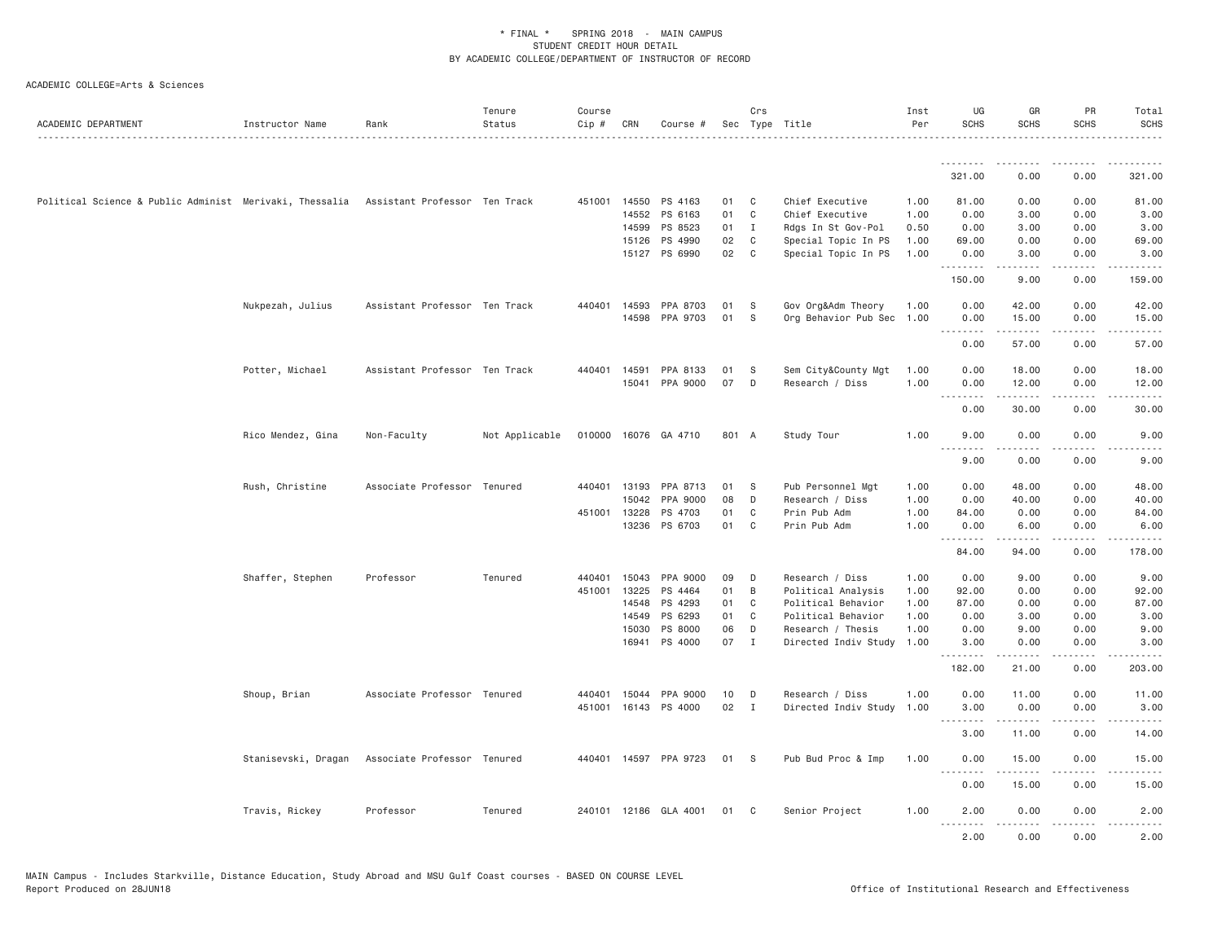| ACADEMIC DEPARTMENT                                                                   | Instructor Name     | Rank                          | Tenure<br>Status<br>. | Course<br>Cip # | CRN          | Course #              |       | Crs            | Sec Type Title       | Inst<br>Per | UG<br><b>SCHS</b> | GR<br><b>SCHS</b>                                                                                                                                            | PR<br><b>SCHS</b> | Total<br><b>SCHS</b>  |
|---------------------------------------------------------------------------------------|---------------------|-------------------------------|-----------------------|-----------------|--------------|-----------------------|-------|----------------|----------------------|-------------|-------------------|--------------------------------------------------------------------------------------------------------------------------------------------------------------|-------------------|-----------------------|
|                                                                                       |                     |                               |                       |                 |              |                       |       |                |                      |             | .                 | .                                                                                                                                                            | .                 |                       |
|                                                                                       |                     |                               |                       |                 |              |                       |       |                |                      |             | 321.00            | 0.00                                                                                                                                                         | 0.00              | 321.00                |
| Political Science & Public Administ Merivaki, Thessalia Assistant Professor Ten Track |                     |                               |                       |                 | 451001 14550 | PS 4163               | 01    | C              | Chief Executive      | 1.00        | 81.00             | 0.00                                                                                                                                                         | 0.00              | 81.00                 |
|                                                                                       |                     |                               |                       |                 | 14552        | PS 6163               | 01    | C              | Chief Executive      | 1.00        | 0.00              | 3.00                                                                                                                                                         | 0.00              | 3.00                  |
|                                                                                       |                     |                               |                       |                 | 14599        | PS 8523               | 01    | I              | Rdgs In St Gov-Pol   | 0.50        | 0.00              | 3.00                                                                                                                                                         | 0.00              | 3.00                  |
|                                                                                       |                     |                               |                       |                 | 15126        | PS 4990               | 02    | C              | Special Topic In PS  | 1.00        | 69.00             | 0.00                                                                                                                                                         | 0.00              | 69.00                 |
|                                                                                       |                     |                               |                       |                 |              | 15127 PS 6990         | 02    | C              | Special Topic In PS  | 1.00        | 0.00<br>.         | 3.00<br>$\frac{1}{2} \left( \frac{1}{2} \right) \left( \frac{1}{2} \right) \left( \frac{1}{2} \right) \left( \frac{1}{2} \right) \left( \frac{1}{2} \right)$ | 0.00<br>.         | 3.00<br>.             |
|                                                                                       |                     |                               |                       |                 |              |                       |       |                |                      |             | 150.00            | 9.00                                                                                                                                                         | 0.00              | 159.00                |
|                                                                                       | Nukpezah, Julius    | Assistant Professor Ten Track |                       | 440401          | 14593        | PPA 8703              | 01    | S              | Gov Org&Adm Theory   | 1.00        | 0.00              | 42.00                                                                                                                                                        | 0.00              | 42.00                 |
|                                                                                       |                     |                               |                       |                 | 14598        | PPA 9703              | 01    | S              | Org Behavior Pub Sec | 1.00        | 0.00              | 15.00                                                                                                                                                        | 0.00<br>.         | 15.00                 |
|                                                                                       |                     |                               |                       |                 |              |                       |       |                |                      |             | 0.00              | .<br>57.00                                                                                                                                                   | 0.00              | .<br>57.00            |
|                                                                                       | Potter, Michael     | Assistant Professor Ten Track |                       |                 | 440401 14591 | PPA 8133              | 01    | S              | Sem City&County Mgt  | 1.00        | 0.00              | 18.00                                                                                                                                                        | 0.00              | 18.00                 |
|                                                                                       |                     |                               |                       |                 |              | 15041 PPA 9000        | 07    | D              | Research / Diss      | 1.00        | 0.00              | 12.00                                                                                                                                                        | 0.00              | 12.00                 |
|                                                                                       |                     |                               |                       |                 |              |                       |       |                |                      |             | .<br>0.00         | .<br>30.00                                                                                                                                                   | .<br>0.00         | .<br>30.00            |
|                                                                                       | Rico Mendez, Gina   | Non-Faculty                   | Not Applicable        |                 |              | 010000 16076 GA 4710  | 801 A |                | Study Tour           | 1.00        | 9.00              | 0.00                                                                                                                                                         | 0.00              | 9.00                  |
|                                                                                       |                     |                               |                       |                 |              |                       |       |                |                      |             | .<br>9.00         | $\frac{1}{2} \left( \frac{1}{2} \right) \left( \frac{1}{2} \right) \left( \frac{1}{2} \right) \left( \frac{1}{2} \right) \left( \frac{1}{2} \right)$<br>0.00 | .<br>0.00         | $- - - - -$<br>9.00   |
|                                                                                       | Rush, Christine     | Associate Professor Tenured   |                       | 440401          | 13193        | PPA 8713              | 01    | -S             | Pub Personnel Mgt    | 1.00        | 0.00              | 48.00                                                                                                                                                        | 0.00              | 48.00                 |
|                                                                                       |                     |                               |                       |                 | 15042        | PPA 9000              | 08    | D              | Research / Diss      | 1.00        | 0.00              | 40.00                                                                                                                                                        | 0.00              | 40.00                 |
|                                                                                       |                     |                               |                       |                 | 451001 13228 | PS 4703               | 01    | C              | Prin Pub Adm         | 1.00        | 84.00             | 0.00                                                                                                                                                         | 0.00              | 84.00                 |
|                                                                                       |                     |                               |                       |                 | 13236        | PS 6703               | 01    | C              | Prin Pub Adm         | 1.00        | 0.00<br>.         | 6.00<br>.                                                                                                                                                    | 0.00<br>.         | 6.00<br>.             |
|                                                                                       |                     |                               |                       |                 |              |                       |       |                |                      |             | 84.00             | 94.00                                                                                                                                                        | 0.00              | 178.00                |
|                                                                                       | Shaffer, Stephen    | Professor                     | Tenured               | 440401          | 15043        | PPA 9000              | 09    | D              | Research / Diss      | 1.00        | 0.00              | 9.00                                                                                                                                                         | 0.00              | 9.00                  |
|                                                                                       |                     |                               |                       | 451001          | 13225        | PS 4464               | 01    | B              | Political Analysis   | 1.00        | 92.00             | 0.00                                                                                                                                                         | 0.00              | 92.00                 |
|                                                                                       |                     |                               |                       |                 | 14548        | PS 4293               | 01    | C              | Political Behavior   | 1.00        | 87.00             | 0.00                                                                                                                                                         | 0.00              | 87.00                 |
|                                                                                       |                     |                               |                       |                 | 14549        | PS 6293               | 01    | C              | Political Behavior   | 1.00        | 0.00              | 3.00                                                                                                                                                         | 0.00              | 3.00                  |
|                                                                                       |                     |                               |                       |                 | 15030        | PS 8000               | 06    | D              | Research / Thesis    | 1.00        | 0.00              | 9.00                                                                                                                                                         | 0.00              | 9.00                  |
|                                                                                       |                     |                               |                       |                 |              | 16941 PS 4000         | 07    | $\mathbf{I}$   | Directed Indiv Study | 1.00        | 3.00<br>.         | 0.00<br>.                                                                                                                                                    | 0.00<br>.         | 3.00<br>$- - - - - -$ |
|                                                                                       |                     |                               |                       |                 |              |                       |       |                |                      |             | 182.00            | 21.00                                                                                                                                                        | 0.00              | 203.00                |
|                                                                                       | Shoup, Brian        | Associate Professor Tenured   |                       | 440401          |              | 15044 PPA 9000        | 10    | D              | Research / Diss      | 1.00        | 0.00              | 11.00                                                                                                                                                        | 0.00              | 11.00                 |
|                                                                                       |                     |                               |                       |                 |              | 451001 16143 PS 4000  | 02    | $\blacksquare$ | Directed Indiv Study | 1.00        | 3.00              | 0.00                                                                                                                                                         | 0.00              | 3.00                  |
|                                                                                       |                     |                               |                       |                 |              |                       |       |                |                      |             | <u>.</u><br>3.00  | .<br>11.00                                                                                                                                                   | .<br>0.00         | .<br>14.00            |
|                                                                                       | Stanisevski, Dragan | Associate Professor Tenured   |                       |                 |              | 440401 14597 PPA 9723 | 01    | - S            | Pub Bud Proc & Imp   | 1.00        | 0.00              | 15.00                                                                                                                                                        | 0.00              | 15.00                 |
|                                                                                       |                     |                               |                       |                 |              |                       |       |                |                      |             | .<br>0.00         | 15.00                                                                                                                                                        | 0.00              | 15.00                 |
|                                                                                       | Travis, Rickey      | Professor                     | Tenured               |                 |              | 240101 12186 GLA 4001 | 01    | C              | Senior Project       | 1.00        | 2.00<br>.         | 0.00                                                                                                                                                         | 0.00              | 2.00                  |
|                                                                                       |                     |                               |                       |                 |              |                       |       |                |                      |             | 2.00              | 0.00                                                                                                                                                         | 0.00              | 2.00                  |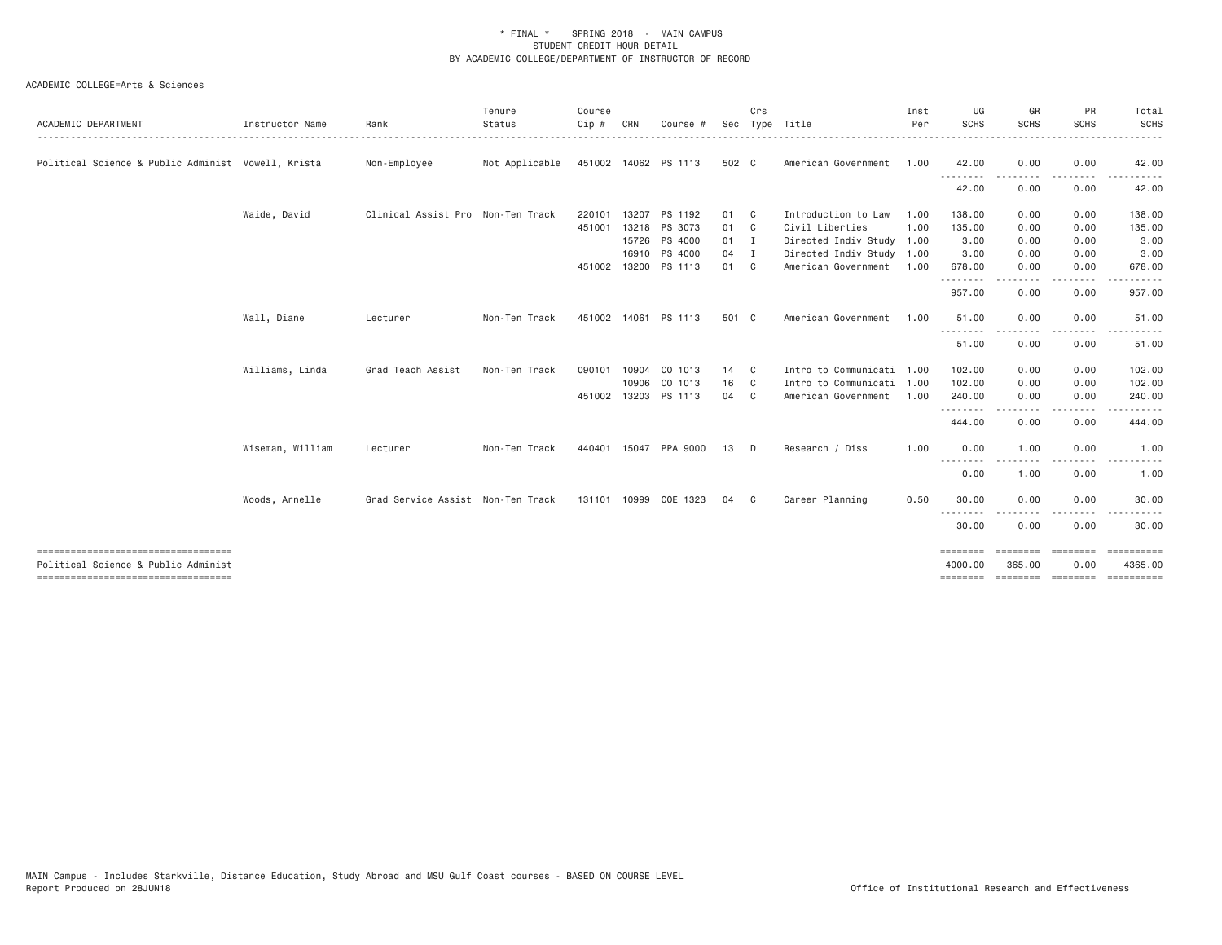| ACADEMIC DEPARTMENT                                | Instructor Name  | Rank                              | Tenure<br>Status | Course<br>$Cip$ # | CRN   | Course #             | Sec    | Crs          | Type Title                | Inst<br>Per | UG<br><b>SCHS</b>               | GR<br><b>SCHS</b>    | PR<br><b>SCHS</b> | Total<br><b>SCHS</b>    |
|----------------------------------------------------|------------------|-----------------------------------|------------------|-------------------|-------|----------------------|--------|--------------|---------------------------|-------------|---------------------------------|----------------------|-------------------|-------------------------|
| Political Science & Public Administ Vowell, Krista |                  | Non-Employee                      | Not Applicable   |                   |       | 451002 14062 PS 1113 | 502 C  |              | American Government       | 1.00        | 42.00                           | 0.00                 | 0.00              | 42.00                   |
|                                                    |                  |                                   |                  |                   |       |                      |        |              |                           |             | --------<br>42.00               | 0.00                 | 0.00              | 42.00                   |
|                                                    | Waide, David     | Clinical Assist Pro Non-Ten Track |                  | 220101            | 13207 | PS 1192              | 01     | $\mathbf{C}$ | Introduction to Law       | 1.00        | 138.00                          | 0.00                 | 0.00              | 138.00                  |
|                                                    |                  |                                   |                  |                   |       | 451001 13218 PS 3073 | 01 C   |              | Civil Liberties           | 1.00        | 135.00                          | 0.00                 | 0.00              | 135.00                  |
|                                                    |                  |                                   |                  |                   |       | 15726 PS 4000        | $01$ I |              | Directed Indiv Study 1.00 |             | 3.00                            | 0.00                 | 0.00              | 3.00                    |
|                                                    |                  |                                   |                  |                   | 16910 | PS 4000              | 04 I   |              | Directed Indiv Study 1.00 |             | 3.00                            | 0.00                 | 0.00              | 3.00                    |
|                                                    |                  |                                   |                  |                   |       | 451002 13200 PS 1113 | 01 C   |              | American Government 1.00  |             | 678.00                          | 0.00                 | 0.00              | 678.00                  |
|                                                    |                  |                                   |                  |                   |       |                      |        |              |                           |             | .<br>957.00                     | -----<br>0.00        | $\cdots$<br>0.00  | $\frac{1}{2}$<br>957.00 |
|                                                    | Wall, Diane      | Lecturer                          | Non-Ten Track    | 451002            | 14061 | PS 1113              | 501 C  |              | American Government       | 1.00        | 51.00                           | 0.00                 | 0.00              | 51.00                   |
|                                                    |                  |                                   |                  |                   |       |                      |        |              |                           |             | --------<br>51.00               | . <u>.</u> .<br>0.00 | 0.00              | 51.00                   |
|                                                    | Williams, Linda  | Grad Teach Assist                 | Non-Ten Track    | 090101            | 10904 | CO 1013              | 14 C   |              | Intro to Communicati 1.00 |             | 102.00                          | 0.00                 | 0.00              | 102.00                  |
|                                                    |                  |                                   |                  |                   | 10906 | CO 1013              | 16     | $\mathbf{C}$ | Intro to Communicati 1.00 |             | 102.00                          | 0.00                 | 0.00              | 102.00                  |
|                                                    |                  |                                   |                  |                   |       | 451002 13203 PS 1113 | 04 C   |              | American Government       | 1.00        | 240.00                          | 0.00                 | 0.00              | 240.00                  |
|                                                    |                  |                                   |                  |                   |       |                      |        |              |                           |             | --------<br>444.00              | ----<br>0.00         | ----<br>0.00      | 444.00                  |
|                                                    | Wiseman, William | Lecturer                          | Non-Ten Track    | 440401            | 15047 | PPA 9000             | 13     | D.           | Research / Diss           | 1.00        | 0.00                            | 1.00                 | 0.00              | 1.00                    |
|                                                    |                  |                                   |                  |                   |       |                      |        |              |                           |             | <u> - - - - - - - -</u><br>0.00 | 1.00                 | 0.00              | 1.00                    |
|                                                    | Woods, Arnelle   | Grad Service Assist Non-Ten Track |                  | 131101 10999      |       | COE 1323             | 04     | $\mathbf{C}$ | Career Planning           | 0.50        | 30.00                           | 0.00                 | 0.00              | 30.00                   |
|                                                    |                  |                                   |                  |                   |       |                      |        |              |                           |             | .<br>30.00                      | 0.00                 | 0.00              | 30.00                   |
| Political Science & Public Administ                |                  |                                   |                  |                   |       |                      |        |              |                           |             | ========<br>4000.00             | ========<br>365,00   | ========<br>0.00  | ==========<br>4365.00   |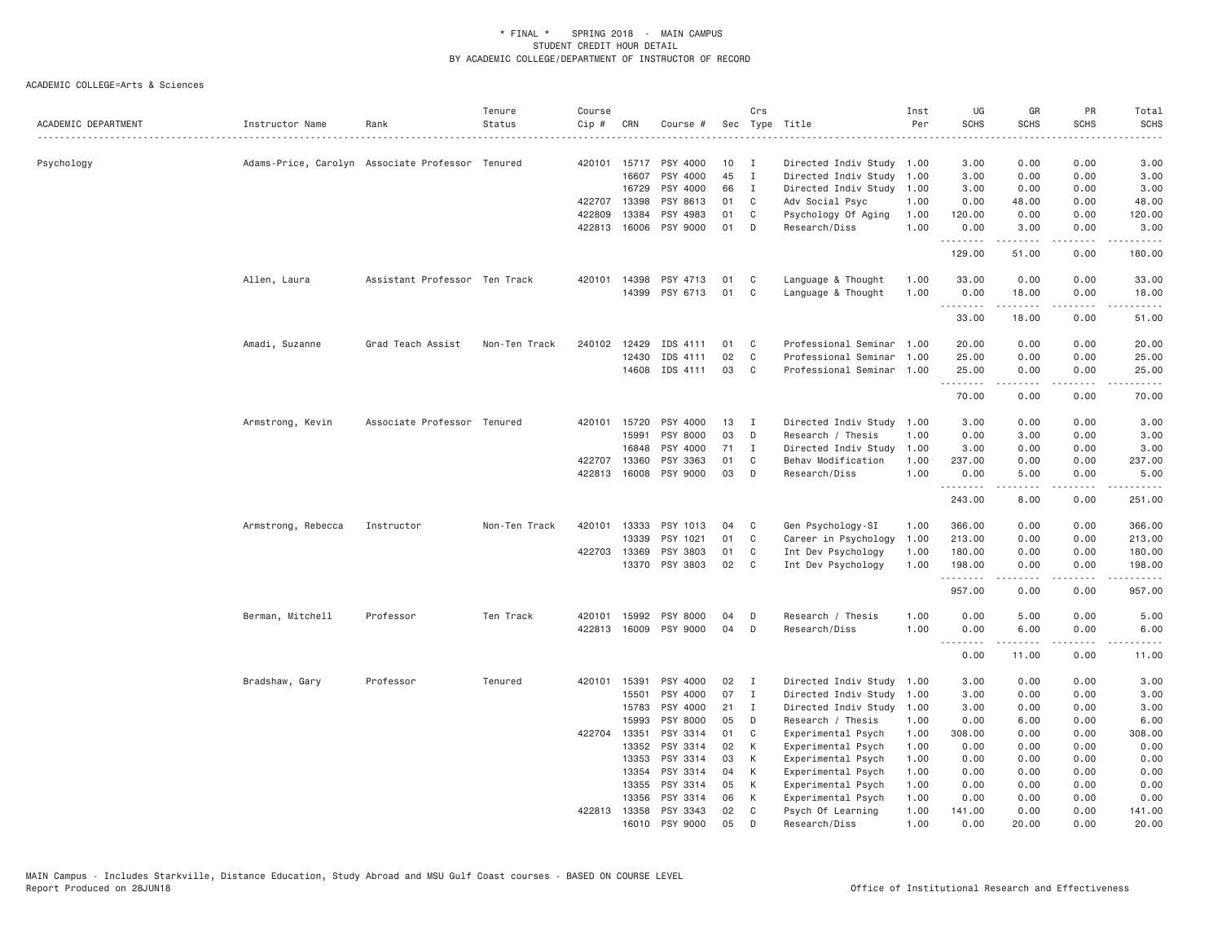| ACADEMIC DEPARTMENT | Instructor Name                                  | Rank                          | Tenure<br>Status | Course<br>Cip # | CRN            | Course #              |          | Crs          | Sec Type Title                           | Inst<br>Per  | UG<br><b>SCHS</b><br>.            | GR<br><b>SCHS</b>                                                                                                                                                                       | PR<br><b>SCHS</b>            | Total<br><b>SCHS</b><br>$\frac{1}{2}$                                                                                                                        |
|---------------------|--------------------------------------------------|-------------------------------|------------------|-----------------|----------------|-----------------------|----------|--------------|------------------------------------------|--------------|-----------------------------------|-----------------------------------------------------------------------------------------------------------------------------------------------------------------------------------------|------------------------------|--------------------------------------------------------------------------------------------------------------------------------------------------------------|
| Psychology          | Adams-Price, Carolyn Associate Professor Tenured |                               |                  |                 | 420101 15717   | PSY 4000              | 10       | Ι            | Directed Indiv Study 1.00                |              | 3.00                              | 0.00                                                                                                                                                                                    | 0.00                         | 3.00                                                                                                                                                         |
|                     |                                                  |                               |                  |                 | 16607          | PSY 4000              | 45       | $\mathbf{I}$ | Directed Indiv Study 1.00                |              | 3.00                              | 0.00                                                                                                                                                                                    | 0.00                         | 3.00                                                                                                                                                         |
|                     |                                                  |                               |                  |                 | 16729          | PSY 4000              | 66       | $\mathbf{I}$ | Directed Indiv Study                     | 1.00         | 3.00                              | 0.00                                                                                                                                                                                    | 0.00                         | 3.00                                                                                                                                                         |
|                     |                                                  |                               |                  | 422707          | 13398          | PSY 8613              | 01       | C            | Adv Social Psyc                          | 1,00         | 0.00                              | 48.00                                                                                                                                                                                   | 0.00                         | 48.00                                                                                                                                                        |
|                     |                                                  |                               |                  | 422809          | 13384          | PSY 4983              | 01       | C            | Psychology Of Aging                      | 1.00         | 120.00                            | 0.00                                                                                                                                                                                    | 0.00                         | 120.00                                                                                                                                                       |
|                     |                                                  |                               |                  |                 | 422813 16006   | PSY 9000              | 01       | D            | Research/Diss                            | 1.00         | 0.00<br>.                         | 3.00<br>$\frac{1}{2} \left( \frac{1}{2} \right) \left( \frac{1}{2} \right) \left( \frac{1}{2} \right) \left( \frac{1}{2} \right) \left( \frac{1}{2} \right) \left( \frac{1}{2} \right)$ | 0.00<br>.                    | 3.00<br>$\frac{1}{2} \left( \frac{1}{2} \right) \left( \frac{1}{2} \right) \left( \frac{1}{2} \right) \left( \frac{1}{2} \right) \left( \frac{1}{2} \right)$ |
|                     |                                                  |                               |                  |                 |                |                       |          |              |                                          |              | 129.00                            | 51.00                                                                                                                                                                                   | 0.00                         | 180.00                                                                                                                                                       |
|                     | Allen, Laura                                     | Assistant Professor Ten Track |                  | 420101          | 14398          | PSY 4713              | 01       | C            | Language & Thought                       | 1.00         | 33.00                             | 0.00                                                                                                                                                                                    | 0.00                         | 33.00                                                                                                                                                        |
|                     |                                                  |                               |                  |                 | 14399          | PSY 6713              | 01       | C            | Language & Thought                       | 1.00         | 0.00<br>.                         | 18.00<br>$\frac{1}{2} \left( \frac{1}{2} \right) \left( \frac{1}{2} \right) \left( \frac{1}{2} \right) \left( \frac{1}{2} \right) \left( \frac{1}{2} \right)$                           | 0.00<br>د د د د              | 18.00<br>.                                                                                                                                                   |
|                     |                                                  |                               |                  |                 |                |                       |          |              |                                          |              | 33.00                             | 18.00                                                                                                                                                                                   | 0.00                         | 51.00                                                                                                                                                        |
|                     | Amadi, Suzanne                                   | Grad Teach Assist             | Non-Ten Track    |                 | 240102 12429   | IDS 4111              | 01       | C.           | Professional Seminar 1.00                |              | 20.00                             | 0.00                                                                                                                                                                                    | 0.00                         | 20.00                                                                                                                                                        |
|                     |                                                  |                               |                  |                 | 12430          | IDS 4111              | 02       | C            | Professional Seminar                     | 1.00         | 25.00                             | 0.00                                                                                                                                                                                    | 0.00                         | 25.00                                                                                                                                                        |
|                     |                                                  |                               |                  |                 | 14608          | IDS 4111              | 03       | C            | Professional Seminar                     | 1.00         | 25.00<br>.                        | 0.00<br><b>.</b> .                                                                                                                                                                      | 0.00<br>.                    | 25.00<br>.                                                                                                                                                   |
|                     |                                                  |                               |                  |                 |                |                       |          |              |                                          |              | 70.00                             | 0.00                                                                                                                                                                                    | 0.00                         | 70.00                                                                                                                                                        |
|                     | Armstrong, Kevin                                 | Associate Professor Tenured   |                  |                 | 420101 15720   | PSY 4000              | 13       | $\mathbf I$  | Directed Indiv Study 1.00                |              | 3.00                              | 0.00                                                                                                                                                                                    | 0.00                         | 3.00                                                                                                                                                         |
|                     |                                                  |                               |                  |                 | 15991          | PSY 8000              | 03       | D            | Research / Thesis                        | 1.00         | 0.00                              | 3.00                                                                                                                                                                                    | 0.00                         | 3.00                                                                                                                                                         |
|                     |                                                  |                               |                  |                 | 16848          | PSY 4000              | 71       | $\mathbf{I}$ | Directed Indiv Study                     | 1.00         | 3.00                              | 0.00                                                                                                                                                                                    | 0.00                         | 3.00                                                                                                                                                         |
|                     |                                                  |                               |                  |                 | 422707 13360   | PSY 3363              | 01       | C            | Behav Modification                       | 1.00         | 237.00                            | 0.00                                                                                                                                                                                    | 0.00                         | 237.00                                                                                                                                                       |
|                     |                                                  |                               |                  |                 | 422813 16008   | PSY 9000              | 03       | D            | Research/Diss                            | 1.00         | 0.00<br>.                         | 5.00<br>.                                                                                                                                                                               | 0.00<br>$\sim$ $\sim$ $\sim$ | 5.00<br>.                                                                                                                                                    |
|                     |                                                  |                               |                  |                 |                |                       |          |              |                                          |              | 243.00                            | 8.00                                                                                                                                                                                    | 0.00                         | 251.00                                                                                                                                                       |
|                     | Armstrong, Rebecca                               | Instructor                    | Non-Ten Track    | 420101          | 13333          | PSY 1013              | 04       | C            | Gen Psychology-SI                        | 1.00         | 366.00                            | 0.00                                                                                                                                                                                    | 0.00                         | 366.00                                                                                                                                                       |
|                     |                                                  |                               |                  |                 | 13339          | PSY 1021              | 01       | C            | Career in Psychology                     | 1.00         | 213.00                            | 0.00                                                                                                                                                                                    | 0.00                         | 213.00                                                                                                                                                       |
|                     |                                                  |                               |                  |                 | 422703 13369   | PSY 3803              | 01       | C            | Int Dev Psychology                       | 1.00         | 180.00                            | 0.00                                                                                                                                                                                    | 0.00                         | 180.00                                                                                                                                                       |
|                     |                                                  |                               |                  |                 | 13370          | PSY 3803              | 02       | C            | Int Dev Psychology                       | 1.00         | 198.00<br>.                       | 0.00<br>-----                                                                                                                                                                           | 0.00<br>المتمامين            | 198.00<br>.                                                                                                                                                  |
|                     |                                                  |                               |                  |                 |                |                       |          |              |                                          |              | 957.00                            | 0.00                                                                                                                                                                                    | 0.00                         | 957.00                                                                                                                                                       |
|                     | Berman, Mitchell                                 | Professor                     | Ten Track        | 420101          | 15992          | PSY 8000              | 04       | D            | Research / Thesis                        | 1.00         | 0.00                              | 5.00                                                                                                                                                                                    | 0.00                         | 5.00                                                                                                                                                         |
|                     |                                                  |                               |                  |                 |                | 422813 16009 PSY 9000 | 04       | D            | Research/Diss                            | 1.00         | 0.00<br>$\sim$ $\sim$ $\sim$<br>. | 6.00<br>$\frac{1}{2} \left( \frac{1}{2} \right) \left( \frac{1}{2} \right) \left( \frac{1}{2} \right) \left( \frac{1}{2} \right) \left( \frac{1}{2} \right) \left( \frac{1}{2} \right)$ | 0.00<br>بالمحام              | 6.00                                                                                                                                                         |
|                     |                                                  |                               |                  |                 |                |                       |          |              |                                          |              | 0.00                              | 11.00                                                                                                                                                                                   | 0.00                         | 11.00                                                                                                                                                        |
|                     | Bradshaw, Gary                                   | Professor                     | Tenured          |                 | 420101 15391   | PSY 4000              | 02       | I            | Directed Indiv Study                     | 1.00         | 3.00                              | 0.00                                                                                                                                                                                    | 0.00                         | 3.00                                                                                                                                                         |
|                     |                                                  |                               |                  |                 | 15501          | PSY 4000              | 07       | $\mathbf{I}$ | Directed Indiv Study 1.00                |              | 3.00                              | 0.00                                                                                                                                                                                    | 0.00                         | 3.00                                                                                                                                                         |
|                     |                                                  |                               |                  |                 | 15783          | PSY 4000              | 21       | $\mathbf{I}$ | Directed Indiv Study                     | 1.00         | 3.00                              | 0.00                                                                                                                                                                                    | 0.00                         | 3.00                                                                                                                                                         |
|                     |                                                  |                               |                  |                 | 15993          | PSY 8000              | 05       | D            | Research / Thesis                        | 1.00         | 0.00                              | 6.00                                                                                                                                                                                    | 0.00                         | 6.00                                                                                                                                                         |
|                     |                                                  |                               |                  |                 | 422704 13351   | PSY 3314              | 01       | C            | Experimental Psych                       | 1.00         | 308.00                            | 0.00                                                                                                                                                                                    | 0.00                         | 308.00                                                                                                                                                       |
|                     |                                                  |                               |                  |                 | 13352          | PSY 3314              | 02       | К            | Experimental Psych                       | 1.00         | 0.00                              | 0.00                                                                                                                                                                                    | 0.00                         | 0.00                                                                                                                                                         |
|                     |                                                  |                               |                  |                 | 13353<br>13354 | PSY 3314<br>PSY 3314  | 03<br>04 | К<br>К       | Experimental Psych<br>Experimental Psych | 1.00<br>1.00 | 0.00<br>0.00                      | 0.00<br>0.00                                                                                                                                                                            | 0.00<br>0.00                 | 0.00<br>0.00                                                                                                                                                 |
|                     |                                                  |                               |                  |                 | 13355          | PSY 3314              | 05       | К            | Experimental Psych                       | 1.00         | 0.00                              | 0.00                                                                                                                                                                                    | 0.00                         | 0.00                                                                                                                                                         |
|                     |                                                  |                               |                  |                 | 13356          | PSY 3314              | 06       | К            | Experimental Psych                       | 1.00         | 0.00                              | 0.00                                                                                                                                                                                    | 0.00                         | 0.00                                                                                                                                                         |
|                     |                                                  |                               |                  |                 | 422813 13358   | PSY 3343              | 02       | C            | Psych Of Learning                        | 1.00         | 141.00                            | 0.00                                                                                                                                                                                    | 0.00                         | 141.00                                                                                                                                                       |
|                     |                                                  |                               |                  |                 | 16010          | PSY 9000              | 05       | D            | Research/Diss                            | 1.00         | 0.00                              | 20,00                                                                                                                                                                                   | 0.00                         | 20,00                                                                                                                                                        |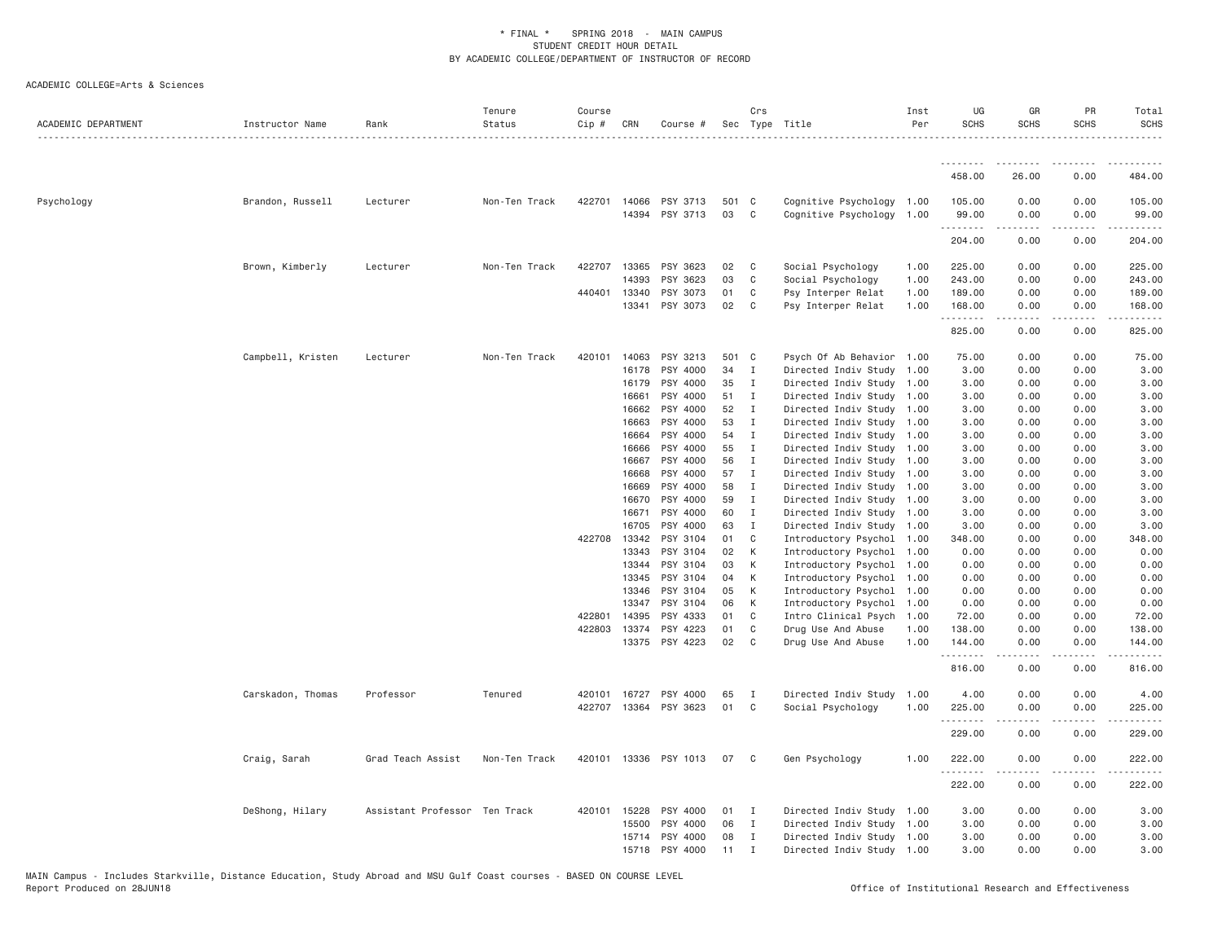| ACADEMIC DEPARTMENT | Instructor Name   | Rank                          | Tenure<br>Status | Course<br>$Cip$ # | CRN            | Course #                   |             | Crs            | Sec Type Title                                         | Inst<br>Per  | UG<br><b>SCHS</b> | GR<br><b>SCHS</b>                                                                                                                 | PR<br><b>SCHS</b> | Total<br><b>SCHS</b> |
|---------------------|-------------------|-------------------------------|------------------|-------------------|----------------|----------------------------|-------------|----------------|--------------------------------------------------------|--------------|-------------------|-----------------------------------------------------------------------------------------------------------------------------------|-------------------|----------------------|
|                     |                   |                               |                  |                   |                |                            |             |                |                                                        |              | .                 |                                                                                                                                   |                   |                      |
|                     |                   |                               |                  |                   |                |                            |             |                |                                                        |              | 458.00            | 26.00                                                                                                                             | 0.00              | 484.00               |
| Psychology          | Brandon, Russell  | Lecturer                      | Non-Ten Track    | 422701            | 14066          | PSY 3713<br>14394 PSY 3713 | 501 C<br>03 | $\mathbf{C}$   | Cognitive Psychology 1.00<br>Cognitive Psychology 1.00 |              | 105.00<br>99.00   | 0.00<br>0.00                                                                                                                      | 0.00<br>0.00      | 105.00<br>99.00      |
|                     |                   |                               |                  |                   |                |                            |             |                |                                                        |              | 204.00            | 0.00                                                                                                                              | 0.00              | 204.00               |
|                     | Brown, Kimberly   | Lecturer                      | Non-Ten Track    | 422707            | 13365          | PSY 3623                   | 02          | $\mathbf{C}$   | Social Psychology                                      | 1.00         | 225.00            | 0.00                                                                                                                              | 0.00              | 225.00               |
|                     |                   |                               |                  |                   | 14393          | PSY 3623                   | 03          | C              | Social Psychology                                      | 1.00         | 243.00            | 0.00                                                                                                                              | 0.00              | 243.00               |
|                     |                   |                               |                  | 440401            | 13340          | PSY 3073                   | 01          | C              | Psy Interper Relat                                     | 1.00         | 189.00            | 0.00                                                                                                                              | 0.00              | 189.00               |
|                     |                   |                               |                  |                   | 13341          | PSY 3073                   | 02          | $\mathbf{C}$   | Psy Interper Relat                                     | 1.00         | 168.00<br>.       | 0.00                                                                                                                              | 0.00              | 168.00               |
|                     |                   |                               |                  |                   |                |                            |             |                |                                                        |              | 825.00            | 0.00                                                                                                                              | 0.00              | 825.00               |
|                     | Campbell, Kristen | Lecturer                      | Non-Ten Track    |                   | 420101 14063   | PSY 3213                   | 501 C       |                | Psych Of Ab Behavior 1.00                              |              | 75.00             | 0.00                                                                                                                              | 0.00              | 75.00                |
|                     |                   |                               |                  |                   | 16178          | PSY 4000                   | 34          | $\mathbf{I}$   | Directed Indiv Study 1.00                              |              | 3.00              | 0.00                                                                                                                              | 0.00              | 3.00                 |
|                     |                   |                               |                  |                   | 16179          | PSY 4000                   | 35          | I              | Directed Indiv Study 1.00                              |              | 3.00              | 0.00                                                                                                                              | 0.00              | 3.00                 |
|                     |                   |                               |                  |                   | 16661          | PSY 4000                   | 51          | Ι.             | Directed Indiv Study 1.00                              |              | 3.00              | 0.00                                                                                                                              | 0.00              | 3.00                 |
|                     |                   |                               |                  |                   | 16662          | PSY 4000                   | 52          | I              | Directed Indiv Study 1.00                              |              | 3.00              | 0.00                                                                                                                              | 0.00              | 3.00                 |
|                     |                   |                               |                  |                   | 16663          | PSY 4000                   | 53          | Ι.             | Directed Indiv Study                                   | 1.00         | 3.00              | 0.00                                                                                                                              | 0.00              | 3.00                 |
|                     |                   |                               |                  |                   | 16664          | PSY 4000                   | 54          | $\mathbf{I}$   | Directed Indiv Study 1.00                              |              | 3.00              | 0.00                                                                                                                              | 0.00              | 3.00                 |
|                     |                   |                               |                  |                   | 16666          | PSY 4000                   | 55          | I              | Directed Indiv Study 1.00                              |              | 3.00              | 0.00                                                                                                                              | 0.00              | 3.00                 |
|                     |                   |                               |                  |                   | 16667          | PSY 4000                   | 56          | $\mathbf{I}$   | Directed Indiv Study 1.00                              |              | 3.00              | 0.00                                                                                                                              | 0.00              | 3.00                 |
|                     |                   |                               |                  |                   | 16668          | PSY 4000                   | 57          | $\mathbf{I}$   | Directed Indiv Study 1.00                              |              | 3.00              | 0.00                                                                                                                              | 0.00              | 3.00                 |
|                     |                   |                               |                  |                   | 16669          | PSY 4000                   | 58          | $\mathbf{I}$   | Directed Indiv Study 1.00                              |              | 3.00              | 0.00                                                                                                                              | 0.00              | 3.00                 |
|                     |                   |                               |                  |                   | 16670          | PSY 4000                   | 59          | I              | Directed Indiv Study 1.00                              |              | 3.00              | 0.00                                                                                                                              | 0.00              | 3.00                 |
|                     |                   |                               |                  |                   | 16671          | PSY 4000                   | 60          | Ι.             | Directed Indiv Study 1.00                              |              | 3.00              | 0.00                                                                                                                              | 0.00              | 3.00                 |
|                     |                   |                               |                  |                   | 16705          | PSY 4000                   | 63          | I              | Directed Indiv Study 1.00                              |              | 3.00              | 0.00                                                                                                                              | 0.00              | 3.00                 |
|                     |                   |                               |                  |                   | 422708 13342   | PSY 3104                   | 01          | C              | Introductory Psychol 1.00                              |              | 348.00            | 0.00                                                                                                                              | 0.00              | 348.00               |
|                     |                   |                               |                  |                   | 13343          | PSY 3104                   | 02          | K              | Introductory Psychol 1.00                              |              | 0.00              | 0.00                                                                                                                              | 0.00              | 0.00                 |
|                     |                   |                               |                  |                   | 13344          | PSY 3104                   | 03          | К              | Introductory Psychol 1.00                              |              | 0.00              | 0.00                                                                                                                              | 0.00              | 0.00                 |
|                     |                   |                               |                  |                   | 13345          | PSY 3104                   | 04          | К              | Introductory Psychol 1.00                              |              | 0.00              | 0.00                                                                                                                              | 0.00              | 0.00                 |
|                     |                   |                               |                  |                   | 13346<br>13347 | PSY 3104<br>PSY 3104       | 05<br>06    | K<br>К         | Introductory Psychol 1.00                              |              | 0.00              | 0.00<br>0.00                                                                                                                      | 0.00              | 0.00<br>0.00         |
|                     |                   |                               |                  | 422801            | 14395          | PSY 4333                   | 01          | C              | Introductory Psychol<br>Intro Clinical Psych           | 1.00<br>1.00 | 0.00<br>72.00     | 0.00                                                                                                                              | 0.00<br>0.00      | 72.00                |
|                     |                   |                               |                  | 422803            | 13374          | PSY 4223                   | 01          | C              | Drug Use And Abuse                                     | 1.00         | 138.00            | 0.00                                                                                                                              | 0.00              | 138.00               |
|                     |                   |                               |                  |                   | 13375          | PSY 4223                   | 02          | C <sub>1</sub> | Drug Use And Abuse                                     | 1.00         | 144.00            | 0.00                                                                                                                              | 0.00              | 144.00               |
|                     |                   |                               |                  |                   |                |                            |             |                |                                                        |              | .<br>816.00       | $\frac{1}{2} \left( \frac{1}{2} \right) \left( \frac{1}{2} \right) \left( \frac{1}{2} \right) \left( \frac{1}{2} \right)$<br>0.00 | .<br>0.00         | .<br>816.00          |
|                     | Carskadon, Thomas | Professor                     | Tenured          | 420101            | 16727          | PSY 4000                   | 65          | I              | Directed Indiv Study                                   | 1.00         | 4.00              | 0.00                                                                                                                              | 0.00              | 4.00                 |
|                     |                   |                               |                  | 422707            |                | 13364 PSY 3623             | 01          | C              | Social Psychology                                      | 1.00         | 225.00<br>.       | 0.00                                                                                                                              | 0.00              | 225.00<br>.          |
|                     |                   |                               |                  |                   |                |                            |             |                |                                                        |              | 229.00            | 0.00                                                                                                                              | 0.00              | 229.00               |
|                     | Craig, Sarah      | Grad Teach Assist             | Non-Ten Track    |                   |                | 420101 13336 PSY 1013      | 07          | $\mathbf{C}$   | Gen Psychology                                         | 1.00         | 222.00<br>.       | 0.00<br>$\frac{1}{2} \left( \frac{1}{2} \right) \left( \frac{1}{2} \right) \left( \frac{1}{2} \right) \left( \frac{1}{2} \right)$ | 0.00<br>.         | 222.00<br>------     |
|                     |                   |                               |                  |                   |                |                            |             |                |                                                        |              | 222.00            | 0.00                                                                                                                              | 0.00              | 222.00               |
|                     | DeShong, Hilary   | Assistant Professor Ten Track |                  |                   | 420101 15228   | PSY 4000                   | 01          | I              | Directed Indiv Study 1.00                              |              | 3.00              | 0.00                                                                                                                              | 0.00              | 3.00                 |
|                     |                   |                               |                  |                   | 15500          | PSY 4000                   | 06          | $\mathbf{I}$   | Directed Indiv Study 1.00                              |              | 3.00              | 0.00                                                                                                                              | 0.00              | 3.00                 |
|                     |                   |                               |                  |                   | 15714          | PSY 4000                   | 08          | Ι.             | Directed Indiv Study 1.00                              |              | 3.00              | 0.00                                                                                                                              | 0.00              | 3.00                 |
|                     |                   |                               |                  |                   | 15718          | PSY 4000                   | 11          | $\mathsf{T}$   | Directed Indiv Study 1.00                              |              | 3.00              | 0.00                                                                                                                              | 0.00              | 3.00                 |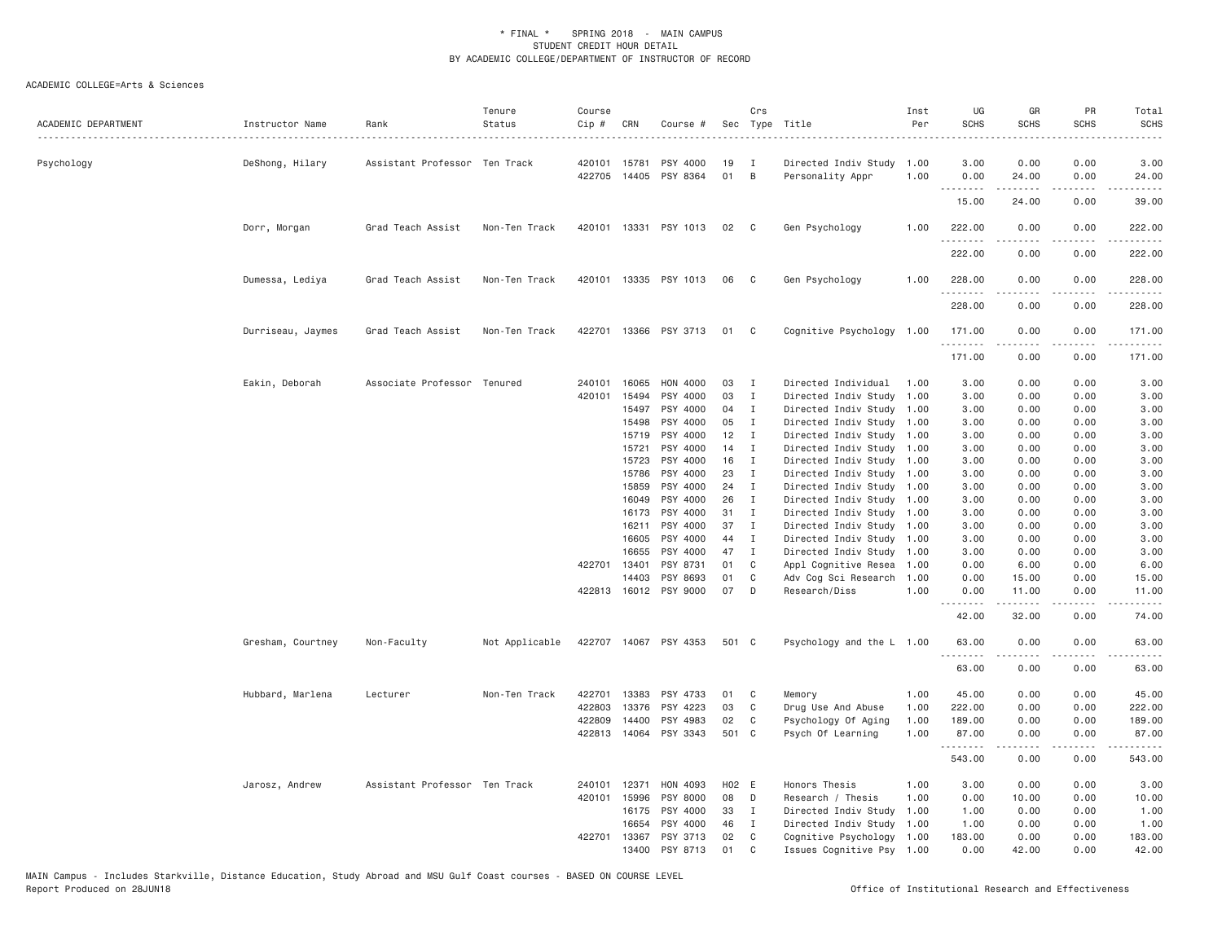| ACADEMIC DEPARTMENT | Instructor Name   | Rank                          | Tenure<br>Status | Course<br>Cip # | CRN          | Course #              |       | Crs            | Sec Type Title            | Inst<br>Per | UG<br><b>SCHS</b>  | GR<br><b>SCHS</b>                                                                                                                                            | PR<br><b>SCHS</b>                   | Total<br><b>SCHS</b>   |
|---------------------|-------------------|-------------------------------|------------------|-----------------|--------------|-----------------------|-------|----------------|---------------------------|-------------|--------------------|--------------------------------------------------------------------------------------------------------------------------------------------------------------|-------------------------------------|------------------------|
| Psychology          | DeShong, Hilary   | Assistant Professor Ten Track |                  | 420101          | 15781        | PSY 4000              | 19    | I              | Directed Indiv Study      | 1.00        | 3.00               | 0.00                                                                                                                                                         | 0.00                                | 3.00                   |
|                     |                   |                               |                  |                 |              | 422705 14405 PSY 8364 | 01    | $\overline{B}$ | Personality Appr          | 1.00        | 0.00<br>.          | 24.00<br>.                                                                                                                                                   | 0.00<br>.                           | 24.00<br>.             |
|                     |                   |                               |                  |                 |              |                       |       |                |                           |             | 15.00              | 24.00                                                                                                                                                        | 0.00                                | 39.00                  |
|                     | Dorr, Morgan      | Grad Teach Assist             | Non-Ten Track    | 420101          |              | 13331 PSY 1013        | 02    | $\mathbf{C}$   | Gen Psychology            | 1.00        | 222.00<br>.        | 0.00<br>$\frac{1}{2} \left( \frac{1}{2} \right) \left( \frac{1}{2} \right) \left( \frac{1}{2} \right) \left( \frac{1}{2} \right) \left( \frac{1}{2} \right)$ | 0.00<br>.                           | 222.00                 |
|                     |                   |                               |                  |                 |              |                       |       |                |                           |             | 222.00             | 0.00                                                                                                                                                         | 0.00                                | 222.00                 |
|                     | Dumessa, Lediya   | Grad Teach Assist             | Non-Ten Track    |                 |              | 420101 13335 PSY 1013 | 06    | $\mathbf{C}$   | Gen Psychology            | 1.00        | 228.00<br><u>.</u> | 0.00<br>.                                                                                                                                                    | 0.00<br>$\sim$ $\sim$ $\sim$ $\sim$ | 228.00                 |
|                     |                   |                               |                  |                 |              |                       |       |                |                           |             | 228.00             | 0.00                                                                                                                                                         | 0.00                                | 228.00                 |
|                     | Durriseau, Jaymes | Grad Teach Assist             | Non-Ten Track    | 422701          |              | 13366 PSY 3713        | 01    | $\mathbf{C}$   | Cognitive Psychology 1.00 |             | 171,00<br>.        | 0.00                                                                                                                                                         | 0.00                                | 171.00                 |
|                     |                   |                               |                  |                 |              |                       |       |                |                           |             | 171.00             | 0.00                                                                                                                                                         | 0.00                                | 171.00                 |
|                     | Eakin, Deborah    | Associate Professor Tenured   |                  | 240101          | 16065        | HON 4000              | 03    | I              | Directed Individual       | 1.00        | 3.00               | 0.00                                                                                                                                                         | 0.00                                | 3.00                   |
|                     |                   |                               |                  | 420101          | 15494        | PSY 4000              | 03    | $\mathbf I$    | Directed Indiv Study      | 1.00        | 3.00               | 0.00                                                                                                                                                         | 0.00                                | 3.00                   |
|                     |                   |                               |                  |                 | 15497        | PSY 4000              | 04    | $\mathbf I$    | Directed Indiv Study 1.00 |             | 3.00               | 0.00                                                                                                                                                         | 0.00                                | 3.00                   |
|                     |                   |                               |                  |                 | 15498        | PSY 4000              | 05    | $\mathbf{I}$   | Directed Indiv Study 1.00 |             | 3.00               | 0.00                                                                                                                                                         | 0.00                                | 3.00                   |
|                     |                   |                               |                  |                 | 15719        | PSY 4000              | 12    | $\mathbf{I}$   | Directed Indiv Study 1.00 |             | 3.00               | 0.00                                                                                                                                                         | 0.00                                | 3.00                   |
|                     |                   |                               |                  |                 | 15721        | PSY 4000              | 14    | $\mathbf{I}$   | Directed Indiv Study 1.00 |             | 3.00               | 0.00                                                                                                                                                         | 0.00                                | 3.00                   |
|                     |                   |                               |                  |                 | 15723        | PSY 4000              | 16    | $\blacksquare$ | Directed Indiv Study 1.00 |             | 3.00               | 0.00                                                                                                                                                         | 0.00                                | 3.00                   |
|                     |                   |                               |                  |                 | 15786        | PSY 4000              | 23    | I              | Directed Indiv Study 1.00 |             | 3.00               | 0.00                                                                                                                                                         | 0.00                                | 3.00                   |
|                     |                   |                               |                  |                 | 15859        | PSY 4000              | 24    | I              | Directed Indiv Study 1.00 |             | 3.00               | 0.00                                                                                                                                                         | 0.00                                | 3.00                   |
|                     |                   |                               |                  |                 | 16049        | PSY 4000              | 26    | $\mathbf{I}$   | Directed Indiv Study 1.00 |             | 3.00               | 0.00                                                                                                                                                         | 0.00                                | 3.00                   |
|                     |                   |                               |                  |                 | 16173        | PSY 4000              | 31    | $\mathbf{I}$   | Directed Indiv Study 1.00 |             | 3.00               | 0.00                                                                                                                                                         | 0.00                                | 3.00                   |
|                     |                   |                               |                  |                 | 16211        | PSY 4000              | 37    | $\mathbf I$    | Directed Indiv Study 1.00 |             | 3.00               | 0.00                                                                                                                                                         | 0.00                                | 3.00                   |
|                     |                   |                               |                  |                 | 16605        | PSY 4000              | 44    | $\mathbf{I}$   | Directed Indiv Study 1.00 |             | 3.00               | 0.00                                                                                                                                                         | 0.00                                | 3.00                   |
|                     |                   |                               |                  |                 | 16655        | PSY 4000              | 47    | $\mathbf{I}$   | Directed Indiv Study 1.00 |             | 3.00               | 0.00                                                                                                                                                         | 0.00                                | 3.00                   |
|                     |                   |                               |                  | 422701          | 13401        | PSY 8731              | 01    | C              | Appl Cognitive Resea 1.00 |             | 0.00               | 6.00                                                                                                                                                         | 0.00                                | 6.00                   |
|                     |                   |                               |                  |                 | 14403        | PSY 8693              | 01    | C              | Adv Cog Sci Research 1.00 |             | 0.00               | 15.00                                                                                                                                                        | 0.00                                | 15.00                  |
|                     |                   |                               |                  |                 |              | 422813 16012 PSY 9000 | 07    | D              | Research/Diss             | 1.00        | 0.00               | 11.00                                                                                                                                                        | 0.00                                | 11.00                  |
|                     |                   |                               |                  |                 |              |                       |       |                |                           |             | .<br>42.00         | المتمامين<br>32.00                                                                                                                                           | .<br>0.00                           | .<br>74.00             |
|                     | Gresham, Courtney | Non-Faculty                   | Not Applicable   |                 |              | 422707 14067 PSY 4353 | 501 C |                | Psychology and the L 1.00 |             | 63.00<br>.         | 0.00                                                                                                                                                         | 0.00                                | 63.00                  |
|                     |                   |                               |                  |                 |              |                       |       |                |                           |             | 63.00              | 0.00                                                                                                                                                         | 0.00                                | 63.00                  |
|                     | Hubbard, Marlena  | Lecturer                      | Non-Ten Track    | 422701          | 13383        | PSY 4733              | 01    | $\mathbf{C}$   | Memory                    | 1.00        | 45.00              | 0.00                                                                                                                                                         | 0.00                                | 45.00                  |
|                     |                   |                               |                  | 422803          | 13376        | PSY 4223              | 03    | C              | Drug Use And Abuse        | 1.00        | 222.00             | 0.00                                                                                                                                                         | 0.00                                | 222.00                 |
|                     |                   |                               |                  | 422809          | 14400        | PSY 4983              | 02    | C              | Psychology Of Aging       | 1.00        | 189.00             | 0.00                                                                                                                                                         | 0.00                                | 189.00                 |
|                     |                   |                               |                  |                 | 422813 14064 | PSY 3343              | 501 C |                | Psych Of Learning         | 1.00        | 87.00<br>.         | 0.00<br>$\frac{1}{2} \left( \frac{1}{2} \right) \left( \frac{1}{2} \right) \left( \frac{1}{2} \right) \left( \frac{1}{2} \right) \left( \frac{1}{2} \right)$ | 0.00<br>.                           | 87.00<br>$- - - - - -$ |
|                     |                   |                               |                  |                 |              |                       |       |                |                           |             | 543.00             | 0.00                                                                                                                                                         | 0.00                                | 543.00                 |
|                     | Jarosz, Andrew    | Assistant Professor Ten Track |                  | 240101          | 12371        | HON 4093              | H02 E |                | Honors Thesis             | 1.00        | 3.00               | 0.00                                                                                                                                                         | 0.00                                | 3.00                   |
|                     |                   |                               |                  |                 | 420101 15996 | PSY 8000              | 08    | D              | Research / Thesis         | 1.00        | 0.00               | 10.00                                                                                                                                                        | 0.00                                | 10.00                  |
|                     |                   |                               |                  |                 | 16175        | PSY 4000              | 33    | $\blacksquare$ | Directed Indiv Study      | 1.00        | 1.00               | 0.00                                                                                                                                                         | 0.00                                | 1.00                   |
|                     |                   |                               |                  |                 | 16654        | PSY 4000              | 46    | I              | Directed Indiv Study      | 1.00        | 1.00               | 0.00                                                                                                                                                         | 0.00                                | 1.00                   |
|                     |                   |                               |                  | 422701          | 13367        | PSY 3713              | 02    | C              | Cognitive Psychology 1.00 |             | 183.00             | 0.00                                                                                                                                                         | 0.00                                | 183.00                 |
|                     |                   |                               |                  |                 | 13400        | PSY 8713              | 01    | C              | Issues Cognitive Psy 1.00 |             | 0.00               | 42.00                                                                                                                                                        | 0.00                                | 42.00                  |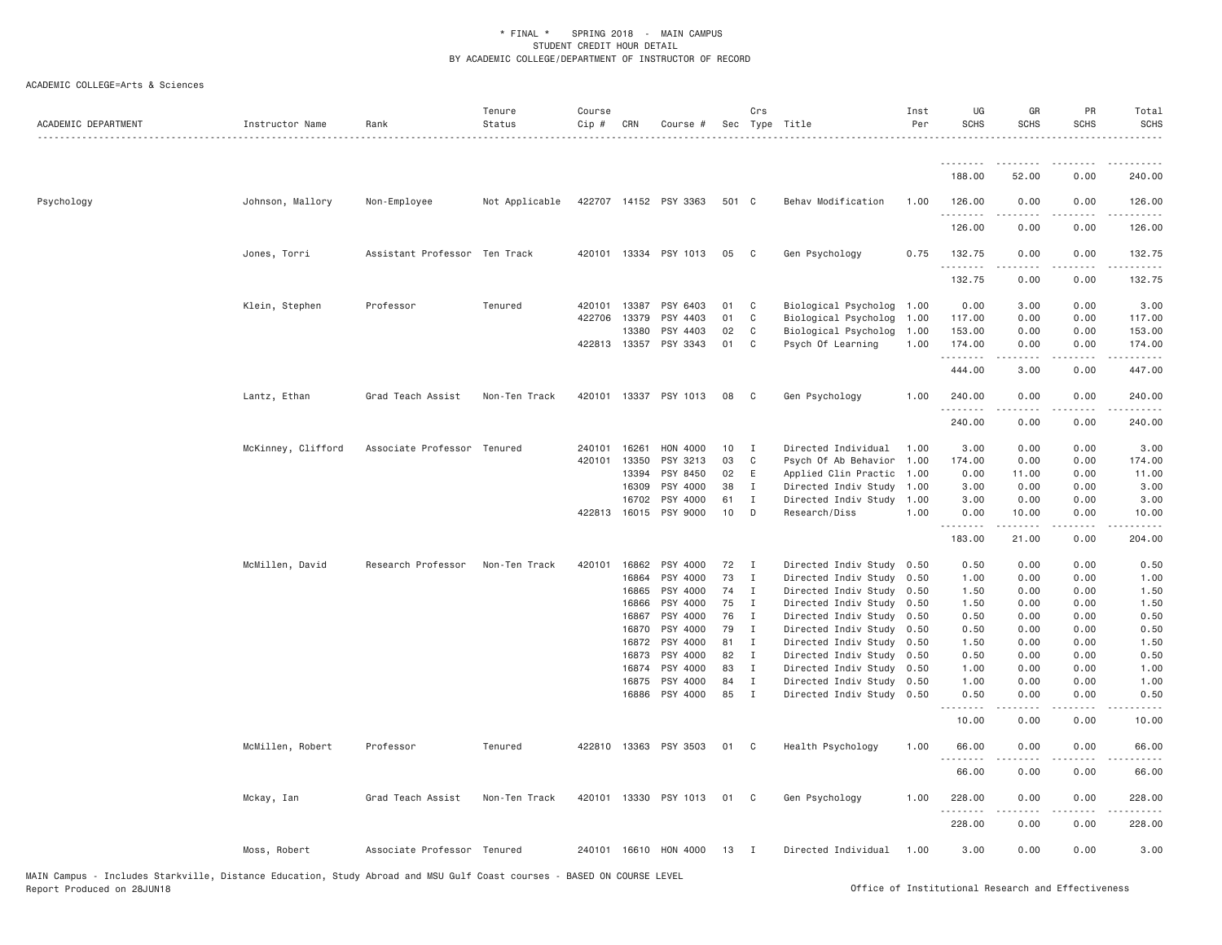| ACADEMIC DEPARTMENT | Instructor Name    | Rank                          | Tenure<br>Status | Course<br>$Cip$ # | CRN            | Course #              |          | Crs                         | Sec Type Title                                         | Inst<br>Per | UG<br><b>SCHS</b>  | GR<br><b>SCHS</b> | PR<br><b>SCHS</b> | Total<br><b>SCHS</b> |
|---------------------|--------------------|-------------------------------|------------------|-------------------|----------------|-----------------------|----------|-----------------------------|--------------------------------------------------------|-------------|--------------------|-------------------|-------------------|----------------------|
|                     |                    |                               |                  |                   |                |                       |          |                             |                                                        |             | <u>.</u>           | .                 | .                 | <u>.</u>             |
|                     |                    |                               |                  |                   |                |                       |          |                             |                                                        |             | 188.00             | 52.00             | 0.00              | 240.00               |
| Psychology          | Johnson, Mallory   | Non-Employee                  | Not Applicable   |                   |                | 422707 14152 PSY 3363 | 501 C    |                             | Behav Modification                                     | 1.00        | 126.00<br>.        | 0.00              | 0.00              | 126.00               |
|                     |                    |                               |                  |                   |                |                       |          |                             |                                                        |             | 126.00             | 0.00              | 0.00              | 126.00               |
|                     | Jones, Torri       | Assistant Professor Ten Track |                  |                   |                | 420101 13334 PSY 1013 | 05       | $\mathbf{C}$                | Gen Psychology                                         | 0.75        | 132.75<br>.        | 0.00              | 0.00              | 132.75               |
|                     |                    |                               |                  |                   |                |                       |          |                             |                                                        |             | 132.75             | 0.00              | 0.00              | 132.75               |
|                     | Klein, Stephen     | Professor                     | Tenured          | 420101 13387      |                | PSY 6403              | 01       | $\mathbf{C}$                | Biological Psycholog 1.00                              |             | 0.00               | 3.00              | 0.00              | 3.00                 |
|                     |                    |                               |                  | 422706            | 13379          | PSY 4403              | 01       | C                           | Biological Psycholog                                   | 1.00        | 117.00             | 0.00              | 0.00              | 117.00               |
|                     |                    |                               |                  |                   | 13380          | PSY 4403              | 02       | C <sub>1</sub>              | Biological Psycholog                                   | 1.00        | 153.00             | 0.00              | 0.00              | 153.00               |
|                     |                    |                               |                  | 422813 13357      |                | PSY 3343              | 01       | $\mathbf{C}$                | Psych Of Learning                                      | 1.00        | 174.00<br>.        | 0.00<br>.         | 0.00<br>.         | 174.00<br><b>.</b>   |
|                     |                    |                               |                  |                   |                |                       |          |                             |                                                        |             | 444.00             | 3.00              | 0.00              | 447.00               |
|                     | Lantz, Ethan       | Grad Teach Assist             | Non-Ten Track    | 420101            | 13337          | PSY 1013              | 08       | $\mathbf{C}$                | Gen Psychology                                         | 1.00        | 240.00<br>.        | 0.00<br>.         | 0.00<br>.         | 240.00<br>.          |
|                     |                    |                               |                  |                   |                |                       |          |                             |                                                        |             | 240.00             | 0.00              | 0.00              | 240.00               |
|                     | McKinney, Clifford | Associate Professor Tenured   |                  | 240101            | 16261          | HON 4000              | 10       | I                           | Directed Individual                                    | 1.00        | 3.00               | 0.00              | 0.00              | 3.00                 |
|                     |                    |                               |                  | 420101            | 13350          | PSY 3213              | 03       | C.                          | Psych Of Ab Behavior 1.00                              |             | 174.00             | 0.00              | 0.00              | 174.00               |
|                     |                    |                               |                  |                   | 13394          | PSY 8450              | 02       | E                           | Applied Clin Practic 1.00                              |             | 0.00               | 11.00             | 0.00              | 11.00                |
|                     |                    |                               |                  |                   | 16309          | PSY 4000              | 38       | $\mathbf{I}$                | Directed Indiv Study 1.00                              |             | 3.00               | 0.00              | 0.00              | 3.00                 |
|                     |                    |                               |                  |                   | 16702          | PSY 4000              | 61       | $\mathbf{I}$                | Directed Indiv Study                                   | 1.00        | 3.00               | 0.00              | 0.00              | 3.00                 |
|                     |                    |                               |                  | 422813 16015      |                | PSY 9000              | 10       | D                           | Research/Diss                                          | 1.00        | 0.00<br>.          | 10.00             | 0.00              | 10.00                |
|                     |                    |                               |                  |                   |                |                       |          |                             |                                                        |             | 183.00             | 21.00             | 0.00              | 204.00               |
|                     | McMillen, David    | Research Professor            | Non-Ten Track    | 420101            | 16862          | PSY 4000              | 72       | $\mathbf{I}$                | Directed Indiv Study 0.50                              |             | 0.50               | 0.00              | 0.00              | 0.50                 |
|                     |                    |                               |                  |                   | 16864          | PSY 4000              | 73       | $\mathbf{I}$                | Directed Indiv Study 0.50                              |             | 1.00               | 0.00              | 0.00              | 1.00                 |
|                     |                    |                               |                  |                   | 16865          | PSY 4000              | 74       | $\mathbf{I}$                | Directed Indiv Study 0.50                              |             | 1.50               | 0.00              | 0.00              | 1.50                 |
|                     |                    |                               |                  |                   | 16866          | PSY 4000              | 75       | I                           | Directed Indiv Study 0.50                              |             | 1.50               | 0.00              | 0.00              | 1.50                 |
|                     |                    |                               |                  |                   | 16867          | PSY 4000              | 76       | $\mathbf{I}$                | Directed Indiv Study 0.50                              |             | 0.50               | 0.00              | 0.00              | 0.50                 |
|                     |                    |                               |                  |                   | 16870          | PSY 4000              | 79       | $\mathbf{I}$                | Directed Indiv Study 0.50                              |             | 0.50               | 0.00              | 0.00              | 0.50                 |
|                     |                    |                               |                  |                   | 16872          | PSY 4000              | 81       | $\mathbf{I}$                | Directed Indiv Study                                   | 0.50        | 1.50               | 0.00              | 0.00              | 1.50                 |
|                     |                    |                               |                  |                   | 16873          | PSY 4000              | 82       | $\blacksquare$              | Directed Indiv Study 0.50                              |             | 0.50               | 0.00              | 0.00              | 0.50                 |
|                     |                    |                               |                  |                   | 16874          | PSY 4000              | 83       | $\mathbf{I}$                | Directed Indiv Study                                   | 0.50        | 1.00               | 0.00              | 0.00              | 1.00                 |
|                     |                    |                               |                  |                   | 16875<br>16886 | PSY 4000<br>PSY 4000  | 84<br>85 | $\mathbf I$<br>$\mathbf{I}$ | Directed Indiv Study 0.50<br>Directed Indiv Study 0.50 |             | 1.00<br>0.50       | 0.00<br>0.00      | 0.00<br>0.00      | 1.00<br>0.50         |
|                     |                    |                               |                  |                   |                |                       |          |                             |                                                        |             | $- - - -$<br>10.00 | 0.00              | 0.00              | 10.00                |
|                     | McMillen, Robert   | Professor                     | Tenured          |                   |                | 422810 13363 PSY 3503 | 01 C     |                             | Health Psychology                                      | 1.00        | 66.00              | 0.00              | 0.00              | 66.00                |
|                     |                    |                               |                  |                   |                |                       |          |                             |                                                        |             | 66.00              | 0.00              | 0.00              | 66.00                |
|                     | Mckay, Ian         | Grad Teach Assist             | Non-Ten Track    | 420101            | 13330          | PSY 1013              | 01       | $\mathbf{C}$                | Gen Psychology                                         | 1.00        | 228.00             | 0.00              | 0.00              | 228.00               |
|                     |                    |                               |                  |                   |                |                       |          |                             |                                                        |             | 228.00             | 0.00              | 0.00              | 228.00               |
|                     | Moss, Robert       | Associate Professor Tenured   |                  |                   |                | 240101 16610 HON 4000 | 13       | $\mathbf{I}$                | Directed Individual                                    | 1.00        | 3.00               | 0.00              | 0.00              | 3.00                 |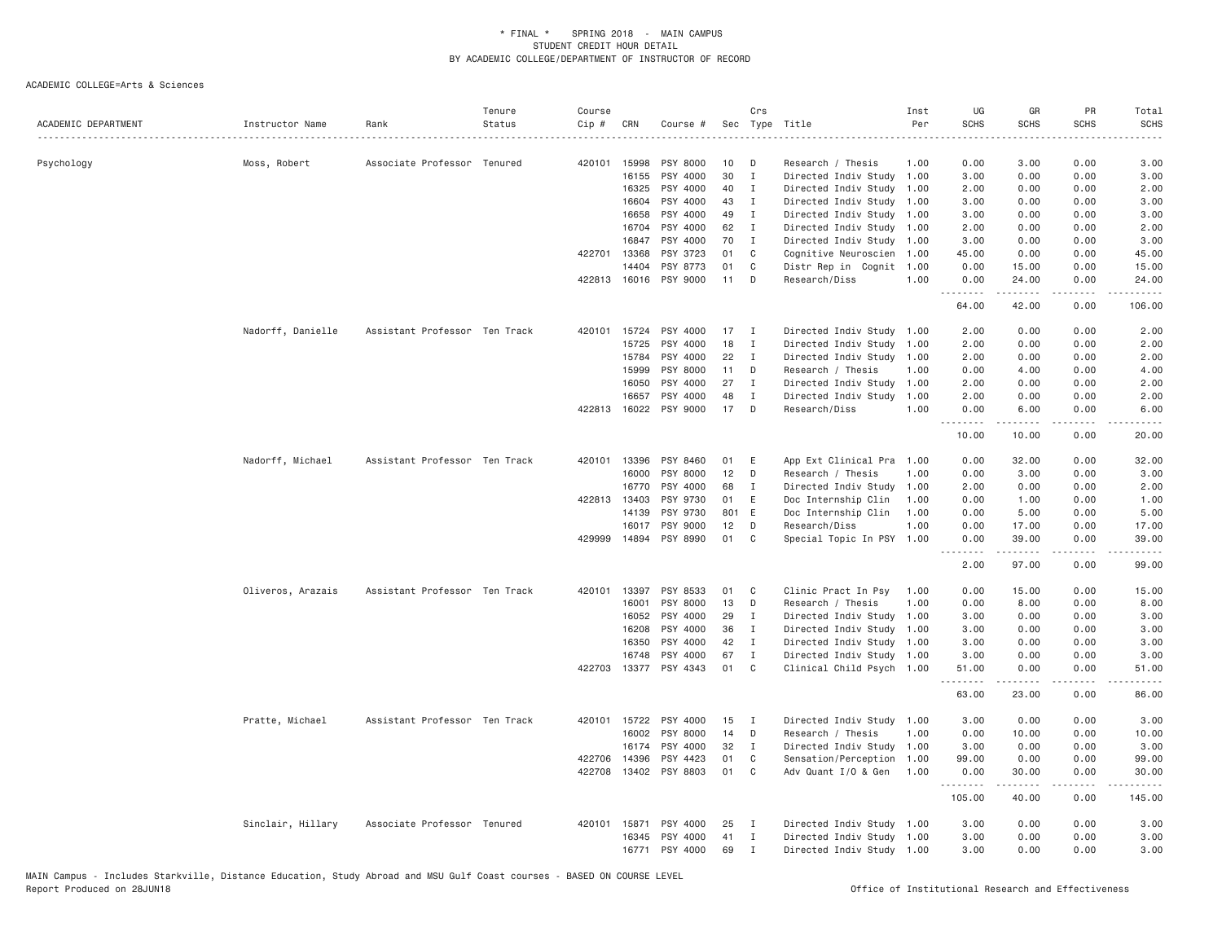| ACADEMIC DEPARTMENT | Instructor Name   | Rank                          | Tenure<br>Status | Course<br>Cip # | CRN          | Course #              |       | Crs            | Sec Type Title            | Inst<br>Per | UG<br><b>SCHS</b> | GR<br><b>SCHS</b>                                                                                                                                                                        | PR<br><b>SCHS</b>            | Total<br><b>SCHS</b><br>.                                                                                                                                    |
|---------------------|-------------------|-------------------------------|------------------|-----------------|--------------|-----------------------|-------|----------------|---------------------------|-------------|-------------------|------------------------------------------------------------------------------------------------------------------------------------------------------------------------------------------|------------------------------|--------------------------------------------------------------------------------------------------------------------------------------------------------------|
| Psychology          | Moss, Robert      | Associate Professor Tenured   |                  | 420101          | 15998        | PSY 8000              | 10    | D              | Research / Thesis         | 1.00        | 0.00              | 3.00                                                                                                                                                                                     | 0.00                         | 3.00                                                                                                                                                         |
|                     |                   |                               |                  |                 | 16155        | PSY 4000              | 30    | $\mathbf I$    | Directed Indiv Study      | 1.00        | 3.00              | 0.00                                                                                                                                                                                     | 0.00                         | 3.00                                                                                                                                                         |
|                     |                   |                               |                  |                 | 16325        | PSY 4000              | 40    | Ι.             | Directed Indiv Study      | 1.00        | 2.00              | 0.00                                                                                                                                                                                     | 0.00                         | 2.00                                                                                                                                                         |
|                     |                   |                               |                  |                 | 16604        | PSY 4000              | 43    | Ι.             | Directed Indiv Study      | 1.00        | 3.00              | 0.00                                                                                                                                                                                     | 0.00                         | 3.00                                                                                                                                                         |
|                     |                   |                               |                  |                 | 16658        | PSY 4000              | 49    | Ι.             | Directed Indiv Study 1.00 |             | 3.00              | 0.00                                                                                                                                                                                     | 0.00                         | 3.00                                                                                                                                                         |
|                     |                   |                               |                  |                 | 16704        | PSY 4000              | 62    | Ι.             | Directed Indiv Study 1.00 |             | 2.00              | 0.00                                                                                                                                                                                     | 0.00                         | 2.00                                                                                                                                                         |
|                     |                   |                               |                  |                 | 16847        | PSY 4000              | 70    | $\mathbf{I}$   | Directed Indiv Study 1.00 |             | 3.00              | 0.00                                                                                                                                                                                     | 0.00                         | 3.00                                                                                                                                                         |
|                     |                   |                               |                  | 422701          | 13368        | PSY 3723              | 01    | C              | Cognitive Neuroscien 1.00 |             | 45.00             | 0.00                                                                                                                                                                                     | 0.00                         | 45.00                                                                                                                                                        |
|                     |                   |                               |                  |                 | 14404        | PSY 8773              | 01    | C              | Distr Rep in Cognit 1.00  |             | 0.00              | 15.00                                                                                                                                                                                    | 0.00                         | 15.00                                                                                                                                                        |
|                     |                   |                               |                  | 422813          |              | 16016 PSY 9000        | 11    | D              | Research/Diss             | 1.00        | 0.00<br>.         | 24.00<br>$\frac{1}{2} \left( \frac{1}{2} \right) \left( \frac{1}{2} \right) \left( \frac{1}{2} \right) \left( \frac{1}{2} \right) \left( \frac{1}{2} \right)$                            | 0.00<br>د د د د              | 24.00<br>.                                                                                                                                                   |
|                     |                   |                               |                  |                 |              |                       |       |                |                           |             | 64.00             | 42.00                                                                                                                                                                                    | 0.00                         | 106.00                                                                                                                                                       |
|                     | Nadorff, Danielle | Assistant Professor Ten Track |                  | 420101          | 15724        | PSY 4000              | 17    | I              | Directed Indiv Study      | 1.00        | 2.00              | 0.00                                                                                                                                                                                     | 0.00                         | 2.00                                                                                                                                                         |
|                     |                   |                               |                  |                 | 15725        | PSY 4000              | 18    | Ι.             | Directed Indiv Study      | 1.00        | 2.00              | 0.00                                                                                                                                                                                     | 0.00                         | 2.00                                                                                                                                                         |
|                     |                   |                               |                  |                 | 15784        | PSY 4000              | 22    | Ι.             | Directed Indiv Study      | 1.00        | 2.00              | 0.00                                                                                                                                                                                     | 0.00                         | 2.00                                                                                                                                                         |
|                     |                   |                               |                  |                 | 15999        | PSY 8000              | 11    | D              | Research / Thesis         | 1.00        | 0.00              | 4.00                                                                                                                                                                                     | 0.00                         | 4.00                                                                                                                                                         |
|                     |                   |                               |                  |                 | 16050        | PSY 4000              | 27    | I              | Directed Indiv Study      | 1.00        | 2.00              | 0.00                                                                                                                                                                                     | 0.00                         | 2.00                                                                                                                                                         |
|                     |                   |                               |                  |                 | 16657        | PSY 4000              | 48    | $\mathbf I$    | Directed Indiv Study      | 1.00        | 2.00              | 0.00                                                                                                                                                                                     | 0.00                         | 2.00                                                                                                                                                         |
|                     |                   |                               |                  |                 |              | 422813 16022 PSY 9000 | 17    | D              | Research/Diss             | 1.00        | 0.00<br>.         | 6.00<br>$\begin{array}{cccccccccccccc} \bullet & \bullet & \bullet & \bullet & \bullet & \bullet & \bullet \end{array}$                                                                  | 0.00<br>.                    | 6.00<br>$\frac{1}{2} \left( \frac{1}{2} \right) \left( \frac{1}{2} \right) \left( \frac{1}{2} \right) \left( \frac{1}{2} \right) \left( \frac{1}{2} \right)$ |
|                     |                   |                               |                  |                 |              |                       |       |                |                           |             | 10.00             | 10.00                                                                                                                                                                                    | 0.00                         | 20.00                                                                                                                                                        |
|                     | Nadorff, Michael  | Assistant Professor Ten Track |                  | 420101          | 13396        | PSY 8460              | 01    | E              | App Ext Clinical Pra      | 1.00        | 0.00              | 32.00                                                                                                                                                                                    | 0.00                         | 32.00                                                                                                                                                        |
|                     |                   |                               |                  |                 | 16000        | PSY 8000              | 12    | D              | Research / Thesis         | 1,00        | 0.00              | 3.00                                                                                                                                                                                     | 0.00                         | 3.00                                                                                                                                                         |
|                     |                   |                               |                  |                 | 16770        | PSY 4000              | 68    | Ι.             | Directed Indiv Study      | 1.00        | 2.00              | 0.00                                                                                                                                                                                     | 0.00                         | 2.00                                                                                                                                                         |
|                     |                   |                               |                  |                 | 422813 13403 | PSY 9730              | 01    | E              | Doc Internship Clin       | 1.00        | 0.00              | 1.00                                                                                                                                                                                     | 0.00                         | 1.00                                                                                                                                                         |
|                     |                   |                               |                  |                 | 14139        | PSY 9730              | 801 E |                | Doc Internship Clin       | 1.00        | 0.00              | 5.00                                                                                                                                                                                     | 0.00                         | 5.00                                                                                                                                                         |
|                     |                   |                               |                  |                 | 16017        | PSY 9000              | 12    | D              | Research/Diss             | 1.00        | 0.00              | 17.00                                                                                                                                                                                    | 0.00                         | 17.00                                                                                                                                                        |
|                     |                   |                               |                  | 429999          | 14894        | PSY 8990              | 01    | C              | Special Topic In PSY 1.00 |             | 0.00              | 39.00<br>$\frac{1}{2} \left( \frac{1}{2} \right) \left( \frac{1}{2} \right) \left( \frac{1}{2} \right) \left( \frac{1}{2} \right) \left( \frac{1}{2} \right) \left( \frac{1}{2} \right)$ | 0.00<br>$\sim$ $\sim$ $\sim$ | 39.00<br>والمناصبات                                                                                                                                          |
|                     |                   |                               |                  |                 |              |                       |       |                |                           |             | 2.00              | 97.00                                                                                                                                                                                    | 0.00                         | 99.00                                                                                                                                                        |
|                     | Oliveros, Arazais | Assistant Professor Ten Track |                  | 420101          | 13397        | PSY 8533              | 01    | C              | Clinic Pract In Psy       | 1.00        | 0.00              | 15.00                                                                                                                                                                                    | 0.00                         | 15.00                                                                                                                                                        |
|                     |                   |                               |                  |                 | 16001        | PSY 8000              | 13    | D              | Research / Thesis         | 1.00        | 0.00              | 8.00                                                                                                                                                                                     | 0.00                         | 8.00                                                                                                                                                         |
|                     |                   |                               |                  |                 | 16052        | PSY 4000              | 29    | Ι.             | Directed Indiv Study      | 1.00        | 3.00              | 0.00                                                                                                                                                                                     | 0.00                         | 3.00                                                                                                                                                         |
|                     |                   |                               |                  |                 | 16208        | PSY 4000              | 36    | Ι.             | Directed Indiv Study      | 1.00        | 3.00              | 0.00                                                                                                                                                                                     | 0.00                         | 3.00                                                                                                                                                         |
|                     |                   |                               |                  |                 | 16350        | PSY 4000              | 42    | I              | Directed Indiv Study 1.00 |             | 3.00              | 0.00                                                                                                                                                                                     | 0.00                         | 3.00                                                                                                                                                         |
|                     |                   |                               |                  |                 | 16748        | PSY 4000              | 67    | I              | Directed Indiv Study 1.00 |             | 3.00              | 0.00                                                                                                                                                                                     | 0.00                         | 3.00                                                                                                                                                         |
|                     |                   |                               |                  | 422703          |              | 13377 PSY 4343        | 01    | $\mathbb C$    | Clinical Child Psych 1.00 |             | 51.00             | 0.00<br>.                                                                                                                                                                                | 0.00<br>.                    | 51.00<br>.                                                                                                                                                   |
|                     |                   |                               |                  |                 |              |                       |       |                |                           |             | 63.00             | 23.00                                                                                                                                                                                    | 0.00                         | 86.00                                                                                                                                                        |
|                     | Pratte, Michael   | Assistant Professor Ten Track |                  |                 | 420101 15722 | PSY 4000              | 15    | Ι.             | Directed Indiv Study      | 1.00        | 3.00              | 0.00                                                                                                                                                                                     | 0.00                         | 3.00                                                                                                                                                         |
|                     |                   |                               |                  |                 | 16002        | PSY 8000              | 14    | D              | Research / Thesis         | 1.00        | 0.00              | 10.00                                                                                                                                                                                    | 0.00                         | 10.00                                                                                                                                                        |
|                     |                   |                               |                  |                 | 16174        | PSY 4000              | 32    | Ι.             | Directed Indiv Study      | 1.00        | 3.00              | 0.00                                                                                                                                                                                     | 0.00                         | 3.00                                                                                                                                                         |
|                     |                   |                               |                  | 422706          | 14396        | PSY 4423              | 01    | C              | Sensation/Perception      | 1.00        | 99.00             | 0.00                                                                                                                                                                                     | 0.00                         | 99.00                                                                                                                                                        |
|                     |                   |                               |                  | 422708          |              | 13402 PSY 8803        | 01    | C <sub>1</sub> | Adv Quant I/O & Gen       | 1.00        | 0.00<br>.         | 30.00<br>.                                                                                                                                                                               | 0.00<br>.                    | 30.00<br>.                                                                                                                                                   |
|                     |                   |                               |                  |                 |              |                       |       |                |                           |             | 105.00            | 40.00                                                                                                                                                                                    | 0.00                         | 145.00                                                                                                                                                       |
|                     | Sinclair, Hillary | Associate Professor Tenured   |                  | 420101          | 15871        | PSY 4000              | 25    | I              | Directed Indiv Study 1.00 |             | 3,00              | 0.00                                                                                                                                                                                     | 0.00                         | 3.00                                                                                                                                                         |
|                     |                   |                               |                  |                 | 16345        | PSY 4000              | 41    | Ι.             | Directed Indiv Study 1.00 |             | 3.00              | 0.00                                                                                                                                                                                     | 0.00                         | 3.00                                                                                                                                                         |
|                     |                   |                               |                  |                 | 16771        | PSY 4000              | 69    | $\mathbf{I}$   | Directed Indiv Study 1.00 |             | 3,00              | 0.00                                                                                                                                                                                     | 0.00                         | 3.00                                                                                                                                                         |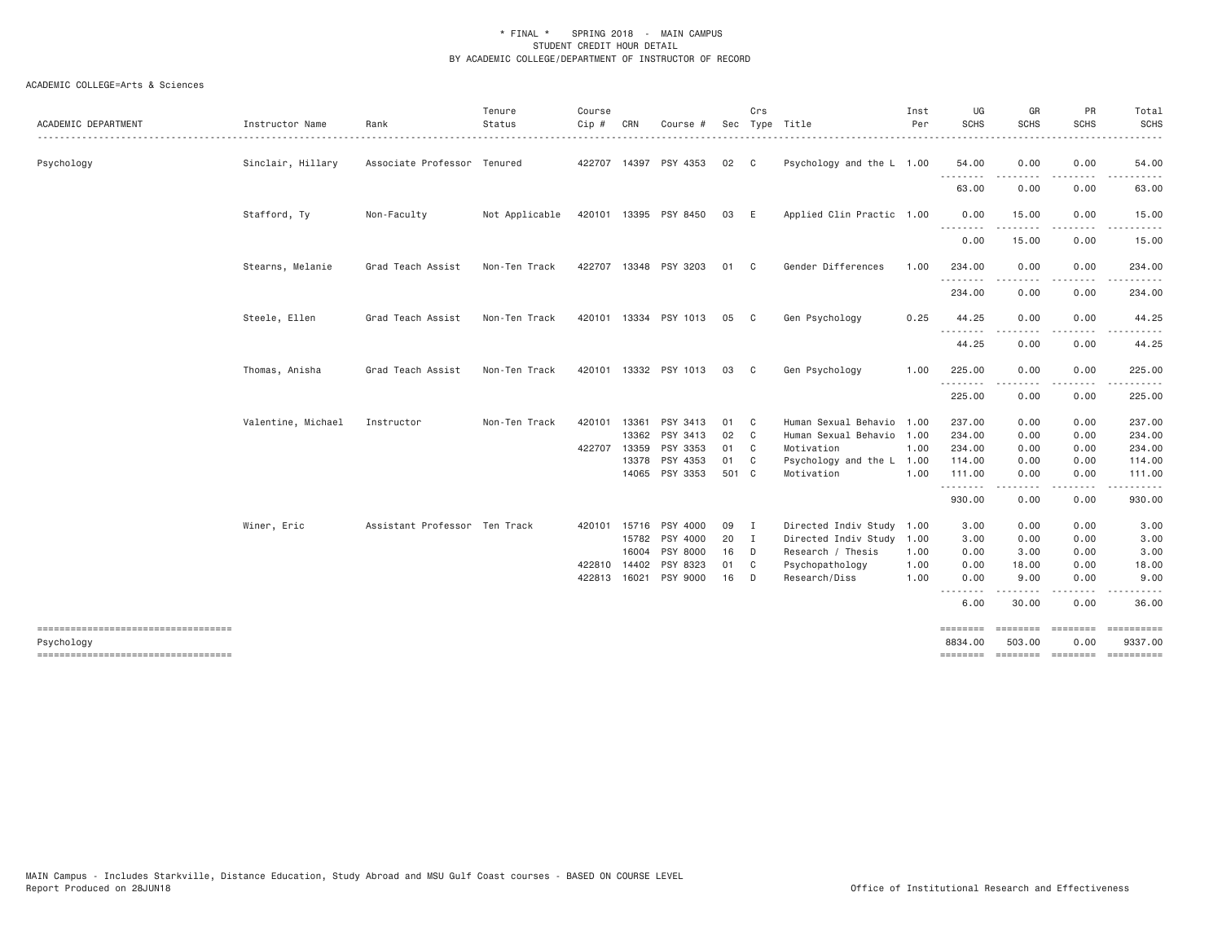|                                                  |                    |                               | Tenure         | Course       |       |                       |       | Crs            |                           | Inst | UG                  | GR                                                                                                                                | PR                    | Total                                  |
|--------------------------------------------------|--------------------|-------------------------------|----------------|--------------|-------|-----------------------|-------|----------------|---------------------------|------|---------------------|-----------------------------------------------------------------------------------------------------------------------------------|-----------------------|----------------------------------------|
| ACADEMIC DEPARTMENT                              | Instructor Name    | Rank                          | Status         | Cip #        | CRN   | Course #              |       |                | Sec Type Title            | Per  | <b>SCHS</b>         | <b>SCHS</b>                                                                                                                       | <b>SCHS</b>           | <b>SCHS</b><br>.                       |
| Psychology                                       | Sinclair, Hillary  | Associate Professor Tenured   |                |              |       | 422707 14397 PSY 4353 | 02    | C              | Psychology and the L 1.00 |      | 54.00               | 0.00                                                                                                                              | 0.00                  | 54.00                                  |
|                                                  |                    |                               |                |              |       |                       |       |                |                           |      | 63.00               | .<br>0.00                                                                                                                         | .<br>0.00             | .<br>63.00                             |
|                                                  | Stafford, Ty       | Non-Faculty                   | Not Applicable |              |       | 420101 13395 PSY 8450 | 03 E  |                | Applied Clin Practic 1.00 |      | 0.00<br>.           | 15.00<br>$\begin{array}{cccccccccccccc} \bullet & \bullet & \bullet & \bullet & \bullet & \bullet & \bullet \end{array}$          | 0.00<br>.             | 15.00<br>.                             |
|                                                  |                    |                               |                |              |       |                       |       |                |                           |      | 0.00                | 15.00                                                                                                                             | 0.00                  | 15.00                                  |
|                                                  | Stearns, Melanie   | Grad Teach Assist             | Non-Ten Track  |              |       | 422707 13348 PSY 3203 | 01 C  |                | Gender Differences        | 1.00 | 234.00<br>.         | 0.00                                                                                                                              | 0.00                  | 234.00                                 |
|                                                  |                    |                               |                |              |       |                       |       |                |                           |      | 234.00              | 0.00                                                                                                                              | 0.00                  | 234.00                                 |
|                                                  | Steele, Ellen      | Grad Teach Assist             | Non-Ten Track  |              |       | 420101 13334 PSY 1013 | 05 C  |                | Gen Psychology            | 0.25 | 44.25<br>.          | 0.00<br>$\frac{1}{2} \left( \frac{1}{2} \right) \left( \frac{1}{2} \right) \left( \frac{1}{2} \right) \left( \frac{1}{2} \right)$ | 0.00<br>.             | 44.25                                  |
|                                                  |                    |                               |                |              |       |                       |       |                |                           |      | 44.25               | 0.00                                                                                                                              | 0.00                  | 44.25                                  |
|                                                  | Thomas, Anisha     | Grad Teach Assist             | Non-Ten Track  |              |       | 420101 13332 PSY 1013 | 03    | $\mathbf{C}$   | Gen Psychology            | 1.00 | 225.00<br>.         | 0.00<br>.                                                                                                                         | 0.00<br>$\frac{1}{2}$ | 225.00<br>$- - - - - - -$              |
|                                                  |                    |                               |                |              |       |                       |       |                |                           |      | 225.00              | 0.00                                                                                                                              | 0.00                  | 225.00                                 |
|                                                  | Valentine, Michael | Instructor                    | Non-Ten Track  | 420101       | 13361 | PSY 3413              | 01    | C <sub>c</sub> | Human Sexual Behavio 1.00 |      | 237.00              | 0.00                                                                                                                              | 0.00                  | 237.00                                 |
|                                                  |                    |                               |                |              | 13362 | PSY 3413              | 02    | $\mathbf{C}$   | Human Sexual Behavio 1.00 |      | 234.00              | 0.00                                                                                                                              | 0.00                  | 234.00                                 |
|                                                  |                    |                               |                | 422707       | 13359 | PSY 3353              | 01 C  |                | Motivation                | 1.00 | 234.00              | 0.00                                                                                                                              | 0.00                  | 234.00                                 |
|                                                  |                    |                               |                |              |       | 13378 PSY 4353        | 01 C  |                | Psychology and the L 1.00 |      | 114.00              | 0.00                                                                                                                              | 0.00                  | 114.00                                 |
|                                                  |                    |                               |                |              |       | 14065 PSY 3353        | 501 C |                | Motivation                | 1.00 | 111.00<br>--------  | 0.00<br>$- - - - -$                                                                                                               | 0.00<br>.             | 111.00<br>.                            |
|                                                  |                    |                               |                |              |       |                       |       |                |                           |      | 930.00              | 0.00                                                                                                                              | 0.00                  | 930.00                                 |
|                                                  | Winer, Eric        | Assistant Professor Ten Track |                | 420101 15716 |       | PSY 4000              | 09    | $\mathbf{I}$   | Directed Indiv Study      | 1.00 | 3.00                | 0.00                                                                                                                              | 0.00                  | 3.00                                   |
|                                                  |                    |                               |                |              | 15782 | PSY 4000              | 20    | $\blacksquare$ | Directed Indiv Study 1.00 |      | 3.00                | 0.00                                                                                                                              | 0.00                  | 3.00                                   |
|                                                  |                    |                               |                |              | 16004 | PSY 8000              | 16    | $\Box$         | Research / Thesis         | 1.00 | 0.00                | 3.00                                                                                                                              | 0.00                  | 3.00                                   |
|                                                  |                    |                               |                | 422810       | 14402 | PSY 8323              | 01    | C <sub>1</sub> | Psychopathology           | 1.00 | 0.00                | 18.00                                                                                                                             | 0.00                  | 18.00                                  |
|                                                  |                    |                               |                | 422813       | 16021 | PSY 9000              | 16    | D              | Research/Diss             | 1.00 | 0.00<br>$  -$       | 9.00<br>.                                                                                                                         | 0.00<br>.             | 9.00                                   |
|                                                  |                    |                               |                |              |       |                       |       |                |                           |      | 6.00                | 30.00                                                                                                                             | 0.00                  | 36.00                                  |
|                                                  |                    |                               |                |              |       |                       |       |                |                           |      |                     | ========                                                                                                                          | essesses              |                                        |
| Psychology<br>---------------------------------- |                    |                               |                |              |       |                       |       |                |                           |      | 8834.00<br>======== | 503.00                                                                                                                            | 0.00                  | 9337.00<br>-------- -------- --------- |
|                                                  |                    |                               |                |              |       |                       |       |                |                           |      |                     |                                                                                                                                   |                       |                                        |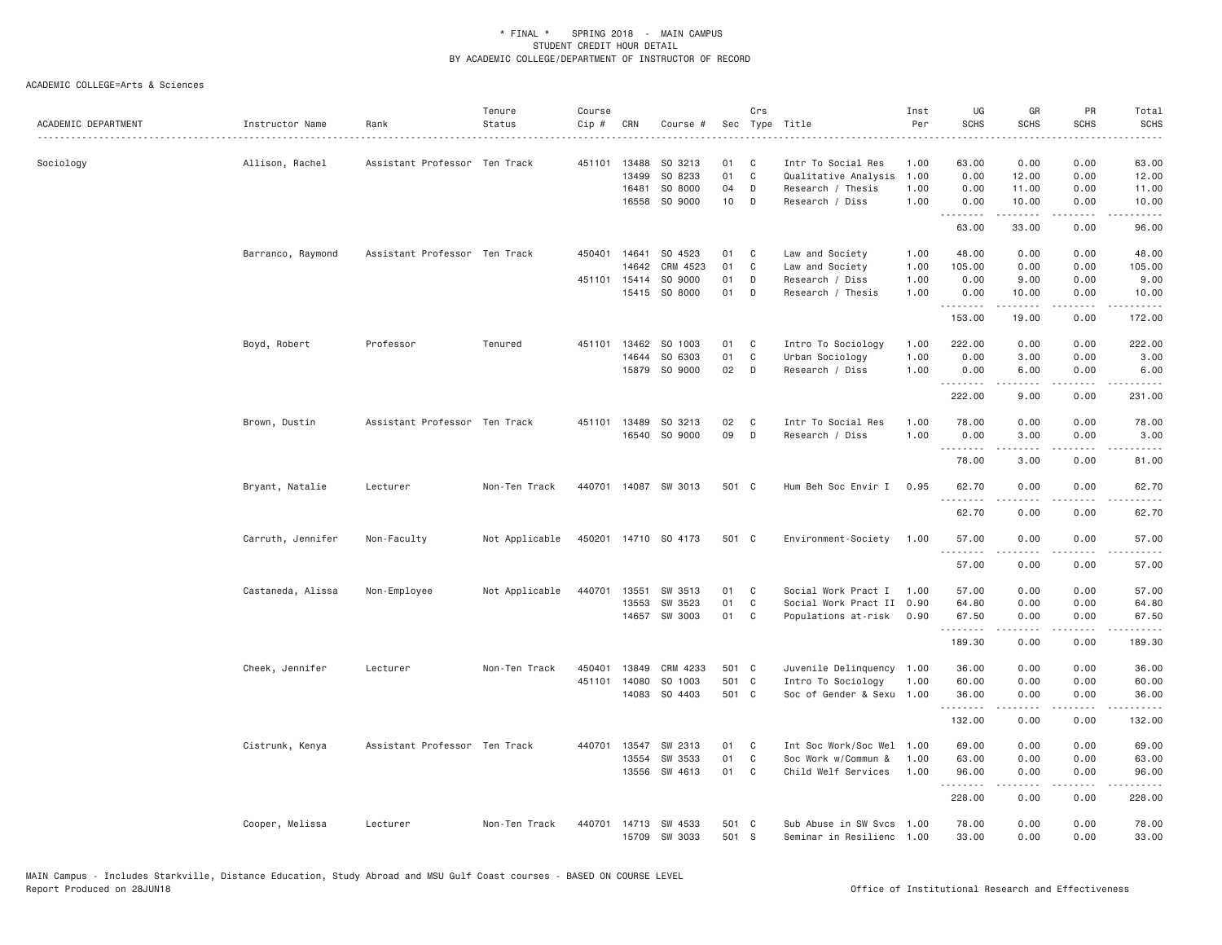| ACADEMIC DEPARTMENT | Instructor Name   | Rank                          | Tenure<br>Status | Course<br>Cip # | CRN                     | Course #                       |                 | Crs                    | Sec Type Title                                                  | Inst<br>Per          | UG<br><b>SCHS</b>     | GR<br><b>SCHS</b>      | PR<br><b>SCHS</b>    | Total<br><b>SCHS</b>    |
|---------------------|-------------------|-------------------------------|------------------|-----------------|-------------------------|--------------------------------|-----------------|------------------------|-----------------------------------------------------------------|----------------------|-----------------------|------------------------|----------------------|-------------------------|
| Sociology           | Allison, Rachel   | Assistant Professor Ten Track |                  | 451101          | 13488<br>13499<br>16481 | SO 3213<br>SO 8233<br>SO 8000  | 01<br>01<br>04  | C<br>$\mathsf{C}$<br>D | Intr To Social Res<br>Qualitative Analysis<br>Research / Thesis | 1.00<br>1.00<br>1.00 | 63.00<br>0.00<br>0.00 | 0.00<br>12.00<br>11.00 | 0.00<br>0.00<br>0.00 | 63.00<br>12.00<br>11.00 |
|                     |                   |                               |                  |                 | 16558                   | SO 9000                        | 10 <sub>1</sub> | D                      | Research / Diss                                                 | 1.00                 | 0.00<br>.             | 10.00                  | 0.00                 | 10.00                   |
|                     |                   |                               |                  |                 |                         |                                |                 |                        |                                                                 |                      | 63.00                 | 33.00                  | 0.00                 | 96.00                   |
|                     | Barranco, Raymond | Assistant Professor Ten Track |                  |                 | 450401 14641<br>14642   | SO 4523<br>CRM 4523            | 01<br>01        | C<br>C                 | Law and Society<br>Law and Society                              | 1.00<br>1.00         | 48.00<br>105.00       | 0.00<br>0.00           | 0.00<br>0.00         | 48.00<br>105.00         |
|                     |                   |                               |                  | 451101          | 15414                   | SO 9000                        | 01              | D                      | Research / Diss                                                 | 1.00                 | 0.00                  | 9.00                   | 0.00                 | 9.00                    |
|                     |                   |                               |                  |                 |                         | 15415 SO 8000                  | 01              | D                      | Research / Thesis                                               | 1.00                 | 0.00<br>.             | 10.00<br>.             | 0.00<br>.            | 10.00                   |
|                     |                   |                               |                  |                 |                         |                                |                 |                        |                                                                 |                      | 153.00                | 19.00                  | 0.00                 | 172.00                  |
|                     | Boyd, Robert      | Professor                     | Tenured          | 451101          | 13462                   | SO 1003                        | 01              | C                      | Intro To Sociology                                              | 1.00                 | 222.00                | 0.00                   | 0.00                 | 222.00                  |
|                     |                   |                               |                  |                 | 14644                   | SO 6303                        | 01              | C                      | Urban Sociology                                                 | 1.00                 | 0.00                  | 3.00                   | 0.00                 | 3.00                    |
|                     |                   |                               |                  |                 |                         | 15879 SO 9000                  | 02              | $\mathsf{D}$           | Research / Diss                                                 | 1.00                 | 0.00<br><u>.</u>      | 6.00                   | 0.00                 | 6.00                    |
|                     |                   |                               |                  |                 |                         |                                |                 |                        |                                                                 |                      | 222.00                | 9.00                   | 0.00                 | 231.00                  |
|                     | Brown, Dustin     | Assistant Professor Ten Track |                  | 451101          | 13489                   | SO 3213                        | 02              | C                      | Intr To Social Res                                              | 1,00                 | 78.00                 | 0.00                   | 0.00                 | 78.00                   |
|                     |                   |                               |                  |                 |                         | 16540 SO 9000                  | 09              | D                      | Research / Diss                                                 | 1.00                 | 0.00                  | 3.00                   | 0.00                 | 3.00                    |
|                     |                   |                               |                  |                 |                         |                                |                 |                        |                                                                 |                      | .<br>78.00            | .<br>3.00              | .<br>0.00            | .<br>81.00              |
|                     | Bryant, Natalie   | Lecturer                      | Non-Ten Track    | 440701          |                         | 14087 SW 3013                  | 501 C           |                        | Hum Beh Soc Envir I                                             | 0.95                 | 62.70<br>.            | 0.00<br>.              | 0.00<br>.            | 62.70<br>.              |
|                     |                   |                               |                  |                 |                         |                                |                 |                        |                                                                 |                      | 62.70                 | 0.00                   | 0.00                 | 62.70                   |
|                     | Carruth, Jennifer | Non-Faculty                   | Not Applicable   |                 |                         | 450201 14710 SO 4173           | 501 C           |                        | Environment-Society                                             | 1.00                 | 57.00                 | 0.00                   | 0.00                 | 57.00                   |
|                     |                   |                               |                  |                 |                         |                                |                 |                        |                                                                 |                      | 57.00                 | 0.00                   | 0.00                 | 57.00                   |
|                     | Castaneda, Alissa | Non-Employee                  | Not Applicable   | 440701          | 13551                   | SW 3513                        | 01              | C                      | Social Work Pract I                                             | 1.00                 | 57.00                 | 0.00                   | 0.00                 | 57.00                   |
|                     |                   |                               |                  |                 | 13553                   | SW 3523                        | 01              | C                      | Social Work Pract II 0.90                                       |                      | 64.80                 | 0.00                   | 0.00                 | 64.80                   |
|                     |                   |                               |                  |                 | 14657                   | SW 3003                        | 01              | C                      | Populations at-risk                                             | 0.90                 | 67.50<br>.            | 0.00<br>.              | 0.00<br>الداعات بال  | 67.50<br>.              |
|                     |                   |                               |                  |                 |                         |                                |                 |                        |                                                                 |                      | 189.30                | 0.00                   | 0.00                 | 189.30                  |
|                     | Cheek, Jennifer   | Lecturer                      | Non-Ten Track    | 450401          | 13849                   | CRM 4233                       | 501 C           |                        | Juvenile Delinquency 1.00                                       |                      | 36.00                 | 0.00                   | 0.00                 | 36.00                   |
|                     |                   |                               |                  | 451101          | 14080                   | SO 1003                        | 501 C           |                        | Intro To Sociology                                              | 1.00                 | 60.00                 | 0.00                   | 0.00                 | 60.00                   |
|                     |                   |                               |                  |                 | 14083                   | SO 4403                        | 501 C           |                        | Soc of Gender & Sexu 1.00                                       |                      | 36.00<br>.            | 0.00<br>.              | 0.00<br>.            | 36.00<br>.              |
|                     |                   |                               |                  |                 |                         |                                |                 |                        |                                                                 |                      | 132.00                | 0.00                   | 0.00                 | 132.00                  |
|                     | Cistrunk, Kenya   | Assistant Professor Ten Track |                  | 440701          | 13547                   | SW 2313                        | 01              | C                      | Int Soc Work/Soc Wel                                            | 1.00                 | 69.00                 | 0.00                   | 0.00                 | 69.00                   |
|                     |                   |                               |                  |                 | 13554                   | SW 3533                        | 01              | C                      | Soc Work w/Commun &                                             | 1.00                 | 63.00                 | 0.00                   | 0.00                 | 63.00                   |
|                     |                   |                               |                  |                 |                         | 13556 SW 4613                  | 01              | C                      | Child Welf Services                                             | 1.00                 | 96.00<br>.            | 0.00<br>-----          | 0.00<br>.            | 96.00<br>.              |
|                     |                   |                               |                  |                 |                         |                                |                 |                        |                                                                 |                      | 228.00                | 0.00                   | 0.00                 | 228.00                  |
|                     | Cooper, Melissa   | Lecturer                      | Non-Ten Track    | 440701          |                         | 14713 SW 4533<br>15709 SW 3033 | 501 C<br>501 S  |                        | Sub Abuse in SW Svcs 1.00<br>Seminar in Resilienc 1.00          |                      | 78.00<br>33.00        | 0.00<br>0.00           | 0.00<br>0.00         | 78.00<br>33.00          |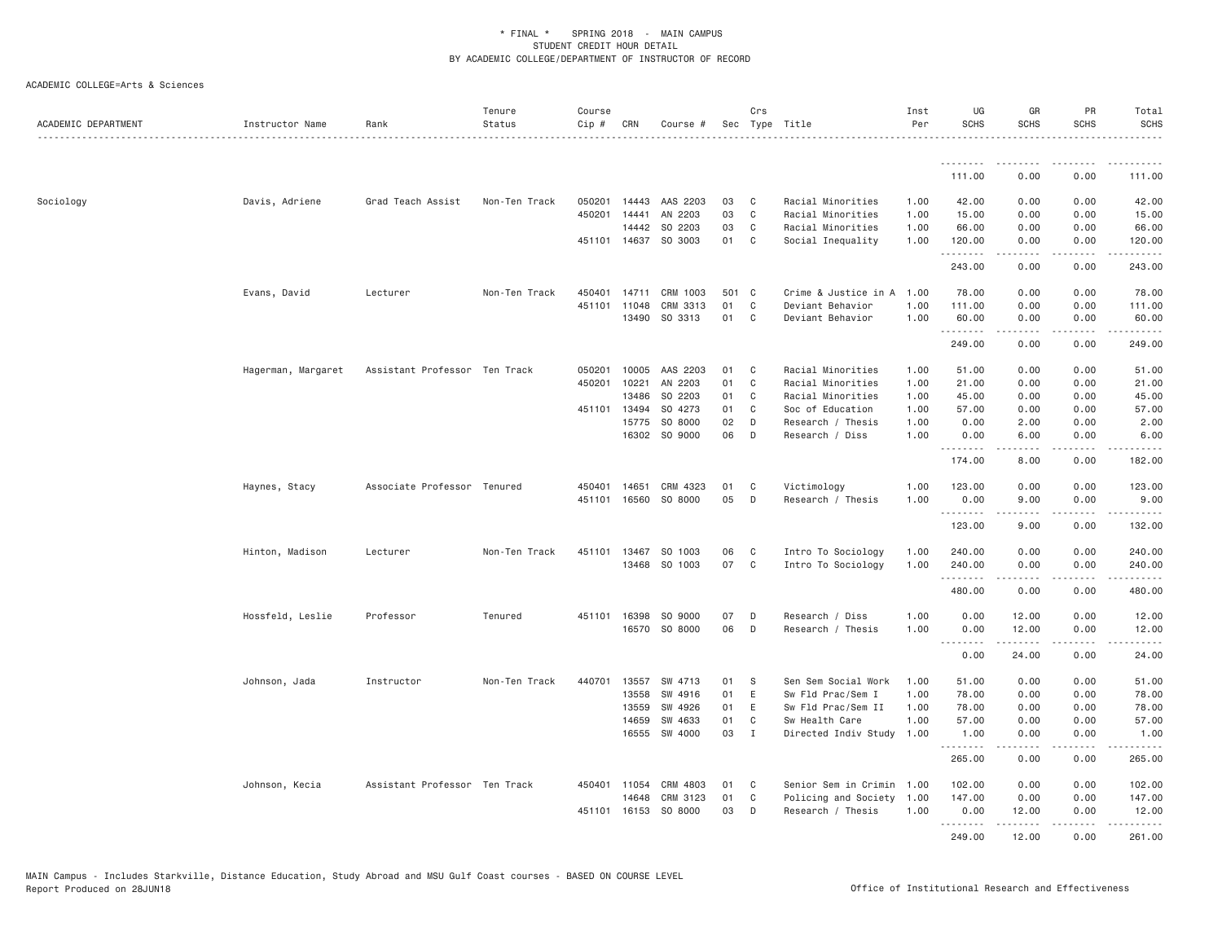| ACADEMIC DEPARTMENT | Instructor Name    | Rank                          | Tenure<br>Status | Course<br>Cip # | CRN   | Course #             |     | Crs          | Sec Type Title            | Inst<br>Per | UG<br><b>SCHS</b>               | GR<br><b>SCHS</b>                                                                                                                                    | PR<br><b>SCHS</b>            | Total<br><b>SCHS</b>  |
|---------------------|--------------------|-------------------------------|------------------|-----------------|-------|----------------------|-----|--------------|---------------------------|-------------|---------------------------------|------------------------------------------------------------------------------------------------------------------------------------------------------|------------------------------|-----------------------|
|                     |                    |                               |                  |                 |       |                      |     |              |                           |             | <u>.</u>                        |                                                                                                                                                      | $- - - -$                    | .                     |
|                     |                    |                               |                  |                 |       |                      |     |              |                           |             | 111.00                          | 0.00                                                                                                                                                 | 0.00                         | 111.00                |
| Sociology           | Davis, Adriene     | Grad Teach Assist             | Non-Ten Track    | 050201          | 14443 | AAS 2203             | 03  | C            | Racial Minorities         | 1.00        | 42.00                           | 0.00                                                                                                                                                 | 0.00                         | 42.00                 |
|                     |                    |                               |                  | 450201          | 14441 | AN 2203              | 03  | $\mathbf C$  | Racial Minorities         | 1.00        | 15.00                           | 0.00                                                                                                                                                 | 0.00                         | 15.00                 |
|                     |                    |                               |                  |                 | 14442 | SO 2203              | 03  | C            | Racial Minorities         | 1.00        | 66.00                           | 0.00                                                                                                                                                 | 0.00                         | 66.00                 |
|                     |                    |                               |                  |                 |       | 451101 14637 SO 3003 | 01  | C            | Social Inequality         | 1.00        | 120.00<br>.                     | 0.00<br>.                                                                                                                                            | 0.00<br>.                    | 120.00<br><u>.</u>    |
|                     |                    |                               |                  |                 |       |                      |     |              |                           |             | 243.00                          | 0.00                                                                                                                                                 | 0.00                         | 243.00                |
|                     | Evans, David       | Lecturer                      | Non-Ten Track    | 450401          | 14711 | CRM 1003             | 501 | $\mathbf{C}$ | Crime & Justice in A      | 1.00        | 78.00                           | 0.00                                                                                                                                                 | 0.00                         | 78.00                 |
|                     |                    |                               |                  | 451101          | 11048 | CRM 3313             | 01  | $\mathbf C$  | Deviant Behavior          | 1.00        | 111.00                          | 0.00                                                                                                                                                 | 0.00                         | 111.00                |
|                     |                    |                               |                  |                 | 13490 | SO 3313              | 01  | C            | Deviant Behavior          | 1.00        | 60.00<br>.                      | 0.00                                                                                                                                                 | 0.00<br>$\sim$ $\sim$ $\sim$ | 60.00<br>.            |
|                     |                    |                               |                  |                 |       |                      |     |              |                           |             | 249.00                          | 0.00                                                                                                                                                 | 0.00                         | 249.00                |
|                     | Hagerman, Margaret | Assistant Professor Ten Track |                  | 050201          | 10005 | AAS 2203             | 01  | C            | Racial Minorities         | 1.00        | 51.00                           | 0.00                                                                                                                                                 | 0.00                         | 51.00                 |
|                     |                    |                               |                  | 450201          | 10221 | AN 2203              | 01  | $\mathbf C$  | Racial Minorities         | 1.00        | 21.00                           | 0.00                                                                                                                                                 | 0.00                         | 21.00                 |
|                     |                    |                               |                  |                 | 13486 | SO 2203              | 01  | C            | Racial Minorities         | 1.00        | 45.00                           | 0.00                                                                                                                                                 | 0.00                         | 45.00                 |
|                     |                    |                               |                  | 451101          | 13494 | SO 4273              | 01  | C            | Soc of Education          | 1.00        | 57.00                           | 0.00                                                                                                                                                 | 0.00                         | 57.00                 |
|                     |                    |                               |                  |                 | 15775 | SO 8000              | 02  | D            | Research / Thesis         | 1.00        | 0.00                            | 2.00                                                                                                                                                 | 0.00                         | 2.00                  |
|                     |                    |                               |                  |                 | 16302 | SO 9000              | 06  | D            | Research / Diss           | 1.00        | 0.00<br><u> - - - - - - - -</u> | 6.00<br>$\frac{1}{2}$                                                                                                                                | 0.00<br>$- - - -$            | 6.00<br>$\frac{1}{2}$ |
|                     |                    |                               |                  |                 |       |                      |     |              |                           |             | 174.00                          | 8.00                                                                                                                                                 | 0.00                         | 182.00                |
|                     | Haynes, Stacy      | Associate Professor Tenured   |                  | 450401          | 14651 | CRM 4323             | 01  | C            | Victimology               | 1.00        | 123.00                          | 0.00                                                                                                                                                 | 0.00                         | 123.00                |
|                     |                    |                               |                  | 451101          | 16560 | SO 8000              | 05  | D            | Research / Thesis         | 1.00        | 0.00                            | 9.00                                                                                                                                                 | 0.00                         | 9.00                  |
|                     |                    |                               |                  |                 |       |                      |     |              |                           |             | .<br>123.00                     | 9.00                                                                                                                                                 | $  -$<br>0.00                | .<br>132.00           |
|                     | Hinton, Madison    | Lecturer                      | Non-Ten Track    | 451101          |       | 13467 SO 1003        | 06  | C            | Intro To Sociology        | 1.00        | 240.00                          | 0.00                                                                                                                                                 | 0.00                         | 240.00                |
|                     |                    |                               |                  |                 | 13468 | SO 1003              | 07  | C            | Intro To Sociology        | 1.00        | 240.00                          | 0.00                                                                                                                                                 | 0.00                         | 240.00                |
|                     |                    |                               |                  |                 |       |                      |     |              |                           |             | .                               | .                                                                                                                                                    | .                            |                       |
|                     |                    |                               |                  |                 |       |                      |     |              |                           |             | 480.00                          | 0.00                                                                                                                                                 | 0.00                         | 480.00                |
|                     | Hossfeld, Leslie   | Professor                     | Tenured          | 451101          | 16398 | SO 9000              | 07  | D            | Research / Diss           | 1.00        | 0.00                            | 12.00                                                                                                                                                | 0.00                         | 12.00                 |
|                     |                    |                               |                  |                 |       | 16570 SO 8000        | 06  | D            | Research / Thesis         | 1.00        | 0.00                            | 12.00                                                                                                                                                | 0.00                         | 12.00                 |
|                     |                    |                               |                  |                 |       |                      |     |              |                           |             | .<br>0.00                       | .<br>24.00                                                                                                                                           | .<br>0.00                    | .<br>24.00            |
|                     | Johnson, Jada      | Instructor                    | Non-Ten Track    | 440701          | 13557 | SW 4713              | 01  | -S           | Sen Sem Social Work       | 1.00        | 51.00                           | 0.00                                                                                                                                                 | 0.00                         | 51.00                 |
|                     |                    |                               |                  |                 | 13558 | SW 4916              | 01  | Ε            | Sw Fld Prac/Sem I         | 1.00        | 78.00                           | 0.00                                                                                                                                                 | 0.00                         | 78.00                 |
|                     |                    |                               |                  |                 | 13559 | SW 4926              | 01  | Е            | Sw Fld Prac/Sem II        | 1.00        | 78.00                           | 0.00                                                                                                                                                 | 0.00                         | 78.00                 |
|                     |                    |                               |                  |                 | 14659 | SW 4633              | 01  | $\mathbb C$  | Sw Health Care            | 1.00        | 57.00                           | 0.00                                                                                                                                                 | 0.00                         | 57.00                 |
|                     |                    |                               |                  |                 | 16555 | SW 4000              | 03  | $\mathbf{I}$ | Directed Indiv Study      | 1.00        | 1.00                            | 0.00                                                                                                                                                 | 0.00                         | 1.00<br>.             |
|                     |                    |                               |                  |                 |       |                      |     |              |                           |             | 265.00                          | 0.00                                                                                                                                                 | 0.00                         | 265.00                |
|                     | Johnson, Kecia     | Assistant Professor Ten Track |                  | 450401          | 11054 | CRM 4803             | 01  | C            | Senior Sem in Crimin 1.00 |             | 102.00                          | 0.00                                                                                                                                                 | 0.00                         | 102.00                |
|                     |                    |                               |                  |                 | 14648 | CRM 3123             | 01  | C            | Policing and Society      | 1.00        | 147.00                          | 0.00                                                                                                                                                 | 0.00                         | 147.00                |
|                     |                    |                               |                  | 451101          | 16153 | SO 8000              | 03  | D            | Research / Thesis         | 1.00        | 0.00                            | 12.00                                                                                                                                                | 0.00                         | 12.00                 |
|                     |                    |                               |                  |                 |       |                      |     |              |                           |             | .                               | $\frac{1}{2} \left( \frac{1}{2} \right) \left( \frac{1}{2} \right) \left( \frac{1}{2} \right) \left( \frac{1}{2} \right) \left( \frac{1}{2} \right)$ | .                            | .                     |
|                     |                    |                               |                  |                 |       |                      |     |              |                           |             | 249.00                          | 12.00                                                                                                                                                | 0.00                         | 261.00                |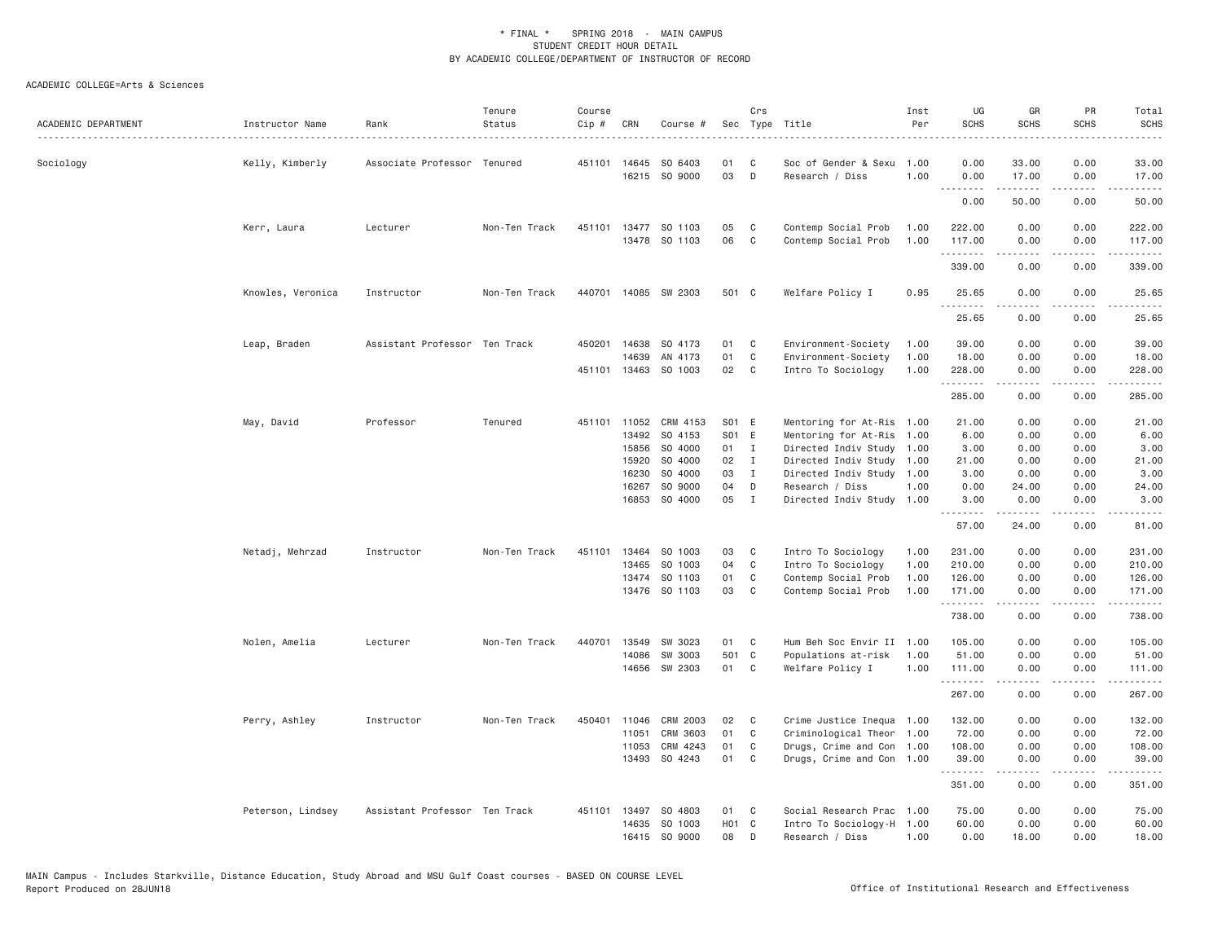| ACADEMIC DEPARTMENT | Instructor Name   | Rank                          | Tenure<br>Status | Course<br>Cip # | CRN          | Course #                 |                   | Crs          | Sec Type Title                          | Inst<br>Per  | UG<br><b>SCHS</b>  | GR<br><b>SCHS</b>                                                                                                                                            | PR<br><b>SCHS</b>                   | Total<br><b>SCHS</b> |
|---------------------|-------------------|-------------------------------|------------------|-----------------|--------------|--------------------------|-------------------|--------------|-----------------------------------------|--------------|--------------------|--------------------------------------------------------------------------------------------------------------------------------------------------------------|-------------------------------------|----------------------|
| Sociology           | Kelly, Kimberly   | Associate Professor Tenured   |                  |                 | 451101 14645 | SO 6403<br>16215 SO 9000 | 01<br>03          | C<br>D       | Soc of Gender & Sexu<br>Research / Diss | 1.00<br>1.00 | 0.00<br>0.00       | 33.00<br>17.00                                                                                                                                               | 0.00<br>0.00                        | 33.00<br>17.00       |
|                     |                   |                               |                  |                 |              |                          |                   |              |                                         |              | .<br>0.00          | 50.00                                                                                                                                                        | $\sim$ $\sim$ $\sim$ $\sim$<br>0.00 | المتمامين<br>50.00   |
|                     | Kerr, Laura       | Lecturer                      | Non-Ten Track    | 451101          |              | 13477 SO 1103            | 05                | C            | Contemp Social Prob                     | 1.00         | 222.00             | 0.00                                                                                                                                                         | 0.00                                | 222.00               |
|                     |                   |                               |                  |                 | 13478        | SO 1103                  | 06                | C            | Contemp Social Prob                     | 1.00         | 117.00<br>.        | 0.00                                                                                                                                                         | 0.00<br>$\cdots$                    | 117.00<br><u>.</u>   |
|                     |                   |                               |                  |                 |              |                          |                   |              |                                         |              | 339.00             | 0.00                                                                                                                                                         | 0.00                                | 339.00               |
|                     | Knowles, Veronica | Instructor                    | Non-Ten Track    | 440701          |              | 14085 SW 2303            | 501 C             |              | Welfare Policy I                        | 0.95         | 25.65<br>.         | 0.00<br>.                                                                                                                                                    | 0.00<br>$- - - -$                   | 25.65<br>.           |
|                     |                   |                               |                  |                 |              |                          |                   |              |                                         |              | 25.65              | 0.00                                                                                                                                                         | 0.00                                | 25.65                |
|                     | Leap, Braden      | Assistant Professor Ten Track |                  | 450201          | 14638        | SO 4173                  | 01                | C            | Environment-Society                     | 1.00         | 39.00              | 0.00                                                                                                                                                         | 0.00                                | 39.00                |
|                     |                   |                               |                  |                 | 14639        | AN 4173                  | 01                | C            | Environment-Society                     | 1.00         | 18.00              | 0.00                                                                                                                                                         | 0.00                                | 18.00                |
|                     |                   |                               |                  |                 |              | 451101 13463 SO 1003     | 02                | C            | Intro To Sociology                      | 1.00         | 228.00<br>.        | 0.00<br><u>.</u>                                                                                                                                             | 0.00<br>.                           | 228.00<br>.          |
|                     |                   |                               |                  |                 |              |                          |                   |              |                                         |              | 285.00             | 0.00                                                                                                                                                         | 0.00                                | 285.00               |
|                     | May, David        | Professor                     | Tenured          |                 | 451101 11052 | CRM 4153                 | S01 E             |              | Mentoring for At-Ris                    | 1.00         | 21.00              | 0.00                                                                                                                                                         | 0.00                                | 21.00                |
|                     |                   |                               |                  |                 | 13492        | SO 4153                  | S01 E             |              | Mentoring for At-Ris                    | 1.00         | 6.00               | 0.00                                                                                                                                                         | 0.00                                | 6.00                 |
|                     |                   |                               |                  |                 | 15856        | SO 4000                  | 01 I              |              | Directed Indiv Study                    | 1.00         | 3.00               | 0.00                                                                                                                                                         | 0.00                                | 3.00                 |
|                     |                   |                               |                  |                 | 15920        | SO 4000                  | 02                | $\mathbf{I}$ | Directed Indiv Study 1.00               |              | 21.00              | 0.00                                                                                                                                                         | 0.00                                | 21.00                |
|                     |                   |                               |                  |                 | 16230        | SO 4000                  | 03                | $\mathbf{I}$ | Directed Indiv Study                    | 1.00         | 3.00               | 0.00                                                                                                                                                         | 0.00                                | 3.00                 |
|                     |                   |                               |                  |                 | 16267        | SO 9000                  | 04                | D            | Research / Diss                         | 1.00         | 0.00               | 24.00                                                                                                                                                        | 0.00                                | 24.00                |
|                     |                   |                               |                  |                 | 16853        | SO 4000                  | 05                | I            | Directed Indiv Study                    | 1.00         | 3.00<br><u>.</u>   | 0.00<br>$\frac{1}{2} \left( \frac{1}{2} \right) \left( \frac{1}{2} \right) \left( \frac{1}{2} \right) \left( \frac{1}{2} \right) \left( \frac{1}{2} \right)$ | 0.00<br>$\sim$ $\sim$ $\sim$ $\sim$ | 3.00<br>المتمام      |
|                     |                   |                               |                  |                 |              |                          |                   |              |                                         |              | 57.00              | 24.00                                                                                                                                                        | 0.00                                | 81.00                |
|                     | Netadj, Mehrzad   | Instructor                    | Non-Ten Track    | 451101          | 13464        | SO 1003                  | 03                | C            | Intro To Sociology                      | 1.00         | 231.00             | 0.00                                                                                                                                                         | 0.00                                | 231.00               |
|                     |                   |                               |                  |                 | 13465        | SO 1003                  | 04                | C            | Intro To Sociology                      | 1.00         | 210.00             | 0.00                                                                                                                                                         | 0.00                                | 210.00               |
|                     |                   |                               |                  |                 | 13474        | SO 1103                  | 01                | C            | Contemp Social Prob                     | 1.00         | 126.00             | 0.00                                                                                                                                                         | 0.00                                | 126.00               |
|                     |                   |                               |                  |                 |              | 13476 SO 1103            | 03                | C            | Contemp Social Prob                     | 1.00         | 171.00<br>.        | 0.00                                                                                                                                                         | 0.00                                | 171.00<br>-----      |
|                     |                   |                               |                  |                 |              |                          |                   |              |                                         |              | 738.00             | 0.00                                                                                                                                                         | 0.00                                | 738.00               |
|                     | Nolen, Amelia     | Lecturer                      | Non-Ten Track    | 440701          | 13549        | SW 3023                  | 01                | C            | Hum Beh Soc Envir II                    | 1.00         | 105.00             | 0.00                                                                                                                                                         | 0.00                                | 105.00               |
|                     |                   |                               |                  |                 | 14086        | SW 3003                  | 501 C             |              | Populations at-risk                     | 1.00         | 51.00              | 0.00                                                                                                                                                         | 0.00                                | 51,00                |
|                     |                   |                               |                  |                 |              | 14656 SW 2303            | 01                | C            | Welfare Policy I                        | 1.00         | 111.00<br><u>.</u> | 0.00<br>-----                                                                                                                                                | 0.00<br>.                           | 111.00<br>.          |
|                     |                   |                               |                  |                 |              |                          |                   |              |                                         |              | 267.00             | 0.00                                                                                                                                                         | 0.00                                | 267.00               |
|                     | Perry, Ashley     | Instructor                    | Non-Ten Track    | 450401          | 11046        | CRM 2003                 | 02                | C            | Crime Justice Inequa 1.00               |              | 132.00             | 0.00                                                                                                                                                         | 0.00                                | 132.00               |
|                     |                   |                               |                  |                 | 11051        | CRM 3603                 | 01                | C            | Criminological Theor                    | 1.00         | 72.00              | 0.00                                                                                                                                                         | 0.00                                | 72.00                |
|                     |                   |                               |                  |                 | 11053        | CRM 4243                 | 01                | C            | Drugs, Crime and Con 1.00               |              | 108.00             | 0.00                                                                                                                                                         | 0.00                                | 108.00               |
|                     |                   |                               |                  |                 | 13493        | SO 4243                  | 01                | C            | Drugs, Crime and Con 1.00               |              | 39.00<br>.         | 0.00                                                                                                                                                         | 0.00<br>$\sim$ $\sim$ $\sim$        | 39.00<br>.           |
|                     |                   |                               |                  |                 |              |                          |                   |              |                                         |              | 351.00             | 0.00                                                                                                                                                         | 0.00                                | 351.00               |
|                     | Peterson, Lindsey | Assistant Professor Ten Track |                  | 451101          | 13497        | SO 4803                  | 01                | C            | Social Research Prac 1.00               |              | 75.00              | 0.00                                                                                                                                                         | 0.00                                | 75.00                |
|                     |                   |                               |                  |                 | 14635        | SO 1003                  | H <sub>01</sub> C |              | Intro To Sociology-H 1.00               |              | 60.00              | 0.00                                                                                                                                                         | 0.00                                | 60.00                |
|                     |                   |                               |                  |                 |              | 16415 SO 9000            | 08                | D            | Research / Diss                         | 1.00         | 0.00               | 18,00                                                                                                                                                        | 0.00                                | 18.00                |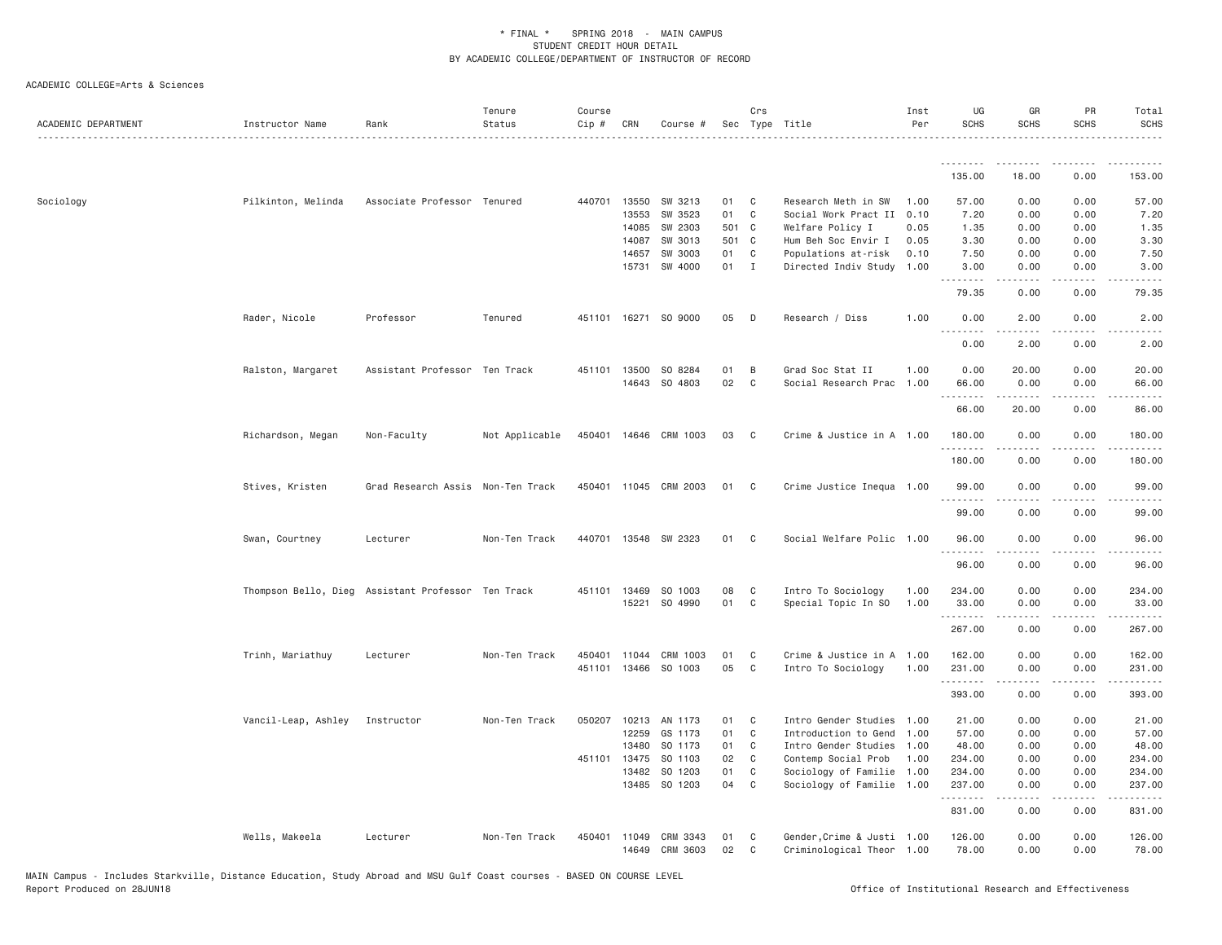| 0.00<br>153.00<br>135.00<br>18.00<br>Pilkinton, Melinda<br>440701 13550<br>SW 3213<br>01 C<br>Research Meth in SW<br>57.00<br>Sociology<br>Associate Professor Tenured<br>1.00<br>57.00<br>0.00<br>0.00<br>13553<br>SW 3523<br>01<br>$\mathbf{C}$<br>Social Work Pract II 0.10<br>7.20<br>7.20<br>0.00<br>0.00<br>501 C<br>14085<br>SW 2303<br>Welfare Policy I<br>0.05<br>1.35<br>0.00<br>0.00<br>1.35<br>3.30<br>14087<br>SW 3013<br>501 C<br>Hum Beh Soc Envir I<br>0.05<br>3.30<br>0.00<br>0.00<br>01 C<br>0.10<br>7.50<br>14657<br>SW 3003<br>Populations at-risk<br>7.50<br>0.00<br>0.00<br>01 I<br>3.00<br>15731<br>SW 4000<br>Directed Indiv Study 1.00<br>3.00<br>0.00<br>0.00<br>.<br>79.35<br>0.00<br>0.00<br>79.35<br>451101 16271 SO 9000<br>05<br>0.00<br>Rader, Nicole<br>Professor<br>Tenured<br>$\Box$<br>Research / Diss<br>1.00<br>0.00<br>2.00<br>2.00<br>$\frac{1}{2}$<br>.<br>0.00<br>2.00<br>0.00<br>2.00<br>1.00<br>Ralston, Margaret<br>Assistant Professor Ten Track<br>13500<br>SO 8284<br>01<br>B<br>Grad Soc Stat II<br>0.00<br>20.00<br>0.00<br>20.00<br>451101<br>SO 4803<br>02<br>14643<br>$\mathbf{C}$<br>Social Research Prac<br>1.00<br>0.00<br>66.00<br>66.00<br>0.00<br>.<br>66.00<br>20.00<br>0.00<br>86.00<br>Richardson, Megan<br>Non-Faculty<br>Not Applicable<br>450401 14646 CRM 1003<br>03<br>$\mathbf{C}$<br>Crime & Justice in A 1.00<br>180.00<br>0.00<br>0.00<br>180.00<br>180.00<br>0.00<br>0.00<br>180.00<br>99.00<br>Stives, Kristen<br>Grad Research Assis Non-Ten Track<br>450401 11045 CRM 2003<br>01<br>$\mathbb{C}$<br>Crime Justice Inequa 1.00<br>99.00<br>0.00<br>0.00<br>0.00<br>99.00<br>99.00<br>0.00<br>Swan, Courtney<br>Lecturer<br>Non-Ten Track<br>440701 13548 SW 2323<br>01<br>$\mathbf{C}$<br>Social Welfare Polic 1.00<br>96.00<br>0.00<br>0.00<br>96.00<br>.<br>96.00<br>0.00<br>0.00<br>96.00<br>08<br>Thompson Bello, Dieg Assistant Professor Ten Track<br>451101 13469<br>SO 1003<br>C<br>Intro To Sociology<br>1.00<br>234.00<br>0.00<br>0.00<br>234.00<br>SO 4990<br>01<br>$\mathbf{C}$<br>15221<br>Special Topic In SO<br>1.00<br>33.00<br>0.00<br>0.00<br>33.00<br>.<br>.<br>.<br>.<br>0.00<br>267.00<br>267.00<br>0.00<br>Trinh, Mariathuy<br>Lecturer<br>Non-Ten Track<br>450401<br>11044<br>CRM 1003<br>01<br>C <sub>1</sub><br>Crime & Justice in A 1.00<br>162.00<br>0.00<br>0.00<br>162.00<br>05<br>451101<br>13466<br>SO 1003<br>C <sub>1</sub><br>Intro To Sociology<br>1.00<br>231.00<br>0.00<br>0.00<br>231.00<br>393.00<br>0.00<br>0.00<br>393.00<br>Vancil-Leap, Ashley<br>Instructor<br>050207 10213<br>01<br>$\overline{C}$<br>Intro Gender Studies 1.00<br>0.00<br>0.00<br>21.00<br>Non-Ten Track<br>AN 1173<br>21.00<br>01<br>12259<br>GS 1173<br>$\mathbf{C}$<br>Introduction to Gend 1.00<br>57.00<br>0.00<br>0.00<br>57.00<br>13480<br>SO 1173<br>01 C<br>48.00<br>0.00<br>0.00<br>48.00<br>Intro Gender Studies 1.00<br>451101 13475<br>SO 1103<br>02<br>Contemp Social Prob<br>0.00<br>234.00<br>$\mathbf{C}$<br>1.00<br>234.00<br>0.00<br>SO 1203<br>01<br>C<br>234.00<br>0.00<br>234.00<br>13482<br>Sociology of Familie 1.00<br>0.00<br>13485 SO 1203<br>04<br>C <sub>1</sub><br>Sociology of Familie 1.00<br>237.00<br>0.00<br>0.00<br>237.00<br>.<br>د د د د<br>831.00<br>0.00<br>0.00<br>831.00<br>Wells, Makeela<br>Lecturer<br>Non-Ten Track<br>450401 11049<br>CRM 3343<br>01<br>$\mathbf{C}$<br>Gender, Crime & Justi 1.00<br>126.00<br>0.00<br>0.00<br>126.00<br>CRM 3603<br>02<br>78.00<br>14649<br>C<br>Criminological Theor 1.00<br>78.00<br>0.00<br>0.00 | ACADEMIC DEPARTMENT | Instructor Name | Rank | Tenure<br>Status | Course<br>Cip # | CRN | Course # | Crs | Sec Type Title | Inst<br>Per | UG<br><b>SCHS</b> | GR<br><b>SCHS</b> | PR<br><b>SCHS</b> | Total<br><b>SCHS</b> |
|------------------------------------------------------------------------------------------------------------------------------------------------------------------------------------------------------------------------------------------------------------------------------------------------------------------------------------------------------------------------------------------------------------------------------------------------------------------------------------------------------------------------------------------------------------------------------------------------------------------------------------------------------------------------------------------------------------------------------------------------------------------------------------------------------------------------------------------------------------------------------------------------------------------------------------------------------------------------------------------------------------------------------------------------------------------------------------------------------------------------------------------------------------------------------------------------------------------------------------------------------------------------------------------------------------------------------------------------------------------------------------------------------------------------------------------------------------------------------------------------------------------------------------------------------------------------------------------------------------------------------------------------------------------------------------------------------------------------------------------------------------------------------------------------------------------------------------------------------------------------------------------------------------------------------------------------------------------------------------------------------------------------------------------------------------------------------------------------------------------------------------------------------------------------------------------------------------------------------------------------------------------------------------------------------------------------------------------------------------------------------------------------------------------------------------------------------------------------------------------------------------------------------------------------------------------------------------------------------------------------------------------------------------------------------------------------------------------------------------------------------------------------------------------------------------------------------------------------------------------------------------------------------------------------------------------------------------------------------------------------------------------------------------------------------------------------------------------------------------------------------------------------------------------------------------------------------------------------------------------------------------------------------------------------------------------------------------------------------------------------------------------------------------------------------------------------------------------------------------------------------------------------------------------------------------------------------|---------------------|-----------------|------|------------------|-----------------|-----|----------|-----|----------------|-------------|-------------------|-------------------|-------------------|----------------------|
|                                                                                                                                                                                                                                                                                                                                                                                                                                                                                                                                                                                                                                                                                                                                                                                                                                                                                                                                                                                                                                                                                                                                                                                                                                                                                                                                                                                                                                                                                                                                                                                                                                                                                                                                                                                                                                                                                                                                                                                                                                                                                                                                                                                                                                                                                                                                                                                                                                                                                                                                                                                                                                                                                                                                                                                                                                                                                                                                                                                                                                                                                                                                                                                                                                                                                                                                                                                                                                                                                                                                                                              |                     |                 |      |                  |                 |     |          |     |                |             |                   |                   |                   |                      |
|                                                                                                                                                                                                                                                                                                                                                                                                                                                                                                                                                                                                                                                                                                                                                                                                                                                                                                                                                                                                                                                                                                                                                                                                                                                                                                                                                                                                                                                                                                                                                                                                                                                                                                                                                                                                                                                                                                                                                                                                                                                                                                                                                                                                                                                                                                                                                                                                                                                                                                                                                                                                                                                                                                                                                                                                                                                                                                                                                                                                                                                                                                                                                                                                                                                                                                                                                                                                                                                                                                                                                                              |                     |                 |      |                  |                 |     |          |     |                |             |                   |                   |                   |                      |
|                                                                                                                                                                                                                                                                                                                                                                                                                                                                                                                                                                                                                                                                                                                                                                                                                                                                                                                                                                                                                                                                                                                                                                                                                                                                                                                                                                                                                                                                                                                                                                                                                                                                                                                                                                                                                                                                                                                                                                                                                                                                                                                                                                                                                                                                                                                                                                                                                                                                                                                                                                                                                                                                                                                                                                                                                                                                                                                                                                                                                                                                                                                                                                                                                                                                                                                                                                                                                                                                                                                                                                              |                     |                 |      |                  |                 |     |          |     |                |             |                   |                   |                   |                      |
|                                                                                                                                                                                                                                                                                                                                                                                                                                                                                                                                                                                                                                                                                                                                                                                                                                                                                                                                                                                                                                                                                                                                                                                                                                                                                                                                                                                                                                                                                                                                                                                                                                                                                                                                                                                                                                                                                                                                                                                                                                                                                                                                                                                                                                                                                                                                                                                                                                                                                                                                                                                                                                                                                                                                                                                                                                                                                                                                                                                                                                                                                                                                                                                                                                                                                                                                                                                                                                                                                                                                                                              |                     |                 |      |                  |                 |     |          |     |                |             |                   |                   |                   |                      |
|                                                                                                                                                                                                                                                                                                                                                                                                                                                                                                                                                                                                                                                                                                                                                                                                                                                                                                                                                                                                                                                                                                                                                                                                                                                                                                                                                                                                                                                                                                                                                                                                                                                                                                                                                                                                                                                                                                                                                                                                                                                                                                                                                                                                                                                                                                                                                                                                                                                                                                                                                                                                                                                                                                                                                                                                                                                                                                                                                                                                                                                                                                                                                                                                                                                                                                                                                                                                                                                                                                                                                                              |                     |                 |      |                  |                 |     |          |     |                |             |                   |                   |                   |                      |
|                                                                                                                                                                                                                                                                                                                                                                                                                                                                                                                                                                                                                                                                                                                                                                                                                                                                                                                                                                                                                                                                                                                                                                                                                                                                                                                                                                                                                                                                                                                                                                                                                                                                                                                                                                                                                                                                                                                                                                                                                                                                                                                                                                                                                                                                                                                                                                                                                                                                                                                                                                                                                                                                                                                                                                                                                                                                                                                                                                                                                                                                                                                                                                                                                                                                                                                                                                                                                                                                                                                                                                              |                     |                 |      |                  |                 |     |          |     |                |             |                   |                   |                   |                      |
|                                                                                                                                                                                                                                                                                                                                                                                                                                                                                                                                                                                                                                                                                                                                                                                                                                                                                                                                                                                                                                                                                                                                                                                                                                                                                                                                                                                                                                                                                                                                                                                                                                                                                                                                                                                                                                                                                                                                                                                                                                                                                                                                                                                                                                                                                                                                                                                                                                                                                                                                                                                                                                                                                                                                                                                                                                                                                                                                                                                                                                                                                                                                                                                                                                                                                                                                                                                                                                                                                                                                                                              |                     |                 |      |                  |                 |     |          |     |                |             |                   |                   |                   |                      |
|                                                                                                                                                                                                                                                                                                                                                                                                                                                                                                                                                                                                                                                                                                                                                                                                                                                                                                                                                                                                                                                                                                                                                                                                                                                                                                                                                                                                                                                                                                                                                                                                                                                                                                                                                                                                                                                                                                                                                                                                                                                                                                                                                                                                                                                                                                                                                                                                                                                                                                                                                                                                                                                                                                                                                                                                                                                                                                                                                                                                                                                                                                                                                                                                                                                                                                                                                                                                                                                                                                                                                                              |                     |                 |      |                  |                 |     |          |     |                |             |                   |                   |                   |                      |
|                                                                                                                                                                                                                                                                                                                                                                                                                                                                                                                                                                                                                                                                                                                                                                                                                                                                                                                                                                                                                                                                                                                                                                                                                                                                                                                                                                                                                                                                                                                                                                                                                                                                                                                                                                                                                                                                                                                                                                                                                                                                                                                                                                                                                                                                                                                                                                                                                                                                                                                                                                                                                                                                                                                                                                                                                                                                                                                                                                                                                                                                                                                                                                                                                                                                                                                                                                                                                                                                                                                                                                              |                     |                 |      |                  |                 |     |          |     |                |             |                   |                   |                   |                      |
|                                                                                                                                                                                                                                                                                                                                                                                                                                                                                                                                                                                                                                                                                                                                                                                                                                                                                                                                                                                                                                                                                                                                                                                                                                                                                                                                                                                                                                                                                                                                                                                                                                                                                                                                                                                                                                                                                                                                                                                                                                                                                                                                                                                                                                                                                                                                                                                                                                                                                                                                                                                                                                                                                                                                                                                                                                                                                                                                                                                                                                                                                                                                                                                                                                                                                                                                                                                                                                                                                                                                                                              |                     |                 |      |                  |                 |     |          |     |                |             |                   |                   |                   |                      |
|                                                                                                                                                                                                                                                                                                                                                                                                                                                                                                                                                                                                                                                                                                                                                                                                                                                                                                                                                                                                                                                                                                                                                                                                                                                                                                                                                                                                                                                                                                                                                                                                                                                                                                                                                                                                                                                                                                                                                                                                                                                                                                                                                                                                                                                                                                                                                                                                                                                                                                                                                                                                                                                                                                                                                                                                                                                                                                                                                                                                                                                                                                                                                                                                                                                                                                                                                                                                                                                                                                                                                                              |                     |                 |      |                  |                 |     |          |     |                |             |                   |                   |                   |                      |
|                                                                                                                                                                                                                                                                                                                                                                                                                                                                                                                                                                                                                                                                                                                                                                                                                                                                                                                                                                                                                                                                                                                                                                                                                                                                                                                                                                                                                                                                                                                                                                                                                                                                                                                                                                                                                                                                                                                                                                                                                                                                                                                                                                                                                                                                                                                                                                                                                                                                                                                                                                                                                                                                                                                                                                                                                                                                                                                                                                                                                                                                                                                                                                                                                                                                                                                                                                                                                                                                                                                                                                              |                     |                 |      |                  |                 |     |          |     |                |             |                   |                   |                   |                      |
|                                                                                                                                                                                                                                                                                                                                                                                                                                                                                                                                                                                                                                                                                                                                                                                                                                                                                                                                                                                                                                                                                                                                                                                                                                                                                                                                                                                                                                                                                                                                                                                                                                                                                                                                                                                                                                                                                                                                                                                                                                                                                                                                                                                                                                                                                                                                                                                                                                                                                                                                                                                                                                                                                                                                                                                                                                                                                                                                                                                                                                                                                                                                                                                                                                                                                                                                                                                                                                                                                                                                                                              |                     |                 |      |                  |                 |     |          |     |                |             |                   |                   |                   |                      |
|                                                                                                                                                                                                                                                                                                                                                                                                                                                                                                                                                                                                                                                                                                                                                                                                                                                                                                                                                                                                                                                                                                                                                                                                                                                                                                                                                                                                                                                                                                                                                                                                                                                                                                                                                                                                                                                                                                                                                                                                                                                                                                                                                                                                                                                                                                                                                                                                                                                                                                                                                                                                                                                                                                                                                                                                                                                                                                                                                                                                                                                                                                                                                                                                                                                                                                                                                                                                                                                                                                                                                                              |                     |                 |      |                  |                 |     |          |     |                |             |                   |                   |                   |                      |
|                                                                                                                                                                                                                                                                                                                                                                                                                                                                                                                                                                                                                                                                                                                                                                                                                                                                                                                                                                                                                                                                                                                                                                                                                                                                                                                                                                                                                                                                                                                                                                                                                                                                                                                                                                                                                                                                                                                                                                                                                                                                                                                                                                                                                                                                                                                                                                                                                                                                                                                                                                                                                                                                                                                                                                                                                                                                                                                                                                                                                                                                                                                                                                                                                                                                                                                                                                                                                                                                                                                                                                              |                     |                 |      |                  |                 |     |          |     |                |             |                   |                   |                   |                      |
|                                                                                                                                                                                                                                                                                                                                                                                                                                                                                                                                                                                                                                                                                                                                                                                                                                                                                                                                                                                                                                                                                                                                                                                                                                                                                                                                                                                                                                                                                                                                                                                                                                                                                                                                                                                                                                                                                                                                                                                                                                                                                                                                                                                                                                                                                                                                                                                                                                                                                                                                                                                                                                                                                                                                                                                                                                                                                                                                                                                                                                                                                                                                                                                                                                                                                                                                                                                                                                                                                                                                                                              |                     |                 |      |                  |                 |     |          |     |                |             |                   |                   |                   |                      |
|                                                                                                                                                                                                                                                                                                                                                                                                                                                                                                                                                                                                                                                                                                                                                                                                                                                                                                                                                                                                                                                                                                                                                                                                                                                                                                                                                                                                                                                                                                                                                                                                                                                                                                                                                                                                                                                                                                                                                                                                                                                                                                                                                                                                                                                                                                                                                                                                                                                                                                                                                                                                                                                                                                                                                                                                                                                                                                                                                                                                                                                                                                                                                                                                                                                                                                                                                                                                                                                                                                                                                                              |                     |                 |      |                  |                 |     |          |     |                |             |                   |                   |                   |                      |
|                                                                                                                                                                                                                                                                                                                                                                                                                                                                                                                                                                                                                                                                                                                                                                                                                                                                                                                                                                                                                                                                                                                                                                                                                                                                                                                                                                                                                                                                                                                                                                                                                                                                                                                                                                                                                                                                                                                                                                                                                                                                                                                                                                                                                                                                                                                                                                                                                                                                                                                                                                                                                                                                                                                                                                                                                                                                                                                                                                                                                                                                                                                                                                                                                                                                                                                                                                                                                                                                                                                                                                              |                     |                 |      |                  |                 |     |          |     |                |             |                   |                   |                   |                      |
|                                                                                                                                                                                                                                                                                                                                                                                                                                                                                                                                                                                                                                                                                                                                                                                                                                                                                                                                                                                                                                                                                                                                                                                                                                                                                                                                                                                                                                                                                                                                                                                                                                                                                                                                                                                                                                                                                                                                                                                                                                                                                                                                                                                                                                                                                                                                                                                                                                                                                                                                                                                                                                                                                                                                                                                                                                                                                                                                                                                                                                                                                                                                                                                                                                                                                                                                                                                                                                                                                                                                                                              |                     |                 |      |                  |                 |     |          |     |                |             |                   |                   |                   |                      |
|                                                                                                                                                                                                                                                                                                                                                                                                                                                                                                                                                                                                                                                                                                                                                                                                                                                                                                                                                                                                                                                                                                                                                                                                                                                                                                                                                                                                                                                                                                                                                                                                                                                                                                                                                                                                                                                                                                                                                                                                                                                                                                                                                                                                                                                                                                                                                                                                                                                                                                                                                                                                                                                                                                                                                                                                                                                                                                                                                                                                                                                                                                                                                                                                                                                                                                                                                                                                                                                                                                                                                                              |                     |                 |      |                  |                 |     |          |     |                |             |                   |                   |                   |                      |
|                                                                                                                                                                                                                                                                                                                                                                                                                                                                                                                                                                                                                                                                                                                                                                                                                                                                                                                                                                                                                                                                                                                                                                                                                                                                                                                                                                                                                                                                                                                                                                                                                                                                                                                                                                                                                                                                                                                                                                                                                                                                                                                                                                                                                                                                                                                                                                                                                                                                                                                                                                                                                                                                                                                                                                                                                                                                                                                                                                                                                                                                                                                                                                                                                                                                                                                                                                                                                                                                                                                                                                              |                     |                 |      |                  |                 |     |          |     |                |             |                   |                   |                   |                      |
|                                                                                                                                                                                                                                                                                                                                                                                                                                                                                                                                                                                                                                                                                                                                                                                                                                                                                                                                                                                                                                                                                                                                                                                                                                                                                                                                                                                                                                                                                                                                                                                                                                                                                                                                                                                                                                                                                                                                                                                                                                                                                                                                                                                                                                                                                                                                                                                                                                                                                                                                                                                                                                                                                                                                                                                                                                                                                                                                                                                                                                                                                                                                                                                                                                                                                                                                                                                                                                                                                                                                                                              |                     |                 |      |                  |                 |     |          |     |                |             |                   |                   |                   |                      |
|                                                                                                                                                                                                                                                                                                                                                                                                                                                                                                                                                                                                                                                                                                                                                                                                                                                                                                                                                                                                                                                                                                                                                                                                                                                                                                                                                                                                                                                                                                                                                                                                                                                                                                                                                                                                                                                                                                                                                                                                                                                                                                                                                                                                                                                                                                                                                                                                                                                                                                                                                                                                                                                                                                                                                                                                                                                                                                                                                                                                                                                                                                                                                                                                                                                                                                                                                                                                                                                                                                                                                                              |                     |                 |      |                  |                 |     |          |     |                |             |                   |                   |                   |                      |
|                                                                                                                                                                                                                                                                                                                                                                                                                                                                                                                                                                                                                                                                                                                                                                                                                                                                                                                                                                                                                                                                                                                                                                                                                                                                                                                                                                                                                                                                                                                                                                                                                                                                                                                                                                                                                                                                                                                                                                                                                                                                                                                                                                                                                                                                                                                                                                                                                                                                                                                                                                                                                                                                                                                                                                                                                                                                                                                                                                                                                                                                                                                                                                                                                                                                                                                                                                                                                                                                                                                                                                              |                     |                 |      |                  |                 |     |          |     |                |             |                   |                   |                   |                      |
|                                                                                                                                                                                                                                                                                                                                                                                                                                                                                                                                                                                                                                                                                                                                                                                                                                                                                                                                                                                                                                                                                                                                                                                                                                                                                                                                                                                                                                                                                                                                                                                                                                                                                                                                                                                                                                                                                                                                                                                                                                                                                                                                                                                                                                                                                                                                                                                                                                                                                                                                                                                                                                                                                                                                                                                                                                                                                                                                                                                                                                                                                                                                                                                                                                                                                                                                                                                                                                                                                                                                                                              |                     |                 |      |                  |                 |     |          |     |                |             |                   |                   |                   |                      |
|                                                                                                                                                                                                                                                                                                                                                                                                                                                                                                                                                                                                                                                                                                                                                                                                                                                                                                                                                                                                                                                                                                                                                                                                                                                                                                                                                                                                                                                                                                                                                                                                                                                                                                                                                                                                                                                                                                                                                                                                                                                                                                                                                                                                                                                                                                                                                                                                                                                                                                                                                                                                                                                                                                                                                                                                                                                                                                                                                                                                                                                                                                                                                                                                                                                                                                                                                                                                                                                                                                                                                                              |                     |                 |      |                  |                 |     |          |     |                |             |                   |                   |                   |                      |
|                                                                                                                                                                                                                                                                                                                                                                                                                                                                                                                                                                                                                                                                                                                                                                                                                                                                                                                                                                                                                                                                                                                                                                                                                                                                                                                                                                                                                                                                                                                                                                                                                                                                                                                                                                                                                                                                                                                                                                                                                                                                                                                                                                                                                                                                                                                                                                                                                                                                                                                                                                                                                                                                                                                                                                                                                                                                                                                                                                                                                                                                                                                                                                                                                                                                                                                                                                                                                                                                                                                                                                              |                     |                 |      |                  |                 |     |          |     |                |             |                   |                   |                   |                      |
|                                                                                                                                                                                                                                                                                                                                                                                                                                                                                                                                                                                                                                                                                                                                                                                                                                                                                                                                                                                                                                                                                                                                                                                                                                                                                                                                                                                                                                                                                                                                                                                                                                                                                                                                                                                                                                                                                                                                                                                                                                                                                                                                                                                                                                                                                                                                                                                                                                                                                                                                                                                                                                                                                                                                                                                                                                                                                                                                                                                                                                                                                                                                                                                                                                                                                                                                                                                                                                                                                                                                                                              |                     |                 |      |                  |                 |     |          |     |                |             |                   |                   |                   |                      |
|                                                                                                                                                                                                                                                                                                                                                                                                                                                                                                                                                                                                                                                                                                                                                                                                                                                                                                                                                                                                                                                                                                                                                                                                                                                                                                                                                                                                                                                                                                                                                                                                                                                                                                                                                                                                                                                                                                                                                                                                                                                                                                                                                                                                                                                                                                                                                                                                                                                                                                                                                                                                                                                                                                                                                                                                                                                                                                                                                                                                                                                                                                                                                                                                                                                                                                                                                                                                                                                                                                                                                                              |                     |                 |      |                  |                 |     |          |     |                |             |                   |                   |                   |                      |
|                                                                                                                                                                                                                                                                                                                                                                                                                                                                                                                                                                                                                                                                                                                                                                                                                                                                                                                                                                                                                                                                                                                                                                                                                                                                                                                                                                                                                                                                                                                                                                                                                                                                                                                                                                                                                                                                                                                                                                                                                                                                                                                                                                                                                                                                                                                                                                                                                                                                                                                                                                                                                                                                                                                                                                                                                                                                                                                                                                                                                                                                                                                                                                                                                                                                                                                                                                                                                                                                                                                                                                              |                     |                 |      |                  |                 |     |          |     |                |             |                   |                   |                   |                      |
|                                                                                                                                                                                                                                                                                                                                                                                                                                                                                                                                                                                                                                                                                                                                                                                                                                                                                                                                                                                                                                                                                                                                                                                                                                                                                                                                                                                                                                                                                                                                                                                                                                                                                                                                                                                                                                                                                                                                                                                                                                                                                                                                                                                                                                                                                                                                                                                                                                                                                                                                                                                                                                                                                                                                                                                                                                                                                                                                                                                                                                                                                                                                                                                                                                                                                                                                                                                                                                                                                                                                                                              |                     |                 |      |                  |                 |     |          |     |                |             |                   |                   |                   |                      |
|                                                                                                                                                                                                                                                                                                                                                                                                                                                                                                                                                                                                                                                                                                                                                                                                                                                                                                                                                                                                                                                                                                                                                                                                                                                                                                                                                                                                                                                                                                                                                                                                                                                                                                                                                                                                                                                                                                                                                                                                                                                                                                                                                                                                                                                                                                                                                                                                                                                                                                                                                                                                                                                                                                                                                                                                                                                                                                                                                                                                                                                                                                                                                                                                                                                                                                                                                                                                                                                                                                                                                                              |                     |                 |      |                  |                 |     |          |     |                |             |                   |                   |                   |                      |
|                                                                                                                                                                                                                                                                                                                                                                                                                                                                                                                                                                                                                                                                                                                                                                                                                                                                                                                                                                                                                                                                                                                                                                                                                                                                                                                                                                                                                                                                                                                                                                                                                                                                                                                                                                                                                                                                                                                                                                                                                                                                                                                                                                                                                                                                                                                                                                                                                                                                                                                                                                                                                                                                                                                                                                                                                                                                                                                                                                                                                                                                                                                                                                                                                                                                                                                                                                                                                                                                                                                                                                              |                     |                 |      |                  |                 |     |          |     |                |             |                   |                   |                   |                      |
|                                                                                                                                                                                                                                                                                                                                                                                                                                                                                                                                                                                                                                                                                                                                                                                                                                                                                                                                                                                                                                                                                                                                                                                                                                                                                                                                                                                                                                                                                                                                                                                                                                                                                                                                                                                                                                                                                                                                                                                                                                                                                                                                                                                                                                                                                                                                                                                                                                                                                                                                                                                                                                                                                                                                                                                                                                                                                                                                                                                                                                                                                                                                                                                                                                                                                                                                                                                                                                                                                                                                                                              |                     |                 |      |                  |                 |     |          |     |                |             |                   |                   |                   |                      |
|                                                                                                                                                                                                                                                                                                                                                                                                                                                                                                                                                                                                                                                                                                                                                                                                                                                                                                                                                                                                                                                                                                                                                                                                                                                                                                                                                                                                                                                                                                                                                                                                                                                                                                                                                                                                                                                                                                                                                                                                                                                                                                                                                                                                                                                                                                                                                                                                                                                                                                                                                                                                                                                                                                                                                                                                                                                                                                                                                                                                                                                                                                                                                                                                                                                                                                                                                                                                                                                                                                                                                                              |                     |                 |      |                  |                 |     |          |     |                |             |                   |                   |                   |                      |
|                                                                                                                                                                                                                                                                                                                                                                                                                                                                                                                                                                                                                                                                                                                                                                                                                                                                                                                                                                                                                                                                                                                                                                                                                                                                                                                                                                                                                                                                                                                                                                                                                                                                                                                                                                                                                                                                                                                                                                                                                                                                                                                                                                                                                                                                                                                                                                                                                                                                                                                                                                                                                                                                                                                                                                                                                                                                                                                                                                                                                                                                                                                                                                                                                                                                                                                                                                                                                                                                                                                                                                              |                     |                 |      |                  |                 |     |          |     |                |             |                   |                   |                   |                      |
|                                                                                                                                                                                                                                                                                                                                                                                                                                                                                                                                                                                                                                                                                                                                                                                                                                                                                                                                                                                                                                                                                                                                                                                                                                                                                                                                                                                                                                                                                                                                                                                                                                                                                                                                                                                                                                                                                                                                                                                                                                                                                                                                                                                                                                                                                                                                                                                                                                                                                                                                                                                                                                                                                                                                                                                                                                                                                                                                                                                                                                                                                                                                                                                                                                                                                                                                                                                                                                                                                                                                                                              |                     |                 |      |                  |                 |     |          |     |                |             |                   |                   |                   |                      |
|                                                                                                                                                                                                                                                                                                                                                                                                                                                                                                                                                                                                                                                                                                                                                                                                                                                                                                                                                                                                                                                                                                                                                                                                                                                                                                                                                                                                                                                                                                                                                                                                                                                                                                                                                                                                                                                                                                                                                                                                                                                                                                                                                                                                                                                                                                                                                                                                                                                                                                                                                                                                                                                                                                                                                                                                                                                                                                                                                                                                                                                                                                                                                                                                                                                                                                                                                                                                                                                                                                                                                                              |                     |                 |      |                  |                 |     |          |     |                |             |                   |                   |                   |                      |
|                                                                                                                                                                                                                                                                                                                                                                                                                                                                                                                                                                                                                                                                                                                                                                                                                                                                                                                                                                                                                                                                                                                                                                                                                                                                                                                                                                                                                                                                                                                                                                                                                                                                                                                                                                                                                                                                                                                                                                                                                                                                                                                                                                                                                                                                                                                                                                                                                                                                                                                                                                                                                                                                                                                                                                                                                                                                                                                                                                                                                                                                                                                                                                                                                                                                                                                                                                                                                                                                                                                                                                              |                     |                 |      |                  |                 |     |          |     |                |             |                   |                   |                   |                      |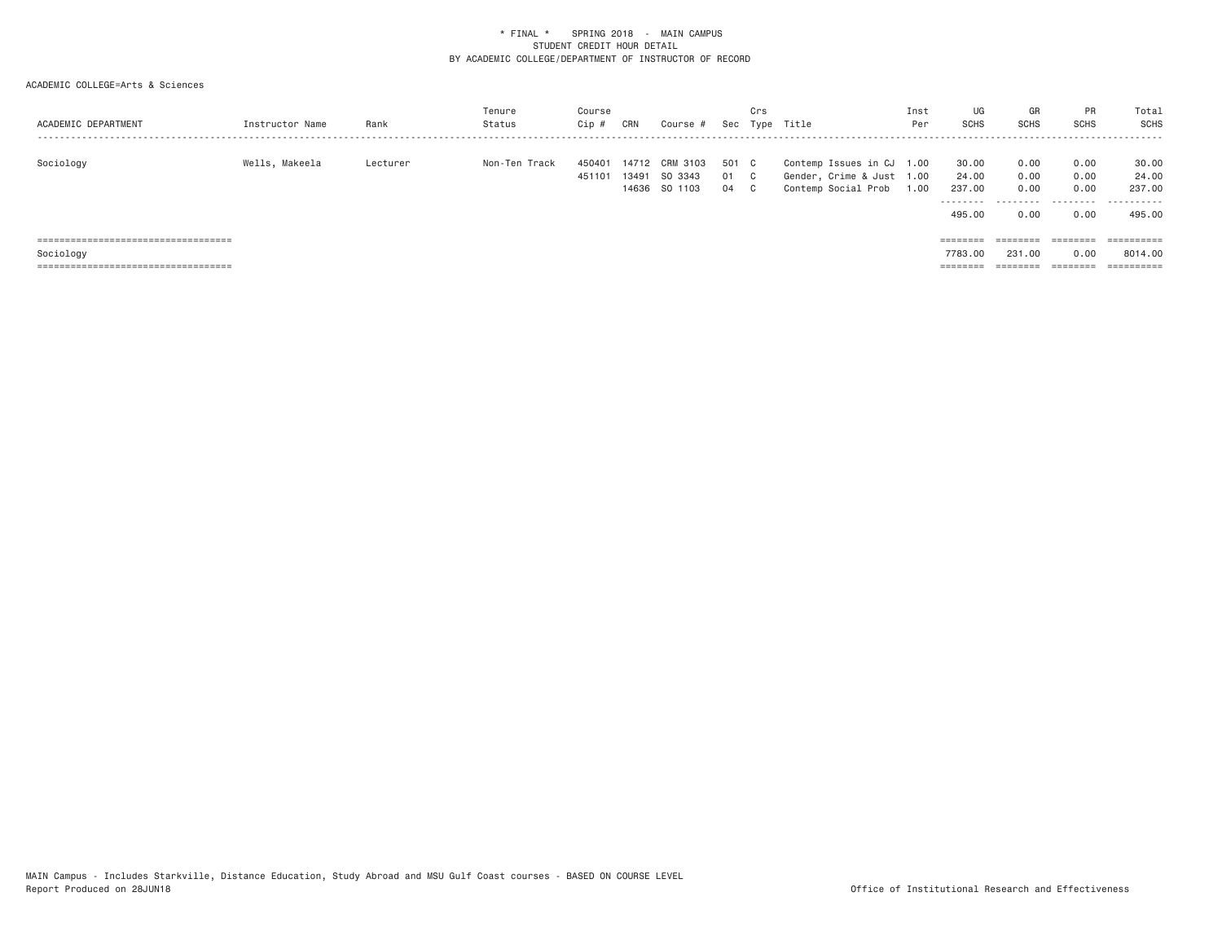| ACADEMIC DEPARTMENT                               | Instructor Name | Rank     | Tenure<br>Status | Course<br>Cip #  | CRN            | Course #                             |                   | Crs       | Sec Type Title                                                                | Inst<br>Per | UG<br><b>SCHS</b>                               | GR<br><b>SCHS</b>                          | PR<br><b>SCHS</b>            | Total<br>SCHS                          |
|---------------------------------------------------|-----------------|----------|------------------|------------------|----------------|--------------------------------------|-------------------|-----------|-------------------------------------------------------------------------------|-------------|-------------------------------------------------|--------------------------------------------|------------------------------|----------------------------------------|
| Sociology                                         | Wells, Makeela  | Lecturer | Non-Ten Track    | 450401<br>451101 | 14712<br>13491 | CRM 3103<br>SO 3343<br>14636 SO 1103 | 501 C<br>01<br>04 | - C<br>C. | Contemp Issues in CJ 1.00<br>Gender, Crime & Just 1.00<br>Contemp Social Prob | 1.00        | 30.00<br>24.00<br>237,00<br>---------<br>495,00 | 0.00<br>0.00<br>0.00<br>----------<br>0.00 | 0.00<br>0.00<br>0.00<br>0.00 | 30.00<br>24,00<br>237,00<br><br>495,00 |
| =====================================             |                 |          |                  |                  |                |                                      |                   |           |                                                                               |             | ========                                        | ========                                   | ========                     | ==========                             |
| Sociology<br>------------------------------------ |                 |          |                  |                  |                |                                      |                   |           |                                                                               |             | 7783.00<br>--------                             | 231,00<br>---------                        | 0.00<br>---------            | 8014.00<br>----------                  |
| -----------------------------------               |                 |          |                  |                  |                |                                      |                   |           |                                                                               |             | --------                                        | --------                                   | --------                     | ----------                             |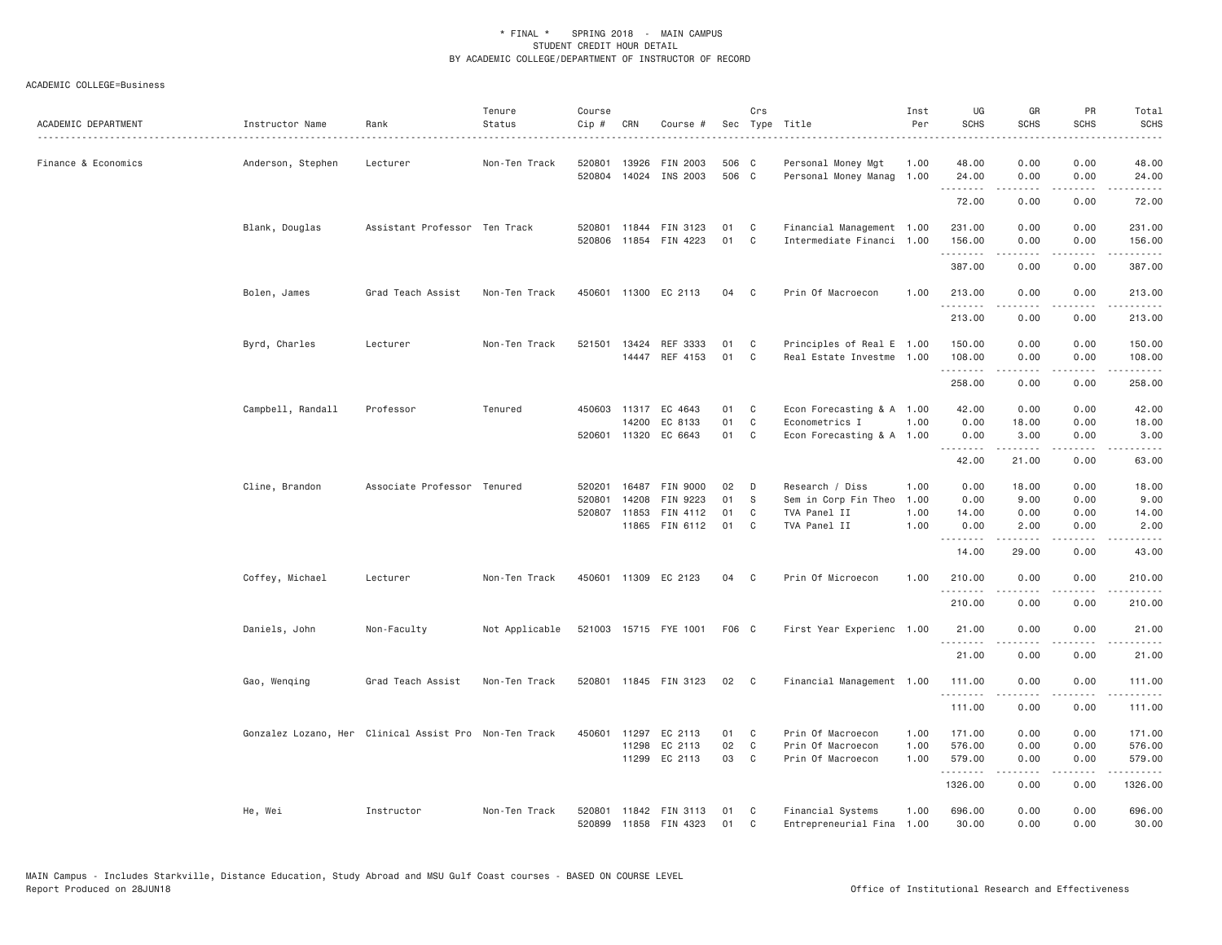| ACADEMIC DEPARTMENT | Instructor Name   | Rank                                                   | Tenure<br>Status | Course<br>Cip #  | CRN                   | Course #                                                        |                      | Crs                                          | Sec Type Title                                                           | Inst<br>Per                  | UG<br><b>SCHS</b>                           | GR<br><b>SCHS</b>                                     | PR<br><b>SCHS</b>                                    | Total<br>SCHS                                                                                                                                                                             |
|---------------------|-------------------|--------------------------------------------------------|------------------|------------------|-----------------------|-----------------------------------------------------------------|----------------------|----------------------------------------------|--------------------------------------------------------------------------|------------------------------|---------------------------------------------|-------------------------------------------------------|------------------------------------------------------|-------------------------------------------------------------------------------------------------------------------------------------------------------------------------------------------|
| Finance & Economics | Anderson, Stephen | Lecturer                                               | Non-Ten Track    | 520801<br>520804 | 13926<br>14024        | FIN 2003<br>INS 2003                                            | 506 C<br>506 C       |                                              | Personal Money Mgt<br>Personal Money Manag 1.00                          | 1.00                         | 48.00<br>24.00                              | 0.00<br>0.00                                          | 0.00<br>0.00                                         | 48.00<br>24.00                                                                                                                                                                            |
|                     |                   |                                                        |                  |                  |                       |                                                                 |                      |                                              |                                                                          |                              | .<br>72.00                                  | .<br>0.00                                             | $\frac{1}{2}$<br>0.00                                | .<br>72.00                                                                                                                                                                                |
|                     | Blank, Douglas    | Assistant Professor Ten Track                          |                  |                  | 520801 11844          | FIN 3123<br>520806 11854 FIN 4223                               | 01<br>01             | $\mathbf{C}$<br>C                            | Financial Management 1.00<br>Intermediate Financi 1.00                   |                              | 231.00<br>156.00<br>.                       | 0.00<br>0.00<br>-----                                 | 0.00<br>0.00<br>$\sim$ $\sim$ $\sim$ $\sim$          | 231.00<br>156.00<br>$\frac{1}{2} \left( \frac{1}{2} \right) \left( \frac{1}{2} \right) \left( \frac{1}{2} \right) \left( \frac{1}{2} \right) \left( \frac{1}{2} \right)$                  |
|                     |                   |                                                        |                  |                  |                       |                                                                 |                      |                                              |                                                                          |                              | 387.00                                      | 0.00                                                  | 0.00                                                 | 387.00                                                                                                                                                                                    |
|                     | Bolen, James      | Grad Teach Assist                                      | Non-Ten Track    |                  |                       | 450601 11300 EC 2113                                            | 04                   | C                                            | Prin Of Macroecon                                                        | 1.00                         | 213.00<br>.                                 | 0.00<br>.                                             | 0.00<br>.                                            | 213.00<br>.                                                                                                                                                                               |
|                     |                   |                                                        |                  |                  |                       |                                                                 |                      |                                              |                                                                          |                              | 213.00                                      | 0.00                                                  | 0.00                                                 | 213.00                                                                                                                                                                                    |
|                     | Byrd, Charles     | Lecturer                                               | Non-Ten Track    | 521501           | 13424                 | REF 3333<br>14447 REF 4153                                      | 01<br>01             | $\mathbf{C}$<br>$\mathbf{C}$                 | Principles of Real E 1.00<br>Real Estate Investme 1.00                   |                              | 150.00<br>108.00<br>.                       | 0.00<br>0.00<br>.                                     | 0.00<br>0.00<br>$\frac{1}{2}$                        | 150.00<br>108.00<br>.                                                                                                                                                                     |
|                     |                   |                                                        |                  |                  |                       |                                                                 |                      |                                              |                                                                          |                              | 258.00                                      | 0.00                                                  | 0.00                                                 | 258.00                                                                                                                                                                                    |
|                     | Campbell, Randall | Professor                                              | Tenured          |                  | 14200                 | 450603 11317 EC 4643<br>EC 8133<br>520601 11320 EC 6643         | 01 C<br>01<br>01 C   | C                                            | Econ Forecasting & A 1.00<br>Econometrics I<br>Econ Forecasting & A 1.00 | 1.00                         | 42.00<br>0.00<br>0.00                       | 0.00<br>18.00<br>3.00                                 | 0.00<br>0.00<br>0.00                                 | 42.00<br>18.00<br>3.00                                                                                                                                                                    |
|                     |                   |                                                        |                  |                  |                       |                                                                 |                      |                                              |                                                                          |                              | . <b>.</b><br>42.00                         | .<br>21.00                                            | .<br>0.00                                            | .<br>63.00                                                                                                                                                                                |
|                     | Cline, Brandon    | Associate Professor Tenured                            |                  | 520801           | 14208<br>520807 11853 | 520201 16487 FIN 9000<br>FIN 9223<br>FIN 4112<br>11865 FIN 6112 | 02<br>01<br>01<br>01 | $\Box$<br>- S<br>C<br>C                      | Research / Diss<br>Sem in Corp Fin Theo<br>TVA Panel II<br>TVA Panel II  | 1.00<br>1.00<br>1.00<br>1.00 | 0.00<br>0.00<br>14.00<br>0.00<br>.<br>14.00 | 18.00<br>9.00<br>0.00<br>2.00<br>$- - - - -$<br>29.00 | 0.00<br>0.00<br>0.00<br>0.00<br>.<br>0.00            | 18.00<br>9.00<br>14.00<br>2.00<br>.<br>43.00                                                                                                                                              |
|                     | Coffey, Michael   | Lecturer                                               | Non-Ten Track    |                  |                       | 450601 11309 EC 2123                                            | 04 C                 |                                              | Prin Of Microecon                                                        | 1.00                         | 210.00                                      | 0.00                                                  | 0.00                                                 | 210.00                                                                                                                                                                                    |
|                     |                   |                                                        |                  |                  |                       |                                                                 |                      |                                              |                                                                          |                              | .<br>210.00                                 | .<br>0.00                                             | $\frac{1}{2}$<br>0.00                                | .<br>210.00                                                                                                                                                                               |
|                     | Daniels, John     | Non-Faculty                                            | Not Applicable   |                  |                       | 521003 15715 FYE 1001                                           | F06 C                |                                              | First Year Experienc 1.00                                                |                              | 21.00                                       | 0.00                                                  | 0.00                                                 | 21.00                                                                                                                                                                                     |
|                     |                   |                                                        |                  |                  |                       |                                                                 |                      |                                              |                                                                          |                              | .<br>21.00                                  | 0.00                                                  | 0.00                                                 | 21.00                                                                                                                                                                                     |
|                     | Gao, Wenqing      | Grad Teach Assist                                      | Non-Ten Track    |                  |                       | 520801 11845 FIN 3123                                           | 02                   | $\overline{\phantom{a}}$ C                   | Financial Management 1.00                                                |                              | 111.00                                      | 0.00                                                  | 0.00                                                 | 111.00                                                                                                                                                                                    |
|                     |                   |                                                        |                  |                  |                       |                                                                 |                      |                                              |                                                                          |                              | .<br>111.00                                 | -----<br>0.00                                         | .<br>0.00                                            | $\frac{1}{2} \left( \frac{1}{2} \right) \left( \frac{1}{2} \right) \left( \frac{1}{2} \right) \left( \frac{1}{2} \right) \left( \frac{1}{2} \right) \left( \frac{1}{2} \right)$<br>111.00 |
|                     |                   | Gonzalez Lozano, Her Clinical Assist Pro Non-Ten Track |                  | 450601           | 11298                 | 11297 EC 2113<br>EC 2113<br>11299 EC 2113                       | 01<br>02<br>03       | $\mathbf{C}$<br>$\mathbf{C}$<br>$\mathbf{C}$ | Prin Of Macroecon<br>Prin Of Macroecon<br>Prin Of Macroecon              | 1.00<br>1.00<br>1.00         | 171.00<br>576.00<br>579.00<br>.<br>1326.00  | 0.00<br>0.00<br>0.00<br>.<br>0.00                     | 0.00<br>0.00<br>0.00<br>$\sim$ $\sim$ $\sim$<br>0.00 | 171.00<br>576.00<br>579.00<br>.<br>1326.00                                                                                                                                                |
|                     | He, Wei           | Instructor                                             | Non-Ten Track    | 520801           |                       | 11842 FIN 3113<br>520899 11858 FIN 4323                         | 01<br>01             | C <sub>c</sub><br>C                          | Financial Systems<br>Entrepreneurial Fina 1.00                           | 1.00                         | 696.00<br>30.00                             | 0.00<br>0.00                                          | 0.00<br>0.00                                         | 696.00<br>30.00                                                                                                                                                                           |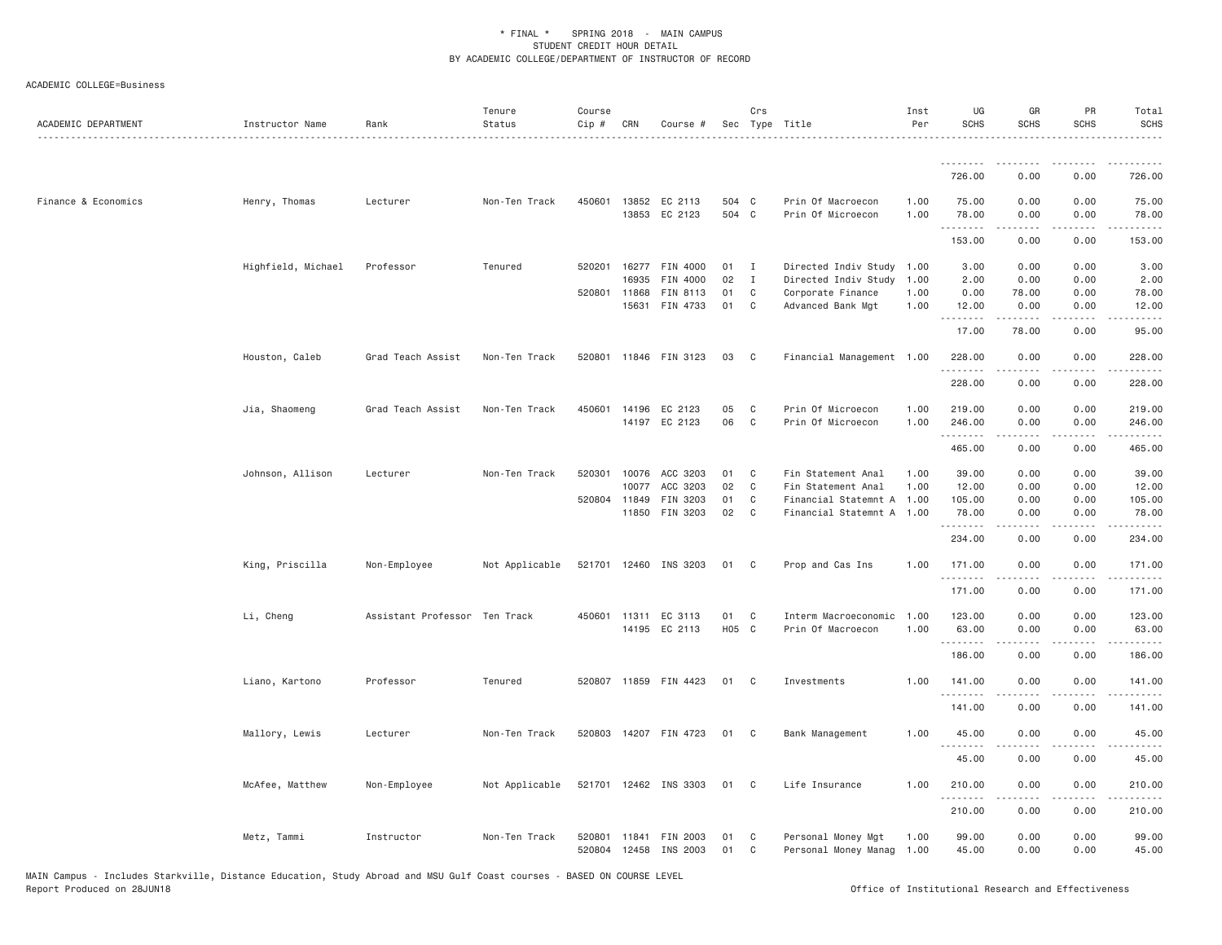| ACADEMIC DEPARTMENT | Instructor Name    | Rank                          | Tenure<br>Status | Course<br>Cip #  | CRN            | Course #                              |                | Crs          | Sec Type Title                             | Inst<br>Per  | UG<br><b>SCHS</b>   | GR<br><b>SCHS</b> | PR<br><b>SCHS</b>                                                                                                                 | Total<br><b>SCHS</b>                                                                                                                                           |
|---------------------|--------------------|-------------------------------|------------------|------------------|----------------|---------------------------------------|----------------|--------------|--------------------------------------------|--------------|---------------------|-------------------|-----------------------------------------------------------------------------------------------------------------------------------|----------------------------------------------------------------------------------------------------------------------------------------------------------------|
|                     |                    |                               |                  |                  |                |                                       |                |              |                                            |              |                     |                   |                                                                                                                                   |                                                                                                                                                                |
|                     |                    |                               |                  |                  |                |                                       |                |              |                                            |              | 726.00              | 0.00              | 0.00                                                                                                                              | 726.00                                                                                                                                                         |
| Finance & Economics | Henry, Thomas      | Lecturer                      | Non-Ten Track    |                  |                | 450601 13852 EC 2113<br>13853 EC 2123 | 504 C<br>504 C |              | Prin Of Macroecon<br>Prin Of Microecon     | 1.00<br>1.00 | 75.00<br>78.00<br>. | 0.00<br>0.00<br>. | 0.00<br>0.00<br>$\frac{1}{2}$                                                                                                     | 75.00<br>78.00<br>.                                                                                                                                            |
|                     |                    |                               |                  |                  |                |                                       |                |              |                                            |              | 153.00              | 0.00              | 0.00                                                                                                                              | 153.00                                                                                                                                                         |
|                     | Highfield, Michael | Professor                     | Tenured          | 520201           |                | 16277 FIN 4000                        | 01             | $\mathbf{I}$ | Directed Indiv Study                       | 1.00         | 3.00                | 0.00              | 0.00                                                                                                                              | 3.00                                                                                                                                                           |
|                     |                    |                               |                  | 520801 11868     | 16935          | FIN 4000                              | 02             | $\mathbf{I}$ | Directed Indiv Study                       | 1.00         | 2.00                | 0.00              | 0.00                                                                                                                              | 2.00                                                                                                                                                           |
|                     |                    |                               |                  |                  | 15631          | FIN 8113<br>FIN 4733                  | 01<br>01       | C<br>C       | Corporate Finance<br>Advanced Bank Mgt     | 1.00<br>1.00 | 0.00<br>12.00       | 78.00<br>0.00     | 0.00<br>0.00                                                                                                                      | 78.00<br>12.00                                                                                                                                                 |
|                     |                    |                               |                  |                  |                |                                       |                |              |                                            |              |                     | $- - - - -$       | .                                                                                                                                 | .                                                                                                                                                              |
|                     |                    |                               |                  |                  |                |                                       |                |              |                                            |              | 17.00               | 78.00             | 0.00                                                                                                                              | 95.00                                                                                                                                                          |
|                     | Houston, Caleb     | Grad Teach Assist             | Non-Ten Track    |                  |                | 520801 11846 FIN 3123                 | 03             | C.           | Financial Management 1.00                  |              | 228.00<br>.         | 0.00              | 0.00<br>$\sim$ $\sim$ $\sim$ $\sim$                                                                                               | 228.00<br>.                                                                                                                                                    |
|                     |                    |                               |                  |                  |                |                                       |                |              |                                            |              | 228.00              | 0.00              | 0.00                                                                                                                              | 228.00                                                                                                                                                         |
|                     | Jia, Shaomeng      | Grad Teach Assist             | Non-Ten Track    | 450601           |                | 14196 EC 2123                         | 05             | C            | Prin Of Microecon                          | 1.00         | 219.00              | 0.00              | 0.00                                                                                                                              | 219.00                                                                                                                                                         |
|                     |                    |                               |                  |                  |                | 14197 EC 2123                         | 06             | C            | Prin Of Microecon                          | 1.00         | 246.00<br>.         | 0.00<br>.         | 0.00<br>$\sim$ $\sim$ $\sim$                                                                                                      | 246.00<br>$\mathcal{L}^{\mathcal{A}}\left( \mathcal{A}^{\mathcal{A}}\right) =\mathcal{L}^{\mathcal{A}}\left( \mathcal{A}^{\mathcal{A}}\right)$                 |
|                     |                    |                               |                  |                  |                |                                       |                |              |                                            |              | 465.00              | 0.00              | 0.00                                                                                                                              | 465.00                                                                                                                                                         |
|                     | Johnson, Allison   | Lecturer                      | Non-Ten Track    | 520301           | 10076          | ACC 3203                              | 01             | C            | Fin Statement Anal                         | 1.00         | 39.00               | 0.00              | 0.00                                                                                                                              | 39.00                                                                                                                                                          |
|                     |                    |                               |                  |                  | 10077          | ACC 3203                              | 02             | C            | Fin Statement Anal                         | 1.00         | 12.00               | 0.00              | 0.00                                                                                                                              | 12.00                                                                                                                                                          |
|                     |                    |                               |                  |                  | 520804 11849   | FIN 3203<br>FIN 3203                  | 01<br>02       | C            | Financial Statemnt A 1.00                  |              | 105.00              | 0.00              | 0.00                                                                                                                              | 105.00                                                                                                                                                         |
|                     |                    |                               |                  |                  | 11850          |                                       |                | C            | Financial Statemnt A 1.00                  |              | 78.00<br>.          | 0.00<br>.         | 0.00<br>.                                                                                                                         | 78.00<br>.                                                                                                                                                     |
|                     |                    |                               |                  |                  |                |                                       |                |              |                                            |              | 234.00              | 0.00              | 0.00                                                                                                                              | 234.00                                                                                                                                                         |
|                     | King, Priscilla    | Non-Employee                  | Not Applicable   | 521701           |                | 12460 INS 3203                        | 01             | C.           | Prop and Cas Ins                           | 1.00         | 171.00<br>.         | 0.00              | 0.00                                                                                                                              | 171.00                                                                                                                                                         |
|                     |                    |                               |                  |                  |                |                                       |                |              |                                            |              | 171.00              | 0.00              | 0.00                                                                                                                              | 171.00                                                                                                                                                         |
|                     | Li, Cheng          | Assistant Professor Ten Track |                  |                  |                | 450601 11311 EC 3113                  | 01             | C            | Interm Macroeconomic                       | 1.00         | 123.00              | 0.00              | 0.00                                                                                                                              | 123.00                                                                                                                                                         |
|                     |                    |                               |                  |                  |                | 14195 EC 2113                         | H05 C          |              | Prin Of Macroecon                          | 1.00         | 63.00               | 0.00              | 0.00                                                                                                                              | 63.00                                                                                                                                                          |
|                     |                    |                               |                  |                  |                |                                       |                |              |                                            |              | .<br>186.00         | .<br>0.00         | $\frac{1}{2} \left( \frac{1}{2} \right) \left( \frac{1}{2} \right) \left( \frac{1}{2} \right) \left( \frac{1}{2} \right)$<br>0.00 | .<br>186.00                                                                                                                                                    |
|                     | Liano, Kartono     | Professor                     | Tenured          |                  |                | 520807 11859 FIN 4423                 | 01             | $\mathbf{C}$ | Investments                                | 1.00         | 141.00              | 0.00              | 0.00                                                                                                                              | 141.00                                                                                                                                                         |
|                     |                    |                               |                  |                  |                |                                       |                |              |                                            |              | 141.00              | 0.00              | 0.00                                                                                                                              | 141.00                                                                                                                                                         |
|                     | Mallory, Lewis     | Lecturer                      | Non-Ten Track    |                  |                | 520803 14207 FIN 4723                 | 01 C           |              | Bank Management                            | 1.00         | 45.00               | 0.00              | 0.00                                                                                                                              | 45.00                                                                                                                                                          |
|                     |                    |                               |                  |                  |                |                                       |                |              |                                            |              | 45.00               | .<br>0.00         | .<br>0.00                                                                                                                         | .<br>45.00                                                                                                                                                     |
|                     | McAfee, Matthew    | Non-Employee                  | Not Applicable   |                  |                | 521701 12462 INS 3303                 | 01             | C            | Life Insurance                             | 1.00         | 210.00              | 0.00              | 0.00                                                                                                                              | 210.00                                                                                                                                                         |
|                     |                    |                               |                  |                  |                |                                       |                |              |                                            |              | .<br>210.00         | 0.00              | بالمحام<br>0.00                                                                                                                   | $\frac{1}{2} \left( \frac{1}{2} \right) \left( \frac{1}{2} \right) \left( \frac{1}{2} \right) \left( \frac{1}{2} \right) \left( \frac{1}{2} \right)$<br>210.00 |
|                     | Metz, Tammi        | Instructor                    | Non-Ten Track    | 520801<br>520804 | 11841<br>12458 | FIN 2003<br>INS 2003                  | 01<br>01       | C<br>C       | Personal Money Mgt<br>Personal Money Manag | 1.00<br>1.00 | 99.00<br>45.00      | 0.00<br>0.00      | 0.00<br>0.00                                                                                                                      | 99.00<br>45.00                                                                                                                                                 |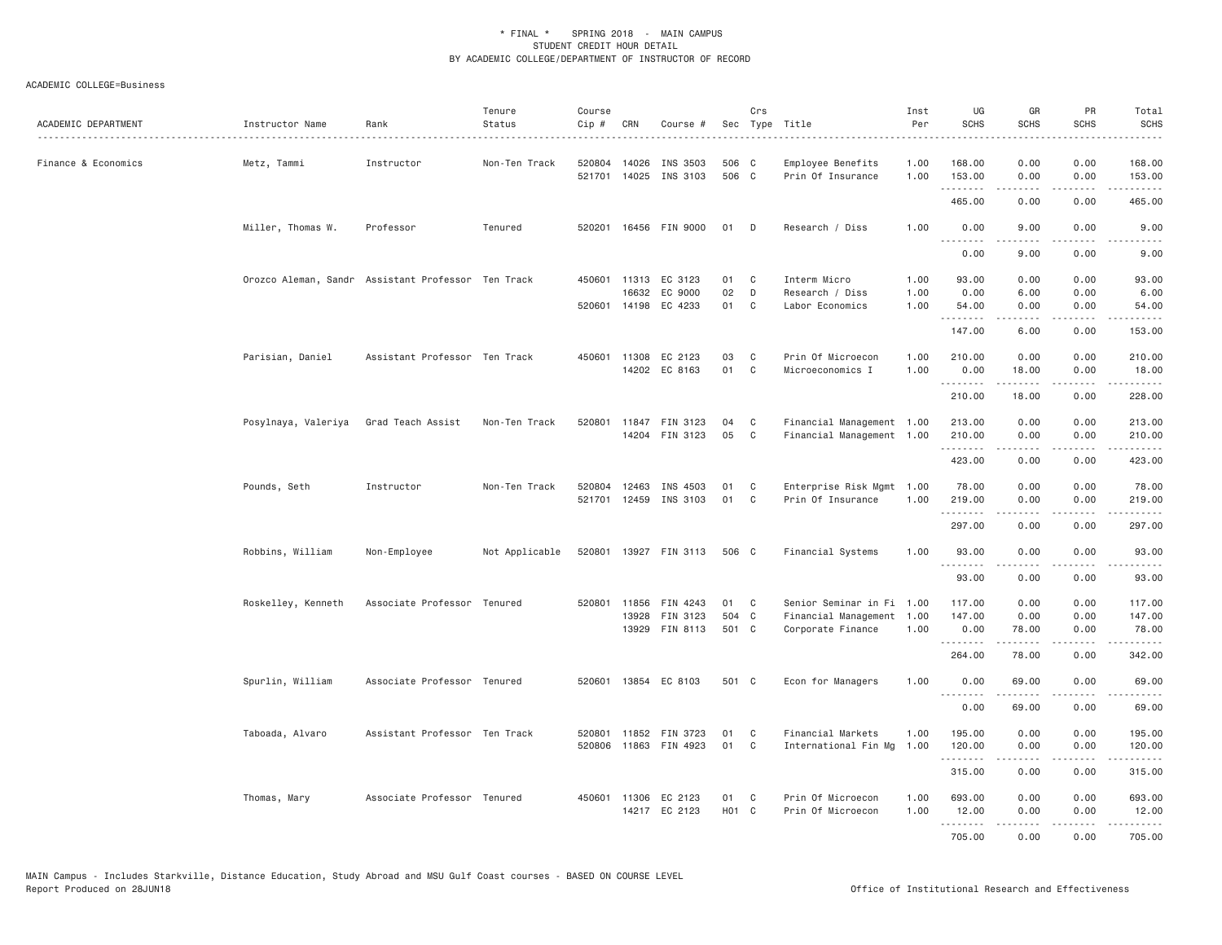| ACADEMIC DEPARTMENT | Instructor Name     | Rank                                               | Tenure<br>Status | Course<br>$Cip$ # | CRN                   | Course #                                                |                         | Crs         | Sec Type Title                                                    | Inst<br>Per          | UG<br><b>SCHS</b>        | GR<br><b>SCHS</b>                                                                                                                                             | <b>PR</b><br><b>SCHS</b>            | Total<br><b>SCHS</b>                                                                                                                                                                      |
|---------------------|---------------------|----------------------------------------------------|------------------|-------------------|-----------------------|---------------------------------------------------------|-------------------------|-------------|-------------------------------------------------------------------|----------------------|--------------------------|---------------------------------------------------------------------------------------------------------------------------------------------------------------|-------------------------------------|-------------------------------------------------------------------------------------------------------------------------------------------------------------------------------------------|
| Finance & Economics | Metz, Tammi         | Instructor                                         | Non-Ten Track    | 520804<br>521701  | 14026<br>14025        | INS 3503<br>INS 3103                                    | 506 C<br>506 C          |             | Employee Benefits<br>Prin Of Insurance                            | 1.00<br>1.00         | 168.00<br>153.00         | 0.00<br>0.00                                                                                                                                                  | 0.00<br>0.00                        | 168.00<br>153.00                                                                                                                                                                          |
|                     |                     |                                                    |                  |                   |                       |                                                         |                         |             |                                                                   |                      | .<br>465.00              | -----<br>0.00                                                                                                                                                 | لأعاجب<br>0.00                      | $\frac{1}{2} \left( \frac{1}{2} \right) \left( \frac{1}{2} \right) \left( \frac{1}{2} \right) \left( \frac{1}{2} \right) \left( \frac{1}{2} \right) \left( \frac{1}{2} \right)$<br>465.00 |
|                     | Miller, Thomas W.   | Professor                                          | Tenured          | 520201            |                       | 16456 FIN 9000                                          | 01                      | D           | Research / Diss                                                   | 1.00                 | 0.00                     | 9.00                                                                                                                                                          | 0.00                                | 9.00                                                                                                                                                                                      |
|                     |                     |                                                    |                  |                   |                       |                                                         |                         |             |                                                                   |                      | .<br>0.00                | 9.00                                                                                                                                                          | 0.00                                | 9.00                                                                                                                                                                                      |
|                     |                     | Orozco Aleman, Sandr Assistant Professor Ten Track |                  |                   | 16632                 | 450601 11313 EC 3123<br>EC 9000<br>520601 14198 EC 4233 | 01<br>02<br>01          | C<br>D<br>C | Interm Micro<br>Research / Diss<br>Labor Economics                | 1.00<br>1.00<br>1.00 | 93.00<br>0.00<br>54.00   | 0.00<br>6.00<br>0.00                                                                                                                                          | 0.00<br>0.00<br>0.00                | 93.00<br>6.00<br>54.00                                                                                                                                                                    |
|                     |                     |                                                    |                  |                   |                       |                                                         |                         |             |                                                                   |                      | .<br>147.00              | $\frac{1}{2} \left( \frac{1}{2} \right) \left( \frac{1}{2} \right) \left( \frac{1}{2} \right) \left( \frac{1}{2} \right) \left( \frac{1}{2} \right)$<br>6.00  | .<br>0.00                           | .<br>153.00                                                                                                                                                                               |
|                     | Parisian, Daniel    | Assistant Professor Ten Track                      |                  | 450601            | 11308                 | EC 2123<br>14202 EC 8163                                | 03<br>01                | C<br>C      | Prin Of Microecon<br>Microeconomics I                             | 1.00<br>1.00         | 210.00<br>0.00           | 0.00<br>18.00                                                                                                                                                 | 0.00<br>0.00                        | 210.00<br>18.00                                                                                                                                                                           |
|                     |                     |                                                    |                  |                   |                       |                                                         |                         |             |                                                                   |                      | .<br>210.00              | $\frac{1}{2} \left( \frac{1}{2} \right) \left( \frac{1}{2} \right) \left( \frac{1}{2} \right) \left( \frac{1}{2} \right) \left( \frac{1}{2} \right)$<br>18.00 | د د د د<br>0.00                     | .<br>228.00                                                                                                                                                                               |
|                     | Posylnaya, Valeriya | Grad Teach Assist                                  | Non-Ten Track    | 520801            |                       | 11847 FIN 3123<br>14204 FIN 3123                        | 04<br>05                | C<br>C      | Financial Management 1.00<br>Financial Management 1.00            |                      | 213.00<br>210.00         | 0.00<br>0.00                                                                                                                                                  | 0.00<br>0.00                        | 213.00<br>210.00                                                                                                                                                                          |
|                     |                     |                                                    |                  |                   |                       |                                                         |                         |             |                                                                   |                      | 423.00                   | .<br>0.00                                                                                                                                                     | المتماما<br>0.00                    | 423.00                                                                                                                                                                                    |
|                     | Pounds, Seth        | Instructor                                         | Non-Ten Track    | 520804<br>521701  | 12463<br>12459        | INS 4503<br>INS 3103                                    | 01<br>01                | C<br>C      | Enterprise Risk Mgmt 1.00<br>Prin Of Insurance                    | 1.00                 | 78.00<br>219.00<br>.     | 0.00<br>0.00<br>.                                                                                                                                             | 0.00<br>0.00                        | 78.00<br>219.00<br><u>.</u>                                                                                                                                                               |
|                     |                     |                                                    |                  |                   |                       |                                                         |                         |             |                                                                   |                      | 297.00                   | 0.00                                                                                                                                                          | 0.00                                | 297.00                                                                                                                                                                                    |
|                     | Robbins, William    | Non-Employee                                       | Not Applicable   |                   |                       | 520801 13927 FIN 3113                                   | 506 C                   |             | Financial Systems                                                 | 1.00                 | 93.00                    | 0.00                                                                                                                                                          | 0.00                                | 93.00                                                                                                                                                                                     |
|                     |                     |                                                    |                  |                   |                       |                                                         |                         |             |                                                                   |                      | 93.00                    | 0.00                                                                                                                                                          | 0.00                                | 93.00                                                                                                                                                                                     |
|                     | Roskelley, Kenneth  | Associate Professor Tenured                        |                  |                   | 520801 11856<br>13928 | FIN 4243<br>FIN 3123<br>13929 FIN 8113                  | 01<br>504 C<br>501 C    | C           | Senior Seminar in Fi<br>Financial Management<br>Corporate Finance | 1.00<br>1.00<br>1.00 | 117.00<br>147.00<br>0.00 | 0.00<br>0.00<br>78.00                                                                                                                                         | 0.00<br>0.00<br>0.00                | 117.00<br>147.00<br>78.00                                                                                                                                                                 |
|                     |                     |                                                    |                  |                   |                       |                                                         |                         |             |                                                                   |                      | .<br>264.00              | $\omega$ is a set<br>78.00                                                                                                                                    | .<br>0.00                           | .<br>342.00                                                                                                                                                                               |
|                     | Spurlin, William    | Associate Professor Tenured                        |                  | 520601            |                       | 13854 EC 8103                                           | 501 C                   |             | Econ for Managers                                                 | 1.00                 | 0.00                     | 69.00                                                                                                                                                         | 0.00                                | 69.00                                                                                                                                                                                     |
|                     |                     |                                                    |                  |                   |                       |                                                         |                         |             |                                                                   |                      | .<br>0.00                | 69.00                                                                                                                                                         | 0.00                                | 69.00                                                                                                                                                                                     |
|                     | Taboada, Alvaro     | Assistant Professor Ten Track                      |                  | 520806            |                       | 520801 11852 FIN 3723<br>11863 FIN 4923                 | 01<br>01                | C<br>C      | Financial Markets<br>International Fin Mg                         | 1.00<br>1.00         | 195.00<br>120.00         | 0.00<br>0.00                                                                                                                                                  | 0.00<br>0.00                        | 195.00<br>120.00                                                                                                                                                                          |
|                     |                     |                                                    |                  |                   |                       |                                                         |                         |             |                                                                   |                      | .<br>315.00              | -----<br>0.00                                                                                                                                                 | .<br>0.00                           | $\frac{1}{2} \left( \frac{1}{2} \right) \left( \frac{1}{2} \right) \left( \frac{1}{2} \right) \left( \frac{1}{2} \right) \left( \frac{1}{2} \right) \left( \frac{1}{2} \right)$<br>315.00 |
|                     | Thomas, Mary        | Associate Professor Tenured                        |                  |                   | 450601 11306          | EC 2123<br>14217 EC 2123                                | 01<br>H <sub>01</sub> C | C           | Prin Of Microecon<br>Prin Of Microecon                            | 1.00<br>1.00         | 693.00<br>12.00          | 0.00<br>0.00                                                                                                                                                  | 0.00<br>0.00                        | 693.00<br>12.00                                                                                                                                                                           |
|                     |                     |                                                    |                  |                   |                       |                                                         |                         |             |                                                                   |                      | .<br>705.00              | 0.00                                                                                                                                                          | $\sim$ $\sim$ $\sim$ $\sim$<br>0.00 | -----<br>705.00                                                                                                                                                                           |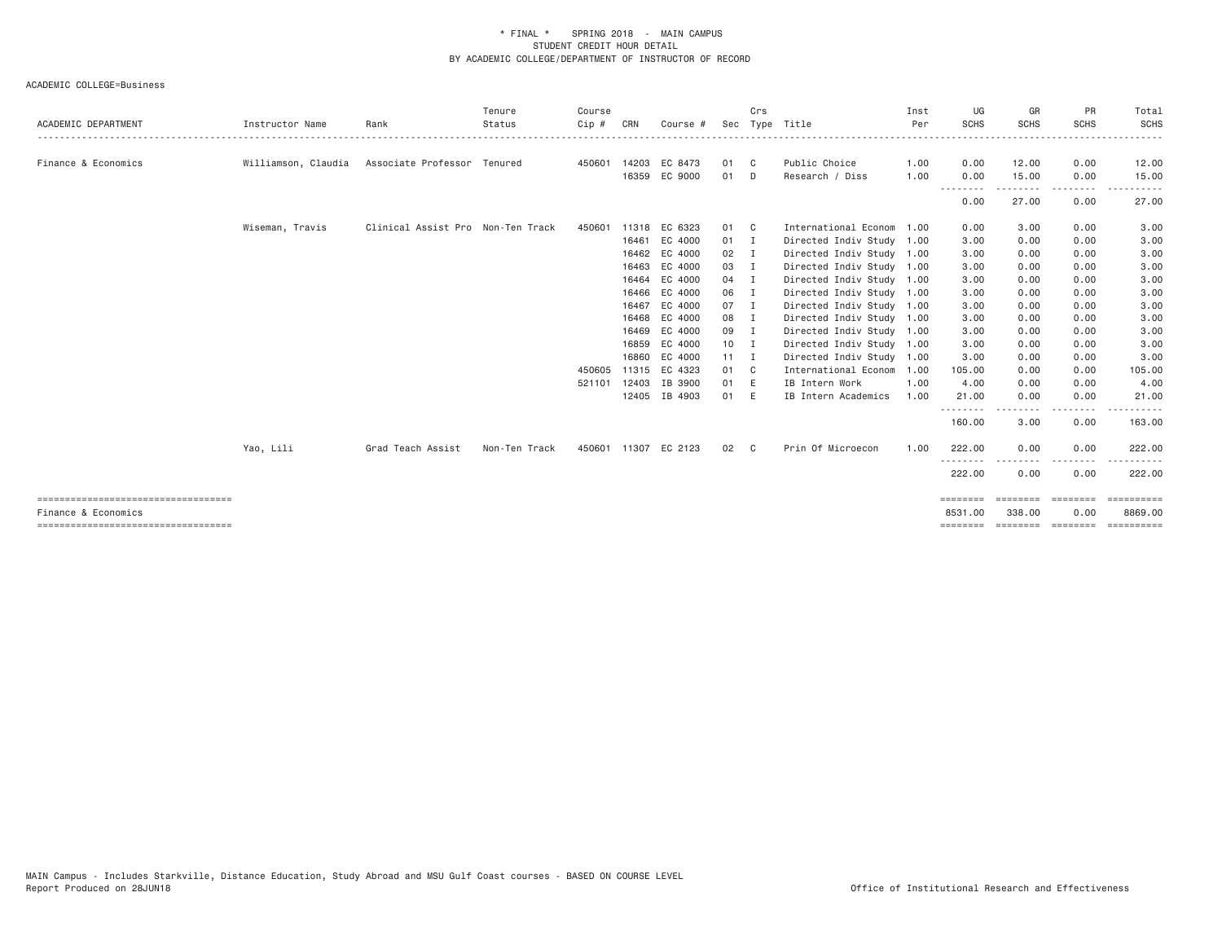| ACADEMIC DEPARTMENT                                         | Instructor Name     | Rank                              | Tenure<br>Status | Course<br>Cip # | CRN   | Course #             | Sec          | Crs | Type Title                | Inst<br>Per | UG<br><b>SCHS</b>       | GR<br><b>SCHS</b>  | PR<br><b>SCHS</b> | Total<br><b>SCHS</b>  |
|-------------------------------------------------------------|---------------------|-----------------------------------|------------------|-----------------|-------|----------------------|--------------|-----|---------------------------|-------------|-------------------------|--------------------|-------------------|-----------------------|
| Finance & Economics                                         | Williamson, Claudia | Associate Professor Tenured       |                  |                 |       | 450601 14203 EC 8473 | 01 C         |     | Public Choice             | 1.00        | 0.00                    | 12.00              | 0.00              | 12.00                 |
|                                                             |                     |                                   |                  |                 |       | 16359 EC 9000        | 01           | D   | Research / Diss           | 1.00        | 0.00                    | 15.00              | 0.00              | 15.00                 |
|                                                             |                     |                                   |                  |                 |       |                      |              |     |                           |             | - - - - - - - -<br>0.00 | 27.00              | 0.00              | 27.00                 |
|                                                             | Wiseman, Travis     | Clinical Assist Pro Non-Ten Track |                  | 450601          | 11318 | EC 6323              | 01 C         |     | International Econom 1.00 |             | 0.00                    | 3.00               | 0.00              | 3.00                  |
|                                                             |                     |                                   |                  |                 | 16461 | EC 4000              | $01$ I       |     | Directed Indiv Study 1.00 |             | 3.00                    | 0.00               | 0.00              | 3.00                  |
|                                                             |                     |                                   |                  |                 |       | 16462 EC 4000        | $02$ I       |     | Directed Indiv Study 1.00 |             | 3.00                    | 0.00               | 0.00              | 3.00                  |
|                                                             |                     |                                   |                  |                 | 16463 | EC 4000              | 03 I         |     | Directed Indiv Study 1.00 |             | 3.00                    | 0.00               | 0.00              | 3.00                  |
|                                                             |                     |                                   |                  |                 | 16464 | EC 4000              | 04 I         |     | Directed Indiv Study 1.00 |             | 3.00                    | 0.00               | 0.00              | 3.00                  |
|                                                             |                     |                                   |                  |                 | 16466 | EC 4000              | 06 I         |     | Directed Indiv Study 1.00 |             | 3.00                    | 0.00               | 0.00              | 3.00                  |
|                                                             |                     |                                   |                  |                 | 16467 | EC 4000              | 07 I         |     | Directed Indiv Study 1.00 |             | 3.00                    | 0.00               | 0.00              | 3.00                  |
|                                                             |                     |                                   |                  |                 |       | 16468 EC 4000        | 08 I         |     | Directed Indiv Study 1.00 |             | 3.00                    | 0.00               | 0.00              | 3.00                  |
|                                                             |                     |                                   |                  |                 | 16469 | EC 4000              | 09 I         |     | Directed Indiv Study 1.00 |             | 3.00                    | 0.00               | 0.00              | 3.00                  |
|                                                             |                     |                                   |                  |                 | 16859 | EC 4000              | $10$ I       |     | Directed Indiv Study 1.00 |             | 3.00                    | 0.00               | 0.00              | 3.00                  |
|                                                             |                     |                                   |                  |                 | 16860 | EC 4000              | $11 \quad I$ |     | Directed Indiv Study 1.00 |             | 3.00                    | 0.00               | 0.00              | 3.00                  |
|                                                             |                     |                                   |                  | 450605          | 11315 | EC 4323              | 01 C         |     | International Econom 1.00 |             | 105.00                  | 0.00               | 0.00              | 105.00                |
|                                                             |                     |                                   |                  | 521101          |       | 12403 IB 3900        | 01 E         |     | IB Intern Work            | 1,00        | 4.00                    | 0.00               | 0.00              | 4.00                  |
|                                                             |                     |                                   |                  |                 |       | 12405 IB 4903        | 01 E         |     | IB Intern Academics       | 1.00        | 21.00<br>--------       | 0.00<br>-----      | 0.00<br>.         | 21.00                 |
|                                                             |                     |                                   |                  |                 |       |                      |              |     |                           |             | 160.00                  | 3.00               | 0.00              | 163.00                |
|                                                             | Yao, Lili           | Grad Teach Assist                 | Non-Ten Track    |                 |       | 450601 11307 EC 2123 | 02           | C.  | Prin Of Microecon         | 1.00        | 222.00                  | 0.00               | 0.00              | 222.00                |
|                                                             |                     |                                   |                  |                 |       |                      |              |     |                           |             | <u>.</u><br>222.00      | 0.00               | 0.00              | 222.00                |
| ------------------------------------<br>Finance & Economics |                     |                                   |                  |                 |       |                      |              |     |                           |             | ========<br>8531,00     | 338,00             | 0.00              | ==========<br>8869,00 |
| ------------------------------------                        |                     |                                   |                  |                 |       |                      |              |     |                           |             | ========                | ================== |                   | ==========            |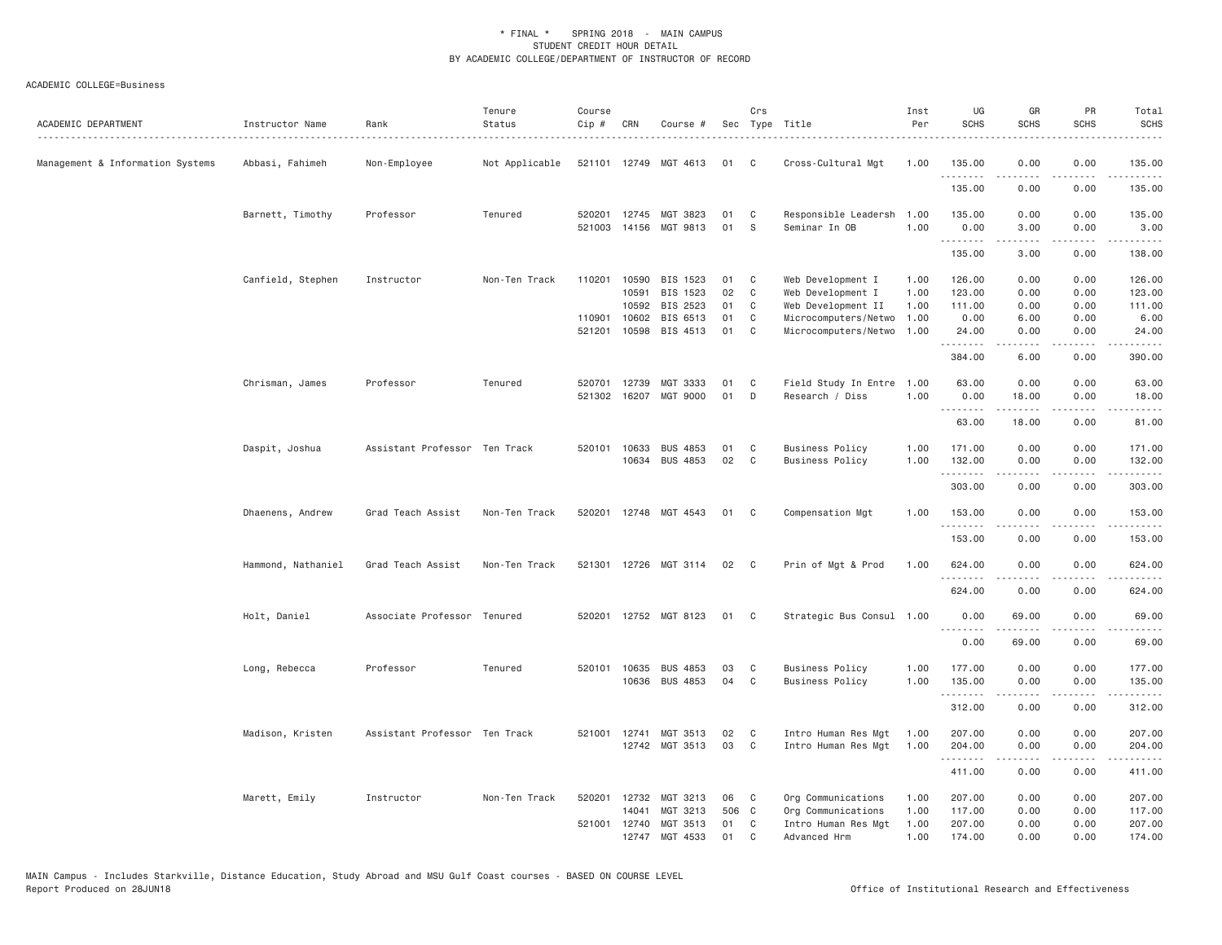| ACADEMIC DEPARTMENT              | Instructor Name    | Rank                          | Tenure<br>Status | Course<br>Cip # | CRN          | Course #                          |          | Crs          | Sec Type Title                        | Inst<br>Per  | UG<br><b>SCHS</b>     | GR<br><b>SCHS</b>                                                                                                                                            | PR<br><b>SCHS</b>                   | Total<br><b>SCHS</b>                                                                                                                                           |
|----------------------------------|--------------------|-------------------------------|------------------|-----------------|--------------|-----------------------------------|----------|--------------|---------------------------------------|--------------|-----------------------|--------------------------------------------------------------------------------------------------------------------------------------------------------------|-------------------------------------|----------------------------------------------------------------------------------------------------------------------------------------------------------------|
| Management & Information Systems | Abbasi, Fahimeh    | Non-Employee                  | Not Applicable   |                 |              | 521101 12749 MGT 4613             | 01       | C            | Cross-Cultural Mgt                    | 1.00         | 135.00<br>.           | 0.00                                                                                                                                                         | 0.00<br>----                        | 135.00<br>.                                                                                                                                                    |
|                                  |                    |                               |                  |                 |              |                                   |          |              |                                       |              | 135.00                | 0.00                                                                                                                                                         | 0.00                                | 135.00                                                                                                                                                         |
|                                  | Barnett, Timothy   | Professor                     | Tenured          | 521003          | 14156        | 520201 12745 MGT 3823<br>MGT 9813 | 01<br>01 | C<br>S       | Responsible Leadersh<br>Seminar In OB | 1.00<br>1.00 | 135.00<br>0.00        | 0.00<br>3.00                                                                                                                                                 | 0.00<br>0.00                        | 135.00<br>3.00                                                                                                                                                 |
|                                  |                    |                               |                  |                 |              |                                   |          |              |                                       |              | .<br>135.00           | 3.00                                                                                                                                                         | 0.00                                | $\sim$ $\sim$ $\sim$ $\sim$<br>138.00                                                                                                                          |
|                                  | Canfield, Stephen  | Instructor                    | Non-Ten Track    | 110201          | 10590        | BIS 1523                          | 01       | C            | Web Development I                     | 1.00         | 126.00                | 0.00                                                                                                                                                         | 0.00                                | 126.00                                                                                                                                                         |
|                                  |                    |                               |                  |                 | 10591        | BIS 1523                          | 02       | C            | Web Development I                     | 1.00         | 123.00                | 0.00                                                                                                                                                         | 0.00                                | 123.00                                                                                                                                                         |
|                                  |                    |                               |                  |                 | 10592        | BIS 2523                          | 01       | C            | Web Development II                    | 1.00         | 111.00                | 0.00                                                                                                                                                         | 0.00                                | 111.00                                                                                                                                                         |
|                                  |                    |                               |                  | 110901          | 10602        | BIS 6513                          | 01       | C            | Microcomputers/Netwo                  | 1.00         | 0.00                  | 6.00                                                                                                                                                         | 0.00                                | 6.00                                                                                                                                                           |
|                                  |                    |                               |                  | 521201          | 10598        | BIS 4513                          | 01       | C            | Microcomputers/Netwo                  | 1.00         | 24.00<br>.            | 0.00<br>.                                                                                                                                                    | 0.00<br>$\frac{1}{2}$               | 24.00<br>.                                                                                                                                                     |
|                                  |                    |                               |                  |                 |              |                                   |          |              |                                       |              | 384.00                | 6.00                                                                                                                                                         | 0.00                                | 390.00                                                                                                                                                         |
|                                  | Chrisman, James    | Professor                     | Tenured          | 520701          | 12739        | MGT 3333                          | 01       | C            | Field Study In Entre 1.00             |              | 63.00                 | 0.00                                                                                                                                                         | 0.00                                | 63.00                                                                                                                                                          |
|                                  |                    |                               |                  | 521302          | 16207        | MGT 9000                          | 01       | D            | Research / Diss                       | 1,00         | 0.00                  | 18.00                                                                                                                                                        | 0.00                                | 18.00                                                                                                                                                          |
|                                  |                    |                               |                  |                 |              |                                   |          |              |                                       |              | .                     |                                                                                                                                                              |                                     |                                                                                                                                                                |
|                                  |                    |                               |                  |                 |              |                                   |          |              |                                       |              | 63.00                 | 18.00                                                                                                                                                        | 0.00                                | 81.00                                                                                                                                                          |
|                                  | Daspit, Joshua     | Assistant Professor Ten Track |                  |                 | 520101 10633 | <b>BUS 4853</b>                   | 01       | C            | <b>Business Policy</b>                | 1.00         | 171.00                | 0.00                                                                                                                                                         | 0.00                                | 171.00                                                                                                                                                         |
|                                  |                    |                               |                  |                 | 10634        | <b>BUS 4853</b>                   | 02       | C            | <b>Business Policy</b>                | 1.00         | 132.00                | 0.00                                                                                                                                                         | 0.00                                | 132.00                                                                                                                                                         |
|                                  |                    |                               |                  |                 |              |                                   |          |              |                                       |              | .<br>303.00           | .<br>0.00                                                                                                                                                    | .<br>0.00                           | $- - - - -$<br>303.00                                                                                                                                          |
|                                  |                    |                               |                  |                 |              |                                   |          |              |                                       |              |                       |                                                                                                                                                              |                                     |                                                                                                                                                                |
|                                  | Dhaenens, Andrew   | Grad Teach Assist             | Non-Ten Track    | 520201          |              | 12748 MGT 4543                    | 01       | C            | Compensation Mgt                      | 1.00         | 153.00<br>.           | 0.00<br>.                                                                                                                                                    | 0.00<br>$\sim$ $\sim$ $\sim$ $\sim$ | 153.00<br>2.2.2.2.2                                                                                                                                            |
|                                  |                    |                               |                  |                 |              |                                   |          |              |                                       |              | 153.00                | 0.00                                                                                                                                                         | 0.00                                | 153.00                                                                                                                                                         |
|                                  | Hammond, Nathaniel | Grad Teach Assist             | Non-Ten Track    | 521301          | 12726        | MGT 3114                          | 02       | - C          | Prin of Mgt & Prod                    | 1.00         | 624.00                | 0.00                                                                                                                                                         | 0.00                                | 624.00                                                                                                                                                         |
|                                  |                    |                               |                  |                 |              |                                   |          |              |                                       |              | 624.00                | 0.00                                                                                                                                                         | 0.00                                | 624.00                                                                                                                                                         |
|                                  | Holt, Daniel       | Associate Professor Tenured   |                  | 520201          |              | 12752 MGT 8123                    | 01       | C            | Strategic Bus Consul 1.00             |              | 0.00                  | 69.00                                                                                                                                                        | 0.00                                | 69.00                                                                                                                                                          |
|                                  |                    |                               |                  |                 |              |                                   |          |              |                                       |              | 1.1.1.1.1.1.1<br>0.00 | 69.00                                                                                                                                                        | 0.00                                | 69.00                                                                                                                                                          |
|                                  |                    |                               |                  |                 |              |                                   |          |              |                                       |              |                       |                                                                                                                                                              |                                     |                                                                                                                                                                |
|                                  | Long, Rebecca      | Professor                     | Tenured          |                 | 520101 10635 | <b>BUS 4853</b>                   | 03       | C            | <b>Business Policy</b>                | 1.00         | 177.00                | 0.00                                                                                                                                                         | 0.00                                | 177.00                                                                                                                                                         |
|                                  |                    |                               |                  |                 |              | 10636 BUS 4853                    | 04       | C            | <b>Business Policy</b>                | 1.00         | 135.00<br>.           | 0.00<br>$- - - - -$                                                                                                                                          | 0.00<br>د د د د                     | 135.00<br>$\frac{1}{2} \left( \frac{1}{2} \right) \left( \frac{1}{2} \right) \left( \frac{1}{2} \right) \left( \frac{1}{2} \right) \left( \frac{1}{2} \right)$ |
|                                  |                    |                               |                  |                 |              |                                   |          |              |                                       |              | 312.00                | 0.00                                                                                                                                                         | 0.00                                | 312.00                                                                                                                                                         |
|                                  | Madison, Kristen   | Assistant Professor Ten Track |                  | 521001          | 12741        | MGT 3513                          | 02       | C            | Intro Human Res Mgt                   | 1.00         | 207.00                | 0.00                                                                                                                                                         | 0.00                                | 207.00                                                                                                                                                         |
|                                  |                    |                               |                  |                 |              | 12742 MGT 3513                    | 03       | C            | Intro Human Res Mgt                   | 1.00         | 204.00                | 0.00                                                                                                                                                         | 0.00                                | 204.00                                                                                                                                                         |
|                                  |                    |                               |                  |                 |              |                                   |          |              |                                       |              | .<br>411.00           | $\frac{1}{2} \left( \frac{1}{2} \right) \left( \frac{1}{2} \right) \left( \frac{1}{2} \right) \left( \frac{1}{2} \right) \left( \frac{1}{2} \right)$<br>0.00 | د د د د<br>0.00                     | .<br>411.00                                                                                                                                                    |
|                                  | Marett, Emily      | Instructor                    | Non-Ten Track    | 520201          | 12732        | MGT 3213                          | 06       | C            | Org Communications                    | 1.00         | 207.00                | 0.00                                                                                                                                                         | 0.00                                | 207.00                                                                                                                                                         |
|                                  |                    |                               |                  |                 | 14041        | MGT 3213                          | 506 C    |              | Org Communications                    | 1.00         | 117.00                | 0.00                                                                                                                                                         | 0.00                                | 117.00                                                                                                                                                         |
|                                  |                    |                               |                  | 521001          | 12740        | MGT 3513                          | 01       | C            | Intro Human Res Mgt                   | 1.00         | 207.00                | 0.00                                                                                                                                                         | 0.00                                | 207.00                                                                                                                                                         |
|                                  |                    |                               |                  |                 | 12747        | MGT 4533                          | 01       | $\mathsf{C}$ | Advanced Hrm                          | 1.00         | 174.00                | 0.00                                                                                                                                                         | 0.00                                | 174.00                                                                                                                                                         |
|                                  |                    |                               |                  |                 |              |                                   |          |              |                                       |              |                       |                                                                                                                                                              |                                     |                                                                                                                                                                |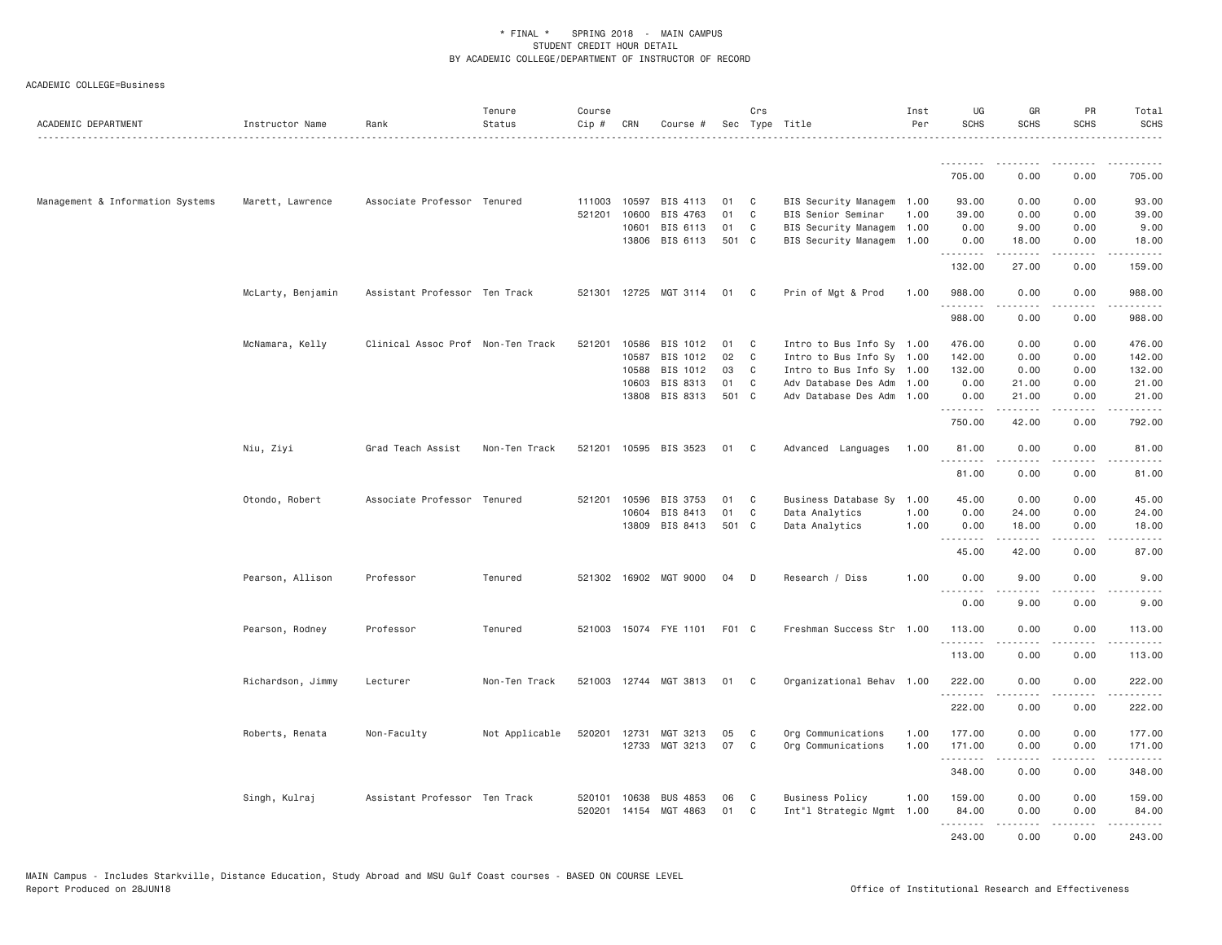| ACADEMIC DEPARTMENT              | Instructor Name   | Rank                              | Tenure<br>Status | Course<br>Cip # | CRN   | Course #              |       | Crs            | Sec Type Title              | Inst<br>Per | UG<br><b>SCHS</b>                                                                                                                   | GR<br><b>SCHS</b>                                                                                                                                             | <b>PR</b><br><b>SCHS</b>     | Total<br><b>SCHS</b><br>. |
|----------------------------------|-------------------|-----------------------------------|------------------|-----------------|-------|-----------------------|-------|----------------|-----------------------------|-------------|-------------------------------------------------------------------------------------------------------------------------------------|---------------------------------------------------------------------------------------------------------------------------------------------------------------|------------------------------|---------------------------|
|                                  |                   |                                   |                  |                 |       |                       |       |                |                             |             | <u>.</u>                                                                                                                            | .                                                                                                                                                             |                              |                           |
|                                  |                   |                                   |                  |                 |       |                       |       |                |                             |             | 705.00                                                                                                                              | 0.00                                                                                                                                                          | 0.00                         | 705.00                    |
| Management & Information Systems | Marett, Lawrence  | Associate Professor Tenured       |                  | 111003          | 10597 | BIS 4113              | 01    | C              | BIS Security Managem 1.00   |             | 93.00                                                                                                                               | 0.00                                                                                                                                                          | 0.00                         | 93.00                     |
|                                  |                   |                                   |                  | 521201          | 10600 | BIS 4763              | 01    | $\mathbb C$    | BIS Senior Seminar          | 1.00        | 39.00                                                                                                                               | 0.00                                                                                                                                                          | 0.00                         | 39.00                     |
|                                  |                   |                                   |                  |                 | 10601 | BIS 6113              | 01    | C              | <b>BIS Security Managem</b> | 1.00        | 0.00                                                                                                                                | 9.00                                                                                                                                                          | 0.00                         | 9.00                      |
|                                  |                   |                                   |                  |                 | 13806 | BIS 6113              | 501 C |                | BIS Security Managem        | 1.00        | 0.00<br>.                                                                                                                           | 18.00<br>$\frac{1}{2} \left( \frac{1}{2} \right) \left( \frac{1}{2} \right) \left( \frac{1}{2} \right) \left( \frac{1}{2} \right) \left( \frac{1}{2} \right)$ | 0.00<br>.                    | 18.00<br>.                |
|                                  |                   |                                   |                  |                 |       |                       |       |                |                             |             | 132.00                                                                                                                              | 27.00                                                                                                                                                         | 0.00                         | 159.00                    |
|                                  | McLarty, Benjamin | Assistant Professor Ten Track     |                  |                 |       | 521301 12725 MGT 3114 | 01    | C              | Prin of Mgt & Prod          | 1.00        | 988.00                                                                                                                              | 0.00                                                                                                                                                          | 0.00                         | 988.00                    |
|                                  |                   |                                   |                  |                 |       |                       |       |                |                             |             | $\begin{array}{cccccccccccccc} \bullet & \bullet & \bullet & \bullet & \bullet & \bullet & \bullet & \bullet \end{array}$<br>988.00 | 0.00                                                                                                                                                          | .<br>0.00                    | 988.00                    |
|                                  | McNamara, Kelly   | Clinical Assoc Prof Non-Ten Track |                  | 521201          | 10586 | BIS 1012              | 01    | C              | Intro to Bus Info Sy 1.00   |             | 476.00                                                                                                                              | 0.00                                                                                                                                                          | 0.00                         | 476.00                    |
|                                  |                   |                                   |                  |                 | 10587 | BIS 1012              | 02    | C              | Intro to Bus Info Sy 1.00   |             | 142.00                                                                                                                              | 0.00                                                                                                                                                          | 0.00                         | 142.00                    |
|                                  |                   |                                   |                  |                 | 10588 | BIS 1012              | 03    | C              | Intro to Bus Info Sy 1.00   |             | 132.00                                                                                                                              | 0.00                                                                                                                                                          | 0.00                         | 132.00                    |
|                                  |                   |                                   |                  |                 | 10603 | BIS 8313              | 01    | C              | Adv Database Des Adm 1.00   |             | 0.00                                                                                                                                | 21.00                                                                                                                                                         | 0.00                         | 21.00                     |
|                                  |                   |                                   |                  |                 | 13808 | BIS 8313              | 501 C |                | Adv Database Des Adm 1.00   |             | 0.00<br>.                                                                                                                           | 21.00                                                                                                                                                         | 0.00                         | 21.00<br>$\frac{1}{2}$    |
|                                  |                   |                                   |                  |                 |       |                       |       |                |                             |             | 750.00                                                                                                                              | 42.00                                                                                                                                                         | 0.00                         | 792.00                    |
|                                  | Niu, Ziyi         | Grad Teach Assist                 | Non-Ten Track    |                 |       | 521201 10595 BIS 3523 | 01    | C <sub>1</sub> | Advanced Languages          | 1.00        | 81.00<br>.                                                                                                                          | 0.00                                                                                                                                                          | 0.00                         | 81.00                     |
|                                  |                   |                                   |                  |                 |       |                       |       |                |                             |             | 81.00                                                                                                                               | 0.00                                                                                                                                                          | 0.00                         | 81.00                     |
|                                  | Otondo, Robert    | Associate Professor Tenured       |                  | 521201          | 10596 | BIS 3753              | 01    | C              | Business Database Sy        | 1.00        | 45.00                                                                                                                               | 0.00                                                                                                                                                          | 0.00                         | 45.00                     |
|                                  |                   |                                   |                  |                 | 10604 | BIS 8413              | 01    | C              | Data Analytics              | 1.00        | 0.00                                                                                                                                | 24.00                                                                                                                                                         | 0.00                         | 24.00                     |
|                                  |                   |                                   |                  |                 | 13809 | BIS 8413              | 501 C |                | Data Analytics              | 1.00        | 0.00<br>.                                                                                                                           | 18.00<br>$\frac{1}{2} \left( \frac{1}{2} \right) \left( \frac{1}{2} \right) \left( \frac{1}{2} \right) \left( \frac{1}{2} \right) \left( \frac{1}{2} \right)$ | 0.00<br>$\sim$ $\sim$ $\sim$ | 18.00<br>والمناصبات       |
|                                  |                   |                                   |                  |                 |       |                       |       |                |                             |             | 45.00                                                                                                                               | 42.00                                                                                                                                                         | 0.00                         | 87.00                     |
|                                  | Pearson, Allison  | Professor                         | Tenured          |                 |       | 521302 16902 MGT 9000 | 04    | D              | Research / Diss             | 1.00        | 0.00<br>.                                                                                                                           | 9.00                                                                                                                                                          | 0.00                         | 9.00                      |
|                                  |                   |                                   |                  |                 |       |                       |       |                |                             |             | 0.00                                                                                                                                | 9.00                                                                                                                                                          | 0.00                         | 9.00                      |
|                                  | Pearson, Rodney   | Professor                         | Tenured          |                 |       | 521003 15074 FYE 1101 | F01 C |                | Freshman Success Str 1.00   |             | 113.00                                                                                                                              | 0.00                                                                                                                                                          | 0.00                         | 113.00                    |
|                                  |                   |                                   |                  |                 |       |                       |       |                |                             |             | .<br>113.00                                                                                                                         | .<br>0.00                                                                                                                                                     | $\frac{1}{2}$<br>0.00        | .<br>113.00               |
|                                  | Richardson, Jimmy | Lecturer                          | Non-Ten Track    |                 |       | 521003 12744 MGT 3813 | 01    | C              | Organizational Behav 1.00   |             | 222.00                                                                                                                              | 0.00                                                                                                                                                          | 0.00                         | 222.00                    |
|                                  |                   |                                   |                  |                 |       |                       |       |                |                             |             | .<br>222.00                                                                                                                         | $\frac{1}{2} \left( \frac{1}{2} \right) \left( \frac{1}{2} \right) \left( \frac{1}{2} \right) \left( \frac{1}{2} \right) \left( \frac{1}{2} \right)$<br>0.00  | -----<br>0.00                | .<br>222.00               |
|                                  |                   |                                   |                  |                 |       |                       |       |                |                             |             |                                                                                                                                     |                                                                                                                                                               |                              |                           |
|                                  | Roberts, Renata   | Non-Faculty                       | Not Applicable   | 520201          |       | 12731 MGT 3213        | 05    | C              | Org Communications          | 1.00        | 177.00                                                                                                                              | 0.00                                                                                                                                                          | 0.00                         | 177.00                    |
|                                  |                   |                                   |                  |                 |       | 12733 MGT 3213        | 07    | C              | Org Communications          | 1.00        | 171.00<br>.                                                                                                                         | 0.00<br>$- - - - -$                                                                                                                                           | 0.00<br>.                    | 171.00<br>.               |
|                                  |                   |                                   |                  |                 |       |                       |       |                |                             |             | 348.00                                                                                                                              | 0.00                                                                                                                                                          | 0.00                         | 348.00                    |
|                                  | Singh, Kulraj     | Assistant Professor Ten Track     |                  | 520101          | 10638 | <b>BUS 4853</b>       | 06    | C              | <b>Business Policy</b>      | 1.00        | 159.00                                                                                                                              | 0.00                                                                                                                                                          | 0.00                         | 159.00                    |
|                                  |                   |                                   |                  |                 |       | 520201 14154 MGT 4863 | 01    | C              | Int"l Strategic Mgmt 1.00   |             | 84.00                                                                                                                               | 0.00                                                                                                                                                          | 0.00                         | 84.00                     |
|                                  |                   |                                   |                  |                 |       |                       |       |                |                             |             | . <b>.</b>                                                                                                                          | -----                                                                                                                                                         | .                            | $- - - - - -$             |
|                                  |                   |                                   |                  |                 |       |                       |       |                |                             |             | 243.00                                                                                                                              | 0.00                                                                                                                                                          | 0.00                         | 243.00                    |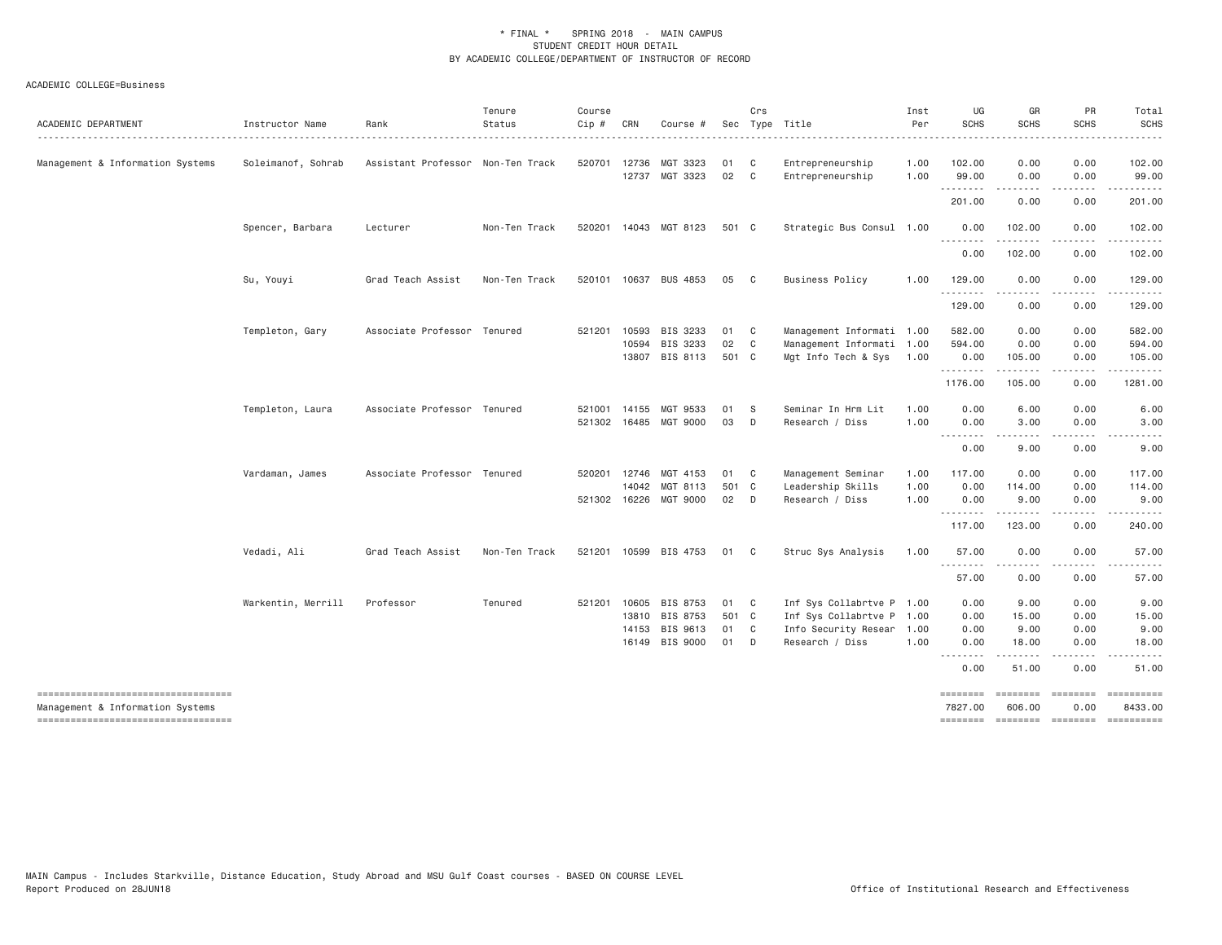| ACADEMIC DEPARTMENT                                                                                           | Instructor Name    | Rank                              | Tenure<br>Status | Course<br>Cip # | CRN                            | Course #                               |                     | Crs                          | Sec Type Title                                                                     | Inst<br>Per          | UG<br><b>SCHS</b>                 | GR<br><b>SCHS</b>                                        | PR<br><b>SCHS</b>                                                                                                                                            | Total<br><b>SCHS</b>                                                                                                                                                                                                                                                                                                                                                                                                                                                                            |
|---------------------------------------------------------------------------------------------------------------|--------------------|-----------------------------------|------------------|-----------------|--------------------------------|----------------------------------------|---------------------|------------------------------|------------------------------------------------------------------------------------|----------------------|-----------------------------------|----------------------------------------------------------|--------------------------------------------------------------------------------------------------------------------------------------------------------------|-------------------------------------------------------------------------------------------------------------------------------------------------------------------------------------------------------------------------------------------------------------------------------------------------------------------------------------------------------------------------------------------------------------------------------------------------------------------------------------------------|
| Management & Information Systems                                                                              | Soleimanof, Sohrab | Assistant Professor Non-Ten Track |                  |                 | 520701 12736                   | MGT 3323<br>12737 MGT 3323             | 01<br>02            | $\mathbf{C}$<br>$\mathbf{C}$ | Entrepreneurship<br>Entrepreneurship                                               | 1.00<br>1.00         | 102.00<br>99.00                   | 0.00<br>0.00                                             | 0.00<br>0.00                                                                                                                                                 | 102.00<br>99.00                                                                                                                                                                                                                                                                                                                                                                                                                                                                                 |
|                                                                                                               |                    |                                   |                  |                 |                                |                                        |                     |                              |                                                                                    |                      | .<br>201.00                       | .<br>0.00                                                | .<br>0.00                                                                                                                                                    | .<br>201.00                                                                                                                                                                                                                                                                                                                                                                                                                                                                                     |
|                                                                                                               | Spencer, Barbara   | Lecturer                          | Non-Ten Track    |                 |                                | 520201 14043 MGT 8123                  | 501 C               |                              | Strategic Bus Consul 1.00                                                          |                      | 0.00                              | 102.00                                                   | 0.00                                                                                                                                                         | 102.00                                                                                                                                                                                                                                                                                                                                                                                                                                                                                          |
|                                                                                                               |                    |                                   |                  |                 |                                |                                        |                     |                              |                                                                                    |                      | $- - -$<br>0.00                   | -----<br>102.00                                          | .<br>0.00                                                                                                                                                    | . <b>.</b><br>102.00                                                                                                                                                                                                                                                                                                                                                                                                                                                                            |
|                                                                                                               | Su, Youyi          | Grad Teach Assist                 | Non-Ten Track    |                 |                                | 520101 10637 BUS 4853                  | 05                  | $\overline{c}$               | Business Policy                                                                    | 1.00                 | 129.00<br>.                       | 0.00<br>-----                                            | 0.00<br>.                                                                                                                                                    | 129.00                                                                                                                                                                                                                                                                                                                                                                                                                                                                                          |
|                                                                                                               |                    |                                   |                  |                 |                                |                                        |                     |                              |                                                                                    |                      | 129.00                            | 0.00                                                     | 0.00                                                                                                                                                         | 129.00                                                                                                                                                                                                                                                                                                                                                                                                                                                                                          |
|                                                                                                               | Templeton, Gary    | Associate Professor Tenured       |                  | 521201          | 10593<br>10594                 | BIS 3233<br>BIS 3233<br>13807 BIS 8113 | 01 C<br>02<br>501 C | C                            | Management Informati 1.00<br>Management Informati 1.00<br>Mgt Info Tech & Sys 1.00 |                      | 582.00<br>594.00<br>0.00          | 0.00<br>0.00<br>105.00                                   | 0.00<br>0.00<br>0.00                                                                                                                                         | 582.00<br>594.00<br>105.00                                                                                                                                                                                                                                                                                                                                                                                                                                                                      |
|                                                                                                               |                    |                                   |                  |                 |                                |                                        |                     |                              |                                                                                    |                      | .<br>1176.00                      | .<br>105.00                                              | $\frac{1}{2} \left( \frac{1}{2} \right) \left( \frac{1}{2} \right) \left( \frac{1}{2} \right) \left( \frac{1}{2} \right) \left( \frac{1}{2} \right)$<br>0.00 | .<br>1281.00                                                                                                                                                                                                                                                                                                                                                                                                                                                                                    |
|                                                                                                               | Templeton, Laura   | Associate Professor Tenured       |                  |                 | 521001 14155                   | MGT 9533<br>521302 16485 MGT 9000      | 01<br>03            | - S<br>D                     | Seminar In Hrm Lit<br>Research / Diss                                              | 1.00<br>1,00         | 0.00<br>0.00                      | 6.00<br>3.00                                             | 0.00<br>0.00                                                                                                                                                 | 6.00<br>3.00                                                                                                                                                                                                                                                                                                                                                                                                                                                                                    |
|                                                                                                               |                    |                                   |                  |                 |                                |                                        |                     |                              |                                                                                    |                      | .<br>0.00                         | 9.00                                                     | 0.00                                                                                                                                                         | 9.00                                                                                                                                                                                                                                                                                                                                                                                                                                                                                            |
|                                                                                                               | Vardaman, James    | Associate Professor Tenured       |                  | 520201          | 12746<br>14042<br>521302 16226 | MGT 4153<br>MGT 8113<br>MGT 9000       | 01<br>501 C<br>02   | $\mathsf{C}$<br>D D          | Management Seminar<br>Leadership Skills<br>Research / Diss                         | 1.00<br>1.00<br>1.00 | 117.00<br>0.00<br>0.00            | 0.00<br>114.00<br>9.00                                   | 0.00<br>0.00<br>0.00                                                                                                                                         | 117.00<br>114.00<br>9.00                                                                                                                                                                                                                                                                                                                                                                                                                                                                        |
|                                                                                                               |                    |                                   |                  |                 |                                |                                        |                     |                              |                                                                                    |                      | .<br>117.00                       | <u>.</u><br>123.00                                       | .<br>0.00                                                                                                                                                    | .<br>240.00                                                                                                                                                                                                                                                                                                                                                                                                                                                                                     |
|                                                                                                               | Vedadi, Ali        | Grad Teach Assist                 | Non-Ten Track    |                 |                                | 521201 10599 BIS 4753                  | 01                  | $\mathsf{C}$                 | Struc Sys Analysis                                                                 | 1.00                 | 57.00                             | 0.00                                                     | 0.00                                                                                                                                                         | 57.00                                                                                                                                                                                                                                                                                                                                                                                                                                                                                           |
|                                                                                                               |                    |                                   |                  |                 |                                |                                        |                     |                              |                                                                                    |                      | .<br>57.00                        | .<br>0.00                                                | . <u>.</u> .<br>0.00                                                                                                                                         | 57.00                                                                                                                                                                                                                                                                                                                                                                                                                                                                                           |
|                                                                                                               | Warkentin, Merrill | Professor                         | Tenured          | 521201          | 10605<br>13810                 | BIS 8753<br>BIS 8753                   | 01<br>501 C         | $\mathbf{C}$                 | Inf Sys Collabrtve P 1.00<br>Inf Sys Collabrtve P 1.00                             |                      | 0.00<br>0.00                      | 9.00<br>15.00                                            | 0.00<br>0.00                                                                                                                                                 | 9.00<br>15.00                                                                                                                                                                                                                                                                                                                                                                                                                                                                                   |
|                                                                                                               |                    |                                   |                  |                 | 14153                          | <b>BIS 9613</b><br>16149 BIS 9000      | 01 C<br>01          | D                            | Info Security Resear 1.00<br>Research / Diss                                       | 1.00                 | 0.00<br>0.00                      | 9.00<br>18.00                                            | 0.00<br>0.00                                                                                                                                                 | 9.00<br>18.00                                                                                                                                                                                                                                                                                                                                                                                                                                                                                   |
|                                                                                                               |                    |                                   |                  |                 |                                |                                        |                     |                              |                                                                                    |                      | .<br>$\sim$ $\sim$ $\sim$<br>0.00 | 51.00                                                    | 0.00                                                                                                                                                         | 51.00                                                                                                                                                                                                                                                                                                                                                                                                                                                                                           |
| ----------------------------------<br>Management & Information Systems<br>----------------------------------- |                    |                                   |                  |                 |                                |                                        |                     |                              |                                                                                    |                      | ========<br>7827.00               | <b>ESSESSE</b><br>606.00<br>============================ | $=$ = = = = = = = $=$<br>0.00                                                                                                                                | 8433.00<br>$\begin{array}{c} \multicolumn{3}{c}{}\\ \multicolumn{3}{c}{}\\ \multicolumn{3}{c}{}\\ \multicolumn{3}{c}{}\\ \multicolumn{3}{c}{}\\ \multicolumn{3}{c}{}\\ \multicolumn{3}{c}{}\\ \multicolumn{3}{c}{}\\ \multicolumn{3}{c}{}\\ \multicolumn{3}{c}{}\\ \multicolumn{3}{c}{}\\ \multicolumn{3}{c}{}\\ \multicolumn{3}{c}{}\\ \multicolumn{3}{c}{}\\ \multicolumn{3}{c}{}\\ \multicolumn{3}{c}{}\\ \multicolumn{3}{c}{}\\ \multicolumn{3}{c}{}\\ \multicolumn{3}{c}{}\\ \multicolumn$ |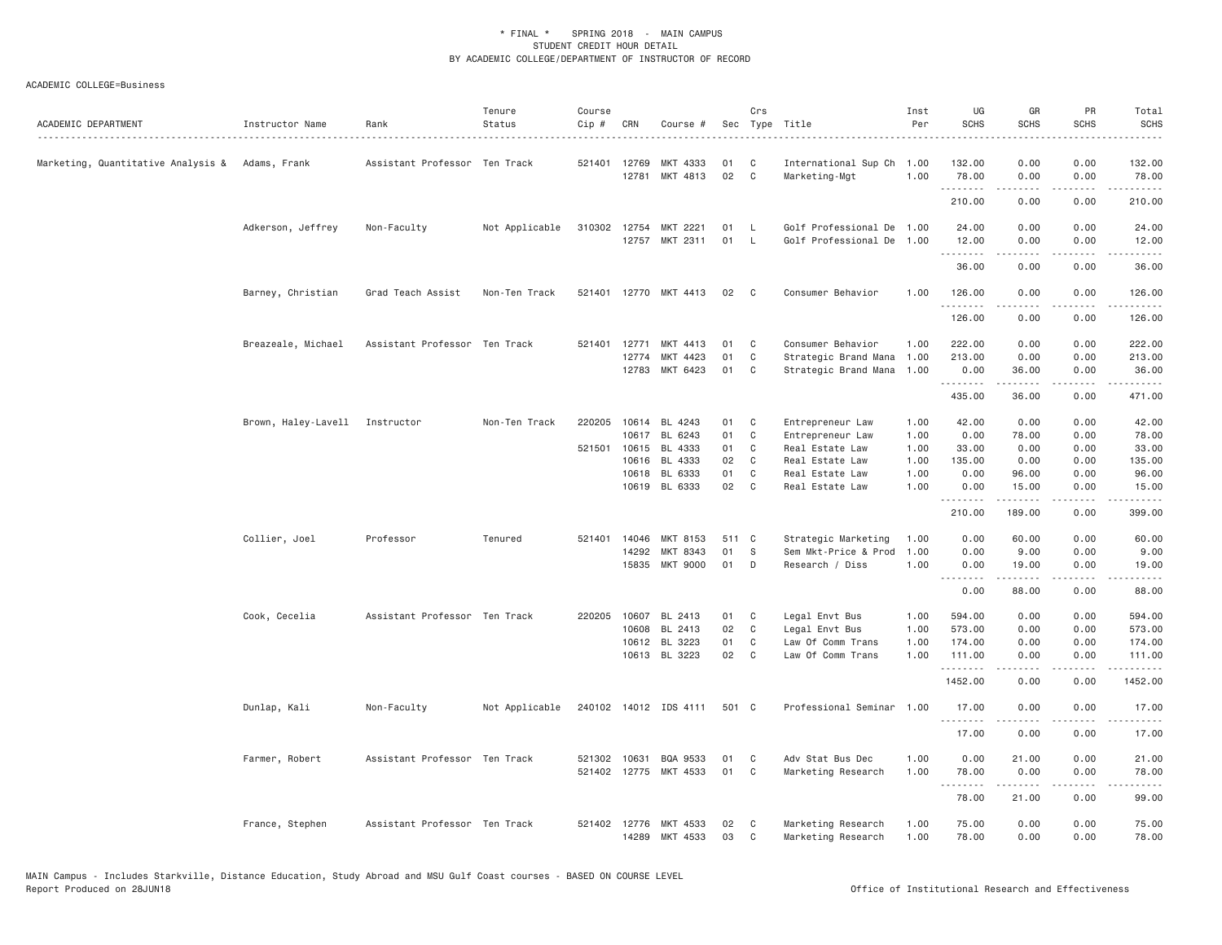| ACADEMIC DEPARTMENT                             | Instructor Name                | Rank                          | Tenure<br>Status | Course<br>Cip # | CRN          | Course #                         |          | Crs                      | Sec Type Title                                         | Inst<br>Per  | UG<br><b>SCHS</b>   | GR<br><b>SCHS</b>                   | PR<br><b>SCHS</b>     | Total<br><b>SCHS</b>                 |
|-------------------------------------------------|--------------------------------|-------------------------------|------------------|-----------------|--------------|----------------------------------|----------|--------------------------|--------------------------------------------------------|--------------|---------------------|-------------------------------------|-----------------------|--------------------------------------|
| Marketing, Quantitative Analysis & Adams, Frank |                                | Assistant Professor Ten Track |                  |                 | 521401 12769 | MKT 4333<br>12781 MKT 4813       | 01<br>02 | C<br>$\mathbf{C}$        | International Sup Ch 1.00<br>Marketing-Mgt             | 1.00         | 132.00<br>78.00     | 0.00<br>0.00                        | 0.00<br>0.00          | 132.00<br>78.00                      |
|                                                 |                                |                               |                  |                 |              |                                  |          |                          |                                                        |              | <u>.</u><br>210.00  | -----<br>0.00                       | .<br>0.00             | .<br>210.00                          |
|                                                 |                                |                               |                  |                 |              |                                  |          |                          |                                                        |              |                     |                                     |                       |                                      |
|                                                 | Adkerson, Jeffrey              | Non-Faculty                   | Not Applicable   | 310302          | 12754        | MKT 2221<br>12757 MKT 2311       | 01<br>01 | <b>L</b><br>$\mathsf{L}$ | Golf Professional De 1.00<br>Golf Professional De 1.00 |              | 24.00<br>12.00<br>. | 0.00<br>0.00                        | 0.00<br>0.00          | 24.00<br>12.00<br>.                  |
|                                                 |                                |                               |                  |                 |              |                                  |          |                          |                                                        |              | 36,00               | 0.00                                | 0.00                  | 36.00                                |
|                                                 | Barney, Christian              | Grad Teach Assist             | Non-Ten Track    |                 |              | 521401 12770 MKT 4413            | 02       | $\mathbf{C}$             | Consumer Behavior                                      | 1.00         | 126.00              | 0.00                                | 0.00                  | 126.00                               |
|                                                 |                                |                               |                  |                 |              |                                  |          |                          |                                                        |              | .<br>126.00         | <u>.</u><br>0.00                    | $\frac{1}{2}$<br>0.00 | .<br>126.00                          |
|                                                 | Breazeale, Michael             | Assistant Professor Ten Track |                  |                 | 521401 12771 | MKT 4413                         | 01       | C                        | Consumer Behavior                                      | 1.00         | 222.00              | 0.00                                | 0.00                  | 222.00                               |
|                                                 |                                |                               |                  |                 | 12774        | MKT 4423                         | 01       | C                        | Strategic Brand Mana 1.00                              |              | 213.00              | 0.00                                | 0.00                  | 213.00                               |
|                                                 |                                |                               |                  |                 |              | 12783 MKT 6423                   | 01       | C                        | Strategic Brand Mana                                   | 1.00         | 0.00                | 36.00<br>.                          | 0.00<br>.             | 36.00<br>د د د د د د                 |
|                                                 |                                |                               |                  |                 |              |                                  |          |                          |                                                        |              | 435.00              | 36.00                               | 0.00                  | 471.00                               |
|                                                 | Brown, Haley-Lavell Instructor |                               | Non-Ten Track    | 220205          |              | 10614 BL 4243                    | 01       | C <sub>1</sub>           | Entrepreneur Law                                       | 1.00         | 42.00               | 0.00                                | 0.00                  | 42.00                                |
|                                                 |                                |                               |                  |                 |              | 10617 BL 6243                    | 01       | C                        | Entrepreneur Law                                       | 1.00         | 0.00                | 78.00                               | 0.00                  | 78.00                                |
|                                                 |                                |                               |                  | 521501          |              | 10615 BL 4333                    | 01       | C                        | Real Estate Law                                        | 1.00         | 33.00               | 0.00                                | 0.00                  | 33.00                                |
|                                                 |                                |                               |                  |                 | 10616        | BL 4333                          | 02       | $\mathbf{C}$             | Real Estate Law                                        | 1.00         | 135.00              | 0.00                                | 0.00                  | 135.00                               |
|                                                 |                                |                               |                  |                 | 10618        | BL 6333                          | 01       | C                        | Real Estate Law                                        | 1.00         | 0.00                | 96.00                               | 0.00                  | 96.00                                |
|                                                 |                                |                               |                  |                 |              | 10619 BL 6333                    | 02       | $\mathbf{C}$             | Real Estate Law                                        | 1.00         | 0.00<br>.           | 15.00<br>$- - - - -$                | 0.00<br>$- - -$       | 15.00<br>$\sim$ $\sim$ $\sim$ $\sim$ |
|                                                 |                                |                               |                  |                 |              |                                  |          |                          |                                                        |              | 210.00              | 189.00                              | 0.00                  | 399.00                               |
|                                                 | Collier, Joel                  | Professor                     | Tenured          | 521401          | 14046        | MKT 8153                         | 511 C    |                          | Strategic Marketing                                    | 1.00         | 0.00                | 60.00                               | 0.00                  | 60.00                                |
|                                                 |                                |                               |                  |                 | 14292        | MKT 8343                         | 01       | S                        | Sem Mkt-Price & Prod                                   | 1.00         | 0.00                | 9.00                                | 0.00                  | 9.00                                 |
|                                                 |                                |                               |                  |                 |              | 15835 MKT 9000                   | 01       | D                        | Research / Diss                                        | 1,00         | 0.00<br>.           | 19,00<br>.                          | 0.00<br>.             | 19.00<br>.                           |
|                                                 |                                |                               |                  |                 |              |                                  |          |                          |                                                        |              | 0.00                | 88.00                               | 0.00                  | 88.00                                |
|                                                 | Cook, Cecelia                  | Assistant Professor Ten Track |                  | 220205          | 10607        | BL 2413                          | 01       | C                        | Legal Envt Bus                                         | 1.00         | 594.00              | 0.00                                | 0.00                  | 594.00                               |
|                                                 |                                |                               |                  |                 | 10608        | BL 2413                          | 02       | C                        | Legal Envt Bus                                         | 1.00         | 573.00              | 0.00                                | 0.00                  | 573.00                               |
|                                                 |                                |                               |                  |                 |              | 10612 BL 3223                    | 01       | C <sub>1</sub>           | Law Of Comm Trans                                      | 1.00         | 174.00              | 0.00                                | 0.00                  | 174.00                               |
|                                                 |                                |                               |                  |                 |              | 10613 BL 3223                    | 02       | $\mathbf{C}$             | Law Of Comm Trans                                      | 1.00         | 111.00<br>.         | 0.00<br>.                           | 0.00<br>د د د د       | 111.00<br>.                          |
|                                                 |                                |                               |                  |                 |              |                                  |          |                          |                                                        |              | 1452.00             | 0.00                                | 0.00                  | 1452.00                              |
|                                                 | Dunlap, Kali                   | Non-Faculty                   | Not Applicable   |                 |              | 240102 14012 IDS 4111            | 501 C    |                          | Professional Seminar 1.00                              |              | 17.00<br>.          | 0.00                                | 0.00<br>.             | 17.00<br>.                           |
|                                                 |                                |                               |                  |                 |              |                                  |          |                          |                                                        |              | 17.00               | 0.00                                | 0.00                  | 17.00                                |
|                                                 | Farmer, Robert                 | Assistant Professor Ten Track |                  | 521302          | 10631        | BQA 9533                         | 01       | C                        | Adv Stat Bus Dec                                       | 1.00         | 0.00                | 21.00                               | 0.00                  | 21.00                                |
|                                                 |                                |                               |                  |                 |              | 521402 12775 MKT 4533            | 01       | $\mathsf{C}$             | Marketing Research                                     | 1.00         | 78.00<br>.          | 0.00<br>$\sim$ $\sim$ $\sim$ $\sim$ | 0.00<br>المتمالين     | 78.00<br>.                           |
|                                                 |                                |                               |                  |                 |              |                                  |          |                          |                                                        |              | 78.00               | 21.00                               | 0.00                  | 99.00                                |
|                                                 | France, Stephen                | Assistant Professor Ten Track |                  | 521402          |              | 12776 MKT 4533<br>14289 MKT 4533 | 02<br>03 | C<br>C                   | Marketing Research<br>Marketing Research               | 1.00<br>1.00 | 75.00<br>78.00      | 0.00<br>0.00                        | 0.00<br>0.00          | 75.00<br>78.00                       |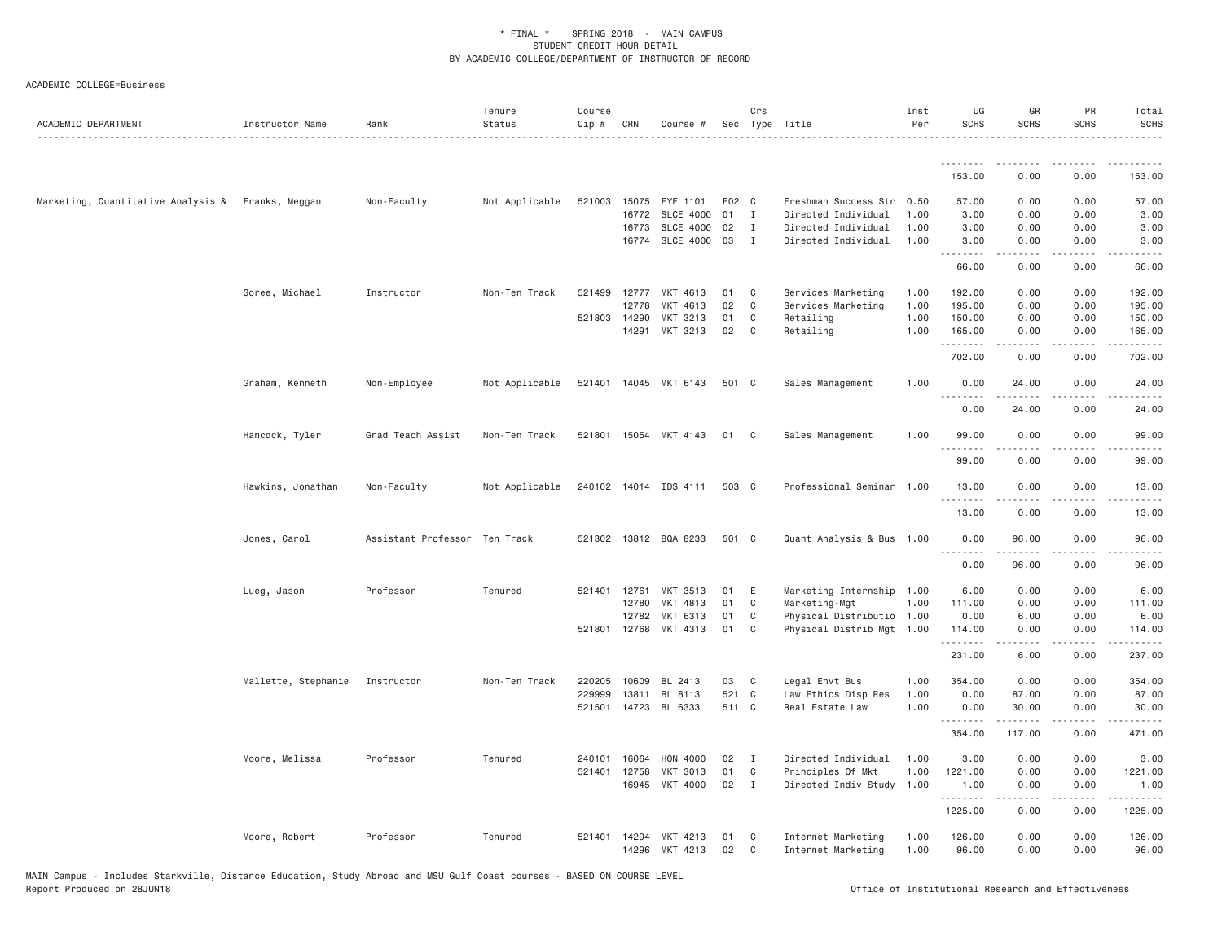| .<br>0.00<br>153.00<br>0.00<br>153.00<br>57.00<br>Marketing, Quantitative Analysis & Franks, Meggan<br>Non-Faculty<br>Not Applicable<br>521003<br>15075<br>FYE 1101<br>F02 C<br>Freshman Success Str 0.50<br>57.00<br>0.00<br>0.00<br><b>SLCE 4000</b><br>01<br>$\mathbf{I}$<br>3.00<br>16772<br>Directed Individual<br>1.00<br>3.00<br>0.00<br>0.00<br>02<br>3.00<br>16773<br>SLCE 4000<br>$\mathbf{I}$<br>Directed Individual<br>1.00<br>3.00<br>0.00<br>0.00<br>16774<br><b>SLCE 4000</b><br>03<br>$\mathbf{I}$<br>Directed Individual<br>1.00<br>3.00<br>0.00<br>0.00<br>3.00<br>.<br>66.00<br>0.00<br>0.00<br>66.00<br>Goree, Michael<br>Instructor<br>Non-Ten Track<br>521499<br>12777<br>MKT 4613<br>01<br>$\mathbf{C}$<br>Services Marketing<br>1.00<br>192.00<br>0.00<br>0.00<br>192.00<br>02<br>12778<br>MKT 4613<br>C <sub>1</sub><br>Services Marketing<br>1.00<br>195.00<br>0.00<br>0.00<br>195.00<br>01<br>521803 14290<br>$\mathbf{C}$<br>Retailing<br>1.00<br>0.00<br>0.00<br>150.00<br>MKT 3213<br>150.00<br>14291<br>MKT 3213<br>02<br>Retailing<br>165.00<br>$\mathbf{C}$<br>1.00<br>165.00<br>0.00<br>0.00<br>.<br>$  -$<br>702.00<br>0.00<br>702.00<br>0.00<br>Graham, Kenneth<br>Non-Employee<br>Not Applicable<br>521401 14045 MKT 6143<br>501 C<br>Sales Management<br>1.00<br>0.00<br>24.00<br>0.00<br>24.00<br>$  -$<br>0.00<br>24.00<br>0.00<br>24.00<br>99.00<br>Grad Teach Assist<br>521801 15054 MKT 4143<br>01 C<br>Sales Management<br>1.00<br>99.00<br>0.00<br>0.00<br>Hancock, Tyler<br>Non-Ten Track<br>0.00<br>0.00<br>99.00<br>99.00<br>Not Applicable<br>240102 14014 IDS 4111<br>Professional Seminar 1.00<br>13.00<br>0.00<br>0.00<br>13.00<br>Hawkins, Jonathan<br>Non-Faculty<br>503 C<br><u>.</u><br>13.00<br>0.00<br>0.00<br>13.00<br>521302 13812 BQA 8233<br>501 C<br>96.00<br>Jones, Carol<br>Assistant Professor Ten Track<br>Quant Analysis & Bus 1.00<br>0.00<br>96.00<br>0.00<br>.<br>$\frac{1}{2} \left( \frac{1}{2} \right) \left( \frac{1}{2} \right) \left( \frac{1}{2} \right) \left( \frac{1}{2} \right) \left( \frac{1}{2} \right) \left( \frac{1}{2} \right)$<br>.<br>96.00<br>0.00<br>96.00<br>0.00<br>0.00<br>6.00<br>Professor<br>Tenured<br>521401 12761<br>MKT 3513<br>01<br>E<br>Marketing Internship 1.00<br>6.00<br>0.00<br>Lueg, Jason<br>01<br>$\mathbf{C}$<br>Marketing-Mgt<br>12780<br>MKT 4813<br>1.00<br>111.00<br>0.00<br>0.00<br>111.00<br>6.00<br>12782<br>MKT 6313<br>01<br>C<br>Physical Distributio 1.00<br>0.00<br>6.00<br>0.00<br>01<br>521801<br>12768<br>MKT 4313<br>C<br>Physical Distrib Mgt 1.00<br>114.00<br>0.00<br>0.00<br>114.00<br>.<br>0.00<br>231.00<br>6.00<br>237.00<br>Mallette, Stephanie<br>Instructor<br>10609<br>BL 2413<br>03<br>Legal Envt Bus<br>1.00<br>354.00<br>0.00<br>0.00<br>354.00<br>Non-Ten Track<br>220205<br>$\mathbf{C}$<br>229999<br>13811<br>BL 8113<br>521 C<br>Law Ethics Disp Res<br>1.00<br>0.00<br>87.00<br>0.00<br>87.00<br>521501<br>14723<br>BL 6333<br>511 C<br>1.00<br>30.00<br>0.00<br>30.00<br>Real Estate Law<br>0.00<br>.<br>.<br>.<br>.<br>117.00<br>0.00<br>471.00<br>354.00<br>Directed Individual<br>0.00<br>3.00<br>Moore, Melissa<br>Professor<br>Tenured<br>240101<br>16064<br>HON 4000<br>02<br>$\mathbf{I}$<br>1.00<br>3.00<br>0.00<br>01<br>1.00<br>0.00<br>521401<br>12758<br>MKT 3013<br>C<br>Principles Of Mkt<br>1221.00<br>0.00<br>1221.00<br>16945<br>MKT 4000<br>02<br>$\mathbf{I}$<br>Directed Indiv Study 1.00<br>0.00<br>0.00<br>1.00<br>1.00<br>.<br>د د د د<br>$\frac{1}{2} \left( \frac{1}{2} \right) \left( \frac{1}{2} \right) \left( \frac{1}{2} \right) \left( \frac{1}{2} \right) \left( \frac{1}{2} \right)$<br>1225.00<br>0.00<br>0.00<br>1225.00<br>Professor<br>Tenured<br>521401 14294<br>01<br>Internet Marketing<br>1.00<br>126.00<br>0.00<br>0.00<br>126.00<br>Moore, Robert<br>MKT 4213<br>C <sub>1</sub><br>MKT 4213<br>96.00<br>96.00<br>14296<br>02<br>Internet Marketing<br>1.00<br>0.00<br>0.00<br>C | ACADEMIC DEPARTMENT | Instructor Name | Rank | Tenure<br>Status | Course<br>Cip # | CRN | Course # | Crs | Sec Type Title | Inst<br>Per | UG<br><b>SCHS</b> | GR<br><b>SCHS</b> | PR<br><b>SCHS</b> | Total<br><b>SCHS</b> |
|-----------------------------------------------------------------------------------------------------------------------------------------------------------------------------------------------------------------------------------------------------------------------------------------------------------------------------------------------------------------------------------------------------------------------------------------------------------------------------------------------------------------------------------------------------------------------------------------------------------------------------------------------------------------------------------------------------------------------------------------------------------------------------------------------------------------------------------------------------------------------------------------------------------------------------------------------------------------------------------------------------------------------------------------------------------------------------------------------------------------------------------------------------------------------------------------------------------------------------------------------------------------------------------------------------------------------------------------------------------------------------------------------------------------------------------------------------------------------------------------------------------------------------------------------------------------------------------------------------------------------------------------------------------------------------------------------------------------------------------------------------------------------------------------------------------------------------------------------------------------------------------------------------------------------------------------------------------------------------------------------------------------------------------------------------------------------------------------------------------------------------------------------------------------------------------------------------------------------------------------------------------------------------------------------------------------------------------------------------------------------------------------------------------------------------------------------------------------------------------------------------------------------------------------------------------------------------------------------------------------------------------------------------------------------------------------------------------------------------------------------------------------------------------------------------------------------------------------------------------------------------------------------------------------------------------------------------------------------------------------------------------------------------------------------------------------------------------------------------------------------------------------------------------------------------------------------------------------------------------------------------------------------------------------------------------------------------------------------------------------------------------------------------------------------------------------------------------------------------------------------------------------------------------------------------------------------------------------------------------------------------------------------------------------------------------------------------------------------------------------------------------------------------------------------------------------------------------------------------------------------------------------------------------------------------------------------------------------------------------|---------------------|-----------------|------|------------------|-----------------|-----|----------|-----|----------------|-------------|-------------------|-------------------|-------------------|----------------------|
|                                                                                                                                                                                                                                                                                                                                                                                                                                                                                                                                                                                                                                                                                                                                                                                                                                                                                                                                                                                                                                                                                                                                                                                                                                                                                                                                                                                                                                                                                                                                                                                                                                                                                                                                                                                                                                                                                                                                                                                                                                                                                                                                                                                                                                                                                                                                                                                                                                                                                                                                                                                                                                                                                                                                                                                                                                                                                                                                                                                                                                                                                                                                                                                                                                                                                                                                                                                                                                                                                                                                                                                                                                                                                                                                                                                                                                                                                                                                                                                   |                     |                 |      |                  |                 |     |          |     |                |             |                   |                   |                   |                      |
|                                                                                                                                                                                                                                                                                                                                                                                                                                                                                                                                                                                                                                                                                                                                                                                                                                                                                                                                                                                                                                                                                                                                                                                                                                                                                                                                                                                                                                                                                                                                                                                                                                                                                                                                                                                                                                                                                                                                                                                                                                                                                                                                                                                                                                                                                                                                                                                                                                                                                                                                                                                                                                                                                                                                                                                                                                                                                                                                                                                                                                                                                                                                                                                                                                                                                                                                                                                                                                                                                                                                                                                                                                                                                                                                                                                                                                                                                                                                                                                   |                     |                 |      |                  |                 |     |          |     |                |             |                   |                   |                   |                      |
|                                                                                                                                                                                                                                                                                                                                                                                                                                                                                                                                                                                                                                                                                                                                                                                                                                                                                                                                                                                                                                                                                                                                                                                                                                                                                                                                                                                                                                                                                                                                                                                                                                                                                                                                                                                                                                                                                                                                                                                                                                                                                                                                                                                                                                                                                                                                                                                                                                                                                                                                                                                                                                                                                                                                                                                                                                                                                                                                                                                                                                                                                                                                                                                                                                                                                                                                                                                                                                                                                                                                                                                                                                                                                                                                                                                                                                                                                                                                                                                   |                     |                 |      |                  |                 |     |          |     |                |             |                   |                   |                   |                      |
|                                                                                                                                                                                                                                                                                                                                                                                                                                                                                                                                                                                                                                                                                                                                                                                                                                                                                                                                                                                                                                                                                                                                                                                                                                                                                                                                                                                                                                                                                                                                                                                                                                                                                                                                                                                                                                                                                                                                                                                                                                                                                                                                                                                                                                                                                                                                                                                                                                                                                                                                                                                                                                                                                                                                                                                                                                                                                                                                                                                                                                                                                                                                                                                                                                                                                                                                                                                                                                                                                                                                                                                                                                                                                                                                                                                                                                                                                                                                                                                   |                     |                 |      |                  |                 |     |          |     |                |             |                   |                   |                   |                      |
|                                                                                                                                                                                                                                                                                                                                                                                                                                                                                                                                                                                                                                                                                                                                                                                                                                                                                                                                                                                                                                                                                                                                                                                                                                                                                                                                                                                                                                                                                                                                                                                                                                                                                                                                                                                                                                                                                                                                                                                                                                                                                                                                                                                                                                                                                                                                                                                                                                                                                                                                                                                                                                                                                                                                                                                                                                                                                                                                                                                                                                                                                                                                                                                                                                                                                                                                                                                                                                                                                                                                                                                                                                                                                                                                                                                                                                                                                                                                                                                   |                     |                 |      |                  |                 |     |          |     |                |             |                   |                   |                   |                      |
|                                                                                                                                                                                                                                                                                                                                                                                                                                                                                                                                                                                                                                                                                                                                                                                                                                                                                                                                                                                                                                                                                                                                                                                                                                                                                                                                                                                                                                                                                                                                                                                                                                                                                                                                                                                                                                                                                                                                                                                                                                                                                                                                                                                                                                                                                                                                                                                                                                                                                                                                                                                                                                                                                                                                                                                                                                                                                                                                                                                                                                                                                                                                                                                                                                                                                                                                                                                                                                                                                                                                                                                                                                                                                                                                                                                                                                                                                                                                                                                   |                     |                 |      |                  |                 |     |          |     |                |             |                   |                   |                   |                      |
|                                                                                                                                                                                                                                                                                                                                                                                                                                                                                                                                                                                                                                                                                                                                                                                                                                                                                                                                                                                                                                                                                                                                                                                                                                                                                                                                                                                                                                                                                                                                                                                                                                                                                                                                                                                                                                                                                                                                                                                                                                                                                                                                                                                                                                                                                                                                                                                                                                                                                                                                                                                                                                                                                                                                                                                                                                                                                                                                                                                                                                                                                                                                                                                                                                                                                                                                                                                                                                                                                                                                                                                                                                                                                                                                                                                                                                                                                                                                                                                   |                     |                 |      |                  |                 |     |          |     |                |             |                   |                   |                   |                      |
|                                                                                                                                                                                                                                                                                                                                                                                                                                                                                                                                                                                                                                                                                                                                                                                                                                                                                                                                                                                                                                                                                                                                                                                                                                                                                                                                                                                                                                                                                                                                                                                                                                                                                                                                                                                                                                                                                                                                                                                                                                                                                                                                                                                                                                                                                                                                                                                                                                                                                                                                                                                                                                                                                                                                                                                                                                                                                                                                                                                                                                                                                                                                                                                                                                                                                                                                                                                                                                                                                                                                                                                                                                                                                                                                                                                                                                                                                                                                                                                   |                     |                 |      |                  |                 |     |          |     |                |             |                   |                   |                   |                      |
|                                                                                                                                                                                                                                                                                                                                                                                                                                                                                                                                                                                                                                                                                                                                                                                                                                                                                                                                                                                                                                                                                                                                                                                                                                                                                                                                                                                                                                                                                                                                                                                                                                                                                                                                                                                                                                                                                                                                                                                                                                                                                                                                                                                                                                                                                                                                                                                                                                                                                                                                                                                                                                                                                                                                                                                                                                                                                                                                                                                                                                                                                                                                                                                                                                                                                                                                                                                                                                                                                                                                                                                                                                                                                                                                                                                                                                                                                                                                                                                   |                     |                 |      |                  |                 |     |          |     |                |             |                   |                   |                   |                      |
|                                                                                                                                                                                                                                                                                                                                                                                                                                                                                                                                                                                                                                                                                                                                                                                                                                                                                                                                                                                                                                                                                                                                                                                                                                                                                                                                                                                                                                                                                                                                                                                                                                                                                                                                                                                                                                                                                                                                                                                                                                                                                                                                                                                                                                                                                                                                                                                                                                                                                                                                                                                                                                                                                                                                                                                                                                                                                                                                                                                                                                                                                                                                                                                                                                                                                                                                                                                                                                                                                                                                                                                                                                                                                                                                                                                                                                                                                                                                                                                   |                     |                 |      |                  |                 |     |          |     |                |             |                   |                   |                   |                      |
|                                                                                                                                                                                                                                                                                                                                                                                                                                                                                                                                                                                                                                                                                                                                                                                                                                                                                                                                                                                                                                                                                                                                                                                                                                                                                                                                                                                                                                                                                                                                                                                                                                                                                                                                                                                                                                                                                                                                                                                                                                                                                                                                                                                                                                                                                                                                                                                                                                                                                                                                                                                                                                                                                                                                                                                                                                                                                                                                                                                                                                                                                                                                                                                                                                                                                                                                                                                                                                                                                                                                                                                                                                                                                                                                                                                                                                                                                                                                                                                   |                     |                 |      |                  |                 |     |          |     |                |             |                   |                   |                   |                      |
|                                                                                                                                                                                                                                                                                                                                                                                                                                                                                                                                                                                                                                                                                                                                                                                                                                                                                                                                                                                                                                                                                                                                                                                                                                                                                                                                                                                                                                                                                                                                                                                                                                                                                                                                                                                                                                                                                                                                                                                                                                                                                                                                                                                                                                                                                                                                                                                                                                                                                                                                                                                                                                                                                                                                                                                                                                                                                                                                                                                                                                                                                                                                                                                                                                                                                                                                                                                                                                                                                                                                                                                                                                                                                                                                                                                                                                                                                                                                                                                   |                     |                 |      |                  |                 |     |          |     |                |             |                   |                   |                   |                      |
|                                                                                                                                                                                                                                                                                                                                                                                                                                                                                                                                                                                                                                                                                                                                                                                                                                                                                                                                                                                                                                                                                                                                                                                                                                                                                                                                                                                                                                                                                                                                                                                                                                                                                                                                                                                                                                                                                                                                                                                                                                                                                                                                                                                                                                                                                                                                                                                                                                                                                                                                                                                                                                                                                                                                                                                                                                                                                                                                                                                                                                                                                                                                                                                                                                                                                                                                                                                                                                                                                                                                                                                                                                                                                                                                                                                                                                                                                                                                                                                   |                     |                 |      |                  |                 |     |          |     |                |             |                   |                   |                   |                      |
|                                                                                                                                                                                                                                                                                                                                                                                                                                                                                                                                                                                                                                                                                                                                                                                                                                                                                                                                                                                                                                                                                                                                                                                                                                                                                                                                                                                                                                                                                                                                                                                                                                                                                                                                                                                                                                                                                                                                                                                                                                                                                                                                                                                                                                                                                                                                                                                                                                                                                                                                                                                                                                                                                                                                                                                                                                                                                                                                                                                                                                                                                                                                                                                                                                                                                                                                                                                                                                                                                                                                                                                                                                                                                                                                                                                                                                                                                                                                                                                   |                     |                 |      |                  |                 |     |          |     |                |             |                   |                   |                   |                      |
|                                                                                                                                                                                                                                                                                                                                                                                                                                                                                                                                                                                                                                                                                                                                                                                                                                                                                                                                                                                                                                                                                                                                                                                                                                                                                                                                                                                                                                                                                                                                                                                                                                                                                                                                                                                                                                                                                                                                                                                                                                                                                                                                                                                                                                                                                                                                                                                                                                                                                                                                                                                                                                                                                                                                                                                                                                                                                                                                                                                                                                                                                                                                                                                                                                                                                                                                                                                                                                                                                                                                                                                                                                                                                                                                                                                                                                                                                                                                                                                   |                     |                 |      |                  |                 |     |          |     |                |             |                   |                   |                   |                      |
|                                                                                                                                                                                                                                                                                                                                                                                                                                                                                                                                                                                                                                                                                                                                                                                                                                                                                                                                                                                                                                                                                                                                                                                                                                                                                                                                                                                                                                                                                                                                                                                                                                                                                                                                                                                                                                                                                                                                                                                                                                                                                                                                                                                                                                                                                                                                                                                                                                                                                                                                                                                                                                                                                                                                                                                                                                                                                                                                                                                                                                                                                                                                                                                                                                                                                                                                                                                                                                                                                                                                                                                                                                                                                                                                                                                                                                                                                                                                                                                   |                     |                 |      |                  |                 |     |          |     |                |             |                   |                   |                   |                      |
|                                                                                                                                                                                                                                                                                                                                                                                                                                                                                                                                                                                                                                                                                                                                                                                                                                                                                                                                                                                                                                                                                                                                                                                                                                                                                                                                                                                                                                                                                                                                                                                                                                                                                                                                                                                                                                                                                                                                                                                                                                                                                                                                                                                                                                                                                                                                                                                                                                                                                                                                                                                                                                                                                                                                                                                                                                                                                                                                                                                                                                                                                                                                                                                                                                                                                                                                                                                                                                                                                                                                                                                                                                                                                                                                                                                                                                                                                                                                                                                   |                     |                 |      |                  |                 |     |          |     |                |             |                   |                   |                   |                      |
|                                                                                                                                                                                                                                                                                                                                                                                                                                                                                                                                                                                                                                                                                                                                                                                                                                                                                                                                                                                                                                                                                                                                                                                                                                                                                                                                                                                                                                                                                                                                                                                                                                                                                                                                                                                                                                                                                                                                                                                                                                                                                                                                                                                                                                                                                                                                                                                                                                                                                                                                                                                                                                                                                                                                                                                                                                                                                                                                                                                                                                                                                                                                                                                                                                                                                                                                                                                                                                                                                                                                                                                                                                                                                                                                                                                                                                                                                                                                                                                   |                     |                 |      |                  |                 |     |          |     |                |             |                   |                   |                   |                      |
|                                                                                                                                                                                                                                                                                                                                                                                                                                                                                                                                                                                                                                                                                                                                                                                                                                                                                                                                                                                                                                                                                                                                                                                                                                                                                                                                                                                                                                                                                                                                                                                                                                                                                                                                                                                                                                                                                                                                                                                                                                                                                                                                                                                                                                                                                                                                                                                                                                                                                                                                                                                                                                                                                                                                                                                                                                                                                                                                                                                                                                                                                                                                                                                                                                                                                                                                                                                                                                                                                                                                                                                                                                                                                                                                                                                                                                                                                                                                                                                   |                     |                 |      |                  |                 |     |          |     |                |             |                   |                   |                   |                      |
|                                                                                                                                                                                                                                                                                                                                                                                                                                                                                                                                                                                                                                                                                                                                                                                                                                                                                                                                                                                                                                                                                                                                                                                                                                                                                                                                                                                                                                                                                                                                                                                                                                                                                                                                                                                                                                                                                                                                                                                                                                                                                                                                                                                                                                                                                                                                                                                                                                                                                                                                                                                                                                                                                                                                                                                                                                                                                                                                                                                                                                                                                                                                                                                                                                                                                                                                                                                                                                                                                                                                                                                                                                                                                                                                                                                                                                                                                                                                                                                   |                     |                 |      |                  |                 |     |          |     |                |             |                   |                   |                   |                      |
|                                                                                                                                                                                                                                                                                                                                                                                                                                                                                                                                                                                                                                                                                                                                                                                                                                                                                                                                                                                                                                                                                                                                                                                                                                                                                                                                                                                                                                                                                                                                                                                                                                                                                                                                                                                                                                                                                                                                                                                                                                                                                                                                                                                                                                                                                                                                                                                                                                                                                                                                                                                                                                                                                                                                                                                                                                                                                                                                                                                                                                                                                                                                                                                                                                                                                                                                                                                                                                                                                                                                                                                                                                                                                                                                                                                                                                                                                                                                                                                   |                     |                 |      |                  |                 |     |          |     |                |             |                   |                   |                   |                      |
|                                                                                                                                                                                                                                                                                                                                                                                                                                                                                                                                                                                                                                                                                                                                                                                                                                                                                                                                                                                                                                                                                                                                                                                                                                                                                                                                                                                                                                                                                                                                                                                                                                                                                                                                                                                                                                                                                                                                                                                                                                                                                                                                                                                                                                                                                                                                                                                                                                                                                                                                                                                                                                                                                                                                                                                                                                                                                                                                                                                                                                                                                                                                                                                                                                                                                                                                                                                                                                                                                                                                                                                                                                                                                                                                                                                                                                                                                                                                                                                   |                     |                 |      |                  |                 |     |          |     |                |             |                   |                   |                   |                      |
|                                                                                                                                                                                                                                                                                                                                                                                                                                                                                                                                                                                                                                                                                                                                                                                                                                                                                                                                                                                                                                                                                                                                                                                                                                                                                                                                                                                                                                                                                                                                                                                                                                                                                                                                                                                                                                                                                                                                                                                                                                                                                                                                                                                                                                                                                                                                                                                                                                                                                                                                                                                                                                                                                                                                                                                                                                                                                                                                                                                                                                                                                                                                                                                                                                                                                                                                                                                                                                                                                                                                                                                                                                                                                                                                                                                                                                                                                                                                                                                   |                     |                 |      |                  |                 |     |          |     |                |             |                   |                   |                   |                      |
|                                                                                                                                                                                                                                                                                                                                                                                                                                                                                                                                                                                                                                                                                                                                                                                                                                                                                                                                                                                                                                                                                                                                                                                                                                                                                                                                                                                                                                                                                                                                                                                                                                                                                                                                                                                                                                                                                                                                                                                                                                                                                                                                                                                                                                                                                                                                                                                                                                                                                                                                                                                                                                                                                                                                                                                                                                                                                                                                                                                                                                                                                                                                                                                                                                                                                                                                                                                                                                                                                                                                                                                                                                                                                                                                                                                                                                                                                                                                                                                   |                     |                 |      |                  |                 |     |          |     |                |             |                   |                   |                   |                      |
|                                                                                                                                                                                                                                                                                                                                                                                                                                                                                                                                                                                                                                                                                                                                                                                                                                                                                                                                                                                                                                                                                                                                                                                                                                                                                                                                                                                                                                                                                                                                                                                                                                                                                                                                                                                                                                                                                                                                                                                                                                                                                                                                                                                                                                                                                                                                                                                                                                                                                                                                                                                                                                                                                                                                                                                                                                                                                                                                                                                                                                                                                                                                                                                                                                                                                                                                                                                                                                                                                                                                                                                                                                                                                                                                                                                                                                                                                                                                                                                   |                     |                 |      |                  |                 |     |          |     |                |             |                   |                   |                   |                      |
|                                                                                                                                                                                                                                                                                                                                                                                                                                                                                                                                                                                                                                                                                                                                                                                                                                                                                                                                                                                                                                                                                                                                                                                                                                                                                                                                                                                                                                                                                                                                                                                                                                                                                                                                                                                                                                                                                                                                                                                                                                                                                                                                                                                                                                                                                                                                                                                                                                                                                                                                                                                                                                                                                                                                                                                                                                                                                                                                                                                                                                                                                                                                                                                                                                                                                                                                                                                                                                                                                                                                                                                                                                                                                                                                                                                                                                                                                                                                                                                   |                     |                 |      |                  |                 |     |          |     |                |             |                   |                   |                   |                      |
|                                                                                                                                                                                                                                                                                                                                                                                                                                                                                                                                                                                                                                                                                                                                                                                                                                                                                                                                                                                                                                                                                                                                                                                                                                                                                                                                                                                                                                                                                                                                                                                                                                                                                                                                                                                                                                                                                                                                                                                                                                                                                                                                                                                                                                                                                                                                                                                                                                                                                                                                                                                                                                                                                                                                                                                                                                                                                                                                                                                                                                                                                                                                                                                                                                                                                                                                                                                                                                                                                                                                                                                                                                                                                                                                                                                                                                                                                                                                                                                   |                     |                 |      |                  |                 |     |          |     |                |             |                   |                   |                   |                      |
|                                                                                                                                                                                                                                                                                                                                                                                                                                                                                                                                                                                                                                                                                                                                                                                                                                                                                                                                                                                                                                                                                                                                                                                                                                                                                                                                                                                                                                                                                                                                                                                                                                                                                                                                                                                                                                                                                                                                                                                                                                                                                                                                                                                                                                                                                                                                                                                                                                                                                                                                                                                                                                                                                                                                                                                                                                                                                                                                                                                                                                                                                                                                                                                                                                                                                                                                                                                                                                                                                                                                                                                                                                                                                                                                                                                                                                                                                                                                                                                   |                     |                 |      |                  |                 |     |          |     |                |             |                   |                   |                   |                      |
|                                                                                                                                                                                                                                                                                                                                                                                                                                                                                                                                                                                                                                                                                                                                                                                                                                                                                                                                                                                                                                                                                                                                                                                                                                                                                                                                                                                                                                                                                                                                                                                                                                                                                                                                                                                                                                                                                                                                                                                                                                                                                                                                                                                                                                                                                                                                                                                                                                                                                                                                                                                                                                                                                                                                                                                                                                                                                                                                                                                                                                                                                                                                                                                                                                                                                                                                                                                                                                                                                                                                                                                                                                                                                                                                                                                                                                                                                                                                                                                   |                     |                 |      |                  |                 |     |          |     |                |             |                   |                   |                   |                      |
|                                                                                                                                                                                                                                                                                                                                                                                                                                                                                                                                                                                                                                                                                                                                                                                                                                                                                                                                                                                                                                                                                                                                                                                                                                                                                                                                                                                                                                                                                                                                                                                                                                                                                                                                                                                                                                                                                                                                                                                                                                                                                                                                                                                                                                                                                                                                                                                                                                                                                                                                                                                                                                                                                                                                                                                                                                                                                                                                                                                                                                                                                                                                                                                                                                                                                                                                                                                                                                                                                                                                                                                                                                                                                                                                                                                                                                                                                                                                                                                   |                     |                 |      |                  |                 |     |          |     |                |             |                   |                   |                   |                      |
|                                                                                                                                                                                                                                                                                                                                                                                                                                                                                                                                                                                                                                                                                                                                                                                                                                                                                                                                                                                                                                                                                                                                                                                                                                                                                                                                                                                                                                                                                                                                                                                                                                                                                                                                                                                                                                                                                                                                                                                                                                                                                                                                                                                                                                                                                                                                                                                                                                                                                                                                                                                                                                                                                                                                                                                                                                                                                                                                                                                                                                                                                                                                                                                                                                                                                                                                                                                                                                                                                                                                                                                                                                                                                                                                                                                                                                                                                                                                                                                   |                     |                 |      |                  |                 |     |          |     |                |             |                   |                   |                   |                      |
|                                                                                                                                                                                                                                                                                                                                                                                                                                                                                                                                                                                                                                                                                                                                                                                                                                                                                                                                                                                                                                                                                                                                                                                                                                                                                                                                                                                                                                                                                                                                                                                                                                                                                                                                                                                                                                                                                                                                                                                                                                                                                                                                                                                                                                                                                                                                                                                                                                                                                                                                                                                                                                                                                                                                                                                                                                                                                                                                                                                                                                                                                                                                                                                                                                                                                                                                                                                                                                                                                                                                                                                                                                                                                                                                                                                                                                                                                                                                                                                   |                     |                 |      |                  |                 |     |          |     |                |             |                   |                   |                   |                      |
|                                                                                                                                                                                                                                                                                                                                                                                                                                                                                                                                                                                                                                                                                                                                                                                                                                                                                                                                                                                                                                                                                                                                                                                                                                                                                                                                                                                                                                                                                                                                                                                                                                                                                                                                                                                                                                                                                                                                                                                                                                                                                                                                                                                                                                                                                                                                                                                                                                                                                                                                                                                                                                                                                                                                                                                                                                                                                                                                                                                                                                                                                                                                                                                                                                                                                                                                                                                                                                                                                                                                                                                                                                                                                                                                                                                                                                                                                                                                                                                   |                     |                 |      |                  |                 |     |          |     |                |             |                   |                   |                   |                      |
|                                                                                                                                                                                                                                                                                                                                                                                                                                                                                                                                                                                                                                                                                                                                                                                                                                                                                                                                                                                                                                                                                                                                                                                                                                                                                                                                                                                                                                                                                                                                                                                                                                                                                                                                                                                                                                                                                                                                                                                                                                                                                                                                                                                                                                                                                                                                                                                                                                                                                                                                                                                                                                                                                                                                                                                                                                                                                                                                                                                                                                                                                                                                                                                                                                                                                                                                                                                                                                                                                                                                                                                                                                                                                                                                                                                                                                                                                                                                                                                   |                     |                 |      |                  |                 |     |          |     |                |             |                   |                   |                   |                      |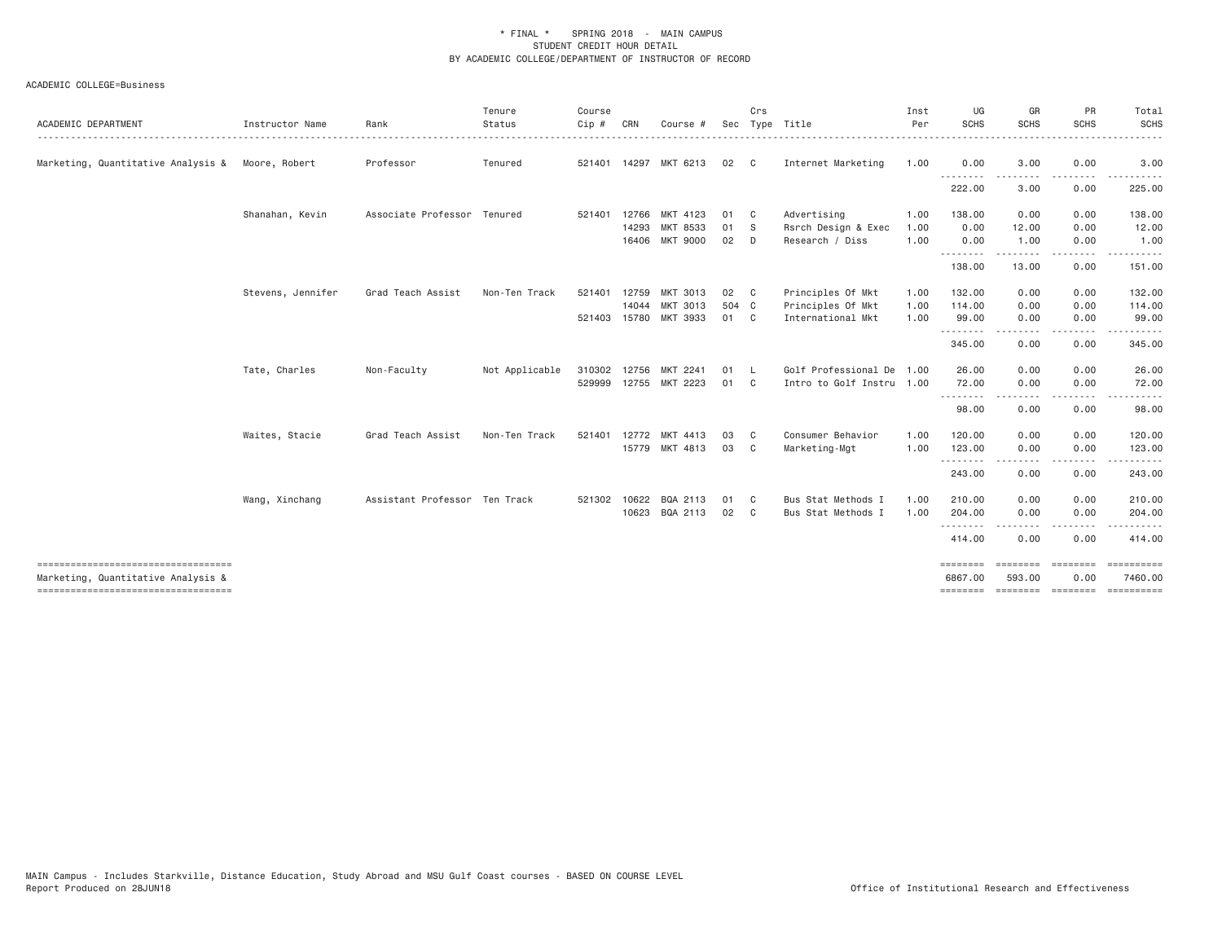| ACADEMIC DEPARTMENT                                                      | Instructor Name   | Rank                          | Tenure<br>Status | Course<br>Cip # | CRN   | Course #              | Sec   | Crs          | Type Title                | Inst<br>Per | UG<br><b>SCHS</b>    | GR<br><b>SCHS</b> | PR<br><b>SCHS</b>         | Total<br>SCHS                       |
|--------------------------------------------------------------------------|-------------------|-------------------------------|------------------|-----------------|-------|-----------------------|-------|--------------|---------------------------|-------------|----------------------|-------------------|---------------------------|-------------------------------------|
| Marketing, Quantitative Analysis & Moore, Robert                         |                   | Professor                     | Tenured          | 521401          |       | 14297 MKT 6213        | 02    | $\mathbf{C}$ | Internet Marketing        | 1.00        | 0.00                 | 3.00              | 0.00                      | 3.00                                |
|                                                                          |                   |                               |                  |                 |       |                       |       |              |                           |             | $\cdots$<br>222.00   | 3.00              | 0.00                      | 225.00                              |
|                                                                          | Shanahan, Kevin   | Associate Professor Tenured   |                  | 521401          | 12766 | MKT 4123              | 01    | C            | Advertising               | 1.00        | 138.00               | 0.00              | 0.00                      | 138.00                              |
|                                                                          |                   |                               |                  |                 | 14293 | MKT 8533              | 01    | <sub>S</sub> | Rsrch Design & Exec       | 1.00        | 0.00                 | 12.00             | 0.00                      | 12.00                               |
|                                                                          |                   |                               |                  |                 | 16406 | <b>MKT 9000</b>       | 02    | D            | Research / Diss           | 1.00        | 0.00                 | 1.00              | 0.00                      | 1.00                                |
|                                                                          |                   |                               |                  |                 |       |                       |       |              |                           |             | .<br>138.00          | 13.00             | 0.00                      | 151.00                              |
|                                                                          | Stevens, Jennifer | Grad Teach Assist             | Non-Ten Track    | 521401          | 12759 | MKT 3013              | 02    | $\mathbf{C}$ | Principles Of Mkt         | 1.00        | 132.00               | 0.00              | 0.00                      | 132.00                              |
|                                                                          |                   |                               |                  |                 | 14044 | MKT 3013              | 504 C |              | Principles Of Mkt         | 1.00        | 114.00               | 0.00              | 0.00                      | 114.00                              |
|                                                                          |                   |                               |                  |                 |       | 521403 15780 MKT 3933 | 01    | $\mathbf{C}$ | International Mkt         | 1.00        | 99.00                | 0.00              | 0.00                      | 99.00                               |
|                                                                          |                   |                               |                  |                 |       |                       |       |              |                           |             | . <u>.</u><br>345.00 | 0.00              | 0.00                      | 345.00                              |
|                                                                          | Tate, Charles     | Non-Faculty                   | Not Applicable   | 310302          | 12756 | MKT<br>2241           | 01    | - L          | Golf Professional De 1.00 |             | 26.00                | 0.00              | 0.00                      | 26.00                               |
|                                                                          |                   |                               |                  |                 |       | 529999 12755 MKT 2223 | 01    | C            | Intro to Golf Instru 1.00 |             | 72.00                | 0.00              | 0.00                      | 72.00                               |
|                                                                          |                   |                               |                  |                 |       |                       |       |              |                           |             | .<br>98.00           | 0.00              | 0.00                      | 98.00                               |
|                                                                          | Waites, Stacie    | Grad Teach Assist             | Non-Ten Track    | 521401          | 12772 | <b>MKT</b><br>4413    | 03    | C            | Consumer Behavior         | 1.00        | 120,00               | 0.00              | 0.00                      | 120.00                              |
|                                                                          |                   |                               |                  |                 |       | 15779 MKT 4813        | 03    | C            | Marketing-Mgt             | 1.00        | 123.00               | 0.00              | 0.00                      | 123.00                              |
|                                                                          |                   |                               |                  |                 |       |                       |       |              |                           |             | .<br>243.00          | -----<br>0.00     | $\cdots$<br>0.00          | ------<br>243.00                    |
|                                                                          | Wang, Xinchang    | Assistant Professor Ten Track |                  | 521302          | 10622 | BQA 2113              | 01    | C            | Bus Stat Methods I        | 1,00        | 210,00               | 0.00              | 0.00                      | 210.00                              |
|                                                                          |                   |                               |                  |                 | 10623 | BQA 2113              | 02    | C            | Bus Stat Methods I        | 1.00        | 204.00               | 0.00              | 0.00<br>$- - - -$         | 204.00<br>.                         |
|                                                                          |                   |                               |                  |                 |       |                       |       |              |                           |             | .<br>414.00          | 0.00              | 0.00                      | 414.00                              |
| ----------------------------------<br>Marketing, Quantitative Analysis & |                   |                               |                  |                 |       |                       |       |              |                           |             | ========<br>6867.00  | 593,00            | ======== ========<br>0.00 | 7460.00                             |
| ====================================                                     |                   |                               |                  |                 |       |                       |       |              |                           |             |                      |                   |                           | ======== ======== ======== ======== |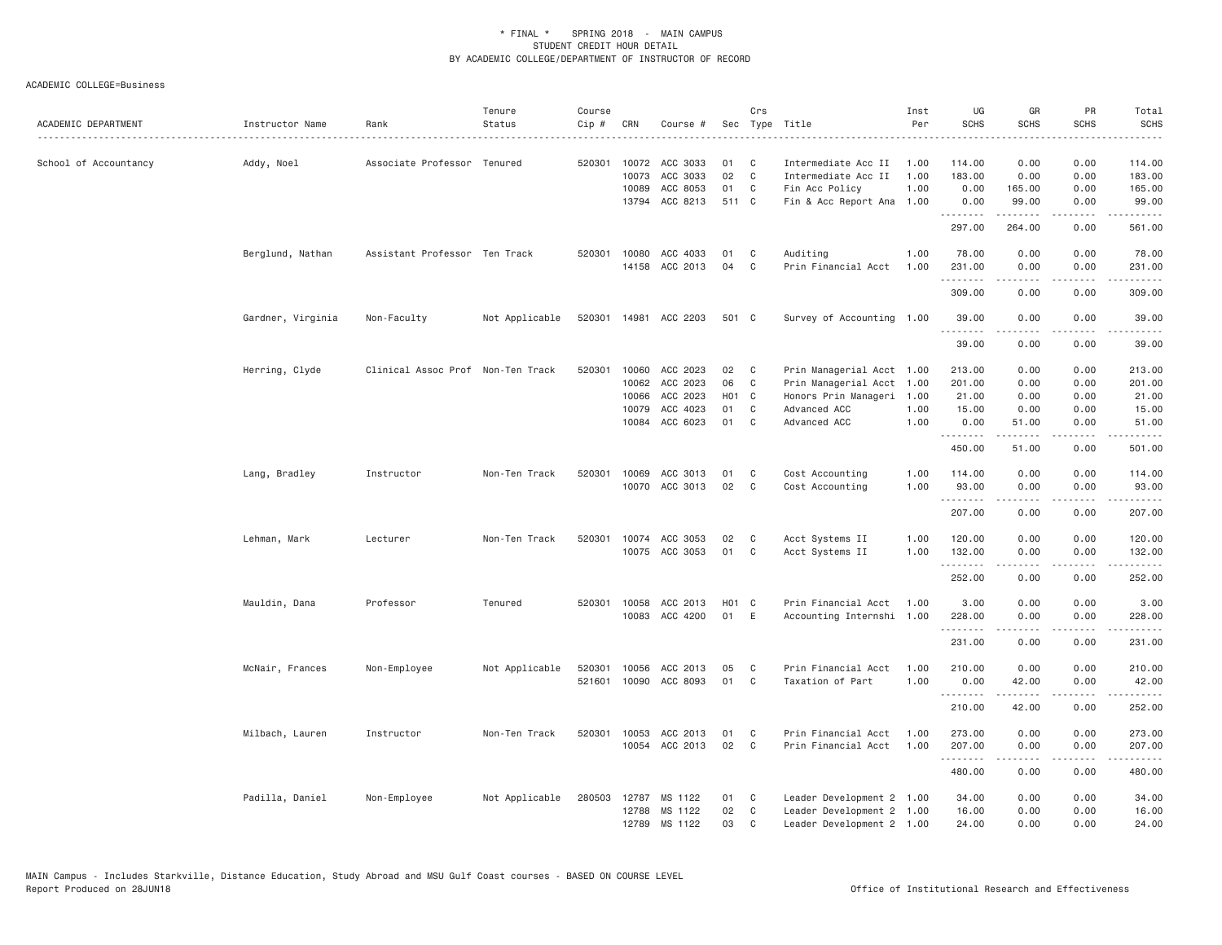| ACADEMIC DEPARTMENT   | Instructor Name   | Rank                              | Tenure<br>Status | Course<br>Cip #  | CRN            | Course #                         |          | Crs          | Sec Type Title                             | Inst<br>Per  | UG<br><b>SCHS</b> | GR<br><b>SCHS</b>    | PR<br><b>SCHS</b>                   | Total<br><b>SCHS</b> |
|-----------------------|-------------------|-----------------------------------|------------------|------------------|----------------|----------------------------------|----------|--------------|--------------------------------------------|--------------|-------------------|----------------------|-------------------------------------|----------------------|
| School of Accountancy | Addy, Noel        | Associate Professor Tenured       |                  | 520301           | 10072<br>10073 | ACC 3033<br>ACC 3033             | 01<br>02 | C<br>C       | Intermediate Acc II<br>Intermediate Acc II | 1.00<br>1.00 | 114.00<br>183.00  | 0.00<br>0.00         | 0.00<br>0.00                        | 114.00<br>183.00     |
|                       |                   |                                   |                  |                  | 10089          | ACC 8053                         | 01       | C            | Fin Acc Policy                             | 1.00         | 0.00              | 165.00               | 0.00                                | 165.00               |
|                       |                   |                                   |                  |                  |                | 13794 ACC 8213                   | 511 C    |              | Fin & Acc Report Ana                       | 1.00         | 0.00<br>.         | 99.00<br>.           | 0.00<br>$\sim$ $\sim$ $\sim$        | 99.00<br>.           |
|                       |                   |                                   |                  |                  |                |                                  |          |              |                                            |              | 297.00            | 264.00               | 0.00                                | 561.00               |
|                       | Berglund, Nathan  | Assistant Professor Ten Track     |                  | 520301           | 10080          | ACC 4033                         | 01       | C            | Auditing                                   | 1.00         | 78.00             | 0.00                 | 0.00                                | 78.00                |
|                       |                   |                                   |                  |                  |                | 14158 ACC 2013                   | 04       | C            | Prin Financial Acct                        | 1.00         | 231.00            | 0.00                 | 0.00                                | 231.00               |
|                       |                   |                                   |                  |                  |                |                                  |          |              |                                            |              | .<br>309.00       | 0.00                 | .<br>0.00                           | .<br>309.00          |
|                       | Gardner, Virginia | Non-Faculty                       | Not Applicable   |                  |                | 520301 14981 ACC 2203            | 501 C    |              | Survey of Accounting 1.00                  |              | 39.00             | 0.00                 | 0.00                                | 39.00                |
|                       |                   |                                   |                  |                  |                |                                  |          |              |                                            |              | .<br>39,00        | .<br>0.00            | $  -$<br>0.00                       | $- - - - -$<br>39.00 |
|                       | Herring, Clyde    | Clinical Assoc Prof Non-Ten Track |                  | 520301           | 10060          | ACC 2023                         | 02       | $\mathbf{C}$ | Prin Managerial Acct 1.00                  |              | 213.00            | 0.00                 | 0.00                                | 213.00               |
|                       |                   |                                   |                  |                  | 10062          | ACC 2023                         | 06       | C            | Prin Managerial Acct 1.00                  |              | 201.00            | 0.00                 | 0.00                                | 201.00               |
|                       |                   |                                   |                  |                  | 10066          | ACC 2023                         | H01 C    |              | Honors Prin Manageri 1.00                  |              | 21.00             | 0.00                 | 0.00                                | 21.00                |
|                       |                   |                                   |                  |                  | 10079          | ACC 4023                         | 01       | C            | Advanced ACC                               | 1.00         | 15.00             | 0.00                 | 0.00                                | 15.00                |
|                       |                   |                                   |                  |                  | 10084          | ACC 6023                         | 01       | C            | Advanced ACC                               | 1.00         | 0.00              | 51.00                | 0.00                                | 51.00                |
|                       |                   |                                   |                  |                  |                |                                  |          |              |                                            |              | .<br>450.00       | $- - - - -$<br>51.00 | .<br>0.00                           | .<br>501.00          |
|                       | Lang, Bradley     | Instructor                        | Non-Ten Track    | 520301           | 10069          | ACC 3013                         | 01       | C            | Cost Accounting                            | 1.00         | 114.00            | 0.00                 | 0.00                                | 114.00               |
|                       |                   |                                   |                  |                  |                | 10070 ACC 3013                   | 02       | $\mathsf{C}$ | Cost Accounting                            | 1.00         | 93.00             | 0.00                 | 0.00                                | 93.00                |
|                       |                   |                                   |                  |                  |                |                                  |          |              |                                            |              | .<br>207.00       | .<br>0.00            | .<br>0.00                           | .<br>207.00          |
|                       |                   |                                   |                  |                  |                |                                  |          |              |                                            |              |                   |                      |                                     |                      |
|                       | Lehman, Mark      | Lecturer                          | Non-Ten Track    | 520301           |                | 10074 ACC 3053<br>10075 ACC 3053 | 02<br>01 | C<br>C       | Acct Systems II<br>Acct Systems II         | 1.00<br>1.00 | 120.00<br>132.00  | 0.00<br>0.00         | 0.00<br>0.00                        | 120.00<br>132.00     |
|                       |                   |                                   |                  |                  |                |                                  |          |              |                                            |              | .                 | .                    | .                                   |                      |
|                       |                   |                                   |                  |                  |                |                                  |          |              |                                            |              | 252.00            | 0.00                 | 0.00                                | 252.00               |
|                       | Mauldin, Dana     | Professor                         | Tenured          |                  | 520301 10058   | ACC 2013                         | H01 C    |              | Prin Financial Acct                        | 1.00         | 3.00              | 0.00                 | 0.00                                | 3.00                 |
|                       |                   |                                   |                  |                  | 10083          | ACC 4200                         | 01       | E            | Accounting Internshi 1.00                  |              | 228.00            | 0.00                 | 0.00                                | 228.00               |
|                       |                   |                                   |                  |                  |                |                                  |          |              |                                            |              | .<br>231.00       | .<br>0.00            | $\sim$ $\sim$ $\sim$ $\sim$<br>0.00 | .<br>231.00          |
|                       |                   |                                   |                  |                  |                |                                  |          |              |                                            |              |                   |                      |                                     |                      |
|                       | McNair, Frances   | Non-Employee                      | Not Applicable   | 520301<br>521601 | 10056          | ACC 2013<br>10090 ACC 8093       | 05<br>01 | C<br>C       | Prin Financial Acct<br>Taxation of Part    | 1.00<br>1.00 | 210.00<br>0.00    | 0.00<br>42.00        | 0.00<br>0.00                        | 210.00<br>42.00      |
|                       |                   |                                   |                  |                  |                |                                  |          |              |                                            |              | <u>.</u>          | . <u>.</u>           | .                                   | $- - - - - -$        |
|                       |                   |                                   |                  |                  |                |                                  |          |              |                                            |              | 210.00            | 42.00                | 0.00                                | 252.00               |
|                       | Milbach, Lauren   | Instructor                        | Non-Ten Track    | 520301           | 10053          | ACC 2013                         | 01       | C            | Prin Financial Acct                        | 1.00         | 273.00            | 0.00                 | 0.00                                | 273.00               |
|                       |                   |                                   |                  |                  | 10054          | ACC 2013                         | 02       | $\mathbb C$  | Prin Financial Acct                        | 1.00         | 207.00<br>.       | 0.00<br>.            | 0.00                                | 207.00<br>.          |
|                       |                   |                                   |                  |                  |                |                                  |          |              |                                            |              | 480.00            | 0.00                 | 0.00                                | 480.00               |
|                       | Padilla, Daniel   | Non-Employee                      | Not Applicable   |                  | 280503 12787   | MS 1122                          | 01       | C            | Leader Development 2 1.00                  |              | 34.00             | 0.00                 | 0.00                                | 34.00                |
|                       |                   |                                   |                  |                  | 12788          | MS 1122                          | 02       | C            | Leader Development 2 1.00                  |              | 16.00             | 0.00                 | 0.00                                | 16.00                |
|                       |                   |                                   |                  |                  | 12789          | MS 1122                          | 03       | $\mathsf{C}$ | Leader Development 2 1.00                  |              | 24.00             | 0.00                 | 0.00                                | 24.00                |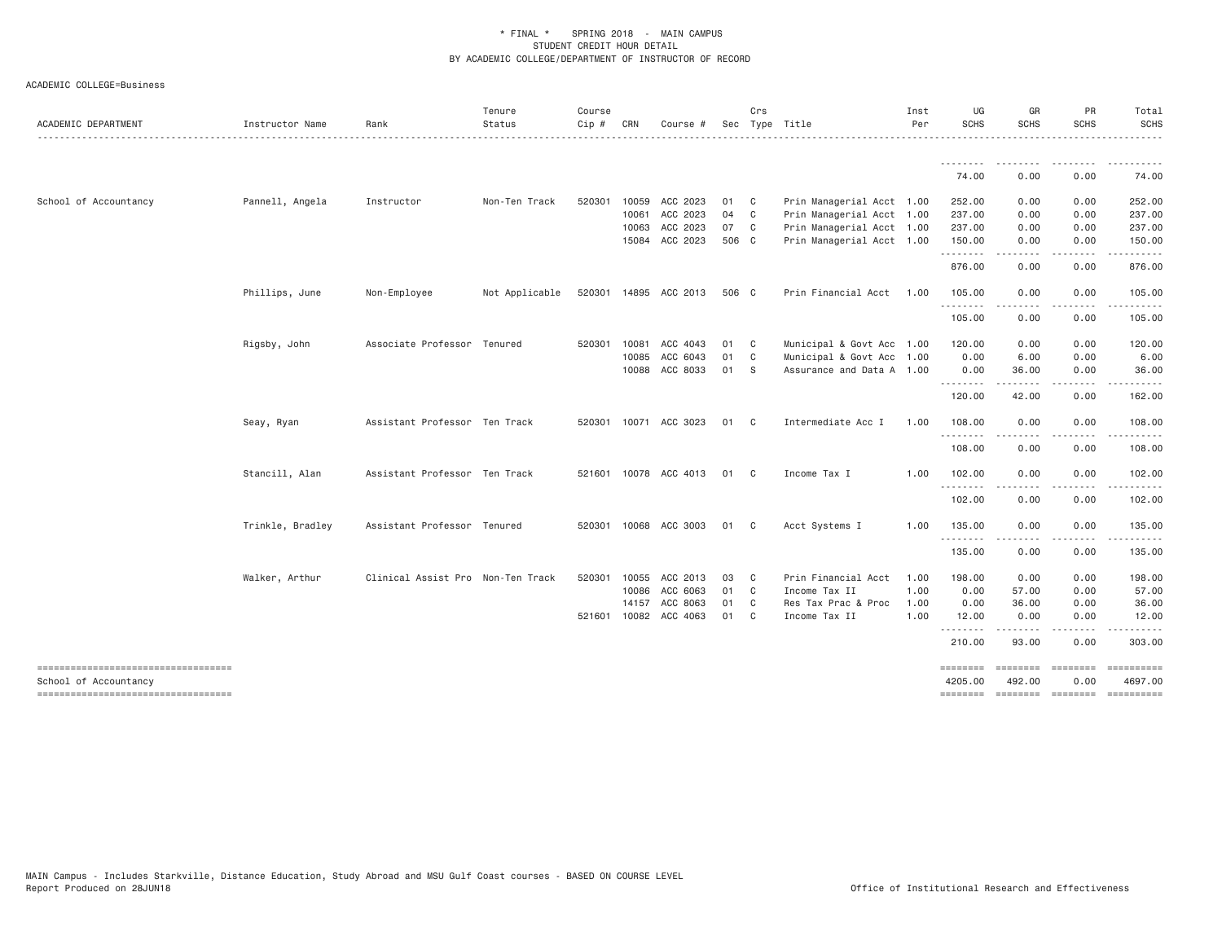| ACADEMIC DEPARTMENT                | Instructor Name  | Rank                              | Tenure<br>Status | Course<br>Cip # | CRN   | Course #              |       | Crs            | Sec Type Title            | Inst<br>Per | UG<br><b>SCHS</b> | GR<br><b>SCHS</b>                                                                                                                                                                                                                                                                                                                                                                                                                                                                      | PR<br><b>SCHS</b>                                                                                                                 | Total<br><b>SCHS</b> |
|------------------------------------|------------------|-----------------------------------|------------------|-----------------|-------|-----------------------|-------|----------------|---------------------------|-------------|-------------------|----------------------------------------------------------------------------------------------------------------------------------------------------------------------------------------------------------------------------------------------------------------------------------------------------------------------------------------------------------------------------------------------------------------------------------------------------------------------------------------|-----------------------------------------------------------------------------------------------------------------------------------|----------------------|
|                                    |                  |                                   |                  |                 |       |                       |       |                |                           |             | .                 | $\begin{array}{cccccccccccccc} \multicolumn{2}{c}{} & \multicolumn{2}{c}{} & \multicolumn{2}{c}{} & \multicolumn{2}{c}{} & \multicolumn{2}{c}{} & \multicolumn{2}{c}{} & \multicolumn{2}{c}{} & \multicolumn{2}{c}{} & \multicolumn{2}{c}{} & \multicolumn{2}{c}{} & \multicolumn{2}{c}{} & \multicolumn{2}{c}{} & \multicolumn{2}{c}{} & \multicolumn{2}{c}{} & \multicolumn{2}{c}{} & \multicolumn{2}{c}{} & \multicolumn{2}{c}{} & \multicolumn{2}{c}{} & \multicolumn{2}{c}{} & \$ | <u>.</u>                                                                                                                          | .<br>$- - - - - - -$ |
|                                    |                  |                                   |                  |                 |       |                       |       |                |                           |             | 74.00             | 0.00                                                                                                                                                                                                                                                                                                                                                                                                                                                                                   | 0.00                                                                                                                              | 74.00                |
| School of Accountancy              | Pannell, Angela  | Instructor                        | Non-Ten Track    | 520301          | 10059 | ACC 2023              | 01    | C <sub>1</sub> | Prin Managerial Acct 1.00 |             | 252.00            | 0.00                                                                                                                                                                                                                                                                                                                                                                                                                                                                                   | 0.00                                                                                                                              | 252.00               |
|                                    |                  |                                   |                  |                 | 10061 | ACC 2023              | 04    | C              | Prin Managerial Acct 1.00 |             | 237.00            | 0.00                                                                                                                                                                                                                                                                                                                                                                                                                                                                                   | 0.00                                                                                                                              | 237.00               |
|                                    |                  |                                   |                  |                 | 10063 | ACC 2023              | 07    | $\mathbf{C}$   | Prin Managerial Acct 1.00 |             | 237.00            | 0.00                                                                                                                                                                                                                                                                                                                                                                                                                                                                                   | 0.00                                                                                                                              | 237.00               |
|                                    |                  |                                   |                  |                 |       | 15084 ACC 2023        | 506 C |                | Prin Managerial Acct 1.00 |             | 150.00            | 0.00                                                                                                                                                                                                                                                                                                                                                                                                                                                                                   | 0.00<br>$\frac{1}{2} \left( \frac{1}{2} \right) \left( \frac{1}{2} \right) \left( \frac{1}{2} \right) \left( \frac{1}{2} \right)$ | 150.00<br>.          |
|                                    |                  |                                   |                  |                 |       |                       |       |                |                           |             | 876.00            | 0.00                                                                                                                                                                                                                                                                                                                                                                                                                                                                                   | 0.00                                                                                                                              | 876.00               |
|                                    | Phillips, June   | Non-Employee                      | Not Applicable   |                 |       | 520301 14895 ACC 2013 | 506 C |                | Prin Financial Acct       | 1.00        | 105.00            | 0.00                                                                                                                                                                                                                                                                                                                                                                                                                                                                                   | 0.00                                                                                                                              | 105.00               |
|                                    |                  |                                   |                  |                 |       |                       |       |                |                           |             | .<br>105.00       | 0.00                                                                                                                                                                                                                                                                                                                                                                                                                                                                                   | $- - - -$<br>0.00                                                                                                                 | .<br>105.00          |
|                                    | Rigsby, John     | Associate Professor Tenured       |                  | 520301          | 10081 | ACC 4043              | 01    | C <sub>1</sub> | Municipal & Govt Acc 1.00 |             | 120.00            | 0.00                                                                                                                                                                                                                                                                                                                                                                                                                                                                                   | 0.00                                                                                                                              | 120.00               |
|                                    |                  |                                   |                  |                 | 10085 | ACC 6043              | 01    | C <sub>1</sub> | Municipal & Govt Acc 1.00 |             | 0.00              | 6.00                                                                                                                                                                                                                                                                                                                                                                                                                                                                                   | 0.00                                                                                                                              | 6.00                 |
|                                    |                  |                                   |                  |                 |       | 10088 ACC 8033        | 01    | - S            | Assurance and Data A 1.00 |             | 0.00              | 36.00                                                                                                                                                                                                                                                                                                                                                                                                                                                                                  | 0.00                                                                                                                              | 36.00                |
|                                    |                  |                                   |                  |                 |       |                       |       |                |                           |             | .<br>120.00       | -----<br>42.00                                                                                                                                                                                                                                                                                                                                                                                                                                                                         | $\frac{1}{2} \left( \frac{1}{2} \right) \left( \frac{1}{2} \right) \left( \frac{1}{2} \right) \left( \frac{1}{2} \right)$<br>0.00 | .<br>162.00          |
|                                    | Seay, Ryan       | Assistant Professor Ten Track     |                  |                 |       | 520301 10071 ACC 3023 | 01    | C.             | Intermediate Acc I        | 1.00        | 108.00            | 0.00                                                                                                                                                                                                                                                                                                                                                                                                                                                                                   | 0.00                                                                                                                              | 108.00               |
|                                    |                  |                                   |                  |                 |       |                       |       |                |                           |             | .<br>108.00       | 0.00                                                                                                                                                                                                                                                                                                                                                                                                                                                                                   | $- - - -$<br>0.00                                                                                                                 | .<br>108.00          |
|                                    | Stancill, Alan   | Assistant Professor Ten Track     |                  |                 |       | 521601 10078 ACC 4013 | 01    | C.             | Income Tax I              | 1.00        | 102.00            | 0.00                                                                                                                                                                                                                                                                                                                                                                                                                                                                                   | 0.00                                                                                                                              | 102.00               |
|                                    |                  |                                   |                  |                 |       |                       |       |                |                           |             | .<br>102.00       | 0.00                                                                                                                                                                                                                                                                                                                                                                                                                                                                                   | 0.00                                                                                                                              | .<br>102.00          |
|                                    | Trinkle, Bradley | Assistant Professor Tenured       |                  |                 |       | 520301 10068 ACC 3003 | 01    | C <sub>1</sub> | Acct Systems I            | 1.00        | 135.00            | 0.00                                                                                                                                                                                                                                                                                                                                                                                                                                                                                   | 0.00                                                                                                                              | 135.00               |
|                                    |                  |                                   |                  |                 |       |                       |       |                |                           |             | .<br>135.00       | $\frac{1}{2} \left( \frac{1}{2} \right) \left( \frac{1}{2} \right) \left( \frac{1}{2} \right) \left( \frac{1}{2} \right) \left( \frac{1}{2} \right)$<br>0.00                                                                                                                                                                                                                                                                                                                           | .<br>0.00                                                                                                                         | 135.00               |
|                                    | Walker, Arthur   | Clinical Assist Pro Non-Ten Track |                  | 520301          | 10055 | ACC 2013              | 03    | C              | Prin Financial Acct       | 1.00        | 198.00            | 0.00                                                                                                                                                                                                                                                                                                                                                                                                                                                                                   | 0.00                                                                                                                              | 198.00               |
|                                    |                  |                                   |                  |                 | 10086 | ACC 6063              | 01    | C              | Income Tax II             | 1.00        | 0.00              | 57.00                                                                                                                                                                                                                                                                                                                                                                                                                                                                                  | 0.00                                                                                                                              | 57.00                |
|                                    |                  |                                   |                  |                 | 14157 | ACC 8063              | 01    | C              | Res Tax Prac & Proc       | 1.00        | 0.00              | 36.00                                                                                                                                                                                                                                                                                                                                                                                                                                                                                  | 0.00                                                                                                                              | 36.00                |
|                                    |                  |                                   |                  |                 |       | 521601 10082 ACC 4063 | 01    | C <sub>1</sub> | Income Tax II             | 1,00        | 12,00             | 0.00                                                                                                                                                                                                                                                                                                                                                                                                                                                                                   | 0.00                                                                                                                              | 12.00                |
|                                    |                  |                                   |                  |                 |       |                       |       |                |                           |             | .<br>210.00       | $- - - - -$<br>93.00                                                                                                                                                                                                                                                                                                                                                                                                                                                                   | $\frac{1}{2} \left( \frac{1}{2} \right) \left( \frac{1}{2} \right) \left( \frac{1}{2} \right) \left( \frac{1}{2} \right)$<br>0.00 | .<br>303.00          |
| School of Accountancy              |                  |                                   |                  |                 |       |                       |       |                |                           |             | 4205.00           | ---------<br>492.00                                                                                                                                                                                                                                                                                                                                                                                                                                                                    | ---------<br>0.00                                                                                                                 | 4697.00              |
| ---------------------------------- |                  |                                   |                  |                 |       |                       |       |                |                           |             | ========          |                                                                                                                                                                                                                                                                                                                                                                                                                                                                                        | ========                                                                                                                          |                      |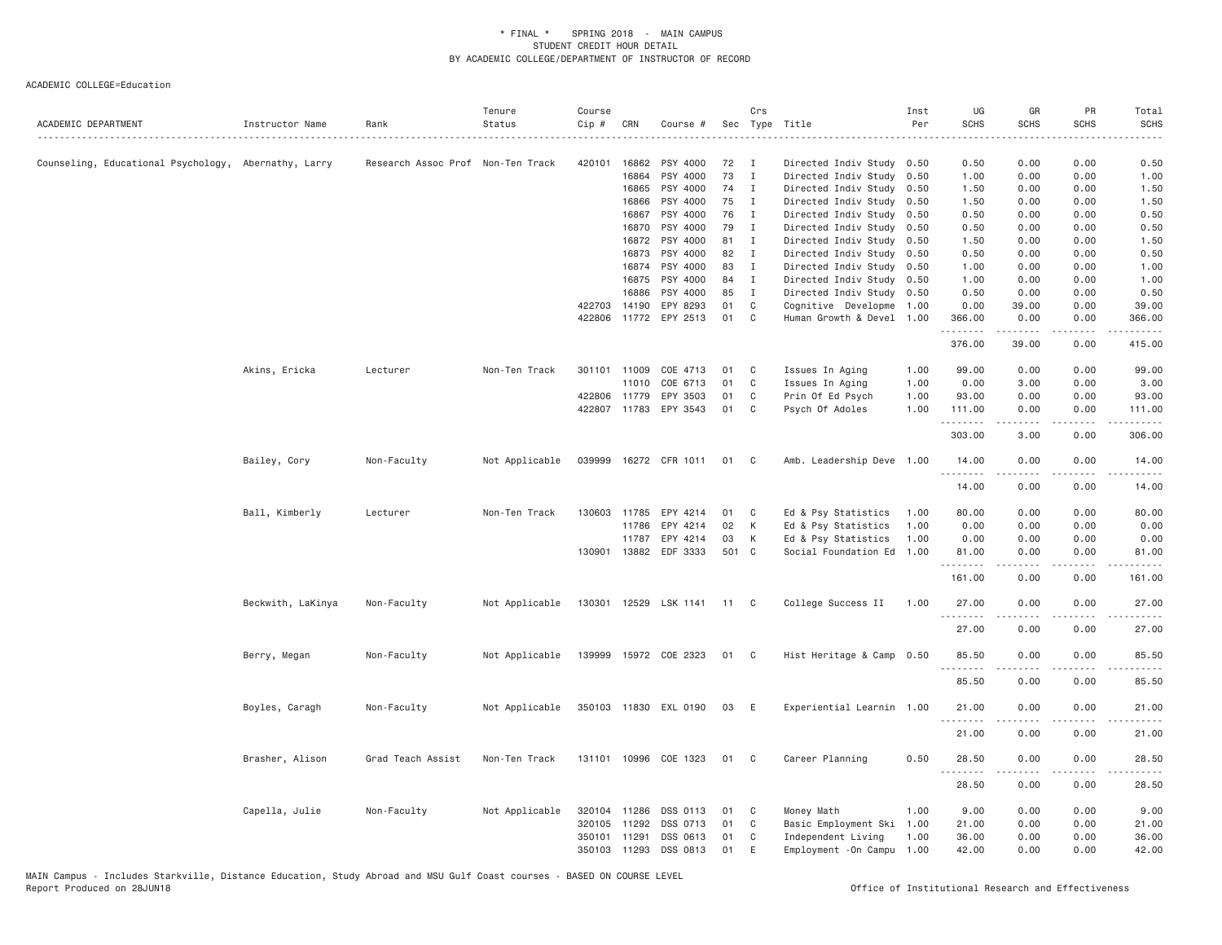| ACADEMIC DEPARTMENT                                  | Instructor Name   | Rank                              | Tenure<br>Status | Course<br>Cip # | CRN          | Course #              |       | Crs          | Sec Type Title             | Inst<br>Per | UG<br><b>SCHS</b>  | GR<br><b>SCHS</b> | PR<br><b>SCHS</b> | Total<br><b>SCHS</b>                 |
|------------------------------------------------------|-------------------|-----------------------------------|------------------|-----------------|--------------|-----------------------|-------|--------------|----------------------------|-------------|--------------------|-------------------|-------------------|--------------------------------------|
| Counseling, Educational Psychology, Abernathy, Larry |                   | Research Assoc Prof Non-Ten Track |                  | 420101          | 16862        | PSY 4000              | 72    | I            | Directed Indiv Study 0.50  |             | 0.50               | 0.00              | 0.00              | 0.50                                 |
|                                                      |                   |                                   |                  |                 | 16864        | PSY 4000              | 73    | $\mathbf I$  | Directed Indiv Study 0.50  |             | 1.00               | 0.00              | 0.00              | 1.00                                 |
|                                                      |                   |                                   |                  |                 | 16865        | PSY 4000              | 74    | $\mathbf{I}$ | Directed Indiv Study 0.50  |             | 1.50               | 0.00              | 0.00              | 1.50                                 |
|                                                      |                   |                                   |                  |                 | 16866        | PSY 4000              | 75    | Ι.           | Directed Indiv Study 0.50  |             | 1.50               | 0.00              | 0.00              | 1.50                                 |
|                                                      |                   |                                   |                  |                 | 16867        | PSY 4000              | 76    | I            | Directed Indiv Study       | 0.50        | 0.50               | 0.00              | 0.00              | 0.50                                 |
|                                                      |                   |                                   |                  |                 | 16870        | PSY 4000              | 79    | $\mathbf{I}$ | Directed Indiv Study 0.50  |             | 0.50               | 0.00              | 0.00              | 0.50                                 |
|                                                      |                   |                                   |                  |                 | 16872        | PSY 4000              | 81    | I            | Directed Indiv Study       | 0.50        | 1.50               | 0.00              | 0.00              | 1.50                                 |
|                                                      |                   |                                   |                  |                 | 16873        | PSY 4000              | 82    | I            | Directed Indiv Study 0.50  |             | 0.50               | 0.00              | 0.00              | 0.50                                 |
|                                                      |                   |                                   |                  |                 | 16874        | PSY 4000              | 83    | $\mathbf I$  | Directed Indiv Study 0.50  |             | 1.00               | 0.00              | 0.00              | 1.00                                 |
|                                                      |                   |                                   |                  |                 | 16875        | PSY 4000              | 84    | $\mathbf I$  | Directed Indiv Study 0.50  |             | 1.00               | 0.00              | 0.00              | 1.00                                 |
|                                                      |                   |                                   |                  |                 | 16886        | PSY 4000              | 85    | $\mathbf{I}$ | Directed Indiv Study 0.50  |             | 0.50               | 0.00              | 0.00              | 0.50                                 |
|                                                      |                   |                                   |                  | 422703          | 14190        | EPY 8293              | 01    | $\mathbb C$  | Cognitive Developme 1.00   |             | 0.00               | 39.00             | 0.00              | 39.00                                |
|                                                      |                   |                                   |                  | 422806          |              | 11772 EPY 2513        | 01    | $\mathsf{C}$ | Human Growth & Devel 1.00  |             | 366.00             | 0.00<br>.         | 0.00<br>.         | 366.00<br>$\omega$ is a set of       |
|                                                      |                   |                                   |                  |                 |              |                       |       |              |                            |             | 376.00             | 39.00             | 0.00              | 415.00                               |
|                                                      | Akins, Ericka     | Lecturer                          | Non-Ten Track    | 301101          | 11009        | COE 4713              | 01    | C            | Issues In Aging            | 1.00        | 99.00              | 0.00              | 0.00              | 99.00                                |
|                                                      |                   |                                   |                  |                 | 11010        | COE 6713              | 01    | C            | Issues In Aging            | 1.00        | 0.00               | 3.00              | 0.00              | 3.00                                 |
|                                                      |                   |                                   |                  | 422806 11779    |              | EPY 3503              | 01    | C            | Prin Of Ed Psych           | 1.00        | 93.00              | 0.00              | 0.00              | 93.00                                |
|                                                      |                   |                                   |                  |                 |              | 422807 11783 EPY 3543 | 01    | C            | Psych Of Adoles            | 1.00        | 111.00             | 0.00              | 0.00              | 111.00                               |
|                                                      |                   |                                   |                  |                 |              |                       |       |              |                            |             | <u>.</u><br>303.00 | -----<br>3.00     | .<br>0.00         | $- - - - - -$<br>306.00              |
|                                                      |                   |                                   |                  |                 |              |                       |       |              |                            |             |                    |                   |                   |                                      |
|                                                      | Bailey, Cory      | Non-Faculty                       | Not Applicable   | 039999          |              | 16272 CFR 1011        | 01    | C            | Amb. Leadership Deve 1.00  |             | 14.00<br>.         | 0.00<br>.         | 0.00              | 14.00<br>$\sim$ $\sim$ $\sim$ $\sim$ |
|                                                      |                   |                                   |                  |                 |              |                       |       |              |                            |             | 14.00              | 0.00              | 0.00              | 14.00                                |
|                                                      | Ball, Kimberly    | Lecturer                          | Non-Ten Track    | 130603          | 11785        | EPY 4214              | 01    | C            | Ed & Psy Statistics        | 1.00        | 80.00              | 0.00              | 0.00              | 80.00                                |
|                                                      |                   |                                   |                  |                 | 11786        | EPY 4214              | 02    | К            | Ed & Psy Statistics        | 1.00        | 0.00               | 0.00              | 0.00              | 0.00                                 |
|                                                      |                   |                                   |                  |                 | 11787        | EPY 4214              | 03    | К            | Ed & Psy Statistics        | 1.00        | 0.00               | 0.00              | 0.00              | 0.00                                 |
|                                                      |                   |                                   |                  |                 |              | 130901 13882 EDF 3333 | 501 C |              | Social Foundation Ed 1.00  |             | 81.00              | 0.00              | 0.00              | 81.00                                |
|                                                      |                   |                                   |                  |                 |              |                       |       |              |                            |             | .<br>161.00        | -----<br>0.00     | المتمالين<br>0.00 | .<br>161.00                          |
|                                                      |                   |                                   |                  |                 |              |                       |       |              |                            |             |                    |                   | 0.00              |                                      |
|                                                      | Beckwith, LaKinya | Non-Faculty                       | Not Applicable   |                 |              | 130301 12529 LSK 1141 | 11    | $\mathbf{C}$ | College Success II         | 1.00        | 27.00<br>.         | 0.00<br>-----     | .                 | 27.00<br>.                           |
|                                                      |                   |                                   |                  |                 |              |                       |       |              |                            |             | 27.00              | 0.00              | 0.00              | 27.00                                |
|                                                      | Berry, Megan      | Non-Faculty                       | Not Applicable   |                 |              | 139999 15972 COE 2323 | 01 C  |              | Hist Heritage & Camp       | 0.50        | 85.50              | 0.00              | 0.00              | 85.50                                |
|                                                      |                   |                                   |                  |                 |              |                       |       |              |                            |             | 85.50              | 0.00              | 0.00              | 85.50                                |
|                                                      | Boyles, Caragh    | Non-Faculty                       | Not Applicable   |                 |              | 350103 11830 EXL 0190 | 03    | E            | Experiential Learnin 1.00  |             | 21.00              | 0.00              | 0.00              | 21.00                                |
|                                                      |                   |                                   |                  |                 |              |                       |       |              |                            |             |                    |                   |                   |                                      |
|                                                      |                   |                                   |                  |                 |              |                       |       |              |                            |             | 21.00              | 0.00              | 0.00              | 21.00                                |
|                                                      | Brasher, Alison   | Grad Teach Assist                 | Non-Ten Track    |                 |              | 131101 10996 COE 1323 | 01    | C            | Career Planning            | 0.50        | 28.50<br>.         | 0.00              | 0.00              | 28.50                                |
|                                                      |                   |                                   |                  |                 |              |                       |       |              |                            |             | 28.50              | 0.00              | 0.00              | 28.50                                |
|                                                      | Capella, Julie    | Non-Faculty                       | Not Applicable   | 320104 11286    |              | DSS 0113              | 01    | C            | Money Math                 | 1.00        | 9.00               | 0.00              | 0.00              | 9.00                                 |
|                                                      |                   |                                   |                  |                 | 320105 11292 | DSS 0713              | 01    | C            | Basic Employment Ski 1.00  |             | 21.00              | 0.00              | 0.00              | 21.00                                |
|                                                      |                   |                                   |                  | 350101 11291    |              | DSS 0613              | 01    | C            | Independent Living         | 1.00        | 36.00              | 0.00              | 0.00              | 36.00                                |
|                                                      |                   |                                   |                  |                 | 350103 11293 | DSS 0813              | 01    | E            | Employment - On Campu 1.00 |             | 42.00              | 0.00              | 0.00              | 42.00                                |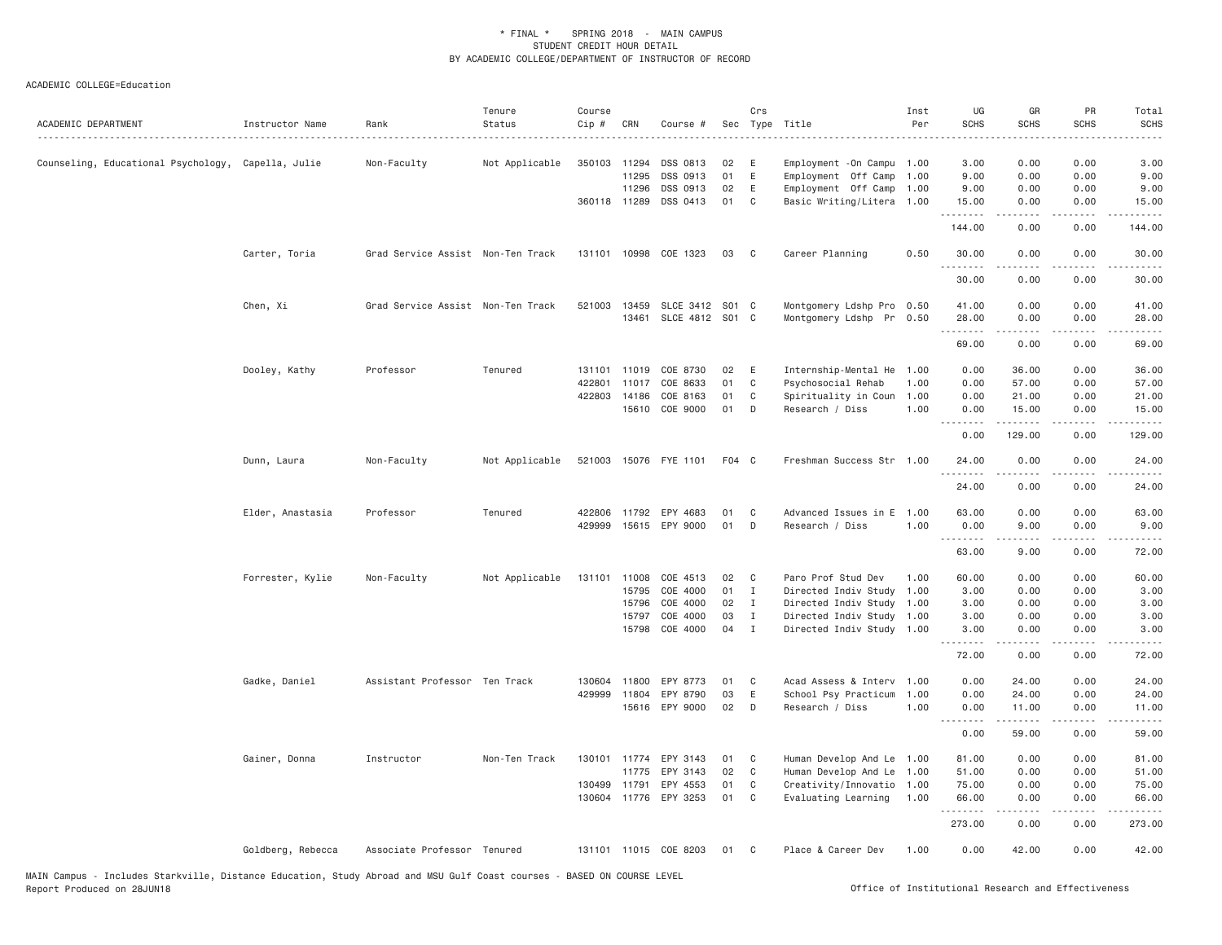| ACADEMIC DEPARTMENT                                | Instructor Name   | Rank                              | Tenure<br>Status | Course<br>Cip # | CRN          | Course #              |          | Crs          | Sec Type Title                                    | Inst<br>Per | UG<br><b>SCHS</b><br>المتمامين | GR<br><b>SCHS</b>                     | PR<br><b>SCHS</b>                   | Total<br><b>SCHS</b><br>$- - - -$ |
|----------------------------------------------------|-------------------|-----------------------------------|------------------|-----------------|--------------|-----------------------|----------|--------------|---------------------------------------------------|-------------|--------------------------------|---------------------------------------|-------------------------------------|-----------------------------------|
| Counseling, Educational Psychology, Capella, Julie |                   | Non-Faculty                       | Not Applicable   | 350103 11294    | 11295        | DSS 0813<br>DSS 0913  | 02<br>01 | E<br>E       | Employment - On Campu 1.00<br>Employment Off Camp | 1.00        | 3.00<br>9.00                   | 0.00<br>0.00                          | 0.00<br>0.00                        | 3.00<br>9.00                      |
|                                                    |                   |                                   |                  |                 | 11296        | DSS 0913              | 02       | E            | Employment Off Camp 1.00                          |             | 9.00                           | 0.00                                  | 0.00                                | 9.00                              |
|                                                    |                   |                                   |                  |                 | 360118 11289 | DSS 0413              | 01       | C            | Basic Writing/Litera 1.00                         |             | 15.00<br>.                     | 0.00                                  | 0.00                                | 15.00                             |
|                                                    |                   |                                   |                  |                 |              |                       |          |              |                                                   |             | 144.00                         | 0.00                                  | 0.00                                | 144.00                            |
|                                                    | Carter, Toria     | Grad Service Assist Non-Ten Track |                  |                 |              | 131101 10998 COE 1323 | 03       | C            | Career Planning                                   | 0.50        | 30.00<br>. <b>.</b>            | 0.00                                  | 0.00                                | 30.00                             |
|                                                    |                   |                                   |                  |                 |              |                       |          |              |                                                   |             | 30.00                          | 0.00                                  | 0.00                                | 30.00                             |
|                                                    | Chen, Xi          | Grad Service Assist Non-Ten Track |                  |                 | 521003 13459 | SLCE 3412 S01 C       |          |              | Montgomery Ldshp Pro 0.50                         |             | 41.00                          | 0.00                                  | 0.00                                | 41.00                             |
|                                                    |                   |                                   |                  |                 | 13461        | SLCE 4812 S01 C       |          |              | Montgomery Ldshp Pr 0.50                          |             | 28.00                          | 0.00                                  | 0.00                                | 28.00                             |
|                                                    |                   |                                   |                  |                 |              |                       |          |              |                                                   |             | .<br>69.00                     | 0.00                                  | $\sim$ $\sim$ $\sim$ $\sim$<br>0.00 | 69.00                             |
|                                                    | Dooley, Kathy     | Professor                         | Tenured          | 131101          | 11019        | COE 8730              | 02       | E            | Internship-Mental He                              | 1.00        | 0.00                           | 36.00                                 | 0.00                                | 36.00                             |
|                                                    |                   |                                   |                  | 422801          | 11017        | COE 8633              | 01       | C            | Psychosocial Rehab                                | 1.00        | 0.00                           | 57.00                                 | 0.00                                | 57.00                             |
|                                                    |                   |                                   |                  |                 | 422803 14186 | COE 8163              | 01       | C            | Spirituality in Coun                              | 1.00        | 0.00                           | 21.00                                 | 0.00                                | 21.00                             |
|                                                    |                   |                                   |                  |                 |              | 15610 COE 9000        | 01       | D            | Research / Diss                                   | 1.00        | 0.00<br>1.1.1.1.1.1.1          | 15.00<br>.                            | 0.00                                | 15.00                             |
|                                                    |                   |                                   |                  |                 |              |                       |          |              |                                                   |             | 0.00                           | 129.00                                | د د د د<br>0.00                     | .<br>129.00                       |
|                                                    | Dunn, Laura       | Non-Faculty                       | Not Applicable   |                 |              | 521003 15076 FYE 1101 | F04 C    |              | Freshman Success Str 1.00                         |             | 24.00                          | 0.00                                  | 0.00                                | 24.00                             |
|                                                    |                   |                                   |                  |                 |              |                       |          |              |                                                   |             | 24.00                          | 0.00                                  | 0.00                                | 24.00                             |
|                                                    | Elder, Anastasia  | Professor                         | Tenured          | 422806          | 11792        | EPY 4683              | 01       | C            | Advanced Issues in E                              | 1.00        | 63.00                          | 0.00                                  | 0.00                                | 63.00                             |
|                                                    |                   |                                   |                  | 429999          |              | 15615 EPY 9000        | 01       | D            | Research / Diss                                   | 1.00        | 0.00                           | 9.00                                  | 0.00                                | 9.00                              |
|                                                    |                   |                                   |                  |                 |              |                       |          |              |                                                   |             | .<br>63.00                     | <b><i><u>Property</u></i></b><br>9.00 | د د د د<br>0.00                     | .<br>72.00                        |
|                                                    | Forrester, Kylie  | Non-Faculty                       | Not Applicable   | 131101          | 11008        | COE 4513              | 02       | C            | Paro Prof Stud Dev                                | 1.00        | 60.00                          | 0.00                                  | 0.00                                | 60.00                             |
|                                                    |                   |                                   |                  |                 | 15795        | COE 4000              | 01       | I            | Directed Indiv Study                              | 1.00        | 3.00                           | 0.00                                  | 0.00                                | 3.00                              |
|                                                    |                   |                                   |                  |                 | 15796        | COE 4000              | 02       | Ι.           | Directed Indiv Study                              | 1.00        | 3.00                           | 0.00                                  | 0.00                                | 3.00                              |
|                                                    |                   |                                   |                  |                 | 15797        | COE 4000              | 03       | $\mathbf I$  | Directed Indiv Study 1.00                         |             | 3.00                           | 0.00                                  | 0.00                                | 3.00                              |
|                                                    |                   |                                   |                  |                 | 15798        | COE 4000              | 04       | $\mathbf{I}$ | Directed Indiv Study                              | 1.00        | 3.00                           | 0.00                                  | 0.00                                | 3.00                              |
|                                                    |                   |                                   |                  |                 |              |                       |          |              |                                                   |             | 72.00                          | 0.00                                  | 0.00                                | 72.00                             |
|                                                    | Gadke, Daniel     | Assistant Professor Ten Track     |                  | 130604          | 11800        | EPY 8773              | 01       | C            | Acad Assess & Interv 1.00                         |             | 0.00                           | 24.00                                 | 0.00                                | 24.00                             |
|                                                    |                   |                                   |                  | 429999          | 11804        | EPY 8790              | 03       | $\mathsf E$  | School Psy Practicum                              | 1.00        | 0.00                           | 24.00                                 | 0.00                                | 24.00                             |
|                                                    |                   |                                   |                  |                 |              | 15616 EPY 9000        | 02       | D            | Research / Diss                                   | 1.00        | 0.00                           | 11.00                                 | 0.00                                | 11.00                             |
|                                                    |                   |                                   |                  |                 |              |                       |          |              |                                                   |             | 0.00                           | .<br>59.00                            | .<br>0.00                           | .<br>59.00                        |
|                                                    | Gainer, Donna     | Instructor                        | Non-Ten Track    | 130101          | 11774        | EPY 3143              | 01       | C            | Human Develop And Le 1.00                         |             | 81.00                          | 0.00                                  | 0.00                                | 81.00                             |
|                                                    |                   |                                   |                  |                 | 11775        | EPY 3143              | 02       | C            | Human Develop And Le                              | 1.00        | 51.00                          | 0.00                                  | 0.00                                | 51.00                             |
|                                                    |                   |                                   |                  | 130499 11791    |              | EPY 4553              | 01       | C            | Creativity/Innovatio 1.00                         |             | 75.00                          | 0.00                                  | 0.00                                | 75.00                             |
|                                                    |                   |                                   |                  |                 |              | 130604 11776 EPY 3253 | 01       | C            | Evaluating Learning                               | 1.00        | 66.00                          | 0.00                                  | 0.00                                | 66.00                             |
|                                                    |                   |                                   |                  |                 |              |                       |          |              |                                                   |             | .<br>273.00                    | -----<br>0.00                         | .<br>0.00                           | .<br>273.00                       |
|                                                    | Goldberg, Rebecca | Associate Professor Tenured       |                  |                 |              | 131101 11015 COE 8203 | 01       | C            | Place & Career Dev                                | 1.00        | 0.00                           | 42.00                                 | 0.00                                | 42.00                             |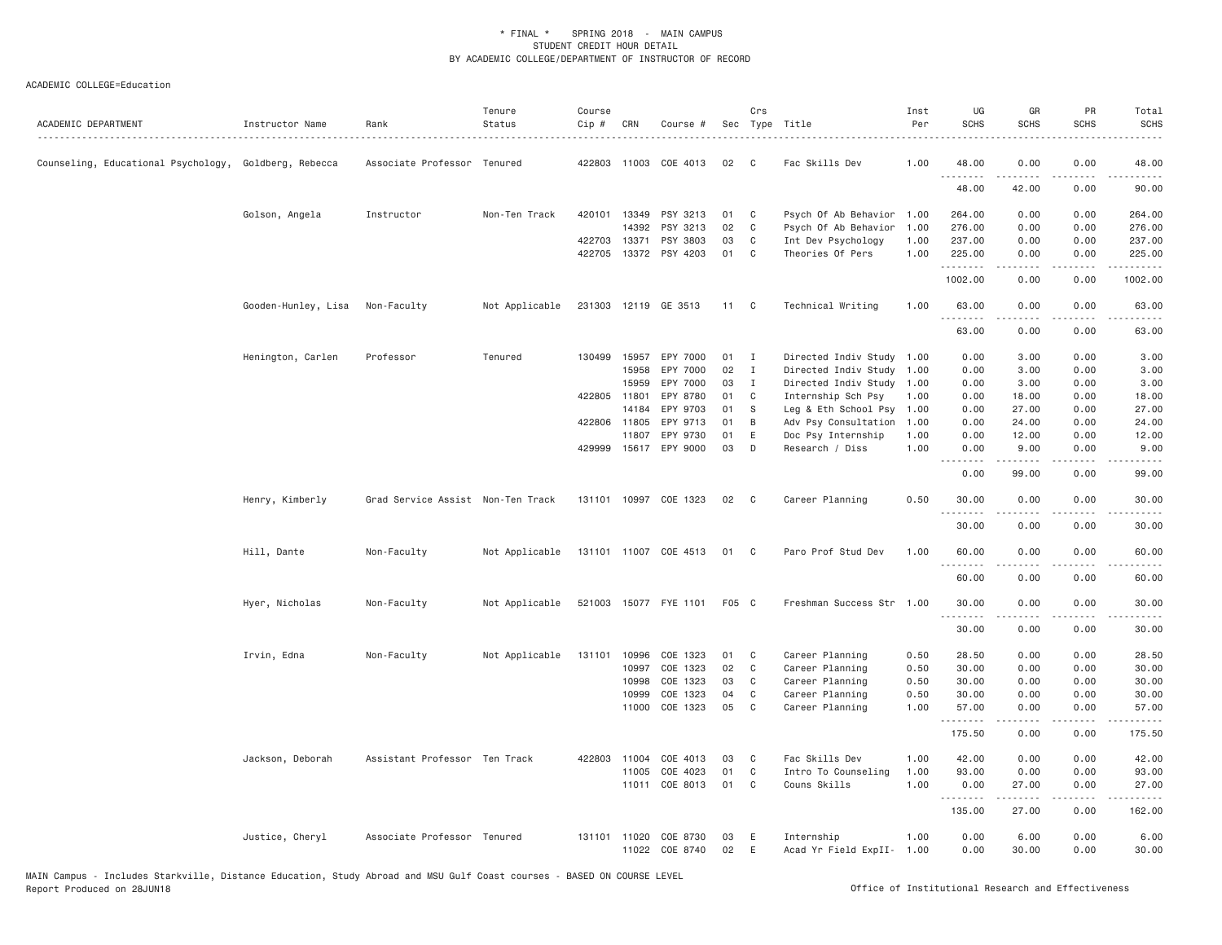| ACADEMIC DEPARTMENT                                   | Instructor Name     | Rank                              | Tenure<br>Status | Course<br>$Cip$ # | CRN          | Course #              |       | Crs            | Sec Type Title            | Inst<br>Per | UG<br><b>SCHS</b> | GR<br><b>SCHS</b>   | <b>PR</b><br><b>SCHS</b> | Total<br><b>SCHS</b> |
|-------------------------------------------------------|---------------------|-----------------------------------|------------------|-------------------|--------------|-----------------------|-------|----------------|---------------------------|-------------|-------------------|---------------------|--------------------------|----------------------|
| Counseling, Educational Psychology, Goldberg, Rebecca |                     | Associate Professor Tenured       |                  |                   |              | 422803 11003 COE 4013 | 02    | C              | Fac Skills Dev            | 1.00        | 48.00             | 0.00                | 0.00                     | 48.00                |
|                                                       |                     |                                   |                  |                   |              |                       |       |                |                           |             | 48.00             | 42.00               | 0.00                     | 90.00                |
|                                                       | Golson, Angela      | Instructor                        | Non-Ten Track    | 420101            | 13349        | PSY 3213              | 01    | C              | Psych Of Ab Behavior 1.00 |             | 264.00            | 0.00                | 0.00                     | 264.00               |
|                                                       |                     |                                   |                  |                   | 14392        | PSY 3213              | 02    | C              | Psych Of Ab Behavior      | 1.00        | 276.00            | 0.00                | 0.00                     | 276.00               |
|                                                       |                     |                                   |                  | 422703            | 13371        | PSY 3803              | 03    | C              | Int Dev Psychology        | 1.00        | 237.00            | 0.00                | 0.00                     | 237.00               |
|                                                       |                     |                                   |                  |                   |              | 422705 13372 PSY 4203 | 01    | C              | Theories Of Pers          | 1.00        | 225.00<br>.       | 0.00<br>$- - - - -$ | 0.00<br>.                | 225.00<br>.          |
|                                                       |                     |                                   |                  |                   |              |                       |       |                |                           |             | 1002.00           | 0.00                | 0.00                     | 1002.00              |
|                                                       | Gooden-Hunley, Lisa | Non-Faculty                       | Not Applicable   |                   |              | 231303 12119 GE 3513  | 11    | C <sub>c</sub> | Technical Writing         | 1,00        | 63.00             | 0.00                | 0.00                     | 63.00                |
|                                                       |                     |                                   |                  |                   |              |                       |       |                |                           |             | 63.00             | 0.00                | 0.00                     | 63.00                |
|                                                       | Henington, Carlen   | Professor                         | Tenured          |                   | 130499 15957 | EPY 7000              | 01    | $\mathbf{I}$   | Directed Indiv Study 1.00 |             | 0.00              | 3.00                | 0.00                     | 3.00                 |
|                                                       |                     |                                   |                  |                   | 15958        | EPY 7000              | 02    | $\mathbf{I}$   | Directed Indiv Study      | 1.00        | 0.00              | 3.00                | 0.00                     | 3.00                 |
|                                                       |                     |                                   |                  |                   | 15959        | EPY 7000              | 03    | I              | Directed Indiv Study      | 1.00        | 0.00              | 3.00                | 0.00                     | 3.00                 |
|                                                       |                     |                                   |                  |                   | 422805 11801 | EPY 8780              | 01    | C              | Internship Sch Psy        | 1.00        | 0.00              | 18.00               | 0.00                     | 18.00                |
|                                                       |                     |                                   |                  |                   | 14184        | EPY 9703              | 01    | <sub>S</sub>   | Leg & Eth School Psy      | 1.00        | 0.00              | 27.00               | 0.00                     | 27.00                |
|                                                       |                     |                                   |                  |                   | 422806 11805 | EPY 9713              | 01    | B              | Adv Psy Consultation      | 1.00        | 0.00              | 24.00               | 0.00                     | 24.00                |
|                                                       |                     |                                   |                  |                   | 11807        | EPY 9730              | 01    | E              | Doc Psy Internship        | 1.00        | 0.00              | 12.00               | 0.00                     | 12.00                |
|                                                       |                     |                                   |                  |                   |              | 429999 15617 EPY 9000 | 03    | D              | Research / Diss           | 1.00        | 0.00<br>.         | 9.00<br>.           | 0.00                     | 9.00                 |
|                                                       |                     |                                   |                  |                   |              |                       |       |                |                           |             | 0.00              | 99.00               | 0.00                     | 99.00                |
|                                                       | Henry, Kimberly     | Grad Service Assist Non-Ten Track |                  |                   |              | 131101 10997 COE 1323 | 02    | $\mathbf{C}$   | Career Planning           | 0.50        | 30.00<br>.        | 0.00                | 0.00                     | 30.00                |
|                                                       |                     |                                   |                  |                   |              |                       |       |                |                           |             | 30.00             | 0.00                | 0.00                     | 30.00                |
|                                                       | Hill, Dante         | Non-Faculty                       | Not Applicable   |                   |              | 131101 11007 COE 4513 | 01    | $\mathbf{C}$   | Paro Prof Stud Dev        | 1.00        | 60.00             | 0.00                | 0.00                     | 60.00                |
|                                                       |                     |                                   |                  |                   |              |                       |       |                |                           |             | <u>.</u><br>60.00 | <u>.</u><br>0.00    | .<br>0.00                | 60.00                |
|                                                       | Hyer, Nicholas      | Non-Faculty                       | Not Applicable   |                   |              | 521003 15077 FYE 1101 | F05 C |                | Freshman Success Str 1.00 |             | 30.00             | 0.00                | 0.00                     | 30.00                |
|                                                       |                     |                                   |                  |                   |              |                       |       |                |                           |             | .<br>30.00        | .<br>0.00           | د د د د<br>0.00          | .<br>30.00           |
|                                                       | Irvin, Edna         | Non-Faculty                       | Not Applicable   | 131101            | 10996        | COE 1323              | 01    | C              | Career Planning           | 0.50        | 28.50             | 0.00                | 0.00                     | 28.50                |
|                                                       |                     |                                   |                  |                   | 10997        | COE 1323              | 02    | C              | Career Planning           | 0.50        | 30.00             | 0.00                | 0.00                     | 30.00                |
|                                                       |                     |                                   |                  |                   | 10998        | COE 1323              | 03    | C              | Career Planning           | 0.50        | 30.00             | 0.00                | 0.00                     | 30.00                |
|                                                       |                     |                                   |                  |                   | 10999        | COE 1323              | 04    | $\mathbb C$    | Career Planning           | 0.50        | 30.00             | 0.00                | 0.00                     | 30.00                |
|                                                       |                     |                                   |                  |                   | 11000        | COE 1323              | 05    | C              | Career Planning           | 1,00        | 57.00<br>.        | 0.00                | 0.00                     | 57.00                |
|                                                       |                     |                                   |                  |                   |              |                       |       |                |                           |             | 175.50            | 0.00                | 0.00                     | 175.50               |
|                                                       | Jackson, Deborah    | Assistant Professor Ten Track     |                  |                   | 422803 11004 | COE 4013              | 03    | C              | Fac Skills Dev            | 1.00        | 42.00             | 0.00                | 0.00                     | 42.00                |
|                                                       |                     |                                   |                  |                   | 11005        | COE 4023              | 01    | $\mathbb C$    | Intro To Counseling       | 1.00        | 93.00             | 0.00                | 0.00                     | 93.00                |
|                                                       |                     |                                   |                  |                   | 11011        | COE 8013              | 01    | C              | Couns Skills              | 1.00        | 0.00<br>.         | 27.00<br>.          | 0.00<br>.                | 27.00<br>.           |
|                                                       |                     |                                   |                  |                   |              |                       |       |                |                           |             | 135.00            | 27.00               | 0.00                     | 162.00               |
|                                                       | Justice, Cheryl     | Associate Professor Tenured       |                  |                   | 131101 11020 | COE 8730              | 03    | E              | Internship                | 1.00        | 0.00              | 6.00                | 0.00                     | 6.00                 |
|                                                       |                     |                                   |                  |                   |              | 11022 COE 8740        | 02    | E              | Acad Yr Field ExpII- 1.00 |             | 0.00              | 30.00               | 0.00                     | 30.00                |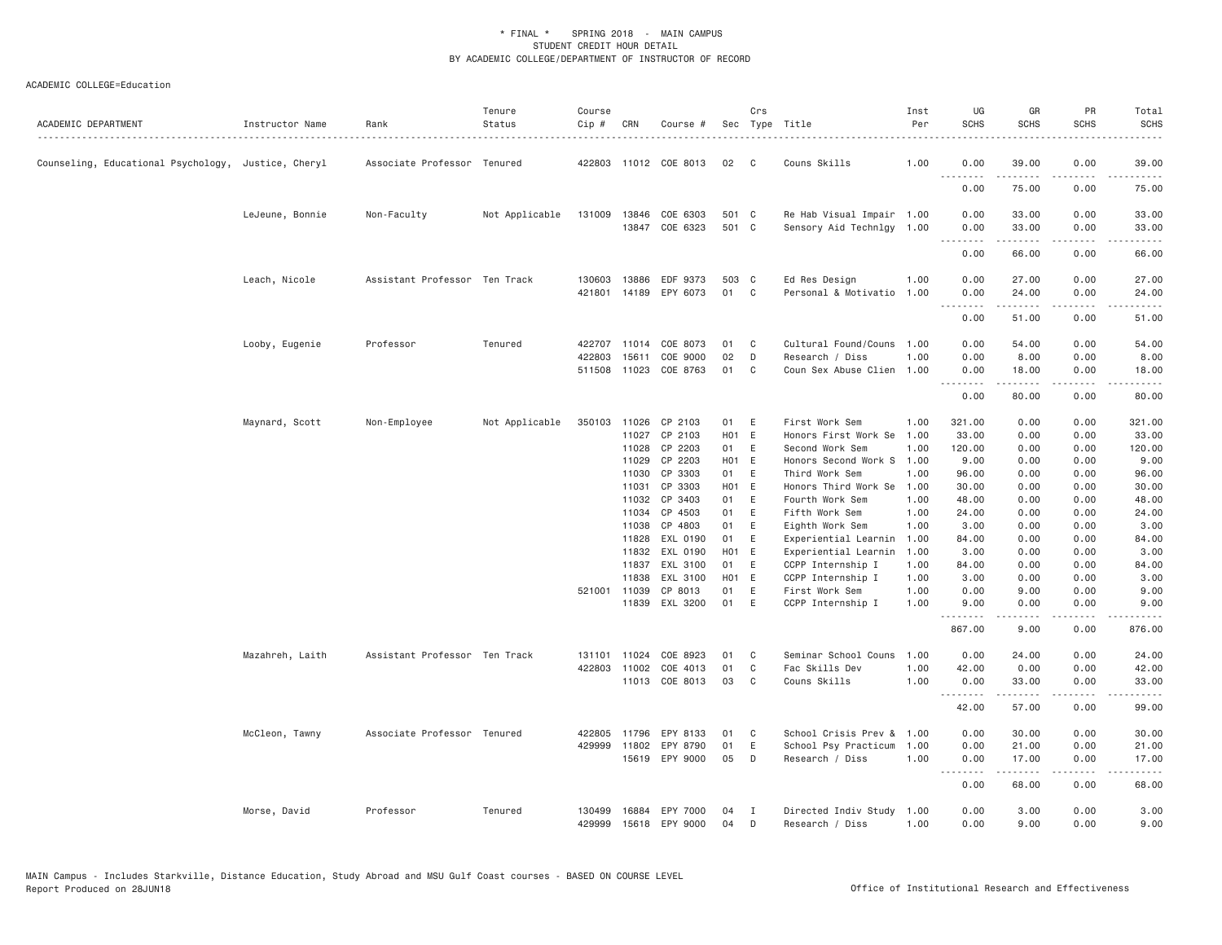| ACADEMIC DEPARTMENT                                 | Instructor Name | Rank                          | Tenure<br>Status | Course<br>Cip #  | CRN   | Course #                   |                | Crs    | Sec Type Title<br>.                               | Inst<br>Per | UG<br><b>SCHS</b> | GR<br><b>SCHS</b>  | PR<br><b>SCHS</b> | Total<br><b>SCHS</b> |
|-----------------------------------------------------|-----------------|-------------------------------|------------------|------------------|-------|----------------------------|----------------|--------|---------------------------------------------------|-------------|-------------------|--------------------|-------------------|----------------------|
| Counseling, Educational Psychology, Justice, Cheryl |                 | Associate Professor Tenured   |                  |                  |       | 422803 11012 COE 8013      | 02             | C      | Couns Skills                                      | 1.00        | 0.00<br><u>.</u>  | 39.00<br><b>.</b>  | 0.00<br>$- - - -$ | 39.00<br>.           |
|                                                     |                 |                               |                  |                  |       |                            |                |        |                                                   |             | 0.00              | 75.00              | 0.00              | 75.00                |
|                                                     | LeJeune, Bonnie | Non-Faculty                   | Not Applicable   | 131009 13846     | 13847 | COE 6303<br>COE 6323       | 501 C<br>501 C |        | Re Hab Visual Impair 1.00<br>Sensory Aid Technlgy | 1.00        | 0.00<br>0.00      | 33.00<br>33.00     | 0.00<br>0.00      | 33.00<br>33.00       |
|                                                     |                 |                               |                  |                  |       |                            |                |        |                                                   |             | .<br>0.00         | .<br>66.00         | .<br>0.00         | .<br>66.00           |
|                                                     | Leach, Nicole   | Assistant Professor Ten Track |                  | 130603<br>421801 | 13886 | EDF 9373<br>14189 EPY 6073 | 503 C<br>01    | C      | Ed Res Design<br>Personal & Motivatio 1.00        | 1.00        | 0.00<br>0.00      | 27.00<br>24.00     | 0.00<br>0.00      | 27.00<br>24.00       |
|                                                     |                 |                               |                  |                  |       |                            |                |        |                                                   |             | 0.00              | .<br>51.00         | .<br>0.00         | ه د د د د<br>51.00   |
|                                                     | Looby, Eugenie  | Professor                     | Tenured          | 422707           | 11014 | COE 8073                   | 01             | C<br>D | Cultural Found/Couns                              | 1.00        | 0.00              | 54.00              | 0.00              | 54.00                |
|                                                     |                 |                               |                  | 422803<br>511508 | 15611 | COE 9000<br>11023 COE 8763 | 02<br>01       | C      | Research / Diss<br>Coun Sex Abuse Clien 1.00      | 1.00        | 0.00<br>0.00<br>. | 8.00<br>18.00<br>. | 0.00<br>0.00<br>. | 8.00<br>18.00<br>.   |
|                                                     |                 |                               |                  |                  |       |                            |                |        |                                                   |             | 0.00              | 80.00              | 0.00              | 80.00                |
|                                                     | Maynard, Scott  | Non-Employee                  | Not Applicable   | 350103           | 11026 | CP 2103                    | 01             | E      | First Work Sem                                    | 1.00        | 321.00            | 0.00               | 0.00              | 321.00               |
|                                                     |                 |                               |                  |                  | 11027 | CP 2103                    | H01 E          |        | Honors First Work Se                              | 1.00        | 33.00             | 0.00               | 0.00              | 33.00                |
|                                                     |                 |                               |                  |                  | 11028 | CP 2203                    | 01             | E      | Second Work Sem                                   | 1.00        | 120.00            | 0.00               | 0.00              | 120.00               |
|                                                     |                 |                               |                  |                  | 11029 | CP 2203                    | H01 E          |        | Honors Second Work S                              | 1.00        | 9.00              | 0.00               | 0.00              | 9.00                 |
|                                                     |                 |                               |                  |                  | 11030 | CP 3303                    | 01             | E      | Third Work Sem                                    | 1.00        | 96.00             | 0.00               | 0.00              | 96.00                |
|                                                     |                 |                               |                  |                  | 11031 | CP 3303                    | HO1 E          |        | Honors Third Work Se                              | 1.00        | 30.00             | 0.00               | 0.00              | 30.00                |
|                                                     |                 |                               |                  |                  | 11032 | CP 3403                    | 01             | E      | Fourth Work Sem                                   | 1.00        | 48.00             | 0.00               | 0.00              | 48.00                |
|                                                     |                 |                               |                  |                  | 11034 | CP 4503                    | 01             | E      | Fifth Work Sem                                    | 1.00        | 24.00             | 0.00               | 0.00              | 24.00                |
|                                                     |                 |                               |                  |                  | 11038 | CP 4803                    | 01             | E      | Eighth Work Sem                                   | 1.00        | 3.00              | 0.00               | 0.00              | 3.00                 |
|                                                     |                 |                               |                  |                  | 11828 | EXL 0190                   | 01             | E      | Experiential Learnin                              | 1.00        | 84.00             | 0.00               | 0.00              | 84.00                |
|                                                     |                 |                               |                  |                  | 11832 | EXL 0190                   | H01 E          |        | Experiential Learnin                              | 1.00        | 3.00              | 0.00               | 0.00              | 3.00                 |
|                                                     |                 |                               |                  |                  | 11837 | EXL 3100                   | 01             | E      | CCPP Internship I                                 | 1.00        | 84.00             | 0.00               | 0.00              | 84.00                |
|                                                     |                 |                               |                  |                  | 11838 | EXL 3100                   | H01            | E      | CCPP Internship I                                 | 1.00        | 3.00              | 0.00               | 0.00              | 3.00                 |
|                                                     |                 |                               |                  | 521001           | 11039 | CP 8013                    | 01             | E      | First Work Sem                                    | 1.00        | 0.00              | 9.00               | 0.00              | 9.00                 |
|                                                     |                 |                               |                  |                  |       | 11839 EXL 3200             | 01             | E      | CCPP Internship I                                 | 1.00        | 9.00<br>.         | 0.00<br>.          | 0.00<br>.         | 9.00<br>.            |
|                                                     |                 |                               |                  |                  |       |                            |                |        |                                                   |             | 867.00            | 9.00               | 0.00              | 876.00               |
|                                                     | Mazahreh, Laith | Assistant Professor Ten Track |                  | 131101           | 11024 | COE 8923                   | 01             | C      | Seminar School Couns                              | 1,00        | 0.00              | 24.00              | 0.00              | 24.00                |
|                                                     |                 |                               |                  | 422803           | 11002 | COE 4013                   | 01             | C      | Fac Skills Dev                                    | 1.00        | 42.00             | 0.00               | 0.00              | 42.00                |
|                                                     |                 |                               |                  |                  |       | 11013 COE 8013             | 03             | C      | Couns Skills                                      | 1.00        | 0.00<br>.         | 33.00<br>المستملة  | 0.00<br>.         | 33.00<br>.           |
|                                                     |                 |                               |                  |                  |       |                            |                |        |                                                   |             | 42.00             | 57.00              | 0.00              | 99.00                |
|                                                     | McCleon, Tawny  | Associate Professor Tenured   |                  | 422805           | 11796 | EPY 8133                   | 01             | C      | School Crisis Prev &                              | 1.00        | 0.00              | 30.00              | 0.00              | 30.00                |
|                                                     |                 |                               |                  | 429999           | 11802 | EPY 8790                   | 01             | E      | School Psy Practicum                              | 1.00        | 0.00              | 21.00              | 0.00              | 21.00                |
|                                                     |                 |                               |                  |                  |       | 15619 EPY 9000             | 05             | D      | Research / Diss                                   | 1.00        | 0.00              | 17.00<br>.         | 0.00<br>.         | 17.00<br>.           |
|                                                     |                 |                               |                  |                  |       |                            |                |        |                                                   |             | 0.00              | 68.00              | 0.00              | 68.00                |
|                                                     | Morse, David    | Professor                     | Tenured          | 130499           | 16884 | EPY 7000                   | 04             | т.     | Directed Indiv Study                              | 1.00        | 0.00              | 3.00               | 0.00              | 3.00                 |
|                                                     |                 |                               |                  | 429999           |       | 15618 EPY 9000             | 04             | D      | Research / Diss                                   | 1.00        | 0.00              | 9.00               | 0.00              | 9.00                 |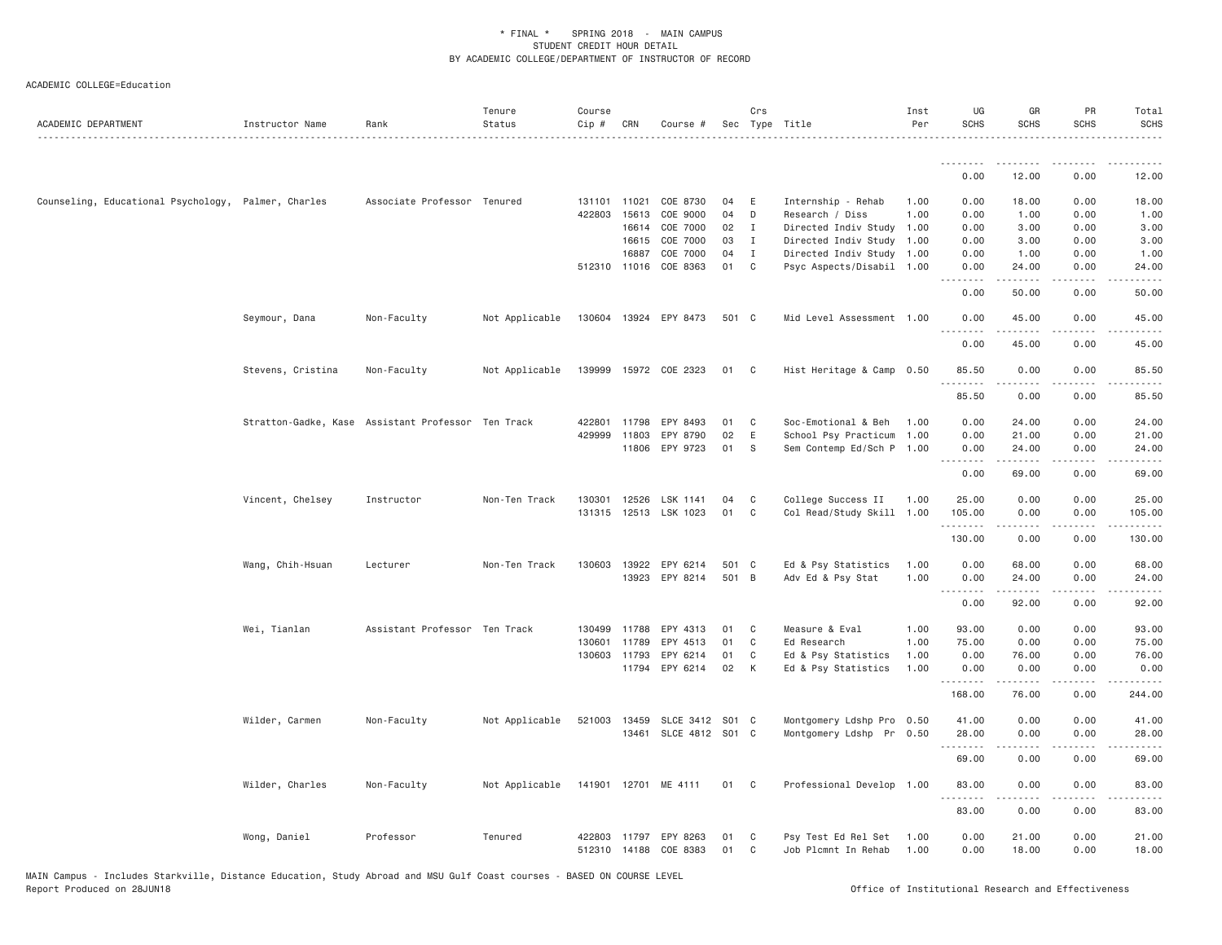| ACADEMIC DEPARTMENT                                 | Instructor Name   | Rank                                               | Tenure<br>Status | Course<br>Cip # | CRN          | Course #              |               | Crs          | Sec Type Title<br>.       | Inst<br>Per | UG<br><b>SCHS</b>            | GR<br><b>SCHS</b>                                                                                                                                            | PR<br><b>SCHS</b> | Total<br><b>SCHS</b>  |
|-----------------------------------------------------|-------------------|----------------------------------------------------|------------------|-----------------|--------------|-----------------------|---------------|--------------|---------------------------|-------------|------------------------------|--------------------------------------------------------------------------------------------------------------------------------------------------------------|-------------------|-----------------------|
|                                                     |                   |                                                    |                  |                 |              |                       |               |              |                           |             | .<br>0.00                    | 12.00                                                                                                                                                        | 0.00              | 12.00                 |
| Counseling, Educational Psychology, Palmer, Charles |                   | Associate Professor Tenured                        |                  |                 | 131101 11021 | COE 8730              | 04            | E            | Internship - Rehab        | 1.00        | 0.00                         | 18.00                                                                                                                                                        | 0.00              | 18.00                 |
|                                                     |                   |                                                    |                  |                 | 422803 15613 | COE 9000              | 04            | D            | Research / Diss           | 1.00        | 0.00                         | 1.00                                                                                                                                                         | 0.00              | 1.00                  |
|                                                     |                   |                                                    |                  |                 | 16614        | COE 7000              | $02 \qquad I$ |              | Directed Indiv Study 1.00 |             | 0.00                         | 3.00                                                                                                                                                         | 0.00              | 3.00                  |
|                                                     |                   |                                                    |                  |                 | 16615        | COE 7000              | 03            | $\mathbf{I}$ | Directed Indiv Study 1.00 |             | 0.00                         | 3.00                                                                                                                                                         | 0.00              | 3.00                  |
|                                                     |                   |                                                    |                  |                 | 16887        | COE 7000              | 04            | $\mathbf{I}$ | Directed Indiv Study 1.00 |             | 0.00                         | 1.00                                                                                                                                                         | 0.00              | 1.00                  |
|                                                     |                   |                                                    |                  |                 | 512310 11016 | COE 8363              | 01 C          |              | Psyc Aspects/Disabil 1.00 |             | 0.00<br>$\sim$ $\sim$ $\sim$ | 24.00                                                                                                                                                        | 0.00              | 24.00                 |
|                                                     |                   |                                                    |                  |                 |              |                       |               |              |                           |             | 0.00                         | 50.00                                                                                                                                                        | 0.00              | 50.00                 |
|                                                     | Seymour, Dana     | Non-Faculty                                        | Not Applicable   |                 |              | 130604 13924 EPY 8473 | 501 C         |              | Mid Level Assessment 1.00 |             | 0.00<br>.                    | 45.00<br>.                                                                                                                                                   | 0.00<br>.         | 45.00<br>.            |
|                                                     |                   |                                                    |                  |                 |              |                       |               |              |                           |             | 0.00                         | 45.00                                                                                                                                                        | 0.00              | 45.00                 |
|                                                     | Stevens, Cristina | Non-Faculty                                        | Not Applicable   |                 |              | 139999 15972 COE 2323 | 01 C          |              | Hist Heritage & Camp 0.50 |             | 85.50<br>.                   | 0.00<br>$\frac{1}{2} \left( \frac{1}{2} \right) \left( \frac{1}{2} \right) \left( \frac{1}{2} \right) \left( \frac{1}{2} \right) \left( \frac{1}{2} \right)$ | 0.00<br>.         | 85.50<br>.            |
|                                                     |                   |                                                    |                  |                 |              |                       |               |              |                           |             | 85.50                        | 0.00                                                                                                                                                         | 0.00              | 85.50                 |
|                                                     |                   | Stratton-Gadke, Kase Assistant Professor Ten Track |                  |                 | 422801 11798 | EPY 8493              | 01            | $\mathbf{C}$ | Soc-Emotional & Beh       | 1.00        | 0.00                         | 24.00                                                                                                                                                        | 0.00              | 24.00                 |
|                                                     |                   |                                                    |                  |                 | 429999 11803 | EPY 8790              | 02            | E            | School Psy Practicum 1.00 |             | 0.00                         | 21.00                                                                                                                                                        | 0.00              | 21.00                 |
|                                                     |                   |                                                    |                  |                 |              | 11806 EPY 9723        | 01            | - S          | Sem Contemp Ed/Sch P 1.00 |             | 0.00                         | 24.00<br>$\omega$ is a set                                                                                                                                   | 0.00<br>.         | 24.00<br>$- - - - -$  |
|                                                     |                   |                                                    |                  |                 |              |                       |               |              |                           |             | 0.00                         | 69.00                                                                                                                                                        | 0.00              | 69.00                 |
|                                                     | Vincent, Chelsey  | Instructor                                         | Non-Ten Track    |                 |              | 130301 12526 LSK 1141 | 04            | C.           | College Success II        | 1.00        | 25.00                        | 0.00                                                                                                                                                         | 0.00              | 25.00                 |
|                                                     |                   |                                                    |                  |                 |              | 131315 12513 LSK 1023 | 01            | $\mathbf{C}$ | Col Read/Study Skill 1.00 |             | 105.00<br>.                  | 0.00<br>$\alpha$ is a set of $\alpha$                                                                                                                        | 0.00<br>-----     | 105.00<br>.           |
|                                                     |                   |                                                    |                  |                 |              |                       |               |              |                           |             | 130.00                       | 0.00                                                                                                                                                         | 0.00              | 130.00                |
|                                                     | Wang, Chih-Hsuan  | Lecturer                                           | Non-Ten Track    | 130603          | 13922        | EPY 6214              | 501 C         |              | Ed & Psy Statistics       | 1.00        | 0.00                         | 68.00                                                                                                                                                        | 0.00              | 68.00                 |
|                                                     |                   |                                                    |                  |                 |              | 13923 EPY 8214        | 501 B         |              | Adv Ed & Psy Stat         | 1.00        | 0.00                         | 24.00                                                                                                                                                        | 0.00              | 24.00                 |
|                                                     |                   |                                                    |                  |                 |              |                       |               |              |                           |             | 1.1.1.1.1.1.1<br>0.00        | .<br>92.00                                                                                                                                                   | 0.00              | 92.00                 |
|                                                     | Wei, Tianlan      | Assistant Professor Ten Track                      |                  |                 | 130499 11788 | EPY 4313              | 01            | $\mathbf{C}$ | Measure & Eval            | 1.00        | 93.00                        | 0.00                                                                                                                                                         | 0.00              | 93.00                 |
|                                                     |                   |                                                    |                  |                 | 130601 11789 | EPY 4513              | 01            | $\mathbf{C}$ | Ed Research               | 1.00        | 75.00                        | 0.00                                                                                                                                                         | 0.00              | 75.00                 |
|                                                     |                   |                                                    |                  |                 | 130603 11793 | EPY 6214              | 01            | C            | Ed & Psy Statistics       | 1.00        | 0.00                         | 76.00                                                                                                                                                        | 0.00              | 76.00                 |
|                                                     |                   |                                                    |                  |                 | 11794        | EPY 6214              | 02            | K            | Ed & Psy Statistics       | 1.00        | 0.00<br>.                    | 0.00                                                                                                                                                         | 0.00              | 0.00                  |
|                                                     |                   |                                                    |                  |                 |              |                       |               |              |                           |             | 168.00                       | 76.00                                                                                                                                                        | 0.00              | 244.00                |
|                                                     | Wilder, Carmen    | Non-Faculty                                        | Not Applicable   | 521003 13459    |              | SLCE 3412 S01 C       |               |              | Montgomery Ldshp Pro 0.50 |             | 41.00                        | 0.00                                                                                                                                                         | 0.00              | 41.00                 |
|                                                     |                   |                                                    |                  |                 |              | 13461 SLCE 4812 S01 C |               |              | Montgomery Ldshp Pr 0.50  |             | 28.00                        | 0.00                                                                                                                                                         | 0.00              | 28.00                 |
|                                                     |                   |                                                    |                  |                 |              |                       |               |              |                           |             | --------<br>69.00            | .<br>0.00                                                                                                                                                    | .<br>0.00         | . <b>.</b> .<br>69.00 |
|                                                     | Wilder, Charles   | Non-Faculty                                        | Not Applicable   |                 |              | 141901 12701 ME 4111  | 01 C          |              | Professional Develop 1.00 |             | 83.00                        | 0.00                                                                                                                                                         | 0.00              | 83.00                 |
|                                                     |                   |                                                    |                  |                 |              |                       |               |              |                           |             | .<br>83.00                   | .<br>0.00                                                                                                                                                    | .<br>0.00         | .<br>83.00            |
|                                                     | Wong, Daniel      | Professor                                          | Tenured          |                 |              | 422803 11797 EPY 8263 | 01            | $\mathbf{C}$ | Psy Test Ed Rel Set       | 1.00        | 0.00                         | 21.00                                                                                                                                                        | 0.00              | 21.00                 |
|                                                     |                   |                                                    |                  | 512310 14188    |              | COE 8383              | 01            | $\mathbf{C}$ | Job Plcmnt In Rehab       | 1.00        | 0.00                         | 18.00                                                                                                                                                        | 0.00              | 18.00                 |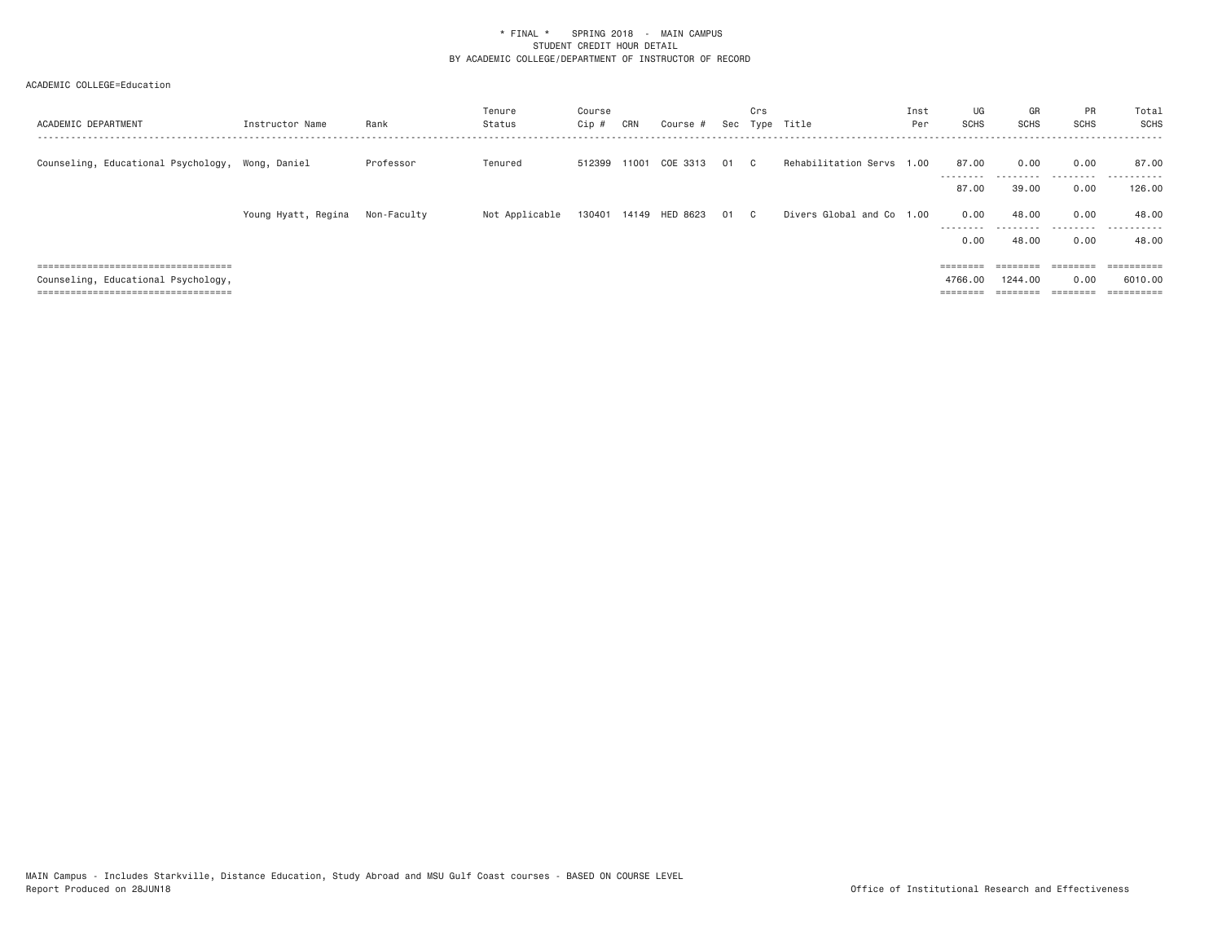| ACADEMIC DEPARTMENT                              | Instructor Name     | Rank        | Tenure<br>Status | Course<br>Cip # | CRN   | Course #                   |    | Crs          | Sec Type Title            | Inst<br>Per | UG<br><b>SCHS</b>  | GR<br>SCHS                                                              | <b>PR</b><br><b>SCHS</b> | Total<br><b>SCHS</b>  |
|--------------------------------------------------|---------------------|-------------|------------------|-----------------|-------|----------------------------|----|--------------|---------------------------|-------------|--------------------|-------------------------------------------------------------------------|--------------------------|-----------------------|
| Counseling, Educational Psychology, Wong, Daniel |                     | Professor   | Tenured          | 512399          | 11001 | COE 3313                   | 01 | $\mathbb{C}$ | Rehabilitation Servs 1.00 |             | 87.00              | 0.00                                                                    | 0.00                     | 87.00                 |
|                                                  |                     |             |                  |                 |       |                            |    |              |                           |             | ---------<br>87.00 | .<br>39,00                                                              | .<br>0.00                | .<br>126,00           |
|                                                  | Young Hyatt, Regina | Non-Faculty | Not Applicable   |                 |       | 130401 14149 HED 8623 01 C |    |              | Divers Global and Co 1.00 |             | 0.00<br>---------  | 48,00                                                                   | 0.00<br>.                | 48,00<br>.            |
|                                                  |                     |             |                  |                 |       |                            |    |              |                           |             | 0.00               | -----<br>48,00                                                          | 0.00                     | 48.00                 |
| =====================================            |                     |             |                  |                 |       |                            |    |              |                           |             | ========           | $\qquad \qquad \equiv \equiv \equiv \equiv \equiv \equiv \equiv \equiv$ | $=$ = = = = = = =        | $=$ = = = = = = = = = |
| Counseling, Educational Psychology,              |                     |             |                  |                 |       |                            |    |              |                           |             | 4766.00            | 1244.00                                                                 | 0.00                     | 6010,00               |
| =====================================            |                     |             |                  |                 |       |                            |    |              |                           |             | ========           |                                                                         | $=$                      | ==========            |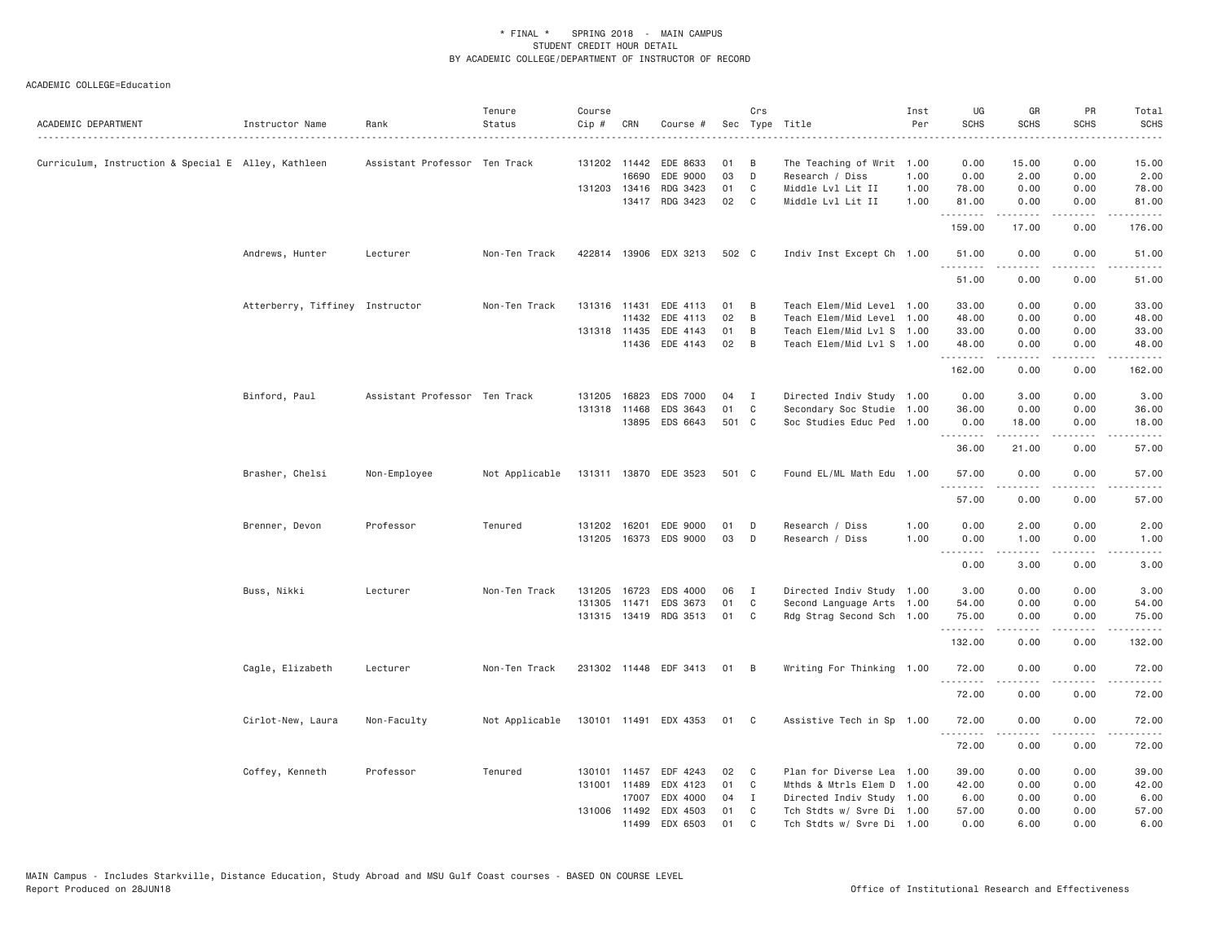| ACADEMIC DEPARTMENT                                 | Instructor Name                 | Rank                          | Tenure<br>Status | Course<br>Cip # | CRN          | Course #              |       | Crs          | Sec Type Title            | Inst<br>Per | UG<br><b>SCHS</b>            | GR<br><b>SCHS</b>                                                                                                                                            | PR<br><b>SCHS</b>            | Total<br><b>SCHS</b>  |
|-----------------------------------------------------|---------------------------------|-------------------------------|------------------|-----------------|--------------|-----------------------|-------|--------------|---------------------------|-------------|------------------------------|--------------------------------------------------------------------------------------------------------------------------------------------------------------|------------------------------|-----------------------|
| Curriculum, Instruction & Special E Alley, Kathleen |                                 | Assistant Professor Ten Track |                  |                 | 131202 11442 | EDE 8633              | 01    | B            | The Teaching of Writ 1.00 |             | 0.00                         | 15.00                                                                                                                                                        | 0.00                         | 15.00                 |
|                                                     |                                 |                               |                  |                 | 16690        | EDE 9000              | 03    | D            | Research / Diss           | 1.00        | 0.00                         | 2.00                                                                                                                                                         | 0.00                         | 2.00                  |
|                                                     |                                 |                               |                  |                 | 131203 13416 | RDG 3423              | 01    | C            | Middle Lvl Lit II         | 1.00        | 78.00                        | 0.00                                                                                                                                                         | 0.00                         | 78.00                 |
|                                                     |                                 |                               |                  |                 |              | 13417 RDG 3423        | 02    | C            | Middle Lvl Lit II         | 1.00        | 81.00<br>.                   | 0.00<br>$\frac{1}{2} \left( \frac{1}{2} \right) \left( \frac{1}{2} \right) \left( \frac{1}{2} \right) \left( \frac{1}{2} \right) \left( \frac{1}{2} \right)$ | 0.00<br>$\sim$ $\sim$ $\sim$ | 81.00                 |
|                                                     |                                 |                               |                  |                 |              |                       |       |              |                           |             | 159.00                       | 17.00                                                                                                                                                        | 0.00                         | 176.00                |
|                                                     | Andrews, Hunter                 | Lecturer                      | Non-Ten Track    |                 |              | 422814 13906 EDX 3213 | 502 C |              | Indiv Inst Except Ch 1.00 |             | 51.00<br>.                   | 0.00<br>.                                                                                                                                                    | 0.00<br>.                    | 51.00<br>.            |
|                                                     |                                 |                               |                  |                 |              |                       |       |              |                           |             | 51.00                        | 0.00                                                                                                                                                         | 0.00                         | 51.00                 |
|                                                     | Atterberry, Tiffiney Instructor |                               | Non-Ten Track    |                 | 131316 11431 | EDE 4113              | 01    | B            | Teach Elem/Mid Level 1.00 |             | 33.00                        | 0.00                                                                                                                                                         | 0.00                         | 33.00                 |
|                                                     |                                 |                               |                  |                 | 11432        | EDE 4113              | 02    | B            | Teach Elem/Mid Level 1.00 |             | 48.00                        | 0.00                                                                                                                                                         | 0.00                         | 48.00                 |
|                                                     |                                 |                               |                  |                 | 131318 11435 | EDE 4143              | 01    | B            | Teach Elem/Mid Lvl S 1.00 |             | 33.00                        | 0.00                                                                                                                                                         | 0.00                         | 33.00                 |
|                                                     |                                 |                               |                  |                 | 11436        | EDE 4143              | 02    | B            | Teach Elem/Mid Lvl S 1.00 |             | 48.00<br>.                   | 0.00<br>-----                                                                                                                                                | 0.00<br>.                    | 48.00                 |
|                                                     |                                 |                               |                  |                 |              |                       |       |              |                           |             | 162.00                       | 0.00                                                                                                                                                         | 0.00                         | 162.00                |
|                                                     | Binford, Paul                   | Assistant Professor Ten Track |                  | 131205          | 16823        | EDS 7000              | 04    | $\mathbf{I}$ | Directed Indiv Study 1.00 |             | 0.00                         | 3.00                                                                                                                                                         | 0.00                         | 3.00                  |
|                                                     |                                 |                               |                  |                 | 131318 11468 | EDS 3643              | 01    | $\mathsf{C}$ | Secondary Soc Studie 1.00 |             | 36.00                        | 0.00                                                                                                                                                         | 0.00                         | 36.00                 |
|                                                     |                                 |                               |                  |                 | 13895        | EDS 6643              | 501 C |              | Soc Studies Educ Ped 1.00 |             | 0.00<br>.                    | 18.00<br>$- - - - -$                                                                                                                                         | 0.00<br>.                    | 18.00<br>. <u>.</u> . |
|                                                     |                                 |                               |                  |                 |              |                       |       |              |                           |             | 36.00                        | 21.00                                                                                                                                                        | 0.00                         | 57.00                 |
|                                                     | Brasher, Chelsi                 | Non-Employee                  | Not Applicable   |                 |              | 131311 13870 EDE 3523 | 501 C |              | Found EL/ML Math Edu 1.00 |             | 57.00<br>.                   | 0.00<br>.                                                                                                                                                    | 0.00<br>.                    | 57.00                 |
|                                                     |                                 |                               |                  |                 |              |                       |       |              |                           |             | 57.00                        | 0.00                                                                                                                                                         | 0.00                         | 57.00                 |
|                                                     | Brenner, Devon                  | Professor                     | Tenured          |                 | 131202 16201 | EDE 9000              | 01    | D            | Research / Diss           | 1.00        | 0.00                         | 2.00                                                                                                                                                         | 0.00                         | 2.00                  |
|                                                     |                                 |                               |                  |                 |              | 131205 16373 EDS 9000 | 03    | D            | Research / Diss           | 1.00        | 0.00                         | 1.00                                                                                                                                                         | 0.00                         | 1.00                  |
|                                                     |                                 |                               |                  |                 |              |                       |       |              |                           |             | $\sim$ $\sim$ $\sim$<br>0.00 | 3.00                                                                                                                                                         | 0.00                         | 3.00                  |
|                                                     | Buss, Nikki                     | Lecturer                      | Non-Ten Track    | 131205          | 16723        | EDS 4000              | 06    | $\mathbf{I}$ | Directed Indiv Study 1.00 |             | 3.00                         | 0.00                                                                                                                                                         | 0.00                         | 3.00                  |
|                                                     |                                 |                               |                  |                 | 131305 11471 | EDS 3673              | 01    | C            | Second Language Arts 1.00 |             | 54.00                        | 0.00                                                                                                                                                         | 0.00                         | 54.00                 |
|                                                     |                                 |                               |                  |                 |              | 131315 13419 RDG 3513 | 01    | C            | Rdg Strag Second Sch 1.00 |             | 75.00<br>.                   | 0.00<br>.                                                                                                                                                    | 0.00<br>.                    | 75.00                 |
|                                                     |                                 |                               |                  |                 |              |                       |       |              |                           |             | 132.00                       | 0.00                                                                                                                                                         | 0.00                         | 132.00                |
|                                                     | Cagle, Elizabeth                | Lecturer                      | Non-Ten Track    |                 |              | 231302 11448 EDF 3413 | 01    | B            | Writing For Thinking 1.00 |             | 72.00                        | 0.00                                                                                                                                                         | 0.00                         | 72.00                 |
|                                                     |                                 |                               |                  |                 |              |                       |       |              |                           |             | . <b>.</b><br>72.00          | .<br>0.00                                                                                                                                                    | 0.00                         | .<br>72.00            |
|                                                     | Cirlot-New, Laura               | Non-Faculty                   | Not Applicable   |                 |              | 130101 11491 EDX 4353 | 01    | $\mathbf{C}$ | Assistive Tech in Sp 1.00 |             | 72.00                        | 0.00                                                                                                                                                         | 0.00                         | 72.00                 |
|                                                     |                                 |                               |                  |                 |              |                       |       |              |                           |             | .<br>72.00                   | -----<br>0.00                                                                                                                                                | .<br>0.00                    | .<br>72.00            |
|                                                     | Coffey, Kenneth                 | Professor                     | Tenured          |                 | 130101 11457 | EDF 4243              | 02    | C            | Plan for Diverse Lea 1.00 |             | 39.00                        | 0.00                                                                                                                                                         | 0.00                         | 39.00                 |
|                                                     |                                 |                               |                  | 131001          | 11489        | EDX 4123              | 01    | C            | Mthds & Mtrls Elem D 1.00 |             | 42.00                        | 0.00                                                                                                                                                         | 0.00                         | 42.00                 |
|                                                     |                                 |                               |                  |                 | 17007        | EDX 4000              | 04    | I            | Directed Indiv Study 1.00 |             | 6.00                         | 0.00                                                                                                                                                         | 0.00                         | 6.00                  |
|                                                     |                                 |                               |                  |                 | 131006 11492 | EDX 4503              | 01    | C            | Tch Stdts w/ Svre Di 1.00 |             | 57.00                        | 0.00                                                                                                                                                         | 0.00                         | 57.00                 |
|                                                     |                                 |                               |                  |                 | 11499        | EDX 6503              | 01    | $\mathsf{C}$ | Tch Stdts w/ Svre Di 1.00 |             | 0.00                         | 6.00                                                                                                                                                         | 0.00                         | 6.00                  |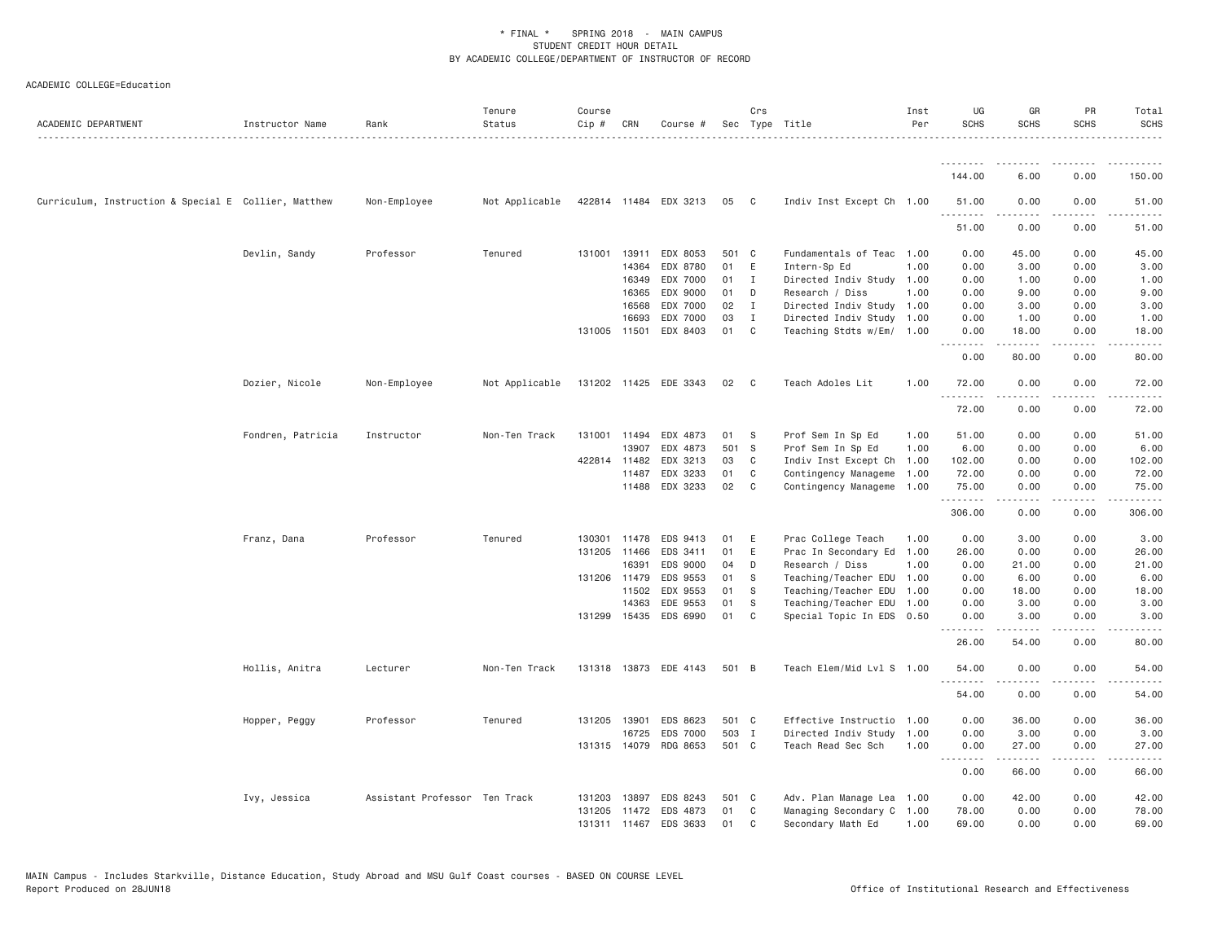| ACADEMIC DEPARTMENT                                  | Instructor Name   | Rank                          | Tenure<br>Status | Course<br>Cip # | CRN          | Course #              |       | Crs          | Sec Type Title            | Inst<br>Per | UG<br><b>SCHS</b>                                                                                                                                            | GR<br><b>SCHS</b>   | PR<br><b>SCHS</b>                   | Total<br><b>SCHS</b>                                                                                                               |
|------------------------------------------------------|-------------------|-------------------------------|------------------|-----------------|--------------|-----------------------|-------|--------------|---------------------------|-------------|--------------------------------------------------------------------------------------------------------------------------------------------------------------|---------------------|-------------------------------------|------------------------------------------------------------------------------------------------------------------------------------|
|                                                      |                   |                               |                  |                 |              |                       |       |              |                           |             | <u>.</u>                                                                                                                                                     |                     |                                     |                                                                                                                                    |
|                                                      |                   |                               |                  |                 |              |                       |       |              |                           |             | 144.00                                                                                                                                                       | 6.00                | 0.00                                | 150.00                                                                                                                             |
| Curriculum, Instruction & Special E Collier, Matthew |                   | Non-Employee                  | Not Applicable   |                 |              | 422814 11484 EDX 3213 | 05    | $\mathbf{C}$ | Indiv Inst Except Ch 1.00 |             | 51.00<br>.                                                                                                                                                   | 0.00                | 0.00<br>2222                        | 51.00<br>$\frac{1}{2} \left( \frac{1}{2} \right) \left( \frac{1}{2} \right) \left( \frac{1}{2} \right) \left( \frac{1}{2} \right)$ |
|                                                      |                   |                               |                  |                 |              |                       |       |              |                           |             | 51.00                                                                                                                                                        | 0.00                | 0.00                                | 51.00                                                                                                                              |
|                                                      | Devlin, Sandy     | Professor                     | Tenured          | 131001          | 13911        | EDX 8053              | 501 C |              | Fundamentals of Teac 1.00 |             | 0.00                                                                                                                                                         | 45.00               | 0.00                                | 45.00                                                                                                                              |
|                                                      |                   |                               |                  |                 | 14364        | EDX 8780              | 01    | E            | Intern-Sp Ed              | 1.00        | 0.00                                                                                                                                                         | 3.00                | 0.00                                | 3.00                                                                                                                               |
|                                                      |                   |                               |                  |                 | 16349        | EDX 7000              | 01    | I            | Directed Indiv Study 1.00 |             | 0.00                                                                                                                                                         | 1.00                | 0.00                                | 1.00                                                                                                                               |
|                                                      |                   |                               |                  |                 | 16365        | EDX 9000              | 01    | D            | Research / Diss           | 1.00        | 0.00                                                                                                                                                         | 9.00                | 0.00                                | 9.00                                                                                                                               |
|                                                      |                   |                               |                  |                 | 16568        | EDX 7000              | 02    | $\mathbf{I}$ | Directed Indiv Study      | 1.00        | 0.00                                                                                                                                                         | 3.00                | 0.00                                | 3.00                                                                                                                               |
|                                                      |                   |                               |                  |                 | 16693        | EDX 7000              | 03    | I            | Directed Indiv Study      | 1.00        | 0.00                                                                                                                                                         | 1.00                | 0.00                                | 1.00                                                                                                                               |
|                                                      |                   |                               |                  |                 | 131005 11501 | EDX 8403              | 01    | C            | Teaching Stdts w/Em/      | 1.00        | 0.00<br>$\frac{1}{2} \left( \frac{1}{2} \right) \left( \frac{1}{2} \right) \left( \frac{1}{2} \right) \left( \frac{1}{2} \right) \left( \frac{1}{2} \right)$ | 18,00<br>. <b>.</b> | 0.00<br>$\sim$ $\sim$ $\sim$ $\sim$ | 18.00<br>$\frac{1}{2}$                                                                                                             |
|                                                      |                   |                               |                  |                 |              |                       |       |              |                           |             | 0.00                                                                                                                                                         | 80.00               | 0.00                                | 80.00                                                                                                                              |
|                                                      | Dozier, Nicole    | Non-Employee                  | Not Applicable   |                 |              | 131202 11425 EDE 3343 | 02    | $\mathbf{C}$ | Teach Adoles Lit          | 1.00        | 72.00                                                                                                                                                        | 0.00                | 0.00                                | 72.00                                                                                                                              |
|                                                      |                   |                               |                  |                 |              |                       |       |              |                           |             | .<br>72.00                                                                                                                                                   | 0.00                | 0.00                                | 72.00                                                                                                                              |
|                                                      | Fondren, Patricia | Instructor                    | Non-Ten Track    |                 | 131001 11494 | EDX 4873              | 01    | S            | Prof Sem In Sp Ed         | 1.00        | 51.00                                                                                                                                                        | 0.00                | 0.00                                | 51.00                                                                                                                              |
|                                                      |                   |                               |                  |                 | 13907        | EDX 4873              | 501 S |              | Prof Sem In Sp Ed         | 1.00        | 6.00                                                                                                                                                         | 0.00                | 0.00                                | 6.00                                                                                                                               |
|                                                      |                   |                               |                  |                 | 422814 11482 | EDX 3213              | 03    | C            | Indiv Inst Except Ch      | 1.00        | 102.00                                                                                                                                                       | 0.00                | 0.00                                | 102.00                                                                                                                             |
|                                                      |                   |                               |                  |                 | 11487        | EDX 3233              | 01    | C            | Contingency Manageme      | 1.00        | 72.00                                                                                                                                                        | 0.00                | 0.00                                | 72.00                                                                                                                              |
|                                                      |                   |                               |                  |                 | 11488        | EDX 3233              | 02    | C            | Contingency Manageme      | 1.00        | 75.00<br>.                                                                                                                                                   | 0.00<br>-----       | 0.00<br>.                           | 75.00<br>.                                                                                                                         |
|                                                      |                   |                               |                  |                 |              |                       |       |              |                           |             | 306.00                                                                                                                                                       | 0.00                | 0.00                                | 306.00                                                                                                                             |
|                                                      | Franz, Dana       | Professor                     | Tenured          | 130301          | 11478        | EDS 9413              | 01    | Ε            | Prac College Teach        | 1.00        | 0.00                                                                                                                                                         | 3.00                | 0.00                                | 3.00                                                                                                                               |
|                                                      |                   |                               |                  |                 | 131205 11466 | EDS 3411              | 01    | E            | Prac In Secondary Ed      | 1.00        | 26.00                                                                                                                                                        | 0.00                | 0.00                                | 26.00                                                                                                                              |
|                                                      |                   |                               |                  |                 | 16391        | EDS 9000              | 04    | D            | Research / Diss           | 1.00        | 0.00                                                                                                                                                         | 21.00               | 0.00                                | 21.00                                                                                                                              |
|                                                      |                   |                               |                  |                 | 131206 11479 | EDS 9553              | 01    | -S           | Teaching/Teacher EDU      | 1.00        | 0.00                                                                                                                                                         | 6.00                | 0.00                                | 6.00                                                                                                                               |
|                                                      |                   |                               |                  |                 | 11502        | EDX 9553              | 01    | -S           | Teaching/Teacher EDU      | 1.00        | 0.00                                                                                                                                                         | 18.00               | 0.00                                | 18.00                                                                                                                              |
|                                                      |                   |                               |                  |                 | 14363        | EDE 9553              | 01    | S            | Teaching/Teacher EDU      | 1.00        | 0.00                                                                                                                                                         | 3.00                | 0.00                                | 3.00                                                                                                                               |
|                                                      |                   |                               |                  |                 | 131299 15435 | EDS 6990              | 01    | C            | Special Topic In EDS 0.50 |             | 0.00                                                                                                                                                         | 3.00                | 0.00                                | 3.00                                                                                                                               |
|                                                      |                   |                               |                  |                 |              |                       |       |              |                           |             | <u>.</u><br>26.00                                                                                                                                            | 54.00               | $  -$<br>0.00                       | 80.00                                                                                                                              |
|                                                      | Hollis, Anitra    | Lecturer                      | Non-Ten Track    |                 |              | 131318 13873 EDE 4143 | 501 B |              | Teach Elem/Mid Lvl S 1.00 |             | 54.00                                                                                                                                                        | 0.00                | 0.00                                | 54.00                                                                                                                              |
|                                                      |                   |                               |                  |                 |              |                       |       |              |                           |             | 54.00                                                                                                                                                        | 0.00                | .<br>0.00                           | 54.00                                                                                                                              |
|                                                      | Hopper, Peggy     | Professor                     | Tenured          | 131205          | 13901        | EDS 8623              | 501 C |              | Effective Instructio      | 1.00        | 0.00                                                                                                                                                         | 36.00               | 0.00                                | 36.00                                                                                                                              |
|                                                      |                   |                               |                  |                 | 16725        | EDS 7000              | 503 I |              | Directed Indiv Study      | 1.00        | 0.00                                                                                                                                                         | 3.00                | 0.00                                | 3.00                                                                                                                               |
|                                                      |                   |                               |                  |                 | 131315 14079 | RDG 8653              | 501 C |              | Teach Read Sec Sch        | 1.00        | 0.00                                                                                                                                                         | 27.00               | 0.00                                | 27.00                                                                                                                              |
|                                                      |                   |                               |                  |                 |              |                       |       |              |                           |             | $\sim$ $\sim$ $\sim$ $\sim$<br>0.00                                                                                                                          | .<br>66.00          | $\sim$ $\sim$ $\sim$<br>0.00        | 66.00                                                                                                                              |
|                                                      | Ivy, Jessica      | Assistant Professor Ten Track |                  | 131203          | 13897        | EDS 8243              | 501 C |              | Adv. Plan Manage Lea 1.00 |             | 0.00                                                                                                                                                         | 42.00               | 0.00                                | 42.00                                                                                                                              |
|                                                      |                   |                               |                  |                 |              | 131205 11472 EDS 4873 | 01    | C            | Managing Secondary C      | 1.00        | 78.00                                                                                                                                                        | 0.00                | 0.00                                | 78.00                                                                                                                              |
|                                                      |                   |                               |                  | 131311          | 11467        | EDS 3633              | 01    | C            | Secondary Math Ed         | 1.00        | 69,00                                                                                                                                                        | 0.00                | 0.00                                | 69,00                                                                                                                              |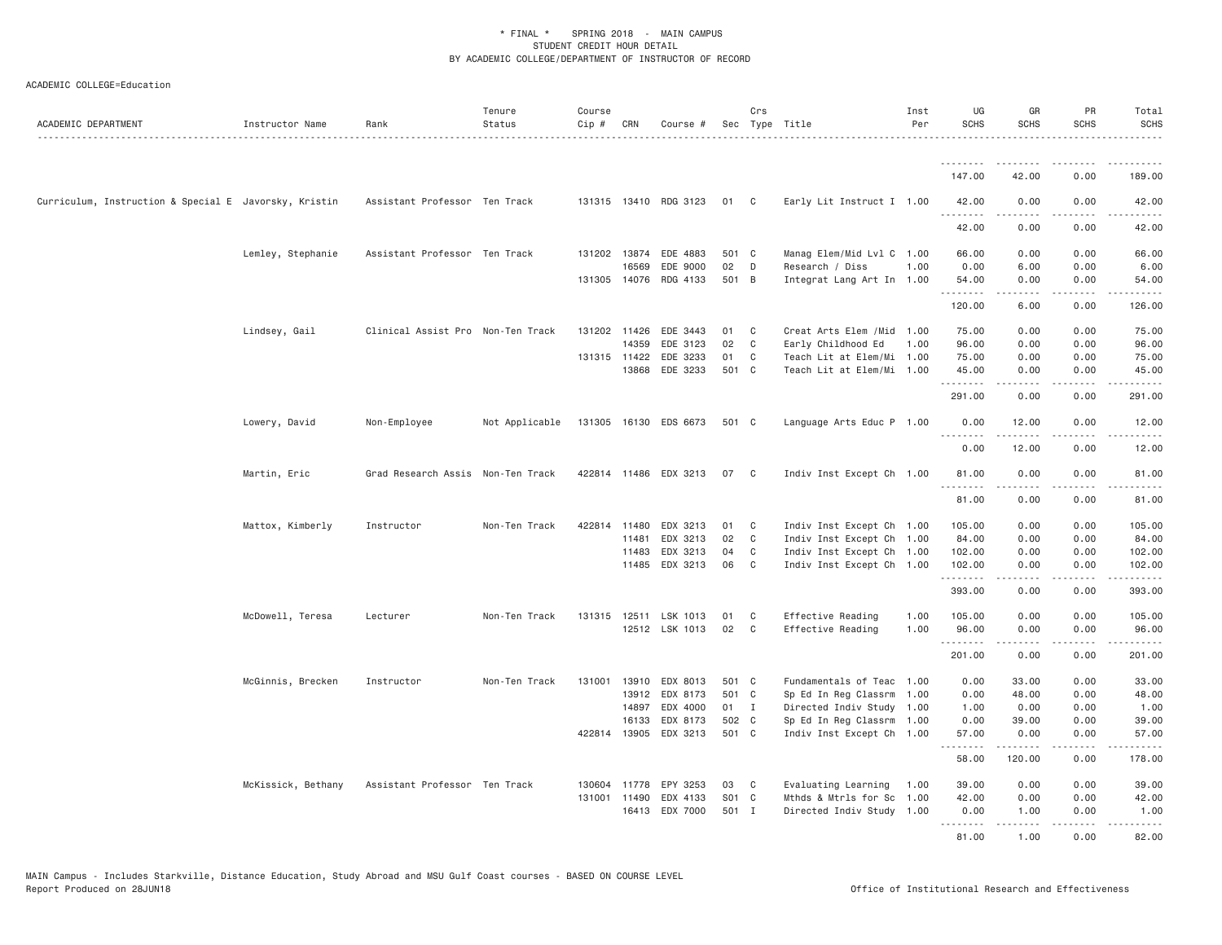| ACADEMIC DEPARTMENT                                   | Instructor Name    | Rank                              | Tenure<br>Status | Course<br>Cip # | CRN          | Course #              |       | Crs          | Sec Type Title            | Inst<br>Per | UG<br><b>SCHS</b> | GR<br><b>SCHS</b>                                                                                                                                            | PR<br><b>SCHS</b> | Total<br><b>SCHS</b>                                                                                                                                                                      |
|-------------------------------------------------------|--------------------|-----------------------------------|------------------|-----------------|--------------|-----------------------|-------|--------------|---------------------------|-------------|-------------------|--------------------------------------------------------------------------------------------------------------------------------------------------------------|-------------------|-------------------------------------------------------------------------------------------------------------------------------------------------------------------------------------------|
|                                                       |                    |                                   |                  |                 |              |                       |       |              |                           |             | <u>.</u>          |                                                                                                                                                              |                   |                                                                                                                                                                                           |
|                                                       |                    |                                   |                  |                 |              |                       |       |              |                           |             | 147.00            | 42.00                                                                                                                                                        | 0.00              | 189.00                                                                                                                                                                                    |
| Curriculum, Instruction & Special E Javorsky, Kristin |                    | Assistant Professor Ten Track     |                  |                 |              | 131315 13410 RDG 3123 | 01 C  |              | Early Lit Instruct I 1.00 |             | 42.00<br>.        | 0.00<br>.                                                                                                                                                    | 0.00<br>.         | 42.00<br>$\frac{1}{2} \left( \frac{1}{2} \right) \left( \frac{1}{2} \right) \left( \frac{1}{2} \right) \left( \frac{1}{2} \right) \left( \frac{1}{2} \right)$                             |
|                                                       |                    |                                   |                  |                 |              |                       |       |              |                           |             | 42.00             | 0.00                                                                                                                                                         | 0.00              | 42.00                                                                                                                                                                                     |
|                                                       | Lemley, Stephanie  | Assistant Professor Ten Track     |                  |                 |              | 131202 13874 EDE 4883 | 501 C |              | Manag Elem/Mid Lvl C 1.00 |             | 66.00             | 0.00                                                                                                                                                         | 0.00              | 66.00                                                                                                                                                                                     |
|                                                       |                    |                                   |                  |                 | 16569        | EDE 9000              | 02    | D            | Research / Diss           | 1.00        | 0.00              | 6.00                                                                                                                                                         | 0.00              | 6.00                                                                                                                                                                                      |
|                                                       |                    |                                   |                  |                 | 131305 14076 | RDG 4133              | 501 B |              | Integrat Lang Art In 1.00 |             | 54.00<br>.        | 0.00<br>$\frac{1}{2} \left( \frac{1}{2} \right) \left( \frac{1}{2} \right) \left( \frac{1}{2} \right) \left( \frac{1}{2} \right) \left( \frac{1}{2} \right)$ | 0.00<br>.         | 54.00<br>.                                                                                                                                                                                |
|                                                       |                    |                                   |                  |                 |              |                       |       |              |                           |             | 120.00            | 6.00                                                                                                                                                         | 0.00              | 126.00                                                                                                                                                                                    |
|                                                       | Lindsey, Gail      | Clinical Assist Pro Non-Ten Track |                  |                 | 131202 11426 | EDE 3443              | 01    | C            | Creat Arts Elem /Mid      | 1.00        | 75.00             | 0.00                                                                                                                                                         | 0.00              | 75.00                                                                                                                                                                                     |
|                                                       |                    |                                   |                  |                 | 14359        | EDE 3123              | 02    | C            | Early Childhood Ed        | 1.00        | 96.00             | 0.00                                                                                                                                                         | 0.00              | 96.00                                                                                                                                                                                     |
|                                                       |                    |                                   |                  |                 | 131315 11422 | EDE 3233              | 01    | C            | Teach Lit at Elem/Mi 1.00 |             | 75.00             | 0.00                                                                                                                                                         | 0.00              | 75.00                                                                                                                                                                                     |
|                                                       |                    |                                   |                  |                 | 13868        | EDE 3233              | 501 C |              | Teach Lit at Elem/Mi 1.00 |             | 45.00             | 0.00                                                                                                                                                         | 0.00<br>لأعامل    | 45.00                                                                                                                                                                                     |
|                                                       |                    |                                   |                  |                 |              |                       |       |              |                           |             | 291.00            | 0.00                                                                                                                                                         | 0.00              | 291.00                                                                                                                                                                                    |
|                                                       | Lowery, David      | Non-Employee                      | Not Applicable   |                 |              | 131305 16130 EDS 6673 | 501 C |              | Language Arts Educ P 1.00 |             | 0.00              | 12.00                                                                                                                                                        | 0.00              | 12.00                                                                                                                                                                                     |
|                                                       |                    |                                   |                  |                 |              |                       |       |              |                           |             | .<br>0.00         | .<br>12.00                                                                                                                                                   | .<br>0.00         | .<br>12.00                                                                                                                                                                                |
|                                                       | Martin, Eric       | Grad Research Assis Non-Ten Track |                  |                 |              | 422814 11486 EDX 3213 | 07    | C.           | Indiv Inst Except Ch 1.00 |             | 81.00             | 0.00                                                                                                                                                         | 0.00              | 81.00                                                                                                                                                                                     |
|                                                       |                    |                                   |                  |                 |              |                       |       |              |                           |             | .<br>81.00        | 0.00                                                                                                                                                         | 0.00              | 81.00                                                                                                                                                                                     |
|                                                       | Mattox, Kimberly   | Instructor                        | Non-Ten Track    | 422814          | 11480        | EDX 3213              | 01    | - C          | Indiv Inst Except Ch 1.00 |             | 105.00            | 0.00                                                                                                                                                         | 0.00              | 105.00                                                                                                                                                                                    |
|                                                       |                    |                                   |                  |                 | 11481        | EDX 3213              | 02    | C            | Indiv Inst Except Ch 1.00 |             | 84.00             | 0.00                                                                                                                                                         | 0.00              | 84.00                                                                                                                                                                                     |
|                                                       |                    |                                   |                  |                 | 11483        | EDX 3213              | 04    | C            | Indiv Inst Except Ch 1.00 |             | 102.00            | 0.00                                                                                                                                                         | 0.00              | 102.00                                                                                                                                                                                    |
|                                                       |                    |                                   |                  |                 |              | 11485 EDX 3213        | 06    | $\mathbf{C}$ | Indiv Inst Except Ch 1.00 |             | 102.00            | 0.00                                                                                                                                                         | 0.00              | 102.00                                                                                                                                                                                    |
|                                                       |                    |                                   |                  |                 |              |                       |       |              |                           |             | .<br>393.00       | $- - - - -$<br>0.00                                                                                                                                          | .<br>0.00         | .<br>393.00                                                                                                                                                                               |
|                                                       | McDowell, Teresa   | Lecturer                          | Non-Ten Track    |                 |              | 131315 12511 LSK 1013 | 01    | C            | Effective Reading         | 1.00        | 105.00            | 0.00                                                                                                                                                         | 0.00              | 105.00                                                                                                                                                                                    |
|                                                       |                    |                                   |                  |                 |              | 12512 LSK 1013        | 02    | C            | Effective Reading         | 1.00        | 96.00             | 0.00                                                                                                                                                         | 0.00              | 96.00                                                                                                                                                                                     |
|                                                       |                    |                                   |                  |                 |              |                       |       |              |                           |             | .<br>201.00       | $\omega = \omega = \omega$<br>0.00                                                                                                                           | .<br>0.00         | $\frac{1}{2} \left( \frac{1}{2} \right) \left( \frac{1}{2} \right) \left( \frac{1}{2} \right) \left( \frac{1}{2} \right) \left( \frac{1}{2} \right) \left( \frac{1}{2} \right)$<br>201.00 |
|                                                       |                    |                                   |                  |                 |              |                       |       |              |                           |             |                   |                                                                                                                                                              |                   |                                                                                                                                                                                           |
|                                                       | McGinnis, Brecken  | Instructor                        | Non-Ten Track    | 131001          | 13910        | EDX 8013              | 501 C |              | Fundamentals of Teac 1.00 |             | 0.00              | 33.00                                                                                                                                                        | 0.00              | 33.00                                                                                                                                                                                     |
|                                                       |                    |                                   |                  |                 | 13912        | EDX 8173              | 501 C |              | Sp Ed In Reg Classrm      | 1.00        | 0.00              | 48.00                                                                                                                                                        | 0.00              | 48.00                                                                                                                                                                                     |
|                                                       |                    |                                   |                  |                 | 14897        | EDX 4000              | 01 I  |              | Directed Indiv Study 1.00 |             | 1.00              | 0.00                                                                                                                                                         | 0.00              | 1.00                                                                                                                                                                                      |
|                                                       |                    |                                   |                  |                 | 16133        | EDX 8173              | 502 C |              | Sp Ed In Reg Classrm 1.00 |             | 0.00              | 39.00                                                                                                                                                        | 0.00              | 39.00                                                                                                                                                                                     |
|                                                       |                    |                                   |                  |                 |              | 422814 13905 EDX 3213 | 501 C |              | Indiv Inst Except Ch 1.00 |             | 57.00<br>.        | 0.00<br>.                                                                                                                                                    | 0.00              | 57.00                                                                                                                                                                                     |
|                                                       |                    |                                   |                  |                 |              |                       |       |              |                           |             | 58.00             | 120.00                                                                                                                                                       | 0.00              | 178.00                                                                                                                                                                                    |
|                                                       | McKissick, Bethany | Assistant Professor Ten Track     |                  |                 | 130604 11778 | EPY 3253              | 03    | C            | Evaluating Learning       | 1.00        | 39.00             | 0.00                                                                                                                                                         | 0.00              | 39.00                                                                                                                                                                                     |
|                                                       |                    |                                   |                  | 131001          | 11490        | EDX 4133              | S01 C |              | Mthds & Mtrls for Sc 1.00 |             | 42.00             | 0.00                                                                                                                                                         | 0.00              | 42.00                                                                                                                                                                                     |
|                                                       |                    |                                   |                  |                 |              | 16413 EDX 7000        | 501 I |              | Directed Indiv Study 1.00 |             | 0.00<br>.         | 1.00<br><u>.</u>                                                                                                                                             | 0.00<br>.         | 1.00<br>.                                                                                                                                                                                 |
|                                                       |                    |                                   |                  |                 |              |                       |       |              |                           |             | 81.00             | 1.00                                                                                                                                                         | 0.00              | 82.00                                                                                                                                                                                     |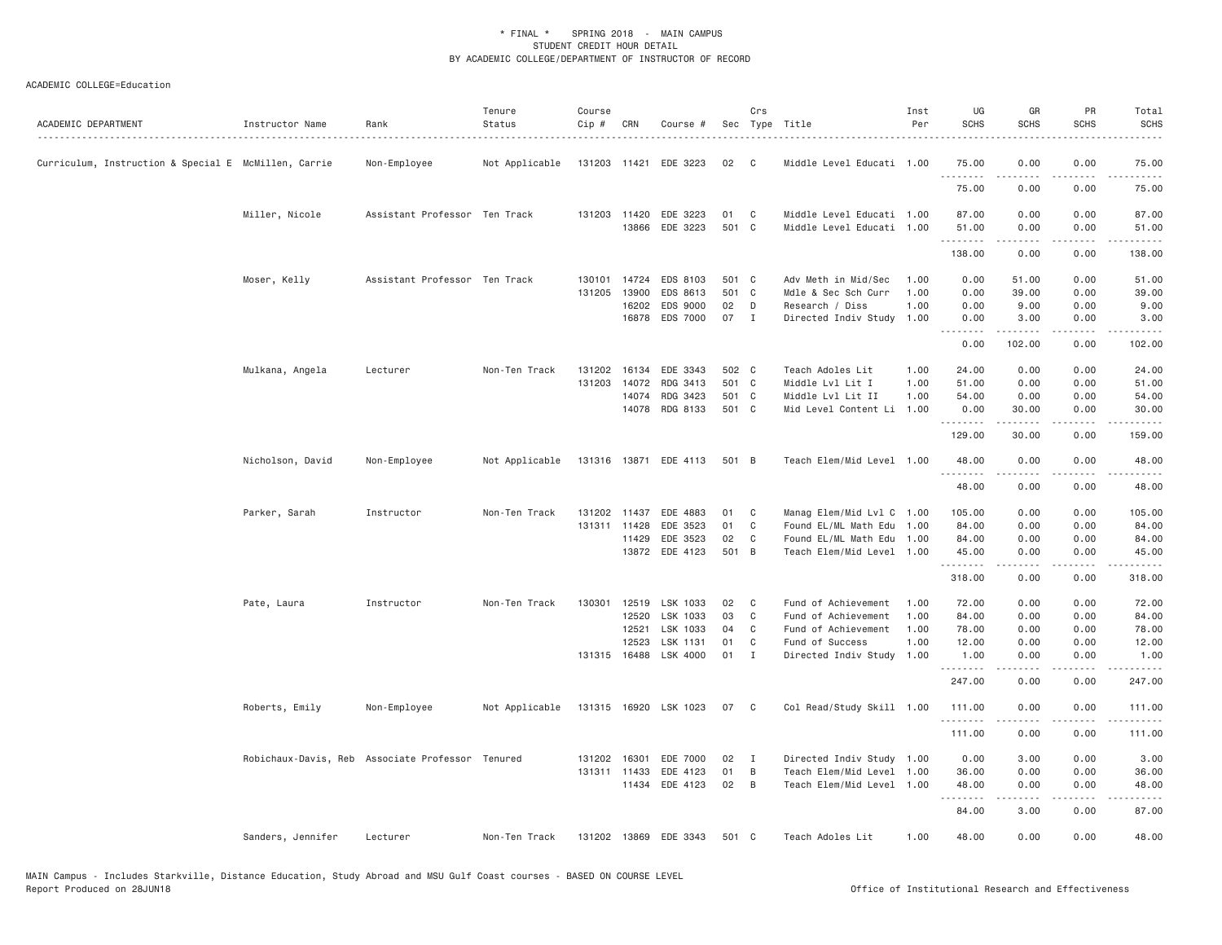| ACADEMIC DEPARTMENT                                  | Instructor Name   | Rank                                             | Tenure<br>Status | Course<br>Cip # | CRN   | Course #              |             | Crs          | Sec Type Title                                    | Inst<br>Per | UG<br><b>SCHS</b> | GR<br><b>SCHS</b>                                                                                                                                    | PR<br><b>SCHS</b>                   | Total<br><b>SCHS</b>                                                                                                                                           |
|------------------------------------------------------|-------------------|--------------------------------------------------|------------------|-----------------|-------|-----------------------|-------------|--------------|---------------------------------------------------|-------------|-------------------|------------------------------------------------------------------------------------------------------------------------------------------------------|-------------------------------------|----------------------------------------------------------------------------------------------------------------------------------------------------------------|
| Curriculum, Instruction & Special E McMillen, Carrie |                   | Non-Employee                                     | Not Applicable   |                 |       | 131203 11421 EDE 3223 | 02          | C            | Middle Level Educati 1.00                         |             | 75.00<br>.        | 0.00<br>-----                                                                                                                                        | 0.00<br>$- - - -$                   | 75.00<br>.                                                                                                                                                     |
|                                                      |                   |                                                  |                  |                 |       |                       |             |              |                                                   |             | 75.00             | 0.00                                                                                                                                                 | 0.00                                | 75.00                                                                                                                                                          |
|                                                      | Miller, Nicole    | Assistant Professor Ten Track                    |                  | 131203 11420    | 13866 | EDE 3223<br>EDE 3223  | 01<br>501 C | C            | Middle Level Educati 1.00<br>Middle Level Educati | 1.00        | 87.00<br>51.00    | 0.00<br>0.00                                                                                                                                         | 0.00<br>0.00                        | 87.00<br>51.00                                                                                                                                                 |
|                                                      |                   |                                                  |                  |                 |       |                       |             |              |                                                   |             | .<br>138.00       | $- - - - - -$<br>0.00                                                                                                                                | .<br>0.00                           | .<br>138.00                                                                                                                                                    |
|                                                      | Moser, Kelly      | Assistant Professor Ten Track                    |                  | 130101          | 14724 | EDS 8103              | 501 C       |              | Adv Meth in Mid/Sec                               | 1.00        | 0.00              | 51.00                                                                                                                                                | 0.00                                | 51.00                                                                                                                                                          |
|                                                      |                   |                                                  |                  | 131205          | 13900 | EDS 8613              | 501 C       |              | Mdle & Sec Sch Curr                               | 1.00        | 0.00              | 39.00                                                                                                                                                | 0.00                                | 39.00                                                                                                                                                          |
|                                                      |                   |                                                  |                  |                 | 16202 | EDS 9000              | 02          | D            | Research / Diss                                   | 1.00        | 0.00              | 9.00                                                                                                                                                 | 0.00                                | 9.00                                                                                                                                                           |
|                                                      |                   |                                                  |                  |                 | 16878 | EDS 7000              | 07          | $\mathbf{I}$ | Directed Indiv Study                              | 1.00        | 0.00              | 3.00                                                                                                                                                 | 0.00                                | 3.00                                                                                                                                                           |
|                                                      |                   |                                                  |                  |                 |       |                       |             |              |                                                   |             | 0.00              | 102.00                                                                                                                                               | 0.00                                | 102.00                                                                                                                                                         |
|                                                      | Mulkana, Angela   | Lecturer                                         | Non-Ten Track    | 131202 16134    |       | EDE 3343              | 502 C       |              | Teach Adoles Lit                                  | 1.00        | 24.00             | 0.00                                                                                                                                                 | 0.00                                | 24.00                                                                                                                                                          |
|                                                      |                   |                                                  |                  | 131203          | 14072 | RDG 3413              | 501 C       |              | Middle Lvl Lit I                                  | 1.00        | 51.00             | 0.00                                                                                                                                                 | 0.00                                | 51.00                                                                                                                                                          |
|                                                      |                   |                                                  |                  |                 | 14074 | RDG 3423              | 501 C       |              | Middle Lvl Lit II                                 | 1.00        | 54.00             | 0.00                                                                                                                                                 | 0.00                                | 54.00                                                                                                                                                          |
|                                                      |                   |                                                  |                  |                 | 14078 | RDG 8133              | 501 C       |              | Mid Level Content Li                              | 1.00        | 0.00              | 30.00                                                                                                                                                | 0.00                                | 30.00                                                                                                                                                          |
|                                                      |                   |                                                  |                  |                 |       |                       |             |              |                                                   |             | .                 |                                                                                                                                                      | .                                   | .                                                                                                                                                              |
|                                                      |                   |                                                  |                  |                 |       |                       |             |              |                                                   |             | 129.00            | 30.00                                                                                                                                                | 0.00                                | 159.00                                                                                                                                                         |
|                                                      | Nicholson, David  | Non-Employee                                     | Not Applicable   |                 |       | 131316 13871 EDE 4113 | 501 B       |              | Teach Elem/Mid Level 1.00                         |             | 48.00<br>.        | 0.00<br>.                                                                                                                                            | 0.00                                | 48,00<br>.                                                                                                                                                     |
|                                                      |                   |                                                  |                  |                 |       |                       |             |              |                                                   |             | 48.00             | 0.00                                                                                                                                                 | 0.00                                | 48.00                                                                                                                                                          |
|                                                      | Parker, Sarah     | Instructor                                       | Non-Ten Track    | 131202 11437    |       | EDE 4883              | 01          | C            | Manag Elem/Mid Lvl C 1.00                         |             | 105.00            | 0.00                                                                                                                                                 | 0.00                                | 105.00                                                                                                                                                         |
|                                                      |                   |                                                  |                  | 131311          | 11428 | EDE 3523              | 01          | $\mathbb C$  | Found EL/ML Math Edu 1.00                         |             | 84.00             | 0.00                                                                                                                                                 | 0.00                                | 84.00                                                                                                                                                          |
|                                                      |                   |                                                  |                  |                 | 11429 | EDE 3523              | 02          | C            | Found EL/ML Math Edu 1.00                         |             | 84.00             | 0.00                                                                                                                                                 | 0.00                                | 84.00                                                                                                                                                          |
|                                                      |                   |                                                  |                  |                 |       | 13872 EDE 4123        | 501 B       |              | Teach Elem/Mid Level 1.00                         |             | 45.00             | 0.00                                                                                                                                                 | 0.00                                | 45.00                                                                                                                                                          |
|                                                      |                   |                                                  |                  |                 |       |                       |             |              |                                                   |             | .<br>318.00       | <b>.</b><br>0.00                                                                                                                                     | .<br>0.00                           | $- - - - - -$<br>318.00                                                                                                                                        |
|                                                      |                   |                                                  |                  |                 |       |                       |             |              |                                                   |             |                   |                                                                                                                                                      |                                     |                                                                                                                                                                |
|                                                      | Pate, Laura       | Instructor                                       | Non-Ten Track    | 130301          | 12519 | LSK 1033              | 02          | C            | Fund of Achievement                               | 1.00        | 72.00             | 0.00                                                                                                                                                 | 0.00                                | 72.00                                                                                                                                                          |
|                                                      |                   |                                                  |                  |                 | 12520 | LSK 1033              | 03          | C            | Fund of Achievement                               | 1.00        | 84.00             | 0.00                                                                                                                                                 | 0.00                                | 84.00                                                                                                                                                          |
|                                                      |                   |                                                  |                  |                 | 12521 | LSK 1033              | 04          | C            | Fund of Achievement                               | 1.00        | 78.00             | 0.00                                                                                                                                                 | 0.00                                | 78.00                                                                                                                                                          |
|                                                      |                   |                                                  |                  |                 | 12523 | LSK 1131              | 01          | C            | Fund of Success                                   | 1.00        | 12.00             | 0.00                                                                                                                                                 | 0.00                                | 12.00                                                                                                                                                          |
|                                                      |                   |                                                  |                  | 131315 16488    |       | LSK 4000              | 01          | $\mathbf{I}$ | Directed Indiv Study                              | 1.00        | 1.00<br>.         | 0.00<br>.                                                                                                                                            | 0.00<br>د د د د                     | 1.00<br>.                                                                                                                                                      |
|                                                      |                   |                                                  |                  |                 |       |                       |             |              |                                                   |             | 247.00            | 0.00                                                                                                                                                 | 0.00                                | 247.00                                                                                                                                                         |
|                                                      | Roberts, Emily    | Non-Employee                                     | Not Applicable   |                 |       | 131315 16920 LSK 1023 | 07          | $\mathbf{C}$ | Col Read/Study Skill 1.00                         |             | 111.00            | 0.00                                                                                                                                                 | 0.00                                | 111.00                                                                                                                                                         |
|                                                      |                   |                                                  |                  |                 |       |                       |             |              |                                                   |             | .<br>111.00       | 0.00                                                                                                                                                 | $\sim$ $\sim$ $\sim$ $\sim$<br>0.00 | $\frac{1}{2} \left( \frac{1}{2} \right) \left( \frac{1}{2} \right) \left( \frac{1}{2} \right) \left( \frac{1}{2} \right) \left( \frac{1}{2} \right)$<br>111.00 |
|                                                      |                   | Robichaux-Davis, Reb Associate Professor Tenured |                  | 131202          | 16301 | EDE 7000              | 02          | I            | Directed Indiv Study 1.00                         |             | 0.00              | 3.00                                                                                                                                                 | 0.00                                | 3.00                                                                                                                                                           |
|                                                      |                   |                                                  |                  | 131311 11433    |       | EDE 4123              | 01          | B            | Teach Elem/Mid Level 1.00                         |             | 36.00             | 0.00                                                                                                                                                 | 0.00                                | 36.00                                                                                                                                                          |
|                                                      |                   |                                                  |                  |                 |       | 11434 EDE 4123        | 02          | B            | Teach Elem/Mid Level 1.00                         |             | 48.00             | 0.00                                                                                                                                                 | 0.00                                | 48.00                                                                                                                                                          |
|                                                      |                   |                                                  |                  |                 |       |                       |             |              |                                                   |             | .                 | $\frac{1}{2} \left( \frac{1}{2} \right) \left( \frac{1}{2} \right) \left( \frac{1}{2} \right) \left( \frac{1}{2} \right) \left( \frac{1}{2} \right)$ | .                                   | .                                                                                                                                                              |
|                                                      |                   |                                                  |                  |                 |       |                       |             |              |                                                   |             | 84.00             | 3.00                                                                                                                                                 | 0.00                                | 87.00                                                                                                                                                          |
|                                                      | Sanders, Jennifer | Lecturer                                         | Non-Ten Track    |                 |       | 131202 13869 EDE 3343 | 501         | - C          | Teach Adoles Lit                                  | 1.00        | 48.00             | 0.00                                                                                                                                                 | 0.00                                | 48.00                                                                                                                                                          |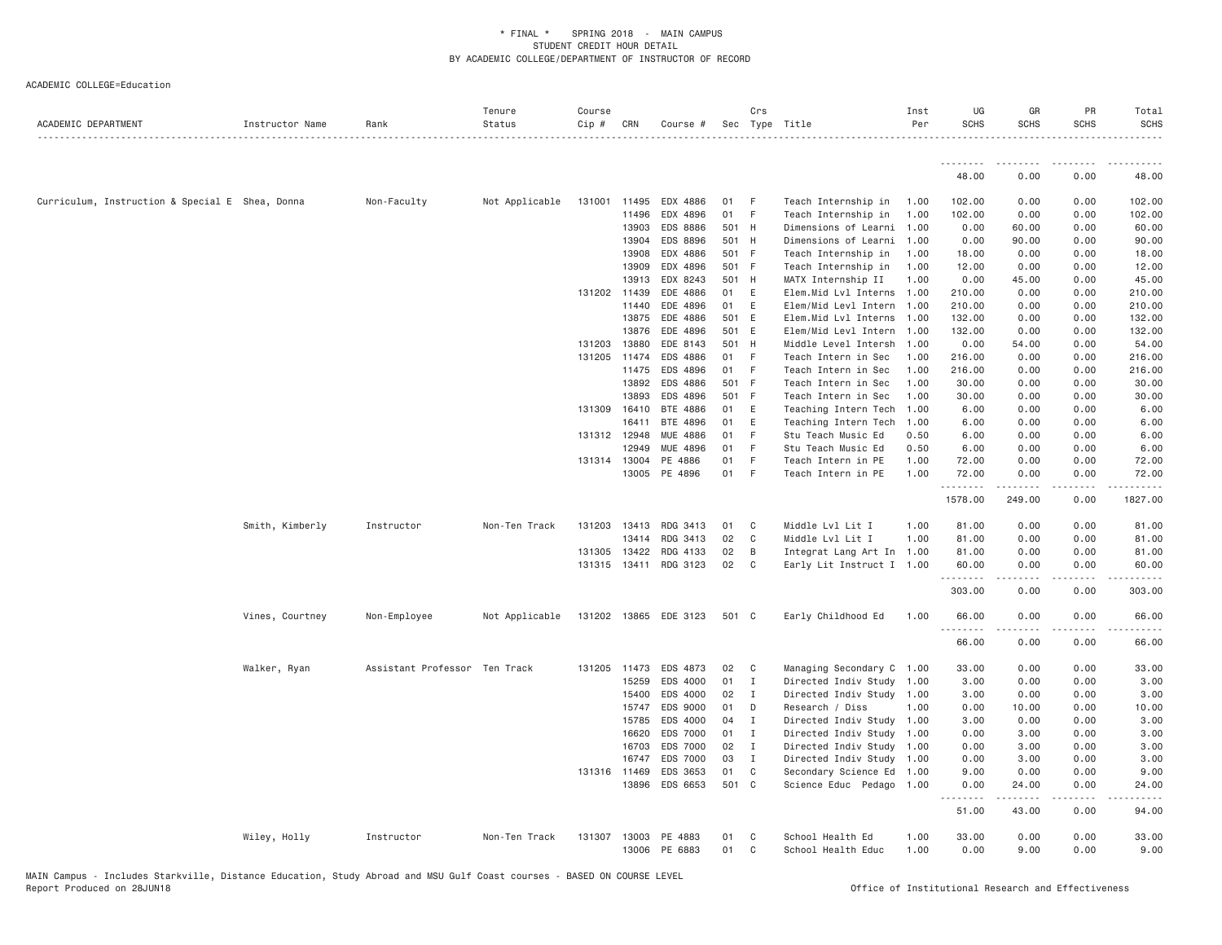| ACADEMIC DEPARTMENT                             | Instructor Name | Rank                          | Tenure<br>Status | Course<br>Cip # | CRN          | Course #              |       | Crs            | Sec Type Title            | Inst<br>Per | UG<br><b>SCHS</b> | GR<br><b>SCHS</b> | PR<br><b>SCHS</b> | Total<br><b>SCHS</b> |
|-------------------------------------------------|-----------------|-------------------------------|------------------|-----------------|--------------|-----------------------|-------|----------------|---------------------------|-------------|-------------------|-------------------|-------------------|----------------------|
|                                                 |                 |                               |                  |                 |              |                       |       |                |                           |             | --------          | ---------         |                   |                      |
|                                                 |                 |                               |                  |                 |              |                       |       |                |                           |             | 48.00             | 0.00              | 0.00              | 48.00                |
| Curriculum, Instruction & Special E Shea, Donna |                 | Non-Faculty                   | Not Applicable   | 131001          | 11495        | EDX 4886              | 01    | - F            | Teach Internship in       | 1,00        | 102.00            | 0.00              | 0.00              | 102.00               |
|                                                 |                 |                               |                  |                 | 11496        | EDX 4896              | 01    | - F            | Teach Internship in       | 1.00        | 102.00            | 0.00              | 0.00              | 102.00               |
|                                                 |                 |                               |                  |                 | 13903        | EDS 8886              | 501 H |                | Dimensions of Learni 1.00 |             | 0.00              | 60.00             | 0.00              | 60.00                |
|                                                 |                 |                               |                  |                 | 13904        | EDS 8896              |       | 501 H          | Dimensions of Learni      | 1.00        | 0.00              | 90.00             | 0.00              | 90.00                |
|                                                 |                 |                               |                  |                 | 13908        | EDX 4886              | 501 F |                | Teach Internship in       | 1.00        | 18.00             | 0.00              | 0.00              | 18.00                |
|                                                 |                 |                               |                  |                 | 13909        | EDX 4896              | 501 F |                | Teach Internship in       | 1.00        | 12.00             | 0.00              | 0.00              | 12.00                |
|                                                 |                 |                               |                  |                 | 13913        | EDX 8243              | 501 H |                | MATX Internship II        | 1.00        | 0.00              | 45.00             | 0.00              | 45.00                |
|                                                 |                 |                               |                  |                 | 131202 11439 | EDE 4886              | 01    | E              | Elem.Mid Lvl Interns 1.00 |             | 210.00            | 0.00              | 0.00              | 210.00               |
|                                                 |                 |                               |                  |                 | 11440        | EDE 4896              | 01    | E              | Elem/Mid Levl Intern 1.00 |             | 210.00            | 0.00              | 0.00              | 210.00               |
|                                                 |                 |                               |                  |                 | 13875        | EDE 4886              | 501 E |                | Elem.Mid Lvl Interns      | 1.00        | 132.00            | 0.00              | 0.00              | 132.00               |
|                                                 |                 |                               |                  |                 | 13876        | EDE 4896              | 501 E |                | Elem/Mid Levl Intern 1.00 |             | 132.00            | 0.00              | 0.00              | 132.00               |
|                                                 |                 |                               |                  | 131203          | 13880        | EDE 8143              | 501 H |                | Middle Level Intersh 1.00 |             | 0.00              | 54.00             | 0.00              | 54.00                |
|                                                 |                 |                               |                  |                 | 131205 11474 | EDS 4886              | 01 F  |                | Teach Intern in Sec       | 1.00        | 216.00            | 0.00              | 0.00              | 216.00               |
|                                                 |                 |                               |                  |                 | 11475        | EDS 4896              | 01 F  |                | Teach Intern in Sec       | 1.00        | 216.00            | 0.00              | 0.00              | 216.00               |
|                                                 |                 |                               |                  |                 | 13892        | EDS 4886              | 501 F |                | Teach Intern in Sec       | 1.00        | 30.00             | 0.00              | 0.00              | 30.00                |
|                                                 |                 |                               |                  |                 | 13893        | EDS 4896              | 501 F |                | Teach Intern in Sec       | 1.00        | 30.00             | 0.00              | 0.00              | 30.00                |
|                                                 |                 |                               |                  | 131309 16410    |              | BTE 4886              | 01    | E              | Teaching Intern Tech      | 1.00        | 6.00              | 0.00              | 0.00              | 6.00                 |
|                                                 |                 |                               |                  |                 | 16411        | BTE 4896              | 01    | E              | Teaching Intern Tech      | 1.00        | 6.00              | 0.00              | 0.00              | 6.00                 |
|                                                 |                 |                               |                  | 131312 12948    |              | MUE 4886              | 01    | F              | Stu Teach Music Ed        | 0.50        | 6.00              | 0.00              | 0.00              | 6.00                 |
|                                                 |                 |                               |                  |                 | 12949        | <b>MUE 4896</b>       | 01    | -F             | Stu Teach Music Ed        | 0.50        | 6.00              | 0.00              | 0.00              | 6.00                 |
|                                                 |                 |                               |                  | 131314 13004    |              | PE 4886               | 01    | - F            | Teach Intern in PE        | 1.00        | 72.00             | 0.00              | 0.00              | 72.00                |
|                                                 |                 |                               |                  |                 | 13005        | PE 4896               | 01 F  |                | Teach Intern in PE        | 1.00        | 72.00<br>.        | 0.00              | 0.00<br>.         | 72.00                |
|                                                 |                 |                               |                  |                 |              |                       |       |                |                           |             | 1578.00           | 249.00            | 0.00              | 1827.00              |
|                                                 | Smith, Kimberly | Instructor                    | Non-Ten Track    |                 | 131203 13413 | RDG 3413              | 01    | $\mathbf{C}$   | Middle Lvl Lit I          | 1.00        | 81.00             | 0.00              | 0.00              | 81.00                |
|                                                 |                 |                               |                  |                 | 13414        | RDG 3413              | 02    | $\mathbf{C}$   | Middle Lvl Lit I          | 1.00        | 81.00             | 0.00              | 0.00              | 81.00                |
|                                                 |                 |                               |                  | 131305 13422    |              | RDG 4133              | 02    | B              | Integrat Lang Art In 1.00 |             | 81.00             | 0.00              | 0.00              | 81.00                |
|                                                 |                 |                               |                  |                 | 131315 13411 | RDG 3123              | 02    | C <sub>c</sub> | Early Lit Instruct I 1.00 |             | 60.00             | 0.00              | 0.00              | 60.00                |
|                                                 |                 |                               |                  |                 |              |                       |       |                |                           |             | 303.00            | 0.00              | 0.00              | 303.00               |
|                                                 | Vines, Courtney | Non-Employee                  | Not Applicable   |                 |              | 131202 13865 EDE 3123 | 501 C |                | Early Childhood Ed        | 1.00        | 66.00<br>.        | 0.00              | 0.00              | 66.00                |
|                                                 |                 |                               |                  |                 |              |                       |       |                |                           |             | 66.00             | 0.00              | 0.00              | 66.00                |
|                                                 | Walker, Ryan    | Assistant Professor Ten Track |                  |                 | 131205 11473 | EDS 4873              | 02    | $\mathbf{C}$   | Managing Secondary C 1.00 |             | 33.00             | 0.00              | 0.00              | 33.00                |
|                                                 |                 |                               |                  |                 | 15259        | EDS 4000              | 01 I  |                | Directed Indiv Study 1.00 |             | 3.00              | 0.00              | 0.00              | 3.00                 |
|                                                 |                 |                               |                  |                 | 15400        | EDS 4000              | 02    | $\mathbf{I}$   | Directed Indiv Study 1.00 |             | 3.00              | 0.00              | 0.00              | 3.00                 |
|                                                 |                 |                               |                  |                 | 15747        | EDS 9000              | 01    | D              | Research / Diss           | 1.00        | 0.00              | 10.00             | 0.00              | 10.00                |
|                                                 |                 |                               |                  |                 | 15785        | EDS 4000              | 04    | $\mathbf{I}$   | Directed Indiv Study 1.00 |             | 3.00              | 0.00              | 0.00              | 3.00                 |
|                                                 |                 |                               |                  |                 | 16620        | EDS 7000              | 01    | $\mathbf{I}$   | Directed Indiv Study 1.00 |             | 0.00              | 3.00              | 0.00              | 3.00                 |
|                                                 |                 |                               |                  |                 | 16703        | EDS 7000              | 02    | $\blacksquare$ | Directed Indiv Study 1.00 |             | 0.00              | 3.00              | 0.00              | 3.00                 |
|                                                 |                 |                               |                  |                 | 16747        | EDS 7000              | 03    | $\mathbf I$    | Directed Indiv Study 1.00 |             | 0.00              | 3.00              | 0.00              | 3.00                 |
|                                                 |                 |                               |                  |                 | 131316 11469 | EDS 3653              | 01    | $\mathbf{C}$   | Secondary Science Ed 1.00 |             | 9.00              | 0.00              | 0.00              | 9.00                 |
|                                                 |                 |                               |                  |                 | 13896        | EDS 6653              | 501 C |                | Science Educ Pedago 1.00  |             | 0.00              | 24.00             | 0.00              | 24.00                |
|                                                 |                 |                               |                  |                 |              |                       |       |                |                           |             | .<br>51.00        | .<br>43.00        | .<br>0.00         | .<br>94.00           |
|                                                 | Wiley, Holly    | Instructor                    | Non-Ten Track    | 131307          | 13003        | PE 4883               | 01    | C <sub>c</sub> | School Health Ed          | 1.00        | 33.00             | 0.00              | 0.00              | 33.00                |
|                                                 |                 |                               |                  |                 | 13006        | PE 6883               | 01    | C              | School Health Educ        | 1.00        | 0.00              | 9.00              | 0.00              | 9.00                 |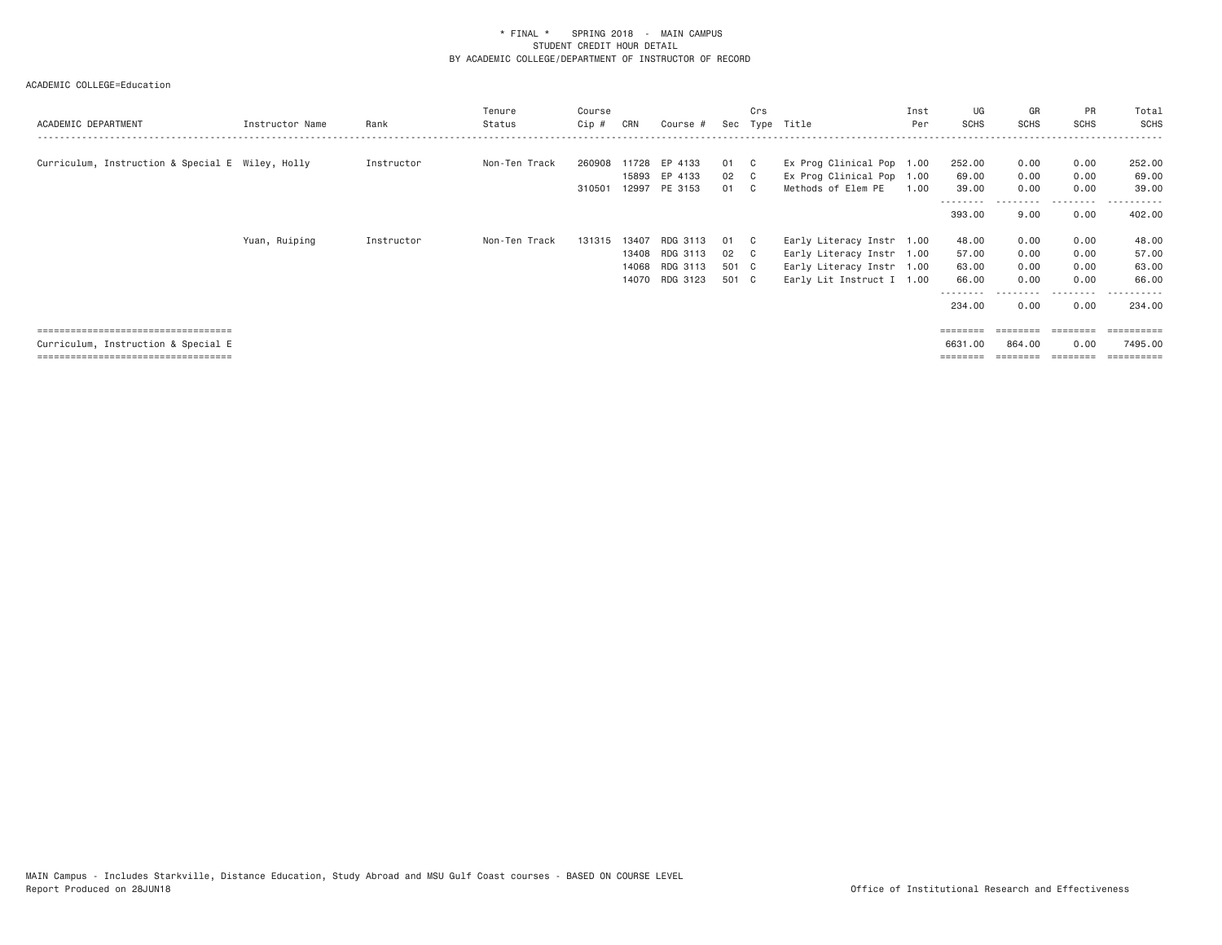| ACADEMIC DEPARTMENT                              | Instructor Name | Rank       | Tenure<br>Status | Course<br>$Cip \#$ | CRN   | Course #      |       | Crs          | Sec Type Title            | Inst<br>Per | UG<br><b>SCHS</b> | GR<br><b>SCHS</b> | <b>PR</b><br><b>SCHS</b> | Total<br>SCHS |
|--------------------------------------------------|-----------------|------------|------------------|--------------------|-------|---------------|-------|--------------|---------------------------|-------------|-------------------|-------------------|--------------------------|---------------|
|                                                  |                 |            |                  |                    |       |               |       |              |                           |             |                   |                   |                          |               |
| Curriculum, Instruction & Special E Wiley, Holly |                 | Instructor | Non-Ten Track    | 260908             | 11728 | EP 4133       | 01 C  |              | Ex Prog Clinical Pop 1.00 |             | 252.00            | 0.00              | 0.00                     | 252.00        |
|                                                  |                 |            |                  |                    | 15893 | EP 4133       | 02 C  |              | Ex Prog Clinical Pop 1.00 |             | 69.00             | 0.00              | 0.00                     | 69.00         |
|                                                  |                 |            |                  | 310501             |       | 12997 PE 3153 | 01 C  |              | Methods of Elem PE        | 1,00        | 39.00             | 0.00              | 0.00                     | 39.00         |
|                                                  |                 |            |                  |                    |       |               |       |              |                           |             | 393.00            | 9.00              | 0.00                     | 402.00        |
|                                                  | Yuan, Ruiping   | Instructor | Non-Ten Track    | 131315             | 13407 | RDG 3113      | 01    | $\mathbb{C}$ | Early Literacy Instr 1.00 |             | 48.00             | 0.00              | 0.00                     | 48.00         |
|                                                  |                 |            |                  |                    | 13408 | RDG 3113      | 02 C  |              | Early Literacy Instr 1.00 |             | 57.00             | 0.00              | 0.00                     | 57.00         |
|                                                  |                 |            |                  |                    | 14068 | RDG 3113      | 501 C |              | Early Literacy Instr 1.00 |             | 63.00             | 0.00              | 0.00                     | 63.00         |
|                                                  |                 |            |                  |                    | 14070 | RDG 3123      | 501 C |              | Early Lit Instruct I 1.00 |             | 66.00             | 0.00              | 0.00                     | 66.00         |
|                                                  |                 |            |                  |                    |       |               |       |              |                           |             | 234.00            | 0.00              | 0.00                     | 234.00        |
| =====================================            |                 |            |                  |                    |       |               |       |              |                           |             |                   | ========          | ---------                | ==========    |
| Curriculum, Instruction & Special E              |                 |            |                  |                    |       |               |       |              |                           |             | 6631,00           | 864,00            | 0.00                     | 7495.00       |
| =====================================            |                 |            |                  |                    |       |               |       |              |                           |             | ========          | ========          | ========                 | ==========    |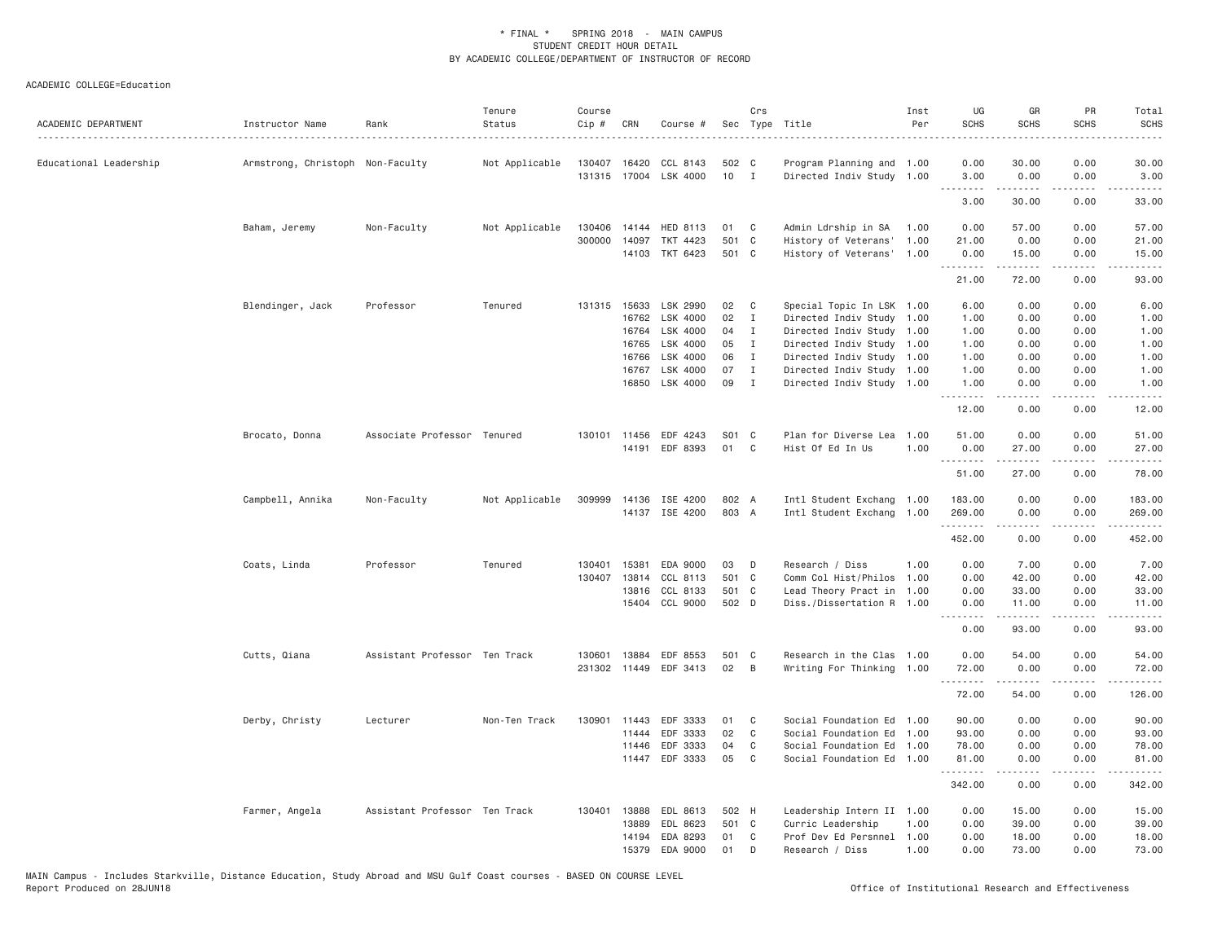| ACADEMIC DEPARTMENT    | Instructor Name                  | Rank                          | Tenure<br>Status | Course<br>Cip # | CRN          | Course #              |               | Crs            | Sec Type Title            | Inst<br>Per | UG<br><b>SCHS</b><br>$- - - -$ | GR<br><b>SCHS</b>                                                                                                                  | PR<br><b>SCHS</b> | Total<br><b>SCHS</b>  |
|------------------------|----------------------------------|-------------------------------|------------------|-----------------|--------------|-----------------------|---------------|----------------|---------------------------|-------------|--------------------------------|------------------------------------------------------------------------------------------------------------------------------------|-------------------|-----------------------|
| Educational Leadership | Armstrong, Christoph Non-Faculty |                               | Not Applicable   | 130407 16420    |              | CCL 8143              | 502 C         |                | Program Planning and 1.00 |             | 0.00                           | 30.00                                                                                                                              | 0.00              | 30.00                 |
|                        |                                  |                               |                  |                 |              | 131315 17004 LSK 4000 | $10$ I        |                | Directed Indiv Study 1.00 |             | 3.00                           | 0.00                                                                                                                               | 0.00              | 3.00                  |
|                        |                                  |                               |                  |                 |              |                       |               |                |                           |             | $-$ - $-$ -<br>3.00            | . <u>.</u><br>30.00                                                                                                                | .<br>0.00         | .<br>33.00            |
|                        | Baham, Jeremy                    | Non-Faculty                   | Not Applicable   | 130406          | 14144        | HED 8113              | 01 C          |                | Admin Ldrship in SA       | 1.00        | 0.00                           | 57.00                                                                                                                              | 0.00              | 57.00                 |
|                        |                                  |                               |                  | 300000          | 14097        | TKT 4423              | 501 C         |                | History of Veterans' 1.00 |             | 21.00                          | 0.00                                                                                                                               | 0.00              | 21.00                 |
|                        |                                  |                               |                  |                 |              | 14103 TKT 6423        | 501 C         |                | History of Veterans' 1.00 |             | 0.00                           | 15.00                                                                                                                              | 0.00              | 15.00                 |
|                        |                                  |                               |                  |                 |              |                       |               |                |                           |             | .<br>21.00                     | .<br>72.00                                                                                                                         | .<br>0.00         | .<br>93.00            |
|                        | Blendinger, Jack                 | Professor                     | Tenured          |                 | 131315 15633 | LSK 2990              | 02            | $\mathbb C$    | Special Topic In LSK 1.00 |             | 6.00                           | 0.00                                                                                                                               | 0.00              | 6.00                  |
|                        |                                  |                               |                  |                 | 16762        | LSK 4000              | $02 \qquad I$ |                | Directed Indiv Study 1.00 |             | 1.00                           | 0.00                                                                                                                               | 0.00              | 1.00                  |
|                        |                                  |                               |                  |                 | 16764        | LSK 4000              | 04            | $\mathbf{I}$   | Directed Indiv Study 1.00 |             | 1.00                           | 0.00                                                                                                                               | 0.00              | 1.00                  |
|                        |                                  |                               |                  |                 | 16765        | LSK 4000              | 05            | $\mathbf{I}$   | Directed Indiv Study 1.00 |             | 1.00                           | 0.00                                                                                                                               | 0.00              | 1.00                  |
|                        |                                  |                               |                  |                 | 16766        | LSK 4000              | 06            | $\mathbf{I}$   | Directed Indiv Study 1.00 |             | 1.00                           | 0.00                                                                                                                               | 0.00              | 1.00                  |
|                        |                                  |                               |                  |                 | 16767        | LSK 4000              | 07            | $\mathbf{I}$   | Directed Indiv Study 1.00 |             | 1.00                           | 0.00                                                                                                                               | 0.00              | 1.00                  |
|                        |                                  |                               |                  |                 | 16850        | LSK 4000              | 09            | $\mathbf{I}$   | Directed Indiv Study 1.00 |             | 1.00<br>.                      | 0.00                                                                                                                               | 0.00              | 1.00                  |
|                        |                                  |                               |                  |                 |              |                       |               |                |                           |             | 12.00                          | 0.00                                                                                                                               | 0.00              | 12.00                 |
|                        | Brocato, Donna                   | Associate Professor Tenured   |                  |                 | 130101 11456 | EDF 4243              | S01 C         |                | Plan for Diverse Lea 1.00 |             | 51.00                          | 0.00                                                                                                                               | 0.00              | 51.00                 |
|                        |                                  |                               |                  |                 |              | 14191 EDF 8393        | 01 C          |                | Hist Of Ed In Us          | 1.00        | 0.00                           | 27.00                                                                                                                              | 0.00              | 27.00                 |
|                        |                                  |                               |                  |                 |              |                       |               |                |                           |             | .<br>51.00                     | .<br>27.00                                                                                                                         | .<br>0.00         | . <u>.</u> .<br>78.00 |
|                        | Campbell, Annika                 | Non-Faculty                   | Not Applicable   | 309999          |              | 14136 ISE 4200        | 802 A         |                | Intl Student Exchang 1.00 |             | 183.00                         | 0.00                                                                                                                               | 0.00              | 183.00                |
|                        |                                  |                               |                  |                 |              | 14137 ISE 4200        | 803 A         |                | Intl Student Exchang 1.00 |             | 269.00<br>.                    | 0.00                                                                                                                               | 0.00<br>.         | 269.00                |
|                        |                                  |                               |                  |                 |              |                       |               |                |                           |             | 452.00                         | 0.00                                                                                                                               | 0.00              | 452.00                |
|                        | Coats, Linda                     | Professor                     | Tenured          | 130401          | 15381        | EDA 9000              | 03            | D              | Research / Diss           | 1,00        | 0.00                           | 7.00                                                                                                                               | 0.00              | 7.00                  |
|                        |                                  |                               |                  |                 | 130407 13814 | CCL 8113              | 501 C         |                | Comm Col Hist/Philos 1.00 |             | 0.00                           | 42.00                                                                                                                              | 0.00              | 42.00                 |
|                        |                                  |                               |                  |                 | 13816        | CCL 8133              | 501 C         |                | Lead Theory Pract in 1.00 |             | 0.00                           | 33.00                                                                                                                              | 0.00              | 33.00                 |
|                        |                                  |                               |                  |                 | 15404        | CCL 9000              | 502 D         |                | Diss./Dissertation R 1.00 |             | 0.00                           | 11.00<br>$\frac{1}{2} \left( \frac{1}{2} \right) \left( \frac{1}{2} \right) \left( \frac{1}{2} \right) \left( \frac{1}{2} \right)$ | 0.00              | 11.00<br>.            |
|                        |                                  |                               |                  |                 |              |                       |               |                |                           |             | .<br>0.00                      | 93.00                                                                                                                              | .<br>0.00         | 93.00                 |
|                        | Cutts, Qiana                     | Assistant Professor Ten Track |                  |                 | 130601 13884 | EDF 8553              | 501 C         |                | Research in the Clas 1.00 |             | 0.00                           | 54.00                                                                                                                              | 0.00              | 54.00                 |
|                        |                                  |                               |                  |                 | 231302 11449 | EDF 3413              | 02            | $\overline{B}$ | Writing For Thinking 1.00 |             | 72.00<br>.                     | 0.00<br>.                                                                                                                          | 0.00<br>.         | 72.00<br>.            |
|                        |                                  |                               |                  |                 |              |                       |               |                |                           |             | 72.00                          | 54.00                                                                                                                              | 0.00              | 126.00                |
|                        | Derby, Christy                   | Lecturer                      | Non-Ten Track    |                 | 130901 11443 | EDF 3333              | 01            | C              | Social Foundation Ed 1.00 |             | 90.00                          | 0.00                                                                                                                               | 0.00              | 90.00                 |
|                        |                                  |                               |                  |                 | 11444        | EDF 3333              | 02            | C <sub>1</sub> | Social Foundation Ed 1.00 |             | 93.00                          | 0.00                                                                                                                               | 0.00              | 93.00                 |
|                        |                                  |                               |                  |                 | 11446        | EDF 3333              | 04            | C              | Social Foundation Ed 1.00 |             | 78.00                          | 0.00                                                                                                                               | 0.00              | 78.00                 |
|                        |                                  |                               |                  |                 |              | 11447 EDF 3333        | 05            | $\mathbf{C}$   | Social Foundation Ed 1.00 |             | 81.00<br>.                     | 0.00<br>.                                                                                                                          | 0.00<br>.         | 81.00                 |
|                        |                                  |                               |                  |                 |              |                       |               |                |                           |             | 342.00                         | 0.00                                                                                                                               | 0.00              | 342.00                |
|                        | Farmer, Angela                   | Assistant Professor Ten Track |                  | 130401          | 13888        | EDL 8613              | 502 H         |                | Leadership Intern II 1.00 |             | 0.00                           | 15.00                                                                                                                              | 0.00              | 15.00                 |
|                        |                                  |                               |                  |                 | 13889        | EDL 8623              | 501 C         |                | Curric Leadership         | 1,00        | 0.00                           | 39.00                                                                                                                              | 0.00              | 39.00                 |
|                        |                                  |                               |                  |                 | 14194        | EDA 8293              | 01            | C.             | Prof Dev Ed Persnnel 1.00 |             | 0.00                           | 18.00                                                                                                                              | 0.00              | 18.00                 |
|                        |                                  |                               |                  |                 | 15379        | EDA 9000              | 01            | D              | Research / Diss           | 1,00        | 0.00                           | 73.00                                                                                                                              | 0.00              | 73.00                 |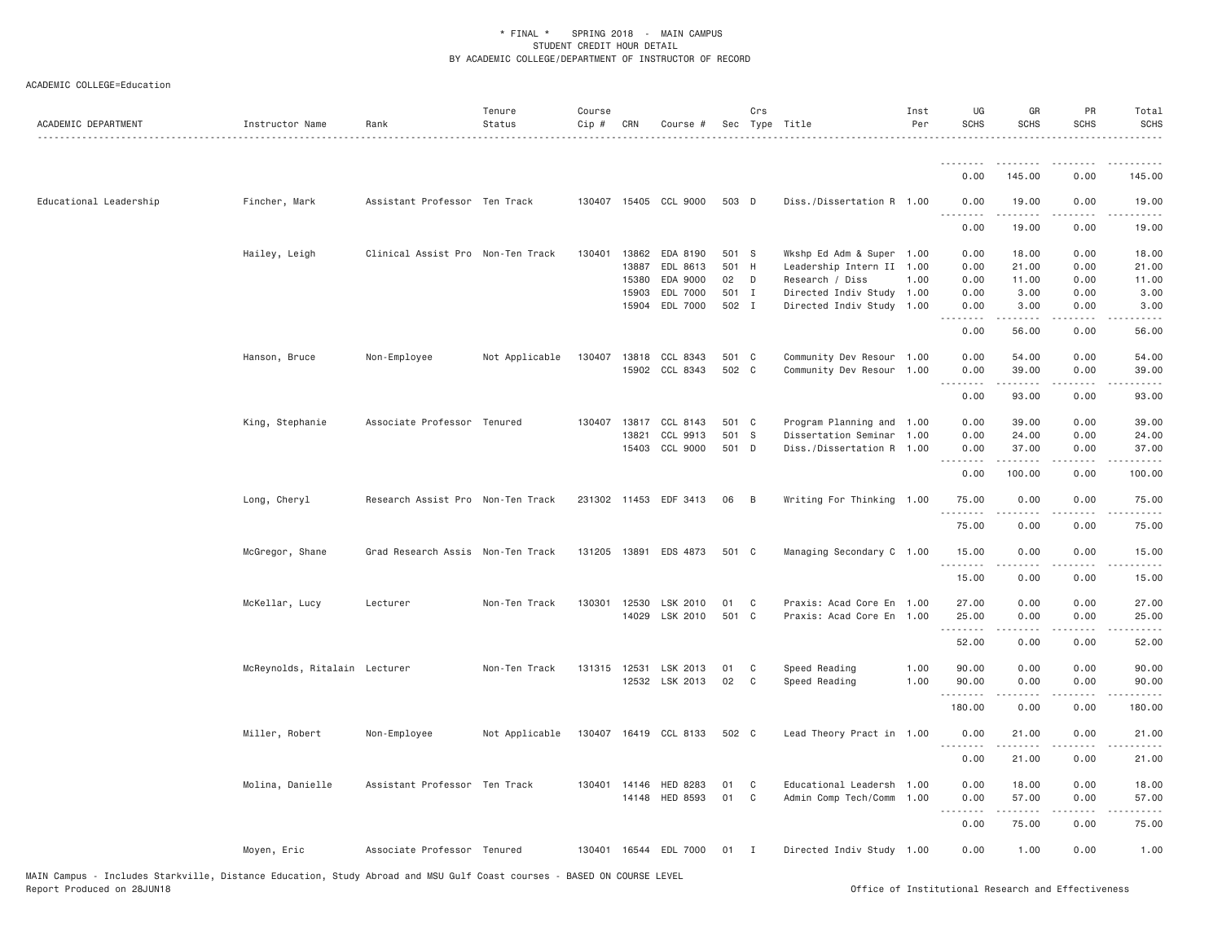| ACADEMIC DEPARTMENT    | Instructor Name               | Rank                              | Tenure<br>Status | Course<br>$Cip$ # | CRN            | Course #                 |               | Crs            | Sec Type Title                               | Inst<br>Per | UG<br><b>SCHS</b> | GR<br><b>SCHS</b>   | PR<br><b>SCHS</b> | Total<br><b>SCHS</b>  |
|------------------------|-------------------------------|-----------------------------------|------------------|-------------------|----------------|--------------------------|---------------|----------------|----------------------------------------------|-------------|-------------------|---------------------|-------------------|-----------------------|
|                        |                               |                                   |                  |                   |                |                          |               |                |                                              |             | .<br>0.00         | 145.00              | 0.00              | 145.00                |
| Educational Leadership | Fincher, Mark                 | Assistant Professor Ten Track     |                  |                   |                | 130407 15405 CCL 9000    | 503 D         |                | Diss./Dissertation R 1.00                    |             | 0.00              | 19.00               | 0.00              | 19.00                 |
|                        |                               |                                   |                  |                   |                |                          |               |                |                                              |             | .<br>.<br>0.00    | 19.00               | 0.00              | 19.00                 |
|                        |                               |                                   |                  |                   |                |                          |               |                |                                              |             |                   |                     |                   |                       |
|                        | Hailey, Leigh                 | Clinical Assist Pro Non-Ten Track |                  | 130401            | 13862          | EDA 8190                 | 501 S         |                | Wkshp Ed Adm & Super 1.00                    |             | 0.00              | 18.00               | 0.00              | 18.00                 |
|                        |                               |                                   |                  |                   | 13887          | EDL 8613                 | 501 H<br>02 D |                | Leadership Intern II 1.00                    |             | 0.00              | 21.00               | 0.00              | 21.00                 |
|                        |                               |                                   |                  |                   | 15380<br>15903 | EDA 9000<br>EDL 7000     | 501 I         |                | Research / Diss<br>Directed Indiv Study 1.00 | 1.00        | 0.00<br>0.00      | 11.00<br>3.00       | 0.00<br>0.00      | 11.00<br>3.00         |
|                        |                               |                                   |                  |                   | 15904          | EDL 7000                 | 502 I         |                | Directed Indiv Study 1.00                    |             | 0.00              | 3.00                | 0.00              | 3.00                  |
|                        |                               |                                   |                  |                   |                |                          |               |                |                                              |             | .<br>0.00         | 56.00               | 0.00              | 56.00                 |
|                        | Hanson, Bruce                 | Non-Employee                      | Not Applicable   | 130407            | 13818          | CCL 8343                 | 501 C         |                | Community Dev Resour 1.00                    |             | 0.00              | 54.00               | 0.00              | 54.00                 |
|                        |                               |                                   |                  |                   |                | 15902 CCL 8343           | 502 C         |                | Community Dev Resour 1.00                    |             | 0.00<br>.         | 39.00<br>.          | 0.00<br>.         | 39.00                 |
|                        |                               |                                   |                  |                   |                |                          |               |                |                                              |             | 0.00              | 93.00               | 0.00              | .<br>93.00            |
|                        | King, Stephanie               | Associate Professor Tenured       |                  |                   | 130407 13817   | CCL 8143                 | 501 C         |                | Program Planning and 1.00                    |             | 0.00              | 39.00               | 0.00              | 39.00                 |
|                        |                               |                                   |                  |                   | 13821          | CCL 9913                 | 501 S         |                | Dissertation Seminar 1.00                    |             | 0.00              | 24.00               | 0.00              | 24.00                 |
|                        |                               |                                   |                  |                   | 15403          | CCL 9000                 | 501 D         |                | Diss./Dissertation R 1.00                    |             | 0.00              | 37.00               | 0.00              | 37.00                 |
|                        |                               |                                   |                  |                   |                |                          |               |                |                                              |             | <u>.</u><br>0.00  | 100.00              | 0.00              | 100.00                |
|                        | Long, Cheryl                  | Research Assist Pro Non-Ten Track |                  |                   |                | 231302 11453 EDF 3413    | 06            | $\overline{B}$ | Writing For Thinking 1.00                    |             | 75.00<br>.        | 0.00                | 0.00              | 75.00                 |
|                        |                               |                                   |                  |                   |                |                          |               |                |                                              |             | 75.00             | 0.00                | 0.00              | 75.00                 |
|                        | McGregor, Shane               | Grad Research Assis Non-Ten Track |                  | 131205            | 13891          | EDS 4873                 | 501 C         |                | Managing Secondary C 1.00                    |             | 15.00             | 0.00                | 0.00              | 15.00                 |
|                        |                               |                                   |                  |                   |                |                          |               |                |                                              |             | .<br>15.00        | 0.00                | 0.00              | 15.00                 |
|                        | McKellar, Lucy                | Lecturer                          | Non-Ten Track    | 130301            | 12530          | LSK 2010                 | 01            | C <sub>1</sub> | Praxis: Acad Core En 1.00                    |             | 27.00             | 0.00                | 0.00              | 27.00                 |
|                        |                               |                                   |                  |                   |                | 14029 LSK 2010           | 501 C         |                | Praxis: Acad Core En 1.00                    |             | 25.00             | 0.00                | 0.00              | 25.00                 |
|                        |                               |                                   |                  |                   |                |                          |               |                |                                              |             | .<br>52.00        | .<br>0.00           | 0.00              | 52.00                 |
|                        | McReynolds, Ritalain Lecturer |                                   | Non-Ten Track    |                   |                | 131315 12531 LSK 2013    | 01            | $\mathbf{C}$   | Speed Reading                                | 1.00        | 90.00             | 0.00                | 0.00              | 90.00                 |
|                        |                               |                                   |                  |                   |                | 12532 LSK 2013           | 02 C          |                | Speed Reading                                | 1.00        | 90.00             | 0.00                | 0.00              | 90.00                 |
|                        |                               |                                   |                  |                   |                |                          |               |                |                                              |             | .<br>180.00       | $- - - - -$<br>0.00 | .<br>0.00         | .<br>180.00           |
|                        | Miller, Robert                | Non-Employee                      | Not Applicable   |                   |                | 130407 16419 CCL 8133    | 502 C         |                | Lead Theory Pract in 1.00                    |             | 0.00              | 21.00               | 0.00              | 21.00                 |
|                        |                               |                                   |                  |                   |                |                          |               |                |                                              |             | .<br>0.00         | .<br>21.00          | .<br>0.00         | . <u>.</u> .<br>21.00 |
|                        | Molina, Danielle              | Assistant Professor Ten Track     |                  |                   | 130401 14146   | HED 8283                 | 01            | C              | Educational Leadersh 1.00                    |             | 0.00              | 18.00               | 0.00              | 18.00                 |
|                        |                               |                                   |                  |                   | 14148          | HED 8593                 | 01            | $\mathbf C$    | Admin Comp Tech/Comm 1.00                    |             | 0.00              | 57.00               | 0.00              | 57.00                 |
|                        |                               |                                   |                  |                   |                |                          |               |                |                                              |             | .<br>0.00         | .<br>75.00          | .<br>0.00         | .<br>75.00            |
|                        | Moyen, Eric                   | Associate Professor Tenured       |                  |                   |                | 130401  16544  EDL  7000 | 01            | $\mathbf{I}$   | Directed Indiv Study 1.00                    |             | 0.00              | 1.00                | 0.00              | 1.00                  |
|                        |                               |                                   |                  |                   |                |                          |               |                |                                              |             |                   |                     |                   |                       |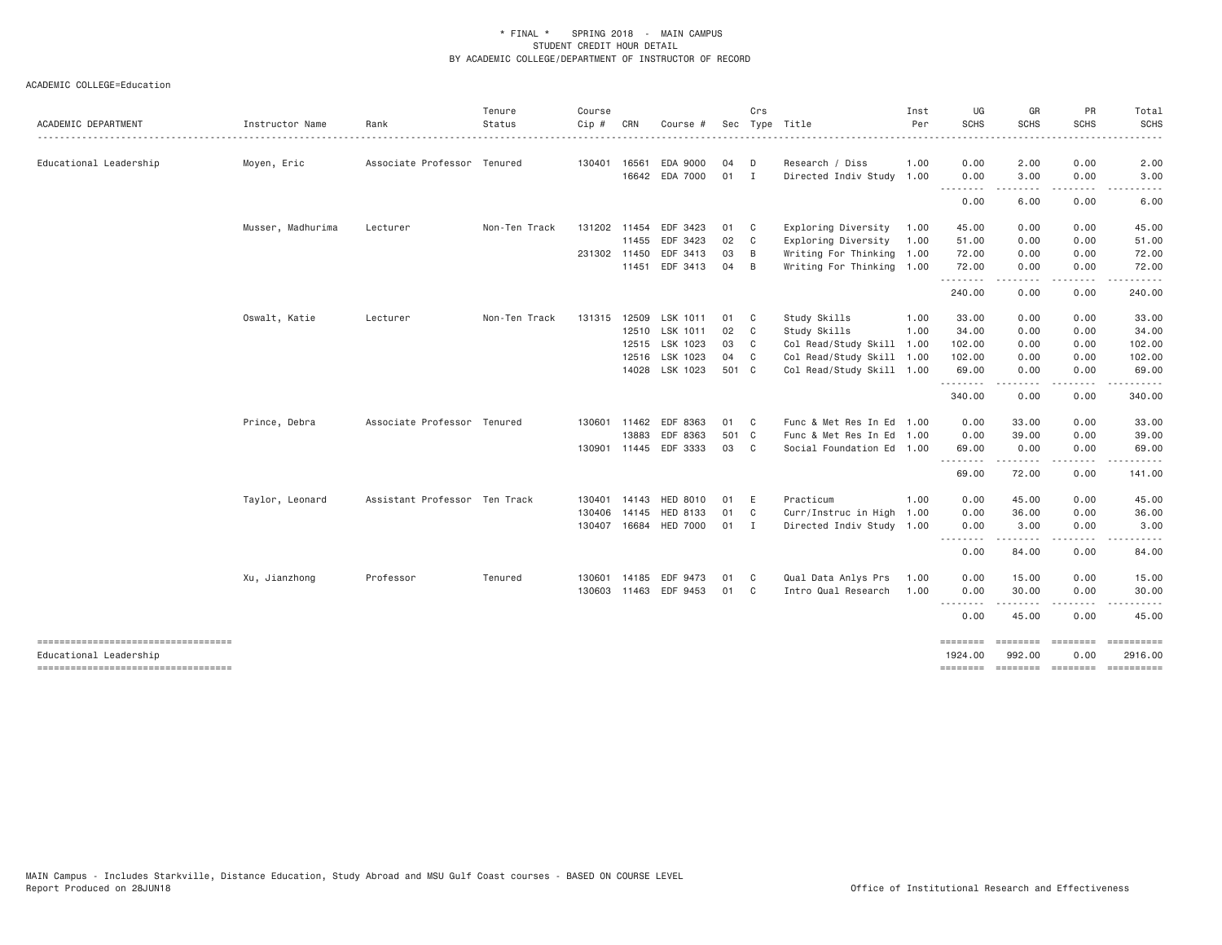|                                    |                   |                               | Tenure        | Course       |              |                       |       | Crs                     |                           | Inst | UG                                         | GR                        | PR            | Total            |
|------------------------------------|-------------------|-------------------------------|---------------|--------------|--------------|-----------------------|-------|-------------------------|---------------------------|------|--------------------------------------------|---------------------------|---------------|------------------|
| ACADEMIC DEPARTMENT                | Instructor Name   | Rank                          | Status        | $Cip$ #      | CRN          | Course #              |       |                         | Sec Type Title            | Per  | <b>SCHS</b>                                | <b>SCHS</b>               | <b>SCHS</b>   | <b>SCHS</b>      |
|                                    |                   | Associate Professor Tenured   |               | 130401 16561 |              | EDA 9000              | 04    | D                       | Research / Diss           | 1.00 | 0.00                                       |                           | 0.00          |                  |
| Educational Leadership             | Moyen, Eric       |                               |               |              | 16642        | EDA 7000              | 01 I  |                         |                           |      |                                            | 2.00<br>3.00              |               | 2.00<br>3.00     |
|                                    |                   |                               |               |              |              |                       |       |                         | Directed Indiv Study 1.00 |      | 0.00<br>.                                  | .                         | 0.00<br>.     | $- - - - -$      |
|                                    |                   |                               |               |              |              |                       |       |                         |                           |      | 0.00                                       | 6.00                      | 0.00          | 6.00             |
|                                    | Musser, Madhurima | Lecturer                      | Non-Ten Track |              | 131202 11454 | EDF 3423              | 01 C  |                         | Exploring Diversity       | 1.00 | 45.00                                      | 0.00                      | 0.00          | 45.00            |
|                                    |                   |                               |               |              | 11455        | EDF 3423              | 02 C  |                         | Exploring Diversity       | 1.00 | 51.00                                      | 0.00                      | 0.00          | 51.00            |
|                                    |                   |                               |               | 231302 11450 |              | EDF 3413              | 03    | $\overline{B}$          | Writing For Thinking 1.00 |      | 72.00                                      | 0.00                      | 0.00          | 72.00            |
|                                    |                   |                               |               |              |              | 11451 EDF 3413        | 04    | B                       | Writing For Thinking 1.00 |      | 72.00                                      | 0.00                      | 0.00          | 72.00            |
|                                    |                   |                               |               |              |              |                       |       |                         |                           |      | .<br>240.00                                | $\cdots$<br>0.00          | -----<br>0.00 | ------<br>240.00 |
|                                    | Oswalt, Katie     | Lecturer                      | Non-Ten Track | 131315       |              | 12509 LSK 1011        | 01 C  |                         | Study Skills              | 1.00 | 33.00                                      | 0.00                      | 0.00          | 33.00            |
|                                    |                   |                               |               |              |              | 12510 LSK 1011        | 02 C  |                         | Study Skills              | 1.00 | 34.00                                      | 0.00                      | 0.00          | 34.00            |
|                                    |                   |                               |               |              |              | 12515 LSK 1023        | 03    | $\mathbf{C}$            | Col Read/Study Skill      | 1.00 | 102.00                                     | 0.00                      | 0.00          | 102.00           |
|                                    |                   |                               |               |              |              | 12516 LSK 1023        | 04 C  |                         | Col Read/Study Skill 1.00 |      | 102.00                                     | 0.00                      | 0.00          | 102.00           |
|                                    |                   |                               |               |              |              | 14028 LSK 1023        | 501 C |                         | Col Read/Study Skill 1.00 |      | 69.00                                      | 0.00                      | 0.00          | 69.00            |
|                                    |                   |                               |               |              |              |                       |       |                         |                           |      | .<br>340.00                                | 0.00                      | 0.00          | 340.00           |
|                                    | Prince, Debra     | Associate Professor Tenured   |               |              | 130601 11462 | EDF 8363              | 01 C  |                         | Func & Met Res In Ed 1.00 |      | 0.00                                       | 33.00                     | 0.00          | 33.00            |
|                                    |                   |                               |               |              | 13883        | EDF 8363              | 501 C |                         | Func & Met Res In Ed 1.00 |      | 0.00                                       | 39.00                     | 0.00          | 39.00            |
|                                    |                   |                               |               |              |              | 130901 11445 EDF 3333 | 03 C  |                         | Social Foundation Ed 1.00 |      | 69.00                                      | 0.00                      | 0.00          | 69.00            |
|                                    |                   |                               |               |              |              |                       |       |                         |                           |      | --------<br>69.00                          | --------<br>72.00         | .<br>0.00     | 141.00           |
|                                    | Taylor, Leonard   | Assistant Professor Ten Track |               |              | 130401 14143 | HED 8010              | 01    | - E                     | Practicum                 | 1.00 | 0.00                                       | 45.00                     | 0.00          | 45.00            |
|                                    |                   |                               |               | 130406       | 14145        | <b>HED 8133</b>       | 01 C  |                         | Curr/Instruc in High 1.00 |      | 0.00                                       | 36.00                     | 0.00          | 36.00            |
|                                    |                   |                               |               | 130407 16684 |              | <b>HED 7000</b>       | 01 I  |                         | Directed Indiv Study 1.00 |      | 0.00                                       | 3.00                      | 0.00          | 3.00             |
|                                    |                   |                               |               |              |              |                       |       |                         |                           |      | --------<br>0.00                           | - - - - - -<br>84.00      | .<br>0.00     | 84.00            |
|                                    | Xu, Jianzhong     | Professor                     | Tenured       | 130601       | 14185        | EDF 9473              | 01    | $\mathbf{C}$            | Qual Data Anlys Prs       | 1.00 | 0.00                                       | 15.00                     | 0.00          | 15.00            |
|                                    |                   |                               |               |              | 130603 11463 | EDF 9453              | 01    | $\overline{\mathbf{C}}$ | Intro Qual Research       | 1.00 | 0.00                                       | 30.00                     | 0.00          | 30.00            |
|                                    |                   |                               |               |              |              |                       |       |                         |                           |      | $\cdots$<br>$\cdots \cdots \cdots$<br>0.00 | . <u>.</u><br>45.00       | 0.00          | 45.00            |
| ---------------------------------- |                   |                               |               |              |              |                       |       |                         |                           |      | ========                                   | ========                  | ========      | $=$ ==========   |
| Educational Leadership             |                   |                               |               |              |              |                       |       |                         |                           |      | 1924.00                                    | 992.00                    | 0.00          | 2916.00          |
| ---------------------------------- |                   |                               |               |              |              |                       |       |                         |                           |      |                                            | -------- -------- ------- |               |                  |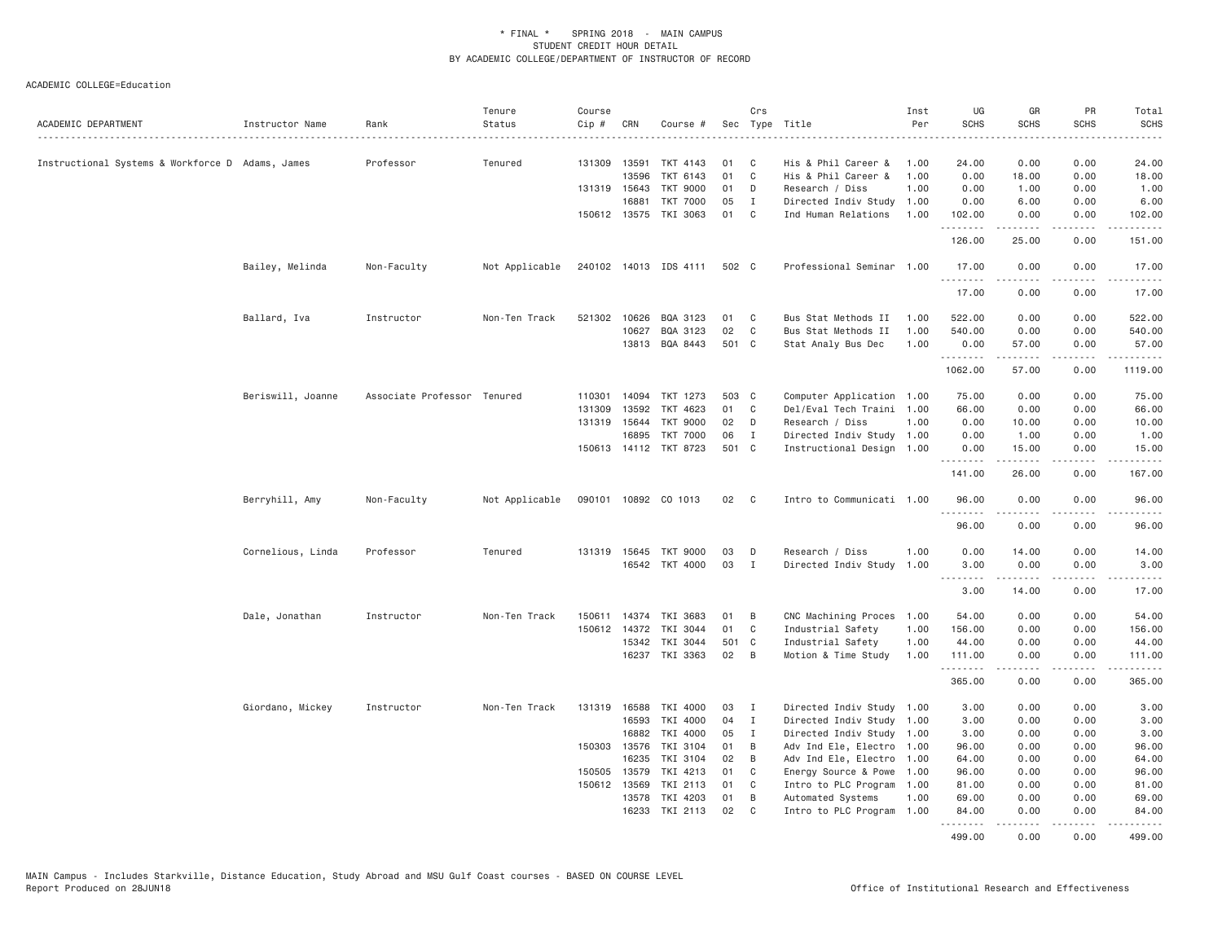| ACADEMIC DEPARTMENT                              | Instructor Name   | Rank                        | Tenure<br>Status | Course<br>Cip # | CRN          | Course #              |       | Crs          | Sec Type Title            | Inst<br>Per | UG<br><b>SCHS</b> | GR<br><b>SCHS</b>   | PR<br><b>SCHS</b>                   | Total<br><b>SCHS</b>           |
|--------------------------------------------------|-------------------|-----------------------------|------------------|-----------------|--------------|-----------------------|-------|--------------|---------------------------|-------------|-------------------|---------------------|-------------------------------------|--------------------------------|
| Instructional Systems & Workforce D Adams, James |                   | Professor                   | Tenured          | 131309 13591    |              | TKT 4143              | 01    | C            | His & Phil Career &       | 1,00        | 24.00             | 0.00                | 0.00                                | 24.00                          |
|                                                  |                   |                             |                  |                 | 13596        | TKT 6143              | 01    | C            | His & Phil Career &       | 1.00        | 0.00              | 18.00               | 0.00                                | 18.00                          |
|                                                  |                   |                             |                  |                 | 131319 15643 | <b>TKT 9000</b>       | 01    | D            | Research / Diss           | 1.00        | 0.00              | 1.00                | 0.00                                | 1.00                           |
|                                                  |                   |                             |                  |                 | 16881        | <b>TKT 7000</b>       | 05    | $\mathbf{I}$ | Directed Indiv Study      | 1.00        | 0.00              | 6.00                | 0.00                                | 6.00                           |
|                                                  |                   |                             |                  |                 | 150612 13575 | TKI 3063              | 01    | C            | Ind Human Relations       | 1.00        | 102.00<br>.       | 0.00<br>$- - - - -$ | 0.00<br>.                           | 102.00<br>$- - - - -$          |
|                                                  |                   |                             |                  |                 |              |                       |       |              |                           |             | 126.00            | 25.00               | 0.00                                | 151.00                         |
|                                                  | Bailey, Melinda   | Non-Faculty                 | Not Applicable   |                 |              | 240102 14013 IDS 4111 | 502 C |              | Professional Seminar 1.00 |             | 17.00<br>.        | 0.00<br>$- - - - -$ | 0.00<br>.                           | 17.00<br><u>.</u>              |
|                                                  |                   |                             |                  |                 |              |                       |       |              |                           |             | 17.00             | 0.00                | 0.00                                | 17.00                          |
|                                                  | Ballard, Iva      | Instructor                  | Non-Ten Track    |                 | 521302 10626 | BQA 3123              | 01    | C            | Bus Stat Methods II       | 1.00        | 522.00            | 0.00                | 0.00                                | 522.00                         |
|                                                  |                   |                             |                  |                 | 10627        | BQA 3123              | 02    | $\mathbb C$  | Bus Stat Methods II       | 1.00        | 540.00            | 0.00                | 0.00                                | 540.00                         |
|                                                  |                   |                             |                  |                 |              | 13813 BQA 8443        | 501 C |              | Stat Analy Bus Dec        | 1.00        | 0.00<br>.         | 57.00<br>.          | 0.00<br>.                           | 57.00<br>.                     |
|                                                  |                   |                             |                  |                 |              |                       |       |              |                           |             | 1062.00           | 57.00               | 0.00                                | 1119.00                        |
|                                                  | Beriswill, Joanne | Associate Professor Tenured |                  | 110301          | 14094        | TKT 1273              | 503 C |              | Computer Application 1.00 |             | 75.00             | 0.00                | 0.00                                | 75.00                          |
|                                                  |                   |                             |                  | 131309          | 13592        | TKT 4623              | 01    | C            | Del/Eval Tech Traini 1.00 |             | 66.00             | 0.00                | 0.00                                | 66.00                          |
|                                                  |                   |                             |                  |                 | 131319 15644 | <b>TKT 9000</b>       | 02    | D            | Research / Diss           | 1.00        | 0.00              | 10.00               | 0.00                                | 10.00                          |
|                                                  |                   |                             |                  |                 | 16895        | <b>TKT 7000</b>       | 06    | $\mathbf{I}$ | Directed Indiv Study 1.00 |             | 0.00              | 1.00                | 0.00                                | 1.00                           |
|                                                  |                   |                             |                  |                 |              | 150613 14112 TKT 8723 | 501 C |              | Instructional Design 1.00 |             | 0.00<br>.         | 15.00<br>.          | 0.00<br>.                           | 15.00<br>.                     |
|                                                  |                   |                             |                  |                 |              |                       |       |              |                           |             | 141.00            | 26.00               | 0.00                                | 167.00                         |
|                                                  | Berryhill, Amy    | Non-Faculty                 | Not Applicable   |                 |              | 090101 10892 CO 1013  | 02    | $\mathbf{C}$ | Intro to Communicati 1.00 |             | 96.00             | 0.00                | 0.00<br>$\sim$ $\sim$ $\sim$ $\sim$ | 96.00                          |
|                                                  |                   |                             |                  |                 |              |                       |       |              |                           |             | 96.00             | 0.00                | 0.00                                | 96.00                          |
|                                                  | Cornelious, Linda | Professor                   | Tenured          |                 | 131319 15645 | <b>TKT 9000</b>       | 03    | D            | Research / Diss           | 1.00        | 0.00              | 14.00               | 0.00                                | 14.00                          |
|                                                  |                   |                             |                  |                 |              | 16542 TKT 4000        | 03    | $\mathbf{I}$ | Directed Indiv Study      | 1.00        | 3.00              | 0.00                | 0.00                                | 3.00                           |
|                                                  |                   |                             |                  |                 |              |                       |       |              |                           |             |                   | .                   | .                                   | .                              |
|                                                  |                   |                             |                  |                 |              |                       |       |              |                           |             | 3.00              | 14.00               | 0.00                                | 17.00                          |
|                                                  | Dale, Jonathan    | Instructor                  | Non-Ten Track    | 150611          | 14374        | TKI 3683              | 01    | B            | CNC Machining Proces      | 1.00        | 54.00             | 0.00                | 0.00                                | 54.00                          |
|                                                  |                   |                             |                  |                 | 150612 14372 | TKI 3044              | 01    | C            | Industrial Safety         | 1.00        | 156.00            | 0.00                | 0.00                                | 156.00                         |
|                                                  |                   |                             |                  |                 | 15342        | TKI 3044              | 501 C |              | Industrial Safety         | 1.00        | 44.00             | 0.00                | 0.00                                | 44.00                          |
|                                                  |                   |                             |                  |                 |              | 16237 TKI 3363        | 02    | B            | Motion & Time Study       | 1.00        | 111.00<br>.       | 0.00<br>.           | 0.00                                | 111.00<br>$\omega$ is a set of |
|                                                  |                   |                             |                  |                 |              |                       |       |              |                           |             | 365.00            | 0.00                | 0.00                                | 365.00                         |
|                                                  | Giordano, Mickey  | Instructor                  | Non-Ten Track    |                 | 131319 16588 | TKI 4000              | 03    | Ι            | Directed Indiv Study 1.00 |             | 3.00              | 0.00                | 0.00                                | 3.00                           |
|                                                  |                   |                             |                  |                 | 16593        | TKI 4000              | 04    | $\mathbf{I}$ | Directed Indiv Study 1.00 |             | 3.00              | 0.00                | 0.00                                | 3.00                           |
|                                                  |                   |                             |                  |                 | 16882        | TKI 4000              | 05    | I            | Directed Indiv Study 1.00 |             | 3.00              | 0.00                | 0.00                                | 3.00                           |
|                                                  |                   |                             |                  |                 | 150303 13576 | TKI 3104              | 01    | B            | Adv Ind Ele, Electro 1.00 |             | 96.00             | 0.00                | 0.00                                | 96.00                          |
|                                                  |                   |                             |                  |                 | 16235        | TKI 3104              | 02    | B            | Adv Ind Ele, Electro      | 1.00        | 64.00             | 0.00                | 0.00                                | 64.00                          |
|                                                  |                   |                             |                  | 150505          | 13579        | TKI 4213              | 01    | C            | Energy Source & Powe      | 1.00        | 96.00             | 0.00                | 0.00                                | 96.00                          |
|                                                  |                   |                             |                  |                 | 150612 13569 | TKI 2113              | 01    | C            | Intro to PLC Program      | 1.00        | 81.00             | 0.00                | 0.00                                | 81.00                          |
|                                                  |                   |                             |                  |                 | 13578        | TKI 4203              | 01    | B            | Automated Systems         | 1.00        | 69.00             | 0.00                | 0.00                                | 69.00                          |
|                                                  |                   |                             |                  |                 | 16233        | TKI 2113              | 02    | C            | Intro to PLC Program      | 1.00        | 84.00<br>.        | 0.00                | 0.00<br>.                           | 84.00                          |
|                                                  |                   |                             |                  |                 |              |                       |       |              |                           |             | 499.00            | 0.00                | 0.00                                | 499.00                         |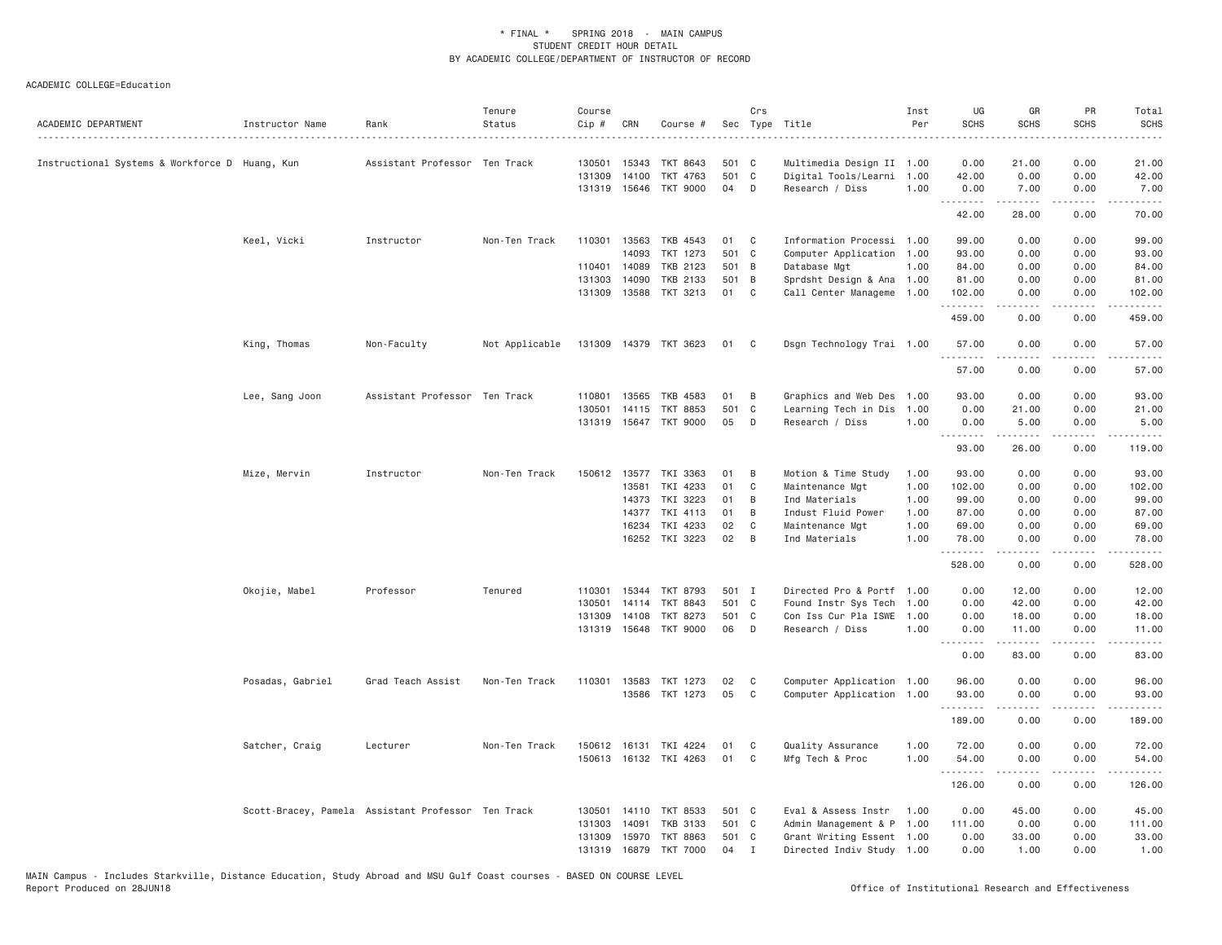| ACADEMIC DEPARTMENT                            | Instructor Name  | Rank                                               | Tenure<br>Status | Course<br>Cip #  | CRN            | Course #              |       | Crs          | Sec Type Title            | Inst<br>Per | UG<br><b>SCHS</b>                 | GR<br><b>SCHS</b>                                                                                                                                             | PR<br><b>SCHS</b>    | Total<br><b>SCHS</b> |
|------------------------------------------------|------------------|----------------------------------------------------|------------------|------------------|----------------|-----------------------|-------|--------------|---------------------------|-------------|-----------------------------------|---------------------------------------------------------------------------------------------------------------------------------------------------------------|----------------------|----------------------|
| Instructional Systems & Workforce D Huang, Kun |                  | Assistant Professor Ten Track                      |                  | 130501           | 15343          | <b>TKT 8643</b>       | 501 C |              | Multimedia Design II 1.00 |             | 0.00                              | 21.00                                                                                                                                                         | 0.00                 | 21.00                |
|                                                |                  |                                                    |                  | 131309           | 14100          | TKT 4763              | 501 C |              | Digital Tools/Learni 1.00 |             | 42.00                             | 0.00                                                                                                                                                          | 0.00                 | 42.00                |
|                                                |                  |                                                    |                  | 131319 15646     |                | <b>TKT 9000</b>       | 04    | D            | Research / Diss           | 1.00        | 0.00                              | 7.00                                                                                                                                                          | 0.00                 | 7.00                 |
|                                                |                  |                                                    |                  |                  |                |                       |       |              |                           |             | .<br>42.00                        | $\frac{1}{2} \left( \frac{1}{2} \right) \left( \frac{1}{2} \right) \left( \frac{1}{2} \right) \left( \frac{1}{2} \right) \left( \frac{1}{2} \right)$<br>28.00 | المالم عامات<br>0.00 | .<br>70.00           |
|                                                | Keel, Vicki      | Instructor                                         | Non-Ten Track    | 110301           | 13563          | TKB 4543              | 01    | C            | Information Processi 1.00 |             | 99.00                             | 0.00                                                                                                                                                          | 0.00                 | 99.00                |
|                                                |                  |                                                    |                  |                  | 14093          | TKT 1273              | 501 C |              | Computer Application 1.00 |             | 93.00                             | 0.00                                                                                                                                                          | 0.00                 | 93.00                |
|                                                |                  |                                                    |                  | 110401 14089     |                | TKB 2123              | 501 B |              | Database Mgt              | 1.00        | 84.00                             | 0.00                                                                                                                                                          | 0.00                 | 84.00                |
|                                                |                  |                                                    |                  | 131303           | 14090          | TKB 2133              | 501 B |              | Sprdsht Design & Ana 1.00 |             | 81.00                             | 0.00                                                                                                                                                          | 0.00                 | 81.00                |
|                                                |                  |                                                    |                  | 131309 13588     |                | TKT 3213              | 01    | C            | Call Center Manageme 1.00 |             | 102.00<br>.                       | 0.00<br>-----                                                                                                                                                 | 0.00<br>.            | 102.00<br>.          |
|                                                |                  |                                                    |                  |                  |                |                       |       |              |                           |             | 459.00                            | 0.00                                                                                                                                                          | 0.00                 | 459.00               |
|                                                | King, Thomas     | Non-Faculty                                        | Not Applicable   |                  |                | 131309 14379 TKT 3623 | 01    | C            | Dsgn Technology Trai 1.00 |             | 57.00<br>.                        | 0.00<br>$\frac{1}{2} \left( \frac{1}{2} \right) \left( \frac{1}{2} \right) \left( \frac{1}{2} \right) \left( \frac{1}{2} \right) \left( \frac{1}{2} \right)$  | 0.00                 | 57.00<br>.           |
|                                                |                  |                                                    |                  |                  |                |                       |       |              |                           |             | 57.00                             | 0.00                                                                                                                                                          | 0.00                 | 57.00                |
|                                                | Lee, Sang Joon   | Assistant Professor Ten Track                      |                  | 110801           | 13565          | TKB 4583              | 01    | B            | Graphics and Web Des      | 1.00        | 93.00                             | 0.00                                                                                                                                                          | 0.00                 | 93.00                |
|                                                |                  |                                                    |                  |                  |                | <b>TKT 8853</b>       | 501   | $\mathbf{C}$ | Learning Tech in Dis      | 1.00        | 0.00                              | 21.00                                                                                                                                                         | 0.00                 | 21.00                |
|                                                |                  |                                                    |                  | 130501<br>131319 | 14115<br>15647 | TKT 9000              | 05    | D            | Research / Diss           | 1.00        | 0.00                              | 5.00                                                                                                                                                          | 0.00                 | 5.00                 |
|                                                |                  |                                                    |                  |                  |                |                       |       |              |                           |             | .                                 | $- - - - -$                                                                                                                                                   | .                    | .                    |
|                                                |                  |                                                    |                  |                  |                |                       |       |              |                           |             | 93.00                             | 26.00                                                                                                                                                         | 0.00                 | 119.00               |
|                                                | Mize, Mervin     | Instructor                                         | Non-Ten Track    | 150612 13577     |                | TKI 3363              | 01    | B            | Motion & Time Study       | 1.00        | 93.00                             | 0.00                                                                                                                                                          | 0.00                 | 93.00                |
|                                                |                  |                                                    |                  |                  | 13581          | TKI 4233              | 01    | C            | Maintenance Mgt           | 1.00        | 102.00                            | 0.00                                                                                                                                                          | 0.00                 | 102.00               |
|                                                |                  |                                                    |                  |                  | 14373          | TKI 3223              | 01    | B            | Ind Materials             | 1.00        | 99.00                             | 0.00                                                                                                                                                          | 0.00                 | 99.00                |
|                                                |                  |                                                    |                  |                  | 14377          | TKI 4113              | 01    | B            | Indust Fluid Power        | 1.00        | 87.00                             | 0.00                                                                                                                                                          | 0.00                 | 87.00                |
|                                                |                  |                                                    |                  |                  | 16234          | TKI 4233              | 02    | C            | Maintenance Mgt           | 1.00        | 69,00                             | 0.00                                                                                                                                                          | 0.00                 | 69.00                |
|                                                |                  |                                                    |                  |                  | 16252          | TKI 3223              | 02    | B            | Ind Materials             | 1.00        | 78.00<br>.                        | 0.00<br>.                                                                                                                                                     | 0.00<br>د د د د      | 78.00                |
|                                                |                  |                                                    |                  |                  |                |                       |       |              |                           |             | 528.00                            | 0.00                                                                                                                                                          | 0.00                 | 528.00               |
|                                                | Okojie, Mabel    | Professor                                          | Tenured          | 110301           | 15344          | TKT 8793              | 501 I |              | Directed Pro & Portf      | 1.00        | 0.00                              | 12.00                                                                                                                                                         | 0.00                 | 12.00                |
|                                                |                  |                                                    |                  | 130501           | 14114          | <b>TKT 8843</b>       | 501 C |              | Found Instr Sys Tech      | 1.00        | 0.00                              | 42.00                                                                                                                                                         | 0.00                 | 42.00                |
|                                                |                  |                                                    |                  | 131309           | 14108          | TKT 8273              | 501 C |              | Con Iss Cur Pla ISWE      | 1.00        | 0.00                              | 18.00                                                                                                                                                         | 0.00                 | 18.00                |
|                                                |                  |                                                    |                  |                  |                | 131319 15648 TKT 9000 | 06    | D            | Research / Diss           | 1,00        | 0.00<br>.<br>$\sim$ $\sim$ $\sim$ | 11.00<br>$-$ - - - - $-$                                                                                                                                      | 0.00<br>.            | 11.00<br>.           |
|                                                |                  |                                                    |                  |                  |                |                       |       |              |                           |             | 0.00                              | 83.00                                                                                                                                                         | 0.00                 | 83.00                |
|                                                | Posadas, Gabriel | Grad Teach Assist                                  | Non-Ten Track    | 110301 13583     |                | TKT 1273              | 02    | C            | Computer Application 1.00 |             | 96.00                             | 0.00                                                                                                                                                          | 0.00                 | 96.00                |
|                                                |                  |                                                    |                  |                  | 13586          | TKT 1273              | 05    | C            | Computer Application 1.00 |             | 93.00                             | 0.00                                                                                                                                                          | 0.00                 | 93.00                |
|                                                |                  |                                                    |                  |                  |                |                       |       |              |                           |             | .                                 | - - - - -                                                                                                                                                     | .                    | .                    |
|                                                |                  |                                                    |                  |                  |                |                       |       |              |                           |             | 189.00                            | 0.00                                                                                                                                                          | 0.00                 | 189.00               |
|                                                | Satcher, Craig   | Lecturer                                           | Non-Ten Track    | 150612 16131     |                | TKI 4224              | 01    | C            | Quality Assurance         | 1.00        | 72.00                             | 0.00                                                                                                                                                          | 0.00                 | 72.00                |
|                                                |                  |                                                    |                  |                  |                | 150613 16132 TKI 4263 | 01    | C            | Mfg Tech & Proc           | 1.00        | 54.00<br>.                        | 0.00<br>$\omega$ is $\omega$ in $\omega$                                                                                                                      | 0.00<br>.            | 54.00                |
|                                                |                  |                                                    |                  |                  |                |                       |       |              |                           |             | 126.00                            | 0.00                                                                                                                                                          | 0.00                 | .<br>126.00          |
|                                                |                  | Scott-Bracey, Pamela Assistant Professor Ten Track |                  | 130501           | 14110          | TKT 8533              | 501 C |              | Eval & Assess Instr       | 1.00        | 0.00                              | 45.00                                                                                                                                                         | 0.00                 | 45.00                |
|                                                |                  |                                                    |                  | 131303           | 14091          | <b>TKB 3133</b>       | 501 C |              | Admin Management & P 1.00 |             | 111.00                            | 0.00                                                                                                                                                          | 0.00                 | 111.00               |
|                                                |                  |                                                    |                  | 131309           | 15970          | TKT 8863              | 501 C |              | Grant Writing Essent 1.00 |             | 0.00                              | 33.00                                                                                                                                                         | 0.00                 | 33.00                |
|                                                |                  |                                                    |                  | 131319           | 16879          | <b>TKT 7000</b>       | 04    | $\mathbf I$  | Directed Indiv Study 1.00 |             | 0.00                              | 1.00                                                                                                                                                          | 0.00                 | 1.00                 |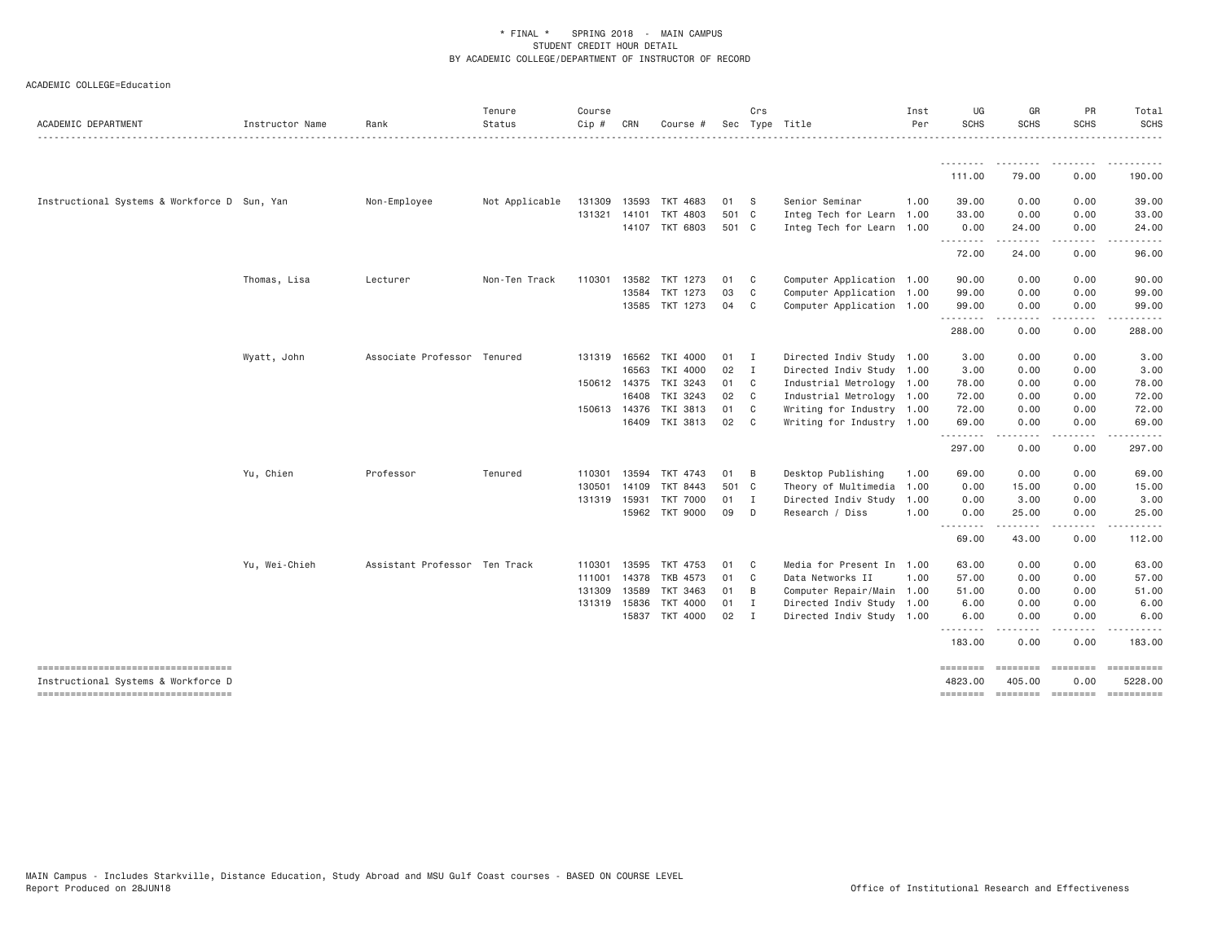| ACADEMIC DEPARTMENT                          | Instructor Name | Rank                          | Tenure<br>Status<br>. | Course<br>Cip # | CRN          | Course #                   |                | Crs            | Sec Type Title                                         | Inst<br>Per | UG<br><b>SCHS</b>   | GR<br><b>SCHS</b>  | PR<br><b>SCHS</b>                                                                                                                            | Total<br><b>SCHS</b><br>. |
|----------------------------------------------|-----------------|-------------------------------|-----------------------|-----------------|--------------|----------------------------|----------------|----------------|--------------------------------------------------------|-------------|---------------------|--------------------|----------------------------------------------------------------------------------------------------------------------------------------------|---------------------------|
|                                              |                 |                               |                       |                 |              |                            |                |                |                                                        |             | <u>.</u>            | .                  | ---------                                                                                                                                    | .                         |
|                                              |                 |                               |                       |                 |              |                            |                |                |                                                        |             | 111,00              | 79.00              | 0.00                                                                                                                                         | 190.00                    |
| Instructional Systems & Workforce D Sun, Yan |                 | Non-Employee                  | Not Applicable        | 131309          | 13593        | TKT 4683                   | 01             | - S            | Senior Seminar                                         | 1,00        | 39,00               | 0.00               | 0.00                                                                                                                                         | 39.00                     |
|                                              |                 |                               |                       | 131321          | 14101        | TKT 4803<br>14107 TKT 6803 | 501 C<br>501 C |                | Integ Tech for Learn 1.00<br>Integ Tech for Learn 1.00 |             | 33.00<br>0.00       | 0.00<br>24.00      | 0.00<br>0.00                                                                                                                                 | 33.00<br>24.00            |
|                                              |                 |                               |                       |                 |              |                            |                |                |                                                        |             | .<br>72.00          | .<br>24.00         | $\mathcal{L}^{\mathcal{A}}\left( \mathcal{A}^{\mathcal{A}}\right) =\mathcal{L}^{\mathcal{A}}\left( \mathcal{A}^{\mathcal{A}}\right)$<br>0.00 | .<br>96.00                |
|                                              |                 |                               |                       |                 |              |                            |                |                |                                                        |             |                     |                    |                                                                                                                                              |                           |
|                                              | Thomas, Lisa    | Lecturer                      | Non-Ten Track         | 110301          |              | 13582 TKT 1273             | 01             | C.             | Computer Application 1.00                              |             | 90.00               | 0.00               | 0.00                                                                                                                                         | 90.00                     |
|                                              |                 |                               |                       |                 |              | 13584 TKT 1273             | 03             | C              | Computer Application 1.00                              |             | 99.00               | 0.00               | 0.00                                                                                                                                         | 99.00                     |
|                                              |                 |                               |                       |                 |              | 13585 TKT 1273             | 04             | C.             | Computer Application 1.00                              |             | 99.00<br>.          | 0.00<br>.          | 0.00<br>.                                                                                                                                    | 99.00<br><u>.</u>         |
|                                              |                 |                               |                       |                 |              |                            |                |                |                                                        |             | 288.00              | 0.00               | 0.00                                                                                                                                         | 288.00                    |
|                                              | Wyatt, John     | Associate Professor Tenured   |                       |                 | 131319 16562 | TKI 4000                   | 01             | $\blacksquare$ | Directed Indiv Study 1.00                              |             | 3.00                | 0.00               | 0.00                                                                                                                                         | 3.00                      |
|                                              |                 |                               |                       |                 | 16563        | TKI 4000                   | 02             | $\mathbf I$    | Directed Indiv Study 1.00                              |             | 3.00                | 0.00               | 0.00                                                                                                                                         | 3.00                      |
|                                              |                 |                               |                       |                 | 150612 14375 | TKI 3243                   | 01             | $\mathbf{C}$   | Industrial Metrology 1.00                              |             | 78.00               | 0.00               | 0.00                                                                                                                                         | 78.00                     |
|                                              |                 |                               |                       |                 | 16408        | TKI 3243                   | 02             | C              | Industrial Metrology 1.00                              |             | 72.00               | 0.00               | 0.00                                                                                                                                         | 72.00                     |
|                                              |                 |                               |                       |                 | 150613 14376 | TKI 3813                   | 01             | C              | Writing for Industry 1.00                              |             | 72.00               | 0.00               | 0.00                                                                                                                                         | 72.00                     |
|                                              |                 |                               |                       |                 |              | 16409 TKI 3813             | 02             | C              | Writing for Industry 1.00                              |             | 69.00<br>.          | 0.00<br>.          | 0.00<br>.                                                                                                                                    | 69.00<br>.                |
|                                              |                 |                               |                       |                 |              |                            |                |                |                                                        |             | 297.00              | 0.00               | 0.00                                                                                                                                         | 297.00                    |
|                                              | Yu, Chien       | Professor                     | Tenured               | 110301          |              | 13594 TKT 4743             | 01             | B              | Desktop Publishing                                     | 1.00        | 69.00               | 0.00               | 0.00                                                                                                                                         | 69.00                     |
|                                              |                 |                               |                       | 130501          | 14109        | TKT 8443                   | 501            | $\mathbf{C}$   | Theory of Multimedia                                   | 1,00        | 0.00                | 15.00              | 0.00                                                                                                                                         | 15.00                     |
|                                              |                 |                               |                       | 131319          | 15931        | <b>TKT 7000</b>            | 01             | I              | Directed Indiv Study                                   | 1.00        | 0.00                | 3.00               | 0.00                                                                                                                                         | 3.00                      |
|                                              |                 |                               |                       |                 |              | 15962 TKT 9000             | 09             | D              | Research / Diss                                        | 1.00        | 0.00<br>.           | 25.00<br>.         | 0.00<br>.                                                                                                                                    | 25.00<br>.                |
|                                              |                 |                               |                       |                 |              |                            |                |                |                                                        |             | 69.00               | 43.00              | 0.00                                                                                                                                         | 112,00                    |
|                                              | Yu, Wei-Chieh   | Assistant Professor Ten Track |                       | 110301          | 13595        | TKT 4753                   | 01             | C.             | Media for Present In 1.00                              |             | 63.00               | 0.00               | 0.00                                                                                                                                         | 63.00                     |
|                                              |                 |                               |                       | 111001          |              | 14378 TKB 4573             | 01             | C              | Data Networks II                                       | 1.00        | 57.00               | 0.00               | 0.00                                                                                                                                         | 57.00                     |
|                                              |                 |                               |                       | 131309          | 13589        | TKT 3463                   | 01             | B              | Computer Repair/Main 1.00                              |             | 51.00               | 0.00               | 0.00                                                                                                                                         | 51.00                     |
|                                              |                 |                               |                       | 131319          | 15836        | <b>TKT 4000</b>            | 01             | $\mathbf{I}$   | Directed Indiv Study 1.00                              |             | 6.00                | 0.00               | 0.00                                                                                                                                         | 6.00                      |
|                                              |                 |                               |                       |                 |              | 15837 TKT 4000             | 02             | I              | Directed Indiv Study 1.00                              |             | 6.00<br><u>.</u>    | 0.00<br>.          | 0.00<br>.                                                                                                                                    | 6.00<br>.                 |
|                                              |                 |                               |                       |                 |              |                            |                |                |                                                        |             | 183.00              | 0.00               | 0.00                                                                                                                                         | 183,00                    |
| Instructional Systems & Workforce D          |                 |                               |                       |                 |              |                            |                |                |                                                        |             | ========<br>4823.00 | 405.00             | $\qquad \qquad \equiv \equiv \equiv \equiv \equiv \equiv \equiv \equiv$<br>0.00                                                              | 5228.00                   |
| -----------------------------------          |                 |                               |                       |                 |              |                            |                |                |                                                        |             | ========            | --------- -------- |                                                                                                                                              |                           |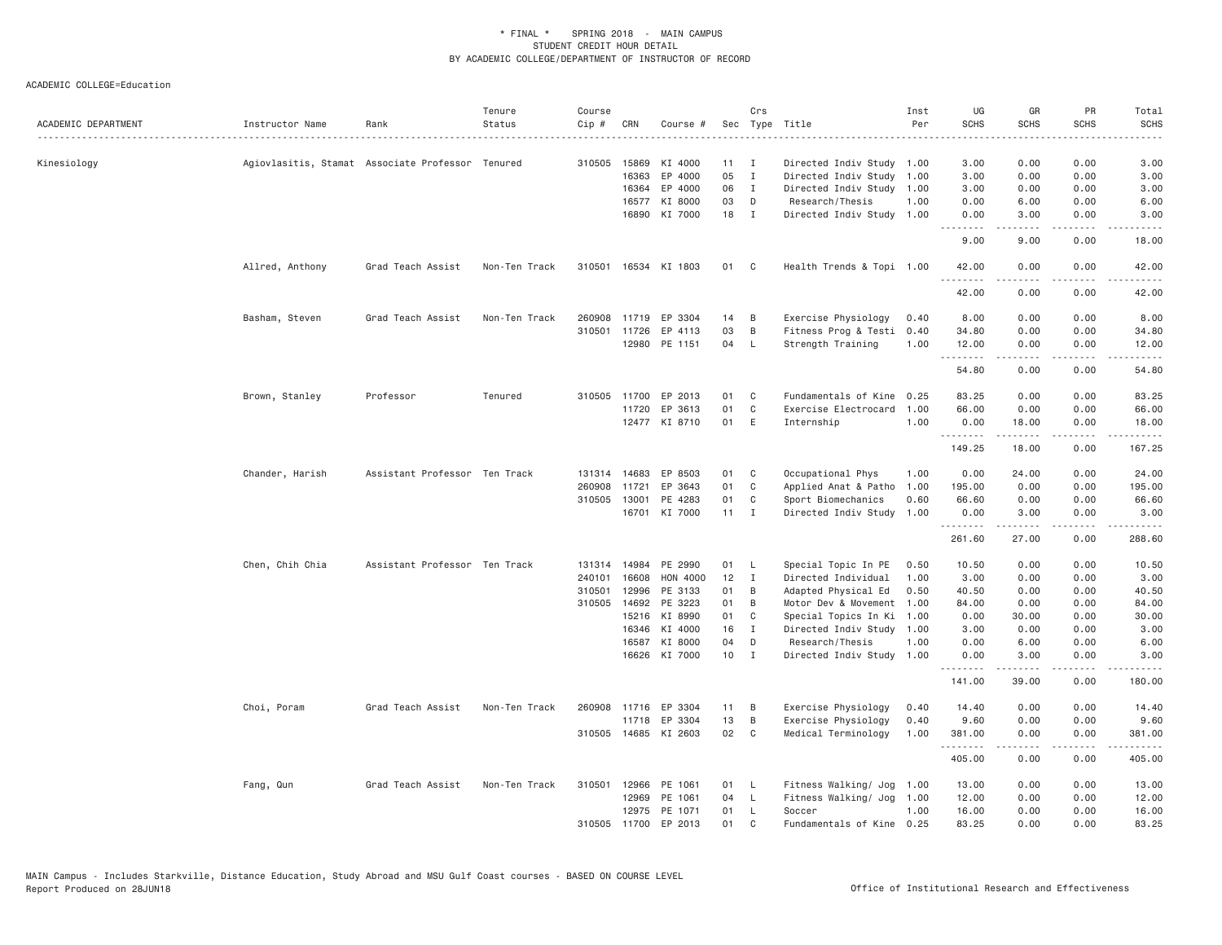| ACADEMIC DEPARTMENT | Instructor Name | Rank                                             | Tenure<br>Status | Course<br>Cip # | CRN          | Course #             |                 | Crs            | Sec Type Title            | Inst<br>Per | UG<br><b>SCHS</b>            | GR<br><b>SCHS</b>   | PR<br><b>SCHS</b>                                                                                                                 | Total<br><b>SCHS</b>   |
|---------------------|-----------------|--------------------------------------------------|------------------|-----------------|--------------|----------------------|-----------------|----------------|---------------------------|-------------|------------------------------|---------------------|-----------------------------------------------------------------------------------------------------------------------------------|------------------------|
| Kinesiology         |                 | Agiovlasitis, Stamat Associate Professor Tenured |                  |                 | 310505 15869 | KI 4000              | 11              | $\mathbf{I}$   | Directed Indiv Study 1.00 |             | 3.00                         | 0.00                | 0.00                                                                                                                              | 3.00                   |
|                     |                 |                                                  |                  |                 | 16363        | EP 4000              | 05              | $\mathbf{I}$   | Directed Indiv Study 1.00 |             | 3.00                         | 0.00                | 0.00                                                                                                                              | 3.00                   |
|                     |                 |                                                  |                  |                 | 16364        | EP 4000              | 06              | I              | Directed Indiv Study 1.00 |             | 3.00                         | 0.00                | 0.00                                                                                                                              | 3.00                   |
|                     |                 |                                                  |                  |                 | 16577        | KI 8000              | 03              | D              | Research/Thesis           | 1.00        | 0.00                         | 6.00                | 0.00                                                                                                                              | 6.00                   |
|                     |                 |                                                  |                  |                 | 16890        | KI 7000              | 18              | $\mathbf{I}$   | Directed Indiv Study 1.00 |             | 0.00<br>$\sim$ $\sim$ $\sim$ | 3.00<br>.           | 0.00<br>$- - - -$                                                                                                                 | 3.00<br>$\cdots$       |
|                     |                 |                                                  |                  |                 |              |                      |                 |                |                           |             | 9.00                         | 9.00                | 0.00                                                                                                                              | 18.00                  |
|                     | Allred, Anthony | Grad Teach Assist                                | Non-Ten Track    |                 |              | 310501 16534 KI 1803 | 01 C            |                | Health Trends & Topi 1.00 |             | 42.00<br>.                   | 0.00                | 0.00                                                                                                                              | 42.00                  |
|                     |                 |                                                  |                  |                 |              |                      |                 |                |                           |             | 42.00                        | 0.00                | 0.00                                                                                                                              | 42.00                  |
|                     | Basham, Steven  | Grad Teach Assist                                | Non-Ten Track    | 260908          | 11719        | EP 3304              | 14              | B              | Exercise Physiology       | 0.40        | 8.00                         | 0.00                | 0.00                                                                                                                              | 8.00                   |
|                     |                 |                                                  |                  | 310501          | 11726        | EP 4113              | 03              | B              | Fitness Prog & Testi      | 0.40        | 34.80                        | 0.00                | 0.00                                                                                                                              | 34.80                  |
|                     |                 |                                                  |                  |                 |              | 12980 PE 1151        | 04              | - L            | Strength Training         | 1.00        | 12.00<br>.                   | 0.00<br>$- - - - -$ | 0.00<br>.                                                                                                                         | 12.00<br>.             |
|                     |                 |                                                  |                  |                 |              |                      |                 |                |                           |             | 54.80                        | 0.00                | 0.00                                                                                                                              | 54.80                  |
|                     | Brown, Stanley  | Professor                                        | Tenured          |                 | 310505 11700 | EP 2013              | 01              | C              | Fundamentals of Kine      | 0.25        | 83.25                        | 0.00                | 0.00                                                                                                                              | 83.25                  |
|                     |                 |                                                  |                  |                 | 11720        | EP 3613              | 01              | $\mathbf c$    | Exercise Electrocard      | 1.00        | 66.00                        | 0.00                | 0.00                                                                                                                              | 66.00                  |
|                     |                 |                                                  |                  |                 |              | 12477 KI 8710        | 01 E            |                | Internship                | 1.00        | 0.00<br>.                    | 18.00<br>.          | 0.00<br>.                                                                                                                         | 18.00<br>$- - - - - -$ |
|                     |                 |                                                  |                  |                 |              |                      |                 |                |                           |             | 149.25                       | 18.00               | 0.00                                                                                                                              | 167.25                 |
|                     | Chander, Harish | Assistant Professor Ten Track                    |                  |                 | 131314 14683 | EP 8503              | 01              | C              | Occupational Phys         | 1.00        | 0.00                         | 24.00               | 0.00                                                                                                                              | 24.00                  |
|                     |                 |                                                  |                  | 260908          | 11721        | EP 3643              | 01              | $\mathbf{C}$   | Applied Anat & Patho      | 1.00        | 195.00                       | 0.00                | 0.00                                                                                                                              | 195.00                 |
|                     |                 |                                                  |                  |                 | 310505 13001 | PE 4283              | 01              | C              | Sport Biomechanics        | 0.60        | 66.60                        | 0.00                | 0.00                                                                                                                              | 66.60                  |
|                     |                 |                                                  |                  |                 |              | 16701 KI 7000        | $11 \quad I$    |                | Directed Indiv Study      | 1.00        | 0.00<br>.                    | 3.00                | 0.00<br>$\sim$ $\sim$ $\sim$ $\sim$                                                                                               | 3.00                   |
|                     |                 |                                                  |                  |                 |              |                      |                 |                |                           |             | 261.60                       | 27.00               | 0.00                                                                                                                              | 288.60                 |
|                     | Chen, Chih Chia | Assistant Professor Ten Track                    |                  | 131314          | 14984        | PE 2990              | 01              | - L            | Special Topic In PE       | 0.50        | 10.50                        | 0.00                | 0.00                                                                                                                              | 10.50                  |
|                     |                 |                                                  |                  | 240101          | 16608        | <b>HON 4000</b>      | 12 <sup>2</sup> | $\blacksquare$ | Directed Individual       | 1.00        | 3.00                         | 0.00                | 0.00                                                                                                                              | 3.00                   |
|                     |                 |                                                  |                  | 310501          | 12996        | PE 3133              | 01              | B              | Adapted Physical Ed       | 0.50        | 40.50                        | 0.00                | 0.00                                                                                                                              | 40.50                  |
|                     |                 |                                                  |                  | 310505          | 14692        | PE 3223              | 01              | B              | Motor Dev & Movement      | 1.00        | 84.00                        | 0.00                | 0.00                                                                                                                              | 84.00                  |
|                     |                 |                                                  |                  |                 | 15216        | KI 8990              | 01              | C              | Special Topics In Ki      | 1.00        | 0.00                         | 30.00               | 0.00                                                                                                                              | 30.00                  |
|                     |                 |                                                  |                  |                 | 16346        | KI 4000              | 16              | $\mathbf{I}$   | Directed Indiv Study 1.00 |             | 3.00                         | 0.00                | 0.00                                                                                                                              | 3.00                   |
|                     |                 |                                                  |                  |                 | 16587        | KI 8000              | 04              | D              | Research/Thesis           | 1.00        | 0.00                         | 6.00                | 0.00                                                                                                                              | 6.00                   |
|                     |                 |                                                  |                  |                 |              | 16626 KI 7000        | $10$ I          |                | Directed Indiv Study      | 1.00        | 0.00<br>.                    | 3.00                | 0.00<br>$\frac{1}{2} \left( \frac{1}{2} \right) \left( \frac{1}{2} \right) \left( \frac{1}{2} \right) \left( \frac{1}{2} \right)$ | 3.00                   |
|                     |                 |                                                  |                  |                 |              |                      |                 |                |                           |             | 141.00                       | 39.00               | 0.00                                                                                                                              | 180.00                 |
|                     | Choi, Poram     | Grad Teach Assist                                | Non-Ten Track    | 260908          | 11716        | EP 3304              | 11              | B              | Exercise Physiology       | 0.40        | 14.40                        | 0.00                | 0.00                                                                                                                              | 14.40                  |
|                     |                 |                                                  |                  |                 |              | 11718 EP 3304        | 13              | B              | Exercise Physiology       | 0.40        | 9.60                         | 0.00                | 0.00                                                                                                                              | 9.60                   |
|                     |                 |                                                  |                  |                 |              | 310505 14685 KI 2603 | 02              | $\mathbf{C}$   | Medical Terminology       | 1.00        | 381.00<br>.                  | 0.00                | 0.00<br>.                                                                                                                         | 381.00                 |
|                     |                 |                                                  |                  |                 |              |                      |                 |                |                           |             | 405.00                       | 0.00                | 0.00                                                                                                                              | 405.00                 |
|                     | Fang, Qun       | Grad Teach Assist                                | Non-Ten Track    | 310501          | 12966        | PE 1061              | 01              | <b>L</b>       | Fitness Walking/ Jog      | 1.00        | 13.00                        | 0.00                | 0.00                                                                                                                              | 13.00                  |
|                     |                 |                                                  |                  |                 | 12969        | PE 1061              | 04              | $\mathsf{L}$   | Fitness Walking/ Jog      | 1.00        | 12.00                        | 0.00                | 0.00                                                                                                                              | 12.00                  |
|                     |                 |                                                  |                  |                 | 12975        | PE 1071              | 01              | L.             | Soccer                    | 1.00        | 16.00                        | 0.00                | 0.00                                                                                                                              | 16.00                  |
|                     |                 |                                                  |                  |                 | 310505 11700 | EP 2013              | 01              | C              | Fundamentals of Kine 0.25 |             | 83.25                        | 0.00                | 0.00                                                                                                                              | 83.25                  |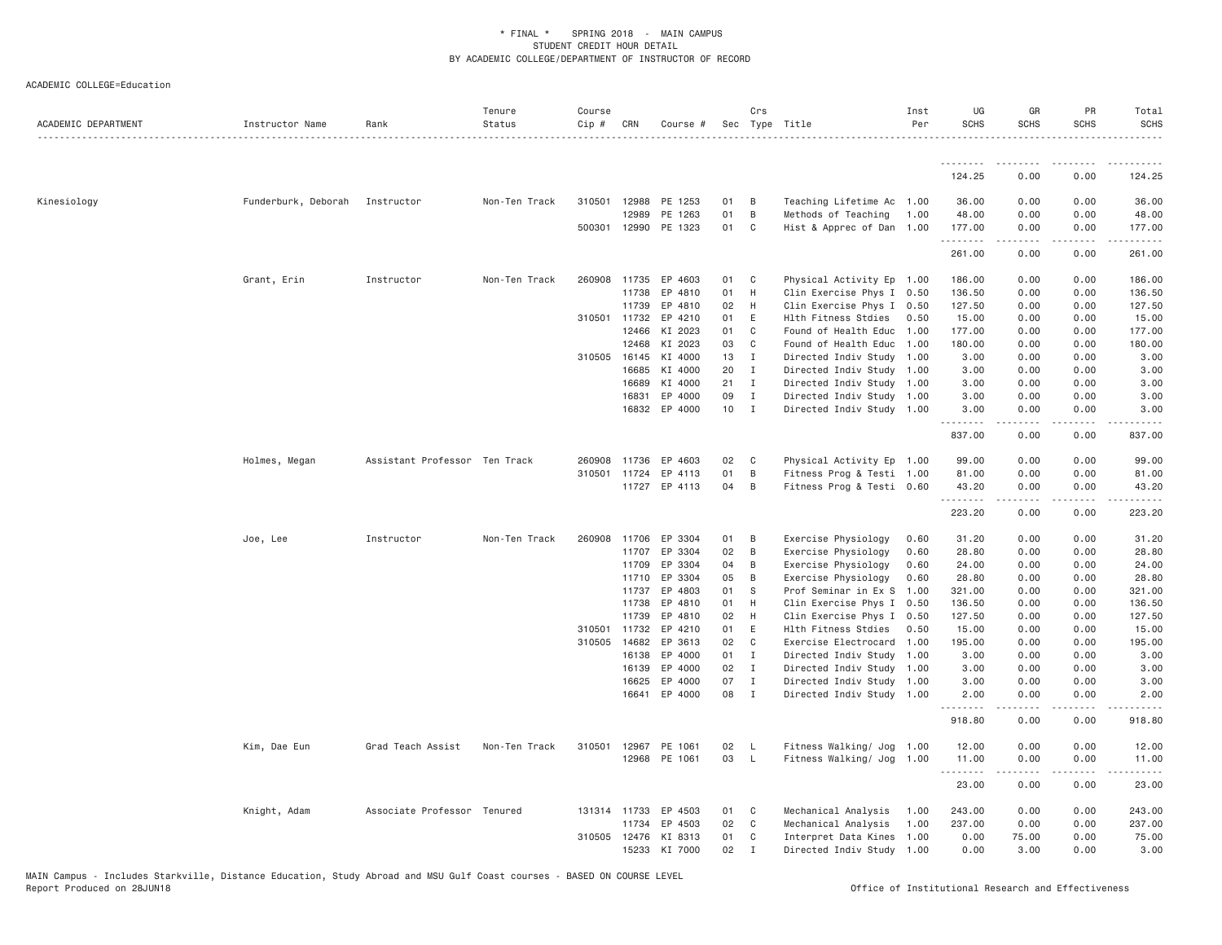| ACADEMIC DEPARTMENT | Instructor Name     | Rank                          | Tenure<br>Status<br>. | Course<br>Cip #              | CRN            | Course #           |          | Crs                              | Sec Type Title                                         | Inst<br>Per | UG<br><b>SCHS</b> | GR<br><b>SCHS</b>                     | PR<br><b>SCHS</b> | Total<br><b>SCHS</b> |
|---------------------|---------------------|-------------------------------|-----------------------|------------------------------|----------------|--------------------|----------|----------------------------------|--------------------------------------------------------|-------------|-------------------|---------------------------------------|-------------------|----------------------|
|                     |                     |                               |                       |                              |                |                    |          |                                  |                                                        |             | <u>.</u>          |                                       |                   |                      |
|                     |                     |                               |                       |                              |                |                    |          |                                  |                                                        |             | 124.25            | 0.00                                  | 0.00              | 124.25               |
| Kinesiology         | Funderburk, Deborah | Instructor                    | Non-Ten Track         |                              | 310501 12988   | PE 1253            | 01       | - B                              | Teaching Lifetime Ac 1.00                              |             | 36.00             | 0.00                                  | 0.00              | 36.00                |
|                     |                     |                               |                       |                              | 12989          | PE 1263            | 01       | $\overline{B}$                   | Methods of Teaching                                    | 1.00        | 48.00             | 0.00                                  | 0.00              | 48.00                |
|                     |                     |                               |                       | 500301 12990                 |                | PE 1323            | 01       | $\mathbb{C}$                     | Hist & Apprec of Dan 1.00                              |             | 177.00<br>.       | 0.00<br><b><i><u>Property</u></i></b> | 0.00<br>.         | 177.00<br>.          |
|                     |                     |                               |                       |                              |                |                    |          |                                  |                                                        |             | 261.00            | 0.00                                  | 0.00              | 261.00               |
|                     | Grant, Erin         | Instructor                    | Non-Ten Track         | 260908                       | 11735          | EP 4603            | 01       | $\mathbf{C}$                     | Physical Activity Ep 1.00                              |             | 186.00            | 0.00                                  | 0.00              | 186.00               |
|                     |                     |                               |                       |                              | 11738          | EP 4810            | 01       | H                                | Clin Exercise Phys I 0.50                              |             | 136.50            | 0.00                                  | 0.00              | 136.50               |
|                     |                     |                               |                       |                              | 11739          | EP 4810            | 02       | H                                | Clin Exercise Phys I 0.50                              |             | 127.50            | 0.00                                  | 0.00              | 127.50               |
|                     |                     |                               |                       | 310501 11732                 |                | EP 4210            | 01       | E                                | Hlth Fitness Stdies                                    | 0.50        | 15.00             | 0.00                                  | 0.00              | 15.00                |
|                     |                     |                               |                       |                              | 12466<br>12468 | KI 2023<br>KI 2023 | 01<br>03 | C <sub>1</sub><br>C <sub>1</sub> | Found of Health Educ 1.00<br>Found of Health Educ 1.00 |             | 177.00<br>180.00  | 0.00<br>0.00                          | 0.00<br>0.00      | 177.00<br>180.00     |
|                     |                     |                               |                       | 310505 16145                 |                | KI 4000            | 13       | $\mathbf{I}$                     | Directed Indiv Study 1.00                              |             | 3.00              | 0.00                                  | 0.00              | 3.00                 |
|                     |                     |                               |                       |                              | 16685          | KI 4000            | 20       | $\mathbf{I}$                     | Directed Indiv Study 1.00                              |             | 3.00              | 0.00                                  | 0.00              | 3.00                 |
|                     |                     |                               |                       |                              | 16689          | KI 4000            | 21       | $\mathbf{I}$                     | Directed Indiv Study 1.00                              |             | 3.00              | 0.00                                  | 0.00              | 3.00                 |
|                     |                     |                               |                       |                              | 16831          | EP 4000            | 09       | I                                | Directed Indiv Study 1.00                              |             | 3.00              | 0.00                                  | 0.00              | 3.00                 |
|                     |                     |                               |                       |                              | 16832          | EP 4000            | 10       | $\mathbf{I}$                     | Directed Indiv Study 1.00                              |             | 3.00              | 0.00                                  | 0.00              | 3.00                 |
|                     |                     |                               |                       |                              |                |                    |          |                                  |                                                        |             | .<br>837.00       | 2.2.2.2.2<br>0.00                     | .<br>0.00         | 1.1.1.1.1<br>837.00  |
|                     | Holmes, Megan       | Assistant Professor Ten Track |                       | 260908                       | 11736          | EP 4603            | 02       | $\mathbf{C}$                     | Physical Activity Ep 1.00                              |             | 99.00             | 0.00                                  | 0.00              | 99.00                |
|                     |                     |                               |                       | 310501 11724                 |                | EP 4113            | 01       | B                                | Fitness Prog & Testi 1.00                              |             | 81.00             | 0.00                                  | 0.00              | 81.00                |
|                     |                     |                               |                       |                              |                | 11727 EP 4113      | 04       | B                                | Fitness Prog & Testi 0.60                              |             | 43.20<br>.        | 0.00                                  | 0.00              | 43.20                |
|                     |                     |                               |                       |                              |                |                    |          |                                  |                                                        |             | 223.20            | 0.00                                  | 0.00              | 223.20               |
|                     | Joe, Lee            | Instructor                    | Non-Ten Track         | 260908 11706                 |                | EP 3304            | 01       | $\overline{B}$                   | Exercise Physiology                                    | 0.60        | 31.20             | 0.00                                  | 0.00              | 31.20                |
|                     |                     |                               |                       |                              | 11707          | EP 3304            | 02       | $\overline{B}$                   | Exercise Physiology                                    | 0.60        | 28.80             | 0.00                                  | 0.00              | 28.80                |
|                     |                     |                               |                       |                              | 11709          | EP 3304            | 04       | B                                | Exercise Physiology                                    | 0.60        | 24.00             | 0.00                                  | 0.00              | 24.00                |
|                     |                     |                               |                       |                              | 11710          | EP 3304            | 05       | B                                | Exercise Physiology                                    | 0.60        | 28.80             | 0.00                                  | 0.00              | 28.80                |
|                     |                     |                               |                       |                              | 11737          | EP 4803            | 01       | <b>S</b>                         | Prof Seminar in Ex S 1.00                              |             | 321.00            | 0.00                                  | 0.00              | 321.00               |
|                     |                     |                               |                       |                              | 11738          | EP 4810            | 01       | H                                | Clin Exercise Phys I 0.50                              |             | 136.50            | 0.00                                  | 0.00              | 136.50               |
|                     |                     |                               |                       |                              | 11739          | EP 4810            | 02       | H                                | Clin Exercise Phys I 0.50                              |             | 127.50            | 0.00                                  | 0.00              | 127.50               |
|                     |                     |                               |                       | 310501 11732<br>310505 14682 |                | EP 4210<br>EP 3613 | 01<br>02 | E<br>$\mathbb{C}$                | Hlth Fitness Stdies                                    | 0.50        | 15.00             | 0.00<br>0.00                          | 0.00              | 15.00<br>195.00      |
|                     |                     |                               |                       |                              | 16138          | EP 4000            | 01 I     |                                  | Exercise Electrocard 1.00<br>Directed Indiv Study 1.00 |             | 195.00<br>3.00    | 0.00                                  | 0.00<br>0.00      | 3.00                 |
|                     |                     |                               |                       |                              | 16139          | EP 4000            | 02       | $\mathbf{I}$                     | Directed Indiv Study 1.00                              |             | 3.00              | 0.00                                  | 0.00              | 3.00                 |
|                     |                     |                               |                       |                              | 16625          | EP 4000            | 07       | $\mathbf{I}$                     | Directed Indiv Study 1.00                              |             | 3.00              | 0.00                                  | 0.00              | 3.00                 |
|                     |                     |                               |                       |                              | 16641          | EP 4000            | 08       | $\mathbf{I}$                     | Directed Indiv Study 1.00                              |             | 2.00              | 0.00                                  | 0.00              | 2.00                 |
|                     |                     |                               |                       |                              |                |                    |          |                                  |                                                        |             | .<br>918.80       | $\sim$ $\sim$ $\sim$ $\sim$<br>0.00   | .<br>0.00         | 918.80               |
|                     | Kim, Dae Eun        | Grad Teach Assist             | Non-Ten Track         | 310501                       | 12967          | PE 1061            | 02       | - L                              | Fitness Walking/ Jog 1.00                              |             | 12.00             | 0.00                                  | 0.00              | 12.00                |
|                     |                     |                               |                       |                              |                | 12968 PE 1061      | 03       | $\mathsf{L}$                     | Fitness Walking/ Jog 1.00                              |             | 11.00             | 0.00                                  | 0.00              | 11.00                |
|                     |                     |                               |                       |                              |                |                    |          |                                  |                                                        |             | .<br>23.00        | .<br>0.00                             | .<br>0.00         | .<br>23.00           |
|                     | Knight, Adam        | Associate Professor Tenured   |                       |                              | 131314 11733   | EP 4503            | 01 C     |                                  | Mechanical Analysis                                    | 1.00        | 243.00            | 0.00                                  | 0.00              | 243.00               |
|                     |                     |                               |                       |                              | 11734          | EP 4503            | 02       | $\mathbf{C}$                     | Mechanical Analysis                                    | 1.00        | 237.00            | 0.00                                  | 0.00              | 237.00               |
|                     |                     |                               |                       | 310505                       | 12476          | KI 8313            | 01       | C                                | Interpret Data Kines 1.00                              |             | 0.00              | 75.00                                 | 0.00              | 75.00                |
|                     |                     |                               |                       |                              | 15233          | KI 7000            | 02       | $\mathbf{I}$                     | Directed Indiv Study 1.00                              |             | 0.00              | 3,00                                  | 0.00              | 3.00                 |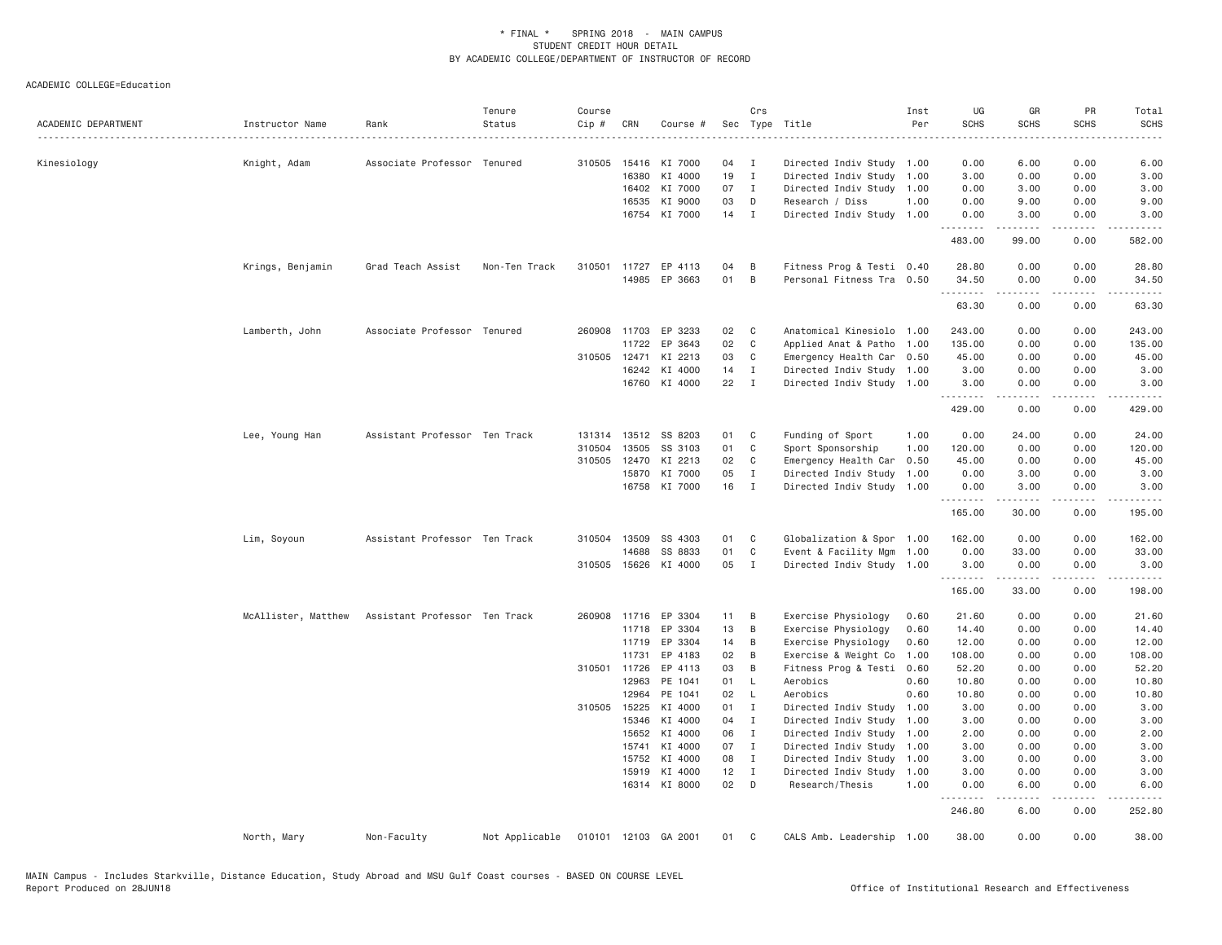| ACADEMIC DEPARTMENT | Instructor Name     | Rank                          | Tenure<br>Status | Course<br>Cip # | CRN            | Course #             |          | Crs                          | Sec Type Title                               | Inst<br>Per  | UG<br><b>SCHS</b> | GR<br><b>SCHS</b> | <b>PR</b><br><b>SCHS</b>            | Total<br><b>SCHS</b>   |
|---------------------|---------------------|-------------------------------|------------------|-----------------|----------------|----------------------|----------|------------------------------|----------------------------------------------|--------------|-------------------|-------------------|-------------------------------------|------------------------|
| Kinesiology         | Knight, Adam        | Associate Professor Tenured   |                  | 310505          | 15416          | KI 7000              | 04       | $\mathbf{I}$                 | Directed Indiv Study 1.00                    |              | 0.00              | 6.00              | 0.00                                | 6.00                   |
|                     |                     |                               |                  |                 | 16380          | KI 4000              | 19       | $\mathbf{I}$                 | Directed Indiv Study 1.00                    |              | 3.00              | 0.00              | 0.00                                | 3.00                   |
|                     |                     |                               |                  |                 | 16402          | KI 7000              | 07       | $\mathbf{I}$                 | Directed Indiv Study 1.00                    |              | 0.00              | 3.00              | 0.00                                | 3.00                   |
|                     |                     |                               |                  |                 | 16535          | KI 9000              | 03       | D                            | Research / Diss                              | 1.00         | 0.00              | 9.00              | 0.00                                | 9.00                   |
|                     |                     |                               |                  |                 |                | 16754 KI 7000        | $14$ I   |                              | Directed Indiv Study 1.00                    |              | 0.00              | 3.00              | 0.00                                | 3.00                   |
|                     |                     |                               |                  |                 |                |                      |          |                              |                                              |              | .<br>483.00       | -----<br>99.00    | $\frac{1}{2}$<br>0.00               | 582.00                 |
|                     | Krings, Benjamin    | Grad Teach Assist             | Non-Ten Track    | 310501          |                | 11727 EP 4113        | 04       | B                            | Fitness Prog & Testi 0.40                    |              | 28.80             | 0.00              | 0.00                                | 28.80                  |
|                     |                     |                               |                  |                 | 14985          | EP 3663              | 01       | B                            | Personal Fitness Tra 0.50                    |              | 34.50             | 0.00              | 0.00                                | 34.50                  |
|                     |                     |                               |                  |                 |                |                      |          |                              |                                              |              | .<br>63.30        | .<br>0.00         | $\sim$ $\sim$ $\sim$ $\sim$<br>0.00 | $\frac{1}{2}$<br>63.30 |
|                     | Lamberth, John      | Associate Professor Tenured   |                  |                 | 260908 11703   | EP 3233              | 02       | C                            | Anatomical Kinesiolo 1.00                    |              | 243.00            | 0.00              | 0.00                                | 243.00                 |
|                     |                     |                               |                  |                 | 11722          | EP 3643              | 02       | $\mathbf C$                  | Applied Anat & Patho 1.00                    |              | 135.00            | 0.00              | 0.00                                | 135.00                 |
|                     |                     |                               |                  |                 | 310505 12471   | KI 2213              | 03       | C                            | Emergency Health Car 0.50                    |              | 45.00             | 0.00              | 0.00                                | 45.00                  |
|                     |                     |                               |                  |                 | 16242          | KI 4000              | 14       | $\mathbf{I}$                 | Directed Indiv Study 1.00                    |              | 3.00              | 0.00              | 0.00                                | 3.00                   |
|                     |                     |                               |                  |                 |                | 16760 KI 4000        | 22       | $\mathbf{I}$                 | Directed Indiv Study 1.00                    |              | 3.00              | 0.00              | 0.00                                | 3.00                   |
|                     |                     |                               |                  |                 |                |                      |          |                              |                                              |              | .<br>429.00       | <u>.</u><br>0.00  | .<br>0.00                           | .<br>429.00            |
|                     | Lee, Young Han      | Assistant Professor Ten Track |                  |                 |                | 131314 13512 SS 8203 | 01       | C                            | Funding of Sport                             | 1.00         | 0.00              | 24.00             | 0.00                                | 24.00                  |
|                     |                     |                               |                  | 310504          | 13505          | SS 3103              | 01       | C                            | Sport Sponsorship                            | 1.00         | 120.00            | 0.00              | 0.00                                | 120.00                 |
|                     |                     |                               |                  | 310505          | 12470          | KI 2213              | 02       | $\mathbf{C}$                 | Emergency Health Car                         | 0.50         | 45.00             | 0.00              | 0.00                                | 45.00                  |
|                     |                     |                               |                  |                 | 15870          | KI 7000              | 05       | $\mathbf{I}$                 | Directed Indiv Study                         | 1.00         | 0.00              | 3.00              | 0.00                                | 3.00                   |
|                     |                     |                               |                  |                 |                | 16758 KI 7000        | 16       | $\mathbf I$                  | Directed Indiv Study 1.00                    |              | 0.00<br>.         | 3.00<br>.         | 0.00<br>.                           | 3.00<br>$- - - - - -$  |
|                     |                     |                               |                  |                 |                |                      |          |                              |                                              |              | 165.00            | 30.00             | 0.00                                | 195.00                 |
|                     | Lim, Soyoun         | Assistant Professor Ten Track |                  |                 | 310504 13509   | SS 4303              | 01       | C                            | Globalization & Spor 1.00                    |              | 162.00            | 0.00              | 0.00                                | 162.00                 |
|                     |                     |                               |                  |                 | 14688          | SS 8833              | 01       | C                            | Event & Facility Mgm                         | 1.00         | 0.00              | 33.00             | 0.00                                | 33.00                  |
|                     |                     |                               |                  |                 | 310505 15626   | KI 4000              | 05       | $\mathbf{I}$                 | Directed Indiv Study 1.00                    |              | 3.00<br>.         | 0.00<br>.         | 0.00<br>.                           | 3.00<br>.              |
|                     |                     |                               |                  |                 |                |                      |          |                              |                                              |              | 165.00            | 33.00             | 0.00                                | 198.00                 |
|                     | McAllister, Matthew | Assistant Professor Ten Track |                  |                 |                | 260908 11716 EP 3304 | 11       | B                            | Exercise Physiology                          | 0.60         | 21.60             | 0.00              | 0.00                                | 21.60                  |
|                     |                     |                               |                  |                 | 11718          | EP 3304              | 13       | B                            | Exercise Physiology                          | 0.60         | 14.40             | 0.00              | 0.00                                | 14.40                  |
|                     |                     |                               |                  |                 | 11719          | EP 3304              | 14       | B                            | Exercise Physiology                          | 0.60         | 12.00             | 0.00              | 0.00                                | 12.00                  |
|                     |                     |                               |                  |                 | 11731          | EP 4183              | 02       | B                            | Exercise & Weight Co                         | 1.00         | 108.00            | 0.00              | 0.00                                | 108.00                 |
|                     |                     |                               |                  |                 | 310501 11726   | EP 4113              | 03       | B                            | Fitness Prog & Testi                         | 0.60         | 52.20             | 0.00              | 0.00                                | 52.20                  |
|                     |                     |                               |                  |                 | 12963          | PE 1041              | 01       | <b>L</b>                     | Aerobics                                     | 0.60         | 10.80             | 0.00              | 0.00                                | 10.80                  |
|                     |                     |                               |                  |                 | 12964          | PE 1041              | 02       | L.                           | Aerobics                                     | 0.60         | 10.80             | 0.00              | 0.00                                | 10.80                  |
|                     |                     |                               |                  |                 | 310505 15225   | KI 4000              | 01       | $\mathbf I$                  | Directed Indiv Study                         | 1.00         | 3.00              | 0.00              | 0.00                                | 3.00                   |
|                     |                     |                               |                  |                 | 15346          | KI 4000              | 04<br>06 | $\mathbf{I}$                 | Directed Indiv Study                         | 1.00         | 3.00              | 0.00              | 0.00                                | 3.00                   |
|                     |                     |                               |                  |                 | 15652<br>15741 | KI 4000<br>KI 4000   | 07       | $\mathbf{I}$<br>$\mathbf{I}$ | Directed Indiv Study<br>Directed Indiv Study | 1.00<br>1.00 | 2.00<br>3.00      | 0.00<br>0.00      | 0.00<br>0.00                        | 2.00<br>3.00           |
|                     |                     |                               |                  |                 | 15752          | KI 4000              | 08       | $\mathbf{I}$                 | Directed Indiv Study                         | 1.00         | 3.00              | 0.00              | 0.00                                | 3.00                   |
|                     |                     |                               |                  |                 | 15919          | KI 4000              | 12       | $\mathbf{I}$                 | Directed Indiv Study                         | 1.00         | 3.00              | 0.00              | 0.00                                | 3.00                   |
|                     |                     |                               |                  |                 |                | 16314 KI 8000        | 02       | D                            | Research/Thesis                              | 1.00         | 0.00              | 6.00              | 0.00                                | 6.00                   |
|                     |                     |                               |                  |                 |                |                      |          |                              |                                              |              | .<br>246.80       | .<br>6.00         | $\frac{1}{2}$<br>0.00               | 252.80                 |
|                     | North, Mary         | Non-Faculty                   | Not Applicable   |                 |                | 010101 12103 GA 2001 | 01       | C                            | CALS Amb. Leadership 1.00                    |              | 38.00             | 0.00              | 0.00                                | 38.00                  |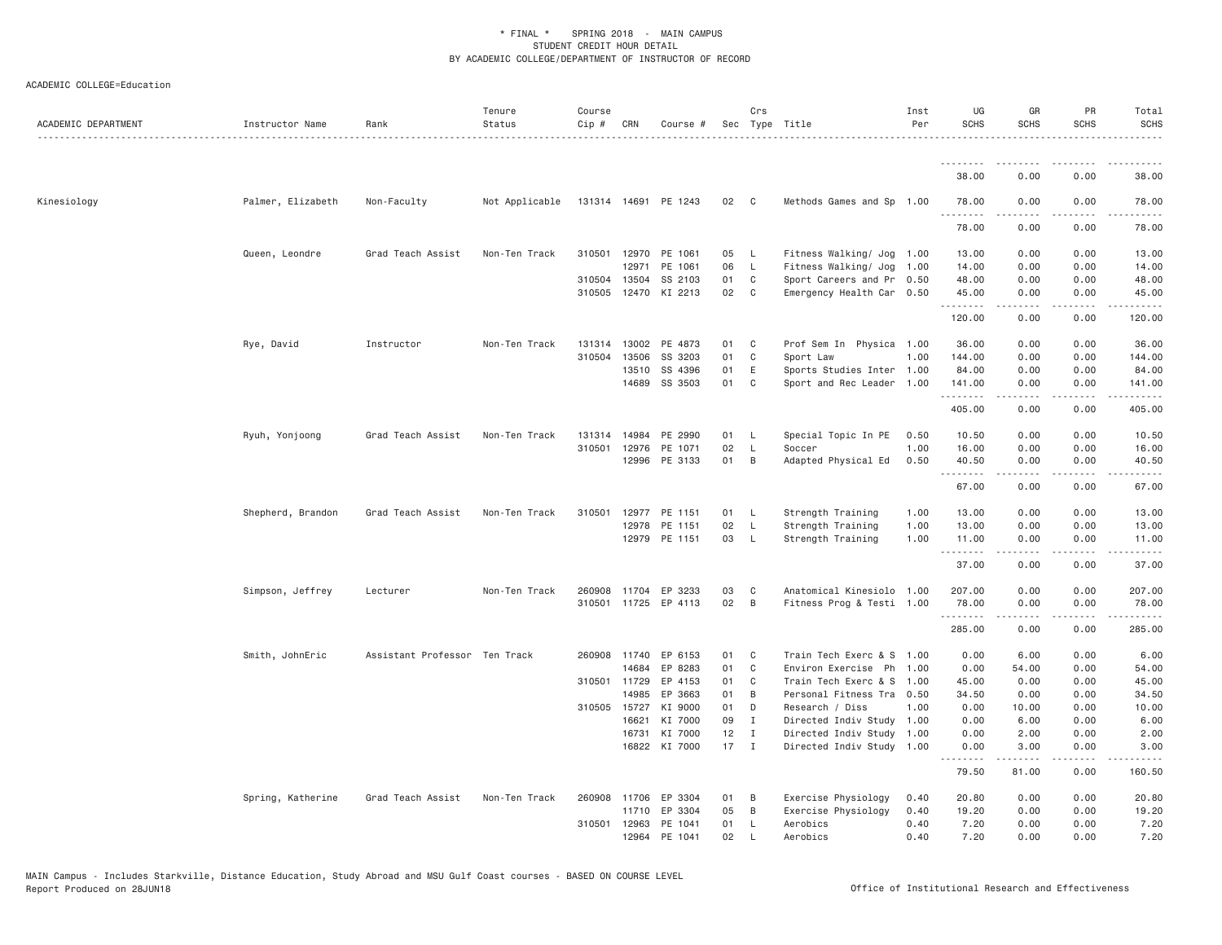| ACADEMIC DEPARTMENT | Instructor Name   | Rank                          | Tenure<br>Status | Course<br>Cip # | CRN          | Course #             |        | Crs            | Sec Type Title            | Inst<br>Per | UG<br><b>SCHS</b>  | GR<br><b>SCHS</b>   | PR<br><b>SCHS</b> | Total<br><b>SCHS</b> |
|---------------------|-------------------|-------------------------------|------------------|-----------------|--------------|----------------------|--------|----------------|---------------------------|-------------|--------------------|---------------------|-------------------|----------------------|
|                     |                   |                               | .                |                 |              |                      |        |                |                           |             |                    |                     |                   |                      |
|                     |                   |                               |                  |                 |              |                      |        |                |                           |             | <u>.</u><br>38.00  | 0.00                | 0.00              | 38.00                |
| Kinesiology         | Palmer, Elizabeth | Non-Faculty                   | Not Applicable   |                 |              | 131314 14691 PE 1243 | 02 C   |                | Methods Games and Sp 1.00 |             | 78.00              | 0.00                | 0.00              | 78.00                |
|                     |                   |                               |                  |                 |              |                      |        |                |                           |             | 78.00              | ----<br>0.00        | 0.00              | 78.00                |
|                     | Queen, Leondre    | Grad Teach Assist             | Non-Ten Track    |                 | 310501 12970 | PE 1061              | 05 L   |                | Fitness Walking/ Jog 1.00 |             | 13.00              | 0.00                | 0.00              | 13.00                |
|                     |                   |                               |                  |                 | 12971        | PE 1061              | 06     | $\mathsf{L}$   | Fitness Walking/ Jog      | 1.00        | 14.00              | 0.00                | 0.00              | 14.00                |
|                     |                   |                               |                  |                 | 310504 13504 | SS 2103              | 01     | C              | Sport Careers and Pr 0.50 |             | 48.00              | 0.00                | 0.00              | 48.00                |
|                     |                   |                               |                  |                 |              | 310505 12470 KI 2213 | 02     | $\mathbf{C}$   | Emergency Health Car 0.50 |             | 45.00<br>.         | 0.00<br>د د د د     | 0.00<br>.         | 45.00<br>.           |
|                     |                   |                               |                  |                 |              |                      |        |                |                           |             | 120.00             | 0.00                | 0.00              | 120.00               |
|                     | Rye, David        | Instructor                    | Non-Ten Track    | 131314          | 13002        | PE 4873              | 01     | $\mathbf{C}$   | Prof Sem In Physica 1.00  |             | 36.00              | 0.00                | 0.00              | 36.00                |
|                     |                   |                               |                  | 310504          | 13506        | SS 3203              | 01     | C              | Sport Law                 | 1.00        | 144.00             | 0.00                | 0.00              | 144.00               |
|                     |                   |                               |                  |                 | 13510        | SS 4396              | 01     | Ε              | Sports Studies Inter 1.00 |             | 84.00              | 0.00                | 0.00              | 84.00                |
|                     |                   |                               |                  |                 | 14689        | SS 3503              | 01     | C              | Sport and Rec Leader 1.00 |             | 141.00<br>.        | 0.00<br>.           | 0.00<br>.         | 141.00               |
|                     |                   |                               |                  |                 |              |                      |        |                |                           |             | 405.00             | 0.00                | 0.00              | 405.00               |
|                     | Ryuh, Yonjoong    | Grad Teach Assist             | Non-Ten Track    | 131314          | 14984        | PE 2990              | 01     | - L            | Special Topic In PE       | 0.50        | 10.50              | 0.00                | 0.00              | 10.50                |
|                     |                   |                               |                  |                 | 310501 12976 | PE 1071              | 02     | - L            | Soccer                    | 1.00        | 16.00              | 0.00                | 0.00              | 16.00                |
|                     |                   |                               |                  |                 |              | 12996 PE 3133        | 01     | B              | Adapted Physical Ed       | 0.50        | 40.50<br><u>.</u>  | 0.00<br>.           | 0.00<br>.         | 40.50<br>.           |
|                     |                   |                               |                  |                 |              |                      |        |                |                           |             | 67.00              | 0.00                | 0.00              | 67.00                |
|                     | Shepherd, Brandon | Grad Teach Assist             | Non-Ten Track    | 310501          | 12977        | PE 1151              | 01 L   |                | Strength Training         | 1.00        | 13.00              | 0.00                | 0.00              | 13.00                |
|                     |                   |                               |                  |                 | 12978        | PE 1151              | 02     | - L            | Strength Training         | 1.00        | 13.00              | 0.00                | 0.00              | 13.00                |
|                     |                   |                               |                  |                 |              | 12979 PE 1151        | 03     | - L            | Strength Training         | 1.00        | 11.00<br>.         | 0.00<br>$- - - -$   | 0.00              | 11.00<br>$- - - - -$ |
|                     |                   |                               |                  |                 |              |                      |        |                |                           |             | 37.00              | 0.00                | 0.00              | 37.00                |
|                     | Simpson, Jeffrey  | Lecturer                      | Non-Ten Track    |                 |              | 260908 11704 EP 3233 | 03     | $\mathbf{C}$   | Anatomical Kinesiolo 1.00 |             | 207.00             | 0.00                | 0.00              | 207.00               |
|                     |                   |                               |                  |                 |              | 310501 11725 EP 4113 | 02     | $\overline{B}$ | Fitness Prog & Testi 1.00 |             | 78.00<br>.         | 0.00                | 0.00              | 78.00                |
|                     |                   |                               |                  |                 |              |                      |        |                |                           |             | 285.00             | 0.00                | 0.00              | 285.00               |
|                     | Smith, JohnEric   | Assistant Professor Ten Track |                  | 260908          | 11740        | EP 6153              | 01     | C              | Train Tech Exerc & S 1.00 |             | 0.00               | 6.00                | 0.00              | 6.00                 |
|                     |                   |                               |                  |                 | 14684        | EP 8283              | 01     | C              | Environ Exercise Ph 1.00  |             | 0.00               | 54.00               | 0.00              | 54.00                |
|                     |                   |                               |                  |                 | 310501 11729 | EP 4153              | 01     | C              | Train Tech Exerc & S 1.00 |             | 45.00              | 0.00                | 0.00              | 45.00                |
|                     |                   |                               |                  |                 | 14985        | EP 3663              | 01     | B              | Personal Fitness Tra 0.50 |             | 34.50              | 0.00                | 0.00              | 34.50                |
|                     |                   |                               |                  |                 | 310505 15727 | KI 9000              | 01     | D              | Research / Diss           | 1.00        | 0.00               | 10.00               | 0.00              | 10.00                |
|                     |                   |                               |                  |                 | 16621        | KI 7000              | 09     | I              | Directed Indiv Study 1.00 |             | 0.00               | 6.00                | 0.00              | 6.00                 |
|                     |                   |                               |                  |                 | 16731        | KI 7000              | 12     | $\mathbf I$    | Directed Indiv Study 1.00 |             | 0.00               | 2.00                | 0.00              | 2.00                 |
|                     |                   |                               |                  |                 |              | 16822 KI 7000        | $17$ I |                | Directed Indiv Study 1.00 |             | 0.00<br>. <b>.</b> | 3.00<br>$- - - - -$ | 0.00<br>.         | 3.00                 |
|                     |                   |                               |                  |                 |              |                      |        |                |                           |             | 79.50              | 81.00               | 0.00              | 160.50               |
|                     | Spring, Katherine | Grad Teach Assist             | Non-Ten Track    | 260908          | 11706        | EP 3304              | 01     | B              | Exercise Physiology       | 0.40        | 20.80              | 0.00                | 0.00              | 20.80                |
|                     |                   |                               |                  |                 | 11710        | EP 3304              | 05     | B              | Exercise Physiology       | 0.40        | 19.20              | 0.00                | 0.00              | 19.20                |
|                     |                   |                               |                  | 310501          | 12963        | PE 1041              | 01     | -L             | Aerobics                  | 0.40        | 7.20               | 0.00                | 0.00              | 7.20                 |
|                     |                   |                               |                  |                 | 12964        | PE 1041              | 02     | $\mathbf{I}$   | Aerobics                  | 0.40        | 7.20               | 0.00                | 0.00              | 7.20                 |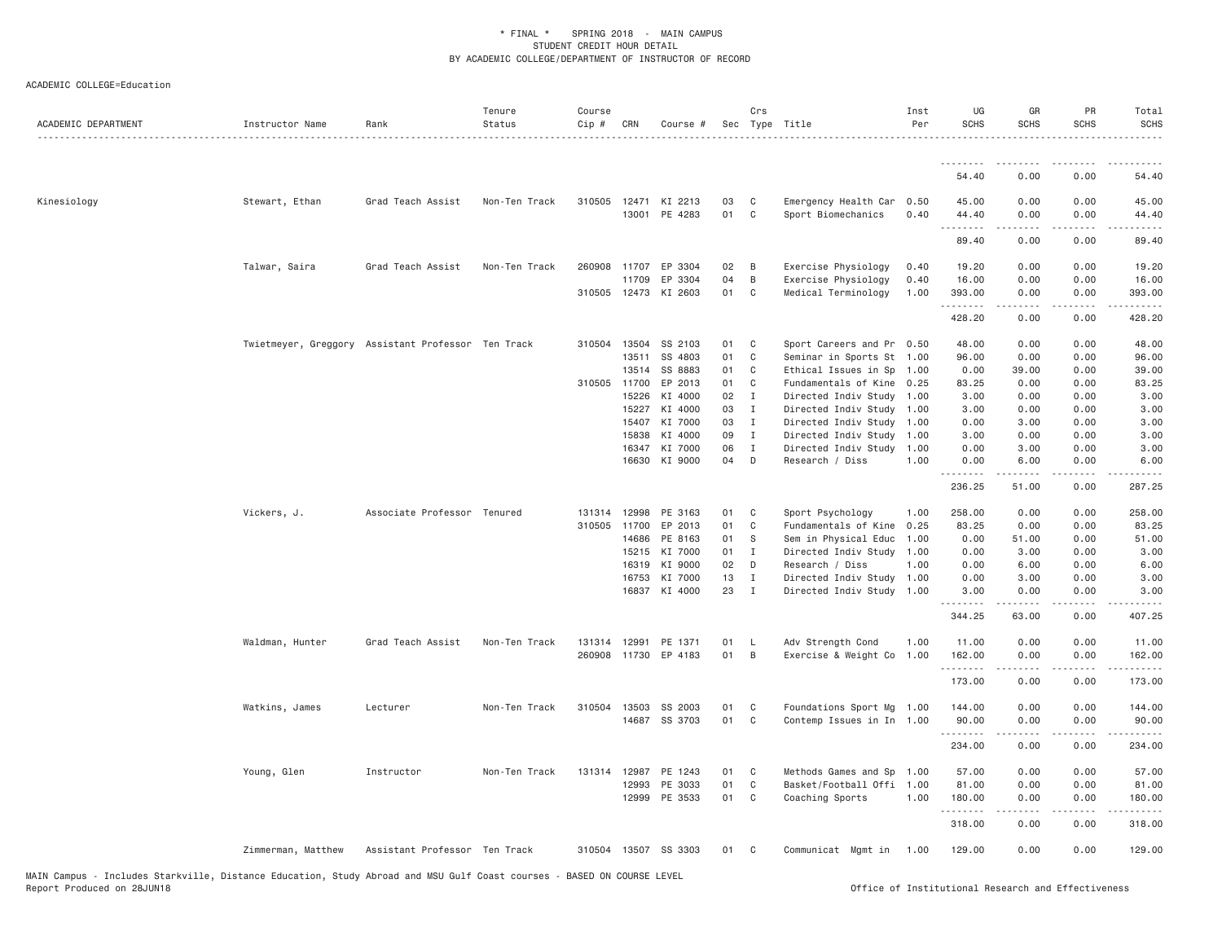| ACADEMIC DEPARTMENT | Instructor Name    | Rank                                               | Tenure<br>Status | Course<br>Cip # | CRN            | Course #                              |          | Crs                          | Sec Type Title                                         | Inst<br>Per | UG<br><b>SCHS</b>    | GR<br><b>SCHS</b>     | PR<br><b>SCHS</b>                                                                                                                                                    | Total<br><b>SCHS</b> |
|---------------------|--------------------|----------------------------------------------------|------------------|-----------------|----------------|---------------------------------------|----------|------------------------------|--------------------------------------------------------|-------------|----------------------|-----------------------|----------------------------------------------------------------------------------------------------------------------------------------------------------------------|----------------------|
|                     |                    |                                                    |                  |                 |                |                                       |          |                              |                                                        |             | .                    |                       |                                                                                                                                                                      |                      |
|                     |                    |                                                    |                  |                 |                |                                       |          |                              |                                                        |             | 54.40                | 0.00                  | 0.00                                                                                                                                                                 | 54.40                |
| Kinesiology         | Stewart, Ethan     | Grad Teach Assist                                  | Non-Ten Track    |                 |                | 310505 12471 KI 2213<br>13001 PE 4283 | 03<br>01 | $\mathbf{C}$<br>$\mathbf{C}$ | Emergency Health Car 0.50<br>Sport Biomechanics        | 0.40        | 45.00<br>44.40<br>.  | 0.00<br>0.00<br>.     | 0.00<br>0.00<br>$\frac{1}{2} \left( \frac{1}{2} \right) \left( \frac{1}{2} \right) \left( \frac{1}{2} \right) \left( \frac{1}{2} \right) \left( \frac{1}{2} \right)$ | 45.00<br>44.40<br>.  |
|                     |                    |                                                    |                  |                 |                |                                       |          |                              |                                                        |             | 89.40                | 0.00                  | 0.00                                                                                                                                                                 | 89.40                |
|                     | Talwar, Saira      | Grad Teach Assist                                  | Non-Ten Track    |                 | 260908 11707   | EP 3304                               | 02       | B                            | Exercise Physiology                                    | 0.40        | 19.20                | 0.00                  | 0.00                                                                                                                                                                 | 19.20                |
|                     |                    |                                                    |                  |                 | 11709          | EP 3304                               | 04       | B                            | Exercise Physiology                                    | 0.40        | 16.00                | 0.00                  | 0.00                                                                                                                                                                 | 16.00                |
|                     |                    |                                                    |                  |                 |                | 310505 12473 KI 2603                  | 01       | $\mathbf{C}$                 | Medical Terminology                                    | 1.00        | 393.00<br>. <b>.</b> | 0.00<br>$\frac{1}{2}$ | 0.00<br>.                                                                                                                                                            | 393.00<br>.          |
|                     |                    |                                                    |                  |                 |                |                                       |          |                              |                                                        |             | 428.20               | 0.00                  | 0.00                                                                                                                                                                 | 428.20               |
|                     |                    | Twietmeyer, Greggory Assistant Professor Ten Track |                  | 310504          | 13504          | SS 2103                               | 01       | $\mathbf{C}$                 | Sport Careers and Pr 0.50                              |             | 48.00                | 0.00                  | 0.00                                                                                                                                                                 | 48.00                |
|                     |                    |                                                    |                  |                 | 13511          | SS 4803                               | 01       | C                            | Seminar in Sports St 1.00                              |             | 96.00                | 0.00                  | 0.00                                                                                                                                                                 | 96.00                |
|                     |                    |                                                    |                  |                 | 13514          | SS 8883                               | 01       | C                            | Ethical Issues in Sp 1.00                              |             | 0.00                 | 39.00                 | 0.00                                                                                                                                                                 | 39.00                |
|                     |                    |                                                    |                  | 310505 11700    |                | EP 2013                               | 01       | C                            | Fundamentals of Kine 0.25                              |             | 83.25                | 0.00                  | 0.00                                                                                                                                                                 | 83.25                |
|                     |                    |                                                    |                  |                 | 15226          | KI 4000                               | 02       | $\blacksquare$               | Directed Indiv Study 1.00                              |             | 3.00                 | 0.00                  | 0.00                                                                                                                                                                 | 3.00                 |
|                     |                    |                                                    |                  |                 | 15227          | KI 4000                               | 03<br>03 | $\mathbf{I}$<br>$\mathbf{I}$ | Directed Indiv Study 1.00                              |             | 3.00                 | 0.00<br>3.00          | 0.00                                                                                                                                                                 | 3.00                 |
|                     |                    |                                                    |                  |                 | 15407          | KI 7000<br>KI 4000                    | 09       |                              | Directed Indiv Study 1.00                              |             | 0.00                 | 0.00                  | 0.00                                                                                                                                                                 | 3.00                 |
|                     |                    |                                                    |                  |                 | 15838<br>16347 | KI 7000                               | 06       | $\mathbf{I}$<br>I            | Directed Indiv Study 1.00<br>Directed Indiv Study 1.00 |             | 3.00<br>0.00         | 3.00                  | 0.00<br>0.00                                                                                                                                                         | 3.00<br>3.00         |
|                     |                    |                                                    |                  |                 | 16630          | KI 9000                               | 04       | $\mathsf{D}$                 | Research / Diss                                        | 1.00        | 0.00                 | 6.00                  | 0.00                                                                                                                                                                 | 6.00                 |
|                     |                    |                                                    |                  |                 |                |                                       |          |                              |                                                        |             | .<br>236.25          | .<br>51.00            | .<br>0.00                                                                                                                                                            | .<br>287.25          |
|                     | Vickers, J.        | Associate Professor Tenured                        |                  |                 | 131314 12998   | PE 3163                               | 01       | $\mathbf{C}$                 | Sport Psychology                                       | 1.00        | 258.00               | 0.00                  | 0.00                                                                                                                                                                 | 258.00               |
|                     |                    |                                                    |                  | 310505 11700    |                | EP 2013                               | 01       | $\mathbf{C}$                 | Fundamentals of Kine 0.25                              |             | 83.25                | 0.00                  | 0.00                                                                                                                                                                 | 83.25                |
|                     |                    |                                                    |                  |                 | 14686          | PE 8163                               | 01       | - S                          | Sem in Physical Educ 1.00                              |             | 0.00                 | 51.00                 | 0.00                                                                                                                                                                 | 51.00                |
|                     |                    |                                                    |                  |                 | 15215          | KI 7000                               | 01       | $\mathbf{I}$                 | Directed Indiv Study 1.00                              |             | 0.00                 | 3.00                  | 0.00                                                                                                                                                                 | 3.00                 |
|                     |                    |                                                    |                  |                 | 16319          | KI 9000                               | 02       | D                            | Research / Diss                                        | 1.00        | 0.00                 | 6.00                  | 0.00                                                                                                                                                                 | 6.00                 |
|                     |                    |                                                    |                  |                 | 16753          | KI 7000                               | 13       | $\mathbf{I}$                 | Directed Indiv Study 1.00                              |             | 0.00                 | 3.00                  | 0.00                                                                                                                                                                 | 3.00                 |
|                     |                    |                                                    |                  |                 | 16837          | KI 4000                               | 23       | $\mathbf{I}$                 | Directed Indiv Study 1.00                              |             | 3.00                 | 0.00                  | 0.00                                                                                                                                                                 | 3.00                 |
|                     |                    |                                                    |                  |                 |                |                                       |          |                              |                                                        |             | .<br>344.25          | .<br>63.00            | .<br>0.00                                                                                                                                                            | .<br>407.25          |
|                     | Waldman, Hunter    | Grad Teach Assist                                  | Non-Ten Track    | 131314          | 12991          | PE 1371                               | 01       | - L                          | Adv Strength Cond                                      | 1.00        | 11.00                | 0.00                  | 0.00                                                                                                                                                                 | 11.00                |
|                     |                    |                                                    |                  |                 |                | 260908 11730 EP 4183                  | 01       | $\overline{B}$               | Exercise & Weight Co 1.00                              |             | 162.00<br>.          | 0.00                  | 0.00                                                                                                                                                                 | 162.00<br>------     |
|                     |                    |                                                    |                  |                 |                |                                       |          |                              |                                                        |             | 173.00               | 0.00                  | 0.00                                                                                                                                                                 | 173.00               |
|                     | Watkins, James     | Lecturer                                           | Non-Ten Track    |                 | 310504 13503   | SS 2003                               | 01       | C <sub>1</sub>               | Foundations Sport Mg 1.00                              |             | 144.00               | 0.00                  | 0.00                                                                                                                                                                 | 144.00               |
|                     |                    |                                                    |                  |                 |                | 14687 SS 3703                         | 01 C     |                              | Contemp Issues in In 1.00                              |             | 90.00<br>.           | 0.00<br>.             | 0.00<br>.                                                                                                                                                            | 90.00                |
|                     |                    |                                                    |                  |                 |                |                                       |          |                              |                                                        |             | 234.00               | 0.00                  | 0.00                                                                                                                                                                 | 234.00               |
|                     | Young, Glen        | Instructor                                         | Non-Ten Track    |                 | 131314 12987   | PE 1243                               | 01 C     |                              | Methods Games and Sp 1.00                              |             | 57.00                | 0.00                  | 0.00                                                                                                                                                                 | 57.00                |
|                     |                    |                                                    |                  |                 | 12993          | PE 3033                               | 01       | $\mathbf{C}$                 | Basket/Football Offi 1.00                              |             | 81.00                | 0.00                  | 0.00                                                                                                                                                                 | 81.00                |
|                     |                    |                                                    |                  |                 | 12999          | PE 3533                               | 01       | $\mathbf{C}$                 | Coaching Sports                                        | 1.00        | 180.00<br>.          | 0.00                  | 0.00                                                                                                                                                                 | 180.00               |
|                     |                    |                                                    |                  |                 |                |                                       |          |                              |                                                        |             | 318.00               | 0.00                  | 0.00                                                                                                                                                                 | 318.00               |
|                     | Zimmerman, Matthew | Assistant Professor Ten Track                      |                  |                 |                | 310504 13507 SS 3303                  | 01       | $\mathbf{C}$                 | Communicat Mgmt in 1.00                                |             | 129.00               | 0.00                  | 0.00                                                                                                                                                                 | 129.00               |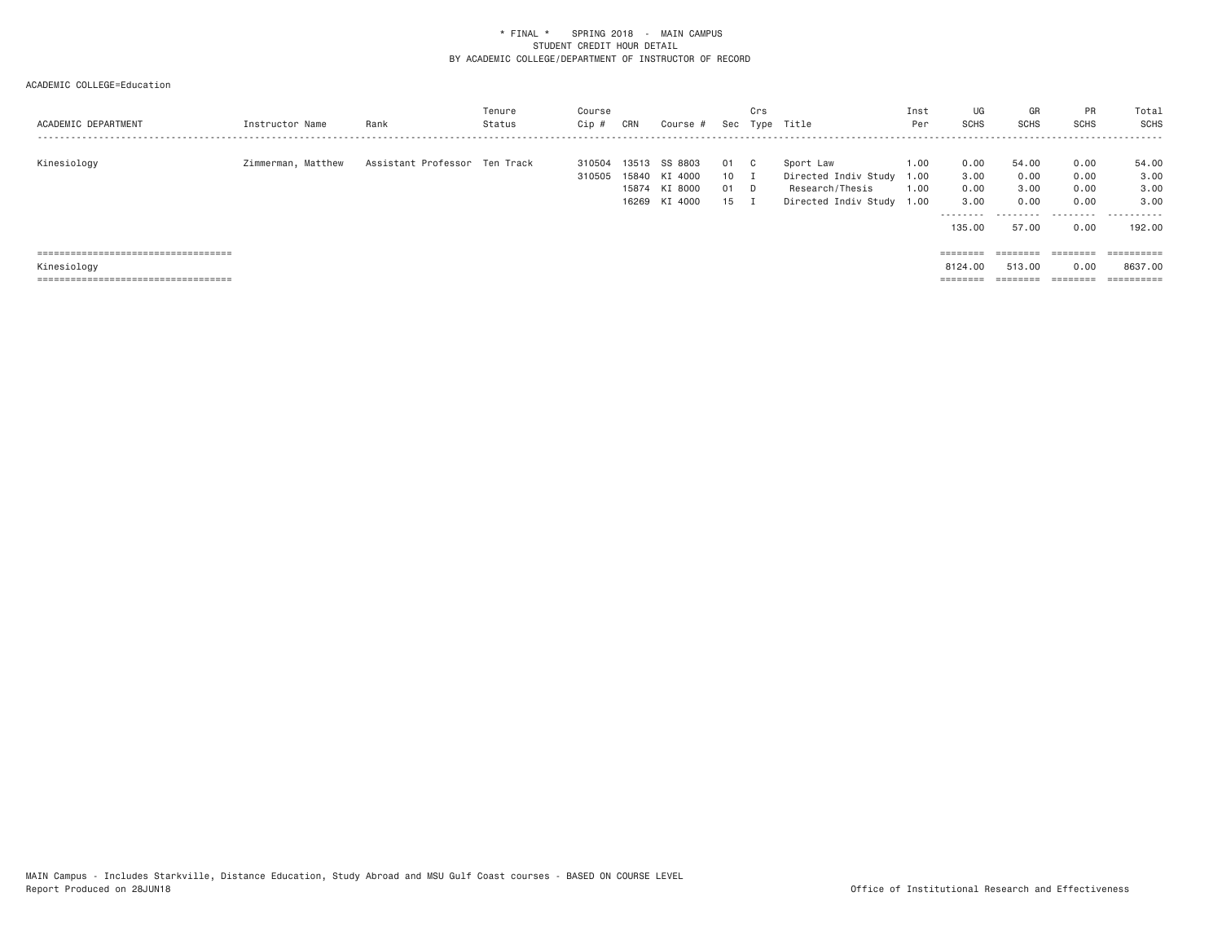| ACADEMIC DEPARTMENT                                                            | Instructor Name    | Rank                          | Tenure<br>Status | Course<br>Cip    | CRN            | Course #                                             | Sec                  | Crs<br>Type | Title                                                                        | Inst<br>Per                  | UG<br>SCHS                                          | GR<br><b>SCHS</b>                           | <b>PR</b><br><b>SCHS</b>                  | Total<br>SCHS                                |
|--------------------------------------------------------------------------------|--------------------|-------------------------------|------------------|------------------|----------------|------------------------------------------------------|----------------------|-------------|------------------------------------------------------------------------------|------------------------------|-----------------------------------------------------|---------------------------------------------|-------------------------------------------|----------------------------------------------|
| Kinesiology                                                                    | Zimmerman, Matthew | Assistant Professor Ten Track |                  | 310504<br>310505 | 13513<br>15874 | SS 8803<br>15840 KI 4000<br>KI 8000<br>16269 KI 4000 | 01<br>10<br>01<br>15 | - C<br>D.   | Sport Law<br>Directed Indiv Study<br>Research/Thesis<br>Directed Indiv Study | 1.00<br>1.00<br>1.00<br>1.00 | 0.00<br>3.00<br>0.00<br>3,00<br>---------<br>135.00 | 54.00<br>0.00<br>3.00<br>0.00<br>.<br>57.00 | 0.00<br>0.00<br>0.00<br>0.00<br>.<br>0.00 | 54.00<br>3.00<br>3,00<br>3.00<br>.<br>192.00 |
| ======================================                                         |                    |                               |                  |                  |                |                                                      |                      |             |                                                                              |                              | $=$ = = = = = = =                                   |                                             |                                           | ==========                                   |
| Kinesiology                                                                    |                    |                               |                  |                  |                |                                                      |                      |             |                                                                              |                              | 8124,00                                             | 513,00                                      | 0.00                                      | 8637,00                                      |
| _____________________________________<br>------------------------------------- |                    |                               |                  |                  |                |                                                      |                      |             |                                                                              |                              | ________<br>========                                | --------<br>=======                         | ________<br>--------                      | -----------<br>----------                    |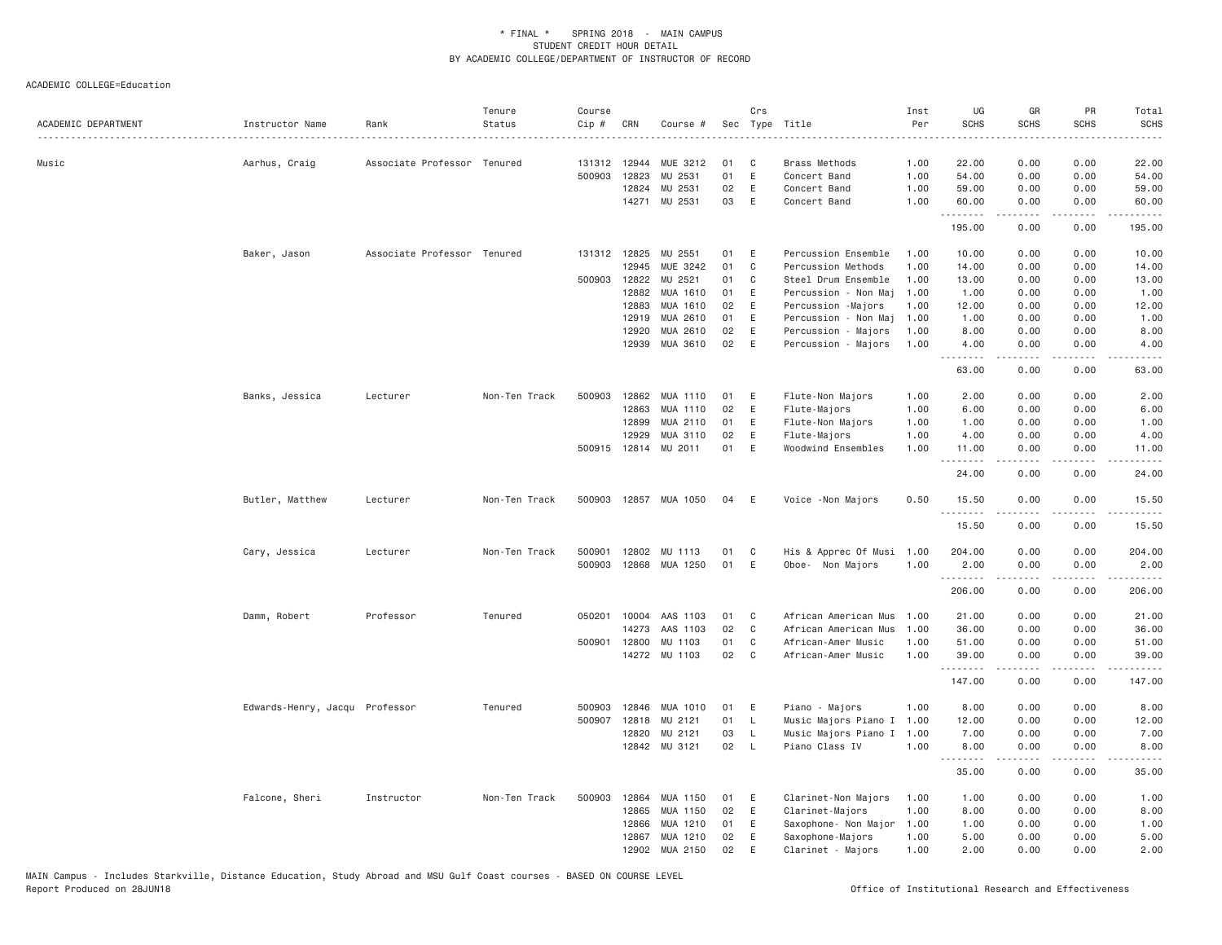| ACADEMIC DEPARTMENT | Instructor Name                | Rank                        | Tenure<br>Status | Course<br>Cip # | CRN            | Course #              |          | Crs          | Sec Type Title                             | Inst<br>Per  | UG<br><b>SCHS</b> | GR<br><b>SCHS</b> | PR<br><b>SCHS</b>                   | Total<br><b>SCHS</b> |
|---------------------|--------------------------------|-----------------------------|------------------|-----------------|----------------|-----------------------|----------|--------------|--------------------------------------------|--------------|-------------------|-------------------|-------------------------------------|----------------------|
| Music               | Aarhus, Craig                  | Associate Professor Tenured |                  | 131312 12944    |                | MUE 3212              | 01       | C            | Brass Methods                              | 1.00         | 22.00             | 0.00              | 0.00                                | 22.00                |
|                     |                                |                             |                  | 500903          | 12823          | MU 2531               | 01       | E            | Concert Band                               | 1.00         | 54.00             | 0.00              | 0.00                                | 54.00                |
|                     |                                |                             |                  |                 | 12824          | MU 2531               | 02       | E            | Concert Band                               | 1.00         | 59.00             | 0.00              | 0.00                                | 59.00                |
|                     |                                |                             |                  |                 | 14271          | MU 2531               | 03       | E            | Concert Band                               | 1.00         | 60.00<br>.        | 0.00              | 0.00                                | 60.00                |
|                     |                                |                             |                  |                 |                |                       |          |              |                                            |              | 195.00            | 0.00              | 0.00                                | 195.00               |
|                     | Baker, Jason                   | Associate Professor Tenured |                  | 131312 12825    |                | MU 2551               | 01       | E            | Percussion Ensemble                        | 1.00         | 10.00             | 0.00              | 0.00                                | 10.00                |
|                     |                                |                             |                  |                 | 12945          | MUE 3242              | 01       | C            | Percussion Methods                         | 1.00         | 14.00             | 0.00              | 0.00                                | 14.00                |
|                     |                                |                             |                  | 500903 12822    |                | MU 2521               | 01       | C            | Steel Drum Ensemble                        | 1.00         | 13.00             | 0.00              | 0.00                                | 13.00                |
|                     |                                |                             |                  |                 | 12882          | MUA 1610              | 01       | Ε            | Percussion - Non Maj                       | 1.00         | 1.00              | 0.00              | 0.00                                | 1.00                 |
|                     |                                |                             |                  |                 | 12883          | MUA 1610              | 02<br>01 | E<br>E       | Percussion - Majors                        | 1.00         | 12.00             | 0.00              | 0.00                                | 12.00                |
|                     |                                |                             |                  |                 | 12919          | MUA 2610<br>MUA 2610  | 02       | E            | Percussion - Non Maj                       | 1.00         | 1.00<br>8.00      | 0.00<br>0.00      | 0.00<br>0.00                        | 1.00<br>8.00         |
|                     |                                |                             |                  |                 | 12920<br>12939 | MUA 3610              | 02       | E            | Percussion - Majors<br>Percussion - Majors | 1.00<br>1.00 | 4.00              | 0.00              | 0.00                                | 4.00                 |
|                     |                                |                             |                  |                 |                |                       |          |              |                                            |              | <u>.</u><br>63.00 | .<br>0.00         | 0.00                                | 63.00                |
|                     | Banks, Jessica                 | Lecturer                    | Non-Ten Track    | 500903          | 12862          | MUA 1110              | 01       | E            | Flute-Non Majors                           | 1,00         | 2.00              | 0.00              | 0.00                                | 2.00                 |
|                     |                                |                             |                  |                 | 12863          | <b>MUA 1110</b>       | 02       | E            | Flute-Majors                               | 1.00         | 6.00              | 0.00              | 0.00                                | 6.00                 |
|                     |                                |                             |                  |                 | 12899          | MUA 2110              | 01       | E            | Flute-Non Majors                           | 1.00         | 1.00              | 0.00              | 0.00                                | 1.00                 |
|                     |                                |                             |                  |                 | 12929          | MUA 3110              | 02       | E            | Flute-Majors                               | 1.00         | 4.00              | 0.00              | 0.00                                | 4.00                 |
|                     |                                |                             |                  |                 |                | 500915 12814 MU 2011  | 01       | E            | Woodwind Ensembles                         | 1.00         | 11.00<br>.        | 0.00<br>.         | 0.00<br>$\frac{1}{2}$               | 11.00                |
|                     |                                |                             |                  |                 |                |                       |          |              |                                            |              | 24.00             | 0.00              | 0.00                                | 24.00                |
|                     | Butler, Matthew                | Lecturer                    | Non-Ten Track    |                 |                | 500903 12857 MUA 1050 | 04       | E            | Voice - Non Majors                         | 0.50         | 15.50<br>.        | 0.00<br>.         | 0.00<br>$\sim$ $\sim$ $\sim$ $\sim$ | 15.50                |
|                     |                                |                             |                  |                 |                |                       |          |              |                                            |              | 15.50             | 0.00              | 0.00                                | 15.50                |
|                     | Cary, Jessica                  | Lecturer                    | Non-Ten Track    | 500901          | 12802          | MU 1113               | 01       | C            | His & Apprec Of Musi                       | 1.00         | 204.00            | 0.00              | 0.00                                | 204.00               |
|                     |                                |                             |                  | 500903          | 12868          | MUA 1250              | 01       | E            | Oboe- Non Majors                           | 1.00         | 2.00              | 0.00              | 0.00                                | 2.00                 |
|                     |                                |                             |                  |                 |                |                       |          |              |                                            |              | .<br>206.00       | .<br>0.00         | $\frac{1}{2}$<br>0.00               | $\cdots$<br>206.00   |
|                     | Damm, Robert                   | Professor                   | Tenured          | 050201          | 10004          | AAS 1103              | 01       | C            | African American Mus                       | 1.00         | 21.00             | 0.00              | 0.00                                | 21.00                |
|                     |                                |                             |                  |                 | 14273          | AAS 1103              | 02       | $\mathsf{C}$ | African American Mus                       | 1.00         | 36.00             | 0.00              | 0.00                                | 36.00                |
|                     |                                |                             |                  | 500901 12800    |                | MU 1103               | 01       | C            | African-Amer Music                         | 1.00         | 51.00             | 0.00              | 0.00                                | 51.00                |
|                     |                                |                             |                  |                 | 14272          | MU 1103               | 02       | C            | African-Amer Music                         | 1.00         | 39.00<br>.        | 0.00<br><b>.</b>  | 0.00<br>.                           | 39.00<br>.           |
|                     |                                |                             |                  |                 |                |                       |          |              |                                            |              | 147.00            | 0.00              | 0.00                                | 147.00               |
|                     | Edwards-Henry, Jacqu Professor |                             | Tenured          | 500903          | 12846          | MUA 1010              | 01       | E            | Piano - Majors                             | 1.00         | 8.00              | 0.00              | 0.00                                | 8.00                 |
|                     |                                |                             |                  | 500907          | 12818          | MU 2121               | 01       | L            | Music Majors Piano I                       | 1.00         | 12.00             | 0.00              | 0.00                                | 12.00                |
|                     |                                |                             |                  |                 | 12820          | MU 2121               | 03       | L            | Music Majors Piano I                       | 1.00         | 7.00              | 0.00              | 0.00                                | 7.00                 |
|                     |                                |                             |                  |                 | 12842          | MU 3121               | 02       | $\mathsf{L}$ | Piano Class IV                             | 1,00         | 8.00<br><u>.</u>  | 0.00<br>.         | 0.00<br>$\frac{1}{2}$               | 8.00<br>$   -$       |
|                     |                                |                             |                  |                 |                |                       |          |              |                                            |              | 35.00             | 0.00              | 0.00                                | 35.00                |
|                     | Falcone, Sheri                 | Instructor                  | Non-Ten Track    | 500903          | 12864          | MUA 1150              | 01       | E            | Clarinet-Non Majors                        | 1.00         | 1.00              | 0.00              | 0.00                                | 1.00                 |
|                     |                                |                             |                  |                 | 12865          | MUA 1150              | 02       | Ε            | Clarinet-Majors                            | 1.00         | 8.00              | 0.00              | 0.00                                | 8.00                 |
|                     |                                |                             |                  |                 | 12866          | MUA 1210              | 01       | Ε            | Saxophone- Non Major                       | 1.00         | 1.00              | 0.00              | 0.00                                | 1.00                 |
|                     |                                |                             |                  |                 | 12867          | MUA 1210              | 02       | E            | Saxophone-Majors                           | 1.00         | 5.00              | 0.00              | 0.00                                | 5.00                 |
|                     |                                |                             |                  |                 | 12902          | MUA 2150              | 02       | E            | Clarinet - Majors                          | 1.00         | 2.00              | 0.00              | 0.00                                | 2.00                 |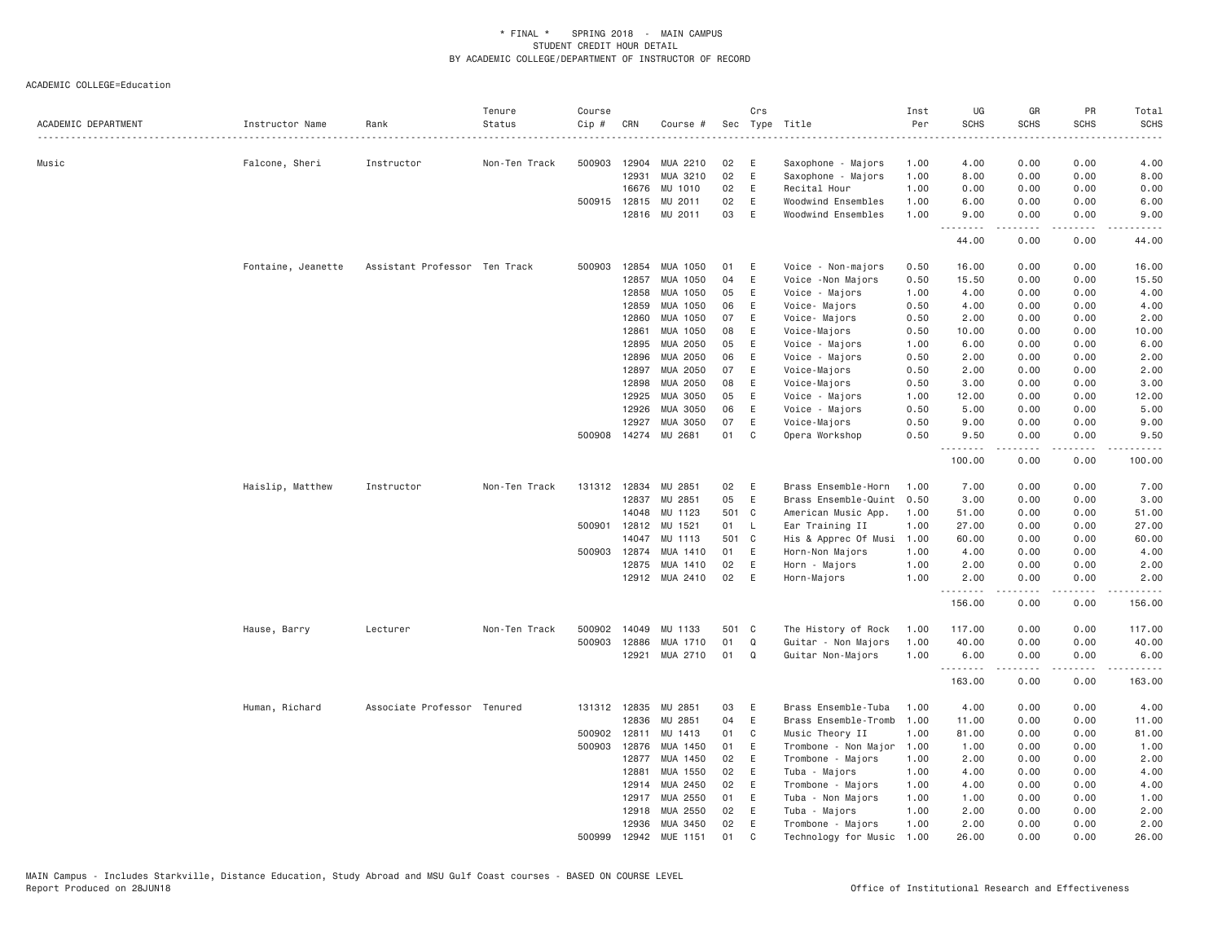| ACADEMIC DEPARTMENT | Instructor Name    | Rank                          | Tenure<br>Status | Course<br>Cip # | CRN          | Course #       |       | Crs          | Sec Type Title       | Inst<br>Per | UG<br><b>SCHS</b> | GR<br><b>SCHS</b>                                                                                                                                            | <b>PR</b><br><b>SCHS</b> | Total<br><b>SCHS</b> |
|---------------------|--------------------|-------------------------------|------------------|-----------------|--------------|----------------|-------|--------------|----------------------|-------------|-------------------|--------------------------------------------------------------------------------------------------------------------------------------------------------------|--------------------------|----------------------|
|                     |                    |                               | .                |                 |              |                |       |              |                      |             | .                 |                                                                                                                                                              | . <u>.</u>               | .                    |
| Music               | Falcone, Sheri     | Instructor                    | Non-Ten Track    | 500903          | 12904        | MUA 2210       | 02    | E            | Saxophone - Majors   | 1.00        | 4.00              | 0.00                                                                                                                                                         | 0.00                     | 4.00                 |
|                     |                    |                               |                  |                 | 12931        | MUA 3210       | 02    | E            | Saxophone - Majors   | 1.00        | 8.00              | 0.00                                                                                                                                                         | 0.00                     | 8.00                 |
|                     |                    |                               |                  |                 | 16676        | MU 1010        | 02    | E            | Recital Hour         | 1.00        | 0.00              | 0.00                                                                                                                                                         | 0.00                     | 0.00                 |
|                     |                    |                               |                  |                 | 500915 12815 | MU 2011        | 02    | E            | Woodwind Ensembles   | 1.00        | 6.00              | 0.00                                                                                                                                                         | 0.00                     | 6.00                 |
|                     |                    |                               |                  |                 |              | 12816 MU 2011  | 03    | E            | Woodwind Ensembles   | 1.00        | 9.00<br>.         | 0.00<br>$\frac{1}{2} \left( \frac{1}{2} \right) \left( \frac{1}{2} \right) \left( \frac{1}{2} \right) \left( \frac{1}{2} \right) \left( \frac{1}{2} \right)$ | 0.00<br>.                | 9.00<br>.            |
|                     |                    |                               |                  |                 |              |                |       |              |                      |             | 44.00             | 0.00                                                                                                                                                         | 0.00                     | 44.00                |
|                     | Fontaine, Jeanette | Assistant Professor Ten Track |                  | 500903          | 12854        | MUA 1050       | 01    | E            | Voice - Non-majors   | 0.50        | 16.00             | 0.00                                                                                                                                                         | 0.00                     | 16.00                |
|                     |                    |                               |                  |                 | 12857        | MUA 1050       | 04    | Ε            | Voice - Non Majors   | 0.50        | 15.50             | 0.00                                                                                                                                                         | 0.00                     | 15.50                |
|                     |                    |                               |                  |                 | 12858        | MUA 1050       | 05    | E            | Voice - Majors       | 1.00        | 4.00              | 0.00                                                                                                                                                         | 0.00                     | 4.00                 |
|                     |                    |                               |                  |                 | 12859        | MUA 1050       | 06    | E            | Voice- Majors        | 0.50        | 4.00              | 0.00                                                                                                                                                         | 0.00                     | 4.00                 |
|                     |                    |                               |                  |                 | 12860        | MUA 1050       | 07    | Ε            | Voice- Majors        | 0.50        | 2.00              | 0.00                                                                                                                                                         | 0.00                     | 2.00                 |
|                     |                    |                               |                  |                 | 12861        | MUA 1050       | 08    | E            | Voice-Majors         | 0.50        | 10.00             | 0.00                                                                                                                                                         | 0.00                     | 10.00                |
|                     |                    |                               |                  |                 | 12895        | MUA 2050       | 05    | E            | Voice - Majors       | 1.00        | 6.00              | 0.00                                                                                                                                                         | 0.00                     | 6.00                 |
|                     |                    |                               |                  |                 | 12896        | MUA 2050       | 06    | E            | Voice - Majors       | 0.50        | 2.00              | 0.00                                                                                                                                                         | 0.00                     | 2.00                 |
|                     |                    |                               |                  |                 | 12897        | MUA 2050       | 07    | E            | Voice-Majors         | 0.50        | 2.00              | 0.00                                                                                                                                                         | 0.00                     | 2.00                 |
|                     |                    |                               |                  |                 | 12898        | MUA 2050       | 08    | E            | Voice-Majors         | 0.50        | 3.00              | 0.00                                                                                                                                                         | 0.00                     | 3.00                 |
|                     |                    |                               |                  |                 | 12925        | MUA 3050       | 05    | E            | Voice - Majors       | 1.00        | 12.00             | 0.00                                                                                                                                                         | 0.00                     | 12.00                |
|                     |                    |                               |                  |                 | 12926        | MUA 3050       | 06    | E            | Voice - Majors       | 0.50        | 5.00              | 0.00                                                                                                                                                         | 0.00                     | 5.00                 |
|                     |                    |                               |                  |                 | 12927        | MUA 3050       | 07    | E            | Voice-Majors         | 0.50        | 9.00              | 0.00                                                                                                                                                         | 0.00                     | 9.00                 |
|                     |                    |                               |                  | 500908          |              | 14274 MU 2681  | 01    | C            | Opera Workshop       | 0.50        | 9.50<br>.         | 0.00                                                                                                                                                         | 0.00                     | 9.50                 |
|                     |                    |                               |                  |                 |              |                |       |              |                      |             | 100.00            | 0.00                                                                                                                                                         | 0.00                     | 100.00               |
|                     | Haislip, Matthew   | Instructor                    | Non-Ten Track    |                 | 131312 12834 | MU 2851        | 02    | E            | Brass Ensemble-Horn  | 1.00        | 7.00              | 0.00                                                                                                                                                         | 0.00                     | 7.00                 |
|                     |                    |                               |                  |                 | 12837        | MU 2851        | 05    | E            | Brass Ensemble-Quint | 0.50        | 3.00              | 0.00                                                                                                                                                         | 0.00                     | 3.00                 |
|                     |                    |                               |                  |                 | 14048        | MU 1123        | 501 C |              | American Music App.  | 1.00        | 51.00             | 0.00                                                                                                                                                         | 0.00                     | 51.00                |
|                     |                    |                               |                  |                 | 500901 12812 | MU 1521        | 01    | $\mathsf{L}$ | Ear Training II      | 1.00        | 27.00             | 0.00                                                                                                                                                         | 0.00                     | 27.00                |
|                     |                    |                               |                  |                 | 14047        | MU 1113        | 501 C |              | His & Apprec Of Musi | 1.00        | 60.00             | 0.00                                                                                                                                                         | 0.00                     | 60.00                |
|                     |                    |                               |                  |                 | 500903 12874 | MUA 1410       | 01    | E            | Horn-Non Majors      | 1.00        | 4.00              | 0.00                                                                                                                                                         | 0.00                     | 4.00                 |
|                     |                    |                               |                  |                 | 12875        | MUA 1410       | 02    | E            | Horn - Majors        | 1.00        | 2.00              | 0.00                                                                                                                                                         | 0.00                     | 2.00                 |
|                     |                    |                               |                  |                 |              | 12912 MUA 2410 | 02    | E            | Horn-Majors          | 1.00        | 2.00<br>.         | 0.00<br>.                                                                                                                                                    | 0.00<br>$- - - -$        | 2.00<br>$   -$       |
|                     |                    |                               |                  |                 |              |                |       |              |                      |             | 156.00            | 0.00                                                                                                                                                         | 0.00                     | 156.00               |
|                     | Hause, Barry       | Lecturer                      | Non-Ten Track    |                 | 500902 14049 | MU 1133        | 501 C |              | The History of Rock  | 1.00        | 117.00            | 0.00                                                                                                                                                         | 0.00                     | 117.00               |
|                     |                    |                               |                  | 500903          | 12886        | MUA 1710       | 01    | $\mathsf Q$  | Guitar - Non Majors  | 1.00        | 40.00             | 0.00                                                                                                                                                         | 0.00                     | 40.00                |
|                     |                    |                               |                  |                 | 12921        | MUA 2710       | 01    | Q            | Guitar Non-Majors    | 1.00        | 6.00<br>.         | 0.00<br>.                                                                                                                                                    | 0.00                     | 6.00<br>.            |
|                     |                    |                               |                  |                 |              |                |       |              |                      |             | 163.00            | 0.00                                                                                                                                                         | 0.00                     | 163.00               |
|                     | Human, Richard     | Associate Professor Tenured   |                  |                 | 131312 12835 | MU 2851        | 03    | E            | Brass Ensemble-Tuba  | 1.00        | 4.00              | 0.00                                                                                                                                                         | 0.00                     | 4.00                 |
|                     |                    |                               |                  |                 | 12836        | MU 2851        | 04    | E            | Brass Ensemble-Tromb | 1.00        | 11.00             | 0.00                                                                                                                                                         | 0.00                     | 11.00                |
|                     |                    |                               |                  | 500902 12811    |              | MU 1413        | 01    | C            | Music Theory II      | 1.00        | 81.00             | 0.00                                                                                                                                                         | 0.00                     | 81.00                |
|                     |                    |                               |                  |                 | 500903 12876 | MUA 1450       | 01    | E            | Trombone - Non Major | 1.00        | 1.00              | 0.00                                                                                                                                                         | 0.00                     | 1.00                 |
|                     |                    |                               |                  |                 | 12877        | MUA 1450       | 02    | E            | Trombone - Majors    | 1.00        | 2.00              | 0.00                                                                                                                                                         | 0.00                     | 2.00                 |
|                     |                    |                               |                  |                 | 12881        | MUA 1550       | 02    | E            | Tuba - Majors        | 1.00        | 4.00              | 0.00                                                                                                                                                         | 0.00                     | 4.00                 |
|                     |                    |                               |                  |                 | 12914        | MUA 2450       | 02    | E            | Trombone - Majors    | 1.00        | 4.00              | 0.00                                                                                                                                                         | 0.00                     | 4.00                 |
|                     |                    |                               |                  |                 | 12917        | MUA 2550       | 01    | E            | Tuba - Non Majors    | 1.00        | 1.00              | 0.00                                                                                                                                                         | 0.00                     | 1.00                 |
|                     |                    |                               |                  |                 | 12918        | MUA 2550       | 02    | E            | Tuba - Majors        | 1.00        | 2.00              | 0.00                                                                                                                                                         | 0.00                     | 2.00                 |
|                     |                    |                               |                  |                 | 12936        | MUA 3450       | 02    | E            | Trombone - Majors    | 1.00        | 2.00              | 0.00                                                                                                                                                         | 0.00                     | 2.00                 |
|                     |                    |                               |                  | 500999          | 12942        | MUE 1151       | 01    | C            | Technology for Music | 1.00        | 26.00             | 0.00                                                                                                                                                         | 0.00                     | 26,00                |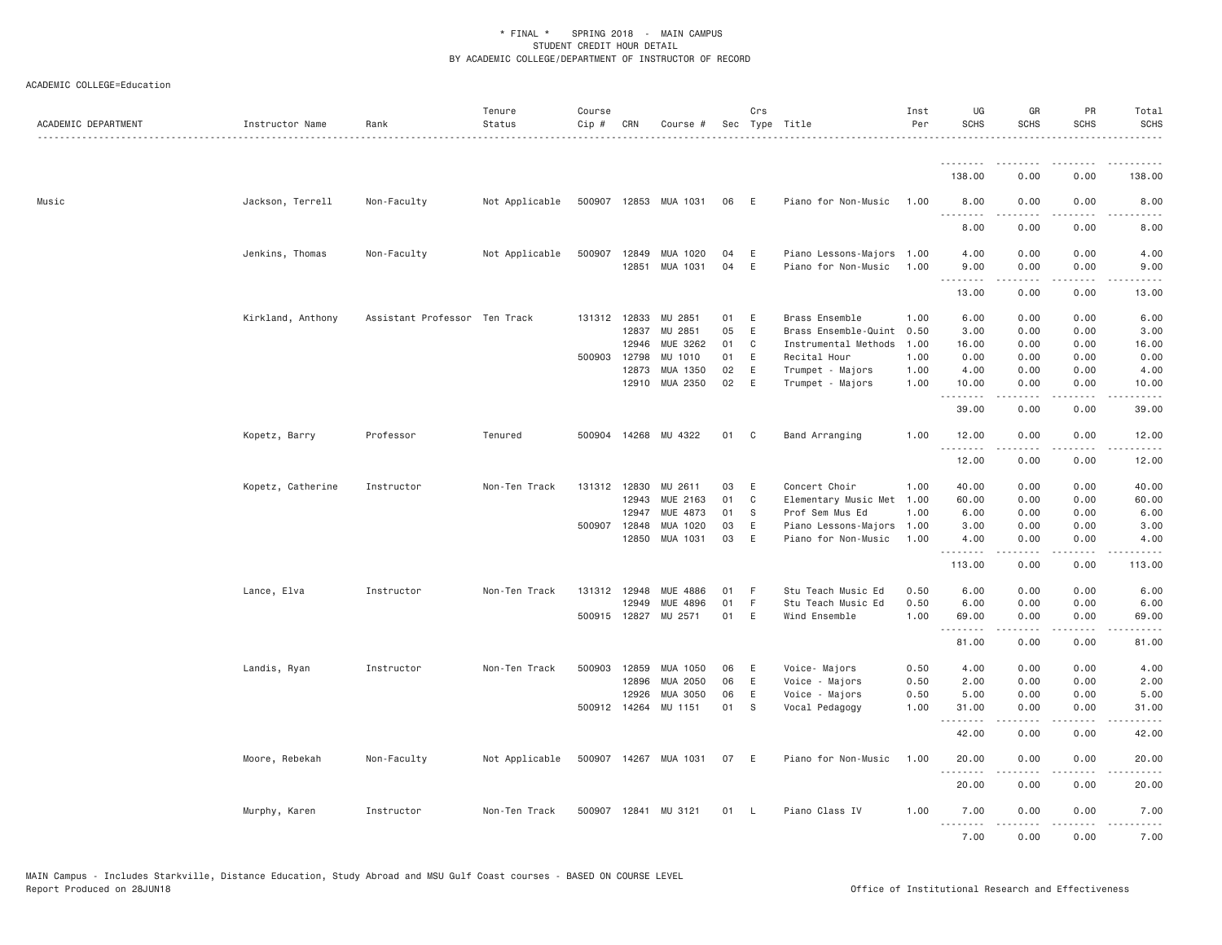| ACADEMIC DEPARTMENT | Instructor Name   | Rank                          | Tenure<br>Status | Course<br>Cip # | CRN          | Course #              |    | Crs          | Sec Type Title       | Inst<br>Per | UG<br><b>SCHS</b> | GR<br><b>SCHS</b>                                                                                                                                            | PR<br><b>SCHS</b>                                                                                                                 | Total<br><b>SCHS</b>                                                                                                                                          |
|---------------------|-------------------|-------------------------------|------------------|-----------------|--------------|-----------------------|----|--------------|----------------------|-------------|-------------------|--------------------------------------------------------------------------------------------------------------------------------------------------------------|-----------------------------------------------------------------------------------------------------------------------------------|---------------------------------------------------------------------------------------------------------------------------------------------------------------|
|                     |                   |                               |                  |                 |              |                       |    |              |                      |             | .                 |                                                                                                                                                              |                                                                                                                                   |                                                                                                                                                               |
|                     |                   |                               |                  |                 |              |                       |    |              |                      |             | 138.00            | 0.00                                                                                                                                                         | 0.00                                                                                                                              | 138.00                                                                                                                                                        |
| Music               | Jackson, Terrell  | Non-Faculty                   | Not Applicable   |                 |              | 500907 12853 MUA 1031 | 06 | E            | Piano for Non-Music  | 1.00        | 8.00<br>.         | 0.00<br>.                                                                                                                                                    | 0.00                                                                                                                              | 8.00<br>.                                                                                                                                                     |
|                     |                   |                               |                  |                 |              |                       |    |              |                      |             | 8.00              | 0.00                                                                                                                                                         | 0.00                                                                                                                              | 8.00                                                                                                                                                          |
|                     | Jenkins, Thomas   | Non-Faculty                   | Not Applicable   |                 | 500907 12849 | MUA 1020              | 04 | E            | Piano Lessons-Majors | 1.00        | 4.00              | 0.00                                                                                                                                                         | 0.00                                                                                                                              | 4.00                                                                                                                                                          |
|                     |                   |                               |                  |                 | 12851        | MUA 1031              | 04 | E            | Piano for Non-Music  | 1.00        | 9.00<br>.         | 0.00<br>$\frac{1}{2} \left( \frac{1}{2} \right) \left( \frac{1}{2} \right) \left( \frac{1}{2} \right) \left( \frac{1}{2} \right) \left( \frac{1}{2} \right)$ | 0.00<br>.                                                                                                                         | 9.00<br>$\cdots$                                                                                                                                              |
|                     |                   |                               |                  |                 |              |                       |    |              |                      |             | 13.00             | 0.00                                                                                                                                                         | 0.00                                                                                                                              | 13.00                                                                                                                                                         |
|                     | Kirkland, Anthony | Assistant Professor Ten Track |                  |                 | 131312 12833 | MU 2851               | 01 | E            | Brass Ensemble       | 1,00        | 6.00              | 0.00                                                                                                                                                         | 0.00                                                                                                                              | 6.00                                                                                                                                                          |
|                     |                   |                               |                  |                 | 12837        | MU 2851               | 05 | E            | Brass Ensemble-Quint | 0.50        | 3.00              | 0.00                                                                                                                                                         | 0.00                                                                                                                              | 3.00                                                                                                                                                          |
|                     |                   |                               |                  |                 | 12946        | MUE 3262              | 01 | $\mathsf{C}$ | Instrumental Methods | 1.00        | 16.00             | 0.00                                                                                                                                                         | 0.00                                                                                                                              | 16.00                                                                                                                                                         |
|                     |                   |                               |                  | 500903          | 12798        | MU 1010               | 01 | E            | Recital Hour         | 1.00        | 0.00              | 0.00                                                                                                                                                         | 0.00                                                                                                                              | 0.00                                                                                                                                                          |
|                     |                   |                               |                  |                 | 12873        | MUA 1350              | 02 | E            | Trumpet - Majors     | 1.00        | 4.00              | 0.00                                                                                                                                                         | 0.00                                                                                                                              | 4.00                                                                                                                                                          |
|                     |                   |                               |                  |                 |              | 12910 MUA 2350        | 02 | E            | Trumpet - Majors     | 1.00        | 10.00<br>.        | 0.00<br><u>.</u>                                                                                                                                             | 0.00<br>.                                                                                                                         | 10.00<br>$- - - -$                                                                                                                                            |
|                     |                   |                               |                  |                 |              |                       |    |              |                      |             | 39.00             | 0.00                                                                                                                                                         | 0.00                                                                                                                              | 39.00                                                                                                                                                         |
|                     | Kopetz, Barry     | Professor                     | Tenured          |                 |              | 500904 14268 MU 4322  | 01 | C            | Band Arranging       | 1.00        | 12.00<br>.        | 0.00<br>.                                                                                                                                                    | 0.00<br>$\frac{1}{2}$                                                                                                             | 12.00<br>$\frac{1}{2} \left( \frac{1}{2} \right) \left( \frac{1}{2} \right) \left( \frac{1}{2} \right) \left( \frac{1}{2} \right) \left( \frac{1}{2} \right)$ |
|                     |                   |                               |                  |                 |              |                       |    |              |                      |             | 12.00             | 0.00                                                                                                                                                         | 0.00                                                                                                                              | 12.00                                                                                                                                                         |
|                     | Kopetz, Catherine | Instructor                    | Non-Ten Track    |                 | 131312 12830 | MU 2611               | 03 | E            | Concert Choir        | 1.00        | 40.00             | 0.00                                                                                                                                                         | 0.00                                                                                                                              | 40.00                                                                                                                                                         |
|                     |                   |                               |                  |                 | 12943        | MUE 2163              | 01 | C            | Elementary Music Met | 1.00        | 60.00             | 0.00                                                                                                                                                         | 0.00                                                                                                                              | 60.00                                                                                                                                                         |
|                     |                   |                               |                  |                 | 12947        | MUE 4873              | 01 | S            | Prof Sem Mus Ed      | 1.00        | 6.00              | 0.00                                                                                                                                                         | 0.00                                                                                                                              | 6.00                                                                                                                                                          |
|                     |                   |                               |                  |                 | 500907 12848 | MUA 1020              | 03 | E            | Piano Lessons-Majors | 1.00        | 3.00              | 0.00                                                                                                                                                         | 0.00                                                                                                                              | 3.00                                                                                                                                                          |
|                     |                   |                               |                  |                 | 12850        | MUA 1031              | 03 | E            | Piano for Non-Music  | 1.00        | 4.00<br>.         | 0.00<br>.                                                                                                                                                    | 0.00<br>.                                                                                                                         | 4.00<br>.                                                                                                                                                     |
|                     |                   |                               |                  |                 |              |                       |    |              |                      |             | 113.00            | 0.00                                                                                                                                                         | 0.00                                                                                                                              | 113.00                                                                                                                                                        |
|                     | Lance, Elva       | Instructor                    | Non-Ten Track    |                 | 131312 12948 | MUE 4886              | 01 | F            | Stu Teach Music Ed   | 0.50        | 6.00              | 0.00                                                                                                                                                         | 0.00                                                                                                                              | 6.00                                                                                                                                                          |
|                     |                   |                               |                  |                 | 12949        | MUE 4896              | 01 | F            | Stu Teach Music Ed   | 0.50        | 6.00              | 0.00                                                                                                                                                         | 0.00                                                                                                                              | 6.00                                                                                                                                                          |
|                     |                   |                               |                  |                 | 500915 12827 | MU 2571               | 01 | E            | Wind Ensemble        | 1.00        | 69.00<br>.        | 0.00<br>2.2.2.2.2                                                                                                                                            | 0.00<br>.                                                                                                                         | 69.00                                                                                                                                                         |
|                     |                   |                               |                  |                 |              |                       |    |              |                      |             | 81.00             | 0.00                                                                                                                                                         | 0.00                                                                                                                              | 81.00                                                                                                                                                         |
|                     | Landis, Ryan      | Instructor                    | Non-Ten Track    | 500903          | 12859        | MUA 1050              | 06 | E            | Voice- Majors        | 0.50        | 4.00              | 0.00                                                                                                                                                         | 0.00                                                                                                                              | 4.00                                                                                                                                                          |
|                     |                   |                               |                  |                 | 12896        | MUA 2050              | 06 | E            | Voice - Majors       | 0.50        | 2.00              | 0.00                                                                                                                                                         | 0.00                                                                                                                              | 2.00                                                                                                                                                          |
|                     |                   |                               |                  |                 | 12926        | MUA 3050              | 06 | E            | Voice - Majors       | 0.50        | 5.00              | 0.00                                                                                                                                                         | 0.00                                                                                                                              | 5.00                                                                                                                                                          |
|                     |                   |                               |                  |                 |              | 500912 14264 MU 1151  | 01 | S            | Vocal Pedagogy       | 1.00        | 31.00<br>.        | 0.00<br>.                                                                                                                                                    | 0.00<br>$\frac{1}{2} \left( \frac{1}{2} \right) \left( \frac{1}{2} \right) \left( \frac{1}{2} \right) \left( \frac{1}{2} \right)$ | 31.00<br>$\cdots$                                                                                                                                             |
|                     |                   |                               |                  |                 |              |                       |    |              |                      |             | 42.00             | 0.00                                                                                                                                                         | 0.00                                                                                                                              | 42.00                                                                                                                                                         |
|                     | Moore, Rebekah    | Non-Faculty                   | Not Applicable   |                 |              | 500907 14267 MUA 1031 | 07 | E            | Piano for Non-Music  | 1.00        | 20.00             | 0.00                                                                                                                                                         | 0.00                                                                                                                              | 20.00                                                                                                                                                         |
|                     |                   |                               |                  |                 |              |                       |    |              |                      |             | .<br>20.00        | $\frac{1}{2} \left( \frac{1}{2} \right) \left( \frac{1}{2} \right) \left( \frac{1}{2} \right) \left( \frac{1}{2} \right) \left( \frac{1}{2} \right)$<br>0.00 | .<br>0.00                                                                                                                         | .<br>20.00                                                                                                                                                    |
|                     | Murphy, Karen     | Instructor                    | Non-Ten Track    |                 |              | 500907 12841 MU 3121  | 01 | - L          | Piano Class IV       | 1,00        | 7.00              | 0.00                                                                                                                                                         | 0.00                                                                                                                              | 7.00                                                                                                                                                          |
|                     |                   |                               |                  |                 |              |                       |    |              |                      |             | .<br>7.00         | -----<br>0.00                                                                                                                                                | .<br>0.00                                                                                                                         | $- - - - -$<br>7.00                                                                                                                                           |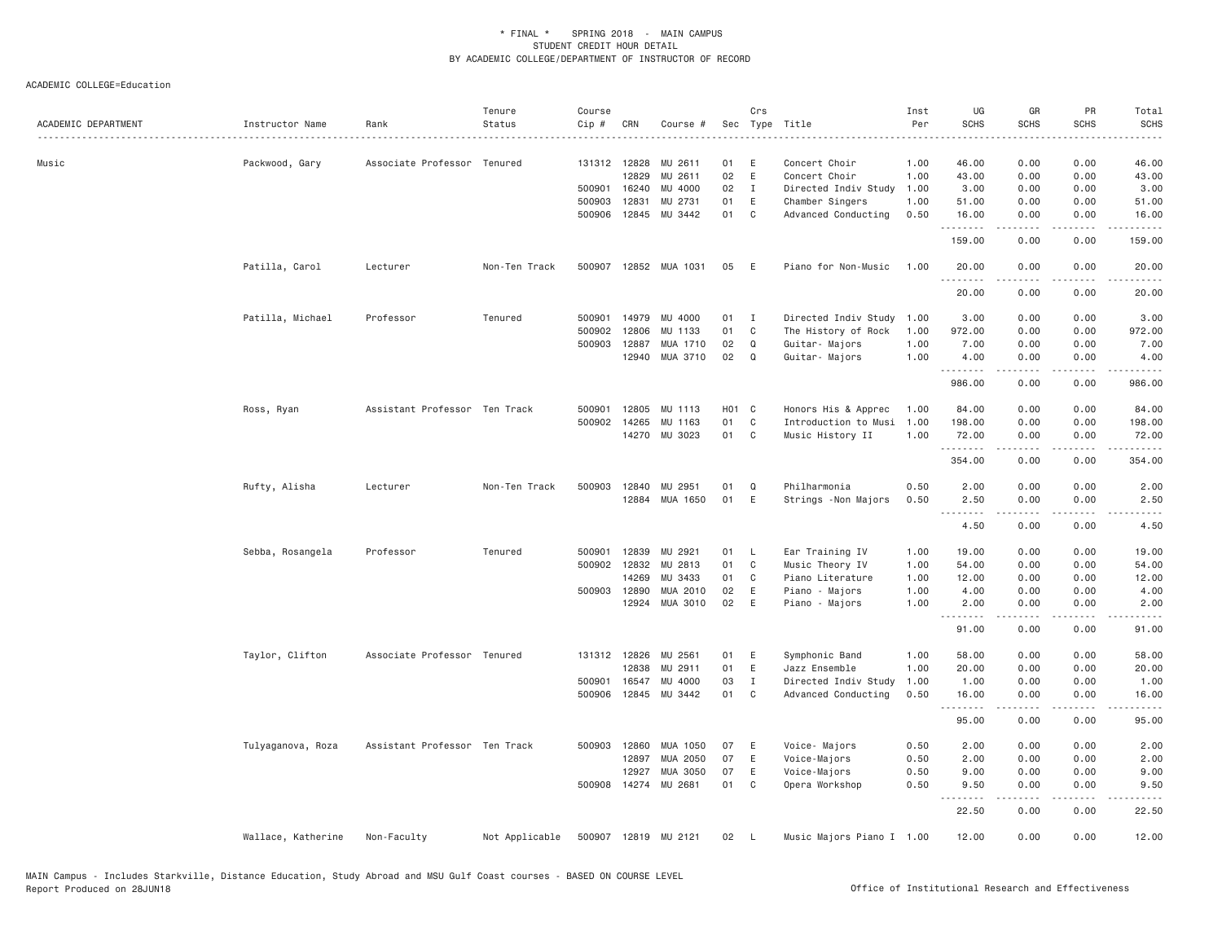| ACADEMIC DEPARTMENT | Instructor Name    | Rank<br>.                     | Tenure<br>Status | Course<br>Cip # | CRN          | Course #              |       | Crs            | Sec Type Title            | Inst<br>Per | UG<br><b>SCHS</b>               | GR<br><b>SCHS</b>   | PR<br><b>SCHS</b>    | Total<br><b>SCHS</b>  |
|---------------------|--------------------|-------------------------------|------------------|-----------------|--------------|-----------------------|-------|----------------|---------------------------|-------------|---------------------------------|---------------------|----------------------|-----------------------|
| Music               | Packwood, Gary     | Associate Professor Tenured   |                  |                 | 131312 12828 | MU 2611               | 01    | E              | Concert Choir             | 1.00        | 46.00                           | 0.00                | 0.00                 | 46.00                 |
|                     |                    |                               |                  |                 | 12829        | MU 2611               | 02    | E              | Concert Choir             | 1.00        | 43.00                           | 0.00                | 0.00                 | 43.00                 |
|                     |                    |                               |                  |                 | 500901 16240 | MU 4000               | 02    | $\mathbf{I}$   | Directed Indiv Study      | 1.00        | 3.00                            | 0.00                | 0.00                 | 3.00                  |
|                     |                    |                               |                  | 500903          | 12831        | MU 2731               | 01    | E              | Chamber Singers           | 1.00        | 51.00                           | 0.00                | 0.00                 | 51.00                 |
|                     |                    |                               |                  | 500906          | 12845        | MU 3442               | 01    | $\mathbf{C}$   | Advanced Conducting       | 0.50        | 16.00                           | 0.00                | 0.00                 | 16.00                 |
|                     |                    |                               |                  |                 |              |                       |       |                |                           |             | .<br>159.00                     | .<br>0.00           | $   -$<br>0.00       | 159.00                |
|                     | Patilla, Carol     | Lecturer                      | Non-Ten Track    |                 |              | 500907 12852 MUA 1031 | 05    | E              | Piano for Non-Music       | 1.00        | 20.00<br><u>.</u>               | 0.00<br>$- - - - -$ | 0.00<br>.            | 20.00<br>. <u>.</u> . |
|                     |                    |                               |                  |                 |              |                       |       |                |                           |             | 20.00                           | 0.00                | 0.00                 | 20.00                 |
|                     | Patilla, Michael   | Professor                     | Tenured          | 500901          | 14979        | MU 4000               | 01    | $\blacksquare$ | Directed Indiv Study      | 1.00        | 3.00                            | 0.00                | 0.00                 | 3.00                  |
|                     |                    |                               |                  | 500902          | 12806        | MU 1133               | 01    | C              | The History of Rock       | 1.00        | 972.00                          | 0.00                | 0.00                 | 972.00                |
|                     |                    |                               |                  | 500903          | 12887        | MUA 1710              | 02    | Q              | Guitar- Majors            | 1.00        | 7.00                            | 0.00                | 0.00                 | 7.00                  |
|                     |                    |                               |                  |                 | 12940        | MUA 3710              | 02    | $\Omega$       | Guitar- Majors            | 1.00        | 4.00<br>.                       | 0.00<br>.           | 0.00<br>$- - - -$    | 4.00<br>.             |
|                     |                    |                               |                  |                 |              |                       |       |                |                           |             | 986.00                          | 0.00                | 0.00                 | 986.00                |
|                     | Ross, Ryan         | Assistant Professor Ten Track |                  | 500901          | 12805        | MU 1113               | H01 C |                | Honors His & Apprec       | 1.00        | 84.00                           | 0.00                | 0.00                 | 84.00                 |
|                     |                    |                               |                  | 500902          | 14265        | MU 1163               | 01    | C              | Introduction to Musi      | 1.00        | 198.00                          | 0.00                | 0.00                 | 198.00                |
|                     |                    |                               |                  |                 |              | 14270 MU 3023         | 01 C  |                | Music History II          | 1.00        | 72.00<br>.                      | 0.00                | 0.00<br>$   -$       | 72.00                 |
|                     |                    |                               |                  |                 |              |                       |       |                |                           |             | 354.00                          | 0.00                | 0.00                 | 354.00                |
|                     | Rufty, Alisha      | Lecturer                      | Non-Ten Track    | 500903          | 12840        | MU 2951               | 01    | Q              | Philharmonia              | 0.50        | 2.00                            | 0.00                | 0.00                 | 2.00                  |
|                     |                    |                               |                  |                 | 12884        | MUA 1650              | 01    | E              | Strings -Non Majors       | 0.50        | 2.50                            | 0.00                | 0.00                 | 2.50                  |
|                     |                    |                               |                  |                 |              |                       |       |                |                           |             | 4.50                            | 0.00                | 0.00                 | 4.50                  |
|                     | Sebba, Rosangela   | Professor                     | Tenured          | 500901          | 12839        | MU 2921               | 01    | $\mathsf{L}$   | Ear Training IV           | 1.00        | 19.00                           | 0.00                | 0.00                 | 19.00                 |
|                     |                    |                               |                  |                 | 500902 12832 | MU 2813               | 01    | C              | Music Theory IV           | 1.00        | 54.00                           | 0.00                | 0.00                 | 54.00                 |
|                     |                    |                               |                  |                 | 14269        | MU 3433               | 01    | C              | Piano Literature          | 1.00        | 12.00                           | 0.00                | 0.00                 | 12.00                 |
|                     |                    |                               |                  |                 | 500903 12890 | MUA 2010              | 02    | E              | Piano - Majors            | 1.00        | 4.00                            | 0.00                | 0.00                 | 4.00                  |
|                     |                    |                               |                  |                 |              | 12924 MUA 3010        | 02    | E              | Piano - Majors            | 1.00        | 2.00<br><u> - - - - - - - -</u> | 0.00<br>.           | 0.00<br>.            | 2.00<br>-----         |
|                     |                    |                               |                  |                 |              |                       |       |                |                           |             | 91.00                           | 0.00                | 0.00                 | 91.00                 |
|                     | Taylor, Clifton    | Associate Professor Tenured   |                  |                 | 131312 12826 | MU 2561               | 01    | E              | Symphonic Band            | 1.00        | 58.00                           | 0.00                | 0.00                 | 58.00                 |
|                     |                    |                               |                  |                 | 12838        | MU 2911               | 01    | E              | Jazz Ensemble             | 1.00        | 20.00                           | 0.00                | 0.00                 | 20.00                 |
|                     |                    |                               |                  | 500901          | 16547        | MU 4000               | 03    | $\mathbf{I}$   | Directed Indiv Study      | 1.00        | 1.00                            | 0.00                | 0.00                 | 1.00                  |
|                     |                    |                               |                  |                 | 500906 12845 | MU 3442               | 01    | C.             | Advanced Conducting       | 0.50        | 16.00<br>.                      | 0.00                | 0.00                 | 16.00                 |
|                     |                    |                               |                  |                 |              |                       |       |                |                           |             | 95.00                           | 0.00                | 0.00                 | 95.00                 |
|                     | Tulyaganova, Roza  | Assistant Professor Ten Track |                  |                 | 500903 12860 | MUA 1050              | 07    | E              | Voice- Majors             | 0.50        | 2.00                            | 0.00                | 0.00                 | 2.00                  |
|                     |                    |                               |                  |                 | 12897        | MUA 2050              | 07    | E              | Voice-Majors              | 0.50        | 2.00                            | 0.00                | 0.00                 | 2.00                  |
|                     |                    |                               |                  |                 | 12927        | MUA 3050              | 07    | E              | Voice-Majors              | 0.50        | 9.00                            | 0.00                | 0.00                 | 9.00                  |
|                     |                    |                               |                  |                 |              | 500908 14274 MU 2681  | 01    | C              | Opera Workshop            | 0.50        | 9.50<br>$- - -$<br>$- - -$      | 0.00<br>-----       | 0.00<br>. <b>.</b> . | 9.50                  |
|                     |                    |                               |                  |                 |              |                       |       |                |                           |             | 22.50                           | 0.00                | 0.00                 | 22.50                 |
|                     | Wallace, Katherine | Non-Faculty                   | Not Applicable   |                 |              | 500907 12819 MU 2121  | 02    | - L            | Music Majors Piano I 1.00 |             | 12.00                           | 0.00                | 0.00                 | 12.00                 |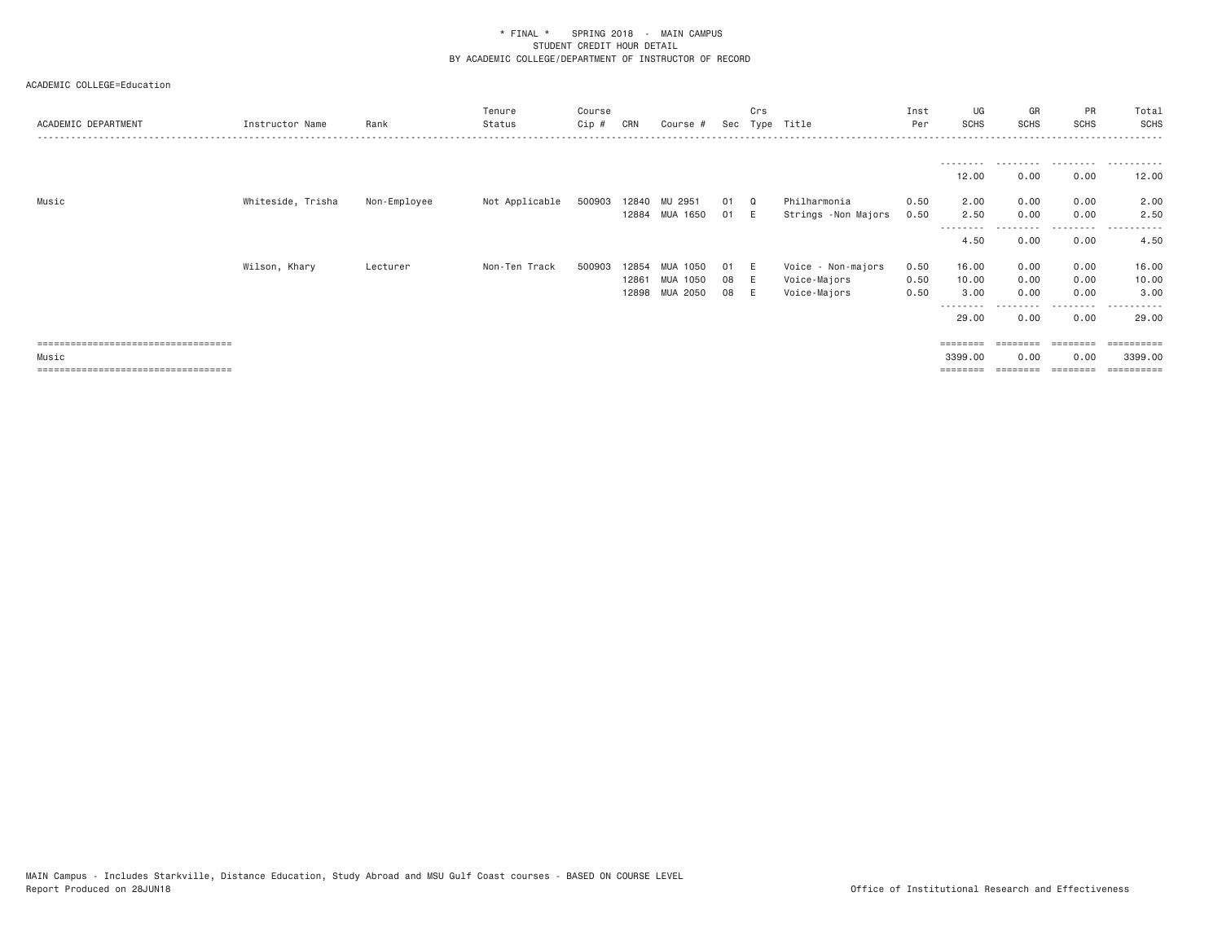| ACADEMIC DEPARTMENT                   | Instructor Name   | Rank         | Tenure<br>Status | Course<br>$Cip \#$ | CRN   | Course #       |    | Crs      | Sec Type Title      | Inst<br>Per | UG<br><b>SCHS</b> | GR<br><b>SCHS</b> | PR<br><b>SCHS</b> | Total<br>SCHS<br>.      |
|---------------------------------------|-------------------|--------------|------------------|--------------------|-------|----------------|----|----------|---------------------|-------------|-------------------|-------------------|-------------------|-------------------------|
|                                       |                   |              |                  |                    |       |                |    |          |                     |             | .                 | .                 | .                 | .                       |
|                                       |                   |              |                  |                    |       |                |    |          |                     |             | 12.00             | 0.00              | 0.00              | 12.00                   |
| Music                                 | Whiteside, Trisha | Non-Employee | Not Applicable   | 500903             |       | 12840 MU 2951  | 01 | $\Omega$ | Philharmonia        | 0.50        | 2.00              | 0.00              | 0.00              | 2.00                    |
|                                       |                   |              |                  |                    |       | 12884 MUA 1650 | 01 | - E      | Strings -Non Majors | 0.50        | 2.50              | 0.00              | 0.00              | 2.50                    |
|                                       |                   |              |                  |                    |       |                |    |          |                     |             | ---------<br>4.50 | 0.00              | .<br>0.00         | .<br>4.50               |
|                                       | Wilson, Khary     | Lecturer     | Non-Ten Track    | 500903             | 12854 | MUA 1050       | 01 | - E      | Voice - Non-majors  | 0.50        | 16.00             | 0.00              | 0.00              | 16.00                   |
|                                       |                   |              |                  |                    | 12861 | MUA 1050       | 08 | - E      | Voice-Majors        | 0.50        | 10.00             | 0.00              | 0.00              | 10.00                   |
|                                       |                   |              |                  |                    | 12898 | MUA 2050       | 08 |          | Voice-Majors        | 0.50        | 3.00              | 0.00              | 0.00              | 3.00                    |
|                                       |                   |              |                  |                    |       |                |    |          |                     |             | --------<br>29.00 | 0.00              | ---------<br>0.00 | ----------<br>29,00     |
| ===================================== |                   |              |                  |                    |       |                |    |          |                     |             |                   | ========          |                   | $=$ = = = = = = = = = = |
| Music                                 |                   |              |                  |                    |       |                |    |          |                     |             | 3399.00           | 0.00              | 0.00              | 3399.00                 |
| ===================================== |                   |              |                  |                    |       |                |    |          |                     |             | ========          |                   |                   | $=$ = = = = = = = = =   |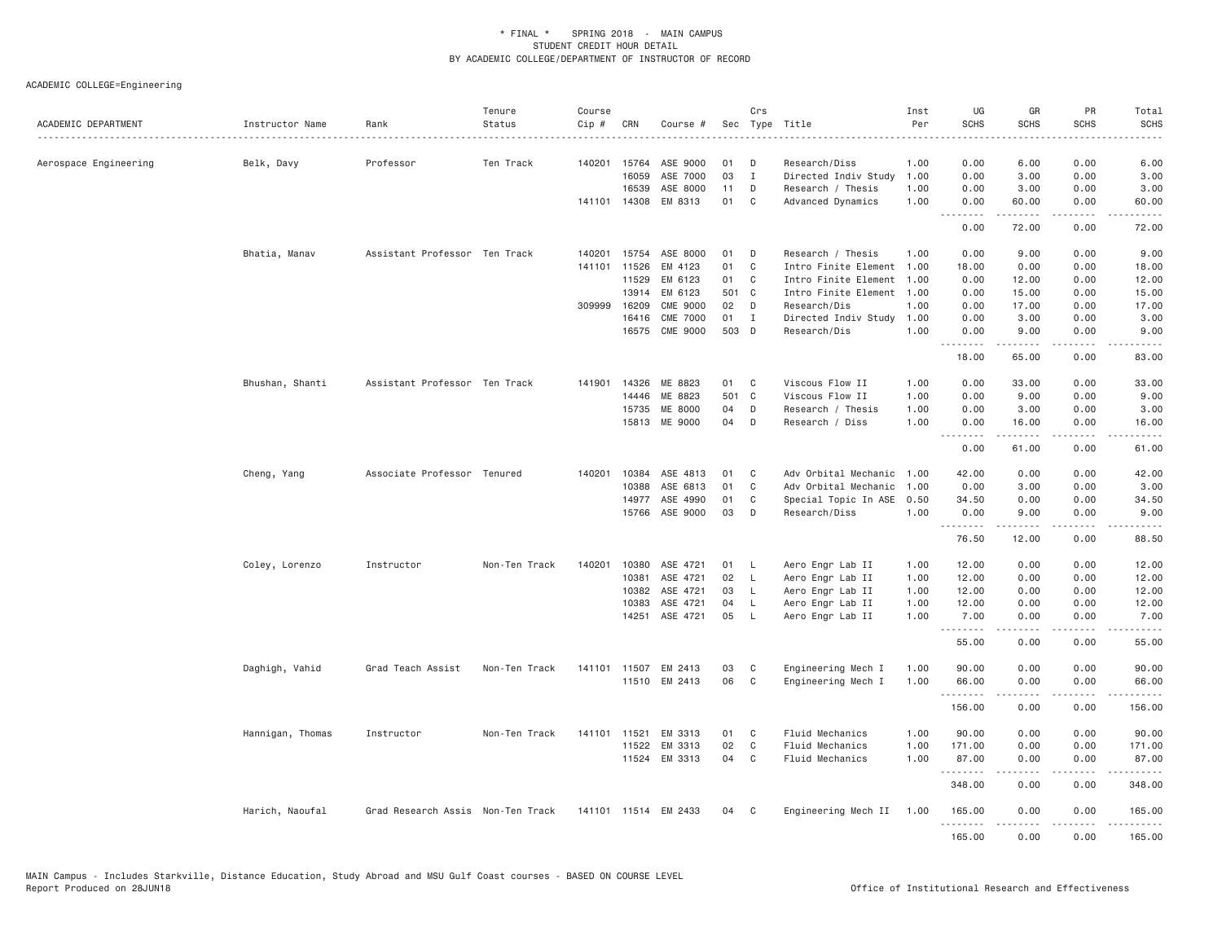ACADEMIC COLLEGE=Engineering

| ACADEMIC DEPARTMENT<br>------------------------------------- | Instructor Name<br><u>.</u> | Rank                              | Tenure<br>Status | Course<br>Cip # | CRN          | Course #             |          | Crs          | Sec Type Title            | Inst<br>Per | UG<br><b>SCHS</b> | GR<br><b>SCHS</b>    | <b>PR</b><br><b>SCHS</b>            | Total<br><b>SCHS</b><br>----        |
|--------------------------------------------------------------|-----------------------------|-----------------------------------|------------------|-----------------|--------------|----------------------|----------|--------------|---------------------------|-------------|-------------------|----------------------|-------------------------------------|-------------------------------------|
| Aerospace Engineering                                        | Belk, Davy                  | Professor                         | Ten Track        | 140201          | 15764        | ASE 9000             | 01       | D            | Research/Diss             | 1.00        | 0.00              | 6.00                 | 0.00                                | 6.00                                |
|                                                              |                             |                                   |                  |                 | 16059        | ASE 7000             | 03       | $\mathbf{I}$ | Directed Indiv Study      | 1.00        | 0.00              | 3.00                 | 0.00                                | 3.00                                |
|                                                              |                             |                                   |                  |                 | 16539        | ASE 8000             | 11       | D            | Research / Thesis         | 1.00        | 0.00              | 3.00                 | 0.00                                | 3.00                                |
|                                                              |                             |                                   |                  |                 | 141101 14308 | EM 8313              | 01       | C            | Advanced Dynamics         | 1.00        | 0.00<br>.         | 60.00<br>$- - - - -$ | 0.00                                | 60.00<br>.                          |
|                                                              |                             |                                   |                  |                 |              |                      |          |              |                           |             | 0.00              | 72.00                | 0.00                                | 72.00                               |
|                                                              | Bhatia, Manav               | Assistant Professor Ten Track     |                  | 140201          | 15754        | ASE 8000             | 01       | D            | Research / Thesis         | 1.00        | 0.00              | 9.00                 | 0.00                                | 9.00                                |
|                                                              |                             |                                   |                  | 141101          | 11526        | EM 4123              | 01       | C            | Intro Finite Element      | 1.00        | 18.00             | 0.00                 | 0.00                                | 18.00                               |
|                                                              |                             |                                   |                  |                 | 11529        | EM 6123              | 01       | C            | Intro Finite Element      | 1.00        | 0.00              | 12.00                | 0.00                                | 12.00                               |
|                                                              |                             |                                   |                  |                 | 13914        | EM 6123              | 501 C    |              | Intro Finite Element 1.00 |             | 0.00              | 15.00                | 0.00                                | 15.00                               |
|                                                              |                             |                                   |                  |                 | 309999 16209 | CME 9000             | 02       | D            | Research/Dis              | 1.00        | 0.00              | 17.00                | 0.00                                | 17.00                               |
|                                                              |                             |                                   |                  |                 | 16416        | <b>CME 7000</b>      | 01       | $\mathbf{I}$ | Directed Indiv Study      | 1.00        | 0.00              | 3.00                 | 0.00                                | 3.00                                |
|                                                              |                             |                                   |                  |                 | 16575        | CME 9000             | 503 D    |              | Research/Dis              | 1.00        | 0.00<br>.         | 9.00<br>.            | 0.00<br>.                           | 9.00<br>والمناصبات                  |
|                                                              |                             |                                   |                  |                 |              |                      |          |              |                           |             | 18.00             | 65.00                | 0.00                                | 83.00                               |
|                                                              | Bhushan, Shanti             | Assistant Professor Ten Track     |                  | 141901          | 14326        | ME 8823              | 01       | C            | Viscous Flow II           | 1.00        | 0.00              | 33.00                | 0.00                                | 33.00                               |
|                                                              |                             |                                   |                  |                 | 14446        | ME 8823              | 501 C    |              | Viscous Flow II           | 1,00        | 0.00              | 9.00                 | 0.00                                | 9.00                                |
|                                                              |                             |                                   |                  |                 | 15735        | ME 8000              | 04       | D            | Research / Thesis         | 1.00        | 0.00              | 3.00                 | 0.00                                | 3.00                                |
|                                                              |                             |                                   |                  |                 | 15813        | ME 9000              | 04       | D            | Research / Diss           | 1.00        | 0.00              | 16.00                | 0.00                                | 16.00                               |
|                                                              |                             |                                   |                  |                 |              |                      |          |              |                           |             | .<br>0.00         | <u>.</u><br>61.00    | $   -$<br>0.00                      | $- - - -$<br>61.00                  |
|                                                              |                             |                                   |                  |                 |              |                      |          |              |                           |             |                   |                      |                                     |                                     |
|                                                              | Cheng, Yang                 | Associate Professor Tenured       |                  | 140201          | 10384        | ASE 4813             | 01       | C            | Adv Orbital Mechanic      | 1.00        | 42.00             | 0.00                 | 0.00                                | 42.00                               |
|                                                              |                             |                                   |                  |                 | 10388        | ASE 6813             | 01       | C            | Adv Orbital Mechanic      | 1.00        | 0.00              | 3.00                 | 0.00                                | 3.00                                |
|                                                              |                             |                                   |                  |                 | 14977        | ASE 4990             | 01<br>03 | C            | Special Topic In ASE      | 0.50        | 34.50             | 0.00                 | 0.00                                | 34.50                               |
|                                                              |                             |                                   |                  |                 |              | 15766 ASE 9000       |          | D            | Research/Diss             | 1.00        | 0.00<br>.         | 9.00<br>.            | 0.00<br>.                           | 9.00<br>.                           |
|                                                              |                             |                                   |                  |                 |              |                      |          |              |                           |             | 76.50             | 12.00                | 0.00                                | 88.50                               |
|                                                              | Coley, Lorenzo              | Instructor                        | Non-Ten Track    | 140201          | 10380        | ASE 4721             | 01       | L,           | Aero Engr Lab II          | 1.00        | 12.00             | 0.00                 | 0.00                                | 12.00                               |
|                                                              |                             |                                   |                  |                 | 10381        | ASE 4721             | 02       | - L          | Aero Engr Lab II          | 1.00        | 12.00             | 0.00                 | 0.00                                | 12.00                               |
|                                                              |                             |                                   |                  |                 | 10382        | ASE 4721             | 03       | L.           | Aero Engr Lab II          | 1.00        | 12.00             | 0.00                 | 0.00                                | 12.00                               |
|                                                              |                             |                                   |                  |                 | 10383        | ASE 4721             | 04       | L            | Aero Engr Lab II          | 1.00        | 12.00             | 0.00                 | 0.00                                | 12.00                               |
|                                                              |                             |                                   |                  |                 | 14251        | ASE 4721             | 05       | - L          | Aero Engr Lab II          | 1.00        | 7.00<br>.         | 0.00<br>.            | 0.00<br>$\sim$ $\sim$ $\sim$ $\sim$ | 7.00<br>$\sim$ $\sim$ $\sim$ $\sim$ |
|                                                              |                             |                                   |                  |                 |              |                      |          |              |                           |             | 55.00             | 0.00                 | 0.00                                | 55.00                               |
|                                                              | Daghigh, Vahid              | Grad Teach Assist                 | Non-Ten Track    |                 | 141101 11507 | EM 2413              | 03       | C            | Engineering Mech I        | 1.00        | 90.00             | 0.00                 | 0.00                                | 90.00                               |
|                                                              |                             |                                   |                  |                 |              | 11510 EM 2413        | 06       | C            | Engineering Mech I        | 1.00        | 66.00<br>.        | 0.00<br>$- - - - -$  | 0.00<br>.                           | 66.00<br>.                          |
|                                                              |                             |                                   |                  |                 |              |                      |          |              |                           |             | 156.00            | 0.00                 | 0.00                                | 156.00                              |
|                                                              | Hannigan, Thomas            | Instructor                        | Non-Ten Track    | 141101          | 11521        | EM 3313              | 01       | C            | Fluid Mechanics           | 1.00        | 90.00             | 0.00                 | 0.00                                | 90.00                               |
|                                                              |                             |                                   |                  |                 | 11522        | EM 3313              | 02       | C            | <b>Fluid Mechanics</b>    | 1.00        | 171.00            | 0.00                 | 0.00                                | 171.00                              |
|                                                              |                             |                                   |                  |                 |              | 11524 EM 3313        | 04       | C            | Fluid Mechanics           | 1.00        | 87.00<br><u>.</u> | 0.00<br>$- - - - -$  | 0.00<br>.                           | 87.00<br>$- - - - - -$              |
|                                                              |                             |                                   |                  |                 |              |                      |          |              |                           |             | 348.00            | 0.00                 | 0.00                                | 348.00                              |
|                                                              | Harich, Naoufal             | Grad Research Assis Non-Ten Track |                  |                 |              | 141101 11514 EM 2433 | 04       | $\mathbf{C}$ | Engineering Mech II       | 1.00        | 165.00<br>.       | 0.00<br>-----        | 0.00<br>.                           | 165.00<br>.                         |
|                                                              |                             |                                   |                  |                 |              |                      |          |              |                           |             | 165.00            | 0.00                 | 0.00                                | 165.00                              |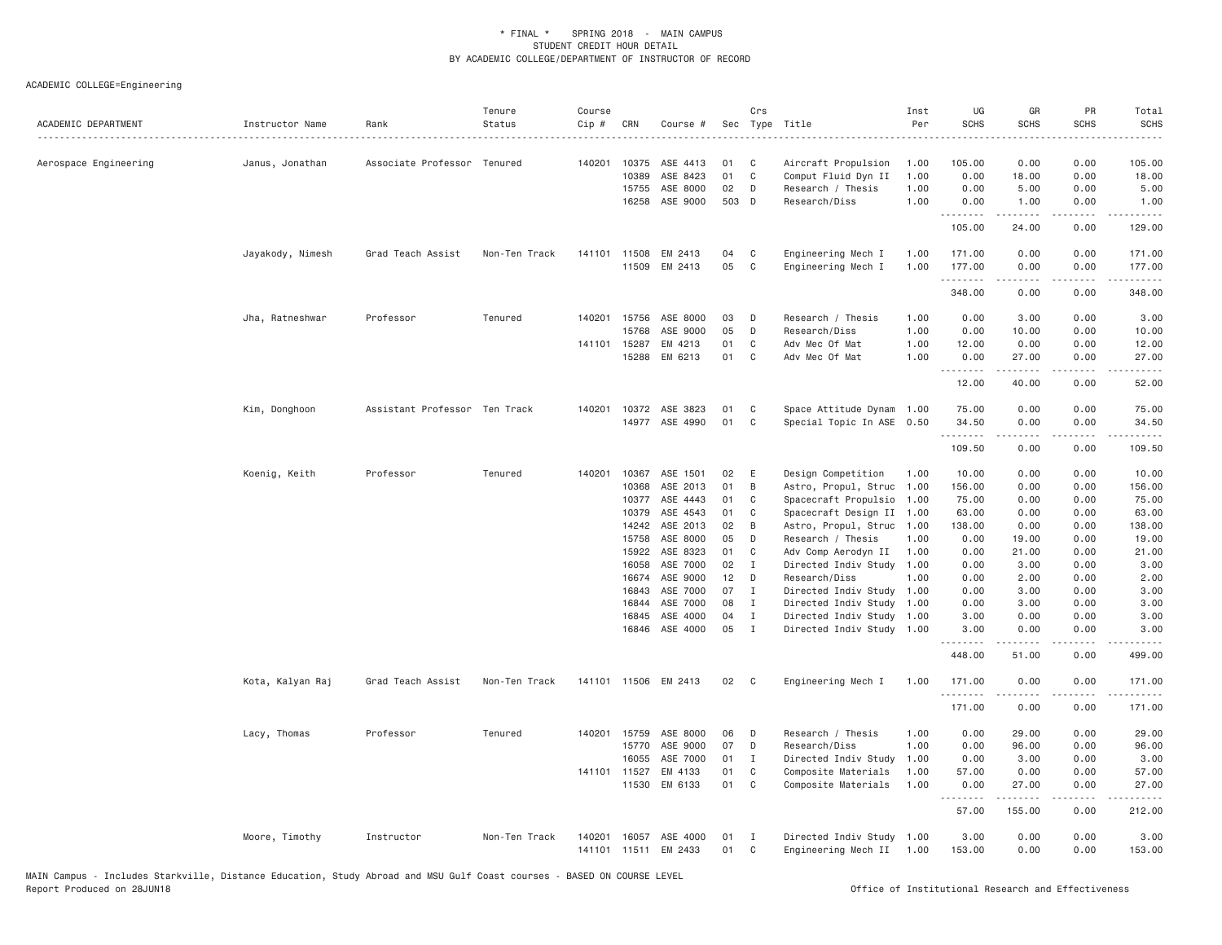ACADEMIC COLLEGE=Engineering

| ACADEMIC DEPARTMENT   | Instructor Name  | Rank                          | Tenure<br>Status | Course<br>Cip # | CRN            | Course #             |          | Crs          | Sec Type Title                            | Inst<br>Per  | UG<br><b>SCHS</b> | GR<br><b>SCHS</b>   | PR<br><b>SCHS</b>                   | Total<br><b>SCHS</b><br>.      |
|-----------------------|------------------|-------------------------------|------------------|-----------------|----------------|----------------------|----------|--------------|-------------------------------------------|--------------|-------------------|---------------------|-------------------------------------|--------------------------------|
| Aerospace Engineering | Janus, Jonathan  | Associate Professor Tenured   |                  |                 | 140201 10375   | ASE 4413             | 01       | C            | Aircraft Propulsion                       | 1.00         | 105.00            | 0.00                | 0.00                                | 105.00                         |
|                       |                  |                               |                  |                 | 10389          | ASE 8423             | 01       | C            | Comput Fluid Dyn II                       | 1.00         | 0.00              | 18.00               | 0.00                                | 18.00                          |
|                       |                  |                               |                  |                 | 15755          | ASE 8000             | 02       | D            | Research / Thesis                         | 1.00         | 0.00              | 5.00                | 0.00                                | 5.00                           |
|                       |                  |                               |                  |                 | 16258          | ASE 9000             | 503 D    |              | Research/Diss                             | 1.00         | 0.00<br>.         | 1.00                | 0.00<br>.                           | 1.00<br>.                      |
|                       |                  |                               |                  |                 |                |                      |          |              |                                           |              | 105.00            | 24.00               | 0.00                                | 129.00                         |
|                       | Jayakody, Nimesh | Grad Teach Assist             | Non-Ten Track    |                 | 141101 11508   | EM 2413              | 04       | C            | Engineering Mech I                        | 1.00         | 171.00            | 0.00                | 0.00                                | 171.00                         |
|                       |                  |                               |                  |                 | 11509          | EM 2413              | 05       | C            | Engineering Mech I                        | 1.00         | 177.00<br>.       | 0.00<br>-----       | 0.00<br>$\sim$ $\sim$ $\sim$ $\sim$ | 177.00<br>$\omega$ is a set of |
|                       |                  |                               |                  |                 |                |                      |          |              |                                           |              | 348.00            | 0.00                | 0.00                                | 348.00                         |
|                       | Jha, Ratneshwar  | Professor                     | Tenured          |                 | 140201 15756   | ASE 8000             | 03       | D            | Research / Thesis                         | 1.00         | 0.00              | 3.00                | 0.00                                | 3.00                           |
|                       |                  |                               |                  |                 | 15768          | ASE 9000             | 05       | D            | Research/Diss                             | 1.00         | 0.00              | 10.00               | 0.00                                | 10.00                          |
|                       |                  |                               |                  | 141101          | 15287          | EM 4213              | 01       | C            | Adv Mec Of Mat                            | 1.00         | 12.00             | 0.00                | 0.00                                | 12.00                          |
|                       |                  |                               |                  |                 | 15288          | EM 6213              | 01       | C            | Adv Mec Of Mat                            | 1.00         | 0.00<br><u>.</u>  | 27.00<br>.          | 0.00<br>.                           | 27.00<br>.                     |
|                       |                  |                               |                  |                 |                |                      |          |              |                                           |              | 12.00             | 40.00               | 0.00                                | 52.00                          |
|                       | Kim, Donghoon    | Assistant Professor Ten Track |                  | 140201          | 10372          | ASE 3823             | 01       | C            | Space Attitude Dynam 1.00                 |              | 75.00             | 0.00                | 0.00                                | 75.00                          |
|                       |                  |                               |                  |                 |                | 14977 ASE 4990       | 01       | C            | Special Topic In ASE 0.50                 |              | 34.50<br>.        | 0.00<br>.           | 0.00<br>د د د د                     | 34.50<br>.                     |
|                       |                  |                               |                  |                 |                |                      |          |              |                                           |              | 109.50            | 0.00                | 0.00                                | 109.50                         |
|                       | Koenig, Keith    | Professor                     | Tenured          | 140201          | 10367          | ASE 1501             | 02       | E            | Design Competition                        | 1.00         | 10.00             | 0.00                | 0.00                                | 10.00                          |
|                       |                  |                               |                  |                 | 10368          | ASE 2013             | 01       | B            | Astro, Propul, Struc                      | 1.00         | 156.00            | 0.00                | 0.00                                | 156.00                         |
|                       |                  |                               |                  |                 | 10377          | ASE 4443             | 01       | C            | Spacecraft Propulsio                      | 1.00         | 75.00             | 0.00                | 0.00                                | 75.00                          |
|                       |                  |                               |                  |                 | 10379<br>14242 | ASE 4543<br>ASE 2013 | 01<br>02 | C<br>B       | Spacecraft Design II                      | 1.00<br>1.00 | 63.00             | 0.00                | 0.00<br>0.00                        | 63.00                          |
|                       |                  |                               |                  |                 | 15758          | ASE 8000             | 05       | D            | Astro, Propul, Struc<br>Research / Thesis | 1,00         | 138.00<br>0.00    | 0.00<br>19.00       | 0.00                                | 138.00<br>19.00                |
|                       |                  |                               |                  |                 | 15922          | ASE 8323             | 01       | C            | Adv Comp Aerodyn II                       | 1.00         | 0.00              | 21.00               | 0.00                                | 21.00                          |
|                       |                  |                               |                  |                 | 16058          | ASE 7000             | 02       | $\mathbf{I}$ | Directed Indiv Study 1.00                 |              | 0.00              | 3.00                | 0.00                                | 3.00                           |
|                       |                  |                               |                  |                 | 16674          | ASE 9000             | 12       | D            | Research/Diss                             | 1.00         | 0.00              | 2.00                | 0.00                                | 2.00                           |
|                       |                  |                               |                  |                 | 16843          | ASE 7000             | 07       | $\mathbf I$  | Directed Indiv Study                      | 1.00         | 0.00              | 3.00                | 0.00                                | 3.00                           |
|                       |                  |                               |                  |                 | 16844          | ASE 7000             | 08       | $\mathbf{I}$ | Directed Indiv Study                      | 1.00         | 0.00              | 3.00                | 0.00                                | 3.00                           |
|                       |                  |                               |                  |                 | 16845          | ASE 4000             | 04       | I            | Directed Indiv Study                      | 1.00         | 3.00              | 0.00                | 0.00                                | 3.00                           |
|                       |                  |                               |                  |                 | 16846          | ASE 4000             | 05       | $\mathbf{I}$ | Directed Indiv Study 1.00                 |              | 3.00              | 0.00                | 0.00                                | 3.00                           |
|                       |                  |                               |                  |                 |                |                      |          |              |                                           |              | 448.00            | 51.00               | 0.00                                | 499.00                         |
|                       | Kota, Kalyan Raj | Grad Teach Assist             | Non-Ten Track    |                 |                | 141101 11506 EM 2413 | 02       | $\mathbf{C}$ | Engineering Mech I                        | 1.00         | 171.00<br>.       | 0.00<br>$- - - - -$ | 0.00<br>$\frac{1}{2}$               | 171.00<br>$- - - - - -$        |
|                       |                  |                               |                  |                 |                |                      |          |              |                                           |              | 171.00            | 0.00                | 0.00                                | 171.00                         |
|                       | Lacy, Thomas     | Professor                     | Tenured          | 140201          | 15759          | ASE 8000             | 06       | D            | Research / Thesis                         | 1.00         | 0.00              | 29.00               | 0.00                                | 29.00                          |
|                       |                  |                               |                  |                 | 15770          | ASE 9000             | 07       | D            | Research/Diss                             | 1.00         | 0.00              | 96.00               | 0.00                                | 96.00                          |
|                       |                  |                               |                  |                 | 16055          | ASE 7000             | 01       | I            | Directed Indiv Study                      | 1.00         | 0.00              | 3.00                | 0.00                                | 3.00                           |
|                       |                  |                               |                  |                 | 141101 11527   | EM 4133              | 01       | C            | Composite Materials                       | 1.00         | 57.00             | 0.00                | 0.00                                | 57.00                          |
|                       |                  |                               |                  |                 |                | 11530 EM 6133        | 01       | C            | Composite Materials                       | 1.00         | 0.00<br>.         | 27.00               | 0.00<br>.                           | 27.00<br>.                     |
|                       |                  |                               |                  |                 |                |                      |          |              |                                           |              | 57.00             | 155.00              | 0.00                                | 212.00                         |
|                       | Moore, Timothy   | Instructor                    | Non-Ten Track    | 140201          | 16057          | ASE 4000             | 01       | I            | Directed Indiv Study 1.00                 |              | 3.00              | 0.00                | 0.00                                | 3.00                           |
|                       |                  |                               |                  | 141101          | 11511          | EM 2433              | 01       | C            | Engineering Mech II 1.00                  |              | 153.00            | 0.00                | 0.00                                | 153.00                         |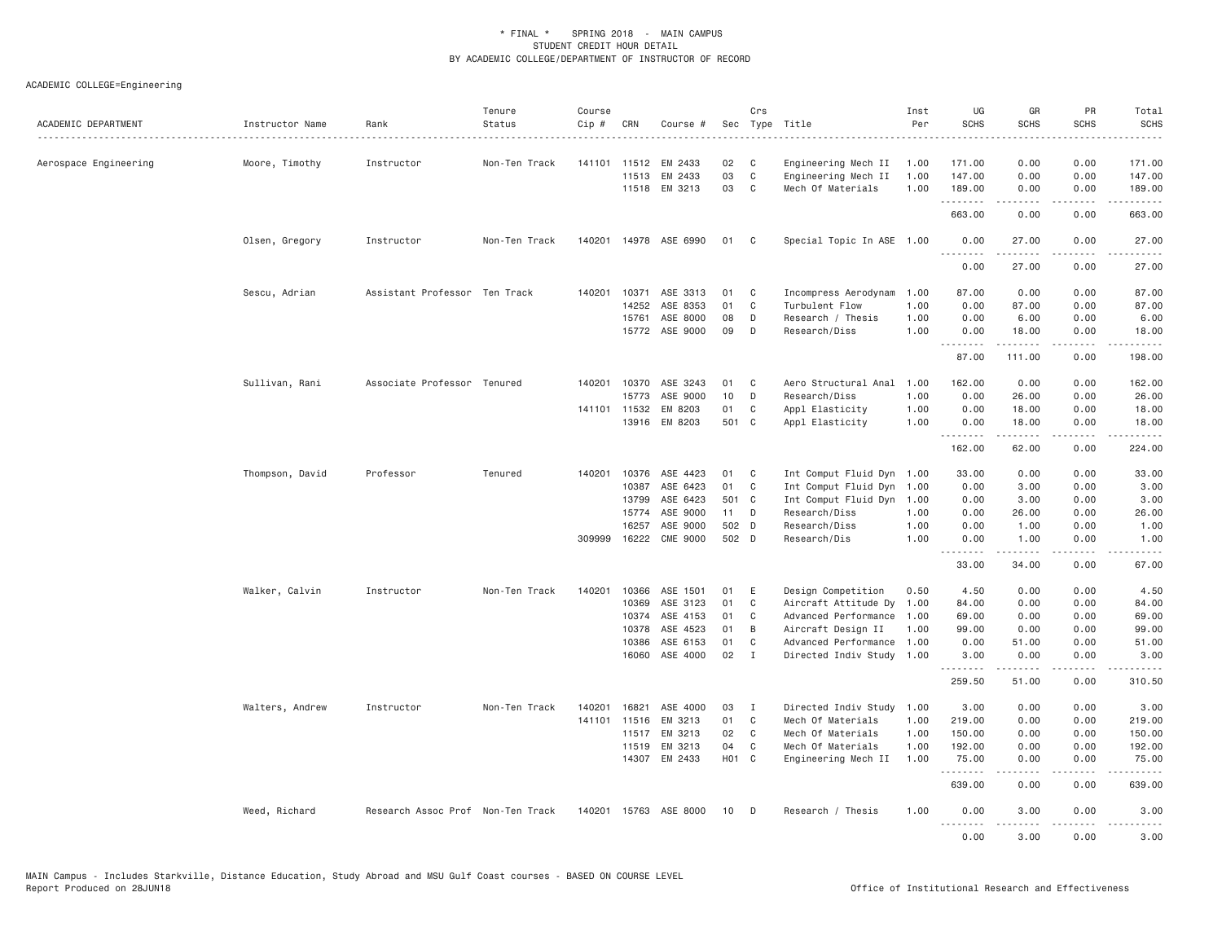ACADEMIC COLLEGE=Engineering

| ACADEMIC DEPARTMENT   | Instructor Name | Rank                              | Tenure<br>Status | Course<br>Cip # | CRN          | Course #              |       | Crs          | Sec Type Title            | Inst<br>Per | UG<br><b>SCHS</b> | GR<br>SCHS                                                                                                                                                    | <b>PR</b><br><b>SCHS</b>            | Total<br><b>SCHS</b><br>$\cdots$                                                                                                  |
|-----------------------|-----------------|-----------------------------------|------------------|-----------------|--------------|-----------------------|-------|--------------|---------------------------|-------------|-------------------|---------------------------------------------------------------------------------------------------------------------------------------------------------------|-------------------------------------|-----------------------------------------------------------------------------------------------------------------------------------|
| Aerospace Engineering | Moore, Timothy  | Instructor                        | Non-Ten Track    | 141101          | 11512        | EM 2433               | 02    | C            | Engineering Mech II       | 1.00        | 171.00            | 0.00                                                                                                                                                          | 0.00                                | 171.00                                                                                                                            |
|                       |                 |                                   |                  |                 | 11513        | EM 2433               | 03    | $\mathbb C$  | Engineering Mech II       | 1.00        | 147.00            | 0.00                                                                                                                                                          | 0.00                                | 147.00                                                                                                                            |
|                       |                 |                                   |                  |                 |              | 11518 EM 3213         | 03    | C            | Mech Of Materials         | 1.00        | 189.00<br>.       | 0.00<br>2.2.2.2.2                                                                                                                                             | 0.00<br>د د د د                     | 189.00<br>.                                                                                                                       |
|                       |                 |                                   |                  |                 |              |                       |       |              |                           |             | 663.00            | 0.00                                                                                                                                                          | 0.00                                | 663.00                                                                                                                            |
|                       | Olsen, Gregory  | Instructor                        | Non-Ten Track    |                 |              | 140201 14978 ASE 6990 | 01    | $\mathbf{C}$ | Special Topic In ASE 1.00 |             | 0.00<br>.         | 27.00<br>.                                                                                                                                                    | 0.00                                | 27.00<br>.                                                                                                                        |
|                       |                 |                                   |                  |                 |              |                       |       |              |                           |             | 0.00              | 27,00                                                                                                                                                         | 0.00                                | 27,00                                                                                                                             |
|                       | Sescu, Adrian   | Assistant Professor Ten Track     |                  |                 |              | 140201 10371 ASE 3313 | 01    | C            | Incompress Aerodynam      | 1.00        | 87.00             | 0.00                                                                                                                                                          | 0.00                                | 87.00                                                                                                                             |
|                       |                 |                                   |                  |                 | 14252        | ASE 8353              | 01    | C            | Turbulent Flow            | 1.00        | 0.00              | 87.00                                                                                                                                                         | 0.00                                | 87.00                                                                                                                             |
|                       |                 |                                   |                  |                 | 15761        | ASE 8000              | 08    | D            | Research / Thesis         | 1.00        | 0.00              | 6.00                                                                                                                                                          | 0.00                                | 6.00                                                                                                                              |
|                       |                 |                                   |                  |                 |              | 15772 ASE 9000        | 09    | D            | Research/Diss             | 1.00        | 0.00<br>.         | 18.00<br>.                                                                                                                                                    | 0.00<br>.                           | 18.00<br><u>.</u>                                                                                                                 |
|                       |                 |                                   |                  |                 |              |                       |       |              |                           |             | 87.00             | 111.00                                                                                                                                                        | 0.00                                | 198.00                                                                                                                            |
|                       | Sullivan, Rani  | Associate Professor Tenured       |                  | 140201          | 10370        | ASE 3243              | 01    | C            | Aero Structural Anal      | 1.00        | 162.00            | 0.00                                                                                                                                                          | 0.00                                | 162.00                                                                                                                            |
|                       |                 |                                   |                  |                 | 15773        | ASE 9000              | 10    | D            | Research/Diss             | 1.00        | 0.00              | 26.00                                                                                                                                                         | 0.00                                | 26.00                                                                                                                             |
|                       |                 |                                   |                  |                 | 141101 11532 | EM 8203               | 01    | C            | Appl Elasticity           | 1.00        | 0.00              | 18.00                                                                                                                                                         | 0.00                                | 18.00                                                                                                                             |
|                       |                 |                                   |                  |                 |              | 13916 EM 8203         | 501 C |              | Appl Elasticity           | 1.00        | 0.00<br>.         | 18.00<br>$\frac{1}{2} \left( \frac{1}{2} \right) \left( \frac{1}{2} \right) \left( \frac{1}{2} \right) \left( \frac{1}{2} \right) \left( \frac{1}{2} \right)$ | 0.00<br>لأعامل                      | 18.00<br>.                                                                                                                        |
|                       |                 |                                   |                  |                 |              |                       |       |              |                           |             | 162.00            | 62.00                                                                                                                                                         | 0.00                                | 224.00                                                                                                                            |
|                       | Thompson, David | Professor                         | Tenured          |                 | 140201 10376 | ASE 4423              | 01    | C            | Int Comput Fluid Dyn 1.00 |             | 33.00             | 0.00                                                                                                                                                          | 0.00                                | 33.00                                                                                                                             |
|                       |                 |                                   |                  |                 | 10387        | ASE 6423              | 01    | C            | Int Comput Fluid Dyn      | 1.00        | 0.00              | 3.00                                                                                                                                                          | 0.00                                | 3.00                                                                                                                              |
|                       |                 |                                   |                  |                 | 13799        | ASE 6423              | 501 C |              | Int Comput Fluid Dyn 1.00 |             | 0.00              | 3.00                                                                                                                                                          | 0.00                                | 3.00                                                                                                                              |
|                       |                 |                                   |                  |                 | 15774        | ASE 9000              | 11    | D            | Research/Diss             | 1.00        | 0.00              | 26.00                                                                                                                                                         | 0.00                                | 26.00                                                                                                                             |
|                       |                 |                                   |                  |                 | 16257        | ASE 9000              | 502 D |              | Research/Diss             | 1.00        | 0.00              | 1.00                                                                                                                                                          | 0.00                                | 1.00                                                                                                                              |
|                       |                 |                                   |                  | 309999          | 16222        | <b>CME 9000</b>       | 502 D |              | Research/Dis              | 1.00        | 0.00<br>.         | 1.00                                                                                                                                                          | 0.00                                | 1.00                                                                                                                              |
|                       |                 |                                   |                  |                 |              |                       |       |              |                           |             | 33.00             | 34.00                                                                                                                                                         | 0.00                                | 67.00                                                                                                                             |
|                       | Walker, Calvin  | Instructor                        | Non-Ten Track    | 140201          | 10366        | ASE 1501              | 01    | E            | Design Competition        | 0.50        | 4.50              | 0.00                                                                                                                                                          | 0.00                                | 4.50                                                                                                                              |
|                       |                 |                                   |                  |                 | 10369        | ASE 3123              | 01    | C            | Aircraft Attitude Dy      | 1,00        | 84.00             | 0.00                                                                                                                                                          | 0.00                                | 84.00                                                                                                                             |
|                       |                 |                                   |                  |                 | 10374        | ASE 4153              | 01    | C            | Advanced Performance      | 1.00        | 69.00             | 0.00                                                                                                                                                          | 0.00                                | 69.00                                                                                                                             |
|                       |                 |                                   |                  |                 | 10378        | ASE 4523              | 01    | B            | Aircraft Design II        | 1.00        | 99.00             | 0.00                                                                                                                                                          | 0.00                                | 99.00                                                                                                                             |
|                       |                 |                                   |                  |                 | 10386        | ASE 6153              | 01    | C            | Advanced Performance      | 1.00        | 0.00              | 51.00                                                                                                                                                         | 0.00                                | 51.00                                                                                                                             |
|                       |                 |                                   |                  |                 | 16060        | ASE 4000              | 02    | $\mathbf{I}$ | Directed Indiv Study      | 1.00        | 3.00<br><u>.</u>  | 0.00                                                                                                                                                          | 0.00                                | 3.00                                                                                                                              |
|                       |                 |                                   |                  |                 |              |                       |       |              |                           |             | 259.50            | 51.00                                                                                                                                                         | 0.00                                | 310.50                                                                                                                            |
|                       | Walters, Andrew | Instructor                        | Non-Ten Track    | 140201          | 16821        | ASE 4000              | 03    | Ι            | Directed Indiv Study 1.00 |             | 3.00              | 0.00                                                                                                                                                          | 0.00                                | 3.00                                                                                                                              |
|                       |                 |                                   |                  |                 | 141101 11516 | EM 3213               | 01    | $\mathbf{C}$ | Mech Of Materials         | 1.00        | 219.00            | 0.00                                                                                                                                                          | 0.00                                | 219.00                                                                                                                            |
|                       |                 |                                   |                  |                 | 11517        | EM 3213               | 02    | $\mathbf{C}$ | Mech Of Materials         | 1.00        | 150.00            | 0.00                                                                                                                                                          | 0.00                                | 150.00                                                                                                                            |
|                       |                 |                                   |                  |                 | 11519        | EM 3213               | 04    | C            | Mech Of Materials         | 1.00        | 192.00            | 0.00                                                                                                                                                          | 0.00                                | 192.00                                                                                                                            |
|                       |                 |                                   |                  |                 |              | 14307 EM 2433         | H01 C |              | Engineering Mech II       | 1.00        | 75.00<br>.        | 0.00<br>.                                                                                                                                                     | 0.00<br>لأعامل                      | 75.00                                                                                                                             |
|                       |                 |                                   |                  |                 |              |                       |       |              |                           |             | 639.00            | 0.00                                                                                                                                                          | 0.00                                | 639.00                                                                                                                            |
|                       | Weed, Richard   | Research Assoc Prof Non-Ten Track |                  |                 |              | 140201 15763 ASE 8000 | 10    | D            | Research / Thesis         | 1.00        | 0.00<br>.         | 3.00<br>$\frac{1}{2} \left( \frac{1}{2} \right) \left( \frac{1}{2} \right) \left( \frac{1}{2} \right) \left( \frac{1}{2} \right) \left( \frac{1}{2} \right)$  | 0.00<br>$\sim$ $\sim$ $\sim$ $\sim$ | 3.00<br>$\frac{1}{2} \left( \frac{1}{2} \right) \left( \frac{1}{2} \right) \left( \frac{1}{2} \right) \left( \frac{1}{2} \right)$ |
|                       |                 |                                   |                  |                 |              |                       |       |              |                           |             | 0.00              | 3.00                                                                                                                                                          | 0.00                                | 3.00                                                                                                                              |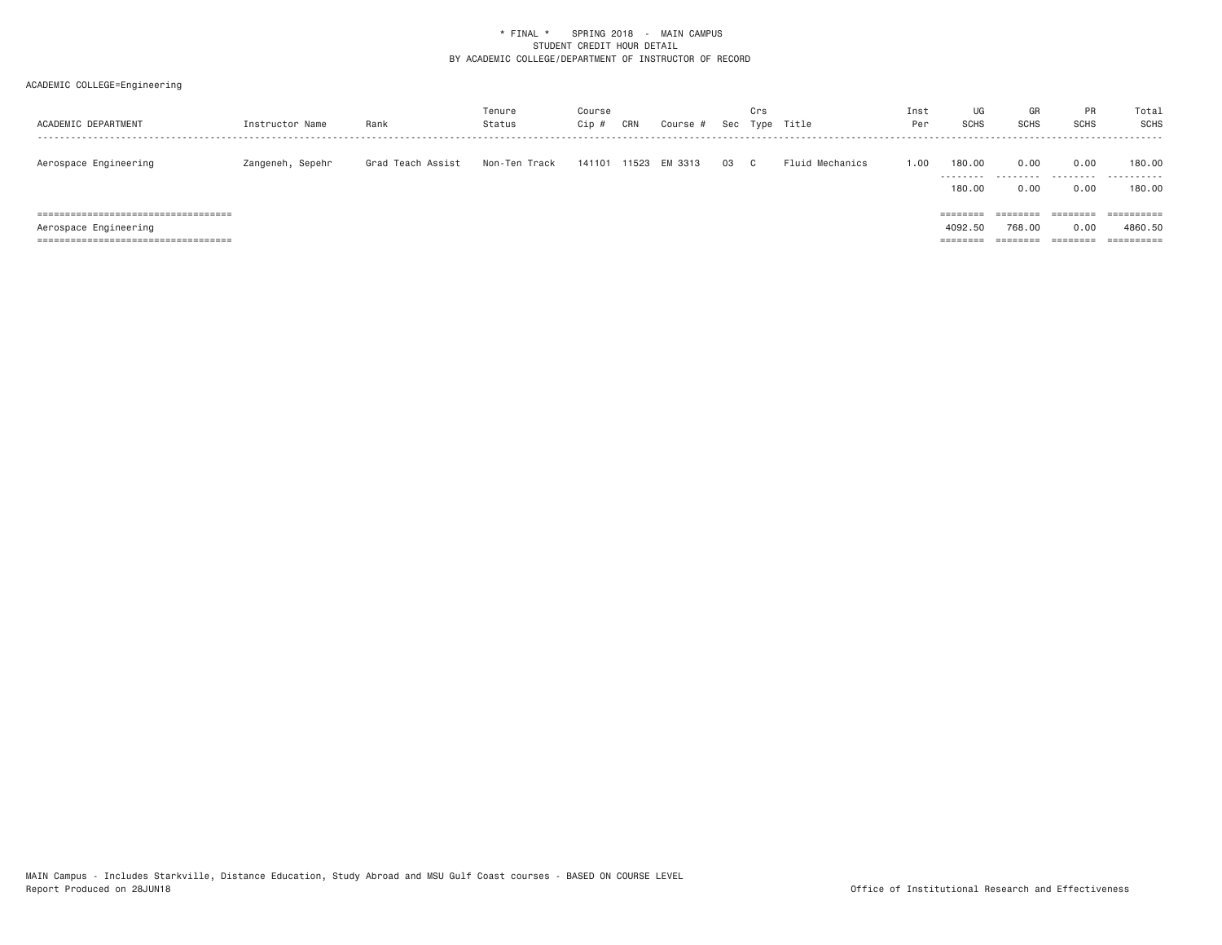| ACADEMIC DEPARTMENT   | Instructor Name  | Rank              | Tenure<br>Status | Course<br>Cip | CRN   | Course  | Sec | Crs<br>Type  | Title           | Inst<br>Per | UG<br><b>SCHS</b>    | GR<br><b>SCHS</b>    | <b>PR</b><br><b>SCHS</b> | Total<br>SCHS                   |
|-----------------------|------------------|-------------------|------------------|---------------|-------|---------|-----|--------------|-----------------|-------------|----------------------|----------------------|--------------------------|---------------------------------|
| Aerospace Engineering | Zangeneh, Sepehr | Grad Teach Assist | Non-Ten Track    | 141101        | 11523 | EM 3313 | 03  | $\mathbf{C}$ | Fluid Mechanics | 1.00        | 180.00               | 0.00                 | 0.00                     | 180,00<br>                      |
|                       |                  |                   |                  |               |       |         |     |              |                 |             | 180.00<br>========   | 0.00<br>========     | 0.00                     | 180,00<br>$=$ = = = = = = = = = |
| Aerospace Engineering |                  |                   |                  |               |       |         |     |              |                 |             | 4092.50              | 768.00               | 0.00                     | 4860.50                         |
|                       |                  |                   |                  |               |       |         |     |              |                 |             | ________<br>-------- | --------<br>-------- | ========                 | $=$ = = = = = = = = =           |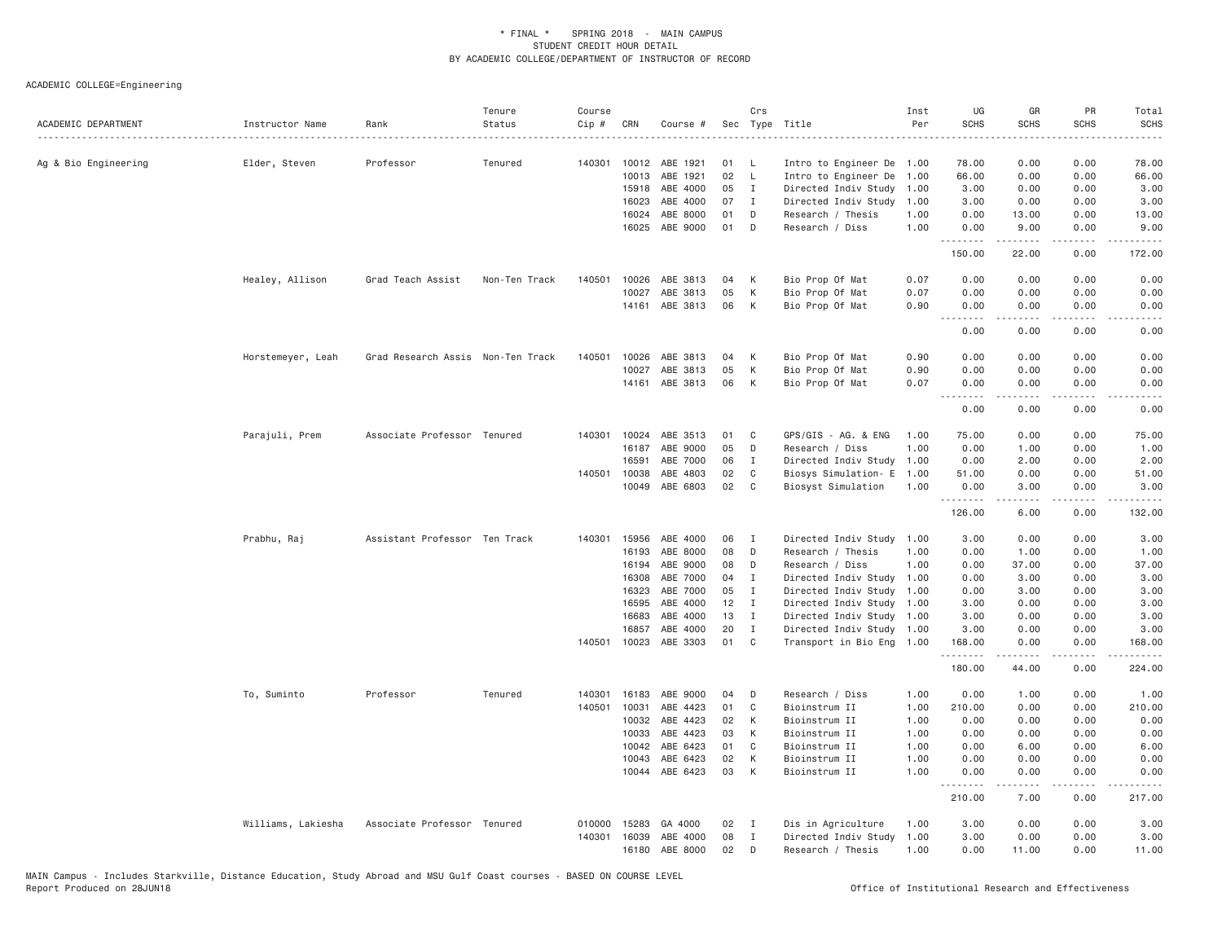| ACADEMIC DEPARTMENT  | Instructor Name    | Rank                              | Tenure<br>Status | Course<br>Cip # | CRN            | Course #             |          | Crs          | Sec Type Title                                         | Inst<br>Per | UG<br><b>SCHS</b> | GR<br><b>SCHS</b>                                                                                                                                             | PR<br><b>SCHS</b>     | Total<br><b>SCHS</b>                    |
|----------------------|--------------------|-----------------------------------|------------------|-----------------|----------------|----------------------|----------|--------------|--------------------------------------------------------|-------------|-------------------|---------------------------------------------------------------------------------------------------------------------------------------------------------------|-----------------------|-----------------------------------------|
| Ag & Bio Engineering | Elder, Steven      | Professor                         | Tenured          | 140301          | 10012          | ABE 1921             | 01       | L            | Intro to Engineer De 1.00                              |             | 78.00             | 0.00                                                                                                                                                          | 0.00                  | 78.00                                   |
|                      |                    |                                   |                  |                 | 10013          | ABE 1921             | 02       | $\mathsf{L}$ | Intro to Engineer De                                   | 1.00        | 66.00             | 0.00                                                                                                                                                          | 0.00                  | 66.00                                   |
|                      |                    |                                   |                  |                 | 15918          | ABE 4000             | 05       | $\mathbf{I}$ | Directed Indiv Study                                   | 1.00        | 3.00              | 0.00                                                                                                                                                          | 0.00                  | 3.00                                    |
|                      |                    |                                   |                  |                 | 16023          | ABE 4000             | 07       | $\mathbf{I}$ | Directed Indiv Study                                   | 1.00        | 3.00              | 0.00                                                                                                                                                          | 0.00                  | 3.00                                    |
|                      |                    |                                   |                  |                 | 16024          | ABE 8000             | 01       | D            | Research / Thesis                                      | 1.00        | 0.00              | 13.00                                                                                                                                                         | 0.00                  | 13.00                                   |
|                      |                    |                                   |                  |                 | 16025          | ABE 9000             | 01       | D            | Research / Diss                                        | 1.00        | 0.00<br>.         | 9.00<br>$\frac{1}{2} \left( \frac{1}{2} \right) \left( \frac{1}{2} \right) \left( \frac{1}{2} \right) \left( \frac{1}{2} \right) \left( \frac{1}{2} \right)$  | 0.00<br>.             | 9.00<br>.                               |
|                      |                    |                                   |                  |                 |                |                      |          |              |                                                        |             | 150.00            | 22.00                                                                                                                                                         | 0.00                  | 172.00                                  |
|                      | Healey, Allison    | Grad Teach Assist                 | Non-Ten Track    | 140501          | 10026          | ABE 3813             | 04       | К            | Bio Prop Of Mat                                        | 0.07        | 0.00              | 0.00                                                                                                                                                          | 0.00                  | 0.00                                    |
|                      |                    |                                   |                  |                 | 10027          | ABE 3813             | 05       | К            | Bio Prop Of Mat                                        | 0.07        | 0.00              | 0.00                                                                                                                                                          | 0.00                  | 0.00                                    |
|                      |                    |                                   |                  |                 | 14161          | ABE 3813             | 06       | К            | Bio Prop Of Mat                                        | 0.90        | 0.00<br>.         | 0.00<br>.                                                                                                                                                     | 0.00<br>$- - - -$     | 0.00<br>.                               |
|                      |                    |                                   |                  |                 |                |                      |          |              |                                                        |             | 0.00              | 0.00                                                                                                                                                          | 0.00                  | 0.00                                    |
|                      | Horstemeyer, Leah  | Grad Research Assis Non-Ten Track |                  | 140501          | 10026          | ABE 3813             | 04       | Κ            | Bio Prop Of Mat                                        | 0.90        | 0.00              | 0.00                                                                                                                                                          | 0.00                  | 0.00                                    |
|                      |                    |                                   |                  |                 | 10027          | ABE 3813             | 05       | К            | Bio Prop Of Mat                                        | 0.90        | 0.00              | 0.00                                                                                                                                                          | 0.00                  | 0.00                                    |
|                      |                    |                                   |                  |                 |                | 14161 ABE 3813       | 06       | К            | Bio Prop Of Mat                                        | 0.07        | 0.00<br><u>.</u>  | 0.00                                                                                                                                                          | 0.00<br>$- - - -$     | 0.00<br>.                               |
|                      |                    |                                   |                  |                 |                |                      |          |              |                                                        |             | 0.00              | 0.00                                                                                                                                                          | 0.00                  | 0.00                                    |
|                      | Parajuli, Prem     | Associate Professor Tenured       |                  | 140301          | 10024          | ABE 3513             | 01       | C            | GPS/GIS - AG. & ENG                                    | 1.00        | 75.00             | 0.00                                                                                                                                                          | 0.00                  | 75.00                                   |
|                      |                    |                                   |                  |                 | 16187          | ABE 9000             | 05       | D            | Research / Diss                                        | 1.00        | 0.00              | 1.00                                                                                                                                                          | 0.00                  | 1.00                                    |
|                      |                    |                                   |                  |                 | 16591          | ABE 7000             | 06       | $\mathbf{I}$ | Directed Indiv Study                                   | 1.00        | 0.00              | 2.00                                                                                                                                                          | 0.00                  | 2.00                                    |
|                      |                    |                                   |                  | 140501          | 10038          | ABE 4803             | 02       | C            | Biosys Simulation- E 1.00                              |             | 51.00             | 0.00                                                                                                                                                          | 0.00                  | 51.00                                   |
|                      |                    |                                   |                  |                 | 10049          | ABE 6803             | 02       | C            | Biosyst Simulation                                     | 1.00        | 0.00<br>.         | 3.00<br>.                                                                                                                                                     | 0.00<br>$\frac{1}{2}$ | 3.00<br>.                               |
|                      |                    |                                   |                  |                 |                |                      |          |              |                                                        |             | 126.00            | 6.00                                                                                                                                                          | 0.00                  | 132.00                                  |
|                      | Prabhu, Raj        | Assistant Professor Ten Track     |                  | 140301          | 15956          | ABE 4000             | 06       | $\mathbf{I}$ | Directed Indiv Study                                   | 1.00        | 3.00              | 0.00                                                                                                                                                          | 0.00                  | 3.00                                    |
|                      |                    |                                   |                  |                 | 16193          | ABE 8000             | 08       | D            | Research / Thesis                                      | 1,00        | 0.00              | 1.00                                                                                                                                                          | 0.00                  | 1.00                                    |
|                      |                    |                                   |                  |                 | 16194          | ABE 9000             | 08       | D            | Research / Diss                                        | 1,00        | 0.00              | 37.00                                                                                                                                                         | 0.00                  | 37.00                                   |
|                      |                    |                                   |                  |                 | 16308          | ABE 7000             | 04       | I            | Directed Indiv Study 1.00                              |             | 0.00              | 3.00                                                                                                                                                          | 0.00                  | 3.00                                    |
|                      |                    |                                   |                  |                 | 16323          | ABE 7000             | 05       | I            | Directed Indiv Study                                   | 1.00        | 0.00              | 3.00                                                                                                                                                          | 0.00                  | 3.00                                    |
|                      |                    |                                   |                  |                 | 16595          | ABE 4000             | 12       | $\mathbf{I}$ | Directed Indiv Study                                   | 1.00        | 3.00              | 0.00                                                                                                                                                          | 0.00                  | 3.00                                    |
|                      |                    |                                   |                  |                 | 16683          | ABE 4000             | 13       | $\mathbf{I}$ | Directed Indiv Study 1.00                              |             | 3.00              | 0.00                                                                                                                                                          | 0.00                  | 3.00                                    |
|                      |                    |                                   |                  | 140501          | 16857<br>10023 | ABE 4000<br>ABE 3303 | 20<br>01 | I<br>C       | Directed Indiv Study 1.00<br>Transport in Bio Eng 1.00 |             | 3.00<br>168.00    | 0.00<br>0.00                                                                                                                                                  | 0.00<br>0.00          | 3.00<br>168.00                          |
|                      |                    |                                   |                  |                 |                |                      |          |              |                                                        |             | .<br>180.00       | $\frac{1}{2} \left( \frac{1}{2} \right) \left( \frac{1}{2} \right) \left( \frac{1}{2} \right) \left( \frac{1}{2} \right) \left( \frac{1}{2} \right)$<br>44.00 | .<br>0.00             | $\alpha$ is a single $\alpha$<br>224.00 |
|                      | To, Suminto        | Professor                         | Tenured          | 140301          | 16183          | ABE 9000             | 04       | D            | Research / Diss                                        | 1.00        | 0.00              | 1.00                                                                                                                                                          | 0.00                  | 1.00                                    |
|                      |                    |                                   |                  | 140501          | 10031          | ABE 4423             | 01       | C            | Bioinstrum II                                          | 1.00        | 210.00            | 0.00                                                                                                                                                          | 0.00                  | 210.00                                  |
|                      |                    |                                   |                  |                 | 10032          | ABE 4423             | 02       | Κ            | Bioinstrum II                                          | 1.00        | 0.00              | 0.00                                                                                                                                                          | 0.00                  | 0.00                                    |
|                      |                    |                                   |                  |                 | 10033          | ABE 4423             | 03       | K            | Bioinstrum II                                          | 1.00        | 0.00              | 0.00                                                                                                                                                          | 0.00                  | 0.00                                    |
|                      |                    |                                   |                  |                 | 10042          | ABE 6423             | 01       | C            | Bioinstrum II                                          | 1.00        | 0.00              | 6.00                                                                                                                                                          | 0.00                  | 6.00                                    |
|                      |                    |                                   |                  |                 | 10043          | ABE 6423             | 02       | К            | Bioinstrum II                                          | 1.00        | 0.00              | 0.00                                                                                                                                                          | 0.00                  | 0.00                                    |
|                      |                    |                                   |                  |                 |                | 10044 ABE 6423       | 03       | К            | Bioinstrum II                                          | 1.00        | 0.00<br>.         | 0.00<br><b>.</b>                                                                                                                                              | 0.00<br>.             | 0.00<br>.                               |
|                      |                    |                                   |                  |                 |                |                      |          |              |                                                        |             | 210.00            | 7.00                                                                                                                                                          | 0.00                  | 217.00                                  |
|                      | Williams, Lakiesha | Associate Professor Tenured       |                  | 010000          | 15283          | GA 4000              | 02       | I            | Dis in Agriculture                                     | 1.00        | 3,00              | 0.00                                                                                                                                                          | 0.00                  | 3.00                                    |
|                      |                    |                                   |                  | 140301          | 16039          | ABE 4000             | 08       | I            | Directed Indiv Study                                   | 1.00        | 3.00              | 0.00                                                                                                                                                          | 0.00                  | 3.00                                    |
|                      |                    |                                   |                  |                 | 16180          | ABE 8000             | 02       | D            | Research / Thesis                                      | 1.00        | 0.00              | 11.00                                                                                                                                                         | 0.00                  | 11.00                                   |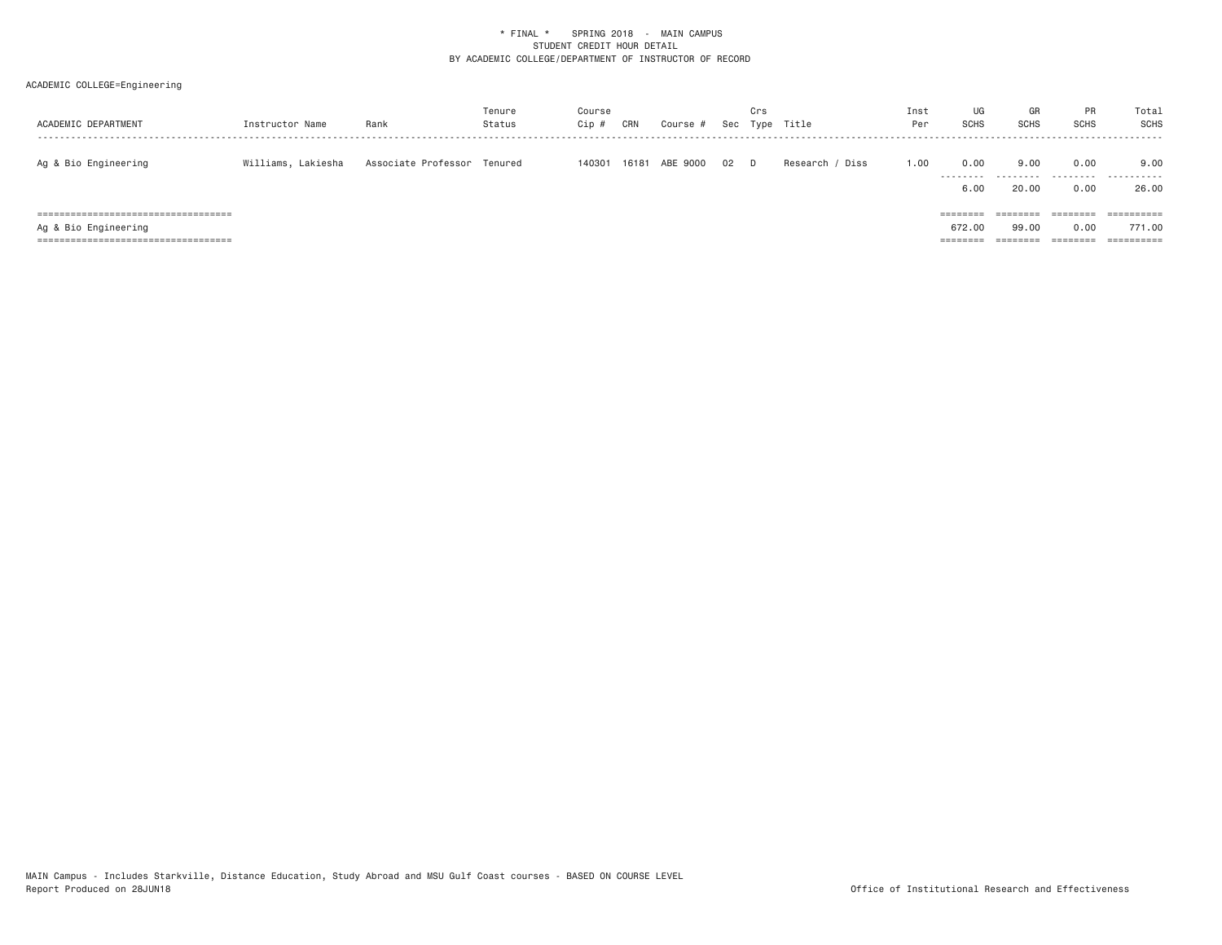| ACADEMIC DEPARTMENT                                                                                       | Instructor Name    | Rank                | Tenure<br>Status | Course<br>Cip # | CRN   | Course # |    | Crs | Sec Type Title     | Inst<br>Per | UG<br>SCHS                     | GR<br><b>SCHS</b>  | PR<br><b>SCHS</b>                     | Total<br>SCHS               |
|-----------------------------------------------------------------------------------------------------------|--------------------|---------------------|------------------|-----------------|-------|----------|----|-----|--------------------|-------------|--------------------------------|--------------------|---------------------------------------|-----------------------------|
| Ag & Bio Engineering                                                                                      | Williams, Lakiesha | Associate Professor | Tenured          | 140301          | 16181 | ABE 9000 | 02 | D.  | Diss<br>Research / | 1.00        | 0.00<br>.<br>6.00              | 9,00<br>.<br>20.00 | 0.00<br>---------<br>0.00             | 9.00<br>----------<br>26.00 |
| =====================================<br>Ag & Bio Engineering<br>:==============================<br>===== |                    |                     |                  |                 |       |          |    |     |                    |             | ========<br>672.00<br>======== | ========<br>99,00  | $=$ = = = = = = =<br>0.00<br>======== | ==========<br>771.00        |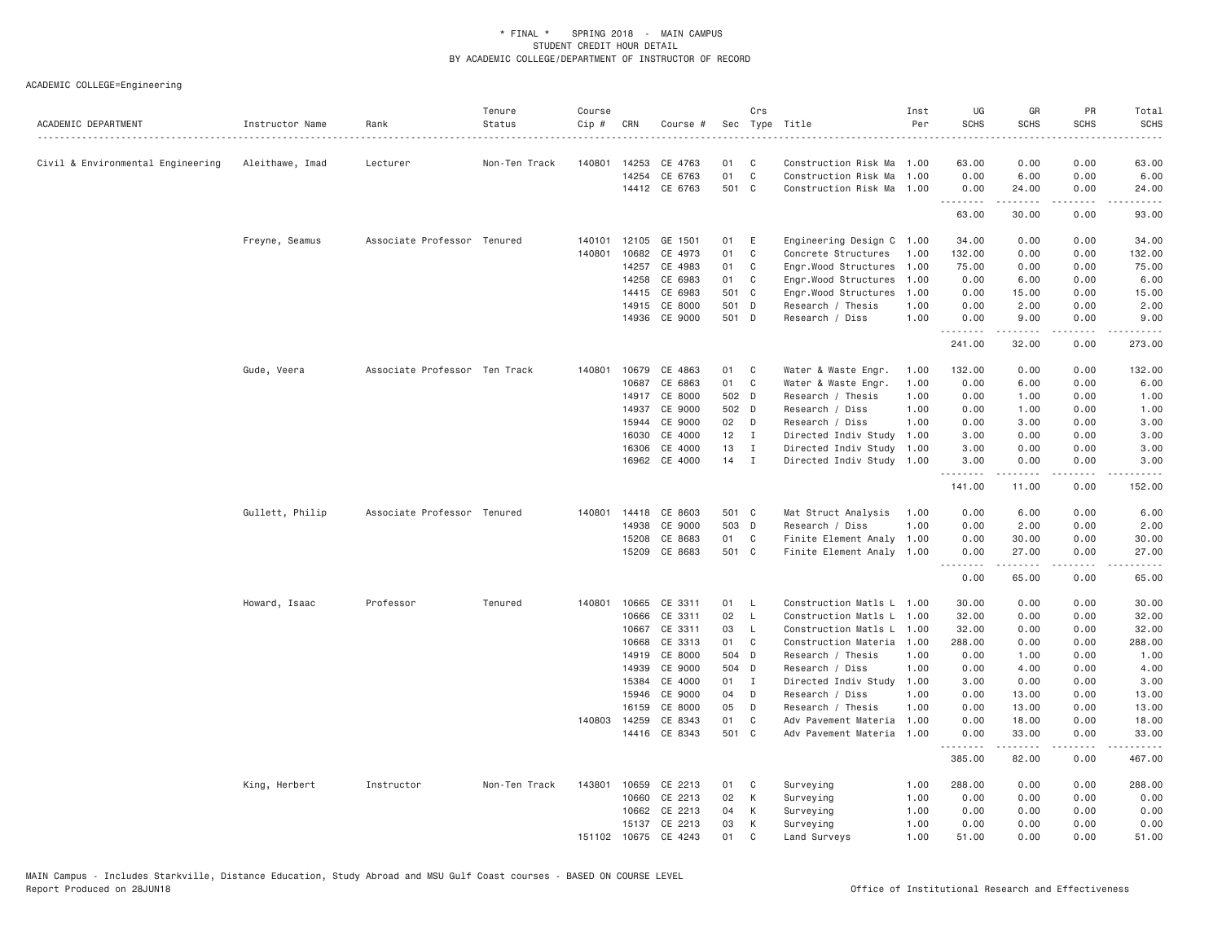| ACADEMIC DEPARTMENT               | Instructor Name | Rank                          | Tenure<br>Status | Course<br>Cip # | CRN          | Course #      |        | Crs            | Sec Type Title            | Inst<br>Per | UG<br><b>SCHS</b>                                                                                                                 | GR<br><b>SCHS</b>                                                                                                                                            | PR<br><b>SCHS</b>            | Total<br><b>SCHS</b>                                                                                                                                          |
|-----------------------------------|-----------------|-------------------------------|------------------|-----------------|--------------|---------------|--------|----------------|---------------------------|-------------|-----------------------------------------------------------------------------------------------------------------------------------|--------------------------------------------------------------------------------------------------------------------------------------------------------------|------------------------------|---------------------------------------------------------------------------------------------------------------------------------------------------------------|
| Civil & Environmental Engineering | Aleithawe, Imad | Lecturer                      | Non-Ten Track    | 140801          | 14253        | CE 4763       | 01     | C              | Construction Risk Ma      | 1.00        | 63.00                                                                                                                             | 0.00                                                                                                                                                         | 0.00                         | 63,00                                                                                                                                                         |
|                                   |                 |                               |                  |                 | 14254        | CE 6763       | 01     | $\mathbb C$    | Construction Risk Ma      | 1.00        | 0.00                                                                                                                              | 6.00                                                                                                                                                         | 0.00                         | 6.00                                                                                                                                                          |
|                                   |                 |                               |                  |                 |              | 14412 CE 6763 | 501 C  |                | Construction Risk Ma      | 1.00        | 0.00<br>.                                                                                                                         | 24.00<br><u>.</u>                                                                                                                                            | 0.00<br>$\sim$ $\sim$ $\sim$ | 24.00                                                                                                                                                         |
|                                   |                 |                               |                  |                 |              |               |        |                |                           |             | 63.00                                                                                                                             | 30.00                                                                                                                                                        | 0.00                         | 93.00                                                                                                                                                         |
|                                   | Freyne, Seamus  | Associate Professor Tenured   |                  | 140101          | 12105        | GE 1501       | 01     | E              | Engineering Design C 1.00 |             | 34.00                                                                                                                             | 0.00                                                                                                                                                         | 0.00                         | 34.00                                                                                                                                                         |
|                                   |                 |                               |                  | 140801          | 10682        | CE 4973       | 01     | $\mathbb C$    | Concrete Structures       | 1.00        | 132.00                                                                                                                            | 0.00                                                                                                                                                         | 0.00                         | 132.00                                                                                                                                                        |
|                                   |                 |                               |                  |                 | 14257        | CE 4983       | 01     | C              | Engr.Wood Structures      | 1.00        | 75.00                                                                                                                             | 0.00                                                                                                                                                         | 0.00                         | 75.00                                                                                                                                                         |
|                                   |                 |                               |                  |                 | 14258        | CE 6983       | 01     | C              | Engr.Wood Structures      | 1.00        | 0.00                                                                                                                              | 6.00                                                                                                                                                         | 0.00                         | 6.00                                                                                                                                                          |
|                                   |                 |                               |                  |                 | 14415        | CE 6983       | 501 C  |                | Engr.Wood Structures      | 1.00        | 0.00                                                                                                                              | 15.00                                                                                                                                                        | 0.00                         | 15.00                                                                                                                                                         |
|                                   |                 |                               |                  |                 | 14915        | CE 8000       | 501 D  |                | Research / Thesis         | 1.00        | 0.00                                                                                                                              | 2.00                                                                                                                                                         | 0.00                         | 2.00                                                                                                                                                          |
|                                   |                 |                               |                  |                 | 14936        | CE 9000       | 501 D  |                | Research / Diss           | 1.00        | 0.00<br>.                                                                                                                         | 9.00<br>-----                                                                                                                                                | 0.00<br>$\sim$ $\sim$ $\sim$ | 9.00                                                                                                                                                          |
|                                   |                 |                               |                  |                 |              |               |        |                |                           |             | 241.00                                                                                                                            | 32.00                                                                                                                                                        | 0.00                         | 273.00                                                                                                                                                        |
|                                   | Gude, Veera     | Associate Professor Ten Track |                  | 140801          | 10679        | CE 4863       | 01     | C              | Water & Waste Engr.       | 1.00        | 132.00                                                                                                                            | 0.00                                                                                                                                                         | 0.00                         | 132.00                                                                                                                                                        |
|                                   |                 |                               |                  |                 | 10687        | CE 6863       | 01     | C              | Water & Waste Engr.       | 1.00        | 0.00                                                                                                                              | 6.00                                                                                                                                                         | 0.00                         | 6.00                                                                                                                                                          |
|                                   |                 |                               |                  |                 | 14917        | CE 8000       | 502 D  |                | Research / Thesis         | 1,00        | 0.00                                                                                                                              | 1.00                                                                                                                                                         | 0.00                         | 1.00                                                                                                                                                          |
|                                   |                 |                               |                  |                 | 14937        | CE 9000       | 502 D  |                | Research / Diss           | 1.00        | 0.00                                                                                                                              | 1.00                                                                                                                                                         | 0.00                         | 1.00                                                                                                                                                          |
|                                   |                 |                               |                  |                 | 15944        | CE 9000       | 02     | D              | Research / Diss           | 1.00        | 0.00                                                                                                                              | 3.00                                                                                                                                                         | 0.00                         | 3.00                                                                                                                                                          |
|                                   |                 |                               |                  |                 | 16030        | CE 4000       | 12     | $\blacksquare$ | Directed Indiv Study      | 1.00        | 3.00                                                                                                                              | 0.00                                                                                                                                                         | 0.00                         | 3.00                                                                                                                                                          |
|                                   |                 |                               |                  |                 | 16306        | CE 4000       | 13     | $\mathbf{I}$   | Directed Indiv Study      | 1.00        | 3.00                                                                                                                              | 0.00                                                                                                                                                         | 0.00                         | 3.00                                                                                                                                                          |
|                                   |                 |                               |                  |                 |              | 16962 CE 4000 | $14$ I |                | Directed Indiv Study 1.00 |             | 3.00<br>. <b>.</b>                                                                                                                | 0.00<br>$\frac{1}{2} \left( \frac{1}{2} \right) \left( \frac{1}{2} \right) \left( \frac{1}{2} \right) \left( \frac{1}{2} \right) \left( \frac{1}{2} \right)$ | 0.00<br>.                    | 3.00<br>.                                                                                                                                                     |
|                                   |                 |                               |                  |                 |              |               |        |                |                           |             | 141.00                                                                                                                            | 11.00                                                                                                                                                        | 0.00                         | 152.00                                                                                                                                                        |
|                                   | Gullett, Philip | Associate Professor Tenured   |                  |                 | 140801 14418 | CE 8603       | 501 C  |                | Mat Struct Analysis       | 1.00        | 0.00                                                                                                                              | 6.00                                                                                                                                                         | 0.00                         | 6.00                                                                                                                                                          |
|                                   |                 |                               |                  |                 | 14938        | CE 9000       | 503 D  |                | Research / Diss           | 1.00        | 0.00                                                                                                                              | 2.00                                                                                                                                                         | 0.00                         | 2.00                                                                                                                                                          |
|                                   |                 |                               |                  |                 | 15208        | CE 8683       | 01     | C              | Finite Element Analy 1.00 |             | 0.00                                                                                                                              | 30.00                                                                                                                                                        | 0.00                         | 30.00                                                                                                                                                         |
|                                   |                 |                               |                  |                 | 15209        | CE 8683       | 501 C  |                | Finite Element Analy 1.00 |             | 0.00<br>$\frac{1}{2} \left( \frac{1}{2} \right) \left( \frac{1}{2} \right) \left( \frac{1}{2} \right) \left( \frac{1}{2} \right)$ | 27.00<br>$- - - - -$                                                                                                                                         | 0.00<br>$\frac{1}{2}$        | 27.00                                                                                                                                                         |
|                                   |                 |                               |                  |                 |              |               |        |                |                           |             | 0.00                                                                                                                              | 65.00                                                                                                                                                        | 0.00                         | 65.00                                                                                                                                                         |
|                                   | Howard, Isaac   | Professor                     | Tenured          | 140801          | 10665        | CE 3311       | 01     | $\mathsf{L}$   | Construction Matls L 1.00 |             | 30.00                                                                                                                             | 0.00                                                                                                                                                         | 0.00                         | 30.00                                                                                                                                                         |
|                                   |                 |                               |                  |                 | 10666        | CE 3311       | 02     | L.             | Construction Matls L 1.00 |             | 32.00                                                                                                                             | 0.00                                                                                                                                                         | 0.00                         | 32.00                                                                                                                                                         |
|                                   |                 |                               |                  |                 | 10667        | CE 3311       | 03     | L              | Construction Matls L 1.00 |             | 32.00                                                                                                                             | 0.00                                                                                                                                                         | 0.00                         | 32.00                                                                                                                                                         |
|                                   |                 |                               |                  |                 | 10668        | CE 3313       | 01     | C              | Construction Materia      | 1.00        | 288.00                                                                                                                            | 0.00                                                                                                                                                         | 0.00                         | 288.00                                                                                                                                                        |
|                                   |                 |                               |                  |                 | 14919        | CE 8000       | 504 D  |                | Research / Thesis         | 1.00        | 0.00                                                                                                                              | 1.00                                                                                                                                                         | 0.00                         | 1.00                                                                                                                                                          |
|                                   |                 |                               |                  |                 | 14939        | CE 9000       | 504 D  |                | Research / Diss           | 1.00        | 0.00                                                                                                                              | 4.00                                                                                                                                                         | 0.00                         | 4.00                                                                                                                                                          |
|                                   |                 |                               |                  |                 | 15384        | CE 4000       | 01     | $\mathbf{I}$   | Directed Indiv Study      | 1.00        | 3.00                                                                                                                              | 0.00                                                                                                                                                         | 0.00                         | 3.00                                                                                                                                                          |
|                                   |                 |                               |                  |                 | 15946        | CE 9000       | 04     | D              | Research / Diss           | 1.00        | 0.00                                                                                                                              | 13.00                                                                                                                                                        | 0.00                         | 13.00                                                                                                                                                         |
|                                   |                 |                               |                  |                 | 16159        | CE 8000       | 05     | D              | Research / Thesis         | 1,00        | 0.00                                                                                                                              | 13.00                                                                                                                                                        | 0.00                         | 13.00                                                                                                                                                         |
|                                   |                 |                               |                  | 140803          | 14259        | CE 8343       | 01     | C              | Adv Pavement Materia      | 1.00        | 0.00                                                                                                                              | 18.00                                                                                                                                                        | 0.00                         | 18.00                                                                                                                                                         |
|                                   |                 |                               |                  |                 |              | 14416 CE 8343 | 501 C  |                | Adv Pavement Materia      | 1.00        | 0.00<br>.                                                                                                                         | 33.00<br>.                                                                                                                                                   | 0.00<br>.                    | 33.00<br>$\frac{1}{2} \left( \frac{1}{2} \right) \left( \frac{1}{2} \right) \left( \frac{1}{2} \right) \left( \frac{1}{2} \right) \left( \frac{1}{2} \right)$ |
|                                   |                 |                               |                  |                 |              |               |        |                |                           |             | 385.00                                                                                                                            | 82.00                                                                                                                                                        | 0.00                         | 467.00                                                                                                                                                        |
|                                   | King, Herbert   | Instructor                    | Non-Ten Track    | 143801          | 10659        | CE 2213       | 01     | C              | Surveying                 | 1.00        | 288.00                                                                                                                            | 0.00                                                                                                                                                         | 0.00                         | 288.00                                                                                                                                                        |
|                                   |                 |                               |                  |                 | 10660        | CE 2213       | 02     | К              | Surveying                 | 1.00        | 0.00                                                                                                                              | 0.00                                                                                                                                                         | 0.00                         | 0.00                                                                                                                                                          |
|                                   |                 |                               |                  |                 | 10662        | CE 2213       | 04     | К              | Surveying                 | 1.00        | 0.00                                                                                                                              | 0.00                                                                                                                                                         | 0.00                         | 0.00                                                                                                                                                          |
|                                   |                 |                               |                  |                 | 15137        | CE 2213       | 03     | К              | Surveying                 | 1,00        | 0.00                                                                                                                              | 0.00                                                                                                                                                         | 0.00                         | 0.00                                                                                                                                                          |
|                                   |                 |                               |                  |                 | 151102 10675 | CE 4243       | 01     | C              | Land Surveys              | 1.00        | 51.00                                                                                                                             | 0.00                                                                                                                                                         | 0.00                         | 51.00                                                                                                                                                         |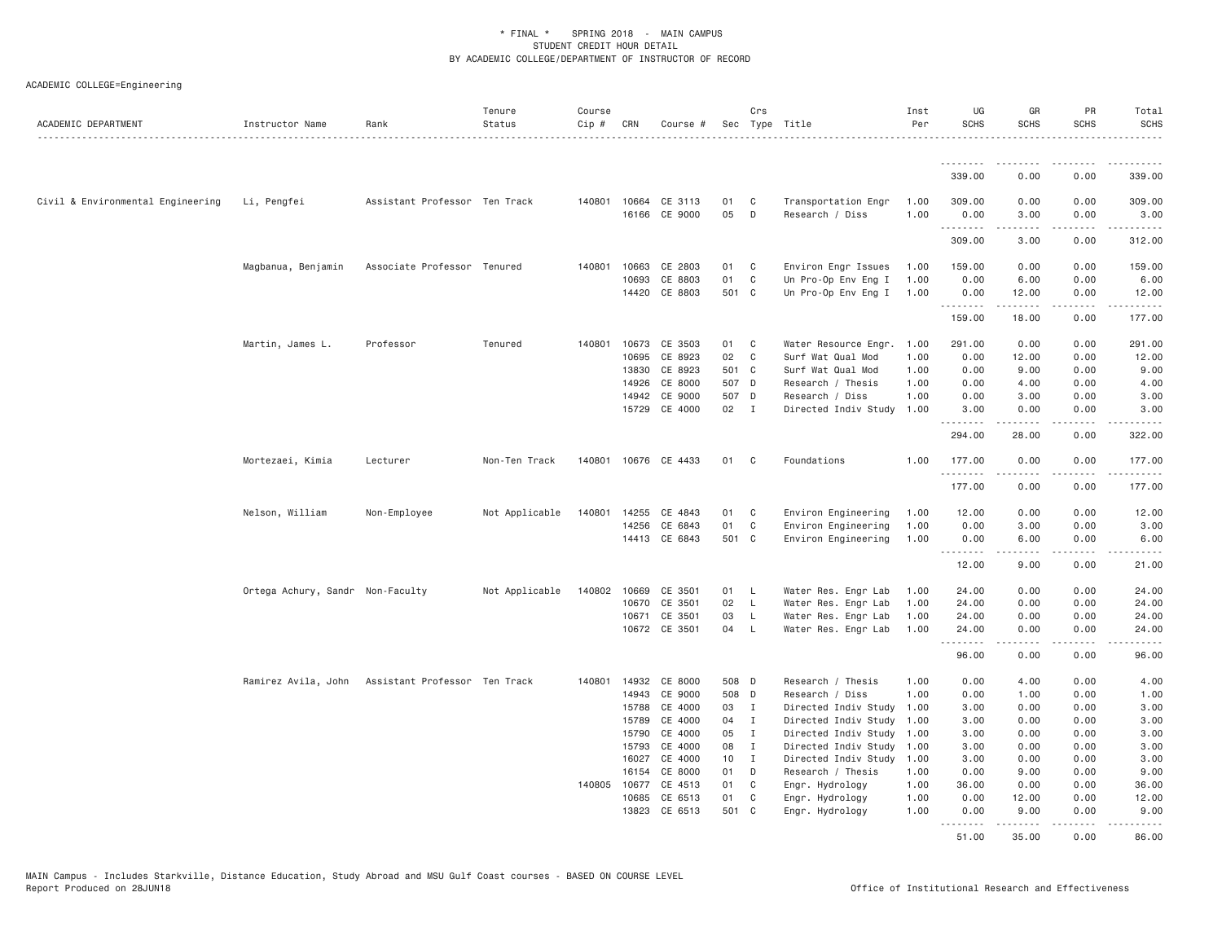| ACADEMIC DEPARTMENT               | Instructor Name                  | Rank                          | Tenure<br>Status | Course<br>Cip # | CRN            | Course #             |                | Crs               | Sec Type Title                                    | Inst<br>Per  | UG<br><b>SCHS</b> | GR<br><b>SCHS</b>                                                                                                                                            | <b>PR</b><br><b>SCHS</b>                                                                                                  | Total<br><b>SCHS</b>                                                                                                                          |
|-----------------------------------|----------------------------------|-------------------------------|------------------|-----------------|----------------|----------------------|----------------|-------------------|---------------------------------------------------|--------------|-------------------|--------------------------------------------------------------------------------------------------------------------------------------------------------------|---------------------------------------------------------------------------------------------------------------------------|-----------------------------------------------------------------------------------------------------------------------------------------------|
|                                   |                                  |                               |                  |                 |                |                      |                |                   |                                                   |              | .                 | .                                                                                                                                                            |                                                                                                                           | .                                                                                                                                             |
|                                   |                                  |                               |                  |                 |                |                      |                |                   |                                                   |              | 339.00            | 0.00                                                                                                                                                         | 0.00                                                                                                                      | 339.00                                                                                                                                        |
| Civil & Environmental Engineering | Li, Pengfei                      | Assistant Professor Ten Track |                  |                 | 140801 10664   | CE 3113              | 01             | C                 | Transportation Engr                               | 1.00         | 309.00            | 0.00                                                                                                                                                         | 0.00                                                                                                                      | 309.00                                                                                                                                        |
|                                   |                                  |                               |                  |                 | 16166          | CE 9000              | 05             | D                 | Research / Diss                                   | 1.00         | 0.00<br>.         | 3.00<br>$\frac{1}{2} \left( \frac{1}{2} \right) \left( \frac{1}{2} \right) \left( \frac{1}{2} \right) \left( \frac{1}{2} \right) \left( \frac{1}{2} \right)$ | 0.00<br>.                                                                                                                 | 3.00<br>.                                                                                                                                     |
|                                   |                                  |                               |                  |                 |                |                      |                |                   |                                                   |              | 309.00            | 3.00                                                                                                                                                         | 0.00                                                                                                                      | 312.00                                                                                                                                        |
|                                   | Magbanua, Benjamin               | Associate Professor Tenured   |                  | 140801          | 10663          | CE 2803              | 01             | C                 | Environ Engr Issues                               | 1.00         | 159.00            | 0.00                                                                                                                                                         | 0.00                                                                                                                      | 159.00                                                                                                                                        |
|                                   |                                  |                               |                  |                 | 10693          | CE 8803              | 01             | C                 | Un Pro-Op Env Eng I                               | 1.00         | 0.00              | 6.00                                                                                                                                                         | 0.00                                                                                                                      | 6.00                                                                                                                                          |
|                                   |                                  |                               |                  |                 |                | 14420 CE 8803        | 501 C          |                   | Un Pro-Op Env Eng I                               | 1.00         | 0.00<br>.         | 12.00<br>.                                                                                                                                                   | 0.00<br>.                                                                                                                 | 12.00<br>$\mathcal{L}^{\mathcal{A}}\left( \mathcal{A}^{\mathcal{A}}\right) =\mathcal{L}^{\mathcal{A}}\left( \mathcal{A}^{\mathcal{A}}\right)$ |
|                                   |                                  |                               |                  |                 |                |                      |                |                   |                                                   |              | 159.00            | 18.00                                                                                                                                                        | 0.00                                                                                                                      | 177.00                                                                                                                                        |
|                                   | Martin, James L.                 | Professor                     | Tenured          | 140801          | 10673          | CE 3503              | 01             | C                 | Water Resource Engr.                              | 1.00         | 291.00            | 0.00                                                                                                                                                         | 0.00                                                                                                                      | 291.00                                                                                                                                        |
|                                   |                                  |                               |                  |                 | 10695          | CE 8923              | 02             | C                 | Surf Wat Qual Mod                                 | 1.00         | 0.00              | 12.00                                                                                                                                                        | 0.00                                                                                                                      | 12.00                                                                                                                                         |
|                                   |                                  |                               |                  |                 | 13830          | CE 8923              | 501 C          |                   | Surf Wat Qual Mod                                 | 1.00         | 0.00              | 9.00                                                                                                                                                         | 0.00                                                                                                                      | 9.00                                                                                                                                          |
|                                   |                                  |                               |                  |                 | 14926<br>14942 | CE 8000<br>CE 9000   | 507 D<br>507 D |                   | Research / Thesis<br>Research / Diss              | 1.00<br>1.00 | 0.00<br>0.00      | 4.00<br>3.00                                                                                                                                                 | 0.00<br>0.00                                                                                                              | 4.00<br>3.00                                                                                                                                  |
|                                   |                                  |                               |                  |                 | 15729          | CE 4000              | 02 I           |                   | Directed Indiv Study                              | 1.00         | 3.00              | 0.00                                                                                                                                                         | 0.00                                                                                                                      | 3.00                                                                                                                                          |
|                                   |                                  |                               |                  |                 |                |                      |                |                   |                                                   |              | -----             | -----                                                                                                                                                        | $\frac{1}{2} \left( \frac{1}{2} \right) \left( \frac{1}{2} \right) \left( \frac{1}{2} \right) \left( \frac{1}{2} \right)$ |                                                                                                                                               |
|                                   |                                  |                               |                  |                 |                |                      |                |                   |                                                   |              | 294.00            | 28.00                                                                                                                                                        | 0.00                                                                                                                      | 322.00                                                                                                                                        |
|                                   | Mortezaei, Kimia                 | Lecturer                      | Non-Ten Track    |                 |                | 140801 10676 CE 4433 | 01             | C.                | Foundations                                       | 1.00         | 177.00<br>.       | 0.00<br>$\frac{1}{2} \left( \frac{1}{2} \right) \left( \frac{1}{2} \right) \left( \frac{1}{2} \right) \left( \frac{1}{2} \right) \left( \frac{1}{2} \right)$ | 0.00<br>.                                                                                                                 | 177.00<br>.                                                                                                                                   |
|                                   |                                  |                               |                  |                 |                |                      |                |                   |                                                   |              | 177.00            | 0.00                                                                                                                                                         | 0.00                                                                                                                      | 177.00                                                                                                                                        |
|                                   | Nelson, William                  | Non-Employee                  | Not Applicable   | 140801          | 14255          | CE 4843              | 01             | C                 | Environ Engineering                               | 1.00         | 12.00             | 0.00                                                                                                                                                         | 0.00                                                                                                                      | 12.00                                                                                                                                         |
|                                   |                                  |                               |                  |                 | 14256          | CE 6843              | 01             | C                 | Environ Engineering                               | 1.00         | 0.00              | 3.00                                                                                                                                                         | 0.00                                                                                                                      | 3.00                                                                                                                                          |
|                                   |                                  |                               |                  |                 |                | 14413 CE 6843        | 501 C          |                   | Environ Engineering                               | 1.00         | 0.00              | 6.00                                                                                                                                                         | 0.00<br>.                                                                                                                 | 6.00<br>.                                                                                                                                     |
|                                   |                                  |                               |                  |                 |                |                      |                |                   |                                                   |              | 12.00             | -----<br>9.00                                                                                                                                                | 0.00                                                                                                                      | 21.00                                                                                                                                         |
|                                   | Ortega Achury, Sandr Non-Faculty |                               | Not Applicable   | 140802          | 10669          | CE 3501              | 01             | - L               | Water Res. Engr Lab                               | 1.00         | 24.00             | 0.00                                                                                                                                                         | 0.00                                                                                                                      | 24.00                                                                                                                                         |
|                                   |                                  |                               |                  |                 | 10670          | CE 3501              | 02             | $\mathsf{L}$      | Water Res. Engr Lab                               | 1.00         | 24.00             | 0.00                                                                                                                                                         | 0.00                                                                                                                      | 24.00                                                                                                                                         |
|                                   |                                  |                               |                  |                 | 10671          | CE 3501              | 03             | L                 | Water Res. Engr Lab                               | 1.00         | 24.00             | 0.00                                                                                                                                                         | 0.00                                                                                                                      | 24.00                                                                                                                                         |
|                                   |                                  |                               |                  |                 |                | 10672 CE 3501        | 04             | $\mathsf{L}$      | Water Res. Engr Lab                               | 1.00         | 24.00<br>.        | 0.00<br>$\frac{1}{2} \left( \frac{1}{2} \right) \left( \frac{1}{2} \right) \left( \frac{1}{2} \right) \left( \frac{1}{2} \right) \left( \frac{1}{2} \right)$ | 0.00<br>د د د د                                                                                                           | 24.00<br>والمناصبات                                                                                                                           |
|                                   |                                  |                               |                  |                 |                |                      |                |                   |                                                   |              | 96.00             | 0.00                                                                                                                                                         | 0.00                                                                                                                      | 96.00                                                                                                                                         |
|                                   | Ramirez Avila, John              | Assistant Professor Ten Track |                  | 140801          | 14932          | CE 8000              | 508 D          |                   | Research / Thesis                                 | 1.00         | 0.00              | 4.00                                                                                                                                                         | 0.00                                                                                                                      | 4.00                                                                                                                                          |
|                                   |                                  |                               |                  |                 | 14943          | CE 9000              | 508 D          |                   | Research / Diss                                   | 1.00         | 0.00              | 1.00                                                                                                                                                         | 0.00                                                                                                                      | 1.00                                                                                                                                          |
|                                   |                                  |                               |                  |                 | 15788          | CE 4000              | 03 I           |                   | Directed Indiv Study                              | 1.00         | 3.00              | 0.00                                                                                                                                                         | 0.00                                                                                                                      | 3.00                                                                                                                                          |
|                                   |                                  |                               |                  |                 | 15789          | CE 4000              | 04             | $\mathbf{I}$      | Directed Indiv Study                              | 1.00         | 3.00              | 0.00                                                                                                                                                         | 0.00                                                                                                                      | 3.00                                                                                                                                          |
|                                   |                                  |                               |                  |                 | 15790          | CE 4000<br>CE 4000   | 05             | $\mathbf{I}$<br>I | Directed Indiv Study                              | 1.00         | 3.00              | 0.00                                                                                                                                                         | 0.00                                                                                                                      | 3.00                                                                                                                                          |
|                                   |                                  |                               |                  |                 | 15793<br>16027 | CE 4000              | 08<br>10       | $\mathbf{I}$      | Directed Indiv Study 1.00<br>Directed Indiv Study | 1.00         | 3.00<br>3.00      | 0.00<br>0.00                                                                                                                                                 | 0.00<br>0.00                                                                                                              | 3.00<br>3.00                                                                                                                                  |
|                                   |                                  |                               |                  |                 | 16154          | CE 8000              | 01             | D                 | Research / Thesis                                 | 1.00         | 0.00              | 9.00                                                                                                                                                         | 0.00                                                                                                                      | 9.00                                                                                                                                          |
|                                   |                                  |                               |                  |                 | 140805 10677   | CE 4513              | 01             | C                 | Engr. Hydrology                                   | 1.00         | 36.00             | 0.00                                                                                                                                                         | 0.00                                                                                                                      | 36.00                                                                                                                                         |
|                                   |                                  |                               |                  |                 | 10685          | CE 6513              | 01             | C                 | Engr. Hydrology                                   | 1.00         | 0.00              | 12.00                                                                                                                                                        | 0.00                                                                                                                      | 12.00                                                                                                                                         |
|                                   |                                  |                               |                  |                 | 13823          | CE 6513              | 501 C          |                   | Engr. Hydrology                                   | 1.00         | 0.00              | 9.00                                                                                                                                                         | 0.00                                                                                                                      | 9.00                                                                                                                                          |
|                                   |                                  |                               |                  |                 |                |                      |                |                   |                                                   |              | .<br>51.00        | .<br>35.00                                                                                                                                                   | .<br>0.00                                                                                                                 | .<br>86.00                                                                                                                                    |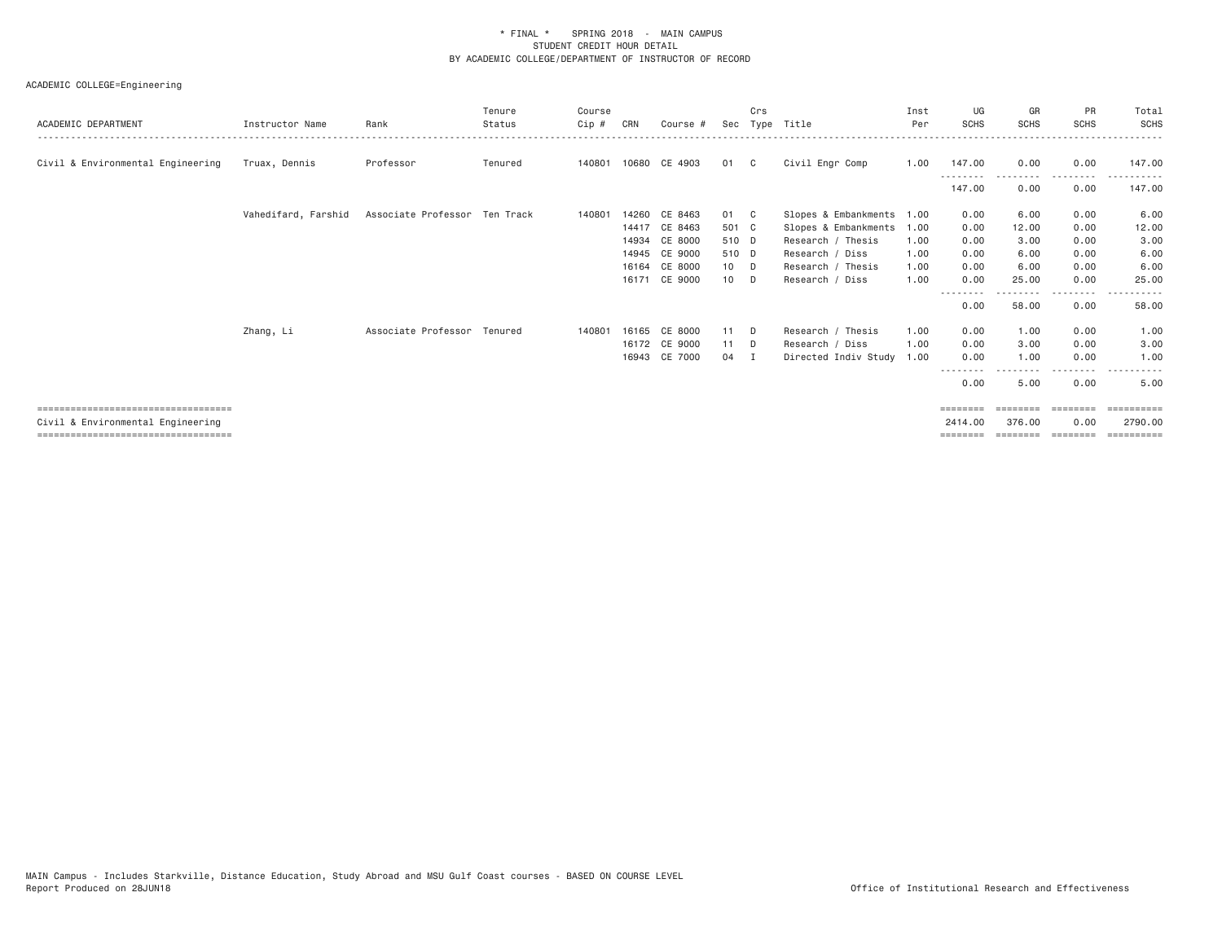| <b>SCHS</b>                                                                                                                                                                       |
|-----------------------------------------------------------------------------------------------------------------------------------------------------------------------------------|
| 147.00                                                                                                                                                                            |
| 147.00                                                                                                                                                                            |
| 6.00                                                                                                                                                                              |
| 12.00                                                                                                                                                                             |
| 3.00                                                                                                                                                                              |
| 6.00                                                                                                                                                                              |
| 6.00                                                                                                                                                                              |
| 25.00<br>.                                                                                                                                                                        |
| 58.00                                                                                                                                                                             |
| 1.00                                                                                                                                                                              |
| 3.00                                                                                                                                                                              |
| 1.00                                                                                                                                                                              |
| 5.00                                                                                                                                                                              |
| ==========                                                                                                                                                                        |
| 2790.00<br>$=$ = = = = = = = = =                                                                                                                                                  |
| <b>SCHS</b><br>0.00<br>---------<br>0.00<br>0.00<br>0.00<br>0.00<br>0.00<br>0.00<br>0.00<br>---------<br>0.00<br>0.00<br>0.00<br>0.00<br>0.00<br>========<br>0.00<br>$= 22222222$ |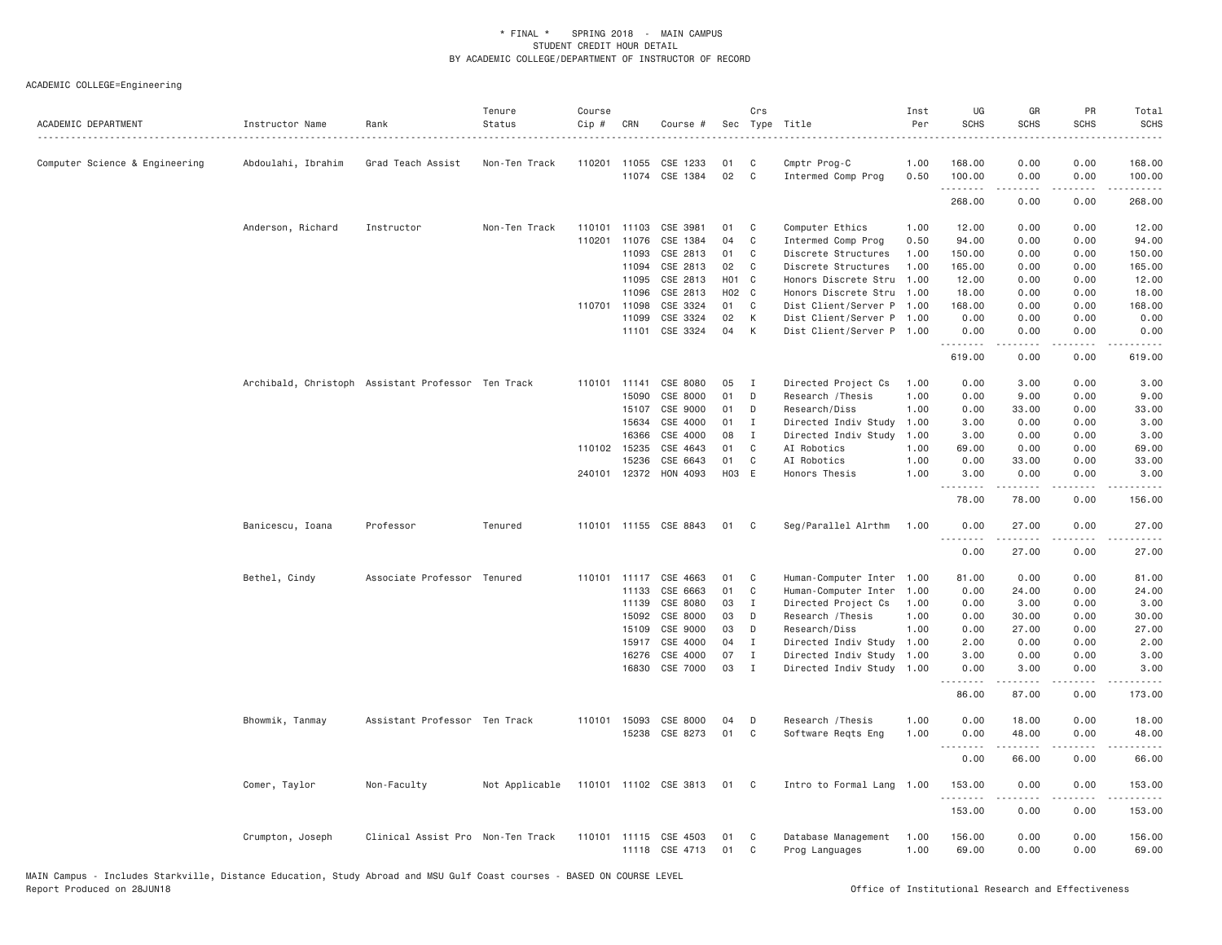| 0.00<br>Computer Science & Engineering<br>Abdoulahi, Ibrahim<br>Grad Teach Assist<br>Non-Ten Track<br>110201<br>11055<br>CSE 1233<br>01<br>C<br>Cmptr Prog-C<br>1.00<br>168.00<br>0.00<br>11074 CSE 1384<br>02<br>C<br>Intermed Comp Prog<br>0.50<br>100.00<br>0.00<br>0.00<br>.<br>.<br>.<br>268.00<br>0.00<br>0.00<br>Anderson, Richard<br>Non-Ten Track<br>11103<br>CSE 3981<br>01<br>C<br>Computer Ethics<br>1.00<br>12.00<br>0.00<br>0.00<br>Instructor<br>110101<br>110201<br>CSE 1384<br>04<br>C<br>0.50<br>94.00<br>0.00<br>11076<br>Intermed Comp Prog<br>0.00<br>11093<br>CSE 2813<br>01<br>1.00<br>0.00<br>C<br>Discrete Structures<br>150.00<br>0.00<br>CSE 2813<br>02<br>C<br>11094<br>Discrete Structures<br>1.00<br>165.00<br>0.00<br>0.00<br>CSE 2813<br>H01 C<br>11095<br>Honors Discrete Stru<br>1.00<br>12.00<br>0.00<br>0.00<br>H02 C<br>11096<br>CSE 2813<br>Honors Discrete Stru<br>1.00<br>18.00<br>0.00<br>0.00<br>CSE 3324<br>01<br>110701<br>11098<br>C<br>Dist Client/Server P 1.00<br>168.00<br>0.00<br>0.00<br>CSE 3324<br>02<br>0.00<br>11099<br>K<br>Dist Client/Server P 1.00<br>0.00<br>0.00<br>CSE 3324<br>04<br>K<br>0.00<br>0.00<br>11101<br>Dist Client/Server P 1.00<br>0.00<br>.<br>.<br>.<br>619.00<br>0.00<br>0.00<br>Archibald, Christoph Assistant Professor Ten Track<br>CSE 8080<br>05<br>Directed Project Cs<br>0.00<br>110101<br>11141<br>I<br>1.00<br>0.00<br>3.00<br>01<br>15090<br>CSE 8000<br>D<br>Research / Thesis<br>1.00<br>0.00<br>9.00<br>0.00<br>15107<br>CSE 9000<br>01<br>D<br>Research/Diss<br>1.00<br>0.00<br>33.00<br>0.00<br>15634<br>CSE 4000<br>01<br>$\mathbf{I}$<br>Directed Indiv Study<br>1.00<br>3.00<br>0.00<br>0.00<br>16366<br>CSE 4000<br>08<br>$\mathbf{I}$<br>Directed Indiv Study<br>1.00<br>3.00<br>0.00<br>0.00<br>110102 15235<br>CSE 4643<br>01<br>C<br>AI Robotics<br>1.00<br>69.00<br>0.00<br>0.00<br>01<br>$\mathsf{C}$<br>CSE 6643<br>1.00<br>0.00<br>33.00<br>0.00<br>15236<br>AI Robotics<br>H03 E<br>240101 12372<br>HON 4093<br>1.00<br>0.00<br>0.00<br>Honors Thesis<br>3.00<br>.<br><u>.</u><br>.<br>78.00<br>78.00<br>0.00<br>110101 11155 CSE 8843<br>Seg/Parallel Alrthm<br>0.00<br>Banicescu, Ioana<br>Professor<br>Tenured<br>01<br>C<br>1.00<br>0.00<br>27.00<br>0.00<br>27.00<br>0.00<br>Bethel, Cindy<br>Associate Professor Tenured<br>110101 11117 CSE 4663<br>01<br>C<br>Human-Computer Inter 1.00<br>81.00<br>0.00<br>0.00<br>01<br>$\mathsf{C}$<br>11133<br>CSE 6663<br>Human-Computer Inter<br>1.00<br>0.00<br>24.00<br>0.00<br>03<br>11139<br>CSE 8080<br>$\mathbf{I}$<br>Directed Project Cs<br>0.00<br>3.00<br>0.00<br>1.00<br>CSE 8000<br>03<br>15092<br>D<br>Research / Thesis<br>1.00<br>0.00<br>30.00<br>0.00<br>15109<br>CSE 9000<br>03<br>D<br>Research/Diss<br>1,00<br>0.00<br>27.00<br>0.00<br>15917<br>CSE 4000<br>04<br>$\mathbf I$<br>Directed Indiv Study<br>2.00<br>0.00<br>0.00<br>1.00<br>07<br>16276<br>CSE 4000<br>$\mathbf{I}$<br>Directed Indiv Study<br>1.00<br>3.00<br>0.00<br>0.00<br>03<br>16830<br>CSE 7000<br>$\mathbf{I}$<br>Directed Indiv Study<br>1.00<br>0.00<br>3.00<br>0.00<br>.<br>86.00<br>87.00<br>0.00<br>Bhowmik, Tanmay<br>Assistant Professor Ten Track<br>110101 15093<br>CSE 8000<br>04<br>D<br>Research / Thesis<br>1.00<br>0.00<br>18.00<br>0.00 | Total<br><b>SCHS</b>  |
|----------------------------------------------------------------------------------------------------------------------------------------------------------------------------------------------------------------------------------------------------------------------------------------------------------------------------------------------------------------------------------------------------------------------------------------------------------------------------------------------------------------------------------------------------------------------------------------------------------------------------------------------------------------------------------------------------------------------------------------------------------------------------------------------------------------------------------------------------------------------------------------------------------------------------------------------------------------------------------------------------------------------------------------------------------------------------------------------------------------------------------------------------------------------------------------------------------------------------------------------------------------------------------------------------------------------------------------------------------------------------------------------------------------------------------------------------------------------------------------------------------------------------------------------------------------------------------------------------------------------------------------------------------------------------------------------------------------------------------------------------------------------------------------------------------------------------------------------------------------------------------------------------------------------------------------------------------------------------------------------------------------------------------------------------------------------------------------------------------------------------------------------------------------------------------------------------------------------------------------------------------------------------------------------------------------------------------------------------------------------------------------------------------------------------------------------------------------------------------------------------------------------------------------------------------------------------------------------------------------------------------------------------------------------------------------------------------------------------------------------------------------------------------------------------------------------------------------------------------------------------------------------------------------------------------------------------------------------------------------------------------------------------------------------------------------------------------------------------------------------------------------------------------------------------------------------------------------------------------------------------------------------------------------------------------|-----------------------|
|                                                                                                                                                                                                                                                                                                                                                                                                                                                                                                                                                                                                                                                                                                                                                                                                                                                                                                                                                                                                                                                                                                                                                                                                                                                                                                                                                                                                                                                                                                                                                                                                                                                                                                                                                                                                                                                                                                                                                                                                                                                                                                                                                                                                                                                                                                                                                                                                                                                                                                                                                                                                                                                                                                                                                                                                                                                                                                                                                                                                                                                                                                                                                                                                                                                                                                          | 168.00                |
|                                                                                                                                                                                                                                                                                                                                                                                                                                                                                                                                                                                                                                                                                                                                                                                                                                                                                                                                                                                                                                                                                                                                                                                                                                                                                                                                                                                                                                                                                                                                                                                                                                                                                                                                                                                                                                                                                                                                                                                                                                                                                                                                                                                                                                                                                                                                                                                                                                                                                                                                                                                                                                                                                                                                                                                                                                                                                                                                                                                                                                                                                                                                                                                                                                                                                                          | 100.00<br>$- - - - -$ |
|                                                                                                                                                                                                                                                                                                                                                                                                                                                                                                                                                                                                                                                                                                                                                                                                                                                                                                                                                                                                                                                                                                                                                                                                                                                                                                                                                                                                                                                                                                                                                                                                                                                                                                                                                                                                                                                                                                                                                                                                                                                                                                                                                                                                                                                                                                                                                                                                                                                                                                                                                                                                                                                                                                                                                                                                                                                                                                                                                                                                                                                                                                                                                                                                                                                                                                          | 268.00                |
|                                                                                                                                                                                                                                                                                                                                                                                                                                                                                                                                                                                                                                                                                                                                                                                                                                                                                                                                                                                                                                                                                                                                                                                                                                                                                                                                                                                                                                                                                                                                                                                                                                                                                                                                                                                                                                                                                                                                                                                                                                                                                                                                                                                                                                                                                                                                                                                                                                                                                                                                                                                                                                                                                                                                                                                                                                                                                                                                                                                                                                                                                                                                                                                                                                                                                                          | 12.00                 |
|                                                                                                                                                                                                                                                                                                                                                                                                                                                                                                                                                                                                                                                                                                                                                                                                                                                                                                                                                                                                                                                                                                                                                                                                                                                                                                                                                                                                                                                                                                                                                                                                                                                                                                                                                                                                                                                                                                                                                                                                                                                                                                                                                                                                                                                                                                                                                                                                                                                                                                                                                                                                                                                                                                                                                                                                                                                                                                                                                                                                                                                                                                                                                                                                                                                                                                          | 94.00                 |
|                                                                                                                                                                                                                                                                                                                                                                                                                                                                                                                                                                                                                                                                                                                                                                                                                                                                                                                                                                                                                                                                                                                                                                                                                                                                                                                                                                                                                                                                                                                                                                                                                                                                                                                                                                                                                                                                                                                                                                                                                                                                                                                                                                                                                                                                                                                                                                                                                                                                                                                                                                                                                                                                                                                                                                                                                                                                                                                                                                                                                                                                                                                                                                                                                                                                                                          | 150.00                |
|                                                                                                                                                                                                                                                                                                                                                                                                                                                                                                                                                                                                                                                                                                                                                                                                                                                                                                                                                                                                                                                                                                                                                                                                                                                                                                                                                                                                                                                                                                                                                                                                                                                                                                                                                                                                                                                                                                                                                                                                                                                                                                                                                                                                                                                                                                                                                                                                                                                                                                                                                                                                                                                                                                                                                                                                                                                                                                                                                                                                                                                                                                                                                                                                                                                                                                          | 165.00                |
|                                                                                                                                                                                                                                                                                                                                                                                                                                                                                                                                                                                                                                                                                                                                                                                                                                                                                                                                                                                                                                                                                                                                                                                                                                                                                                                                                                                                                                                                                                                                                                                                                                                                                                                                                                                                                                                                                                                                                                                                                                                                                                                                                                                                                                                                                                                                                                                                                                                                                                                                                                                                                                                                                                                                                                                                                                                                                                                                                                                                                                                                                                                                                                                                                                                                                                          | 12.00                 |
|                                                                                                                                                                                                                                                                                                                                                                                                                                                                                                                                                                                                                                                                                                                                                                                                                                                                                                                                                                                                                                                                                                                                                                                                                                                                                                                                                                                                                                                                                                                                                                                                                                                                                                                                                                                                                                                                                                                                                                                                                                                                                                                                                                                                                                                                                                                                                                                                                                                                                                                                                                                                                                                                                                                                                                                                                                                                                                                                                                                                                                                                                                                                                                                                                                                                                                          | 18.00                 |
|                                                                                                                                                                                                                                                                                                                                                                                                                                                                                                                                                                                                                                                                                                                                                                                                                                                                                                                                                                                                                                                                                                                                                                                                                                                                                                                                                                                                                                                                                                                                                                                                                                                                                                                                                                                                                                                                                                                                                                                                                                                                                                                                                                                                                                                                                                                                                                                                                                                                                                                                                                                                                                                                                                                                                                                                                                                                                                                                                                                                                                                                                                                                                                                                                                                                                                          | 168.00                |
|                                                                                                                                                                                                                                                                                                                                                                                                                                                                                                                                                                                                                                                                                                                                                                                                                                                                                                                                                                                                                                                                                                                                                                                                                                                                                                                                                                                                                                                                                                                                                                                                                                                                                                                                                                                                                                                                                                                                                                                                                                                                                                                                                                                                                                                                                                                                                                                                                                                                                                                                                                                                                                                                                                                                                                                                                                                                                                                                                                                                                                                                                                                                                                                                                                                                                                          | 0.00                  |
|                                                                                                                                                                                                                                                                                                                                                                                                                                                                                                                                                                                                                                                                                                                                                                                                                                                                                                                                                                                                                                                                                                                                                                                                                                                                                                                                                                                                                                                                                                                                                                                                                                                                                                                                                                                                                                                                                                                                                                                                                                                                                                                                                                                                                                                                                                                                                                                                                                                                                                                                                                                                                                                                                                                                                                                                                                                                                                                                                                                                                                                                                                                                                                                                                                                                                                          | 0.00<br>.             |
|                                                                                                                                                                                                                                                                                                                                                                                                                                                                                                                                                                                                                                                                                                                                                                                                                                                                                                                                                                                                                                                                                                                                                                                                                                                                                                                                                                                                                                                                                                                                                                                                                                                                                                                                                                                                                                                                                                                                                                                                                                                                                                                                                                                                                                                                                                                                                                                                                                                                                                                                                                                                                                                                                                                                                                                                                                                                                                                                                                                                                                                                                                                                                                                                                                                                                                          | 619.00                |
|                                                                                                                                                                                                                                                                                                                                                                                                                                                                                                                                                                                                                                                                                                                                                                                                                                                                                                                                                                                                                                                                                                                                                                                                                                                                                                                                                                                                                                                                                                                                                                                                                                                                                                                                                                                                                                                                                                                                                                                                                                                                                                                                                                                                                                                                                                                                                                                                                                                                                                                                                                                                                                                                                                                                                                                                                                                                                                                                                                                                                                                                                                                                                                                                                                                                                                          | 3.00                  |
|                                                                                                                                                                                                                                                                                                                                                                                                                                                                                                                                                                                                                                                                                                                                                                                                                                                                                                                                                                                                                                                                                                                                                                                                                                                                                                                                                                                                                                                                                                                                                                                                                                                                                                                                                                                                                                                                                                                                                                                                                                                                                                                                                                                                                                                                                                                                                                                                                                                                                                                                                                                                                                                                                                                                                                                                                                                                                                                                                                                                                                                                                                                                                                                                                                                                                                          | 9.00                  |
|                                                                                                                                                                                                                                                                                                                                                                                                                                                                                                                                                                                                                                                                                                                                                                                                                                                                                                                                                                                                                                                                                                                                                                                                                                                                                                                                                                                                                                                                                                                                                                                                                                                                                                                                                                                                                                                                                                                                                                                                                                                                                                                                                                                                                                                                                                                                                                                                                                                                                                                                                                                                                                                                                                                                                                                                                                                                                                                                                                                                                                                                                                                                                                                                                                                                                                          | 33.00                 |
|                                                                                                                                                                                                                                                                                                                                                                                                                                                                                                                                                                                                                                                                                                                                                                                                                                                                                                                                                                                                                                                                                                                                                                                                                                                                                                                                                                                                                                                                                                                                                                                                                                                                                                                                                                                                                                                                                                                                                                                                                                                                                                                                                                                                                                                                                                                                                                                                                                                                                                                                                                                                                                                                                                                                                                                                                                                                                                                                                                                                                                                                                                                                                                                                                                                                                                          | 3.00                  |
|                                                                                                                                                                                                                                                                                                                                                                                                                                                                                                                                                                                                                                                                                                                                                                                                                                                                                                                                                                                                                                                                                                                                                                                                                                                                                                                                                                                                                                                                                                                                                                                                                                                                                                                                                                                                                                                                                                                                                                                                                                                                                                                                                                                                                                                                                                                                                                                                                                                                                                                                                                                                                                                                                                                                                                                                                                                                                                                                                                                                                                                                                                                                                                                                                                                                                                          | 3.00                  |
|                                                                                                                                                                                                                                                                                                                                                                                                                                                                                                                                                                                                                                                                                                                                                                                                                                                                                                                                                                                                                                                                                                                                                                                                                                                                                                                                                                                                                                                                                                                                                                                                                                                                                                                                                                                                                                                                                                                                                                                                                                                                                                                                                                                                                                                                                                                                                                                                                                                                                                                                                                                                                                                                                                                                                                                                                                                                                                                                                                                                                                                                                                                                                                                                                                                                                                          | 69.00                 |
|                                                                                                                                                                                                                                                                                                                                                                                                                                                                                                                                                                                                                                                                                                                                                                                                                                                                                                                                                                                                                                                                                                                                                                                                                                                                                                                                                                                                                                                                                                                                                                                                                                                                                                                                                                                                                                                                                                                                                                                                                                                                                                                                                                                                                                                                                                                                                                                                                                                                                                                                                                                                                                                                                                                                                                                                                                                                                                                                                                                                                                                                                                                                                                                                                                                                                                          | 33.00                 |
|                                                                                                                                                                                                                                                                                                                                                                                                                                                                                                                                                                                                                                                                                                                                                                                                                                                                                                                                                                                                                                                                                                                                                                                                                                                                                                                                                                                                                                                                                                                                                                                                                                                                                                                                                                                                                                                                                                                                                                                                                                                                                                                                                                                                                                                                                                                                                                                                                                                                                                                                                                                                                                                                                                                                                                                                                                                                                                                                                                                                                                                                                                                                                                                                                                                                                                          | 3.00<br>.             |
|                                                                                                                                                                                                                                                                                                                                                                                                                                                                                                                                                                                                                                                                                                                                                                                                                                                                                                                                                                                                                                                                                                                                                                                                                                                                                                                                                                                                                                                                                                                                                                                                                                                                                                                                                                                                                                                                                                                                                                                                                                                                                                                                                                                                                                                                                                                                                                                                                                                                                                                                                                                                                                                                                                                                                                                                                                                                                                                                                                                                                                                                                                                                                                                                                                                                                                          | 156.00                |
|                                                                                                                                                                                                                                                                                                                                                                                                                                                                                                                                                                                                                                                                                                                                                                                                                                                                                                                                                                                                                                                                                                                                                                                                                                                                                                                                                                                                                                                                                                                                                                                                                                                                                                                                                                                                                                                                                                                                                                                                                                                                                                                                                                                                                                                                                                                                                                                                                                                                                                                                                                                                                                                                                                                                                                                                                                                                                                                                                                                                                                                                                                                                                                                                                                                                                                          | 27.00                 |
|                                                                                                                                                                                                                                                                                                                                                                                                                                                                                                                                                                                                                                                                                                                                                                                                                                                                                                                                                                                                                                                                                                                                                                                                                                                                                                                                                                                                                                                                                                                                                                                                                                                                                                                                                                                                                                                                                                                                                                                                                                                                                                                                                                                                                                                                                                                                                                                                                                                                                                                                                                                                                                                                                                                                                                                                                                                                                                                                                                                                                                                                                                                                                                                                                                                                                                          | 27.00                 |
|                                                                                                                                                                                                                                                                                                                                                                                                                                                                                                                                                                                                                                                                                                                                                                                                                                                                                                                                                                                                                                                                                                                                                                                                                                                                                                                                                                                                                                                                                                                                                                                                                                                                                                                                                                                                                                                                                                                                                                                                                                                                                                                                                                                                                                                                                                                                                                                                                                                                                                                                                                                                                                                                                                                                                                                                                                                                                                                                                                                                                                                                                                                                                                                                                                                                                                          | 81.00                 |
|                                                                                                                                                                                                                                                                                                                                                                                                                                                                                                                                                                                                                                                                                                                                                                                                                                                                                                                                                                                                                                                                                                                                                                                                                                                                                                                                                                                                                                                                                                                                                                                                                                                                                                                                                                                                                                                                                                                                                                                                                                                                                                                                                                                                                                                                                                                                                                                                                                                                                                                                                                                                                                                                                                                                                                                                                                                                                                                                                                                                                                                                                                                                                                                                                                                                                                          | 24.00                 |
|                                                                                                                                                                                                                                                                                                                                                                                                                                                                                                                                                                                                                                                                                                                                                                                                                                                                                                                                                                                                                                                                                                                                                                                                                                                                                                                                                                                                                                                                                                                                                                                                                                                                                                                                                                                                                                                                                                                                                                                                                                                                                                                                                                                                                                                                                                                                                                                                                                                                                                                                                                                                                                                                                                                                                                                                                                                                                                                                                                                                                                                                                                                                                                                                                                                                                                          | 3.00                  |
|                                                                                                                                                                                                                                                                                                                                                                                                                                                                                                                                                                                                                                                                                                                                                                                                                                                                                                                                                                                                                                                                                                                                                                                                                                                                                                                                                                                                                                                                                                                                                                                                                                                                                                                                                                                                                                                                                                                                                                                                                                                                                                                                                                                                                                                                                                                                                                                                                                                                                                                                                                                                                                                                                                                                                                                                                                                                                                                                                                                                                                                                                                                                                                                                                                                                                                          | 30.00                 |
|                                                                                                                                                                                                                                                                                                                                                                                                                                                                                                                                                                                                                                                                                                                                                                                                                                                                                                                                                                                                                                                                                                                                                                                                                                                                                                                                                                                                                                                                                                                                                                                                                                                                                                                                                                                                                                                                                                                                                                                                                                                                                                                                                                                                                                                                                                                                                                                                                                                                                                                                                                                                                                                                                                                                                                                                                                                                                                                                                                                                                                                                                                                                                                                                                                                                                                          | 27.00                 |
|                                                                                                                                                                                                                                                                                                                                                                                                                                                                                                                                                                                                                                                                                                                                                                                                                                                                                                                                                                                                                                                                                                                                                                                                                                                                                                                                                                                                                                                                                                                                                                                                                                                                                                                                                                                                                                                                                                                                                                                                                                                                                                                                                                                                                                                                                                                                                                                                                                                                                                                                                                                                                                                                                                                                                                                                                                                                                                                                                                                                                                                                                                                                                                                                                                                                                                          | 2.00                  |
|                                                                                                                                                                                                                                                                                                                                                                                                                                                                                                                                                                                                                                                                                                                                                                                                                                                                                                                                                                                                                                                                                                                                                                                                                                                                                                                                                                                                                                                                                                                                                                                                                                                                                                                                                                                                                                                                                                                                                                                                                                                                                                                                                                                                                                                                                                                                                                                                                                                                                                                                                                                                                                                                                                                                                                                                                                                                                                                                                                                                                                                                                                                                                                                                                                                                                                          | 3.00                  |
|                                                                                                                                                                                                                                                                                                                                                                                                                                                                                                                                                                                                                                                                                                                                                                                                                                                                                                                                                                                                                                                                                                                                                                                                                                                                                                                                                                                                                                                                                                                                                                                                                                                                                                                                                                                                                                                                                                                                                                                                                                                                                                                                                                                                                                                                                                                                                                                                                                                                                                                                                                                                                                                                                                                                                                                                                                                                                                                                                                                                                                                                                                                                                                                                                                                                                                          | 3.00                  |
|                                                                                                                                                                                                                                                                                                                                                                                                                                                                                                                                                                                                                                                                                                                                                                                                                                                                                                                                                                                                                                                                                                                                                                                                                                                                                                                                                                                                                                                                                                                                                                                                                                                                                                                                                                                                                                                                                                                                                                                                                                                                                                                                                                                                                                                                                                                                                                                                                                                                                                                                                                                                                                                                                                                                                                                                                                                                                                                                                                                                                                                                                                                                                                                                                                                                                                          | 173.00                |
|                                                                                                                                                                                                                                                                                                                                                                                                                                                                                                                                                                                                                                                                                                                                                                                                                                                                                                                                                                                                                                                                                                                                                                                                                                                                                                                                                                                                                                                                                                                                                                                                                                                                                                                                                                                                                                                                                                                                                                                                                                                                                                                                                                                                                                                                                                                                                                                                                                                                                                                                                                                                                                                                                                                                                                                                                                                                                                                                                                                                                                                                                                                                                                                                                                                                                                          | 18.00                 |
| 01<br>15238 CSE 8273<br>C<br>Software Regts Eng<br>1.00<br>0.00<br>48.00<br>0.00<br>$\sim$ $\sim$ $\sim$                                                                                                                                                                                                                                                                                                                                                                                                                                                                                                                                                                                                                                                                                                                                                                                                                                                                                                                                                                                                                                                                                                                                                                                                                                                                                                                                                                                                                                                                                                                                                                                                                                                                                                                                                                                                                                                                                                                                                                                                                                                                                                                                                                                                                                                                                                                                                                                                                                                                                                                                                                                                                                                                                                                                                                                                                                                                                                                                                                                                                                                                                                                                                                                                 | 48.00                 |
| 0.00<br>66.00<br>0.00                                                                                                                                                                                                                                                                                                                                                                                                                                                                                                                                                                                                                                                                                                                                                                                                                                                                                                                                                                                                                                                                                                                                                                                                                                                                                                                                                                                                                                                                                                                                                                                                                                                                                                                                                                                                                                                                                                                                                                                                                                                                                                                                                                                                                                                                                                                                                                                                                                                                                                                                                                                                                                                                                                                                                                                                                                                                                                                                                                                                                                                                                                                                                                                                                                                                                    | 66.00                 |
| Comer, Taylor<br>Non-Faculty<br>Not Applicable<br>110101 11102 CSE 3813<br>01<br>C<br>Intro to Formal Lang 1.00<br>153.00<br>0.00<br>0.00<br>.<br>-----<br>.                                                                                                                                                                                                                                                                                                                                                                                                                                                                                                                                                                                                                                                                                                                                                                                                                                                                                                                                                                                                                                                                                                                                                                                                                                                                                                                                                                                                                                                                                                                                                                                                                                                                                                                                                                                                                                                                                                                                                                                                                                                                                                                                                                                                                                                                                                                                                                                                                                                                                                                                                                                                                                                                                                                                                                                                                                                                                                                                                                                                                                                                                                                                             | 153.00<br>.           |
| 153.00<br>0.00<br>0.00                                                                                                                                                                                                                                                                                                                                                                                                                                                                                                                                                                                                                                                                                                                                                                                                                                                                                                                                                                                                                                                                                                                                                                                                                                                                                                                                                                                                                                                                                                                                                                                                                                                                                                                                                                                                                                                                                                                                                                                                                                                                                                                                                                                                                                                                                                                                                                                                                                                                                                                                                                                                                                                                                                                                                                                                                                                                                                                                                                                                                                                                                                                                                                                                                                                                                   | 153.00                |
| 0.00<br>Crumpton, Joseph<br>Clinical Assist Pro Non-Ten Track<br>110101 11115<br>CSE 4503<br>01<br>C<br>Database Management<br>1.00<br>156.00<br>0.00<br>11118 CSE 4713<br>01<br>C<br>Prog Languages<br>1.00<br>69.00<br>0.00<br>0.00                                                                                                                                                                                                                                                                                                                                                                                                                                                                                                                                                                                                                                                                                                                                                                                                                                                                                                                                                                                                                                                                                                                                                                                                                                                                                                                                                                                                                                                                                                                                                                                                                                                                                                                                                                                                                                                                                                                                                                                                                                                                                                                                                                                                                                                                                                                                                                                                                                                                                                                                                                                                                                                                                                                                                                                                                                                                                                                                                                                                                                                                    | 156.00<br>69.00       |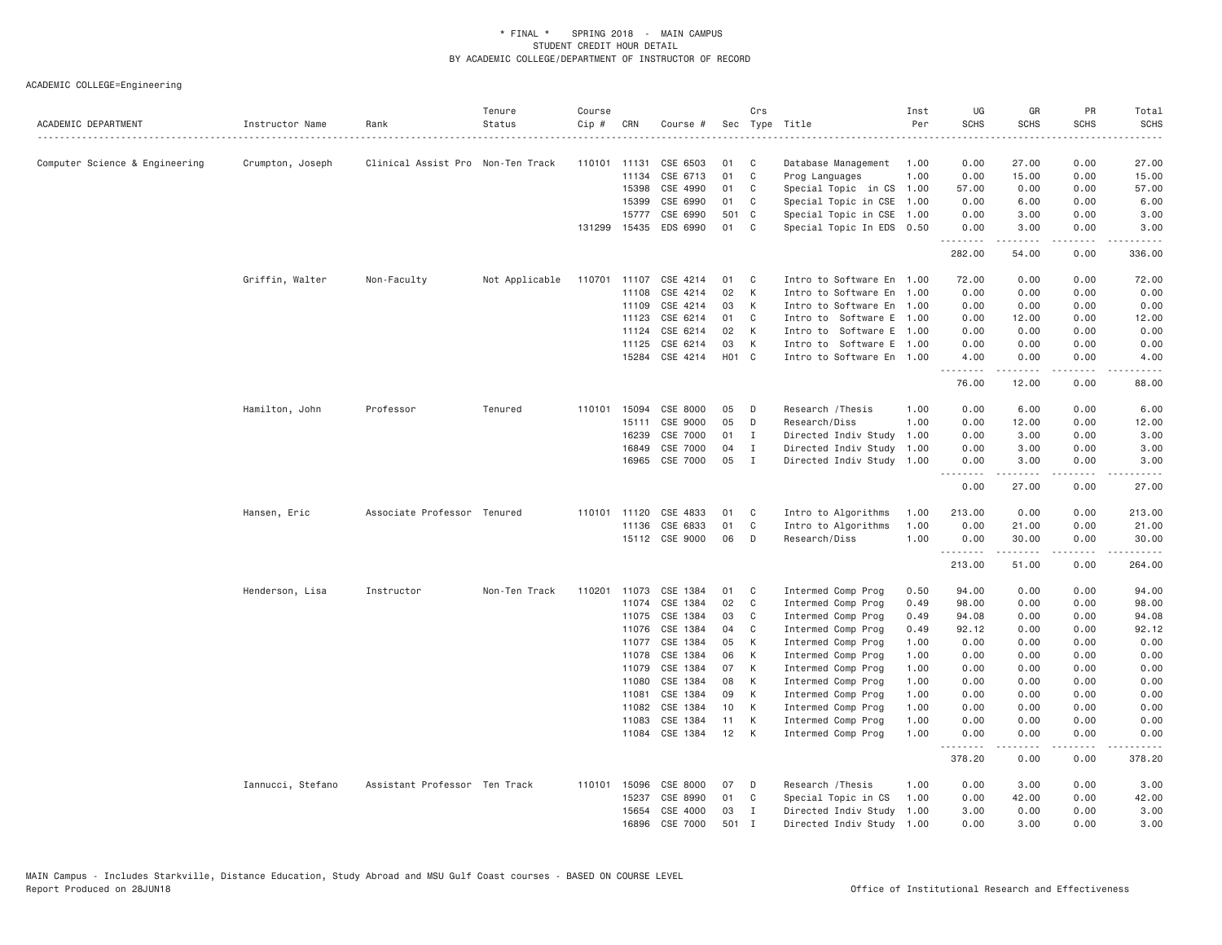| ACADEMIC DEPARTMENT            | Instructor Name   | Rank                              | Tenure<br>Status | Course<br>$Cip \#$ | CRN            | Course #             |                   | Crs          | Sec Type Title                           | Inst<br>Per  | UG<br><b>SCHS</b>     | GR<br><b>SCHS</b>  | PR<br><b>SCHS</b>            | Total<br><b>SCHS</b><br>.                                                                                                                    |
|--------------------------------|-------------------|-----------------------------------|------------------|--------------------|----------------|----------------------|-------------------|--------------|------------------------------------------|--------------|-----------------------|--------------------|------------------------------|----------------------------------------------------------------------------------------------------------------------------------------------|
| Computer Science & Engineering | Crumpton, Joseph  | Clinical Assist Pro Non-Ten Track |                  | 110101 11131       |                | CSE 6503             | 01                | C            | Database Management                      | 1.00         | 0.00                  | 27.00              | 0.00                         | 27.00                                                                                                                                        |
|                                |                   |                                   |                  |                    | 11134          | CSE 6713             | 01                | C            | Prog Languages                           | 1.00         | 0.00                  | 15.00              | 0.00                         | 15.00                                                                                                                                        |
|                                |                   |                                   |                  |                    | 15398          | CSE 4990             | 01                | C            | Special Topic in CS 1.00                 |              | 57.00                 | 0.00               | 0.00                         | 57.00                                                                                                                                        |
|                                |                   |                                   |                  |                    | 15399          | CSE 6990             | 01                | C            | Special Topic in CSE 1.00                |              | 0.00                  | 6.00               | 0.00                         | 6.00                                                                                                                                         |
|                                |                   |                                   |                  |                    | 15777          | CSE 6990             | 501 C             |              | Special Topic in CSE 1.00                |              | 0.00                  | 3.00               | 0.00                         | 3.00                                                                                                                                         |
|                                |                   |                                   |                  |                    | 131299 15435   | EDS 6990             | 01                | C            | Special Topic In EDS 0.50                |              | 0.00<br>.             | 3.00<br>.          | 0.00<br>.                    | 3.00<br>$\mathcal{L}^{\mathcal{A}}\left( \mathcal{A}^{\mathcal{A}}\right) =\mathcal{L}^{\mathcal{A}}\left( \mathcal{A}^{\mathcal{A}}\right)$ |
|                                |                   |                                   |                  |                    |                |                      |                   |              |                                          |              | 282.00                | 54.00              | 0.00                         | 336,00                                                                                                                                       |
|                                | Griffin, Walter   | Non-Faculty                       | Not Applicable   | 110701 11107       |                | CSE 4214             | 01                | C            | Intro to Software En 1.00                |              | 72.00                 | 0.00               | 0.00                         | 72.00                                                                                                                                        |
|                                |                   |                                   |                  |                    | 11108          | CSE 4214             | 02                | K            | Intro to Software En 1.00                |              | 0.00                  | 0.00               | 0.00                         | 0.00                                                                                                                                         |
|                                |                   |                                   |                  |                    | 11109          | CSE 4214             | 03                | К            | Intro to Software En 1.00                |              | 0.00                  | 0.00               | 0.00                         | 0.00                                                                                                                                         |
|                                |                   |                                   |                  |                    | 11123          | CSE 6214             | 01                | C            | Intro to Software E 1.00                 |              | 0.00                  | 12.00              | 0.00                         | 12.00                                                                                                                                        |
|                                |                   |                                   |                  |                    | 11124          | CSE 6214             | 02                | K            | Intro to Software E 1.00                 |              | 0.00                  | 0.00               | 0.00                         | 0.00                                                                                                                                         |
|                                |                   |                                   |                  |                    | 11125          | CSE 6214             | 03                | К            | Intro to Software E 1.00                 |              | 0.00                  | 0.00               | 0.00                         | 0.00                                                                                                                                         |
|                                |                   |                                   |                  |                    | 15284          | CSE 4214             | H <sub>01</sub> C |              | Intro to Software En 1.00                |              | 4.00<br>1.1.1.1.1.1.1 | 0.00<br>-----      | 0.00<br>$\sim$ $\sim$ $\sim$ | 4.00                                                                                                                                         |
|                                |                   |                                   |                  |                    |                |                      |                   |              |                                          |              | 76.00                 | 12.00              | 0.00                         | 88.00                                                                                                                                        |
|                                | Hamilton, John    | Professor                         | Tenured          |                    | 110101 15094   | CSE 8000             | 05                | D            | Research / Thesis                        | 1.00         | 0.00                  | 6.00               | 0.00                         | 6.00                                                                                                                                         |
|                                |                   |                                   |                  |                    | 15111          | CSE 9000             | 05                | D            | Research/Diss                            | 1,00         | 0.00                  | 12.00              | 0.00                         | 12.00                                                                                                                                        |
|                                |                   |                                   |                  |                    | 16239          | CSE 7000             | 01                | I            | Directed Indiv Study                     | 1.00         | 0.00                  | 3.00               | 0.00                         | 3.00                                                                                                                                         |
|                                |                   |                                   |                  |                    | 16849          | CSE 7000             | 04                | Ι.           | Directed Indiv Study 1.00                |              | 0.00                  | 3.00               | 0.00                         | 3.00                                                                                                                                         |
|                                |                   |                                   |                  |                    | 16965          | CSE 7000             | 05                | $\mathbf{I}$ | Directed Indiv Study 1.00                |              | 0.00                  | 3.00<br>. <u>.</u> | 0.00<br>.                    | 3.00<br>.                                                                                                                                    |
|                                |                   |                                   |                  |                    |                |                      |                   |              |                                          |              | 0.00                  | 27.00              | 0.00                         | 27.00                                                                                                                                        |
|                                | Hansen, Eric      | Associate Professor Tenured       |                  |                    | 110101 11120   | CSE 4833             | 01                | C            | Intro to Algorithms                      | 1.00         | 213.00                | 0.00               | 0.00                         | 213.00                                                                                                                                       |
|                                |                   |                                   |                  |                    | 11136          | CSE 6833             | 01                | C            | Intro to Algorithms                      | 1.00         | 0.00                  | 21.00              | 0.00                         | 21.00                                                                                                                                        |
|                                |                   |                                   |                  |                    |                | 15112 CSE 9000       | 06                | D            | Research/Diss                            | 1.00         | 0.00                  | 30.00<br>-----     | 0.00<br>.                    | 30.00<br>.                                                                                                                                   |
|                                |                   |                                   |                  |                    |                |                      |                   |              |                                          |              | 213.00                | 51.00              | 0.00                         | 264.00                                                                                                                                       |
|                                | Henderson, Lisa   | Instructor                        | Non-Ten Track    | 110201             | 11073          | CSE 1384             | 01                | C            | Intermed Comp Prog                       | 0.50         | 94.00                 | 0.00               | 0.00                         | 94.00                                                                                                                                        |
|                                |                   |                                   |                  |                    | 11074          | CSE 1384             | 02                | C            | Intermed Comp Prog                       | 0.49         | 98.00                 | 0.00               | 0.00                         | 98.00                                                                                                                                        |
|                                |                   |                                   |                  |                    | 11075          | CSE 1384             | 03                | C            | Intermed Comp Prog                       | 0.49         | 94.08                 | 0.00               | 0.00                         | 94.08                                                                                                                                        |
|                                |                   |                                   |                  |                    | 11076          | CSE 1384             | 04                | C            | Intermed Comp Prog                       | 0.49         | 92.12                 | 0.00               | 0.00                         | 92.12                                                                                                                                        |
|                                |                   |                                   |                  |                    | 11077          | CSE 1384             | 05                | К            | Intermed Comp Prog                       | 1.00         | 0.00                  | 0.00               | 0.00                         | 0.00                                                                                                                                         |
|                                |                   |                                   |                  |                    | 11078          | CSE 1384             | 06                | К            | Intermed Comp Prog                       | 1.00         | 0.00                  | 0.00               | 0.00                         | 0.00                                                                                                                                         |
|                                |                   |                                   |                  |                    | 11079          | CSE 1384             | 07                | К            | Intermed Comp Prog                       | 1.00         | 0.00                  | 0.00               | 0.00                         | 0.00                                                                                                                                         |
|                                |                   |                                   |                  |                    | 11080          | CSE 1384             | 08                | К            | Intermed Comp Prog                       | 1.00         | 0.00                  | 0.00               | 0.00                         | 0.00                                                                                                                                         |
|                                |                   |                                   |                  |                    | 11081          | CSE 1384             | 09                | К            | Intermed Comp Prog                       | 1.00         | 0.00                  | 0.00               | 0.00                         | 0.00                                                                                                                                         |
|                                |                   |                                   |                  |                    | 11082          | CSE 1384             | 10                | К            | Intermed Comp Prog                       | 1.00         | 0.00                  | 0.00               | 0.00                         | 0.00                                                                                                                                         |
|                                |                   |                                   |                  |                    | 11083<br>11084 | CSE 1384<br>CSE 1384 | 11<br>12          | К<br>K       | Intermed Comp Prog<br>Intermed Comp Prog | 1.00<br>1.00 | 0.00<br>0.00          | 0.00<br>0.00       | 0.00<br>0.00                 | 0.00<br>0.00                                                                                                                                 |
|                                |                   |                                   |                  |                    |                |                      |                   |              |                                          |              | .<br>378.20           | .<br>0.00          | .<br>0.00                    | .<br>378.20                                                                                                                                  |
|                                | Iannucci, Stefano | Assistant Professor Ten Track     |                  | 110101             | 15096          | CSE 8000             | 07                | D            | Research / Thesis                        | 1.00         | 0.00                  | 3.00               | 0.00                         | 3.00                                                                                                                                         |
|                                |                   |                                   |                  |                    | 15237          | CSE 8990             | 01                | C            | Special Topic in CS                      | 1.00         | 0.00                  | 42.00              | 0.00                         | 42.00                                                                                                                                        |
|                                |                   |                                   |                  |                    | 15654          | CSE 4000             | 03                | $\mathbf{I}$ | Directed Indiv Study 1.00                |              | 3.00                  | 0.00               | 0.00                         | 3.00                                                                                                                                         |
|                                |                   |                                   |                  |                    | 16896          | CSE 7000             | 501               | $\mathbf{I}$ | Directed Indiv Study 1.00                |              | 0.00                  | 3.00               | 0.00                         | 3.00                                                                                                                                         |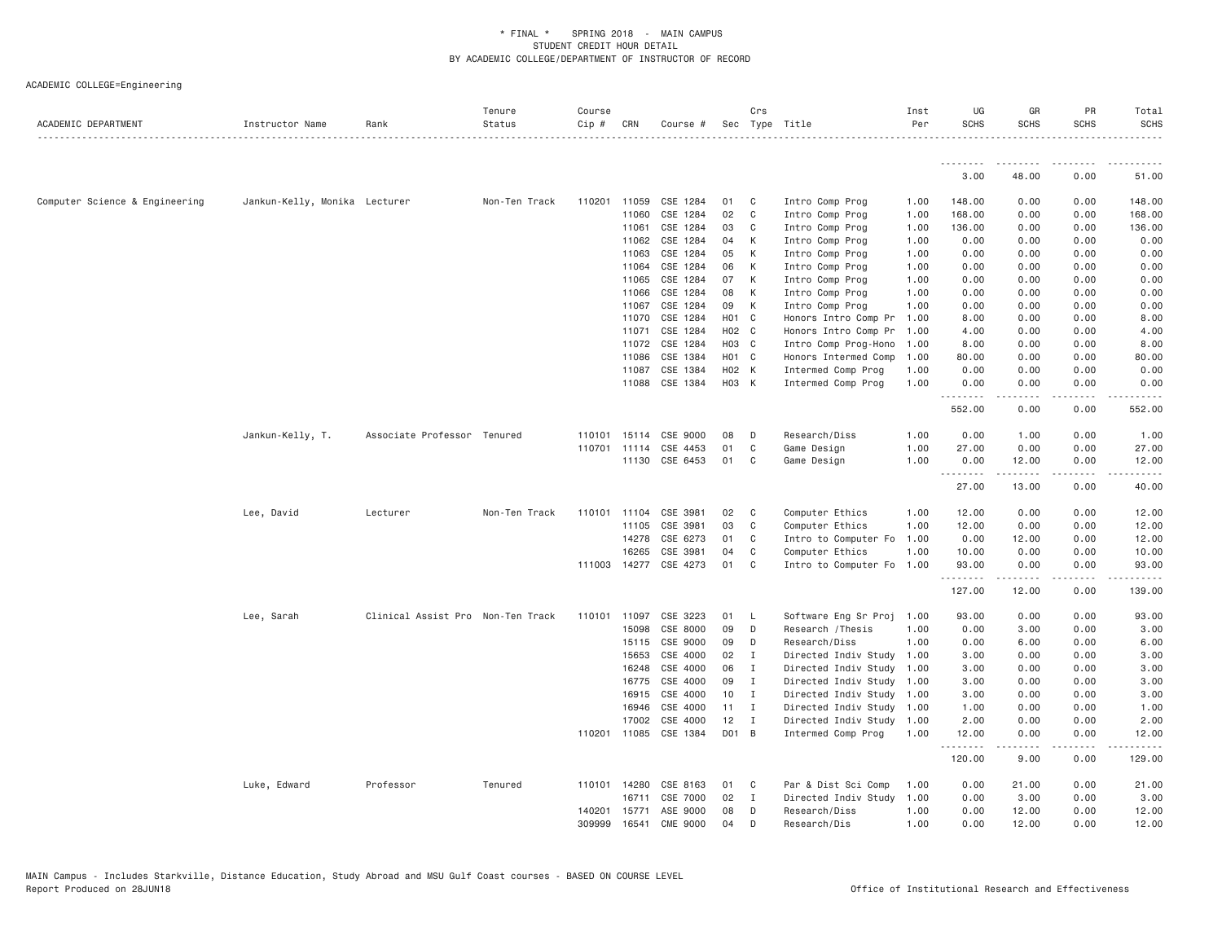| ACADEMIC DEPARTMENT            | Instructor Name               | Rank                              | Tenure<br>Status | Course<br>Cip # | CRN            | Course #              |                 | Crs            | Sec Type Title                           | Inst<br>Per  | UG<br><b>SCHS</b> | GR<br><b>SCHS</b>                                                                                                                                            | PR<br><b>SCHS</b> | Total<br><b>SCHS</b> |
|--------------------------------|-------------------------------|-----------------------------------|------------------|-----------------|----------------|-----------------------|-----------------|----------------|------------------------------------------|--------------|-------------------|--------------------------------------------------------------------------------------------------------------------------------------------------------------|-------------------|----------------------|
|                                |                               |                                   |                  |                 |                |                       |                 |                |                                          |              |                   |                                                                                                                                                              |                   |                      |
|                                |                               |                                   |                  |                 |                |                       |                 |                |                                          |              | 3.00              | 48.00                                                                                                                                                        | 0.00              | 51.00                |
| Computer Science & Engineering | Jankun-Kelly, Monika Lecturer |                                   | Non-Ten Track    | 110201          | 11059          | CSE 1284              | 01              | C              | Intro Comp Prog                          | 1.00         | 148.00            | 0.00                                                                                                                                                         | 0.00              | 148.00               |
|                                |                               |                                   |                  |                 | 11060          | CSE 1284              | 02              | C              | Intro Comp Prog                          | 1.00         | 168.00            | 0.00                                                                                                                                                         | 0.00              | 168.00               |
|                                |                               |                                   |                  |                 | 11061          | CSE 1284              | 03              | C              | Intro Comp Prog                          | 1.00         | 136.00            | 0.00                                                                                                                                                         | 0.00              | 136.00               |
|                                |                               |                                   |                  |                 | 11062          | CSE 1284              | 04              | K              | Intro Comp Prog                          | 1.00         | 0.00              | 0.00                                                                                                                                                         | 0.00              | 0.00                 |
|                                |                               |                                   |                  |                 | 11063          | CSE 1284              | 05              | K              | Intro Comp Prog                          | 1.00         | 0.00              | 0.00                                                                                                                                                         | 0.00              | 0.00                 |
|                                |                               |                                   |                  |                 | 11064          | CSE 1284              | 06              | K              | Intro Comp Prog                          | 1.00         | 0.00              | 0.00                                                                                                                                                         | 0.00              | 0.00                 |
|                                |                               |                                   |                  |                 | 11065          | CSE 1284              | 07              | К              | Intro Comp Prog                          | 1.00         | 0.00              | 0.00                                                                                                                                                         | 0.00              | 0.00                 |
|                                |                               |                                   |                  |                 | 11066          | CSE 1284              | 08              | К              | Intro Comp Prog                          | 1.00         | 0.00              | 0.00                                                                                                                                                         | 0.00              | 0.00                 |
|                                |                               |                                   |                  |                 | 11067          | CSE 1284              | 09              | K              | Intro Comp Prog                          | 1.00         | 0.00              | 0.00                                                                                                                                                         | 0.00              | 0.00                 |
|                                |                               |                                   |                  |                 | 11070          | CSE 1284              | H01 C           |                | Honors Intro Comp Pr                     | 1.00         | 8.00              | 0.00                                                                                                                                                         | 0.00              | 8.00                 |
|                                |                               |                                   |                  |                 | 11071          | CSE 1284              | H02 C           |                | Honors Intro Comp Pr                     | 1.00         | 4.00              | 0.00                                                                                                                                                         | 0.00              | 4.00                 |
|                                |                               |                                   |                  |                 | 11072          | CSE 1284              | H03 C           |                | Intro Comp Prog-Hono                     | 1.00         | 8.00              | 0.00                                                                                                                                                         | 0.00              | 8.00                 |
|                                |                               |                                   |                  |                 | 11086          | CSE 1384              | H01 C           |                | Honors Intermed Comp                     | 1.00         | 80.00             | 0.00                                                                                                                                                         | 0.00              | 80.00                |
|                                |                               |                                   |                  |                 | 11087<br>11088 | CSE 1384<br>CSE 1384  | H02 K<br>H03 K  |                | Intermed Comp Prog<br>Intermed Comp Prog | 1.00<br>1.00 | 0.00<br>0.00      | 0.00<br>0.00                                                                                                                                                 | 0.00<br>0.00      | 0.00<br>0.00         |
|                                |                               |                                   |                  |                 |                |                       |                 |                |                                          |              | .                 | -----                                                                                                                                                        | .                 |                      |
|                                |                               |                                   |                  |                 |                |                       |                 |                |                                          |              | 552.00            | 0.00                                                                                                                                                         | 0.00              | 552.00               |
|                                | Jankun-Kelly, T.              | Associate Professor Tenured       |                  | 110101          | 15114          | CSE 9000              | 08              | D              | Research/Diss                            | 1.00         | 0.00              | 1.00                                                                                                                                                         | 0.00              | 1.00                 |
|                                |                               |                                   |                  | 110701          | 11114          | CSE 4453              | 01              | C              | Game Design                              | 1.00         | 27.00             | 0.00                                                                                                                                                         | 0.00              | 27.00                |
|                                |                               |                                   |                  |                 |                | 11130 CSE 6453        | 01              | C              | Game Design                              | 1.00         | 0.00<br>.         | 12.00<br>د د د د د                                                                                                                                           | 0.00<br>.         | 12.00<br>.           |
|                                |                               |                                   |                  |                 |                |                       |                 |                |                                          |              | 27.00             | 13.00                                                                                                                                                        | 0.00              | 40.00                |
|                                | Lee, David                    | Lecturer                          | Non-Ten Track    | 110101          | 11104          | CSE 3981              | 02              | C              | Computer Ethics                          | 1.00         | 12.00             | 0.00                                                                                                                                                         | 0.00              | 12.00                |
|                                |                               |                                   |                  |                 | 11105          | CSE 3981              | 03              | $\mathsf{C}$   | Computer Ethics                          | 1.00         | 12.00             | 0.00                                                                                                                                                         | 0.00              | 12.00                |
|                                |                               |                                   |                  |                 | 14278          | CSE 6273              | 01              | C              | Intro to Computer Fo                     | 1.00         | 0.00              | 12.00                                                                                                                                                        | 0.00              | 12.00                |
|                                |                               |                                   |                  |                 | 16265          | CSE 3981              | 04              | C              | Computer Ethics                          | 1.00         | 10.00             | 0.00                                                                                                                                                         | 0.00              | 10.00                |
|                                |                               |                                   |                  |                 |                | 111003 14277 CSE 4273 | 01              | C              | Intro to Computer Fo                     | 1.00         | 93.00<br>.        | 0.00<br>$\frac{1}{2} \left( \frac{1}{2} \right) \left( \frac{1}{2} \right) \left( \frac{1}{2} \right) \left( \frac{1}{2} \right) \left( \frac{1}{2} \right)$ | 0.00<br>.         | 93.00<br>.           |
|                                |                               |                                   |                  |                 |                |                       |                 |                |                                          |              | 127.00            | 12.00                                                                                                                                                        | 0.00              | 139.00               |
|                                | Lee, Sarah                    | Clinical Assist Pro Non-Ten Track |                  | 110101          | 11097          | CSE 3223              | 01              | L              | Software Eng Sr Proj                     | 1.00         | 93.00             | 0.00                                                                                                                                                         | 0.00              | 93.00                |
|                                |                               |                                   |                  |                 | 15098          | CSE 8000              | 09              | D              | Research / Thesis                        | 1.00         | 0.00              | 3.00                                                                                                                                                         | 0.00              | 3.00                 |
|                                |                               |                                   |                  |                 | 15115          | CSE 9000              | 09              | D              | Research/Diss                            | 1.00         | 0.00              | 6.00                                                                                                                                                         | 0.00              | 6.00                 |
|                                |                               |                                   |                  |                 | 15653          | CSE 4000              | 02              | $\mathbf{I}$   | Directed Indiv Study                     | 1.00         | 3.00              | 0.00                                                                                                                                                         | 0.00              | 3.00                 |
|                                |                               |                                   |                  |                 | 16248          | CSE 4000              | 06              | I              | Directed Indiv Study                     | 1.00         | 3.00              | 0.00                                                                                                                                                         | 0.00              | 3.00                 |
|                                |                               |                                   |                  |                 | 16775          | CSE 4000              | 09              | $\mathbf{I}$   | Directed Indiv Study                     | 1.00         | 3.00              | 0.00                                                                                                                                                         | 0.00              | 3.00                 |
|                                |                               |                                   |                  |                 | 16915          | CSE 4000              | 10 <sub>1</sub> | $\blacksquare$ | Directed Indiv Study                     | 1.00         | 3.00              | 0.00                                                                                                                                                         | 0.00              | 3.00                 |
|                                |                               |                                   |                  |                 | 16946          | CSE 4000              | 11              | $\mathbf{I}$   | Directed Indiv Study                     | 1.00         | 1.00              | 0.00                                                                                                                                                         | 0.00              | 1.00                 |
|                                |                               |                                   |                  |                 | 17002          | CSE 4000              | 12<br>D01 B     | $\mathbf{I}$   | Directed Indiv Study                     | 1.00<br>1,00 | 2.00<br>12.00     | 0.00                                                                                                                                                         | 0.00<br>0.00      | 2.00                 |
|                                |                               |                                   |                  |                 | 110201 11085   | CSE 1384              |                 |                | Intermed Comp Prog                       |              | . <b>.</b>        | 0.00                                                                                                                                                         | . <b>.</b> .      | 12.00                |
|                                |                               |                                   |                  |                 |                |                       |                 |                |                                          |              | 120.00            | 9.00                                                                                                                                                         | 0.00              | 129.00               |
|                                | Luke, Edward                  | Professor                         | Tenured          |                 | 110101 14280   | CSE 8163              | 01              | C              | Par & Dist Sci Comp                      | 1.00         | 0.00              | 21.00                                                                                                                                                        | 0.00              | 21.00                |
|                                |                               |                                   |                  |                 | 16711          | CSE 7000              | 02              | $\mathbf{I}$   | Directed Indiv Study                     | 1.00         | 0.00              | 3.00                                                                                                                                                         | 0.00              | 3.00                 |
|                                |                               |                                   |                  | 140201          | 15771          | ASE 9000              | 08              | D              | Research/Diss                            | 1.00         | 0.00              | 12.00                                                                                                                                                        | 0.00              | 12.00                |
|                                |                               |                                   |                  | 309999          | 16541          | <b>CME 9000</b>       | 04              | D              | Research/Dis                             | 1,00         | 0.00              | 12.00                                                                                                                                                        | 0.00              | 12.00                |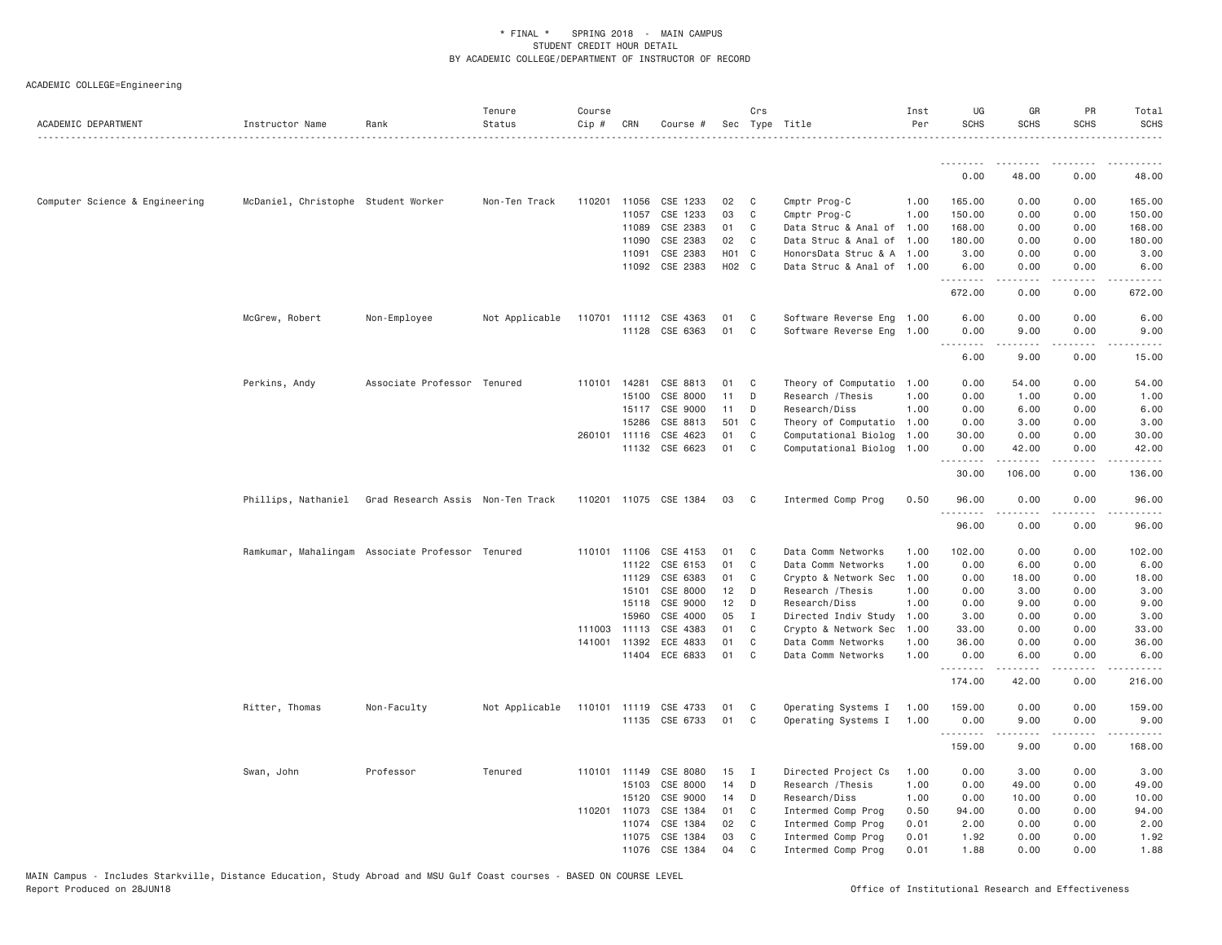| ACADEMIC DEPARTMENT            | Instructor Name                     | Rank                                             | Tenure<br>Status | Course<br>$Cip$ # | CRN                   | Course #              |          | Crs          | Sec Type Title                             | Inst<br>Per  | UG<br><b>SCHS</b>            | GR<br><b>SCHS</b>    | PR<br><b>SCHS</b>                   | Total<br><b>SCHS</b>  |
|--------------------------------|-------------------------------------|--------------------------------------------------|------------------|-------------------|-----------------------|-----------------------|----------|--------------|--------------------------------------------|--------------|------------------------------|----------------------|-------------------------------------|-----------------------|
|                                |                                     |                                                  |                  |                   |                       |                       |          |              |                                            |              | <u>.</u>                     | .                    | .                                   | .                     |
|                                |                                     |                                                  |                  |                   |                       |                       |          |              |                                            |              | 0.00                         | 48.00                | 0.00                                | 48.00                 |
| Computer Science & Engineering | McDaniel, Christophe Student Worker |                                                  | Non-Ten Track    | 110201            | 11056                 | CSE 1233              | 02       | C            | Cmptr Prog-C                               | 1.00         | 165.00                       | 0.00                 | 0.00                                | 165.00                |
|                                |                                     |                                                  |                  |                   | 11057                 | CSE 1233              | 03       | C            | Cmptr Prog-C                               | 1.00         | 150.00                       | 0.00                 | 0.00                                | 150.00                |
|                                |                                     |                                                  |                  |                   | 11089                 | CSE 2383              | 01       | C            | Data Struc & Anal of 1.00                  |              | 168.00                       | 0.00                 | 0.00                                | 168.00                |
|                                |                                     |                                                  |                  |                   | 11090                 | CSE 2383              | 02       | C            | Data Struc & Anal of 1.00                  |              | 180.00                       | 0.00                 | 0.00                                | 180.00                |
|                                |                                     |                                                  |                  |                   | 11091                 | CSE 2383              | H01 C    |              | HonorsData Struc & A 1.00                  |              | 3.00                         | 0.00                 | 0.00                                | 3.00                  |
|                                |                                     |                                                  |                  |                   | 11092                 | CSE 2383              | H02 C    |              | Data Struc & Anal of 1.00                  |              | 6.00<br><u>.</u>             | 0.00<br>$- - - - -$  | 0.00<br>.                           | 6.00<br>$- - - - - -$ |
|                                |                                     |                                                  |                  |                   |                       |                       |          |              |                                            |              | 672.00                       | 0.00                 | 0.00                                | 672.00                |
|                                | McGrew, Robert                      | Non-Employee                                     | Not Applicable   | 110701            |                       | 11112 CSE 4363        | 01       | C            | Software Reverse Eng 1.00                  |              | 6.00                         | 0.00                 | 0.00                                | 6.00                  |
|                                |                                     |                                                  |                  |                   | 11128                 | CSE 6363              | 01       | C            | Software Reverse Eng 1.00                  |              | 0.00<br>$\sim$ $\sim$ $\sim$ | 9.00                 | 0.00<br>.                           | 9.00                  |
|                                |                                     |                                                  |                  |                   |                       |                       |          |              |                                            |              | 6.00                         | 9.00                 | 0.00                                | 15.00                 |
|                                | Perkins, Andy                       | Associate Professor Tenured                      |                  |                   | 110101 14281          | CSE 8813              | 01       | C            | Theory of Computatio                       | 1.00         | 0.00                         | 54.00                | 0.00                                | 54.00                 |
|                                |                                     |                                                  |                  |                   | 15100                 | CSE 8000              | 11       | D            | Research / Thesis                          | 1.00         | 0.00                         | 1.00                 | 0.00                                | 1.00                  |
|                                |                                     |                                                  |                  |                   | 15117                 | CSE 9000              | 11       | D            | Research/Diss                              | 1,00         | 0.00                         | 6.00                 | 0.00                                | 6.00                  |
|                                |                                     |                                                  |                  |                   | 15286                 | CSE 8813              | 501 C    |              | Theory of Computatio                       | 1.00         | 0.00                         | 3.00                 | 0.00                                | 3.00                  |
|                                |                                     |                                                  |                  |                   | 260101 11116          | CSE 4623              | 01       | C            | Computational Biolog                       | 1.00         | 30.00                        | 0.00                 | 0.00                                | 30.00                 |
|                                |                                     |                                                  |                  |                   |                       | 11132 CSE 6623        | 01       | C            | Computational Biolog 1.00                  |              | 0.00<br>.                    | 42.00<br>.           | 0.00<br>.                           | 42.00<br>.            |
|                                |                                     |                                                  |                  |                   |                       |                       |          |              |                                            |              | 30.00                        | 106.00               | 0.00                                | 136.00                |
|                                | Phillips, Nathaniel                 | Grad Research Assis Non-Ten Track                |                  |                   |                       | 110201 11075 CSE 1384 | 03       | C            | Intermed Comp Prog                         | 0.50         | 96.00<br>.                   | 0.00<br>$- - - - -$  | 0.00<br>.                           | 96.00<br>.            |
|                                |                                     |                                                  |                  |                   |                       |                       |          |              |                                            |              | 96.00                        | 0.00                 | 0.00                                | 96.00                 |
|                                |                                     | Ramkumar, Mahalingam Associate Professor Tenured |                  |                   | 110101 11106          | CSE 4153              | 01       | C            | Data Comm Networks                         | 1,00         | 102.00                       | 0.00                 | 0.00                                | 102.00                |
|                                |                                     |                                                  |                  |                   | 11122                 | CSE 6153              | 01       | C            | Data Comm Networks                         | 1.00         | 0.00                         | 6.00                 | 0.00                                | 6.00                  |
|                                |                                     |                                                  |                  |                   | 11129                 | CSE 6383              | 01       | C            | Crypto & Network Sec                       | 1.00         | 0.00                         | 18.00                | 0.00                                | 18.00                 |
|                                |                                     |                                                  |                  |                   | 15101                 | CSE 8000              | 12       | D            | Research / Thesis                          | 1.00         | 0.00                         | 3.00                 | 0.00                                | 3.00                  |
|                                |                                     |                                                  |                  |                   | 15118                 | CSE 9000              | 12       | D            | Research/Diss                              | 1.00         | 0.00                         | 9.00                 | 0.00                                | 9.00                  |
|                                |                                     |                                                  |                  |                   | 15960                 | CSE 4000              | 05       | I            | Directed Indiv Study                       | 1.00         | 3.00                         | 0.00                 | 0.00                                | 3.00                  |
|                                |                                     |                                                  |                  | 141001            | 111003 11113<br>11392 | CSE 4383<br>ECE 4833  | 01<br>01 | C<br>C       | Crypto & Network Sec<br>Data Comm Networks | 1.00<br>1.00 | 33.00<br>36.00               | 0.00<br>0.00         | 0.00<br>0.00                        | 33.00<br>36.00        |
|                                |                                     |                                                  |                  |                   | 11404                 | ECE 6833              | 01       | C.           | Data Comm Networks                         | 1.00         | 0.00                         | 6.00                 | 0.00                                | 6.00                  |
|                                |                                     |                                                  |                  |                   |                       |                       |          |              |                                            |              | .<br>174.00                  | $- - - - -$<br>42.00 | .<br>0.00                           | .<br>216.00           |
|                                | Ritter, Thomas                      | Non-Faculty                                      | Not Applicable   | 110101            | 11119                 | CSE 4733              | 01       | C            | Operating Systems I                        | 1.00         | 159.00                       | 0.00                 | 0.00                                | 159.00                |
|                                |                                     |                                                  |                  |                   |                       | 11135 CSE 6733        | 01       | C            | Operating Systems I                        | 1.00         | 0.00<br>.                    | 9.00                 | 0.00<br>$\sim$ $\sim$ $\sim$ $\sim$ | 9.00                  |
|                                |                                     |                                                  |                  |                   |                       |                       |          |              |                                            |              | 159.00                       | 9.00                 | 0.00                                | 168.00                |
|                                | Swan, John                          | Professor                                        | Tenured          |                   | 110101 11149          | CSE 8080              | 15       | $\mathbf{I}$ | Directed Project Cs                        | 1.00         | 0.00                         | 3.00                 | 0.00                                | 3.00                  |
|                                |                                     |                                                  |                  |                   | 15103                 | CSE 8000              | 14       | D            | Research / Thesis                          | 1.00         | 0.00                         | 49.00                | 0.00                                | 49.00                 |
|                                |                                     |                                                  |                  |                   | 15120                 | CSE 9000              | 14       | D            | Research/Diss                              | 1.00         | 0.00                         | 10.00                | 0.00                                | 10.00                 |
|                                |                                     |                                                  |                  |                   | 110201 11073          | CSE 1384              | 01       | C            | Intermed Comp Prog                         | 0.50         | 94.00                        | 0.00                 | 0.00                                | 94.00                 |
|                                |                                     |                                                  |                  |                   | 11074                 | CSE 1384              | 02       | C            | Intermed Comp Prog                         | 0.01         | 2.00                         | 0.00                 | 0.00                                | 2.00                  |
|                                |                                     |                                                  |                  |                   | 11075<br>11076        | CSE 1384<br>CSE 1384  | 03<br>04 | C<br>C       | Intermed Comp Prog<br>Intermed Comp Prog   | 0.01<br>0.01 | 1.92<br>1.88                 | 0.00<br>0.00         | 0.00<br>0.00                        | 1.92<br>1.88          |
|                                |                                     |                                                  |                  |                   |                       |                       |          |              |                                            |              |                              |                      |                                     |                       |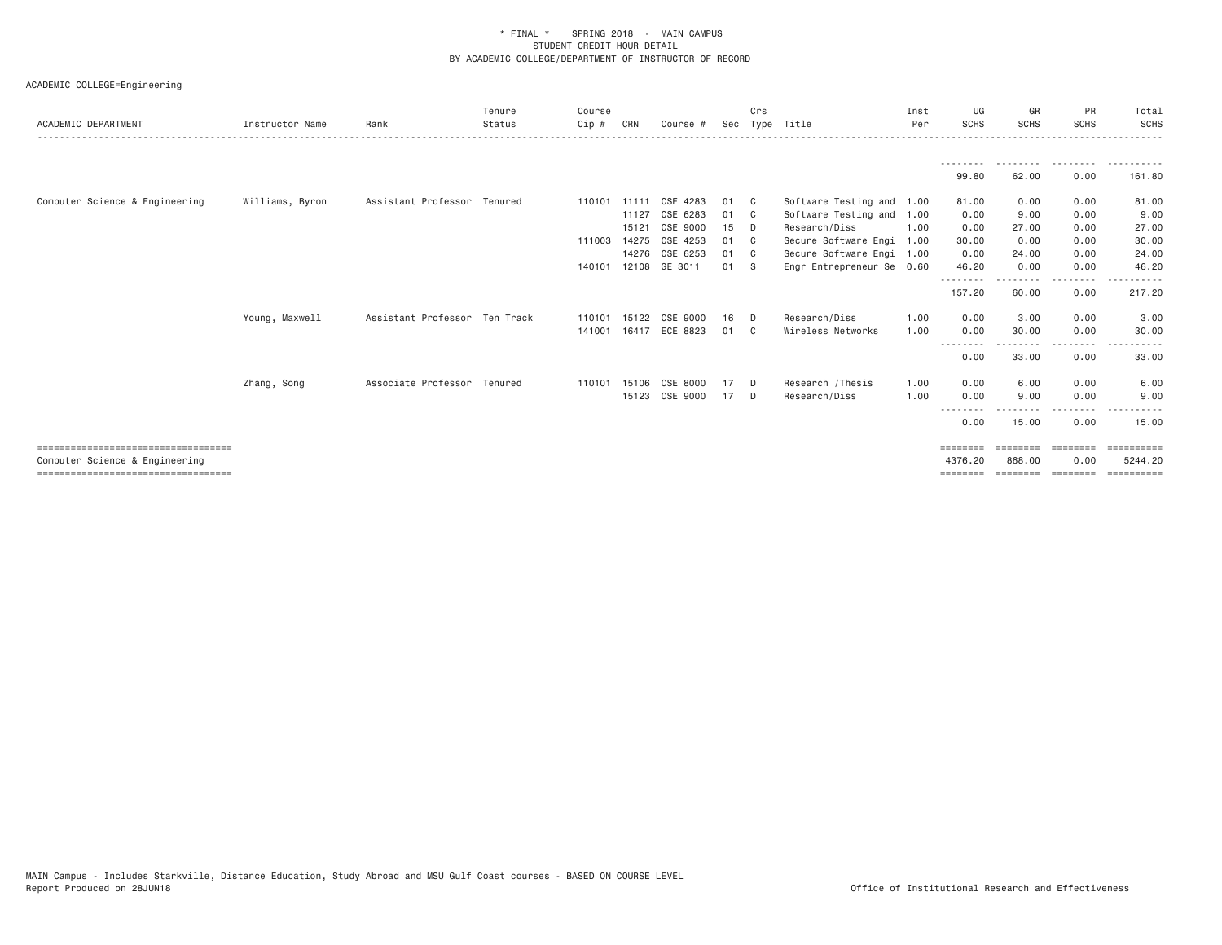|                                        |                 |                               | Tenure | Course       |       |                |    | Crs            |                           | Inst | UG                 | GR                 | PR                      | Total      |
|----------------------------------------|-----------------|-------------------------------|--------|--------------|-------|----------------|----|----------------|---------------------------|------|--------------------|--------------------|-------------------------|------------|
| ACADEMIC DEPARTMENT                    | Instructor Name | Rank                          | Status | Cip #        | CRN   | Course #       |    |                | Sec Type Title            | Per  | <b>SCHS</b>        | <b>SCHS</b>        | <b>SCHS</b>             | SCHS       |
|                                        |                 |                               |        |              |       |                |    |                |                           |      |                    | ---------          | .                       | .          |
|                                        |                 |                               |        |              |       |                |    |                |                           |      | 99.80              | 62.00              | 0.00                    | 161.80     |
| Computer Science & Engineering         | Williams, Byron | Assistant Professor Tenured   |        | 110101 11111 |       | CSE 4283       | 01 | C <sub>1</sub> | Software Testing and 1.00 |      | 81.00              | 0.00               | 0.00                    | 81.00      |
|                                        |                 |                               |        |              | 11127 | CSE 6283       | 01 | C <sub>c</sub> | Software Testing and      | 1.00 | 0.00               | 9.00               | 0.00                    | 9.00       |
|                                        |                 |                               |        |              | 15121 | CSE 9000       | 15 | D              | Research/Diss             | 1.00 | 0.00               | 27.00              | 0.00                    | 27.00      |
|                                        |                 |                               |        | 111003 14275 |       | CSE 4253       | 01 | - C            | Secure Software Engi      | 1.00 | 30.00              | 0.00               | 0.00                    | 30.00      |
|                                        |                 |                               |        |              | 14276 | CSE 6253       | 01 | - C            | Secure Software Engi 1.00 |      | 0.00               | 24.00              | 0.00                    | 24.00      |
|                                        |                 |                               |        | 140101       |       | 12108 GE 3011  | 01 | - S            | Engr Entrepreneur Se 0.60 |      | 46.20              | 0.00               | 0.00                    | 46.20      |
|                                        |                 |                               |        |              |       |                |    |                |                           |      | --------<br>157.20 | 60.00              | .<br>0.00               | 217.20     |
|                                        | Young, Maxwell  | Assistant Professor Ten Track |        | 110101       | 15122 | CSE 9000       | 16 | D              | Research/Diss             | 1.00 | 0.00               | 3.00               | 0.00                    | 3.00       |
|                                        |                 |                               |        | 141001       |       | 16417 ECE 8823 | 01 | - C            | Wireless Networks         | 1.00 | 0.00               | 30.00              | 0.00                    | 30.00      |
|                                        |                 |                               |        |              |       |                |    |                |                           |      | --------<br>0.00   | - - - - -<br>33.00 | <u>.</u><br>0.00        | .<br>33.00 |
|                                        | Zhang, Song     | Associate Professor Tenured   |        | 110101       | 15106 | CSE 8000       | 17 | D.             | Research / Thesis         | 1.00 | 0.00               | 6.00               | 0.00                    | 6.00       |
|                                        |                 |                               |        |              |       | 15123 CSE 9000 | 17 | D              | Research/Diss             | 1.00 | 0.00               | 9.00               | 0.00                    | 9.00       |
|                                        |                 |                               |        |              |       |                |    |                |                           |      | --------<br>0.00   | --------<br>15.00  | - - - - - - - -<br>0.00 | 15.00      |
| =====================================  |                 |                               |        |              |       |                |    |                |                           |      | ========           | ========           | ---------               | ========== |
| Computer Science & Engineering         |                 |                               |        |              |       |                |    |                |                           |      | 4376.20            | 868,00             | 0.00                    | 5244.20    |
| ====================================== |                 |                               |        |              |       |                |    |                |                           |      | ========           | ========           | ========                | ========== |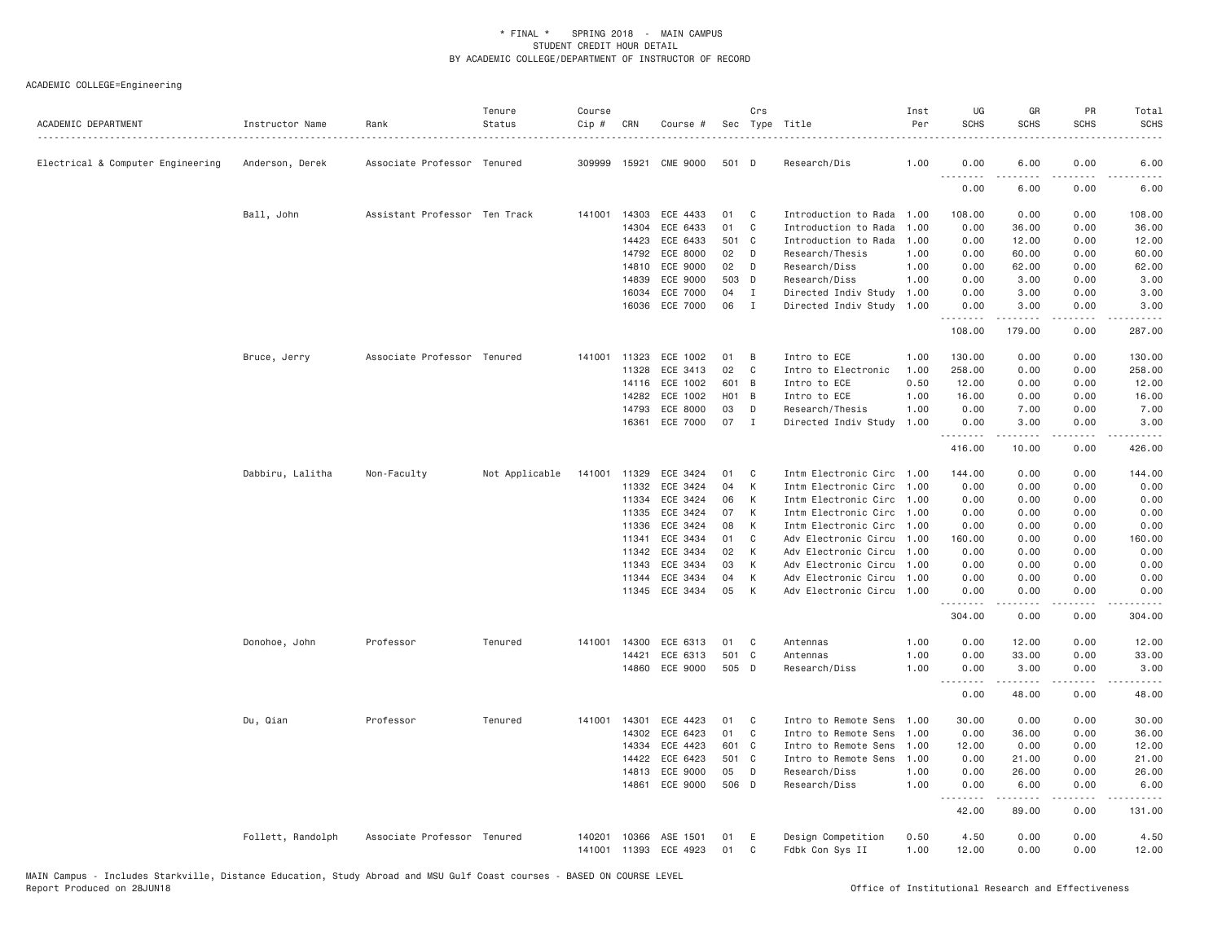| ACADEMIC DEPARTMENT               | Instructor Name<br>. | Rank                          | Tenure<br>Status | Course<br>$Cip \#$ | CRN          | Course #       |                  | Crs          | Sec Type Title            | Inst<br>Per | UG<br><b>SCHS</b> | GR<br><b>SCHS</b>                                                                                                                                            | <b>PR</b><br><b>SCHS</b>            | Total<br><b>SCHS</b>                                                                                                                                         |
|-----------------------------------|----------------------|-------------------------------|------------------|--------------------|--------------|----------------|------------------|--------------|---------------------------|-------------|-------------------|--------------------------------------------------------------------------------------------------------------------------------------------------------------|-------------------------------------|--------------------------------------------------------------------------------------------------------------------------------------------------------------|
| Electrical & Computer Engineering | Anderson, Derek      | Associate Professor Tenured   |                  |                    | 309999 15921 | CME 9000       | 501 D            |              | Research/Dis              | 1.00        | 0.00              | 6.00                                                                                                                                                         | 0.00                                | 6.00                                                                                                                                                         |
|                                   |                      |                               |                  |                    |              |                |                  |              |                           |             | 0.00              | 6.00                                                                                                                                                         | 0.00                                | 6.00                                                                                                                                                         |
|                                   | Ball, John           | Assistant Professor Ten Track |                  | 141001             | 14303        | ECE 4433       | 01               | C            | Introduction to Rada      | 1.00        | 108.00            | 0.00                                                                                                                                                         | 0.00                                | 108.00                                                                                                                                                       |
|                                   |                      |                               |                  |                    | 14304        | ECE 6433       | 01               | C            | Introduction to Rada      | 1,00        | 0.00              | 36.00                                                                                                                                                        | 0.00                                | 36.00                                                                                                                                                        |
|                                   |                      |                               |                  |                    | 14423        | ECE 6433       | 501 C            |              | Introduction to Rada      | 1.00        | 0.00              | 12.00                                                                                                                                                        | 0.00                                | 12.00                                                                                                                                                        |
|                                   |                      |                               |                  |                    | 14792        | ECE 8000       | 02               | D            | Research/Thesis           | 1.00        | 0.00              | 60.00                                                                                                                                                        | 0.00                                | 60.00                                                                                                                                                        |
|                                   |                      |                               |                  |                    | 14810        | ECE 9000       | 02               | D            | Research/Diss             | 1.00        | 0.00              | 62.00                                                                                                                                                        | 0.00                                | 62.00                                                                                                                                                        |
|                                   |                      |                               |                  |                    | 14839        | ECE 9000       | 503 D            |              | Research/Diss             | 1.00        | 0.00              | 3.00                                                                                                                                                         | 0.00                                | 3.00                                                                                                                                                         |
|                                   |                      |                               |                  |                    | 16034        | ECE 7000       | 04               | I            | Directed Indiv Study      | 1.00        | 0.00              | 3.00                                                                                                                                                         | 0.00                                | 3.00                                                                                                                                                         |
|                                   |                      |                               |                  |                    | 16036        | ECE 7000       | 06               | $\mathbf{I}$ | Directed Indiv Study      | 1.00        | 0.00<br>.         | 3.00<br>.                                                                                                                                                    | 0.00<br>$\sim$ $\sim$ $\sim$ $\sim$ | 3.00<br>$\frac{1}{2} \left( \frac{1}{2} \right) \left( \frac{1}{2} \right) \left( \frac{1}{2} \right) \left( \frac{1}{2} \right) \left( \frac{1}{2} \right)$ |
|                                   |                      |                               |                  |                    |              |                |                  |              |                           |             | 108.00            | 179.00                                                                                                                                                       | 0.00                                | 287.00                                                                                                                                                       |
|                                   | Bruce, Jerry         | Associate Professor Tenured   |                  |                    | 141001 11323 | ECE 1002       | 01               | B            | Intro to ECE              | 1.00        | 130.00            | 0.00                                                                                                                                                         | 0.00                                | 130.00                                                                                                                                                       |
|                                   |                      |                               |                  |                    | 11328        | ECE 3413       | 02               | $\mathsf{C}$ | Intro to Electronic       | 1.00        | 258.00            | 0.00                                                                                                                                                         | 0.00                                | 258.00                                                                                                                                                       |
|                                   |                      |                               |                  |                    | 14116        | ECE 1002       | 601              | B            | Intro to ECE              | 0.50        | 12.00             | 0.00                                                                                                                                                         | 0.00                                | 12.00                                                                                                                                                        |
|                                   |                      |                               |                  |                    | 14282        | ECE 1002       | H <sub>0</sub> 1 | B            | Intro to ECE              | 1.00        | 16.00             | 0.00                                                                                                                                                         | 0.00                                | 16.00                                                                                                                                                        |
|                                   |                      |                               |                  |                    | 14793        | ECE 8000       | 03               | D            | Research/Thesis           | 1.00        | 0.00              | 7.00                                                                                                                                                         | 0.00                                | 7.00                                                                                                                                                         |
|                                   |                      |                               |                  |                    | 16361        | ECE 7000       | 07               | $\mathbf I$  | Directed Indiv Study      | 1.00        | 0.00<br>.         | 3.00<br>$\frac{1}{2} \left( \frac{1}{2} \right) \left( \frac{1}{2} \right) \left( \frac{1}{2} \right) \left( \frac{1}{2} \right) \left( \frac{1}{2} \right)$ | 0.00<br>.                           | 3.00<br>$- - - - - -$                                                                                                                                        |
|                                   |                      |                               |                  |                    |              |                |                  |              |                           |             | 416.00            | 10.00                                                                                                                                                        | 0.00                                | 426.00                                                                                                                                                       |
|                                   | Dabbiru, Lalitha     | Non-Faculty                   | Not Applicable   | 141001             | 11329        | ECE 3424       | 01               | C            | Intm Electronic Circ      | 1,00        | 144.00            | 0.00                                                                                                                                                         | 0.00                                | 144.00                                                                                                                                                       |
|                                   |                      |                               |                  |                    | 11332        | ECE 3424       | 04               | К            | Intm Electronic Circ      | 1.00        | 0.00              | 0.00                                                                                                                                                         | 0.00                                | 0.00                                                                                                                                                         |
|                                   |                      |                               |                  |                    | 11334        | ECE 3424       | 06               | К            | Intm Electronic Circ      | 1,00        | 0.00              | 0.00                                                                                                                                                         | 0.00                                | 0.00                                                                                                                                                         |
|                                   |                      |                               |                  |                    | 11335        | ECE 3424       | 07               | К            | Intm Electronic Circ      | 1.00        | 0.00              | 0.00                                                                                                                                                         | 0.00                                | 0.00                                                                                                                                                         |
|                                   |                      |                               |                  |                    | 11336        | ECE 3424       | 08               | К            | Intm Electronic Circ      | 1.00        | 0.00              | 0.00                                                                                                                                                         | 0.00                                | 0.00                                                                                                                                                         |
|                                   |                      |                               |                  |                    | 11341        | ECE 3434       | 01               | C            | Adv Electronic Circu      | 1.00        | 160.00            | 0.00                                                                                                                                                         | 0.00                                | 160.00                                                                                                                                                       |
|                                   |                      |                               |                  |                    | 11342        | ECE 3434       | 02               | К            | Adv Electronic Circu      | 1.00        | 0.00              | 0.00                                                                                                                                                         | 0.00                                | 0.00                                                                                                                                                         |
|                                   |                      |                               |                  |                    | 11343        | ECE 3434       | 03               | К            | Adv Electronic Circu      | 1,00        | 0.00              | 0.00                                                                                                                                                         | 0.00                                | 0.00                                                                                                                                                         |
|                                   |                      |                               |                  |                    | 11344        | ECE 3434       | 04               | К            | Adv Electronic Circu 1.00 |             | 0.00              | 0.00                                                                                                                                                         | 0.00                                | 0.00                                                                                                                                                         |
|                                   |                      |                               |                  |                    |              | 11345 ECE 3434 | 05               | K            | Adv Electronic Circu 1.00 |             | 0.00<br>.         | 0.00<br>-----                                                                                                                                                | 0.00<br>.                           | 0.00<br>.                                                                                                                                                    |
|                                   |                      |                               |                  |                    |              |                |                  |              |                           |             | 304.00            | 0.00                                                                                                                                                         | 0.00                                | 304.00                                                                                                                                                       |
|                                   | Donohoe, John        | Professor                     | Tenured          |                    | 141001 14300 | ECE 6313       | 01               | C            | Antennas                  | 1.00        | 0.00              | 12.00                                                                                                                                                        | 0.00                                | 12.00                                                                                                                                                        |
|                                   |                      |                               |                  |                    | 14421        | ECE 6313       | 501              | C            | Antennas                  | 1.00        | 0.00              | 33.00                                                                                                                                                        | 0.00                                | 33.00                                                                                                                                                        |
|                                   |                      |                               |                  |                    | 14860        | ECE 9000       | 505 D            |              | Research/Diss             | 1.00        | 0.00<br>.         | 3.00                                                                                                                                                         | 0.00                                | 3.00                                                                                                                                                         |
|                                   |                      |                               |                  |                    |              |                |                  |              |                           |             | 0.00              | 48.00                                                                                                                                                        | 0.00                                | 48.00                                                                                                                                                        |
|                                   | Du, Qian             | Professor                     | Tenured          |                    | 141001 14301 | ECE 4423       | 01               | C            | Intro to Remote Sens      | 1.00        | 30.00             | 0.00                                                                                                                                                         | 0.00                                | 30.00                                                                                                                                                        |
|                                   |                      |                               |                  |                    | 14302        | ECE 6423       | 01               | C            | Intro to Remote Sens      | 1,00        | 0.00              | 36.00                                                                                                                                                        | 0.00                                | 36.00                                                                                                                                                        |
|                                   |                      |                               |                  |                    | 14334        | ECE 4423       | 601              | C            | Intro to Remote Sens      | 1.00        | 12.00             | 0.00                                                                                                                                                         | 0.00                                | 12.00                                                                                                                                                        |
|                                   |                      |                               |                  |                    | 14422        | ECE 6423       | 501              | C.           | Intro to Remote Sens      | 1.00        | 0.00              | 21.00                                                                                                                                                        | 0.00                                | 21.00                                                                                                                                                        |
|                                   |                      |                               |                  |                    | 14813        | ECE 9000       | 05               | D            | Research/Diss             | 1.00        | 0.00              | 26.00                                                                                                                                                        | 0.00                                | 26.00                                                                                                                                                        |
|                                   |                      |                               |                  |                    | 14861        | ECE 9000       | 506 D            |              | Research/Diss             | 1.00        | 0.00<br>.         | 6.00<br>$\frac{1}{2} \left( \frac{1}{2} \right) \left( \frac{1}{2} \right) \left( \frac{1}{2} \right) \left( \frac{1}{2} \right) \left( \frac{1}{2} \right)$ | 0.00<br>.                           | 6.00<br>.                                                                                                                                                    |
|                                   |                      |                               |                  |                    |              |                |                  |              |                           |             | 42.00             | 89.00                                                                                                                                                        | 0.00                                | 131.00                                                                                                                                                       |
|                                   | Follett, Randolph    | Associate Professor Tenured   |                  | 140201             | 10366        | ASE 1501       | 01               | E            | Design Competition        | 0.50        | 4.50              | 0.00                                                                                                                                                         | 0.00                                | 4.50                                                                                                                                                         |
|                                   |                      |                               |                  | 141001             |              | 11393 ECE 4923 | 01               | C            | Fdbk Con Sys II           | 1.00        | 12.00             | 0.00                                                                                                                                                         | 0.00                                | 12.00                                                                                                                                                        |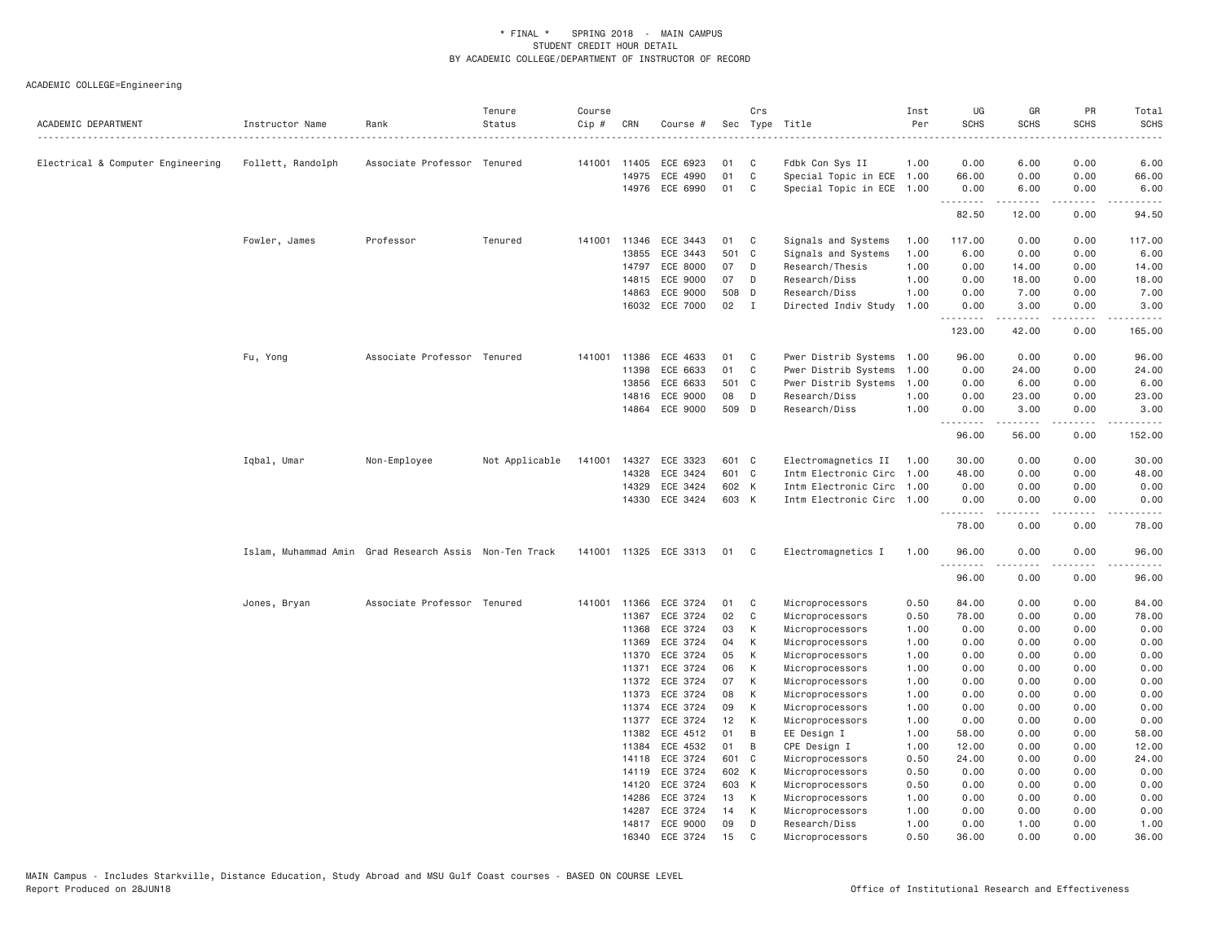| ACADEMIC DEPARTMENT               | Instructor Name   | Rank                                                   | Tenure<br>Status | Course<br>Cip # | CRN            | Course #                   |             | Crs                        | Sec Type Title                        | Inst<br>Per  | UG<br><b>SCHS</b> | GR<br><b>SCHS</b>     | PR<br><b>SCHS</b> | Total<br><b>SCHS</b>                                                                                                                                                                      |
|-----------------------------------|-------------------|--------------------------------------------------------|------------------|-----------------|----------------|----------------------------|-------------|----------------------------|---------------------------------------|--------------|-------------------|-----------------------|-------------------|-------------------------------------------------------------------------------------------------------------------------------------------------------------------------------------------|
| Electrical & Computer Engineering | Follett, Randolph | Associate Professor Tenured                            |                  |                 | 141001 11405   | ECE 6923                   | 01          | C                          | Fdbk Con Sys II                       | 1.00         | 0.00              | 6.00                  | 0.00              | 6.00                                                                                                                                                                                      |
|                                   |                   |                                                        |                  |                 | 14975          | ECE 4990                   | 01          | $\mathbf{C}$               | Special Topic in ECE 1.00             |              | 66.00             | 0.00                  | 0.00              | 66.00                                                                                                                                                                                     |
|                                   |                   |                                                        |                  |                 |                | 14976 ECE 6990             | 01          | C                          | Special Topic in ECE 1.00             |              | 0.00              | 6.00                  | 0.00              | 6.00                                                                                                                                                                                      |
|                                   |                   |                                                        |                  |                 |                |                            |             |                            |                                       |              | .<br>82.50        | . <b>.</b> .<br>12.00 | .<br>0.00         | 94.50                                                                                                                                                                                     |
|                                   | Fowler, James     | Professor                                              | Tenured          | 141001          | 11346          | ECE 3443                   | 01          | C <sub>c</sub>             | Signals and Systems                   | 1.00         | 117.00            | 0.00                  | 0.00              | 117.00                                                                                                                                                                                    |
|                                   |                   |                                                        |                  |                 | 13855          | ECE 3443                   | 501 C       |                            | Signals and Systems                   | 1.00         | 6.00              | 0.00                  | 0.00              | 6.00                                                                                                                                                                                      |
|                                   |                   |                                                        |                  |                 | 14797          | ECE 8000                   | 07          | D                          | Research/Thesis                       | 1.00         | 0.00              | 14.00                 | 0.00              | 14.00                                                                                                                                                                                     |
|                                   |                   |                                                        |                  |                 | 14815          | ECE 9000                   | 07          | D                          | Research/Diss                         | 1.00         | 0.00              | 18.00                 | 0.00              | 18.00                                                                                                                                                                                     |
|                                   |                   |                                                        |                  |                 | 14863          | ECE 9000<br>16032 ECE 7000 | 508 D<br>02 | $\blacksquare$             | Research/Diss<br>Directed Indiv Study | 1.00<br>1.00 | 0.00<br>0.00      | 7.00<br>3.00          | 0.00<br>0.00      | 7.00<br>3.00                                                                                                                                                                              |
|                                   |                   |                                                        |                  |                 |                |                            |             |                            |                                       |              | .<br>123.00       | المتمامين<br>42.00    | .<br>0.00         | <u>.</u><br>165.00                                                                                                                                                                        |
|                                   | Fu, Yong          | Associate Professor Tenured                            |                  | 141001          | 11386          | ECE 4633                   | 01          | C                          | Pwer Distrib Systems                  | 1.00         | 96.00             | 0.00                  | 0.00              | 96.00                                                                                                                                                                                     |
|                                   |                   |                                                        |                  |                 | 11398          | ECE 6633                   | 01          | C                          | Pwer Distrib Systems                  | 1.00         | 0.00              | 24.00                 | 0.00              | 24.00                                                                                                                                                                                     |
|                                   |                   |                                                        |                  |                 | 13856          | ECE 6633                   | 501 C       |                            | Pwer Distrib Systems                  | 1.00         | 0.00              | 6.00                  | 0.00              | 6.00                                                                                                                                                                                      |
|                                   |                   |                                                        |                  |                 | 14816          | ECE 9000                   | 08          | D                          | Research/Diss                         | 1.00         | 0.00              | 23.00                 | 0.00              | 23.00                                                                                                                                                                                     |
|                                   |                   |                                                        |                  |                 |                | 14864 ECE 9000             | 509 D       |                            | Research/Diss                         | 1.00         | 0.00              | 3.00                  | 0.00              | 3.00                                                                                                                                                                                      |
|                                   |                   |                                                        |                  |                 |                |                            |             |                            |                                       |              | .<br>96.00        | .<br>56.00            | .<br>0.00         | $\frac{1}{2} \left( \frac{1}{2} \right) \left( \frac{1}{2} \right) \left( \frac{1}{2} \right) \left( \frac{1}{2} \right) \left( \frac{1}{2} \right) \left( \frac{1}{2} \right)$<br>152.00 |
|                                   | Iqbal, Umar       | Non-Employee                                           | Not Applicable   | 141001          | 14327          | ECE 3323                   | 601 C       |                            | Electromagnetics II 1.00              |              | 30.00             | 0.00                  | 0.00              | 30.00                                                                                                                                                                                     |
|                                   |                   |                                                        |                  |                 | 14328          | ECE 3424                   | 601 C       |                            | Intm Electronic Circ 1.00             |              | 48.00             | 0.00                  | 0.00              | 48.00                                                                                                                                                                                     |
|                                   |                   |                                                        |                  |                 | 14329          | ECE 3424                   | 602 K       |                            | Intm Electronic Circ 1.00             |              | 0.00              | 0.00                  | 0.00              | 0.00                                                                                                                                                                                      |
|                                   |                   |                                                        |                  |                 |                | 14330 ECE 3424             | 603 K       |                            | Intm Electronic Circ 1.00             |              | 0.00<br>.         | 0.00                  | 0.00              | 0.00                                                                                                                                                                                      |
|                                   |                   |                                                        |                  |                 |                |                            |             |                            |                                       |              | 78.00             | 0.00                  | 0.00              | 78.00                                                                                                                                                                                     |
|                                   |                   | Islam, Muhammad Amin Grad Research Assis Non-Ten Track |                  |                 |                | 141001 11325 ECE 3313      | 01          | $\overline{\phantom{a}}$ C | Electromagnetics I                    | 1.00         | 96.00<br>.        | 0.00<br>.             | 0.00<br>.         | 96.00<br>المالم عامات                                                                                                                                                                     |
|                                   |                   |                                                        |                  |                 |                |                            |             |                            |                                       |              | 96.00             | 0.00                  | 0.00              | 96.00                                                                                                                                                                                     |
|                                   | Jones, Bryan      | Associate Professor Tenured                            |                  | 141001          | 11366          | ECE 3724                   | 01          | C                          | Microprocessors                       | 0.50         | 84.00             | 0.00                  | 0.00              | 84.00                                                                                                                                                                                     |
|                                   |                   |                                                        |                  |                 | 11367          | ECE 3724                   | 02          | C                          | Microprocessors                       | 0.50         | 78.00             | 0.00                  | 0.00              | 78.00                                                                                                                                                                                     |
|                                   |                   |                                                        |                  |                 | 11368          | ECE 3724                   | 03          | K                          | Microprocessors                       | 1.00         | 0.00              | 0.00                  | 0.00              | 0.00                                                                                                                                                                                      |
|                                   |                   |                                                        |                  |                 | 11369          | ECE 3724                   | 04          | K                          | Microprocessors                       | 1.00         | 0.00              | 0.00                  | 0.00              | 0.00                                                                                                                                                                                      |
|                                   |                   |                                                        |                  |                 | 11370          | ECE 3724                   | 05          | K                          | Microprocessors                       | 1.00         | 0.00              | 0.00                  | 0.00              | 0.00                                                                                                                                                                                      |
|                                   |                   |                                                        |                  |                 | 11371          | ECE 3724                   | 06          | К                          | Microprocessors                       | 1.00         | 0.00              | 0.00                  | 0.00              | 0.00                                                                                                                                                                                      |
|                                   |                   |                                                        |                  |                 | 11372          | ECE 3724                   | 07          | K                          | Microprocessors                       | 1.00         | 0.00              | 0.00                  | 0.00              | 0.00                                                                                                                                                                                      |
|                                   |                   |                                                        |                  |                 | 11373          | ECE 3724                   | 08          | K                          | Microprocessors                       | 1.00         | 0.00              | 0.00                  | 0.00              | 0.00                                                                                                                                                                                      |
|                                   |                   |                                                        |                  |                 | 11374          | ECE 3724                   | 09          | K                          | Microprocessors                       | 1.00         | 0.00              | 0.00                  | 0.00              | 0.00                                                                                                                                                                                      |
|                                   |                   |                                                        |                  |                 | 11377          | ECE 3724                   | 12          | K                          | Microprocessors                       | 1.00         | 0.00              | 0.00                  | 0.00              | 0.00                                                                                                                                                                                      |
|                                   |                   |                                                        |                  |                 | 11382          | ECE 4512                   | 01          | B                          | EE Design I                           | 1.00         | 58.00             | 0.00                  | 0.00              | 58.00                                                                                                                                                                                     |
|                                   |                   |                                                        |                  |                 | 11384          | ECE 4532                   | 01          | B                          | CPE Design I                          | 1.00         | 12.00             | 0.00                  | 0.00              | 12.00                                                                                                                                                                                     |
|                                   |                   |                                                        |                  |                 | 14118          | ECE 3724                   | 601 C       |                            | Microprocessors                       | 0.50         | 24.00             | 0.00                  | 0.00              | 24.00                                                                                                                                                                                     |
|                                   |                   |                                                        |                  |                 | 14119          | ECE 3724                   | 602 K       |                            | Microprocessors                       | 0.50         | 0.00              | 0.00                  | 0.00              | 0.00                                                                                                                                                                                      |
|                                   |                   |                                                        |                  |                 | 14120<br>14286 | ECE 3724<br>ECE 3724       | 603 K<br>13 | K                          | Microprocessors<br>Microprocessors    | 0.50<br>1.00 | 0.00<br>0.00      | 0.00<br>0.00          | 0.00<br>0.00      | 0.00<br>0.00                                                                                                                                                                              |
|                                   |                   |                                                        |                  |                 | 14287          | ECE 3724                   | 14          | K                          | Microprocessors                       | 1.00         | 0.00              | 0.00                  | 0.00              | 0.00                                                                                                                                                                                      |
|                                   |                   |                                                        |                  |                 |                | 14817 ECE 9000             | 09          | D                          | Research/Diss                         | 1.00         | 0.00              | 1.00                  | 0.00              | 1.00                                                                                                                                                                                      |
|                                   |                   |                                                        |                  |                 | 16340          | ECE 3724                   | 15          | C                          | Microprocessors                       | 0.50         | 36.00             | 0.00                  | 0.00              | 36,00                                                                                                                                                                                     |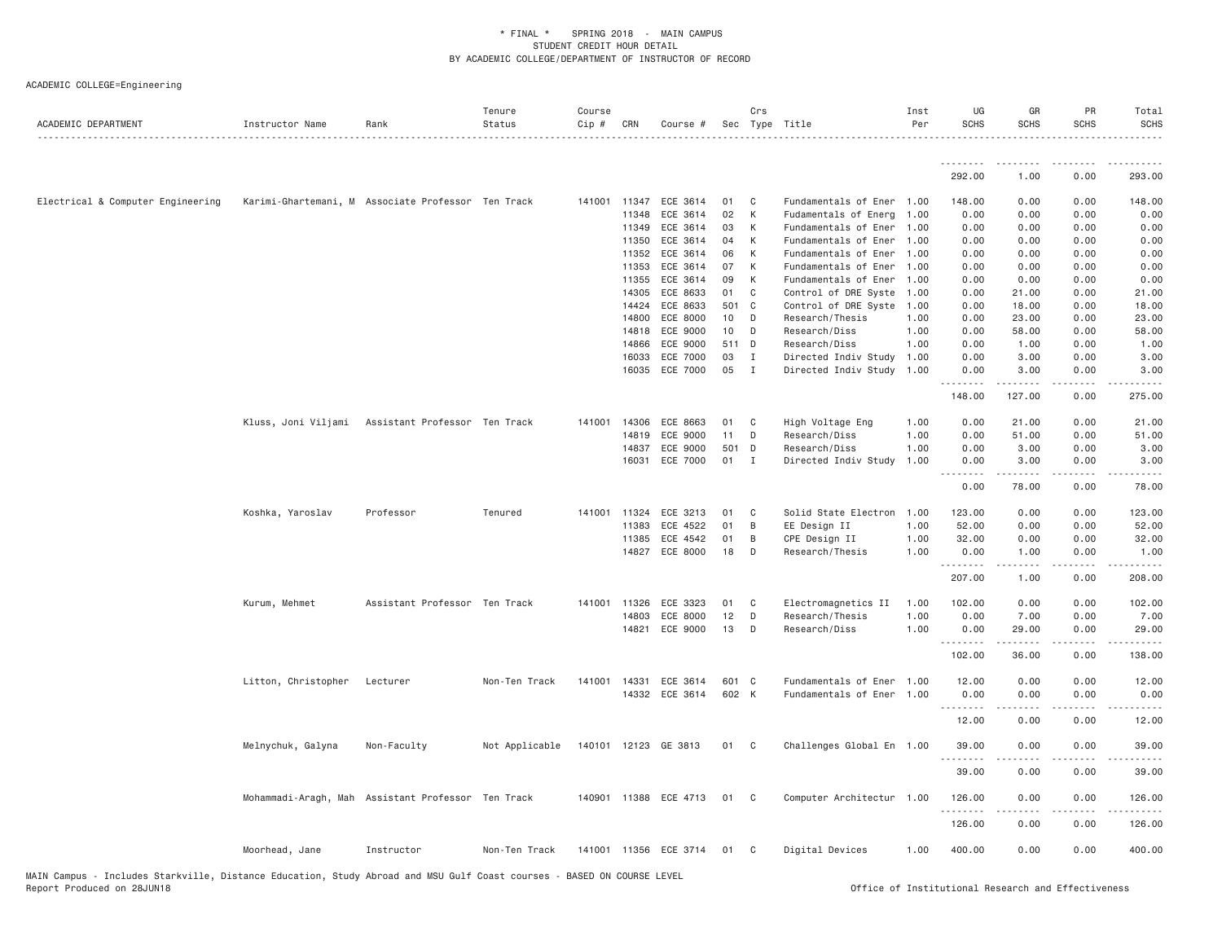| ACADEMIC DEPARTMENT               | Instructor Name                                    | Rank                          | Tenure<br>Status | Course<br>Cip # | CRN          | Course #              |        | Crs            | Sec Type Title            | Inst<br>Per | UG<br><b>SCHS</b> | GR<br><b>SCHS</b> | PR<br><b>SCHS</b> | Total<br><b>SCHS</b> |
|-----------------------------------|----------------------------------------------------|-------------------------------|------------------|-----------------|--------------|-----------------------|--------|----------------|---------------------------|-------------|-------------------|-------------------|-------------------|----------------------|
|                                   |                                                    |                               |                  |                 |              |                       |        |                |                           |             | .                 |                   |                   |                      |
|                                   |                                                    |                               |                  |                 |              |                       |        |                |                           |             | 292.00            | 1.00              | 0.00              | 293.00               |
| Electrical & Computer Engineering | Karimi-Ghartemani, M Associate Professor Ten Track |                               |                  |                 | 141001 11347 | ECE 3614              | 01     | C              | Fundamentals of Ener 1.00 |             | 148.00            | 0.00              | 0.00              | 148.00               |
|                                   |                                                    |                               |                  |                 | 11348        | ECE 3614              | 02     | K              | Fudamentals of Energ 1.00 |             | 0.00              | 0.00              | 0.00              | 0.00                 |
|                                   |                                                    |                               |                  |                 | 11349        | ECE 3614              | 03     | K              | Fundamentals of Ener 1.00 |             | 0.00              | 0.00              | 0.00              | 0.00                 |
|                                   |                                                    |                               |                  |                 | 11350        | ECE 3614              | 04     | К              | Fundamentals of Ener 1.00 |             | 0.00              | 0.00              | 0.00              | 0.00                 |
|                                   |                                                    |                               |                  |                 | 11352        | ECE 3614              | 06     | К              | Fundamentals of Ener 1.00 |             | 0.00              | 0.00              | 0.00              | 0.00                 |
|                                   |                                                    |                               |                  |                 | 11353        | ECE 3614              | 07     | K              | Fundamentals of Ener 1.00 |             | 0.00              | 0.00              | 0.00              | 0.00                 |
|                                   |                                                    |                               |                  |                 | 11355        | ECE 3614              | 09     | $\,$ K         | Fundamentals of Ener 1.00 |             | 0.00              | 0.00              | 0.00              | 0.00                 |
|                                   |                                                    |                               |                  |                 | 14305        | ECE 8633              | 01     | C              | Control of DRE Syste 1.00 |             | 0.00              | 21.00             | 0.00              | 21.00                |
|                                   |                                                    |                               |                  |                 | 14424        | ECE 8633              | 501 C  |                | Control of DRE Syste 1.00 |             | 0.00              | 18.00             | 0.00              | 18.00                |
|                                   |                                                    |                               |                  |                 | 14800        | ECE 8000              | 10     | D              | Research/Thesis           | 1.00        | 0.00              | 23.00             | 0.00              | 23.00                |
|                                   |                                                    |                               |                  |                 | 14818        | ECE 9000              | 10     | D              | Research/Diss             | 1.00        | 0.00              | 58.00             | 0.00              | 58.00                |
|                                   |                                                    |                               |                  |                 | 14866        | ECE 9000              | 511 D  |                | Research/Diss             | 1.00        | 0.00              | 1.00              | 0.00              | 1.00                 |
|                                   |                                                    |                               |                  |                 | 16033        | ECE 7000              | 03     | $\blacksquare$ | Directed Indiv Study      | 1.00        | 0.00              | 3.00              | 0.00              | 3.00                 |
|                                   |                                                    |                               |                  |                 | 16035        | ECE 7000              | 05     | $\mathbf{I}$   | Directed Indiv Study 1.00 |             | 0.00<br>.         | 3.00<br>.         | 0.00<br>.         | 3.00<br>.            |
|                                   |                                                    |                               |                  |                 |              |                       |        |                |                           |             | 148.00            | 127.00            | 0.00              | 275.00               |
|                                   | Kluss, Joni Viljami                                | Assistant Professor Ten Track |                  |                 | 141001 14306 | ECE 8663              | 01     | $\mathbf{C}$   | High Voltage Eng          | 1.00        | 0.00              | 21.00             | 0.00              | 21.00                |
|                                   |                                                    |                               |                  |                 | 14819        | ECE 9000              | 11     | D              | Research/Diss             | 1.00        | 0.00              | 51.00             | 0.00              | 51.00                |
|                                   |                                                    |                               |                  |                 | 14837        | ECE 9000              | 501 D  |                | Research/Diss             | 1.00        | 0.00              | 3.00              | 0.00              | 3.00                 |
|                                   |                                                    |                               |                  |                 | 16031        | ECE 7000              | $01$ I |                | Directed Indiv Study      | 1.00        | 0.00              | 3.00              | 0.00              | 3.00                 |
|                                   |                                                    |                               |                  |                 |              |                       |        |                |                           |             | .                 | .                 |                   |                      |
|                                   |                                                    |                               |                  |                 |              |                       |        |                |                           |             | 0.00              | 78.00             | 0.00              | 78.00                |
|                                   | Koshka, Yaroslav                                   | Professor                     | Tenured          | 141001          | 11324        | ECE 3213              | 01     | C.             | Solid State Electron 1.00 |             | 123.00            | 0.00              | 0.00              | 123.00               |
|                                   |                                                    |                               |                  |                 | 11383        | ECE 4522              | 01     | B              | EE Design II              | 1.00        | 52.00             | 0.00              | 0.00              | 52.00                |
|                                   |                                                    |                               |                  |                 | 11385        | ECE 4542              | 01     | B              | CPE Design II             | 1.00        | 32.00             | 0.00              | 0.00              | 32.00                |
|                                   |                                                    |                               |                  |                 | 14827        | ECE 8000              | 18     | D              | Research/Thesis           | 1.00        | 0.00<br>.         | 1.00<br>-----     | 0.00<br>.         | 1.00<br>.            |
|                                   |                                                    |                               |                  |                 |              |                       |        |                |                           |             | 207.00            | 1.00              | 0.00              | 208.00               |
|                                   | Kurum, Mehmet                                      | Assistant Professor Ten Track |                  |                 | 141001 11326 | ECE 3323              | 01     | C              | Electromagnetics II       | 1.00        | 102.00            | 0.00              | 0.00              | 102.00               |
|                                   |                                                    |                               |                  |                 | 14803        | ECE 8000              | 12     | D              | Research/Thesis           | 1.00        | 0.00              | 7.00              | 0.00              | 7.00                 |
|                                   |                                                    |                               |                  |                 | 14821        | ECE 9000              | 13     | D              | Research/Diss             | 1.00        | 0.00<br>.         | 29.00<br>.        | 0.00<br>.         | 29.00<br>.           |
|                                   |                                                    |                               |                  |                 |              |                       |        |                |                           |             | 102.00            | 36.00             | 0.00              | 138.00               |
|                                   |                                                    |                               |                  |                 |              |                       |        |                |                           |             |                   |                   |                   |                      |
|                                   | Litton, Christopher                                | Lecturer                      | Non-Ten Track    | 141001          | 14331        | ECE 3614              | 601 C  |                | Fundamentals of Ener 1.00 |             | 12.00             | 0.00              | 0.00              | 12.00                |
|                                   |                                                    |                               |                  |                 | 14332        | ECE 3614              | 602 K  |                | Fundamentals of Ener 1.00 |             | 0.00              | 0.00              | 0.00              | 0.00                 |
|                                   |                                                    |                               |                  |                 |              |                       |        |                |                           |             | .<br>12.00        | .<br>0.00         | $   -$<br>0.00    | 12.00                |
|                                   |                                                    |                               |                  |                 |              |                       |        |                |                           |             |                   |                   |                   |                      |
|                                   | Melnychuk, Galyna                                  | Non-Faculty                   | Not Applicable   |                 |              | 140101 12123 GE 3813  | 01 C   |                | Challenges Global En 1.00 |             | 39.00<br>-----    | 0.00              | 0.00              | 39.00                |
|                                   |                                                    |                               |                  |                 |              |                       |        |                |                           |             | 39.00             | 0.00              | 0.00              | 39.00                |
|                                   | Mohammadi-Aragh, Mah Assistant Professor Ten Track |                               |                  |                 |              | 140901 11388 ECE 4713 | 01     | C              | Computer Architectur 1.00 |             | 126.00            | 0.00              | 0.00              | 126.00               |
|                                   |                                                    |                               |                  |                 |              |                       |        |                |                           |             | .<br>126.00       | 0.00              | 0.00              | 126.00               |
|                                   |                                                    |                               |                  |                 |              |                       |        |                |                           |             |                   |                   |                   |                      |
|                                   | Moorhead, Jane                                     | Instructor                    | Non-Ten Track    |                 |              | 141001 11356 ECE 3714 | 01     | $\mathbf{C}$   | Digital Devices           | 1.00        | 400.00            | 0.00              | 0.00              | 400.00               |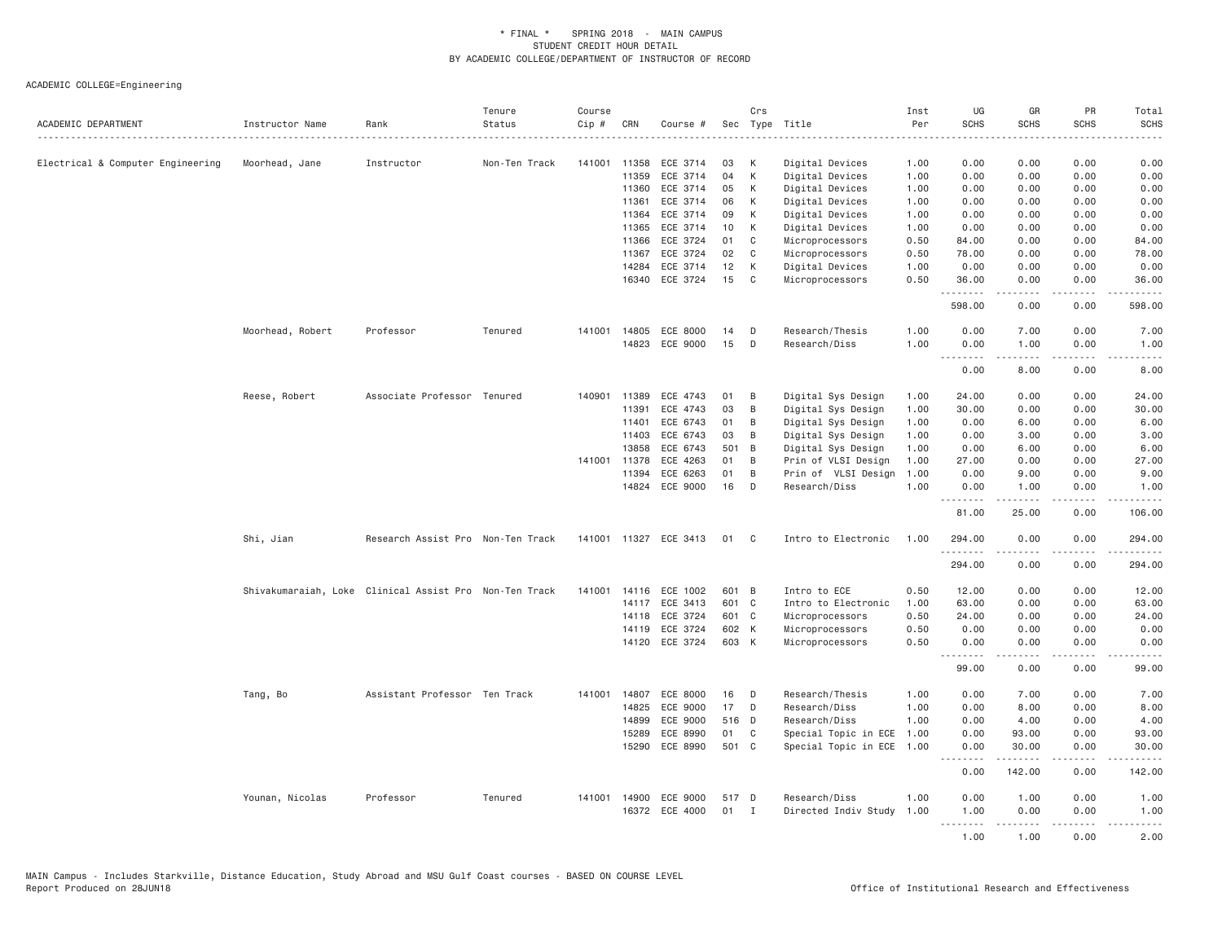| ACADEMIC DEPARTMENT               | Instructor Name                                        | Rank                              | Tenure<br>Status | Course<br>Cip # | CRN          | Course #              |        | Crs            | Sec Type Title            | Inst<br>Per<br>المتمامين | UG<br><b>SCHS</b>                 | GR<br><b>SCHS</b>    | PR<br><b>SCHS</b> | Total<br><b>SCHS</b> |
|-----------------------------------|--------------------------------------------------------|-----------------------------------|------------------|-----------------|--------------|-----------------------|--------|----------------|---------------------------|--------------------------|-----------------------------------|----------------------|-------------------|----------------------|
| Electrical & Computer Engineering | Moorhead, Jane                                         | Instructor                        | Non-Ten Track    | 141001          | 11358        | ECE 3714              | 03     | K              | Digital Devices           | 1.00                     | 0.00                              | 0.00                 | 0.00              | 0.00                 |
|                                   |                                                        |                                   |                  |                 | 11359        | ECE 3714              | 04     | К              | Digital Devices           | 1.00                     | 0.00                              | 0.00                 | 0.00              | 0.00                 |
|                                   |                                                        |                                   |                  |                 | 11360        | ECE 3714              | 05     | К              | Digital Devices           | 1.00                     | 0.00                              | 0.00                 | 0.00              | 0.00                 |
|                                   |                                                        |                                   |                  |                 | 11361        | ECE 3714              | 06     | K              | Digital Devices           | 1.00                     | 0.00                              | 0.00                 | 0.00              | 0.00                 |
|                                   |                                                        |                                   |                  |                 | 11364        | ECE 3714              | 09     | К              | Digital Devices           | 1.00                     | 0.00                              | 0.00                 | 0.00              | 0.00                 |
|                                   |                                                        |                                   |                  |                 | 11365        | ECE 3714              | 10     | К              | Digital Devices           | 1.00                     | 0.00                              | 0.00                 | 0.00              | 0.00                 |
|                                   |                                                        |                                   |                  |                 | 11366        | ECE 3724              | 01     | C              | Microprocessors           | 0.50                     | 84.00                             | 0.00                 | 0.00              | 84.00                |
|                                   |                                                        |                                   |                  |                 | 11367        | ECE 3724              | 02     | C              | Microprocessors           | 0.50                     | 78.00                             | 0.00                 | 0.00              | 78.00                |
|                                   |                                                        |                                   |                  |                 | 14284        | ECE 3714              | 12     | К              | Digital Devices           | 1.00                     | 0.00                              | 0.00                 | 0.00              | 0.00                 |
|                                   |                                                        |                                   |                  |                 |              | 16340 ECE 3724        | 15     | C              | Microprocessors           | 0.50                     | 36.00                             | 0.00                 | 0.00              | 36.00                |
|                                   |                                                        |                                   |                  |                 |              |                       |        |                |                           |                          | <u> - - - - - - - -</u><br>598.00 | 0.00                 | 0.00              | .<br>598.00          |
|                                   | Moorhead, Robert                                       | Professor                         | Tenured          |                 | 141001 14805 | ECE 8000              | 14     | D              | Research/Thesis           | 1.00                     | 0.00                              | 7.00                 | 0.00              | 7.00                 |
|                                   |                                                        |                                   |                  |                 |              | 14823 ECE 9000        | 15     | D              | Research/Diss             | 1.00                     | 0.00                              | 1.00                 | 0.00              | 1.00                 |
|                                   |                                                        |                                   |                  |                 |              |                       |        |                |                           |                          | .<br>0.00                         | $- - - - -$<br>8.00  | .<br>0.00         | $- - - - -$<br>8.00  |
|                                   |                                                        |                                   |                  |                 |              |                       |        |                |                           |                          |                                   |                      |                   |                      |
|                                   | Reese, Robert                                          | Associate Professor Tenured       |                  | 140901          | 11389        | ECE 4743              | 01     | B              | Digital Sys Design        | 1.00                     | 24.00                             | 0.00                 | 0.00              | 24.00                |
|                                   |                                                        |                                   |                  |                 | 11391        | ECE 4743              | 03     | B              | Digital Sys Design        | 1.00                     | 30.00                             | 0.00                 | 0.00              | 30.00                |
|                                   |                                                        |                                   |                  |                 | 11401        | ECE 6743              | 01     | B              | Digital Sys Design        | 1.00                     | 0.00                              | 6.00                 | 0.00              | 6.00                 |
|                                   |                                                        |                                   |                  |                 | 11403        | ECE 6743              | 03     | B              | Digital Sys Design        | 1.00                     | 0.00                              | 3.00                 | 0.00              | 3.00                 |
|                                   |                                                        |                                   |                  |                 | 13858        | ECE 6743              | 501    | B              | Digital Sys Design        | 1.00                     | 0.00                              | 6.00                 | 0.00              | 6.00                 |
|                                   |                                                        |                                   |                  | 141001          | 11378        | ECE 4263              | 01     | B              | Prin of VLSI Design       | 1.00                     | 27.00                             | 0.00                 | 0.00              | 27.00                |
|                                   |                                                        |                                   |                  |                 | 11394        | ECE 6263              | 01     | B              | Prin of VLSI Design       | 1.00                     | 0.00                              | 9.00                 | 0.00              | 9.00                 |
|                                   |                                                        |                                   |                  |                 | 14824        | ECE 9000              | 16     | D              | Research/Diss             | 1.00                     | 0.00<br>1.1.1.1.1.1.1             | 1.00<br>$- - - - -$  | 0.00<br>.         | 1.00<br>.            |
|                                   |                                                        |                                   |                  |                 |              |                       |        |                |                           |                          | 81.00                             | 25.00                | 0.00              | 106.00               |
|                                   | Shi, Jian                                              | Research Assist Pro Non-Ten Track |                  |                 |              | 141001 11327 ECE 3413 | 01     | C <sub>1</sub> | Intro to Electronic       | 1.00                     | 294.00<br>.                       | 0.00<br>.            | 0.00              | 294.00<br>.          |
|                                   |                                                        |                                   |                  |                 |              |                       |        |                |                           |                          | 294.00                            | 0.00                 | 0.00              | 294.00               |
|                                   | Shivakumaraiah, Loke Clinical Assist Pro Non-Ten Track |                                   |                  |                 |              | 141001 14116 ECE 1002 | 601 B  |                | Intro to ECE              | 0.50                     | 12.00                             | 0.00                 | 0.00              | 12.00                |
|                                   |                                                        |                                   |                  |                 | 14117        | ECE 3413              | 601 C  |                | Intro to Electronic       | 1.00                     | 63.00                             | 0.00                 | 0.00              | 63.00                |
|                                   |                                                        |                                   |                  |                 | 14118        | ECE 3724              | 601 C  |                | Microprocessors           | 0.50                     | 24.00                             | 0.00                 | 0.00              | 24.00                |
|                                   |                                                        |                                   |                  |                 | 14119        | ECE 3724              | 602 K  |                | Microprocessors           | 0.50                     | 0.00                              | 0.00                 | 0.00              | 0.00                 |
|                                   |                                                        |                                   |                  |                 |              | 14120 ECE 3724        | 603 K  |                | Microprocessors           | 0.50                     | 0.00                              | 0.00                 | 0.00              | 0.00                 |
|                                   |                                                        |                                   |                  |                 |              |                       |        |                |                           |                          | .<br>99.00                        | <u>.</u><br>0.00     | .<br>0.00         | .<br>99.00           |
|                                   | Tang, Bo                                               | Assistant Professor Ten Track     |                  | 141001          | 14807        | ECE 8000              | 16     | D              | Research/Thesis           | 1.00                     | 0.00                              | 7.00                 | 0.00              | 7.00                 |
|                                   |                                                        |                                   |                  |                 | 14825        | ECE 9000              | 17     | D              | Research/Diss             | 1.00                     | 0.00                              | 8.00                 | 0.00              | 8.00                 |
|                                   |                                                        |                                   |                  |                 | 14899        | ECE 9000              | 516 D  |                | Research/Diss             | 1.00                     | 0.00                              | 4.00                 | 0.00              | 4.00                 |
|                                   |                                                        |                                   |                  |                 | 15289        | ECE 8990              | 01     | C              | Special Topic in ECE      | 1.00                     | 0.00                              | 93.00                | 0.00              | 93.00                |
|                                   |                                                        |                                   |                  |                 | 15290        | ECE 8990              | 501 C  |                | Special Topic in ECE 1.00 |                          | 0.00                              | 30.00                | 0.00              | 30,00                |
|                                   |                                                        |                                   |                  |                 |              |                       |        |                |                           |                          | <u> - - - - - - - -</u><br>0.00   | . <u>.</u><br>142.00 | .<br>0.00         | .<br>142.00          |
|                                   |                                                        |                                   |                  |                 |              |                       |        |                |                           |                          |                                   |                      |                   |                      |
|                                   | Younan, Nicolas                                        | Professor                         | Tenured          | 141001          | 14900        | ECE 9000              | 517 D  |                | Research/Diss             | 1,00                     | 0.00                              | 1.00                 | 0.00              | 1.00                 |
|                                   |                                                        |                                   |                  |                 |              | 16372 ECE 4000        | $01$ I |                | Directed Indiv Study 1.00 |                          | 1.00<br><u>.</u>                  | 0.00<br>-----        | 0.00<br>.         | 1.00<br>$- - - - -$  |
|                                   |                                                        |                                   |                  |                 |              |                       |        |                |                           |                          | 1.00                              | 1.00                 | 0.00              | 2.00                 |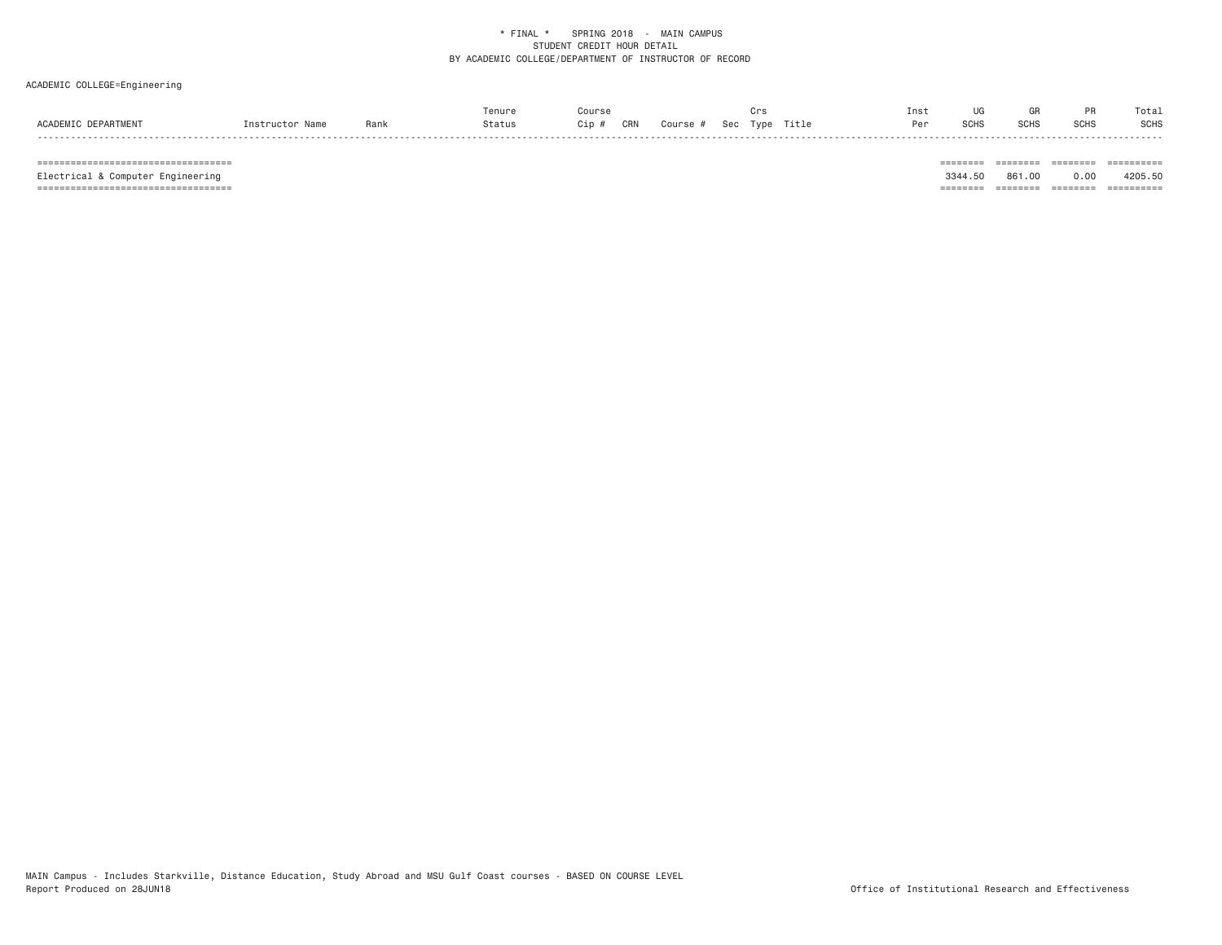### ACADEMIC COLLEGE=Engineering

|                     |                 |      | Tenure | Course                                           | ur: | Inst | UG   | GR          |             | Total       |
|---------------------|-----------------|------|--------|--------------------------------------------------|-----|------|------|-------------|-------------|-------------|
| ACADEMIC DEPARTMENT | Instructor Name | Rank | Status | <b>CRN</b><br>Course # Sec Type Title<br>$Cip$ # |     | Per  | SCHS | <b>SCHS</b> | <b>SCHS</b> | <b>SCHS</b> |

 =================================== ======== ======== ======== ========== Electrical & Computer Engineering 3344.50 861.00 0.00 4205.50 =================================== ======== ======== ======== ==========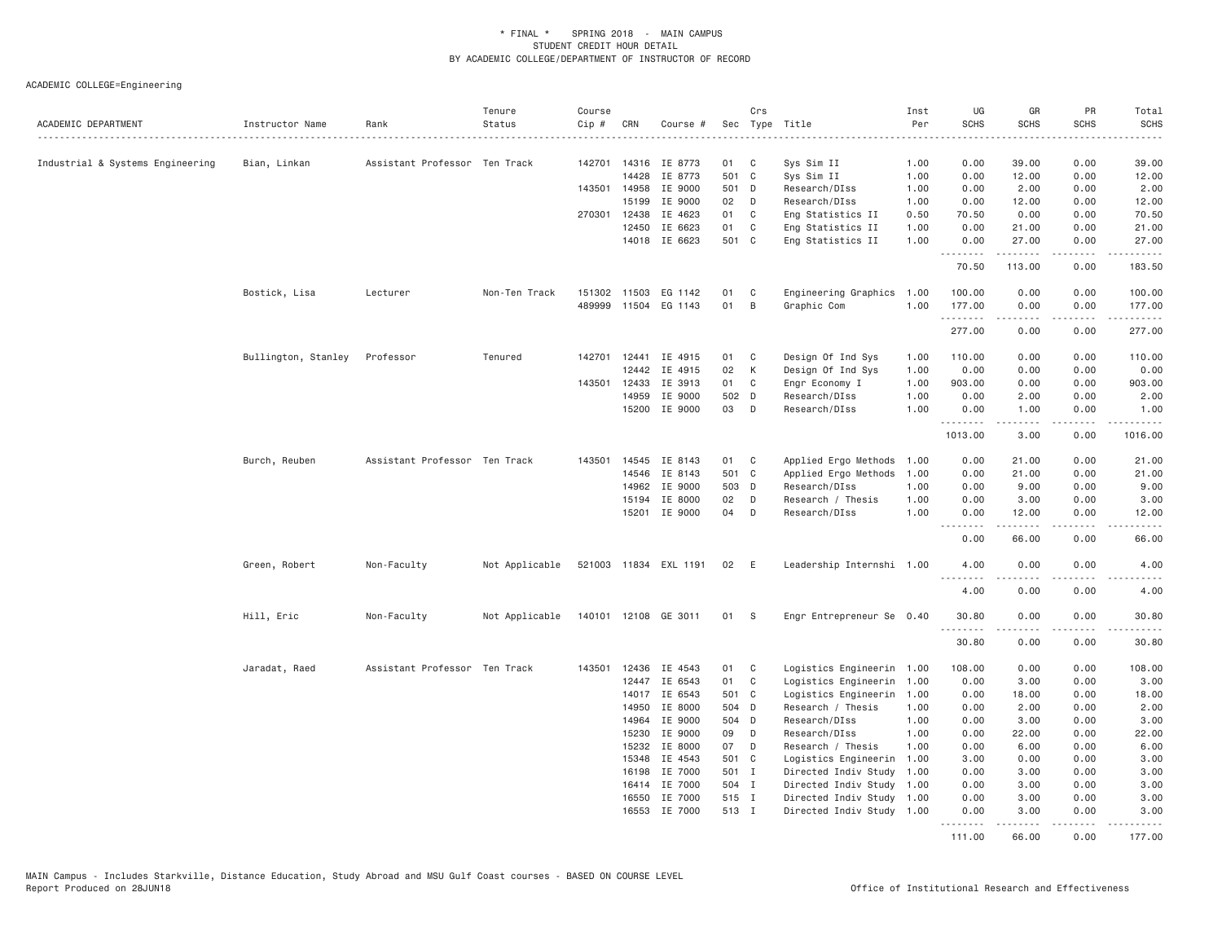| ACADEMIC DEPARTMENT              | Instructor Name     | Rank                          | Tenure<br>Status | Course<br>Cip # | CRN          | Course #              |       | Crs          | Sec Type Title            | Inst<br>Per | UG<br><b>SCHS</b>          | GR<br><b>SCHS</b>                                                                                                                                    | PR<br><b>SCHS</b>                                                                                                                 | Total<br>SCHS       |
|----------------------------------|---------------------|-------------------------------|------------------|-----------------|--------------|-----------------------|-------|--------------|---------------------------|-------------|----------------------------|------------------------------------------------------------------------------------------------------------------------------------------------------|-----------------------------------------------------------------------------------------------------------------------------------|---------------------|
| Industrial & Systems Engineering | Bian, Linkan        | Assistant Professor Ten Track |                  |                 |              | 142701 14316 IE 8773  | 01    | C            | Sys Sim II                | 1.00        | 0.00                       | 39.00                                                                                                                                                | 0.00                                                                                                                              | 39.00               |
|                                  |                     |                               |                  |                 | 14428        | IE 8773               | 501 C |              | Sys Sim II                | 1.00        | 0.00                       | 12.00                                                                                                                                                | 0.00                                                                                                                              | 12.00               |
|                                  |                     |                               |                  |                 | 143501 14958 | IE 9000               | 501 D |              | Research/DIss             | 1.00        | 0.00                       | 2.00                                                                                                                                                 | 0.00                                                                                                                              | 2.00                |
|                                  |                     |                               |                  |                 | 15199        | IE 9000               | 02    | D            | Research/DIss             | 1.00        | 0.00                       | 12.00                                                                                                                                                | 0.00                                                                                                                              | 12.00               |
|                                  |                     |                               |                  |                 | 270301 12438 | IE 4623               | 01    | $\mathbf{C}$ | Eng Statistics II         | 0.50        | 70.50                      | 0.00                                                                                                                                                 | 0.00                                                                                                                              | 70.50               |
|                                  |                     |                               |                  |                 | 12450        | IE 6623               | 01    | $\mathbf{C}$ | Eng Statistics II         | 1.00        | 0.00                       | 21.00                                                                                                                                                | 0.00                                                                                                                              | 21.00               |
|                                  |                     |                               |                  |                 |              | 14018 IE 6623         | 501 C |              | Eng Statistics II         | 1.00        | 0.00                       | 27.00                                                                                                                                                | 0.00                                                                                                                              | 27.00               |
|                                  |                     |                               |                  |                 |              |                       |       |              |                           |             | .<br>70.50                 | .<br>113.00                                                                                                                                          | .<br>0.00                                                                                                                         | .<br>183.50         |
|                                  |                     |                               |                  |                 |              |                       |       |              |                           |             |                            |                                                                                                                                                      |                                                                                                                                   |                     |
|                                  | Bostick, Lisa       | Lecturer                      | Non-Ten Track    | 151302          |              | 11503 EG 1142         | 01    | C            | Engineering Graphics 1.00 |             | 100.00                     | 0.00                                                                                                                                                 | 0.00                                                                                                                              | 100.00              |
|                                  |                     |                               |                  | 489999          |              | 11504 EG 1143         | 01    | B            | Graphic Com               | 1.00        | 177.00                     | 0.00                                                                                                                                                 | 0.00                                                                                                                              | 177.00              |
|                                  |                     |                               |                  |                 |              |                       |       |              |                           |             | .<br>277.00                | 2.2.2.2.2<br>0.00                                                                                                                                    | .<br>0.00                                                                                                                         | .<br>277.00         |
|                                  | Bullington, Stanley | Professor                     | Tenured          |                 |              | 142701 12441 IE 4915  | 01 C  |              | Design Of Ind Sys         | 1.00        | 110.00                     | 0.00                                                                                                                                                 | 0.00                                                                                                                              | 110.00              |
|                                  |                     |                               |                  |                 | 12442        | IE 4915               | 02    | К            | Design Of Ind Sys         | 1.00        | 0.00                       | 0.00                                                                                                                                                 | 0.00                                                                                                                              | 0.00                |
|                                  |                     |                               |                  | 143501 12433    |              | IE 3913               | 01    | C            | Engr Economy I            | 1.00        | 903.00                     | 0.00                                                                                                                                                 | 0.00                                                                                                                              | 903.00              |
|                                  |                     |                               |                  |                 | 14959        | IE 9000               | 502 D |              | Research/DIss             | 1.00        | 0.00                       | 2.00                                                                                                                                                 | 0.00                                                                                                                              | 2.00                |
|                                  |                     |                               |                  |                 |              | 15200 IE 9000         | 03 D  |              | Research/DIss             | 1.00        | 0.00                       | 1.00                                                                                                                                                 | 0.00                                                                                                                              | 1.00                |
|                                  |                     |                               |                  |                 |              |                       |       |              |                           |             | .                          | $\frac{1}{2} \left( \frac{1}{2} \right) \left( \frac{1}{2} \right) \left( \frac{1}{2} \right) \left( \frac{1}{2} \right) \left( \frac{1}{2} \right)$ | .                                                                                                                                 |                     |
|                                  |                     |                               |                  |                 |              |                       |       |              |                           |             | 1013.00                    | 3.00                                                                                                                                                 | 0.00                                                                                                                              | 1016.00             |
|                                  | Burch, Reuben       | Assistant Professor Ten Track |                  | 143501          |              | 14545 IE 8143         | 01 C  |              | Applied Ergo Methods      | 1.00        | 0.00                       | 21.00                                                                                                                                                | 0.00                                                                                                                              | 21.00               |
|                                  |                     |                               |                  |                 | 14546        | IE 8143               | 501 C |              | Applied Ergo Methods      | 1.00        | 0.00                       | 21.00                                                                                                                                                | 0.00                                                                                                                              | 21.00               |
|                                  |                     |                               |                  |                 |              | 14962 IE 9000         | 503 D |              | Research/DIss             | 1.00        | 0.00                       | 9.00                                                                                                                                                 | 0.00                                                                                                                              | 9.00                |
|                                  |                     |                               |                  |                 | 15194        | IE 8000               | 02    | D            | Research / Thesis         | 1.00        | 0.00                       | 3.00                                                                                                                                                 | 0.00                                                                                                                              | 3.00                |
|                                  |                     |                               |                  |                 | 15201        | IE 9000               | 04    | D            | Research/DIss             | 1.00        | 0.00                       | 12.00                                                                                                                                                | 0.00                                                                                                                              | 12.00               |
|                                  |                     |                               |                  |                 |              |                       |       |              |                           |             | .<br>0.00                  | .<br>66.00                                                                                                                                           | $\sim$ $\sim$ $\sim$<br>0.00                                                                                                      | $   -$<br>66.00     |
|                                  | Green, Robert       | Non-Faculty                   | Not Applicable   |                 |              | 521003 11834 EXL 1191 | 02    | E            | Leadership Internshi 1.00 |             | 4.00                       | 0.00                                                                                                                                                 | 0.00                                                                                                                              | 4.00                |
|                                  |                     |                               |                  |                 |              |                       |       |              |                           |             | $- - -$<br>- - - -<br>4.00 | 0.00                                                                                                                                                 | 0.00                                                                                                                              | $- - - - -$<br>4.00 |
|                                  |                     |                               |                  |                 |              |                       |       |              |                           |             |                            |                                                                                                                                                      |                                                                                                                                   |                     |
|                                  | Hill, Eric          | Non-Faculty                   | Not Applicable   |                 |              | 140101 12108 GE 3011  | 01 S  |              | Engr Entrepreneur Se 0.40 |             | 30.80<br>.                 | 0.00                                                                                                                                                 | 0.00<br>.                                                                                                                         | 30.80<br>.          |
|                                  |                     |                               |                  |                 |              |                       |       |              |                           |             | 30.80                      | 0.00                                                                                                                                                 | 0.00                                                                                                                              | 30.80               |
|                                  | Jaradat, Raed       | Assistant Professor Ten Track |                  |                 |              | 143501 12436 IE 4543  | 01 C  |              | Logistics Engineerin 1.00 |             | 108.00                     | 0.00                                                                                                                                                 | 0.00                                                                                                                              | 108.00              |
|                                  |                     |                               |                  |                 | 12447        | IE 6543               | 01    | C            | Logistics Engineerin 1.00 |             | 0.00                       | 3.00                                                                                                                                                 | 0.00                                                                                                                              | 3.00                |
|                                  |                     |                               |                  |                 |              | 14017 IE 6543         | 501 C |              | Logistics Engineerin 1.00 |             | 0.00                       | 18.00                                                                                                                                                | 0.00                                                                                                                              | 18.00               |
|                                  |                     |                               |                  |                 | 14950        | IE 8000               | 504 D |              | Research / Thesis         | 1.00        | 0.00                       | 2.00                                                                                                                                                 | 0.00                                                                                                                              | 2.00                |
|                                  |                     |                               |                  |                 | 14964        | IE 9000               | 504 D |              | Research/DIss             | 1.00        | 0.00                       | 3.00                                                                                                                                                 | 0.00                                                                                                                              | 3.00                |
|                                  |                     |                               |                  |                 | 15230        | IE 9000               | 09    | D            | Research/DIss             | 1.00        | 0.00                       | 22.00                                                                                                                                                | 0.00                                                                                                                              | 22.00               |
|                                  |                     |                               |                  |                 | 15232        | IE 8000               | 07    | D            | Research / Thesis         | 1.00        | 0.00                       | 6.00                                                                                                                                                 | 0.00                                                                                                                              | 6.00                |
|                                  |                     |                               |                  |                 | 15348        | IE 4543               | 501 C |              | Logistics Engineerin 1.00 |             | 3.00                       | 0.00                                                                                                                                                 | 0.00                                                                                                                              | 3.00                |
|                                  |                     |                               |                  |                 |              | 16198 IE 7000         | 501 I |              | Directed Indiv Study      | 1.00        | 0.00                       | 3.00                                                                                                                                                 | 0.00                                                                                                                              | 3.00                |
|                                  |                     |                               |                  |                 |              | 16414 IE 7000         | 504 I |              | Directed Indiv Study 1.00 |             | 0.00                       | 3.00                                                                                                                                                 | 0.00                                                                                                                              | 3.00                |
|                                  |                     |                               |                  |                 | 16550        | IE 7000               | 515 I |              | Directed Indiv Study 1.00 |             | 0.00                       | 3,00                                                                                                                                                 | 0.00                                                                                                                              | 3.00                |
|                                  |                     |                               |                  |                 |              | 16553 IE 7000         | 513 I |              | Directed Indiv Study 1.00 |             | 0.00                       | 3.00                                                                                                                                                 | 0.00                                                                                                                              | 3.00                |
|                                  |                     |                               |                  |                 |              |                       |       |              |                           |             | .<br>111.00                | . <u>.</u><br>66.00                                                                                                                                  | $\frac{1}{2} \left( \frac{1}{2} \right) \left( \frac{1}{2} \right) \left( \frac{1}{2} \right) \left( \frac{1}{2} \right)$<br>0.00 | <u>.</u><br>177.00  |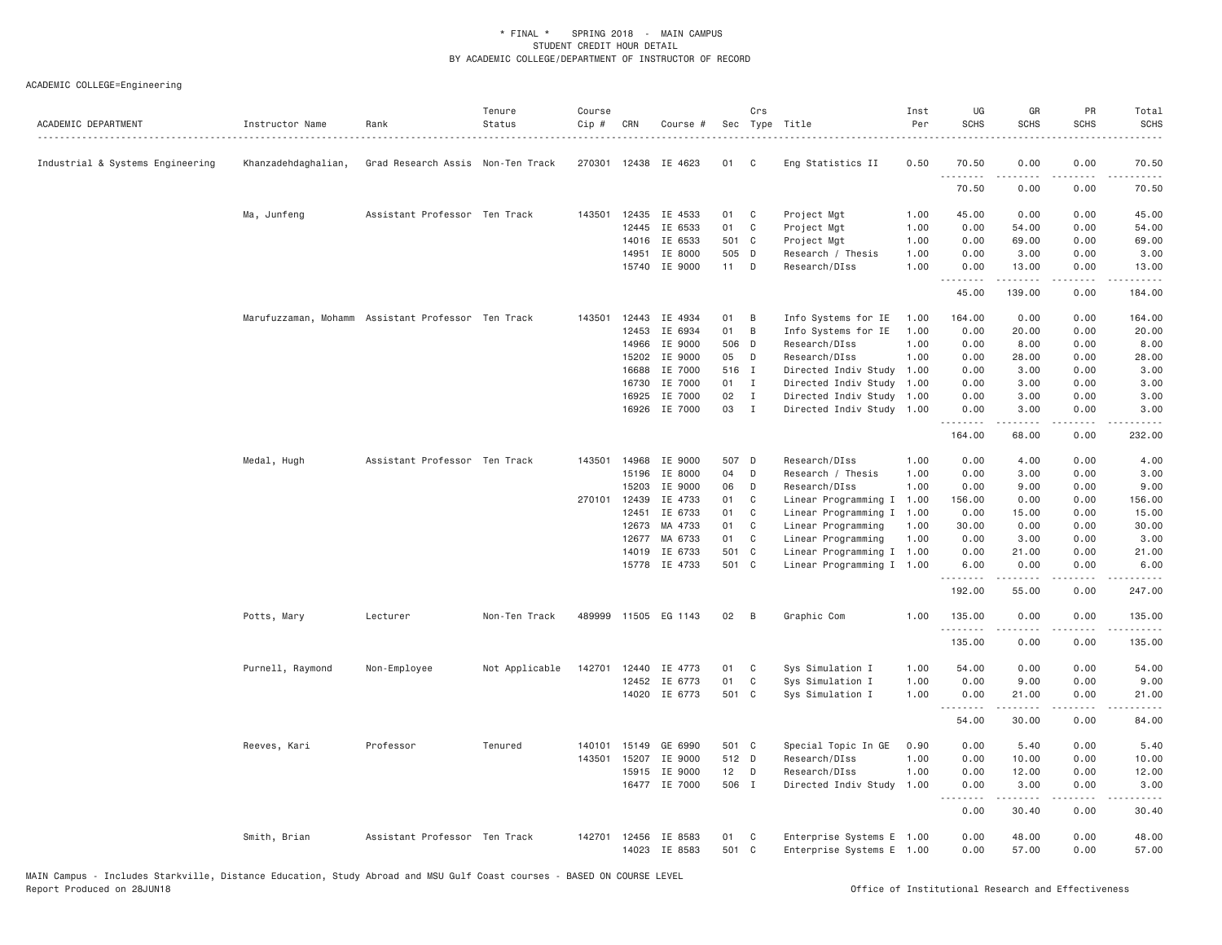| ACADEMIC DEPARTMENT              | Instructor Name     | Rank                                               | Tenure<br>Status | Course<br>Cip # | CRN            | Course #             |                | Crs                          | Sec Type Title                                         | Inst<br>Per  | UG<br><b>SCHS</b> | GR<br><b>SCHS</b>                                                                                                                                    | PR<br><b>SCHS</b>     | Total<br><b>SCHS</b>                |
|----------------------------------|---------------------|----------------------------------------------------|------------------|-----------------|----------------|----------------------|----------------|------------------------------|--------------------------------------------------------|--------------|-------------------|------------------------------------------------------------------------------------------------------------------------------------------------------|-----------------------|-------------------------------------|
| Industrial & Systems Engineering | Khanzadehdaghalian, | Grad Research Assis Non-Ten Track                  |                  |                 |                | 270301 12438 IE 4623 | 01             | C                            | Eng Statistics II                                      | 0.50         | 70.50             | 0.00                                                                                                                                                 | 0.00                  | 70.50                               |
|                                  |                     |                                                    |                  |                 |                |                      |                |                              |                                                        |              | .<br>70.50        | $- - - - -$<br>0.00                                                                                                                                  | .<br>0.00             | .<br>70.50                          |
|                                  | Ma, Junfeng         | Assistant Professor Ten Track                      |                  |                 | 143501 12435   | IE 4533              | 01             | C                            | Project Mgt                                            | 1.00         | 45.00             | 0.00                                                                                                                                                 | 0.00                  | 45.00                               |
|                                  |                     |                                                    |                  |                 | 12445          | IE 6533              | 01             | C                            | Project Mgt                                            | 1.00         | 0.00              | 54.00                                                                                                                                                | 0.00                  | 54.00                               |
|                                  |                     |                                                    |                  |                 | 14016          | IE 6533              | 501 C          |                              | Project Mgt                                            | 1.00         | 0.00              | 69,00                                                                                                                                                | 0.00                  | 69.00                               |
|                                  |                     |                                                    |                  |                 | 14951          | IE 8000              | 505 D          |                              | Research / Thesis                                      | 1.00         | 0.00              | 3.00                                                                                                                                                 | 0.00                  | 3.00                                |
|                                  |                     |                                                    |                  |                 |                | 15740 IE 9000        | $11$ D         |                              | Research/DIss                                          | 1.00         | 0.00<br>.         | 13.00                                                                                                                                                | 0.00<br>.             | 13.00<br>$- - - - - -$              |
|                                  |                     |                                                    |                  |                 |                |                      |                |                              |                                                        |              | 45.00             | 139.00                                                                                                                                               | 0.00                  | 184.00                              |
|                                  |                     | Marufuzzaman, Mohamm Assistant Professor Ten Track |                  | 143501          | 12443          | IE 4934              | 01             | B                            | Info Systems for IE                                    | 1.00         | 164.00            | 0.00                                                                                                                                                 | 0.00                  | 164.00                              |
|                                  |                     |                                                    |                  |                 | 12453          | IE 6934              | 01             | B                            | Info Systems for IE                                    | 1.00         | 0.00              | 20.00                                                                                                                                                | 0.00                  | 20.00                               |
|                                  |                     |                                                    |                  |                 | 14966          | IE 9000              | 506 D          |                              | Research/DIss                                          | 1.00         | 0.00              | 8.00                                                                                                                                                 | 0.00                  | 8.00                                |
|                                  |                     |                                                    |                  |                 | 15202          | IE 9000              | 05             | D                            | Research/DIss                                          | 1.00         | 0.00              | 28.00                                                                                                                                                | 0.00                  | 28.00                               |
|                                  |                     |                                                    |                  |                 | 16688          | IE 7000              | 516 I          |                              | Directed Indiv Study                                   | 1.00         | 0.00              | 3.00                                                                                                                                                 | 0.00                  | 3.00                                |
|                                  |                     |                                                    |                  |                 | 16730          | IE 7000              | 01 I           |                              | Directed Indiv Study                                   | 1.00         | 0.00              | 3.00                                                                                                                                                 | 0.00                  | 3.00                                |
|                                  |                     |                                                    |                  |                 | 16925<br>16926 | IE 7000<br>IE 7000   | 02<br>03       | $\mathbf{I}$<br>$\mathbf{I}$ | Directed Indiv Study 1.00<br>Directed Indiv Study 1.00 |              | 0.00<br>0.00      | 3.00<br>3.00                                                                                                                                         | 0.00<br>0.00          | 3.00<br>3.00                        |
|                                  |                     |                                                    |                  |                 |                |                      |                |                              |                                                        |              | <u>.</u>          | $\frac{1}{2} \left( \frac{1}{2} \right) \left( \frac{1}{2} \right) \left( \frac{1}{2} \right) \left( \frac{1}{2} \right) \left( \frac{1}{2} \right)$ | .                     | .                                   |
|                                  |                     |                                                    |                  |                 |                |                      |                |                              |                                                        |              | 164.00            | 68.00                                                                                                                                                | 0.00                  | 232.00                              |
|                                  | Medal, Hugh         | Assistant Professor Ten Track                      |                  | 143501          | 14968          | IE 9000              | 507 D          |                              | Research/DIss                                          | 1,00         | 0.00              | 4.00                                                                                                                                                 | 0.00                  | 4.00                                |
|                                  |                     |                                                    |                  |                 | 15196          | IE 8000              | 04             | D                            | Research / Thesis                                      | 1,00         | 0.00              | 3.00                                                                                                                                                 | 0.00                  | 3.00                                |
|                                  |                     |                                                    |                  |                 | 15203          | IE 9000              | 06             | D                            | Research/DIss                                          | 1.00         | 0.00              | 9.00                                                                                                                                                 | 0.00                  | 9.00                                |
|                                  |                     |                                                    |                  |                 | 270101 12439   | IE 4733              | 01             | C                            | Linear Programming I 1.00                              |              | 156.00            | 0.00                                                                                                                                                 | 0.00                  | 156.00                              |
|                                  |                     |                                                    |                  |                 | 12451          | IE 6733              | 01             | C                            | Linear Programming I                                   | 1.00         | 0.00              | 15.00                                                                                                                                                | 0.00                  | 15.00                               |
|                                  |                     |                                                    |                  |                 | 12673          | MA 4733              | 01             | C                            | Linear Programming                                     | 1.00         | 30.00             | 0.00                                                                                                                                                 | 0.00                  | 30.00                               |
|                                  |                     |                                                    |                  |                 | 12677          | MA 6733              | 01             | C                            | Linear Programming                                     | 1.00         | 0.00              | 3.00                                                                                                                                                 | 0.00                  | 3.00                                |
|                                  |                     |                                                    |                  |                 | 14019<br>15778 | IE 6733<br>IE 4733   | 501 C<br>501 C |                              | Linear Programming I 1.00<br>Linear Programming I 1.00 |              | 0.00<br>6.00      | 21.00<br>0.00                                                                                                                                        | 0.00<br>0.00          | 21.00<br>6.00                       |
|                                  |                     |                                                    |                  |                 |                |                      |                |                              |                                                        |              | .<br>192.00       | 55.00                                                                                                                                                | $\frac{1}{2}$<br>0.00 | 247.00                              |
|                                  | Potts, Mary         | Lecturer                                           | Non-Ten Track    |                 |                | 489999 11505 EG 1143 | 02             | $\overline{B}$               | Graphic Com                                            | 1.00         | 135.00            | 0.00                                                                                                                                                 | 0.00                  | 135.00                              |
|                                  |                     |                                                    |                  |                 |                |                      |                |                              |                                                        |              | .<br>135.00       | -----<br>0.00                                                                                                                                        | .<br>0.00             | 135.00                              |
|                                  |                     |                                                    |                  |                 |                |                      |                | C                            |                                                        |              |                   |                                                                                                                                                      |                       |                                     |
|                                  | Purnell, Raymond    | Non-Employee                                       | Not Applicable   | 142701          | 12440<br>12452 | IE 4773<br>IE 6773   | 01<br>01       | $\mathsf{C}$                 | Sys Simulation I<br>Sys Simulation I                   | 1.00<br>1.00 | 54.00<br>0.00     | 0.00<br>9.00                                                                                                                                         | 0.00<br>0.00          | 54.00<br>9.00                       |
|                                  |                     |                                                    |                  |                 |                | 14020 IE 6773        | 501 C          |                              | Sys Simulation I                                       | 1,00         | 0.00              | 21,00                                                                                                                                                | 0.00                  | 21.00                               |
|                                  |                     |                                                    |                  |                 |                |                      |                |                              |                                                        |              | .                 | .                                                                                                                                                    | .                     | .                                   |
|                                  |                     |                                                    |                  |                 |                |                      |                |                              |                                                        |              | 54.00             | 30.00                                                                                                                                                | 0.00                  | 84.00                               |
|                                  | Reeves, Kari        | Professor                                          | Tenured          | 140101          | 15149          | GE 6990              | 501 C          |                              | Special Topic In GE                                    | 0.90         | 0.00              | 5.40                                                                                                                                                 | 0.00                  | 5.40                                |
|                                  |                     |                                                    |                  | 143501          | 15207          | IE 9000              | 512 D          |                              | Research/DIss                                          | 1.00         | 0.00              | 10.00                                                                                                                                                | 0.00                  | 10.00                               |
|                                  |                     |                                                    |                  |                 | 15915          | IE 9000              | 12             | D                            | Research/DIss                                          | 1.00         | 0.00              | 12.00                                                                                                                                                | 0.00                  | 12.00                               |
|                                  |                     |                                                    |                  |                 |                | 16477 IE 7000        | 506 I          |                              | Directed Indiv Study                                   | 1.00         | 0.00<br>.         | 3.00<br>.                                                                                                                                            | 0.00<br>.             | 3.00<br>$\sim$ $\sim$ $\sim$ $\sim$ |
|                                  |                     |                                                    |                  |                 |                |                      |                |                              |                                                        |              | 0.00              | 30.40                                                                                                                                                | 0.00                  | 30.40                               |
|                                  | Smith, Brian        | Assistant Professor Ten Track                      |                  | 142701          |                | 12456 IE 8583        | 01             | C                            | Enterprise Systems E 1.00                              |              | 0.00              | 48.00                                                                                                                                                | 0.00                  | 48.00                               |
|                                  |                     |                                                    |                  |                 |                | 14023 IE 8583        | 501 C          |                              | Enterprise Systems E 1.00                              |              | 0.00              | 57.00                                                                                                                                                | 0.00                  | 57.00                               |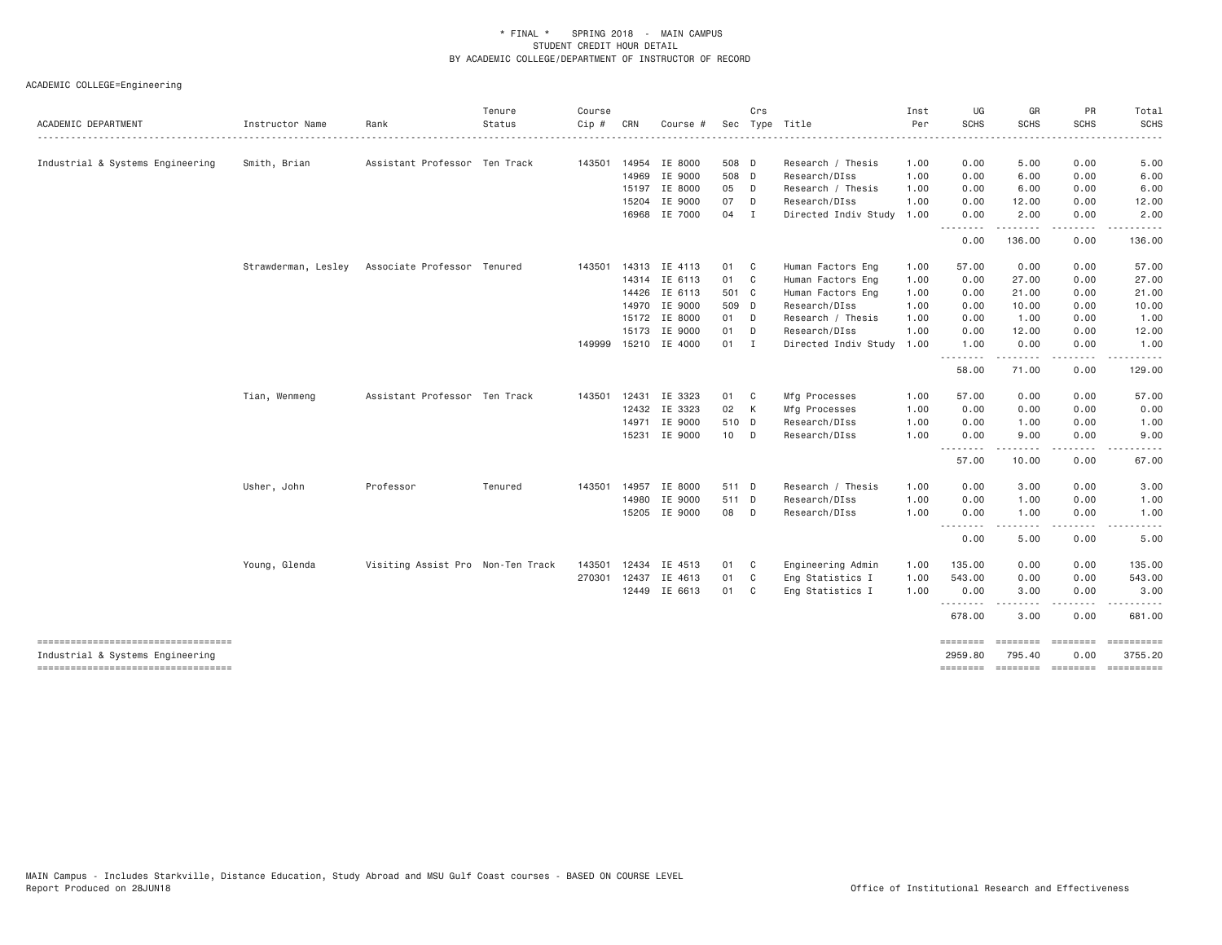| Instructor Name     | Rank      | Tenure<br>Status | Course<br>$Cip \#$                                                                                                                 | CRN | Course # |                                                                                                                                                                                                                                                                                                                        | Crs          | Sec Type Title                                                                                                                                                      | Inst<br>Per  | UG<br><b>SCHS</b> | GR<br><b>SCHS</b>                                       | PR<br><b>SCHS</b>                                                                                                                                                                                       | Total<br><b>SCHS</b>                                                                                                                                                                                        |
|---------------------|-----------|------------------|------------------------------------------------------------------------------------------------------------------------------------|-----|----------|------------------------------------------------------------------------------------------------------------------------------------------------------------------------------------------------------------------------------------------------------------------------------------------------------------------------|--------------|---------------------------------------------------------------------------------------------------------------------------------------------------------------------|--------------|-------------------|---------------------------------------------------------|---------------------------------------------------------------------------------------------------------------------------------------------------------------------------------------------------------|-------------------------------------------------------------------------------------------------------------------------------------------------------------------------------------------------------------|
|                     |           |                  |                                                                                                                                    |     |          |                                                                                                                                                                                                                                                                                                                        |              |                                                                                                                                                                     | . <u>.</u> . |                   |                                                         |                                                                                                                                                                                                         |                                                                                                                                                                                                             |
| Smith, Brian        |           |                  |                                                                                                                                    |     |          |                                                                                                                                                                                                                                                                                                                        |              | Research / Thesis                                                                                                                                                   | 1.00         | 0.00              | 5.00                                                    | 0.00                                                                                                                                                                                                    | 5.00                                                                                                                                                                                                        |
|                     |           |                  |                                                                                                                                    |     | IE 9000  |                                                                                                                                                                                                                                                                                                                        |              | Research/DIss                                                                                                                                                       | 1.00         | 0.00              | 6.00                                                    | 0.00                                                                                                                                                                                                    | 6.00                                                                                                                                                                                                        |
|                     |           |                  |                                                                                                                                    |     |          |                                                                                                                                                                                                                                                                                                                        |              | Research / Thesis                                                                                                                                                   | 1.00         | 0.00              | 6.00                                                    | 0.00                                                                                                                                                                                                    | 6.00                                                                                                                                                                                                        |
|                     |           |                  |                                                                                                                                    |     | IE 9000  | 07                                                                                                                                                                                                                                                                                                                     | D            | Research/DIss                                                                                                                                                       | 1.00         | 0.00              | 12.00                                                   | 0.00                                                                                                                                                                                                    | 12.00                                                                                                                                                                                                       |
|                     |           |                  |                                                                                                                                    |     |          |                                                                                                                                                                                                                                                                                                                        |              | Directed Indiv Study                                                                                                                                                | 1.00         | 0.00              | 2.00                                                    | 0.00                                                                                                                                                                                                    | 2.00                                                                                                                                                                                                        |
|                     |           |                  |                                                                                                                                    |     |          |                                                                                                                                                                                                                                                                                                                        |              |                                                                                                                                                                     |              | 0.00              | 136.00                                                  | 0.00                                                                                                                                                                                                    | 136.00                                                                                                                                                                                                      |
| Strawderman, Lesley |           |                  |                                                                                                                                    |     |          |                                                                                                                                                                                                                                                                                                                        |              | Human Factors Eng                                                                                                                                                   | 1.00         | 57.00             | 0.00                                                    | 0.00                                                                                                                                                                                                    | 57.00                                                                                                                                                                                                       |
|                     |           |                  |                                                                                                                                    |     |          |                                                                                                                                                                                                                                                                                                                        |              | Human Factors Eng                                                                                                                                                   | 1.00         | 0.00              | 27.00                                                   | 0.00                                                                                                                                                                                                    | 27.00                                                                                                                                                                                                       |
|                     |           |                  |                                                                                                                                    |     | IE 6113  |                                                                                                                                                                                                                                                                                                                        |              | Human Factors Eng                                                                                                                                                   | 1.00         | 0.00              | 21.00                                                   | 0.00                                                                                                                                                                                                    | 21.00                                                                                                                                                                                                       |
|                     |           |                  |                                                                                                                                    |     | IE 9000  |                                                                                                                                                                                                                                                                                                                        |              | Research/DIss                                                                                                                                                       | 1.00         | 0.00              | 10.00                                                   | 0.00                                                                                                                                                                                                    | 10.00                                                                                                                                                                                                       |
|                     |           |                  |                                                                                                                                    |     |          |                                                                                                                                                                                                                                                                                                                        |              | Research / Thesis                                                                                                                                                   | 1.00         | 0.00              | 1.00                                                    | 0.00                                                                                                                                                                                                    | 1.00                                                                                                                                                                                                        |
|                     |           |                  |                                                                                                                                    |     | IE 9000  |                                                                                                                                                                                                                                                                                                                        |              | Research/DIss                                                                                                                                                       | 1.00         | 0.00              | 12.00                                                   | 0.00                                                                                                                                                                                                    | 12.00                                                                                                                                                                                                       |
|                     |           |                  |                                                                                                                                    |     |          |                                                                                                                                                                                                                                                                                                                        |              | Directed Indiv Study                                                                                                                                                | 1.00         | 1.00              | 0.00                                                    | 0.00                                                                                                                                                                                                    | 1.00<br>.                                                                                                                                                                                                   |
|                     |           |                  |                                                                                                                                    |     |          |                                                                                                                                                                                                                                                                                                                        |              |                                                                                                                                                                     |              | 58.00             | 71.00                                                   | 0.00                                                                                                                                                                                                    | 129.00                                                                                                                                                                                                      |
| Tian, Wenmeng       |           |                  |                                                                                                                                    |     | IE 3323  |                                                                                                                                                                                                                                                                                                                        |              | Mfg Processes                                                                                                                                                       | 1.00         | 57.00             | 0.00                                                    | 0.00                                                                                                                                                                                                    | 57.00                                                                                                                                                                                                       |
|                     |           |                  |                                                                                                                                    |     | IE 3323  |                                                                                                                                                                                                                                                                                                                        |              | Mfg Processes                                                                                                                                                       | 1.00         | 0.00              | 0.00                                                    | 0.00                                                                                                                                                                                                    | 0.00                                                                                                                                                                                                        |
|                     |           |                  |                                                                                                                                    |     | IE 9000  |                                                                                                                                                                                                                                                                                                                        |              | Research/DIss                                                                                                                                                       | 1.00         | 0.00              | 1.00                                                    | 0.00                                                                                                                                                                                                    | 1.00                                                                                                                                                                                                        |
|                     |           |                  |                                                                                                                                    |     |          |                                                                                                                                                                                                                                                                                                                        |              | Research/DIss                                                                                                                                                       | 1.00         | 0.00              | 9.00                                                    | 0.00                                                                                                                                                                                                    | 9.00                                                                                                                                                                                                        |
|                     |           |                  |                                                                                                                                    |     |          |                                                                                                                                                                                                                                                                                                                        |              |                                                                                                                                                                     |              | 57.00             | 10.00                                                   | 0.00                                                                                                                                                                                                    | 67.00                                                                                                                                                                                                       |
| Usher, John         | Professor | Tenured          | 143501                                                                                                                             |     | IE 8000  |                                                                                                                                                                                                                                                                                                                        |              | Research / Thesis                                                                                                                                                   | 1.00         | 0.00              | 3.00                                                    | 0.00                                                                                                                                                                                                    | 3.00                                                                                                                                                                                                        |
|                     |           |                  |                                                                                                                                    |     | IE 9000  |                                                                                                                                                                                                                                                                                                                        |              | Research/DIss                                                                                                                                                       | 1.00         | 0.00              | 1.00                                                    | 0.00                                                                                                                                                                                                    | 1.00                                                                                                                                                                                                        |
|                     |           |                  |                                                                                                                                    |     |          |                                                                                                                                                                                                                                                                                                                        |              | Research/DIss                                                                                                                                                       | 1.00         | 0.00              | 1.00                                                    | 0.00                                                                                                                                                                                                    | 1.00                                                                                                                                                                                                        |
|                     |           |                  |                                                                                                                                    |     |          |                                                                                                                                                                                                                                                                                                                        |              |                                                                                                                                                                     |              | 0.00              | 5.00                                                    | 0.00                                                                                                                                                                                                    | 5.00                                                                                                                                                                                                        |
| Young, Glenda       |           |                  | 143501                                                                                                                             |     |          |                                                                                                                                                                                                                                                                                                                        |              | Engineering Admin                                                                                                                                                   | 1.00         | 135.00            | 0.00                                                    | 0.00                                                                                                                                                                                                    | 135.00                                                                                                                                                                                                      |
|                     |           |                  |                                                                                                                                    |     | IE 4613  | 01                                                                                                                                                                                                                                                                                                                     | $\mathbf{C}$ | Eng Statistics I                                                                                                                                                    | 1.00         | 543.00            | 0.00                                                    | 0.00                                                                                                                                                                                                    | 543.00                                                                                                                                                                                                      |
|                     |           |                  |                                                                                                                                    |     |          |                                                                                                                                                                                                                                                                                                                        |              | Eng Statistics I                                                                                                                                                    | 1,00         | 0.00              | 3.00                                                    | 0.00                                                                                                                                                                                                    | 3.00<br>.                                                                                                                                                                                                   |
|                     |           |                  |                                                                                                                                    |     |          |                                                                                                                                                                                                                                                                                                                        |              |                                                                                                                                                                     |              | 678.00            | 3.00                                                    | 0.00                                                                                                                                                                                                    | 681.00                                                                                                                                                                                                      |
|                     |           |                  |                                                                                                                                    |     |          |                                                                                                                                                                                                                                                                                                                        |              |                                                                                                                                                                     |              | ========          |                                                         |                                                                                                                                                                                                         | 3755.20                                                                                                                                                                                                     |
|                     |           |                  | Assistant Professor Ten Track<br>Associate Professor Tenured<br>Assistant Professor Ten Track<br>Visiting Assist Pro Non-Ten Track |     | 143501   | 143501 14954 IE 8000<br>14969<br>15197 IE 8000<br>15204<br>16968 IE 7000<br>143501 14313 IE 4113<br>14314 IE 6113<br>14426<br>14970<br>15172 IE 8000<br>15173<br>149999 15210 IE 4000<br>12431<br>12432<br>14971<br>15231 IE 9000<br>14957<br>14980<br>15205 IE 9000<br>12434 IE 4513<br>270301 12437<br>12449 IE 6613 |              | 508 D<br>508 D<br>05 D<br>04 I<br>01 C<br>01 C<br>501 C<br>509 D<br>01 D<br>01 D<br>01 I<br>01 C<br>02 K<br>510 D<br>10 D<br>511 D<br>511 D<br>08 D<br>01 C<br>01 C |              |                   | .<br>.<br>.<br>.<br>$- - -$<br>.<br>2959.80<br>======== | .<br>$\frac{1}{2}$<br>$\frac{1}{2} \left( \frac{1}{2} \right) \left( \frac{1}{2} \right) \left( \frac{1}{2} \right) \left( \frac{1}{2} \right) \left( \frac{1}{2} \right)$<br><b>EDESEDED</b><br>795.40 | .<br>$\cdots$<br>$\frac{1}{2} \left( \frac{1}{2} \right) \left( \frac{1}{2} \right) \left( \frac{1}{2} \right) \left( \frac{1}{2} \right)$<br>.<br><b>ESSESSES</b><br>0.00<br>--------- -------- ---------- |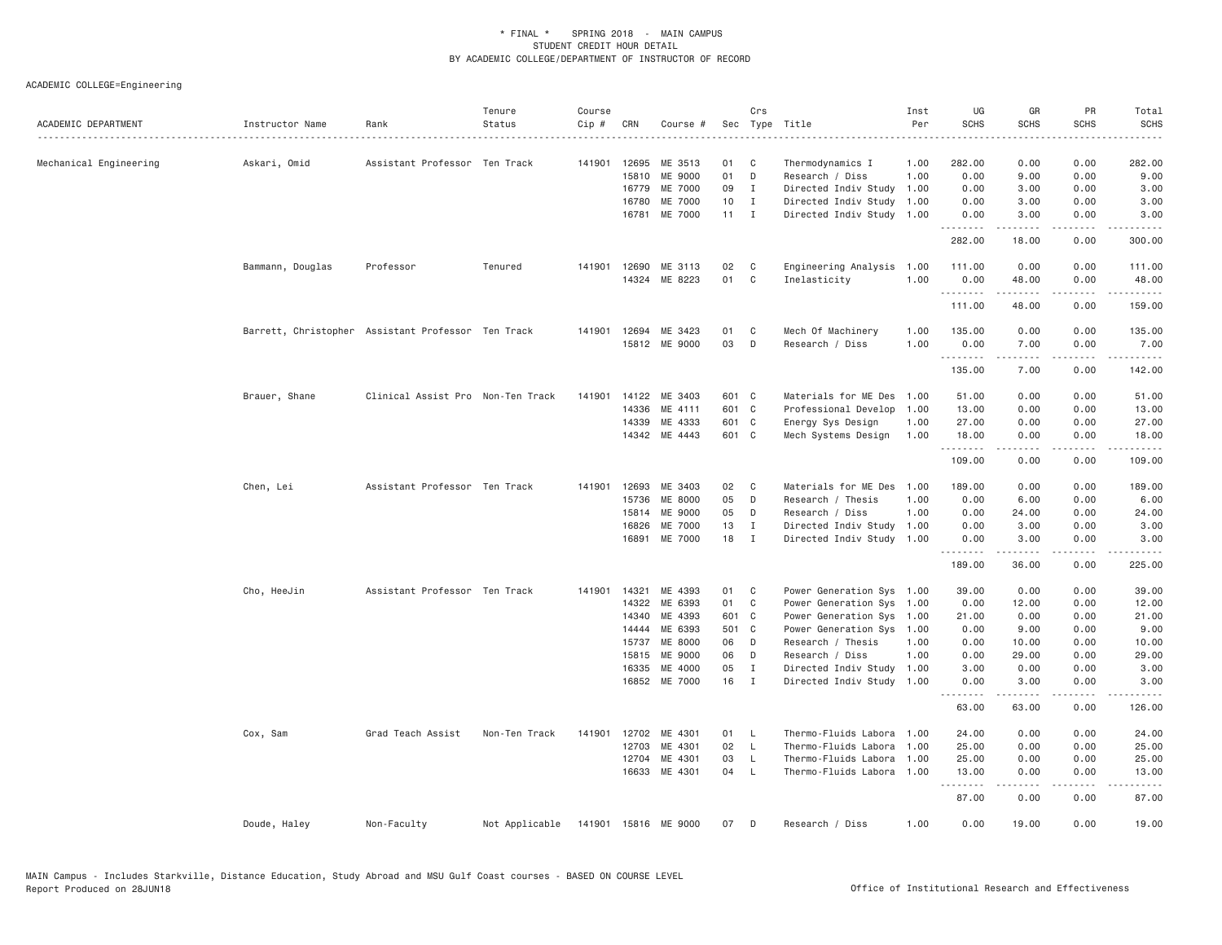| ACADEMIC DEPARTMENT    | Instructor Name  | Rank                                               | Tenure<br>Status | Course<br>Cip # | CRN            | Course #             |          | Crs                 | Sec Type Title                                         | Inst<br>Per<br>. | UG<br><b>SCHS</b> | GR<br><b>SCHS</b>                                                                                                                                             | PR<br><b>SCHS</b>                   | Total<br><b>SCHS</b><br>.                                                                                                                    |
|------------------------|------------------|----------------------------------------------------|------------------|-----------------|----------------|----------------------|----------|---------------------|--------------------------------------------------------|------------------|-------------------|---------------------------------------------------------------------------------------------------------------------------------------------------------------|-------------------------------------|----------------------------------------------------------------------------------------------------------------------------------------------|
| Mechanical Engineering | Askari, Omid     | Assistant Professor Ten Track                      |                  | 141901          | 12695          | ME 3513              | 01       | C                   | Thermodynamics I                                       | 1.00             | 282.00            | 0.00                                                                                                                                                          | 0.00                                | 282.00                                                                                                                                       |
|                        |                  |                                                    |                  |                 | 15810          | ME 9000              | 01       | D                   | Research / Diss                                        | 1.00             | 0.00              | 9.00                                                                                                                                                          | 0.00                                | 9.00                                                                                                                                         |
|                        |                  |                                                    |                  |                 | 16779          | ME 7000              | 09       | $\mathbf{I}$        | Directed Indiv Study                                   | 1.00             | 0.00              | 3.00                                                                                                                                                          | 0.00                                | 3.00                                                                                                                                         |
|                        |                  |                                                    |                  |                 | 16780<br>16781 | ME 7000<br>ME 7000   | 10<br>11 | $\mathbf{I}$<br>I   | Directed Indiv Study<br>Directed Indiv Study 1.00      | 1.00             | 0.00<br>0.00      | 3.00<br>3.00                                                                                                                                                  | 0.00<br>0.00                        | 3.00<br>3.00                                                                                                                                 |
|                        |                  |                                                    |                  |                 |                |                      |          |                     |                                                        |                  | .<br>282.00       | د د د د د<br>18.00                                                                                                                                            | بالمحام<br>0.00                     | -----<br>300.00                                                                                                                              |
|                        | Bammann, Douglas | Professor                                          | Tenured          | 141901          | 12690          | ME 3113              | 02       | C                   | Engineering Analysis                                   | 1.00             | 111.00            | 0.00                                                                                                                                                          | 0.00                                | 111.00                                                                                                                                       |
|                        |                  |                                                    |                  |                 |                | 14324 ME 8223        | 01       | C                   | Inelasticity                                           | 1.00             | 0.00              | 48.00                                                                                                                                                         | 0.00                                | 48.00                                                                                                                                        |
|                        |                  |                                                    |                  |                 |                |                      |          |                     |                                                        |                  | .<br>111.00       | .<br>48.00                                                                                                                                                    | .<br>0.00                           | .<br>159.00                                                                                                                                  |
|                        |                  | Barrett, Christopher Assistant Professor Ten Track |                  |                 |                | 141901 12694 ME 3423 | 01       | C                   | Mech Of Machinery                                      | 1.00             | 135.00            | 0.00                                                                                                                                                          | 0.00                                | 135.00                                                                                                                                       |
|                        |                  |                                                    |                  |                 |                | 15812 ME 9000        | 03       | D                   | Research / Diss                                        | 1.00             | 0.00<br>.         | 7.00<br>$\frac{1}{2} \left( \frac{1}{2} \right) \left( \frac{1}{2} \right) \left( \frac{1}{2} \right) \left( \frac{1}{2} \right) \left( \frac{1}{2} \right)$  | 0.00<br>.                           | 7.00<br>$\mathcal{L}^{\mathcal{A}}\left( \mathcal{A}^{\mathcal{A}}\right) =\mathcal{L}^{\mathcal{A}}\left( \mathcal{A}^{\mathcal{A}}\right)$ |
|                        |                  |                                                    |                  |                 |                |                      |          |                     |                                                        |                  | 135.00            | 7.00                                                                                                                                                          | 0.00                                | 142.00                                                                                                                                       |
|                        | Brauer, Shane    | Clinical Assist Pro Non-Ten Track                  |                  | 141901          | 14122          | ME 3403              | 601 C    |                     | Materials for ME Des                                   | 1.00             | 51.00             | 0.00                                                                                                                                                          | 0.00                                | 51.00                                                                                                                                        |
|                        |                  |                                                    |                  |                 | 14336          | ME 4111              | 601 C    |                     | Professional Develop                                   | 1.00             | 13.00             | 0.00                                                                                                                                                          | 0.00                                | 13.00                                                                                                                                        |
|                        |                  |                                                    |                  |                 | 14339          | ME 4333              | 601 C    |                     | Energy Sys Design                                      | 1.00             | 27.00             | 0.00                                                                                                                                                          | 0.00                                | 27.00                                                                                                                                        |
|                        |                  |                                                    |                  |                 |                | 14342 ME 4443        | 601 C    |                     | Mech Systems Design                                    | 1.00             | 18.00<br>.        | 0.00                                                                                                                                                          | 0.00                                | 18.00<br>.                                                                                                                                   |
|                        |                  |                                                    |                  |                 |                |                      |          |                     |                                                        |                  | 109.00            | 0.00                                                                                                                                                          | 0.00                                | 109.00                                                                                                                                       |
|                        | Chen, Lei        | Assistant Professor Ten Track                      |                  | 141901 12693    |                | ME 3403              | 02       | C                   | Materials for ME Des                                   | 1.00             | 189.00            | 0.00                                                                                                                                                          | 0.00                                | 189.00                                                                                                                                       |
|                        |                  |                                                    |                  |                 | 15736          | ME 8000              | 05       | D                   | Research / Thesis                                      | 1.00             | 0.00              | 6.00                                                                                                                                                          | 0.00                                | 6.00                                                                                                                                         |
|                        |                  |                                                    |                  |                 | 15814          | ME 9000              | 05       | D                   | Research / Diss                                        | 1.00             | 0.00              | 24.00                                                                                                                                                         | 0.00                                | 24.00                                                                                                                                        |
|                        |                  |                                                    |                  |                 | 16826<br>16891 | ME 7000<br>ME 7000   | 13<br>18 | I<br>I              | Directed Indiv Study 1.00<br>Directed Indiv Study 1.00 |                  | 0.00<br>0.00      | 3.00<br>3.00                                                                                                                                                  | 0.00<br>0.00                        | 3.00<br>3.00                                                                                                                                 |
|                        |                  |                                                    |                  |                 |                |                      |          |                     |                                                        |                  | .<br>189.00       | $- - - - -$<br>36.00                                                                                                                                          | .<br>0.00                           | .<br>225.00                                                                                                                                  |
|                        | Cho, HeeJin      | Assistant Professor Ten Track                      |                  | 141901          | 14321          | ME 4393              | 01       | C                   | Power Generation Sys 1.00                              |                  | 39.00             | 0.00                                                                                                                                                          | 0.00                                | 39.00                                                                                                                                        |
|                        |                  |                                                    |                  |                 | 14322          | ME 6393              | 01       | C                   | Power Generation Sys 1.00                              |                  | 0.00              | 12.00                                                                                                                                                         | 0.00                                | 12.00                                                                                                                                        |
|                        |                  |                                                    |                  |                 | 14340          | ME 4393              | 601 C    |                     | Power Generation Sys 1.00                              |                  | 21.00             | 0.00                                                                                                                                                          | 0.00                                | 21.00                                                                                                                                        |
|                        |                  |                                                    |                  |                 | 14444          | ME 6393              | 501 C    |                     | Power Generation Sys 1.00                              |                  | 0.00              | 9.00                                                                                                                                                          | 0.00                                | 9.00                                                                                                                                         |
|                        |                  |                                                    |                  |                 | 15737<br>15815 | ME 8000<br>ME 9000   | 06<br>06 | D<br>D              | Research / Thesis<br>Research / Diss                   | 1.00<br>1.00     | 0.00<br>0.00      | 10.00<br>29.00                                                                                                                                                | 0.00<br>0.00                        | 10.00<br>29.00                                                                                                                               |
|                        |                  |                                                    |                  |                 | 16335          | ME 4000              | 05       | $\mathbf{I}$        | Directed Indiv Study 1.00                              |                  | 3.00              | 0.00                                                                                                                                                          | 0.00                                | 3.00                                                                                                                                         |
|                        |                  |                                                    |                  |                 |                | 16852 ME 7000        | 16       | $\mathbf{I}$        | Directed Indiv Study 1.00                              |                  | 0.00              | 3.00                                                                                                                                                          | 0.00                                | 3.00                                                                                                                                         |
|                        |                  |                                                    |                  |                 |                |                      |          |                     |                                                        |                  | .<br>63.00        | $\frac{1}{2} \left( \frac{1}{2} \right) \left( \frac{1}{2} \right) \left( \frac{1}{2} \right) \left( \frac{1}{2} \right) \left( \frac{1}{2} \right)$<br>63.00 | .<br>0.00                           | .<br>126.00                                                                                                                                  |
|                        | Cox, Sam         | Grad Teach Assist                                  | Non-Ten Track    | 141901          | 12702          | ME 4301              | 01       | - L                 | Thermo-Fluids Labora                                   | 1.00             | 24.00             | 0.00                                                                                                                                                          | 0.00                                | 24.00                                                                                                                                        |
|                        |                  |                                                    |                  |                 | 12703          | ME 4301              | 02       | $\mathsf{L}$        | Thermo-Fluids Labora                                   | 1.00             | 25.00             | 0.00                                                                                                                                                          | 0.00                                | 25.00                                                                                                                                        |
|                        |                  |                                                    |                  |                 | 12704<br>16633 | ME 4301<br>ME 4301   | 03<br>04 | $\mathsf{L}$<br>- L | Thermo-Fluids Labora<br>Thermo-Fluids Labora 1.00      | 1.00             | 25.00<br>13.00    | 0.00<br>0.00                                                                                                                                                  | 0.00<br>0.00                        | 25.00<br>13.00                                                                                                                               |
|                        |                  |                                                    |                  |                 |                |                      |          |                     |                                                        |                  | .<br>87.00        | 0.00                                                                                                                                                          | $\sim$ $\sim$ $\sim$ $\sim$<br>0.00 | 87.00                                                                                                                                        |
|                        | Doude, Haley     | Non-Faculty                                        | Not Applicable   |                 |                | 141901 15816 ME 9000 | 07       | D                   | Research / Diss                                        | 1.00             | 0.00              | 19.00                                                                                                                                                         | 0.00                                | 19.00                                                                                                                                        |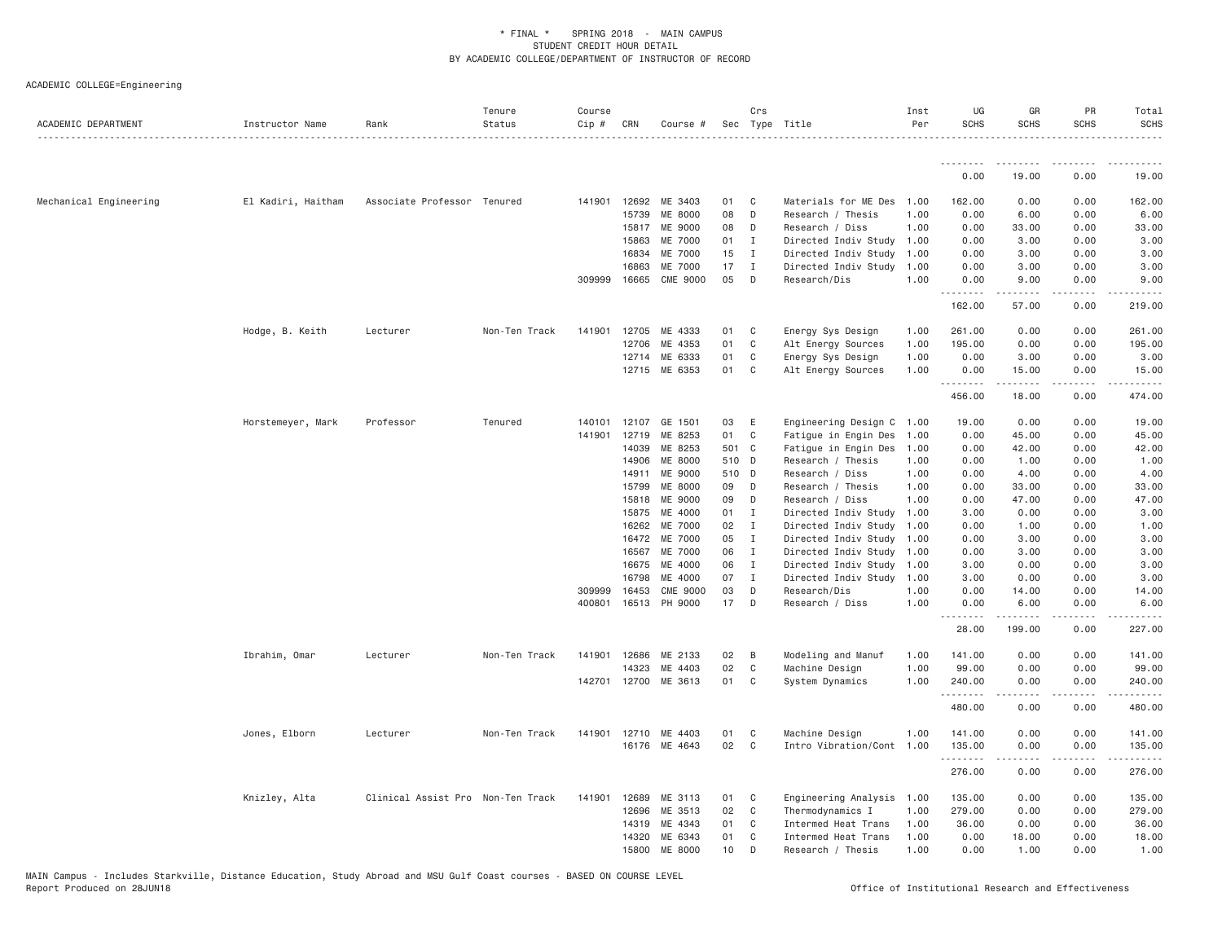| ACADEMIC DEPARTMENT    | Instructor Name    | Rank                              | Tenure<br>Status<br>. | Course<br>Cip # | CRN          | Course #             |       | Crs            | Sec Type Title            | Inst<br>Per | UG<br><b>SCHS</b> | GR<br><b>SCHS</b> | PR<br><b>SCHS</b>            | Total<br><b>SCHS</b><br>. |
|------------------------|--------------------|-----------------------------------|-----------------------|-----------------|--------------|----------------------|-------|----------------|---------------------------|-------------|-------------------|-------------------|------------------------------|---------------------------|
|                        |                    |                                   |                       |                 |              |                      |       |                |                           |             | <u>.</u>          |                   |                              |                           |
|                        |                    |                                   |                       |                 |              |                      |       |                |                           |             | 0.00              | 19.00             | 0.00                         | 19.00                     |
| Mechanical Engineering | El Kadiri, Haitham | Associate Professor Tenured       |                       |                 | 141901 12692 | ME 3403              | 01    | C <sub>1</sub> | Materials for ME Des 1.00 |             | 162.00            | 0.00              | 0.00                         | 162.00                    |
|                        |                    |                                   |                       |                 | 15739        | ME 8000              | 08    | D              | Research / Thesis         | 1,00        | 0.00              | 6.00              | 0.00                         | 6.00                      |
|                        |                    |                                   |                       |                 | 15817        | ME 9000              | 08    | D              | Research / Diss           | 1.00        | 0.00              | 33.00             | 0.00                         | 33.00                     |
|                        |                    |                                   |                       |                 | 15863        | ME 7000              | 01    | $\mathbf{I}$   | Directed Indiv Study 1.00 |             | 0.00              | 3.00              | 0.00                         | 3.00                      |
|                        |                    |                                   |                       |                 | 16834        | ME 7000              | 15    | $\mathbf{I}$   | Directed Indiv Study      | 1.00        | 0.00              | 3.00              | 0.00                         | 3.00                      |
|                        |                    |                                   |                       |                 | 16863        | ME 7000              | 17    | $\mathbf{I}$   | Directed Indiv Study 1.00 |             | 0.00              | 3.00              | 0.00                         | 3.00                      |
|                        |                    |                                   |                       | 309999          | 16665        | CME 9000             | 05    | D              | Research/Dis              | 1.00        | 0.00<br>.         | 9.00              | 0.00<br>$\sim$ $\sim$ $\sim$ | 9.00                      |
|                        |                    |                                   |                       |                 |              |                      |       |                |                           |             | 162.00            | 57.00             | 0.00                         | 219.00                    |
|                        | Hodge, B. Keith    | Lecturer                          | Non-Ten Track         | 141901          | 12705        | ME 4333              | 01    | $\mathbf{C}$   | Energy Sys Design         | 1.00        | 261.00            | 0.00              | 0.00                         | 261.00                    |
|                        |                    |                                   |                       |                 | 12706        | ME 4353              | 01    | C              | Alt Energy Sources        | 1.00        | 195.00            | 0.00              | 0.00                         | 195.00                    |
|                        |                    |                                   |                       |                 |              | 12714 ME 6333        | 01    | $\mathbf C$    | Energy Sys Design         | 1.00        | 0.00              | 3.00              | 0.00                         | 3.00                      |
|                        |                    |                                   |                       |                 | 12715        | ME 6353              | 01    | C              | Alt Energy Sources        | 1.00        | 0.00<br>.         | 15.00<br>.        | 0.00<br>.                    | 15.00<br><u>.</u>         |
|                        |                    |                                   |                       |                 |              |                      |       |                |                           |             | 456.00            | 18.00             | 0.00                         | 474.00                    |
|                        | Horstemeyer, Mark  | Professor                         | Tenured               | 140101          | 12107        | GE 1501              | 03    | E              | Engineering Design C 1.00 |             | 19.00             | 0.00              | 0.00                         | 19.00                     |
|                        |                    |                                   |                       | 141901          | 12719        | ME 8253              | 01    | C              | Fatigue in Engin Des      | 1.00        | 0.00              | 45.00             | 0.00                         | 45.00                     |
|                        |                    |                                   |                       |                 | 14039        | ME 8253              | 501 C |                | Fatigue in Engin Des      | 1.00        | 0.00              | 42.00             | 0.00                         | 42.00                     |
|                        |                    |                                   |                       |                 | 14906        | ME 8000              | 510 D |                | Research / Thesis         | 1.00        | 0.00              | 1.00              | 0.00                         | 1.00                      |
|                        |                    |                                   |                       |                 | 14911        | ME 9000              | 510 D |                | Research / Diss           | 1.00        | 0.00              | 4.00              | 0.00                         | 4.00                      |
|                        |                    |                                   |                       |                 | 15799        | ME 8000              | 09    | D              | Research / Thesis         | 1.00        | 0.00              | 33.00             | 0.00                         | 33.00                     |
|                        |                    |                                   |                       |                 | 15818        | ME 9000              | 09    | D              | Research / Diss           | 1,00        | 0.00              | 47.00             | 0.00                         | 47.00                     |
|                        |                    |                                   |                       |                 | 15875        | ME 4000              | 01    | $\mathbf{I}$   | Directed Indiv Study      | 1.00        | 3.00              | 0.00              | 0.00                         | 3.00                      |
|                        |                    |                                   |                       |                 | 16262        | ME 7000              | 02    | $\mathbf{I}$   | Directed Indiv Study      | 1.00        | 0.00              | 1.00              | 0.00                         | 1.00                      |
|                        |                    |                                   |                       |                 | 16472        | ME 7000              | 05    | $\mathbf{I}$   | Directed Indiv Study 1.00 |             | 0.00              | 3.00              | 0.00                         | 3.00                      |
|                        |                    |                                   |                       |                 | 16567        | ME 7000              | 06    | $\mathbf{I}$   | Directed Indiv Study 1.00 |             | 0.00              | 3.00              | 0.00                         | 3.00                      |
|                        |                    |                                   |                       |                 | 16675        | ME 4000              | 06    | $\blacksquare$ | Directed Indiv Study 1.00 |             | 3.00              | 0.00              | 0.00                         | 3.00                      |
|                        |                    |                                   |                       |                 | 16798        | ME 4000              | 07    | $\mathbf{I}$   | Directed Indiv Study 1.00 |             | 3.00              | 0.00              | 0.00                         | 3.00                      |
|                        |                    |                                   |                       | 309999          | 16453        | <b>CME 9000</b>      | 03    | D              | Research/Dis              | 1.00        | 0.00              | 14.00             | 0.00                         | 14.00                     |
|                        |                    |                                   |                       | 400801          | 16513        | PH 9000              | 17    | D              | Research / Diss           | 1.00        | 0.00<br>.         | 6.00              | 0.00<br>$   -$               | 6.00<br>$\frac{1}{2}$     |
|                        |                    |                                   |                       |                 |              |                      |       |                |                           |             | 28.00             | 199.00            | 0.00                         | 227.00                    |
|                        | Ibrahim, Omar      | Lecturer                          | Non-Ten Track         | 141901          | 12686        | ME 2133              | 02    | $\overline{B}$ | Modeling and Manuf        | 1.00        | 141.00            | 0.00              | 0.00                         | 141.00                    |
|                        |                    |                                   |                       |                 | 14323        | ME 4403              | 02    | C              | Machine Design            | 1.00        | 99.00             | 0.00              | 0.00                         | 99.00                     |
|                        |                    |                                   |                       |                 |              | 142701 12700 ME 3613 | 01    | C              | System Dynamics           | 1.00        | 240.00<br>.       | 0.00<br>.         | 0.00<br>.                    | 240.00<br>.               |
|                        |                    |                                   |                       |                 |              |                      |       |                |                           |             | 480.00            | 0.00              | 0.00                         | 480.00                    |
|                        | Jones, Elborn      | Lecturer                          | Non-Ten Track         | 141901          | 12710        | ME 4403              | 01    | C              | Machine Design            | 1.00        | 141.00            | 0.00              | 0.00                         | 141.00                    |
|                        |                    |                                   |                       |                 |              | 16176 ME 4643        | 02    | C              | Intro Vibration/Cont      | 1.00        | 135.00<br>.       | 0.00              | 0.00                         | 135.00                    |
|                        |                    |                                   |                       |                 |              |                      |       |                |                           |             | 276.00            | 0.00              | 0.00                         | 276.00                    |
|                        | Knizley, Alta      | Clinical Assist Pro Non-Ten Track |                       | 141901          | 12689        | ME 3113              | 01    | $\mathbf{C}$   | Engineering Analysis 1.00 |             | 135.00            | 0.00              | 0.00                         | 135.00                    |
|                        |                    |                                   |                       |                 | 12696        | ME 3513              | 02    | $\mathbf C$    | Thermodynamics I          | 1.00        | 279.00            | 0.00              | 0.00                         | 279.00                    |
|                        |                    |                                   |                       |                 | 14319        | ME 4343              | 01    | C.             | Intermed Heat Trans       | 1.00        | 36.00             | 0.00              | 0.00                         | 36.00                     |
|                        |                    |                                   |                       |                 | 14320        | ME 6343              | 01    | C              | Intermed Heat Trans       | 1.00        | 0.00              | 18.00             | 0.00                         | 18.00                     |
|                        |                    |                                   |                       |                 | 15800        | ME 8000              | 10    | D              | Research / Thesis         | 1,00        | 0.00              | 1,00              | 0.00                         | 1.00                      |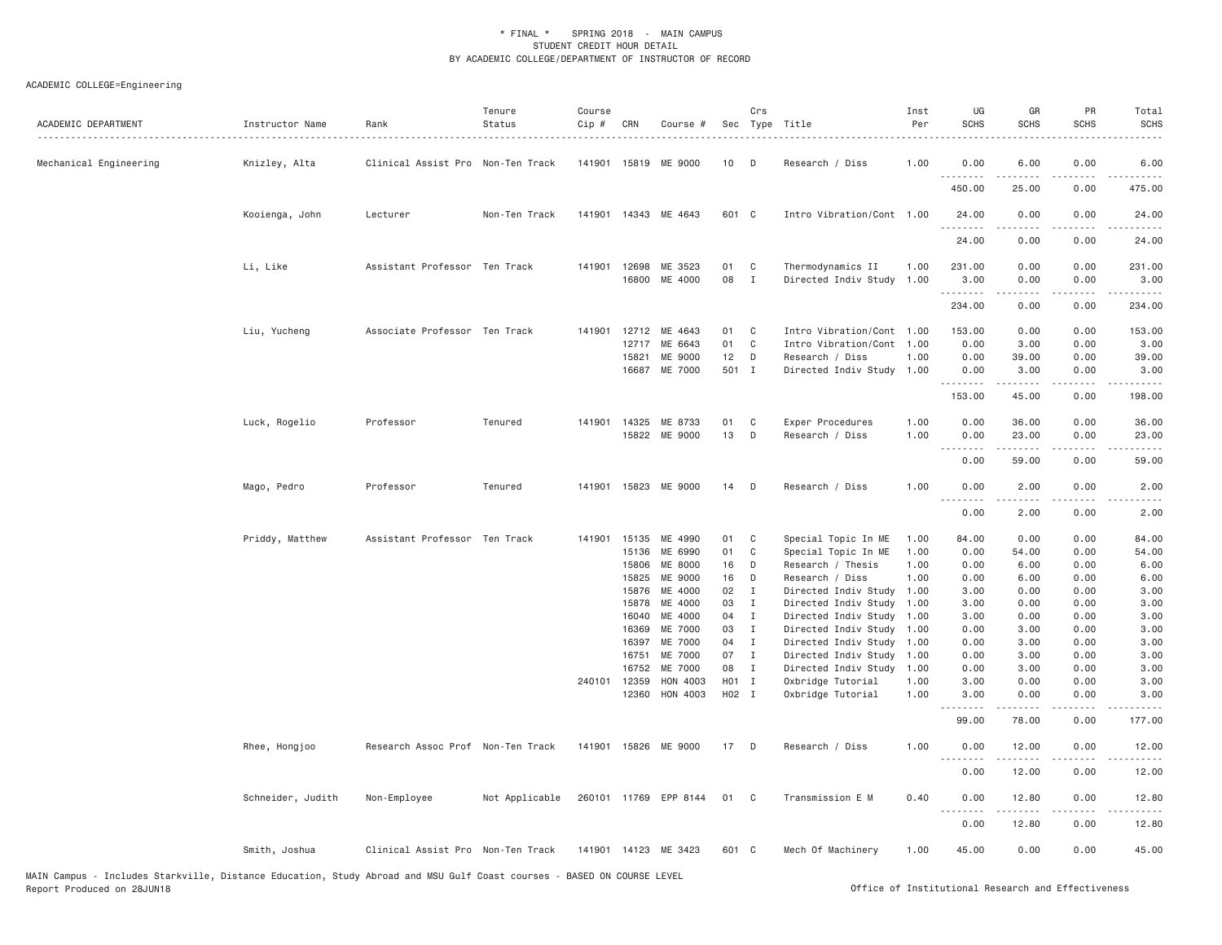| ACADEMIC DEPARTMENT    | Instructor Name   | Rank<br>.                         | Tenure<br>Status | Course<br>Cip # | CRN                   | Course #              |          | Crs                            | Sec Type Title                                 | Inst<br>Per  | UG<br><b>SCHS</b>   | GR<br><b>SCHS</b>                   | PR<br><b>SCHS</b> | Total<br><b>SCHS</b> |
|------------------------|-------------------|-----------------------------------|------------------|-----------------|-----------------------|-----------------------|----------|--------------------------------|------------------------------------------------|--------------|---------------------|-------------------------------------|-------------------|----------------------|
| Mechanical Engineering | Knizley, Alta     | Clinical Assist Pro Non-Ten Track |                  | 141901          | 15819                 | ME 9000               | 10       | D                              | Research / Diss                                | 1.00         | 0.00<br>.           | 6.00                                | 0.00              | 6.00                 |
|                        |                   |                                   |                  |                 |                       |                       |          |                                |                                                |              | 450.00              | 25.00                               | 0.00              | 475.00               |
|                        | Kooienga, John    | Lecturer                          | Non-Ten Track    |                 |                       | 141901 14343 ME 4643  | 601 C    |                                | Intro Vibration/Cont 1.00                      |              | 24.00<br>.          | 0.00                                | 0.00              | 24.00                |
|                        |                   |                                   |                  |                 |                       |                       |          |                                |                                                |              | 24.00               | 0.00                                | 0.00              | 24.00                |
|                        | Li, Like          | Assistant Professor Ten Track     |                  |                 | 141901 12698<br>16800 | ME 3523<br>ME 4000    | 01<br>08 | C<br>$\mathbf{I}$              | Thermodynamics II<br>Directed Indiv Study 1.00 | 1.00         | 231.00<br>3.00<br>. | 0.00<br>0.00<br>-----               | 0.00<br>0.00<br>. | 231.00<br>3.00<br>.  |
|                        |                   |                                   |                  |                 |                       |                       |          |                                |                                                |              | 234.00              | 0.00                                | 0.00              | 234.00               |
|                        | Liu, Yucheng      | Associate Professor Ten Track     |                  | 141901          | 12712                 | ME 4643               | 01       | C                              | Intro Vibration/Cont 1.00                      |              | 153.00              | 0.00                                | 0.00              | 153.00               |
|                        |                   |                                   |                  |                 | 12717                 | ME 6643               | 01       | C                              | Intro Vibration/Cont 1.00                      |              | 0.00                | 3.00                                | 0.00              | 3.00                 |
|                        |                   |                                   |                  |                 | 15821                 | ME 9000               | 12       | D                              | Research / Diss                                | 1.00         | 0.00                | 39.00                               | 0.00              | 39.00                |
|                        |                   |                                   |                  |                 | 16687                 | ME 7000               | 501 I    |                                | Directed Indiv Study                           | 1.00         | 0.00<br>.           | 3.00                                | 0.00              | 3.00                 |
|                        |                   |                                   |                  |                 |                       |                       |          |                                |                                                |              | 153.00              | 45.00                               | 0.00              | 198.00               |
|                        | Luck, Rogelio     | Professor                         | Tenured          |                 | 141901 14325          | ME 8733               | 01       | C                              | Exper Procedures                               | 1.00         | 0.00                | 36.00                               | 0.00              | 36.00                |
|                        |                   |                                   |                  |                 |                       | 15822 ME 9000         | 13       | D                              | Research / Diss                                | 1.00         | 0.00<br>.           | 23.00<br>$\omega$ is a set          | 0.00<br>.         | 23.00<br>.           |
|                        |                   |                                   |                  |                 |                       |                       |          |                                |                                                |              | 0.00                | 59.00                               | 0.00              | 59.00                |
|                        | Mago, Pedro       | Professor                         | Tenured          | 141901          | 15823                 | ME 9000               | 14       | D                              | Research / Diss                                | 1.00         | 0.00<br>.           | 2.00<br>$\sim$ $\sim$ $\sim$ $\sim$ | 0.00              | 2.00                 |
|                        |                   |                                   |                  |                 |                       |                       |          |                                |                                                |              | 0.00                | 2.00                                | 0.00              | 2.00                 |
|                        | Priddy, Matthew   | Assistant Professor Ten Track     |                  | 141901          | 15135                 | ME 4990               | 01       | C                              | Special Topic In ME                            | 1.00         | 84.00               | 0.00                                | 0.00              | 84.00                |
|                        |                   |                                   |                  |                 | 15136                 | ME 6990               | 01       | C                              | Special Topic In ME                            | 1.00         | 0.00                | 54.00                               | 0.00              | 54.00                |
|                        |                   |                                   |                  |                 | 15806                 | ME 8000               | 16       | D                              | Research / Thesis                              | 1.00         | 0.00                | 6.00                                | 0.00              | 6.00                 |
|                        |                   |                                   |                  |                 | 15825                 | ME 9000<br>ME 4000    | 16       | D                              | Research / Diss                                | 1,00         | 0.00                | 6.00                                | 0.00              | 6.00                 |
|                        |                   |                                   |                  |                 | 15876<br>15878        | ME 4000               | 02<br>03 | $\blacksquare$<br>$\mathbf{I}$ | Directed Indiv Study<br>Directed Indiv Study   | 1.00<br>1.00 | 3.00<br>3.00        | 0.00<br>0.00                        | 0.00<br>0.00      | 3.00<br>3.00         |
|                        |                   |                                   |                  |                 | 16040                 | ME 4000               | 04       | $\mathbf{I}$                   | Directed Indiv Study                           | 1.00         | 3.00                | 0.00                                | 0.00              | 3.00                 |
|                        |                   |                                   |                  |                 | 16369                 | ME 7000               | 03       | $\mathbf{I}$                   | Directed Indiv Study                           | 1.00         | 0.00                | 3.00                                | 0.00              | 3.00                 |
|                        |                   |                                   |                  |                 | 16397                 | ME 7000               | 04       | $\mathbf{I}$                   | Directed Indiv Study                           | 1.00         | 0.00                | 3.00                                | 0.00              | 3.00                 |
|                        |                   |                                   |                  |                 | 16751                 | ME 7000               | 07       | $\mathbf{I}$                   | Directed Indiv Study                           | 1.00         | 0.00                | 3.00                                | 0.00              | 3.00                 |
|                        |                   |                                   |                  |                 | 16752                 | ME 7000               | 08       | $\mathbf{I}$                   | Directed Indiv Study                           | 1.00         | 0.00                | 3.00                                | 0.00              | 3.00                 |
|                        |                   |                                   |                  | 240101          | 12359                 | HON 4003              | H01 I    |                                | Oxbridge Tutorial                              | 1.00         | 3.00                | 0.00                                | 0.00              | 3.00                 |
|                        |                   |                                   |                  |                 | 12360                 | HON 4003              | H02 I    |                                | Oxbridge Tutorial                              | 1.00         | 3.00                | 0.00                                | 0.00              | 3.00                 |
|                        |                   |                                   |                  |                 |                       |                       |          |                                |                                                |              | 99.00               | 78.00                               | 0.00              | 177.00               |
|                        | Rhee, Hongjoo     | Research Assoc Prof Non-Ten Track |                  |                 |                       | 141901 15826 ME 9000  | 17       | D                              | Research / Diss                                | 1.00         | 0.00<br>.           | 12.00                               | 0.00              | 12.00                |
|                        |                   |                                   |                  |                 |                       |                       |          |                                |                                                |              | 0.00                | 12.00                               | 0.00              | 12.00                |
|                        | Schneider, Judith | Non-Employee                      | Not Applicable   |                 |                       | 260101 11769 EPP 8144 | 01       | $\mathbf{C}$                   | Transmission E M                               | 0.40         | 0.00<br>.           | 12.80<br>$- - - - -$                | 0.00<br>.         | 12.80<br>.           |
|                        |                   |                                   |                  |                 |                       |                       |          |                                |                                                |              | 0.00                | 12.80                               | 0.00              | 12.80                |
|                        | Smith, Joshua     | Clinical Assist Pro Non-Ten Track |                  |                 |                       | 141901 14123 ME 3423  | 601 C    |                                | Mech Of Machinery                              | 1.00         | 45.00               | 0.00                                | 0.00              | 45.00                |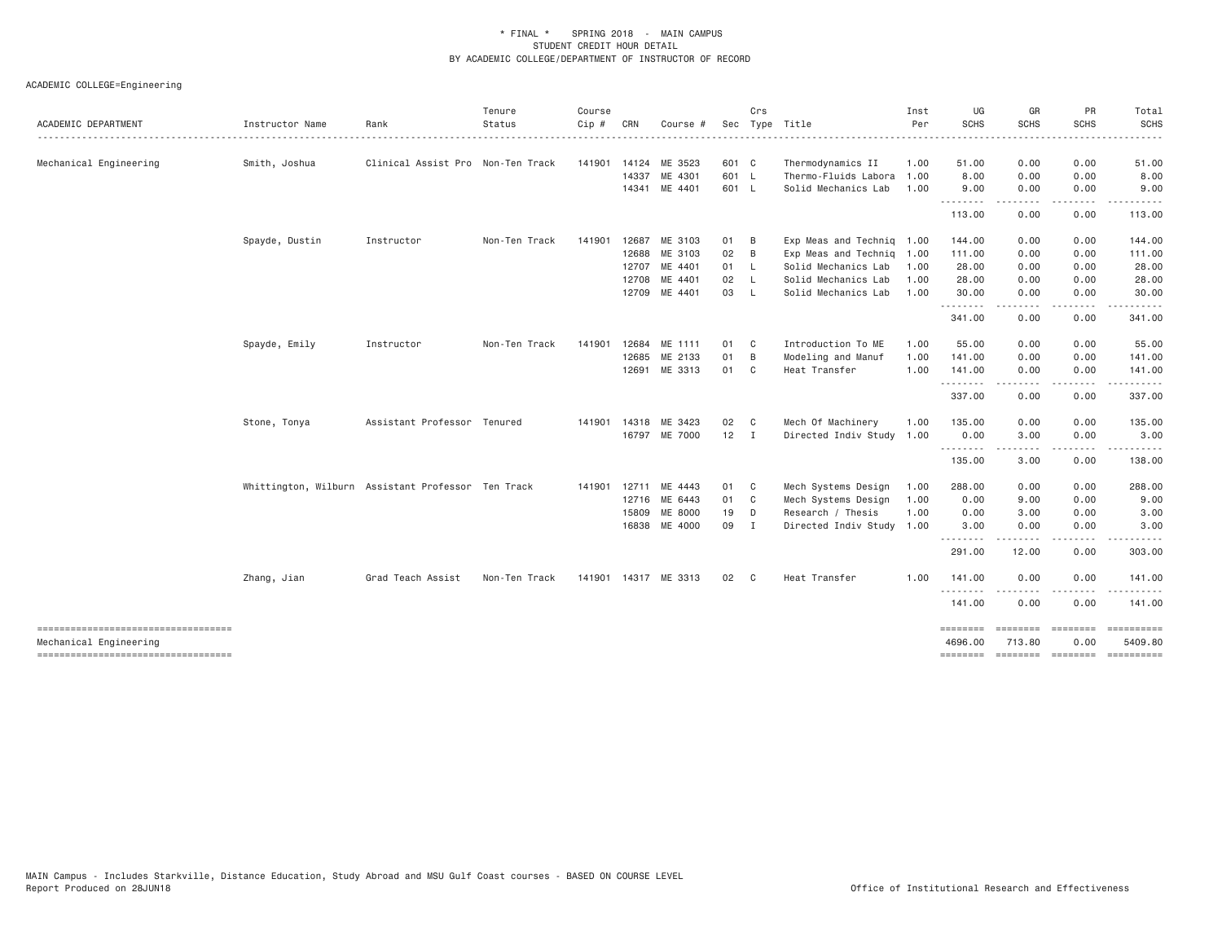| ACADEMIC DEPARTMENT                                          | Instructor Name                                    | Rank                              | Tenure<br>Status | Course<br>$Cip$ # | CRN   | Course #             |              | Crs            | Sec Type Title            | Inst<br>Per | UG<br><b>SCHS</b>          | GR<br>SCHS          | PR<br><b>SCHS</b>       | Total<br><b>SCHS</b> |
|--------------------------------------------------------------|----------------------------------------------------|-----------------------------------|------------------|-------------------|-------|----------------------|--------------|----------------|---------------------------|-------------|----------------------------|---------------------|-------------------------|----------------------|
| Mechanical Engineering                                       | Smith, Joshua                                      | Clinical Assist Pro Non-Ten Track |                  | 141901 14124      |       | ME 3523              | 601 C        |                | Thermodynamics II         | 1.00        | 51.00                      | 0.00                | 0.00                    | 51.00                |
|                                                              |                                                    |                                   |                  |                   | 14337 | ME 4301              | 601 L        |                | Thermo-Fluids Labora      | 1.00        | 8.00                       | 0.00                | 0.00                    | 8.00                 |
|                                                              |                                                    |                                   |                  |                   | 14341 | ME 4401              | 601 L        |                | Solid Mechanics Lab       | 1.00        | 9.00                       | 0.00                | 0.00                    | 9.00                 |
|                                                              |                                                    |                                   |                  |                   |       |                      |              |                |                           |             | .<br>113.00                | 0.00                | 0.00                    | 113.00               |
|                                                              | Spayde, Dustin                                     | Instructor                        | Non-Ten Track    | 141901            | 12687 | ME 3103              | 01           | $\overline{B}$ | Exp Meas and Techniq 1.00 |             | 144.00                     | 0.00                | 0.00                    | 144.00               |
|                                                              |                                                    |                                   |                  |                   | 12688 | ME 3103              | 02           | B              | Exp Meas and Techniq 1.00 |             | 111.00                     | 0.00                | 0.00                    | 111.00               |
|                                                              |                                                    |                                   |                  |                   | 12707 | ME 4401              | 01 L         |                | Solid Mechanics Lab       | 1.00        | 28.00                      | 0.00                | 0.00                    | 28.00                |
|                                                              |                                                    |                                   |                  |                   | 12708 | ME 4401              | 02           | - L            | Solid Mechanics Lab       | 1.00        | 28.00                      | 0.00                | 0.00                    | 28.00                |
|                                                              |                                                    |                                   |                  |                   |       | 12709 ME 4401        | 03           | - L            | Solid Mechanics Lab       | 1.00        | 30.00<br>.                 | 0.00<br>.           | 0.00<br>.               | 30.00                |
|                                                              |                                                    |                                   |                  |                   |       |                      |              |                |                           |             | 341.00                     | 0.00                | 0.00                    | 341.00               |
|                                                              | Spayde, Emily                                      | Instructor                        | Non-Ten Track    | 141901            | 12684 | ME 1111              | 01 C         |                | Introduction To ME        | 1.00        | 55.00                      | 0.00                | 0.00                    | 55.00                |
|                                                              |                                                    |                                   |                  |                   | 12685 | ME 2133              | 01           | $\overline{B}$ | Modeling and Manuf        | 1.00        | 141.00                     | 0.00                | 0.00                    | 141.00               |
|                                                              |                                                    |                                   |                  |                   | 12691 | ME 3313              | 01 C         |                | Heat Transfer             | 1.00        | 141.00<br>.                | 0.00                | 0.00<br>- - - -         | 141.00<br>.          |
|                                                              |                                                    |                                   |                  |                   |       |                      |              |                |                           |             | 337.00                     | 0.00                | 0.00                    | 337.00               |
|                                                              | Stone, Tonya                                       | Assistant Professor Tenured       |                  | 141901 14318      |       | ME 3423              | 02           | $\mathbf{C}$   | Mech Of Machinery         | 1.00        | 135.00                     | 0.00                | 0.00                    | 135.00               |
|                                                              |                                                    |                                   |                  |                   |       | 16797 ME 7000        | $12 \quad I$ |                | Directed Indiv Study 1.00 |             | 0.00                       | 3.00                | 0.00                    | 3.00                 |
|                                                              |                                                    |                                   |                  |                   |       |                      |              |                |                           |             | .<br>135.00                | 3.00                | 0.00                    | 138.00               |
|                                                              | Whittington, Wilburn Assistant Professor Ten Track |                                   |                  | 141901 12711      |       | ME 4443              | 01 C         |                | Mech Systems Design       | 1.00        | 288.00                     | 0.00                | 0.00                    | 288.00               |
|                                                              |                                                    |                                   |                  |                   | 12716 | ME 6443              | 01 C         |                | Mech Systems Design       | 1.00        | 0.00                       | 9.00                | 0.00                    | 9.00                 |
|                                                              |                                                    |                                   |                  |                   | 15809 | ME 8000              | 19           | $\mathsf{D}$   | Research / Thesis         | 1.00        | 0.00                       | 3.00                | 0.00                    | 3.00                 |
|                                                              |                                                    |                                   |                  |                   | 16838 | ME 4000              | 09 I         |                | Directed Indiv Study 1.00 |             | 3.00<br>.                  | 0.00                | 0.00                    | 3.00                 |
|                                                              |                                                    |                                   |                  |                   |       |                      |              |                |                           |             | 291.00                     | 12.00               | 0.00                    | 303.00               |
|                                                              | Zhang, Jian                                        | Grad Teach Assist                 | Non-Ten Track    |                   |       | 141901 14317 ME 3313 | 02 C         |                | Heat Transfer             | 1.00        | 141.00                     | 0.00                | 0.00                    | 141.00               |
|                                                              |                                                    |                                   |                  |                   |       |                      |              |                |                           |             | <u>.</u><br>141.00         | 0.00                | . <u>.</u> .<br>0.00    | 141.00               |
| ----------------------------------<br>Mechanical Engineering |                                                    |                                   |                  |                   |       |                      |              |                |                           |             | <b>EEEEEEEE</b><br>4696.00 | ---------<br>713.80 | <b>ESSESSES</b><br>0.00 | 5409.80              |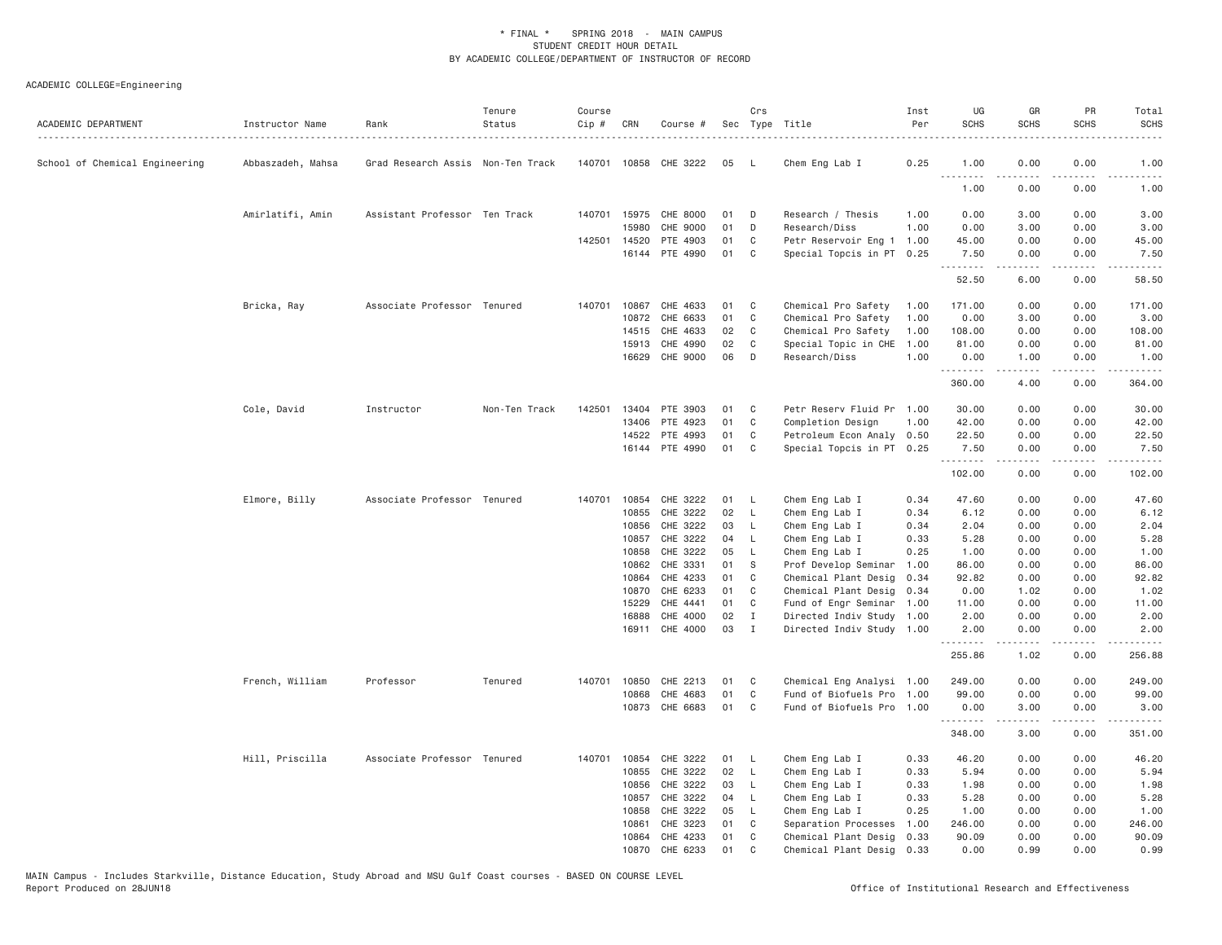| ACADEMIC DEPARTMENT            | Instructor Name<br>. | Rank                              | Tenure<br>Status | Course<br>Cip # | CRN          | Course #              |    | Crs          | Sec Type Title            | Inst<br>Per | UG<br><b>SCHS</b> | GR<br><b>SCHS</b>                                                                                                                                            | PR<br><b>SCHS</b>     | Total<br><b>SCHS</b> |
|--------------------------------|----------------------|-----------------------------------|------------------|-----------------|--------------|-----------------------|----|--------------|---------------------------|-------------|-------------------|--------------------------------------------------------------------------------------------------------------------------------------------------------------|-----------------------|----------------------|
| School of Chemical Engineering | Abbaszadeh, Mahsa    | Grad Research Assis Non-Ten Track |                  |                 |              | 140701 10858 CHE 3222 | 05 | - L          | Chem Eng Lab I            | 0.25        | 1.00<br>.         | 0.00<br>.                                                                                                                                                    | 0.00<br>$\frac{1}{2}$ | 1.00<br>$- - - -$    |
|                                |                      |                                   |                  |                 |              |                       |    |              |                           |             | 1.00              | 0.00                                                                                                                                                         | 0.00                  | 1.00                 |
|                                | Amirlatifi, Amin     | Assistant Professor Ten Track     |                  |                 | 140701 15975 | CHE 8000              | 01 | D            | Research / Thesis         | 1.00        | 0.00              | 3.00                                                                                                                                                         | 0.00                  | 3.00                 |
|                                |                      |                                   |                  |                 | 15980        | CHE 9000              | 01 | D            | Research/Diss             | 1.00        | 0.00              | 3.00                                                                                                                                                         | 0.00                  | 3.00                 |
|                                |                      |                                   |                  | 142501          | 14520        | PTE 4903              | 01 | C            | Petr Reservoir Eng 1      | 1.00        | 45.00             | 0.00                                                                                                                                                         | 0.00                  | 45.00                |
|                                |                      |                                   |                  |                 |              | 16144 PTE 4990        | 01 | C            | Special Topcis in PT 0.25 |             | 7.50<br>.         | 0.00<br>$\omega$ is a set                                                                                                                                    | 0.00<br>.             | 7.50<br>.            |
|                                |                      |                                   |                  |                 |              |                       |    |              |                           |             | 52.50             | 6.00                                                                                                                                                         | 0.00                  | 58.50                |
|                                | Bricka, Ray          | Associate Professor Tenured       |                  | 140701          | 10867        | CHE 4633              | 01 | C            | Chemical Pro Safety       | 1.00        | 171.00            | 0.00                                                                                                                                                         | 0.00                  | 171.00               |
|                                |                      |                                   |                  |                 | 10872        | CHE 6633              | 01 | C            | Chemical Pro Safety       | 1.00        | 0.00              | 3.00                                                                                                                                                         | 0.00                  | 3.00                 |
|                                |                      |                                   |                  |                 | 14515        | CHE 4633              | 02 | C            | Chemical Pro Safety       | 1.00        | 108.00            | 0.00                                                                                                                                                         | 0.00                  | 108.00               |
|                                |                      |                                   |                  |                 | 15913        | CHE 4990              | 02 | C            | Special Topic in CHE      | 1.00        | 81.00             | 0.00                                                                                                                                                         | 0.00                  | 81.00                |
|                                |                      |                                   |                  |                 | 16629        | CHE 9000              | 06 | D            | Research/Diss             | 1,00        | 0.00<br>.         | 1.00<br>$\frac{1}{2} \left( \frac{1}{2} \right) \left( \frac{1}{2} \right) \left( \frac{1}{2} \right) \left( \frac{1}{2} \right) \left( \frac{1}{2} \right)$ | 0.00<br>.             | 1.00<br>.            |
|                                |                      |                                   |                  |                 |              |                       |    |              |                           |             | 360.00            | 4.00                                                                                                                                                         | 0.00                  | 364.00               |
|                                | Cole, David          | Instructor                        | Non-Ten Track    | 142501          | 13404        | PTE 3903              | 01 | C            | Petr Reserv Fluid Pr      | 1.00        | 30.00             | 0.00                                                                                                                                                         | 0.00                  | 30.00                |
|                                |                      |                                   |                  |                 | 13406        | PTE 4923              | 01 | C            | Completion Design         | 1.00        | 42.00             | 0.00                                                                                                                                                         | 0.00                  | 42.00                |
|                                |                      |                                   |                  |                 | 14522        | PTE 4993              | 01 | C            | Petroleum Econ Analy 0.50 |             | 22.50             | 0.00                                                                                                                                                         | 0.00                  | 22.50                |
|                                |                      |                                   |                  |                 |              | 16144 PTE 4990        | 01 | C            | Special Topcis in PT 0.25 |             | 7.50              | 0.00                                                                                                                                                         | 0.00                  | 7.50                 |
|                                |                      |                                   |                  |                 |              |                       |    |              |                           |             | .<br>102.00       | -----<br>0.00                                                                                                                                                | .<br>0.00             | .<br>102.00          |
|                                | Elmore, Billy        | Associate Professor Tenured       |                  | 140701 10854    |              | CHE 3222              | 01 | - L          | Chem Eng Lab I            | 0.34        | 47.60             | 0.00                                                                                                                                                         | 0.00                  | 47.60                |
|                                |                      |                                   |                  |                 | 10855        | CHE 3222              | 02 | L.           | Chem Eng Lab I            | 0.34        | 6.12              | 0.00                                                                                                                                                         | 0.00                  | 6.12                 |
|                                |                      |                                   |                  |                 | 10856        | CHE 3222              | 03 | L            | Chem Eng Lab I            | 0.34        | 2.04              | 0.00                                                                                                                                                         | 0.00                  | 2.04                 |
|                                |                      |                                   |                  |                 | 10857        | CHE 3222              | 04 | L            | Chem Eng Lab I            | 0.33        | 5.28              | 0.00                                                                                                                                                         | 0.00                  | 5.28                 |
|                                |                      |                                   |                  |                 | 10858        | CHE 3222              | 05 | L.           | Chem Eng Lab I            | 0.25        | 1.00              | 0.00                                                                                                                                                         | 0.00                  | 1.00                 |
|                                |                      |                                   |                  |                 | 10862        | CHE 3331              | 01 | S            | Prof Develop Seminar      | 1.00        | 86.00             | 0.00                                                                                                                                                         | 0.00                  | 86.00                |
|                                |                      |                                   |                  |                 | 10864        | CHE 4233              | 01 | C            | Chemical Plant Desig      | 0.34        | 92.82             | 0.00                                                                                                                                                         | 0.00                  | 92.82                |
|                                |                      |                                   |                  |                 | 10870        | CHE 6233              | 01 | $\mathsf{C}$ | Chemical Plant Desig      | 0.34        | 0.00              | 1.02                                                                                                                                                         | 0.00                  | 1.02                 |
|                                |                      |                                   |                  |                 | 15229        | CHE 4441              | 01 | C            | Fund of Engr Seminar 1.00 |             | 11.00             | 0.00                                                                                                                                                         | 0.00                  | 11.00                |
|                                |                      |                                   |                  |                 | 16888        | CHE 4000              | 02 | $\mathbf{I}$ | Directed Indiv Study 1.00 |             | 2.00              | 0.00                                                                                                                                                         | 0.00                  | 2.00                 |
|                                |                      |                                   |                  |                 | 16911        | CHE 4000              | 03 | $\mathbf{I}$ | Directed Indiv Study 1.00 |             | 2.00<br>.         | 0.00                                                                                                                                                         | 0.00                  | 2.00                 |
|                                |                      |                                   |                  |                 |              |                       |    |              |                           |             | 255.86            | 1.02                                                                                                                                                         | 0.00                  | 256.88               |
|                                | French, William      | Professor                         | Tenured          | 140701 10850    |              | CHE 2213              | 01 | C            | Chemical Eng Analysi 1.00 |             | 249.00            | 0.00                                                                                                                                                         | 0.00                  | 249.00               |
|                                |                      |                                   |                  |                 | 10868        | CHE 4683              | 01 | $\mathbb C$  | Fund of Biofuels Pro      | 1.00        | 99.00             | 0.00                                                                                                                                                         | 0.00                  | 99.00                |
|                                |                      |                                   |                  |                 | 10873        | CHE 6683              | 01 | $\mathsf{C}$ | Fund of Biofuels Pro 1.00 |             | 0.00              | 3.00                                                                                                                                                         | 0.00                  | 3.00                 |
|                                |                      |                                   |                  |                 |              |                       |    |              |                           |             | .                 |                                                                                                                                                              |                       |                      |
|                                |                      |                                   |                  |                 |              |                       |    |              |                           |             | 348.00            | 3.00                                                                                                                                                         | 0.00                  | 351.00               |
|                                | Hill, Priscilla      | Associate Professor Tenured       |                  | 140701 10854    |              | CHE 3222              | 01 | L            | Chem Eng Lab I            | 0.33        | 46.20             | 0.00                                                                                                                                                         | 0.00                  | 46.20                |
|                                |                      |                                   |                  |                 | 10855        | CHE 3222              | 02 | L.           | Chem Eng Lab I            | 0.33        | 5.94              | 0.00                                                                                                                                                         | 0.00                  | 5.94                 |
|                                |                      |                                   |                  |                 | 10856        | CHE 3222              | 03 | L            | Chem Eng Lab I            | 0.33        | 1.98              | 0.00                                                                                                                                                         | 0.00                  | 1.98                 |
|                                |                      |                                   |                  |                 | 10857        | CHE 3222              | 04 | $\mathsf{L}$ | Chem Eng Lab I            | 0.33        | 5.28              | 0.00                                                                                                                                                         | 0.00                  | 5.28                 |
|                                |                      |                                   |                  |                 | 10858        | CHE 3222              | 05 | L            | Chem Eng Lab I            | 0.25        | 1.00              | 0.00                                                                                                                                                         | 0.00                  | 1.00                 |
|                                |                      |                                   |                  |                 | 10861        | CHE 3223              | 01 | C            | Separation Processes      | 1.00        | 246.00            | 0.00                                                                                                                                                         | 0.00                  | 246.00               |
|                                |                      |                                   |                  |                 | 10864        | CHE 4233              | 01 | C            | Chemical Plant Desig      | 0.33        | 90.09             | 0.00                                                                                                                                                         | 0.00                  | 90.09                |
|                                |                      |                                   |                  |                 | 10870        | CHE 6233              | 01 | C            | Chemical Plant Desig 0.33 |             | 0.00              | 0.99                                                                                                                                                         | 0.00                  | 0.99                 |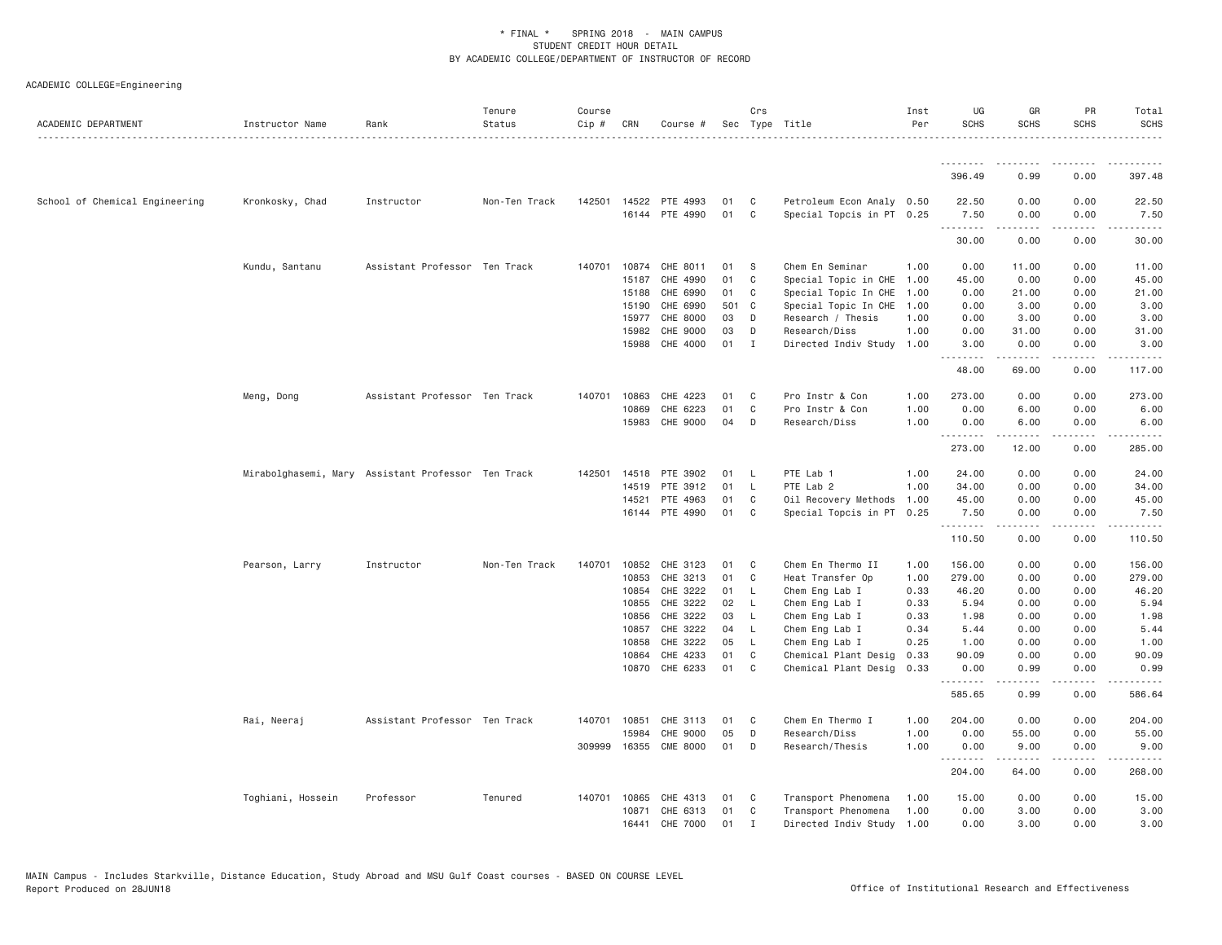| ACADEMIC DEPARTMENT            | Instructor Name   | Rank                                               | Tenure<br>Status | Course<br>$Cip$ # | CRN          | Course #        |       | Crs            | Sec Type Title            | Inst<br>Per | UG<br><b>SCHS</b> | GR<br><b>SCHS</b>                                                                                                                                            | PR<br><b>SCHS</b> | Total<br><b>SCHS</b> |
|--------------------------------|-------------------|----------------------------------------------------|------------------|-------------------|--------------|-----------------|-------|----------------|---------------------------|-------------|-------------------|--------------------------------------------------------------------------------------------------------------------------------------------------------------|-------------------|----------------------|
|                                |                   |                                                    |                  |                   |              |                 |       |                |                           |             | <u>.</u>          |                                                                                                                                                              |                   |                      |
|                                |                   |                                                    |                  |                   |              |                 |       |                |                           |             | 396.49            | 0.99                                                                                                                                                         | 0.00              | 397.48               |
| School of Chemical Engineering | Kronkosky, Chad   | Instructor                                         | Non-Ten Track    | 142501            | 14522        | PTE 4993        | 01    | C              | Petroleum Econ Analy 0.50 |             | 22.50             | 0.00                                                                                                                                                         | 0.00              | 22.50                |
|                                |                   |                                                    |                  |                   |              | 16144 PTE 4990  | 01    | C              | Special Topcis in PT 0.25 |             | 7.50<br>.         | 0.00                                                                                                                                                         | 0.00<br>.         | 7.50<br>.            |
|                                |                   |                                                    |                  |                   |              |                 |       |                |                           |             | 30.00             | 0.00                                                                                                                                                         | 0.00              | 30.00                |
|                                | Kundu, Santanu    | Assistant Professor Ten Track                      |                  |                   | 140701 10874 | CHE 8011        | 01    | - S            | Chem En Seminar           | 1.00        | 0.00              | 11.00                                                                                                                                                        | 0.00              | 11.00                |
|                                |                   |                                                    |                  |                   | 15187        | CHE 4990        | 01    | C              | Special Topic in CHE      | 1.00        | 45.00             | 0.00                                                                                                                                                         | 0.00              | 45.00                |
|                                |                   |                                                    |                  |                   | 15188        | CHE 6990        | 01    | C              | Special Topic In CHE 1.00 |             | 0.00              | 21.00                                                                                                                                                        | 0.00              | 21.00                |
|                                |                   |                                                    |                  |                   | 15190        | CHE 6990        | 501 C |                | Special Topic In CHE 1.00 |             | 0.00              | 3.00                                                                                                                                                         | 0.00              | 3.00                 |
|                                |                   |                                                    |                  |                   | 15977        | CHE 8000        | 03    | D              | Research / Thesis         | 1.00        | 0.00              | 3.00                                                                                                                                                         | 0.00              | 3.00                 |
|                                |                   |                                                    |                  |                   | 15982        | CHE 9000        | 03    | D              | Research/Diss             | 1.00        | 0.00              | 31.00                                                                                                                                                        | 0.00              | 31.00                |
|                                |                   |                                                    |                  |                   | 15988        | CHE 4000        | 01 I  |                | Directed Indiv Study      | 1.00        | 3.00<br>.         | 0.00<br>. <u>.</u>                                                                                                                                           | 0.00<br>.         | 3.00                 |
|                                |                   |                                                    |                  |                   |              |                 |       |                |                           |             | 48.00             | 69.00                                                                                                                                                        | 0.00              | 117.00               |
|                                | Meng, Dong        | Assistant Professor Ten Track                      |                  | 140701            | 10863        | CHE 4223        | 01    | C              | Pro Instr & Con           | 1.00        | 273.00            | 0.00                                                                                                                                                         | 0.00              | 273.00               |
|                                |                   |                                                    |                  |                   | 10869        | CHE 6223        | 01    | C              | Pro Instr & Con           | 1.00        | 0.00              | 6.00                                                                                                                                                         | 0.00              | 6.00                 |
|                                |                   |                                                    |                  |                   | 15983        | CHE 9000        | 04    | D              | Research/Diss             | 1.00        | 0.00              | 6.00                                                                                                                                                         | 0.00              | 6.00                 |
|                                |                   |                                                    |                  |                   |              |                 |       |                |                           |             | .<br>273.00       | .<br>12.00                                                                                                                                                   | .<br>0.00         | .<br>285.00          |
|                                |                   | Mirabolghasemi, Mary Assistant Professor Ten Track |                  | 142501            | 14518        | PTE 3902        | 01    | - L            | PTE Lab 1                 | 1.00        | 24.00             | 0.00                                                                                                                                                         | 0.00              | 24.00                |
|                                |                   |                                                    |                  |                   | 14519        | PTE 3912        | 01    | $\mathsf{L}$   | PTE Lab 2                 | 1.00        | 34.00             | 0.00                                                                                                                                                         | 0.00              | 34.00                |
|                                |                   |                                                    |                  |                   | 14521        | PTE 4963        | 01    | C              | Oil Recovery Methods      | 1.00        | 45.00             | 0.00                                                                                                                                                         | 0.00              | 45.00                |
|                                |                   |                                                    |                  |                   |              | 16144 PTE 4990  | 01    | C <sub>1</sub> | Special Topcis in PT 0.25 |             | 7.50              | 0.00                                                                                                                                                         | 0.00              | 7.50                 |
|                                |                   |                                                    |                  |                   |              |                 |       |                |                           |             | .<br>110.50       | $- - - - -$<br>0.00                                                                                                                                          | .<br>0.00         | .<br>110.50          |
|                                | Pearson, Larry    | Instructor                                         | Non-Ten Track    |                   | 140701 10852 | CHE 3123        | 01    | $\mathbf{C}$   | Chem En Thermo II         | 1.00        | 156.00            | 0.00                                                                                                                                                         | 0.00              | 156.00               |
|                                |                   |                                                    |                  |                   | 10853        | CHE 3213        | 01    | C              | Heat Transfer Op          | 1.00        | 279.00            | 0.00                                                                                                                                                         | 0.00              | 279.00               |
|                                |                   |                                                    |                  |                   | 10854        | CHE 3222        | 01    | <b>L</b>       | Chem Eng Lab I            | 0.33        | 46.20             | 0.00                                                                                                                                                         | 0.00              | 46.20                |
|                                |                   |                                                    |                  |                   | 10855        | CHE 3222        | 02    | <b>L</b>       | Chem Eng Lab I            | 0.33        | 5.94              | 0.00                                                                                                                                                         | 0.00              | 5.94                 |
|                                |                   |                                                    |                  |                   | 10856        | CHE 3222        | 03    | L.             | Chem Eng Lab I            | 0.33        | 1.98              | 0.00                                                                                                                                                         | 0.00              | 1.98                 |
|                                |                   |                                                    |                  |                   | 10857        | CHE 3222        | 04    | L,             | Chem Eng Lab I            | 0.34        | 5.44              | 0.00                                                                                                                                                         | 0.00              | 5.44                 |
|                                |                   |                                                    |                  |                   | 10858        | CHE 3222        | 05    | L.             | Chem Eng Lab I            | 0.25        | 1.00              | 0.00                                                                                                                                                         | 0.00              | 1.00                 |
|                                |                   |                                                    |                  |                   | 10864        | CHE 4233        | 01    | C              | Chemical Plant Desig      | 0.33        | 90.09             | 0.00                                                                                                                                                         | 0.00              | 90.09                |
|                                |                   |                                                    |                  |                   | 10870        | CHE 6233        | 01    | C <sub>1</sub> | Chemical Plant Desig      | 0.33        | 0.00<br>.         | 0.99<br>$\frac{1}{2} \left( \frac{1}{2} \right) \left( \frac{1}{2} \right) \left( \frac{1}{2} \right) \left( \frac{1}{2} \right) \left( \frac{1}{2} \right)$ | 0.00              | 0.99<br>.            |
|                                |                   |                                                    |                  |                   |              |                 |       |                |                           |             | 585.65            | 0.99                                                                                                                                                         | 0.00              | 586.64               |
|                                | Rai, Neeraj       | Assistant Professor Ten Track                      |                  |                   | 140701 10851 | CHE 3113        | 01    | C              | Chem En Thermo I          | 1.00        | 204.00            | 0.00                                                                                                                                                         | 0.00              | 204.00               |
|                                |                   |                                                    |                  |                   | 15984        | CHE 9000        | 05    | D              | Research/Diss             | 1.00        | 0.00              | 55.00                                                                                                                                                        | 0.00              | 55.00                |
|                                |                   |                                                    |                  | 309999            | 16355        | <b>CME 8000</b> | 01    | D              | Research/Thesis           | 1.00        | 0.00<br>.         | 9.00                                                                                                                                                         | 0.00              | 9.00                 |
|                                |                   |                                                    |                  |                   |              |                 |       |                |                           |             | 204.00            | 64.00                                                                                                                                                        | 0.00              | 268.00               |
|                                | Toghiani, Hossein | Professor                                          | Tenured          |                   | 140701 10865 | CHE 4313        | 01    | C              | Transport Phenomena       | 1.00        | 15.00             | 0.00                                                                                                                                                         | 0.00              | 15.00                |
|                                |                   |                                                    |                  |                   | 10871        | CHE 6313        | 01    | C              | Transport Phenomena       | 1.00        | 0.00              | 3.00                                                                                                                                                         | 0.00              | 3.00                 |
|                                |                   |                                                    |                  |                   | 16441        | CHE 7000        | 01    | $\mathbf{I}$   | Directed Indiv Study 1.00 |             | 0.00              | 3.00                                                                                                                                                         | 0.00              | 3.00                 |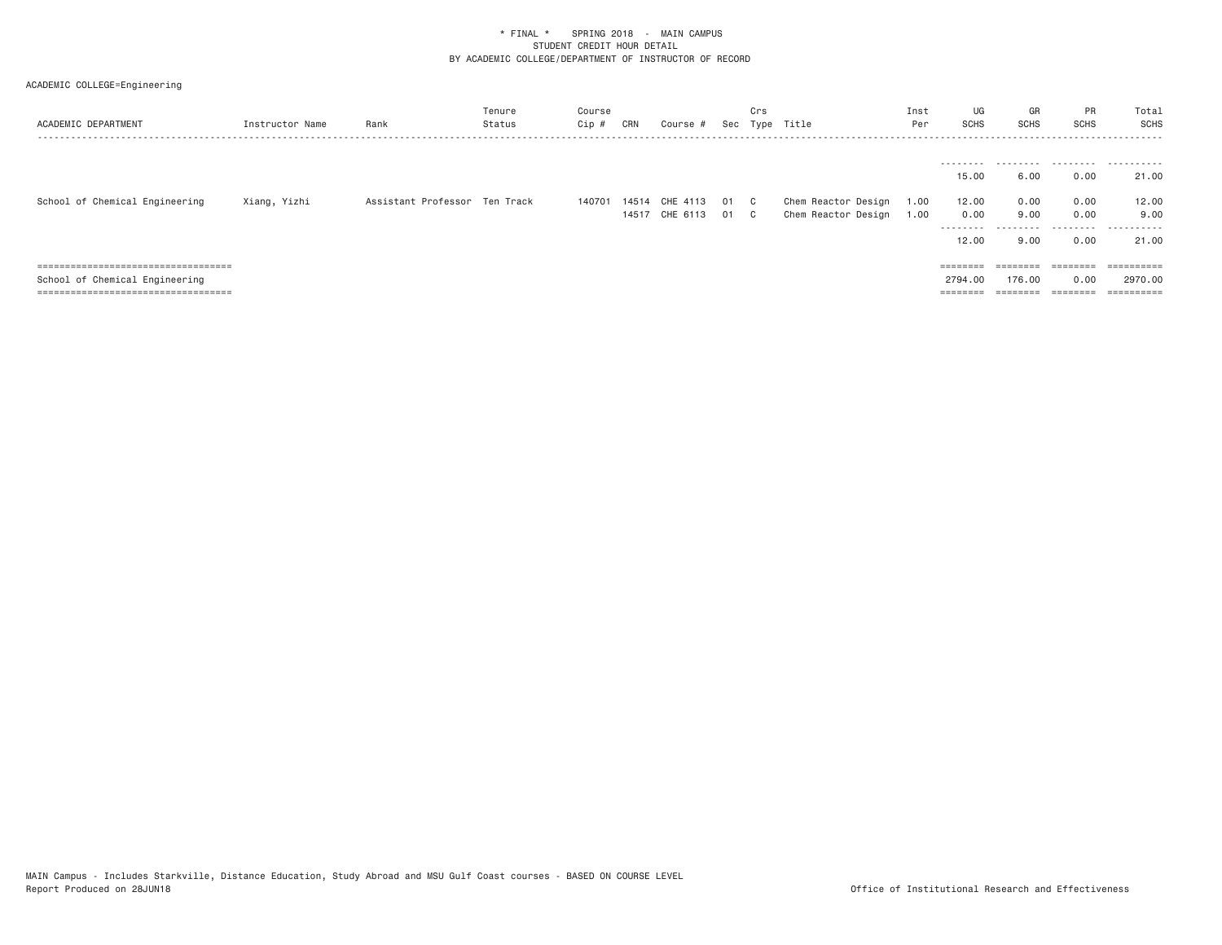| ACADEMIC DEPARTMENT                   | Instructor Name | Rank                          | Tenure<br>Status | Course<br>$Cip \#$ | CRN   | Course #            |      | Crs | Sec Type Title      | Inst<br>Per | UG<br><b>SCHS</b> | GR<br>SCHS | PR<br><b>SCHS</b> | Total<br>SCHS         |
|---------------------------------------|-----------------|-------------------------------|------------------|--------------------|-------|---------------------|------|-----|---------------------|-------------|-------------------|------------|-------------------|-----------------------|
|                                       |                 |                               |                  |                    |       |                     |      |     |                     |             |                   |            |                   |                       |
|                                       |                 |                               |                  |                    |       |                     |      |     |                     |             | ---------         | .          |                   |                       |
|                                       |                 |                               |                  |                    |       |                     |      |     |                     |             | 15.00             | 6.00       | 0.00              | 21,00                 |
| School of Chemical Engineering        | Xiang, Yizhi    | Assistant Professor Ten Track |                  | 140701             | 14514 | CHE 4113            | 01 C |     | Chem Reactor Design | 1.00        | 12.00             | 0.00       | 0.00              | 12.00                 |
|                                       |                 |                               |                  |                    |       | 14517 CHE 6113 01 C |      |     | Chem Reactor Design | 1.00        | 0.00              | 9.00       | 0.00              | 9.00                  |
|                                       |                 |                               |                  |                    |       |                     |      |     |                     |             | ---------         | .          | .                 | .                     |
|                                       |                 |                               |                  |                    |       |                     |      |     |                     |             | 12.00             | 9,00       | 0.00              | 21,00                 |
|                                       |                 |                               |                  |                    |       |                     |      |     |                     |             |                   |            |                   |                       |
| ===================================== |                 |                               |                  |                    |       |                     |      |     |                     |             | ========          | ========   | ========          |                       |
| School of Chemical Engineering        |                 |                               |                  |                    |       |                     |      |     |                     |             | 2794.00           | 176,00     | 0.00              | 2970.00               |
| ===================================== |                 |                               |                  |                    |       |                     |      |     |                     |             | $=$ = = = = = = = | ========   | ========          | $=$ = = = = = = = = = |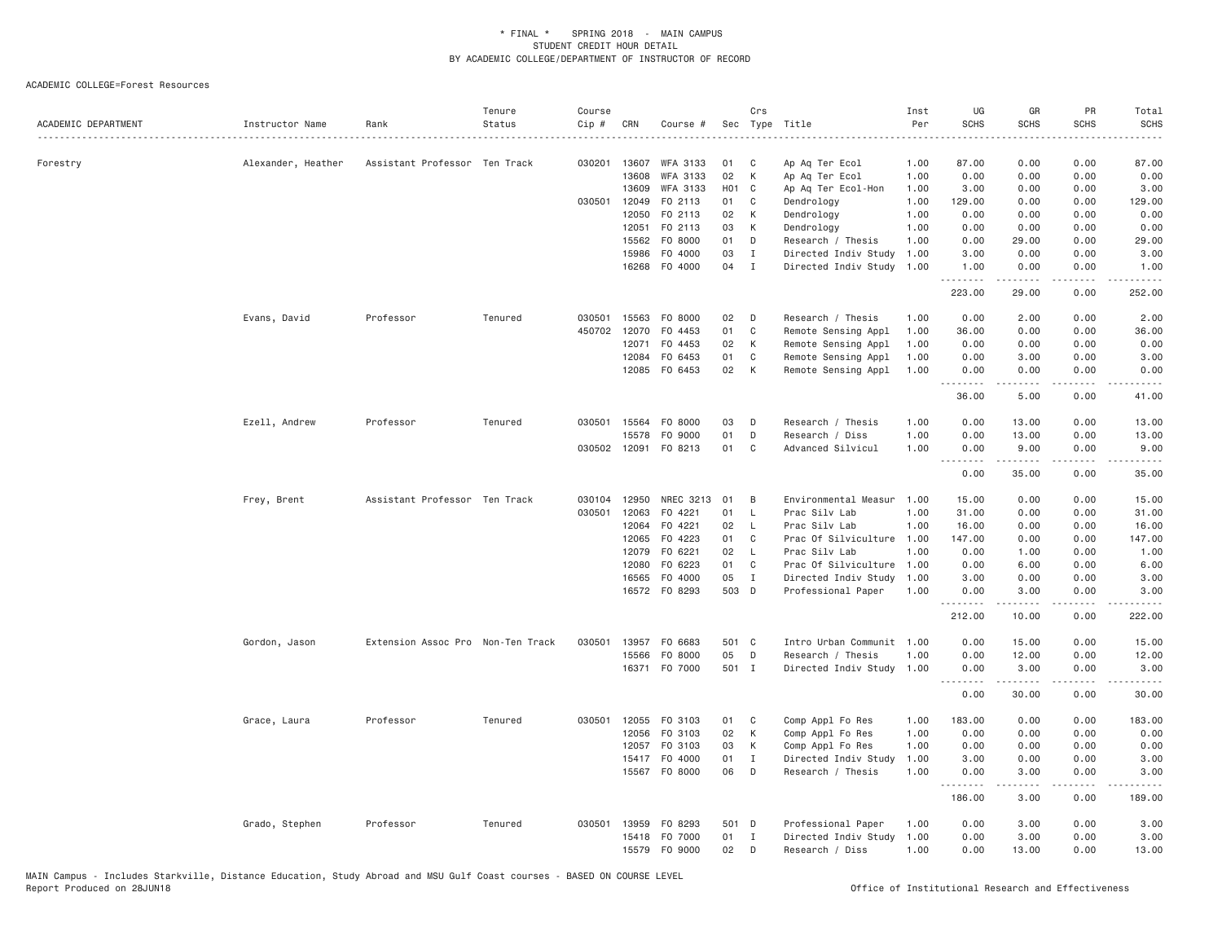| ACADEMIC DEPARTMENT | Instructor Name    | Rank                              | Tenure<br>Status | Course<br>Cip # | CRN          | Course #        |            | Crs          | Sec Type Title            | Inst<br>Per | UG<br><b>SCHS</b> | GR<br><b>SCHS</b>                                                                                                                                                                       | PR<br><b>SCHS</b> | Total<br><b>SCHS</b><br>$- - - -$                                                                                                 |
|---------------------|--------------------|-----------------------------------|------------------|-----------------|--------------|-----------------|------------|--------------|---------------------------|-------------|-------------------|-----------------------------------------------------------------------------------------------------------------------------------------------------------------------------------------|-------------------|-----------------------------------------------------------------------------------------------------------------------------------|
| Forestry            | Alexander, Heather | Assistant Professor Ten Track     |                  | 030201          | 13607        | <b>WFA 3133</b> | 01         | C            | Ap Aq Ter Ecol            | 1.00        | 87.00             | 0.00                                                                                                                                                                                    | 0.00              | 87.00                                                                                                                             |
|                     |                    |                                   |                  |                 | 13608        | WFA 3133        | 02         | К            | Ap Aq Ter Ecol            | 1.00        | 0.00              | 0.00                                                                                                                                                                                    | 0.00              | 0.00                                                                                                                              |
|                     |                    |                                   |                  |                 | 13609        | WFA 3133        | <b>HO1</b> | C            | Ap Aq Ter Ecol-Hon        | 1.00        | 3.00              | 0.00                                                                                                                                                                                    | 0.00              | 3.00                                                                                                                              |
|                     |                    |                                   |                  | 030501          | 12049        | F0 2113         | 01         | C            | Dendrology                | 1.00        | 129.00            | 0.00                                                                                                                                                                                    | 0.00              | 129.00                                                                                                                            |
|                     |                    |                                   |                  |                 | 12050        | F0 2113         | 02         | K            | Dendrology                | 1,00        | 0.00              | 0.00                                                                                                                                                                                    | 0.00              | 0.00                                                                                                                              |
|                     |                    |                                   |                  |                 | 12051        | F0 2113         | 03         | К            | Dendrology                | 1.00        | 0.00              | 0.00                                                                                                                                                                                    | 0.00              | 0.00                                                                                                                              |
|                     |                    |                                   |                  |                 | 15562        | F0 8000         | 01         | D            | Research / Thesis         | 1.00        | 0.00              | 29.00                                                                                                                                                                                   | 0.00              | 29.00                                                                                                                             |
|                     |                    |                                   |                  |                 | 15986        | F0 4000         | 03         | $\mathbf I$  | Directed Indiv Study      | 1.00        | 3.00              | 0.00                                                                                                                                                                                    | 0.00              | 3.00                                                                                                                              |
|                     |                    |                                   |                  |                 | 16268        | F0 4000         | 04         | $\mathbf{I}$ | Directed Indiv Study      | 1.00        | 1.00<br>.         | 0.00<br>-----                                                                                                                                                                           | 0.00<br>$   -$    | 1.00                                                                                                                              |
|                     |                    |                                   |                  |                 |              |                 |            |              |                           |             | 223.00            | 29.00                                                                                                                                                                                   | 0.00              | 252.00                                                                                                                            |
|                     | Evans, David       | Professor                         | Tenured          | 030501          | 15563        | F0 8000         | 02         | D            | Research / Thesis         | 1.00        | 0.00              | 2.00                                                                                                                                                                                    | 0.00              | 2.00                                                                                                                              |
|                     |                    |                                   |                  | 450702          | 12070        | F0 4453         | 01         | C            | Remote Sensing Appl       | 1.00        | 36.00             | 0.00                                                                                                                                                                                    | 0.00              | 36.00                                                                                                                             |
|                     |                    |                                   |                  |                 | 12071        | F0 4453         | 02         | К            | Remote Sensing Appl       | 1.00        | 0.00              | 0.00                                                                                                                                                                                    | 0.00              | 0.00                                                                                                                              |
|                     |                    |                                   |                  |                 | 12084        | F0 6453         | 01         | C            | Remote Sensing Appl       | 1.00        | 0.00              | 3.00                                                                                                                                                                                    | 0.00              | 3.00                                                                                                                              |
|                     |                    |                                   |                  |                 |              | 12085 FO 6453   | 02         | К            | Remote Sensing Appl       | 1.00        | 0.00<br><u>.</u>  | 0.00<br><u>.</u>                                                                                                                                                                        | 0.00<br>.         | 0.00<br>$  -$                                                                                                                     |
|                     |                    |                                   |                  |                 |              |                 |            |              |                           |             | 36.00             | 5.00                                                                                                                                                                                    | 0.00              | 41.00                                                                                                                             |
|                     | Ezell, Andrew      | Professor                         | Tenured          | 030501          | 15564        | F0 8000         | 03         | D            | Research / Thesis         | 1.00        | 0.00              | 13.00                                                                                                                                                                                   | 0.00              | 13.00                                                                                                                             |
|                     |                    |                                   |                  |                 | 15578        | F0 9000         | 01         | D            | Research / Diss           | 1.00        | 0.00              | 13.00                                                                                                                                                                                   | 0.00              | 13.00                                                                                                                             |
|                     |                    |                                   |                  |                 | 030502 12091 | F0 8213         | 01         | C            | Advanced Silvicul         | 1.00        | 0.00              | 9.00<br>$- - - - -$                                                                                                                                                                     | 0.00<br>$- - -$   | 9.00<br>$\frac{1}{2} \left( \frac{1}{2} \right) \left( \frac{1}{2} \right) \left( \frac{1}{2} \right) \left( \frac{1}{2} \right)$ |
|                     |                    |                                   |                  |                 |              |                 |            |              |                           |             | 0.00              | 35.00                                                                                                                                                                                   | 0.00              | 35.00                                                                                                                             |
|                     | Frey, Brent        | Assistant Professor Ten Track     |                  | 030104          | 12950        | NREC 3213       | 01         | B            | Environmental Measur      | 1,00        | 15.00             | 0.00                                                                                                                                                                                    | 0.00              | 15,00                                                                                                                             |
|                     |                    |                                   |                  | 030501          | 12063        | F0 4221         | 01         | $\mathsf{L}$ | Prac Silv Lab             | 1.00        | 31.00             | 0.00                                                                                                                                                                                    | 0.00              | 31.00                                                                                                                             |
|                     |                    |                                   |                  |                 | 12064        | F0 4221         | 02         | $\mathsf{L}$ | Prac Silv Lab             | 1.00        | 16.00             | 0.00                                                                                                                                                                                    | 0.00              | 16.00                                                                                                                             |
|                     |                    |                                   |                  |                 | 12065        | F0 4223         | 01         | C            | Prac Of Silviculture      | 1.00        | 147.00            | 0.00                                                                                                                                                                                    | 0.00              | 147.00                                                                                                                            |
|                     |                    |                                   |                  |                 | 12079        | F0 6221         | 02         | $\mathsf{L}$ | Prac Silv Lab             | 1.00        | 0.00              | 1.00                                                                                                                                                                                    | 0.00              | 1.00                                                                                                                              |
|                     |                    |                                   |                  |                 | 12080        | F0 6223         | 01         | C            | Prac Of Silviculture      | 1.00        | 0.00              | 6.00                                                                                                                                                                                    | 0.00              | 6.00                                                                                                                              |
|                     |                    |                                   |                  |                 | 16565        | F0 4000         | 05         | $\mathbf{I}$ | Directed Indiv Study      | 1.00        | 3.00              | 0.00                                                                                                                                                                                    | 0.00              | 3.00                                                                                                                              |
|                     |                    |                                   |                  |                 |              | 16572 FO 8293   | 503 D      |              | Professional Paper        | 1.00        | 0.00              | 3.00                                                                                                                                                                                    | 0.00              | 3.00                                                                                                                              |
|                     |                    |                                   |                  |                 |              |                 |            |              |                           |             | 212.00            | 10.00                                                                                                                                                                                   | 0.00              | 222.00                                                                                                                            |
|                     | Gordon, Jason      | Extension Assoc Pro Non-Ten Track |                  | 030501          |              | 13957 F0 6683   | 501 C      |              | Intro Urban Communit 1.00 |             | 0.00              | 15.00                                                                                                                                                                                   | 0.00              | 15.00                                                                                                                             |
|                     |                    |                                   |                  |                 | 15566        | F0 8000         | 05         | D            | Research / Thesis         | 1.00        | 0.00              | 12.00                                                                                                                                                                                   | 0.00              | 12.00                                                                                                                             |
|                     |                    |                                   |                  |                 |              | 16371 F0 7000   | 501 I      |              | Directed Indiv Study      | 1.00        | 0.00              | 3.00<br>$\frac{1}{2} \left( \frac{1}{2} \right) \left( \frac{1}{2} \right) \left( \frac{1}{2} \right) \left( \frac{1}{2} \right) \left( \frac{1}{2} \right) \left( \frac{1}{2} \right)$ | 0.00<br>.         | 3.00<br>.                                                                                                                         |
|                     |                    |                                   |                  |                 |              |                 |            |              |                           |             | 0.00              | 30.00                                                                                                                                                                                   | 0.00              | 30.00                                                                                                                             |
|                     | Grace, Laura       | Professor                         | Tenured          |                 | 030501 12055 | FO 3103         | 01         | C            | Comp Appl Fo Res          | 1.00        | 183.00            | 0.00                                                                                                                                                                                    | 0.00              | 183.00                                                                                                                            |
|                     |                    |                                   |                  |                 | 12056        | FO 3103         | 02         | К            | Comp Appl Fo Res          | 1.00        | 0.00              | 0.00                                                                                                                                                                                    | 0.00              | 0.00                                                                                                                              |
|                     |                    |                                   |                  |                 | 12057        | F0 3103         | 03         | К            | Comp Appl Fo Res          | 1.00        | 0.00              | 0.00                                                                                                                                                                                    | 0.00              | 0.00                                                                                                                              |
|                     |                    |                                   |                  |                 |              | 15417 F0 4000   | 01         | $\mathbf{I}$ | Directed Indiv Study      | 1.00        | 3.00              | 0.00                                                                                                                                                                                    | 0.00              | 3.00                                                                                                                              |
|                     |                    |                                   |                  |                 |              | 15567 F0 8000   | 06         | D            | Research / Thesis         | 1.00        | 0.00<br>.         | 3.00                                                                                                                                                                                    | 0.00              | 3.00                                                                                                                              |
|                     |                    |                                   |                  |                 |              |                 |            |              |                           |             | 186.00            | 3.00                                                                                                                                                                                    | 0.00              | 189.00                                                                                                                            |
|                     | Grado, Stephen     | Professor                         | Tenured          |                 | 030501 13959 | F0 8293         | 501 D      |              | Professional Paper        | 1.00        | 0.00              | 3.00                                                                                                                                                                                    | 0.00              | 3.00                                                                                                                              |
|                     |                    |                                   |                  |                 | 15418        | F0 7000         | 01         | $\mathbf{I}$ | Directed Indiv Study      | 1.00        | 0.00              | 3.00                                                                                                                                                                                    | 0.00              | 3.00                                                                                                                              |
|                     |                    |                                   |                  |                 | 15579        | F0 9000         | 02         | D            | Research / Diss           | 1.00        | 0.00              | 13.00                                                                                                                                                                                   | 0.00              | 13.00                                                                                                                             |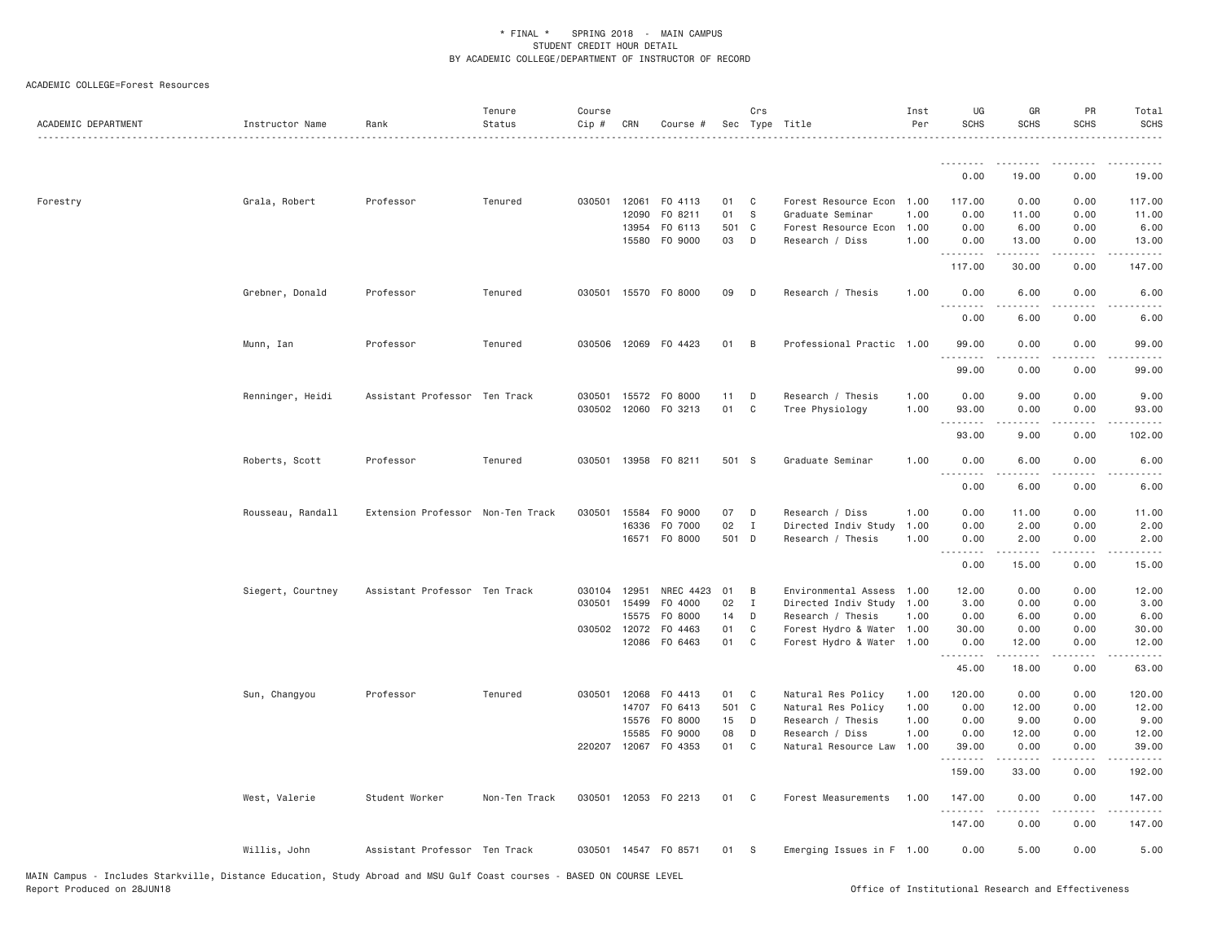| ACADEMIC DEPARTMENT | Instructor Name   | Rank                              | Tenure<br>Status | Course<br>Cip # | CRN          | Course #             |          | Crs            | Sec Type Title            | Inst<br>Per | UG<br><b>SCHS</b>                         | GR<br><b>SCHS</b>     | PR<br><b>SCHS</b> | Total<br><b>SCHS</b>                                                                                                                                          |
|---------------------|-------------------|-----------------------------------|------------------|-----------------|--------------|----------------------|----------|----------------|---------------------------|-------------|-------------------------------------------|-----------------------|-------------------|---------------------------------------------------------------------------------------------------------------------------------------------------------------|
|                     |                   |                                   |                  |                 |              |                      |          |                |                           |             | --------                                  |                       |                   |                                                                                                                                                               |
|                     |                   |                                   |                  |                 |              |                      |          |                |                           |             | 0.00                                      | 19.00                 | 0.00              | 19.00                                                                                                                                                         |
| Forestry            | Grala, Robert     | Professor                         | Tenured          | 030501 12061    |              | F0 4113              | 01       | $\mathbf{C}$   | Forest Resource Econ 1.00 |             | 117.00                                    | 0.00                  | 0.00              | 117.00                                                                                                                                                        |
|                     |                   |                                   |                  |                 | 12090        | F0 8211              | 01       | S.             | Graduate Seminar          | 1.00        | 0.00                                      | 11.00                 | 0.00              | 11.00                                                                                                                                                         |
|                     |                   |                                   |                  |                 | 13954        | F0 6113              | 501 C    |                | Forest Resource Econ 1.00 |             | 0.00                                      | 6.00                  | 0.00              | 6.00                                                                                                                                                          |
|                     |                   |                                   |                  |                 | 15580        | F0 9000              | 03       | D              | Research / Diss           | 1.00        | 0.00<br>.                                 | 13.00<br>-----        | 0.00<br>$- - - -$ | 13.00<br>.                                                                                                                                                    |
|                     |                   |                                   |                  |                 |              |                      |          |                |                           |             | 117.00                                    | 30.00                 | 0.00              | 147.00                                                                                                                                                        |
|                     | Grebner, Donald   | Professor                         | Tenured          | 030501          | 15570        | F0 8000              | 09       | $\mathsf{D}$   | Research / Thesis         | 1.00        | 0.00                                      | 6.00                  | 0.00              | 6.00                                                                                                                                                          |
|                     |                   |                                   |                  |                 |              |                      |          |                |                           |             | 0.00                                      | 6.00                  | 0.00              | 6.00                                                                                                                                                          |
|                     | Munn, Ian         | Professor                         | Tenured          |                 |              | 030506 12069 F0 4423 | 01       | $\overline{B}$ | Professional Practic 1.00 |             | 99.00<br>.                                | 0.00                  | 0.00              | 99.00                                                                                                                                                         |
|                     |                   |                                   |                  |                 |              |                      |          |                |                           |             | 99.00                                     | 0.00                  | 0.00              | 99.00                                                                                                                                                         |
|                     | Renninger, Heidi  | Assistant Professor Ten Track     |                  |                 | 030501 15572 | F0 8000              | 11       | D              | Research / Thesis         | 1.00        | 0.00                                      | 9.00                  | 0.00              | 9.00                                                                                                                                                          |
|                     |                   |                                   |                  |                 |              | 030502 12060 F0 3213 | 01       | $\mathbf{C}$   | Tree Physiology           | 1.00        | 93.00                                     | 0.00                  | 0.00              | 93.00                                                                                                                                                         |
|                     |                   |                                   |                  |                 |              |                      |          |                |                           |             | .<br>93.00                                | $\frac{1}{2}$<br>9.00 | 0.00              | .<br>102.00                                                                                                                                                   |
|                     | Roberts, Scott    | Professor                         | Tenured          |                 |              | 030501 13958 FO 8211 | 501 S    |                | Graduate Seminar          | 1.00        | 0.00                                      | 6.00                  | 0.00              | 6.00                                                                                                                                                          |
|                     |                   |                                   |                  |                 |              |                      |          |                |                           |             | 0.00                                      | 6.00                  | 0.00              | 6.00                                                                                                                                                          |
|                     | Rousseau, Randall | Extension Professor Non-Ten Track |                  | 030501          | 15584        | F0 9000              | 07       | $\Box$         | Research / Diss           | 1.00        | 0.00                                      | 11.00                 | 0.00              | 11.00                                                                                                                                                         |
|                     |                   |                                   |                  |                 | 16336        | F0 7000              | 02       | $\mathbf{I}$   | Directed Indiv Study      | 1.00        | 0.00                                      | 2.00                  | 0.00              | 2.00                                                                                                                                                          |
|                     |                   |                                   |                  |                 |              | 16571 F0 8000        | 501 D    |                | Research / Thesis         | 1.00        | 0.00<br>وبالمحامة<br>$\sim$ $\sim$ $\sim$ | 2.00                  | 0.00              | 2.00                                                                                                                                                          |
|                     |                   |                                   |                  |                 |              |                      |          |                |                           |             | 0.00                                      | 15.00                 | 0.00              | 15.00                                                                                                                                                         |
|                     | Siegert, Courtney | Assistant Professor Ten Track     |                  | 030104          | 12951        | NREC 4423            | 01       | B              | Environmental Assess      | 1.00        | 12.00                                     | 0.00                  | 0.00              | 12.00                                                                                                                                                         |
|                     |                   |                                   |                  | 030501          | 15499        | F0 4000              | 02       | $\mathbf{I}$   | Directed Indiv Study 1.00 |             | 3.00                                      | 0.00                  | 0.00              | 3.00                                                                                                                                                          |
|                     |                   |                                   |                  |                 | 15575        | F0 8000              | 14       | D              | Research / Thesis         | 1.00        | 0.00                                      | 6.00                  | 0.00              | 6.00                                                                                                                                                          |
|                     |                   |                                   |                  | 030502 12072    |              | F0 4463              | 01       | $\mathbf{C}$   | Forest Hydro & Water 1.00 |             | 30.00                                     | 0.00                  | 0.00              | 30.00                                                                                                                                                         |
|                     |                   |                                   |                  |                 | 12086        | F0 6463              | 01       | $\mathbf{C}$   | Forest Hydro & Water 1.00 |             | 0.00<br>.                                 | 12.00<br>-----        | 0.00              | 12.00                                                                                                                                                         |
|                     |                   |                                   |                  |                 |              |                      |          |                |                           |             | 45.00                                     | 18.00                 | 0.00              | 63.00                                                                                                                                                         |
|                     | Sun, Changyou     | Professor                         | Tenured          | 030501          | 12068        | F0 4413              | 01       | $\mathbf{C}$   | Natural Res Policy        | 1.00        | 120.00                                    | 0.00                  | 0.00              | 120.00                                                                                                                                                        |
|                     |                   |                                   |                  |                 | 14707        | F0 6413              | 501 C    |                | Natural Res Policy        | 1.00        | 0.00                                      | 12.00                 | 0.00              | 12.00                                                                                                                                                         |
|                     |                   |                                   |                  |                 | 15576        | F0 8000              | 15       | $\Box$         | Research / Thesis         | 1.00        | 0.00                                      | 9.00                  | 0.00              | 9.00                                                                                                                                                          |
|                     |                   |                                   |                  |                 | 15585        | F0 9000              | 08<br>01 | D<br>C.        | Research / Diss           | 1.00        | 0.00                                      | 12.00                 | 0.00              | 12.00                                                                                                                                                         |
|                     |                   |                                   |                  |                 |              | 220207 12067 FO 4353 |          |                | Natural Resource Law 1.00 |             | 39.00<br>.                                | 0.00                  | 0.00              | 39.00<br>$\frac{1}{2} \left( \frac{1}{2} \right) \left( \frac{1}{2} \right) \left( \frac{1}{2} \right) \left( \frac{1}{2} \right) \left( \frac{1}{2} \right)$ |
|                     |                   |                                   |                  |                 |              |                      |          |                |                           |             | 159.00                                    | 33.00                 | 0.00              | 192.00                                                                                                                                                        |
|                     | West, Valerie     | Student Worker                    | Non-Ten Track    |                 |              | 030501 12053 FO 2213 | 01 C     |                | Forest Measurements       | 1.00        | 147.00<br>.                               | 0.00                  | 0.00              | 147.00                                                                                                                                                        |
|                     |                   |                                   |                  |                 |              |                      |          |                |                           |             | 147.00                                    | 0.00                  | 0.00              | 147.00                                                                                                                                                        |
|                     | Willis, John      | Assistant Professor Ten Track     |                  |                 |              | 030501 14547 FO 8571 | 01       | $^{\circ}$ S   | Emerging Issues in F 1.00 |             | 0.00                                      | 5.00                  | 0.00              | 5.00                                                                                                                                                          |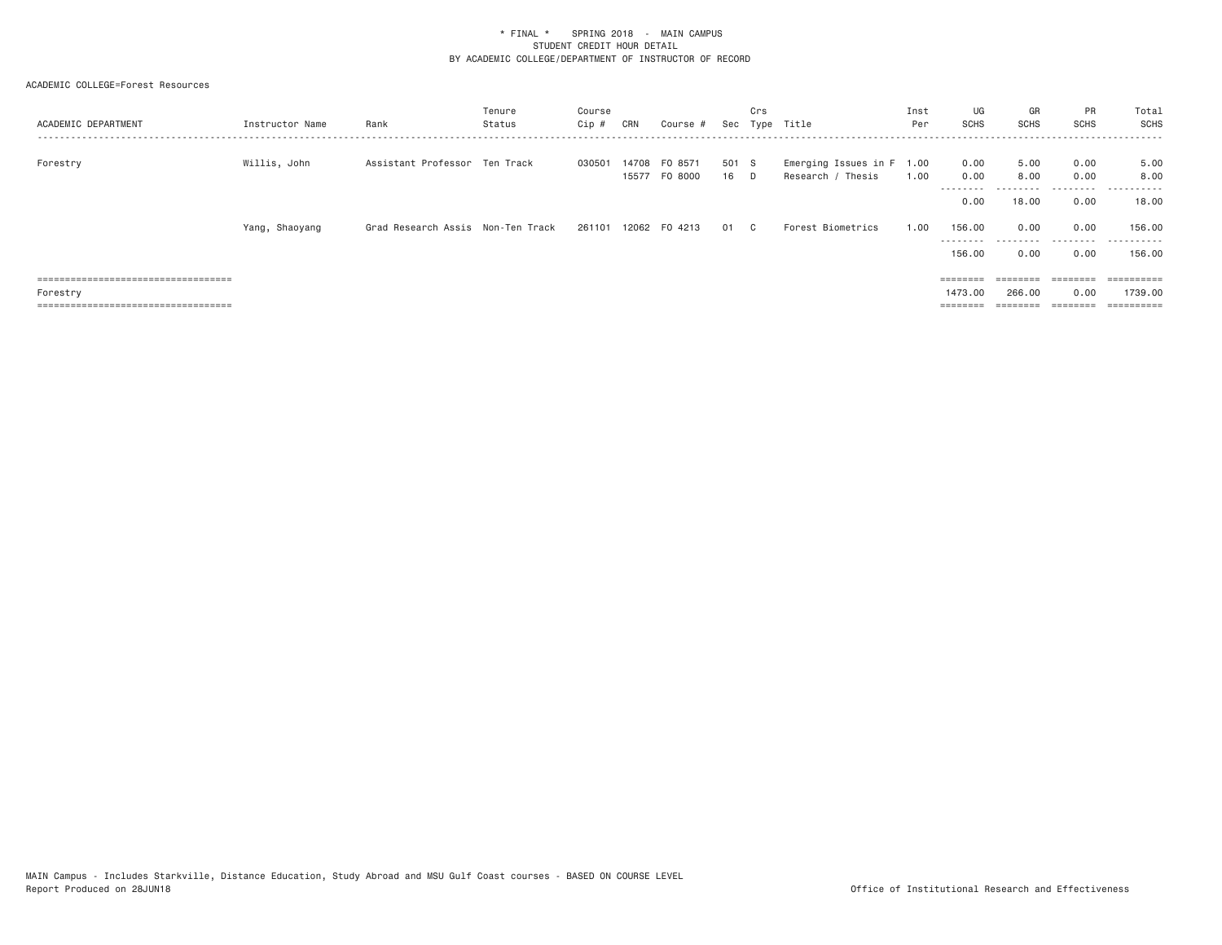| ACADEMIC DEPARTMENT                                                         | Instructor Name | Rank                                | Tenure<br>Status | Course<br>Cip # | CRN            | Course #             | Sec           | Crs            | Type Title                                     | Inst<br>Per | UG<br><b>SCHS</b>         | GR<br><b>SCHS</b> | <b>PR</b><br><b>SCHS</b> | Total<br>SCHS<br>. |
|-----------------------------------------------------------------------------|-----------------|-------------------------------------|------------------|-----------------|----------------|----------------------|---------------|----------------|------------------------------------------------|-------------|---------------------------|-------------------|--------------------------|--------------------|
| Forestry                                                                    | Willis, John    | Assistant Professor Ten Track       |                  | 030501          | 14708<br>15577 | FO 8571<br>FO 8000   | 501 S<br>16 D |                | Emerging Issues in F 1.00<br>Research / Thesis | 1.00        | 0.00<br>0.00<br>--------- | 5,00<br>8,00<br>. | 0.00<br>0.00<br>.        | 5.00<br>8.00<br>.  |
|                                                                             |                 |                                     |                  |                 |                |                      |               |                |                                                |             | 0.00                      | 18,00             | 0.00                     | 18.00              |
|                                                                             | Yang, Shaoyang  | Grad Research Assis – Non-Ten Track |                  |                 |                | 261101 12062 F0 4213 | 01            | C <sub>c</sub> | Forest Biometrics                              | 1,00        | 156.00<br>---------       | 0.00<br>.         | 0.00<br>.                | 156.00<br>.        |
|                                                                             |                 |                                     |                  |                 |                |                      |               |                |                                                |             | 156.00                    | 0.00              | 0.00                     | 156.00             |
| ======================================                                      |                 |                                     |                  |                 |                |                      |               |                |                                                |             | $=$ = = = = = = =         | ========          |                          | ==========         |
| Forestry                                                                    |                 |                                     |                  |                 |                |                      |               |                |                                                |             | 1473.00                   | 266,00            | 0.00                     | 1739,00            |
| ------------------------------------<br>----------------------------------- |                 |                                     |                  |                 |                |                      |               |                |                                                |             | $=$ = = = = = = =         | ---------         |                          |                    |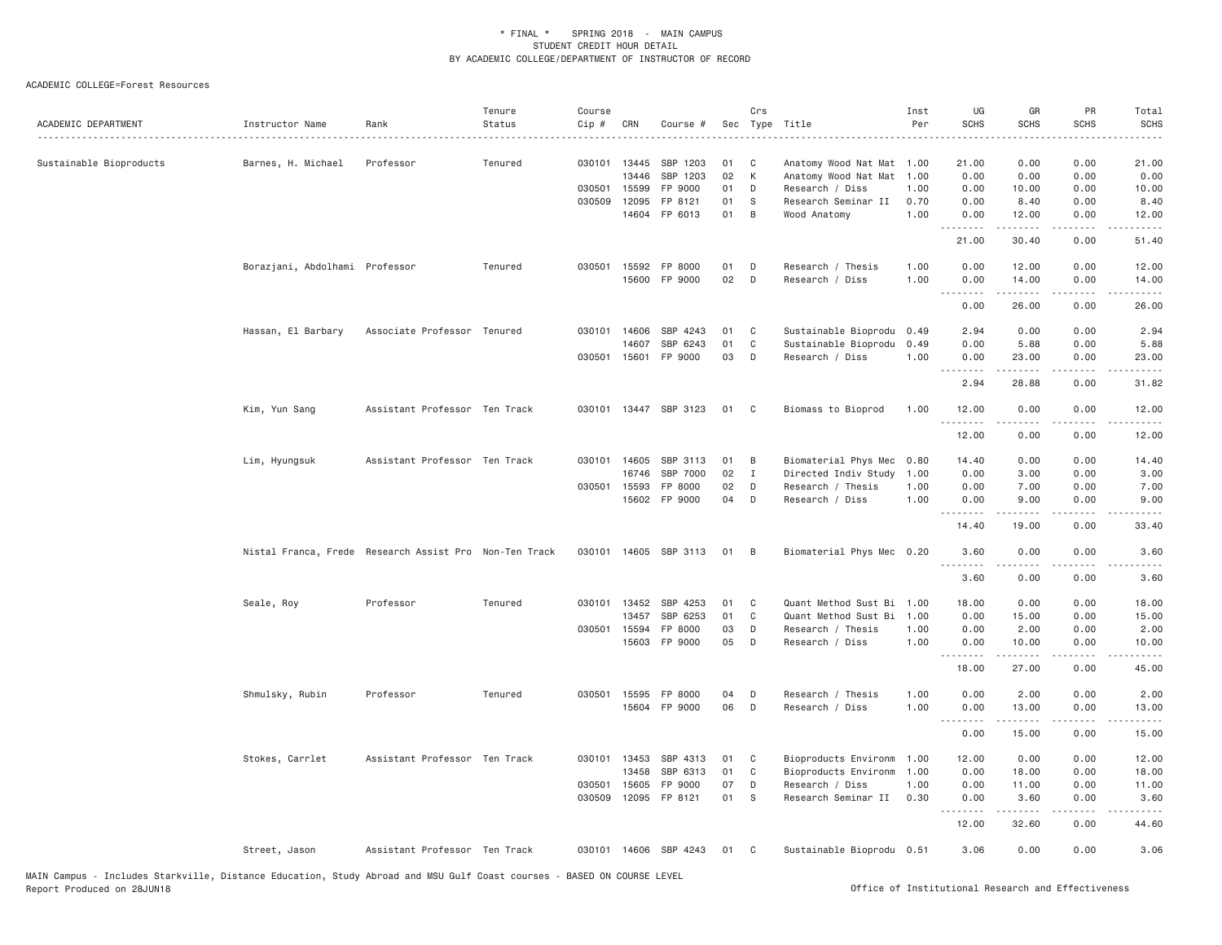| ACADEMIC DEPARTMENT     | Instructor Name                                        | Rank                          | Tenure<br>Status | Course<br>Cip # | CRN   | Course #              |    | Crs          | Sec Type Title<br>.       | Inst<br>Per | UG<br><b>SCHS</b>  | GR<br><b>SCHS</b>    | PR<br><b>SCHS</b>                   | Total<br><b>SCHS</b><br>$\frac{1}{2}$                                                                                             |
|-------------------------|--------------------------------------------------------|-------------------------------|------------------|-----------------|-------|-----------------------|----|--------------|---------------------------|-------------|--------------------|----------------------|-------------------------------------|-----------------------------------------------------------------------------------------------------------------------------------|
| Sustainable Bioproducts | Barnes, H. Michael                                     | Professor                     | Tenured          | 030101 13445    |       | SBP 1203              | 01 | - C          | Anatomy Wood Nat Mat 1.00 |             | 21.00              | 0.00                 | 0.00                                | 21.00                                                                                                                             |
|                         |                                                        |                               |                  |                 | 13446 | SBP 1203              | 02 | К            | Anatomy Wood Nat Mat      | 1.00        | 0.00               | 0.00                 | 0.00                                | 0.00                                                                                                                              |
|                         |                                                        |                               |                  | 030501          | 15599 | FP 9000               | 01 | D            | Research / Diss           | 1.00        | 0.00               | 10.00                | 0.00                                | 10.00                                                                                                                             |
|                         |                                                        |                               |                  | 030509          | 12095 | FP 8121               | 01 | S            | Research Seminar II       | 0.70        | 0.00               | 8.40                 | 0.00                                | 8.40                                                                                                                              |
|                         |                                                        |                               |                  |                 |       | 14604 FP 6013         | 01 | B            | Wood Anatomy              | 1.00        | 0.00<br>.          | 12.00<br>.           | 0.00<br>.                           | 12.00<br>.                                                                                                                        |
|                         |                                                        |                               |                  |                 |       |                       |    |              |                           |             | 21.00              | 30.40                | 0.00                                | 51.40                                                                                                                             |
|                         | Borazjani, Abdolhami Professor                         |                               | Tenured          | 030501          |       | 15592 FP 8000         | 01 | D            | Research / Thesis         | 1.00        | 0.00               | 12.00                | 0.00                                | 12.00                                                                                                                             |
|                         |                                                        |                               |                  |                 |       | 15600 FP 9000         | 02 | D            | Research / Diss           | 1.00        | 0.00<br>.          | 14.00<br>.           | 0.00<br>.                           | 14.00<br>.                                                                                                                        |
|                         |                                                        |                               |                  |                 |       |                       |    |              |                           |             | 0.00               | 26.00                | 0.00                                | 26.00                                                                                                                             |
|                         | Hassan, El Barbary                                     | Associate Professor Tenured   |                  | 030101          | 14606 | SBP 4243              | 01 | C            | Sustainable Bioprodu      | 0.49        | 2.94               | 0.00                 | 0.00                                | 2.94                                                                                                                              |
|                         |                                                        |                               |                  |                 | 14607 | SBP 6243              | 01 | C            | Sustainable Bioprodu      | 0.49        | 0.00               | 5.88                 | 0.00                                | 5.88                                                                                                                              |
|                         |                                                        |                               |                  | 030501          | 15601 | FP 9000               | 03 | D            | Research / Diss           | 1.00        | 0.00               | 23.00                | 0.00                                | 23.00                                                                                                                             |
|                         |                                                        |                               |                  |                 |       |                       |    |              |                           |             | . <b>.</b><br>2.94 | المستمين<br>28.88    | .<br>0.00                           | .<br>31.82                                                                                                                        |
|                         | Kim, Yun Sang                                          | Assistant Professor Ten Track |                  |                 |       | 030101 13447 SBP 3123 | 01 | C            | Biomass to Bioprod        | 1.00        | 12.00<br>.         | 0.00<br>.            | 0.00<br>.                           | 12.00<br>.                                                                                                                        |
|                         |                                                        |                               |                  |                 |       |                       |    |              |                           |             | 12.00              | 0.00                 | 0.00                                | 12.00                                                                                                                             |
|                         | Lim, Hyungsuk                                          | Assistant Professor Ten Track |                  | 030101 14605    |       | SBP 3113              | 01 | B            | Biomaterial Phys Mec      | 0.80        | 14.40              | 0.00                 | 0.00                                | 14.40                                                                                                                             |
|                         |                                                        |                               |                  |                 | 16746 | SBP 7000              | 02 | $\mathbf{I}$ | Directed Indiv Study      | 1.00        | 0.00               | 3.00                 | 0.00                                | 3.00                                                                                                                              |
|                         |                                                        |                               |                  | 030501          | 15593 | FP 8000               | 02 | D            | Research / Thesis         | 1.00        | 0.00               | 7.00                 | 0.00                                | 7.00                                                                                                                              |
|                         |                                                        |                               |                  |                 |       | 15602 FP 9000         | 04 | D            | Research / Diss           | 1.00        | 0.00<br>.          | 9.00                 | 0.00<br>$\cdots$                    | 9.00                                                                                                                              |
|                         |                                                        |                               |                  |                 |       |                       |    |              |                           |             | 14.40              | 19.00                | 0.00                                | 33.40                                                                                                                             |
|                         | Nistal Franca, Frede Research Assist Pro Non-Ten Track |                               |                  |                 |       | 030101 14605 SBP 3113 | 01 | B            | Biomaterial Phys Mec 0.20 |             | 3.60<br><u>.</u>   | 0.00<br>.            | 0.00                                | 3.60<br>$\frac{1}{2} \left( \frac{1}{2} \right) \left( \frac{1}{2} \right) \left( \frac{1}{2} \right) \left( \frac{1}{2} \right)$ |
|                         |                                                        |                               |                  |                 |       |                       |    |              |                           |             | 3.60               | 0.00                 | 0.00                                | 3.60                                                                                                                              |
|                         | Seale, Roy                                             | Professor                     | Tenured          | 030101 13452    |       | SBP 4253              | 01 | C            | Quant Method Sust Bi 1.00 |             | 18.00              | 0.00                 | 0.00                                | 18.00                                                                                                                             |
|                         |                                                        |                               |                  |                 | 13457 | SBP 6253              | 01 | C            | Quant Method Sust Bi      | 1.00        | 0.00               | 15.00                | 0.00                                | 15.00                                                                                                                             |
|                         |                                                        |                               |                  | 030501          | 15594 | FP 8000               | 03 | D            | Research / Thesis         | 1.00        | 0.00               | 2.00                 | 0.00                                | 2.00                                                                                                                              |
|                         |                                                        |                               |                  |                 |       | 15603 FP 9000         | 05 | D            | Research / Diss           | 1.00        | 0.00               | 10.00                | 0.00                                | 10.00                                                                                                                             |
|                         |                                                        |                               |                  |                 |       |                       |    |              |                           |             | .<br>18.00         | $- - - - -$<br>27.00 | .<br>0.00                           | .<br>45.00                                                                                                                        |
|                         | Shmulsky, Rubin                                        | Professor                     | Tenured          | 030501          | 15595 | FP 8000               | 04 | D            | Research / Thesis         | 1.00        | 0.00               | 2.00                 | 0.00                                | 2.00                                                                                                                              |
|                         |                                                        |                               |                  |                 |       | 15604 FP 9000         | 06 | D            | Research / Diss           | 1.00        | 0.00               | 13.00                | 0.00                                | 13.00                                                                                                                             |
|                         |                                                        |                               |                  |                 |       |                       |    |              |                           |             | .<br>0.00          | .<br>15.00           | $\sim$ $\sim$ $\sim$ $\sim$<br>0.00 | $\sim$ $\sim$ $\sim$ $\sim$<br>15.00                                                                                              |
|                         | Stokes, Carrlet                                        | Assistant Professor Ten Track |                  | 030101 13453    |       | SBP 4313              | 01 | C            | Bioproducts Environm      | 1.00        | 12.00              | 0.00                 | 0.00                                | 12.00                                                                                                                             |
|                         |                                                        |                               |                  |                 | 13458 | SBP 6313              | 01 | C            | Bioproducts Environm      | 1.00        | 0.00               | 18.00                | 0.00                                | 18.00                                                                                                                             |
|                         |                                                        |                               |                  | 030501          | 15605 | FP 9000               | 07 | D            | Research / Diss           | 1.00        | 0.00               | 11.00                | 0.00                                | 11.00                                                                                                                             |
|                         |                                                        |                               |                  | 030509          |       | 12095 FP 8121         | 01 | -S           | Research Seminar II       | 0.30        | 0.00               | 3.60                 | 0.00                                | 3.60                                                                                                                              |
|                         |                                                        |                               |                  |                 |       |                       |    |              |                           |             | .<br>12.00         | .<br>32.60           | .<br>0.00                           | .<br>44.60                                                                                                                        |
|                         | Street, Jason                                          | Assistant Professor Ten Track |                  |                 |       | 030101 14606 SBP 4243 | 01 | C            | Sustainable Bioprodu 0.51 |             | 3.06               | 0.00                 | 0.00                                | 3.06                                                                                                                              |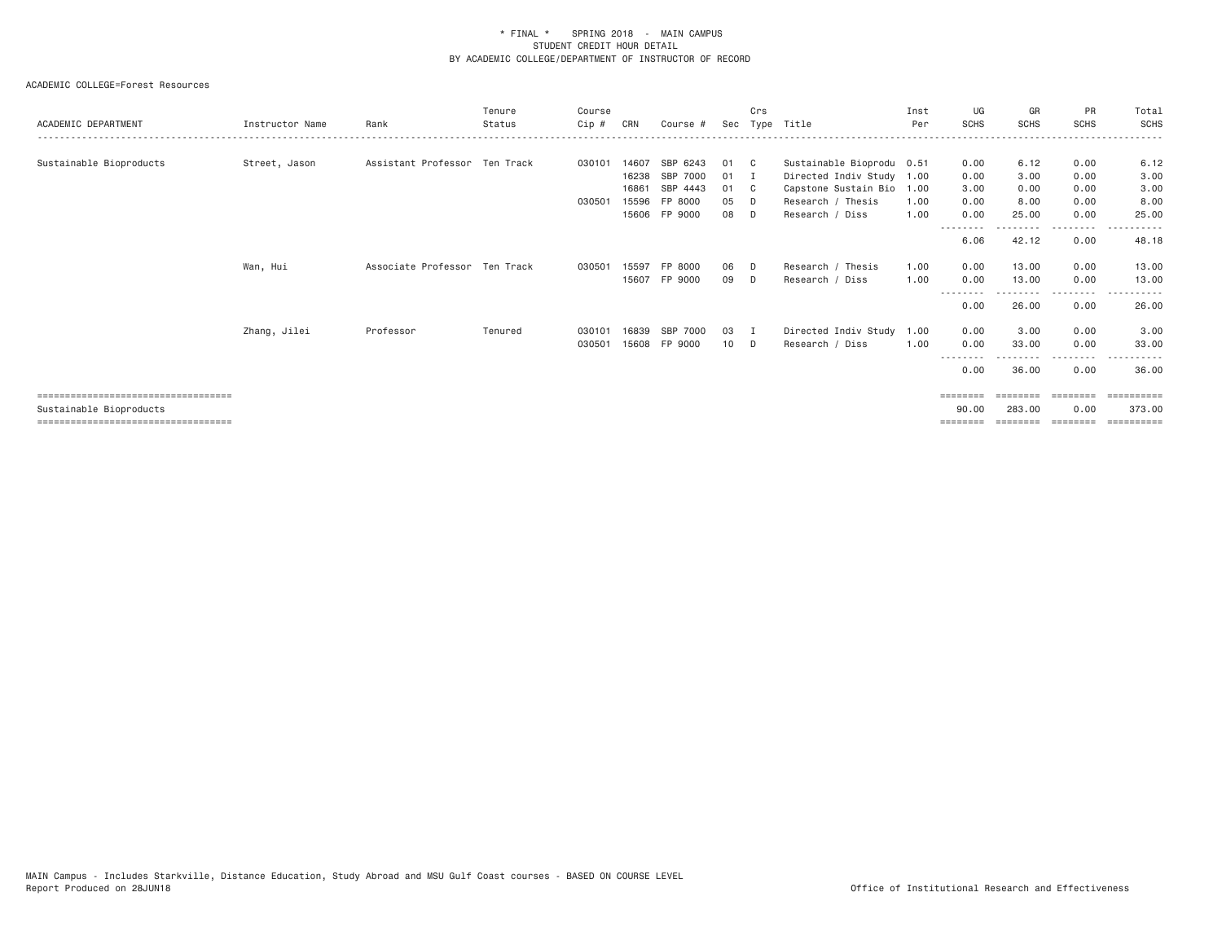| ACADEMIC DEPARTMENT                                                                                       | Instructor Name | Rank                          | Tenure<br>Status | Course<br>Cip#   | CRN                              | Course #                                                     | Sec                        | Crs                                | Type Title                                                                                                                  | Inst<br>Per  | UG<br><b>SCHS</b>                    | GR<br><b>SCHS</b>                     | PR<br><b>SCHS</b>                    | Total<br>SCHS                         |
|-----------------------------------------------------------------------------------------------------------|-----------------|-------------------------------|------------------|------------------|----------------------------------|--------------------------------------------------------------|----------------------------|------------------------------------|-----------------------------------------------------------------------------------------------------------------------------|--------------|--------------------------------------|---------------------------------------|--------------------------------------|---------------------------------------|
| Sustainable Bioproducts                                                                                   | Street, Jason   | Assistant Professor Ten Track |                  | 030101<br>030501 | 14607<br>16238<br>16861<br>15596 | SBP 6243<br>SBP 7000<br>SBP 4443<br>FP 8000<br>15606 FP 9000 | 01<br>01<br>01<br>05<br>08 | C.<br>I<br>$\mathbf{C}$<br>D.<br>D | Sustainable Bioprodu 0.51<br>Directed Indiv Study 1.00<br>Capstone Sustain Bio 1.00<br>Research / Thesis<br>Research / Diss | 1.00<br>1.00 | 0.00<br>0.00<br>3.00<br>0.00<br>0.00 | 6.12<br>3.00<br>0.00<br>8.00<br>25.00 | 0.00<br>0.00<br>0.00<br>0.00<br>0.00 | 6.12<br>3.00<br>3.00<br>8.00<br>25.00 |
|                                                                                                           |                 |                               |                  |                  |                                  |                                                              |                            |                                    |                                                                                                                             |              | --------<br>6.06                     | 42.12                                 | --------<br>0.00                     | ------<br>$- - -$<br>48.18            |
|                                                                                                           | Wan, Hui        | Associate Professor Ten Track |                  | 030501           | 15597<br>15607                   | FP 8000<br>FP 9000                                           | 06<br>09                   | D.<br>D                            | Research / Thesis<br>Research / Diss                                                                                        | 1.00<br>1.00 | 0.00<br>0.00<br>--------             | 13,00<br>13.00<br><u>.</u>            | 0.00<br>0.00<br>.                    | 13.00<br>13.00<br>.<br>$- - -$        |
|                                                                                                           | Zhang, Jilei    | Professor                     | Tenured          | 030101           | 16839                            | SBP 7000                                                     | 03                         | I                                  | Directed Indiv Study                                                                                                        | 1.00         | 0.00<br>0.00                         | 26.00<br>3.00                         | 0.00<br>0.00                         | 26.00<br>3.00                         |
|                                                                                                           |                 |                               |                  | 030501           | 15608                            | FP 9000                                                      | 10 <sup>1</sup>            | D.                                 | Research / Diss                                                                                                             | 1.00         | 0.00<br>--------<br>0.00             | 33.00<br>36,00                        | 0.00<br>$\cdots$<br>0.00             | 33.00<br>.<br>36.00                   |
| =====================================<br>Sustainable Bioproducts<br>===================================== |                 |                               |                  |                  |                                  |                                                              |                            |                                    |                                                                                                                             |              | =====<br>90.00                       | 283,00                                | 0.00                                 | --------<br>373.00<br>=======         |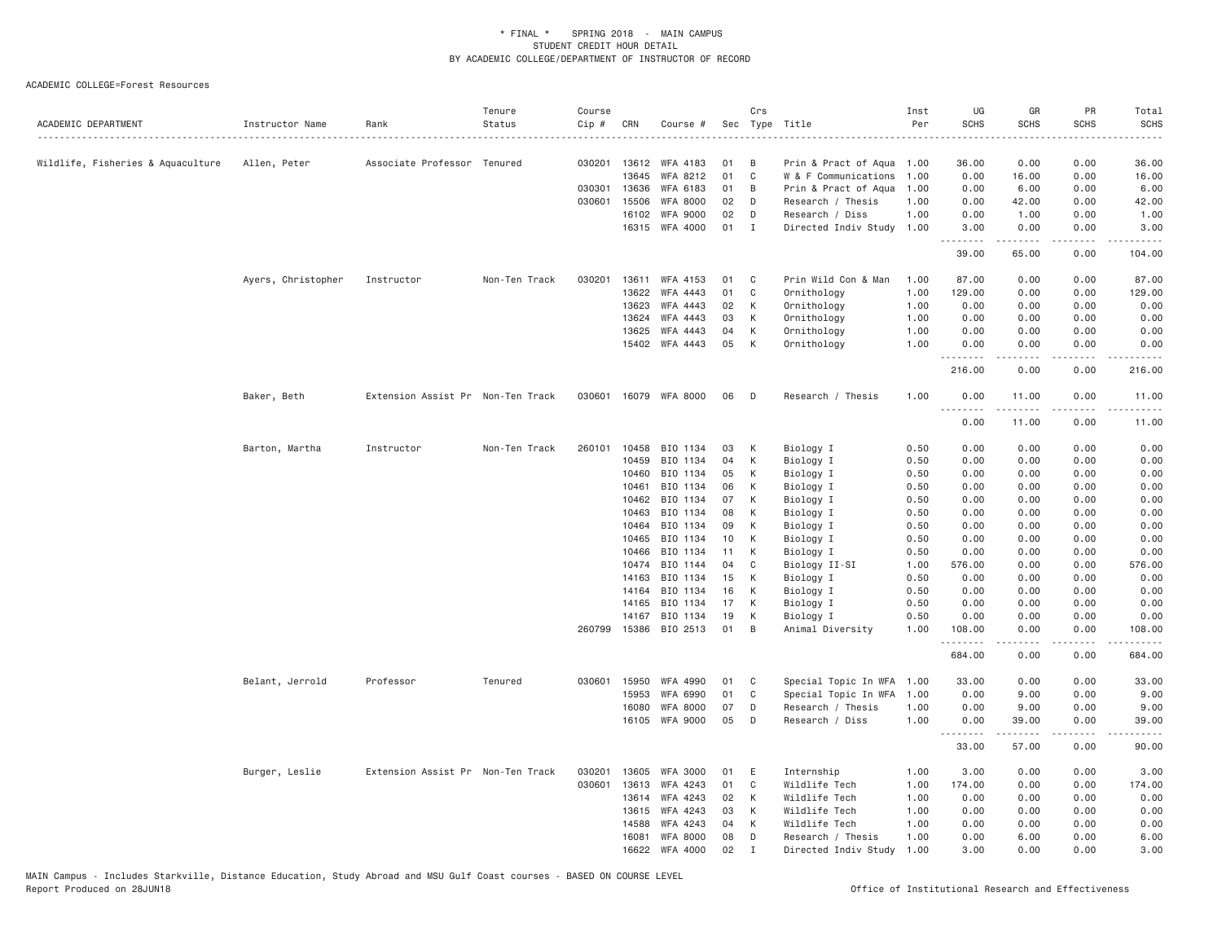| ACADEMIC DEPARTMENT               | Instructor Name    | Rank                              | Tenure<br>Status | Course<br>Cip # | CRN            | Course #                   |          | Crs          | Sec Type Title             | Inst<br>Per  | UG<br><b>SCHS</b> | GR<br><b>SCHS</b>                                                                                                                                            | PR<br><b>SCHS</b>     | Total<br><b>SCHS</b><br>$\cdots$                                                                                                                                                        |
|-----------------------------------|--------------------|-----------------------------------|------------------|-----------------|----------------|----------------------------|----------|--------------|----------------------------|--------------|-------------------|--------------------------------------------------------------------------------------------------------------------------------------------------------------|-----------------------|-----------------------------------------------------------------------------------------------------------------------------------------------------------------------------------------|
| Wildlife, Fisheries & Aquaculture | Allen, Peter       | Associate Professor Tenured       |                  | 030201          | 13612          | WFA 4183                   | 01       | B            | Prin & Pract of Aqua 1.00  |              | 36.00             | 0.00                                                                                                                                                         | 0.00                  | 36.00                                                                                                                                                                                   |
|                                   |                    |                                   |                  |                 | 13645          | WFA 8212                   | 01       | C            | W & F Communications       | 1.00         | 0.00              | 16.00                                                                                                                                                        | 0.00                  | 16.00                                                                                                                                                                                   |
|                                   |                    |                                   |                  | 030301 13636    |                | WFA 6183                   | 01       | B            | Prin & Pract of Aqua       | 1.00         | 0.00              | 6.00                                                                                                                                                         | 0.00                  | 6.00                                                                                                                                                                                    |
|                                   |                    |                                   |                  | 030601          | 15506          | <b>WFA 8000</b>            | 02       | D            | Research / Thesis          | 1.00         | 0.00              | 42.00                                                                                                                                                        | 0.00                  | 42.00                                                                                                                                                                                   |
|                                   |                    |                                   |                  |                 | 16102          | WFA 9000                   | 02       | D            | Research / Diss            | 1.00         | 0.00              | 1.00                                                                                                                                                         | 0.00                  | 1.00                                                                                                                                                                                    |
|                                   |                    |                                   |                  |                 |                | 16315 WFA 4000             | 01       | $\mathbf{I}$ | Directed Indiv Study 1.00  |              | 3.00              | 0.00<br>.                                                                                                                                                    | 0.00<br>.             | 3.00<br>$\frac{1}{2} \left( \frac{1}{2} \right) \left( \frac{1}{2} \right) \left( \frac{1}{2} \right) \left( \frac{1}{2} \right) \left( \frac{1}{2} \right) \left( \frac{1}{2} \right)$ |
|                                   |                    |                                   |                  |                 |                |                            |          |              |                            |              | 39.00             | 65.00                                                                                                                                                        | 0.00                  | 104.00                                                                                                                                                                                  |
|                                   | Ayers, Christopher | Instructor                        | Non-Ten Track    | 030201          | 13611          | WFA 4153                   | 01       | C            | Prin Wild Con & Man        | 1.00         | 87.00             | 0.00                                                                                                                                                         | 0.00                  | 87.00                                                                                                                                                                                   |
|                                   |                    |                                   |                  |                 | 13622          | WFA 4443                   | 01       | C            | Ornithology                | 1.00         | 129.00            | 0.00                                                                                                                                                         | 0.00                  | 129.00                                                                                                                                                                                  |
|                                   |                    |                                   |                  |                 | 13623          | WFA 4443                   | 02       | К            | Ornithology                | 1.00         | 0.00              | 0.00                                                                                                                                                         | 0.00                  | 0.00                                                                                                                                                                                    |
|                                   |                    |                                   |                  |                 | 13624          | WFA 4443                   | 03       | К            | Ornithology                | 1.00         | 0.00              | 0.00                                                                                                                                                         | 0.00                  | 0.00                                                                                                                                                                                    |
|                                   |                    |                                   |                  |                 | 13625          | WFA 4443<br>15402 WFA 4443 | 04<br>05 | К<br>К       | Ornithology<br>Ornithology | 1.00<br>1.00 | 0.00<br>0.00      | 0.00<br>0.00                                                                                                                                                 | 0.00<br>0.00          | 0.00<br>0.00                                                                                                                                                                            |
|                                   |                    |                                   |                  |                 |                |                            |          |              |                            |              |                   | .                                                                                                                                                            | والأمام               | -----                                                                                                                                                                                   |
|                                   |                    |                                   |                  |                 |                |                            |          |              |                            |              | 216.00            | 0.00                                                                                                                                                         | 0.00                  | 216.00                                                                                                                                                                                  |
|                                   | Baker, Beth        | Extension Assist Pr Non-Ten Track |                  |                 |                | 030601 16079 WFA 8000      | 06       | D            | Research / Thesis          | 1.00         | 0.00<br>$- - - -$ | 11.00<br>.                                                                                                                                                   | 0.00<br>$\frac{1}{2}$ | 11.00<br>.                                                                                                                                                                              |
|                                   |                    |                                   |                  |                 |                |                            |          |              |                            |              | 0.00              | 11.00                                                                                                                                                        | 0.00                  | 11.00                                                                                                                                                                                   |
|                                   | Barton, Martha     | Instructor                        | Non-Ten Track    | 260101          | 10458          | BIO 1134                   | 03       | К            | Biology I                  | 0.50         | 0.00              | 0.00                                                                                                                                                         | 0.00                  | 0.00                                                                                                                                                                                    |
|                                   |                    |                                   |                  |                 | 10459          | BIO 1134                   | 04       | К            | Biology I                  | 0.50         | 0.00              | 0.00                                                                                                                                                         | 0.00                  | 0.00                                                                                                                                                                                    |
|                                   |                    |                                   |                  |                 | 10460          | BIO 1134                   | 05       | К            | Biology I                  | 0.50         | 0.00              | 0.00                                                                                                                                                         | 0.00                  | 0.00                                                                                                                                                                                    |
|                                   |                    |                                   |                  |                 | 10461          | BIO 1134                   | 06       | К            | Biology I                  | 0.50         | 0.00              | 0.00                                                                                                                                                         | 0.00                  | 0.00                                                                                                                                                                                    |
|                                   |                    |                                   |                  |                 | 10462          | BIO 1134                   | 07       | К            | Biology I                  | 0.50         | 0.00              | 0.00                                                                                                                                                         | 0.00                  | 0.00                                                                                                                                                                                    |
|                                   |                    |                                   |                  |                 | 10463          | BIO 1134                   | 08       | К            | Biology I                  | 0.50         | 0.00              | 0.00                                                                                                                                                         | 0.00                  | 0.00                                                                                                                                                                                    |
|                                   |                    |                                   |                  |                 | 10464          | BIO 1134                   | 09       | K            | Biology I                  | 0.50         | 0.00              | 0.00                                                                                                                                                         | 0.00                  | 0.00                                                                                                                                                                                    |
|                                   |                    |                                   |                  |                 | 10465<br>10466 | BIO 1134<br>BIO 1134       | 10<br>11 | К<br>К       | Biology I                  | 0.50<br>0.50 | 0.00<br>0.00      | 0.00<br>0.00                                                                                                                                                 | 0.00<br>0.00          | 0.00<br>0.00                                                                                                                                                                            |
|                                   |                    |                                   |                  |                 | 10474          | BIO 1144                   | 04       | C            | Biology I                  | 1.00         | 576.00            | 0.00                                                                                                                                                         | 0.00                  | 576.00                                                                                                                                                                                  |
|                                   |                    |                                   |                  |                 | 14163          | BIO 1134                   | 15       | К            | Biology II-SI<br>Biology I | 0.50         | 0.00              | 0.00                                                                                                                                                         | 0.00                  | 0.00                                                                                                                                                                                    |
|                                   |                    |                                   |                  |                 | 14164          | BIO 1134                   | 16       | К            | Biology I                  | 0.50         | 0.00              | 0.00                                                                                                                                                         | 0.00                  | 0.00                                                                                                                                                                                    |
|                                   |                    |                                   |                  |                 | 14165          | BIO 1134                   | 17       | К            | Biology I                  | 0.50         | 0.00              | 0.00                                                                                                                                                         | 0.00                  | 0.00                                                                                                                                                                                    |
|                                   |                    |                                   |                  |                 | 14167          | BIO 1134                   | 19       | К            | Biology I                  | 0.50         | 0.00              | 0.00                                                                                                                                                         | 0.00                  | 0.00                                                                                                                                                                                    |
|                                   |                    |                                   |                  | 260799          |                | 15386 BIO 2513             | 01       | B            | Animal Diversity           | 1.00         | 108.00            | 0.00                                                                                                                                                         | 0.00<br>.             | 108.00<br>.                                                                                                                                                                             |
|                                   |                    |                                   |                  |                 |                |                            |          |              |                            |              | .<br>684.00       | $\frac{1}{2} \left( \frac{1}{2} \right) \left( \frac{1}{2} \right) \left( \frac{1}{2} \right) \left( \frac{1}{2} \right) \left( \frac{1}{2} \right)$<br>0.00 | 0.00                  | 684.00                                                                                                                                                                                  |
|                                   | Belant, Jerrold    | Professor                         | Tenured          | 030601          | 15950          | WFA 4990                   | 01       | C            | Special Topic In WFA       | 1.00         | 33.00             | 0.00                                                                                                                                                         | 0.00                  | 33.00                                                                                                                                                                                   |
|                                   |                    |                                   |                  |                 | 15953          | <b>WFA 6990</b>            | 01       | C            | Special Topic In WFA       | 1.00         | 0.00              | 9.00                                                                                                                                                         | 0.00                  | 9.00                                                                                                                                                                                    |
|                                   |                    |                                   |                  |                 | 16080          | <b>WFA 8000</b>            | 07       | D            | Research / Thesis          | 1.00         | 0.00              | 9.00                                                                                                                                                         | 0.00                  | 9.00                                                                                                                                                                                    |
|                                   |                    |                                   |                  |                 |                | 16105 WFA 9000             | 05       | D            | Research / Diss            | 1.00         | 0.00              | 39.00<br>.                                                                                                                                                   | 0.00<br>.             | 39.00<br>.                                                                                                                                                                              |
|                                   |                    |                                   |                  |                 |                |                            |          |              |                            |              | 33.00             | 57.00                                                                                                                                                        | 0.00                  | 90.00                                                                                                                                                                                   |
|                                   | Burger, Leslie     | Extension Assist Pr Non-Ten Track |                  | 030201          | 13605          | <b>WFA 3000</b>            | 01       | E            | Internship                 | 1.00         | 3.00              | 0.00                                                                                                                                                         | 0.00                  | 3.00                                                                                                                                                                                    |
|                                   |                    |                                   |                  | 030601          | 13613          | WFA 4243                   | 01       | C            | Wildlife Tech              | 1.00         | 174.00            | 0.00                                                                                                                                                         | 0.00                  | 174.00                                                                                                                                                                                  |
|                                   |                    |                                   |                  |                 | 13614          | WFA 4243                   | 02       | K            | Wildlife Tech              | 1.00         | 0.00              | 0.00                                                                                                                                                         | 0.00                  | 0.00                                                                                                                                                                                    |
|                                   |                    |                                   |                  |                 | 13615          | WFA 4243                   | 03       | К            | Wildlife Tech              | 1.00         | 0.00              | 0.00                                                                                                                                                         | 0.00                  | 0.00                                                                                                                                                                                    |
|                                   |                    |                                   |                  |                 | 14588          | WFA 4243                   | 04       | К            | Wildlife Tech              | 1.00         | 0.00              | 0.00                                                                                                                                                         | 0.00                  | 0.00                                                                                                                                                                                    |
|                                   |                    |                                   |                  |                 | 16081          | <b>WFA 8000</b>            | 08       | D            | Research / Thesis          | 1.00         | 0.00              | 6.00                                                                                                                                                         | 0.00                  | 6.00                                                                                                                                                                                    |
|                                   |                    |                                   |                  |                 | 16622          | WFA 4000                   | 02       | $\mathsf{T}$ | Directed Indiv Study       | 1.00         | 3.00              | 0.00                                                                                                                                                         | 0.00                  | 3.00                                                                                                                                                                                    |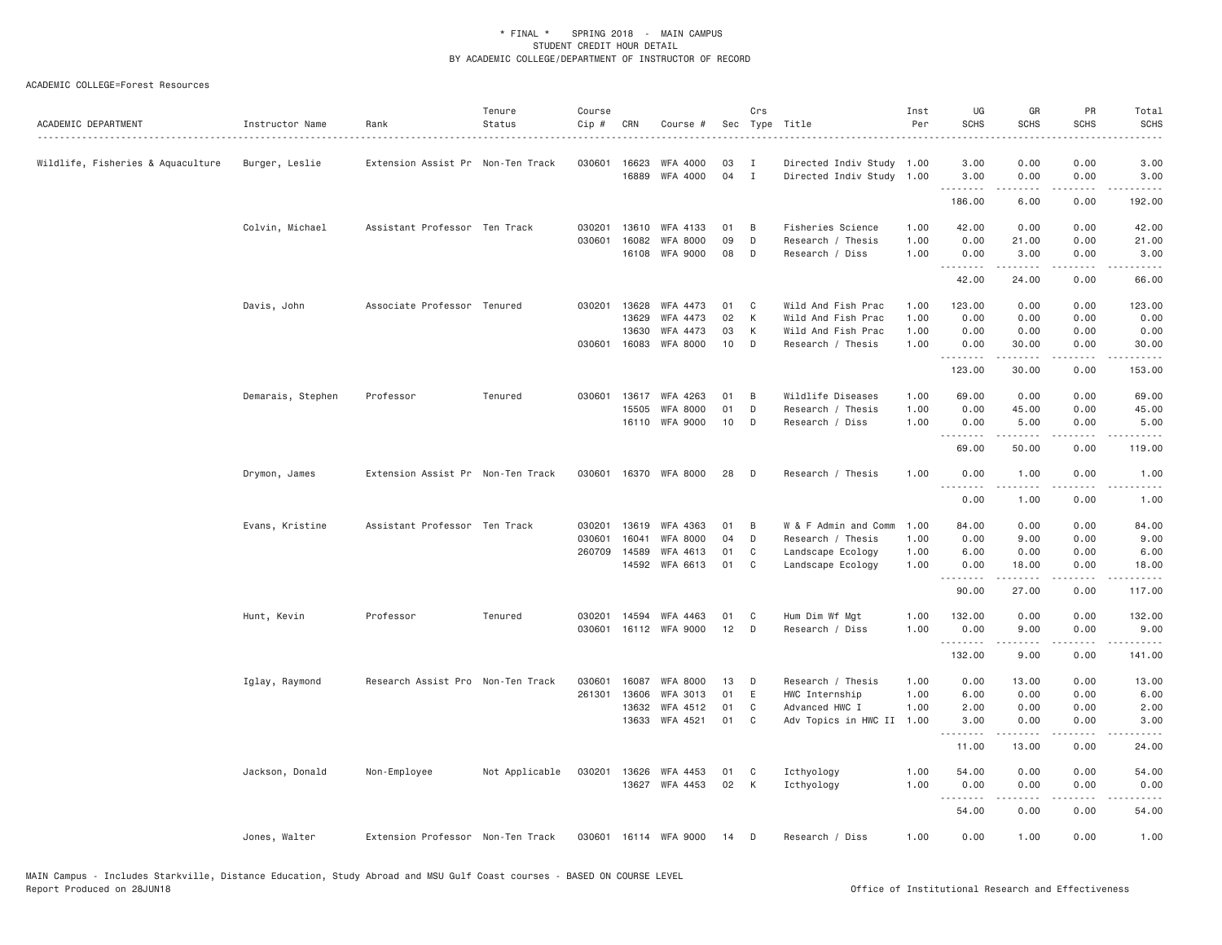| ACADEMIC DEPARTMENT               | Instructor Name   | Rank                              | Tenure<br>Status | Course<br>Cip # | CRN          | Course #        |    | Crs          | Sec Type Title            | Inst<br>Per | UG<br><b>SCHS</b> | GR<br><b>SCHS</b> | <b>PR</b><br><b>SCHS</b>            | Total<br><b>SCHS</b>                                                                                                                                         |
|-----------------------------------|-------------------|-----------------------------------|------------------|-----------------|--------------|-----------------|----|--------------|---------------------------|-------------|-------------------|-------------------|-------------------------------------|--------------------------------------------------------------------------------------------------------------------------------------------------------------|
| Wildlife, Fisheries & Aquaculture | Burger, Leslie    | Extension Assist Pr Non-Ten Track |                  | 030601          | 16623        | WFA 4000        | 03 | Ι.           | Directed Indiv Study 1.00 |             | 3.00              | 0.00              | 0.00                                | 3.00                                                                                                                                                         |
|                                   |                   |                                   |                  |                 | 16889        | WFA 4000        | 04 | $\mathbf{I}$ | Directed Indiv Study 1.00 |             | 3.00<br><u>.</u>  | 0.00<br>-----     | 0.00<br>.                           | 3.00<br>.                                                                                                                                                    |
|                                   |                   |                                   |                  |                 |              |                 |    |              |                           |             | 186.00            | 6.00              | 0.00                                | 192.00                                                                                                                                                       |
|                                   | Colvin, Michael   | Assistant Professor Ten Track     |                  | 030201          | 13610        | WFA 4133        | 01 | B            | Fisheries Science         | 1.00        | 42.00             | 0.00              | 0.00                                | 42.00                                                                                                                                                        |
|                                   |                   |                                   |                  | 030601          | 16082        | <b>WFA 8000</b> | 09 | D            | Research / Thesis         | 1.00        | 0.00              | 21.00             | 0.00                                | 21.00                                                                                                                                                        |
|                                   |                   |                                   |                  |                 | 16108        | <b>WFA 9000</b> | 08 | D            | Research / Diss           | 1.00        | 0.00              | 3.00<br>.         | 0.00<br>.                           | 3.00<br>.                                                                                                                                                    |
|                                   |                   |                                   |                  |                 |              |                 |    |              |                           |             | 42.00             | 24.00             | 0.00                                | 66.00                                                                                                                                                        |
|                                   | Davis, John       | Associate Professor Tenured       |                  | 030201          | 13628        | WFA 4473        | 01 | C            | Wild And Fish Prac        | 1.00        | 123.00            | 0.00              | 0.00                                | 123.00                                                                                                                                                       |
|                                   |                   |                                   |                  |                 | 13629        | WFA 4473        | 02 | К            | Wild And Fish Prac        | 1.00        | 0.00              | 0.00              | 0.00                                | 0.00                                                                                                                                                         |
|                                   |                   |                                   |                  |                 | 13630        | WFA 4473        | 03 | К            | Wild And Fish Prac        | 1.00        | 0.00              | 0.00              | 0.00                                | 0.00                                                                                                                                                         |
|                                   |                   |                                   |                  | 030601          | 16083        | <b>WFA 8000</b> | 10 | D            | Research / Thesis         | 1.00        | 0.00              | 30.00<br>.        | 0.00<br>$\sim$ $\sim$ $\sim$ $\sim$ | 30.00                                                                                                                                                        |
|                                   |                   |                                   |                  |                 |              |                 |    |              |                           |             | 123.00            | 30.00             | 0.00                                | 153.00                                                                                                                                                       |
|                                   | Demarais, Stephen | Professor                         | Tenured          | 030601          | 13617        | WFA 4263        | 01 | B            | Wildlife Diseases         | 1.00        | 69.00             | 0.00              | 0.00                                | 69.00                                                                                                                                                        |
|                                   |                   |                                   |                  |                 | 15505        | <b>WFA 8000</b> | 01 | D            | Research / Thesis         | 1.00        | 0.00              | 45.00             | 0.00                                | 45.00                                                                                                                                                        |
|                                   |                   |                                   |                  |                 |              | 16110 WFA 9000  | 10 | D            | Research / Diss           | 1.00        | 0.00              | 5.00<br>.         | 0.00<br>.                           | 5.00<br>$\frac{1}{2} \left( \frac{1}{2} \right) \left( \frac{1}{2} \right) \left( \frac{1}{2} \right) \left( \frac{1}{2} \right) \left( \frac{1}{2} \right)$ |
|                                   |                   |                                   |                  |                 |              |                 |    |              |                           |             | 69.00             | 50.00             | 0.00                                | 119.00                                                                                                                                                       |
|                                   | Drymon, James     | Extension Assist Pr Non-Ten Track |                  | 030601          |              | 16370 WFA 8000  | 28 | D            | Research / Thesis         | 1.00        | 0.00              | 1.00              | 0.00                                | 1.00                                                                                                                                                         |
|                                   |                   |                                   |                  |                 |              |                 |    |              |                           |             | ----<br>0.00      | 1.00              | 0.00                                | 1.00                                                                                                                                                         |
|                                   | Evans, Kristine   | Assistant Professor Ten Track     |                  | 030201          | 13619        | WFA 4363        | 01 | B            | W & F Admin and Comm      | 1.00        | 84.00             | 0.00              | 0.00                                | 84.00                                                                                                                                                        |
|                                   |                   |                                   |                  | 030601          | 16041        | <b>WFA 8000</b> | 04 | D            | Research / Thesis         | 1.00        | 0.00              | 9.00              | 0.00                                | 9.00                                                                                                                                                         |
|                                   |                   |                                   |                  | 260709          | 14589        | WFA 4613        | 01 | C            | Landscape Ecology         | 1.00        | 6.00              | 0.00              | 0.00                                | 6.00                                                                                                                                                         |
|                                   |                   |                                   |                  |                 |              | 14592 WFA 6613  | 01 | C            | Landscape Ecology         | 1.00        | 0.00<br><b></b>   | 18.00<br>.        | 0.00<br>.                           | 18.00<br>.                                                                                                                                                   |
|                                   |                   |                                   |                  |                 |              |                 |    |              |                           |             | 90.00             | 27.00             | 0.00                                | 117.00                                                                                                                                                       |
|                                   | Hunt, Kevin       | Professor                         | Tenured          | 030201          | 14594        | WFA 4463        | 01 | C            | Hum Dim Wf Mgt            | 1.00        | 132.00            | 0.00              | 0.00                                | 132.00                                                                                                                                                       |
|                                   |                   |                                   |                  | 030601          |              | 16112 WFA 9000  | 12 | D            | Research / Diss           | 1.00        | 0.00              | 9.00              | 0.00                                | 9.00                                                                                                                                                         |
|                                   |                   |                                   |                  |                 |              |                 |    |              |                           |             | .<br>132.00       | -----<br>9.00     | .<br>0.00                           | .<br>141.00                                                                                                                                                  |
|                                   | Iglay, Raymond    | Research Assist Pro Non-Ten Track |                  | 030601          | 16087        | <b>WFA 8000</b> | 13 | D            | Research / Thesis         | 1.00        | 0.00              | 13.00             | 0.00                                | 13.00                                                                                                                                                        |
|                                   |                   |                                   |                  | 261301          | 13606        | WFA 3013        | 01 | E            | HWC Internship            | 1.00        | 6.00              | 0.00              | 0.00                                | 6.00                                                                                                                                                         |
|                                   |                   |                                   |                  |                 | 13632        | WFA 4512        | 01 | C            | Advanced HWC I            | 1.00        | 2.00              | 0.00              | 0.00                                | 2.00                                                                                                                                                         |
|                                   |                   |                                   |                  |                 | 13633        | WFA 4521        | 01 | C            | Adv Topics in HWC II      | 1.00        | 3.00<br>.         | 0.00              | 0.00                                | 3.00                                                                                                                                                         |
|                                   |                   |                                   |                  |                 |              |                 |    |              |                           |             | 11.00             | 13.00             | 0.00                                | 24.00                                                                                                                                                        |
|                                   | Jackson, Donald   | Non-Employee                      | Not Applicable   |                 | 030201 13626 | WFA 4453        | 01 | C            | Icthyology                | 1.00        | 54.00             | 0.00              | 0.00                                | 54.00                                                                                                                                                        |
|                                   |                   |                                   |                  |                 |              | 13627 WFA 4453  | 02 | К            | Icthyology                | 1.00        | 0.00              | 0.00              | 0.00                                | 0.00                                                                                                                                                         |
|                                   |                   |                                   |                  |                 |              |                 |    |              |                           |             | .                 | $- - - - -$       | د د د د                             | .                                                                                                                                                            |
|                                   |                   |                                   |                  |                 |              |                 |    |              |                           |             | 54.00             | 0.00              | 0.00                                | 54.00                                                                                                                                                        |
|                                   | Jones, Walter     | Extension Professor Non-Ten Track |                  | 030601          |              | 16114 WFA 9000  | 14 | D            | Research / Diss           | 1.00        | 0.00              | 1.00              | 0.00                                | 1.00                                                                                                                                                         |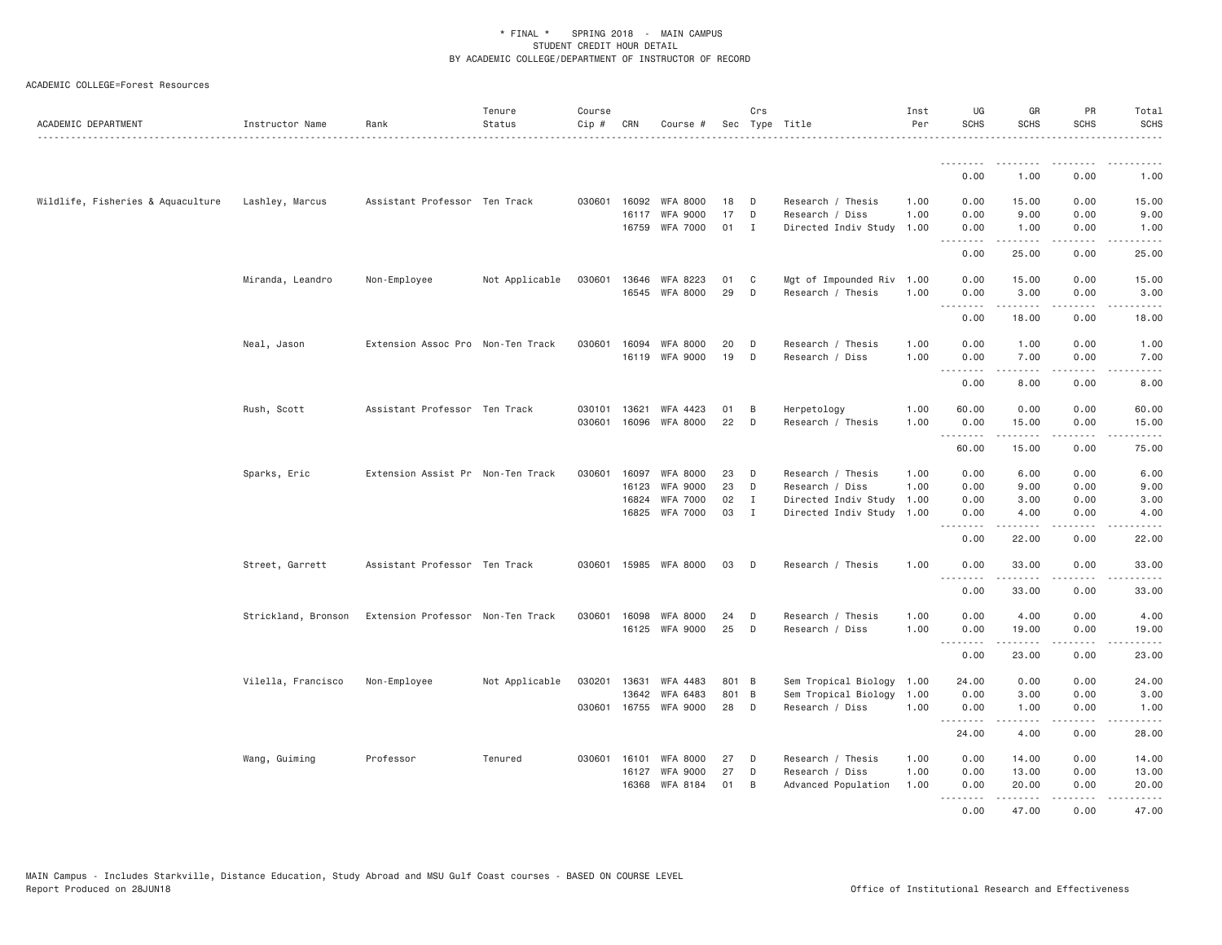| ACADEMIC DEPARTMENT               | Instructor Name     | Rank                              | Tenure<br>Status | Course<br>Cip # | CRN            | Course #                           |          | Crs          | Sec Type Title                                 | Inst<br>Per  | UG<br><b>SCHS</b> | GR<br><b>SCHS</b>                          | PR<br><b>SCHS</b>                   | Total<br><b>SCHS</b>                                                                                                                                         |
|-----------------------------------|---------------------|-----------------------------------|------------------|-----------------|----------------|------------------------------------|----------|--------------|------------------------------------------------|--------------|-------------------|--------------------------------------------|-------------------------------------|--------------------------------------------------------------------------------------------------------------------------------------------------------------|
|                                   |                     |                                   |                  |                 |                |                                    |          |              |                                                |              | .<br>0.00         | -----<br>1.00                              | 0.00                                | 1.00                                                                                                                                                         |
|                                   |                     |                                   |                  |                 |                |                                    |          |              |                                                |              |                   |                                            |                                     |                                                                                                                                                              |
| Wildlife, Fisheries & Aquaculture | Lashley, Marcus     | Assistant Professor Ten Track     |                  | 030601          | 16092<br>16117 | <b>WFA 8000</b><br><b>WFA 9000</b> | 18<br>17 | D<br>D       | Research / Thesis                              | 1.00<br>1,00 | 0.00<br>0.00      | 15.00                                      | 0.00<br>0.00                        | 15.00<br>9.00                                                                                                                                                |
|                                   |                     |                                   |                  |                 | 16759          | WFA 7000                           | 01       | I            | Research / Diss<br>Directed Indiv Study 1.00   |              | 0.00              | 9.00<br>1.00                               | 0.00                                | 1.00                                                                                                                                                         |
|                                   |                     |                                   |                  |                 |                |                                    |          |              |                                                |              | -----<br>0.00     | <u>.</u><br>25.00                          | $\sim$ $\sim$ $\sim$ $\sim$<br>0.00 | -----<br>25.00                                                                                                                                               |
|                                   |                     |                                   |                  |                 |                |                                    |          |              |                                                |              |                   |                                            |                                     |                                                                                                                                                              |
|                                   | Miranda, Leandro    | Non-Employee                      | Not Applicable   | 030601          | 13646          | WFA 8223<br>16545 WFA 8000         | 01<br>29 | C<br>D       | Mgt of Impounded Riv 1.00<br>Research / Thesis | 1.00         | 0.00<br>0.00      | 15.00<br>3.00                              | 0.00<br>0.00                        | 15.00<br>3.00                                                                                                                                                |
|                                   |                     |                                   |                  |                 |                |                                    |          |              |                                                |              | .<br>0.00         | .<br>18,00                                 | .<br>0.00                           | .                                                                                                                                                            |
|                                   |                     |                                   |                  |                 |                |                                    |          |              |                                                |              |                   |                                            |                                     | 18.00                                                                                                                                                        |
|                                   | Neal, Jason         | Extension Assoc Pro Non-Ten Track |                  | 030601          |                | 16094 WFA 8000                     | 20       | D            | Research / Thesis                              | 1.00         | 0.00              | 1.00                                       | 0.00                                | 1.00                                                                                                                                                         |
|                                   |                     |                                   |                  |                 | 16119          | <b>WFA 9000</b>                    | 19       | D            | Research / Diss                                | 1.00         | 0.00<br>.         | 7.00<br>.                                  | 0.00<br>$\sim$ $\sim$ $\sim$ $\sim$ | 7.00<br>$\sim$ $\sim$ $\sim$<br>.                                                                                                                            |
|                                   |                     |                                   |                  |                 |                |                                    |          |              |                                                |              | 0.00              | 8,00                                       | 0.00                                | 8.00                                                                                                                                                         |
|                                   | Rush, Scott         | Assistant Professor Ten Track     |                  | 030101          | 13621          | WFA 4423                           | 01       | B            | Herpetology                                    | 1.00         | 60.00             | 0.00                                       | 0.00                                | 60.00                                                                                                                                                        |
|                                   |                     |                                   |                  | 030601          | 16096          | WFA 8000                           | 22       | D            | Research / Thesis                              | 1.00         | 0.00              | 15.00                                      | 0.00                                | 15.00                                                                                                                                                        |
|                                   |                     |                                   |                  |                 |                |                                    |          |              |                                                |              | .<br>60.00        | .<br>15.00                                 | .<br>0.00                           | .<br>75.00                                                                                                                                                   |
|                                   | Sparks, Eric        | Extension Assist Pr Non-Ten Track |                  | 030601          | 16097          | <b>WFA 8000</b>                    | 23       | D            | Research / Thesis                              | 1.00         | 0.00              | 6.00                                       | 0.00                                | 6.00                                                                                                                                                         |
|                                   |                     |                                   |                  |                 | 16123          | <b>WFA 9000</b>                    | 23       | D            | Research / Diss                                | 1.00         | 0.00              | 9.00                                       | 0.00                                | 9.00                                                                                                                                                         |
|                                   |                     |                                   |                  |                 | 16824          | <b>WFA 7000</b>                    | 02       | I            | Directed Indiv Study                           | 1.00         | 0.00              | 3.00                                       | 0.00                                | 3.00                                                                                                                                                         |
|                                   |                     |                                   |                  |                 |                | 16825 WFA 7000                     | 03       | $\mathbf{I}$ | Directed Indiv Study 1.00                      |              | 0.00<br>.         | 4.00<br>$\sim$ $\sim$ $\sim$ $\sim$ $\sim$ | 0.00<br>.                           | 4.00<br>$\sim$ $\sim$ $\sim$ $\sim$ $\sim$                                                                                                                   |
|                                   |                     |                                   |                  |                 |                |                                    |          |              |                                                |              | 0.00              | 22.00                                      | 0.00                                | 22.00                                                                                                                                                        |
|                                   | Street, Garrett     | Assistant Professor Ten Track     |                  |                 |                | 030601 15985 WFA 8000              | 03       | D            | Research / Thesis                              | 1.00         | 0.00              | 33.00                                      | 0.00                                | 33.00                                                                                                                                                        |
|                                   |                     |                                   |                  |                 |                |                                    |          |              |                                                |              | .<br>0.00         | .<br>33.00                                 | .<br>0.00                           | .<br>33.00                                                                                                                                                   |
|                                   | Strickland, Bronson | Extension Professor Non-Ten Track |                  | 030601          | 16098          | <b>WFA 8000</b>                    | 24       | D            | Research / Thesis                              | 1.00         | 0.00              | 4.00                                       | 0.00                                | 4.00                                                                                                                                                         |
|                                   |                     |                                   |                  |                 |                | 16125 WFA 9000                     | 25       | D            | Research / Diss                                | 1.00         | 0.00              | 19.00                                      | 0.00                                | 19.00                                                                                                                                                        |
|                                   |                     |                                   |                  |                 |                |                                    |          |              |                                                |              | <u>.</u><br>0.00  | .<br>23.00                                 | .<br>0.00                           | .<br>23.00                                                                                                                                                   |
|                                   | Vilella, Francisco  | Non-Employee                      | Not Applicable   | 030201          | 13631          | WFA 4483                           | 801 B    |              | Sem Tropical Biology                           | 1.00         | 24.00             | 0.00                                       | 0.00                                | 24.00                                                                                                                                                        |
|                                   |                     |                                   |                  |                 | 13642          | <b>WFA 6483</b>                    | 801      | B            | Sem Tropical Biology                           | 1.00         | 0.00              | 3.00                                       | 0.00                                | 3.00                                                                                                                                                         |
|                                   |                     |                                   |                  |                 |                | 030601 16755 WFA 9000              | 28       | D            | Research / Diss                                | 1.00         | 0.00<br>.         | 1.00<br>.                                  | 0.00<br>$\sim$ $\sim$ $\sim$        | 1.00<br>$\frac{1}{2} \left( \frac{1}{2} \right) \left( \frac{1}{2} \right) \left( \frac{1}{2} \right) \left( \frac{1}{2} \right) \left( \frac{1}{2} \right)$ |
|                                   |                     |                                   |                  |                 |                |                                    |          |              |                                                |              | 24.00             | 4.00                                       | 0.00                                | 28.00                                                                                                                                                        |
|                                   | Wang, Guiming       | Professor                         | Tenured          | 030601          | 16101          | <b>WFA 8000</b>                    | 27       | D            | Research / Thesis                              | 1.00         | 0.00              | 14.00                                      | 0.00                                | 14.00                                                                                                                                                        |
|                                   |                     |                                   |                  |                 | 16127          | <b>WFA 9000</b>                    | 27       | D            | Research / Diss                                | 1.00         | 0.00              | 13.00                                      | 0.00                                | 13.00                                                                                                                                                        |
|                                   |                     |                                   |                  |                 | 16368          | WFA 8184                           | 01       | B            | Advanced Population                            | 1.00         | 0.00<br><u>.</u>  | 20.00<br>. <b>.</b>                        | 0.00<br>.                           | 20.00<br>.                                                                                                                                                   |
|                                   |                     |                                   |                  |                 |                |                                    |          |              |                                                |              | 0.00              | 47.00                                      | 0.00                                | 47.00                                                                                                                                                        |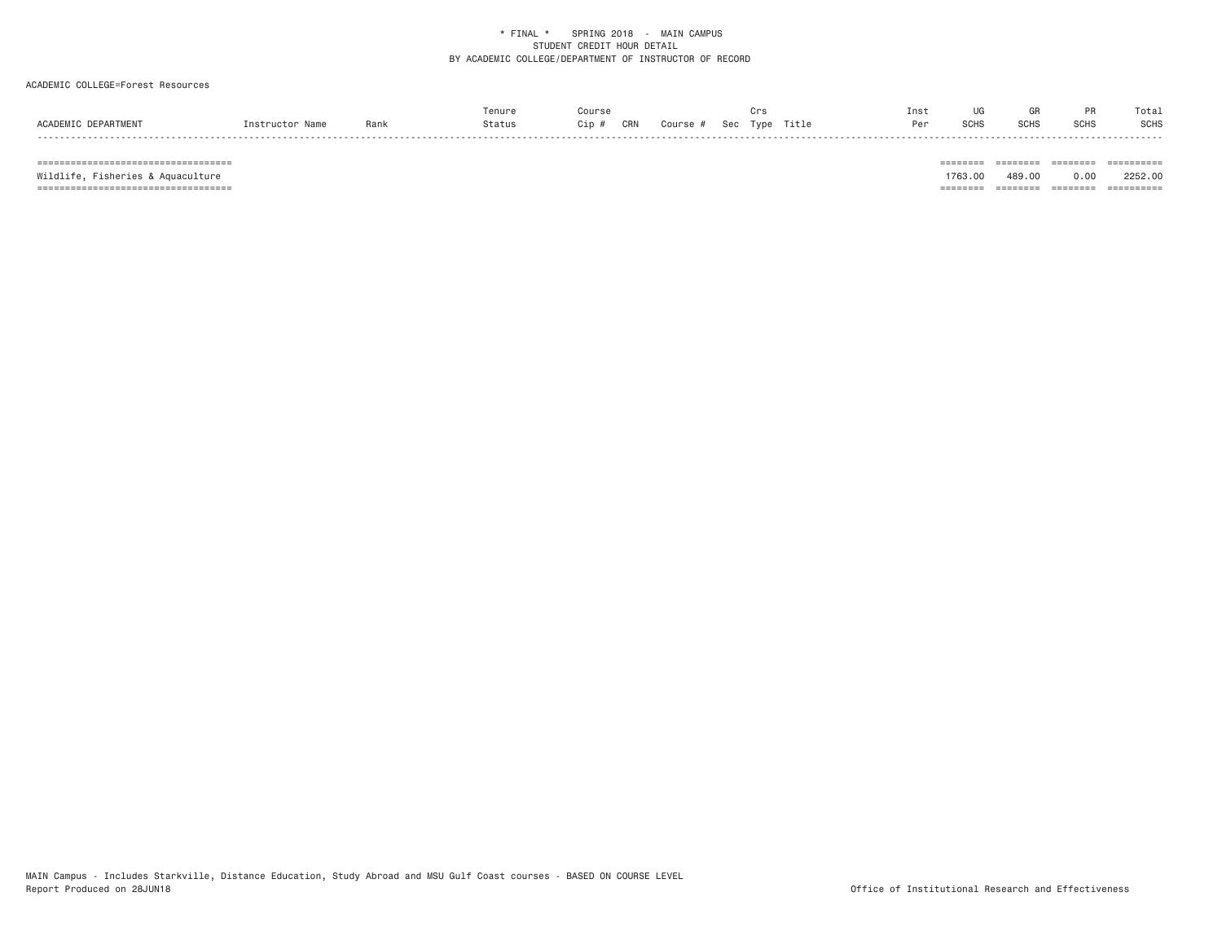### ACADEMIC COLLEGE=Forest Resources

|                     |                 |      | Tenure | Course                                  | Crs | Inst |             | GR   |             | Total       |
|---------------------|-----------------|------|--------|-----------------------------------------|-----|------|-------------|------|-------------|-------------|
| ACADEMIC DEPARTMENT | Instructor Name | Rank | Status | CRN<br>Cip #<br>Course # Sec Type Title |     | Per  | <b>SCHS</b> | SCHS | <b>SCHS</b> | <b>SCHS</b> |

 =================================== ======== ======== ======== ========== Wildlife, Fisheries & Aquaculture 1763.00 489.00 0.00 2252.00 =================================== ======== ======== ======== ==========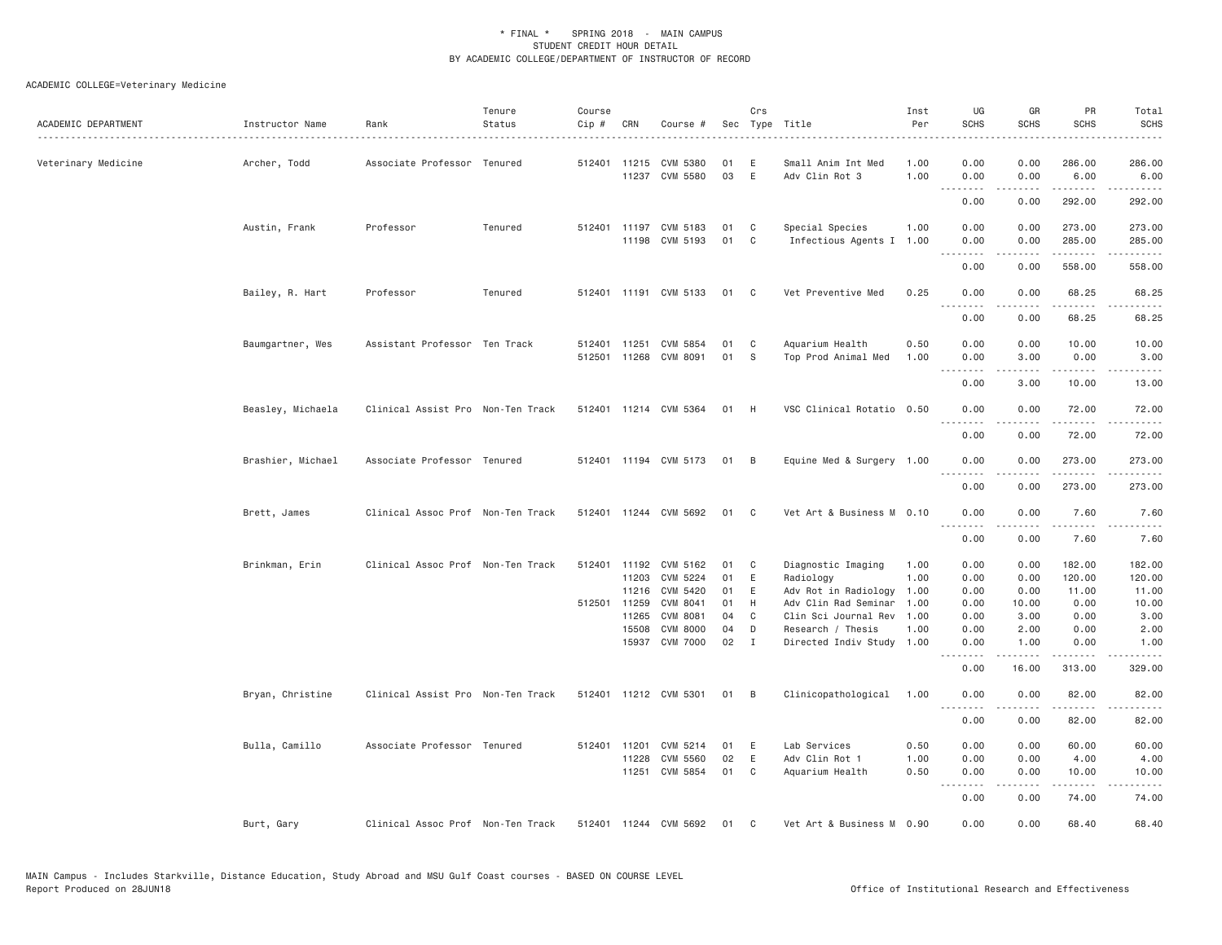## ACADEMIC COLLEGE=Veterinary Medicine

| ACADEMIC DEPARTMENT | Instructor Name   | Rank                              | Tenure<br>Status | Course<br>Cip # | CRN            | Course #                           |          | Crs               | Sec Type Title                                 | Inst<br>Per  | UG<br><b>SCHS</b>                                                                                                                 | GR<br><b>SCHS</b> | PR<br><b>SCHS</b>             | Total<br><b>SCHS</b><br>. |
|---------------------|-------------------|-----------------------------------|------------------|-----------------|----------------|------------------------------------|----------|-------------------|------------------------------------------------|--------------|-----------------------------------------------------------------------------------------------------------------------------------|-------------------|-------------------------------|---------------------------|
| Veterinary Medicine | Archer, Todd      | Associate Professor Tenured       |                  | 512401 11215    |                | CVM 5380<br>11237 CVM 5580         | 01<br>03 | E<br>E            | Small Anim Int Med<br>Adv Clin Rot 3           | 1.00<br>1.00 | 0.00<br>0.00                                                                                                                      | 0.00<br>0.00      | 286.00<br>6.00                | 286.00<br>6.00            |
|                     |                   |                                   |                  |                 |                |                                    |          |                   |                                                |              | .<br>0.00                                                                                                                         | -----<br>0.00     | <u>.</u><br>292.00            | .<br>292.00               |
|                     | Austin, Frank     | Professor                         | Tenured          | 512401          | 11197          | CVM 5183                           | 01       | C                 | Special Species                                | 1.00         | 0.00                                                                                                                              | 0.00              | 273.00                        | 273.00                    |
|                     |                   |                                   |                  |                 |                | 11198 CVM 5193                     | 01       | C                 | Infectious Agents I                            | 1.00         | 0.00<br>.                                                                                                                         | 0.00<br>.         | 285.00<br>1.1.1.1.1           | 285.00<br>$\frac{1}{2}$   |
|                     |                   |                                   |                  |                 |                |                                    |          |                   |                                                |              | 0.00                                                                                                                              | 0.00              | 558.00                        | 558.00                    |
|                     | Bailey, R. Hart   | Professor                         | Tenured          |                 |                | 512401 11191 CVM 5133              | 01       | $\mathbf{C}$      | Vet Preventive Med                             | 0.25         | 0.00<br><u>.</u>                                                                                                                  | 0.00<br>-----     | 68.25<br>.                    | 68.25<br>.                |
|                     |                   |                                   |                  |                 |                |                                    |          |                   |                                                |              | 0.00                                                                                                                              | 0.00              | 68.25                         | 68.25                     |
|                     | Baumgartner, Wes  | Assistant Professor Ten Track     |                  | 512401          | 11251          | CVM 5854                           | 01       | C                 | Aquarium Health                                | 0.50         | 0.00                                                                                                                              | 0.00              | 10.00                         | 10.00                     |
|                     |                   |                                   |                  | 512501          | 11268          | CVM 8091                           | 01       | S                 | Top Prod Animal Med                            | 1.00         | 0.00<br><u>.</u>                                                                                                                  | 3.00<br>.         | 0.00<br>.                     | 3.00<br>.                 |
|                     |                   |                                   |                  |                 |                |                                    |          |                   |                                                |              | 0.00                                                                                                                              | 3.00              | 10.00                         | 13.00                     |
|                     | Beasley, Michaela | Clinical Assist Pro Non-Ten Track |                  |                 |                | 512401 11214 CVM 5364              | 01       | H                 | VSC Clinical Rotatio 0.50                      |              | 0.00<br>.                                                                                                                         | 0.00              | 72.00<br>.                    | 72.00                     |
|                     |                   |                                   |                  |                 |                |                                    |          |                   |                                                |              | 0.00                                                                                                                              | 0.00              | 72.00                         | 72.00                     |
|                     | Brashier, Michael | Associate Professor Tenured       |                  |                 |                | 512401 11194 CVM 5173              | 01       | B                 | Equine Med & Surgery 1.00                      |              | 0.00<br>.                                                                                                                         | 0.00<br>.         | 273.00<br>. <u>.</u>          | 273.00<br>$- - - - - -$   |
|                     |                   |                                   |                  |                 |                |                                    |          |                   |                                                |              | 0.00                                                                                                                              | 0.00              | 273.00                        | 273.00                    |
|                     | Brett, James      | Clinical Assoc Prof Non-Ten Track |                  |                 |                | 512401 11244 CVM 5692              | 01       | C                 | Vet Art & Business M 0.10                      |              | 0.00<br>.                                                                                                                         | 0.00              | 7.60                          | 7.60<br>.                 |
|                     |                   |                                   |                  |                 |                |                                    |          |                   |                                                |              | 0.00                                                                                                                              | 0.00              | 7.60                          | 7.60                      |
|                     | Brinkman, Erin    | Clinical Assoc Prof Non-Ten Track |                  |                 | 512401 11192   | CVM 5162                           | 01       | C                 | Diagnostic Imaging                             | 1.00         | 0.00                                                                                                                              | 0.00              | 182.00                        | 182.00                    |
|                     |                   |                                   |                  |                 | 11203          | CVM 5224                           | 01       | Ε                 | Radiology                                      | 1.00         | 0.00                                                                                                                              | 0.00              | 120.00                        | 120.00                    |
|                     |                   |                                   |                  |                 | 11216          | CVM 5420                           | 01       | E                 | Adv Rot in Radiology                           | 1.00         | 0.00                                                                                                                              | 0.00              | 11.00                         | 11.00                     |
|                     |                   |                                   |                  | 512501 11259    |                | CVM 8041                           | 01       | H                 | Adv Clin Rad Seminar                           | 1.00         | 0.00                                                                                                                              | 10.00             | 0.00                          | 10.00                     |
|                     |                   |                                   |                  |                 | 11265          | CVM 8081                           | 04       | C                 | Clin Sci Journal Rev                           | 1.00         | 0.00                                                                                                                              | 3.00              | 0.00                          | 3.00                      |
|                     |                   |                                   |                  |                 | 15508<br>15937 | <b>CVM 8000</b><br><b>CVM 7000</b> | 04<br>02 | D<br>$\mathbf{I}$ | Research / Thesis<br>Directed Indiv Study 1.00 | 1.00         | 0.00<br>0.00                                                                                                                      | 2.00<br>1.00      | 0.00<br>0.00                  | 2.00<br>1.00              |
|                     |                   |                                   |                  |                 |                |                                    |          |                   |                                                |              | ----<br>0.00                                                                                                                      | 16.00             | 313.00                        | 329.00                    |
|                     | Bryan, Christine  | Clinical Assist Pro Non-Ten Track |                  |                 |                | 512401 11212 CVM 5301              | 01       | B                 | Clinicopathological                            | 1.00         | 0.00                                                                                                                              | 0.00              | 82.00                         | 82.00                     |
|                     |                   |                                   |                  |                 |                |                                    |          |                   |                                                |              | .<br>0.00                                                                                                                         | .<br>0.00         | .<br>82.00                    | .<br>82.00                |
|                     | Bulla, Camillo    | Associate Professor Tenured       |                  | 512401          | 11201          | CVM 5214                           | 01       | Ε                 | Lab Services                                   | 0.50         | 0.00                                                                                                                              | 0.00              | 60.00                         | 60.00                     |
|                     |                   |                                   |                  |                 | 11228          | CVM 5560                           | 02       | E                 | Adv Clin Rot 1                                 | 1.00         | 0.00                                                                                                                              | 0.00              | 4.00                          | 4.00                      |
|                     |                   |                                   |                  |                 | 11251          | CVM 5854                           | 01       | C                 | Aquarium Health                                | 0.50         | 0.00<br>$\frac{1}{2} \left( \frac{1}{2} \right) \left( \frac{1}{2} \right) \left( \frac{1}{2} \right) \left( \frac{1}{2} \right)$ | 0.00<br>.         | 10.00<br>$\omega$ is a set of | 10.00<br>المتمام          |
|                     |                   |                                   |                  |                 |                |                                    |          |                   |                                                |              | 0.00                                                                                                                              | 0.00              | 74.00                         | 74.00                     |
|                     | Burt, Gary        | Clinical Assoc Prof Non-Ten Track |                  |                 |                | 512401 11244 CVM 5692              | 01       | C                 | Vet Art & Business M 0.90                      |              | 0.00                                                                                                                              | 0.00              | 68.40                         | 68.40                     |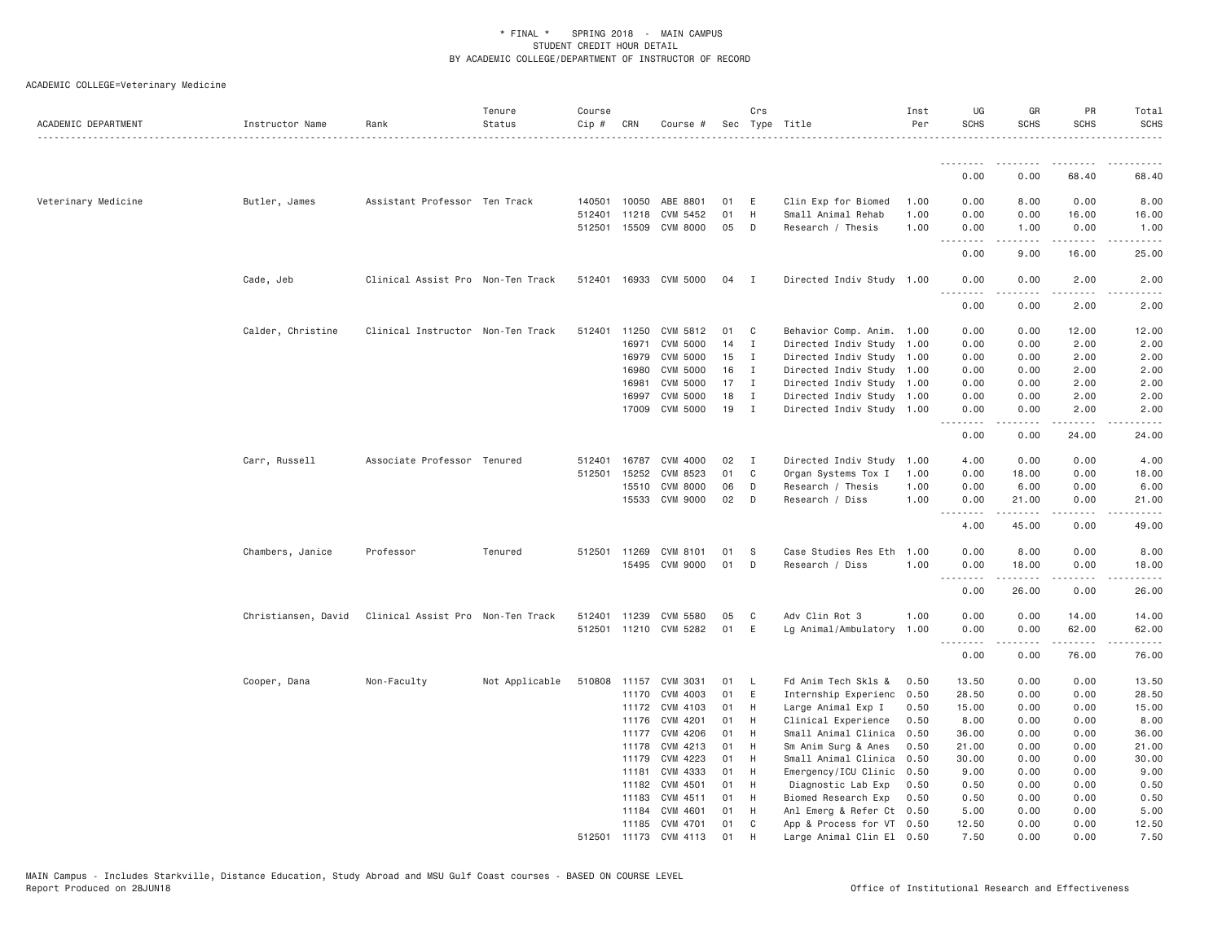| ACADEMIC DEPARTMENT | Instructor Name     | Rank                              | Tenure<br>Status | Course<br>Cip # | CRN          | Course #              |    | Crs            | Sec Type Title            | Inst<br>Per | UG<br><b>SCHS</b> | GR<br><b>SCHS</b>                                                                                               | PR<br><b>SCHS</b>                                                                                                                                    | Total<br><b>SCHS</b><br>. <u>.</u> . |
|---------------------|---------------------|-----------------------------------|------------------|-----------------|--------------|-----------------------|----|----------------|---------------------------|-------------|-------------------|-----------------------------------------------------------------------------------------------------------------|------------------------------------------------------------------------------------------------------------------------------------------------------|--------------------------------------|
|                     |                     |                                   |                  |                 |              |                       |    |                |                           |             | .                 | .                                                                                                               | .                                                                                                                                                    |                                      |
|                     |                     |                                   |                  |                 |              |                       |    |                |                           |             | 0.00              | 0.00                                                                                                            | 68.40                                                                                                                                                | 68.40                                |
| Veterinary Medicine | Butler, James       | Assistant Professor Ten Track     |                  | 140501          | 10050        | ABE 8801              | 01 | E              | Clin Exp for Biomed       | 1.00        | 0.00              | 8.00                                                                                                            | 0.00                                                                                                                                                 | 8.00                                 |
|                     |                     |                                   |                  | 512401          | 11218        | CVM 5452              | 01 | H              | Small Animal Rehab        | 1.00        | 0.00              | 0.00                                                                                                            | 16.00                                                                                                                                                | 16.00                                |
|                     |                     |                                   |                  |                 |              | 512501 15509 CVM 8000 | 05 | D              | Research / Thesis         | 1.00        | 0.00<br>.         | 1.00<br>-----                                                                                                   | 0.00<br>.                                                                                                                                            | 1.00<br>.                            |
|                     |                     |                                   |                  |                 |              |                       |    |                |                           |             | 0.00              | 9.00                                                                                                            | 16.00                                                                                                                                                | 25.00                                |
|                     | Cade, Jeb           | Clinical Assist Pro Non-Ten Track |                  |                 |              | 512401 16933 CVM 5000 | 04 | $\mathbf{I}$   | Directed Indiv Study 1.00 |             | 0.00<br>.         | 0.00<br>.                                                                                                       | 2.00<br>.                                                                                                                                            | 2.00<br>.                            |
|                     |                     |                                   |                  |                 |              |                       |    |                |                           |             | 0.00              | 0.00                                                                                                            | 2.00                                                                                                                                                 | 2.00                                 |
|                     | Calder, Christine   | Clinical Instructor Non-Ten Track |                  | 512401 11250    |              | CVM 5812              | 01 | C <sub>1</sub> | Behavior Comp. Anim. 1.00 |             | 0.00              | 0.00                                                                                                            | 12.00                                                                                                                                                | 12.00                                |
|                     |                     |                                   |                  |                 | 16971        | <b>CVM 5000</b>       | 14 | $\mathbf{I}$   | Directed Indiv Study      | 1.00        | 0.00              | 0.00                                                                                                            | 2.00                                                                                                                                                 | 2.00                                 |
|                     |                     |                                   |                  |                 | 16979        | CVM 5000              | 15 | $\mathbf I$    | Directed Indiv Study 1.00 |             | 0.00              | 0.00                                                                                                            | 2.00                                                                                                                                                 | 2.00                                 |
|                     |                     |                                   |                  |                 | 16980        | CVM 5000              | 16 | Ι.             | Directed Indiv Study 1.00 |             | 0.00              | 0.00                                                                                                            | 2.00                                                                                                                                                 | 2.00                                 |
|                     |                     |                                   |                  |                 | 16981        | <b>CVM 5000</b>       | 17 | I              | Directed Indiv Study 1.00 |             | 0.00              | 0.00                                                                                                            | 2.00                                                                                                                                                 | 2.00                                 |
|                     |                     |                                   |                  |                 | 16997        | CVM 5000              | 18 | I              | Directed Indiv Study 1.00 |             | 0.00              | 0.00                                                                                                            | 2.00                                                                                                                                                 | 2.00                                 |
|                     |                     |                                   |                  |                 |              | 17009 CVM 5000        | 19 | $\mathbf{I}$   | Directed Indiv Study 1.00 |             | 0.00              | 0.00                                                                                                            | 2.00                                                                                                                                                 | 2.00                                 |
|                     |                     |                                   |                  |                 |              |                       |    |                |                           |             | <u>.</u><br>0.00  | -----<br>0.00                                                                                                   | .<br>24.00                                                                                                                                           | .<br>24.00                           |
|                     | Carr, Russell       | Associate Professor Tenured       |                  | 512401          | 16787        | CVM 4000              | 02 | $\mathbf I$    | Directed Indiv Study      | 1.00        | 4.00              | 0.00                                                                                                            | 0.00                                                                                                                                                 | 4.00                                 |
|                     |                     |                                   |                  | 512501          | 15252        | CVM 8523              | 01 | C              | Organ Systems Tox I       | 1.00        | 0.00              | 18.00                                                                                                           | 0.00                                                                                                                                                 | 18.00                                |
|                     |                     |                                   |                  |                 | 15510        | CVM 8000              | 06 | D              | Research / Thesis         | 1.00        | 0.00              | 6.00                                                                                                            | 0.00                                                                                                                                                 | 6.00                                 |
|                     |                     |                                   |                  |                 |              | 15533 CVM 9000        | 02 | D              | Research / Diss           | 1,00        | 0.00              | 21.00<br>.                                                                                                      | 0.00<br>.                                                                                                                                            | 21.00<br>والمناصبات                  |
|                     |                     |                                   |                  |                 |              |                       |    |                |                           |             | 4.00              | 45.00                                                                                                           | 0.00                                                                                                                                                 | 49.00                                |
|                     | Chambers, Janice    | Professor                         | Tenured          |                 | 512501 11269 | CVM 8101              | 01 | S              | Case Studies Res Eth      | 1.00        | 0.00              | 8.00                                                                                                            | 0.00                                                                                                                                                 | 8.00                                 |
|                     |                     |                                   |                  |                 |              | 15495 CVM 9000        | 01 | D              | Research / Diss           | 1.00        | 0.00              | 18.00                                                                                                           | 0.00                                                                                                                                                 | 18.00                                |
|                     |                     |                                   |                  |                 |              |                       |    |                |                           |             | .                 | $\begin{array}{cccccccccccccc} \bullet & \bullet & \bullet & \bullet & \bullet & \bullet & \bullet \end{array}$ | $\frac{1}{2} \left( \frac{1}{2} \right) \left( \frac{1}{2} \right) \left( \frac{1}{2} \right) \left( \frac{1}{2} \right) \left( \frac{1}{2} \right)$ | .                                    |
|                     |                     |                                   |                  |                 |              |                       |    |                |                           |             | 0.00              | 26.00                                                                                                           | 0.00                                                                                                                                                 | 26.00                                |
|                     | Christiansen, David | Clinical Assist Pro Non-Ten Track |                  | 512401          | 11239        | CVM 5580              | 05 | C              | Adv Clin Rot 3            | 1,00        | 0.00              | 0.00                                                                                                            | 14.00                                                                                                                                                | 14.00                                |
|                     |                     |                                   |                  |                 |              | 512501 11210 CVM 5282 | 01 | E              | Lg Animal/Ambulatory 1.00 |             | 0.00<br>.         | 0.00<br>-----                                                                                                   | 62.00<br>.                                                                                                                                           | 62.00<br>.                           |
|                     |                     |                                   |                  |                 |              |                       |    |                |                           |             | 0.00              | 0.00                                                                                                            | 76.00                                                                                                                                                | 76.00                                |
|                     | Cooper, Dana        | Non-Faculty                       | Not Applicable   | 510808          |              | 11157 CVM 3031        | 01 | <b>L</b>       | Fd Anim Tech Skls &       | 0.50        | 13.50             | 0.00                                                                                                            | 0.00                                                                                                                                                 | 13.50                                |
|                     |                     |                                   |                  |                 | 11170        | CVM 4003              | 01 | E              | Internship Experienc      | 0.50        | 28.50             | 0.00                                                                                                            | 0.00                                                                                                                                                 | 28.50                                |
|                     |                     |                                   |                  |                 | 11172        | CVM 4103              | 01 | H              | Large Animal Exp I        | 0.50        | 15.00             | 0.00                                                                                                            | 0.00                                                                                                                                                 | 15.00                                |
|                     |                     |                                   |                  |                 | 11176        | CVM 4201              | 01 | H              | Clinical Experience       | 0.50        | 8.00              | 0.00                                                                                                            | 0.00                                                                                                                                                 | 8.00                                 |
|                     |                     |                                   |                  |                 | 11177        | CVM 4206              | 01 | H              | Small Animal Clinica      | 0.50        | 36.00             | 0.00                                                                                                            | 0.00                                                                                                                                                 | 36.00                                |
|                     |                     |                                   |                  |                 | 11178        | CVM 4213              | 01 | H              | Sm Anim Surg & Anes       | 0.50        | 21.00             | 0.00                                                                                                            | 0.00                                                                                                                                                 | 21.00                                |
|                     |                     |                                   |                  |                 | 11179        | CVM 4223              | 01 | H              | Small Animal Clinica      | 0.50        | 30.00             | 0.00                                                                                                            | 0.00                                                                                                                                                 | 30.00                                |
|                     |                     |                                   |                  |                 | 11181        | CVM 4333              | 01 | H              | Emergency/ICU Clinic      | 0.50        | 9.00              | 0.00                                                                                                            | 0.00                                                                                                                                                 | 9.00                                 |
|                     |                     |                                   |                  |                 | 11182        | CVM 4501              | 01 | H              | Diagnostic Lab Exp        | 0.50        | 0.50              | 0.00                                                                                                            | 0.00                                                                                                                                                 | 0.50                                 |
|                     |                     |                                   |                  |                 | 11183        | CVM 4511              | 01 | H              | Biomed Research Exp       | 0.50        | 0.50              | 0.00                                                                                                            | 0.00                                                                                                                                                 | 0.50                                 |
|                     |                     |                                   |                  |                 | 11184        | CVM 4601              | 01 | H              | Anl Emerg & Refer Ct 0.50 |             | 5.00              | 0.00                                                                                                            | 0.00                                                                                                                                                 | 5.00                                 |
|                     |                     |                                   |                  |                 |              | 11185 CVM 4701        | 01 | C              | App & Process for VT 0.50 |             | 12.50             | 0.00                                                                                                            | 0.00                                                                                                                                                 | 12.50                                |
|                     |                     |                                   |                  | 512501          |              | 11173 CVM 4113        | 01 | H              | Large Animal Clin El 0.50 |             | 7.50              | 0.00                                                                                                            | 0.00                                                                                                                                                 | 7.50                                 |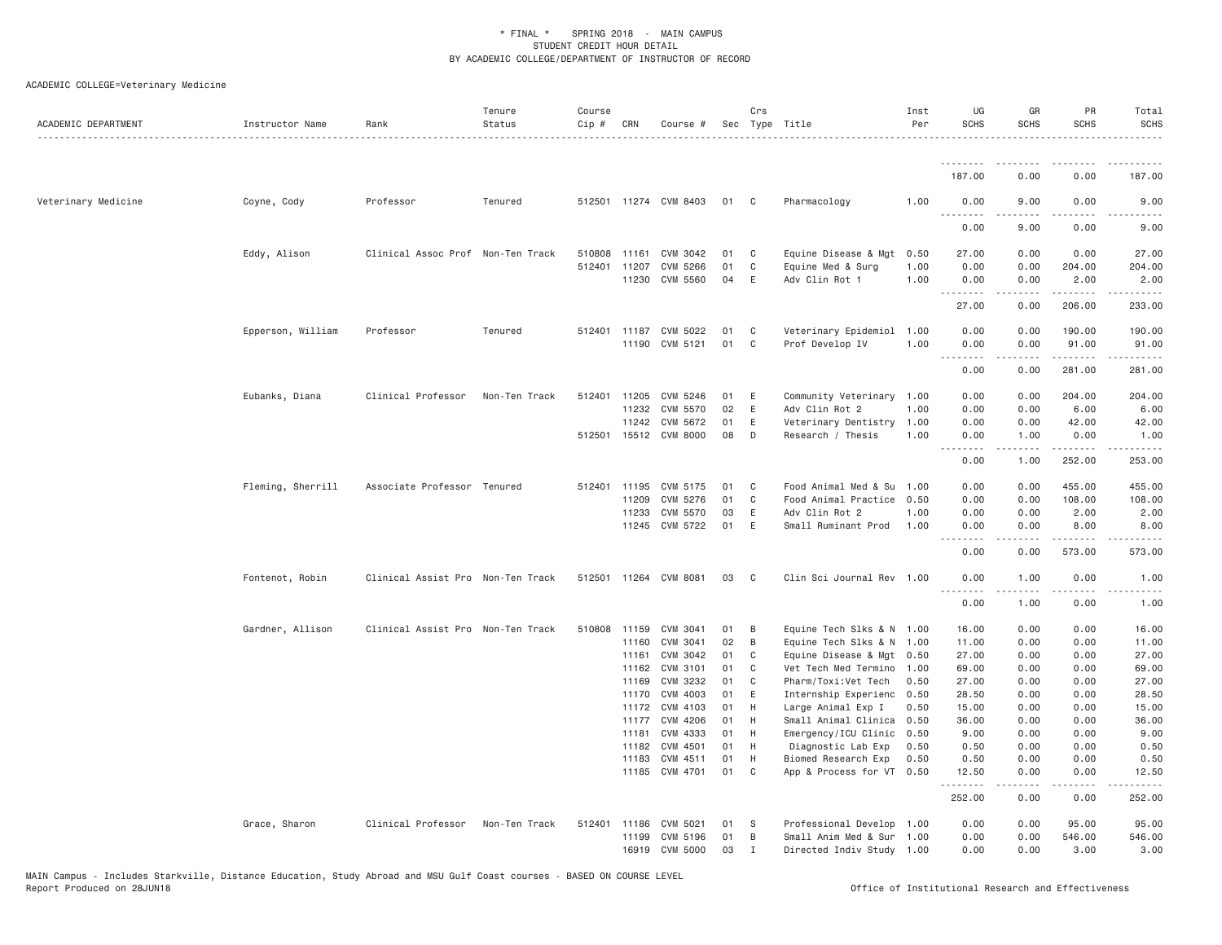| ACADEMIC DEPARTMENT | Instructor Name   | Rank                              | Tenure<br>Status | Course<br>Cip # | CRN            | Course #              |          | Crs            | Sec Type Title                                  | Inst<br>Per | UG<br><b>SCHS</b> | GR<br><b>SCHS</b>                                                                                                                                            | PR<br><b>SCHS</b> | Total<br><b>SCHS</b> |
|---------------------|-------------------|-----------------------------------|------------------|-----------------|----------------|-----------------------|----------|----------------|-------------------------------------------------|-------------|-------------------|--------------------------------------------------------------------------------------------------------------------------------------------------------------|-------------------|----------------------|
|                     |                   |                                   |                  |                 |                |                       |          |                |                                                 |             | <u>.</u>          |                                                                                                                                                              |                   |                      |
|                     |                   |                                   |                  |                 |                |                       |          |                |                                                 |             | 187.00            | 0.00                                                                                                                                                         | 0.00              | 187.00               |
| Veterinary Medicine | Coyne, Cody       | Professor                         | Tenured          |                 |                | 512501 11274 CVM 8403 | 01       | $\mathbf{C}$   | Pharmacology                                    | 1.00        | 0.00<br>.         | 9.00                                                                                                                                                         | 0.00              | 9.00                 |
|                     |                   |                                   |                  |                 |                |                       |          |                |                                                 |             | 0.00              | 9.00                                                                                                                                                         | 0.00              | 9.00                 |
|                     | Eddy, Alison      | Clinical Assoc Prof Non-Ten Track |                  | 510808          | 11161          | CVM 3042              | 01       | C              | Equine Disease & Mgt                            | 0.50        | 27.00             | 0.00                                                                                                                                                         | 0.00              | 27.00                |
|                     |                   |                                   |                  |                 | 512401 11207   | CVM 5266              | 01       | C              | Equine Med & Surg                               | 1.00        | 0.00              | 0.00                                                                                                                                                         | 204.00            | 204.00               |
|                     |                   |                                   |                  |                 | 11230          | CVM 5560              | 04       | E              | Adv Clin Rot 1                                  | 1.00        | 0.00<br>.         | 0.00<br>-----                                                                                                                                                | 2.00<br>.         | 2.00<br>.            |
|                     |                   |                                   |                  |                 |                |                       |          |                |                                                 |             | 27.00             | 0.00                                                                                                                                                         | 206.00            | 233.00               |
|                     | Epperson, William | Professor                         | Tenured          |                 | 512401 11187   | CVM 5022              | 01       | C              | Veterinary Epidemiol                            | 1.00        | 0.00              | 0.00                                                                                                                                                         | 190.00            | 190.00               |
|                     |                   |                                   |                  |                 |                | 11190 CVM 5121        | 01       | C              | Prof Develop IV                                 | 1.00        | 0.00<br>.         | 0.00<br>$- - - - -$                                                                                                                                          | 91.00<br>.        | 91.00<br>.           |
|                     |                   |                                   |                  |                 |                |                       |          |                |                                                 |             | 0.00              | 0.00                                                                                                                                                         | 281.00            | 281.00               |
|                     | Eubanks, Diana    | Clinical Professor                | Non-Ten Track    |                 | 512401 11205   | CVM 5246              | 01       | E              | Community Veterinary 1.00                       |             | 0.00              | 0.00                                                                                                                                                         | 204.00            | 204.00               |
|                     |                   |                                   |                  |                 | 11232          | CVM 5570              | 02       | E              | Adv Clin Rot 2                                  | 1.00        | 0.00              | 0.00                                                                                                                                                         | 6.00              | 6.00                 |
|                     |                   |                                   |                  |                 | 11242          | CVM 5672              | 01       | E              | Veterinary Dentistry                            | 1.00        | 0.00              | 0.00                                                                                                                                                         | 42.00             | 42.00                |
|                     |                   |                                   |                  |                 |                | 512501 15512 CVM 8000 | 08       | D              | Research / Thesis                               | 1.00        | 0.00<br>.         | 1.00<br>$\frac{1}{2} \left( \frac{1}{2} \right) \left( \frac{1}{2} \right) \left( \frac{1}{2} \right) \left( \frac{1}{2} \right) \left( \frac{1}{2} \right)$ | 0.00<br>.         | 1.00<br>.            |
|                     |                   |                                   |                  |                 |                |                       |          |                |                                                 |             | 0.00              | 1.00                                                                                                                                                         | 252.00            | 253.00               |
|                     | Fleming, Sherrill | Associate Professor Tenured       |                  |                 | 512401 11195   | CVM 5175              | 01       | C              | Food Animal Med & Su 1.00                       |             | 0.00              | 0.00                                                                                                                                                         | 455.00            | 455.00               |
|                     |                   |                                   |                  |                 | 11209          | CVM 5276              | 01       | C              | Food Animal Practice                            | 0.50        | 0.00              | 0.00                                                                                                                                                         | 108.00            | 108.00               |
|                     |                   |                                   |                  |                 | 11233          | CVM 5570              | 03       | E              | Adv Clin Rot 2                                  | 1.00        | 0.00              | 0.00                                                                                                                                                         | 2.00              | 2.00                 |
|                     |                   |                                   |                  |                 | 11245          | CVM 5722              | 01       | E              | Small Ruminant Prod                             | 1.00        | 0.00              | 0.00                                                                                                                                                         | 8.00              | 8.00                 |
|                     |                   |                                   |                  |                 |                |                       |          |                |                                                 |             | 0.00              | 0.00                                                                                                                                                         | 573.00            | 573.00               |
|                     | Fontenot, Robin   | Clinical Assist Pro Non-Ten Track |                  |                 |                | 512501 11264 CVM 8081 | 03       | C <sub>1</sub> | Clin Sci Journal Rev 1.00                       |             | 0.00<br>.         | 1.00<br>.                                                                                                                                                    | 0.00<br>.         | 1.00                 |
|                     |                   |                                   |                  |                 |                |                       |          |                |                                                 |             | 0.00              | 1.00                                                                                                                                                         | 0.00              | 1.00                 |
|                     | Gardner, Allison  | Clinical Assist Pro Non-Ten Track |                  | 510808          | 11159          | CVM 3041              | 01       | B              | Equine Tech Slks & N 1.00                       |             | 16.00             | 0.00                                                                                                                                                         | 0.00              | 16.00                |
|                     |                   |                                   |                  |                 | 11160          | CVM 3041              | 02       | B              | Equine Tech Slks & N 1.00                       |             | 11.00             | 0.00                                                                                                                                                         | 0.00              | 11.00                |
|                     |                   |                                   |                  |                 | 11161          | CVM 3042              | 01       | C              | Equine Disease & Mgt 0.50                       |             | 27.00             | 0.00                                                                                                                                                         | 0.00              | 27.00                |
|                     |                   |                                   |                  |                 | 11162          | CVM 3101              | 01       | C              | Vet Tech Med Termino 1.00                       |             | 69.00             | 0.00                                                                                                                                                         | 0.00              | 69.00                |
|                     |                   |                                   |                  |                 | 11169<br>11170 | CVM 3232<br>CVM 4003  | 01<br>01 | C              | Pharm/Toxi:Vet Tech                             | 0.50        | 27.00             | 0.00                                                                                                                                                         | 0.00              | 27.00<br>28.50       |
|                     |                   |                                   |                  |                 | 11172          | CVM 4103              | 01       | E<br>H         | Internship Experienc 0.50<br>Large Animal Exp I | 0.50        | 28.50<br>15.00    | 0.00<br>0.00                                                                                                                                                 | 0.00<br>0.00      | 15.00                |
|                     |                   |                                   |                  |                 | 11177          | CVM 4206              | 01       | H              | Small Animal Clinica                            | 0.50        | 36.00             | 0.00                                                                                                                                                         | 0.00              | 36.00                |
|                     |                   |                                   |                  |                 | 11181          | CVM 4333              | 01       | H              | Emergency/ICU Clinic                            | 0.50        | 9.00              | 0.00                                                                                                                                                         | 0.00              | 9.00                 |
|                     |                   |                                   |                  |                 | 11182          | CVM 4501              | 01       | H              | Diagnostic Lab Exp                              | 0.50        | 0.50              | 0.00                                                                                                                                                         | 0.00              | 0.50                 |
|                     |                   |                                   |                  |                 | 11183          | CVM 4511              | 01       | H              | Biomed Research Exp                             | 0.50        | 0.50              | 0.00                                                                                                                                                         | 0.00              | 0.50                 |
|                     |                   |                                   |                  |                 |                | 11185 CVM 4701        | 01       | C              | App & Process for VT 0.50                       |             | 12.50<br>.        | 0.00                                                                                                                                                         | 0.00<br>د د د د   | 12.50                |
|                     |                   |                                   |                  |                 |                |                       |          |                |                                                 |             | 252.00            | 0.00                                                                                                                                                         | 0.00              | 252.00               |
|                     | Grace, Sharon     | Clinical Professor                | Non-Ten Track    |                 | 512401 11186   | CVM 5021              | 01       | <b>S</b>       | Professional Develop 1.00                       |             | 0.00              | 0.00                                                                                                                                                         | 95.00             | 95.00                |
|                     |                   |                                   |                  |                 | 11199          | CVM 5196              | 01       | B              | Small Anim Med & Sur 1.00                       |             | 0.00              | 0.00                                                                                                                                                         | 546.00            | 546.00               |
|                     |                   |                                   |                  |                 | 16919          | CVM 5000              | 03       | I              | Directed Indiv Study 1.00                       |             | 0.00              | 0.00                                                                                                                                                         | 3.00              | 3.00                 |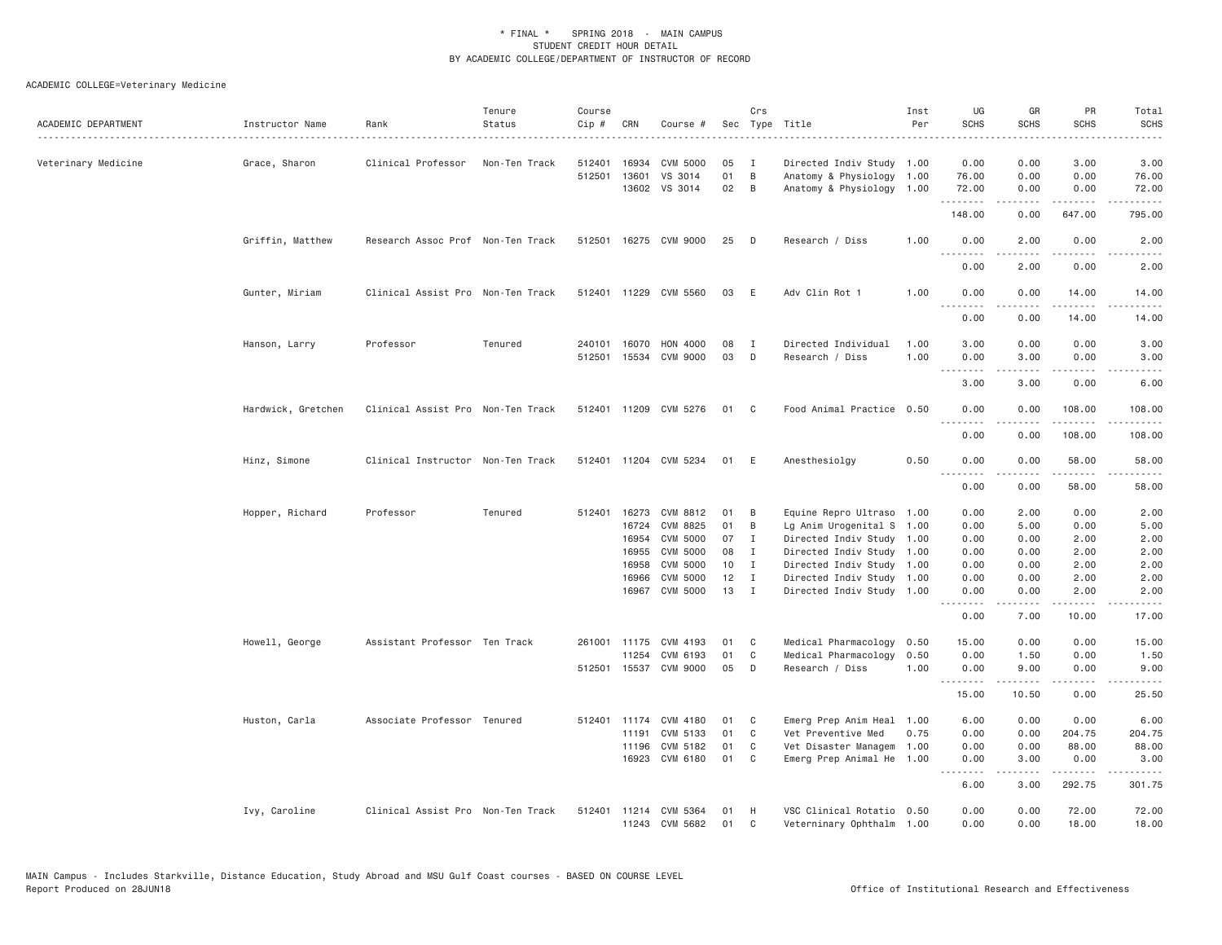| ACADEMIC DEPARTMENT | Instructor Name    | Rank                              | Tenure<br>Status | Course<br>Cip # | CRN          | Course #              |    | Crs            | Sec Type Title            | Inst<br>Per | UG<br><b>SCHS</b>            | GR<br><b>SCHS</b> | PR<br><b>SCHS</b> | Total<br><b>SCHS</b>   |
|---------------------|--------------------|-----------------------------------|------------------|-----------------|--------------|-----------------------|----|----------------|---------------------------|-------------|------------------------------|-------------------|-------------------|------------------------|
| Veterinary Medicine | Grace, Sharon      | Clinical Professor                | Non-Ten Track    | 512401          | 16934        | CVM 5000              | 05 | Ι.             | Directed Indiv Study 1.00 |             | 0.00                         | 0.00              | 3.00              | 3.00                   |
|                     |                    |                                   |                  | 512501          | 13601        | VS 3014               | 01 | B              | Anatomy & Physiology 1.00 |             | 76.00                        | 0.00              | 0.00              | 76.00                  |
|                     |                    |                                   |                  |                 | 13602        | VS 3014               | 02 | B              | Anatomy & Physiology 1.00 |             | 72.00<br>.                   | 0.00              | 0.00<br>.         | 72.00<br>$\frac{1}{2}$ |
|                     |                    |                                   |                  |                 |              |                       |    |                |                           |             | 148.00                       | 0.00              | 647.00            | 795.00                 |
|                     | Griffin, Matthew   | Research Assoc Prof Non-Ten Track |                  |                 |              | 512501 16275 CVM 9000 | 25 | D              | Research / Diss           | 1.00        | 0.00<br>.                    | 2.00              | 0.00              | 2.00                   |
|                     |                    |                                   |                  |                 |              |                       |    |                |                           |             | 0.00                         | 2.00              | 0.00              | 2.00                   |
|                     | Gunter, Miriam     | Clinical Assist Pro Non-Ten Track |                  |                 |              | 512401 11229 CVM 5560 | 03 | E              | Adv Clin Rot 1            | 1.00        | 0.00<br>$\frac{1}{2}$        | 0.00<br>.         | 14.00<br>-----    | 14.00<br>.             |
|                     |                    |                                   |                  |                 |              |                       |    |                |                           |             | 0.00                         | 0.00              | 14.00             | 14.00                  |
|                     | Hanson, Larry      | Professor                         | Tenured          | 240101          | 16070        | HON 4000              | 08 | $\mathbf{I}$   | Directed Individual       | 1.00        | 3.00                         | 0.00              | 0.00              | 3.00                   |
|                     |                    |                                   |                  | 512501          | 15534        | CVM 9000              | 03 | D              | Research / Diss           | 1.00        | 0.00                         | 3.00              | 0.00              | 3.00                   |
|                     |                    |                                   |                  |                 |              |                       |    |                |                           |             | 3.00                         | 3.00              | 0.00              | 6.00                   |
|                     | Hardwick, Gretchen | Clinical Assist Pro Non-Ten Track |                  |                 |              | 512401 11209 CVM 5276 | 01 | C <sub>c</sub> | Food Animal Practice 0.50 |             | 0.00<br>$\sim$ $\sim$ $\sim$ | 0.00              | 108.00<br>.       | 108.00                 |
|                     |                    |                                   |                  |                 |              |                       |    |                |                           |             | 0.00                         | 0.00              | 108.00            | 108.00                 |
|                     | Hinz, Simone       | Clinical Instructor Non-Ten Track |                  |                 |              | 512401 11204 CVM 5234 | 01 | E              | Anesthesiolgy             | 0.50        | 0.00<br>.                    | 0.00<br>- - - - - | 58.00<br>.        | 58.00<br>.             |
|                     |                    |                                   |                  |                 |              |                       |    |                |                           |             | 0.00                         | 0.00              | 58.00             | 58.00                  |
|                     | Hopper, Richard    | Professor                         | Tenured          |                 | 512401 16273 | CVM 8812              | 01 | B              | Equine Repro Ultraso 1.00 |             | 0.00                         | 2.00              | 0.00              | 2.00                   |
|                     |                    |                                   |                  |                 | 16724        | CVM 8825              | 01 | $\,$ B         | Lg Anim Urogenital S 1.00 |             | 0.00                         | 5.00              | 0.00              | 5.00                   |
|                     |                    |                                   |                  |                 | 16954        | CVM 5000              | 07 | $\mathbf{I}$   | Directed Indiv Study 1.00 |             | 0.00                         | 0.00              | 2.00              | 2.00                   |
|                     |                    |                                   |                  |                 | 16955        | <b>CVM 5000</b>       | 08 | $\mathbf{I}$   | Directed Indiv Study 1.00 |             | 0.00                         | 0.00              | 2.00              | 2.00                   |
|                     |                    |                                   |                  |                 | 16958        | CVM 5000              | 10 | I              | Directed Indiv Study 1.00 |             | 0.00                         | 0.00              | 2.00              | 2.00                   |
|                     |                    |                                   |                  |                 | 16966        | CVM 5000              | 12 | $\mathbf{I}$   | Directed Indiv Study 1.00 |             | 0.00                         | 0.00              | 2.00              | 2.00                   |
|                     |                    |                                   |                  |                 | 16967        | CVM 5000              | 13 | $\mathbf{I}$   | Directed Indiv Study 1.00 |             | 0.00<br>.                    | 0.00              | 2.00              | 2.00<br>$   -$         |
|                     |                    |                                   |                  |                 |              |                       |    |                |                           |             | 0.00                         | 7.00              | 10.00             | 17.00                  |
|                     | Howell, George     | Assistant Professor Ten Track     |                  |                 | 261001 11175 | CVM 4193              | 01 | C              | Medical Pharmacology 0.50 |             | 15.00                        | 0.00              | 0.00              | 15.00                  |
|                     |                    |                                   |                  |                 | 11254        | CVM 6193              | 01 | C              | Medical Pharmacology      | 0.50        | 0.00                         | 1.50              | 0.00              | 1.50                   |
|                     |                    |                                   |                  |                 | 512501 15537 | CVM 9000              | 05 | D              | Research / Diss           | 1.00        | 0.00<br><u>.</u>             | 9.00              | 0.00              | 9.00                   |
|                     |                    |                                   |                  |                 |              |                       |    |                |                           |             | 15.00                        | 10.50             | 0.00              | 25.50                  |
|                     | Huston, Carla      | Associate Professor Tenured       |                  |                 |              | 512401 11174 CVM 4180 | 01 | C              | Emerg Prep Anim Heal 1.00 |             | 6.00                         | 0.00              | 0.00              | 6.00                   |
|                     |                    |                                   |                  |                 | 11191        | CVM 5133              | 01 | C              | Vet Preventive Med        | 0.75        | 0.00                         | 0.00              | 204.75            | 204.75                 |
|                     |                    |                                   |                  |                 | 11196        | CVM 5182              | 01 | C              | Vet Disaster Managem 1.00 |             | 0.00                         | 0.00              | 88.00             | 88.00                  |
|                     |                    |                                   |                  |                 | 16923        | CVM 6180              | 01 | C.             | Emerg Prep Animal He 1.00 |             | 0.00<br>.                    | 3.00<br>.         | 0.00<br>.         | 3.00<br>-----          |
|                     |                    |                                   |                  |                 |              |                       |    |                |                           |             | 6.00                         | 3.00              | 292.75            | 301.75                 |
|                     | Ivy, Caroline      | Clinical Assist Pro Non-Ten Track |                  |                 |              | 512401 11214 CVM 5364 | 01 | H              | VSC Clinical Rotatio 0.50 |             | 0.00                         | 0.00              | 72.00             | 72.00                  |
|                     |                    |                                   |                  |                 |              | 11243 CVM 5682        | 01 | C              | Veterninary Ophthalm 1.00 |             | 0.00                         | 0.00              | 18,00             | 18.00                  |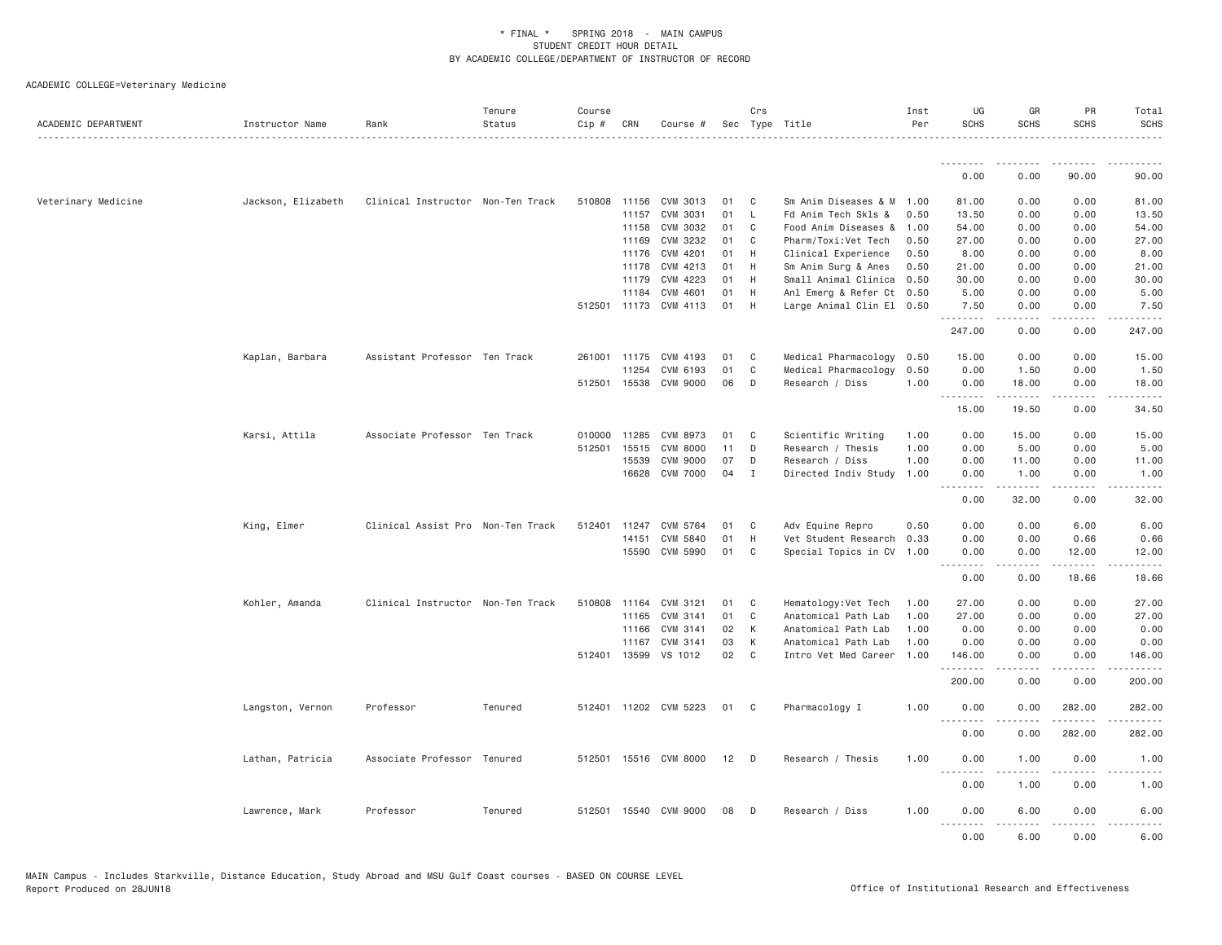| ACADEMIC DEPARTMENT | Instructor Name    | Rank                              | Tenure<br>Status | Course<br>Cip # | CRN          | Course #              |    | Crs            | Sec Type Title            | Inst<br>Per | UG<br><b>SCHS</b>                                                                                           | GR<br><b>SCHS</b>            | PR<br><b>SCHS</b>                                                                                                                                             | Total<br><b>SCHS</b> |
|---------------------|--------------------|-----------------------------------|------------------|-----------------|--------------|-----------------------|----|----------------|---------------------------|-------------|-------------------------------------------------------------------------------------------------------------|------------------------------|---------------------------------------------------------------------------------------------------------------------------------------------------------------|----------------------|
|                     |                    |                                   |                  |                 |              |                       |    |                |                           |             | --------<br>0.00                                                                                            | --------<br>0.00             | 90.00                                                                                                                                                         | 90.00                |
|                     |                    |                                   |                  |                 |              |                       |    |                |                           |             |                                                                                                             |                              |                                                                                                                                                               |                      |
| Veterinary Medicine | Jackson, Elizabeth | Clinical Instructor Non-Ten Track |                  |                 | 510808 11156 | CVM 3013              | 01 | C              | Sm Anim Diseases & M 1.00 |             | 81.00                                                                                                       | 0.00                         | 0.00                                                                                                                                                          | 81.00                |
|                     |                    |                                   |                  |                 | 11157        | CVM 3031              | 01 | $\mathsf{L}$   | Fd Anim Tech Skls &       | 0.50        | 13.50                                                                                                       | 0.00                         | 0.00                                                                                                                                                          | 13.50                |
|                     |                    |                                   |                  |                 | 11158        | CVM 3032              | 01 | C              | Food Anim Diseases &      | 1.00        | 54.00                                                                                                       | 0.00                         | 0.00                                                                                                                                                          | 54.00                |
|                     |                    |                                   |                  |                 | 11169        | CVM 3232              | 01 | C              | Pharm/Toxi:Vet Tech       | 0.50        | 27.00                                                                                                       | 0.00                         | 0.00                                                                                                                                                          | 27.00                |
|                     |                    |                                   |                  |                 | 11176        | CVM 4201              | 01 | H              | Clinical Experience       | 0.50        | 8.00                                                                                                        | 0.00                         | 0.00                                                                                                                                                          | 8.00                 |
|                     |                    |                                   |                  |                 | 11178        | CVM 4213              | 01 | H              | Sm Anim Surg & Anes       | 0.50        | 21.00                                                                                                       | 0.00                         | 0.00                                                                                                                                                          | 21.00                |
|                     |                    |                                   |                  |                 | 11179        | CVM 4223              | 01 | H              | Small Animal Clinica      | 0.50        | 30.00                                                                                                       | 0.00                         | 0.00                                                                                                                                                          | 30.00                |
|                     |                    |                                   |                  |                 | 11184        | CVM 4601              | 01 | H              | Anl Emerg & Refer Ct 0.50 |             | 5.00                                                                                                        | 0.00                         | 0.00                                                                                                                                                          | 5.00                 |
|                     |                    |                                   |                  |                 |              | 512501 11173 CVM 4113 | 01 | H              | Large Animal Clin El 0.50 |             | 7.50<br>.                                                                                                   | 0.00<br>$\omega$ is a set of | 0.00<br>.                                                                                                                                                     | 7.50                 |
|                     |                    |                                   |                  |                 |              |                       |    |                |                           |             | 247.00                                                                                                      | 0.00                         | 0.00                                                                                                                                                          | 247.00               |
|                     | Kaplan, Barbara    | Assistant Professor Ten Track     |                  | 261001          | 11175        | CVM 4193              | 01 | C              | Medical Pharmacology      | 0.50        | 15.00                                                                                                       | 0.00                         | 0.00                                                                                                                                                          | 15.00                |
|                     |                    |                                   |                  |                 | 11254        | CVM 6193              | 01 | C              | Medical Pharmacology      | 0.50        | 0.00                                                                                                        | 1.50                         | 0.00                                                                                                                                                          | 1.50                 |
|                     |                    |                                   |                  |                 |              | 512501 15538 CVM 9000 | 06 | $\Box$         | Research / Diss           | 1.00        | 0.00                                                                                                        | 18.00                        | 0.00                                                                                                                                                          | 18.00                |
|                     |                    |                                   |                  |                 |              |                       |    |                |                           |             | .<br>15.00                                                                                                  | .<br>19.50                   | .<br>0.00                                                                                                                                                     | .<br>34.50           |
|                     | Karsi, Attila      | Associate Professor Ten Track     |                  | 010000          | 11285        | CVM 8973              | 01 | C              | Scientific Writing        | 1.00        | 0.00                                                                                                        | 15.00                        | 0.00                                                                                                                                                          | 15.00                |
|                     |                    |                                   |                  | 512501          | 15515        | CVM 8000              | 11 | D              | Research / Thesis         | 1.00        | 0.00                                                                                                        | 5.00                         | 0.00                                                                                                                                                          | 5.00                 |
|                     |                    |                                   |                  |                 | 15539        | CVM 9000              | 07 | D              | Research / Diss           | 1.00        | 0.00                                                                                                        | 11.00                        | 0.00                                                                                                                                                          | 11.00                |
|                     |                    |                                   |                  |                 | 16628        | <b>CVM 7000</b>       | 04 | I              | Directed Indiv Study      | 1.00        | 0.00                                                                                                        | 1.00                         | 0.00                                                                                                                                                          | 1.00                 |
|                     |                    |                                   |                  |                 |              |                       |    |                |                           |             | .<br>$\frac{1}{2} \left( \frac{1}{2} \right) \left( \frac{1}{2} \right) \left( \frac{1}{2} \right)$<br>0.00 | .<br>32.00                   | .<br>0.00                                                                                                                                                     | ه د د د د<br>32.00   |
|                     | King, Elmer        | Clinical Assist Pro Non-Ten Track |                  | 512401          | 11247        | CVM 5764              | 01 | C              | Adv Equine Repro          | 0.50        | 0.00                                                                                                        | 0.00                         | 6.00                                                                                                                                                          | 6.00                 |
|                     |                    |                                   |                  |                 | 14151        | CVM 5840              | 01 | H              | Vet Student Research      | 0.33        | 0.00                                                                                                        | 0.00                         | 0.66                                                                                                                                                          | 0.66                 |
|                     |                    |                                   |                  |                 | 15590        | CVM 5990              | 01 | C <sub>1</sub> | Special Topics in CV 1.00 |             | 0.00                                                                                                        | 0.00                         | 12.00                                                                                                                                                         | 12.00                |
|                     |                    |                                   |                  |                 |              |                       |    |                |                           |             | .<br>0.00                                                                                                   | $- - - - -$<br>0.00          | $\frac{1}{2} \left( \frac{1}{2} \right) \left( \frac{1}{2} \right) \left( \frac{1}{2} \right) \left( \frac{1}{2} \right) \left( \frac{1}{2} \right)$<br>18.66 | .<br>18.66           |
|                     | Kohler, Amanda     | Clinical Instructor Non-Ten Track |                  | 510808          | 11164        | CVM 3121              | 01 | $\mathbf{C}$   | Hematology: Vet Tech      | 1.00        | 27.00                                                                                                       | 0.00                         | 0.00                                                                                                                                                          | 27.00                |
|                     |                    |                                   |                  |                 | 11165        | CVM 3141              | 01 | C              | Anatomical Path Lab       | 1.00        | 27.00                                                                                                       | 0.00                         | 0.00                                                                                                                                                          | 27.00                |
|                     |                    |                                   |                  |                 | 11166        | CVM 3141              | 02 | К              | Anatomical Path Lab       | 1.00        | 0.00                                                                                                        | 0.00                         | 0.00                                                                                                                                                          | 0.00                 |
|                     |                    |                                   |                  |                 | 11167        | CVM 3141              | 03 | К              | Anatomical Path Lab       | 1.00        | 0.00                                                                                                        | 0.00                         | 0.00                                                                                                                                                          | 0.00                 |
|                     |                    |                                   |                  |                 | 512401 13599 | VS 1012               | 02 | $\mathbf{C}$   | Intro Vet Med Career 1.00 |             | 146.00                                                                                                      | 0.00                         | 0.00                                                                                                                                                          | 146.00               |
|                     |                    |                                   |                  |                 |              |                       |    |                |                           |             | .<br>200.00                                                                                                 | 0.00                         | 0.00                                                                                                                                                          | 200.00               |
|                     | Langston, Vernon   | Professor                         | Tenured          |                 |              | 512401 11202 CVM 5223 | 01 | $\mathbf{C}$   | Pharmacology I            | 1.00        | 0.00                                                                                                        | 0.00                         | 282.00                                                                                                                                                        | 282.00               |
|                     |                    |                                   |                  |                 |              |                       |    |                |                           |             | 0.00                                                                                                        | 0.00                         | $- - - - - - -$<br>282.00                                                                                                                                     | 282.00               |
|                     | Lathan, Patricia   | Associate Professor Tenured       |                  |                 |              | 512501 15516 CVM 8000 | 12 | $\Box$         | Research / Thesis         | 1.00        | 0.00<br>$\sim$ $\sim$ .<br>.                                                                                | 1.00                         | 0.00                                                                                                                                                          | 1.00                 |
|                     |                    |                                   |                  |                 |              |                       |    |                |                           |             | 0.00                                                                                                        | 1.00                         | 0.00                                                                                                                                                          | 1.00                 |
|                     | Lawrence, Mark     | Professor                         | Tenured          |                 |              | 512501 15540 CVM 9000 | 08 | $\Box$         | Research / Diss           | 1.00        | 0.00<br>.                                                                                                   | 6.00                         | 0.00<br>.                                                                                                                                                     | 6.00                 |
|                     |                    |                                   |                  |                 |              |                       |    |                |                           |             | 0.00                                                                                                        | 6.00                         | 0.00                                                                                                                                                          | 6.00                 |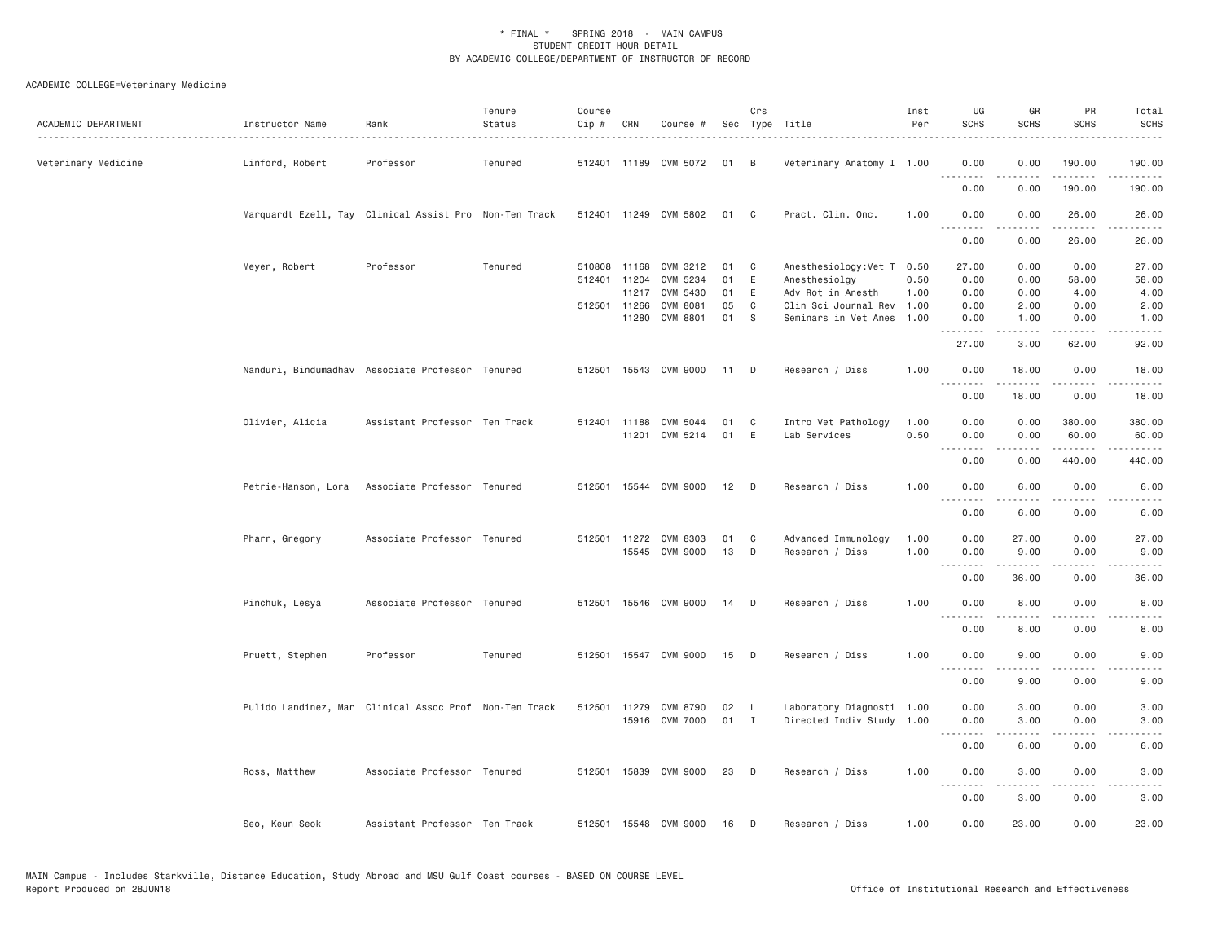| ACADEMIC DEPARTMENT | Instructor Name     | Rank                                                   | Tenure<br>Status | Course<br>Cip # | CRN          | Course #              |      | Crs          | Sec Type Title            | Inst<br>Per | UG<br><b>SCHS</b>                 | GR<br><b>SCHS</b>   | PR<br><b>SCHS</b>    | Total<br><b>SCHS</b><br>. |
|---------------------|---------------------|--------------------------------------------------------|------------------|-----------------|--------------|-----------------------|------|--------------|---------------------------|-------------|-----------------------------------|---------------------|----------------------|---------------------------|
| Veterinary Medicine | Linford, Robert     | Professor                                              | Tenured          |                 |              | 512401 11189 CVM 5072 | 01   | B            | Veterinary Anatomy I 1.00 |             | 0.00                              | 0.00                | 190.00               | 190.00                    |
|                     |                     |                                                        |                  |                 |              |                       |      |              |                           |             | .<br>0.00                         | 0.00                | 190.00               | .<br>190.00               |
|                     |                     | Marquardt Ezell, Tay Clinical Assist Pro Non-Ten Track |                  |                 |              | 512401 11249 CVM 5802 | 01   | C            | Pract. Clin. Onc.         | 1.00        | 0.00                              | 0.00                | 26.00                | 26.00                     |
|                     |                     |                                                        |                  |                 |              |                       |      |              |                           |             | .<br>0.00                         | .<br>0.00           | .<br>26.00           | .<br>26.00                |
|                     | Meyer, Robert       | Professor                                              | Tenured          |                 | 510808 11168 | CVM 3212              | 01   | C            | Anesthesiology: Vet T     | 0.50        | 27.00                             | 0.00                | 0.00                 | 27.00                     |
|                     |                     |                                                        |                  |                 | 512401 11204 | CVM 5234              | 01   | Ε            | Anesthesiolgy             | 0.50        | 0.00                              | 0.00                | 58.00                | 58.00                     |
|                     |                     |                                                        |                  |                 |              | 11217 CVM 5430        | 01   | E            | Adv Rot in Anesth         | 1.00        | 0.00                              | 0.00                | 4.00                 | 4.00                      |
|                     |                     |                                                        |                  |                 | 512501 11266 | CVM 8081              | 05   | C            | Clin Sci Journal Rev      | 1.00        | 0.00                              | 2.00                | 0.00                 | 2.00                      |
|                     |                     |                                                        |                  |                 | 11280        | CVM 8801              | 01   | S            | Seminars in Vet Anes      | 1.00        | 0.00<br>.                         | 1.00<br>.           | 0.00<br>$- - - -$    | 1.00<br>$\frac{1}{2}$     |
|                     |                     |                                                        |                  |                 |              |                       |      |              |                           |             | 27.00                             | 3.00                | 62.00                | 92.00                     |
|                     |                     | Nanduri, Bindumadhav Associate Professor Tenured       |                  |                 |              | 512501 15543 CVM 9000 | 11 D |              | Research / Diss           | 1.00        | 0.00<br>.                         | 18.00<br>.          | 0.00<br>.            | 18.00                     |
|                     |                     |                                                        |                  |                 |              |                       |      |              |                           |             | 0.00                              | 18.00               | 0.00                 | .<br>18.00                |
|                     |                     |                                                        |                  |                 |              |                       |      |              |                           |             |                                   |                     |                      |                           |
|                     | Olivier, Alicia     | Assistant Professor Ten Track                          |                  |                 | 512401 11188 | CVM 5044              | 01   | C            | Intro Vet Pathology       | 1.00        | 0.00                              | 0.00                | 380.00               | 380.00                    |
|                     |                     |                                                        |                  |                 |              | 11201 CVM 5214        | 01   | E            | Lab Services              | 0.50        | 0.00                              | 0.00                | 60.00                | 60.00                     |
|                     |                     |                                                        |                  |                 |              |                       |      |              |                           |             | .<br>0.00                         | 0.00                | .<br>440.00          | -----<br>440.00           |
|                     | Petrie-Hanson, Lora | Associate Professor Tenured                            |                  |                 |              | 512501 15544 CVM 9000 | 12   | D            | Research / Diss           | 1.00        | 0.00                              | 6.00                | 0.00                 | 6.00                      |
|                     |                     |                                                        |                  |                 |              |                       |      |              |                           |             | $\sim$ $\sim$ $\sim$<br>.<br>0.00 | -----<br>6.00       | .<br>0.00            | $\frac{1}{2}$<br>6.00     |
|                     |                     |                                                        |                  |                 |              |                       |      |              |                           |             |                                   |                     |                      |                           |
|                     | Pharr, Gregory      | Associate Professor Tenured                            |                  |                 |              | 512501 11272 CVM 8303 | 01   | C            | Advanced Immunology       | 1.00        | 0.00                              | 27.00               | 0.00                 | 27.00                     |
|                     |                     |                                                        |                  |                 |              | 15545 CVM 9000        | 13   | D            | Research / Diss           | 1.00        | 0.00                              | 9.00                | 0.00                 | 9.00                      |
|                     |                     |                                                        |                  |                 |              |                       |      |              |                           |             |                                   |                     |                      |                           |
|                     |                     |                                                        |                  |                 |              |                       |      |              |                           |             | 0.00                              | 36.00               | 0.00                 | 36.00                     |
|                     | Pinchuk, Lesya      | Associate Professor Tenured                            |                  |                 |              | 512501 15546 CVM 9000 | 14   | D            | Research / Diss           | 1.00        | 0.00                              | 8.00                | 0.00                 | 8.00                      |
|                     |                     |                                                        |                  |                 |              |                       |      |              |                           |             | $\sim$ $\sim$ $\sim$<br>.<br>0.00 | 8.00                | 0.00                 | 8.00                      |
|                     | Pruett, Stephen     | Professor                                              | Tenured          |                 |              | 512501 15547 CVM 9000 | 15   | D            | Research / Diss           | 1.00        | 0.00                              | 9.00                | 0.00                 | 9.00                      |
|                     |                     |                                                        |                  |                 |              |                       |      |              |                           |             | .                                 | .                   | $\sim$ $\sim$ $\sim$ |                           |
|                     |                     |                                                        |                  |                 |              |                       |      |              |                           |             | 0.00                              | 9.00                | 0.00                 | 9.00                      |
|                     |                     | Pulido Landinez, Mar Clinical Assoc Prof Non-Ten Track |                  |                 | 512501 11279 | CVM 8790              | 02   | L.           | Laboratory Diagnosti 1.00 |             | 0.00                              | 3.00                | 0.00                 | 3.00                      |
|                     |                     |                                                        |                  |                 |              | 15916 CVM 7000        | 01   | $\mathbf{I}$ | Directed Indiv Study 1.00 |             | 0.00                              | 3.00                | 0.00                 | 3.00                      |
|                     |                     |                                                        |                  |                 |              |                       |      |              |                           |             | .                                 | <u>.</u>            | $\cdots$             | ----                      |
|                     |                     |                                                        |                  |                 |              |                       |      |              |                           |             | 0.00                              | 6.00                | 0.00                 | 6.00                      |
|                     | Ross, Matthew       | Associate Professor Tenured                            |                  |                 |              | 512501 15839 CVM 9000 | 23   | D            | Research / Diss           | 1.00        | 0.00<br>. <b>.</b>                | 3.00<br>$- - - - -$ | 0.00<br>.            | 3.00<br>$- - - -$         |
|                     |                     |                                                        |                  |                 |              |                       |      |              |                           |             | 0.00                              | 3.00                | 0.00                 | 3.00                      |
|                     | Seo, Keun Seok      | Assistant Professor Ten Track                          |                  |                 |              | 512501 15548 CVM 9000 | 16   | D            | Research / Diss           | 1.00        | 0.00                              | 23.00               | 0.00                 | 23.00                     |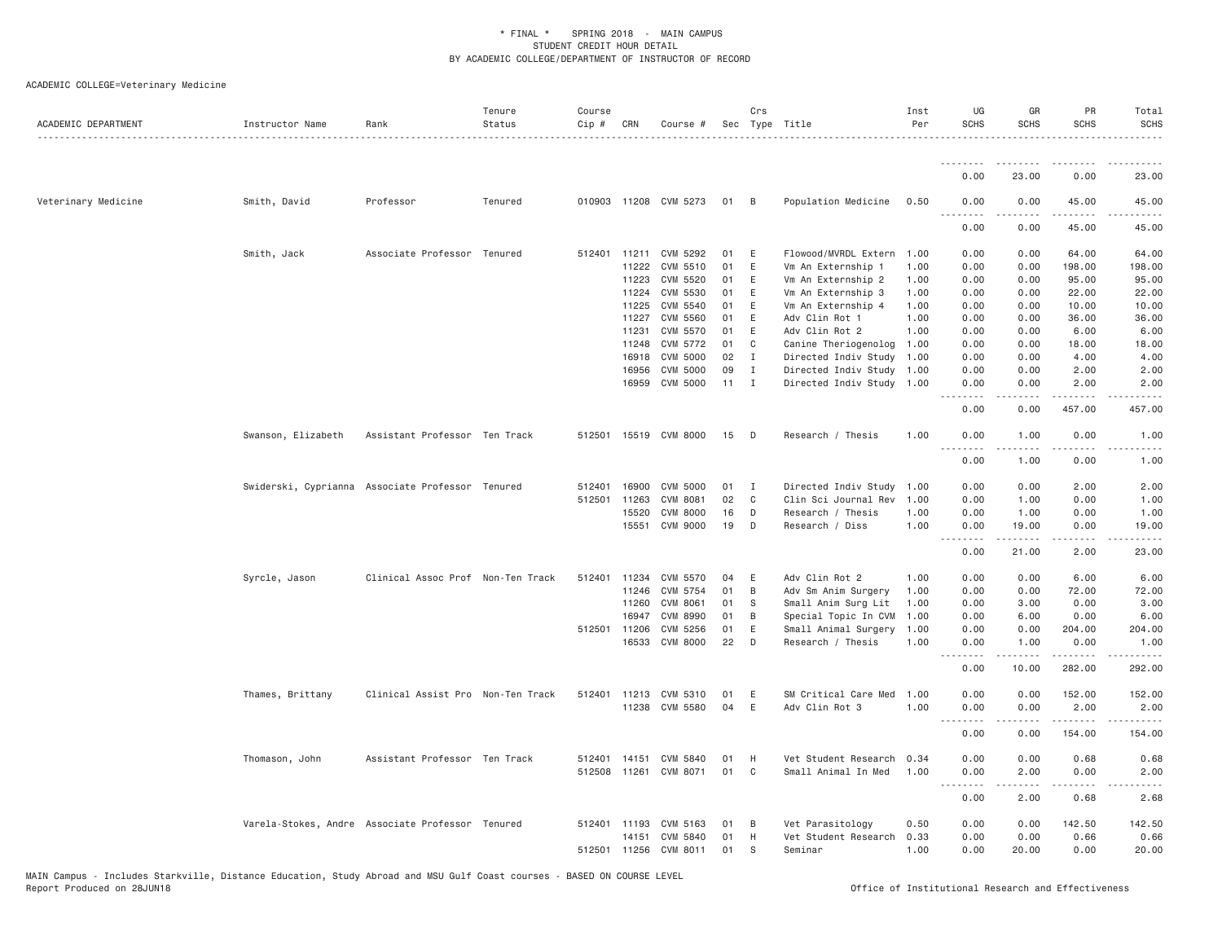| ACADEMIC DEPARTMENT | Instructor Name    | Rank                                             | Tenure<br>Status | Course<br>Cip # | CRN          | Course #              |              | Crs            | Sec Type Title            | Inst<br>Per | UG<br><b>SCHS</b>                        | GR<br><b>SCHS</b>    | PR<br><b>SCHS</b> | Total<br><b>SCHS</b> |
|---------------------|--------------------|--------------------------------------------------|------------------|-----------------|--------------|-----------------------|--------------|----------------|---------------------------|-------------|------------------------------------------|----------------------|-------------------|----------------------|
|                     |                    |                                                  |                  |                 |              |                       |              |                |                           |             |                                          |                      |                   |                      |
|                     |                    |                                                  |                  |                 |              |                       |              |                |                           |             | 0.00                                     | 23.00                | 0.00              | 23.00                |
| Veterinary Medicine | Smith, David       | Professor                                        | Tenured          |                 |              | 010903 11208 CVM 5273 | 01 B         |                | Population Medicine       | 0.50        | 0.00                                     | 0.00                 | 45.00             | 45.00                |
|                     |                    |                                                  |                  |                 |              |                       |              |                |                           |             | 0.00                                     | 0.00                 | 45.00             | 45.00                |
|                     | Smith, Jack        | Associate Professor Tenured                      |                  | 512401 11211    |              | CVM 5292              | 01           | E              | Flowood/MVRDL Extern      | 1.00        | 0.00                                     | 0.00                 | 64.00             | 64.00                |
|                     |                    |                                                  |                  |                 | 11222        | CVM 5510              | 01           | E              | Vm An Externship 1        | 1,00        | 0.00                                     | 0.00                 | 198.00            | 198.00               |
|                     |                    |                                                  |                  |                 | 11223        | CVM 5520              | 01           | E              | Vm An Externship 2        | 1.00        | 0.00                                     | 0.00                 | 95.00             | 95.00                |
|                     |                    |                                                  |                  |                 | 11224        | CVM 5530              | 01           | E              | Vm An Externship 3        | 1.00        | 0.00                                     | 0.00                 | 22.00             | 22.00                |
|                     |                    |                                                  |                  |                 | 11225        | CVM 5540              | 01           | E              | Vm An Externship 4        | 1.00        | 0.00                                     | 0.00                 | 10.00             | 10.00                |
|                     |                    |                                                  |                  |                 | 11227        | <b>CVM 5560</b>       | 01           | E              | Adv Clin Rot 1            | 1.00        | 0.00                                     | 0.00                 | 36.00             | 36.00                |
|                     |                    |                                                  |                  |                 | 11231        | CVM 5570              | 01           | E              | Adv Clin Rot 2            | 1.00        | 0.00                                     | 0.00                 | 6.00              | 6.00                 |
|                     |                    |                                                  |                  |                 | 11248        | CVM 5772              | 01           | C              | Canine Theriogenolog      | 1.00        | 0.00                                     | 0.00                 | 18.00             | 18.00                |
|                     |                    |                                                  |                  |                 | 16918        | CVM 5000              | 02           | $\mathbf{I}$   | Directed Indiv Study      | 1.00        | 0.00                                     | 0.00                 | 4.00              | 4.00                 |
|                     |                    |                                                  |                  |                 | 16956        | CVM 5000              | 09           | $\mathbf{I}$   | Directed Indiv Study 1.00 |             | 0.00                                     | 0.00                 | 2.00              | 2.00                 |
|                     |                    |                                                  |                  |                 | 16959        | CVM 5000              | $11 \quad I$ |                | Directed Indiv Study 1.00 |             | 0.00<br>.                                | 0.00                 | 2.00              | 2.00                 |
|                     |                    |                                                  |                  |                 |              |                       |              |                |                           |             | 0.00                                     | 0.00                 | 457.00            | 457.00               |
|                     | Swanson, Elizabeth | Assistant Professor Ten Track                    |                  |                 |              | 512501 15519 CVM 8000 | 15           | $\Box$         | Research / Thesis         | 1.00        | 0.00<br>$\sim$ $\sim$                    | 1.00                 | 0.00              | 1.00                 |
|                     |                    |                                                  |                  |                 |              |                       |              |                |                           |             | 0.00                                     | 1.00                 | 0.00              | 1.00                 |
|                     |                    | Swiderski, Cyprianna Associate Professor Tenured |                  | 512401          | 16900        | CVM 5000              | 01           | $\mathbf{I}$   | Directed Indiv Study      | 1.00        | 0.00                                     | 0.00                 | 2.00              | 2.00                 |
|                     |                    |                                                  |                  | 512501 11263    |              | CVM 8081              | 02           | $\mathbf{C}$   | Clin Sci Journal Rev      | 1.00        | 0.00                                     | 1.00                 | 0.00              | 1.00                 |
|                     |                    |                                                  |                  |                 | 15520        | <b>CVM 8000</b>       | 16           | D              | Research / Thesis         | 1.00        | 0.00                                     | 1.00                 | 0.00              | 1.00                 |
|                     |                    |                                                  |                  |                 | 15551        | CVM 9000              | 19           | D              | Research / Diss           | 1.00        | 0.00                                     | 19.00                | 0.00              | 19.00                |
|                     |                    |                                                  |                  |                 |              |                       |              |                |                           |             | $- -$<br>0.00                            | 21.00                | 2.00              | 23.00                |
|                     | Syrcle, Jason      | Clinical Assoc Prof Non-Ten Track                |                  | 512401 11234    |              | CVM 5570              | 04           | E              | Adv Clin Rot 2            | 1.00        | 0.00                                     | 0.00                 | 6.00              | 6.00                 |
|                     |                    |                                                  |                  |                 | 11246        | CVM 5754              | 01           | $\overline{B}$ | Adv Sm Anim Surgery       | 1.00        | 0.00                                     | 0.00                 | 72.00             | 72.00                |
|                     |                    |                                                  |                  |                 | 11260        | <b>CVM 8061</b>       | 01           | S.             | Small Anim Surg Lit       | 1.00        | 0.00                                     | 3.00                 | 0.00              | 3.00                 |
|                     |                    |                                                  |                  |                 | 16947        | CVM 8990              | 01           | B              | Special Topic In CVM      | 1.00        | 0.00                                     | 6.00                 | 0.00              | 6.00                 |
|                     |                    |                                                  |                  | 512501 11206    |              | CVM 5256              | 01           | E              | Small Animal Surgery 1.00 |             | 0.00                                     | 0.00                 | 204.00            | 204.00               |
|                     |                    |                                                  |                  |                 | 16533        | CVM 8000              | 22           | D              | Research / Thesis         | 1.00        | 0.00                                     | 1.00                 | 0.00              | 1.00                 |
|                     |                    |                                                  |                  |                 |              |                       |              |                |                           |             | $  -$<br>.<br>0.00                       | $- - - - -$<br>10.00 | .<br>282.00       | 292.00               |
|                     | Thames, Brittany   | Clinical Assist Pro Non-Ten Track                |                  | 512401 11213    |              | CVM 5310              | 01           | E              | SM Critical Care Med      | 1.00        | 0.00                                     | 0.00                 | 152.00            | 152.00               |
|                     |                    |                                                  |                  |                 | 11238        | CVM 5580              | 04           | E              | Adv Clin Rot 3            | 1.00        | 0.00<br>$\sim$ $\sim$ $\sim$<br>.        | 0.00                 | 2.00              | 2.00                 |
|                     |                    |                                                  |                  |                 |              |                       |              |                |                           |             | 0.00                                     | 0.00                 | 154.00            | 154.00               |
|                     | Thomason, John     | Assistant Professor Ten Track                    |                  | 512401 14151    |              | CVM 5840              | 01           | H              | Vet Student Research 0.34 |             | 0.00                                     | 0.00                 | 0.68              | 0.68                 |
|                     |                    |                                                  |                  |                 |              | 512508 11261 CVM 8071 | 01           | $\mathbf{C}$   | Small Animal In Med       | 1.00        | 0.00<br>$\sim$ $\sim$ $\sim$<br><u>.</u> | 2.00<br>.            | 0.00              | 2.00<br>-----        |
|                     |                    |                                                  |                  |                 |              |                       |              |                |                           |             | 0.00                                     | 2.00                 | 0.68              | 2.68                 |
|                     |                    | Varela-Stokes, Andre Associate Professor Tenured |                  |                 | 512401 11193 | CVM 5163              | 01           | - B            | Vet Parasitology          | 0.50        | 0.00                                     | 0.00                 | 142.50            | 142.50               |
|                     |                    |                                                  |                  |                 | 14151        | CVM 5840              | 01           | H              | Vet Student Research      | 0.33        | 0.00                                     | 0.00                 | 0.66              | 0.66                 |
|                     |                    |                                                  |                  | 512501 11256    |              | CVM 8011              | 01           | S              | Seminar                   | 1.00        | 0.00                                     | 20.00                | 0.00              | 20.00                |